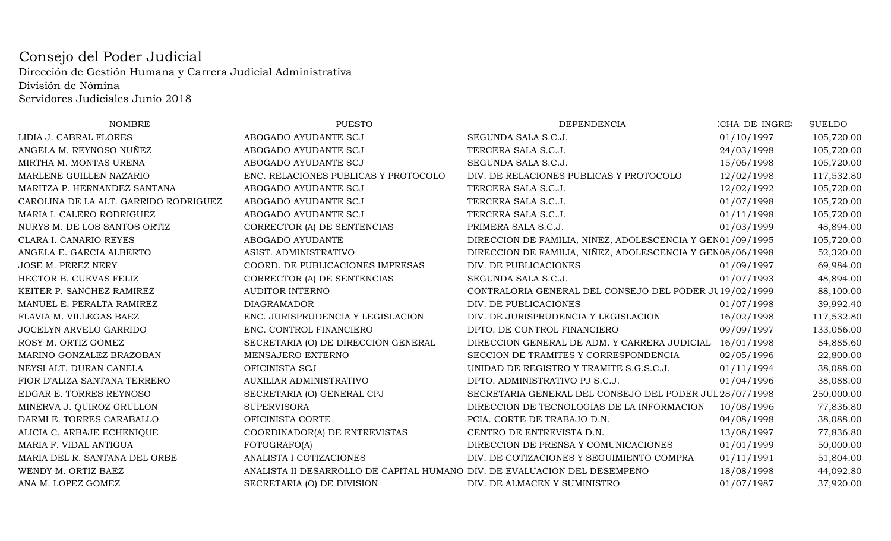## Consejo del Poder Judicial Dirección de Gestión Humana y Carrera Judicial AdministrativaDivisión de NóminaServidores Judiciales Junio 2018

| <b>NOMBRE</b>                         | <b>PUESTO</b>                                                             | <b>DEPENDENCIA</b>                                         | CHA_DE_INGRES | <b>SUELDO</b> |
|---------------------------------------|---------------------------------------------------------------------------|------------------------------------------------------------|---------------|---------------|
| LIDIA J. CABRAL FLORES                | ABOGADO AYUDANTE SCJ                                                      | SEGUNDA SALA S.C.J.                                        | 01/10/1997    | 105,720.00    |
| ANGELA M. REYNOSO NUÑEZ               | ABOGADO AYUDANTE SCJ                                                      | TERCERA SALA S.C.J.                                        | 24/03/1998    | 105,720.00    |
| MIRTHA M. MONTAS UREÑA                | ABOGADO AYUDANTE SCJ                                                      | SEGUNDA SALA S.C.J.                                        | 15/06/1998    | 105,720.00    |
| MARLENE GUILLEN NAZARIO               | ENC. RELACIONES PUBLICAS Y PROTOCOLO                                      | DIV. DE RELACIONES PUBLICAS Y PROTOCOLO                    | 12/02/1998    | 117,532.80    |
| MARITZA P. HERNANDEZ SANTANA          | ABOGADO AYUDANTE SCJ                                                      | TERCERA SALA S.C.J.                                        | 12/02/1992    | 105,720.00    |
| CAROLINA DE LA ALT. GARRIDO RODRIGUEZ | ABOGADO AYUDANTE SCJ                                                      | TERCERA SALA S.C.J.                                        | 01/07/1998    | 105,720.00    |
| MARIA I. CALERO RODRIGUEZ             | ABOGADO AYUDANTE SCJ                                                      | TERCERA SALA S.C.J.                                        | 01/11/1998    | 105,720.00    |
| NURYS M. DE LOS SANTOS ORTIZ          | CORRECTOR (A) DE SENTENCIAS                                               | PRIMERA SALA S.C.J.                                        | 01/03/1999    | 48,894.00     |
| CLARA I. CANARIO REYES                | ABOGADO AYUDANTE                                                          | DIRECCION DE FAMILIA, NIÑEZ, ADOLESCENCIA Y GEN01/09/1995  |               | 105,720.00    |
| ANGELA E. GARCIA ALBERTO              | ASIST. ADMINISTRATIVO                                                     | DIRECCION DE FAMILIA, NIÑEZ, ADOLESCENCIA Y GEN 08/06/1998 |               | 52,320.00     |
| <b>JOSE M. PEREZ NERY</b>             | COORD. DE PUBLICACIONES IMPRESAS                                          | DIV. DE PUBLICACIONES                                      | 01/09/1997    | 69,984.00     |
| HECTOR B. CUEVAS FELIZ                | CORRECTOR (A) DE SENTENCIAS                                               | SEGUNDA SALA S.C.J.                                        | 01/07/1993    | 48,894.00     |
| KEITER P. SANCHEZ RAMIREZ             | <b>AUDITOR INTERNO</b>                                                    | CONTRALORIA GENERAL DEL CONSEJO DEL PODER JU 19/02/1999    |               | 88,100.00     |
| MANUEL E. PERALTA RAMIREZ             | <b>DIAGRAMADOR</b>                                                        | DIV. DE PUBLICACIONES                                      | 01/07/1998    | 39,992.40     |
| FLAVIA M. VILLEGAS BAEZ               | ENC. JURISPRUDENCIA Y LEGISLACION                                         | DIV. DE JURISPRUDENCIA Y LEGISLACION                       | 16/02/1998    | 117,532.80    |
| JOCELYN ARVELO GARRIDO                | ENC. CONTROL FINANCIERO                                                   | DPTO. DE CONTROL FINANCIERO                                | 09/09/1997    | 133,056.00    |
| ROSY M. ORTIZ GOMEZ                   | SECRETARIA (O) DE DIRECCION GENERAL                                       | DIRECCION GENERAL DE ADM. Y CARRERA JUDICIAL               | 16/01/1998    | 54,885.60     |
| MARINO GONZALEZ BRAZOBAN              | MENSAJERO EXTERNO                                                         | SECCION DE TRAMITES Y CORRESPONDENCIA                      | 02/05/1996    | 22,800.00     |
| NEYSI ALT. DURAN CANELA               | OFICINISTA SCJ                                                            | UNIDAD DE REGISTRO Y TRAMITE S.G.S.C.J.                    | 01/11/1994    | 38,088.00     |
| FIOR D'ALIZA SANTANA TERRERO          | AUXILIAR ADMINISTRATIVO                                                   | DPTO. ADMINISTRATIVO PJ S.C.J.                             | 01/04/1996    | 38,088.00     |
| EDGAR E. TORRES REYNOSO               | SECRETARIA (O) GENERAL CPJ                                                | SECRETARIA GENERAL DEL CONSEJO DEL PODER JUI 28/07/1998    |               | 250,000.00    |
| MINERVA J. QUIROZ GRULLON             | <b>SUPERVISORA</b>                                                        | DIRECCION DE TECNOLOGIAS DE LA INFORMACION                 | 10/08/1996    | 77,836.80     |
| DARMI E. TORRES CARABALLO             | OFICINISTA CORTE                                                          | PCIA. CORTE DE TRABAJO D.N.                                | 04/08/1998    | 38,088.00     |
| ALICIA C. ARBAJE ECHENIQUE            | COORDINADOR(A) DE ENTREVISTAS                                             | CENTRO DE ENTREVISTA D.N.                                  | 13/08/1997    | 77,836.80     |
| MARIA F. VIDAL ANTIGUA                | FOTOGRAFO(A)                                                              | DIRECCION DE PRENSA Y COMUNICACIONES                       | 01/01/1999    | 50,000.00     |
| MARIA DEL R. SANTANA DEL ORBE         | ANALISTA I COTIZACIONES                                                   | DIV. DE COTIZACIONES Y SEGUIMIENTO COMPRA                  | 01/11/1991    | 51,804.00     |
| WENDY M. ORTIZ BAEZ                   | ANALISTA II DESARROLLO DE CAPITAL HUMANO DIV. DE EVALUACION DEL DESEMPEÑO |                                                            | 18/08/1998    | 44,092.80     |
| ANA M. LOPEZ GOMEZ                    | SECRETARIA (O) DE DIVISION                                                | DIV. DE ALMACEN Y SUMINISTRO                               | 01/07/1987    | 37,920.00     |
|                                       |                                                                           |                                                            |               |               |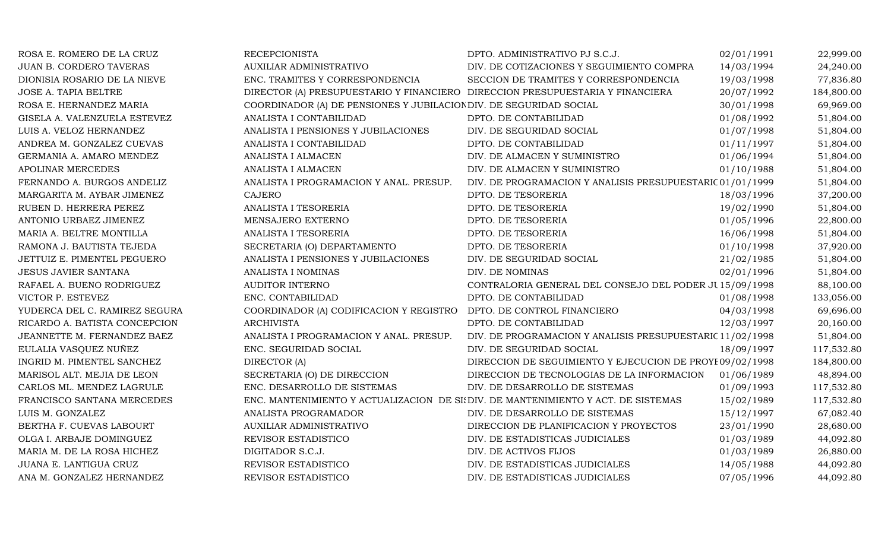| ROSA E. ROMERO DE LA CRUZ      | <b>RECEPCIONISTA</b>                                                               | DPTO. ADMINISTRATIVO PJ S.C.J.                            | 02/01/1991 | 22,999.00  |
|--------------------------------|------------------------------------------------------------------------------------|-----------------------------------------------------------|------------|------------|
| <b>JUAN B. CORDERO TAVERAS</b> | AUXILIAR ADMINISTRATIVO                                                            | DIV. DE COTIZACIONES Y SEGUIMIENTO COMPRA                 | 14/03/1994 | 24,240.00  |
| DIONISIA ROSARIO DE LA NIEVE   | ENC. TRAMITES Y CORRESPONDENCIA                                                    | SECCION DE TRAMITES Y CORRESPONDENCIA                     | 19/03/1998 | 77,836.80  |
| JOSE A. TAPIA BELTRE           | DIRECTOR (A) PRESUPUESTARIO Y FINANCIERO DIRECCION PRESUPUESTARIA Y FINANCIERA     |                                                           | 20/07/1992 | 184,800.00 |
| ROSA E. HERNANDEZ MARIA        | COORDINADOR (A) DE PENSIONES Y JUBILACION DIV. DE SEGURIDAD SOCIAL                 |                                                           | 30/01/1998 | 69,969.00  |
| GISELA A. VALENZUELA ESTEVEZ   | ANALISTA I CONTABILIDAD                                                            | DPTO. DE CONTABILIDAD                                     | 01/08/1992 | 51,804.00  |
| LUIS A. VELOZ HERNANDEZ        | ANALISTA I PENSIONES Y JUBILACIONES                                                | DIV. DE SEGURIDAD SOCIAL                                  | 01/07/1998 | 51,804.00  |
| ANDREA M. GONZALEZ CUEVAS      | ANALISTA I CONTABILIDAD                                                            | DPTO. DE CONTABILIDAD                                     | 01/11/1997 | 51,804.00  |
| GERMANIA A. AMARO MENDEZ       | ANALISTA I ALMACEN                                                                 | DIV. DE ALMACEN Y SUMINISTRO                              | 01/06/1994 | 51,804.00  |
| <b>APOLINAR MERCEDES</b>       | ANALISTA I ALMACEN                                                                 | DIV. DE ALMACEN Y SUMINISTRO                              | 01/10/1988 | 51,804.00  |
| FERNANDO A. BURGOS ANDELIZ     | ANALISTA I PROGRAMACION Y ANAL. PRESUP.                                            | DIV. DE PROGRAMACION Y ANALISIS PRESUPUESTARIC 01/01/1999 |            | 51,804.00  |
| MARGARITA M. AYBAR JIMENEZ     | <b>CAJERO</b>                                                                      | DPTO. DE TESORERIA                                        | 18/03/1996 | 37,200.00  |
| RUBEN D. HERRERA PEREZ         | ANALISTA I TESORERIA                                                               | DPTO. DE TESORERIA                                        | 19/02/1990 | 51,804.00  |
| ANTONIO URBAEZ JIMENEZ         | MENSAJERO EXTERNO                                                                  | DPTO. DE TESORERIA                                        | 01/05/1996 | 22,800.00  |
| MARIA A. BELTRE MONTILLA       | ANALISTA I TESORERIA                                                               | DPTO. DE TESORERIA                                        | 16/06/1998 | 51,804.00  |
| RAMONA J. BAUTISTA TEJEDA      | SECRETARIA (O) DEPARTAMENTO                                                        | DPTO. DE TESORERIA                                        | 01/10/1998 | 37,920.00  |
| JETTUIZ E. PIMENTEL PEGUERO    | ANALISTA I PENSIONES Y JUBILACIONES                                                | DIV. DE SEGURIDAD SOCIAL                                  | 21/02/1985 | 51,804.00  |
| <b>JESUS JAVIER SANTANA</b>    | ANALISTA I NOMINAS                                                                 | DIV. DE NOMINAS                                           | 02/01/1996 | 51,804.00  |
| RAFAEL A. BUENO RODRIGUEZ      | <b>AUDITOR INTERNO</b>                                                             | CONTRALORIA GENERAL DEL CONSEJO DEL PODER JU 15/09/1998   |            | 88,100.00  |
| VICTOR P. ESTEVEZ              | ENC. CONTABILIDAD                                                                  | DPTO. DE CONTABILIDAD                                     | 01/08/1998 | 133,056.00 |
| YUDERCA DEL C. RAMIREZ SEGURA  | COORDINADOR (A) CODIFICACION Y REGISTRO                                            | DPTO. DE CONTROL FINANCIERO                               | 04/03/1998 | 69,696.00  |
| RICARDO A. BATISTA CONCEPCION  | <b>ARCHIVISTA</b>                                                                  | DPTO. DE CONTABILIDAD                                     | 12/03/1997 | 20,160.00  |
| JEANNETTE M. FERNANDEZ BAEZ    | ANALISTA I PROGRAMACION Y ANAL. PRESUP.                                            | DIV. DE PROGRAMACION Y ANALISIS PRESUPUESTARIC 11/02/1998 |            | 51,804.00  |
| EULALIA VASQUEZ NUÑEZ          | ENC. SEGURIDAD SOCIAL                                                              | DIV. DE SEGURIDAD SOCIAL                                  | 18/09/1997 | 117,532.80 |
| INGRID M. PIMENTEL SANCHEZ     | DIRECTOR (A)                                                                       | DIRECCION DE SEGUIMIENTO Y EJECUCION DE PROYE09/02/1998   |            | 184,800.00 |
| MARISOL ALT. MEJIA DE LEON     | SECRETARIA (O) DE DIRECCION                                                        | DIRECCION DE TECNOLOGIAS DE LA INFORMACION                | 01/06/1989 | 48,894.00  |
| CARLOS ML. MENDEZ LAGRULE      | ENC. DESARROLLO DE SISTEMAS                                                        | DIV. DE DESARROLLO DE SISTEMAS                            | 01/09/1993 | 117,532.80 |
| FRANCISCO SANTANA MERCEDES     | ENC. MANTENIMIENTO Y ACTUALIZACION DE SI: DIV. DE MANTENIMIENTO Y ACT. DE SISTEMAS |                                                           | 15/02/1989 | 117,532.80 |
| LUIS M. GONZALEZ               | ANALISTA PROGRAMADOR                                                               | DIV. DE DESARROLLO DE SISTEMAS                            | 15/12/1997 | 67,082.40  |
| BERTHA F. CUEVAS LABOURT       | AUXILIAR ADMINISTRATIVO                                                            | DIRECCION DE PLANIFICACION Y PROYECTOS                    | 23/01/1990 | 28,680.00  |
| OLGA I. ARBAJE DOMINGUEZ       | REVISOR ESTADISTICO                                                                | DIV. DE ESTADISTICAS JUDICIALES                           | 01/03/1989 | 44,092.80  |
| MARIA M. DE LA ROSA HICHEZ     | DIGITADOR S.C.J.                                                                   | DIV. DE ACTIVOS FIJOS                                     | 01/03/1989 | 26,880.00  |
| JUANA E. LANTIGUA CRUZ         | REVISOR ESTADISTICO                                                                | DIV. DE ESTADISTICAS JUDICIALES                           | 14/05/1988 | 44,092.80  |
| ANA M. GONZALEZ HERNANDEZ      | REVISOR ESTADISTICO                                                                | DIV. DE ESTADISTICAS JUDICIALES                           | 07/05/1996 | 44,092.80  |
|                                |                                                                                    |                                                           |            |            |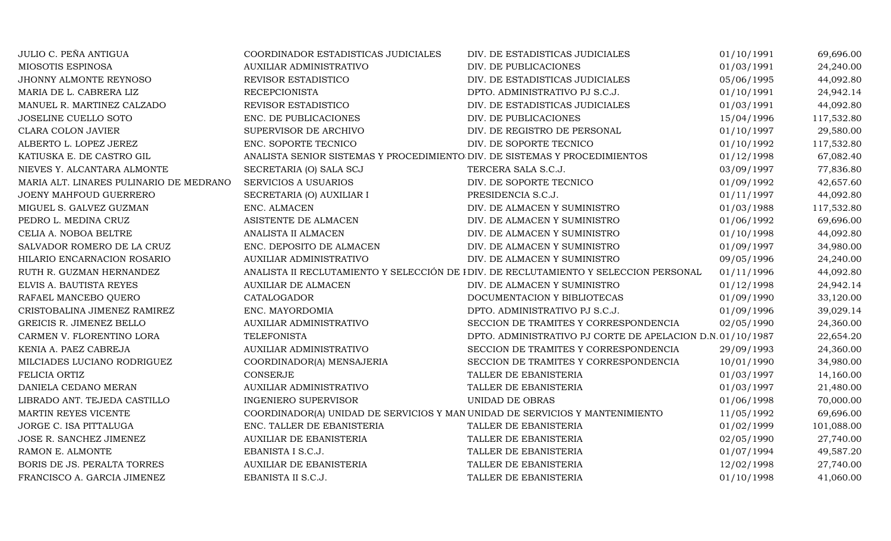| JULIO C. PEÑA ANTIGUA                   | COORDINADOR ESTADISTICAS JUDICIALES                                          | DIV. DE ESTADISTICAS JUDICIALES                                                      | 01/10/1991 | 69,696.00  |
|-----------------------------------------|------------------------------------------------------------------------------|--------------------------------------------------------------------------------------|------------|------------|
| MIOSOTIS ESPINOSA                       | <b>AUXILIAR ADMINISTRATIVO</b>                                               | DIV. DE PUBLICACIONES                                                                | 01/03/1991 | 24,240.00  |
| JHONNY ALMONTE REYNOSO                  | REVISOR ESTADISTICO                                                          | DIV. DE ESTADISTICAS JUDICIALES                                                      | 05/06/1995 | 44,092.80  |
| MARIA DE L. CABRERA LIZ                 | <b>RECEPCIONISTA</b>                                                         | DPTO. ADMINISTRATIVO PJ S.C.J.                                                       | 01/10/1991 | 24,942.14  |
| MANUEL R. MARTINEZ CALZADO              | REVISOR ESTADISTICO                                                          | DIV. DE ESTADISTICAS JUDICIALES                                                      | 01/03/1991 | 44,092.80  |
| JOSELINE CUELLO SOTO                    | ENC. DE PUBLICACIONES                                                        | DIV. DE PUBLICACIONES                                                                | 15/04/1996 | 117,532.80 |
| <b>CLARA COLON JAVIER</b>               | SUPERVISOR DE ARCHIVO                                                        | DIV. DE REGISTRO DE PERSONAL                                                         | 01/10/1997 | 29,580.00  |
| ALBERTO L. LOPEZ JEREZ                  | ENC. SOPORTE TECNICO                                                         | DIV. DE SOPORTE TECNICO                                                              | 01/10/1992 | 117,532.80 |
| KATIUSKA E. DE CASTRO GIL               | ANALISTA SENIOR SISTEMAS Y PROCEDIMIENTO DIV. DE SISTEMAS Y PROCEDIMIENTOS   |                                                                                      | 01/12/1998 | 67,082.40  |
| NIEVES Y. ALCANTARA ALMONTE             | SECRETARIA (O) SALA SCJ                                                      | TERCERA SALA S.C.J.                                                                  | 03/09/1997 | 77,836.80  |
| MARIA ALT. LINARES PULINARIO DE MEDRANO | <b>SERVICIOS A USUARIOS</b>                                                  | DIV. DE SOPORTE TECNICO                                                              | 01/09/1992 | 42,657.60  |
| JOENY MAHFOUD GUERRERO                  | SECRETARIA (O) AUXILIAR I                                                    | PRESIDENCIA S.C.J.                                                                   | 01/11/1997 | 44,092.80  |
| MIGUEL S. GALVEZ GUZMAN                 | ENC. ALMACEN                                                                 | DIV. DE ALMACEN Y SUMINISTRO                                                         | 01/03/1988 | 117,532.80 |
| PEDRO L. MEDINA CRUZ                    | ASISTENTE DE ALMACEN                                                         | DIV. DE ALMACEN Y SUMINISTRO                                                         | 01/06/1992 | 69,696.00  |
| CELIA A. NOBOA BELTRE                   | ANALISTA II ALMACEN                                                          | DIV. DE ALMACEN Y SUMINISTRO                                                         | 01/10/1998 | 44,092.80  |
| SALVADOR ROMERO DE LA CRUZ              | ENC. DEPOSITO DE ALMACEN                                                     | DIV. DE ALMACEN Y SUMINISTRO                                                         | 01/09/1997 | 34,980.00  |
| HILARIO ENCARNACION ROSARIO             | AUXILIAR ADMINISTRATIVO                                                      | DIV. DE ALMACEN Y SUMINISTRO                                                         | 09/05/1996 | 24,240.00  |
| RUTH R. GUZMAN HERNANDEZ                |                                                                              | ANALISTA II RECLUTAMIENTO Y SELECCIÓN DE IDIV. DE RECLUTAMIENTO Y SELECCION PERSONAL | 01/11/1996 | 44,092.80  |
| ELVIS A. BAUTISTA REYES                 | <b>AUXILIAR DE ALMACEN</b>                                                   | DIV. DE ALMACEN Y SUMINISTRO                                                         | 01/12/1998 | 24,942.14  |
| RAFAEL MANCEBO QUERO                    | CATALOGADOR                                                                  | DOCUMENTACION Y BIBLIOTECAS                                                          | 01/09/1990 | 33,120.00  |
| CRISTOBALINA JIMENEZ RAMIREZ            | ENC. MAYORDOMIA                                                              | DPTO. ADMINISTRATIVO PJ S.C.J.                                                       | 01/09/1996 | 39,029.14  |
| GREICIS R. JIMENEZ BELLO                | <b>AUXILIAR ADMINISTRATIVO</b>                                               | SECCION DE TRAMITES Y CORRESPONDENCIA                                                | 02/05/1990 | 24,360.00  |
| CARMEN V. FLORENTINO LORA               | <b>TELEFONISTA</b>                                                           | DPTO. ADMINISTRATIVO PJ CORTE DE APELACION D.N.01/10/1987                            |            | 22,654.20  |
| KENIA A. PAEZ CABREJA                   | AUXILIAR ADMINISTRATIVO                                                      | SECCION DE TRAMITES Y CORRESPONDENCIA                                                | 29/09/1993 | 24,360.00  |
| MILCIADES LUCIANO RODRIGUEZ             | COORDINADOR(A) MENSAJERIA                                                    | SECCION DE TRAMITES Y CORRESPONDENCIA                                                | 10/01/1990 | 34,980.00  |
| FELICIA ORTIZ                           | CONSERJE                                                                     | TALLER DE EBANISTERIA                                                                | 01/03/1997 | 14,160.00  |
| DANIELA CEDANO MERAN                    | AUXILIAR ADMINISTRATIVO                                                      | TALLER DE EBANISTERIA                                                                | 01/03/1997 | 21,480.00  |
| LIBRADO ANT. TEJEDA CASTILLO            | <b>INGENIERO SUPERVISOR</b>                                                  | UNIDAD DE OBRAS                                                                      | 01/06/1998 | 70,000.00  |
| MARTIN REYES VICENTE                    | COORDINADOR(A) UNIDAD DE SERVICIOS Y MAN UNIDAD DE SERVICIOS Y MANTENIMIENTO |                                                                                      | 11/05/1992 | 69,696.00  |
| JORGE C. ISA PITTALUGA                  | ENC. TALLER DE EBANISTERIA                                                   | TALLER DE EBANISTERIA                                                                | 01/02/1999 | 101,088.00 |
| JOSE R. SANCHEZ JIMENEZ                 | AUXILIAR DE EBANISTERIA                                                      | TALLER DE EBANISTERIA                                                                | 02/05/1990 | 27,740.00  |
| RAMON E. ALMONTE                        | EBANISTA I S.C.J.                                                            | TALLER DE EBANISTERIA                                                                | 01/07/1994 | 49,587.20  |
| BORIS DE JS. PERALTA TORRES             | <b>AUXILIAR DE EBANISTERIA</b>                                               | TALLER DE EBANISTERIA                                                                | 12/02/1998 | 27,740.00  |
| FRANCISCO A. GARCIA JIMENEZ             | EBANISTA II S.C.J.                                                           | TALLER DE EBANISTERIA                                                                | 01/10/1998 | 41,060.00  |
|                                         |                                                                              |                                                                                      |            |            |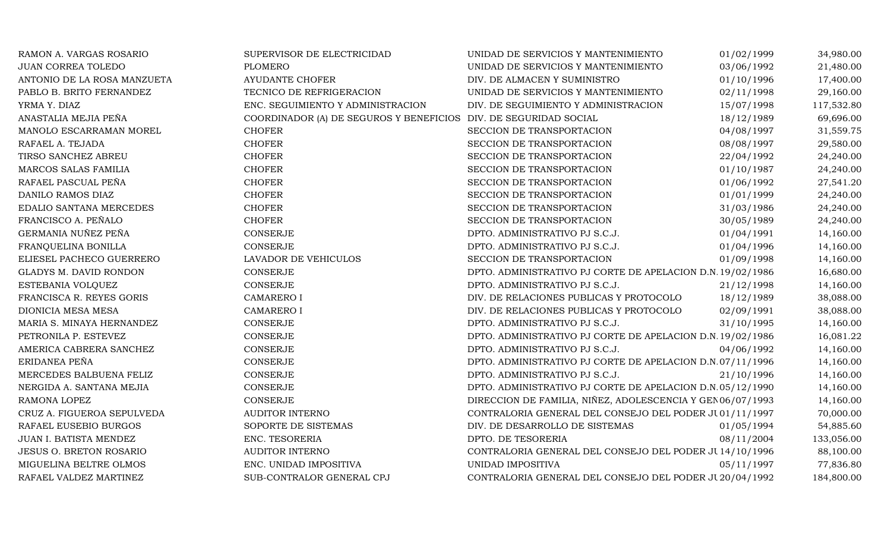| RAMON A. VARGAS ROSARIO        | SUPERVISOR DE ELECTRICIDAD                                       | UNIDAD DE SERVICIOS Y MANTENIMIENTO                        | 01/02/1999 | 34,980.00  |
|--------------------------------|------------------------------------------------------------------|------------------------------------------------------------|------------|------------|
| JUAN CORREA TOLEDO             | <b>PLOMERO</b>                                                   | UNIDAD DE SERVICIOS Y MANTENIMIENTO                        | 03/06/1992 | 21,480.00  |
| ANTONIO DE LA ROSA MANZUETA    | <b>AYUDANTE CHOFER</b>                                           | DIV. DE ALMACEN Y SUMINISTRO                               | 01/10/1996 | 17,400.00  |
| PABLO B. BRITO FERNANDEZ       | TECNICO DE REFRIGERACION                                         | UNIDAD DE SERVICIOS Y MANTENIMIENTO                        | 02/11/1998 | 29,160.00  |
| YRMA Y. DIAZ                   | ENC. SEGUIMIENTO Y ADMINISTRACION                                | DIV. DE SEGUIMIENTO Y ADMINISTRACION                       | 15/07/1998 | 117,532.80 |
| ANASTALIA MEJIA PEÑA           | COORDINADOR (A) DE SEGUROS Y BENEFICIOS DIV. DE SEGURIDAD SOCIAL |                                                            | 18/12/1989 | 69,696.00  |
| MANOLO ESCARRAMAN MOREL        | <b>CHOFER</b>                                                    | SECCION DE TRANSPORTACION                                  | 04/08/1997 | 31,559.75  |
| RAFAEL A. TEJADA               | <b>CHOFER</b>                                                    | SECCION DE TRANSPORTACION                                  | 08/08/1997 | 29,580.00  |
| TIRSO SANCHEZ ABREU            | <b>CHOFER</b>                                                    | SECCION DE TRANSPORTACION                                  | 22/04/1992 | 24,240.00  |
| MARCOS SALAS FAMILIA           | <b>CHOFER</b>                                                    | SECCION DE TRANSPORTACION                                  | 01/10/1987 | 24,240.00  |
| RAFAEL PASCUAL PEÑA            | <b>CHOFER</b>                                                    | SECCION DE TRANSPORTACION                                  | 01/06/1992 | 27,541.20  |
| DANILO RAMOS DIAZ              | <b>CHOFER</b>                                                    | SECCION DE TRANSPORTACION                                  | 01/01/1999 | 24,240.00  |
| EDALIO SANTANA MERCEDES        | <b>CHOFER</b>                                                    | SECCION DE TRANSPORTACION                                  | 31/03/1986 | 24,240.00  |
| FRANCISCO A. PEÑALO            | <b>CHOFER</b>                                                    | SECCION DE TRANSPORTACION                                  | 30/05/1989 | 24,240.00  |
| GERMANIA NUÑEZ PEÑA            | <b>CONSERJE</b>                                                  | DPTO. ADMINISTRATIVO PJ S.C.J.                             | 01/04/1991 | 14,160.00  |
| FRANQUELINA BONILLA            | <b>CONSERJE</b>                                                  | DPTO. ADMINISTRATIVO PJ S.C.J.                             | 01/04/1996 | 14,160.00  |
| ELIESEL PACHECO GUERRERO       | LAVADOR DE VEHICULOS                                             | SECCION DE TRANSPORTACION                                  | 01/09/1998 | 14,160.00  |
| GLADYS M. DAVID RONDON         | <b>CONSERJE</b>                                                  | DPTO. ADMINISTRATIVO PJ CORTE DE APELACION D.N. 19/02/1986 |            | 16,680.00  |
| ESTEBANIA VOLQUEZ              | <b>CONSERJE</b>                                                  | DPTO. ADMINISTRATIVO PJ S.C.J.                             | 21/12/1998 | 14,160.00  |
| FRANCISCA R. REYES GORIS       | <b>CAMARERO I</b>                                                | DIV. DE RELACIONES PUBLICAS Y PROTOCOLO                    | 18/12/1989 | 38,088.00  |
| DIONICIA MESA MESA             | <b>CAMARERO I</b>                                                | DIV. DE RELACIONES PUBLICAS Y PROTOCOLO                    | 02/09/1991 | 38,088.00  |
| MARIA S. MINAYA HERNANDEZ      | CONSERJE                                                         | DPTO. ADMINISTRATIVO PJ S.C.J.                             | 31/10/1995 | 14,160.00  |
| PETRONILA P. ESTEVEZ           | <b>CONSERJE</b>                                                  | DPTO. ADMINISTRATIVO PJ CORTE DE APELACION D.N. 19/02/1986 |            | 16,081.22  |
| AMERICA CABRERA SANCHEZ        | <b>CONSERJE</b>                                                  | DPTO. ADMINISTRATIVO PJ S.C.J.                             | 04/06/1992 | 14,160.00  |
| ERIDANEA PEÑA                  | <b>CONSERJE</b>                                                  | DPTO. ADMINISTRATIVO PJ CORTE DE APELACION D.N.07/11/1996  |            | 14,160.00  |
| MERCEDES BALBUENA FELIZ        | <b>CONSERJE</b>                                                  | DPTO. ADMINISTRATIVO PJ S.C.J.                             | 21/10/1996 | 14,160.00  |
| NERGIDA A. SANTANA MEJIA       | <b>CONSERJE</b>                                                  | DPTO. ADMINISTRATIVO PJ CORTE DE APELACION D.N.05/12/1990  |            | 14,160.00  |
| RAMONA LOPEZ                   | <b>CONSERJE</b>                                                  | DIRECCION DE FAMILIA, NIÑEZ, ADOLESCENCIA Y GEN 06/07/1993 |            | 14,160.00  |
| CRUZ A. FIGUEROA SEPULVEDA     | <b>AUDITOR INTERNO</b>                                           | CONTRALORIA GENERAL DEL CONSEJO DEL PODER JU 01/11/1997    |            | 70,000.00  |
| RAFAEL EUSEBIO BURGOS          | SOPORTE DE SISTEMAS                                              | DIV. DE DESARROLLO DE SISTEMAS                             | 01/05/1994 | 54,885.60  |
| JUAN I. BATISTA MENDEZ         | ENC. TESORERIA                                                   | DPTO. DE TESORERIA                                         | 08/11/2004 | 133,056.00 |
| <b>JESUS O. BRETON ROSARIO</b> | <b>AUDITOR INTERNO</b>                                           | CONTRALORIA GENERAL DEL CONSEJO DEL PODER JU 14/10/1996    |            | 88,100.00  |
| MIGUELINA BELTRE OLMOS         | ENC. UNIDAD IMPOSITIVA                                           | UNIDAD IMPOSITIVA                                          | 05/11/1997 | 77,836.80  |
| RAFAEL VALDEZ MARTINEZ         | SUB-CONTRALOR GENERAL CPJ                                        | CONTRALORIA GENERAL DEL CONSEJO DEL PODER JU 20/04/1992    |            | 184,800.00 |
|                                |                                                                  |                                                            |            |            |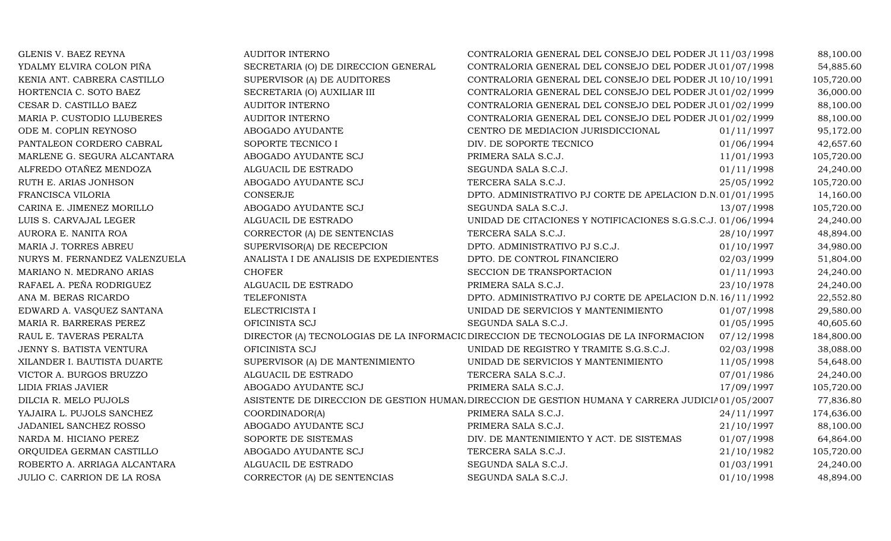| GLENIS V. BAEZ REYNA          | <b>AUDITOR INTERNO</b>                | CONTRALORIA GENERAL DEL CONSEJO DEL PODER JU11/03/1998                                          |            | 88,100.00  |
|-------------------------------|---------------------------------------|-------------------------------------------------------------------------------------------------|------------|------------|
| YDALMY ELVIRA COLON PIÑA      | SECRETARIA (O) DE DIRECCION GENERAL   | CONTRALORIA GENERAL DEL CONSEJO DEL PODER JU01/07/1998                                          |            | 54,885.60  |
| KENIA ANT. CABRERA CASTILLO   | SUPERVISOR (A) DE AUDITORES           | CONTRALORIA GENERAL DEL CONSEJO DEL PODER JU10/10/1991                                          |            | 105,720.00 |
| HORTENCIA C. SOTO BAEZ        | SECRETARIA (O) AUXILIAR III           | CONTRALORIA GENERAL DEL CONSEJO DEL PODER JU01/02/1999                                          |            | 36,000.00  |
| CESAR D. CASTILLO BAEZ        | <b>AUDITOR INTERNO</b>                | CONTRALORIA GENERAL DEL CONSEJO DEL PODER JU01/02/1999                                          |            | 88,100.00  |
| MARIA P. CUSTODIO LLUBERES    | AUDITOR INTERNO                       | CONTRALORIA GENERAL DEL CONSEJO DEL PODER JU01/02/1999                                          |            | 88,100.00  |
| ODE M. COPLIN REYNOSO         | ABOGADO AYUDANTE                      | CENTRO DE MEDIACION JURISDICCIONAL                                                              | 01/11/1997 | 95,172.00  |
| PANTALEON CORDERO CABRAL      | SOPORTE TECNICO I                     | DIV. DE SOPORTE TECNICO                                                                         | 01/06/1994 | 42,657.60  |
| MARLENE G. SEGURA ALCANTARA   | ABOGADO AYUDANTE SCJ                  | PRIMERA SALA S.C.J.                                                                             | 11/01/1993 | 105,720.00 |
| ALFREDO OTAÑEZ MENDOZA        | ALGUACIL DE ESTRADO                   | SEGUNDA SALA S.C.J.                                                                             | 01/11/1998 | 24,240.00  |
| RUTH E. ARIAS JONHSON         | ABOGADO AYUDANTE SCJ                  | TERCERA SALA S.C.J.                                                                             | 25/05/1992 | 105,720.00 |
| FRANCISCA VILORIA             | <b>CONSERJE</b>                       | DPTO. ADMINISTRATIVO PJ CORTE DE APELACION D.N.01/01/1995                                       |            | 14,160.00  |
| CARINA E. JIMENEZ MORILLO     | ABOGADO AYUDANTE SCJ                  | SEGUNDA SALA S.C.J.                                                                             | 13/07/1998 | 105,720.00 |
| LUIS S. CARVAJAL LEGER        | ALGUACIL DE ESTRADO                   | UNIDAD DE CITACIONES Y NOTIFICACIONES S.G.S.C.J. 01/06/1994                                     |            | 24,240.00  |
| AURORA E. NANITA ROA          | CORRECTOR (A) DE SENTENCIAS           | TERCERA SALA S.C.J.                                                                             | 28/10/1997 | 48,894.00  |
| MARIA J. TORRES ABREU         | SUPERVISOR(A) DE RECEPCION            | DPTO. ADMINISTRATIVO PJ S.C.J.                                                                  | 01/10/1997 | 34,980.00  |
| NURYS M. FERNANDEZ VALENZUELA | ANALISTA I DE ANALISIS DE EXPEDIENTES | DPTO. DE CONTROL FINANCIERO                                                                     | 02/03/1999 | 51,804.00  |
| MARIANO N. MEDRANO ARIAS      | <b>CHOFER</b>                         | SECCION DE TRANSPORTACION                                                                       | 01/11/1993 | 24,240.00  |
| RAFAEL A. PEÑA RODRIGUEZ      | ALGUACIL DE ESTRADO                   | PRIMERA SALA S.C.J.                                                                             | 23/10/1978 | 24,240.00  |
| ANA M. BERAS RICARDO          | <b>TELEFONISTA</b>                    | DPTO. ADMINISTRATIVO PJ CORTE DE APELACION D.N. 16/11/1992                                      |            | 22,552.80  |
| EDWARD A. VASQUEZ SANTANA     | ELECTRICISTA I                        | UNIDAD DE SERVICIOS Y MANTENIMIENTO                                                             | 01/07/1998 | 29,580.00  |
| MARIA R. BARRERAS PEREZ       | OFICINISTA SCJ                        | SEGUNDA SALA S.C.J.                                                                             | 01/05/1995 | 40,605.60  |
| RAUL E. TAVERAS PERALTA       |                                       | DIRECTOR (A) TECNOLOGIAS DE LA INFORMACIC DIRECCION DE TECNOLOGIAS DE LA INFORMACION            | 07/12/1998 | 184,800.00 |
| JENNY S. BATISTA VENTURA      | OFICINISTA SCJ                        | UNIDAD DE REGISTRO Y TRAMITE S.G.S.C.J.                                                         | 02/03/1998 | 38,088.00  |
| XILANDER I. BAUTISTA DUARTE   | SUPERVISOR (A) DE MANTENIMIENTO       | UNIDAD DE SERVICIOS Y MANTENIMIENTO                                                             | 11/05/1998 | 54,648.00  |
| VICTOR A. BURGOS BRUZZO       | ALGUACIL DE ESTRADO                   | TERCERA SALA S.C.J.                                                                             | 07/01/1986 | 24,240.00  |
| LIDIA FRIAS JAVIER            | ABOGADO AYUDANTE SCJ                  | PRIMERA SALA S.C.J.                                                                             | 17/09/1997 | 105,720.00 |
| DILCIA R. MELO PUJOLS         |                                       | ASISTENTE DE DIRECCION DE GESTION HUMAN DIRECCION DE GESTION HUMANA Y CARRERA JUDICIA01/05/2007 |            | 77,836.80  |
| YAJAIRA L. PUJOLS SANCHEZ     | COORDINADOR(A)                        | PRIMERA SALA S.C.J.                                                                             | 24/11/1997 | 174,636.00 |
| JADANIEL SANCHEZ ROSSO        | ABOGADO AYUDANTE SCJ                  | PRIMERA SALA S.C.J.                                                                             | 21/10/1997 | 88,100.00  |
| NARDA M. HICIANO PEREZ        | SOPORTE DE SISTEMAS                   | DIV. DE MANTENIMIENTO Y ACT. DE SISTEMAS                                                        | 01/07/1998 | 64,864.00  |
| ORQUIDEA GERMAN CASTILLO      | ABOGADO AYUDANTE SCJ                  | TERCERA SALA S.C.J.                                                                             | 21/10/1982 | 105,720.00 |
| ROBERTO A. ARRIAGA ALCANTARA  | ALGUACIL DE ESTRADO                   | SEGUNDA SALA S.C.J.                                                                             | 01/03/1991 | 24,240.00  |
| JULIO C. CARRION DE LA ROSA   | CORRECTOR (A) DE SENTENCIAS           | SEGUNDA SALA S.C.J.                                                                             | 01/10/1998 | 48,894.00  |
|                               |                                       |                                                                                                 |            |            |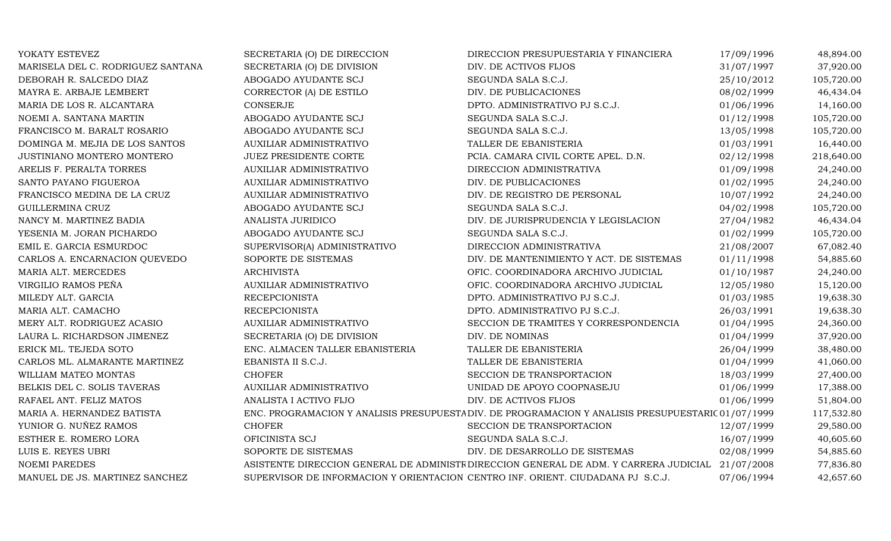| YOKATY ESTEVEZ                    | SECRETARIA (O) DE DIRECCION     | DIRECCION PRESUPUESTARIA Y FINANCIERA                                                              | 17/09/1996 | 48,894.00  |
|-----------------------------------|---------------------------------|----------------------------------------------------------------------------------------------------|------------|------------|
| MARISELA DEL C. RODRIGUEZ SANTANA | SECRETARIA (O) DE DIVISION      | DIV. DE ACTIVOS FIJOS                                                                              | 31/07/1997 | 37,920.00  |
| DEBORAH R. SALCEDO DIAZ           | ABOGADO AYUDANTE SCJ            | SEGUNDA SALA S.C.J.                                                                                | 25/10/2012 | 105,720.00 |
| MAYRA E. ARBAJE LEMBERT           | CORRECTOR (A) DE ESTILO         | DIV. DE PUBLICACIONES                                                                              | 08/02/1999 | 46,434.04  |
| MARIA DE LOS R. ALCANTARA         | <b>CONSERJE</b>                 | DPTO. ADMINISTRATIVO PJ S.C.J.                                                                     | 01/06/1996 | 14,160.00  |
| NOEMI A. SANTANA MARTIN           | ABOGADO AYUDANTE SCJ            | SEGUNDA SALA S.C.J.                                                                                | 01/12/1998 | 105,720.00 |
| FRANCISCO M. BARALT ROSARIO       | ABOGADO AYUDANTE SCJ            | SEGUNDA SALA S.C.J.                                                                                | 13/05/1998 | 105,720.00 |
| DOMINGA M. MEJIA DE LOS SANTOS    | AUXILIAR ADMINISTRATIVO         | TALLER DE EBANISTERIA                                                                              | 01/03/1991 | 16,440.00  |
| JUSTINIANO MONTERO MONTERO        | <b>JUEZ PRESIDENTE CORTE</b>    | PCIA. CAMARA CIVIL CORTE APEL. D.N.                                                                | 02/12/1998 | 218,640.00 |
| ARELIS F. PERALTA TORRES          | AUXILIAR ADMINISTRATIVO         | DIRECCION ADMINISTRATIVA                                                                           | 01/09/1998 | 24,240.00  |
| SANTO PAYANO FIGUEROA             | AUXILIAR ADMINISTRATIVO         | DIV. DE PUBLICACIONES                                                                              | 01/02/1995 | 24,240.00  |
| FRANCISCO MEDINA DE LA CRUZ       | AUXILIAR ADMINISTRATIVO         | DIV. DE REGISTRO DE PERSONAL                                                                       | 10/07/1992 | 24,240.00  |
| GUILLERMINA CRUZ                  | ABOGADO AYUDANTE SCJ            | SEGUNDA SALA S.C.J.                                                                                | 04/02/1998 | 105,720.00 |
| NANCY M. MARTINEZ BADIA           | ANALISTA JURIDICO               | DIV. DE JURISPRUDENCIA Y LEGISLACION                                                               | 27/04/1982 | 46,434.04  |
| YESENIA M. JORAN PICHARDO         | ABOGADO AYUDANTE SCJ            | SEGUNDA SALA S.C.J.                                                                                | 01/02/1999 | 105,720.00 |
| EMIL E. GARCIA ESMURDOC           | SUPERVISOR(A) ADMINISTRATIVO    | DIRECCION ADMINISTRATIVA                                                                           | 21/08/2007 | 67,082.40  |
| CARLOS A. ENCARNACION QUEVEDO     | SOPORTE DE SISTEMAS             | DIV. DE MANTENIMIENTO Y ACT. DE SISTEMAS                                                           | 01/11/1998 | 54,885.60  |
| MARIA ALT. MERCEDES               | <b>ARCHIVISTA</b>               | OFIC. COORDINADORA ARCHIVO JUDICIAL                                                                | 01/10/1987 | 24,240.00  |
| VIRGILIO RAMOS PEÑA               | AUXILIAR ADMINISTRATIVO         | OFIC. COORDINADORA ARCHIVO JUDICIAL                                                                | 12/05/1980 | 15,120.00  |
| MILEDY ALT. GARCIA                | <b>RECEPCIONISTA</b>            | DPTO. ADMINISTRATIVO PJ S.C.J.                                                                     | 01/03/1985 | 19,638.30  |
| MARIA ALT. CAMACHO                | <b>RECEPCIONISTA</b>            | DPTO. ADMINISTRATIVO PJ S.C.J.                                                                     | 26/03/1991 | 19,638.30  |
| MERY ALT. RODRIGUEZ ACASIO        | AUXILIAR ADMINISTRATIVO         | SECCION DE TRAMITES Y CORRESPONDENCIA                                                              | 01/04/1995 | 24,360.00  |
| LAURA L. RICHARDSON JIMENEZ       | SECRETARIA (O) DE DIVISION      | DIV. DE NOMINAS                                                                                    | 01/04/1999 | 37,920.00  |
| ERICK ML. TEJEDA SOTO             | ENC. ALMACEN TALLER EBANISTERIA | TALLER DE EBANISTERIA                                                                              | 26/04/1999 | 38,480.00  |
| CARLOS ML. ALMARANTE MARTINEZ     | EBANISTA II S.C.J.              | TALLER DE EBANISTERIA                                                                              | 01/04/1999 | 41,060.00  |
| WILLIAM MATEO MONTAS              | <b>CHOFER</b>                   | SECCION DE TRANSPORTACION                                                                          | 18/03/1999 | 27,400.00  |
| BELKIS DEL C. SOLIS TAVERAS       | <b>AUXILIAR ADMINISTRATIVO</b>  | UNIDAD DE APOYO COOPNASEJU                                                                         | 01/06/1999 | 17,388.00  |
| RAFAEL ANT. FELIZ MATOS           | ANALISTA I ACTIVO FIJO          | DIV. DE ACTIVOS FIJOS                                                                              | 01/06/1999 | 51,804.00  |
| MARIA A. HERNANDEZ BATISTA        |                                 | ENC. PROGRAMACION Y ANALISIS PRESUPUESTA DIV. DE PROGRAMACION Y ANALISIS PRESUPUESTARIC 01/07/1999 |            | 117,532.80 |
| YUNIOR G. NUÑEZ RAMOS             | <b>CHOFER</b>                   | SECCION DE TRANSPORTACION                                                                          | 12/07/1999 | 29,580.00  |
| ESTHER E. ROMERO LORA             | OFICINISTA SCJ                  | SEGUNDA SALA S.C.J.                                                                                | 16/07/1999 | 40,605.60  |
| LUIS E. REYES UBRI                | SOPORTE DE SISTEMAS             | DIV. DE DESARROLLO DE SISTEMAS                                                                     | 02/08/1999 | 54,885.60  |
| <b>NOEMI PAREDES</b>              |                                 | ASISTENTE DIRECCION GENERAL DE ADMINISTE DIRECCION GENERAL DE ADM. Y CARRERA JUDICIAL 21/07/2008   |            | 77,836.80  |
| MANUEL DE JS. MARTINEZ SANCHEZ    |                                 | SUPERVISOR DE INFORMACION Y ORIENTACION CENTRO INF. ORIENT. CIUDADANA PJ S.C.J.                    | 07/06/1994 | 42,657.60  |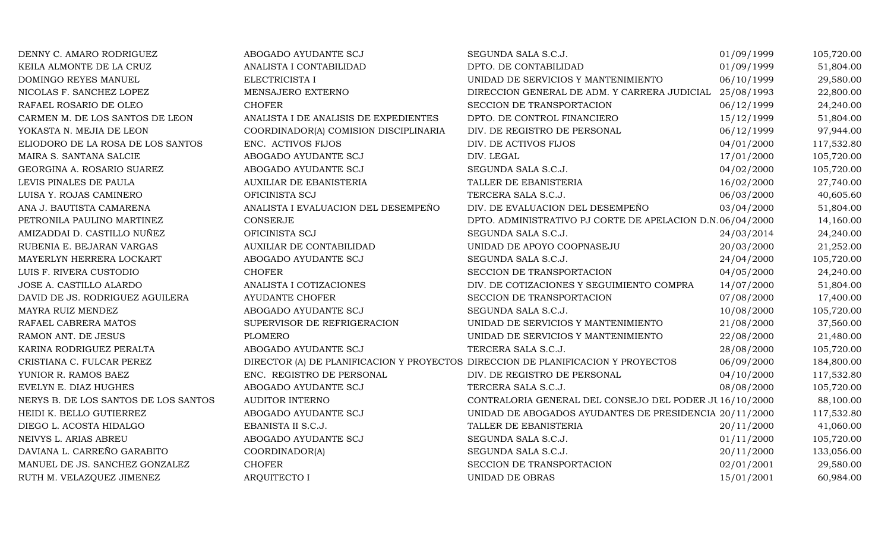| DENNY C. AMARO RODRIGUEZ             | ABOGADO AYUDANTE SCJ                                                             | SEGUNDA SALA S.C.J.                                       | 01/09/1999 | 105,720.00 |
|--------------------------------------|----------------------------------------------------------------------------------|-----------------------------------------------------------|------------|------------|
| KEILA ALMONTE DE LA CRUZ             | ANALISTA I CONTABILIDAD                                                          | DPTO. DE CONTABILIDAD                                     | 01/09/1999 | 51,804.00  |
| DOMINGO REYES MANUEL                 | ELECTRICISTA I                                                                   | UNIDAD DE SERVICIOS Y MANTENIMIENTO                       | 06/10/1999 | 29,580.00  |
| NICOLAS F. SANCHEZ LOPEZ             | MENSAJERO EXTERNO                                                                | DIRECCION GENERAL DE ADM. Y CARRERA JUDICIAL              | 25/08/1993 | 22,800.00  |
| RAFAEL ROSARIO DE OLEO               | <b>CHOFER</b>                                                                    | SECCION DE TRANSPORTACION                                 | 06/12/1999 | 24,240.00  |
| CARMEN M. DE LOS SANTOS DE LEON      | ANALISTA I DE ANALISIS DE EXPEDIENTES                                            | DPTO. DE CONTROL FINANCIERO                               | 15/12/1999 | 51,804.00  |
| YOKASTA N. MEJIA DE LEON             | COORDINADOR(A) COMISION DISCIPLINARIA                                            | DIV. DE REGISTRO DE PERSONAL                              | 06/12/1999 | 97,944.00  |
| ELIODORO DE LA ROSA DE LOS SANTOS    | ENC. ACTIVOS FIJOS                                                               | DIV. DE ACTIVOS FIJOS                                     | 04/01/2000 | 117,532.80 |
| MAIRA S. SANTANA SALCIE              | ABOGADO AYUDANTE SCJ                                                             | DIV. LEGAL                                                | 17/01/2000 | 105,720.00 |
| GEORGINA A. ROSARIO SUAREZ           | ABOGADO AYUDANTE SCJ                                                             | SEGUNDA SALA S.C.J.                                       | 04/02/2000 | 105,720.00 |
| LEVIS PINALES DE PAULA               | AUXILIAR DE EBANISTERIA                                                          | TALLER DE EBANISTERIA                                     | 16/02/2000 | 27,740.00  |
| LUISA Y. ROJAS CAMINERO              | OFICINISTA SCJ                                                                   | TERCERA SALA S.C.J.                                       | 06/03/2000 | 40,605.60  |
| ANA J. BAUTISTA CAMARENA             | ANALISTA I EVALUACION DEL DESEMPEÑO                                              | DIV. DE EVALUACION DEL DESEMPEÑO                          | 03/04/2000 | 51,804.00  |
| PETRONILA PAULINO MARTINEZ           | <b>CONSERJE</b>                                                                  | DPTO. ADMINISTRATIVO PJ CORTE DE APELACION D.N.06/04/2000 |            | 14,160.00  |
| AMIZADDAI D. CASTILLO NUÑEZ          | OFICINISTA SCJ                                                                   | SEGUNDA SALA S.C.J.                                       | 24/03/2014 | 24,240.00  |
| RUBENIA E. BEJARAN VARGAS            | AUXILIAR DE CONTABILIDAD                                                         | UNIDAD DE APOYO COOPNASEJU                                | 20/03/2000 | 21,252.00  |
| MAYERLYN HERRERA LOCKART             | ABOGADO AYUDANTE SCJ                                                             | SEGUNDA SALA S.C.J.                                       | 24/04/2000 | 105,720.00 |
| LUIS F. RIVERA CUSTODIO              | <b>CHOFER</b>                                                                    | SECCION DE TRANSPORTACION                                 | 04/05/2000 | 24,240.00  |
| JOSE A. CASTILLO ALARDO              | ANALISTA I COTIZACIONES                                                          | DIV. DE COTIZACIONES Y SEGUIMIENTO COMPRA                 | 14/07/2000 | 51,804.00  |
| DAVID DE JS. RODRIGUEZ AGUILERA      | <b>AYUDANTE CHOFER</b>                                                           | SECCION DE TRANSPORTACION                                 | 07/08/2000 | 17,400.00  |
| MAYRA RUIZ MENDEZ                    | ABOGADO AYUDANTE SCJ                                                             | SEGUNDA SALA S.C.J.                                       | 10/08/2000 | 105,720.00 |
| RAFAEL CABRERA MATOS                 | SUPERVISOR DE REFRIGERACION                                                      | UNIDAD DE SERVICIOS Y MANTENIMIENTO                       | 21/08/2000 | 37,560.00  |
| RAMON ANT. DE JESUS                  | <b>PLOMERO</b>                                                                   | UNIDAD DE SERVICIOS Y MANTENIMIENTO                       | 22/08/2000 | 21,480.00  |
| KARINA RODRIGUEZ PERALTA             | ABOGADO AYUDANTE SCJ                                                             | TERCERA SALA S.C.J.                                       | 28/08/2000 | 105,720.00 |
| CRISTIANA C. FULCAR PEREZ            | DIRECTOR (A) DE PLANIFICACION Y PROYECTOS DIRECCION DE PLANIFICACION Y PROYECTOS |                                                           | 06/09/2000 | 184,800.00 |
| YUNIOR R. RAMOS BAEZ                 | ENC. REGISTRO DE PERSONAL                                                        | DIV. DE REGISTRO DE PERSONAL                              | 04/10/2000 | 117,532.80 |
| EVELYN E. DIAZ HUGHES                | ABOGADO AYUDANTE SCJ                                                             | TERCERA SALA S.C.J.                                       | 08/08/2000 | 105,720.00 |
| NERYS B. DE LOS SANTOS DE LOS SANTOS | <b>AUDITOR INTERNO</b>                                                           | CONTRALORIA GENERAL DEL CONSEJO DEL PODER JU16/10/2000    |            | 88,100.00  |
| HEIDI K. BELLO GUTIERREZ             | ABOGADO AYUDANTE SCJ                                                             | UNIDAD DE ABOGADOS AYUDANTES DE PRESIDENCIA 20/11/2000    |            | 117,532.80 |
| DIEGO L. ACOSTA HIDALGO              | EBANISTA II S.C.J.                                                               | TALLER DE EBANISTERIA                                     | 20/11/2000 | 41,060.00  |
| NEIVYS L. ARIAS ABREU                | ABOGADO AYUDANTE SCJ                                                             | SEGUNDA SALA S.C.J.                                       | 01/11/2000 | 105,720.00 |
| DAVIANA L. CARREÑO GARABITO          | COORDINADOR(A)                                                                   | SEGUNDA SALA S.C.J.                                       | 20/11/2000 | 133,056.00 |
| MANUEL DE JS. SANCHEZ GONZALEZ       | <b>CHOFER</b>                                                                    | SECCION DE TRANSPORTACION                                 | 02/01/2001 | 29,580.00  |
| RUTH M. VELAZQUEZ JIMENEZ            | <b>ARQUITECTO I</b>                                                              | UNIDAD DE OBRAS                                           | 15/01/2001 | 60,984.00  |
|                                      |                                                                                  |                                                           |            |            |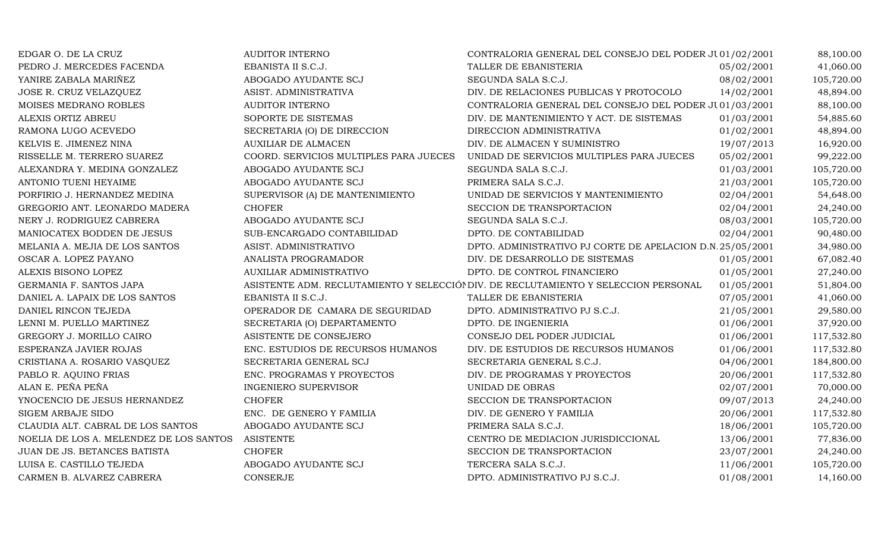| EDGAR O. DE LA CRUZ                     | <b>AUDITOR INTERNO</b>                 | CONTRALORIA GENERAL DEL CONSEJO DEL PODER JU01/02/2001                              |            | 88,100.00  |
|-----------------------------------------|----------------------------------------|-------------------------------------------------------------------------------------|------------|------------|
| PEDRO J. MERCEDES FACENDA               | EBANISTA II S.C.J.                     | TALLER DE EBANISTERIA                                                               | 05/02/2001 | 41,060.00  |
| YANIRE ZABALA MARIÑEZ                   | ABOGADO AYUDANTE SCJ                   | SEGUNDA SALA S.C.J.                                                                 | 08/02/2001 | 105,720.00 |
| JOSE R. CRUZ VELAZQUEZ                  | ASIST. ADMINISTRATIVA                  | DIV. DE RELACIONES PUBLICAS Y PROTOCOLO                                             | 14/02/2001 | 48,894.00  |
| MOISES MEDRANO ROBLES                   | <b>AUDITOR INTERNO</b>                 | CONTRALORIA GENERAL DEL CONSEJO DEL PODER JU01/03/2001                              |            | 88,100.00  |
| ALEXIS ORTIZ ABREU                      | SOPORTE DE SISTEMAS                    | DIV. DE MANTENIMIENTO Y ACT. DE SISTEMAS                                            | 01/03/2001 | 54,885.60  |
| RAMONA LUGO ACEVEDO                     | SECRETARIA (O) DE DIRECCION            | DIRECCION ADMINISTRATIVA                                                            | 01/02/2001 | 48,894.00  |
| KELVIS E. JIMENEZ NINA                  | <b>AUXILIAR DE ALMACEN</b>             | DIV. DE ALMACEN Y SUMINISTRO                                                        | 19/07/2013 | 16,920.00  |
| RISSELLE M. TERRERO SUAREZ              | COORD. SERVICIOS MULTIPLES PARA JUECES | UNIDAD DE SERVICIOS MULTIPLES PARA JUECES                                           | 05/02/2001 | 99,222.00  |
| ALEXANDRA Y. MEDINA GONZALEZ            | ABOGADO AYUDANTE SCJ                   | SEGUNDA SALA S.C.J.                                                                 | 01/03/2001 | 105,720.00 |
| ANTONIO TUENI HEYAIME                   | ABOGADO AYUDANTE SCJ                   | PRIMERA SALA S.C.J.                                                                 | 21/03/2001 | 105,720.00 |
| PORFIRIO J. HERNANDEZ MEDINA            | SUPERVISOR (A) DE MANTENIMIENTO        | UNIDAD DE SERVICIOS Y MANTENIMIENTO                                                 | 02/04/2001 | 54,648.00  |
| GREGORIO ANT. LEONARDO MADERA           | <b>CHOFER</b>                          | SECCION DE TRANSPORTACION                                                           | 02/04/2001 | 24,240.00  |
| NERY J. RODRIGUEZ CABRERA               | ABOGADO AYUDANTE SCJ                   | SEGUNDA SALA S.C.J.                                                                 | 08/03/2001 | 105,720.00 |
| MANIOCATEX BODDEN DE JESUS              | SUB-ENCARGADO CONTABILIDAD             | DPTO. DE CONTABILIDAD                                                               | 02/04/2001 | 90,480.00  |
| MELANIA A. MEJIA DE LOS SANTOS          | ASIST. ADMINISTRATIVO                  | DPTO. ADMINISTRATIVO PJ CORTE DE APELACION D.N.25/05/2001                           |            | 34,980.00  |
| OSCAR A. LOPEZ PAYANO                   | ANALISTA PROGRAMADOR                   | DIV. DE DESARROLLO DE SISTEMAS                                                      | 01/05/2001 | 67,082.40  |
| ALEXIS BISONO LOPEZ                     | AUXILIAR ADMINISTRATIVO                | DPTO. DE CONTROL FINANCIERO                                                         | 01/05/2001 | 27,240.00  |
| GERMANIA F. SANTOS JAPA                 |                                        | ASISTENTE ADM. RECLUTAMIENTO Y SELECCIÓI DIV. DE RECLUTAMIENTO Y SELECCION PERSONAL | 01/05/2001 | 51,804.00  |
| DANIEL A. LAPAIX DE LOS SANTOS          | EBANISTA II S.C.J.                     | TALLER DE EBANISTERIA                                                               | 07/05/2001 | 41,060.00  |
| DANIEL RINCON TEJEDA                    | OPERADOR DE CAMARA DE SEGURIDAD        | DPTO. ADMINISTRATIVO PJ S.C.J.                                                      | 21/05/2001 | 29,580.00  |
| LENNI M. PUELLO MARTINEZ                | SECRETARIA (O) DEPARTAMENTO            | DPTO. DE INGENIERIA                                                                 | 01/06/2001 | 37,920.00  |
| GREGORY J. MORILLO CAIRO                | ASISTENTE DE CONSEJERO                 | CONSEJO DEL PODER JUDICIAL                                                          | 01/06/2001 | 117,532.80 |
| ESPERANZA JAVIER ROJAS                  | ENC. ESTUDIOS DE RECURSOS HUMANOS      | DIV. DE ESTUDIOS DE RECURSOS HUMANOS                                                | 01/06/2001 | 117,532.80 |
| CRISTIANA A. ROSARIO VASQUEZ            | SECRETARIA GENERAL SCJ                 | SECRETARIA GENERAL S.C.J.                                                           | 04/06/2001 | 184,800.00 |
| PABLO R. AQUINO FRIAS                   | ENC. PROGRAMAS Y PROYECTOS             | DIV. DE PROGRAMAS Y PROYECTOS                                                       | 20/06/2001 | 117,532.80 |
| ALAN E. PEÑA PEÑA                       | <b>INGENIERO SUPERVISOR</b>            | UNIDAD DE OBRAS                                                                     | 02/07/2001 | 70,000.00  |
| YNOCENCIO DE JESUS HERNANDEZ            | <b>CHOFER</b>                          | SECCION DE TRANSPORTACION                                                           | 09/07/2013 | 24,240.00  |
| <b>SIGEM ARBAJE SIDO</b>                | ENC. DE GENERO Y FAMILIA               | DIV. DE GENERO Y FAMILIA                                                            | 20/06/2001 | 117,532.80 |
| CLAUDIA ALT. CABRAL DE LOS SANTOS       | ABOGADO AYUDANTE SCJ                   | PRIMERA SALA S.C.J.                                                                 | 18/06/2001 | 105,720.00 |
| NOELIA DE LOS A. MELENDEZ DE LOS SANTOS | <b>ASISTENTE</b>                       | CENTRO DE MEDIACION JURISDICCIONAL                                                  | 13/06/2001 | 77,836.00  |
| JUAN DE JS. BETANCES BATISTA            | <b>CHOFER</b>                          | SECCION DE TRANSPORTACION                                                           | 23/07/2001 | 24,240.00  |
| LUISA E. CASTILLO TEJEDA                | ABOGADO AYUDANTE SCJ                   | TERCERA SALA S.C.J.                                                                 | 11/06/2001 | 105,720.00 |
| CARMEN B. ALVAREZ CABRERA               | <b>CONSERJE</b>                        | DPTO. ADMINISTRATIVO PJ S.C.J.                                                      | 01/08/2001 | 14,160.00  |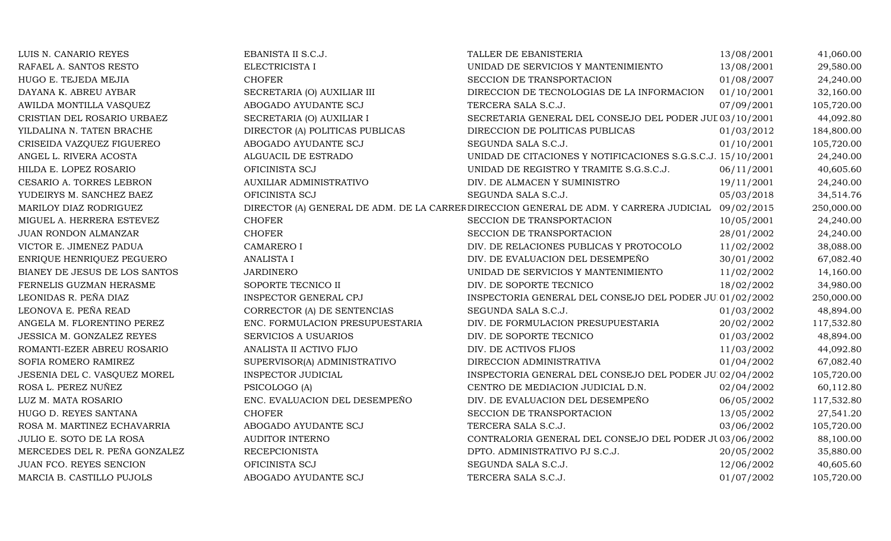| LUIS N. CANARIO REYES         | EBANISTA II S.C.J.              | TALLER DE EBANISTERIA                                                                             | 13/08/2001 | 41,060.00  |
|-------------------------------|---------------------------------|---------------------------------------------------------------------------------------------------|------------|------------|
| RAFAEL A. SANTOS RESTO        | ELECTRICISTA I                  | UNIDAD DE SERVICIOS Y MANTENIMIENTO                                                               | 13/08/2001 | 29,580.00  |
| HUGO E. TEJEDA MEJIA          | <b>CHOFER</b>                   | SECCION DE TRANSPORTACION                                                                         | 01/08/2007 | 24,240.00  |
| DAYANA K. ABREU AYBAR         | SECRETARIA (O) AUXILIAR III     | DIRECCION DE TECNOLOGIAS DE LA INFORMACION                                                        | 01/10/2001 | 32,160.00  |
| AWILDA MONTILLA VASQUEZ       | ABOGADO AYUDANTE SCJ            | TERCERA SALA S.C.J.                                                                               | 07/09/2001 | 105,720.00 |
| CRISTIAN DEL ROSARIO URBAEZ   | SECRETARIA (O) AUXILIAR I       | SECRETARIA GENERAL DEL CONSEJO DEL PODER JUL 03/10/2001                                           |            | 44,092.80  |
| YILDALINA N. TATEN BRACHE     | DIRECTOR (A) POLITICAS PUBLICAS | DIRECCION DE POLITICAS PUBLICAS                                                                   | 01/03/2012 | 184,800.00 |
| CRISEIDA VAZQUEZ FIGUEREO     | ABOGADO AYUDANTE SCJ            | SEGUNDA SALA S.C.J.                                                                               | 01/10/2001 | 105,720.00 |
| ANGEL L. RIVERA ACOSTA        | ALGUACIL DE ESTRADO             | UNIDAD DE CITACIONES Y NOTIFICACIONES S.G.S.C.J. 15/10/2001                                       |            | 24,240.00  |
| HILDA E. LOPEZ ROSARIO        | OFICINISTA SCJ                  | UNIDAD DE REGISTRO Y TRAMITE S.G.S.C.J.                                                           | 06/11/2001 | 40,605.60  |
| CESARIO A. TORRES LEBRON      | AUXILIAR ADMINISTRATIVO         | DIV. DE ALMACEN Y SUMINISTRO                                                                      | 19/11/2001 | 24,240.00  |
| YUDEIRYS M. SANCHEZ BAEZ      | OFICINISTA SCJ                  | SEGUNDA SALA S.C.J.                                                                               | 05/03/2018 | 34,514.76  |
| MARILOY DIAZ RODRIGUEZ        |                                 | DIRECTOR (A) GENERAL DE ADM. DE LA CARREF DIRECCION GENERAL DE ADM. Y CARRERA JUDICIAL 09/02/2015 |            | 250,000.00 |
| MIGUEL A. HERRERA ESTEVEZ     | <b>CHOFER</b>                   | SECCION DE TRANSPORTACION                                                                         | 10/05/2001 | 24,240.00  |
| JUAN RONDON ALMANZAR          | <b>CHOFER</b>                   | SECCION DE TRANSPORTACION                                                                         | 28/01/2002 | 24,240.00  |
| VICTOR E. JIMENEZ PADUA       | <b>CAMARERO I</b>               | DIV. DE RELACIONES PUBLICAS Y PROTOCOLO                                                           | 11/02/2002 | 38,088.00  |
| ENRIQUE HENRIQUEZ PEGUERO     | <b>ANALISTA I</b>               | DIV. DE EVALUACION DEL DESEMPEÑO                                                                  | 30/01/2002 | 67,082.40  |
| BIANEY DE JESUS DE LOS SANTOS | <b>JARDINERO</b>                | UNIDAD DE SERVICIOS Y MANTENIMIENTO                                                               | 11/02/2002 | 14,160.00  |
| FERNELIS GUZMAN HERASME       | SOPORTE TECNICO II              | DIV. DE SOPORTE TECNICO                                                                           | 18/02/2002 | 34,980.00  |
| LEONIDAS R. PEÑA DIAZ         | INSPECTOR GENERAL CPJ           | INSPECTORIA GENERAL DEL CONSEJO DEL PODER JU 01/02/2002                                           |            | 250,000.00 |
| LEONOVA E. PEÑA READ          | CORRECTOR (A) DE SENTENCIAS     | SEGUNDA SALA S.C.J.                                                                               | 01/03/2002 | 48,894.00  |
| ANGELA M. FLORENTINO PEREZ    | ENC. FORMULACION PRESUPUESTARIA | DIV. DE FORMULACION PRESUPUESTARIA                                                                | 20/02/2002 | 117,532.80 |
| JESSICA M. GONZALEZ REYES     | <b>SERVICIOS A USUARIOS</b>     | DIV. DE SOPORTE TECNICO                                                                           | 01/03/2002 | 48,894.00  |
| ROMANTI-EZER ABREU ROSARIO    | ANALISTA II ACTIVO FIJO         | DIV. DE ACTIVOS FIJOS                                                                             | 11/03/2002 | 44,092.80  |
| SOFIA ROMERO RAMIREZ          | SUPERVISOR(A) ADMINISTRATIVO    | DIRECCION ADMINISTRATIVA                                                                          | 01/04/2002 | 67,082.40  |
| JESENIA DEL C. VASQUEZ MOREL  | <b>INSPECTOR JUDICIAL</b>       | INSPECTORIA GENERAL DEL CONSEJO DEL PODER JUI02/04/2002                                           |            | 105,720.00 |
| ROSA L. PEREZ NUÑEZ           | PSICOLOGO (A)                   | CENTRO DE MEDIACION JUDICIAL D.N.                                                                 | 02/04/2002 | 60,112.80  |
| LUZ M. MATA ROSARIO           | ENC. EVALUACION DEL DESEMPEÑO   | DIV. DE EVALUACION DEL DESEMPEÑO                                                                  | 06/05/2002 | 117,532.80 |
| HUGO D. REYES SANTANA         | <b>CHOFER</b>                   | SECCION DE TRANSPORTACION                                                                         | 13/05/2002 | 27,541.20  |
| ROSA M. MARTINEZ ECHAVARRIA   | ABOGADO AYUDANTE SCJ            | TERCERA SALA S.C.J.                                                                               | 03/06/2002 | 105,720.00 |
| JULIO E. SOTO DE LA ROSA      | AUDITOR INTERNO                 | CONTRALORIA GENERAL DEL CONSEJO DEL PODER JU03/06/2002                                            |            | 88,100.00  |
| MERCEDES DEL R. PEÑA GONZALEZ | <b>RECEPCIONISTA</b>            | DPTO. ADMINISTRATIVO PJ S.C.J.                                                                    | 20/05/2002 | 35,880.00  |
| JUAN FCO. REYES SENCION       | OFICINISTA SCJ                  | SEGUNDA SALA S.C.J.                                                                               | 12/06/2002 | 40,605.60  |
| MARCIA B. CASTILLO PUJOLS     | ABOGADO AYUDANTE SCJ            | TERCERA SALA S.C.J.                                                                               | 01/07/2002 | 105,720.00 |
|                               |                                 |                                                                                                   |            |            |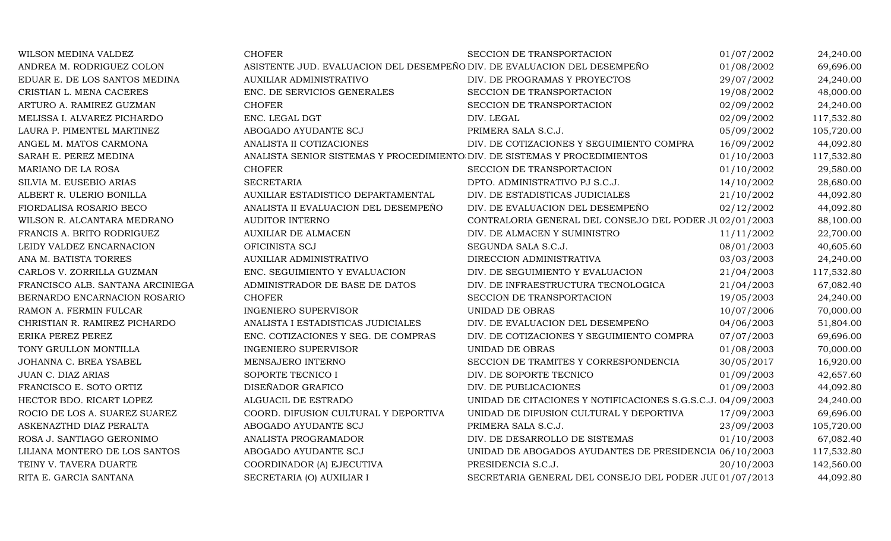| WILSON MEDINA VALDEZ             | <b>CHOFER</b>                                                              | SECCION DE TRANSPORTACION                                   | 01/07/2002 | 24,240.00  |
|----------------------------------|----------------------------------------------------------------------------|-------------------------------------------------------------|------------|------------|
| ANDREA M. RODRIGUEZ COLON        | ASISTENTE JUD. EVALUACION DEL DESEMPEÑO DIV. DE EVALUACION DEL DESEMPEÑO   |                                                             | 01/08/2002 | 69,696.00  |
| EDUAR E. DE LOS SANTOS MEDINA    | AUXILIAR ADMINISTRATIVO                                                    | DIV. DE PROGRAMAS Y PROYECTOS                               | 29/07/2002 | 24,240.00  |
| CRISTIAN L. MENA CACERES         | ENC. DE SERVICIOS GENERALES                                                | SECCION DE TRANSPORTACION                                   | 19/08/2002 | 48,000.00  |
| ARTURO A. RAMIREZ GUZMAN         | <b>CHOFER</b>                                                              | SECCION DE TRANSPORTACION                                   | 02/09/2002 | 24,240.00  |
| MELISSA I. ALVAREZ PICHARDO      | ENC. LEGAL DGT                                                             | DIV. LEGAL                                                  | 02/09/2002 | 117,532.80 |
| LAURA P. PIMENTEL MARTINEZ       | ABOGADO AYUDANTE SCJ                                                       | PRIMERA SALA S.C.J.                                         | 05/09/2002 | 105,720.00 |
| ANGEL M. MATOS CARMONA           | ANALISTA II COTIZACIONES                                                   | DIV. DE COTIZACIONES Y SEGUIMIENTO COMPRA                   | 16/09/2002 | 44,092.80  |
| SARAH E. PEREZ MEDINA            | ANALISTA SENIOR SISTEMAS Y PROCEDIMIENTO DIV. DE SISTEMAS Y PROCEDIMIENTOS |                                                             | 01/10/2003 | 117,532.80 |
| MARIANO DE LA ROSA               | <b>CHOFER</b>                                                              | SECCION DE TRANSPORTACION                                   | 01/10/2002 | 29,580.00  |
| SILVIA M. EUSEBIO ARIAS          | <b>SECRETARIA</b>                                                          | DPTO. ADMINISTRATIVO PJ S.C.J.                              | 14/10/2002 | 28,680.00  |
| ALBERT R. ULERIO BONILLA         | AUXILIAR ESTADISTICO DEPARTAMENTAL                                         | DIV. DE ESTADISTICAS JUDICIALES                             | 21/10/2002 | 44,092.80  |
| FIORDALISA ROSARIO BECO          | ANALISTA II EVALUACION DEL DESEMPEÑO                                       | DIV. DE EVALUACION DEL DESEMPEÑO                            | 02/12/2002 | 44,092.80  |
| WILSON R. ALCANTARA MEDRANO      | <b>AUDITOR INTERNO</b>                                                     | CONTRALORIA GENERAL DEL CONSEJO DEL PODER JU 02/01/2003     |            | 88,100.00  |
| FRANCIS A. BRITO RODRIGUEZ       | <b>AUXILIAR DE ALMACEN</b>                                                 | DIV. DE ALMACEN Y SUMINISTRO                                | 11/11/2002 | 22,700.00  |
| LEIDY VALDEZ ENCARNACION         | OFICINISTA SCJ                                                             | SEGUNDA SALA S.C.J.                                         | 08/01/2003 | 40,605.60  |
| ANA M. BATISTA TORRES            | AUXILIAR ADMINISTRATIVO                                                    | DIRECCION ADMINISTRATIVA                                    | 03/03/2003 | 24,240.00  |
| CARLOS V. ZORRILLA GUZMAN        | ENC. SEGUIMIENTO Y EVALUACION                                              | DIV. DE SEGUIMIENTO Y EVALUACION                            | 21/04/2003 | 117,532.80 |
| FRANCISCO ALB. SANTANA ARCINIEGA | ADMINISTRADOR DE BASE DE DATOS                                             | DIV. DE INFRAESTRUCTURA TECNOLOGICA                         | 21/04/2003 | 67,082.40  |
| BERNARDO ENCARNACION ROSARIO     | <b>CHOFER</b>                                                              | SECCION DE TRANSPORTACION                                   | 19/05/2003 | 24,240.00  |
| RAMON A. FERMIN FULCAR           | <b>INGENIERO SUPERVISOR</b>                                                | UNIDAD DE OBRAS                                             | 10/07/2006 | 70,000.00  |
| CHRISTIAN R. RAMIREZ PICHARDO    | ANALISTA I ESTADISTICAS JUDICIALES                                         | DIV. DE EVALUACION DEL DESEMPEÑO                            | 04/06/2003 | 51,804.00  |
| ERIKA PEREZ PEREZ                | ENC. COTIZACIONES Y SEG. DE COMPRAS                                        | DIV. DE COTIZACIONES Y SEGUIMIENTO COMPRA                   | 07/07/2003 | 69,696.00  |
| TONY GRULLON MONTILLA            | <b>INGENIERO SUPERVISOR</b>                                                | UNIDAD DE OBRAS                                             | 01/08/2003 | 70,000.00  |
| JOHANNA C. BREA YSABEL           | MENSAJERO INTERNO                                                          | SECCION DE TRAMITES Y CORRESPONDENCIA                       | 30/05/2017 | 16,920.00  |
| JUAN C. DIAZ ARIAS               | SOPORTE TECNICO I                                                          | DIV. DE SOPORTE TECNICO                                     | 01/09/2003 | 42,657.60  |
| FRANCISCO E. SOTO ORTIZ          | DISEÑADOR GRAFICO                                                          | DIV. DE PUBLICACIONES                                       | 01/09/2003 | 44,092.80  |
| HECTOR BDO. RICART LOPEZ         | ALGUACIL DE ESTRADO                                                        | UNIDAD DE CITACIONES Y NOTIFICACIONES S.G.S.C.J. 04/09/2003 |            | 24,240.00  |
| ROCIO DE LOS A. SUAREZ SUAREZ    | COORD. DIFUSION CULTURAL Y DEPORTIVA                                       | UNIDAD DE DIFUSION CULTURAL Y DEPORTIVA                     | 17/09/2003 | 69,696.00  |
| ASKENAZTHD DIAZ PERALTA          | ABOGADO AYUDANTE SCJ                                                       | PRIMERA SALA S.C.J.                                         | 23/09/2003 | 105,720.00 |
| ROSA J. SANTIAGO GERONIMO        | ANALISTA PROGRAMADOR                                                       | DIV. DE DESARROLLO DE SISTEMAS                              | 01/10/2003 | 67,082.40  |
| LILIANA MONTERO DE LOS SANTOS    | ABOGADO AYUDANTE SCJ                                                       | UNIDAD DE ABOGADOS AYUDANTES DE PRESIDENCIA 06/10/2003      |            | 117,532.80 |
| TEINY V. TAVERA DUARTE           | COORDINADOR (A) EJECUTIVA                                                  | PRESIDENCIA S.C.J.                                          | 20/10/2003 | 142,560.00 |
| RITA E. GARCIA SANTANA           | SECRETARIA (O) AUXILIAR I                                                  | SECRETARIA GENERAL DEL CONSEJO DEL PODER JUI 01/07/2013     |            | 44,092.80  |
|                                  |                                                                            |                                                             |            |            |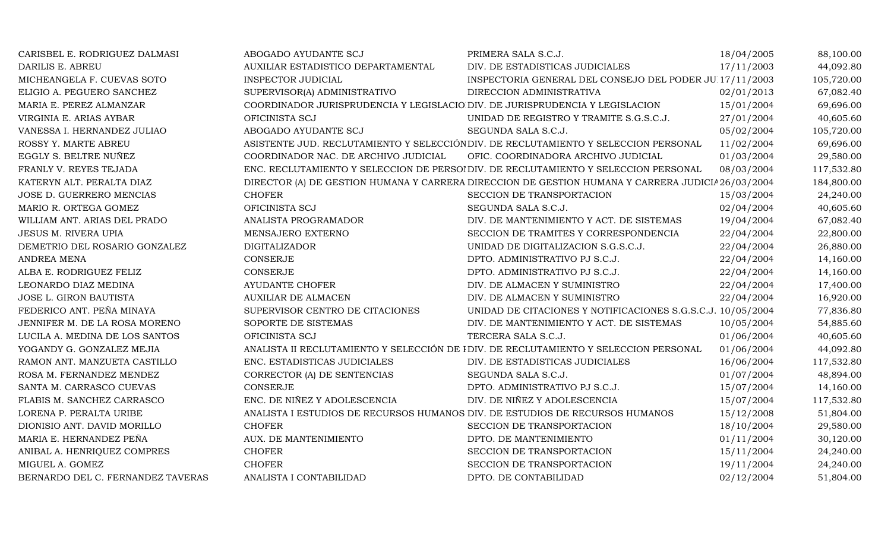| CARISBEL E. RODRIGUEZ DALMASI     | ABOGADO AYUDANTE SCJ                                                         | PRIMERA SALA S.C.J.                                                                               | 18/04/2005 | 88,100.00  |
|-----------------------------------|------------------------------------------------------------------------------|---------------------------------------------------------------------------------------------------|------------|------------|
| DARILIS E. ABREU                  | AUXILIAR ESTADISTICO DEPARTAMENTAL                                           | DIV. DE ESTADISTICAS JUDICIALES                                                                   | 17/11/2003 | 44,092.80  |
| MICHEANGELA F. CUEVAS SOTO        | <b>INSPECTOR JUDICIAL</b>                                                    | INSPECTORIA GENERAL DEL CONSEJO DEL PODER JU 17/11/2003                                           |            | 105,720.00 |
| ELIGIO A. PEGUERO SANCHEZ         | SUPERVISOR(A) ADMINISTRATIVO                                                 | DIRECCION ADMINISTRATIVA                                                                          | 02/01/2013 | 67,082.40  |
| MARIA E. PEREZ ALMANZAR           | COORDINADOR JURISPRUDENCIA Y LEGISLACIO DIV. DE JURISPRUDENCIA Y LEGISLACION |                                                                                                   | 15/01/2004 | 69,696.00  |
| VIRGINIA E. ARIAS AYBAR           | OFICINISTA SCJ                                                               | UNIDAD DE REGISTRO Y TRAMITE S.G.S.C.J.                                                           | 27/01/2004 | 40,605.60  |
| VANESSA I. HERNANDEZ JULIAO       | ABOGADO AYUDANTE SCJ                                                         | SEGUNDA SALA S.C.J.                                                                               | 05/02/2004 | 105,720.00 |
| ROSSY Y. MARTE ABREU              |                                                                              | ASISTENTE JUD. RECLUTAMIENTO Y SELECCIÓN DIV. DE RECLUTAMIENTO Y SELECCION PERSONAL               | 11/02/2004 | 69,696.00  |
| EGGLY S. BELTRE NUÑEZ             | COORDINADOR NAC. DE ARCHIVO JUDICIAL                                         | OFIC. COORDINADORA ARCHIVO JUDICIAL                                                               | 01/03/2004 | 29,580.00  |
| FRANLY V. REYES TEJADA            |                                                                              | ENC. RECLUTAMIENTO Y SELECCION DE PERSOI DIV. DE RECLUTAMIENTO Y SELECCION PERSONAL               | 08/03/2004 | 117,532.80 |
| KATERYN ALT. PERALTA DIAZ         |                                                                              | DIRECTOR (A) DE GESTION HUMANA Y CARRERA DIRECCION DE GESTION HUMANA Y CARRERA JUDICIA 26/03/2004 |            | 184,800.00 |
| JOSE D. GUERRERO MENCIAS          | <b>CHOFER</b>                                                                | SECCION DE TRANSPORTACION                                                                         | 15/03/2004 | 24,240.00  |
| MARIO R. ORTEGA GOMEZ             | OFICINISTA SCJ                                                               | SEGUNDA SALA S.C.J.                                                                               | 02/04/2004 | 40,605.60  |
| WILLIAM ANT. ARIAS DEL PRADO      | ANALISTA PROGRAMADOR                                                         | DIV. DE MANTENIMIENTO Y ACT. DE SISTEMAS                                                          | 19/04/2004 | 67,082.40  |
| <b>JESUS M. RIVERA UPIA</b>       | MENSAJERO EXTERNO                                                            | SECCION DE TRAMITES Y CORRESPONDENCIA                                                             | 22/04/2004 | 22,800.00  |
| DEMETRIO DEL ROSARIO GONZALEZ     | <b>DIGITALIZADOR</b>                                                         | UNIDAD DE DIGITALIZACION S.G.S.C.J.                                                               | 22/04/2004 | 26,880.00  |
| <b>ANDREA MENA</b>                | CONSERJE                                                                     | DPTO. ADMINISTRATIVO PJ S.C.J.                                                                    | 22/04/2004 | 14,160.00  |
| ALBA E. RODRIGUEZ FELIZ           | <b>CONSERJE</b>                                                              | DPTO. ADMINISTRATIVO PJ S.C.J.                                                                    | 22/04/2004 | 14,160.00  |
| LEONARDO DIAZ MEDINA              | <b>AYUDANTE CHOFER</b>                                                       | DIV. DE ALMACEN Y SUMINISTRO                                                                      | 22/04/2004 | 17,400.00  |
| JOSE L. GIRON BAUTISTA            | <b>AUXILIAR DE ALMACEN</b>                                                   | DIV. DE ALMACEN Y SUMINISTRO                                                                      | 22/04/2004 | 16,920.00  |
| FEDERICO ANT. PEÑA MINAYA         | SUPERVISOR CENTRO DE CITACIONES                                              | UNIDAD DE CITACIONES Y NOTIFICACIONES S.G.S.C.J. 10/05/2004                                       |            | 77,836.80  |
| JENNIFER M. DE LA ROSA MORENO     | SOPORTE DE SISTEMAS                                                          | DIV. DE MANTENIMIENTO Y ACT. DE SISTEMAS                                                          | 10/05/2004 | 54,885.60  |
| LUCILA A. MEDINA DE LOS SANTOS    | OFICINISTA SCJ                                                               | TERCERA SALA S.C.J.                                                                               | 01/06/2004 | 40,605.60  |
| YOGANDY G. GONZALEZ MEJIA         |                                                                              | ANALISTA II RECLUTAMIENTO Y SELECCIÓN DE I DIV. DE RECLUTAMIENTO Y SELECCION PERSONAL             | 01/06/2004 | 44,092.80  |
| RAMON ANT. MANZUETA CASTILLO      | ENC. ESTADISTICAS JUDICIALES                                                 | DIV. DE ESTADISTICAS JUDICIALES                                                                   | 16/06/2004 | 117,532.80 |
| ROSA M. FERNANDEZ MENDEZ          | CORRECTOR (A) DE SENTENCIAS                                                  | SEGUNDA SALA S.C.J.                                                                               | 01/07/2004 | 48,894.00  |
| SANTA M. CARRASCO CUEVAS          | <b>CONSERJE</b>                                                              | DPTO. ADMINISTRATIVO PJ S.C.J.                                                                    | 15/07/2004 | 14,160.00  |
| FLABIS M. SANCHEZ CARRASCO        | ENC. DE NIÑEZ Y ADOLESCENCIA                                                 | DIV. DE NIÑEZ Y ADOLESCENCIA                                                                      | 15/07/2004 | 117,532.80 |
| LORENA P. PERALTA URIBE           | ANALISTA I ESTUDIOS DE RECURSOS HUMANOS DIV. DE ESTUDIOS DE RECURSOS HUMANOS |                                                                                                   | 15/12/2008 | 51,804.00  |
| DIONISIO ANT. DAVID MORILLO       | <b>CHOFER</b>                                                                | SECCION DE TRANSPORTACION                                                                         | 18/10/2004 | 29,580.00  |
| MARIA E. HERNANDEZ PEÑA           | AUX. DE MANTENIMIENTO                                                        | DPTO. DE MANTENIMIENTO                                                                            | 01/11/2004 | 30,120.00  |
| ANIBAL A. HENRIQUEZ COMPRES       | <b>CHOFER</b>                                                                | SECCION DE TRANSPORTACION                                                                         | 15/11/2004 | 24,240.00  |
| MIGUEL A. GOMEZ                   | <b>CHOFER</b>                                                                | SECCION DE TRANSPORTACION                                                                         | 19/11/2004 | 24,240.00  |
| BERNARDO DEL C. FERNANDEZ TAVERAS | ANALISTA I CONTABILIDAD                                                      | DPTO. DE CONTABILIDAD                                                                             | 02/12/2004 | 51,804.00  |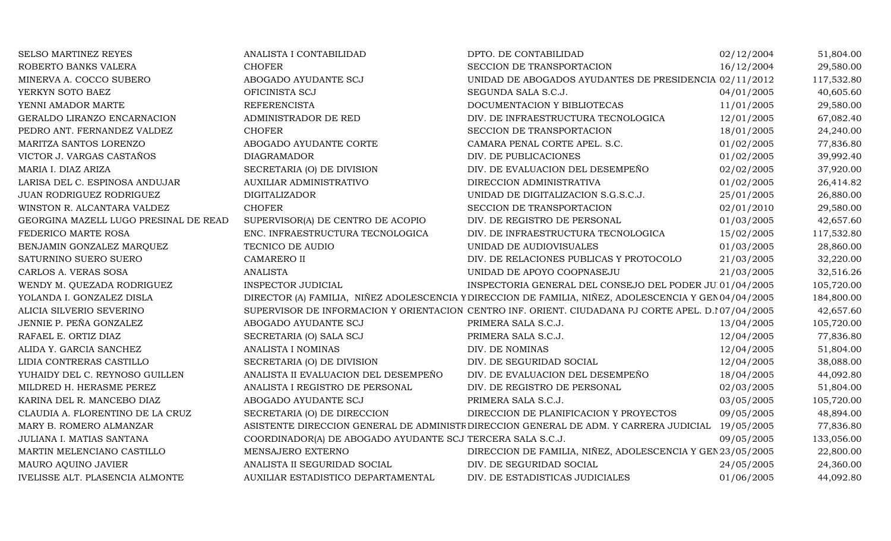| SELSO MARTINEZ REYES                  | ANALISTA I CONTABILIDAD                                    | DPTO. DE CONTABILIDAD                                                                                | 02/12/2004 | 51,804.00  |
|---------------------------------------|------------------------------------------------------------|------------------------------------------------------------------------------------------------------|------------|------------|
| ROBERTO BANKS VALERA                  | <b>CHOFER</b>                                              | SECCION DE TRANSPORTACION                                                                            | 16/12/2004 | 29,580.00  |
| MINERVA A. COCCO SUBERO               | ABOGADO AYUDANTE SCJ                                       | UNIDAD DE ABOGADOS AYUDANTES DE PRESIDENCIA 02/11/2012                                               |            | 117,532.80 |
| YERKYN SOTO BAEZ                      | OFICINISTA SCJ                                             | SEGUNDA SALA S.C.J.                                                                                  | 04/01/2005 | 40,605.60  |
| YENNI AMADOR MARTE                    | <b>REFERENCISTA</b>                                        | DOCUMENTACION Y BIBLIOTECAS                                                                          | 11/01/2005 | 29,580.00  |
| GERALDO LIRANZO ENCARNACION           | ADMINISTRADOR DE RED                                       | DIV. DE INFRAESTRUCTURA TECNOLOGICA                                                                  | 12/01/2005 | 67,082.40  |
| PEDRO ANT. FERNANDEZ VALDEZ           | <b>CHOFER</b>                                              | SECCION DE TRANSPORTACION                                                                            | 18/01/2005 | 24,240.00  |
| MARITZA SANTOS LORENZO                | ABOGADO AYUDANTE CORTE                                     | CAMARA PENAL CORTE APEL. S.C.                                                                        | 01/02/2005 | 77,836.80  |
| VICTOR J. VARGAS CASTAÑOS             | <b>DIAGRAMADOR</b>                                         | DIV. DE PUBLICACIONES                                                                                | 01/02/2005 | 39,992.40  |
| MARIA I. DIAZ ARIZA                   | SECRETARIA (O) DE DIVISION                                 | DIV. DE EVALUACION DEL DESEMPEÑO                                                                     | 02/02/2005 | 37,920.00  |
| LARISA DEL C. ESPINOSA ANDUJAR        | <b>AUXILIAR ADMINISTRATIVO</b>                             | DIRECCION ADMINISTRATIVA                                                                             | 01/02/2005 | 26,414.82  |
| JUAN RODRIGUEZ RODRIGUEZ              | <b>DIGITALIZADOR</b>                                       | UNIDAD DE DIGITALIZACION S.G.S.C.J.                                                                  | 25/01/2005 | 26,880.00  |
| WINSTON R. ALCANTARA VALDEZ           | <b>CHOFER</b>                                              | SECCION DE TRANSPORTACION                                                                            | 02/01/2010 | 29,580.00  |
| GEORGINA MAZELL LUGO PRESINAL DE READ | SUPERVISOR(A) DE CENTRO DE ACOPIO                          | DIV. DE REGISTRO DE PERSONAL                                                                         | 01/03/2005 | 42,657.60  |
| FEDERICO MARTE ROSA                   | ENC. INFRAESTRUCTURA TECNOLOGICA                           | DIV. DE INFRAESTRUCTURA TECNOLOGICA                                                                  | 15/02/2005 | 117,532.80 |
| BENJAMIN GONZALEZ MARQUEZ             | TECNICO DE AUDIO                                           | UNIDAD DE AUDIOVISUALES                                                                              | 01/03/2005 | 28,860.00  |
| SATURNINO SUERO SUERO                 | CAMARERO II                                                | DIV. DE RELACIONES PUBLICAS Y PROTOCOLO                                                              | 21/03/2005 | 32,220.00  |
| CARLOS A. VERAS SOSA                  | <b>ANALISTA</b>                                            | UNIDAD DE APOYO COOPNASEJU                                                                           | 21/03/2005 | 32,516.26  |
| WENDY M. QUEZADA RODRIGUEZ            | <b>INSPECTOR JUDICIAL</b>                                  | INSPECTORIA GENERAL DEL CONSEJO DEL PODER JU 01/04/2005                                              |            | 105,720.00 |
| YOLANDA I. GONZALEZ DISLA             |                                                            | DIRECTOR (A) FAMILIA, NIÑEZ ADOLESCENCIA Y DIRECCION DE FAMILIA, NIÑEZ, ADOLESCENCIA Y GEN04/04/2005 |            | 184,800.00 |
| ALICIA SILVERIO SEVERINO              |                                                            | SUPERVISOR DE INFORMACION Y ORIENTACION CENTRO INF. ORIENT. CIUDADANA PJ CORTE APEL. D.107/04/2005   |            | 42,657.60  |
| JENNIE P. PEÑA GONZALEZ               | ABOGADO AYUDANTE SCJ                                       | PRIMERA SALA S.C.J.                                                                                  | 13/04/2005 | 105,720.00 |
| RAFAEL E. ORTIZ DIAZ                  | SECRETARIA (O) SALA SCJ                                    | PRIMERA SALA S.C.J.                                                                                  | 12/04/2005 | 77,836.80  |
| ALIDA Y. GARCIA SANCHEZ               | ANALISTA I NOMINAS                                         | DIV. DE NOMINAS                                                                                      | 12/04/2005 | 51,804.00  |
| LIDIA CONTRERAS CASTILLO              | SECRETARIA (O) DE DIVISION                                 | DIV. DE SEGURIDAD SOCIAL                                                                             | 12/04/2005 | 38,088.00  |
| YUHAIDY DEL C. REYNOSO GUILLEN        | ANALISTA II EVALUACION DEL DESEMPEÑO                       | DIV. DE EVALUACION DEL DESEMPEÑO                                                                     | 18/04/2005 | 44,092.80  |
| MILDRED H. HERASME PEREZ              | ANALISTA I REGISTRO DE PERSONAL                            | DIV. DE REGISTRO DE PERSONAL                                                                         | 02/03/2005 | 51,804.00  |
| KARINA DEL R. MANCEBO DIAZ            | ABOGADO AYUDANTE SCJ                                       | PRIMERA SALA S.C.J.                                                                                  | 03/05/2005 | 105,720.00 |
| CLAUDIA A. FLORENTINO DE LA CRUZ      | SECRETARIA (O) DE DIRECCION                                | DIRECCION DE PLANIFICACION Y PROYECTOS                                                               | 09/05/2005 | 48,894.00  |
| MARY B. ROMERO ALMANZAR               |                                                            | ASISTENTE DIRECCION GENERAL DE ADMINISTE DIRECCION GENERAL DE ADM. Y CARRERA JUDICIAL 19/05/2005     |            | 77,836.80  |
| JULIANA I. MATIAS SANTANA             | COORDINADOR(A) DE ABOGADO AYUDANTE SCJ TERCERA SALA S.C.J. |                                                                                                      | 09/05/2005 | 133,056.00 |
| MARTIN MELENCIANO CASTILLO            | MENSAJERO EXTERNO                                          | DIRECCION DE FAMILIA, NIÑEZ, ADOLESCENCIA Y GEN 23/05/2005                                           |            | 22,800.00  |
| MAURO AQUINO JAVIER                   | ANALISTA II SEGURIDAD SOCIAL                               | DIV. DE SEGURIDAD SOCIAL                                                                             | 24/05/2005 | 24,360.00  |
| IVELISSE ALT. PLASENCIA ALMONTE       | AUXILIAR ESTADISTICO DEPARTAMENTAL                         | DIV. DE ESTADISTICAS JUDICIALES                                                                      | 01/06/2005 | 44,092.80  |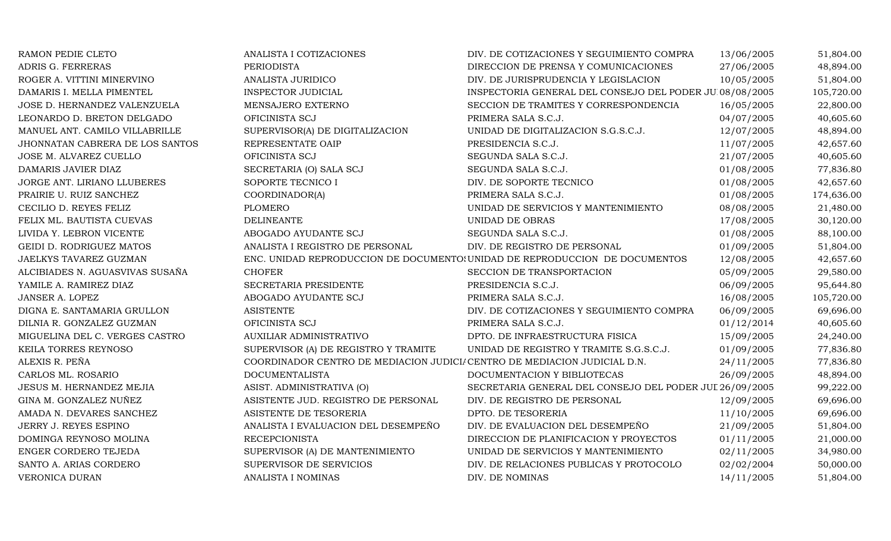| RAMON PEDIE CLETO               | ANALISTA I COTIZACIONES                                                   | DIV. DE COTIZACIONES Y SEGUIMIENTO COMPRA                                   | 13/06/2005 | 51,804.00  |
|---------------------------------|---------------------------------------------------------------------------|-----------------------------------------------------------------------------|------------|------------|
| ADRIS G. FERRERAS               | <b>PERIODISTA</b>                                                         | DIRECCION DE PRENSA Y COMUNICACIONES                                        | 27/06/2005 | 48,894.00  |
| ROGER A. VITTINI MINERVINO      | ANALISTA JURIDICO                                                         | DIV. DE JURISPRUDENCIA Y LEGISLACION                                        | 10/05/2005 | 51,804.00  |
| DAMARIS I. MELLA PIMENTEL       | <b>INSPECTOR JUDICIAL</b>                                                 | INSPECTORIA GENERAL DEL CONSEJO DEL PODER JUI08/08/2005                     |            | 105,720.00 |
| JOSE D. HERNANDEZ VALENZUELA    | MENSAJERO EXTERNO                                                         | SECCION DE TRAMITES Y CORRESPONDENCIA                                       | 16/05/2005 | 22,800.00  |
| LEONARDO D. BRETON DELGADO      | OFICINISTA SCJ                                                            | PRIMERA SALA S.C.J.                                                         | 04/07/2005 | 40,605.60  |
| MANUEL ANT. CAMILO VILLABRILLE  | SUPERVISOR(A) DE DIGITALIZACION                                           | UNIDAD DE DIGITALIZACION S.G.S.C.J.                                         | 12/07/2005 | 48,894.00  |
| JHONNATAN CABRERA DE LOS SANTOS | REPRESENTATE OAIP                                                         | PRESIDENCIA S.C.J.                                                          | 11/07/2005 | 42,657.60  |
| JOSE M. ALVAREZ CUELLO          | OFICINISTA SCJ                                                            | SEGUNDA SALA S.C.J.                                                         | 21/07/2005 | 40,605.60  |
| DAMARIS JAVIER DIAZ             | SECRETARIA (O) SALA SCJ                                                   | SEGUNDA SALA S.C.J.                                                         | 01/08/2005 | 77,836.80  |
| JORGE ANT. LIRIANO LLUBERES     | SOPORTE TECNICO I                                                         | DIV. DE SOPORTE TECNICO                                                     | 01/08/2005 | 42,657.60  |
| PRAIRIE U. RUIZ SANCHEZ         | COORDINADOR(A)                                                            | PRIMERA SALA S.C.J.                                                         | 01/08/2005 | 174,636.00 |
| CECILIO D. REYES FELIZ          | PLOMERO                                                                   | UNIDAD DE SERVICIOS Y MANTENIMIENTO                                         | 08/08/2005 | 21,480.00  |
| FELIX ML. BAUTISTA CUEVAS       | <b>DELINEANTE</b>                                                         | UNIDAD DE OBRAS                                                             | 17/08/2005 | 30,120.00  |
| LIVIDA Y. LEBRON VICENTE        | ABOGADO AYUDANTE SCJ                                                      | SEGUNDA SALA S.C.J.                                                         | 01/08/2005 | 88,100.00  |
| GEIDI D. RODRIGUEZ MATOS        | ANALISTA I REGISTRO DE PERSONAL                                           | DIV. DE REGISTRO DE PERSONAL                                                | 01/09/2005 | 51,804.00  |
| JAELKYS TAVAREZ GUZMAN          |                                                                           | ENC. UNIDAD REPRODUCCION DE DOCUMENTO: UNIDAD DE REPRODUCCION DE DOCUMENTOS | 12/08/2005 | 42,657.60  |
| ALCIBIADES N. AGUASVIVAS SUSAÑA | <b>CHOFER</b>                                                             | SECCION DE TRANSPORTACION                                                   | 05/09/2005 | 29,580.00  |
| YAMILE A. RAMIREZ DIAZ          | SECRETARIA PRESIDENTE                                                     | PRESIDENCIA S.C.J.                                                          | 06/09/2005 | 95,644.80  |
| JANSER A. LOPEZ                 | ABOGADO AYUDANTE SCJ                                                      | PRIMERA SALA S.C.J.                                                         | 16/08/2005 | 105,720.00 |
| DIGNA E. SANTAMARIA GRULLON     | <b>ASISTENTE</b>                                                          | DIV. DE COTIZACIONES Y SEGUIMIENTO COMPRA                                   | 06/09/2005 | 69,696.00  |
| DILNIA R. GONZALEZ GUZMAN       | OFICINISTA SCJ                                                            | PRIMERA SALA S.C.J.                                                         | 01/12/2014 | 40,605.60  |
| MIGUELINA DEL C. VERGES CASTRO  | AUXILIAR ADMINISTRATIVO                                                   | DPTO. DE INFRAESTRUCTURA FISICA                                             | 15/09/2005 | 24,240.00  |
| KEILA TORRES REYNOSO            | SUPERVISOR (A) DE REGISTRO Y TRAMITE                                      | UNIDAD DE REGISTRO Y TRAMITE S.G.S.C.J.                                     | 01/09/2005 | 77,836.80  |
| ALEXIS R. PEÑA                  | COORDINADOR CENTRO DE MEDIACION JUDICI/ CENTRO DE MEDIACION JUDICIAL D.N. |                                                                             | 24/11/2005 | 77,836.80  |
| CARLOS ML. ROSARIO              | <b>DOCUMENTALISTA</b>                                                     | DOCUMENTACION Y BIBLIOTECAS                                                 | 26/09/2005 | 48,894.00  |
| JESUS M. HERNANDEZ MEJIA        | ASIST. ADMINISTRATIVA (O)                                                 | SECRETARIA GENERAL DEL CONSEJO DEL PODER JUL 26/09/2005                     |            | 99,222.00  |
| GINA M. GONZALEZ NUÑEZ          | ASISTENTE JUD. REGISTRO DE PERSONAL                                       | DIV. DE REGISTRO DE PERSONAL                                                | 12/09/2005 | 69,696.00  |
| AMADA N. DEVARES SANCHEZ        | ASISTENTE DE TESORERIA                                                    | DPTO. DE TESORERIA                                                          | 11/10/2005 | 69,696.00  |
| JERRY J. REYES ESPINO           | ANALISTA I EVALUACION DEL DESEMPEÑO                                       | DIV. DE EVALUACION DEL DESEMPEÑO                                            | 21/09/2005 | 51,804.00  |
| DOMINGA REYNOSO MOLINA          | <b>RECEPCIONISTA</b>                                                      | DIRECCION DE PLANIFICACION Y PROYECTOS                                      | 01/11/2005 | 21,000.00  |
| ENGER CORDERO TEJEDA            | SUPERVISOR (A) DE MANTENIMIENTO                                           | UNIDAD DE SERVICIOS Y MANTENIMIENTO                                         | 02/11/2005 | 34,980.00  |
| SANTO A. ARIAS CORDERO          | SUPERVISOR DE SERVICIOS                                                   | DIV. DE RELACIONES PUBLICAS Y PROTOCOLO                                     | 02/02/2004 | 50,000.00  |
| VERONICA DURAN                  | ANALISTA I NOMINAS                                                        | DIV. DE NOMINAS                                                             | 14/11/2005 | 51,804.00  |
|                                 |                                                                           |                                                                             |            |            |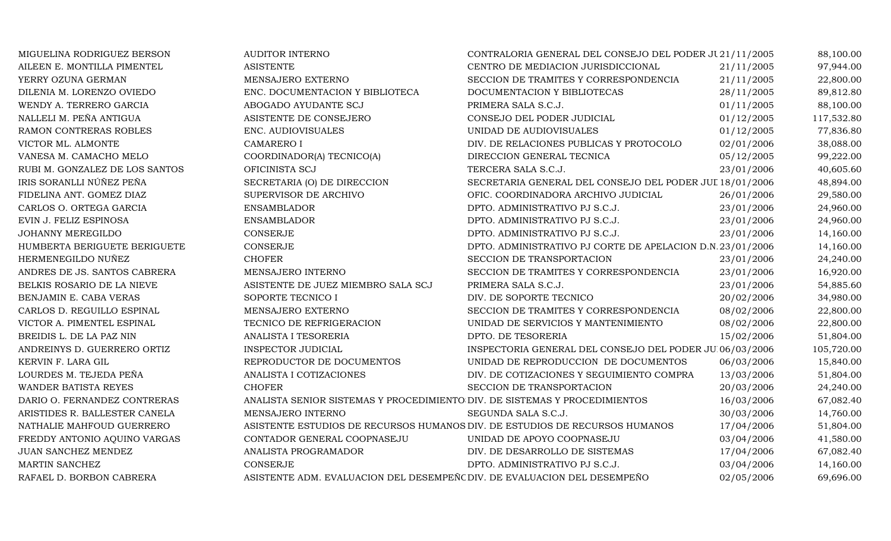| MIGUELINA RODRIGUEZ BERSON     | <b>AUDITOR INTERNO</b>                                                      | CONTRALORIA GENERAL DEL CONSEJO DEL PODER JU21/11/2005    |            | 88,100.00  |
|--------------------------------|-----------------------------------------------------------------------------|-----------------------------------------------------------|------------|------------|
| AILEEN E. MONTILLA PIMENTEL    | <b>ASISTENTE</b>                                                            | CENTRO DE MEDIACION JURISDICCIONAL                        | 21/11/2005 | 97,944.00  |
| YERRY OZUNA GERMAN             | MENSAJERO EXTERNO                                                           | SECCION DE TRAMITES Y CORRESPONDENCIA                     | 21/11/2005 | 22,800.00  |
| DILENIA M. LORENZO OVIEDO      | ENC. DOCUMENTACION Y BIBLIOTECA                                             | DOCUMENTACION Y BIBLIOTECAS                               | 28/11/2005 | 89,812.80  |
| WENDY A. TERRERO GARCIA        | ABOGADO AYUDANTE SCJ                                                        | PRIMERA SALA S.C.J.                                       | 01/11/2005 | 88,100.00  |
| NALLELI M. PEÑA ANTIGUA        | ASISTENTE DE CONSEJERO                                                      | CONSEJO DEL PODER JUDICIAL                                | 01/12/2005 | 117,532.80 |
| RAMON CONTRERAS ROBLES         | ENC. AUDIOVISUALES                                                          | UNIDAD DE AUDIOVISUALES                                   | 01/12/2005 | 77,836.80  |
| VICTOR ML. ALMONTE             | <b>CAMARERO I</b>                                                           | DIV. DE RELACIONES PUBLICAS Y PROTOCOLO                   | 02/01/2006 | 38,088.00  |
| VANESA M. CAMACHO MELO         | COORDINADOR(A) TECNICO(A)                                                   | DIRECCION GENERAL TECNICA                                 | 05/12/2005 | 99,222.00  |
| RUBI M. GONZALEZ DE LOS SANTOS | OFICINISTA SCJ                                                              | TERCERA SALA S.C.J.                                       | 23/01/2006 | 40,605.60  |
| IRIS SORANLLI NÚÑEZ PEÑA       | SECRETARIA (O) DE DIRECCION                                                 | SECRETARIA GENERAL DEL CONSEJO DEL PODER JUL 18/01/2006   |            | 48,894.00  |
| FIDELINA ANT. GOMEZ DIAZ       | SUPERVISOR DE ARCHIVO                                                       | OFIC. COORDINADORA ARCHIVO JUDICIAL                       | 26/01/2006 | 29,580.00  |
| CARLOS O. ORTEGA GARCIA        | <b>ENSAMBLADOR</b>                                                          | DPTO. ADMINISTRATIVO PJ S.C.J.                            | 23/01/2006 | 24,960.00  |
| EVIN J. FELIZ ESPINOSA         | <b>ENSAMBLADOR</b>                                                          | DPTO. ADMINISTRATIVO PJ S.C.J.                            | 23/01/2006 | 24,960.00  |
| JOHANNY MEREGILDO              | CONSERJE                                                                    | DPTO. ADMINISTRATIVO PJ S.C.J.                            | 23/01/2006 | 14,160.00  |
| HUMBERTA BERIGUETE BERIGUETE   | <b>CONSERJE</b>                                                             | DPTO. ADMINISTRATIVO PJ CORTE DE APELACION D.N.23/01/2006 |            | 14,160.00  |
| HERMENEGILDO NUÑEZ             | <b>CHOFER</b>                                                               | SECCION DE TRANSPORTACION                                 | 23/01/2006 | 24,240.00  |
| ANDRES DE JS. SANTOS CABRERA   | MENSAJERO INTERNO                                                           | SECCION DE TRAMITES Y CORRESPONDENCIA                     | 23/01/2006 | 16,920.00  |
| BELKIS ROSARIO DE LA NIEVE     | ASISTENTE DE JUEZ MIEMBRO SALA SCJ                                          | PRIMERA SALA S.C.J.                                       | 23/01/2006 | 54,885.60  |
| BENJAMIN E. CABA VERAS         | SOPORTE TECNICO I                                                           | DIV. DE SOPORTE TECNICO                                   | 20/02/2006 | 34,980.00  |
| CARLOS D. REGUILLO ESPINAL     | MENSAJERO EXTERNO                                                           | SECCION DE TRAMITES Y CORRESPONDENCIA                     | 08/02/2006 | 22,800.00  |
| VICTOR A. PIMENTEL ESPINAL     | TECNICO DE REFRIGERACION                                                    | UNIDAD DE SERVICIOS Y MANTENIMIENTO                       | 08/02/2006 | 22,800.00  |
| BREIDIS L. DE LA PAZ NIN       | ANALISTA I TESORERIA                                                        | DPTO. DE TESORERIA                                        | 15/02/2006 | 51,804.00  |
| ANDREINYS D. GUERRERO ORTIZ    | <b>INSPECTOR JUDICIAL</b>                                                   | INSPECTORIA GENERAL DEL CONSEJO DEL PODER JUI06/03/2006   |            | 105,720.00 |
| KERVIN F. LARA GIL             | REPRODUCTOR DE DOCUMENTOS                                                   | UNIDAD DE REPRODUCCION DE DOCUMENTOS                      | 06/03/2006 | 15,840.00  |
| LOURDES M. TEJEDA PEÑA         | ANALISTA I COTIZACIONES                                                     | DIV. DE COTIZACIONES Y SEGUIMIENTO COMPRA                 | 13/03/2006 | 51,804.00  |
| WANDER BATISTA REYES           | <b>CHOFER</b>                                                               | SECCION DE TRANSPORTACION                                 | 20/03/2006 | 24,240.00  |
| DARIO O. FERNANDEZ CONTRERAS   | ANALISTA SENIOR SISTEMAS Y PROCEDIMIENTO DIV. DE SISTEMAS Y PROCEDIMIENTOS  |                                                           | 16/03/2006 | 67,082.40  |
| ARISTIDES R. BALLESTER CANELA  | MENSAJERO INTERNO                                                           | SEGUNDA SALA S.C.J.                                       | 30/03/2006 | 14,760.00  |
| NATHALIE MAHFOUD GUERRERO      | ASISTENTE ESTUDIOS DE RECURSOS HUMANOS DIV. DE ESTUDIOS DE RECURSOS HUMANOS |                                                           | 17/04/2006 | 51,804.00  |
| FREDDY ANTONIO AQUINO VARGAS   | CONTADOR GENERAL COOPNASEJU                                                 | UNIDAD DE APOYO COOPNASEJU                                | 03/04/2006 | 41,580.00  |
| JUAN SANCHEZ MENDEZ            | ANALISTA PROGRAMADOR                                                        | DIV. DE DESARROLLO DE SISTEMAS                            | 17/04/2006 | 67,082.40  |
| MARTIN SANCHEZ                 | CONSERJE                                                                    | DPTO. ADMINISTRATIVO PJ S.C.J.                            | 03/04/2006 | 14,160.00  |
| RAFAEL D. BORBON CABRERA       | ASISTENTE ADM. EVALUACION DEL DESEMPEÑO DIV. DE EVALUACION DEL DESEMPEÑO    |                                                           | 02/05/2006 | 69,696.00  |
|                                |                                                                             |                                                           |            |            |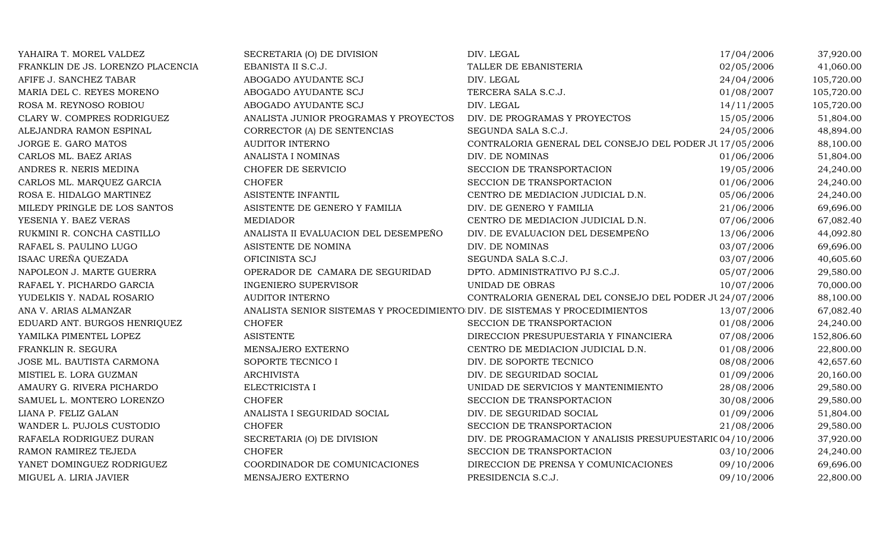| YAHAIRA T. MOREL VALDEZ           | SECRETARIA (O) DE DIVISION                                                 | DIV. LEGAL                                                | 17/04/2006 | 37,920.00  |
|-----------------------------------|----------------------------------------------------------------------------|-----------------------------------------------------------|------------|------------|
| FRANKLIN DE JS. LORENZO PLACENCIA | EBANISTA II S.C.J.                                                         | TALLER DE EBANISTERIA                                     | 02/05/2006 | 41,060.00  |
| AFIFE J. SANCHEZ TABAR            | ABOGADO AYUDANTE SCJ                                                       | DIV. LEGAL                                                | 24/04/2006 | 105,720.00 |
| MARIA DEL C. REYES MORENO         | ABOGADO AYUDANTE SCJ                                                       | TERCERA SALA S.C.J.                                       | 01/08/2007 | 105,720.00 |
| ROSA M. REYNOSO ROBIOU            | ABOGADO AYUDANTE SCJ                                                       | DIV. LEGAL                                                | 14/11/2005 | 105,720.00 |
| CLARY W. COMPRES RODRIGUEZ        | ANALISTA JUNIOR PROGRAMAS Y PROYECTOS                                      | DIV. DE PROGRAMAS Y PROYECTOS                             | 15/05/2006 | 51,804.00  |
| ALEJANDRA RAMON ESPINAL           | CORRECTOR (A) DE SENTENCIAS                                                | SEGUNDA SALA S.C.J.                                       | 24/05/2006 | 48,894.00  |
| JORGE E. GARO MATOS               | <b>AUDITOR INTERNO</b>                                                     | CONTRALORIA GENERAL DEL CONSEJO DEL PODER JU 17/05/2006   |            | 88,100.00  |
| CARLOS ML. BAEZ ARIAS             | <b>ANALISTA I NOMINAS</b>                                                  | DIV. DE NOMINAS                                           | 01/06/2006 | 51,804.00  |
| ANDRES R. NERIS MEDINA            | CHOFER DE SERVICIO                                                         | SECCION DE TRANSPORTACION                                 | 19/05/2006 | 24,240.00  |
| CARLOS ML. MARQUEZ GARCIA         | <b>CHOFER</b>                                                              | SECCION DE TRANSPORTACION                                 | 01/06/2006 | 24,240.00  |
| ROSA E. HIDALGO MARTINEZ          | ASISTENTE INFANTIL                                                         | CENTRO DE MEDIACION JUDICIAL D.N.                         | 05/06/2006 | 24,240.00  |
| MILEDY PRINGLE DE LOS SANTOS      | ASISTENTE DE GENERO Y FAMILIA                                              | DIV. DE GENERO Y FAMILIA                                  | 21/06/2006 | 69,696.00  |
| YESENIA Y. BAEZ VERAS             | <b>MEDIADOR</b>                                                            | CENTRO DE MEDIACION JUDICIAL D.N.                         | 07/06/2006 | 67,082.40  |
| RUKMINI R. CONCHA CASTILLO        | ANALISTA II EVALUACION DEL DESEMPEÑO                                       | DIV. DE EVALUACION DEL DESEMPEÑO                          | 13/06/2006 | 44,092.80  |
| RAFAEL S. PAULINO LUGO            | ASISTENTE DE NOMINA                                                        | DIV. DE NOMINAS                                           | 03/07/2006 | 69,696.00  |
| ISAAC UREÑA QUEZADA               | OFICINISTA SCJ                                                             | SEGUNDA SALA S.C.J.                                       | 03/07/2006 | 40,605.60  |
| NAPOLEON J. MARTE GUERRA          | OPERADOR DE CAMARA DE SEGURIDAD                                            | DPTO. ADMINISTRATIVO PJ S.C.J.                            | 05/07/2006 | 29,580.00  |
| RAFAEL Y. PICHARDO GARCIA         | <b>INGENIERO SUPERVISOR</b>                                                | UNIDAD DE OBRAS                                           | 10/07/2006 | 70,000.00  |
| YUDELKIS Y. NADAL ROSARIO         | <b>AUDITOR INTERNO</b>                                                     | CONTRALORIA GENERAL DEL CONSEJO DEL PODER JU 24/07/2006   |            | 88,100.00  |
| ANA V. ARIAS ALMANZAR             | ANALISTA SENIOR SISTEMAS Y PROCEDIMIENTO DIV. DE SISTEMAS Y PROCEDIMIENTOS |                                                           | 13/07/2006 | 67,082.40  |
| EDUARD ANT. BURGOS HENRIQUEZ      | <b>CHOFER</b>                                                              | SECCION DE TRANSPORTACION                                 | 01/08/2006 | 24,240.00  |
| YAMILKA PIMENTEL LOPEZ            | <b>ASISTENTE</b>                                                           | DIRECCION PRESUPUESTARIA Y FINANCIERA                     | 07/08/2006 | 152,806.60 |
| FRANKLIN R. SEGURA                | MENSAJERO EXTERNO                                                          | CENTRO DE MEDIACION JUDICIAL D.N.                         | 01/08/2006 | 22,800.00  |
| JOSE ML. BAUTISTA CARMONA         | SOPORTE TECNICO I                                                          | DIV. DE SOPORTE TECNICO                                   | 08/08/2006 | 42,657.60  |
| MISTIEL E. LORA GUZMAN            | <b>ARCHIVISTA</b>                                                          | DIV. DE SEGURIDAD SOCIAL                                  | 01/09/2006 | 20,160.00  |
| AMAURY G. RIVERA PICHARDO         | ELECTRICISTA I                                                             | UNIDAD DE SERVICIOS Y MANTENIMIENTO                       | 28/08/2006 | 29,580.00  |
| SAMUEL L. MONTERO LORENZO         | <b>CHOFER</b>                                                              | SECCION DE TRANSPORTACION                                 | 30/08/2006 | 29,580.00  |
| LIANA P. FELIZ GALAN              | ANALISTA I SEGURIDAD SOCIAL                                                | DIV. DE SEGURIDAD SOCIAL                                  | 01/09/2006 | 51,804.00  |
| WANDER L. PUJOLS CUSTODIO         | <b>CHOFER</b>                                                              | SECCION DE TRANSPORTACION                                 | 21/08/2006 | 29,580.00  |
| RAFAELA RODRIGUEZ DURAN           | SECRETARIA (O) DE DIVISION                                                 | DIV. DE PROGRAMACION Y ANALISIS PRESUPUESTARIC 04/10/2006 |            | 37,920.00  |
| RAMON RAMIREZ TEJEDA              | <b>CHOFER</b>                                                              | SECCION DE TRANSPORTACION                                 | 03/10/2006 | 24,240.00  |
| YANET DOMINGUEZ RODRIGUEZ         | COORDINADOR DE COMUNICACIONES                                              | DIRECCION DE PRENSA Y COMUNICACIONES                      | 09/10/2006 | 69,696.00  |
| MIGUEL A. LIRIA JAVIER            | MENSAJERO EXTERNO                                                          | PRESIDENCIA S.C.J.                                        | 09/10/2006 | 22,800.00  |
|                                   |                                                                            |                                                           |            |            |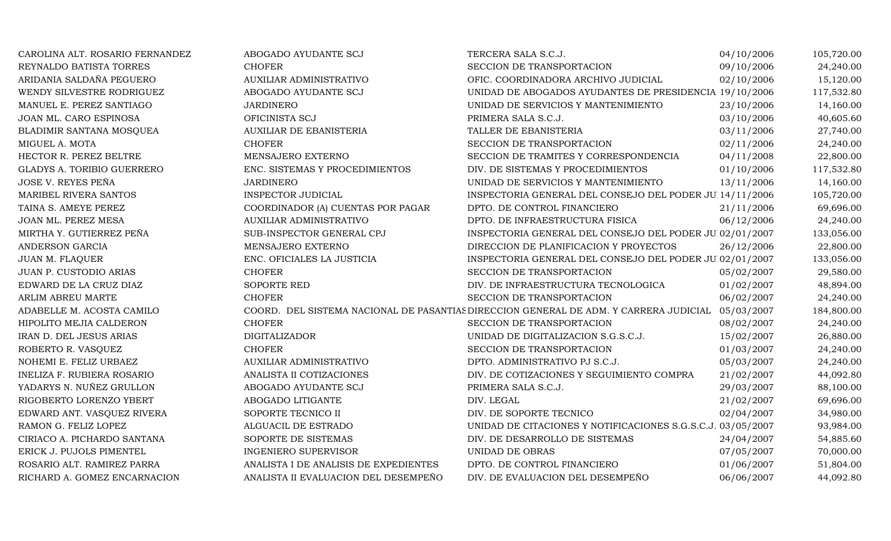| CAROLINA ALT. ROSARIO FERNANDEZ   | ABOGADO AYUDANTE SCJ                  | TERCERA SALA S.C.J.                                                                              | 04/10/2006 | 105,720.00 |
|-----------------------------------|---------------------------------------|--------------------------------------------------------------------------------------------------|------------|------------|
| REYNALDO BATISTA TORRES           | <b>CHOFER</b>                         | SECCION DE TRANSPORTACION                                                                        | 09/10/2006 | 24,240.00  |
| ARIDANIA SALDAÑA PEGUERO          | AUXILIAR ADMINISTRATIVO               | OFIC. COORDINADORA ARCHIVO JUDICIAL                                                              | 02/10/2006 | 15,120.00  |
| WENDY SILVESTRE RODRIGUEZ         | ABOGADO AYUDANTE SCJ                  | UNIDAD DE ABOGADOS AYUDANTES DE PRESIDENCIA 19/10/2006                                           |            | 117,532.80 |
| MANUEL E. PEREZ SANTIAGO          | JARDINERO                             | UNIDAD DE SERVICIOS Y MANTENIMIENTO                                                              | 23/10/2006 | 14,160.00  |
| JOAN ML. CARO ESPINOSA            | OFICINISTA SCJ                        | PRIMERA SALA S.C.J.                                                                              | 03/10/2006 | 40,605.60  |
| BLADIMIR SANTANA MOSQUEA          | <b>AUXILIAR DE EBANISTERIA</b>        | TALLER DE EBANISTERIA                                                                            | 03/11/2006 | 27,740.00  |
| MIGUEL A. MOTA                    | <b>CHOFER</b>                         | SECCION DE TRANSPORTACION                                                                        | 02/11/2006 | 24,240.00  |
| HECTOR R. PEREZ BELTRE            | MENSAJERO EXTERNO                     | SECCION DE TRAMITES Y CORRESPONDENCIA                                                            | 04/11/2008 | 22,800.00  |
| <b>GLADYS A. TORIBIO GUERRERO</b> | ENC. SISTEMAS Y PROCEDIMIENTOS        | DIV. DE SISTEMAS Y PROCEDIMIENTOS                                                                | 01/10/2006 | 117,532.80 |
| JOSE V. REYES PEÑA                | <b>JARDINERO</b>                      | UNIDAD DE SERVICIOS Y MANTENIMIENTO                                                              | 13/11/2006 | 14,160.00  |
| MARIBEL RIVERA SANTOS             | <b>INSPECTOR JUDICIAL</b>             | INSPECTORIA GENERAL DEL CONSEJO DEL PODER JUI 14/11/2006                                         |            | 105,720.00 |
| TAINA S. AMEYE PEREZ              | COORDINADOR (A) CUENTAS POR PAGAR     | DPTO. DE CONTROL FINANCIERO                                                                      | 21/11/2006 | 69,696.00  |
| JOAN ML. PEREZ MESA               | AUXILIAR ADMINISTRATIVO               | DPTO. DE INFRAESTRUCTURA FISICA                                                                  | 06/12/2006 | 24,240.00  |
| MIRTHA Y. GUTIERREZ PEÑA          | SUB-INSPECTOR GENERAL CPJ             | INSPECTORIA GENERAL DEL CONSEJO DEL PODER JUI02/01/2007                                          |            | 133,056.00 |
| ANDERSON GARCIA                   | MENSAJERO EXTERNO                     | DIRECCION DE PLANIFICACION Y PROYECTOS                                                           | 26/12/2006 | 22,800.00  |
| <b>JUAN M. FLAQUER</b>            | ENC. OFICIALES LA JUSTICIA            | INSPECTORIA GENERAL DEL CONSEJO DEL PODER JU 02/01/2007                                          |            | 133,056.00 |
| JUAN P. CUSTODIO ARIAS            | <b>CHOFER</b>                         | SECCION DE TRANSPORTACION                                                                        | 05/02/2007 | 29,580.00  |
| EDWARD DE LA CRUZ DIAZ            | <b>SOPORTE RED</b>                    | DIV. DE INFRAESTRUCTURA TECNOLOGICA                                                              | 01/02/2007 | 48,894.00  |
| ARLIM ABREU MARTE                 | <b>CHOFER</b>                         | SECCION DE TRANSPORTACION                                                                        | 06/02/2007 | 24,240.00  |
| ADABELLE M. ACOSTA CAMILO         |                                       | COORD. DEL SISTEMA NACIONAL DE PASANTIAS DIRECCION GENERAL DE ADM. Y CARRERA JUDICIAL 05/03/2007 |            | 184,800.00 |
| HIPOLITO MEJIA CALDERON           | <b>CHOFER</b>                         | SECCION DE TRANSPORTACION                                                                        | 08/02/2007 | 24,240.00  |
| IRAN D. DEL JESUS ARIAS           | <b>DIGITALIZADOR</b>                  | UNIDAD DE DIGITALIZACION S.G.S.C.J.                                                              | 15/02/2007 | 26,880.00  |
| ROBERTO R. VASQUEZ                | <b>CHOFER</b>                         | SECCION DE TRANSPORTACION                                                                        | 01/03/2007 | 24,240.00  |
| NOHEMI E. FELIZ URBAEZ            | AUXILIAR ADMINISTRATIVO               | DPTO. ADMINISTRATIVO PJ S.C.J.                                                                   | 05/03/2007 | 24,240.00  |
| INELIZA F. RUBIERA ROSARIO        | ANALISTA II COTIZACIONES              | DIV. DE COTIZACIONES Y SEGUIMIENTO COMPRA                                                        | 21/02/2007 | 44,092.80  |
| YADARYS N. NUÑEZ GRULLON          | ABOGADO AYUDANTE SCJ                  | PRIMERA SALA S.C.J.                                                                              | 29/03/2007 | 88,100.00  |
| RIGOBERTO LORENZO YBERT           | ABOGADO LITIGANTE                     | DIV. LEGAL                                                                                       | 21/02/2007 | 69,696.00  |
| EDWARD ANT. VASQUEZ RIVERA        | SOPORTE TECNICO II                    | DIV. DE SOPORTE TECNICO                                                                          | 02/04/2007 | 34,980.00  |
| RAMON G. FELIZ LOPEZ              | ALGUACIL DE ESTRADO                   | UNIDAD DE CITACIONES Y NOTIFICACIONES S.G.S.C.J. 03/05/2007                                      |            | 93,984.00  |
| CIRIACO A. PICHARDO SANTANA       | SOPORTE DE SISTEMAS                   | DIV. DE DESARROLLO DE SISTEMAS                                                                   | 24/04/2007 | 54,885.60  |
| ERICK J. PUJOLS PIMENTEL          | <b>INGENIERO SUPERVISOR</b>           | UNIDAD DE OBRAS                                                                                  | 07/05/2007 | 70,000.00  |
| ROSARIO ALT. RAMIREZ PARRA        | ANALISTA I DE ANALISIS DE EXPEDIENTES | DPTO. DE CONTROL FINANCIERO                                                                      | 01/06/2007 | 51,804.00  |
| RICHARD A. GOMEZ ENCARNACION      | ANALISTA II EVALUACION DEL DESEMPEÑO  | DIV. DE EVALUACION DEL DESEMPEÑO                                                                 | 06/06/2007 | 44,092.80  |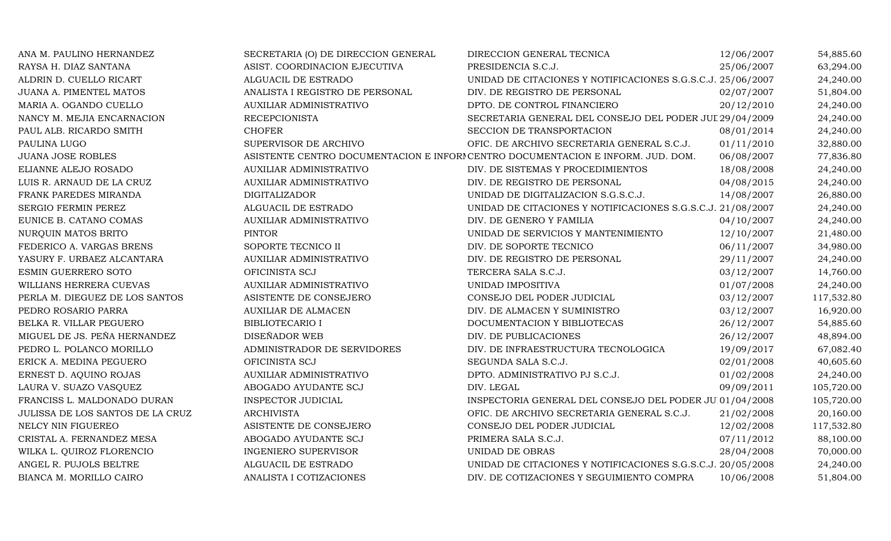| ANA M. PAULINO HERNANDEZ         | SECRETARIA (O) DE DIRECCION GENERAL | DIRECCION GENERAL TECNICA                                                        | 12/06/2007 | 54,885.60  |
|----------------------------------|-------------------------------------|----------------------------------------------------------------------------------|------------|------------|
| RAYSA H. DIAZ SANTANA            | ASIST. COORDINACION EJECUTIVA       | PRESIDENCIA S.C.J.                                                               | 25/06/2007 | 63,294.00  |
| ALDRIN D. CUELLO RICART          | ALGUACIL DE ESTRADO                 | UNIDAD DE CITACIONES Y NOTIFICACIONES S.G.S.C.J. 25/06/2007                      |            | 24,240.00  |
| JUANA A. PIMENTEL MATOS          | ANALISTA I REGISTRO DE PERSONAL     | DIV. DE REGISTRO DE PERSONAL                                                     | 02/07/2007 | 51,804.00  |
| MARIA A. OGANDO CUELLO           | AUXILIAR ADMINISTRATIVO             | DPTO. DE CONTROL FINANCIERO                                                      | 20/12/2010 | 24,240.00  |
| NANCY M. MEJIA ENCARNACION       | <b>RECEPCIONISTA</b>                | SECRETARIA GENERAL DEL CONSEJO DEL PODER JUL 29/04/2009                          |            | 24,240.00  |
| PAUL ALB. RICARDO SMITH          | <b>CHOFER</b>                       | SECCION DE TRANSPORTACION                                                        | 08/01/2014 | 24,240.00  |
| PAULINA LUGO                     | SUPERVISOR DE ARCHIVO               | OFIC. DE ARCHIVO SECRETARIA GENERAL S.C.J.                                       | 01/11/2010 | 32,880.00  |
| <b>JUANA JOSE ROBLES</b>         |                                     | ASISTENTE CENTRO DOCUMENTACION E INFORI CENTRO DOCUMENTACION E INFORM. JUD. DOM. | 06/08/2007 | 77,836.80  |
| ELIANNE ALEJO ROSADO             | AUXILIAR ADMINISTRATIVO             | DIV. DE SISTEMAS Y PROCEDIMIENTOS                                                | 18/08/2008 | 24,240.00  |
| LUIS R. ARNAUD DE LA CRUZ        | <b>AUXILIAR ADMINISTRATIVO</b>      | DIV. DE REGISTRO DE PERSONAL                                                     | 04/08/2015 | 24,240.00  |
| FRANK PAREDES MIRANDA            | <b>DIGITALIZADOR</b>                | UNIDAD DE DIGITALIZACION S.G.S.C.J.                                              | 14/08/2007 | 26,880.00  |
| SERGIO FERMIN PEREZ              | ALGUACIL DE ESTRADO                 | UNIDAD DE CITACIONES Y NOTIFICACIONES S.G.S.C.J. 21/08/2007                      |            | 24,240.00  |
| EUNICE B. CATANO COMAS           | AUXILIAR ADMINISTRATIVO             | DIV. DE GENERO Y FAMILIA                                                         | 04/10/2007 | 24,240.00  |
| NURQUIN MATOS BRITO              | <b>PINTOR</b>                       | UNIDAD DE SERVICIOS Y MANTENIMIENTO                                              | 12/10/2007 | 21,480.00  |
| FEDERICO A. VARGAS BRENS         | SOPORTE TECNICO II                  | DIV. DE SOPORTE TECNICO                                                          | 06/11/2007 | 34,980.00  |
| YASURY F. URBAEZ ALCANTARA       | AUXILIAR ADMINISTRATIVO             | DIV. DE REGISTRO DE PERSONAL                                                     | 29/11/2007 | 24,240.00  |
| ESMIN GUERRERO SOTO              | OFICINISTA SCJ                      | TERCERA SALA S.C.J.                                                              | 03/12/2007 | 14,760.00  |
| WILLIANS HERRERA CUEVAS          | AUXILIAR ADMINISTRATIVO             | UNIDAD IMPOSITIVA                                                                | 01/07/2008 | 24,240.00  |
| PERLA M. DIEGUEZ DE LOS SANTOS   | ASISTENTE DE CONSEJERO              | CONSEJO DEL PODER JUDICIAL                                                       | 03/12/2007 | 117,532.80 |
| PEDRO ROSARIO PARRA              | <b>AUXILIAR DE ALMACEN</b>          | DIV. DE ALMACEN Y SUMINISTRO                                                     | 03/12/2007 | 16,920.00  |
| BELKA R. VILLAR PEGUERO          | <b>BIBLIOTECARIO I</b>              | DOCUMENTACION Y BIBLIOTECAS                                                      | 26/12/2007 | 54,885.60  |
| MIGUEL DE JS. PEÑA HERNANDEZ     | DISEÑADOR WEB                       | DIV. DE PUBLICACIONES                                                            | 26/12/2007 | 48,894.00  |
| PEDRO L. POLANCO MORILLO         | ADMINISTRADOR DE SERVIDORES         | DIV. DE INFRAESTRUCTURA TECNOLOGICA                                              | 19/09/2017 | 67,082.40  |
| ERICK A. MEDINA PEGUERO          | OFICINISTA SCJ                      | SEGUNDA SALA S.C.J.                                                              | 02/01/2008 | 40,605.60  |
| ERNEST D. AQUINO ROJAS           | AUXILIAR ADMINISTRATIVO             | DPTO. ADMINISTRATIVO PJ S.C.J.                                                   | 01/02/2008 | 24,240.00  |
| LAURA V. SUAZO VASQUEZ           | ABOGADO AYUDANTE SCJ                | DIV. LEGAL                                                                       | 09/09/2011 | 105,720.00 |
| FRANCISS L. MALDONADO DURAN      | INSPECTOR JUDICIAL                  | INSPECTORIA GENERAL DEL CONSEJO DEL PODER JU 01/04/2008                          |            | 105,720.00 |
| JULISSA DE LOS SANTOS DE LA CRUZ | <b>ARCHIVISTA</b>                   | OFIC. DE ARCHIVO SECRETARIA GENERAL S.C.J.                                       | 21/02/2008 | 20,160.00  |
| NELCY NIN FIGUEREO               | ASISTENTE DE CONSEJERO              | CONSEJO DEL PODER JUDICIAL                                                       | 12/02/2008 | 117,532.80 |
| CRISTAL A. FERNANDEZ MESA        | ABOGADO AYUDANTE SCJ                | PRIMERA SALA S.C.J.                                                              | 07/11/2012 | 88,100.00  |
| WILKA L. QUIROZ FLORENCIO        | <b>INGENIERO SUPERVISOR</b>         | UNIDAD DE OBRAS                                                                  | 28/04/2008 | 70,000.00  |
| ANGEL R. PUJOLS BELTRE           | ALGUACIL DE ESTRADO                 | UNIDAD DE CITACIONES Y NOTIFICACIONES S.G.S.C.J. 20/05/2008                      |            | 24,240.00  |
| BIANCA M. MORILLO CAIRO          | ANALISTA I COTIZACIONES             | DIV. DE COTIZACIONES Y SEGUIMIENTO COMPRA                                        | 10/06/2008 | 51,804.00  |
|                                  |                                     |                                                                                  |            |            |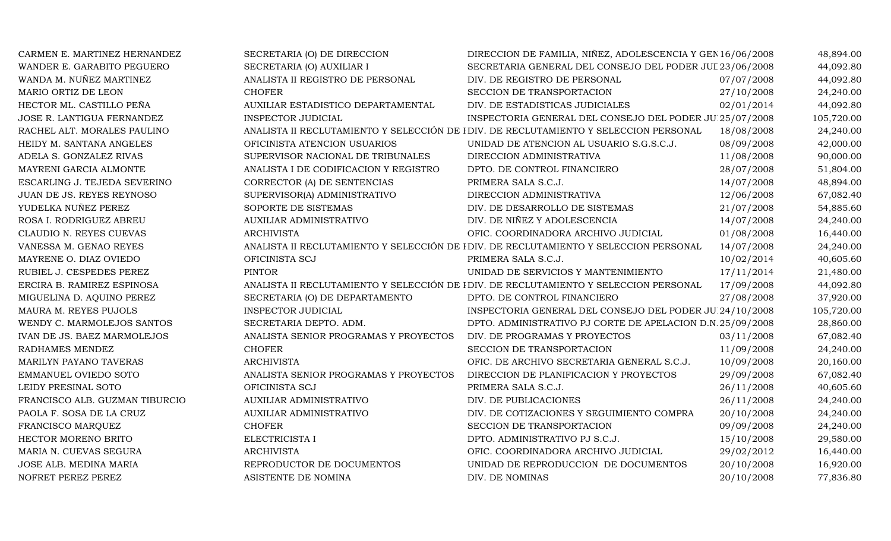| CARMEN E. MARTINEZ HERNANDEZ   | SECRETARIA (O) DE DIRECCION           | DIRECCION DE FAMILIA, NIÑEZ, ADOLESCENCIA Y GEN 16/06/2008                            |            | 48,894.00  |
|--------------------------------|---------------------------------------|---------------------------------------------------------------------------------------|------------|------------|
| WANDER E. GARABITO PEGUERO     | SECRETARIA (O) AUXILIAR I             | SECRETARIA GENERAL DEL CONSEJO DEL PODER JUL 23/06/2008                               |            | 44,092.80  |
| WANDA M. NUÑEZ MARTINEZ        | ANALISTA II REGISTRO DE PERSONAL      | DIV. DE REGISTRO DE PERSONAL                                                          | 07/07/2008 | 44,092.80  |
| MARIO ORTIZ DE LEON            | <b>CHOFER</b>                         | SECCION DE TRANSPORTACION                                                             | 27/10/2008 | 24,240.00  |
| HECTOR ML. CASTILLO PEÑA       | AUXILIAR ESTADISTICO DEPARTAMENTAL    | DIV. DE ESTADISTICAS JUDICIALES                                                       | 02/01/2014 | 44,092.80  |
| JOSE R. LANTIGUA FERNANDEZ     | INSPECTOR JUDICIAL                    | INSPECTORIA GENERAL DEL CONSEJO DEL PODER JU 25/07/2008                               |            | 105,720.00 |
| RACHEL ALT. MORALES PAULINO    |                                       | ANALISTA II RECLUTAMIENTO Y SELECCIÓN DE I DIV. DE RECLUTAMIENTO Y SELECCION PERSONAL | 18/08/2008 | 24,240.00  |
| HEIDY M. SANTANA ANGELES       | OFICINISTA ATENCION USUARIOS          | UNIDAD DE ATENCION AL USUARIO S.G.S.C.J.                                              | 08/09/2008 | 42,000.00  |
| ADELA S. GONZALEZ RIVAS        | SUPERVISOR NACIONAL DE TRIBUNALES     | DIRECCION ADMINISTRATIVA                                                              | 11/08/2008 | 90,000.00  |
| MAYRENI GARCIA ALMONTE         | ANALISTA I DE CODIFICACION Y REGISTRO | DPTO. DE CONTROL FINANCIERO                                                           | 28/07/2008 | 51,804.00  |
| ESCARLING J. TEJEDA SEVERINO   | CORRECTOR (A) DE SENTENCIAS           | PRIMERA SALA S.C.J.                                                                   | 14/07/2008 | 48,894.00  |
| JUAN DE JS. REYES REYNOSO      | SUPERVISOR(A) ADMINISTRATIVO          | DIRECCION ADMINISTRATIVA                                                              | 12/06/2008 | 67,082.40  |
| YUDELKA NUÑEZ PEREZ            | SOPORTE DE SISTEMAS                   | DIV. DE DESARROLLO DE SISTEMAS                                                        | 21/07/2008 | 54,885.60  |
| ROSA I. RODRIGUEZ ABREU        | AUXILIAR ADMINISTRATIVO               | DIV. DE NIÑEZ Y ADOLESCENCIA                                                          | 14/07/2008 | 24,240.00  |
| CLAUDIO N. REYES CUEVAS        | <b>ARCHIVISTA</b>                     | OFIC. COORDINADORA ARCHIVO JUDICIAL                                                   | 01/08/2008 | 16,440.00  |
| VANESSA M. GENAO REYES         |                                       | ANALISTA II RECLUTAMIENTO Y SELECCIÓN DE I DIV. DE RECLUTAMIENTO Y SELECCION PERSONAL | 14/07/2008 | 24,240.00  |
| MAYRENE O. DIAZ OVIEDO         | OFICINISTA SCJ                        | PRIMERA SALA S.C.J.                                                                   | 10/02/2014 | 40,605.60  |
| RUBIEL J. CESPEDES PEREZ       | <b>PINTOR</b>                         | UNIDAD DE SERVICIOS Y MANTENIMIENTO                                                   | 17/11/2014 | 21,480.00  |
| ERCIRA B. RAMIREZ ESPINOSA     |                                       | ANALISTA II RECLUTAMIENTO Y SELECCIÓN DE I DIV. DE RECLUTAMIENTO Y SELECCION PERSONAL | 17/09/2008 | 44,092.80  |
| MIGUELINA D. AQUINO PEREZ      | SECRETARIA (O) DE DEPARTAMENTO        | DPTO. DE CONTROL FINANCIERO                                                           | 27/08/2008 | 37,920.00  |
| MAURA M. REYES PUJOLS          | <b>INSPECTOR JUDICIAL</b>             | INSPECTORIA GENERAL DEL CONSEJO DEL PODER JU 24/10/2008                               |            | 105,720.00 |
| WENDY C. MARMOLEJOS SANTOS     | SECRETARIA DEPTO. ADM.                | DPTO. ADMINISTRATIVO PJ CORTE DE APELACION D.N.25/09/2008                             |            | 28,860.00  |
| IVAN DE JS. BAEZ MARMOLEJOS    | ANALISTA SENIOR PROGRAMAS Y PROYECTOS | DIV. DE PROGRAMAS Y PROYECTOS                                                         | 03/11/2008 | 67,082.40  |
| RADHAMES MENDEZ                | <b>CHOFER</b>                         | SECCION DE TRANSPORTACION                                                             | 11/09/2008 | 24,240.00  |
| MARILYN PAYANO TAVERAS         | <b>ARCHIVISTA</b>                     | OFIC. DE ARCHIVO SECRETARIA GENERAL S.C.J.                                            | 10/09/2008 | 20,160.00  |
| EMMANUEL OVIEDO SOTO           | ANALISTA SENIOR PROGRAMAS Y PROYECTOS | DIRECCION DE PLANIFICACION Y PROYECTOS                                                | 29/09/2008 | 67,082.40  |
| LEIDY PRESINAL SOTO            | OFICINISTA SCJ                        | PRIMERA SALA S.C.J.                                                                   | 26/11/2008 | 40,605.60  |
| FRANCISCO ALB. GUZMAN TIBURCIO | AUXILIAR ADMINISTRATIVO               | DIV. DE PUBLICACIONES                                                                 | 26/11/2008 | 24,240.00  |
| PAOLA F. SOSA DE LA CRUZ       | AUXILIAR ADMINISTRATIVO               | DIV. DE COTIZACIONES Y SEGUIMIENTO COMPRA                                             | 20/10/2008 | 24,240.00  |
| FRANCISCO MARQUEZ              | <b>CHOFER</b>                         | SECCION DE TRANSPORTACION                                                             | 09/09/2008 | 24,240.00  |
| HECTOR MORENO BRITO            | ELECTRICISTA I                        | DPTO. ADMINISTRATIVO PJ S.C.J.                                                        | 15/10/2008 | 29,580.00  |
| MARIA N. CUEVAS SEGURA         | <b>ARCHIVISTA</b>                     | OFIC. COORDINADORA ARCHIVO JUDICIAL                                                   | 29/02/2012 | 16,440.00  |
| JOSE ALB. MEDINA MARIA         | REPRODUCTOR DE DOCUMENTOS             | UNIDAD DE REPRODUCCION DE DOCUMENTOS                                                  | 20/10/2008 | 16,920.00  |
| NOFRET PEREZ PEREZ             | ASISTENTE DE NOMINA                   | DIV. DE NOMINAS                                                                       | 20/10/2008 | 77,836.80  |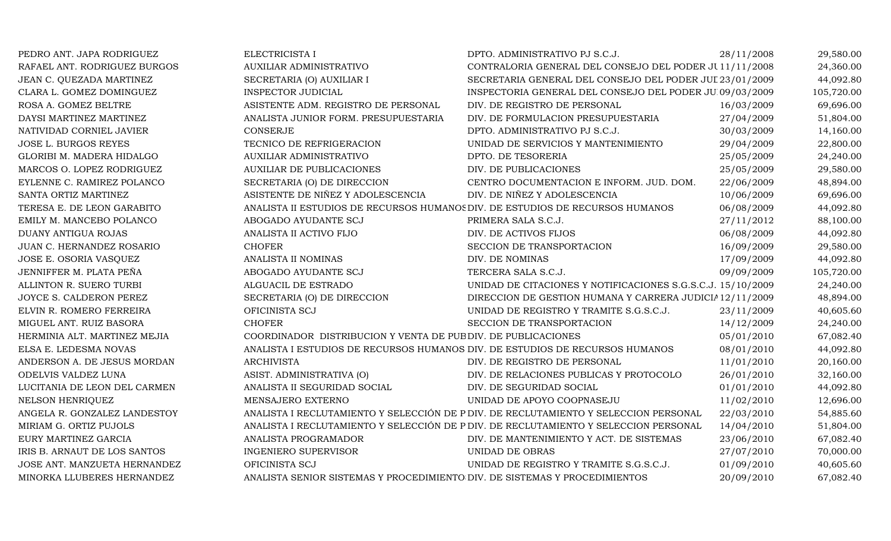| PEDRO ANT. JAPA RODRIGUEZ    | ELECTRICISTA I                                                             | DPTO. ADMINISTRATIVO PJ S.C.J.                                                       | 28/11/2008 | 29,580.00  |
|------------------------------|----------------------------------------------------------------------------|--------------------------------------------------------------------------------------|------------|------------|
| RAFAEL ANT. RODRIGUEZ BURGOS | AUXILIAR ADMINISTRATIVO                                                    | CONTRALORIA GENERAL DEL CONSEJO DEL PODER JU11/11/2008                               |            | 24,360.00  |
| JEAN C. QUEZADA MARTINEZ     | SECRETARIA (O) AUXILIAR I                                                  | SECRETARIA GENERAL DEL CONSEJO DEL PODER JUL 23/01/2009                              |            | 44,092.80  |
| CLARA L. GOMEZ DOMINGUEZ     | <b>INSPECTOR JUDICIAL</b>                                                  | INSPECTORIA GENERAL DEL CONSEJO DEL PODER JU 09/03/2009                              |            | 105,720.00 |
| ROSA A. GOMEZ BELTRE         | ASISTENTE ADM. REGISTRO DE PERSONAL                                        | DIV. DE REGISTRO DE PERSONAL                                                         | 16/03/2009 | 69,696.00  |
| DAYSI MARTINEZ MARTINEZ      | ANALISTA JUNIOR FORM. PRESUPUESTARIA                                       | DIV. DE FORMULACION PRESUPUESTARIA                                                   | 27/04/2009 | 51,804.00  |
| NATIVIDAD CORNIEL JAVIER     | <b>CONSERJE</b>                                                            | DPTO. ADMINISTRATIVO PJ S.C.J.                                                       | 30/03/2009 | 14,160.00  |
| <b>JOSE L. BURGOS REYES</b>  | TECNICO DE REFRIGERACION                                                   | UNIDAD DE SERVICIOS Y MANTENIMIENTO                                                  | 29/04/2009 | 22,800.00  |
| GLORIBI M. MADERA HIDALGO    | AUXILIAR ADMINISTRATIVO                                                    | DPTO. DE TESORERIA                                                                   | 25/05/2009 | 24,240.00  |
| MARCOS O. LOPEZ RODRIGUEZ    | AUXILIAR DE PUBLICACIONES                                                  | DIV. DE PUBLICACIONES                                                                | 25/05/2009 | 29,580.00  |
| EYLENNE C. RAMIREZ POLANCO   | SECRETARIA (O) DE DIRECCION                                                | CENTRO DOCUMENTACION E INFORM. JUD. DOM.                                             | 22/06/2009 | 48,894.00  |
| SANTA ORTIZ MARTINEZ         | ASISTENTE DE NIÑEZ Y ADOLESCENCIA                                          | DIV. DE NIÑEZ Y ADOLESCENCIA                                                         | 10/06/2009 | 69,696.00  |
| TERESA E. DE LEON GARABITO   |                                                                            | ANALISTA II ESTUDIOS DE RECURSOS HUMANOS DIV. DE ESTUDIOS DE RECURSOS HUMANOS        | 06/08/2009 | 44,092.80  |
| EMILY M. MANCEBO POLANCO     | ABOGADO AYUDANTE SCJ                                                       | PRIMERA SALA S.C.J.                                                                  | 27/11/2012 | 88,100.00  |
| DUANY ANTIGUA ROJAS          | ANALISTA II ACTIVO FIJO                                                    | DIV. DE ACTIVOS FIJOS                                                                | 06/08/2009 | 44,092.80  |
| JUAN C. HERNANDEZ ROSARIO    | <b>CHOFER</b>                                                              | SECCION DE TRANSPORTACION                                                            | 16/09/2009 | 29,580.00  |
| JOSE E. OSORIA VASQUEZ       | ANALISTA II NOMINAS                                                        | DIV. DE NOMINAS                                                                      | 17/09/2009 | 44,092.80  |
| JENNIFFER M. PLATA PEÑA      | ABOGADO AYUDANTE SCJ                                                       | TERCERA SALA S.C.J.                                                                  | 09/09/2009 | 105,720.00 |
| ALLINTON R. SUERO TURBI      | ALGUACIL DE ESTRADO                                                        | UNIDAD DE CITACIONES Y NOTIFICACIONES S.G.S.C.J. 15/10/2009                          |            | 24,240.00  |
| JOYCE S. CALDERON PEREZ      | SECRETARIA (O) DE DIRECCION                                                | DIRECCION DE GESTION HUMANA Y CARRERA JUDICIA 12/11/2009                             |            | 48,894.00  |
| ELVIN R. ROMERO FERREIRA     | OFICINISTA SCJ                                                             | UNIDAD DE REGISTRO Y TRAMITE S.G.S.C.J.                                              | 23/11/2009 | 40,605.60  |
| MIGUEL ANT. RUIZ BASORA      | <b>CHOFER</b>                                                              | SECCION DE TRANSPORTACION                                                            | 14/12/2009 | 24,240.00  |
| HERMINIA ALT. MARTINEZ MEJIA | COORDINADOR DISTRIBUCION Y VENTA DE PUB DIV. DE PUBLICACIONES              |                                                                                      | 05/01/2010 | 67,082.40  |
| ELSA E. LEDESMA NOVAS        |                                                                            | ANALISTA I ESTUDIOS DE RECURSOS HUMANOS DIV. DE ESTUDIOS DE RECURSOS HUMANOS         | 08/01/2010 | 44,092.80  |
| ANDERSON A. DE JESUS MORDAN  | <b>ARCHIVISTA</b>                                                          | DIV. DE REGISTRO DE PERSONAL                                                         | 11/01/2010 | 20,160.00  |
| ODELVIS VALDEZ LUNA          | ASIST. ADMINISTRATIVA (O)                                                  | DIV. DE RELACIONES PUBLICAS Y PROTOCOLO                                              | 26/01/2010 | 32,160.00  |
| LUCITANIA DE LEON DEL CARMEN | ANALISTA II SEGURIDAD SOCIAL                                               | DIV. DE SEGURIDAD SOCIAL                                                             | 01/01/2010 | 44,092.80  |
| NELSON HENRIQUEZ             | MENSAJERO EXTERNO                                                          | UNIDAD DE APOYO COOPNASEJU                                                           | 11/02/2010 | 12,696.00  |
| ANGELA R. GONZALEZ LANDESTOY |                                                                            | ANALISTA I RECLUTAMIENTO Y SELECCIÓN DE P DIV. DE RECLUTAMIENTO Y SELECCION PERSONAL | 22/03/2010 | 54,885.60  |
| MIRIAM G. ORTIZ PUJOLS       |                                                                            | ANALISTA I RECLUTAMIENTO Y SELECCIÓN DE P DIV. DE RECLUTAMIENTO Y SELECCION PERSONAL | 14/04/2010 | 51,804.00  |
| EURY MARTINEZ GARCIA         | ANALISTA PROGRAMADOR                                                       | DIV. DE MANTENIMIENTO Y ACT. DE SISTEMAS                                             | 23/06/2010 | 67,082.40  |
| IRIS B. ARNAUT DE LOS SANTOS | <b>INGENIERO SUPERVISOR</b>                                                | UNIDAD DE OBRAS                                                                      | 27/07/2010 | 70,000.00  |
| JOSE ANT. MANZUETA HERNANDEZ | OFICINISTA SCJ                                                             | UNIDAD DE REGISTRO Y TRAMITE S.G.S.C.J.                                              | 01/09/2010 | 40,605.60  |
| MINORKA LLUBERES HERNANDEZ   | ANALISTA SENIOR SISTEMAS Y PROCEDIMIENTO DIV. DE SISTEMAS Y PROCEDIMIENTOS |                                                                                      | 20/09/2010 | 67,082.40  |
|                              |                                                                            |                                                                                      |            |            |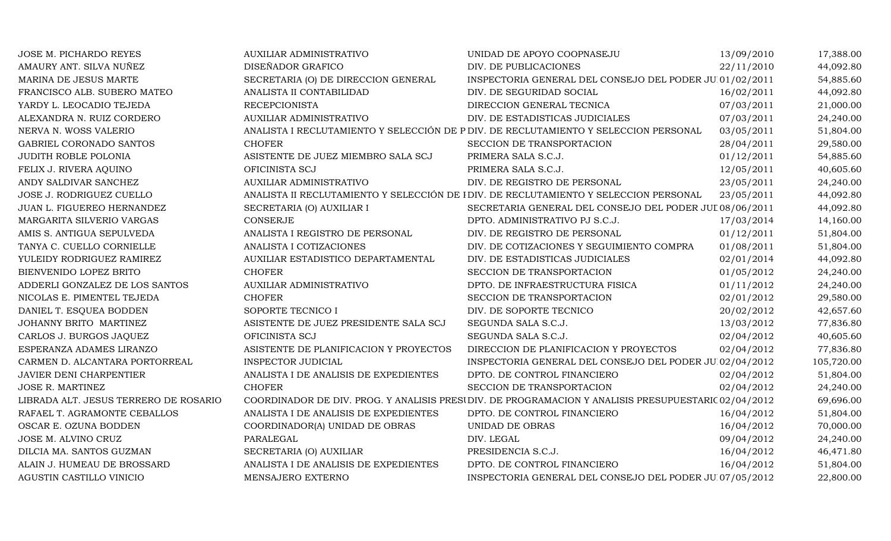| JOSE M. PICHARDO REYES                | <b>AUXILIAR ADMINISTRATIVO</b>         | UNIDAD DE APOYO COOPNASEJU                                                                          | 13/09/2010 | 17,388.00  |
|---------------------------------------|----------------------------------------|-----------------------------------------------------------------------------------------------------|------------|------------|
| AMAURY ANT. SILVA NUÑEZ               | DISEÑADOR GRAFICO                      | DIV. DE PUBLICACIONES                                                                               | 22/11/2010 | 44,092.80  |
| MARINA DE JESUS MARTE                 | SECRETARIA (O) DE DIRECCION GENERAL    | INSPECTORIA GENERAL DEL CONSEJO DEL PODER JU 01/02/2011                                             |            | 54,885.60  |
| FRANCISCO ALB. SUBERO MATEO           | ANALISTA II CONTABILIDAD               | DIV. DE SEGURIDAD SOCIAL                                                                            | 16/02/2011 | 44,092.80  |
| YARDY L. LEOCADIO TEJEDA              | <b>RECEPCIONISTA</b>                   | DIRECCION GENERAL TECNICA                                                                           | 07/03/2011 | 21,000.00  |
| ALEXANDRA N. RUIZ CORDERO             | <b>AUXILIAR ADMINISTRATIVO</b>         | DIV. DE ESTADISTICAS JUDICIALES                                                                     | 07/03/2011 | 24,240.00  |
| NERVA N. WOSS VALERIO                 |                                        | ANALISTA I RECLUTAMIENTO Y SELECCIÓN DE P DIV. DE RECLUTAMIENTO Y SELECCION PERSONAL                | 03/05/2011 | 51,804.00  |
| GABRIEL CORONADO SANTOS               | <b>CHOFER</b>                          | SECCION DE TRANSPORTACION                                                                           | 28/04/2011 | 29,580.00  |
| <b>JUDITH ROBLE POLONIA</b>           | ASISTENTE DE JUEZ MIEMBRO SALA SCJ     | PRIMERA SALA S.C.J.                                                                                 | 01/12/2011 | 54,885.60  |
| FELIX J. RIVERA AQUINO                | OFICINISTA SCJ                         | PRIMERA SALA S.C.J.                                                                                 | 12/05/2011 | 40,605.60  |
| ANDY SALDIVAR SANCHEZ                 | AUXILIAR ADMINISTRATIVO                | DIV. DE REGISTRO DE PERSONAL                                                                        | 23/05/2011 | 24,240.00  |
| JOSE J. RODRIGUEZ CUELLO              |                                        | ANALISTA II RECLUTAMIENTO Y SELECCIÓN DE IDIV. DE RECLUTAMIENTO Y SELECCION PERSONAL                | 23/05/2011 | 44,092.80  |
| JUAN L. FIGUEREO HERNANDEZ            | SECRETARIA (O) AUXILIAR I              | SECRETARIA GENERAL DEL CONSEJO DEL PODER JUI 08/06/2011                                             |            | 44,092.80  |
| MARGARITA SILVERIO VARGAS             | <b>CONSERJE</b>                        | DPTO. ADMINISTRATIVO PJ S.C.J.                                                                      | 17/03/2014 | 14,160.00  |
| AMIS S. ANTIGUA SEPULVEDA             | ANALISTA I REGISTRO DE PERSONAL        | DIV. DE REGISTRO DE PERSONAL                                                                        | 01/12/2011 | 51,804.00  |
| TANYA C. CUELLO CORNIELLE             | ANALISTA I COTIZACIONES                | DIV. DE COTIZACIONES Y SEGUIMIENTO COMPRA                                                           | 01/08/2011 | 51,804.00  |
| YULEIDY RODRIGUEZ RAMIREZ             | AUXILIAR ESTADISTICO DEPARTAMENTAL     | DIV. DE ESTADISTICAS JUDICIALES                                                                     | 02/01/2014 | 44,092.80  |
| BIENVENIDO LOPEZ BRITO                | <b>CHOFER</b>                          | SECCION DE TRANSPORTACION                                                                           | 01/05/2012 | 24,240.00  |
| ADDERLI GONZALEZ DE LOS SANTOS        | AUXILIAR ADMINISTRATIVO                | DPTO. DE INFRAESTRUCTURA FISICA                                                                     | 01/11/2012 | 24,240.00  |
| NICOLAS E. PIMENTEL TEJEDA            | <b>CHOFER</b>                          | SECCION DE TRANSPORTACION                                                                           | 02/01/2012 | 29,580.00  |
| DANIEL T. ESQUEA BODDEN               | SOPORTE TECNICO I                      | DIV. DE SOPORTE TECNICO                                                                             | 20/02/2012 | 42,657.60  |
| JOHANNY BRITO MARTINEZ                | ASISTENTE DE JUEZ PRESIDENTE SALA SCJ  | SEGUNDA SALA S.C.J.                                                                                 | 13/03/2012 | 77,836.80  |
| CARLOS J. BURGOS JAQUEZ               | OFICINISTA SCJ                         | SEGUNDA SALA S.C.J.                                                                                 | 02/04/2012 | 40,605.60  |
| ESPERANZA ADAMES LIRANZO              | ASISTENTE DE PLANIFICACION Y PROYECTOS | DIRECCION DE PLANIFICACION Y PROYECTOS                                                              | 02/04/2012 | 77,836.80  |
| CARMEN D. ALCANTARA PORTORREAL        | INSPECTOR JUDICIAL                     | INSPECTORIA GENERAL DEL CONSEJO DEL PODER JU 02/04/2012                                             |            | 105,720.00 |
| <b>JAVIER DENI CHARPENTIER</b>        | ANALISTA I DE ANALISIS DE EXPEDIENTES  | DPTO. DE CONTROL FINANCIERO                                                                         | 02/04/2012 | 51,804.00  |
| <b>JOSE R. MARTINEZ</b>               | <b>CHOFER</b>                          | SECCION DE TRANSPORTACION                                                                           | 02/04/2012 | 24,240.00  |
| LIBRADA ALT. JESUS TERRERO DE ROSARIO |                                        | COORDINADOR DE DIV. PROG. Y ANALISIS PRESIDIV. DE PROGRAMACION Y ANALISIS PRESUPUESTARIC 02/04/2012 |            | 69,696.00  |
| RAFAEL T. AGRAMONTE CEBALLOS          | ANALISTA I DE ANALISIS DE EXPEDIENTES  | DPTO. DE CONTROL FINANCIERO                                                                         | 16/04/2012 | 51,804.00  |
| OSCAR E. OZUNA BODDEN                 | COORDINADOR(A) UNIDAD DE OBRAS         | UNIDAD DE OBRAS                                                                                     | 16/04/2012 | 70,000.00  |
| JOSE M. ALVINO CRUZ                   | PARALEGAL                              | DIV. LEGAL                                                                                          | 09/04/2012 | 24,240.00  |
| DILCIA MA. SANTOS GUZMAN              | SECRETARIA (O) AUXILIAR                | PRESIDENCIA S.C.J.                                                                                  | 16/04/2012 | 46,471.80  |
| ALAIN J. HUMEAU DE BROSSARD           | ANALISTA I DE ANALISIS DE EXPEDIENTES  | DPTO. DE CONTROL FINANCIERO                                                                         | 16/04/2012 | 51,804.00  |
| AGUSTIN CASTILLO VINICIO              | MENSAJERO EXTERNO                      | INSPECTORIA GENERAL DEL CONSEJO DEL PODER JU 07/05/2012                                             |            | 22,800.00  |
|                                       |                                        |                                                                                                     |            |            |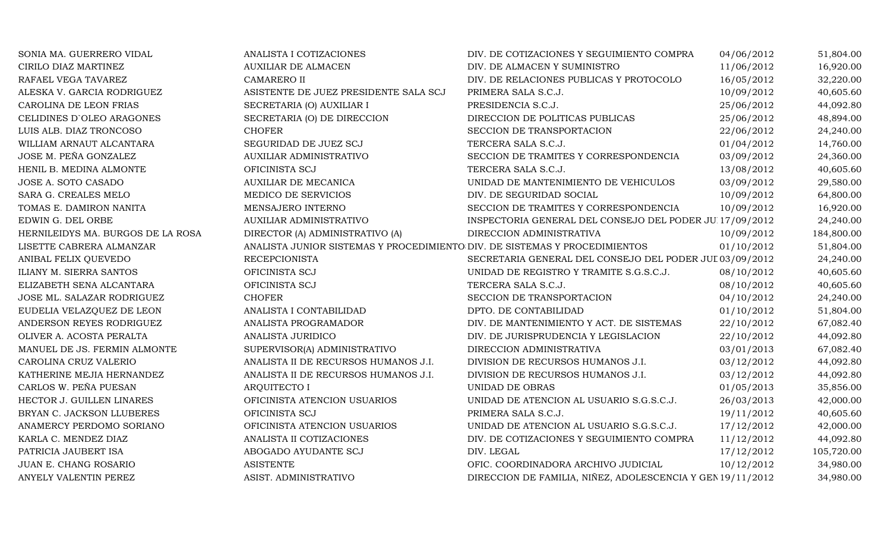| SONIA MA. GUERRERO VIDAL          | ANALISTA I COTIZACIONES                                                    | DIV. DE COTIZACIONES Y SEGUIMIENTO COMPRA                  | 04/06/2012 | 51,804.00  |
|-----------------------------------|----------------------------------------------------------------------------|------------------------------------------------------------|------------|------------|
| CIRILO DIAZ MARTINEZ              | <b>AUXILIAR DE ALMACEN</b>                                                 | DIV. DE ALMACEN Y SUMINISTRO                               | 11/06/2012 | 16,920.00  |
| RAFAEL VEGA TAVAREZ               | <b>CAMARERO II</b>                                                         | DIV. DE RELACIONES PUBLICAS Y PROTOCOLO                    | 16/05/2012 | 32,220.00  |
| ALESKA V. GARCIA RODRIGUEZ        | ASISTENTE DE JUEZ PRESIDENTE SALA SCJ                                      | PRIMERA SALA S.C.J.                                        | 10/09/2012 | 40,605.60  |
| CAROLINA DE LEON FRIAS            | SECRETARIA (O) AUXILIAR I                                                  | PRESIDENCIA S.C.J.                                         | 25/06/2012 | 44,092.80  |
| CELIDINES D'OLEO ARAGONES         | SECRETARIA (O) DE DIRECCION                                                | DIRECCION DE POLITICAS PUBLICAS                            | 25/06/2012 | 48,894.00  |
| LUIS ALB. DIAZ TRONCOSO           | <b>CHOFER</b>                                                              | SECCION DE TRANSPORTACION                                  | 22/06/2012 | 24,240.00  |
| WILLIAM ARNAUT ALCANTARA          | SEGURIDAD DE JUEZ SCJ                                                      | TERCERA SALA S.C.J.                                        | 01/04/2012 | 14,760.00  |
| JOSE M. PEÑA GONZALEZ             | AUXILIAR ADMINISTRATIVO                                                    | SECCION DE TRAMITES Y CORRESPONDENCIA                      | 03/09/2012 | 24,360.00  |
| HENIL B. MEDINA ALMONTE           | OFICINISTA SCJ                                                             | TERCERA SALA S.C.J.                                        | 13/08/2012 | 40,605.60  |
| JOSE A. SOTO CASADO               | <b>AUXILIAR DE MECANICA</b>                                                | UNIDAD DE MANTENIMIENTO DE VEHICULOS                       | 03/09/2012 | 29,580.00  |
| SARA G. CREALES MELO              | MEDICO DE SERVICIOS                                                        | DIV. DE SEGURIDAD SOCIAL                                   | 10/09/2012 | 64,800.00  |
| TOMAS E. DAMIRON NANITA           | MENSAJERO INTERNO                                                          | SECCION DE TRAMITES Y CORRESPONDENCIA                      | 10/09/2012 | 16,920.00  |
| EDWIN G. DEL ORBE                 | AUXILIAR ADMINISTRATIVO                                                    | INSPECTORIA GENERAL DEL CONSEJO DEL PODER JUI 17/09/2012   |            | 24,240.00  |
| HERNILEIDYS MA. BURGOS DE LA ROSA | DIRECTOR (A) ADMINISTRATIVO (A)                                            | DIRECCION ADMINISTRATIVA                                   | 10/09/2012 | 184,800.00 |
| LISETTE CABRERA ALMANZAR          | ANALISTA JUNIOR SISTEMAS Y PROCEDIMIENTO DIV. DE SISTEMAS Y PROCEDIMIENTOS |                                                            | 01/10/2012 | 51,804.00  |
| ANIBAL FELIX QUEVEDO              | <b>RECEPCIONISTA</b>                                                       | SECRETARIA GENERAL DEL CONSEJO DEL PODER JUI 03/09/2012    |            | 24,240.00  |
| ILIANY M. SIERRA SANTOS           | OFICINISTA SCJ                                                             | UNIDAD DE REGISTRO Y TRAMITE S.G.S.C.J.                    | 08/10/2012 | 40,605.60  |
| ELIZABETH SENA ALCANTARA          | OFICINISTA SCJ                                                             | TERCERA SALA S.C.J.                                        | 08/10/2012 | 40,605.60  |
| JOSE ML. SALAZAR RODRIGUEZ        | <b>CHOFER</b>                                                              | SECCION DE TRANSPORTACION                                  | 04/10/2012 | 24,240.00  |
| EUDELIA VELAZQUEZ DE LEON         | ANALISTA I CONTABILIDAD                                                    | DPTO. DE CONTABILIDAD                                      | 01/10/2012 | 51,804.00  |
| ANDERSON REYES RODRIGUEZ          | ANALISTA PROGRAMADOR                                                       | DIV. DE MANTENIMIENTO Y ACT. DE SISTEMAS                   | 22/10/2012 | 67,082.40  |
| OLIVER A. ACOSTA PERALTA          | ANALISTA JURIDICO                                                          | DIV. DE JURISPRUDENCIA Y LEGISLACION                       | 22/10/2012 | 44,092.80  |
| MANUEL DE JS. FERMIN ALMONTE      | SUPERVISOR(A) ADMINISTRATIVO                                               | DIRECCION ADMINISTRATIVA                                   | 03/01/2013 | 67,082.40  |
| CAROLINA CRUZ VALERIO             | ANALISTA II DE RECURSOS HUMANOS J.I.                                       | DIVISION DE RECURSOS HUMANOS J.I.                          | 03/12/2012 | 44,092.80  |
| KATHERINE MEJIA HERNANDEZ         | ANALISTA II DE RECURSOS HUMANOS J.I.                                       | DIVISION DE RECURSOS HUMANOS J.I.                          | 03/12/2012 | 44,092.80  |
| CARLOS W. PEÑA PUESAN             | <b>ARQUITECTO I</b>                                                        | UNIDAD DE OBRAS                                            | 01/05/2013 | 35,856.00  |
| HECTOR J. GUILLEN LINARES         | OFICINISTA ATENCION USUARIOS                                               | UNIDAD DE ATENCION AL USUARIO S.G.S.C.J.                   | 26/03/2013 | 42,000.00  |
| BRYAN C. JACKSON LLUBERES         | OFICINISTA SCJ                                                             | PRIMERA SALA S.C.J.                                        | 19/11/2012 | 40,605.60  |
| ANAMERCY PERDOMO SORIANO          | OFICINISTA ATENCION USUARIOS                                               | UNIDAD DE ATENCION AL USUARIO S.G.S.C.J.                   | 17/12/2012 | 42,000.00  |
| KARLA C. MENDEZ DIAZ              | ANALISTA II COTIZACIONES                                                   | DIV. DE COTIZACIONES Y SEGUIMIENTO COMPRA                  | 11/12/2012 | 44,092.80  |
| PATRICIA JAUBERT ISA              | ABOGADO AYUDANTE SCJ                                                       | DIV. LEGAL                                                 | 17/12/2012 | 105,720.00 |
| JUAN E. CHANG ROSARIO             | <b>ASISTENTE</b>                                                           | OFIC. COORDINADORA ARCHIVO JUDICIAL                        | 10/12/2012 | 34,980.00  |
| ANYELY VALENTIN PEREZ             | ASIST. ADMINISTRATIVO                                                      | DIRECCION DE FAMILIA, NIÑEZ, ADOLESCENCIA Y GEN 19/11/2012 |            | 34,980.00  |
|                                   |                                                                            |                                                            |            |            |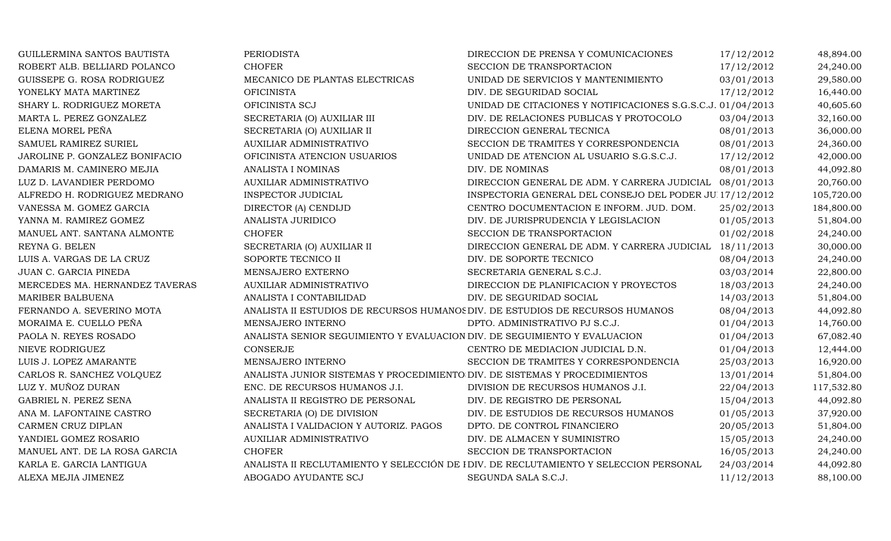| GUILLERMINA SANTOS BAUTISTA    | <b>PERIODISTA</b>                                                             | DIRECCION DE PRENSA Y COMUNICACIONES                                                  | 17/12/2012 | 48,894.00  |
|--------------------------------|-------------------------------------------------------------------------------|---------------------------------------------------------------------------------------|------------|------------|
| ROBERT ALB. BELLIARD POLANCO   | <b>CHOFER</b>                                                                 | SECCION DE TRANSPORTACION                                                             | 17/12/2012 | 24,240.00  |
| GUISSEPE G. ROSA RODRIGUEZ     | MECANICO DE PLANTAS ELECTRICAS                                                | UNIDAD DE SERVICIOS Y MANTENIMIENTO                                                   | 03/01/2013 | 29,580.00  |
| YONELKY MATA MARTINEZ          | <b>OFICINISTA</b>                                                             | DIV. DE SEGURIDAD SOCIAL                                                              | 17/12/2012 | 16,440.00  |
| SHARY L. RODRIGUEZ MORETA      | OFICINISTA SCJ                                                                | UNIDAD DE CITACIONES Y NOTIFICACIONES S.G.S.C.J. 01/04/2013                           |            | 40,605.60  |
| MARTA L. PEREZ GONZALEZ        | SECRETARIA (O) AUXILIAR III                                                   | DIV. DE RELACIONES PUBLICAS Y PROTOCOLO                                               | 03/04/2013 | 32,160.00  |
| ELENA MOREL PEÑA               | SECRETARIA (O) AUXILIAR II                                                    | DIRECCION GENERAL TECNICA                                                             | 08/01/2013 | 36,000.00  |
| SAMUEL RAMIREZ SURIEL          | <b>AUXILIAR ADMINISTRATIVO</b>                                                | SECCION DE TRAMITES Y CORRESPONDENCIA                                                 | 08/01/2013 | 24,360.00  |
| JAROLINE P. GONZALEZ BONIFACIO | OFICINISTA ATENCION USUARIOS                                                  | UNIDAD DE ATENCION AL USUARIO S.G.S.C.J.                                              | 17/12/2012 | 42,000.00  |
| DAMARIS M. CAMINERO MEJIA      | ANALISTA I NOMINAS                                                            | DIV. DE NOMINAS                                                                       | 08/01/2013 | 44,092.80  |
| LUZ D. LAVANDIER PERDOMO       | AUXILIAR ADMINISTRATIVO                                                       | DIRECCION GENERAL DE ADM. Y CARRERA JUDICIAL 08/01/2013                               |            | 20,760.00  |
| ALFREDO H. RODRIGUEZ MEDRANO   | INSPECTOR JUDICIAL                                                            | INSPECTORIA GENERAL DEL CONSEJO DEL PODER JU 17/12/2012                               |            | 105,720.00 |
| VANESSA M. GOMEZ GARCIA        | DIRECTOR (A) CENDIJD                                                          | CENTRO DOCUMENTACION E INFORM. JUD. DOM.                                              | 25/02/2013 | 184,800.00 |
| YANNA M. RAMIREZ GOMEZ         | ANALISTA JURIDICO                                                             | DIV. DE JURISPRUDENCIA Y LEGISLACION                                                  | 01/05/2013 | 51,804.00  |
| MANUEL ANT. SANTANA ALMONTE    | <b>CHOFER</b>                                                                 | SECCION DE TRANSPORTACION                                                             | 01/02/2018 | 24,240.00  |
| REYNA G. BELEN                 | SECRETARIA (O) AUXILIAR II                                                    | DIRECCION GENERAL DE ADM. Y CARRERA JUDICIAL 18/11/2013                               |            | 30,000.00  |
| LUIS A. VARGAS DE LA CRUZ      | SOPORTE TECNICO II                                                            | DIV. DE SOPORTE TECNICO                                                               | 08/04/2013 | 24,240.00  |
| JUAN C. GARCIA PINEDA          | MENSAJERO EXTERNO                                                             | SECRETARIA GENERAL S.C.J.                                                             | 03/03/2014 | 22,800.00  |
| MERCEDES MA. HERNANDEZ TAVERAS | <b>AUXILIAR ADMINISTRATIVO</b>                                                | DIRECCION DE PLANIFICACION Y PROYECTOS                                                | 18/03/2013 | 24,240.00  |
| MARIBER BALBUENA               | ANALISTA I CONTABILIDAD                                                       | DIV. DE SEGURIDAD SOCIAL                                                              | 14/03/2013 | 51,804.00  |
| FERNANDO A. SEVERINO MOTA      | ANALISTA II ESTUDIOS DE RECURSOS HUMANOS DIV. DE ESTUDIOS DE RECURSOS HUMANOS |                                                                                       | 08/04/2013 | 44,092.80  |
| MORAIMA E. CUELLO PEÑA         | MENSAJERO INTERNO                                                             | DPTO. ADMINISTRATIVO PJ S.C.J.                                                        | 01/04/2013 | 14,760.00  |
| PAOLA N. REYES ROSADO          | ANALISTA SENIOR SEGUIMIENTO Y EVALUACION DIV. DE SEGUIMIENTO Y EVALUACION     |                                                                                       | 01/04/2013 | 67,082.40  |
| NIEVE RODRIGUEZ                | <b>CONSERJE</b>                                                               | CENTRO DE MEDIACION JUDICIAL D.N.                                                     | 01/04/2013 | 12,444.00  |
| LUIS J. LOPEZ AMARANTE         | MENSAJERO INTERNO                                                             | SECCION DE TRAMITES Y CORRESPONDENCIA                                                 | 25/03/2013 | 16,920.00  |
| CARLOS R. SANCHEZ VOLQUEZ      | ANALISTA JUNIOR SISTEMAS Y PROCEDIMIENTO DIV. DE SISTEMAS Y PROCEDIMIENTOS    |                                                                                       | 13/01/2014 | 51,804.00  |
| LUZ Y. MUÑOZ DURAN             | ENC. DE RECURSOS HUMANOS J.I.                                                 | DIVISION DE RECURSOS HUMANOS J.I.                                                     | 22/04/2013 | 117,532.80 |
| GABRIEL N. PEREZ SENA          | ANALISTA II REGISTRO DE PERSONAL                                              | DIV. DE REGISTRO DE PERSONAL                                                          | 15/04/2013 | 44,092.80  |
| ANA M. LAFONTAINE CASTRO       | SECRETARIA (O) DE DIVISION                                                    | DIV. DE ESTUDIOS DE RECURSOS HUMANOS                                                  | 01/05/2013 | 37,920.00  |
| CARMEN CRUZ DIPLAN             | ANALISTA I VALIDACION Y AUTORIZ. PAGOS                                        | DPTO. DE CONTROL FINANCIERO                                                           | 20/05/2013 | 51,804.00  |
| YANDIEL GOMEZ ROSARIO          | AUXILIAR ADMINISTRATIVO                                                       | DIV. DE ALMACEN Y SUMINISTRO                                                          | 15/05/2013 | 24,240.00  |
| MANUEL ANT. DE LA ROSA GARCIA  | <b>CHOFER</b>                                                                 | SECCION DE TRANSPORTACION                                                             | 16/05/2013 | 24,240.00  |
| KARLA E. GARCIA LANTIGUA       |                                                                               | ANALISTA II RECLUTAMIENTO Y SELECCIÓN DE I DIV. DE RECLUTAMIENTO Y SELECCION PERSONAL | 24/03/2014 | 44,092.80  |
| ALEXA MEJIA JIMENEZ            | ABOGADO AYUDANTE SCJ                                                          | SEGUNDA SALA S.C.J.                                                                   | 11/12/2013 | 88,100.00  |
|                                |                                                                               |                                                                                       |            |            |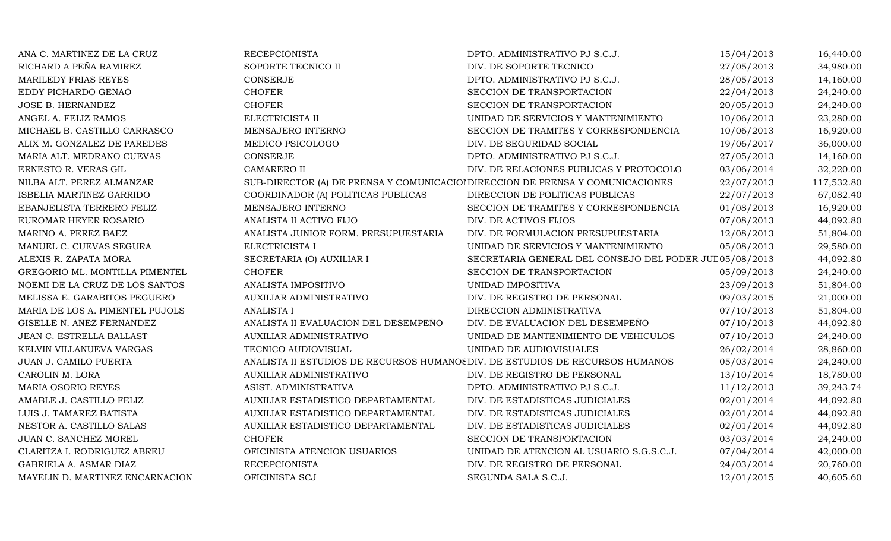| ANA C. MARTINEZ DE LA CRUZ      | <b>RECEPCIONISTA</b>                                                           | DPTO. ADMINISTRATIVO PJ S.C.J.                          | 15/04/2013 | 16,440.00  |
|---------------------------------|--------------------------------------------------------------------------------|---------------------------------------------------------|------------|------------|
| RICHARD A PEÑA RAMIREZ          | SOPORTE TECNICO II                                                             | DIV. DE SOPORTE TECNICO                                 | 27/05/2013 | 34,980.00  |
| MARILEDY FRIAS REYES            | CONSERJE                                                                       | DPTO. ADMINISTRATIVO PJ S.C.J.                          | 28/05/2013 | 14,160.00  |
| EDDY PICHARDO GENAO             | <b>CHOFER</b>                                                                  | SECCION DE TRANSPORTACION                               | 22/04/2013 | 24,240.00  |
| JOSE B. HERNANDEZ               | <b>CHOFER</b>                                                                  | SECCION DE TRANSPORTACION                               | 20/05/2013 | 24,240.00  |
| ANGEL A. FELIZ RAMOS            | ELECTRICISTA II                                                                | UNIDAD DE SERVICIOS Y MANTENIMIENTO                     | 10/06/2013 | 23,280.00  |
| MICHAEL B. CASTILLO CARRASCO    | MENSAJERO INTERNO                                                              | SECCION DE TRAMITES Y CORRESPONDENCIA                   | 10/06/2013 | 16,920.00  |
| ALIX M. GONZALEZ DE PAREDES     | MEDICO PSICOLOGO                                                               | DIV. DE SEGURIDAD SOCIAL                                | 19/06/2017 | 36,000.00  |
| MARIA ALT. MEDRANO CUEVAS       | CONSERJE                                                                       | DPTO. ADMINISTRATIVO PJ S.C.J.                          | 27/05/2013 | 14,160.00  |
| ERNESTO R. VERAS GIL            | <b>CAMARERO II</b>                                                             | DIV. DE RELACIONES PUBLICAS Y PROTOCOLO                 | 03/06/2014 | 32,220.00  |
| NILBA ALT. PEREZ ALMANZAR       | SUB-DIRECTOR (A) DE PRENSA Y COMUNICACIOI DIRECCION DE PRENSA Y COMUNICACIONES |                                                         | 22/07/2013 | 117,532.80 |
| ISBELIA MARTINEZ GARRIDO        | COORDINADOR (A) POLITICAS PUBLICAS                                             | DIRECCION DE POLITICAS PUBLICAS                         | 22/07/2013 | 67,082.40  |
| EBANJELISTA TERRERO FELIZ       | MENSAJERO INTERNO                                                              | SECCION DE TRAMITES Y CORRESPONDENCIA                   | 01/08/2013 | 16,920.00  |
| EUROMAR HEYER ROSARIO           | ANALISTA II ACTIVO FIJO                                                        | DIV. DE ACTIVOS FIJOS                                   | 07/08/2013 | 44,092.80  |
| MARINO A. PEREZ BAEZ            | ANALISTA JUNIOR FORM. PRESUPUESTARIA                                           | DIV. DE FORMULACION PRESUPUESTARIA                      | 12/08/2013 | 51,804.00  |
| MANUEL C. CUEVAS SEGURA         | ELECTRICISTA I                                                                 | UNIDAD DE SERVICIOS Y MANTENIMIENTO                     | 05/08/2013 | 29,580.00  |
| ALEXIS R. ZAPATA MORA           | SECRETARIA (O) AUXILIAR I                                                      | SECRETARIA GENERAL DEL CONSEJO DEL PODER JUI 05/08/2013 |            | 44,092.80  |
| GREGORIO ML. MONTILLA PIMENTEL  | <b>CHOFER</b>                                                                  | SECCION DE TRANSPORTACION                               | 05/09/2013 | 24,240.00  |
| NOEMI DE LA CRUZ DE LOS SANTOS  | ANALISTA IMPOSITIVO                                                            | UNIDAD IMPOSITIVA                                       | 23/09/2013 | 51,804.00  |
| MELISSA E. GARABITOS PEGUERO    | AUXILIAR ADMINISTRATIVO                                                        | DIV. DE REGISTRO DE PERSONAL                            | 09/03/2015 | 21,000.00  |
| MARIA DE LOS A. PIMENTEL PUJOLS | <b>ANALISTA I</b>                                                              | DIRECCION ADMINISTRATIVA                                | 07/10/2013 | 51,804.00  |
| GISELLE N. AÑEZ FERNANDEZ       | ANALISTA II EVALUACION DEL DESEMPEÑO                                           | DIV. DE EVALUACION DEL DESEMPEÑO                        | 07/10/2013 | 44,092.80  |
| JEAN C. ESTRELLA BALLAST        | AUXILIAR ADMINISTRATIVO                                                        | UNIDAD DE MANTENIMIENTO DE VEHICULOS                    | 07/10/2013 | 24,240.00  |
| KELVIN VILLANUEVA VARGAS        | TECNICO AUDIOVISUAL                                                            | UNIDAD DE AUDIOVISUALES                                 | 26/02/2014 | 28,860.00  |
| JUAN J. CAMILO PUERTA           | ANALISTA II ESTUDIOS DE RECURSOS HUMANOS DIV. DE ESTUDIOS DE RECURSOS HUMANOS  |                                                         | 05/03/2014 | 24,240.00  |
| CAROLIN M. LORA                 | AUXILIAR ADMINISTRATIVO                                                        | DIV. DE REGISTRO DE PERSONAL                            | 13/10/2014 | 18,780.00  |
| MARIA OSORIO REYES              | ASIST. ADMINISTRATIVA                                                          | DPTO. ADMINISTRATIVO PJ S.C.J.                          | 11/12/2013 | 39,243.74  |
| AMABLE J. CASTILLO FELIZ        | AUXILIAR ESTADISTICO DEPARTAMENTAL                                             | DIV. DE ESTADISTICAS JUDICIALES                         | 02/01/2014 | 44,092.80  |
| LUIS J. TAMAREZ BATISTA         | AUXILIAR ESTADISTICO DEPARTAMENTAL                                             | DIV. DE ESTADISTICAS JUDICIALES                         | 02/01/2014 | 44,092.80  |
| NESTOR A. CASTILLO SALAS        | AUXILIAR ESTADISTICO DEPARTAMENTAL                                             | DIV. DE ESTADISTICAS JUDICIALES                         | 02/01/2014 | 44,092.80  |
| JUAN C. SANCHEZ MOREL           | <b>CHOFER</b>                                                                  | SECCION DE TRANSPORTACION                               | 03/03/2014 | 24,240.00  |
| CLARITZA I. RODRIGUEZ ABREU     | OFICINISTA ATENCION USUARIOS                                                   | UNIDAD DE ATENCION AL USUARIO S.G.S.C.J.                | 07/04/2014 | 42,000.00  |
| GABRIELA A. ASMAR DIAZ          | <b>RECEPCIONISTA</b>                                                           | DIV. DE REGISTRO DE PERSONAL                            | 24/03/2014 | 20,760.00  |
| MAYELIN D. MARTINEZ ENCARNACION | OFICINISTA SCJ                                                                 | SEGUNDA SALA S.C.J.                                     | 12/01/2015 | 40,605.60  |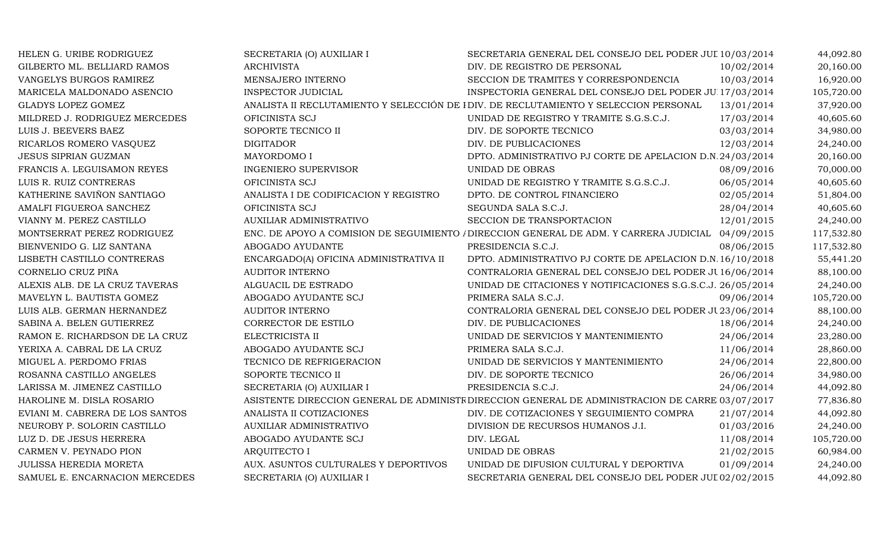| HELEN G. URIBE RODRIGUEZ        | SECRETARIA (O) AUXILIAR I              | SECRETARIA GENERAL DEL CONSEJO DEL PODER JUL 10/03/2014                                           |            | 44,092.80  |
|---------------------------------|----------------------------------------|---------------------------------------------------------------------------------------------------|------------|------------|
| GILBERTO ML. BELLIARD RAMOS     | <b>ARCHIVISTA</b>                      | DIV. DE REGISTRO DE PERSONAL                                                                      | 10/02/2014 | 20,160.00  |
| VANGELYS BURGOS RAMIREZ         | MENSAJERO INTERNO                      | SECCION DE TRAMITES Y CORRESPONDENCIA                                                             | 10/03/2014 | 16,920.00  |
| MARICELA MALDONADO ASENCIO      | <b>INSPECTOR JUDICIAL</b>              | INSPECTORIA GENERAL DEL CONSEJO DEL PODER JUI 17/03/2014                                          |            | 105,720.00 |
| <b>GLADYS LOPEZ GOMEZ</b>       |                                        | ANALISTA II RECLUTAMIENTO Y SELECCIÓN DE I DIV. DE RECLUTAMIENTO Y SELECCION PERSONAL             | 13/01/2014 | 37,920.00  |
| MILDRED J. RODRIGUEZ MERCEDES   | OFICINISTA SCJ                         | UNIDAD DE REGISTRO Y TRAMITE S.G.S.C.J.                                                           | 17/03/2014 | 40,605.60  |
| LUIS J. BEEVERS BAEZ            | SOPORTE TECNICO II                     | DIV. DE SOPORTE TECNICO                                                                           | 03/03/2014 | 34,980.00  |
| RICARLOS ROMERO VASQUEZ         | <b>DIGITADOR</b>                       | DIV. DE PUBLICACIONES                                                                             | 12/03/2014 | 24,240.00  |
| <b>JESUS SIPRIAN GUZMAN</b>     | MAYORDOMO I                            | DPTO. ADMINISTRATIVO PJ CORTE DE APELACION D.N.24/03/2014                                         |            | 20,160.00  |
| FRANCIS A. LEGUISAMON REYES     | INGENIERO SUPERVISOR                   | UNIDAD DE OBRAS                                                                                   | 08/09/2016 | 70,000.00  |
| LUIS R. RUIZ CONTRERAS          | OFICINISTA SCJ                         | UNIDAD DE REGISTRO Y TRAMITE S.G.S.C.J.                                                           | 06/05/2014 | 40,605.60  |
| KATHERINE SAVIÑON SANTIAGO      | ANALISTA I DE CODIFICACION Y REGISTRO  | DPTO. DE CONTROL FINANCIERO                                                                       | 02/05/2014 | 51,804.00  |
| AMALFI FIGUEROA SANCHEZ         | OFICINISTA SCJ                         | SEGUNDA SALA S.C.J.                                                                               | 28/04/2014 | 40,605.60  |
| VIANNY M. PEREZ CASTILLO        | AUXILIAR ADMINISTRATIVO                | SECCION DE TRANSPORTACION                                                                         | 12/01/2015 | 24,240.00  |
| MONTSERRAT PEREZ RODRIGUEZ      |                                        | ENC. DE APOYO A COMISION DE SEGUIMIENTO / DIRECCION GENERAL DE ADM. Y CARRERA JUDICIAL 04/09/2015 |            | 117,532.80 |
| BIENVENIDO G. LIZ SANTANA       | ABOGADO AYUDANTE                       | PRESIDENCIA S.C.J.                                                                                | 08/06/2015 | 117,532.80 |
| LISBETH CASTILLO CONTRERAS      | ENCARGADO(A) OFICINA ADMINISTRATIVA II | DPTO. ADMINISTRATIVO PJ CORTE DE APELACION D.N. 16/10/2018                                        |            | 55,441.20  |
| CORNELIO CRUZ PIÑA              | <b>AUDITOR INTERNO</b>                 | CONTRALORIA GENERAL DEL CONSEJO DEL PODER JU 16/06/2014                                           |            | 88,100.00  |
| ALEXIS ALB. DE LA CRUZ TAVERAS  | ALGUACIL DE ESTRADO                    | UNIDAD DE CITACIONES Y NOTIFICACIONES S.G.S.C.J. 26/05/2014                                       |            | 24,240.00  |
| MAVELYN L. BAUTISTA GOMEZ       | ABOGADO AYUDANTE SCJ                   | PRIMERA SALA S.C.J.                                                                               | 09/06/2014 | 105,720.00 |
| LUIS ALB. GERMAN HERNANDEZ      | <b>AUDITOR INTERNO</b>                 | CONTRALORIA GENERAL DEL CONSEJO DEL PODER JU 23/06/2014                                           |            | 88,100.00  |
| SABINA A. BELEN GUTIERREZ       | CORRECTOR DE ESTILO                    | DIV. DE PUBLICACIONES                                                                             | 18/06/2014 | 24,240.00  |
| RAMON E. RICHARDSON DE LA CRUZ  | ELECTRICISTA II                        | UNIDAD DE SERVICIOS Y MANTENIMIENTO                                                               | 24/06/2014 | 23,280.00  |
| YERIXA A. CABRAL DE LA CRUZ     | ABOGADO AYUDANTE SCJ                   | PRIMERA SALA S.C.J.                                                                               | 11/06/2014 | 28,860.00  |
| MIGUEL A. PERDOMO FRIAS         | TECNICO DE REFRIGERACION               | UNIDAD DE SERVICIOS Y MANTENIMIENTO                                                               | 24/06/2014 | 22,800.00  |
| ROSANNA CASTILLO ANGELES        | SOPORTE TECNICO II                     | DIV. DE SOPORTE TECNICO                                                                           | 26/06/2014 | 34,980.00  |
| LARISSA M. JIMENEZ CASTILLO     | SECRETARIA (O) AUXILIAR I              | PRESIDENCIA S.C.J.                                                                                | 24/06/2014 | 44,092.80  |
| HAROLINE M. DISLA ROSARIO       |                                        | ASISTENTE DIRECCION GENERAL DE ADMINISTE DIRECCION GENERAL DE ADMINISTRACION DE CARRE 03/07/2017  |            | 77,836.80  |
| EVIANI M. CABRERA DE LOS SANTOS | ANALISTA II COTIZACIONES               | DIV. DE COTIZACIONES Y SEGUIMIENTO COMPRA                                                         | 21/07/2014 | 44,092.80  |
| NEUROBY P. SOLORIN CASTILLO     | AUXILIAR ADMINISTRATIVO                | DIVISION DE RECURSOS HUMANOS J.I.                                                                 | 01/03/2016 | 24,240.00  |
| LUZ D. DE JESUS HERRERA         | ABOGADO AYUDANTE SCJ                   | DIV. LEGAL                                                                                        | 11/08/2014 | 105,720.00 |
| CARMEN V. PEYNADO PION          | ARQUITECTO I                           | UNIDAD DE OBRAS                                                                                   | 21/02/2015 | 60,984.00  |
| <b>JULISSA HEREDIA MORETA</b>   | AUX. ASUNTOS CULTURALES Y DEPORTIVOS   | UNIDAD DE DIFUSION CULTURAL Y DEPORTIVA                                                           | 01/09/2014 | 24,240.00  |
| SAMUEL E. ENCARNACION MERCEDES  | SECRETARIA (O) AUXILIAR I              | SECRETARIA GENERAL DEL CONSEJO DEL PODER JUI 02/02/2015                                           |            | 44,092.80  |
|                                 |                                        |                                                                                                   |            |            |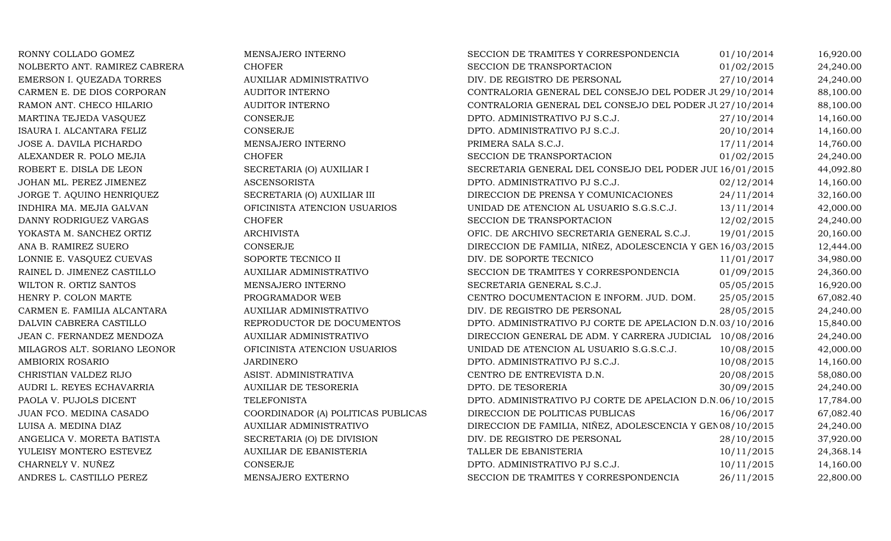| RONNY COLLADO GOMEZ           | MENSAJERO INTERNO                  | SECCION DE TRAMITES Y CORRESPONDENCIA                      | 01/10/2014 | 16,920.00 |
|-------------------------------|------------------------------------|------------------------------------------------------------|------------|-----------|
| NOLBERTO ANT. RAMIREZ CABRERA | <b>CHOFER</b>                      | SECCION DE TRANSPORTACION                                  | 01/02/2015 | 24,240.00 |
| EMERSON I. QUEZADA TORRES     | AUXILIAR ADMINISTRATIVO            | DIV. DE REGISTRO DE PERSONAL                               | 27/10/2014 | 24,240.00 |
| CARMEN E. DE DIOS CORPORAN    | <b>AUDITOR INTERNO</b>             | CONTRALORIA GENERAL DEL CONSEJO DEL PODER JU 29/10/2014    |            | 88,100.00 |
| RAMON ANT. CHECO HILARIO      | <b>AUDITOR INTERNO</b>             | CONTRALORIA GENERAL DEL CONSEJO DEL PODER JU 27/10/2014    |            | 88,100.00 |
| MARTINA TEJEDA VASQUEZ        | CONSERJE                           | DPTO. ADMINISTRATIVO PJ S.C.J.                             | 27/10/2014 | 14,160.00 |
| ISAURA I. ALCANTARA FELIZ     | CONSERJE                           | DPTO. ADMINISTRATIVO PJ S.C.J.                             | 20/10/2014 | 14,160.00 |
| JOSE A. DAVILA PICHARDO       | MENSAJERO INTERNO                  | PRIMERA SALA S.C.J.                                        | 17/11/2014 | 14,760.00 |
| ALEXANDER R. POLO MEJIA       | <b>CHOFER</b>                      | SECCION DE TRANSPORTACION                                  | 01/02/2015 | 24,240.00 |
| ROBERT E. DISLA DE LEON       | SECRETARIA (O) AUXILIAR I          | SECRETARIA GENERAL DEL CONSEJO DEL PODER JUL 16/01/2015    |            | 44,092.80 |
| JOHAN ML. PEREZ JIMENEZ       | <b>ASCENSORISTA</b>                | DPTO. ADMINISTRATIVO PJ S.C.J.                             | 02/12/2014 | 14,160.00 |
| JORGE T. AQUINO HENRIQUEZ     | SECRETARIA (O) AUXILIAR III        | DIRECCION DE PRENSA Y COMUNICACIONES                       | 24/11/2014 | 32,160.00 |
| INDHIRA MA. MEJIA GALVAN      | OFICINISTA ATENCION USUARIOS       | UNIDAD DE ATENCION AL USUARIO S.G.S.C.J.                   | 13/11/2014 | 42,000.00 |
| DANNY RODRIGUEZ VARGAS        | <b>CHOFER</b>                      | SECCION DE TRANSPORTACION                                  | 12/02/2015 | 24,240.00 |
| YOKASTA M. SANCHEZ ORTIZ      | <b>ARCHIVISTA</b>                  | OFIC. DE ARCHIVO SECRETARIA GENERAL S.C.J.                 | 19/01/2015 | 20,160.00 |
| ANA B. RAMIREZ SUERO          | CONSERJE                           | DIRECCION DE FAMILIA, NIÑEZ, ADOLESCENCIA Y GEN 16/03/2015 |            | 12,444.00 |
| LONNIE E. VASQUEZ CUEVAS      | SOPORTE TECNICO II                 | DIV. DE SOPORTE TECNICO                                    | 11/01/2017 | 34,980.00 |
| RAINEL D. JIMENEZ CASTILLO    | AUXILIAR ADMINISTRATIVO            | SECCION DE TRAMITES Y CORRESPONDENCIA                      | 01/09/2015 | 24,360.00 |
| WILTON R. ORTIZ SANTOS        | MENSAJERO INTERNO                  | SECRETARIA GENERAL S.C.J.                                  | 05/05/2015 | 16,920.00 |
| HENRY P. COLON MARTE          | PROGRAMADOR WEB                    | CENTRO DOCUMENTACION E INFORM. JUD. DOM.                   | 25/05/2015 | 67,082.40 |
| CARMEN E. FAMILIA ALCANTARA   | <b>AUXILIAR ADMINISTRATIVO</b>     | DIV. DE REGISTRO DE PERSONAL                               | 28/05/2015 | 24,240.00 |
| DALVIN CABRERA CASTILLO       | REPRODUCTOR DE DOCUMENTOS          | DPTO. ADMINISTRATIVO PJ CORTE DE APELACION D.N.03/10/2016  |            | 15,840.00 |
| JEAN C. FERNANDEZ MENDOZA     | AUXILIAR ADMINISTRATIVO            | DIRECCION GENERAL DE ADM. Y CARRERA JUDICIAL 10/08/2016    |            | 24,240.00 |
| MILAGROS ALT. SORIANO LEONOR  | OFICINISTA ATENCION USUARIOS       | UNIDAD DE ATENCION AL USUARIO S.G.S.C.J.                   | 10/08/2015 | 42,000.00 |
| <b>AMBIORIX ROSARIO</b>       | <b>JARDINERO</b>                   | DPTO. ADMINISTRATIVO PJ S.C.J.                             | 10/08/2015 | 14,160.00 |
| CHRISTIAN VALDEZ RIJO         | ASIST. ADMINISTRATIVA              | CENTRO DE ENTREVISTA D.N.                                  | 20/08/2015 | 58,080.00 |
| AUDRI L. REYES ECHAVARRIA     | <b>AUXILIAR DE TESORERIA</b>       | DPTO. DE TESORERIA                                         | 30/09/2015 | 24,240.00 |
| PAOLA V. PUJOLS DICENT        | <b>TELEFONISTA</b>                 | DPTO. ADMINISTRATIVO PJ CORTE DE APELACION D.N.06/10/2015  |            | 17,784.00 |
| JUAN FCO. MEDINA CASADO       | COORDINADOR (A) POLITICAS PUBLICAS | DIRECCION DE POLITICAS PUBLICAS                            | 16/06/2017 | 67,082.40 |
| LUISA A. MEDINA DIAZ          | AUXILIAR ADMINISTRATIVO            | DIRECCION DE FAMILIA, NIÑEZ, ADOLESCENCIA Y GEN08/10/2015  |            | 24,240.00 |
| ANGELICA V. MORETA BATISTA    | SECRETARIA (O) DE DIVISION         | DIV. DE REGISTRO DE PERSONAL                               | 28/10/2015 | 37,920.00 |
| YULEISY MONTERO ESTEVEZ       | AUXILIAR DE EBANISTERIA            | TALLER DE EBANISTERIA                                      | 10/11/2015 | 24,368.14 |
| CHARNELY V. NUÑEZ             | CONSERJE                           | DPTO. ADMINISTRATIVO PJ S.C.J.                             | 10/11/2015 | 14,160.00 |
| ANDRES L. CASTILLO PEREZ      | MENSAJERO EXTERNO                  | SECCION DE TRAMITES Y CORRESPONDENCIA                      | 26/11/2015 | 22,800.00 |
|                               |                                    |                                                            |            |           |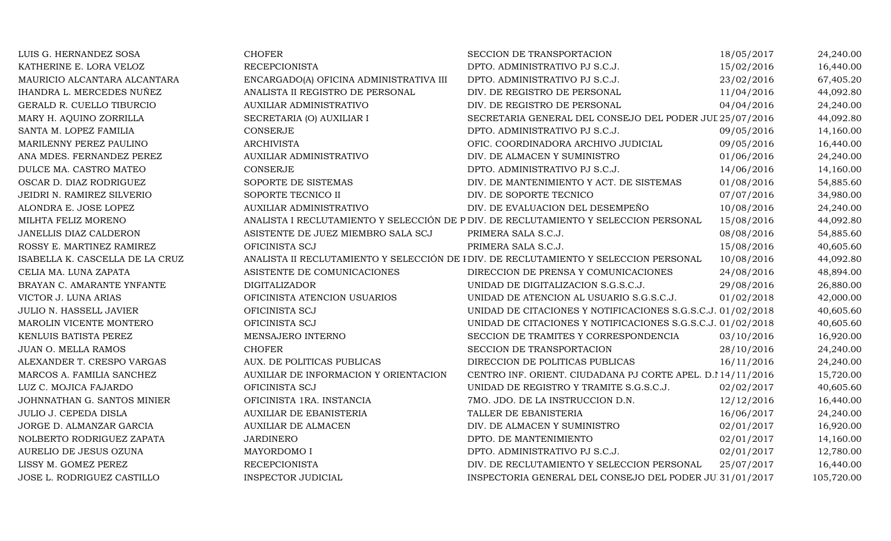| LUIS G. HERNANDEZ SOSA          | <b>CHOFER</b>                           | SECCION DE TRANSPORTACION                                                            | 18/05/2017 | 24,240.00  |
|---------------------------------|-----------------------------------------|--------------------------------------------------------------------------------------|------------|------------|
| KATHERINE E. LORA VELOZ         | <b>RECEPCIONISTA</b>                    | DPTO. ADMINISTRATIVO PJ S.C.J.                                                       | 15/02/2016 | 16,440.00  |
| MAURICIO ALCANTARA ALCANTARA    | ENCARGADO(A) OFICINA ADMINISTRATIVA III | DPTO. ADMINISTRATIVO PJ S.C.J.                                                       | 23/02/2016 | 67,405.20  |
| IHANDRA L. MERCEDES NUÑEZ       | ANALISTA II REGISTRO DE PERSONAL        | DIV. DE REGISTRO DE PERSONAL                                                         | 11/04/2016 | 44,092.80  |
| GERALD R. CUELLO TIBURCIO       | AUXILIAR ADMINISTRATIVO                 | DIV. DE REGISTRO DE PERSONAL                                                         | 04/04/2016 | 24,240.00  |
| MARY H. AQUINO ZORRILLA         | SECRETARIA (O) AUXILIAR I               | SECRETARIA GENERAL DEL CONSEJO DEL PODER JUL 25/07/2016                              |            | 44,092.80  |
| SANTA M. LOPEZ FAMILIA          | CONSERJE                                | DPTO. ADMINISTRATIVO PJ S.C.J.                                                       | 09/05/2016 | 14,160.00  |
| MARILENNY PEREZ PAULINO         | <b>ARCHIVISTA</b>                       | OFIC. COORDINADORA ARCHIVO JUDICIAL                                                  | 09/05/2016 | 16,440.00  |
| ANA MDES. FERNANDEZ PEREZ       | AUXILIAR ADMINISTRATIVO                 | DIV. DE ALMACEN Y SUMINISTRO                                                         | 01/06/2016 | 24,240.00  |
| DULCE MA. CASTRO MATEO          | <b>CONSERJE</b>                         | DPTO. ADMINISTRATIVO PJ S.C.J.                                                       | 14/06/2016 | 14,160.00  |
| OSCAR D. DIAZ RODRIGUEZ         | SOPORTE DE SISTEMAS                     | DIV. DE MANTENIMIENTO Y ACT. DE SISTEMAS                                             | 01/08/2016 | 54,885.60  |
| JEIDRI N. RAMIREZ SILVERIO      | SOPORTE TECNICO II                      | DIV. DE SOPORTE TECNICO                                                              | 07/07/2016 | 34,980.00  |
| ALONDRA E. JOSE LOPEZ           | AUXILIAR ADMINISTRATIVO                 | DIV. DE EVALUACION DEL DESEMPEÑO                                                     | 10/08/2016 | 24,240.00  |
| MILHTA FELIZ MORENO             |                                         | ANALISTA I RECLUTAMIENTO Y SELECCIÓN DE P DIV. DE RECLUTAMIENTO Y SELECCION PERSONAL | 15/08/2016 | 44,092.80  |
| JANELLIS DIAZ CALDERON          | ASISTENTE DE JUEZ MIEMBRO SALA SCJ      | PRIMERA SALA S.C.J.                                                                  | 08/08/2016 | 54,885.60  |
| ROSSY E. MARTINEZ RAMIREZ       | OFICINISTA SCJ                          | PRIMERA SALA S.C.J.                                                                  | 15/08/2016 | 40,605.60  |
| ISABELLA K. CASCELLA DE LA CRUZ |                                         | ANALISTA II RECLUTAMIENTO Y SELECCIÓN DE IDIV. DE RECLUTAMIENTO Y SELECCION PERSONAL | 10/08/2016 | 44,092.80  |
| CELIA MA. LUNA ZAPATA           | ASISTENTE DE COMUNICACIONES             | DIRECCION DE PRENSA Y COMUNICACIONES                                                 | 24/08/2016 | 48,894.00  |
| BRAYAN C. AMARANTE YNFANTE      | <b>DIGITALIZADOR</b>                    | UNIDAD DE DIGITALIZACION S.G.S.C.J.                                                  | 29/08/2016 | 26,880.00  |
| VICTOR J. LUNA ARIAS            | OFICINISTA ATENCION USUARIOS            | UNIDAD DE ATENCION AL USUARIO S.G.S.C.J.                                             | 01/02/2018 | 42,000.00  |
| <b>JULIO N. HASSELL JAVIER</b>  | OFICINISTA SCJ                          | UNIDAD DE CITACIONES Y NOTIFICACIONES S.G.S.C.J. 01/02/2018                          |            | 40,605.60  |
| MAROLIN VICENTE MONTERO         | OFICINISTA SCJ                          | UNIDAD DE CITACIONES Y NOTIFICACIONES S.G.S.C.J. 01/02/2018                          |            | 40,605.60  |
| KENLUIS BATISTA PEREZ           | MENSAJERO INTERNO                       | SECCION DE TRAMITES Y CORRESPONDENCIA                                                | 03/10/2016 | 16,920.00  |
| JUAN O. MELLA RAMOS             | <b>CHOFER</b>                           | SECCION DE TRANSPORTACION                                                            | 28/10/2016 | 24,240.00  |
| ALEXANDER T. CRESPO VARGAS      | AUX. DE POLITICAS PUBLICAS              | DIRECCION DE POLITICAS PUBLICAS                                                      | 16/11/2016 | 24,240.00  |
| MARCOS A. FAMILIA SANCHEZ       | AUXILIAR DE INFORMACION Y ORIENTACION   | CENTRO INF. ORIENT. CIUDADANA PJ CORTE APEL. D.I 14/11/2016                          |            | 15,720.00  |
| LUZ C. MOJICA FAJARDO           | OFICINISTA SCJ                          | UNIDAD DE REGISTRO Y TRAMITE S.G.S.C.J.                                              | 02/02/2017 | 40,605.60  |
| JOHNNATHAN G. SANTOS MINIER     | OFICINISTA 1RA. INSTANCIA               | 7MO. JDO. DE LA INSTRUCCION D.N.                                                     | 12/12/2016 | 16,440.00  |
| <b>JULIO J. CEPEDA DISLA</b>    | AUXILIAR DE EBANISTERIA                 | TALLER DE EBANISTERIA                                                                | 16/06/2017 | 24,240.00  |
| JORGE D. ALMANZAR GARCIA        | <b>AUXILIAR DE ALMACEN</b>              | DIV. DE ALMACEN Y SUMINISTRO                                                         | 02/01/2017 | 16,920.00  |
| NOLBERTO RODRIGUEZ ZAPATA       | <b>JARDINERO</b>                        | DPTO. DE MANTENIMIENTO                                                               | 02/01/2017 | 14,160.00  |
| AURELIO DE JESUS OZUNA          | MAYORDOMO I                             | DPTO. ADMINISTRATIVO PJ S.C.J.                                                       | 02/01/2017 | 12,780.00  |
| LISSY M. GOMEZ PEREZ            | <b>RECEPCIONISTA</b>                    | DIV. DE RECLUTAMIENTO Y SELECCION PERSONAL                                           | 25/07/2017 | 16,440.00  |
| JOSE L. RODRIGUEZ CASTILLO      | <b>INSPECTOR JUDICIAL</b>               | INSPECTORIA GENERAL DEL CONSEJO DEL PODER JUE31/01/2017                              |            | 105,720.00 |
|                                 |                                         |                                                                                      |            |            |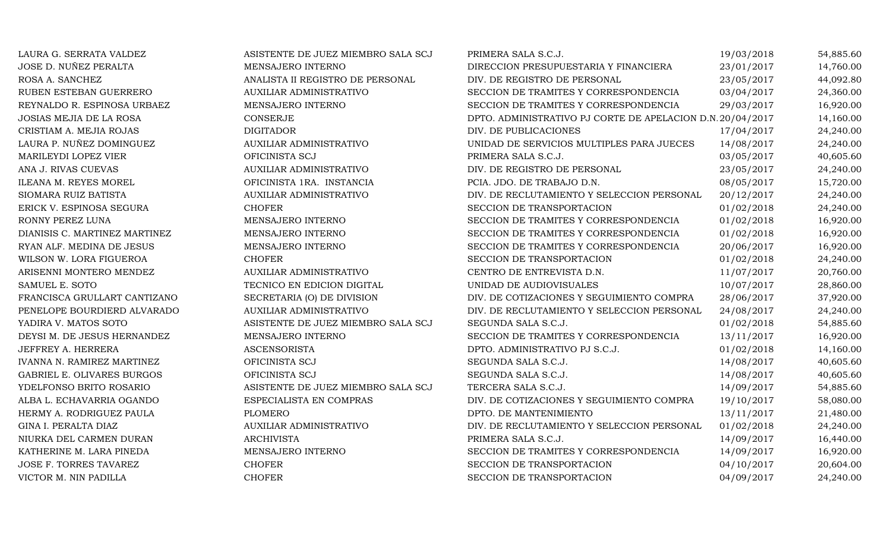| LAURA G. SERRATA VALDEZ       | ASISTENTE DE JUEZ MIEMBRO SALA SCJ | PRIMERA SALA S.C.J.                                       | 19/03/2018 | 54,885.60 |
|-------------------------------|------------------------------------|-----------------------------------------------------------|------------|-----------|
| JOSE D. NUÑEZ PERALTA         | MENSAJERO INTERNO                  | DIRECCION PRESUPUESTARIA Y FINANCIERA                     | 23/01/2017 | 14,760.00 |
| ROSA A. SANCHEZ               | ANALISTA II REGISTRO DE PERSONAL   | DIV. DE REGISTRO DE PERSONAL                              | 23/05/2017 | 44,092.80 |
| RUBEN ESTEBAN GUERRERO        | AUXILIAR ADMINISTRATIVO            | SECCION DE TRAMITES Y CORRESPONDENCIA                     | 03/04/2017 | 24,360.00 |
| REYNALDO R. ESPINOSA URBAEZ   | MENSAJERO INTERNO                  | SECCION DE TRAMITES Y CORRESPONDENCIA                     | 29/03/2017 | 16,920.00 |
| JOSIAS MEJIA DE LA ROSA       | <b>CONSERJE</b>                    | DPTO. ADMINISTRATIVO PJ CORTE DE APELACION D.N.20/04/2017 |            | 14,160.00 |
| CRISTIAM A. MEJIA ROJAS       | <b>DIGITADOR</b>                   | DIV. DE PUBLICACIONES                                     | 17/04/2017 | 24,240.00 |
| LAURA P. NUÑEZ DOMINGUEZ      | AUXILIAR ADMINISTRATIVO            | UNIDAD DE SERVICIOS MULTIPLES PARA JUECES                 | 14/08/2017 | 24,240.00 |
| MARILEYDI LOPEZ VIER          | OFICINISTA SCJ                     | PRIMERA SALA S.C.J.                                       | 03/05/2017 | 40,605.60 |
| ANA J. RIVAS CUEVAS           | AUXILIAR ADMINISTRATIVO            | DIV. DE REGISTRO DE PERSONAL                              | 23/05/2017 | 24,240.00 |
| ILEANA M. REYES MOREL         | OFICINISTA 1RA. INSTANCIA          | PCIA. JDO. DE TRABAJO D.N.                                | 08/05/2017 | 15,720.00 |
| SIOMARA RUIZ BATISTA          | <b>AUXILIAR ADMINISTRATIVO</b>     | DIV. DE RECLUTAMIENTO Y SELECCION PERSONAL                | 20/12/2017 | 24,240.00 |
| ERICK V. ESPINOSA SEGURA      | <b>CHOFER</b>                      | SECCION DE TRANSPORTACION                                 | 01/02/2018 | 24,240.00 |
| RONNY PEREZ LUNA              | MENSAJERO INTERNO                  | SECCION DE TRAMITES Y CORRESPONDENCIA                     | 01/02/2018 | 16,920.00 |
| DIANISIS C. MARTINEZ MARTINEZ | MENSAJERO INTERNO                  | SECCION DE TRAMITES Y CORRESPONDENCIA                     | 01/02/2018 | 16,920.00 |
| RYAN ALF. MEDINA DE JESUS     | MENSAJERO INTERNO                  | SECCION DE TRAMITES Y CORRESPONDENCIA                     | 20/06/2017 | 16,920.00 |
| WILSON W. LORA FIGUEROA       | <b>CHOFER</b>                      | SECCION DE TRANSPORTACION                                 | 01/02/2018 | 24,240.00 |
| ARISENNI MONTERO MENDEZ       | <b>AUXILIAR ADMINISTRATIVO</b>     | CENTRO DE ENTREVISTA D.N.                                 | 11/07/2017 | 20,760.00 |
| SAMUEL E. SOTO                | TECNICO EN EDICION DIGITAL         | UNIDAD DE AUDIOVISUALES                                   | 10/07/2017 | 28,860.00 |
| FRANCISCA GRULLART CANTIZANO  | SECRETARIA (O) DE DIVISION         | DIV. DE COTIZACIONES Y SEGUIMIENTO COMPRA                 | 28/06/2017 | 37,920.00 |
| PENELOPE BOURDIERD ALVARADO   | AUXILIAR ADMINISTRATIVO            | DIV. DE RECLUTAMIENTO Y SELECCION PERSONAL                | 24/08/2017 | 24,240.00 |
| YADIRA V. MATOS SOTO          | ASISTENTE DE JUEZ MIEMBRO SALA SCJ | SEGUNDA SALA S.C.J.                                       | 01/02/2018 | 54,885.60 |
| DEYSI M. DE JESUS HERNANDEZ   | MENSAJERO INTERNO                  | SECCION DE TRAMITES Y CORRESPONDENCIA                     | 13/11/2017 | 16,920.00 |
| JEFFREY A. HERRERA            | <b>ASCENSORISTA</b>                | DPTO. ADMINISTRATIVO PJ S.C.J.                            | 01/02/2018 | 14,160.00 |
| IVANNA N. RAMIREZ MARTINEZ    | OFICINISTA SCJ                     | SEGUNDA SALA S.C.J.                                       | 14/08/2017 | 40,605.60 |
| GABRIEL E. OLIVARES BURGOS    | OFICINISTA SCJ                     | SEGUNDA SALA S.C.J.                                       | 14/08/2017 | 40,605.60 |
| YDELFONSO BRITO ROSARIO       | ASISTENTE DE JUEZ MIEMBRO SALA SCJ | TERCERA SALA S.C.J.                                       | 14/09/2017 | 54,885.60 |
| ALBA L. ECHAVARRIA OGANDO     | ESPECIALISTA EN COMPRAS            | DIV. DE COTIZACIONES Y SEGUIMIENTO COMPRA                 | 19/10/2017 | 58,080.00 |
| HERMY A. RODRIGUEZ PAULA      | <b>PLOMERO</b>                     | DPTO. DE MANTENIMIENTO                                    | 13/11/2017 | 21,480.00 |
| GINA I. PERALTA DIAZ          | AUXILIAR ADMINISTRATIVO            | DIV. DE RECLUTAMIENTO Y SELECCION PERSONAL                | 01/02/2018 | 24,240.00 |
| NIURKA DEL CARMEN DURAN       | <b>ARCHIVISTA</b>                  | PRIMERA SALA S.C.J.                                       | 14/09/2017 | 16,440.00 |
| KATHERINE M. LARA PINEDA      | MENSAJERO INTERNO                  | SECCION DE TRAMITES Y CORRESPONDENCIA                     | 14/09/2017 | 16,920.00 |
| JOSE F. TORRES TAVAREZ        | <b>CHOFER</b>                      | SECCION DE TRANSPORTACION                                 | 04/10/2017 | 20,604.00 |
| VICTOR M. NIN PADILLA         | <b>CHOFER</b>                      | SECCION DE TRANSPORTACION                                 | 04/09/2017 | 24,240.00 |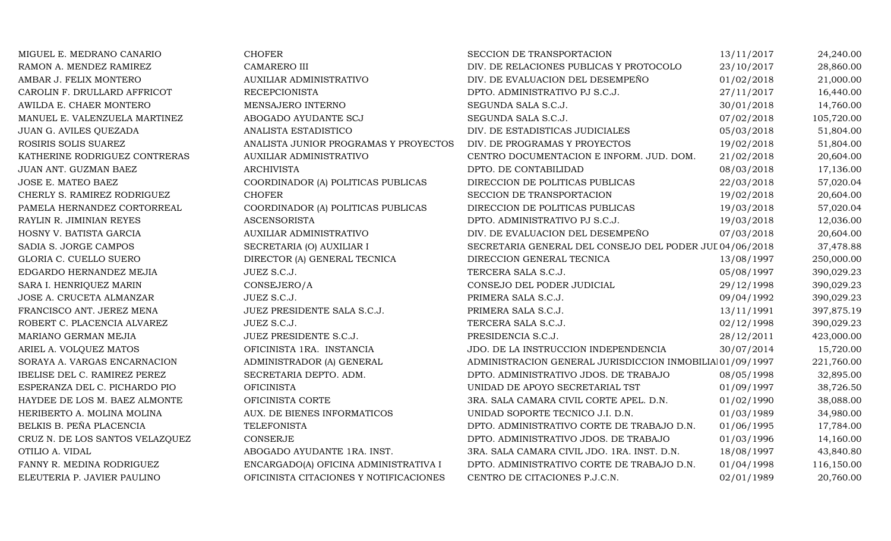| MIGUEL E. MEDRANO CANARIO           | <b>CHOFER</b>                          | SECCION DE TRANSPORTACION                                | 13/11/2017 | 24,240.00  |
|-------------------------------------|----------------------------------------|----------------------------------------------------------|------------|------------|
| RAMON A. MENDEZ RAMIREZ             | CAMARERO III                           | DIV. DE RELACIONES PUBLICAS Y PROTOCOLO                  | 23/10/2017 | 28,860.00  |
| AMBAR J. FELIX MONTERO              | AUXILIAR ADMINISTRATIVO                | DIV. DE EVALUACION DEL DESEMPEÑO                         | 01/02/2018 | 21,000.00  |
| CAROLIN F. DRULLARD AFFRICOT        | <b>RECEPCIONISTA</b>                   | DPTO. ADMINISTRATIVO PJ S.C.J.                           | 27/11/2017 | 16,440.00  |
| AWILDA E. CHAER MONTERO             | MENSAJERO INTERNO                      | SEGUNDA SALA S.C.J.                                      | 30/01/2018 | 14,760.00  |
| MANUEL E. VALENZUELA MARTINEZ       | ABOGADO AYUDANTE SCJ                   | SEGUNDA SALA S.C.J.                                      | 07/02/2018 | 105,720.00 |
| JUAN G. AVILES QUEZADA              | ANALISTA ESTADISTICO                   | DIV. DE ESTADISTICAS JUDICIALES                          | 05/03/2018 | 51,804.00  |
| ROSIRIS SOLIS SUAREZ                | ANALISTA JUNIOR PROGRAMAS Y PROYECTOS  | DIV. DE PROGRAMAS Y PROYECTOS                            | 19/02/2018 | 51,804.00  |
| KATHERINE RODRIGUEZ CONTRERAS       | <b>AUXILIAR ADMINISTRATIVO</b>         | CENTRO DOCUMENTACION E INFORM. JUD. DOM.                 | 21/02/2018 | 20,604.00  |
| JUAN ANT. GUZMAN BAEZ               | <b>ARCHIVISTA</b>                      | DPTO. DE CONTABILIDAD                                    | 08/03/2018 | 17,136.00  |
| JOSE E. MATEO BAEZ                  | COORDINADOR (A) POLITICAS PUBLICAS     | DIRECCION DE POLITICAS PUBLICAS                          | 22/03/2018 | 57,020.04  |
| CHERLY S. RAMIREZ RODRIGUEZ         | <b>CHOFER</b>                          | SECCION DE TRANSPORTACION                                | 19/02/2018 | 20,604.00  |
| PAMELA HERNANDEZ CORTORREAL         | COORDINADOR (A) POLITICAS PUBLICAS     | DIRECCION DE POLITICAS PUBLICAS                          | 19/03/2018 | 57,020.04  |
| RAYLIN R. JIMINIAN REYES            | <b>ASCENSORISTA</b>                    | DPTO. ADMINISTRATIVO PJ S.C.J.                           | 19/03/2018 | 12,036.00  |
| HOSNY V. BATISTA GARCIA             | AUXILIAR ADMINISTRATIVO                | DIV. DE EVALUACION DEL DESEMPEÑO                         | 07/03/2018 | 20,604.00  |
| SADIA S. JORGE CAMPOS               | SECRETARIA (O) AUXILIAR I              | SECRETARIA GENERAL DEL CONSEJO DEL PODER JUI 04/06/2018  |            | 37,478.88  |
| GLORIA C. CUELLO SUERO              | DIRECTOR (A) GENERAL TECNICA           | DIRECCION GENERAL TECNICA                                | 13/08/1997 | 250,000.00 |
| EDGARDO HERNANDEZ MEJIA             | JUEZ S.C.J.                            | TERCERA SALA S.C.J.                                      | 05/08/1997 | 390,029.23 |
| SARA I. HENRIQUEZ MARIN             | CONSEJERO/A                            | CONSEJO DEL PODER JUDICIAL                               | 29/12/1998 | 390,029.23 |
| JOSE A. CRUCETA ALMANZAR            | JUEZ S.C.J.                            | PRIMERA SALA S.C.J.                                      | 09/04/1992 | 390,029.23 |
| FRANCISCO ANT. JEREZ MENA           | JUEZ PRESIDENTE SALA S.C.J.            | PRIMERA SALA S.C.J.                                      | 13/11/1991 | 397,875.19 |
| ROBERT C. PLACENCIA ALVAREZ         | JUEZ S.C.J.                            | TERCERA SALA S.C.J.                                      | 02/12/1998 | 390,029.23 |
| MARIANO GERMAN MEJIA                | JUEZ PRESIDENTE S.C.J.                 | PRESIDENCIA S.C.J.                                       | 28/12/2011 | 423,000.00 |
| ARIEL A. VOLQUEZ MATOS              | OFICINISTA 1RA. INSTANCIA              | JDO. DE LA INSTRUCCION INDEPENDENCIA                     | 30/07/2014 | 15,720.00  |
| SORAYA A. VARGAS ENCARNACION        | ADMINISTRADOR (A) GENERAL              | ADMINISTRACION GENERAL JURISDICCION INMOBILIAI01/09/1997 |            | 221,760.00 |
| <b>IBELISE DEL C. RAMIREZ PEREZ</b> | SECRETARIA DEPTO. ADM.                 | DPTO. ADMINISTRATIVO JDOS. DE TRABAJO                    | 08/05/1998 | 32,895.00  |
| ESPERANZA DEL C. PICHARDO PIO       | <b>OFICINISTA</b>                      | UNIDAD DE APOYO SECRETARIAL TST                          | 01/09/1997 | 38,726.50  |
| HAYDEE DE LOS M. BAEZ ALMONTE       | OFICINISTA CORTE                       | 3RA. SALA CAMARA CIVIL CORTE APEL. D.N.                  | 01/02/1990 | 38,088.00  |
| HERIBERTO A. MOLINA MOLINA          | AUX. DE BIENES INFORMATICOS            | UNIDAD SOPORTE TECNICO J.I. D.N.                         | 01/03/1989 | 34,980.00  |
| BELKIS B. PEÑA PLACENCIA            | TELEFONISTA                            | DPTO. ADMINISTRATIVO CORTE DE TRABAJO D.N.               | 01/06/1995 | 17,784.00  |
| CRUZ N. DE LOS SANTOS VELAZQUEZ     | <b>CONSERJE</b>                        | DPTO. ADMINISTRATIVO JDOS. DE TRABAJO                    | 01/03/1996 | 14,160.00  |
| OTILIO A. VIDAL                     | ABOGADO AYUDANTE 1RA. INST.            | 3RA. SALA CAMARA CIVIL JDO. 1RA. INST. D.N.              | 18/08/1997 | 43,840.80  |
| FANNY R. MEDINA RODRIGUEZ           | ENCARGADO(A) OFICINA ADMINISTRATIVA I  | DPTO. ADMINISTRATIVO CORTE DE TRABAJO D.N.               | 01/04/1998 | 116,150.00 |
| ELEUTERIA P. JAVIER PAULINO         | OFICINISTA CITACIONES Y NOTIFICACIONES | CENTRO DE CITACIONES P.J.C.N.                            | 02/01/1989 | 20,760.00  |
|                                     |                                        |                                                          |            |            |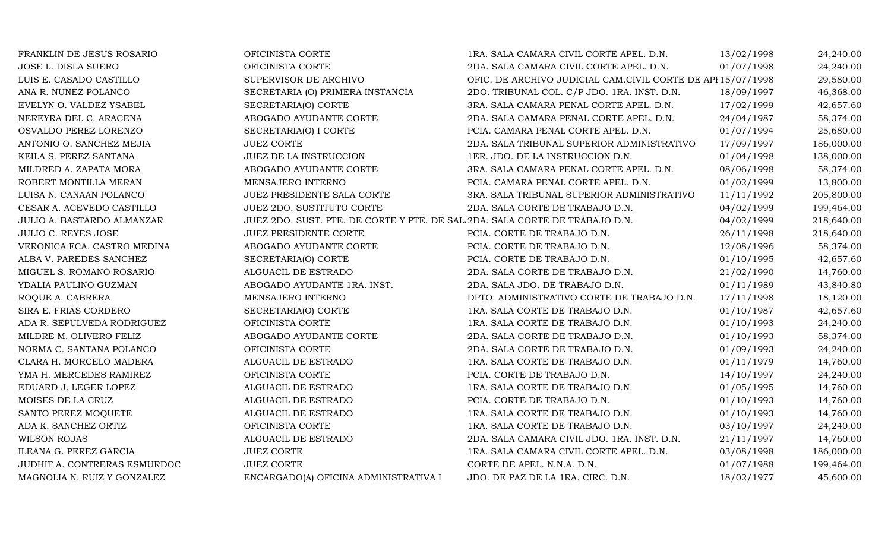| FRANKLIN DE JESUS ROSARIO    | OFICINISTA CORTE                                                            | 1RA. SALA CAMARA CIVIL CORTE APEL. D.N.                     | 13/02/1998 | 24,240.00  |
|------------------------------|-----------------------------------------------------------------------------|-------------------------------------------------------------|------------|------------|
| JOSE L. DISLA SUERO          | OFICINISTA CORTE                                                            | 2DA. SALA CAMARA CIVIL CORTE APEL. D.N.                     | 01/07/1998 | 24,240.00  |
| LUIS E. CASADO CASTILLO      | SUPERVISOR DE ARCHIVO                                                       | OFIC. DE ARCHIVO JUDICIAL CAM.CIVIL CORTE DE API 15/07/1998 |            | 29,580.00  |
| ANA R. NUÑEZ POLANCO         | SECRETARIA (O) PRIMERA INSTANCIA                                            | 2DO. TRIBUNAL COL. C/P JDO. 1RA. INST. D.N.                 | 18/09/1997 | 46,368.00  |
| EVELYN O. VALDEZ YSABEL      | SECRETARIA(O) CORTE                                                         | 3RA. SALA CAMARA PENAL CORTE APEL. D.N.                     | 17/02/1999 | 42,657.60  |
| NEREYRA DEL C. ARACENA       | ABOGADO AYUDANTE CORTE                                                      | 2DA. SALA CAMARA PENAL CORTE APEL. D.N.                     | 24/04/1987 | 58,374.00  |
| OSVALDO PEREZ LORENZO        | SECRETARIA(O) I CORTE                                                       | PCIA. CAMARA PENAL CORTE APEL. D.N.                         | 01/07/1994 | 25,680.00  |
| ANTONIO O. SANCHEZ MEJIA     | <b>JUEZ CORTE</b>                                                           | 2DA. SALA TRIBUNAL SUPERIOR ADMINISTRATIVO                  | 17/09/1997 | 186,000.00 |
| KEILA S. PEREZ SANTANA       | JUEZ DE LA INSTRUCCION                                                      | 1ER. JDO. DE LA INSTRUCCION D.N.                            | 01/04/1998 | 138,000.00 |
| MILDRED A. ZAPATA MORA       | ABOGADO AYUDANTE CORTE                                                      | 3RA. SALA CAMARA PENAL CORTE APEL. D.N.                     | 08/06/1998 | 58,374.00  |
| ROBERT MONTILLA MERAN        | MENSAJERO INTERNO                                                           | PCIA. CAMARA PENAL CORTE APEL. D.N.                         | 01/02/1999 | 13,800.00  |
| LUISA N. CANAAN POLANCO      | JUEZ PRESIDENTE SALA CORTE                                                  | 3RA. SALA TRIBUNAL SUPERIOR ADMINISTRATIVO                  | 11/11/1992 | 205,800.00 |
| CESAR A. ACEVEDO CASTILLO    | <b>JUEZ 2DO. SUSTITUTO CORTE</b>                                            | 2DA. SALA CORTE DE TRABAJO D.N.                             | 04/02/1999 | 199,464.00 |
| JULIO A. BASTARDO ALMANZAR   | JUEZ 2DO. SUST. PTE. DE CORTE Y PTE. DE SAL 2DA. SALA CORTE DE TRABAJO D.N. |                                                             | 04/02/1999 | 218,640.00 |
| <b>JULIO C. REYES JOSE</b>   | <b>JUEZ PRESIDENTE CORTE</b>                                                | PCIA. CORTE DE TRABAJO D.N.                                 | 26/11/1998 | 218,640.00 |
| VERONICA FCA. CASTRO MEDINA  | ABOGADO AYUDANTE CORTE                                                      | PCIA. CORTE DE TRABAJO D.N.                                 | 12/08/1996 | 58,374.00  |
| ALBA V. PAREDES SANCHEZ      | SECRETARIA(O) CORTE                                                         | PCIA. CORTE DE TRABAJO D.N.                                 | 01/10/1995 | 42,657.60  |
| MIGUEL S. ROMANO ROSARIO     | ALGUACIL DE ESTRADO                                                         | 2DA. SALA CORTE DE TRABAJO D.N.                             | 21/02/1990 | 14,760.00  |
| YDALIA PAULINO GUZMAN        | ABOGADO AYUDANTE 1RA. INST.                                                 | 2DA. SALA JDO. DE TRABAJO D.N.                              | 01/11/1989 | 43,840.80  |
| ROQUE A. CABRERA             | MENSAJERO INTERNO                                                           | DPTO. ADMINISTRATIVO CORTE DE TRABAJO D.N.                  | 17/11/1998 | 18,120.00  |
| SIRA E. FRIAS CORDERO        | SECRETARIA(O) CORTE                                                         | 1RA. SALA CORTE DE TRABAJO D.N.                             | 01/10/1987 | 42,657.60  |
| ADA R. SEPULVEDA RODRIGUEZ   | OFICINISTA CORTE                                                            | 1RA. SALA CORTE DE TRABAJO D.N.                             | 01/10/1993 | 24,240.00  |
| MILDRE M. OLIVERO FELIZ      | ABOGADO AYUDANTE CORTE                                                      | 2DA. SALA CORTE DE TRABAJO D.N.                             | 01/10/1993 | 58,374.00  |
| NORMA C. SANTANA POLANCO     | OFICINISTA CORTE                                                            | 2DA. SALA CORTE DE TRABAJO D.N.                             | 01/09/1993 | 24,240.00  |
| CLARA H. MORCELO MADERA      | ALGUACIL DE ESTRADO                                                         | 1RA. SALA CORTE DE TRABAJO D.N.                             | 01/11/1979 | 14,760.00  |
| YMA H. MERCEDES RAMIREZ      | OFICINISTA CORTE                                                            | PCIA. CORTE DE TRABAJO D.N.                                 | 14/10/1997 | 24,240.00  |
| EDUARD J. LEGER LOPEZ        | ALGUACIL DE ESTRADO                                                         | 1RA. SALA CORTE DE TRABAJO D.N.                             | 01/05/1995 | 14,760.00  |
| MOISES DE LA CRUZ            | ALGUACIL DE ESTRADO                                                         | PCIA. CORTE DE TRABAJO D.N.                                 | 01/10/1993 | 14,760.00  |
| SANTO PEREZ MOQUETE          | ALGUACIL DE ESTRADO                                                         | 1RA. SALA CORTE DE TRABAJO D.N.                             | 01/10/1993 | 14,760.00  |
| ADA K. SANCHEZ ORTIZ         | OFICINISTA CORTE                                                            | 1RA. SALA CORTE DE TRABAJO D.N.                             | 03/10/1997 | 24,240.00  |
| WILSON ROJAS                 | ALGUACIL DE ESTRADO                                                         | 2DA. SALA CAMARA CIVIL JDO. 1RA. INST. D.N.                 | 21/11/1997 | 14,760.00  |
| ILEANA G. PEREZ GARCIA       | <b>JUEZ CORTE</b>                                                           | 1RA. SALA CAMARA CIVIL CORTE APEL. D.N.                     | 03/08/1998 | 186,000.00 |
| JUDHIT A. CONTRERAS ESMURDOC | <b>JUEZ CORTE</b>                                                           | CORTE DE APEL. N.N.A. D.N.                                  | 01/07/1988 | 199,464.00 |
| MAGNOLIA N. RUIZ Y GONZALEZ  | ENCARGADO(A) OFICINA ADMINISTRATIVA I                                       | JDO. DE PAZ DE LA 1RA. CIRC. D.N.                           | 18/02/1977 | 45,600.00  |
|                              |                                                                             |                                                             |            |            |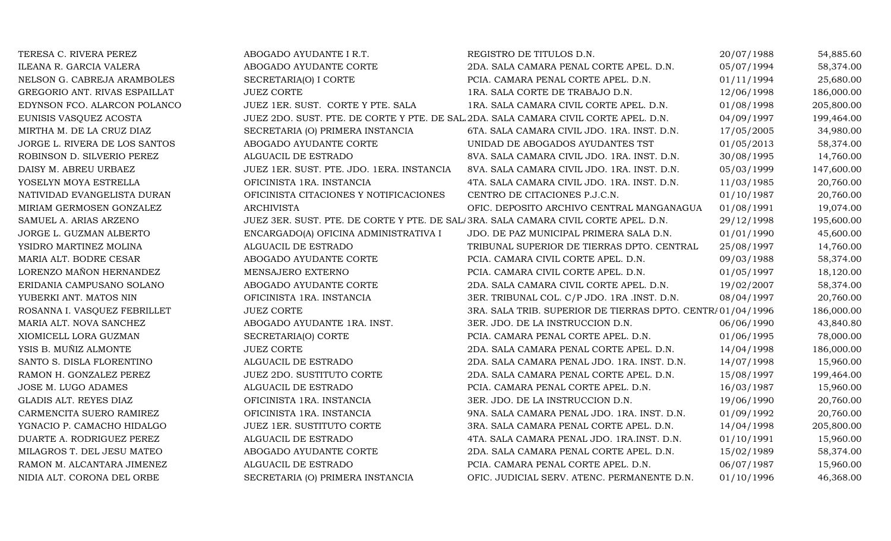| TERESA C. RIVERA PEREZ        | ABOGADO AYUDANTE I R.T.                                                             | REGISTRO DE TITULOS D.N.                                   | 20/07/1988 | 54,885.60  |
|-------------------------------|-------------------------------------------------------------------------------------|------------------------------------------------------------|------------|------------|
| ILEANA R. GARCIA VALERA       | ABOGADO AYUDANTE CORTE                                                              | 2DA. SALA CAMARA PENAL CORTE APEL. D.N.                    | 05/07/1994 | 58,374.00  |
| NELSON G. CABREJA ARAMBOLES   | SECRETARIA(O) I CORTE                                                               | PCIA. CAMARA PENAL CORTE APEL. D.N.                        | 01/11/1994 | 25,680.00  |
| GREGORIO ANT. RIVAS ESPAILLAT | <b>JUEZ CORTE</b>                                                                   | 1RA. SALA CORTE DE TRABAJO D.N.                            | 12/06/1998 | 186,000.00 |
| EDYNSON FCO. ALARCON POLANCO  | JUEZ 1ER. SUST. CORTE Y PTE. SALA                                                   | 1RA. SALA CAMARA CIVIL CORTE APEL. D.N.                    | 01/08/1998 | 205,800.00 |
| EUNISIS VASQUEZ ACOSTA        | JUEZ 2DO. SUST. PTE. DE CORTE Y PTE. DE SAL 2DA. SALA CAMARA CIVIL CORTE APEL. D.N. |                                                            | 04/09/1997 | 199,464.00 |
| MIRTHA M. DE LA CRUZ DIAZ     | SECRETARIA (O) PRIMERA INSTANCIA                                                    | 6TA. SALA CAMARA CIVIL JDO. 1RA. INST. D.N.                | 17/05/2005 | 34,980.00  |
| JORGE L. RIVERA DE LOS SANTOS | ABOGADO AYUDANTE CORTE                                                              | UNIDAD DE ABOGADOS AYUDANTES TST                           | 01/05/2013 | 58,374.00  |
| ROBINSON D. SILVERIO PEREZ    | ALGUACIL DE ESTRADO                                                                 | 8VA. SALA CAMARA CIVIL JDO. 1RA. INST. D.N.                | 30/08/1995 | 14,760.00  |
| DAISY M. ABREU URBAEZ         | JUEZ 1ER. SUST. PTE. JDO. 1ERA. INSTANCIA                                           | 8VA. SALA CAMARA CIVIL JDO. 1RA. INST. D.N.                | 05/03/1999 | 147,600.00 |
| YOSELYN MOYA ESTRELLA         | OFICINISTA 1RA. INSTANCIA                                                           | 4TA. SALA CAMARA CIVIL JDO. 1RA. INST. D.N.                | 11/03/1985 | 20,760.00  |
| NATIVIDAD EVANGELISTA DURAN   | OFICINISTA CITACIONES Y NOTIFICACIONES                                              | CENTRO DE CITACIONES P.J.C.N.                              | 01/10/1987 | 20,760.00  |
| MIRIAM GERMOSEN GONZALEZ      | <b>ARCHIVISTA</b>                                                                   | OFIC. DEPOSITO ARCHIVO CENTRAL MANGANAGUA                  | 01/08/1991 | 19,074.00  |
| SAMUEL A. ARIAS ARZENO        | JUEZ 3ER. SUST. PTE. DE CORTE Y PTE. DE SAL/3RA. SALA CAMARA CIVIL CORTE APEL. D.N. |                                                            | 29/12/1998 | 195,600.00 |
| JORGE L. GUZMAN ALBERTO       | ENCARGADO(A) OFICINA ADMINISTRATIVA I                                               | JDO. DE PAZ MUNICIPAL PRIMERA SALA D.N.                    | 01/01/1990 | 45,600.00  |
| YSIDRO MARTINEZ MOLINA        | ALGUACIL DE ESTRADO                                                                 | TRIBUNAL SUPERIOR DE TIERRAS DPTO. CENTRAL                 | 25/08/1997 | 14,760.00  |
| MARIA ALT. BODRE CESAR        | ABOGADO AYUDANTE CORTE                                                              | PCIA. CAMARA CIVIL CORTE APEL. D.N.                        | 09/03/1988 | 58,374.00  |
| LORENZO MAÑON HERNANDEZ       | MENSAJERO EXTERNO                                                                   | PCIA. CAMARA CIVIL CORTE APEL. D.N.                        | 01/05/1997 | 18,120.00  |
| ERIDANIA CAMPUSANO SOLANO     | ABOGADO AYUDANTE CORTE                                                              | 2DA. SALA CAMARA CIVIL CORTE APEL. D.N.                    | 19/02/2007 | 58,374.00  |
| YUBERKI ANT. MATOS NIN        | OFICINISTA 1RA. INSTANCIA                                                           | 3ER. TRIBUNAL COL. C/P JDO. 1RA .INST. D.N.                | 08/04/1997 | 20,760.00  |
| ROSANNA I. VASQUEZ FEBRILLET  | <b>JUEZ CORTE</b>                                                                   | 3RA. SALA TRIB. SUPERIOR DE TIERRAS DPTO. CENTR/01/04/1996 |            | 186,000.00 |
| MARIA ALT. NOVA SANCHEZ       | ABOGADO AYUDANTE 1RA. INST.                                                         | 3ER. JDO. DE LA INSTRUCCION D.N.                           | 06/06/1990 | 43,840.80  |
| XIOMICELL LORA GUZMAN         | SECRETARIA(O) CORTE                                                                 | PCIA. CAMARA PENAL CORTE APEL. D.N.                        | 01/06/1995 | 78,000.00  |
| YSIS B. MUÑIZ ALMONTE         | <b>JUEZ CORTE</b>                                                                   | 2DA. SALA CAMARA PENAL CORTE APEL. D.N.                    | 14/04/1998 | 186,000.00 |
| SANTO S. DISLA FLORENTINO     | ALGUACIL DE ESTRADO                                                                 | 2DA. SALA CAMARA PENAL JDO. 1RA. INST. D.N.                | 14/07/1998 | 15,960.00  |
| RAMON H. GONZALEZ PEREZ       | <b>JUEZ 2DO. SUSTITUTO CORTE</b>                                                    | 2DA. SALA CAMARA PENAL CORTE APEL. D.N.                    | 15/08/1997 | 199,464.00 |
| JOSE M. LUGO ADAMES           | ALGUACIL DE ESTRADO                                                                 | PCIA. CAMARA PENAL CORTE APEL. D.N.                        | 16/03/1987 | 15,960.00  |
| GLADIS ALT. REYES DIAZ        | OFICINISTA 1RA. INSTANCIA                                                           | 3ER. JDO. DE LA INSTRUCCION D.N.                           | 19/06/1990 | 20,760.00  |
| CARMENCITA SUERO RAMIREZ      | OFICINISTA 1RA. INSTANCIA                                                           | 9NA. SALA CAMARA PENAL JDO. 1RA. INST. D.N.                | 01/09/1992 | 20,760.00  |
| YGNACIO P. CAMACHO HIDALGO    | JUEZ 1ER. SUSTITUTO CORTE                                                           | 3RA. SALA CAMARA PENAL CORTE APEL. D.N.                    | 14/04/1998 | 205,800.00 |
| DUARTE A. RODRIGUEZ PEREZ     | ALGUACIL DE ESTRADO                                                                 | 4TA. SALA CAMARA PENAL JDO. 1RA.INST. D.N.                 | 01/10/1991 | 15,960.00  |
| MILAGROS T. DEL JESU MATEO    | ABOGADO AYUDANTE CORTE                                                              | 2DA. SALA CAMARA PENAL CORTE APEL. D.N.                    | 15/02/1989 | 58,374.00  |
| RAMON M. ALCANTARA JIMENEZ    | ALGUACIL DE ESTRADO                                                                 | PCIA. CAMARA PENAL CORTE APEL. D.N.                        | 06/07/1987 | 15,960.00  |
| NIDIA ALT. CORONA DEL ORBE    | SECRETARIA (O) PRIMERA INSTANCIA                                                    | OFIC. JUDICIAL SERV. ATENC. PERMANENTE D.N.                | 01/10/1996 | 46,368.00  |
|                               |                                                                                     |                                                            |            |            |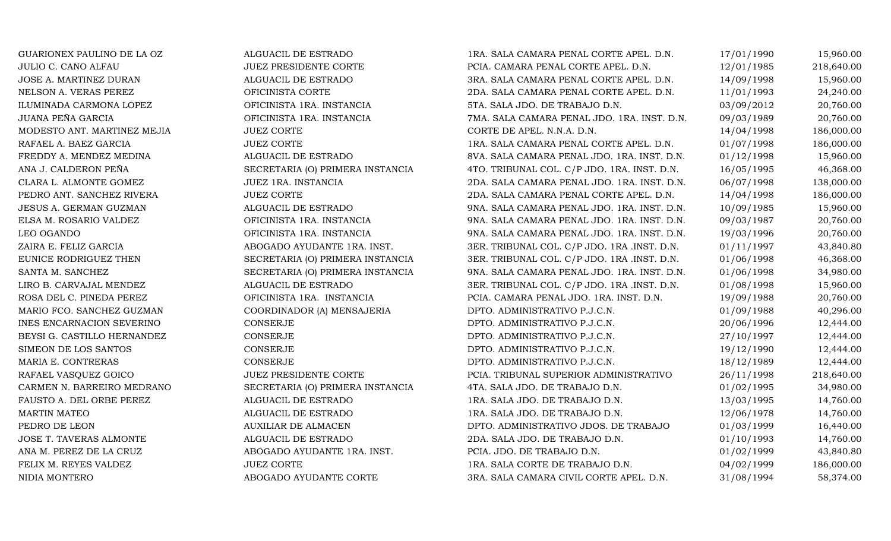LEO OGANDOMARTIN MATEOPEDRO DE LEONNIDIA MONTERO

GUARIONEX PAULINO DE LA OZ ALGUACIL DE ESTRADO 1990 18. SALA CAMARA PENAL CORTE APEL. D.N. 17/01/1990 15,960.00<br>JULIO C. CANO ALFAU 1985 JUEZ PRESIDENTE CORTE PCIA. CAMARA PENAL CORTE APEL. D.N. 12/01/1985 218,640.00 JULIO C. CANO ALFAU JUEZ PRESIDENTE CORTE PCIA. CAMARA PENAL CORTE APEL. D.N. 12/01/1985 218,640.00 JOSE A. MARTINEZ DURAN ALGUACIL DE ESTRADO 3RA. SALA CAMARA PENAL CORTE APEL. D.N. 14/09/1998 15,960.00 NELSON A. VERAS PEREZ CORTE OFICINISTA CORTE 2014 CORTE 2DA. SALA CAMARA PENAL CORTE APEL. D.N. 11/01/1993 24,240.00<br>20,760.00 1LUMINADA CARMONA LOPEZ OFICINISTA 1RA. INSTANCIA 5TA. SALA JDO. DE TRABAJO D.N. 03/09/2012 20, ILUMINADA CARMONA LOPEZ OFICINISTA 1RA. INSTANCIA 5TA. SALA JDO. DE TRABAJO D.N. 03/09/2012 20,760.00 JUANA PEÑA GARCIA OFICINISTA 1RA. INSTANCIA 7MA. SALA CAMARA PENAL JDO. 1RA. INST. D.N. 09/03/1989 20,760.00 MODESTO ANT. MARTINEZ MEJIA JUEZ CORTE CORTE DE APEL. N.N.A. D.N. 14/04/1998 186,000.00 RAFAEL A. BAEZ GARCIA JUEZ CORTE 1RA. SALA CAMARA PENAL CORTE APEL. D.N. 01/07/1998 186,000.00 FREDDY A. MENDEZ MEDINA ALGUACIL DE ESTRADO 8VA. SALA CAMARA PENAL JDO. 1RA. INST. D.N. 01/12/1998 15,960.00 ANA J. CALDERON PEÑA SECRETARIA (O) PRIMERA INSTANCIA 4TO. TRIBUNAL COL. C/P JDO. 1RA. INST. D.N. 16/05/1995 46,368.00<br>CLARA L. ALMONTE GOMEZ JUEZ 1RA. INSTANCIA 2DA. SALA CAMARA PENAL JDO. 1RA. INST. D.N. 16/07/1998 138,0 CLARA L. ALMONTE GOMEZ JUEZ 1RA. INSTANCIA 2DA. SALA CAMARA PENAL JDO. 1RA. INST. D.N. 06/07/1998 138,000.00 PEDRO ANT. SANCHEZ RIVERA JUEZ CORTE JUEZ CORTE 2DA. SALA CAMARA PENAL CORTE APEL. D.N. 14/04/1998 186,000.00<br>JESUS A. GERMAN GUZMAN ALGUACIL DE ESTRADO 9NA. SALA CAMARA PENAL JDO. 1RA. INST. D.N. 10/09/1985 15.960.00 JESUS A. GERMAN GUZMAN ALGUACIL DE ESTRADO 9NA. SALA CAMARA PENAL JDO. 1RA. INST. D.N. 10/09/1985 15,960.00 ELSA M. BORICINISTA 1RA. INSTANCIA (1976). 1997 (1987) 900 - 100 M. SALA CAMARA PENAL JDO. 1RA. INST. D.N. (19<br>20,760.00 (19/03/1996 / 20,760.00) 900 - 100. 900 M. SALA CAMARA PENAL JDO. 1RA. INST. D.N. (19/03/1996 / 20,7 OFICINISTA 1RA. INSTANCIA 9NA. SALA CAMARA PENAL JDO. 1RA. INST. D.N. 19/03/1996 20,760.00 ZAIRA E. FELIZ GARCIA ABOGADO AYUDANTE 1RA. INST. 3ER. TRIBUNAL COL. C/P JDO. 1RA .INST. D.N. 01/11/1997 43,840.80 EUNICE RODRIGUEZ THEN SECRETARIA (O) PRIMERA INSTANCIA 3ER. TRIBUNAL COL. C/P JDO. 1RA .INST. D.N. 01/06/1998 46,368.00<br>SANTA M. SANCHEZ SECRETARIA (O) PRIMERA INSTANCIA 9NA. SALA CAMARA PENAL JDO. 1RA. INST. D.N. 01/06/19 SANTA M. SANCHEZ SECRETARIA (O) PRIMERA INSTANCIA 9NA. SALA CAMARA PENAL JDO. 1RA. INST. D.N. 01/06/1998 34,980.00<br>20.00 LIRO B. CARVAJAL MENDEZ ALGUACIL DE ESTRADO 3ER. TRIBUNAL COL. C/P JDO. 1RA .INST. D.N. 01/08/1998 15 LIRO B. CARVAJAL MENDEZ ALGUACIL DE ESTRADO 3ER. TRIBUNAL COL. C/P JDO. 1RA .INST. D.N. 01/08/1998 15,960.00 ROSA DEL C. PINEDA PEREZ OFICINISTA 1RA. INSTANCIA PCIA. CAMARA PENAL JDO. 1RA. INST. D.N. 19/09/1988 20,760.00 MARIO FCO. SANCHEZ GUZMAN COORDINADOR (A) MENSAJERIA DPTO. ADMINISTRATIVO P.J.C.N. 01/09/1988 40,296.00 INES ENCARNACION SEVERINO CONSERJE CONSERUE DPTO. ADMINISTRATIVO P.J.C.N. 20/06/1996 12,444.00 BEYSI G. CASTILLO HERNANDEZ CONSERJE CONSERUE DPTO. ADMINISTRATIVO P.J.C.N. 27/10/1997 12,444.00 SIMEON DE LOS SANTOS CONSERJE CONSERIE DPTO. ADMINISTRATIVO P.J.C.N. 19/12/1990 12,444.00 MARIA E. CONTRERAS CONSERJE CONSERIE DPTO. ADMINISTRATIVO P.J.C.N. 18/12/1989 12,444.00 RAFAEL VASQUEZ GOICO JUEZ PRESIDENTE CORTE PCIA. TRIBUNAL SUPERIOR ADMINISTRATIVO 26/11/1998 218,640.00 CARMEN N. BARREIRO MEDRANO SECRETARIA (O) PRIMERA INSTANCIA 4TA. SALA JDO. DE TRABAJO D.N. 01/02/1995 34,980.00 FAUSTO A. DEL ORBE PEREZ ALGUACIL DE ESTRADO 1RA. SALA JDO. DE TRABAJO D.N. 13/03/1995 14,760.00 ALGUACIL DE ESTRADO 1RA. SALA JDO. DE TRABAJO D.N. 12/06/1978 14,760.00 AUXILIAR DE ALMACEN DPTO. ADMINISTRATIVO JDOS. DE TRABAJO 01/03/1999 16,440.00 JOSE T. TAVERAS ALMONTE ALGUACIL DE ESTRADO 2DA. SALA JDO. DE TRABAJO D.N. 01/10/1993 14,760.00 ANA M. PEREZ DE LA CRUZ (ABOGADO AYUDANTE 1RA. INST. CHAL JO. DE TRABAJO D.N. 601/02/1999 43,840.80 FELIX M. REYES VALDEZ (1999 JUEZ CORTE 1RA. SALA CORTE DE TRABAJO D.N. 04/02/1999 186,000.00 ABOGADO AYUDANTE CORTE 3RA. SALA CAMARA CIVIL CORTE APEL. D.N. 31/08/1994 58,374.00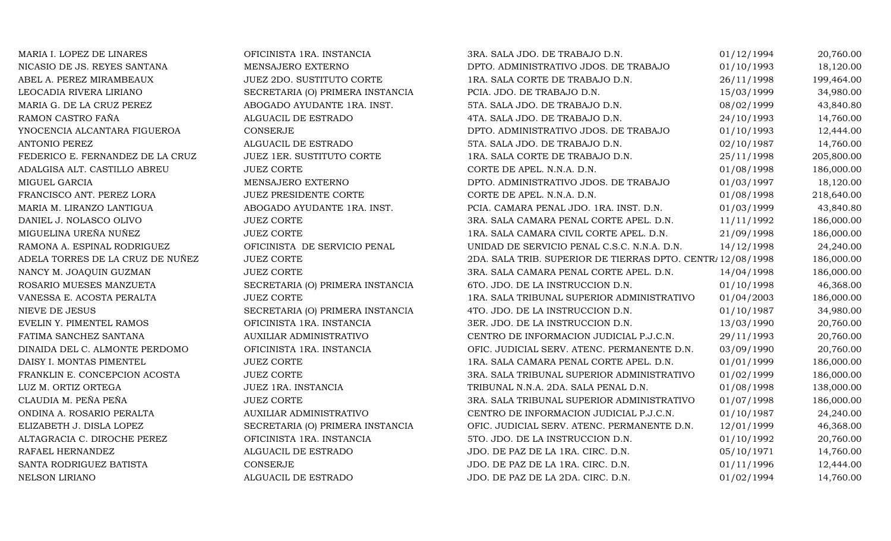| MARIA I. LOPEZ DE LINARES        | OFICINISTA 1RA. INSTANCIA        | 3RA. SALA JDO. DE TRABAJO D.N.                             | 01/12/1994 | 20,760.00  |
|----------------------------------|----------------------------------|------------------------------------------------------------|------------|------------|
| NICASIO DE JS. REYES SANTANA     | MENSAJERO EXTERNO                | DPTO. ADMINISTRATIVO JDOS. DE TRABAJO                      | 01/10/1993 | 18,120.00  |
| ABEL A. PEREZ MIRAMBEAUX         | JUEZ 2DO. SUSTITUTO CORTE        | 1RA. SALA CORTE DE TRABAJO D.N.                            | 26/11/1998 | 199,464.00 |
| LEOCADIA RIVERA LIRIANO          | SECRETARIA (O) PRIMERA INSTANCIA | PCIA. JDO. DE TRABAJO D.N.                                 | 15/03/1999 | 34,980.00  |
| MARIA G. DE LA CRUZ PEREZ        | ABOGADO AYUDANTE 1RA. INST.      | 5TA. SALA JDO. DE TRABAJO D.N.                             | 08/02/1999 | 43,840.80  |
| RAMON CASTRO FAÑA                | ALGUACIL DE ESTRADO              | 4TA. SALA JDO. DE TRABAJO D.N.                             | 24/10/1993 | 14,760.00  |
| YNOCENCIA ALCANTARA FIGUEROA     | CONSERJE                         | DPTO. ADMINISTRATIVO JDOS. DE TRABAJO                      | 01/10/1993 | 12,444.00  |
| <b>ANTONIO PEREZ</b>             | ALGUACIL DE ESTRADO              | 5TA. SALA JDO. DE TRABAJO D.N.                             | 02/10/1987 | 14,760.00  |
| FEDERICO E. FERNANDEZ DE LA CRUZ | JUEZ 1ER. SUSTITUTO CORTE        | 1RA. SALA CORTE DE TRABAJO D.N.                            | 25/11/1998 | 205,800.00 |
| ADALGISA ALT. CASTILLO ABREU     | <b>JUEZ CORTE</b>                | CORTE DE APEL. N.N.A. D.N.                                 | 01/08/1998 | 186,000.00 |
| MIGUEL GARCIA                    | MENSAJERO EXTERNO                | DPTO. ADMINISTRATIVO JDOS. DE TRABAJO                      | 01/03/1997 | 18,120.00  |
| FRANCISCO ANT. PEREZ LORA        | JUEZ PRESIDENTE CORTE            | CORTE DE APEL. N.N.A. D.N.                                 | 01/08/1998 | 218,640.00 |
| MARIA M. LIRANZO LANTIGUA        | ABOGADO AYUDANTE 1RA. INST.      | PCIA. CAMARA PENAL JDO. 1RA. INST. D.N.                    | 01/03/1999 | 43,840.80  |
| DANIEL J. NOLASCO OLIVO          | <b>JUEZ CORTE</b>                | 3RA. SALA CAMARA PENAL CORTE APEL. D.N.                    | 11/11/1992 | 186,000.00 |
| MIGUELINA UREÑA NUÑEZ            | <b>JUEZ CORTE</b>                | 1RA. SALA CAMARA CIVIL CORTE APEL. D.N.                    | 21/09/1998 | 186,000.00 |
| RAMONA A. ESPINAL RODRIGUEZ      | OFICINISTA DE SERVICIO PENAL     | UNIDAD DE SERVICIO PENAL C.S.C. N.N.A. D.N.                | 14/12/1998 | 24,240.00  |
| ADELA TORRES DE LA CRUZ DE NUÑEZ | <b>JUEZ CORTE</b>                | 2DA. SALA TRIB. SUPERIOR DE TIERRAS DPTO. CENTR/12/08/1998 |            | 186,000.00 |
| NANCY M. JOAQUIN GUZMAN          | <b>JUEZ CORTE</b>                | 3RA. SALA CAMARA PENAL CORTE APEL. D.N.                    | 14/04/1998 | 186,000.00 |
| ROSARIO MUESES MANZUETA          | SECRETARIA (O) PRIMERA INSTANCIA | 6TO. JDO. DE LA INSTRUCCION D.N.                           | 01/10/1998 | 46,368.00  |
| VANESSA E. ACOSTA PERALTA        | <b>JUEZ CORTE</b>                | 1RA. SALA TRIBUNAL SUPERIOR ADMINISTRATIVO                 | 01/04/2003 | 186,000.00 |
| <b>NIEVE DE JESUS</b>            | SECRETARIA (O) PRIMERA INSTANCIA | 4TO. JDO. DE LA INSTRUCCION D.N.                           | 01/10/1987 | 34,980.00  |
| EVELIN Y. PIMENTEL RAMOS         | OFICINISTA 1RA. INSTANCIA        | 3ER. JDO. DE LA INSTRUCCION D.N.                           | 13/03/1990 | 20,760.00  |
| FATIMA SANCHEZ SANTANA           | AUXILIAR ADMINISTRATIVO          | CENTRO DE INFORMACION JUDICIAL P.J.C.N.                    | 29/11/1993 | 20,760.00  |
| DINAIDA DEL C. ALMONTE PERDOMO   | OFICINISTA 1RA. INSTANCIA        | OFIC. JUDICIAL SERV. ATENC. PERMANENTE D.N.                | 03/09/1990 | 20,760.00  |
| DAISY I. MONTAS PIMENTEL         | <b>JUEZ CORTE</b>                | 1RA. SALA CAMARA PENAL CORTE APEL. D.N.                    | 01/01/1999 | 186,000.00 |
| FRANKLIN E. CONCEPCION ACOSTA    | <b>JUEZ CORTE</b>                | 3RA. SALA TRIBUNAL SUPERIOR ADMINISTRATIVO                 | 01/02/1999 | 186,000.00 |
| LUZ M. ORTIZ ORTEGA              | JUEZ 1RA. INSTANCIA              | TRIBUNAL N.N.A. 2DA. SALA PENAL D.N.                       | 01/08/1998 | 138,000.00 |
| CLAUDIA M. PEÑA PEÑA             | <b>JUEZ CORTE</b>                | 3RA. SALA TRIBUNAL SUPERIOR ADMINISTRATIVO                 | 01/07/1998 | 186,000.00 |
| ONDINA A. ROSARIO PERALTA        | AUXILIAR ADMINISTRATIVO          | CENTRO DE INFORMACION JUDICIAL P.J.C.N.                    | 01/10/1987 | 24,240.00  |
| ELIZABETH J. DISLA LOPEZ         | SECRETARIA (O) PRIMERA INSTANCIA | OFIC. JUDICIAL SERV. ATENC. PERMANENTE D.N.                | 12/01/1999 | 46,368.00  |
| ALTAGRACIA C. DIROCHE PEREZ      | OFICINISTA 1RA. INSTANCIA        | 5TO. JDO. DE LA INSTRUCCION D.N.                           | 01/10/1992 | 20,760.00  |
| RAFAEL HERNANDEZ                 | ALGUACIL DE ESTRADO              | JDO. DE PAZ DE LA 1RA. CIRC. D.N.                          | 05/10/1971 | 14,760.00  |
| SANTA RODRIGUEZ BATISTA          | CONSERJE                         | JDO. DE PAZ DE LA 1RA. CIRC. D.N.                          | 01/11/1996 | 12,444.00  |
| <b>NELSON LIRIANO</b>            | ALGUACIL DE ESTRADO              | JDO. DE PAZ DE LA 2DA. CIRC. D.N.                          | 01/02/1994 | 14,760.00  |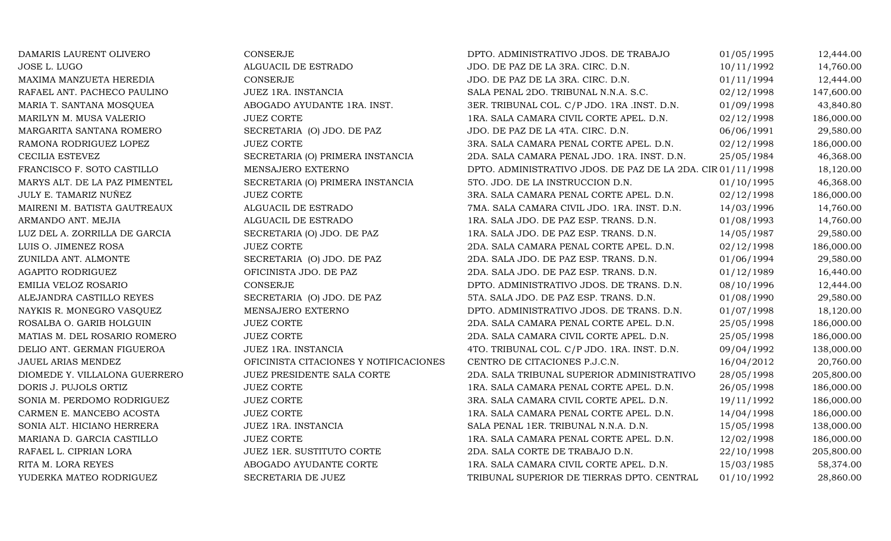| DAMARIS LAURENT OLIVERO       | <b>CONSERJE</b>                        | DPTO. ADMINISTRATIVO JDOS. DE TRABAJO                       | 01/05/1995 | 12,444.00  |
|-------------------------------|----------------------------------------|-------------------------------------------------------------|------------|------------|
| JOSE L. LUGO                  | ALGUACIL DE ESTRADO                    | JDO. DE PAZ DE LA 3RA. CIRC. D.N.                           | 10/11/1992 | 14,760.00  |
| MAXIMA MANZUETA HEREDIA       | <b>CONSERJE</b>                        | JDO. DE PAZ DE LA 3RA. CIRC. D.N.                           | 01/11/1994 | 12,444.00  |
| RAFAEL ANT. PACHECO PAULINO   | JUEZ 1RA. INSTANCIA                    | SALA PENAL 2DO. TRIBUNAL N.N.A. S.C.                        | 02/12/1998 | 147,600.00 |
| MARIA T. SANTANA MOSQUEA      | ABOGADO AYUDANTE 1RA. INST.            | 3ER. TRIBUNAL COL. C/P JDO. 1RA .INST. D.N.                 | 01/09/1998 | 43,840.80  |
| MARILYN M. MUSA VALERIO       | <b>JUEZ CORTE</b>                      | 1RA. SALA CAMARA CIVIL CORTE APEL. D.N.                     | 02/12/1998 | 186,000.00 |
| MARGARITA SANTANA ROMERO      | SECRETARIA (O) JDO. DE PAZ             | JDO. DE PAZ DE LA 4TA. CIRC. D.N.                           | 06/06/1991 | 29,580.00  |
| RAMONA RODRIGUEZ LOPEZ        | <b>JUEZ CORTE</b>                      | 3RA. SALA CAMARA PENAL CORTE APEL. D.N.                     | 02/12/1998 | 186,000.00 |
| CECILIA ESTEVEZ               | SECRETARIA (O) PRIMERA INSTANCIA       | 2DA. SALA CAMARA PENAL JDO. 1RA. INST. D.N.                 | 25/05/1984 | 46,368.00  |
| FRANCISCO F. SOTO CASTILLO    | MENSAJERO EXTERNO                      | DPTO. ADMINISTRATIVO JDOS. DE PAZ DE LA 2DA. CIR 01/11/1998 |            | 18,120.00  |
| MARYS ALT. DE LA PAZ PIMENTEL | SECRETARIA (O) PRIMERA INSTANCIA       | 5TO. JDO. DE LA INSTRUCCION D.N.                            | 01/10/1995 | 46,368.00  |
| JULY E. TAMARIZ NUÑEZ         | <b>JUEZ CORTE</b>                      | 3RA. SALA CAMARA PENAL CORTE APEL. D.N.                     | 02/12/1998 | 186,000.00 |
| MAIRENI M. BATISTA GAUTREAUX  | ALGUACIL DE ESTRADO                    | 7MA. SALA CAMARA CIVIL JDO. 1RA. INST. D.N.                 | 14/03/1996 | 14,760.00  |
| ARMANDO ANT. MEJIA            | ALGUACIL DE ESTRADO                    | 1RA. SALA JDO. DE PAZ ESP. TRANS. D.N.                      | 01/08/1993 | 14,760.00  |
| LUZ DEL A. ZORRILLA DE GARCIA | SECRETARIA (O) JDO. DE PAZ             | 1RA. SALA JDO. DE PAZ ESP. TRANS. D.N.                      | 14/05/1987 | 29,580.00  |
| LUIS O. JIMENEZ ROSA          | <b>JUEZ CORTE</b>                      | 2DA. SALA CAMARA PENAL CORTE APEL. D.N.                     | 02/12/1998 | 186,000.00 |
| ZUNILDA ANT. ALMONTE          | SECRETARIA (O) JDO. DE PAZ             | 2DA. SALA JDO. DE PAZ ESP. TRANS. D.N.                      | 01/06/1994 | 29,580.00  |
| AGAPITO RODRIGUEZ             | OFICINISTA JDO. DE PAZ                 | 2DA. SALA JDO. DE PAZ ESP. TRANS. D.N.                      | 01/12/1989 | 16,440.00  |
| EMILIA VELOZ ROSARIO          | <b>CONSERJE</b>                        | DPTO. ADMINISTRATIVO JDOS. DE TRANS. D.N.                   | 08/10/1996 | 12,444.00  |
| ALEJANDRA CASTILLO REYES      | SECRETARIA (O) JDO. DE PAZ             | 5TA. SALA JDO. DE PAZ ESP. TRANS. D.N.                      | 01/08/1990 | 29,580.00  |
| NAYKIS R. MONEGRO VASQUEZ     | MENSAJERO EXTERNO                      | DPTO. ADMINISTRATIVO JDOS. DE TRANS. D.N.                   | 01/07/1998 | 18,120.00  |
| ROSALBA O. GARIB HOLGUIN      | <b>JUEZ CORTE</b>                      | 2DA. SALA CAMARA PENAL CORTE APEL. D.N.                     | 25/05/1998 | 186,000.00 |
| MATIAS M. DEL ROSARIO ROMERO  | <b>JUEZ CORTE</b>                      | 2DA. SALA CAMARA CIVIL CORTE APEL. D.N.                     | 25/05/1998 | 186,000.00 |
| DELIO ANT. GERMAN FIGUEROA    | JUEZ 1RA. INSTANCIA                    | 4TO. TRIBUNAL COL. C/P JDO. 1RA. INST. D.N.                 | 09/04/1992 | 138,000.00 |
| JAUEL ARIAS MENDEZ            | OFICINISTA CITACIONES Y NOTIFICACIONES | CENTRO DE CITACIONES P.J.C.N.                               | 16/04/2012 | 20,760.00  |
| DIOMEDE Y. VILLALONA GUERRERO | JUEZ PRESIDENTE SALA CORTE             | 2DA. SALA TRIBUNAL SUPERIOR ADMINISTRATIVO                  | 28/05/1998 | 205,800.00 |
| DORIS J. PUJOLS ORTIZ         | <b>JUEZ CORTE</b>                      | 1RA. SALA CAMARA PENAL CORTE APEL. D.N.                     | 26/05/1998 | 186,000.00 |
| SONIA M. PERDOMO RODRIGUEZ    | <b>JUEZ CORTE</b>                      | 3RA. SALA CAMARA CIVIL CORTE APEL. D.N.                     | 19/11/1992 | 186,000.00 |
| CARMEN E. MANCEBO ACOSTA      | <b>JUEZ CORTE</b>                      | 1RA. SALA CAMARA PENAL CORTE APEL. D.N.                     | 14/04/1998 | 186,000.00 |
| SONIA ALT. HICIANO HERRERA    | JUEZ 1RA. INSTANCIA                    | SALA PENAL 1ER. TRIBUNAL N.N.A. D.N.                        | 15/05/1998 | 138,000.00 |
| MARIANA D. GARCIA CASTILLO    | <b>JUEZ CORTE</b>                      | 1RA. SALA CAMARA PENAL CORTE APEL. D.N.                     | 12/02/1998 | 186,000.00 |
| RAFAEL L. CIPRIAN LORA        | JUEZ 1ER. SUSTITUTO CORTE              | 2DA. SALA CORTE DE TRABAJO D.N.                             | 22/10/1998 | 205,800.00 |
| RITA M. LORA REYES            | ABOGADO AYUDANTE CORTE                 | 1RA. SALA CAMARA CIVIL CORTE APEL. D.N.                     | 15/03/1985 | 58,374.00  |
| YUDERKA MATEO RODRIGUEZ       | SECRETARIA DE JUEZ                     | TRIBUNAL SUPERIOR DE TIERRAS DPTO. CENTRAL                  | 01/10/1992 | 28,860.00  |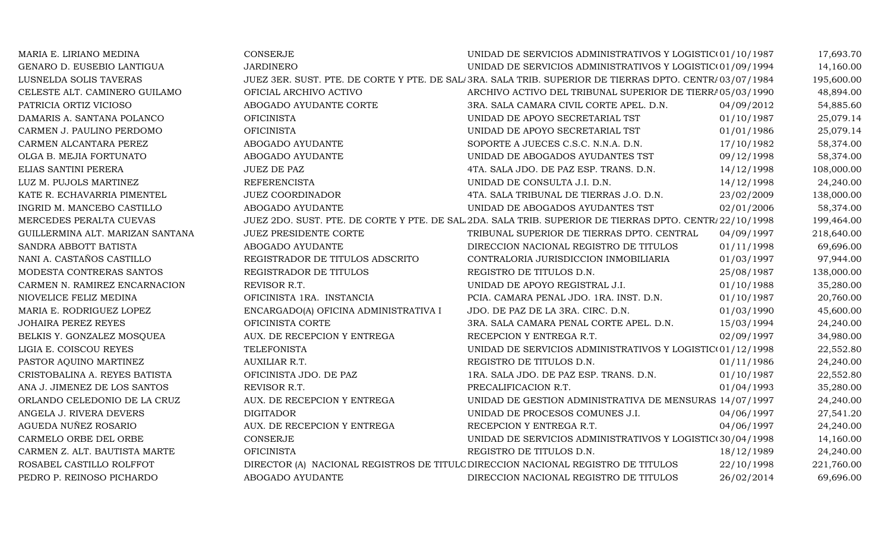| MARIA E. LIRIANO MEDINA          | <b>CONSERJE</b>                       | UNIDAD DE SERVICIOS ADMINISTRATIVOS Y LOGISTIC(01/10/1987                                              |            | 17,693.70  |
|----------------------------------|---------------------------------------|--------------------------------------------------------------------------------------------------------|------------|------------|
| GENARO D. EUSEBIO LANTIGUA       | <b>JARDINERO</b>                      | UNIDAD DE SERVICIOS ADMINISTRATIVOS Y LOGISTIC(01/09/1994                                              |            | 14,160.00  |
| LUSNELDA SOLIS TAVERAS           |                                       | JUEZ 3ER. SUST. PTE. DE CORTE Y PTE. DE SAL/3RA. SALA TRIB. SUPERIOR DE TIERRAS DPTO. CENTR/03/07/1984 |            | 195,600.00 |
| CELESTE ALT. CAMINERO GUILAMO    | OFICIAL ARCHIVO ACTIVO                | ARCHIVO ACTIVO DEL TRIBUNAL SUPERIOR DE TIERRA 05/03/1990                                              |            | 48,894.00  |
| PATRICIA ORTIZ VICIOSO           | ABOGADO AYUDANTE CORTE                | 3RA. SALA CAMARA CIVIL CORTE APEL. D.N.                                                                | 04/09/2012 | 54,885.60  |
| DAMARIS A. SANTANA POLANCO       | <b>OFICINISTA</b>                     | UNIDAD DE APOYO SECRETARIAL TST                                                                        | 01/10/1987 | 25,079.14  |
| CARMEN J. PAULINO PERDOMO        | <b>OFICINISTA</b>                     | UNIDAD DE APOYO SECRETARIAL TST                                                                        | 01/01/1986 | 25,079.14  |
| CARMEN ALCANTARA PEREZ           | ABOGADO AYUDANTE                      | SOPORTE A JUECES C.S.C. N.N.A. D.N.                                                                    | 17/10/1982 | 58,374.00  |
| OLGA B. MEJIA FORTUNATO          | ABOGADO AYUDANTE                      | UNIDAD DE ABOGADOS AYUDANTES TST                                                                       | 09/12/1998 | 58,374.00  |
| ELIAS SANTINI PERERA             | <b>JUEZ DE PAZ</b>                    | 4TA. SALA JDO. DE PAZ ESP. TRANS. D.N.                                                                 | 14/12/1998 | 108,000.00 |
| LUZ M. PUJOLS MARTINEZ           | <b>REFERENCISTA</b>                   | UNIDAD DE CONSULTA J.I. D.N.                                                                           | 14/12/1998 | 24,240.00  |
| KATE R. ECHAVARRIA PIMENTEL      | JUEZ COORDINADOR                      | 4TA. SALA TRIBUNAL DE TIERRAS J.O. D.N.                                                                | 23/02/2009 | 138,000.00 |
| INGRID M. MANCEBO CASTILLO       | ABOGADO AYUDANTE                      | UNIDAD DE ABOGADOS AYUDANTES TST                                                                       | 02/01/2006 | 58,374.00  |
| MERCEDES PERALTA CUEVAS          |                                       | JUEZ 2DO. SUST. PTE. DE CORTE Y PTE. DE SAL 2DA. SALA TRIB. SUPERIOR DE TIERRAS DPTO. CENTR/22/10/1998 |            | 199,464.00 |
| GUILLERMINA ALT. MARIZAN SANTANA | JUEZ PRESIDENTE CORTE                 | TRIBUNAL SUPERIOR DE TIERRAS DPTO. CENTRAL                                                             | 04/09/1997 | 218,640.00 |
| SANDRA ABBOTT BATISTA            | ABOGADO AYUDANTE                      | DIRECCION NACIONAL REGISTRO DE TITULOS                                                                 | 01/11/1998 | 69,696.00  |
| NANI A. CASTAÑOS CASTILLO        | REGISTRADOR DE TITULOS ADSCRITO       | CONTRALORIA JURISDICCION INMOBILIARIA                                                                  | 01/03/1997 | 97,944.00  |
| MODESTA CONTRERAS SANTOS         | REGISTRADOR DE TITULOS                | REGISTRO DE TITULOS D.N.                                                                               | 25/08/1987 | 138,000.00 |
| CARMEN N. RAMIREZ ENCARNACION    | REVISOR R.T.                          | UNIDAD DE APOYO REGISTRAL J.I.                                                                         | 01/10/1988 | 35,280.00  |
| NIOVELICE FELIZ MEDINA           | OFICINISTA 1RA. INSTANCIA             | PCIA. CAMARA PENAL JDO. 1RA. INST. D.N.                                                                | 01/10/1987 | 20,760.00  |
| MARIA E. RODRIGUEZ LOPEZ         | ENCARGADO(A) OFICINA ADMINISTRATIVA I | JDO. DE PAZ DE LA 3RA. CIRC. D.N.                                                                      | 01/03/1990 | 45,600.00  |
| <b>JOHAIRA PEREZ REYES</b>       | OFICINISTA CORTE                      | 3RA. SALA CAMARA PENAL CORTE APEL. D.N.                                                                | 15/03/1994 | 24,240.00  |
| BELKIS Y. GONZALEZ MOSQUEA       | AUX. DE RECEPCION Y ENTREGA           | RECEPCION Y ENTREGA R.T.                                                                               | 02/09/1997 | 34,980.00  |
| LIGIA E. COISCOU REYES           | <b>TELEFONISTA</b>                    | UNIDAD DE SERVICIOS ADMINISTRATIVOS Y LOGISTIC(01/12/1998                                              |            | 22,552.80  |
| PASTOR AQUINO MARTINEZ           | AUXILIAR R.T.                         | REGISTRO DE TITULOS D.N.                                                                               | 01/11/1986 | 24,240.00  |
| CRISTOBALINA A. REYES BATISTA    | OFICINISTA JDO. DE PAZ                | 1RA. SALA JDO. DE PAZ ESP. TRANS. D.N.                                                                 | 01/10/1987 | 22,552.80  |
| ANA J. JIMENEZ DE LOS SANTOS     | REVISOR R.T.                          | PRECALIFICACION R.T.                                                                                   | 01/04/1993 | 35,280.00  |
| ORLANDO CELEDONIO DE LA CRUZ     | AUX. DE RECEPCION Y ENTREGA           | UNIDAD DE GESTION ADMINISTRATIVA DE MENSURAS 14/07/1997                                                |            | 24,240.00  |
| ANGELA J. RIVERA DEVERS          | <b>DIGITADOR</b>                      | UNIDAD DE PROCESOS COMUNES J.I.                                                                        | 04/06/1997 | 27,541.20  |
| AGUEDA NUÑEZ ROSARIO             | AUX. DE RECEPCION Y ENTREGA           | RECEPCION Y ENTREGA R.T.                                                                               | 04/06/1997 | 24,240.00  |
| CARMELO ORBE DEL ORBE            | <b>CONSERJE</b>                       | UNIDAD DE SERVICIOS ADMINISTRATIVOS Y LOGISTIC(30/04/1998                                              |            | 14,160.00  |
| CARMEN Z. ALT. BAUTISTA MARTE    | <b>OFICINISTA</b>                     | REGISTRO DE TITULOS D.N.                                                                               | 18/12/1989 | 24,240.00  |
| ROSABEL CASTILLO ROLFFOT         |                                       | DIRECTOR (A) NACIONAL REGISTROS DE TITULC DIRECCION NACIONAL REGISTRO DE TITULOS                       | 22/10/1998 | 221,760.00 |
| PEDRO P. REINOSO PICHARDO        | ABOGADO AYUDANTE                      | DIRECCION NACIONAL REGISTRO DE TITULOS                                                                 | 26/02/2014 | 69,696.00  |
|                                  |                                       |                                                                                                        |            |            |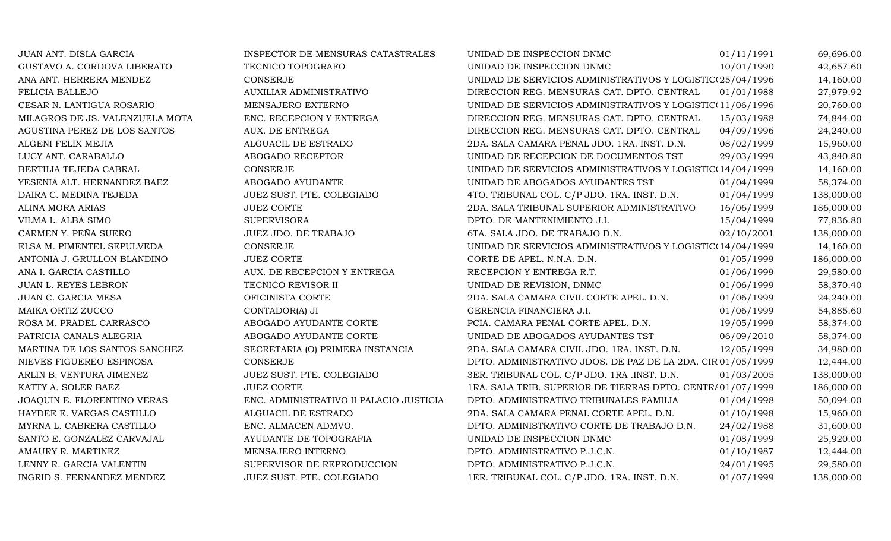| JUAN ANT. DISLA GARCIA          | INSPECTOR DE MENSURAS CATASTRALES       | UNIDAD DE INSPECCION DNMC                                   | 01/11/1991 | 69,696.00  |
|---------------------------------|-----------------------------------------|-------------------------------------------------------------|------------|------------|
| GUSTAVO A. CORDOVA LIBERATO     | TECNICO TOPOGRAFO                       | UNIDAD DE INSPECCION DNMC                                   | 10/01/1990 | 42,657.60  |
| ANA ANT. HERRERA MENDEZ         | <b>CONSERJE</b>                         | UNIDAD DE SERVICIOS ADMINISTRATIVOS Y LOGISTIC(25/04/1996   |            | 14,160.00  |
| FELICIA BALLEJO                 | AUXILIAR ADMINISTRATIVO                 | DIRECCION REG. MENSURAS CAT. DPTO. CENTRAL                  | 01/01/1988 | 27,979.92  |
| CESAR N. LANTIGUA ROSARIO       | MENSAJERO EXTERNO                       | UNIDAD DE SERVICIOS ADMINISTRATIVOS Y LOGISTIC(11/06/1996   |            | 20,760.00  |
| MILAGROS DE JS. VALENZUELA MOTA | ENC. RECEPCION Y ENTREGA                | DIRECCION REG. MENSURAS CAT. DPTO. CENTRAL                  | 15/03/1988 | 74,844.00  |
| AGUSTINA PEREZ DE LOS SANTOS    | AUX. DE ENTREGA                         | DIRECCION REG. MENSURAS CAT. DPTO. CENTRAL                  | 04/09/1996 | 24,240.00  |
| ALGENI FELIX MEJIA              | ALGUACIL DE ESTRADO                     | 2DA. SALA CAMARA PENAL JDO. 1RA. INST. D.N.                 | 08/02/1999 | 15,960.00  |
| LUCY ANT. CARABALLO             | ABOGADO RECEPTOR                        | UNIDAD DE RECEPCION DE DOCUMENTOS TST                       | 29/03/1999 | 43,840.80  |
| BERTILIA TEJEDA CABRAL          | <b>CONSERJE</b>                         | UNIDAD DE SERVICIOS ADMINISTRATIVOS Y LOGISTIC(14/04/1999   |            | 14,160.00  |
| YESENIA ALT. HERNANDEZ BAEZ     | ABOGADO AYUDANTE                        | UNIDAD DE ABOGADOS AYUDANTES TST                            | 01/04/1999 | 58,374.00  |
| DAIRA C. MEDINA TEJEDA          | JUEZ SUST. PTE. COLEGIADO               | 4TO. TRIBUNAL COL. C/P JDO. 1RA. INST. D.N.                 | 01/04/1999 | 138,000.00 |
| ALINA MORA ARIAS                | <b>JUEZ CORTE</b>                       | 2DA. SALA TRIBUNAL SUPERIOR ADMINISTRATIVO                  | 16/06/1999 | 186,000.00 |
| VILMA L. ALBA SIMO              | <b>SUPERVISORA</b>                      | DPTO. DE MANTENIMIENTO J.I.                                 | 15/04/1999 | 77,836.80  |
| CARMEN Y. PEÑA SUERO            | JUEZ JDO. DE TRABAJO                    | 6TA. SALA JDO. DE TRABAJO D.N.                              | 02/10/2001 | 138,000.00 |
| ELSA M. PIMENTEL SEPULVEDA      | CONSERJE                                | UNIDAD DE SERVICIOS ADMINISTRATIVOS Y LOGISTIC(14/04/1999   |            | 14,160.00  |
| ANTONIA J. GRULLON BLANDINO     | <b>JUEZ CORTE</b>                       | CORTE DE APEL. N.N.A. D.N.                                  | 01/05/1999 | 186,000.00 |
| ANA I. GARCIA CASTILLO          | AUX. DE RECEPCION Y ENTREGA             | RECEPCION Y ENTREGA R.T.                                    | 01/06/1999 | 29,580.00  |
| JUAN L. REYES LEBRON            | TECNICO REVISOR II                      | UNIDAD DE REVISION, DNMC                                    | 01/06/1999 | 58,370.40  |
| JUAN C. GARCIA MESA             | OFICINISTA CORTE                        | 2DA. SALA CAMARA CIVIL CORTE APEL. D.N.                     | 01/06/1999 | 24,240.00  |
| MAIKA ORTIZ ZUCCO               | CONTADOR(A) JI                          | GERENCIA FINANCIERA J.I.                                    | 01/06/1999 | 54,885.60  |
| ROSA M. PRADEL CARRASCO         | ABOGADO AYUDANTE CORTE                  | PCIA. CAMARA PENAL CORTE APEL. D.N.                         | 19/05/1999 | 58,374.00  |
| PATRICIA CANALS ALEGRIA         | ABOGADO AYUDANTE CORTE                  | UNIDAD DE ABOGADOS AYUDANTES TST                            | 06/09/2010 | 58,374.00  |
| MARTINA DE LOS SANTOS SANCHEZ   | SECRETARIA (O) PRIMERA INSTANCIA        | 2DA. SALA CAMARA CIVIL JDO. 1RA. INST. D.N.                 | 12/05/1999 | 34,980.00  |
| NIEVES FIGUEREO ESPINOSA        | CONSERJE                                | DPTO. ADMINISTRATIVO JDOS. DE PAZ DE LA 2DA. CIR 01/05/1999 |            | 12,444.00  |
| ARLIN B. VENTURA JIMENEZ        | JUEZ SUST. PTE. COLEGIADO               | 3ER. TRIBUNAL COL. C/P JDO. 1RA .INST. D.N.                 | 01/03/2005 | 138,000.00 |
| KATTY A. SOLER BAEZ             | <b>JUEZ CORTE</b>                       | 1RA. SALA TRIB. SUPERIOR DE TIERRAS DPTO. CENTR/01/07/1999  |            | 186,000.00 |
| JOAQUIN E. FLORENTINO VERAS     | ENC. ADMINISTRATIVO II PALACIO JUSTICIA | DPTO. ADMINISTRATIVO TRIBUNALES FAMILIA                     | 01/04/1998 | 50,094.00  |
| HAYDEE E. VARGAS CASTILLO       | ALGUACIL DE ESTRADO                     | 2DA. SALA CAMARA PENAL CORTE APEL. D.N.                     | 01/10/1998 | 15,960.00  |
| MYRNA L. CABRERA CASTILLO       | ENC. ALMACEN ADMVO.                     | DPTO. ADMINISTRATIVO CORTE DE TRABAJO D.N.                  | 24/02/1988 | 31,600.00  |
| SANTO E. GONZALEZ CARVAJAL      | AYUDANTE DE TOPOGRAFIA                  | UNIDAD DE INSPECCION DNMC                                   | 01/08/1999 | 25,920.00  |
| AMAURY R. MARTINEZ              | MENSAJERO INTERNO                       | DPTO. ADMINISTRATIVO P.J.C.N.                               | 01/10/1987 | 12,444.00  |
| LENNY R. GARCIA VALENTIN        | SUPERVISOR DE REPRODUCCION              | DPTO. ADMINISTRATIVO P.J.C.N.                               | 24/01/1995 | 29,580.00  |
| INGRID S. FERNANDEZ MENDEZ      | JUEZ SUST. PTE. COLEGIADO               | 1ER. TRIBUNAL COL. C/P JDO. 1RA. INST. D.N.                 | 01/07/1999 | 138,000.00 |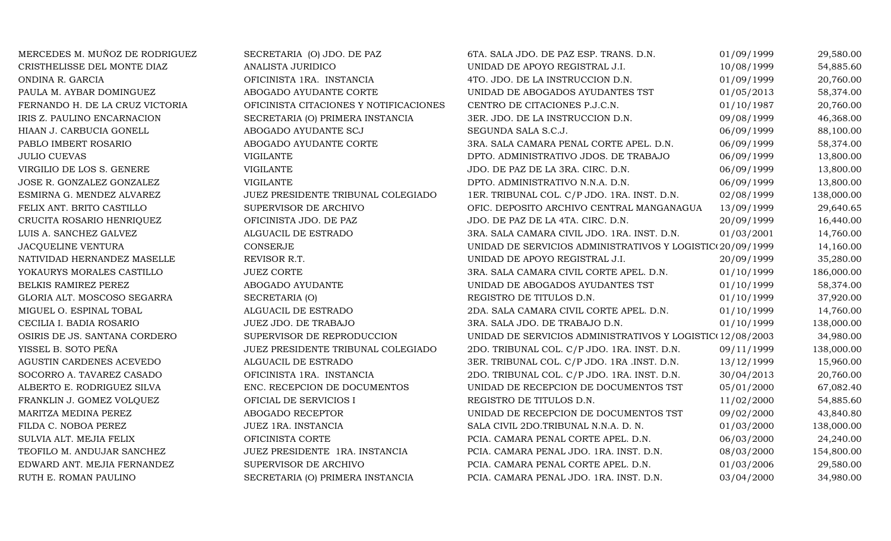| MERCEDES M. MUÑOZ DE RODRIGUEZ  | SECRETARIA (O) JDO. DE PAZ             | 6TA. SALA JDO. DE PAZ ESP. TRANS. D.N.                     | 01/09/1999 | 29,580.00  |
|---------------------------------|----------------------------------------|------------------------------------------------------------|------------|------------|
| CRISTHELISSE DEL MONTE DIAZ     | ANALISTA JURIDICO                      | UNIDAD DE APOYO REGISTRAL J.I.                             | 10/08/1999 | 54,885.60  |
| ONDINA R. GARCIA                | OFICINISTA 1RA. INSTANCIA              | 4TO. JDO. DE LA INSTRUCCION D.N.                           | 01/09/1999 | 20,760.00  |
| PAULA M. AYBAR DOMINGUEZ        | ABOGADO AYUDANTE CORTE                 | UNIDAD DE ABOGADOS AYUDANTES TST                           | 01/05/2013 | 58,374.00  |
| FERNANDO H. DE LA CRUZ VICTORIA | OFICINISTA CITACIONES Y NOTIFICACIONES | CENTRO DE CITACIONES P.J.C.N.                              | 01/10/1987 | 20,760.00  |
| IRIS Z. PAULINO ENCARNACION     | SECRETARIA (O) PRIMERA INSTANCIA       | 3ER. JDO. DE LA INSTRUCCION D.N.                           | 09/08/1999 | 46,368.00  |
| HIAAN J. CARBUCIA GONELL        | ABOGADO AYUDANTE SCJ                   | SEGUNDA SALA S.C.J.                                        | 06/09/1999 | 88,100.00  |
| PABLO IMBERT ROSARIO            | ABOGADO AYUDANTE CORTE                 | 3RA. SALA CAMARA PENAL CORTE APEL. D.N.                    | 06/09/1999 | 58,374.00  |
| <b>JULIO CUEVAS</b>             | <b>VIGILANTE</b>                       | DPTO. ADMINISTRATIVO JDOS. DE TRABAJO                      | 06/09/1999 | 13,800.00  |
| VIRGILIO DE LOS S. GENERE       | <b>VIGILANTE</b>                       | JDO. DE PAZ DE LA 3RA. CIRC. D.N.                          | 06/09/1999 | 13,800.00  |
| JOSE R. GONZALEZ GONZALEZ       | <b>VIGILANTE</b>                       | DPTO. ADMINISTRATIVO N.N.A. D.N.                           | 06/09/1999 | 13,800.00  |
| ESMIRNA G. MENDEZ ALVAREZ       | JUEZ PRESIDENTE TRIBUNAL COLEGIADO     | 1ER. TRIBUNAL COL. C/P JDO. 1RA. INST. D.N.                | 02/08/1999 | 138,000.00 |
| FELIX ANT. BRITO CASTILLO       | SUPERVISOR DE ARCHIVO                  | OFIC. DEPOSITO ARCHIVO CENTRAL MANGANAGUA                  | 13/09/1999 | 29,640.65  |
| CRUCITA ROSARIO HENRIQUEZ       | OFICINISTA JDO. DE PAZ                 | JDO. DE PAZ DE LA 4TA. CIRC. D.N.                          | 20/09/1999 | 16,440.00  |
| LUIS A. SANCHEZ GALVEZ          | ALGUACIL DE ESTRADO                    | 3RA. SALA CAMARA CIVIL JDO. 1RA. INST. D.N.                | 01/03/2001 | 14,760.00  |
| <b>JACQUELINE VENTURA</b>       | <b>CONSERJE</b>                        | UNIDAD DE SERVICIOS ADMINISTRATIVOS Y LOGISTIC(20/09/1999) |            | 14,160.00  |
| NATIVIDAD HERNANDEZ MASELLE     | REVISOR R.T.                           | UNIDAD DE APOYO REGISTRAL J.I.                             | 20/09/1999 | 35,280.00  |
| YOKAURYS MORALES CASTILLO       | <b>JUEZ CORTE</b>                      | 3RA. SALA CAMARA CIVIL CORTE APEL. D.N.                    | 01/10/1999 | 186,000.00 |
| BELKIS RAMIREZ PEREZ            | ABOGADO AYUDANTE                       | UNIDAD DE ABOGADOS AYUDANTES TST                           | 01/10/1999 | 58,374.00  |
| GLORIA ALT. MOSCOSO SEGARRA     | SECRETARIA (O)                         | REGISTRO DE TITULOS D.N.                                   | 01/10/1999 | 37,920.00  |
| MIGUEL O. ESPINAL TOBAL         | ALGUACIL DE ESTRADO                    | 2DA. SALA CAMARA CIVIL CORTE APEL. D.N.                    | 01/10/1999 | 14,760.00  |
| CECILIA I. BADIA ROSARIO        | JUEZ JDO. DE TRABAJO                   | 3RA. SALA JDO. DE TRABAJO D.N.                             | 01/10/1999 | 138,000.00 |
| OSIRIS DE JS. SANTANA CORDERO   | SUPERVISOR DE REPRODUCCION             | UNIDAD DE SERVICIOS ADMINISTRATIVOS Y LOGISTIC(12/08/2003  |            | 34,980.00  |
| YISSEL B. SOTO PEÑA             | JUEZ PRESIDENTE TRIBUNAL COLEGIADO     | 2DO. TRIBUNAL COL. C/P JDO. 1RA. INST. D.N.                | 09/11/1999 | 138,000.00 |
| AGUSTIN CARDENES ACEVEDO        | ALGUACIL DE ESTRADO                    | 3ER. TRIBUNAL COL. C/P JDO. 1RA .INST. D.N.                | 13/12/1999 | 15,960.00  |
| SOCORRO A. TAVAREZ CASADO       | OFICINISTA 1RA. INSTANCIA              | 2DO. TRIBUNAL COL. C/P JDO. 1RA. INST. D.N.                | 30/04/2013 | 20,760.00  |
| ALBERTO E. RODRIGUEZ SILVA      | ENC. RECEPCION DE DOCUMENTOS           | UNIDAD DE RECEPCION DE DOCUMENTOS TST                      | 05/01/2000 | 67,082.40  |
| FRANKLIN J. GOMEZ VOLQUEZ       | OFICIAL DE SERVICIOS I                 | REGISTRO DE TITULOS D.N.                                   | 11/02/2000 | 54,885.60  |
| MARITZA MEDINA PEREZ            | ABOGADO RECEPTOR                       | UNIDAD DE RECEPCION DE DOCUMENTOS TST                      | 09/02/2000 | 43,840.80  |
| FILDA C. NOBOA PEREZ            | JUEZ 1RA. INSTANCIA                    | SALA CIVIL 2DO.TRIBUNAL N.N.A. D. N.                       | 01/03/2000 | 138,000.00 |
| SULVIA ALT. MEJIA FELIX         | OFICINISTA CORTE                       | PCIA. CAMARA PENAL CORTE APEL. D.N.                        | 06/03/2000 | 24,240.00  |
| TEOFILO M. ANDUJAR SANCHEZ      | JUEZ PRESIDENTE 1RA. INSTANCIA         | PCIA. CAMARA PENAL JDO. 1RA. INST. D.N.                    | 08/03/2000 | 154,800.00 |
| EDWARD ANT. MEJIA FERNANDEZ     | SUPERVISOR DE ARCHIVO                  | PCIA. CAMARA PENAL CORTE APEL. D.N.                        | 01/03/2006 | 29,580.00  |
| RUTH E. ROMAN PAULINO           | SECRETARIA (O) PRIMERA INSTANCIA       | PCIA. CAMARA PENAL JDO. 1RA. INST. D.N.                    | 03/04/2000 | 34,980.00  |
|                                 |                                        |                                                            |            |            |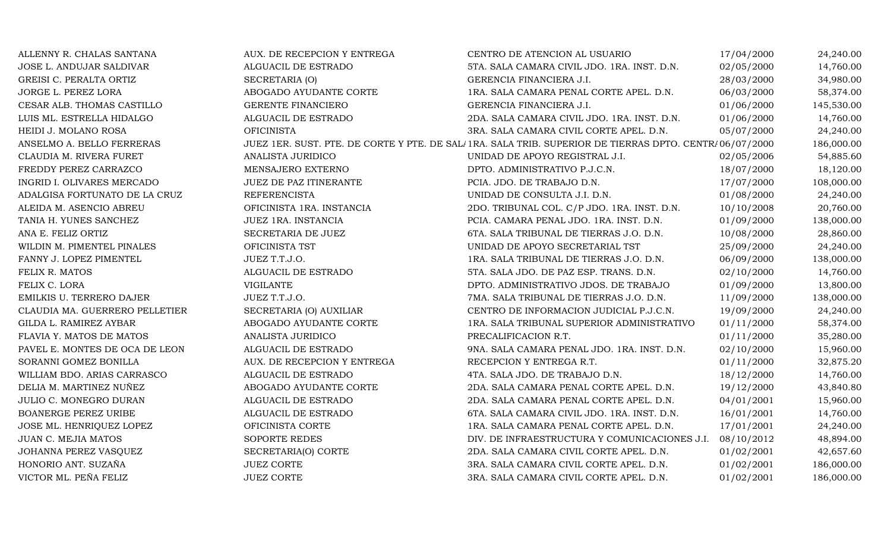| ALLENNY R. CHALAS SANTANA      | AUX. DE RECEPCION Y ENTREGA | CENTRO DE ATENCION AL USUARIO                                                                            | 17/04/2000 | 24,240.00  |
|--------------------------------|-----------------------------|----------------------------------------------------------------------------------------------------------|------------|------------|
| JOSE L. ANDUJAR SALDIVAR       | ALGUACIL DE ESTRADO         | 5TA. SALA CAMARA CIVIL JDO. 1RA. INST. D.N.                                                              | 02/05/2000 | 14,760.00  |
| GREISI C. PERALTA ORTIZ        | SECRETARIA (O)              | GERENCIA FINANCIERA J.I.                                                                                 | 28/03/2000 | 34,980.00  |
| JORGE L. PEREZ LORA            | ABOGADO AYUDANTE CORTE      | 1RA. SALA CAMARA PENAL CORTE APEL. D.N.                                                                  | 06/03/2000 | 58,374.00  |
| CESAR ALB. THOMAS CASTILLO     | <b>GERENTE FINANCIERO</b>   | GERENCIA FINANCIERA J.I.                                                                                 | 01/06/2000 | 145,530.00 |
| LUIS ML. ESTRELLA HIDALGO      | ALGUACIL DE ESTRADO         | 2DA. SALA CAMARA CIVIL JDO. 1RA. INST. D.N.                                                              | 01/06/2000 | 14,760.00  |
| HEIDI J. MOLANO ROSA           | <b>OFICINISTA</b>           | 3RA. SALA CAMARA CIVIL CORTE APEL. D.N.                                                                  | 05/07/2000 | 24,240.00  |
| ANSELMO A. BELLO FERRERAS      |                             | JUEZ 1ER. SUST. PTE. DE CORTE Y PTE. DE SALI 1RA. SALA TRIB. SUPERIOR DE TIERRAS DPTO. CENTRI 06/07/2000 |            | 186,000.00 |
| CLAUDIA M. RIVERA FURET        | ANALISTA JURIDICO           | UNIDAD DE APOYO REGISTRAL J.I.                                                                           | 02/05/2006 | 54,885.60  |
| FREDDY PEREZ CARRAZCO          | MENSAJERO EXTERNO           | DPTO. ADMINISTRATIVO P.J.C.N.                                                                            | 18/07/2000 | 18,120.00  |
| INGRID I. OLIVARES MERCADO     | JUEZ DE PAZ ITINERANTE      | PCIA. JDO. DE TRABAJO D.N.                                                                               | 17/07/2000 | 108,000.00 |
| ADALGISA FORTUNATO DE LA CRUZ  | <b>REFERENCISTA</b>         | UNIDAD DE CONSULTA J.I. D.N.                                                                             | 01/08/2000 | 24,240.00  |
| ALEIDA M. ASENCIO ABREU        | OFICINISTA 1RA. INSTANCIA   | 2DO. TRIBUNAL COL. C/P JDO. 1RA. INST. D.N.                                                              | 10/10/2008 | 20,760.00  |
| TANIA H. YUNES SANCHEZ         | JUEZ 1RA. INSTANCIA         | PCIA. CAMARA PENAL JDO. 1RA. INST. D.N.                                                                  | 01/09/2000 | 138,000.00 |
| ANA E. FELIZ ORTIZ             | SECRETARIA DE JUEZ          | 6TA. SALA TRIBUNAL DE TIERRAS J.O. D.N.                                                                  | 10/08/2000 | 28,860.00  |
| WILDIN M. PIMENTEL PINALES     | OFICINISTA TST              | UNIDAD DE APOYO SECRETARIAL TST                                                                          | 25/09/2000 | 24,240.00  |
| FANNY J. LOPEZ PIMENTEL        | JUEZ T.T.J.O.               | 1RA. SALA TRIBUNAL DE TIERRAS J.O. D.N.                                                                  | 06/09/2000 | 138,000.00 |
| FELIX R. MATOS                 | ALGUACIL DE ESTRADO         | 5TA. SALA JDO. DE PAZ ESP. TRANS. D.N.                                                                   | 02/10/2000 | 14,760.00  |
| FELIX C. LORA                  | <b>VIGILANTE</b>            | DPTO. ADMINISTRATIVO JDOS. DE TRABAJO                                                                    | 01/09/2000 | 13,800.00  |
| EMILKIS U. TERRERO DAJER       | JUEZ T.T.J.O.               | 7MA. SALA TRIBUNAL DE TIERRAS J.O. D.N.                                                                  | 11/09/2000 | 138,000.00 |
| CLAUDIA MA. GUERRERO PELLETIER | SECRETARIA (O) AUXILIAR     | CENTRO DE INFORMACION JUDICIAL P.J.C.N.                                                                  | 19/09/2000 | 24,240.00  |
| GILDA L. RAMIREZ AYBAR         | ABOGADO AYUDANTE CORTE      | 1RA. SALA TRIBUNAL SUPERIOR ADMINISTRATIVO                                                               | 01/11/2000 | 58,374.00  |
| FLAVIA Y. MATOS DE MATOS       | ANALISTA JURIDICO           | PRECALIFICACION R.T.                                                                                     | 01/11/2000 | 35,280.00  |
| PAVEL E. MONTES DE OCA DE LEON | ALGUACIL DE ESTRADO         | 9NA. SALA CAMARA PENAL JDO. 1RA. INST. D.N.                                                              | 02/10/2000 | 15,960.00  |
| SORANNI GOMEZ BONILLA          | AUX. DE RECEPCION Y ENTREGA | RECEPCION Y ENTREGA R.T.                                                                                 | 01/11/2000 | 32,875.20  |
| WILLIAM BDO. ARIAS CARRASCO    | ALGUACIL DE ESTRADO         | 4TA. SALA JDO. DE TRABAJO D.N.                                                                           | 18/12/2000 | 14,760.00  |
| DELIA M. MARTINEZ NUÑEZ        | ABOGADO AYUDANTE CORTE      | 2DA. SALA CAMARA PENAL CORTE APEL. D.N.                                                                  | 19/12/2000 | 43,840.80  |
| JULIO C. MONEGRO DURAN         | ALGUACIL DE ESTRADO         | 2DA. SALA CAMARA PENAL CORTE APEL. D.N.                                                                  | 04/01/2001 | 15,960.00  |
| <b>BOANERGE PEREZ URIBE</b>    | ALGUACIL DE ESTRADO         | 6TA. SALA CAMARA CIVIL JDO. 1RA. INST. D.N.                                                              | 16/01/2001 | 14,760.00  |
| JOSE ML. HENRIQUEZ LOPEZ       | OFICINISTA CORTE            | 1RA. SALA CAMARA PENAL CORTE APEL. D.N.                                                                  | 17/01/2001 | 24,240.00  |
| JUAN C. MEJIA MATOS            | SOPORTE REDES               | DIV. DE INFRAESTRUCTURA Y COMUNICACIONES J.I.                                                            | 08/10/2012 | 48,894.00  |
| JOHANNA PEREZ VASQUEZ          | SECRETARIA(O) CORTE         | 2DA. SALA CAMARA CIVIL CORTE APEL. D.N.                                                                  | 01/02/2001 | 42,657.60  |
| HONORIO ANT. SUZAÑA            | <b>JUEZ CORTE</b>           | 3RA. SALA CAMARA CIVIL CORTE APEL. D.N.                                                                  | 01/02/2001 | 186,000.00 |
| VICTOR ML. PEÑA FELIZ          | <b>JUEZ CORTE</b>           | 3RA. SALA CAMARA CIVIL CORTE APEL. D.N.                                                                  | 01/02/2001 | 186,000.00 |
|                                |                             |                                                                                                          |            |            |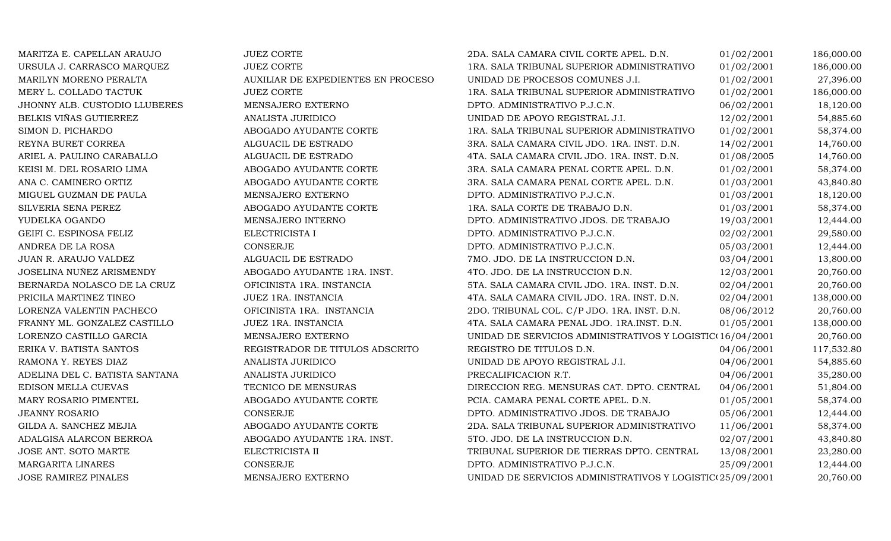| MARITZA E. CAPELLAN ARAUJO     | <b>JUEZ CORTE</b>                  | 2DA. SALA CAMARA CIVIL CORTE APEL. D.N.                   | 01/02/2001 | 186,000.00 |
|--------------------------------|------------------------------------|-----------------------------------------------------------|------------|------------|
| URSULA J. CARRASCO MARQUEZ     | <b>JUEZ CORTE</b>                  | 1RA. SALA TRIBUNAL SUPERIOR ADMINISTRATIVO                | 01/02/2001 | 186,000.00 |
| MARILYN MORENO PERALTA         | AUXILIAR DE EXPEDIENTES EN PROCESO | UNIDAD DE PROCESOS COMUNES J.I.                           | 01/02/2001 | 27,396.00  |
| MERY L. COLLADO TACTUK         | <b>JUEZ CORTE</b>                  | 1RA. SALA TRIBUNAL SUPERIOR ADMINISTRATIVO                | 01/02/2001 | 186,000.00 |
| JHONNY ALB. CUSTODIO LLUBERES  | MENSAJERO EXTERNO                  | DPTO. ADMINISTRATIVO P.J.C.N.                             | 06/02/2001 | 18,120.00  |
| BELKIS VIÑAS GUTIERREZ         | ANALISTA JURIDICO                  | UNIDAD DE APOYO REGISTRAL J.I.                            | 12/02/2001 | 54,885.60  |
| SIMON D. PICHARDO              | ABOGADO AYUDANTE CORTE             | 1RA. SALA TRIBUNAL SUPERIOR ADMINISTRATIVO                | 01/02/2001 | 58,374.00  |
| REYNA BURET CORREA             | ALGUACIL DE ESTRADO                | 3RA. SALA CAMARA CIVIL JDO. 1RA. INST. D.N.               | 14/02/2001 | 14,760.00  |
| ARIEL A. PAULINO CARABALLO     | ALGUACIL DE ESTRADO                | 4TA. SALA CAMARA CIVIL JDO. 1RA. INST. D.N.               | 01/08/2005 | 14,760.00  |
| KEISI M. DEL ROSARIO LIMA      | ABOGADO AYUDANTE CORTE             | 3RA. SALA CAMARA PENAL CORTE APEL. D.N.                   | 01/02/2001 | 58,374.00  |
| ANA C. CAMINERO ORTIZ          | ABOGADO AYUDANTE CORTE             | 3RA. SALA CAMARA PENAL CORTE APEL. D.N.                   | 01/03/2001 | 43,840.80  |
| MIGUEL GUZMAN DE PAULA         | MENSAJERO EXTERNO                  | DPTO. ADMINISTRATIVO P.J.C.N.                             | 01/03/2001 | 18,120.00  |
| SILVERIA SENA PEREZ            | ABOGADO AYUDANTE CORTE             | 1RA. SALA CORTE DE TRABAJO D.N.                           | 01/03/2001 | 58,374.00  |
| YUDELKA OGANDO                 | MENSAJERO INTERNO                  | DPTO. ADMINISTRATIVO JDOS. DE TRABAJO                     | 19/03/2001 | 12,444.00  |
| GEIFI C. ESPINOSA FELIZ        | ELECTRICISTA I                     | DPTO. ADMINISTRATIVO P.J.C.N.                             | 02/02/2001 | 29,580.00  |
| ANDREA DE LA ROSA              | CONSERJE                           | DPTO. ADMINISTRATIVO P.J.C.N.                             | 05/03/2001 | 12,444.00  |
| JUAN R. ARAUJO VALDEZ          | ALGUACIL DE ESTRADO                | 7MO. JDO. DE LA INSTRUCCION D.N.                          | 03/04/2001 | 13,800.00  |
| JOSELINA NUÑEZ ARISMENDY       | ABOGADO AYUDANTE 1RA. INST.        | 4TO. JDO. DE LA INSTRUCCION D.N.                          | 12/03/2001 | 20,760.00  |
| BERNARDA NOLASCO DE LA CRUZ    | OFICINISTA 1RA. INSTANCIA          | 5TA. SALA CAMARA CIVIL JDO. 1RA. INST. D.N.               | 02/04/2001 | 20,760.00  |
| PRICILA MARTINEZ TINEO         | JUEZ 1RA. INSTANCIA                | 4TA. SALA CAMARA CIVIL JDO. 1RA. INST. D.N.               | 02/04/2001 | 138,000.00 |
| LORENZA VALENTIN PACHECO       | OFICINISTA 1RA. INSTANCIA          | 2DO. TRIBUNAL COL. C/P JDO. 1RA. INST. D.N.               | 08/06/2012 | 20,760.00  |
| FRANNY ML. GONZALEZ CASTILLO   | JUEZ 1RA. INSTANCIA                | 4TA. SALA CAMARA PENAL JDO. 1RA.INST. D.N.                | 01/05/2001 | 138,000.00 |
| LORENZO CASTILLO GARCIA        | MENSAJERO EXTERNO                  | UNIDAD DE SERVICIOS ADMINISTRATIVOS Y LOGISTIC(16/04/2001 |            | 20,760.00  |
| ERIKA V. BATISTA SANTOS        | REGISTRADOR DE TITULOS ADSCRITO    | REGISTRO DE TITULOS D.N.                                  | 04/06/2001 | 117,532.80 |
| RAMONA Y. REYES DIAZ           | ANALISTA JURIDICO                  | UNIDAD DE APOYO REGISTRAL J.I.                            | 04/06/2001 | 54,885.60  |
| ADELINA DEL C. BATISTA SANTANA | ANALISTA JURIDICO                  | PRECALIFICACION R.T.                                      | 04/06/2001 | 35,280.00  |
| EDISON MELLA CUEVAS            | TECNICO DE MENSURAS                | DIRECCION REG. MENSURAS CAT. DPTO. CENTRAL                | 04/06/2001 | 51,804.00  |
| MARY ROSARIO PIMENTEL          | ABOGADO AYUDANTE CORTE             | PCIA. CAMARA PENAL CORTE APEL. D.N.                       | 01/05/2001 | 58,374.00  |
| <b>JEANNY ROSARIO</b>          | CONSERJE                           | DPTO. ADMINISTRATIVO JDOS. DE TRABAJO                     | 05/06/2001 | 12,444.00  |
| GILDA A. SANCHEZ MEJIA         | ABOGADO AYUDANTE CORTE             | 2DA. SALA TRIBUNAL SUPERIOR ADMINISTRATIVO                | 11/06/2001 | 58,374.00  |
| ADALGISA ALARCON BERROA        | ABOGADO AYUDANTE 1RA. INST.        | 5TO. JDO. DE LA INSTRUCCION D.N.                          | 02/07/2001 | 43,840.80  |
| JOSE ANT. SOTO MARTE           | ELECTRICISTA II                    | TRIBUNAL SUPERIOR DE TIERRAS DPTO. CENTRAL                | 13/08/2001 | 23,280.00  |
| <b>MARGARITA LINARES</b>       | <b>CONSERJE</b>                    | DPTO. ADMINISTRATIVO P.J.C.N.                             | 25/09/2001 | 12,444.00  |
| <b>JOSE RAMIREZ PINALES</b>    | MENSAJERO EXTERNO                  | UNIDAD DE SERVICIOS ADMINISTRATIVOS Y LOGISTIC(25/09/2001 |            | 20,760.00  |
|                                |                                    |                                                           |            |            |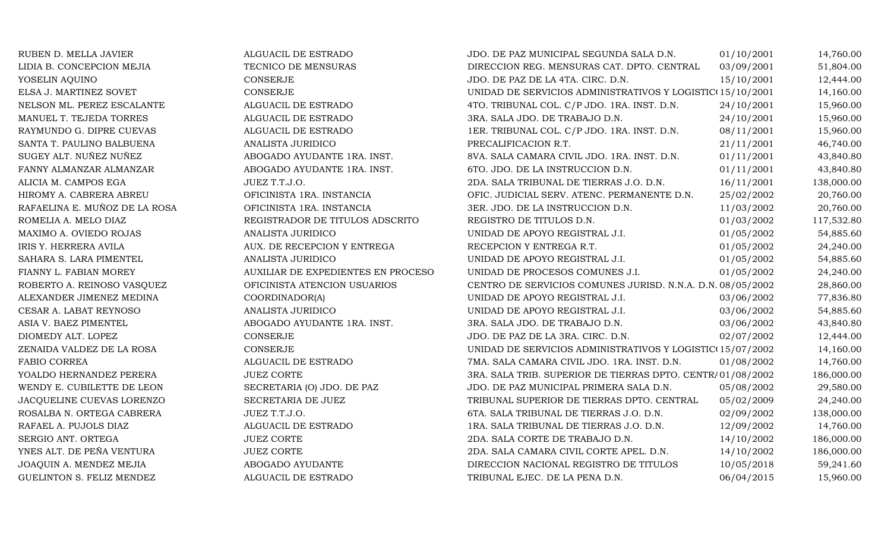| RUBEN D. MELLA JAVIER         | ALGUACIL DE ESTRADO                | JDO. DE PAZ MUNICIPAL SEGUNDA SALA D.N.                    | 01/10/2001 | 14,760.00  |
|-------------------------------|------------------------------------|------------------------------------------------------------|------------|------------|
| LIDIA B. CONCEPCION MEJIA     | TECNICO DE MENSURAS                | DIRECCION REG. MENSURAS CAT. DPTO. CENTRAL                 | 03/09/2001 | 51,804.00  |
| YOSELIN AQUINO                | <b>CONSERJE</b>                    | JDO. DE PAZ DE LA 4TA. CIRC. D.N.                          | 15/10/2001 | 12,444.00  |
| ELSA J. MARTINEZ SOVET        | <b>CONSERJE</b>                    | UNIDAD DE SERVICIOS ADMINISTRATIVOS Y LOGISTIC(15/10/2001  |            | 14,160.00  |
| NELSON ML. PEREZ ESCALANTE    | ALGUACIL DE ESTRADO                | 4TO. TRIBUNAL COL. C/P JDO. 1RA. INST. D.N.                | 24/10/2001 | 15,960.00  |
| MANUEL T. TEJEDA TORRES       | ALGUACIL DE ESTRADO                | 3RA. SALA JDO. DE TRABAJO D.N.                             | 24/10/2001 | 15,960.00  |
| RAYMUNDO G. DIPRE CUEVAS      | ALGUACIL DE ESTRADO                | 1ER. TRIBUNAL COL. C/P JDO. 1RA. INST. D.N.                | 08/11/2001 | 15,960.00  |
| SANTA T. PAULINO BALBUENA     | ANALISTA JURIDICO                  | PRECALIFICACION R.T.                                       | 21/11/2001 | 46,740.00  |
| SUGEY ALT. NUÑEZ NUÑEZ        | ABOGADO AYUDANTE 1RA. INST.        | 8VA. SALA CAMARA CIVIL JDO. 1RA. INST. D.N.                | 01/11/2001 | 43,840.80  |
| FANNY ALMANZAR ALMANZAR       | ABOGADO AYUDANTE 1RA. INST.        | 6TO. JDO. DE LA INSTRUCCION D.N.                           | 01/11/2001 | 43,840.80  |
| ALICIA M. CAMPOS EGA          | JUEZ T.T.J.O.                      | 2DA. SALA TRIBUNAL DE TIERRAS J.O. D.N.                    | 16/11/2001 | 138,000.00 |
| HIROMY A. CABRERA ABREU       | OFICINISTA 1RA. INSTANCIA          | OFIC. JUDICIAL SERV. ATENC. PERMANENTE D.N.                | 25/02/2002 | 20,760.00  |
| RAFAELINA E. MUÑOZ DE LA ROSA | OFICINISTA 1RA. INSTANCIA          | 3ER. JDO. DE LA INSTRUCCION D.N.                           | 11/03/2002 | 20,760.00  |
| ROMELIA A. MELO DIAZ          | REGISTRADOR DE TITULOS ADSCRITO    | REGISTRO DE TITULOS D.N.                                   | 01/03/2002 | 117,532.80 |
| MAXIMO A. OVIEDO ROJAS        | ANALISTA JURIDICO                  | UNIDAD DE APOYO REGISTRAL J.I.                             | 01/05/2002 | 54,885.60  |
| IRIS Y. HERRERA AVILA         | AUX. DE RECEPCION Y ENTREGA        | RECEPCION Y ENTREGA R.T.                                   | 01/05/2002 | 24,240.00  |
| SAHARA S. LARA PIMENTEL       | ANALISTA JURIDICO                  | UNIDAD DE APOYO REGISTRAL J.I.                             | 01/05/2002 | 54,885.60  |
| FIANNY L. FABIAN MOREY        | AUXILIAR DE EXPEDIENTES EN PROCESO | UNIDAD DE PROCESOS COMUNES J.I.                            | 01/05/2002 | 24,240.00  |
| ROBERTO A. REINOSO VASQUEZ    | OFICINISTA ATENCION USUARIOS       | CENTRO DE SERVICIOS COMUNES JURISD. N.N.A. D.N. 08/05/2002 |            | 28,860.00  |
| ALEXANDER JIMENEZ MEDINA      | COORDINADOR(A)                     | UNIDAD DE APOYO REGISTRAL J.I.                             | 03/06/2002 | 77,836.80  |
| CESAR A. LABAT REYNOSO        | ANALISTA JURIDICO                  | UNIDAD DE APOYO REGISTRAL J.I.                             | 03/06/2002 | 54,885.60  |
| ASIA V. BAEZ PIMENTEL         | ABOGADO AYUDANTE 1RA. INST.        | 3RA. SALA JDO. DE TRABAJO D.N.                             | 03/06/2002 | 43,840.80  |
| DIOMEDY ALT. LOPEZ            | <b>CONSERJE</b>                    | JDO. DE PAZ DE LA 3RA. CIRC. D.N.                          | 02/07/2002 | 12,444.00  |
| ZENAIDA VALDEZ DE LA ROSA     | CONSERJE                           | UNIDAD DE SERVICIOS ADMINISTRATIVOS Y LOGISTIC(15/07/2002) |            | 14,160.00  |
| FABIO CORREA                  | ALGUACIL DE ESTRADO                | 7MA. SALA CAMARA CIVIL JDO. 1RA. INST. D.N.                | 01/08/2002 | 14,760.00  |
| YOALDO HERNANDEZ PERERA       | <b>JUEZ CORTE</b>                  | 3RA. SALA TRIB. SUPERIOR DE TIERRAS DPTO. CENTR/01/08/2002 |            | 186,000.00 |
| WENDY E. CUBILETTE DE LEON    | SECRETARIA (O) JDO. DE PAZ         | JDO. DE PAZ MUNICIPAL PRIMERA SALA D.N.                    | 05/08/2002 | 29,580.00  |
| JACQUELINE CUEVAS LORENZO     | SECRETARIA DE JUEZ                 | TRIBUNAL SUPERIOR DE TIERRAS DPTO. CENTRAL                 | 05/02/2009 | 24,240.00  |
| ROSALBA N. ORTEGA CABRERA     | JUEZ T.T.J.O.                      | 6TA. SALA TRIBUNAL DE TIERRAS J.O. D.N.                    | 02/09/2002 | 138,000.00 |
| RAFAEL A. PUJOLS DIAZ         | ALGUACIL DE ESTRADO                | 1RA. SALA TRIBUNAL DE TIERRAS J.O. D.N.                    | 12/09/2002 | 14,760.00  |
| SERGIO ANT. ORTEGA            | <b>JUEZ CORTE</b>                  | 2DA. SALA CORTE DE TRABAJO D.N.                            | 14/10/2002 | 186,000.00 |
| YNES ALT. DE PEÑA VENTURA     | <b>JUEZ CORTE</b>                  | 2DA. SALA CAMARA CIVIL CORTE APEL. D.N.                    | 14/10/2002 | 186,000.00 |
| JOAQUIN A. MENDEZ MEJIA       | ABOGADO AYUDANTE                   | DIRECCION NACIONAL REGISTRO DE TITULOS                     | 10/05/2018 | 59,241.60  |
| GUELINTON S. FELIZ MENDEZ     | ALGUACIL DE ESTRADO                | TRIBUNAL EJEC. DE LA PENA D.N.                             | 06/04/2015 | 15,960.00  |
|                               |                                    |                                                            |            |            |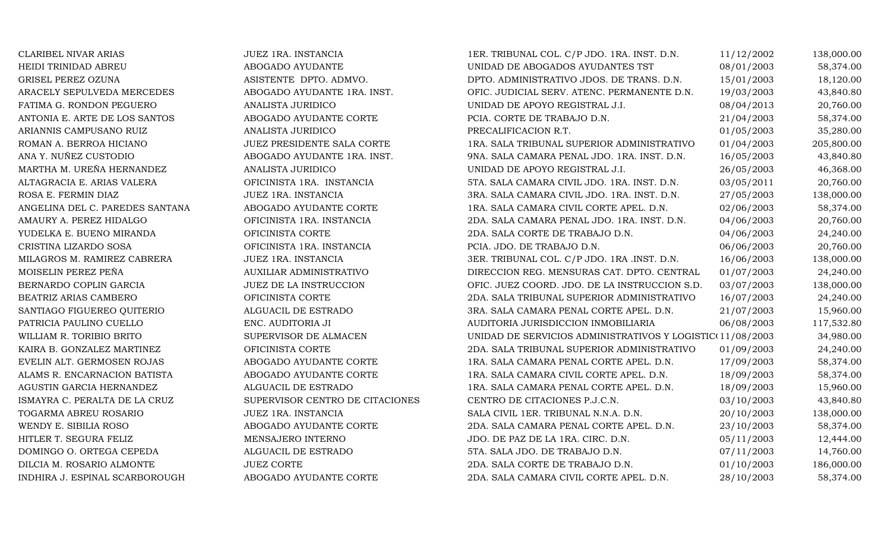| <b>CLARIBEL NIVAR ARIAS</b>     | JUEZ 1RA. INSTANCIA             | 1ER. TRIBUNAL COL. C/P JDO. 1RA. INST. D.N.               | 11/12/2002 | 138,000.00 |
|---------------------------------|---------------------------------|-----------------------------------------------------------|------------|------------|
| HEIDI TRINIDAD ABREU            | ABOGADO AYUDANTE                | UNIDAD DE ABOGADOS AYUDANTES TST                          | 08/01/2003 | 58,374.00  |
| GRISEL PEREZ OZUNA              | ASISTENTE DPTO. ADMVO.          | DPTO. ADMINISTRATIVO JDOS. DE TRANS. D.N.                 | 15/01/2003 | 18,120.00  |
| ARACELY SEPULVEDA MERCEDES      | ABOGADO AYUDANTE 1RA. INST.     | OFIC. JUDICIAL SERV. ATENC. PERMANENTE D.N.               | 19/03/2003 | 43,840.80  |
| FATIMA G. RONDON PEGUERO        | ANALISTA JURIDICO               | UNIDAD DE APOYO REGISTRAL J.I.                            | 08/04/2013 | 20,760.00  |
| ANTONIA E. ARTE DE LOS SANTOS   | ABOGADO AYUDANTE CORTE          | PCIA. CORTE DE TRABAJO D.N.                               | 21/04/2003 | 58,374.00  |
| ARIANNIS CAMPUSANO RUIZ         | ANALISTA JURIDICO               | PRECALIFICACION R.T.                                      | 01/05/2003 | 35,280.00  |
| ROMAN A. BERROA HICIANO         | JUEZ PRESIDENTE SALA CORTE      | 1RA. SALA TRIBUNAL SUPERIOR ADMINISTRATIVO                | 01/04/2003 | 205,800.00 |
| ANA Y. NUÑEZ CUSTODIO           | ABOGADO AYUDANTE 1RA. INST.     | 9NA. SALA CAMARA PENAL JDO. 1RA. INST. D.N.               | 16/05/2003 | 43,840.80  |
| MARTHA M. UREÑA HERNANDEZ       | ANALISTA JURIDICO               | UNIDAD DE APOYO REGISTRAL J.I.                            | 26/05/2003 | 46,368.00  |
| ALTAGRACIA E. ARIAS VALERA      | OFICINISTA 1RA. INSTANCIA       | 5TA. SALA CAMARA CIVIL JDO. 1RA. INST. D.N.               | 03/05/2011 | 20,760.00  |
| ROSA E. FERMIN DIAZ             | JUEZ 1RA. INSTANCIA             | 3RA. SALA CAMARA CIVIL JDO. 1RA. INST. D.N.               | 27/05/2003 | 138,000.00 |
| ANGELINA DEL C. PAREDES SANTANA | ABOGADO AYUDANTE CORTE          | 1RA. SALA CAMARA CIVIL CORTE APEL. D.N.                   | 02/06/2003 | 58,374.00  |
| AMAURY A. PEREZ HIDALGO         | OFICINISTA 1RA. INSTANCIA       | 2DA. SALA CAMARA PENAL JDO. 1RA. INST. D.N.               | 04/06/2003 | 20,760.00  |
| YUDELKA E. BUENO MIRANDA        | OFICINISTA CORTE                | 2DA. SALA CORTE DE TRABAJO D.N.                           | 04/06/2003 | 24,240.00  |
| CRISTINA LIZARDO SOSA           | OFICINISTA 1RA. INSTANCIA       | PCIA. JDO. DE TRABAJO D.N.                                | 06/06/2003 | 20,760.00  |
| MILAGROS M. RAMIREZ CABRERA     | JUEZ 1RA. INSTANCIA             | 3ER. TRIBUNAL COL. C/P JDO. 1RA .INST. D.N.               | 16/06/2003 | 138,000.00 |
| MOISELIN PEREZ PEÑA             | AUXILIAR ADMINISTRATIVO         | DIRECCION REG. MENSURAS CAT. DPTO. CENTRAL                | 01/07/2003 | 24,240.00  |
| BERNARDO COPLIN GARCIA          | JUEZ DE LA INSTRUCCION          | OFIC. JUEZ COORD. JDO. DE LA INSTRUCCION S.D.             | 03/07/2003 | 138,000.00 |
| BEATRIZ ARIAS CAMBERO           | OFICINISTA CORTE                | 2DA. SALA TRIBUNAL SUPERIOR ADMINISTRATIVO                | 16/07/2003 | 24,240.00  |
| SANTIAGO FIGUEREO QUITERIO      | ALGUACIL DE ESTRADO             | 3RA. SALA CAMARA PENAL CORTE APEL. D.N.                   | 21/07/2003 | 15,960.00  |
| PATRICIA PAULINO CUELLO         | ENC. AUDITORIA JI               | AUDITORIA JURISDICCION INMOBILIARIA                       | 06/08/2003 | 117,532.80 |
| WILLIAM R. TORIBIO BRITO        | SUPERVISOR DE ALMACEN           | UNIDAD DE SERVICIOS ADMINISTRATIVOS Y LOGISTIC(11/08/2003 |            | 34,980.00  |
| KAIRA B. GONZALEZ MARTINEZ      | OFICINISTA CORTE                | 2DA. SALA TRIBUNAL SUPERIOR ADMINISTRATIVO                | 01/09/2003 | 24,240.00  |
| EVELIN ALT. GERMOSEN ROJAS      | ABOGADO AYUDANTE CORTE          | 1RA. SALA CAMARA PENAL CORTE APEL. D.N.                   | 17/09/2003 | 58,374.00  |
| ALAMS R. ENCARNACION BATISTA    | ABOGADO AYUDANTE CORTE          | 1RA. SALA CAMARA CIVIL CORTE APEL. D.N.                   | 18/09/2003 | 58,374.00  |
| AGUSTIN GARCIA HERNANDEZ        | ALGUACIL DE ESTRADO             | 1RA. SALA CAMARA PENAL CORTE APEL. D.N.                   | 18/09/2003 | 15,960.00  |
| ISMAYRA C. PERALTA DE LA CRUZ   | SUPERVISOR CENTRO DE CITACIONES | CENTRO DE CITACIONES P.J.C.N.                             | 03/10/2003 | 43,840.80  |
| TOGARMA ABREU ROSARIO           | JUEZ 1RA. INSTANCIA             | SALA CIVIL 1ER. TRIBUNAL N.N.A. D.N.                      | 20/10/2003 | 138,000.00 |
| WENDY E. SIBILIA ROSO           | ABOGADO AYUDANTE CORTE          | 2DA. SALA CAMARA PENAL CORTE APEL. D.N.                   | 23/10/2003 | 58,374.00  |
| HITLER T. SEGURA FELIZ          | MENSAJERO INTERNO               | JDO. DE PAZ DE LA 1RA. CIRC. D.N.                         | 05/11/2003 | 12,444.00  |
| DOMINGO O. ORTEGA CEPEDA        | ALGUACIL DE ESTRADO             | 5TA. SALA JDO. DE TRABAJO D.N.                            | 07/11/2003 | 14,760.00  |
| DILCIA M. ROSARIO ALMONTE       | <b>JUEZ CORTE</b>               | 2DA. SALA CORTE DE TRABAJO D.N.                           | 01/10/2003 | 186,000.00 |
| INDHIRA J. ESPINAL SCARBOROUGH  | ABOGADO AYUDANTE CORTE          | 2DA. SALA CAMARA CIVIL CORTE APEL. D.N.                   | 28/10/2003 | 58,374.00  |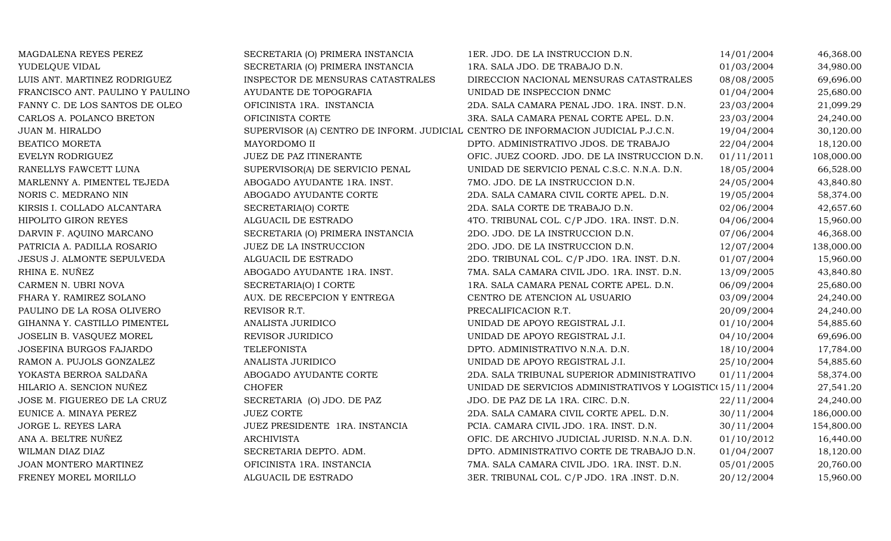| MAGDALENA REYES PEREZ            | SECRETARIA (O) PRIMERA INSTANCIA                                                  | 1ER. JDO. DE LA INSTRUCCION D.N.                          | 14/01/2004 | 46,368.00  |
|----------------------------------|-----------------------------------------------------------------------------------|-----------------------------------------------------------|------------|------------|
| YUDELQUE VIDAL                   | SECRETARIA (O) PRIMERA INSTANCIA                                                  | 1RA. SALA JDO. DE TRABAJO D.N.                            | 01/03/2004 | 34,980.00  |
| LUIS ANT. MARTINEZ RODRIGUEZ     | INSPECTOR DE MENSURAS CATASTRALES                                                 | DIRECCION NACIONAL MENSURAS CATASTRALES                   | 08/08/2005 | 69,696.00  |
| FRANCISCO ANT. PAULINO Y PAULINO | AYUDANTE DE TOPOGRAFIA                                                            | UNIDAD DE INSPECCION DNMC                                 | 01/04/2004 | 25,680.00  |
| FANNY C. DE LOS SANTOS DE OLEO   | OFICINISTA 1RA. INSTANCIA                                                         | 2DA. SALA CAMARA PENAL JDO. 1RA. INST. D.N.               | 23/03/2004 | 21,099.29  |
| CARLOS A. POLANCO BRETON         | OFICINISTA CORTE                                                                  | 3RA. SALA CAMARA PENAL CORTE APEL. D.N.                   | 23/03/2004 | 24,240.00  |
| JUAN M. HIRALDO                  | SUPERVISOR (A) CENTRO DE INFORM. JUDICIAL CENTRO DE INFORMACION JUDICIAL P.J.C.N. |                                                           | 19/04/2004 | 30,120.00  |
| BEATICO MORETA                   | MAYORDOMO II                                                                      | DPTO. ADMINISTRATIVO JDOS. DE TRABAJO                     | 22/04/2004 | 18,120.00  |
| EVELYN RODRIGUEZ                 | JUEZ DE PAZ ITINERANTE                                                            | OFIC. JUEZ COORD. JDO. DE LA INSTRUCCION D.N.             | 01/11/2011 | 108,000.00 |
| RANELLYS FAWCETT LUNA            | SUPERVISOR(A) DE SERVICIO PENAL                                                   | UNIDAD DE SERVICIO PENAL C.S.C. N.N.A. D.N.               | 18/05/2004 | 66,528.00  |
| MARLENNY A. PIMENTEL TEJEDA      | ABOGADO AYUDANTE 1RA. INST.                                                       | 7MO. JDO. DE LA INSTRUCCION D.N.                          | 24/05/2004 | 43,840.80  |
| NORIS C. MEDRANO NIN             | ABOGADO AYUDANTE CORTE                                                            | 2DA. SALA CAMARA CIVIL CORTE APEL. D.N.                   | 19/05/2004 | 58,374.00  |
| KIRSIS I. COLLADO ALCANTARA      | SECRETARIA(O) CORTE                                                               | 2DA. SALA CORTE DE TRABAJO D.N.                           | 02/06/2004 | 42,657.60  |
| <b>HIPOLITO GIRON REYES</b>      | ALGUACIL DE ESTRADO                                                               | 4TO. TRIBUNAL COL. C/P JDO. 1RA. INST. D.N.               | 04/06/2004 | 15,960.00  |
| DARVIN F. AQUINO MARCANO         | SECRETARIA (O) PRIMERA INSTANCIA                                                  | 2DO. JDO. DE LA INSTRUCCION D.N.                          | 07/06/2004 | 46,368.00  |
| PATRICIA A. PADILLA ROSARIO      | <b>JUEZ DE LA INSTRUCCION</b>                                                     | 2DO. JDO. DE LA INSTRUCCION D.N.                          | 12/07/2004 | 138,000.00 |
| JESUS J. ALMONTE SEPULVEDA       | ALGUACIL DE ESTRADO                                                               | 2DO. TRIBUNAL COL. C/P JDO. 1RA. INST. D.N.               | 01/07/2004 | 15,960.00  |
| RHINA E. NUÑEZ                   | ABOGADO AYUDANTE 1RA. INST.                                                       | 7MA. SALA CAMARA CIVIL JDO. 1RA. INST. D.N.               | 13/09/2005 | 43,840.80  |
| CARMEN N. UBRI NOVA              | SECRETARIA(O) I CORTE                                                             | 1RA. SALA CAMARA PENAL CORTE APEL. D.N.                   | 06/09/2004 | 25,680.00  |
| FHARA Y. RAMIREZ SOLANO          | AUX. DE RECEPCION Y ENTREGA                                                       | CENTRO DE ATENCION AL USUARIO                             | 03/09/2004 | 24,240.00  |
| PAULINO DE LA ROSA OLIVERO       | REVISOR R.T.                                                                      | PRECALIFICACION R.T.                                      | 20/09/2004 | 24,240.00  |
| GIHANNA Y. CASTILLO PIMENTEL     | ANALISTA JURIDICO                                                                 | UNIDAD DE APOYO REGISTRAL J.I.                            | 01/10/2004 | 54,885.60  |
| JOSELIN B. VASQUEZ MOREL         | REVISOR JURIDICO                                                                  | UNIDAD DE APOYO REGISTRAL J.I.                            | 04/10/2004 | 69,696.00  |
| JOSEFINA BURGOS FAJARDO          | <b>TELEFONISTA</b>                                                                | DPTO. ADMINISTRATIVO N.N.A. D.N.                          | 18/10/2004 | 17,784.00  |
| RAMON A. PUJOLS GONZALEZ         | ANALISTA JURIDICO                                                                 | UNIDAD DE APOYO REGISTRAL J.I.                            | 25/10/2004 | 54,885.60  |
| YOKASTA BERROA SALDAÑA           | ABOGADO AYUDANTE CORTE                                                            | 2DA. SALA TRIBUNAL SUPERIOR ADMINISTRATIVO                | 01/11/2004 | 58,374.00  |
| HILARIO A. SENCION NUÑEZ         | <b>CHOFER</b>                                                                     | UNIDAD DE SERVICIOS ADMINISTRATIVOS Y LOGISTIC(15/11/2004 |            | 27,541.20  |
| JOSE M. FIGUEREO DE LA CRUZ      | SECRETARIA (O) JDO. DE PAZ                                                        | JDO. DE PAZ DE LA 1RA. CIRC. D.N.                         | 22/11/2004 | 24,240.00  |
| EUNICE A. MINAYA PEREZ           | <b>JUEZ CORTE</b>                                                                 | 2DA. SALA CAMARA CIVIL CORTE APEL. D.N.                   | 30/11/2004 | 186,000.00 |
| JORGE L. REYES LARA              | JUEZ PRESIDENTE 1RA. INSTANCIA                                                    | PCIA. CAMARA CIVIL JDO. 1RA. INST. D.N.                   | 30/11/2004 | 154,800.00 |
| ANA A. BELTRE NUÑEZ              | <b>ARCHIVISTA</b>                                                                 | OFIC. DE ARCHIVO JUDICIAL JURISD. N.N.A. D.N.             | 01/10/2012 | 16,440.00  |
| WILMAN DIAZ DIAZ                 | SECRETARIA DEPTO. ADM.                                                            | DPTO. ADMINISTRATIVO CORTE DE TRABAJO D.N.                | 01/04/2007 | 18,120.00  |
| JOAN MONTERO MARTINEZ            | OFICINISTA 1RA. INSTANCIA                                                         | 7MA. SALA CAMARA CIVIL JDO. 1RA. INST. D.N.               | 05/01/2005 | 20,760.00  |
| FRENEY MOREL MORILLO             | ALGUACIL DE ESTRADO                                                               | 3ER. TRIBUNAL COL. C/P JDO. 1RA .INST. D.N.               | 20/12/2004 | 15,960.00  |
|                                  |                                                                                   |                                                           |            |            |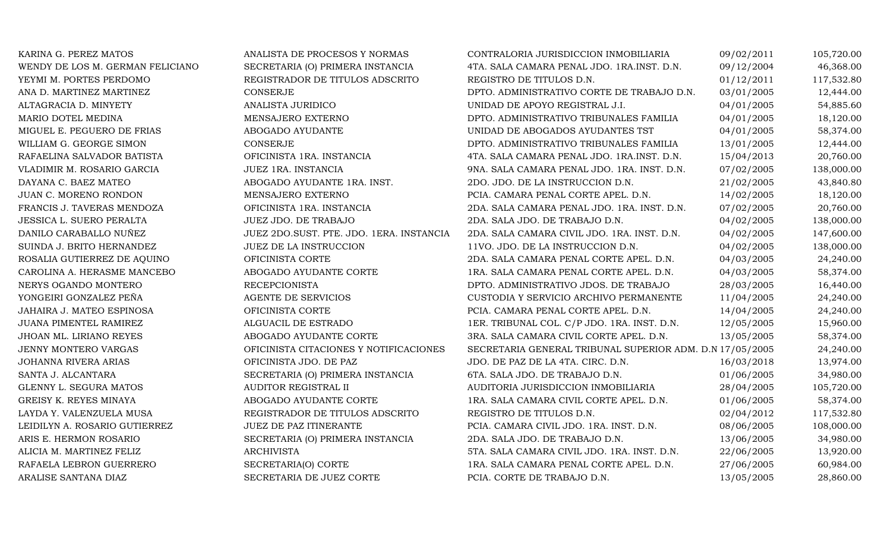| KARINA G. PEREZ MATOS            | ANALISTA DE PROCESOS Y NORMAS            | CONTRALORIA JURISDICCION INMOBILIARIA                    | 09/02/2011 | 105,720.00 |
|----------------------------------|------------------------------------------|----------------------------------------------------------|------------|------------|
| WENDY DE LOS M. GERMAN FELICIANO | SECRETARIA (O) PRIMERA INSTANCIA         | 4TA. SALA CAMARA PENAL JDO. 1RA.INST. D.N.               | 09/12/2004 | 46,368.00  |
| YEYMI M. PORTES PERDOMO          | REGISTRADOR DE TITULOS ADSCRITO          | REGISTRO DE TITULOS D.N.                                 | 01/12/2011 | 117,532.80 |
| ANA D. MARTINEZ MARTINEZ         | CONSERJE                                 | DPTO. ADMINISTRATIVO CORTE DE TRABAJO D.N.               | 03/01/2005 | 12,444.00  |
| ALTAGRACIA D. MINYETY            | ANALISTA JURIDICO                        | UNIDAD DE APOYO REGISTRAL J.I.                           | 04/01/2005 | 54,885.60  |
| MARIO DOTEL MEDINA               | MENSAJERO EXTERNO                        | DPTO. ADMINISTRATIVO TRIBUNALES FAMILIA                  | 04/01/2005 | 18,120.00  |
| MIGUEL E. PEGUERO DE FRIAS       | ABOGADO AYUDANTE                         | UNIDAD DE ABOGADOS AYUDANTES TST                         | 04/01/2005 | 58,374.00  |
| WILLIAM G. GEORGE SIMON          | CONSERJE                                 | DPTO. ADMINISTRATIVO TRIBUNALES FAMILIA                  | 13/01/2005 | 12,444.00  |
| RAFAELINA SALVADOR BATISTA       | OFICINISTA 1RA. INSTANCIA                | 4TA. SALA CAMARA PENAL JDO. 1RA.INST. D.N.               | 15/04/2013 | 20,760.00  |
| VLADIMIR M. ROSARIO GARCIA       | JUEZ 1RA. INSTANCIA                      | 9NA. SALA CAMARA PENAL JDO. 1RA. INST. D.N.              | 07/02/2005 | 138,000.00 |
| DAYANA C. BAEZ MATEO             | ABOGADO AYUDANTE 1RA. INST.              | 2DO. JDO. DE LA INSTRUCCION D.N.                         | 21/02/2005 | 43,840.80  |
| JUAN C. MORENO RONDON            | MENSAJERO EXTERNO                        | PCIA. CAMARA PENAL CORTE APEL. D.N.                      | 14/02/2005 | 18,120.00  |
| FRANCIS J. TAVERAS MENDOZA       | OFICINISTA 1RA. INSTANCIA                | 2DA. SALA CAMARA PENAL JDO. 1RA. INST. D.N.              | 07/02/2005 | 20,760.00  |
| JESSICA L. SUERO PERALTA         | JUEZ JDO. DE TRABAJO                     | 2DA. SALA JDO. DE TRABAJO D.N.                           | 04/02/2005 | 138,000.00 |
| DANILO CARABALLO NUÑEZ           | JUEZ 2DO.SUST. PTE. JDO. 1ERA. INSTANCIA | 2DA. SALA CAMARA CIVIL JDO. 1RA. INST. D.N.              | 04/02/2005 | 147,600.00 |
| SUINDA J. BRITO HERNANDEZ        | JUEZ DE LA INSTRUCCION                   | 11VO. JDO. DE LA INSTRUCCION D.N.                        | 04/02/2005 | 138,000.00 |
| ROSALIA GUTIERREZ DE AQUINO      | OFICINISTA CORTE                         | 2DA. SALA CAMARA PENAL CORTE APEL. D.N.                  | 04/03/2005 | 24,240.00  |
| CAROLINA A. HERASME MANCEBO      | ABOGADO AYUDANTE CORTE                   | 1RA. SALA CAMARA PENAL CORTE APEL. D.N.                  | 04/03/2005 | 58,374.00  |
| NERYS OGANDO MONTERO             | <b>RECEPCIONISTA</b>                     | DPTO. ADMINISTRATIVO JDOS. DE TRABAJO                    | 28/03/2005 | 16,440.00  |
| YONGEIRI GONZALEZ PEÑA           | AGENTE DE SERVICIOS                      | CUSTODIA Y SERVICIO ARCHIVO PERMANENTE                   | 11/04/2005 | 24,240.00  |
| JAHAIRA J. MATEO ESPINOSA        | OFICINISTA CORTE                         | PCIA. CAMARA PENAL CORTE APEL. D.N.                      | 14/04/2005 | 24,240.00  |
| JUANA PIMENTEL RAMIREZ           | ALGUACIL DE ESTRADO                      | 1ER. TRIBUNAL COL. C/P JDO. 1RA. INST. D.N.              | 12/05/2005 | 15,960.00  |
| JHOAN ML. LIRIANO REYES          | ABOGADO AYUDANTE CORTE                   | 3RA. SALA CAMARA CIVIL CORTE APEL. D.N.                  | 13/05/2005 | 58,374.00  |
| <b>JENNY MONTERO VARGAS</b>      | OFICINISTA CITACIONES Y NOTIFICACIONES   | SECRETARIA GENERAL TRIBUNAL SUPERIOR ADM. D.N 17/05/2005 |            | 24,240.00  |
| JOHANNA RIVERA ARIAS             | OFICINISTA JDO. DE PAZ                   | JDO. DE PAZ DE LA 4TA. CIRC. D.N.                        | 16/03/2018 | 13,974.00  |
| SANTA J. ALCANTARA               | SECRETARIA (O) PRIMERA INSTANCIA         | 6TA. SALA JDO. DE TRABAJO D.N.                           | 01/06/2005 | 34,980.00  |
| GLENNY L. SEGURA MATOS           | AUDITOR REGISTRAL II                     | AUDITORIA JURISDICCION INMOBILIARIA                      | 28/04/2005 | 105,720.00 |
| GREISY K. REYES MINAYA           | ABOGADO AYUDANTE CORTE                   | 1RA. SALA CAMARA CIVIL CORTE APEL. D.N.                  | 01/06/2005 | 58,374.00  |
| LAYDA Y. VALENZUELA MUSA         | REGISTRADOR DE TITULOS ADSCRITO          | REGISTRO DE TITULOS D.N.                                 | 02/04/2012 | 117,532.80 |
| LEIDILYN A. ROSARIO GUTIERREZ    | JUEZ DE PAZ ITINERANTE                   | PCIA. CAMARA CIVIL JDO. 1RA. INST. D.N.                  | 08/06/2005 | 108,000.00 |
| ARIS E. HERMON ROSARIO           | SECRETARIA (O) PRIMERA INSTANCIA         | 2DA. SALA JDO. DE TRABAJO D.N.                           | 13/06/2005 | 34,980.00  |
| ALICIA M. MARTINEZ FELIZ         | <b>ARCHIVISTA</b>                        | 5TA. SALA CAMARA CIVIL JDO. 1RA. INST. D.N.              | 22/06/2005 | 13,920.00  |
| RAFAELA LEBRON GUERRERO          | SECRETARIA(O) CORTE                      | 1RA. SALA CAMARA PENAL CORTE APEL. D.N.                  | 27/06/2005 | 60,984.00  |
| ARALISE SANTANA DIAZ             | SECRETARIA DE JUEZ CORTE                 | PCIA. CORTE DE TRABAJO D.N.                              | 13/05/2005 | 28,860.00  |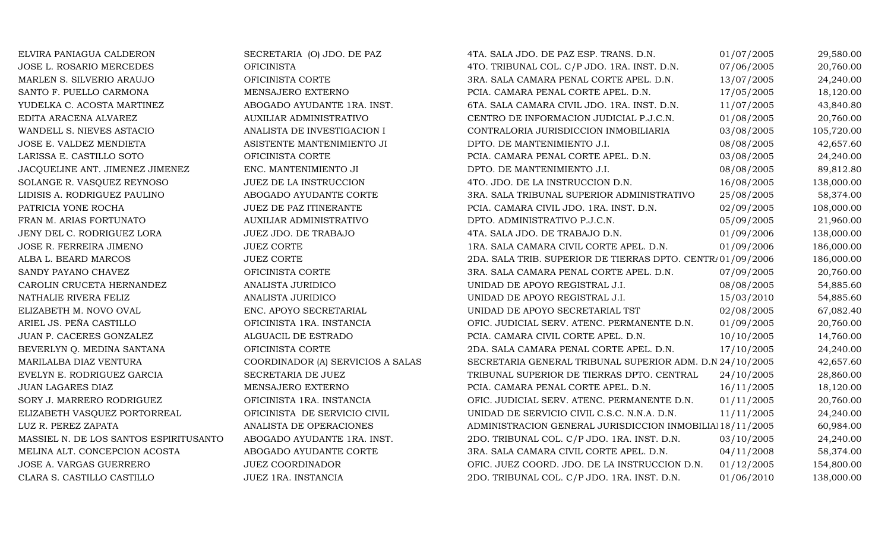| ELVIRA PANIAGUA CALDERON               | SECRETARIA (O) JDO. DE PAZ        | 4TA. SALA JDO. DE PAZ ESP. TRANS. D.N.                     | 01/07/2005 | 29,580.00  |
|----------------------------------------|-----------------------------------|------------------------------------------------------------|------------|------------|
| JOSE L. ROSARIO MERCEDES               | <b>OFICINISTA</b>                 | 4TO. TRIBUNAL COL. C/P JDO. 1RA. INST. D.N.                | 07/06/2005 | 20,760.00  |
| MARLEN S. SILVERIO ARAUJO              | OFICINISTA CORTE                  | 3RA. SALA CAMARA PENAL CORTE APEL. D.N.                    | 13/07/2005 | 24,240.00  |
| SANTO F. PUELLO CARMONA                | MENSAJERO EXTERNO                 | PCIA. CAMARA PENAL CORTE APEL. D.N.                        | 17/05/2005 | 18,120.00  |
| YUDELKA C. ACOSTA MARTINEZ             | ABOGADO AYUDANTE 1RA. INST.       | 6TA. SALA CAMARA CIVIL JDO. 1RA. INST. D.N.                | 11/07/2005 | 43,840.80  |
| EDITA ARACENA ALVAREZ                  | AUXILIAR ADMINISTRATIVO           | CENTRO DE INFORMACION JUDICIAL P.J.C.N.                    | 01/08/2005 | 20,760.00  |
| WANDELL S. NIEVES ASTACIO              | ANALISTA DE INVESTIGACION I       | CONTRALORIA JURISDICCION INMOBILIARIA                      | 03/08/2005 | 105,720.00 |
| JOSE E. VALDEZ MENDIETA                | ASISTENTE MANTENIMIENTO JI        | DPTO. DE MANTENIMIENTO J.I.                                | 08/08/2005 | 42,657.60  |
| LARISSA E. CASTILLO SOTO               | OFICINISTA CORTE                  | PCIA. CAMARA PENAL CORTE APEL. D.N.                        | 03/08/2005 | 24,240.00  |
| JACQUELINE ANT. JIMENEZ JIMENEZ        | ENC. MANTENIMIENTO JI             | DPTO. DE MANTENIMIENTO J.I.                                | 08/08/2005 | 89,812.80  |
| SOLANGE R. VASQUEZ REYNOSO             | JUEZ DE LA INSTRUCCION            | 4TO. JDO. DE LA INSTRUCCION D.N.                           | 16/08/2005 | 138,000.00 |
| LIDISIS A. RODRIGUEZ PAULINO           | ABOGADO AYUDANTE CORTE            | 3RA. SALA TRIBUNAL SUPERIOR ADMINISTRATIVO                 | 25/08/2005 | 58,374.00  |
| PATRICIA YONE ROCHA                    | JUEZ DE PAZ ITINERANTE            | PCIA. CAMARA CIVIL JDO. 1RA. INST. D.N.                    | 02/09/2005 | 108,000.00 |
| FRAN M. ARIAS FORTUNATO                | AUXILIAR ADMINISTRATIVO           | DPTO. ADMINISTRATIVO P.J.C.N.                              | 05/09/2005 | 21,960.00  |
| JENY DEL C. RODRIGUEZ LORA             | JUEZ JDO. DE TRABAJO              | 4TA. SALA JDO. DE TRABAJO D.N.                             | 01/09/2006 | 138,000.00 |
| JOSE R. FERREIRA JIMENO                | <b>JUEZ CORTE</b>                 | 1RA. SALA CAMARA CIVIL CORTE APEL. D.N.                    | 01/09/2006 | 186,000.00 |
| ALBA L. BEARD MARCOS                   | <b>JUEZ CORTE</b>                 | 2DA. SALA TRIB. SUPERIOR DE TIERRAS DPTO. CENTR/01/09/2006 |            | 186,000.00 |
| SANDY PAYANO CHAVEZ                    | OFICINISTA CORTE                  | 3RA. SALA CAMARA PENAL CORTE APEL. D.N.                    | 07/09/2005 | 20,760.00  |
| CAROLIN CRUCETA HERNANDEZ              | ANALISTA JURIDICO                 | UNIDAD DE APOYO REGISTRAL J.I.                             | 08/08/2005 | 54,885.60  |
| NATHALIE RIVERA FELIZ                  | ANALISTA JURIDICO                 | UNIDAD DE APOYO REGISTRAL J.I.                             | 15/03/2010 | 54,885.60  |
| ELIZABETH M. NOVO OVAL                 | ENC. APOYO SECRETARIAL            | UNIDAD DE APOYO SECRETARIAL TST                            | 02/08/2005 | 67,082.40  |
| ARIEL JS. PEÑA CASTILLO                | OFICINISTA 1RA. INSTANCIA         | OFIC. JUDICIAL SERV. ATENC. PERMANENTE D.N.                | 01/09/2005 | 20,760.00  |
| JUAN P. CACERES GONZALEZ               | ALGUACIL DE ESTRADO               | PCIA. CAMARA CIVIL CORTE APEL. D.N.                        | 10/10/2005 | 14,760.00  |
| BEVERLYN Q. MEDINA SANTANA             | OFICINISTA CORTE                  | 2DA. SALA CAMARA PENAL CORTE APEL. D.N.                    | 17/10/2005 | 24,240.00  |
| MARILALBA DIAZ VENTURA                 | COORDINADOR (A) SERVICIOS A SALAS | SECRETARIA GENERAL TRIBUNAL SUPERIOR ADM. D.N 24/10/2005   |            | 42,657.60  |
| EVELYN E. RODRIGUEZ GARCIA             | SECRETARIA DE JUEZ                | TRIBUNAL SUPERIOR DE TIERRAS DPTO. CENTRAL                 | 24/10/2005 | 28,860.00  |
| <b>JUAN LAGARES DIAZ</b>               | MENSAJERO EXTERNO                 | PCIA. CAMARA PENAL CORTE APEL. D.N.                        | 16/11/2005 | 18,120.00  |
| SORY J. MARRERO RODRIGUEZ              | OFICINISTA 1RA. INSTANCIA         | OFIC. JUDICIAL SERV. ATENC. PERMANENTE D.N.                | 01/11/2005 | 20,760.00  |
| ELIZABETH VASQUEZ PORTORREAL           | OFICINISTA DE SERVICIO CIVIL      | UNIDAD DE SERVICIO CIVIL C.S.C. N.N.A. D.N.                | 11/11/2005 | 24,240.00  |
| LUZ R. PEREZ ZAPATA                    | ANALISTA DE OPERACIONES           | ADMINISTRACION GENERAL JURISDICCION INMOBILIAI 18/11/2005  |            | 60,984.00  |
| MASSIEL N. DE LOS SANTOS ESPIRITUSANTO | ABOGADO AYUDANTE 1RA. INST.       | 2DO. TRIBUNAL COL. C/P JDO. 1RA. INST. D.N.                | 03/10/2005 | 24,240.00  |
| MELINA ALT. CONCEPCION ACOSTA          | ABOGADO AYUDANTE CORTE            | 3RA. SALA CAMARA CIVIL CORTE APEL. D.N.                    | 04/11/2008 | 58,374.00  |
| JOSE A. VARGAS GUERRERO                | <b>JUEZ COORDINADOR</b>           | OFIC. JUEZ COORD. JDO. DE LA INSTRUCCION D.N.              | 01/12/2005 | 154,800.00 |
| CLARA S. CASTILLO CASTILLO             | JUEZ 1RA. INSTANCIA               | 2DO. TRIBUNAL COL. C/P JDO. 1RA. INST. D.N.                | 01/06/2010 | 138,000.00 |
|                                        |                                   |                                                            |            |            |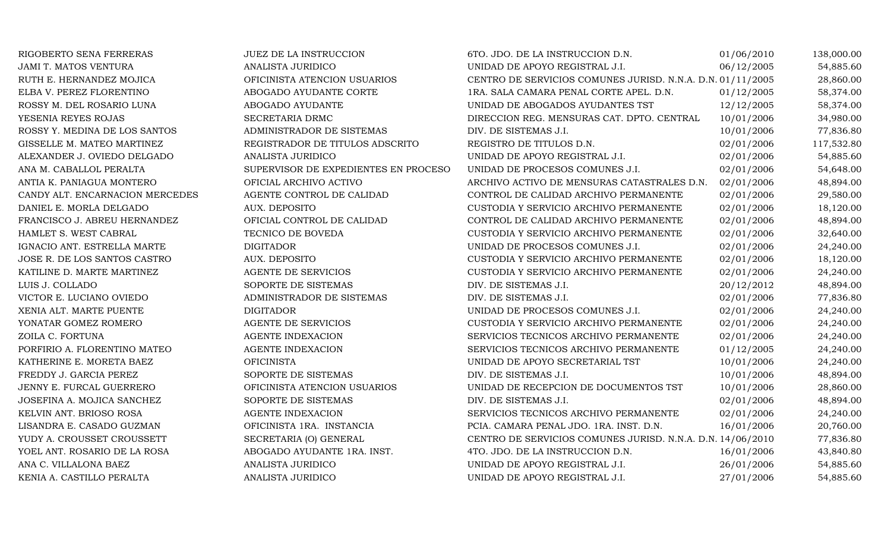| RIGOBERTO SENA FERRERAS         | <b>JUEZ DE LA INSTRUCCION</b>        | 6TO. JDO. DE LA INSTRUCCION D.N.                           | 01/06/2010 | 138,000.00 |
|---------------------------------|--------------------------------------|------------------------------------------------------------|------------|------------|
| <b>JAMI T. MATOS VENTURA</b>    | ANALISTA JURIDICO                    | UNIDAD DE APOYO REGISTRAL J.I.                             | 06/12/2005 | 54,885.60  |
| RUTH E. HERNANDEZ MOJICA        | OFICINISTA ATENCION USUARIOS         | CENTRO DE SERVICIOS COMUNES JURISD. N.N.A. D.N. 01/11/2005 |            | 28,860.00  |
| ELBA V. PEREZ FLORENTINO        | ABOGADO AYUDANTE CORTE               | 1RA. SALA CAMARA PENAL CORTE APEL. D.N.                    | 01/12/2005 | 58,374.00  |
| ROSSY M. DEL ROSARIO LUNA       | ABOGADO AYUDANTE                     | UNIDAD DE ABOGADOS AYUDANTES TST                           | 12/12/2005 | 58,374.00  |
| YESENIA REYES ROJAS             | SECRETARIA DRMC                      | DIRECCION REG. MENSURAS CAT. DPTO. CENTRAL                 | 10/01/2006 | 34,980.00  |
| ROSSY Y. MEDINA DE LOS SANTOS   | ADMINISTRADOR DE SISTEMAS            | DIV. DE SISTEMAS J.I.                                      | 10/01/2006 | 77,836.80  |
| GISSELLE M. MATEO MARTINEZ      | REGISTRADOR DE TITULOS ADSCRITO      | REGISTRO DE TITULOS D.N.                                   | 02/01/2006 | 117,532.80 |
| ALEXANDER J. OVIEDO DELGADO     | ANALISTA JURIDICO                    | UNIDAD DE APOYO REGISTRAL J.I.                             | 02/01/2006 | 54,885.60  |
| ANA M. CABALLOL PERALTA         | SUPERVISOR DE EXPEDIENTES EN PROCESO | UNIDAD DE PROCESOS COMUNES J.I.                            | 02/01/2006 | 54,648.00  |
| ANTIA K. PANIAGUA MONTERO       | OFICIAL ARCHIVO ACTIVO               | ARCHIVO ACTIVO DE MENSURAS CATASTRALES D.N.                | 02/01/2006 | 48,894.00  |
| CANDY ALT. ENCARNACION MERCEDES | AGENTE CONTROL DE CALIDAD            | CONTROL DE CALIDAD ARCHIVO PERMANENTE                      | 02/01/2006 | 29,580.00  |
| DANIEL E. MORLA DELGADO         | AUX. DEPOSITO                        | CUSTODIA Y SERVICIO ARCHIVO PERMANENTE                     | 02/01/2006 | 18,120.00  |
| FRANCISCO J. ABREU HERNANDEZ    | OFICIAL CONTROL DE CALIDAD           | CONTROL DE CALIDAD ARCHIVO PERMANENTE                      | 02/01/2006 | 48,894.00  |
| HAMLET S. WEST CABRAL           | TECNICO DE BOVEDA                    | CUSTODIA Y SERVICIO ARCHIVO PERMANENTE                     | 02/01/2006 | 32,640.00  |
| IGNACIO ANT. ESTRELLA MARTE     | <b>DIGITADOR</b>                     | UNIDAD DE PROCESOS COMUNES J.I.                            | 02/01/2006 | 24,240.00  |
| JOSE R. DE LOS SANTOS CASTRO    | AUX. DEPOSITO                        | CUSTODIA Y SERVICIO ARCHIVO PERMANENTE                     | 02/01/2006 | 18,120.00  |
| KATILINE D. MARTE MARTINEZ      | <b>AGENTE DE SERVICIOS</b>           | CUSTODIA Y SERVICIO ARCHIVO PERMANENTE                     | 02/01/2006 | 24,240.00  |
| LUIS J. COLLADO                 | SOPORTE DE SISTEMAS                  | DIV. DE SISTEMAS J.I.                                      | 20/12/2012 | 48,894.00  |
| VICTOR E. LUCIANO OVIEDO        | ADMINISTRADOR DE SISTEMAS            | DIV. DE SISTEMAS J.I.                                      | 02/01/2006 | 77,836.80  |
| XENIA ALT. MARTE PUENTE         | <b>DIGITADOR</b>                     | UNIDAD DE PROCESOS COMUNES J.I.                            | 02/01/2006 | 24,240.00  |
| YONATAR GOMEZ ROMERO            | AGENTE DE SERVICIOS                  | CUSTODIA Y SERVICIO ARCHIVO PERMANENTE                     | 02/01/2006 | 24,240.00  |
| ZOILA C. FORTUNA                | <b>AGENTE INDEXACION</b>             | SERVICIOS TECNICOS ARCHIVO PERMANENTE                      | 02/01/2006 | 24,240.00  |
| PORFIRIO A. FLORENTINO MATEO    | AGENTE INDEXACION                    | SERVICIOS TECNICOS ARCHIVO PERMANENTE                      | 01/12/2005 | 24,240.00  |
| KATHERINE E. MORETA BAEZ        | <b>OFICINISTA</b>                    | UNIDAD DE APOYO SECRETARIAL TST                            | 10/01/2006 | 24,240.00  |
| FREDDY J. GARCIA PEREZ          | SOPORTE DE SISTEMAS                  | DIV. DE SISTEMAS J.I.                                      | 10/01/2006 | 48,894.00  |
| JENNY E. FURCAL GUERRERO        | OFICINISTA ATENCION USUARIOS         | UNIDAD DE RECEPCION DE DOCUMENTOS TST                      | 10/01/2006 | 28,860.00  |
| JOSEFINA A. MOJICA SANCHEZ      | SOPORTE DE SISTEMAS                  | DIV. DE SISTEMAS J.I.                                      | 02/01/2006 | 48,894.00  |
| KELVIN ANT. BRIOSO ROSA         | AGENTE INDEXACION                    | SERVICIOS TECNICOS ARCHIVO PERMANENTE                      | 02/01/2006 | 24,240.00  |
| LISANDRA E. CASADO GUZMAN       | OFICINISTA 1RA. INSTANCIA            | PCIA. CAMARA PENAL JDO. 1RA. INST. D.N.                    | 16/01/2006 | 20,760.00  |
| YUDY A. CROUSSET CROUSSETT      | SECRETARIA (O) GENERAL               | CENTRO DE SERVICIOS COMUNES JURISD. N.N.A. D.N. 14/06/2010 |            | 77,836.80  |
| YOEL ANT. ROSARIO DE LA ROSA    | ABOGADO AYUDANTE 1RA. INST.          | 4TO. JDO. DE LA INSTRUCCION D.N.                           | 16/01/2006 | 43,840.80  |
| ANA C. VILLALONA BAEZ           | ANALISTA JURIDICO                    | UNIDAD DE APOYO REGISTRAL J.I.                             | 26/01/2006 | 54,885.60  |
| KENIA A. CASTILLO PERALTA       | ANALISTA JURIDICO                    | UNIDAD DE APOYO REGISTRAL J.I.                             | 27/01/2006 | 54,885.60  |
|                                 |                                      |                                                            |            |            |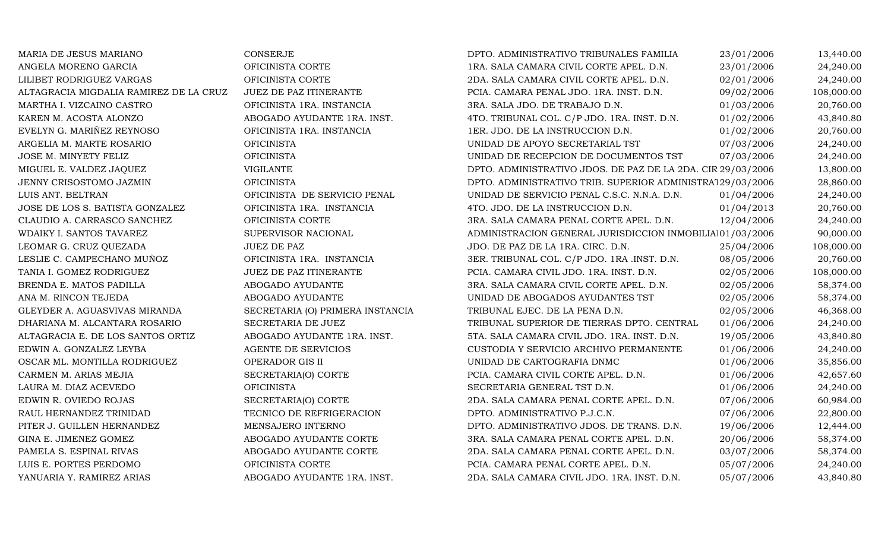| MARIA DE JESUS MARIANO                 | CONSERJE                         | DPTO. ADMINISTRATIVO TRIBUNALES FAMILIA                     | 23/01/2006 | 13,440.00  |
|----------------------------------------|----------------------------------|-------------------------------------------------------------|------------|------------|
| ANGELA MORENO GARCIA                   | OFICINISTA CORTE                 | 1RA. SALA CAMARA CIVIL CORTE APEL. D.N.                     | 23/01/2006 | 24,240.00  |
| LILIBET RODRIGUEZ VARGAS               | OFICINISTA CORTE                 | 2DA. SALA CAMARA CIVIL CORTE APEL. D.N.                     | 02/01/2006 | 24,240.00  |
| ALTAGRACIA MIGDALIA RAMIREZ DE LA CRUZ | JUEZ DE PAZ ITINERANTE           | PCIA. CAMARA PENAL JDO. 1RA. INST. D.N.                     | 09/02/2006 | 108,000.00 |
| MARTHA I. VIZCAINO CASTRO              | OFICINISTA 1RA. INSTANCIA        | 3RA. SALA JDO. DE TRABAJO D.N.                              | 01/03/2006 | 20,760.00  |
| KAREN M. ACOSTA ALONZO                 | ABOGADO AYUDANTE 1RA. INST.      | 4TO. TRIBUNAL COL. C/P JDO. 1RA. INST. D.N.                 | 01/02/2006 | 43,840.80  |
| EVELYN G. MARIÑEZ REYNOSO              | OFICINISTA 1RA. INSTANCIA        | 1ER. JDO. DE LA INSTRUCCION D.N.                            | 01/02/2006 | 20,760.00  |
| ARGELIA M. MARTE ROSARIO               | <b>OFICINISTA</b>                | UNIDAD DE APOYO SECRETARIAL TST                             | 07/03/2006 | 24,240.00  |
| JOSE M. MINYETY FELIZ                  | <b>OFICINISTA</b>                | UNIDAD DE RECEPCION DE DOCUMENTOS TST                       | 07/03/2006 | 24,240.00  |
| MIGUEL E. VALDEZ JAQUEZ                | <b>VIGILANTE</b>                 | DPTO. ADMINISTRATIVO JDOS. DE PAZ DE LA 2DA. CIR 29/03/2006 |            | 13,800.00  |
| JENNY CRISOSTOMO JAZMIN                | <b>OFICINISTA</b>                | DPTO. ADMINISTRATIVO TRIB. SUPERIOR ADMINISTRA129/03/2006   |            | 28,860.00  |
| LUIS ANT. BELTRAN                      | OFICINISTA DE SERVICIO PENAL     | UNIDAD DE SERVICIO PENAL C.S.C. N.N.A. D.N.                 | 01/04/2006 | 24,240.00  |
| JOSE DE LOS S. BATISTA GONZALEZ        | OFICINISTA 1RA. INSTANCIA        | 4TO. JDO. DE LA INSTRUCCION D.N.                            | 01/04/2013 | 20,760.00  |
| CLAUDIO A. CARRASCO SANCHEZ            | OFICINISTA CORTE                 | 3RA. SALA CAMARA PENAL CORTE APEL. D.N.                     | 12/04/2006 | 24,240.00  |
| WDAIKY I. SANTOS TAVAREZ               | SUPERVISOR NACIONAL              | ADMINISTRACION GENERAL JURISDICCION INMOBILIAI01/03/2006    |            | 90,000.00  |
| LEOMAR G. CRUZ QUEZADA                 | <b>JUEZ DE PAZ</b>               | JDO. DE PAZ DE LA 1RA. CIRC. D.N.                           | 25/04/2006 | 108,000.00 |
| LESLIE C. CAMPECHANO MUÑOZ             | OFICINISTA 1RA. INSTANCIA        | 3ER. TRIBUNAL COL. C/P JDO. 1RA .INST. D.N.                 | 08/05/2006 | 20,760.00  |
| TANIA I. GOMEZ RODRIGUEZ               | JUEZ DE PAZ ITINERANTE           | PCIA. CAMARA CIVIL JDO. 1RA. INST. D.N.                     | 02/05/2006 | 108,000.00 |
| BRENDA E. MATOS PADILLA                | ABOGADO AYUDANTE                 | 3RA. SALA CAMARA CIVIL CORTE APEL. D.N.                     | 02/05/2006 | 58,374.00  |
| ANA M. RINCON TEJEDA                   | ABOGADO AYUDANTE                 | UNIDAD DE ABOGADOS AYUDANTES TST                            | 02/05/2006 | 58,374.00  |
| GLEYDER A. AGUASVIVAS MIRANDA          | SECRETARIA (O) PRIMERA INSTANCIA | TRIBUNAL EJEC. DE LA PENA D.N.                              | 02/05/2006 | 46,368.00  |
| DHARIANA M. ALCANTARA ROSARIO          | SECRETARIA DE JUEZ               | TRIBUNAL SUPERIOR DE TIERRAS DPTO. CENTRAL                  | 01/06/2006 | 24,240.00  |
| ALTAGRACIA E. DE LOS SANTOS ORTIZ      | ABOGADO AYUDANTE 1RA. INST.      | 5TA. SALA CAMARA CIVIL JDO. 1RA. INST. D.N.                 | 19/05/2006 | 43,840.80  |
| EDWIN A. GONZALEZ LEYBA                | AGENTE DE SERVICIOS              | CUSTODIA Y SERVICIO ARCHIVO PERMANENTE                      | 01/06/2006 | 24,240.00  |
| OSCAR ML. MONTILLA RODRIGUEZ           | OPERADOR GIS II                  | UNIDAD DE CARTOGRAFIA DNMC                                  | 01/06/2006 | 35,856.00  |
| CARMEN M. ARIAS MEJIA                  | SECRETARIA(O) CORTE              | PCIA. CAMARA CIVIL CORTE APEL. D.N.                         | 01/06/2006 | 42,657.60  |
| LAURA M. DIAZ ACEVEDO                  | <b>OFICINISTA</b>                | SECRETARIA GENERAL TST D.N.                                 | 01/06/2006 | 24,240.00  |
| EDWIN R. OVIEDO ROJAS                  | SECRETARIA(O) CORTE              | 2DA. SALA CAMARA PENAL CORTE APEL. D.N.                     | 07/06/2006 | 60,984.00  |
| RAUL HERNANDEZ TRINIDAD                | TECNICO DE REFRIGERACION         | DPTO. ADMINISTRATIVO P.J.C.N.                               | 07/06/2006 | 22,800.00  |
| PITER J. GUILLEN HERNANDEZ             | MENSAJERO INTERNO                | DPTO. ADMINISTRATIVO JDOS. DE TRANS. D.N.                   | 19/06/2006 | 12,444.00  |
| GINA E. JIMENEZ GOMEZ                  | ABOGADO AYUDANTE CORTE           | 3RA. SALA CAMARA PENAL CORTE APEL. D.N.                     | 20/06/2006 | 58,374.00  |
| PAMELA S. ESPINAL RIVAS                | ABOGADO AYUDANTE CORTE           | 2DA. SALA CAMARA PENAL CORTE APEL. D.N.                     | 03/07/2006 | 58,374.00  |
| LUIS E. PORTES PERDOMO                 | OFICINISTA CORTE                 | PCIA. CAMARA PENAL CORTE APEL. D.N.                         | 05/07/2006 | 24,240.00  |
| YANUARIA Y. RAMIREZ ARIAS              | ABOGADO AYUDANTE 1RA. INST.      | 2DA. SALA CAMARA CIVIL JDO. 1RA. INST. D.N.                 | 05/07/2006 | 43,840.80  |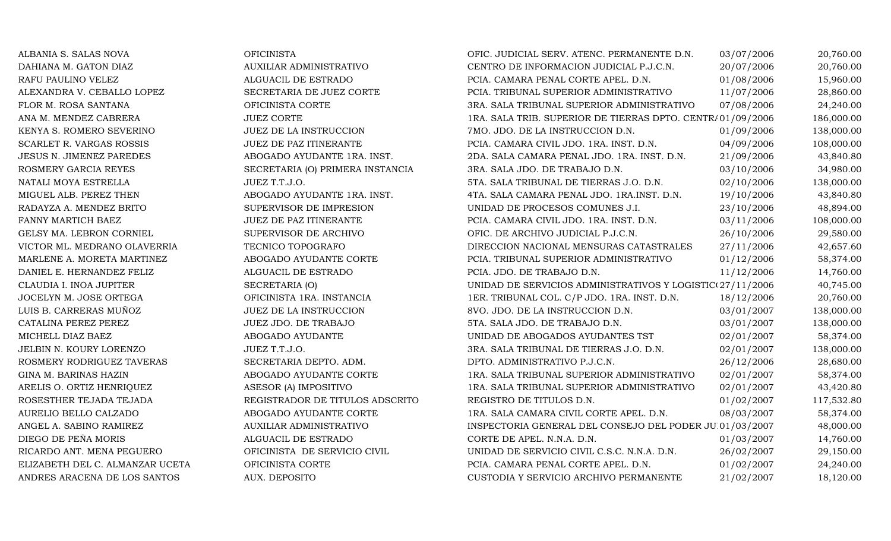$\begin{array}{lll} \text{ANGEL A. SABINO RAMIREZ} & \text{AUXILIAR ADMINISTRATI} \\ \text{DIEGO DE PEÑA MORIS} & \text{ALGUACIL DE ESTRADO} \end{array}$ ANDRES ARACENA DE LOS SANTOS

ALBANIA S. SALAS NOVA OFICINISTA OFIC. JUDICIAL SERV. ATENC. PERMANENTE D.N. 03/07/2006 20,760.00 DAHIANA M. GATON DIAZ AUXILIAR ADMINISTRATIVO CENTRO DE INFORMACION JUDICIAL P.J.C.N. 20/07/2006 20,760.00 RAFU PAULINO VELEZ ALGUACIL DE ESTRADO PCIA. CAMARA PENAL CORTE APEL. D.N. 01/08/2006 15,960.00 ALEXANDRA V. CEBALLO LOPEZ SECRETARIA DE JUEZ CORTE PCIA. TRIBUNAL SUPERIOR ADMINISTRATIVO 11/07/2006 28,860.00<br>3RA. SALA TRIBUNAL SUPERIOR ADMINISTRATIVO 07/08/2006 24,240.00 FLOR M. ROSA SANTANA OFICINISTA CORTE 3RA. SALA TRIBUNAL SUPERIOR ADMINISTRATIVO 07/08/2006 24,240.00 ANA M. MENDEZ CABRERA JUEZ CORTE JUEZ CORTE 1RA. SALA TRIB. SUPERIOR DE TIERRAS DPTO. CENTR/01/09/2006 186,000.00<br>2000.00 KENYA S. ROMERO SEVERINO JUEZ DE LA INSTRUCCION 188,000.00 7MO. JDO. DE LA INSTRUCCION D.N. [109/200 KENYA S. ROMERO SEVERINO JUEZ DE LA INSTRUCCION 7MO. JDO. DE LA INSTRUCCION D.N. 01/09/2006 138,000.00 SCARLET R. VARGAS ROSSIS SAN SUEZ DE PAZ ITINERANTE PCIA. CAMARA CIVIL JDO. 1RA. INST. D.N. 204/09/2006 108,000.00<br>JESUS N. JIMENEZ PAREDES ABOGADO AYUDANTE 1RA. INST. 2DA. SALA CAMARA PENAL JDO. 1RA. INST. D.N. 21/09/2006 JESUS N. JIMENEZ PAREDES ABOGADO AYUDANTE 1RA. INST. 2DA. SALA CAMARA PENAL JDO. 1RA. INST. D.N. 21/09/2006 43,840.80 ROSMERY GARCIA REYES SECRETARIA (O) PRIMERA INSTANCIA 3RA. SALA JDO. DE TRABAJO D.N. 63/10/2006 34,980.00<br>NATALI MOYA ESTRELLA JUEZ T.T.J.O. 5TA. SALA TRIBUNAL DE TIERRAS J.O. D.N. 62/10/2006 138,000.00 NATALI MOYA ESTRELLA JUEZ T.T.J.O. 5TA. SALA TRIBUNAL DE TIERRAS J.O. D.N. 02/10/2006 138,000.00<br>MIGUEL ALB. PEREZ THEN ABOGADO AYUDANTE 1RA. INST. 4TA. SALA CAMARA PENAL JDO. 1RA.INST. D.N. 19/10/2006 43,840.80 MIGUEL ALB. PEREZ THEN ABOGADO AYUDANTE 1RA. INST. 4TA. SALA CAMARA PENAL JDO. 1RA.INST. D.N. 19/10/2006 43,840.80 RADAYZA A. MENDEZ BRITO SUPERVISOR DE IMPRESION UNIDAD DE PROCESOS COMUNES J.I. 23/10/2006 48,894.00 FANNY MARTICH BAEZ JUEZ DE PAZ ITINERANTE PCIA. CAMARA CIVIL JDO. 1RA. INST. D.N. 03/11/2006 108,000.00 GELSY MA. LEBRON CORNIEL SUPERVISOR DE ARCHIVO OFIC. DE ARCHIVO JUDICIAL P.J.C.N. 26/10/2006 29,580.00 VICTOR ML. MEDRANO OLAVERRIA TECNICO TOPOGRAFO DIRECCION NACIONAL MENSURAS CATASTRALES 27/11/2006 42,657.60 MARLENE A. MORETA MARTINEZ ABOGADO AYUDANTE CORTE PCIA. TRIBUNAL SUPERIOR ADMINISTRATIVO 01/12/2006 58,374.00<br>DANIEL E. HERNANDEZ FELIZ ALGUACIL DE ESTRADO PCIA. JDO. DE TRABAJO D.N. 01/12/2006 14,760.00 DANIEL E. HERNANDEZ FELIZ ALGUACIL DE ESTRADO PCIA. JDO. DE TRABAJO D.N. 11/12/2006 14,760.00 CLAUDIA I. INOA JUPITER SECRETARIA (O) UNIDAD DE SERVICIOS ADMINISTRATIVOS Y LOGISTICOS J 27/11/2006 40,745.00 JOCELYN M. JOSE ORTEGA OFICINISTA 1RA. INSTANCIA 1ER. TRIBUNAL COL. C/P JDO. 1RA. INST. D.N. 18/12/2006 20,760.00 LUIS B. CARRERAS MUÑOZ JUEZ DE LA INSTRUCCION 8VO. JDO. DE LA INSTRUCCION D.N. 03/01/2007 138,000.00 CATALINA PEREZ PEREZ JUEZ JDO. DE TRABAJO 5TA. SALA JDO. DE TRABAJO D.N. 03/01/2007 138,000.00 MICHELL DIAZ BAEZ ABOGADO AYUDANTE ABOGADO AYUDANTE MUNIDAD DE ABOGADOS AYUDANTES TST 02/01/2007 58,374.00<br>JUEZ T.T.J.O. 3RA. SALA TRIBUNAL DE TIERRAS J.O. D.N. 02/01/2007 138.000.00 JELBIN N. KOURY LORENZO JUEZ T.T.J.O. 3RA. SALA TRIBUNAL DE TIERRAS J.O. D.N. 02/01/2007 138,000.00 ROSMERY RODRIGUEZ TAVERAS SECRETARIA DEPTO. ADM. DPTO. ADMINISTRATIVO P.J.C.N. 26/12/2006 28,680.00 GINA M. BARINAS HAZIN ABOGADO AYUDANTE CORTE 1RA. SALA TRIBUNAL SUPERIOR ADMINISTRATIVO 02/01/2007 58,374.00 ARELIS O. ORTIZ HENRIQUEZ ASESOR (A) IMPOSITIVO 1RA. SALA TRIBUNAL SUPERIOR ADMINISTRATIVO 02/01/2007 43,420.80 ROSESTHER TEJADA TEJADA REGISTRADOR DE TITULOS ADSCRITO REGISTRO DE TITULOS D.N. 01/02/2007 117,532.80 AURELIO BELLO CALZADO ABOGADO AYUDANTE CORTE 1RA. SALA CAMARA CIVIL CORTE APEL. D.N. 08/03/2007 58,374.00 INSPECTORIA GENERAL DEL CONSEJO DEL PODER JU $\overline{01/03/2007}$  48,000.00<br>CORTE DE APEL. N.N.A. D.N.  $\overline{01/03/2007}$  14,760.00 DIEGO DE PEÑA MORIS CORTE DE APEL. N.N.A. D.N. 601/03/2007 14,760.00 RICARDO ANT. MENA PEGUERO **OFICINISTA DE SERVICIO CIVIL** UNIDAD DE SERVICIO CIVIL C.S.C. N.N.A. D.N. 26/02/2007 29,150.00<br>ELIZABETH DEL C. ALMANZAR UCETA OFICINISTA CORTE PCIA. CAMARA PENAL CORTE APEL. D.N. 01/02/2007 24,2 ELIZABETH DEL C. ALMANZAR UCETA OFICINISTA CORTE PCIA. CAMARA PENAL CORTE APEL. D.N. 01/02/2007 24,240.00 CUSTODIA Y SERVICIO ARCHIVO PERMANENTE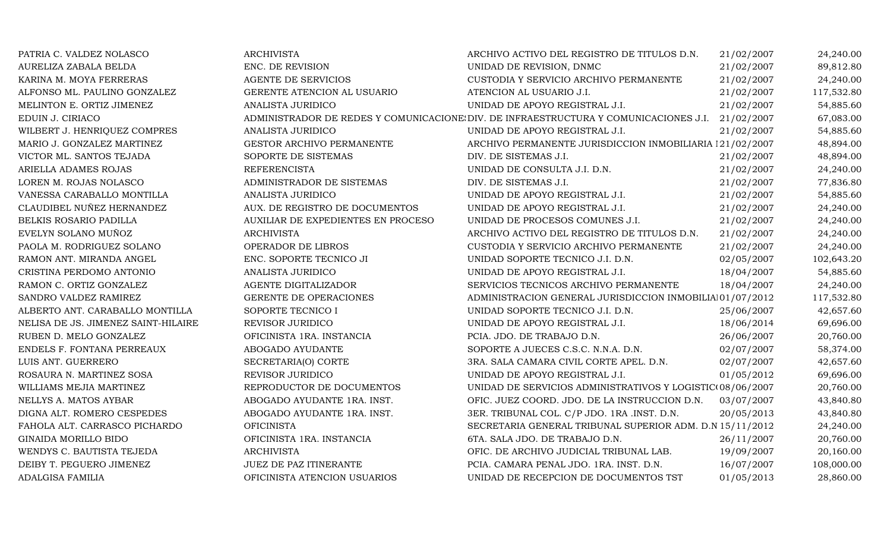| PATRIA C. VALDEZ NOLASCO            | <b>ARCHIVISTA</b>                  | ARCHIVO ACTIVO DEL REGISTRO DE TITULOS D.N.                                                     | 21/02/2007 | 24,240.00  |
|-------------------------------------|------------------------------------|-------------------------------------------------------------------------------------------------|------------|------------|
| AURELIZA ZABALA BELDA               | ENC. DE REVISION                   | UNIDAD DE REVISION, DNMC                                                                        | 21/02/2007 | 89,812.80  |
| KARINA M. MOYA FERRERAS             | AGENTE DE SERVICIOS                | CUSTODIA Y SERVICIO ARCHIVO PERMANENTE                                                          | 21/02/2007 | 24,240.00  |
| ALFONSO ML. PAULINO GONZALEZ        | GERENTE ATENCION AL USUARIO        | ATENCION AL USUARIO J.I.                                                                        | 21/02/2007 | 117,532.80 |
| MELINTON E. ORTIZ JIMENEZ           | ANALISTA JURIDICO                  | UNIDAD DE APOYO REGISTRAL J.I.                                                                  | 21/02/2007 | 54,885.60  |
| EDUIN J. CIRIACO                    |                                    | ADMINISTRADOR DE REDES Y COMUNICACIONE DIV. DE INFRAESTRUCTURA Y COMUNICACIONES J.I. 21/02/2007 |            | 67,083.00  |
| WILBERT J. HENRIQUEZ COMPRES        | ANALISTA JURIDICO                  | UNIDAD DE APOYO REGISTRAL J.I.                                                                  | 21/02/2007 | 54,885.60  |
| MARIO J. GONZALEZ MARTINEZ          | GESTOR ARCHIVO PERMANENTE          | ARCHIVO PERMANENTE JURISDICCION INMOBILIARIA 121/02/2007                                        |            | 48,894.00  |
| VICTOR ML. SANTOS TEJADA            | SOPORTE DE SISTEMAS                | DIV. DE SISTEMAS J.I.                                                                           | 21/02/2007 | 48,894.00  |
| ARIELLA ADAMES ROJAS                | <b>REFERENCISTA</b>                | UNIDAD DE CONSULTA J.I. D.N.                                                                    | 21/02/2007 | 24,240.00  |
| LOREN M. ROJAS NOLASCO              | ADMINISTRADOR DE SISTEMAS          | DIV. DE SISTEMAS J.I.                                                                           | 21/02/2007 | 77,836.80  |
| VANESSA CARABALLO MONTILLA          | ANALISTA JURIDICO                  | UNIDAD DE APOYO REGISTRAL J.I.                                                                  | 21/02/2007 | 54,885.60  |
| CLAUDIBEL NUÑEZ HERNANDEZ           | AUX. DE REGISTRO DE DOCUMENTOS     | UNIDAD DE APOYO REGISTRAL J.I.                                                                  | 21/02/2007 | 24,240.00  |
| BELKIS ROSARIO PADILLA              | AUXILIAR DE EXPEDIENTES EN PROCESO | UNIDAD DE PROCESOS COMUNES J.I.                                                                 | 21/02/2007 | 24,240.00  |
| EVELYN SOLANO MUÑOZ                 | <b>ARCHIVISTA</b>                  | ARCHIVO ACTIVO DEL REGISTRO DE TITULOS D.N.                                                     | 21/02/2007 | 24,240.00  |
| PAOLA M. RODRIGUEZ SOLANO           | OPERADOR DE LIBROS                 | CUSTODIA Y SERVICIO ARCHIVO PERMANENTE                                                          | 21/02/2007 | 24,240.00  |
| RAMON ANT. MIRANDA ANGEL            | ENC. SOPORTE TECNICO JI            | UNIDAD SOPORTE TECNICO J.I. D.N.                                                                | 02/05/2007 | 102,643.20 |
| CRISTINA PERDOMO ANTONIO            | ANALISTA JURIDICO                  | UNIDAD DE APOYO REGISTRAL J.I.                                                                  | 18/04/2007 | 54,885.60  |
| RAMON C. ORTIZ GONZALEZ             | AGENTE DIGITALIZADOR               | SERVICIOS TECNICOS ARCHIVO PERMANENTE                                                           | 18/04/2007 | 24,240.00  |
| SANDRO VALDEZ RAMIREZ               | GERENTE DE OPERACIONES             | ADMINISTRACION GENERAL JURISDICCION INMOBILIAI01/07/2012                                        |            | 117,532.80 |
| ALBERTO ANT. CARABALLO MONTILLA     | SOPORTE TECNICO I                  | UNIDAD SOPORTE TECNICO J.I. D.N.                                                                | 25/06/2007 | 42,657.60  |
| NELISA DE JS. JIMENEZ SAINT-HILAIRE | REVISOR JURIDICO                   | UNIDAD DE APOYO REGISTRAL J.I.                                                                  | 18/06/2014 | 69,696.00  |
| RUBEN D. MELO GONZALEZ              | OFICINISTA 1RA. INSTANCIA          | PCIA. JDO. DE TRABAJO D.N.                                                                      | 26/06/2007 | 20,760.00  |
| ENDELS F. FONTANA PERREAUX          | ABOGADO AYUDANTE                   | SOPORTE A JUECES C.S.C. N.N.A. D.N.                                                             | 02/07/2007 | 58,374.00  |
| LUIS ANT. GUERRERO                  | SECRETARIA(O) CORTE                | 3RA. SALA CAMARA CIVIL CORTE APEL. D.N.                                                         | 02/07/2007 | 42,657.60  |
| ROSAURA N. MARTINEZ SOSA            | REVISOR JURIDICO                   | UNIDAD DE APOYO REGISTRAL J.I.                                                                  | 01/05/2012 | 69,696.00  |
| WILLIAMS MEJIA MARTINEZ             | REPRODUCTOR DE DOCUMENTOS          | UNIDAD DE SERVICIOS ADMINISTRATIVOS Y LOGISTIC(08/06/2007                                       |            | 20,760.00  |
| NELLYS A. MATOS AYBAR               | ABOGADO AYUDANTE 1RA. INST.        | OFIC. JUEZ COORD. JDO. DE LA INSTRUCCION D.N.                                                   | 03/07/2007 | 43,840.80  |
| DIGNA ALT. ROMERO CESPEDES          | ABOGADO AYUDANTE 1RA. INST.        | 3ER. TRIBUNAL COL. C/P JDO. 1RA .INST. D.N.                                                     | 20/05/2013 | 43,840.80  |
| FAHOLA ALT. CARRASCO PICHARDO       | <b>OFICINISTA</b>                  | SECRETARIA GENERAL TRIBUNAL SUPERIOR ADM. D.N 15/11/2012                                        |            | 24,240.00  |
| <b>GINAIDA MORILLO BIDO</b>         | OFICINISTA 1RA. INSTANCIA          | 6TA. SALA JDO. DE TRABAJO D.N.                                                                  | 26/11/2007 | 20,760.00  |
| WENDYS C. BAUTISTA TEJEDA           | <b>ARCHIVISTA</b>                  | OFIC. DE ARCHIVO JUDICIAL TRIBUNAL LAB.                                                         | 19/09/2007 | 20,160.00  |
| DEIBY T. PEGUERO JIMENEZ            | JUEZ DE PAZ ITINERANTE             | PCIA. CAMARA PENAL JDO. 1RA. INST. D.N.                                                         | 16/07/2007 | 108,000.00 |
| ADALGISA FAMILIA                    | OFICINISTA ATENCION USUARIOS       | UNIDAD DE RECEPCION DE DOCUMENTOS TST                                                           | 01/05/2013 | 28,860.00  |
|                                     |                                    |                                                                                                 |            |            |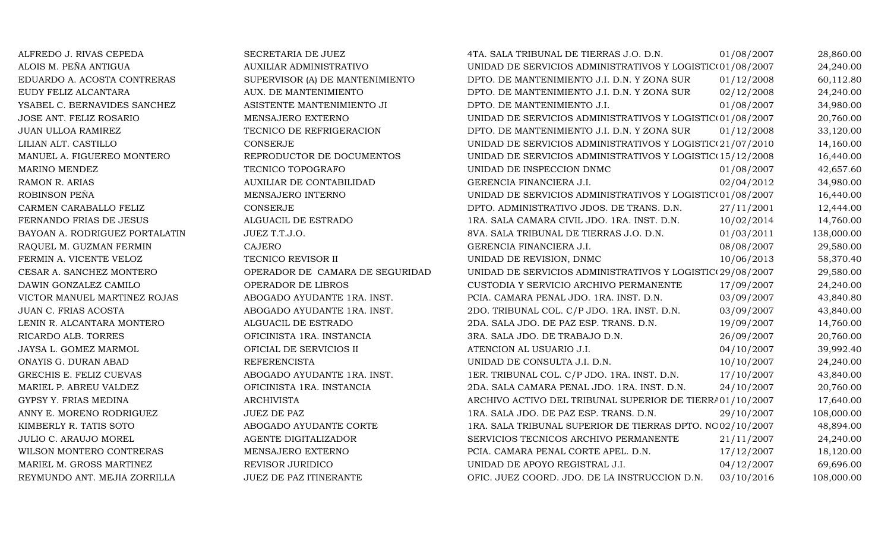| ALFREDO J. RIVAS CEPEDA        | SECRETARIA DE JUEZ              | 4TA. SALA TRIBUNAL DE TIERRAS J.O. D.N.                    | 01/08/2007 | 28,860.00  |
|--------------------------------|---------------------------------|------------------------------------------------------------|------------|------------|
| ALOIS M. PEÑA ANTIGUA          | AUXILIAR ADMINISTRATIVO         | UNIDAD DE SERVICIOS ADMINISTRATIVOS Y LOGISTIC(01/08/2007  |            | 24,240.00  |
| EDUARDO A. ACOSTA CONTRERAS    | SUPERVISOR (A) DE MANTENIMIENTO | DPTO. DE MANTENIMIENTO J.I. D.N. Y ZONA SUR                | 01/12/2008 | 60,112.80  |
| EUDY FELIZ ALCANTARA           | AUX. DE MANTENIMIENTO           | DPTO. DE MANTENIMIENTO J.I. D.N. Y ZONA SUR                | 02/12/2008 | 24,240.00  |
| YSABEL C. BERNAVIDES SANCHEZ   | ASISTENTE MANTENIMIENTO JI      | DPTO. DE MANTENIMIENTO J.I.                                | 01/08/2007 | 34,980.00  |
| JOSE ANT. FELIZ ROSARIO        | MENSAJERO EXTERNO               | UNIDAD DE SERVICIOS ADMINISTRATIVOS Y LOGISTIC(01/08/2007  |            | 20,760.00  |
| <b>JUAN ULLOA RAMIREZ</b>      | TECNICO DE REFRIGERACION        | DPTO. DE MANTENIMIENTO J.I. D.N. Y ZONA SUR                | 01/12/2008 | 33,120.00  |
| LILIAN ALT. CASTILLO           | CONSERJE                        | UNIDAD DE SERVICIOS ADMINISTRATIVOS Y LOGISTIC(21/07/2010  |            | 14,160.00  |
| MANUEL A. FIGUEREO MONTERO     | REPRODUCTOR DE DOCUMENTOS       | UNIDAD DE SERVICIOS ADMINISTRATIVOS Y LOGISTIC(15/12/2008  |            | 16,440.00  |
| MARINO MENDEZ                  | TECNICO TOPOGRAFO               | UNIDAD DE INSPECCION DNMC                                  | 01/08/2007 | 42,657.60  |
| RAMON R. ARIAS                 | AUXILIAR DE CONTABILIDAD        | GERENCIA FINANCIERA J.I.                                   | 02/04/2012 | 34,980.00  |
| ROBINSON PEÑA                  | MENSAJERO INTERNO               | UNIDAD DE SERVICIOS ADMINISTRATIVOS Y LOGISTIC(01/08/2007  |            | 16,440.00  |
| CARMEN CARABALLO FELIZ         | CONSERJE                        | DPTO. ADMINISTRATIVO JDOS. DE TRANS. D.N.                  | 27/11/2001 | 12,444.00  |
| FERNANDO FRIAS DE JESUS        | ALGUACIL DE ESTRADO             | 1RA. SALA CAMARA CIVIL JDO. 1RA. INST. D.N.                | 10/02/2014 | 14,760.00  |
| BAYOAN A. RODRIGUEZ PORTALATIN | JUEZ T.T.J.O.                   | 8VA. SALA TRIBUNAL DE TIERRAS J.O. D.N.                    | 01/03/2011 | 138,000.00 |
| RAQUEL M. GUZMAN FERMIN        | <b>CAJERO</b>                   | GERENCIA FINANCIERA J.I.                                   | 08/08/2007 | 29,580.00  |
| FERMIN A. VICENTE VELOZ        | TECNICO REVISOR II              | UNIDAD DE REVISION, DNMC                                   | 10/06/2013 | 58,370.40  |
| CESAR A. SANCHEZ MONTERO       | OPERADOR DE CAMARA DE SEGURIDAD | UNIDAD DE SERVICIOS ADMINISTRATIVOS Y LOGISTIC(29/08/2007  |            | 29,580.00  |
| DAWIN GONZALEZ CAMILO          | OPERADOR DE LIBROS              | CUSTODIA Y SERVICIO ARCHIVO PERMANENTE                     | 17/09/2007 | 24,240.00  |
| VICTOR MANUEL MARTINEZ ROJAS   | ABOGADO AYUDANTE 1RA. INST.     | PCIA. CAMARA PENAL JDO. 1RA. INST. D.N.                    | 03/09/2007 | 43,840.80  |
| JUAN C. FRIAS ACOSTA           | ABOGADO AYUDANTE 1RA. INST.     | 2DO. TRIBUNAL COL. C/P JDO. 1RA. INST. D.N.                | 03/09/2007 | 43,840.00  |
| LENIN R. ALCANTARA MONTERO     | ALGUACIL DE ESTRADO             | 2DA. SALA JDO. DE PAZ ESP. TRANS. D.N.                     | 19/09/2007 | 14,760.00  |
| RICARDO ALB. TORRES            | OFICINISTA 1RA. INSTANCIA       | 3RA. SALA JDO. DE TRABAJO D.N.                             | 26/09/2007 | 20,760.00  |
| JAYSA L. GOMEZ MARMOL          | OFICIAL DE SERVICIOS II         | ATENCION AL USUARIO J.I.                                   | 04/10/2007 | 39,992.40  |
| ONAYIS G. DURAN ABAD           | <b>REFERENCISTA</b>             | UNIDAD DE CONSULTA J.I. D.N.                               | 10/10/2007 | 24,240.00  |
| GRECHIS E. FELIZ CUEVAS        | ABOGADO AYUDANTE 1RA. INST.     | 1ER. TRIBUNAL COL. C/P JDO. 1RA. INST. D.N.                | 17/10/2007 | 43,840.00  |
| MARIEL P. ABREU VALDEZ         | OFICINISTA 1RA. INSTANCIA       | 2DA. SALA CAMARA PENAL JDO. 1RA. INST. D.N.                | 24/10/2007 | 20,760.00  |
| GYPSY Y. FRIAS MEDINA          | <b>ARCHIVISTA</b>               | ARCHIVO ACTIVO DEL TRIBUNAL SUPERIOR DE TIERRA 01/10/2007  |            | 17,640.00  |
| ANNY E. MORENO RODRIGUEZ       | <b>JUEZ DE PAZ</b>              | 1RA. SALA JDO. DE PAZ ESP. TRANS. D.N.                     | 29/10/2007 | 108,000.00 |
| KIMBERLY R. TATIS SOTO         | ABOGADO AYUDANTE CORTE          | 1RA. SALA TRIBUNAL SUPERIOR DE TIERRAS DPTO. NO 02/10/2007 |            | 48,894.00  |
| <b>JULIO C. ARAUJO MOREL</b>   | AGENTE DIGITALIZADOR            | SERVICIOS TECNICOS ARCHIVO PERMANENTE                      | 21/11/2007 | 24,240.00  |
| WILSON MONTERO CONTRERAS       | MENSAJERO EXTERNO               | PCIA. CAMARA PENAL CORTE APEL. D.N.                        | 17/12/2007 | 18,120.00  |
| MARIEL M. GROSS MARTINEZ       | REVISOR JURIDICO                | UNIDAD DE APOYO REGISTRAL J.I.                             | 04/12/2007 | 69,696.00  |
| REYMUNDO ANT. MEJIA ZORRILLA   | JUEZ DE PAZ ITINERANTE          | OFIC. JUEZ COORD. JDO. DE LA INSTRUCCION D.N.              | 03/10/2016 | 108,000.00 |
|                                |                                 |                                                            |            |            |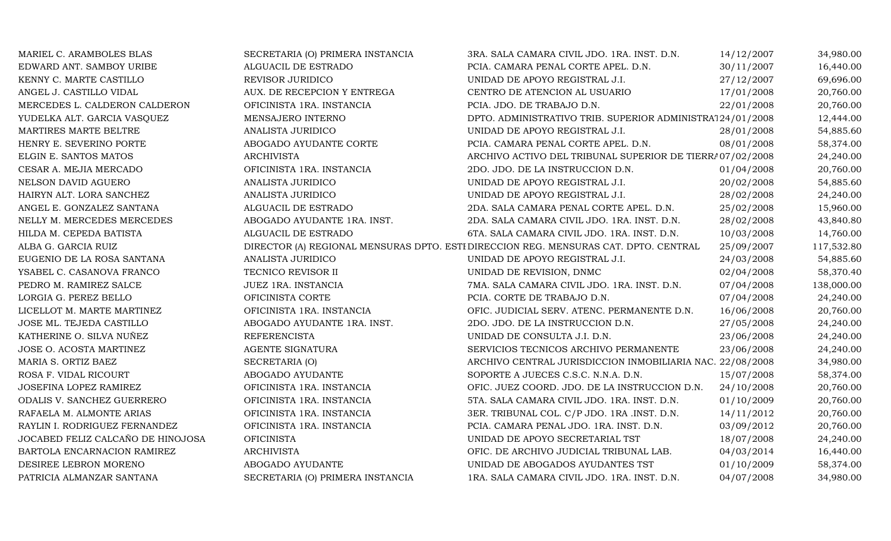| MARIEL C. ARAMBOLES BLAS          | SECRETARIA (O) PRIMERA INSTANCIA | 3RA. SALA CAMARA CIVIL JDO. 1RA. INST. D.N.                                          | 14/12/2007 | 34,980.00  |
|-----------------------------------|----------------------------------|--------------------------------------------------------------------------------------|------------|------------|
| EDWARD ANT. SAMBOY URIBE          | ALGUACIL DE ESTRADO              | PCIA. CAMARA PENAL CORTE APEL. D.N.                                                  | 30/11/2007 | 16,440.00  |
| KENNY C. MARTE CASTILLO           | REVISOR JURIDICO                 | UNIDAD DE APOYO REGISTRAL J.I.                                                       | 27/12/2007 | 69,696.00  |
| ANGEL J. CASTILLO VIDAL           | AUX. DE RECEPCION Y ENTREGA      | CENTRO DE ATENCION AL USUARIO                                                        | 17/01/2008 | 20,760.00  |
| MERCEDES L. CALDERON CALDERON     | OFICINISTA 1RA. INSTANCIA        | PCIA. JDO. DE TRABAJO D.N.                                                           | 22/01/2008 | 20,760.00  |
| YUDELKA ALT. GARCIA VASQUEZ       | MENSAJERO INTERNO                | DPTO. ADMINISTRATIVO TRIB. SUPERIOR ADMINISTRA124/01/2008                            |            | 12,444.00  |
| MARTIRES MARTE BELTRE             | ANALISTA JURIDICO                | UNIDAD DE APOYO REGISTRAL J.I.                                                       | 28/01/2008 | 54,885.60  |
| HENRY E. SEVERINO PORTE           | ABOGADO AYUDANTE CORTE           | PCIA. CAMARA PENAL CORTE APEL. D.N.                                                  | 08/01/2008 | 58,374.00  |
| ELGIN E. SANTOS MATOS             | <b>ARCHIVISTA</b>                | ARCHIVO ACTIVO DEL TRIBUNAL SUPERIOR DE TIERRA 07/02/2008                            |            | 24,240.00  |
| CESAR A. MEJIA MERCADO            | OFICINISTA 1RA. INSTANCIA        | 2DO. JDO. DE LA INSTRUCCION D.N.                                                     | 01/04/2008 | 20,760.00  |
| NELSON DAVID AGUERO               | ANALISTA JURIDICO                | UNIDAD DE APOYO REGISTRAL J.I.                                                       | 20/02/2008 | 54,885.60  |
| HAIRYN ALT. LORA SANCHEZ          | ANALISTA JURIDICO                | UNIDAD DE APOYO REGISTRAL J.I.                                                       | 28/02/2008 | 24,240.00  |
| ANGEL E. GONZALEZ SANTANA         | ALGUACIL DE ESTRADO              | 2DA. SALA CAMARA PENAL CORTE APEL. D.N.                                              | 25/02/2008 | 15,960.00  |
| NELLY M. MERCEDES MERCEDES        | ABOGADO AYUDANTE 1RA. INST.      | 2DA. SALA CAMARA CIVIL JDO. 1RA. INST. D.N.                                          | 28/02/2008 | 43,840.80  |
| HILDA M. CEPEDA BATISTA           | ALGUACIL DE ESTRADO              | 6TA. SALA CAMARA CIVIL JDO. 1RA. INST. D.N.                                          | 10/03/2008 | 14,760.00  |
| ALBA G. GARCIA RUIZ               |                                  | DIRECTOR (A) REGIONAL MENSURAS DPTO. ESTI DIRECCION REG. MENSURAS CAT. DPTO. CENTRAL | 25/09/2007 | 117,532.80 |
| EUGENIO DE LA ROSA SANTANA        | ANALISTA JURIDICO                | UNIDAD DE APOYO REGISTRAL J.I.                                                       | 24/03/2008 | 54,885.60  |
| YSABEL C. CASANOVA FRANCO         | TECNICO REVISOR II               | UNIDAD DE REVISION, DNMC                                                             | 02/04/2008 | 58,370.40  |
| PEDRO M. RAMIREZ SALCE            | JUEZ 1RA. INSTANCIA              | 7MA. SALA CAMARA CIVIL JDO. 1RA. INST. D.N.                                          | 07/04/2008 | 138,000.00 |
| LORGIA G. PEREZ BELLO             | OFICINISTA CORTE                 | PCIA. CORTE DE TRABAJO D.N.                                                          | 07/04/2008 | 24,240.00  |
| LICELLOT M. MARTE MARTINEZ        | OFICINISTA 1RA. INSTANCIA        | OFIC. JUDICIAL SERV. ATENC. PERMANENTE D.N.                                          | 16/06/2008 | 20,760.00  |
| JOSE ML. TEJEDA CASTILLO          | ABOGADO AYUDANTE 1RA. INST.      | 2DO. JDO. DE LA INSTRUCCION D.N.                                                     | 27/05/2008 | 24,240.00  |
| KATHERINE O. SILVA NUÑEZ          | <b>REFERENCISTA</b>              | UNIDAD DE CONSULTA J.I. D.N.                                                         | 23/06/2008 | 24,240.00  |
| JOSE O. ACOSTA MARTINEZ           | AGENTE SIGNATURA                 | SERVICIOS TECNICOS ARCHIVO PERMANENTE                                                | 23/06/2008 | 24,240.00  |
| MARIA S. ORTIZ BAEZ               | SECRETARIA (O)                   | ARCHIVO CENTRAL JURISDICCION INMOBILIARIA NAC. 22/08/2008                            |            | 34,980.00  |
| ROSA F. VIDAL RICOURT             | ABOGADO AYUDANTE                 | SOPORTE A JUECES C.S.C. N.N.A. D.N.                                                  | 15/07/2008 | 58,374.00  |
| JOSEFINA LOPEZ RAMIREZ            | OFICINISTA 1RA. INSTANCIA        | OFIC. JUEZ COORD. JDO. DE LA INSTRUCCION D.N.                                        | 24/10/2008 | 20,760.00  |
| ODALIS V. SANCHEZ GUERRERO        | OFICINISTA 1RA. INSTANCIA        | 5TA. SALA CAMARA CIVIL JDO. 1RA. INST. D.N.                                          | 01/10/2009 | 20,760.00  |
| RAFAELA M. ALMONTE ARIAS          | OFICINISTA 1RA. INSTANCIA        | 3ER. TRIBUNAL COL. C/P JDO. 1RA .INST. D.N.                                          | 14/11/2012 | 20,760.00  |
| RAYLIN I. RODRIGUEZ FERNANDEZ     | OFICINISTA 1RA. INSTANCIA        | PCIA. CAMARA PENAL JDO. 1RA. INST. D.N.                                              | 03/09/2012 | 20,760.00  |
| JOCABED FELIZ CALCAÑO DE HINOJOSA | <b>OFICINISTA</b>                | UNIDAD DE APOYO SECRETARIAL TST                                                      | 18/07/2008 | 24,240.00  |
| BARTOLA ENCARNACION RAMIREZ       | <b>ARCHIVISTA</b>                | OFIC. DE ARCHIVO JUDICIAL TRIBUNAL LAB.                                              | 04/03/2014 | 16,440.00  |
| DESIREE LEBRON MORENO             | ABOGADO AYUDANTE                 | UNIDAD DE ABOGADOS AYUDANTES TST                                                     | 01/10/2009 | 58,374.00  |
| PATRICIA ALMANZAR SANTANA         | SECRETARIA (O) PRIMERA INSTANCIA | 1RA. SALA CAMARA CIVIL JDO. 1RA. INST. D.N.                                          | 04/07/2008 | 34,980.00  |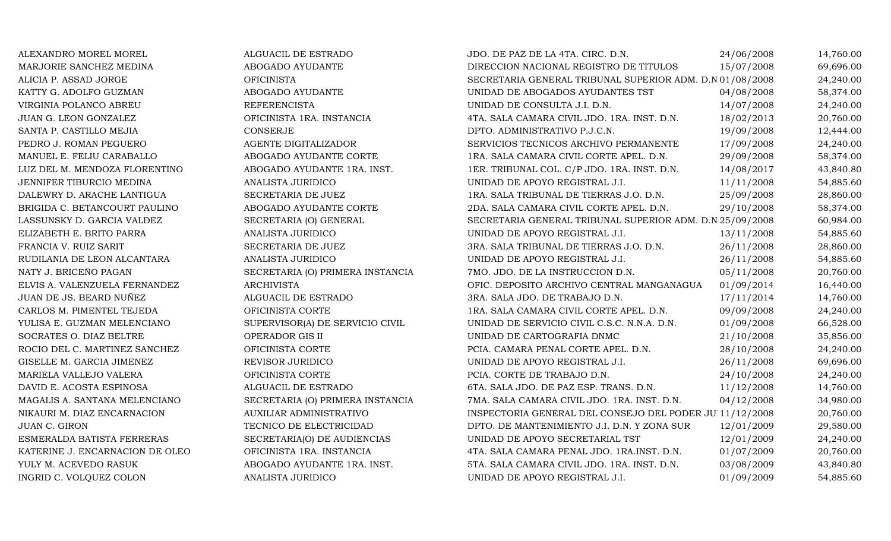| ALEXANDRO MOREL MOREL           | ALGUACIL DE ESTRADO              | JDO. DE PAZ DE LA 4TA. CIRC. D.N.                        | 24/06/2008 | 14,760.00 |
|---------------------------------|----------------------------------|----------------------------------------------------------|------------|-----------|
| MARJORIE SANCHEZ MEDINA         | ABOGADO AYUDANTE                 | DIRECCION NACIONAL REGISTRO DE TITULOS                   | 15/07/2008 | 69,696.00 |
| ALICIA P. ASSAD JORGE           | <b>OFICINISTA</b>                | SECRETARIA GENERAL TRIBUNAL SUPERIOR ADM. D.N 01/08/2008 |            | 24,240.00 |
| KATTY G. ADOLFO GUZMAN          | ABOGADO AYUDANTE                 | UNIDAD DE ABOGADOS AYUDANTES TST                         | 04/08/2008 | 58,374.00 |
| VIRGINIA POLANCO ABREU          | <b>REFERENCISTA</b>              | UNIDAD DE CONSULTA J.I. D.N.                             | 14/07/2008 | 24,240.00 |
| JUAN G. LEON GONZALEZ           | OFICINISTA 1RA. INSTANCIA        | 4TA. SALA CAMARA CIVIL JDO. 1RA. INST. D.N.              | 18/02/2013 | 20,760.00 |
| SANTA P. CASTILLO MEJIA         | CONSERJE                         | DPTO. ADMINISTRATIVO P.J.C.N.                            | 19/09/2008 | 12,444.00 |
| PEDRO J. ROMAN PEGUERO          | AGENTE DIGITALIZADOR             | SERVICIOS TECNICOS ARCHIVO PERMANENTE                    | 17/09/2008 | 24,240.00 |
| MANUEL E. FELIU CARABALLO       | ABOGADO AYUDANTE CORTE           | 1RA. SALA CAMARA CIVIL CORTE APEL. D.N.                  | 29/09/2008 | 58,374.00 |
| LUZ DEL M. MENDOZA FLORENTINO   | ABOGADO AYUDANTE 1RA. INST.      | 1ER. TRIBUNAL COL. C/P JDO. 1RA. INST. D.N.              | 14/08/2017 | 43,840.80 |
| JENNIFER TIBURCIO MEDINA        | <b>ANALISTA JURIDICO</b>         | UNIDAD DE APOYO REGISTRAL J.I.                           | 11/11/2008 | 54,885.60 |
| DALEWRY D. ARACHE LANTIGUA      | SECRETARIA DE JUEZ               | 1RA. SALA TRIBUNAL DE TIERRAS J.O. D.N.                  | 25/09/2008 | 28,860.00 |
| BRIGIDA C. BETANCOURT PAULINO   | ABOGADO AYUDANTE CORTE           | 2DA. SALA CAMARA CIVIL CORTE APEL. D.N.                  | 29/10/2008 | 58,374.00 |
| LASSUNSKY D. GARCIA VALDEZ      | SECRETARIA (O) GENERAL           | SECRETARIA GENERAL TRIBUNAL SUPERIOR ADM. D.N 25/09/2008 |            | 60,984.00 |
| ELIZABETH E. BRITO PARRA        | ANALISTA JURIDICO                | UNIDAD DE APOYO REGISTRAL J.I.                           | 13/11/2008 | 54,885.60 |
| FRANCIA V. RUIZ SARIT           | SECRETARIA DE JUEZ               | 3RA. SALA TRIBUNAL DE TIERRAS J.O. D.N.                  | 26/11/2008 | 28,860.00 |
| RUDILANIA DE LEON ALCANTARA     | ANALISTA JURIDICO                | UNIDAD DE APOYO REGISTRAL J.I.                           | 26/11/2008 | 54,885.60 |
| NATY J. BRICEÑO PAGAN           | SECRETARIA (O) PRIMERA INSTANCIA | 7MO. JDO. DE LA INSTRUCCION D.N.                         | 05/11/2008 | 20,760.00 |
| ELVIS A. VALENZUELA FERNANDEZ   | <b>ARCHIVISTA</b>                | OFIC. DEPOSITO ARCHIVO CENTRAL MANGANAGUA                | 01/09/2014 | 16,440.00 |
| JUAN DE JS. BEARD NUÑEZ         | ALGUACIL DE ESTRADO              | 3RA. SALA JDO. DE TRABAJO D.N.                           | 17/11/2014 | 14,760.00 |
| CARLOS M. PIMENTEL TEJEDA       | OFICINISTA CORTE                 | 1RA. SALA CAMARA CIVIL CORTE APEL. D.N.                  | 09/09/2008 | 24,240.00 |
| YULISA E. GUZMAN MELENCIANO     | SUPERVISOR(A) DE SERVICIO CIVIL  | UNIDAD DE SERVICIO CIVIL C.S.C. N.N.A. D.N.              | 01/09/2008 | 66,528.00 |
| SOCRATES O. DIAZ BELTRE         | OPERADOR GIS II                  | UNIDAD DE CARTOGRAFIA DNMC                               | 21/10/2008 | 35,856.00 |
| ROCIO DEL C. MARTINEZ SANCHEZ   | OFICINISTA CORTE                 | PCIA. CAMARA PENAL CORTE APEL. D.N.                      | 28/10/2008 | 24,240.00 |
| GISELLE M. GARCIA JIMENEZ       | REVISOR JURIDICO                 | UNIDAD DE APOYO REGISTRAL J.I.                           | 26/11/2008 | 69,696.00 |
| MARIELA VALLEJO VALERA          | OFICINISTA CORTE                 | PCIA. CORTE DE TRABAJO D.N.                              | 24/10/2008 | 24,240.00 |
| DAVID E. ACOSTA ESPINOSA        | ALGUACIL DE ESTRADO              | 6TA. SALA JDO. DE PAZ ESP. TRANS. D.N.                   | 11/12/2008 | 14,760.00 |
| MAGALIS A. SANTANA MELENCIANO   | SECRETARIA (O) PRIMERA INSTANCIA | 7MA. SALA CAMARA CIVIL JDO. 1RA. INST. D.N.              | 04/12/2008 | 34,980.00 |
| NIKAURI M. DIAZ ENCARNACION     | AUXILIAR ADMINISTRATIVO          | INSPECTORIA GENERAL DEL CONSEJO DEL PODER JU 11/12/2008  |            | 20,760.00 |
| JUAN C. GIRON                   | TECNICO DE ELECTRICIDAD          | DPTO. DE MANTENIMIENTO J.I. D.N. Y ZONA SUR              | 12/01/2009 | 29,580.00 |
| ESMERALDA BATISTA FERRERAS      | SECRETARIA(O) DE AUDIENCIAS      | UNIDAD DE APOYO SECRETARIAL TST                          | 12/01/2009 | 24,240.00 |
| KATERINE J. ENCARNACION DE OLEO | OFICINISTA 1RA. INSTANCIA        | 4TA. SALA CAMARA PENAL JDO. 1RA.INST. D.N.               | 01/07/2009 | 20,760.00 |
| YULY M. ACEVEDO RASUK           | ABOGADO AYUDANTE 1RA. INST.      | 5TA. SALA CAMARA CIVIL JDO. 1RA. INST. D.N.              | 03/08/2009 | 43,840.80 |
| INGRID C. VOLQUEZ COLON         | ANALISTA JURIDICO                | UNIDAD DE APOYO REGISTRAL J.I.                           | 01/09/2009 | 54,885.60 |
|                                 |                                  |                                                          |            |           |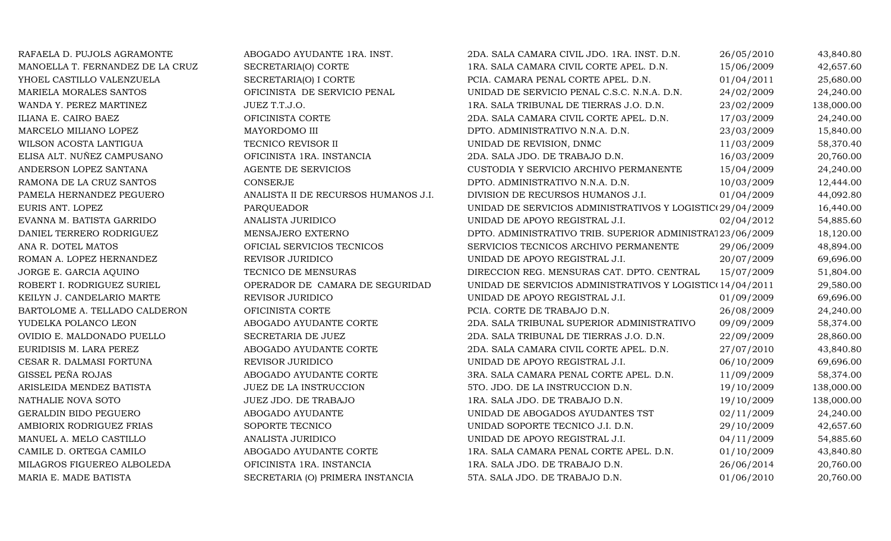| RAFAELA D. PUJOLS AGRAMONTE      | ABOGADO AYUDANTE 1RA. INST.          | 2DA. SALA CAMARA CIVIL JDO. 1RA. INST. D.N.               | 26/05/2010 | 43,840.80  |
|----------------------------------|--------------------------------------|-----------------------------------------------------------|------------|------------|
| MANOELLA T. FERNANDEZ DE LA CRUZ | SECRETARIA(O) CORTE                  | 1RA. SALA CAMARA CIVIL CORTE APEL. D.N.                   | 15/06/2009 | 42,657.60  |
| YHOEL CASTILLO VALENZUELA        | SECRETARIA(O) I CORTE                | PCIA. CAMARA PENAL CORTE APEL. D.N.                       | 01/04/2011 | 25,680.00  |
| MARIELA MORALES SANTOS           | OFICINISTA DE SERVICIO PENAL         | UNIDAD DE SERVICIO PENAL C.S.C. N.N.A. D.N.               | 24/02/2009 | 24,240.00  |
| WANDA Y. PEREZ MARTINEZ          | JUEZ T.T.J.O.                        | 1RA. SALA TRIBUNAL DE TIERRAS J.O. D.N.                   | 23/02/2009 | 138,000.00 |
| ILIANA E. CAIRO BAEZ             | OFICINISTA CORTE                     | 2DA. SALA CAMARA CIVIL CORTE APEL. D.N.                   | 17/03/2009 | 24,240.00  |
| MARCELO MILIANO LOPEZ            | MAYORDOMO III                        | DPTO. ADMINISTRATIVO N.N.A. D.N.                          | 23/03/2009 | 15,840.00  |
| WILSON ACOSTA LANTIGUA           | TECNICO REVISOR II                   | UNIDAD DE REVISION, DNMC                                  | 11/03/2009 | 58,370.40  |
| ELISA ALT. NUÑEZ CAMPUSANO       | OFICINISTA 1RA. INSTANCIA            | 2DA. SALA JDO. DE TRABAJO D.N.                            | 16/03/2009 | 20,760.00  |
| ANDERSON LOPEZ SANTANA           | AGENTE DE SERVICIOS                  | CUSTODIA Y SERVICIO ARCHIVO PERMANENTE                    | 15/04/2009 | 24,240.00  |
| RAMONA DE LA CRUZ SANTOS         | <b>CONSERJE</b>                      | DPTO. ADMINISTRATIVO N.N.A. D.N.                          | 10/03/2009 | 12,444.00  |
| PAMELA HERNANDEZ PEGUERO         | ANALISTA II DE RECURSOS HUMANOS J.I. | DIVISION DE RECURSOS HUMANOS J.I.                         | 01/04/2009 | 44,092.80  |
| EURIS ANT. LOPEZ                 | <b>PARQUEADOR</b>                    | UNIDAD DE SERVICIOS ADMINISTRATIVOS Y LOGISTIC(29/04/2009 |            | 16,440.00  |
| EVANNA M. BATISTA GARRIDO        | ANALISTA JURIDICO                    | UNIDAD DE APOYO REGISTRAL J.I.                            | 02/04/2012 | 54,885.60  |
| DANIEL TERRERO RODRIGUEZ         | MENSAJERO EXTERNO                    | DPTO. ADMINISTRATIVO TRIB. SUPERIOR ADMINISTRA123/06/2009 |            | 18,120.00  |
| ANA R. DOTEL MATOS               | OFICIAL SERVICIOS TECNICOS           | SERVICIOS TECNICOS ARCHIVO PERMANENTE                     | 29/06/2009 | 48,894.00  |
| ROMAN A. LOPEZ HERNANDEZ         | REVISOR JURIDICO                     | UNIDAD DE APOYO REGISTRAL J.I.                            | 20/07/2009 | 69,696.00  |
| JORGE E. GARCIA AQUINO           | TECNICO DE MENSURAS                  | DIRECCION REG. MENSURAS CAT. DPTO. CENTRAL                | 15/07/2009 | 51,804.00  |
| ROBERT I. RODRIGUEZ SURIEL       | OPERADOR DE CAMARA DE SEGURIDAD      | UNIDAD DE SERVICIOS ADMINISTRATIVOS Y LOGISTIC(14/04/2011 |            | 29,580.00  |
| KEILYN J. CANDELARIO MARTE       | REVISOR JURIDICO                     | UNIDAD DE APOYO REGISTRAL J.I.                            | 01/09/2009 | 69,696.00  |
| BARTOLOME A. TELLADO CALDERON    | OFICINISTA CORTE                     | PCIA. CORTE DE TRABAJO D.N.                               | 26/08/2009 | 24,240.00  |
| YUDELKA POLANCO LEON             | ABOGADO AYUDANTE CORTE               | 2DA. SALA TRIBUNAL SUPERIOR ADMINISTRATIVO                | 09/09/2009 | 58,374.00  |
| OVIDIO E. MALDONADO PUELLO       | SECRETARIA DE JUEZ                   | 2DA. SALA TRIBUNAL DE TIERRAS J.O. D.N.                   | 22/09/2009 | 28,860.00  |
| EURIDISIS M. LARA PEREZ          | ABOGADO AYUDANTE CORTE               | 2DA. SALA CAMARA CIVIL CORTE APEL. D.N.                   | 27/07/2010 | 43,840.80  |
| CESAR R. DALMASI FORTUNA         | REVISOR JURIDICO                     | UNIDAD DE APOYO REGISTRAL J.I.                            | 06/10/2009 | 69,696.00  |
| GISSEL PEÑA ROJAS                | ABOGADO AYUDANTE CORTE               | 3RA. SALA CAMARA PENAL CORTE APEL. D.N.                   | 11/09/2009 | 58,374.00  |
| ARISLEIDA MENDEZ BATISTA         | JUEZ DE LA INSTRUCCION               | 5TO. JDO. DE LA INSTRUCCION D.N.                          | 19/10/2009 | 138,000.00 |
| NATHALIE NOVA SOTO               | JUEZ JDO. DE TRABAJO                 | 1RA. SALA JDO. DE TRABAJO D.N.                            | 19/10/2009 | 138,000.00 |
| GERALDIN BIDO PEGUERO            | ABOGADO AYUDANTE                     | UNIDAD DE ABOGADOS AYUDANTES TST                          | 02/11/2009 | 24,240.00  |
| AMBIORIX RODRIGUEZ FRIAS         | SOPORTE TECNICO                      | UNIDAD SOPORTE TECNICO J.I. D.N.                          | 29/10/2009 | 42,657.60  |
| MANUEL A. MELO CASTILLO          | ANALISTA JURIDICO                    | UNIDAD DE APOYO REGISTRAL J.I.                            | 04/11/2009 | 54,885.60  |
| CAMILE D. ORTEGA CAMILO          | ABOGADO AYUDANTE CORTE               | 1RA. SALA CAMARA PENAL CORTE APEL. D.N.                   | 01/10/2009 | 43,840.80  |
| MILAGROS FIGUEREO ALBOLEDA       | OFICINISTA 1RA. INSTANCIA            | 1RA. SALA JDO. DE TRABAJO D.N.                            | 26/06/2014 | 20,760.00  |
| MARIA E. MADE BATISTA            | SECRETARIA (O) PRIMERA INSTANCIA     | 5TA. SALA JDO. DE TRABAJO D.N.                            | 01/06/2010 | 20,760.00  |
|                                  |                                      |                                                           |            |            |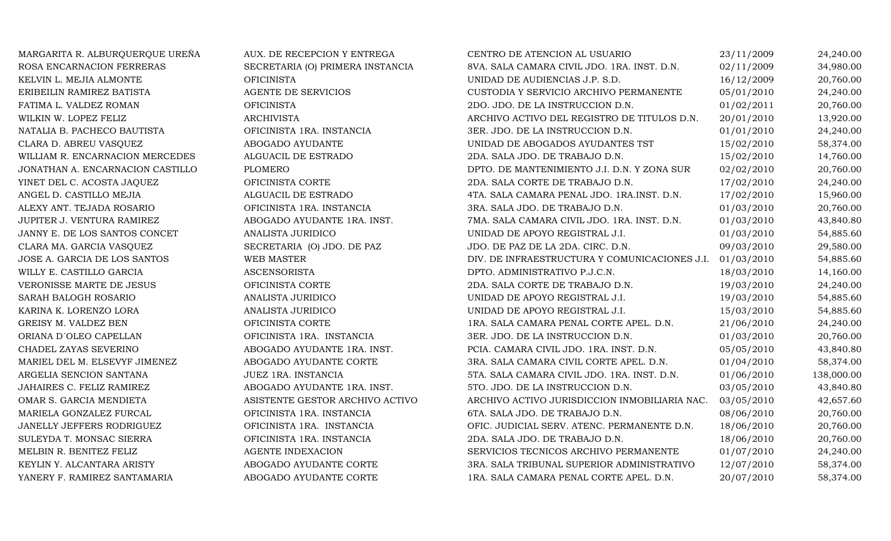| MARGARITA R. ALBURQUERQUE UREÑA  | AUX. DE RECEPCION Y ENTREGA      | CENTRO DE ATENCION AL USUARIO                 | 23/11/2009 | 24,240.00  |
|----------------------------------|----------------------------------|-----------------------------------------------|------------|------------|
| ROSA ENCARNACION FERRERAS        | SECRETARIA (O) PRIMERA INSTANCIA | 8VA. SALA CAMARA CIVIL JDO. 1RA. INST. D.N.   | 02/11/2009 | 34,980.00  |
| KELVIN L. MEJIA ALMONTE          | <b>OFICINISTA</b>                | UNIDAD DE AUDIENCIAS J.P. S.D.                | 16/12/2009 | 20,760.00  |
| ERIBEILIN RAMIREZ BATISTA        | AGENTE DE SERVICIOS              | CUSTODIA Y SERVICIO ARCHIVO PERMANENTE        | 05/01/2010 | 24,240.00  |
| FATIMA L. VALDEZ ROMAN           | <b>OFICINISTA</b>                | 2DO. JDO. DE LA INSTRUCCION D.N.              | 01/02/2011 | 20,760.00  |
| WILKIN W. LOPEZ FELIZ            | <b>ARCHIVISTA</b>                | ARCHIVO ACTIVO DEL REGISTRO DE TITULOS D.N.   | 20/01/2010 | 13,920.00  |
| NATALIA B. PACHECO BAUTISTA      | OFICINISTA 1RA. INSTANCIA        | 3ER. JDO. DE LA INSTRUCCION D.N.              | 01/01/2010 | 24,240.00  |
| CLARA D. ABREU VASQUEZ           | ABOGADO AYUDANTE                 | UNIDAD DE ABOGADOS AYUDANTES TST              | 15/02/2010 | 58,374.00  |
| WILLIAM R. ENCARNACION MERCEDES  | ALGUACIL DE ESTRADO              | 2DA. SALA JDO. DE TRABAJO D.N.                | 15/02/2010 | 14,760.00  |
| JONATHAN A. ENCARNACION CASTILLO | <b>PLOMERO</b>                   | DPTO. DE MANTENIMIENTO J.I. D.N. Y ZONA SUR   | 02/02/2010 | 20,760.00  |
| YINET DEL C. ACOSTA JAQUEZ       | OFICINISTA CORTE                 | 2DA. SALA CORTE DE TRABAJO D.N.               | 17/02/2010 | 24,240.00  |
| ANGEL D. CASTILLO MEJIA          | ALGUACIL DE ESTRADO              | 4TA. SALA CAMARA PENAL JDO. 1RA.INST. D.N.    | 17/02/2010 | 15,960.00  |
| ALEXY ANT. TEJADA ROSARIO        | OFICINISTA 1RA. INSTANCIA        | 3RA. SALA JDO. DE TRABAJO D.N.                | 01/03/2010 | 20,760.00  |
| JUPITER J. VENTURA RAMIREZ       | ABOGADO AYUDANTE 1RA. INST.      | 7MA. SALA CAMARA CIVIL JDO. 1RA. INST. D.N.   | 01/03/2010 | 43,840.80  |
| JANNY E. DE LOS SANTOS CONCET    | ANALISTA JURIDICO                | UNIDAD DE APOYO REGISTRAL J.I.                | 01/03/2010 | 54,885.60  |
| CLARA MA. GARCIA VASQUEZ         | SECRETARIA (O) JDO. DE PAZ       | JDO. DE PAZ DE LA 2DA. CIRC. D.N.             | 09/03/2010 | 29,580.00  |
| JOSE A. GARCIA DE LOS SANTOS     | WEB MASTER                       | DIV. DE INFRAESTRUCTURA Y COMUNICACIONES J.I. | 01/03/2010 | 54,885.60  |
| WILLY E. CASTILLO GARCIA         | <b>ASCENSORISTA</b>              | DPTO. ADMINISTRATIVO P.J.C.N.                 | 18/03/2010 | 14,160.00  |
| VERONISSE MARTE DE JESUS         | OFICINISTA CORTE                 | 2DA. SALA CORTE DE TRABAJO D.N.               | 19/03/2010 | 24,240.00  |
| SARAH BALOGH ROSARIO             | ANALISTA JURIDICO                | UNIDAD DE APOYO REGISTRAL J.I.                | 19/03/2010 | 54,885.60  |
| KARINA K. LORENZO LORA           | ANALISTA JURIDICO                | UNIDAD DE APOYO REGISTRAL J.I.                | 15/03/2010 | 54,885.60  |
| <b>GREISY M. VALDEZ BEN</b>      | OFICINISTA CORTE                 | 1RA. SALA CAMARA PENAL CORTE APEL. D.N.       | 21/06/2010 | 24,240.00  |
| ORIANA D'OLEO CAPELLAN           | OFICINISTA 1RA. INSTANCIA        | 3ER. JDO. DE LA INSTRUCCION D.N.              | 01/03/2010 | 20,760.00  |
| CHADEL ZAYAS SEVERINO            | ABOGADO AYUDANTE 1RA. INST.      | PCIA. CAMARA CIVIL JDO. 1RA. INST. D.N.       | 05/05/2010 | 43,840.80  |
| MARIEL DEL M. ELSEVYF JIMENEZ    | ABOGADO AYUDANTE CORTE           | 3RA. SALA CAMARA CIVIL CORTE APEL. D.N.       | 01/04/2010 | 58,374.00  |
| ARGELIA SENCION SANTANA          | JUEZ 1RA. INSTANCIA              | 5TA. SALA CAMARA CIVIL JDO. 1RA. INST. D.N.   | 01/06/2010 | 138,000.00 |
| JAHAIRES C. FELIZ RAMIREZ        | ABOGADO AYUDANTE 1RA. INST.      | 5TO. JDO. DE LA INSTRUCCION D.N.              | 03/05/2010 | 43,840.80  |
| OMAR S. GARCIA MENDIETA          | ASISTENTE GESTOR ARCHIVO ACTIVO  | ARCHIVO ACTIVO JURISDICCION INMOBILIARIA NAC. | 03/05/2010 | 42,657.60  |
| MARIELA GONZALEZ FURCAL          | OFICINISTA 1RA. INSTANCIA        | 6TA. SALA JDO. DE TRABAJO D.N.                | 08/06/2010 | 20,760.00  |
| JANELLY JEFFERS RODRIGUEZ        | OFICINISTA 1RA. INSTANCIA        | OFIC. JUDICIAL SERV. ATENC. PERMANENTE D.N.   | 18/06/2010 | 20,760.00  |
| SULEYDA T. MONSAC SIERRA         | OFICINISTA 1RA. INSTANCIA        | 2DA. SALA JDO. DE TRABAJO D.N.                | 18/06/2010 | 20,760.00  |
| MELBIN R. BENITEZ FELIZ          | <b>AGENTE INDEXACION</b>         | SERVICIOS TECNICOS ARCHIVO PERMANENTE         | 01/07/2010 | 24,240.00  |
| KEYLIN Y. ALCANTARA ARISTY       | ABOGADO AYUDANTE CORTE           | 3RA. SALA TRIBUNAL SUPERIOR ADMINISTRATIVO    | 12/07/2010 | 58,374.00  |
| YANERY F. RAMIREZ SANTAMARIA     | ABOGADO AYUDANTE CORTE           | 1RA. SALA CAMARA PENAL CORTE APEL. D.N.       | 20/07/2010 | 58,374.00  |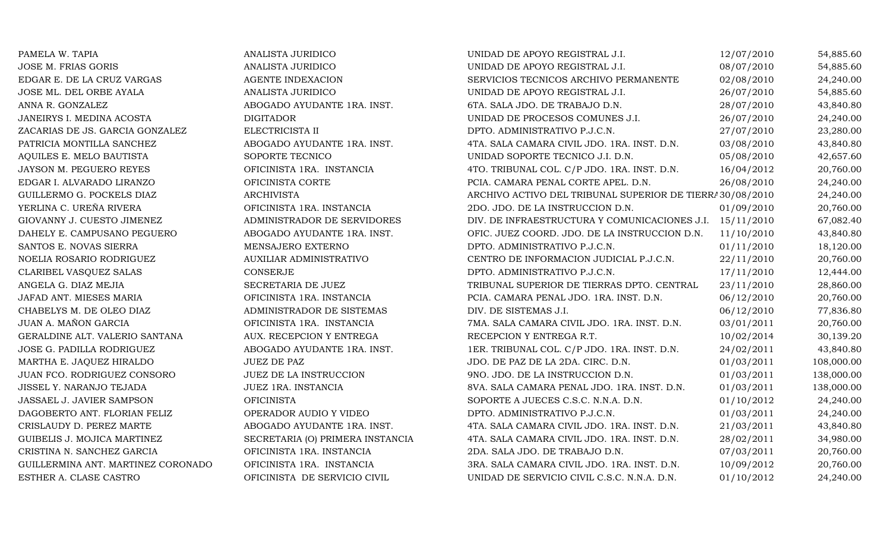| PAMELA W. TAPIA                    | ANALISTA JURIDICO                | UNIDAD DE APOYO REGISTRAL J.I.                            | 12/07/2010 | 54,885.60  |
|------------------------------------|----------------------------------|-----------------------------------------------------------|------------|------------|
| JOSE M. FRIAS GORIS                | ANALISTA JURIDICO                | UNIDAD DE APOYO REGISTRAL J.I.                            | 08/07/2010 | 54,885.60  |
| EDGAR E. DE LA CRUZ VARGAS         | <b>AGENTE INDEXACION</b>         | SERVICIOS TECNICOS ARCHIVO PERMANENTE                     | 02/08/2010 | 24,240.00  |
| JOSE ML. DEL ORBE AYALA            | ANALISTA JURIDICO                | UNIDAD DE APOYO REGISTRAL J.I.                            | 26/07/2010 | 54,885.60  |
| ANNA R. GONZALEZ                   | ABOGADO AYUDANTE 1RA. INST.      | 6TA. SALA JDO. DE TRABAJO D.N.                            | 28/07/2010 | 43,840.80  |
| JANEIRYS I. MEDINA ACOSTA          | <b>DIGITADOR</b>                 | UNIDAD DE PROCESOS COMUNES J.I.                           | 26/07/2010 | 24,240.00  |
| ZACARIAS DE JS. GARCIA GONZALEZ    | ELECTRICISTA II                  | DPTO. ADMINISTRATIVO P.J.C.N.                             | 27/07/2010 | 23,280.00  |
| PATRICIA MONTILLA SANCHEZ          | ABOGADO AYUDANTE 1RA. INST.      | 4TA. SALA CAMARA CIVIL JDO. 1RA. INST. D.N.               | 03/08/2010 | 43,840.80  |
| AQUILES E. MELO BAUTISTA           | SOPORTE TECNICO                  | UNIDAD SOPORTE TECNICO J.I. D.N.                          | 05/08/2010 | 42,657.60  |
| JAYSON M. PEGUERO REYES            | OFICINISTA 1RA. INSTANCIA        | 4TO. TRIBUNAL COL. C/P JDO. 1RA. INST. D.N.               | 16/04/2012 | 20,760.00  |
| EDGAR I. ALVARADO LIRANZO          | OFICINISTA CORTE                 | PCIA. CAMARA PENAL CORTE APEL. D.N.                       | 26/08/2010 | 24,240.00  |
| GUILLERMO G. POCKELS DIAZ          | <b>ARCHIVISTA</b>                | ARCHIVO ACTIVO DEL TRIBUNAL SUPERIOR DE TIERRA 30/08/2010 |            | 24,240.00  |
| YERLINA C. UREÑA RIVERA            | OFICINISTA 1RA. INSTANCIA        | 2DO. JDO. DE LA INSTRUCCION D.N.                          | 01/09/2010 | 20,760.00  |
| GIOVANNY J. CUESTO JIMENEZ         | ADMINISTRADOR DE SERVIDORES      | DIV. DE INFRAESTRUCTURA Y COMUNICACIONES J.I. 15/11/2010  |            | 67,082.40  |
| DAHELY E. CAMPUSANO PEGUERO        | ABOGADO AYUDANTE 1RA. INST.      | OFIC. JUEZ COORD. JDO. DE LA INSTRUCCION D.N.             | 11/10/2010 | 43,840.80  |
| SANTOS E. NOVAS SIERRA             | MENSAJERO EXTERNO                | DPTO. ADMINISTRATIVO P.J.C.N.                             | 01/11/2010 | 18,120.00  |
| NOELIA ROSARIO RODRIGUEZ           | AUXILIAR ADMINISTRATIVO          | CENTRO DE INFORMACION JUDICIAL P.J.C.N.                   | 22/11/2010 | 20,760.00  |
| CLARIBEL VASQUEZ SALAS             | CONSERJE                         | DPTO. ADMINISTRATIVO P.J.C.N.                             | 17/11/2010 | 12,444.00  |
| ANGELA G. DIAZ MEJIA               | SECRETARIA DE JUEZ               | TRIBUNAL SUPERIOR DE TIERRAS DPTO. CENTRAL                | 23/11/2010 | 28,860.00  |
| JAFAD ANT. MIESES MARIA            | OFICINISTA 1RA. INSTANCIA        | PCIA. CAMARA PENAL JDO. 1RA. INST. D.N.                   | 06/12/2010 | 20,760.00  |
| CHABELYS M. DE OLEO DIAZ           | ADMINISTRADOR DE SISTEMAS        | DIV. DE SISTEMAS J.I.                                     | 06/12/2010 | 77,836.80  |
| JUAN A. MAÑON GARCIA               | OFICINISTA 1RA. INSTANCIA        | 7MA. SALA CAMARA CIVIL JDO. 1RA. INST. D.N.               | 03/01/2011 | 20,760.00  |
| GERALDINE ALT. VALERIO SANTANA     | AUX. RECEPCION Y ENTREGA         | RECEPCION Y ENTREGA R.T.                                  | 10/02/2014 | 30,139.20  |
| JOSE G. PADILLA RODRIGUEZ          | ABOGADO AYUDANTE 1RA. INST.      | 1ER. TRIBUNAL COL. C/P JDO. 1RA. INST. D.N.               | 24/02/2011 | 43,840.80  |
| MARTHA E. JAQUEZ HIRALDO           | <b>JUEZ DE PAZ</b>               | JDO. DE PAZ DE LA 2DA. CIRC. D.N.                         | 01/03/2011 | 108,000.00 |
| JUAN FCO. RODRIGUEZ CONSORO        | JUEZ DE LA INSTRUCCION           | 9NO. JDO. DE LA INSTRUCCION D.N.                          | 01/03/2011 | 138,000.00 |
| JISSEL Y. NARANJO TEJADA           | JUEZ 1RA. INSTANCIA              | 8VA. SALA CAMARA PENAL JDO. 1RA. INST. D.N.               | 01/03/2011 | 138,000.00 |
| JASSAEL J. JAVIER SAMPSON          | <b>OFICINISTA</b>                | SOPORTE A JUECES C.S.C. N.N.A. D.N.                       | 01/10/2012 | 24,240.00  |
| DAGOBERTO ANT. FLORIAN FELIZ       | OPERADOR AUDIO Y VIDEO           | DPTO. ADMINISTRATIVO P.J.C.N.                             | 01/03/2011 | 24,240.00  |
| CRISLAUDY D. PEREZ MARTE           | ABOGADO AYUDANTE 1RA. INST.      | 4TA. SALA CAMARA CIVIL JDO. 1RA. INST. D.N.               | 21/03/2011 | 43,840.80  |
| GUIBELIS J. MOJICA MARTINEZ        | SECRETARIA (O) PRIMERA INSTANCIA | 4TA. SALA CAMARA CIVIL JDO. 1RA. INST. D.N.               | 28/02/2011 | 34,980.00  |
| CRISTINA N. SANCHEZ GARCIA         | OFICINISTA 1RA. INSTANCIA        | 2DA. SALA JDO. DE TRABAJO D.N.                            | 07/03/2011 | 20,760.00  |
| GUILLERMINA ANT. MARTINEZ CORONADO | OFICINISTA 1RA. INSTANCIA        | 3RA. SALA CAMARA CIVIL JDO. 1RA. INST. D.N.               | 10/09/2012 | 20,760.00  |
| ESTHER A. CLASE CASTRO             | OFICINISTA DE SERVICIO CIVIL     | UNIDAD DE SERVICIO CIVIL C.S.C. N.N.A. D.N.               | 01/10/2012 | 24,240.00  |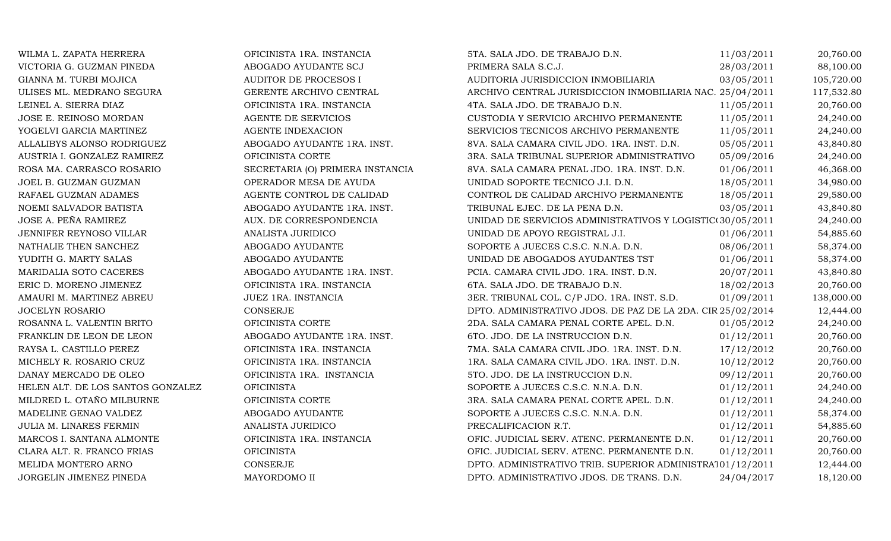| WILMA L. ZAPATA HERRERA           | OFICINISTA 1RA. INSTANCIA        | 5TA. SALA JDO. DE TRABAJO D.N.                              | 11/03/2011 | 20,760.00  |
|-----------------------------------|----------------------------------|-------------------------------------------------------------|------------|------------|
| VICTORIA G. GUZMAN PINEDA         | ABOGADO AYUDANTE SCJ             | PRIMERA SALA S.C.J.                                         | 28/03/2011 | 88,100.00  |
| GIANNA M. TURBI MOJICA            | <b>AUDITOR DE PROCESOS I</b>     | AUDITORIA JURISDICCION INMOBILIARIA                         | 03/05/2011 | 105,720.00 |
| ULISES ML. MEDRANO SEGURA         | GERENTE ARCHIVO CENTRAL          | ARCHIVO CENTRAL JURISDICCION INMOBILIARIA NAC. 25/04/2011   |            | 117,532.80 |
| LEINEL A. SIERRA DIAZ             | OFICINISTA 1RA. INSTANCIA        | 4TA. SALA JDO. DE TRABAJO D.N.                              | 11/05/2011 | 20,760.00  |
| JOSE E. REINOSO MORDAN            | AGENTE DE SERVICIOS              | CUSTODIA Y SERVICIO ARCHIVO PERMANENTE                      | 11/05/2011 | 24,240.00  |
| YOGELVI GARCIA MARTINEZ           | <b>AGENTE INDEXACION</b>         | SERVICIOS TECNICOS ARCHIVO PERMANENTE                       | 11/05/2011 | 24,240.00  |
| ALLALIBYS ALONSO RODRIGUEZ        | ABOGADO AYUDANTE 1RA. INST.      | 8VA. SALA CAMARA CIVIL JDO. 1RA. INST. D.N.                 | 05/05/2011 | 43,840.80  |
| AUSTRIA I. GONZALEZ RAMIREZ       | OFICINISTA CORTE                 | 3RA. SALA TRIBUNAL SUPERIOR ADMINISTRATIVO                  | 05/09/2016 | 24,240.00  |
| ROSA MA. CARRASCO ROSARIO         | SECRETARIA (O) PRIMERA INSTANCIA | 8VA. SALA CAMARA PENAL JDO. 1RA. INST. D.N.                 | 01/06/2011 | 46,368.00  |
| JOEL B. GUZMAN GUZMAN             | OPERADOR MESA DE AYUDA           | UNIDAD SOPORTE TECNICO J.I. D.N.                            | 18/05/2011 | 34,980.00  |
| RAFAEL GUZMAN ADAMES              | AGENTE CONTROL DE CALIDAD        | CONTROL DE CALIDAD ARCHIVO PERMANENTE                       | 18/05/2011 | 29,580.00  |
| NOEMI SALVADOR BATISTA            | ABOGADO AYUDANTE 1RA. INST.      | TRIBUNAL EJEC. DE LA PENA D.N.                              | 03/05/2011 | 43,840.80  |
| JOSE A. PEÑA RAMIREZ              | AUX. DE CORRESPONDENCIA          | UNIDAD DE SERVICIOS ADMINISTRATIVOS Y LOGISTIC(30/05/2011   |            | 24,240.00  |
| JENNIFER REYNOSO VILLAR           | ANALISTA JURIDICO                | UNIDAD DE APOYO REGISTRAL J.I.                              | 01/06/2011 | 54,885.60  |
| NATHALIE THEN SANCHEZ             | ABOGADO AYUDANTE                 | SOPORTE A JUECES C.S.C. N.N.A. D.N.                         | 08/06/2011 | 58,374.00  |
| YUDITH G. MARTY SALAS             | ABOGADO AYUDANTE                 | UNIDAD DE ABOGADOS AYUDANTES TST                            | 01/06/2011 | 58,374.00  |
| MARIDALIA SOTO CACERES            | ABOGADO AYUDANTE 1RA. INST.      | PCIA. CAMARA CIVIL JDO. 1RA. INST. D.N.                     | 20/07/2011 | 43,840.80  |
| ERIC D. MORENO JIMENEZ            | OFICINISTA 1RA. INSTANCIA        | 6TA. SALA JDO. DE TRABAJO D.N.                              | 18/02/2013 | 20,760.00  |
| AMAURI M. MARTINEZ ABREU          | JUEZ 1RA. INSTANCIA              | 3ER. TRIBUNAL COL. C/P JDO. 1RA. INST. S.D.                 | 01/09/2011 | 138,000.00 |
| <b>JOCELYN ROSARIO</b>            | CONSERJE                         | DPTO. ADMINISTRATIVO JDOS. DE PAZ DE LA 2DA. CIR 25/02/2014 |            | 12,444.00  |
| ROSANNA L. VALENTIN BRITO         | OFICINISTA CORTE                 | 2DA. SALA CAMARA PENAL CORTE APEL. D.N.                     | 01/05/2012 | 24,240.00  |
| FRANKLIN DE LEON DE LEON          | ABOGADO AYUDANTE 1RA. INST.      | 6TO. JDO. DE LA INSTRUCCION D.N.                            | 01/12/2011 | 20,760.00  |
| RAYSA L. CASTILLO PEREZ           | OFICINISTA 1RA. INSTANCIA        | 7MA. SALA CAMARA CIVIL JDO. 1RA. INST. D.N.                 | 17/12/2012 | 20,760.00  |
| MICHELY R. ROSARIO CRUZ           | OFICINISTA 1RA. INSTANCIA        | 1RA. SALA CAMARA CIVIL JDO. 1RA. INST. D.N.                 | 10/12/2012 | 20,760.00  |
| DANAY MERCADO DE OLEO             | OFICINISTA 1RA. INSTANCIA        | 5TO. JDO. DE LA INSTRUCCION D.N.                            | 09/12/2011 | 20,760.00  |
| HELEN ALT. DE LOS SANTOS GONZALEZ | OFICINISTA                       | SOPORTE A JUECES C.S.C. N.N.A. D.N.                         | 01/12/2011 | 24,240.00  |
| MILDRED L. OTAÑO MILBURNE         | OFICINISTA CORTE                 | 3RA. SALA CAMARA PENAL CORTE APEL. D.N.                     | 01/12/2011 | 24,240.00  |
| MADELINE GENAO VALDEZ             | ABOGADO AYUDANTE                 | SOPORTE A JUECES C.S.C. N.N.A. D.N.                         | 01/12/2011 | 58,374.00  |
| JULIA M. LINARES FERMIN           | ANALISTA JURIDICO                | PRECALIFICACION R.T.                                        | 01/12/2011 | 54,885.60  |
| MARCOS I. SANTANA ALMONTE         | OFICINISTA 1RA. INSTANCIA        | OFIC. JUDICIAL SERV. ATENC. PERMANENTE D.N.                 | 01/12/2011 | 20,760.00  |
| CLARA ALT. R. FRANCO FRIAS        | <b>OFICINISTA</b>                | OFIC. JUDICIAL SERV. ATENC. PERMANENTE D.N.                 | 01/12/2011 | 20,760.00  |
| MELIDA MONTERO ARNO               | <b>CONSERJE</b>                  | DPTO. ADMINISTRATIVO TRIB. SUPERIOR ADMINISTRA101/12/2011   |            | 12,444.00  |
| JORGELIN JIMENEZ PINEDA           | MAYORDOMO II                     | DPTO. ADMINISTRATIVO JDOS. DE TRANS. D.N.                   | 24/04/2017 | 18,120.00  |
|                                   |                                  |                                                             |            |            |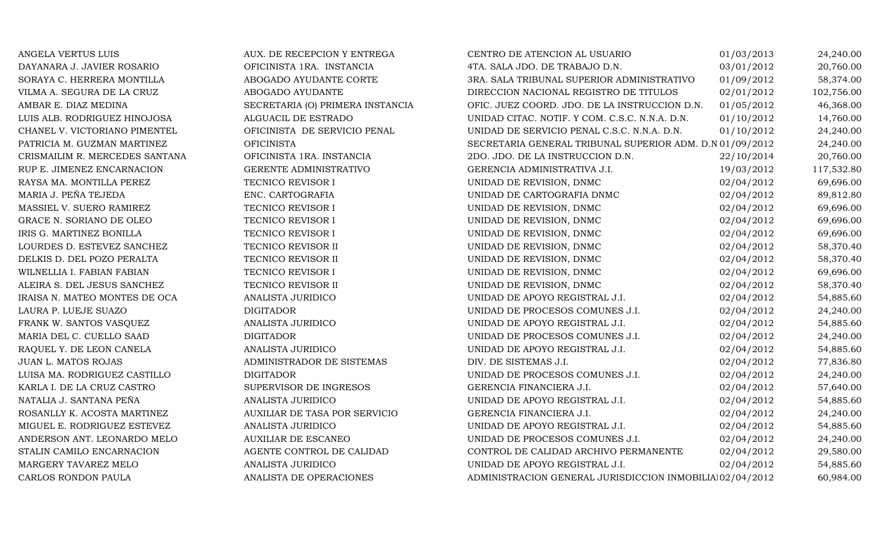| ANGELA VERTUS LUIS             | AUX. DE RECEPCION Y ENTREGA      | CENTRO DE ATENCION AL USUARIO                            | 01/03/2013 | 24,240.00  |
|--------------------------------|----------------------------------|----------------------------------------------------------|------------|------------|
| DAYANARA J. JAVIER ROSARIO     | OFICINISTA 1RA. INSTANCIA        | 4TA. SALA JDO. DE TRABAJO D.N.                           | 03/01/2012 | 20,760.00  |
| SORAYA C. HERRERA MONTILLA     | ABOGADO AYUDANTE CORTE           | 3RA. SALA TRIBUNAL SUPERIOR ADMINISTRATIVO               | 01/09/2012 | 58,374.00  |
| VILMA A. SEGURA DE LA CRUZ     | ABOGADO AYUDANTE                 | DIRECCION NACIONAL REGISTRO DE TITULOS                   | 02/01/2012 | 102,756.00 |
| AMBAR E. DIAZ MEDINA           | SECRETARIA (O) PRIMERA INSTANCIA | OFIC. JUEZ COORD. JDO. DE LA INSTRUCCION D.N.            | 01/05/2012 | 46,368.00  |
| LUIS ALB. RODRIGUEZ HINOJOSA   | ALGUACIL DE ESTRADO              | UNIDAD CITAC. NOTIF. Y COM. C.S.C. N.N.A. D.N.           | 01/10/2012 | 14,760.00  |
| CHANEL V. VICTORIANO PIMENTEL  | OFICINISTA DE SERVICIO PENAL     | UNIDAD DE SERVICIO PENAL C.S.C. N.N.A. D.N.              | 01/10/2012 | 24,240.00  |
| PATRICIA M. GUZMAN MARTINEZ    | <b>OFICINISTA</b>                | SECRETARIA GENERAL TRIBUNAL SUPERIOR ADM. D.N 01/09/2012 |            | 24,240.00  |
| CRISMAILIM R. MERCEDES SANTANA | OFICINISTA 1RA. INSTANCIA        | 2DO. JDO. DE LA INSTRUCCION D.N.                         | 22/10/2014 | 20,760.00  |
| RUP E. JIMENEZ ENCARNACION     | GERENTE ADMINISTRATIVO           | GERENCIA ADMINISTRATIVA J.I.                             | 19/03/2012 | 117,532.80 |
| RAYSA MA. MONTILLA PEREZ       | TECNICO REVISOR I                | UNIDAD DE REVISION, DNMC                                 | 02/04/2012 | 69,696.00  |
| MARIA J. PEÑA TEJEDA           | ENC. CARTOGRAFIA                 | UNIDAD DE CARTOGRAFIA DNMC                               | 02/04/2012 | 89,812.80  |
| MASSIEL V. SUERO RAMIREZ       | TECNICO REVISOR I                | UNIDAD DE REVISION, DNMC                                 | 02/04/2012 | 69,696.00  |
| GRACE N. SORIANO DE OLEO       | TECNICO REVISOR I                | UNIDAD DE REVISION, DNMC                                 | 02/04/2012 | 69,696.00  |
| IRIS G. MARTINEZ BONILLA       | TECNICO REVISOR I                | UNIDAD DE REVISION, DNMC                                 | 02/04/2012 | 69,696.00  |
| LOURDES D. ESTEVEZ SANCHEZ     | TECNICO REVISOR II               | UNIDAD DE REVISION, DNMC                                 | 02/04/2012 | 58,370.40  |
| DELKIS D. DEL POZO PERALTA     | TECNICO REVISOR II               | UNIDAD DE REVISION, DNMC                                 | 02/04/2012 | 58,370.40  |
| WILNELLIA I. FABIAN FABIAN     | TECNICO REVISOR I                | UNIDAD DE REVISION, DNMC                                 | 02/04/2012 | 69,696.00  |
| ALEIRA S. DEL JESUS SANCHEZ    | TECNICO REVISOR II               | UNIDAD DE REVISION, DNMC                                 | 02/04/2012 | 58,370.40  |
| IRAISA N. MATEO MONTES DE OCA  | ANALISTA JURIDICO                | UNIDAD DE APOYO REGISTRAL J.I.                           | 02/04/2012 | 54,885.60  |
| LAURA P. LUEJE SUAZO           | <b>DIGITADOR</b>                 | UNIDAD DE PROCESOS COMUNES J.I.                          | 02/04/2012 | 24,240.00  |
| FRANK W. SANTOS VASQUEZ        | ANALISTA JURIDICO                | UNIDAD DE APOYO REGISTRAL J.I.                           | 02/04/2012 | 54,885.60  |
| MARIA DEL C. CUELLO SAAD       | <b>DIGITADOR</b>                 | UNIDAD DE PROCESOS COMUNES J.I.                          | 02/04/2012 | 24,240.00  |
| RAQUEL Y. DE LEON CANELA       | ANALISTA JURIDICO                | UNIDAD DE APOYO REGISTRAL J.I.                           | 02/04/2012 | 54,885.60  |
| JUAN L. MATOS ROJAS            | ADMINISTRADOR DE SISTEMAS        | DIV. DE SISTEMAS J.I.                                    | 02/04/2012 | 77,836.80  |
| LUISA MA. RODRIGUEZ CASTILLO   | <b>DIGITADOR</b>                 | UNIDAD DE PROCESOS COMUNES J.I.                          | 02/04/2012 | 24,240.00  |
| KARLA I. DE LA CRUZ CASTRO     | SUPERVISOR DE INGRESOS           | GERENCIA FINANCIERA J.I.                                 | 02/04/2012 | 57,640.00  |
| NATALIA J. SANTANA PEÑA        | ANALISTA JURIDICO                | UNIDAD DE APOYO REGISTRAL J.I.                           | 02/04/2012 | 54,885.60  |
| ROSANLLY K. ACOSTA MARTINEZ    | AUXILIAR DE TASA POR SERVICIO    | GERENCIA FINANCIERA J.I.                                 | 02/04/2012 | 24,240.00  |
| MIGUEL E. RODRIGUEZ ESTEVEZ    | ANALISTA JURIDICO                | UNIDAD DE APOYO REGISTRAL J.I.                           | 02/04/2012 | 54,885.60  |
| ANDERSON ANT. LEONARDO MELO    | <b>AUXILIAR DE ESCANEO</b>       | UNIDAD DE PROCESOS COMUNES J.I.                          | 02/04/2012 | 24,240.00  |
| STALIN CAMILO ENCARNACION      | AGENTE CONTROL DE CALIDAD        | CONTROL DE CALIDAD ARCHIVO PERMANENTE                    | 02/04/2012 | 29,580.00  |
| MARGERY TAVAREZ MELO           | ANALISTA JURIDICO                | UNIDAD DE APOYO REGISTRAL J.I.                           | 02/04/2012 | 54,885.60  |
| CARLOS RONDON PAULA            | ANALISTA DE OPERACIONES          | ADMINISTRACION GENERAL JURISDICCION INMOBILIAI02/04/2012 |            | 60,984.00  |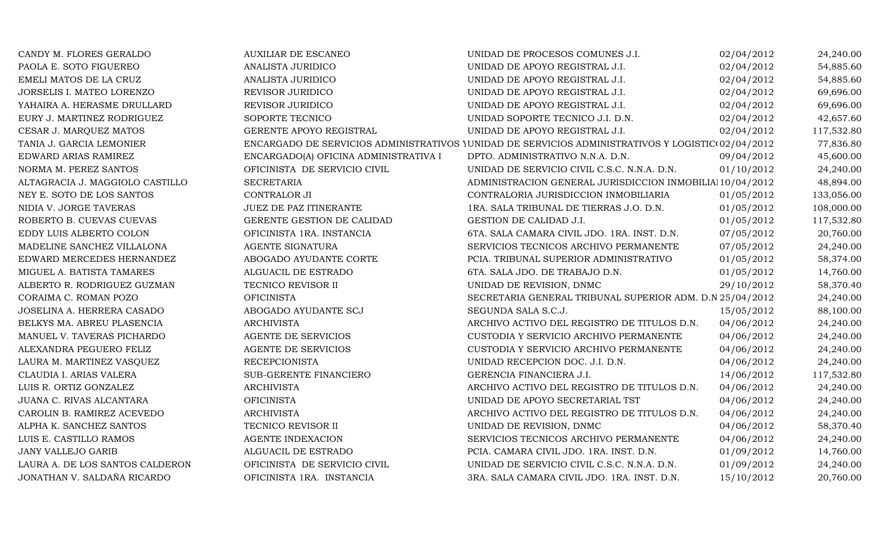| CANDY M. FLORES GERALDO         | <b>AUXILIAR DE ESCANEO</b>            | UNIDAD DE PROCESOS COMUNES J.I.                                                                   | 02/04/2012 | 24,240.00  |
|---------------------------------|---------------------------------------|---------------------------------------------------------------------------------------------------|------------|------------|
| PAOLA E. SOTO FIGUEREO          | ANALISTA JURIDICO                     | UNIDAD DE APOYO REGISTRAL J.I.                                                                    | 02/04/2012 | 54,885.60  |
| EMELI MATOS DE LA CRUZ          | ANALISTA JURIDICO                     | UNIDAD DE APOYO REGISTRAL J.I.                                                                    | 02/04/2012 | 54,885.60  |
| JORSELIS I. MATEO LORENZO       | REVISOR JURIDICO                      | UNIDAD DE APOYO REGISTRAL J.I.                                                                    | 02/04/2012 | 69,696.00  |
| YAHAIRA A. HERASME DRULLARD     | REVISOR JURIDICO                      | UNIDAD DE APOYO REGISTRAL J.I.                                                                    | 02/04/2012 | 69,696.00  |
| EURY J. MARTINEZ RODRIGUEZ      | SOPORTE TECNICO                       | UNIDAD SOPORTE TECNICO J.I. D.N.                                                                  | 02/04/2012 | 42,657.60  |
| CESAR J. MARQUEZ MATOS          | GERENTE APOYO REGISTRAL               | UNIDAD DE APOYO REGISTRAL J.I.                                                                    | 02/04/2012 | 117,532.80 |
| TANIA J. GARCIA LEMONIER        |                                       | ENCARGADO DE SERVICIOS ADMINISTRATIVOS YUNIDAD DE SERVICIOS ADMINISTRATIVOS Y LOGISTIC(02/04/2012 |            | 77,836.80  |
| EDWARD ARIAS RAMIREZ            | ENCARGADO(A) OFICINA ADMINISTRATIVA I | DPTO. ADMINISTRATIVO N.N.A. D.N.                                                                  | 09/04/2012 | 45,600.00  |
| NORMA M. PEREZ SANTOS           | OFICINISTA DE SERVICIO CIVIL          | UNIDAD DE SERVICIO CIVIL C.S.C. N.N.A. D.N.                                                       | 01/10/2012 | 24,240.00  |
| ALTAGRACIA J. MAGGIOLO CASTILLO | <b>SECRETARIA</b>                     | ADMINISTRACION GENERAL JURISDICCION INMOBILIAl 10/04/2012                                         |            | 48,894.00  |
| NEY E. SOTO DE LOS SANTOS       | CONTRALOR JI                          | CONTRALORIA JURISDICCION INMOBILIARIA                                                             | 01/05/2012 | 133,056.00 |
| NIDIA V. JORGE TAVERAS          | JUEZ DE PAZ ITINERANTE                | 1RA. SALA TRIBUNAL DE TIERRAS J.O. D.N.                                                           | 01/05/2012 | 108,000.00 |
| ROBERTO B. CUEVAS CUEVAS        | GERENTE GESTION DE CALIDAD            | GESTION DE CALIDAD J.I.                                                                           | 01/05/2012 | 117,532.80 |
| EDDY LUIS ALBERTO COLON         | OFICINISTA 1RA. INSTANCIA             | 6TA. SALA CAMARA CIVIL JDO. 1RA. INST. D.N.                                                       | 07/05/2012 | 20,760.00  |
| MADELINE SANCHEZ VILLALONA      | <b>AGENTE SIGNATURA</b>               | SERVICIOS TECNICOS ARCHIVO PERMANENTE                                                             | 07/05/2012 | 24,240.00  |
| EDWARD MERCEDES HERNANDEZ       | ABOGADO AYUDANTE CORTE                | PCIA. TRIBUNAL SUPERIOR ADMINISTRATIVO                                                            | 01/05/2012 | 58,374.00  |
| MIGUEL A. BATISTA TAMARES       | ALGUACIL DE ESTRADO                   | 6TA. SALA JDO. DE TRABAJO D.N.                                                                    | 01/05/2012 | 14,760.00  |
| ALBERTO R. RODRIGUEZ GUZMAN     | TECNICO REVISOR II                    | UNIDAD DE REVISION, DNMC                                                                          | 29/10/2012 | 58,370.40  |
| CORAIMA C. ROMAN POZO           | <b>OFICINISTA</b>                     | SECRETARIA GENERAL TRIBUNAL SUPERIOR ADM. D.N 25/04/2012                                          |            | 24,240.00  |
| JOSELINA A. HERRERA CASADO      | ABOGADO AYUDANTE SCJ                  | SEGUNDA SALA S.C.J.                                                                               | 15/05/2012 | 88,100.00  |
| BELKYS MA. ABREU PLASENCIA      | <b>ARCHIVISTA</b>                     | ARCHIVO ACTIVO DEL REGISTRO DE TITULOS D.N.                                                       | 04/06/2012 | 24,240.00  |
| MANUEL V. TAVERAS PICHARDO      | AGENTE DE SERVICIOS                   | CUSTODIA Y SERVICIO ARCHIVO PERMANENTE                                                            | 04/06/2012 | 24,240.00  |
| ALEXANDRA PEGUERO FELIZ         | AGENTE DE SERVICIOS                   | CUSTODIA Y SERVICIO ARCHIVO PERMANENTE                                                            | 04/06/2012 | 24,240.00  |
| LAURA M. MARTINEZ VASQUEZ       | <b>RECEPCIONISTA</b>                  | UNIDAD RECEPCION DOC. J.I. D.N.                                                                   | 04/06/2012 | 24,240.00  |
| CLAUDIA I. ARIAS VALERA         | SUB-GERENTE FINANCIERO                | GERENCIA FINANCIERA J.I.                                                                          | 14/06/2012 | 117,532.80 |
| LUIS R. ORTIZ GONZALEZ          | <b>ARCHIVISTA</b>                     | ARCHIVO ACTIVO DEL REGISTRO DE TITULOS D.N.                                                       | 04/06/2012 | 24,240.00  |
| JUANA C. RIVAS ALCANTARA        | <b>OFICINISTA</b>                     | UNIDAD DE APOYO SECRETARIAL TST                                                                   | 04/06/2012 | 24,240.00  |
| CAROLIN B. RAMIREZ ACEVEDO      | <b>ARCHIVISTA</b>                     | ARCHIVO ACTIVO DEL REGISTRO DE TITULOS D.N.                                                       | 04/06/2012 | 24,240.00  |
| ALPHA K. SANCHEZ SANTOS         | TECNICO REVISOR II                    | UNIDAD DE REVISION, DNMC                                                                          | 04/06/2012 | 58,370.40  |
| LUIS E. CASTILLO RAMOS          | AGENTE INDEXACION                     | SERVICIOS TECNICOS ARCHIVO PERMANENTE                                                             | 04/06/2012 | 24,240.00  |
| <b>JANY VALLEJO GARIB</b>       | ALGUACIL DE ESTRADO                   | PCIA. CAMARA CIVIL JDO. 1RA. INST. D.N.                                                           | 01/09/2012 | 14,760.00  |
| LAURA A. DE LOS SANTOS CALDERON | OFICINISTA DE SERVICIO CIVIL          | UNIDAD DE SERVICIO CIVIL C.S.C. N.N.A. D.N.                                                       | 01/09/2012 | 24,240.00  |
| JONATHAN V. SALDAÑA RICARDO     | OFICINISTA 1RA. INSTANCIA             | 3RA. SALA CAMARA CIVIL JDO. 1RA. INST. D.N.                                                       | 15/10/2012 | 20,760.00  |
|                                 |                                       |                                                                                                   |            |            |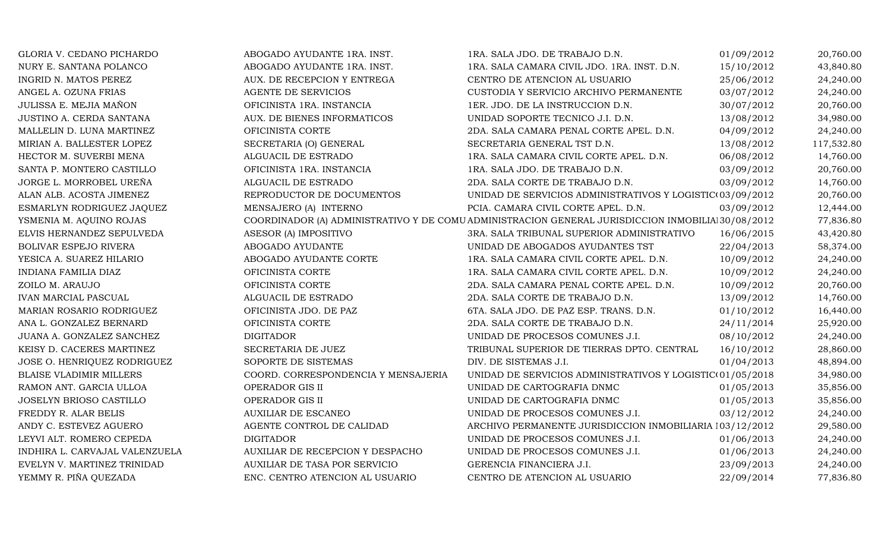| GLORIA V. CEDANO PICHARDO      | ABOGADO AYUDANTE 1RA. INST.         | 1RA. SALA JDO. DE TRABAJO D.N.                                                                    | 01/09/2012 | 20,760.00  |
|--------------------------------|-------------------------------------|---------------------------------------------------------------------------------------------------|------------|------------|
| NURY E. SANTANA POLANCO        | ABOGADO AYUDANTE 1RA. INST.         | 1RA. SALA CAMARA CIVIL JDO. 1RA. INST. D.N.                                                       | 15/10/2012 | 43,840.80  |
| INGRID N. MATOS PEREZ          | AUX. DE RECEPCION Y ENTREGA         | CENTRO DE ATENCION AL USUARIO                                                                     | 25/06/2012 | 24,240.00  |
| ANGEL A. OZUNA FRIAS           | AGENTE DE SERVICIOS                 | CUSTODIA Y SERVICIO ARCHIVO PERMANENTE                                                            | 03/07/2012 | 24,240.00  |
| JULISSA E. MEJIA MAÑON         | OFICINISTA 1RA. INSTANCIA           | 1ER. JDO. DE LA INSTRUCCION D.N.                                                                  | 30/07/2012 | 20,760.00  |
| JUSTINO A. CERDA SANTANA       | AUX. DE BIENES INFORMATICOS         | UNIDAD SOPORTE TECNICO J.I. D.N.                                                                  | 13/08/2012 | 34,980.00  |
| MALLELIN D. LUNA MARTINEZ      | OFICINISTA CORTE                    | 2DA. SALA CAMARA PENAL CORTE APEL. D.N.                                                           | 04/09/2012 | 24,240.00  |
| MIRIAN A. BALLESTER LOPEZ      | SECRETARIA (O) GENERAL              | SECRETARIA GENERAL TST D.N.                                                                       | 13/08/2012 | 117,532.80 |
| HECTOR M. SUVERBI MENA         | ALGUACIL DE ESTRADO                 | 1RA. SALA CAMARA CIVIL CORTE APEL. D.N.                                                           | 06/08/2012 | 14,760.00  |
| SANTA P. MONTERO CASTILLO      | OFICINISTA 1RA. INSTANCIA           | 1RA. SALA JDO. DE TRABAJO D.N.                                                                    | 03/09/2012 | 20,760.00  |
| JORGE L. MORROBEL UREÑA        | ALGUACIL DE ESTRADO                 | 2DA. SALA CORTE DE TRABAJO D.N.                                                                   | 03/09/2012 | 14,760.00  |
| ALAN ALB. ACOSTA JIMENEZ       | REPRODUCTOR DE DOCUMENTOS           | UNIDAD DE SERVICIOS ADMINISTRATIVOS Y LOGISTIC(03/09/2012                                         |            | 20,760.00  |
| ESMARLYN RODRIGUEZ JAQUEZ      | MENSAJERO (A) INTERNO               | PCIA. CAMARA CIVIL CORTE APEL. D.N.                                                               | 03/09/2012 | 12,444.00  |
| YSMENIA M. AQUINO ROJAS        |                                     | COORDINADOR (A) ADMINISTRATIVO Y DE COMU ADMINISTRACION GENERAL JURISDICCION INMOBILIA 30/08/2012 |            | 77,836.80  |
| ELVIS HERNANDEZ SEPULVEDA      | ASESOR (A) IMPOSITIVO               | 3RA. SALA TRIBUNAL SUPERIOR ADMINISTRATIVO                                                        | 16/06/2015 | 43,420.80  |
| BOLIVAR ESPEJO RIVERA          | ABOGADO AYUDANTE                    | UNIDAD DE ABOGADOS AYUDANTES TST                                                                  | 22/04/2013 | 58,374.00  |
| YESICA A. SUAREZ HILARIO       | ABOGADO AYUDANTE CORTE              | 1RA. SALA CAMARA CIVIL CORTE APEL. D.N.                                                           | 10/09/2012 | 24,240.00  |
| INDIANA FAMILIA DIAZ           | OFICINISTA CORTE                    | 1RA. SALA CAMARA CIVIL CORTE APEL. D.N.                                                           | 10/09/2012 | 24,240.00  |
| ZOILO M. ARAUJO                | OFICINISTA CORTE                    | 2DA. SALA CAMARA PENAL CORTE APEL. D.N.                                                           | 10/09/2012 | 20,760.00  |
| IVAN MARCIAL PASCUAL           | ALGUACIL DE ESTRADO                 | 2DA. SALA CORTE DE TRABAJO D.N.                                                                   | 13/09/2012 | 14,760.00  |
| MARIAN ROSARIO RODRIGUEZ       | OFICINISTA JDO. DE PAZ              | 6TA. SALA JDO. DE PAZ ESP. TRANS. D.N.                                                            | 01/10/2012 | 16,440.00  |
| ANA L. GONZALEZ BERNARD        | OFICINISTA CORTE                    | 2DA. SALA CORTE DE TRABAJO D.N.                                                                   | 24/11/2014 | 25,920.00  |
| JUANA A. GONZALEZ SANCHEZ      | <b>DIGITADOR</b>                    | UNIDAD DE PROCESOS COMUNES J.I.                                                                   | 08/10/2012 | 24,240.00  |
| KEISY D. CACERES MARTINEZ      | SECRETARIA DE JUEZ                  | TRIBUNAL SUPERIOR DE TIERRAS DPTO. CENTRAL                                                        | 16/10/2012 | 28,860.00  |
| JOSE O. HENRIQUEZ RODRIGUEZ    | SOPORTE DE SISTEMAS                 | DIV. DE SISTEMAS J.I.                                                                             | 01/04/2013 | 48,894.00  |
| <b>BLAISE VLADIMIR MILLERS</b> | COORD. CORRESPONDENCIA Y MENSAJERIA | UNIDAD DE SERVICIOS ADMINISTRATIVOS Y LOGISTIC(01/05/2018                                         |            | 34,980.00  |
| RAMON ANT. GARCIA ULLOA        | OPERADOR GIS II                     | UNIDAD DE CARTOGRAFIA DNMC                                                                        | 01/05/2013 | 35,856.00  |
| JOSELYN BRIOSO CASTILLO        | OPERADOR GIS II                     | UNIDAD DE CARTOGRAFIA DNMC                                                                        | 01/05/2013 | 35,856.00  |
| FREDDY R. ALAR BELIS           | <b>AUXILIAR DE ESCANEO</b>          | UNIDAD DE PROCESOS COMUNES J.I.                                                                   | 03/12/2012 | 24,240.00  |
| ANDY C. ESTEVEZ AGUERO         | AGENTE CONTROL DE CALIDAD           | ARCHIVO PERMANENTE JURISDICCION INMOBILIARIA 103/12/2012                                          |            | 29,580.00  |
| LEYVI ALT. ROMERO CEPEDA       | <b>DIGITADOR</b>                    | UNIDAD DE PROCESOS COMUNES J.I.                                                                   | 01/06/2013 | 24,240.00  |
| INDHIRA L. CARVAJAL VALENZUELA | AUXILIAR DE RECEPCION Y DESPACHO    | UNIDAD DE PROCESOS COMUNES J.I.                                                                   | 01/06/2013 | 24,240.00  |
| EVELYN V. MARTINEZ TRINIDAD    | AUXILIAR DE TASA POR SERVICIO       | GERENCIA FINANCIERA J.I.                                                                          | 23/09/2013 | 24,240.00  |
| YEMMY R. PIÑA QUEZADA          | ENC. CENTRO ATENCION AL USUARIO     | CENTRO DE ATENCION AL USUARIO                                                                     | 22/09/2014 | 77,836.80  |
|                                |                                     |                                                                                                   |            |            |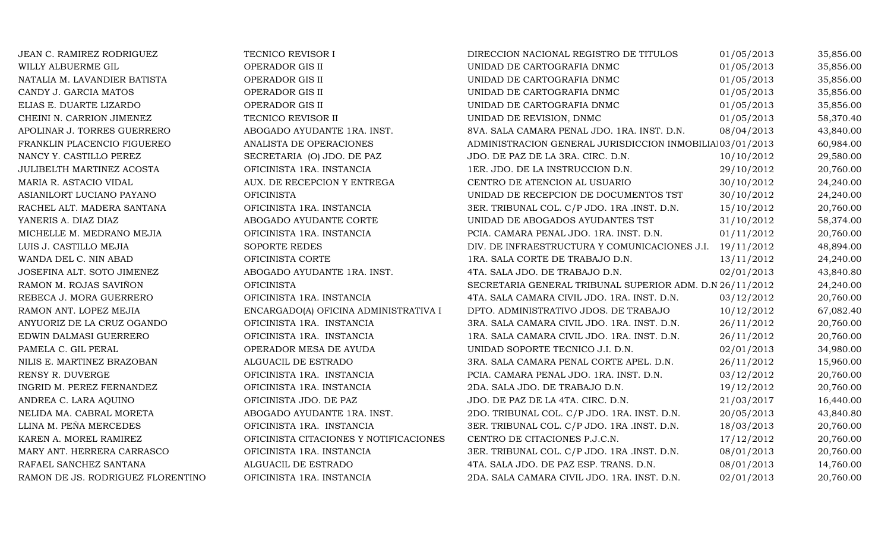| JEAN C. RAMIREZ RODRIGUEZ         | TECNICO REVISOR I                      | DIRECCION NACIONAL REGISTRO DE TITULOS                   | 01/05/2013 | 35,856.00 |
|-----------------------------------|----------------------------------------|----------------------------------------------------------|------------|-----------|
| WILLY ALBUERME GIL                | OPERADOR GIS II                        | UNIDAD DE CARTOGRAFIA DNMC                               | 01/05/2013 | 35,856.00 |
| NATALIA M. LAVANDIER BATISTA      | OPERADOR GIS II                        | UNIDAD DE CARTOGRAFIA DNMC                               | 01/05/2013 | 35,856.00 |
| CANDY J. GARCIA MATOS             | OPERADOR GIS II                        | UNIDAD DE CARTOGRAFIA DNMC                               | 01/05/2013 | 35,856.00 |
| ELIAS E. DUARTE LIZARDO           | OPERADOR GIS II                        | UNIDAD DE CARTOGRAFIA DNMC                               | 01/05/2013 | 35,856.00 |
| CHEINI N. CARRION JIMENEZ         | TECNICO REVISOR II                     | UNIDAD DE REVISION, DNMC                                 | 01/05/2013 | 58,370.40 |
| APOLINAR J. TORRES GUERRERO       | ABOGADO AYUDANTE 1RA. INST.            | 8VA. SALA CAMARA PENAL JDO. 1RA. INST. D.N.              | 08/04/2013 | 43,840.00 |
| FRANKLIN PLACENCIO FIGUEREO       | ANALISTA DE OPERACIONES                | ADMINISTRACION GENERAL JURISDICCION INMOBILIAI03/01/2013 |            | 60,984.00 |
| NANCY Y. CASTILLO PEREZ           | SECRETARIA (O) JDO. DE PAZ             | JDO. DE PAZ DE LA 3RA. CIRC. D.N.                        | 10/10/2012 | 29,580.00 |
| JULIBELTH MARTINEZ ACOSTA         | OFICINISTA 1RA. INSTANCIA              | 1ER. JDO. DE LA INSTRUCCION D.N.                         | 29/10/2012 | 20,760.00 |
| MARIA R. ASTACIO VIDAL            | AUX. DE RECEPCION Y ENTREGA            | CENTRO DE ATENCION AL USUARIO                            | 30/10/2012 | 24,240.00 |
| ASIANILORT LUCIANO PAYANO         | <b>OFICINISTA</b>                      | UNIDAD DE RECEPCION DE DOCUMENTOS TST                    | 30/10/2012 | 24,240.00 |
| RACHEL ALT. MADERA SANTANA        | OFICINISTA 1RA. INSTANCIA              | 3ER. TRIBUNAL COL. C/P JDO. 1RA .INST. D.N.              | 15/10/2012 | 20,760.00 |
| YANERIS A. DIAZ DIAZ              | ABOGADO AYUDANTE CORTE                 | UNIDAD DE ABOGADOS AYUDANTES TST                         | 31/10/2012 | 58,374.00 |
| MICHELLE M. MEDRANO MEJIA         | OFICINISTA 1RA. INSTANCIA              | PCIA. CAMARA PENAL JDO. 1RA. INST. D.N.                  | 01/11/2012 | 20,760.00 |
| LUIS J. CASTILLO MEJIA            | SOPORTE REDES                          | DIV. DE INFRAESTRUCTURA Y COMUNICACIONES J.I.            | 19/11/2012 | 48,894.00 |
| WANDA DEL C. NIN ABAD             | OFICINISTA CORTE                       | 1RA. SALA CORTE DE TRABAJO D.N.                          | 13/11/2012 | 24,240.00 |
| JOSEFINA ALT. SOTO JIMENEZ        | ABOGADO AYUDANTE 1RA. INST.            | 4TA. SALA JDO. DE TRABAJO D.N.                           | 02/01/2013 | 43,840.80 |
| RAMON M. ROJAS SAVIÑON            | <b>OFICINISTA</b>                      | SECRETARIA GENERAL TRIBUNAL SUPERIOR ADM. D.N 26/11/2012 |            | 24,240.00 |
| REBECA J. MORA GUERRERO           | OFICINISTA 1RA. INSTANCIA              | 4TA. SALA CAMARA CIVIL JDO. 1RA. INST. D.N.              | 03/12/2012 | 20,760.00 |
| RAMON ANT. LOPEZ MEJIA            | ENCARGADO(A) OFICINA ADMINISTRATIVA I  | DPTO. ADMINISTRATIVO JDOS. DE TRABAJO                    | 10/12/2012 | 67,082.40 |
| ANYUORIZ DE LA CRUZ OGANDO        | OFICINISTA 1RA. INSTANCIA              | 3RA. SALA CAMARA CIVIL JDO. 1RA. INST. D.N.              | 26/11/2012 | 20,760.00 |
| EDWIN DALMASI GUERRERO            | OFICINISTA 1RA. INSTANCIA              | 1RA. SALA CAMARA CIVIL JDO. 1RA. INST. D.N.              | 26/11/2012 | 20,760.00 |
| PAMELA C. GIL PERAL               | OPERADOR MESA DE AYUDA                 | UNIDAD SOPORTE TECNICO J.I. D.N.                         | 02/01/2013 | 34,980.00 |
| NILIS E. MARTINEZ BRAZOBAN        | ALGUACIL DE ESTRADO                    | 3RA. SALA CAMARA PENAL CORTE APEL. D.N.                  | 26/11/2012 | 15,960.00 |
| RENSY R. DUVERGE                  | OFICINISTA 1RA. INSTANCIA              | PCIA. CAMARA PENAL JDO. 1RA. INST. D.N.                  | 03/12/2012 | 20,760.00 |
| INGRID M. PEREZ FERNANDEZ         | OFICINISTA 1RA. INSTANCIA              | 2DA. SALA JDO. DE TRABAJO D.N.                           | 19/12/2012 | 20,760.00 |
| ANDREA C. LARA AQUINO             | OFICINISTA JDO. DE PAZ                 | JDO. DE PAZ DE LA 4TA. CIRC. D.N.                        | 21/03/2017 | 16,440.00 |
| NELIDA MA. CABRAL MORETA          | ABOGADO AYUDANTE 1RA. INST.            | 2DO. TRIBUNAL COL. C/P JDO. 1RA. INST. D.N.              | 20/05/2013 | 43,840.80 |
| LLINA M. PEÑA MERCEDES            | OFICINISTA 1RA. INSTANCIA              | 3ER. TRIBUNAL COL. C/P JDO. 1RA .INST. D.N.              | 18/03/2013 | 20,760.00 |
| KAREN A. MOREL RAMIREZ            | OFICINISTA CITACIONES Y NOTIFICACIONES | CENTRO DE CITACIONES P.J.C.N.                            | 17/12/2012 | 20,760.00 |
| MARY ANT. HERRERA CARRASCO        | OFICINISTA 1RA. INSTANCIA              | 3ER. TRIBUNAL COL. C/P JDO. 1RA .INST. D.N.              | 08/01/2013 | 20,760.00 |
| RAFAEL SANCHEZ SANTANA            | ALGUACIL DE ESTRADO                    | 4TA. SALA JDO. DE PAZ ESP. TRANS. D.N.                   | 08/01/2013 | 14,760.00 |
| RAMON DE JS. RODRIGUEZ FLORENTINO | OFICINISTA 1RA. INSTANCIA              | 2DA. SALA CAMARA CIVIL JDO. 1RA. INST. D.N.              | 02/01/2013 | 20,760.00 |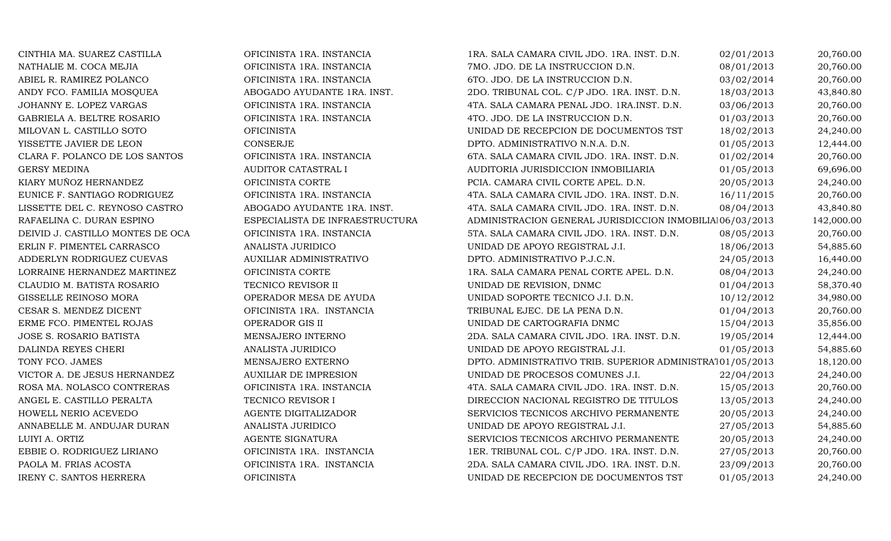| CINTHIA MA. SUAREZ CASTILLA      | OFICINISTA 1RA. INSTANCIA       | 1RA. SALA CAMARA CIVIL JDO. 1RA. INST. D.N.               | 02/01/2013 | 20,760.00  |
|----------------------------------|---------------------------------|-----------------------------------------------------------|------------|------------|
| NATHALIE M. COCA MEJIA           | OFICINISTA 1RA. INSTANCIA       | 7MO. JDO. DE LA INSTRUCCION D.N.                          | 08/01/2013 | 20,760.00  |
| ABIEL R. RAMIREZ POLANCO         | OFICINISTA 1RA. INSTANCIA       | 6TO. JDO. DE LA INSTRUCCION D.N.                          | 03/02/2014 | 20,760.00  |
| ANDY FCO. FAMILIA MOSQUEA        | ABOGADO AYUDANTE 1RA. INST.     | 2DO. TRIBUNAL COL. C/P JDO. 1RA. INST. D.N.               | 18/03/2013 | 43,840.80  |
| JOHANNY E. LOPEZ VARGAS          | OFICINISTA 1RA. INSTANCIA       | 4TA. SALA CAMARA PENAL JDO. 1RA.INST. D.N.                | 03/06/2013 | 20,760.00  |
| GABRIELA A. BELTRE ROSARIO       | OFICINISTA 1RA. INSTANCIA       | 4TO. JDO. DE LA INSTRUCCION D.N.                          | 01/03/2013 | 20,760.00  |
| MILOVAN L. CASTILLO SOTO         | <b>OFICINISTA</b>               | UNIDAD DE RECEPCION DE DOCUMENTOS TST                     | 18/02/2013 | 24,240.00  |
| YISSETTE JAVIER DE LEON          | <b>CONSERJE</b>                 | DPTO. ADMINISTRATIVO N.N.A. D.N.                          | 01/05/2013 | 12,444.00  |
| CLARA F. POLANCO DE LOS SANTOS   | OFICINISTA 1RA. INSTANCIA       | 6TA. SALA CAMARA CIVIL JDO. 1RA. INST. D.N.               | 01/02/2014 | 20,760.00  |
| <b>GERSY MEDINA</b>              | AUDITOR CATASTRAL I             | AUDITORIA JURISDICCION INMOBILIARIA                       | 01/05/2013 | 69,696.00  |
| KIARY MUÑOZ HERNANDEZ            | OFICINISTA CORTE                | PCIA. CAMARA CIVIL CORTE APEL. D.N.                       | 20/05/2013 | 24,240.00  |
| EUNICE F. SANTIAGO RODRIGUEZ     | OFICINISTA 1RA. INSTANCIA       | 4TA. SALA CAMARA CIVIL JDO. 1RA. INST. D.N.               | 16/11/2015 | 20,760.00  |
| LISSETTE DEL C. REYNOSO CASTRO   | ABOGADO AYUDANTE 1RA. INST.     | 4TA. SALA CAMARA CIVIL JDO. 1RA. INST. D.N.               | 08/04/2013 | 43,840.80  |
| RAFAELINA C. DURAN ESPINO        | ESPECIALISTA DE INFRAESTRUCTURA | ADMINISTRACION GENERAL JURISDICCION INMOBILIA106/03/2013  |            | 142,000.00 |
| DEIVID J. CASTILLO MONTES DE OCA | OFICINISTA 1RA. INSTANCIA       | 5TA. SALA CAMARA CIVIL JDO. 1RA. INST. D.N.               | 08/05/2013 | 20,760.00  |
| ERLIN F. PIMENTEL CARRASCO       | ANALISTA JURIDICO               | UNIDAD DE APOYO REGISTRAL J.I.                            | 18/06/2013 | 54,885.60  |
| ADDERLYN RODRIGUEZ CUEVAS        | <b>AUXILIAR ADMINISTRATIVO</b>  | DPTO. ADMINISTRATIVO P.J.C.N.                             | 24/05/2013 | 16,440.00  |
| LORRAINE HERNANDEZ MARTINEZ      | OFICINISTA CORTE                | 1RA. SALA CAMARA PENAL CORTE APEL. D.N.                   | 08/04/2013 | 24,240.00  |
| CLAUDIO M. BATISTA ROSARIO       | TECNICO REVISOR II              | UNIDAD DE REVISION, DNMC                                  | 01/04/2013 | 58,370.40  |
| GISSELLE REINOSO MORA            | OPERADOR MESA DE AYUDA          | UNIDAD SOPORTE TECNICO J.I. D.N.                          | 10/12/2012 | 34,980.00  |
| CESAR S. MENDEZ DICENT           | OFICINISTA 1RA. INSTANCIA       | TRIBUNAL EJEC. DE LA PENA D.N.                            | 01/04/2013 | 20,760.00  |
| ERME FCO. PIMENTEL ROJAS         | OPERADOR GIS II                 | UNIDAD DE CARTOGRAFIA DNMC                                | 15/04/2013 | 35,856.00  |
| <b>JOSE S. ROSARIO BATISTA</b>   | MENSAJERO INTERNO               | 2DA. SALA CAMARA CIVIL JDO. 1RA. INST. D.N.               | 19/05/2014 | 12,444.00  |
| DALINDA REYES CHERI              | ANALISTA JURIDICO               | UNIDAD DE APOYO REGISTRAL J.I.                            | 01/05/2013 | 54,885.60  |
| TONY FCO. JAMES                  | MENSAJERO EXTERNO               | DPTO. ADMINISTRATIVO TRIB. SUPERIOR ADMINISTRA101/05/2013 |            | 18,120.00  |
| VICTOR A. DE JESUS HERNANDEZ     | <b>AUXILIAR DE IMPRESION</b>    | UNIDAD DE PROCESOS COMUNES J.I.                           | 22/04/2013 | 24,240.00  |
| ROSA MA. NOLASCO CONTRERAS       | OFICINISTA 1RA. INSTANCIA       | 4TA. SALA CAMARA CIVIL JDO. 1RA. INST. D.N.               | 15/05/2013 | 20,760.00  |
| ANGEL E. CASTILLO PERALTA        | TECNICO REVISOR I               | DIRECCION NACIONAL REGISTRO DE TITULOS                    | 13/05/2013 | 24,240.00  |
| HOWELL NERIO ACEVEDO             | AGENTE DIGITALIZADOR            | SERVICIOS TECNICOS ARCHIVO PERMANENTE                     | 20/05/2013 | 24,240.00  |
| ANNABELLE M. ANDUJAR DURAN       | ANALISTA JURIDICO               | UNIDAD DE APOYO REGISTRAL J.I.                            | 27/05/2013 | 54,885.60  |
| LUIYI A. ORTIZ                   | AGENTE SIGNATURA                | SERVICIOS TECNICOS ARCHIVO PERMANENTE                     | 20/05/2013 | 24,240.00  |
| EBBIE O. RODRIGUEZ LIRIANO       | OFICINISTA 1RA. INSTANCIA       | 1ER. TRIBUNAL COL. C/P JDO. 1RA. INST. D.N.               | 27/05/2013 | 20,760.00  |
| PAOLA M. FRIAS ACOSTA            | OFICINISTA 1RA. INSTANCIA       | 2DA. SALA CAMARA CIVIL JDO. 1RA. INST. D.N.               | 23/09/2013 | 20,760.00  |
| IRENY C. SANTOS HERRERA          | <b>OFICINISTA</b>               | UNIDAD DE RECEPCION DE DOCUMENTOS TST                     | 01/05/2013 | 24,240.00  |
|                                  |                                 |                                                           |            |            |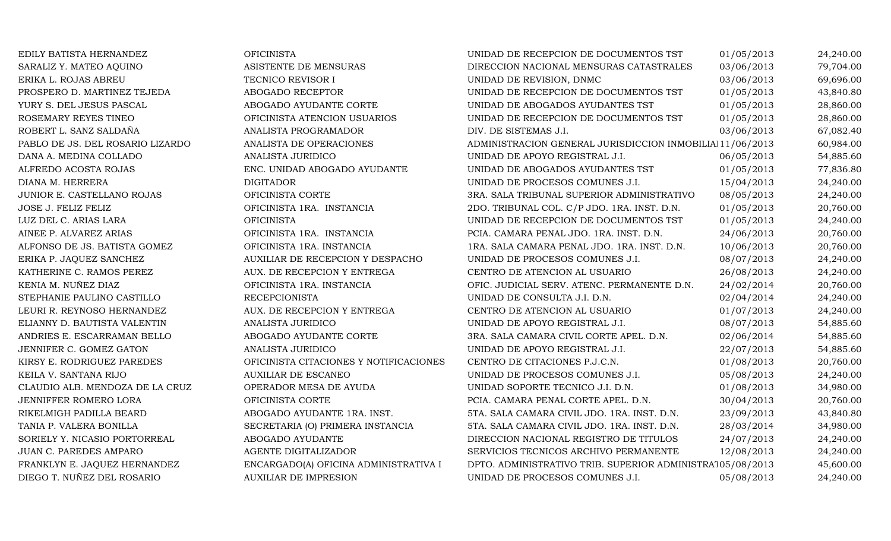| <b>OFICINISTA</b>                      | <b>UNIDAD DE R</b>  |
|----------------------------------------|---------------------|
| ASISTENTE DE MENSURAS                  | DIRECCION N.        |
| TECNICO REVISOR I                      | <b>UNIDAD DE R</b>  |
| ABOGADO RECEPTOR                       | <b>UNIDAD DE R</b>  |
| ABOGADO AYUDANTE CORTE                 | UNIDAD DE A         |
| OFICINISTA ATENCION USUARIOS           | <b>UNIDAD DE R</b>  |
| ANALISTA PROGRAMADOR                   | DIV. DE SISTE       |
| ANALISTA DE OPERACIONES                | <b>ADMINISTRAC</b>  |
| <b>ANALISTA JURIDICO</b>               | <b>UNIDAD DE A</b>  |
| ENC. UNIDAD ABOGADO AYUDANTE           | <b>UNIDAD DE A</b>  |
| <b>DIGITADOR</b>                       | <b>UNIDAD DE PI</b> |
| OFICINISTA CORTE                       | 3RA. SALA TRI       |
| OFICINISTA 1RA. INSTANCIA              | 2DO. TRIBUNA        |
| <b>OFICINISTA</b>                      | UNIDAD DE R         |
| OFICINISTA 1RA. INSTANCIA              | PCIA. CAMARA        |
| OFICINISTA 1RA. INSTANCIA              | 1RA. SALA CA        |
| AUXILIAR DE RECEPCION Y DESPACHO       | UNIDAD DE PI        |
| AUX. DE RECEPCION Y ENTREGA            | <b>CENTRO DE A</b>  |
| OFICINISTA 1RA. INSTANCIA              | OFIC. JUDICIA       |
| <b>RECEPCIONISTA</b>                   | UNIDAD DE C         |
| AUX. DE RECEPCION Y ENTREGA            | <b>CENTRO DE A</b>  |
| <b>ANALISTA JURIDICO</b>               | <b>UNIDAD DE A</b>  |
| ABOGADO AYUDANTE CORTE                 | 3RA. SALA CA        |
| <b>ANALISTA JURIDICO</b>               | <b>UNIDAD DE A</b>  |
| OFICINISTA CITACIONES Y NOTIFICACIONES | CENTRO DE C         |
| <b>AUXILIAR DE ESCANEO</b>             | UNIDAD DE PI        |
| OPERADOR MESA DE AYUDA                 | <b>UNIDAD SOPC</b>  |
| OFICINISTA CORTE                       | PCIA. CAMARA        |
| ABOGADO AYUDANTE 1RA. INST.            | 5TA. SALA CAI       |
| SECRETARIA (O) PRIMERA INSTANCIA       | 5TA. SALA CAI       |
| ABOGADO AYUDANTE                       | DIRECCION N.        |
| AGENTE DIGITALIZADOR                   | <b>SERVICIOS TE</b> |
| ENCARGADO(A) OFICINA ADMINISTRATIVA I  | DPTO. ADMIN         |
| <b>AUXILIAR DE IMPRESION</b>           | UNIDAD DE PI        |
|                                        |                     |

| EDILY BATISTA HERNANDEZ          | <b>OFICINISTA</b>                      | UNIDAD DE RECEPCION DE DOCUMENTOS TST                     | 01/05/2013 | 24,240.00 |
|----------------------------------|----------------------------------------|-----------------------------------------------------------|------------|-----------|
| SARALIZ Y. MATEO AQUINO          | ASISTENTE DE MENSURAS                  | DIRECCION NACIONAL MENSURAS CATASTRALES                   | 03/06/2013 | 79,704.00 |
| ERIKA L. ROJAS ABREU             | TECNICO REVISOR I                      | UNIDAD DE REVISION, DNMC                                  | 03/06/2013 | 69,696.00 |
| PROSPERO D. MARTINEZ TEJEDA      | ABOGADO RECEPTOR                       | UNIDAD DE RECEPCION DE DOCUMENTOS TST                     | 01/05/2013 | 43,840.80 |
| YURY S. DEL JESUS PASCAL         | ABOGADO AYUDANTE CORTE                 | UNIDAD DE ABOGADOS AYUDANTES TST                          | 01/05/2013 | 28,860.00 |
| ROSEMARY REYES TINEO             | OFICINISTA ATENCION USUARIOS           | UNIDAD DE RECEPCION DE DOCUMENTOS TST                     | 01/05/2013 | 28,860.00 |
| ROBERT L. SANZ SALDAÑA           | ANALISTA PROGRAMADOR                   | DIV. DE SISTEMAS J.I.                                     | 03/06/2013 | 67,082.40 |
| PABLO DE JS. DEL ROSARIO LIZARDO | ANALISTA DE OPERACIONES                | ADMINISTRACION GENERAL JURISDICCION INMOBILIAl 11/06/2013 |            | 60,984.00 |
| DANA A. MEDINA COLLADO           | ANALISTA JURIDICO                      | UNIDAD DE APOYO REGISTRAL J.I.                            | 06/05/2013 | 54,885.60 |
| ALFREDO ACOSTA ROJAS             | ENC. UNIDAD ABOGADO AYUDANTE           | UNIDAD DE ABOGADOS AYUDANTES TST                          | 01/05/2013 | 77,836.80 |
| DIANA M. HERRERA                 | <b>DIGITADOR</b>                       | UNIDAD DE PROCESOS COMUNES J.I.                           | 15/04/2013 | 24,240.00 |
| JUNIOR E. CASTELLANO ROJAS       | OFICINISTA CORTE                       | 3RA. SALA TRIBUNAL SUPERIOR ADMINISTRATIVO                | 08/05/2013 | 24,240.00 |
| <b>JOSE J. FELIZ FELIZ</b>       | OFICINISTA 1RA. INSTANCIA              | 2DO. TRIBUNAL COL. C/P JDO. 1RA. INST. D.N.               | 01/05/2013 | 20,760.00 |
| LUZ DEL C. ARIAS LARA            | <b>OFICINISTA</b>                      | UNIDAD DE RECEPCION DE DOCUMENTOS TST                     | 01/05/2013 | 24,240.00 |
| AINEE P. ALVAREZ ARIAS           | OFICINISTA 1RA. INSTANCIA              | PCIA. CAMARA PENAL JDO. 1RA. INST. D.N.                   | 24/06/2013 | 20,760.00 |
| ALFONSO DE JS. BATISTA GOMEZ     | OFICINISTA 1RA. INSTANCIA              | 1RA. SALA CAMARA PENAL JDO. 1RA. INST. D.N.               | 10/06/2013 | 20,760.00 |
| ERIKA P. JAQUEZ SANCHEZ          | AUXILIAR DE RECEPCION Y DESPACHO       | UNIDAD DE PROCESOS COMUNES J.I.                           | 08/07/2013 | 24,240.00 |
| KATHERINE C. RAMOS PEREZ         | AUX. DE RECEPCION Y ENTREGA            | CENTRO DE ATENCION AL USUARIO                             | 26/08/2013 | 24,240.00 |
| KENIA M. NUÑEZ DIAZ              | OFICINISTA 1RA. INSTANCIA              | OFIC. JUDICIAL SERV. ATENC. PERMANENTE D.N.               | 24/02/2014 | 20,760.00 |
| STEPHANIE PAULINO CASTILLO       | <b>RECEPCIONISTA</b>                   | UNIDAD DE CONSULTA J.I. D.N.                              | 02/04/2014 | 24,240.00 |
| LEURI R. REYNOSO HERNANDEZ       | AUX. DE RECEPCION Y ENTREGA            | CENTRO DE ATENCION AL USUARIO                             | 01/07/2013 | 24,240.00 |
| ELIANNY D. BAUTISTA VALENTIN     | ANALISTA JURIDICO                      | UNIDAD DE APOYO REGISTRAL J.I.                            | 08/07/2013 | 54,885.60 |
| ANDRIES E. ESCARRAMAN BELLO      | ABOGADO AYUDANTE CORTE                 | 3RA. SALA CAMARA CIVIL CORTE APEL. D.N.                   | 02/06/2014 | 54,885.60 |
| JENNIFER C. GOMEZ GATON          | ANALISTA JURIDICO                      | UNIDAD DE APOYO REGISTRAL J.I.                            | 22/07/2013 | 54,885.60 |
| KIRSY E. RODRIGUEZ PAREDES       | OFICINISTA CITACIONES Y NOTIFICACIONES | CENTRO DE CITACIONES P.J.C.N.                             | 01/08/2013 | 20,760.00 |
| KEILA V. SANTANA RIJO            | <b>AUXILIAR DE ESCANEO</b>             | UNIDAD DE PROCESOS COMUNES J.I.                           | 05/08/2013 | 24,240.00 |
| CLAUDIO ALB. MENDOZA DE LA CRUZ  | OPERADOR MESA DE AYUDA                 | UNIDAD SOPORTE TECNICO J.I. D.N.                          | 01/08/2013 | 34,980.00 |
| JENNIFFER ROMERO LORA            | OFICINISTA CORTE                       | PCIA. CAMARA PENAL CORTE APEL. D.N.                       | 30/04/2013 | 20,760.00 |
| RIKELMIGH PADILLA BEARD          | ABOGADO AYUDANTE 1RA. INST.            | 5TA. SALA CAMARA CIVIL JDO. 1RA. INST. D.N.               | 23/09/2013 | 43,840.80 |
| TANIA P. VALERA BONILLA          | SECRETARIA (O) PRIMERA INSTANCIA       | 5TA. SALA CAMARA CIVIL JDO. 1RA. INST. D.N.               | 28/03/2014 | 34,980.00 |
| SORIELY Y. NICASIO PORTORREAL    | ABOGADO AYUDANTE                       | DIRECCION NACIONAL REGISTRO DE TITULOS                    | 24/07/2013 | 24,240.00 |
| JUAN C. PAREDES AMPARO           | AGENTE DIGITALIZADOR                   | SERVICIOS TECNICOS ARCHIVO PERMANENTE                     | 12/08/2013 | 24,240.00 |
| FRANKLYN E. JAQUEZ HERNANDEZ     | ENCARGADO(A) OFICINA ADMINISTRATIVA I  | DPTO. ADMINISTRATIVO TRIB. SUPERIOR ADMINISTRA105/08/2013 |            | 45,600.00 |
| DIEGO T. NUÑEZ DEL ROSARIO       | <b>AUXILIAR DE IMPRESION</b>           | UNIDAD DE PROCESOS COMUNES J.I.                           | 05/08/2013 | 24,240.00 |
|                                  |                                        |                                                           |            |           |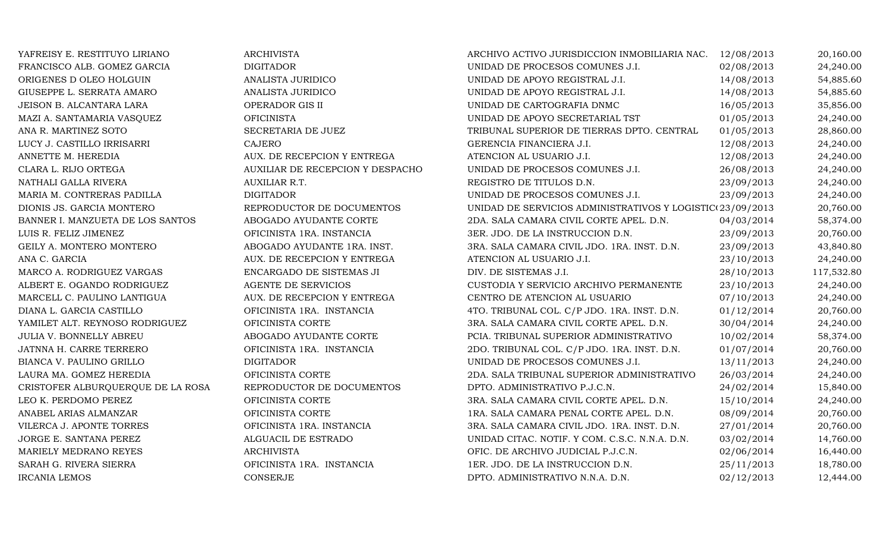| YAFREISY E. RESTITUYO LIRIANO     | <b>ARCHIVISTA</b>                | ARCHIVO ACTIVO JURISDICCION INMOBILIARIA NAC.             | 12/08/2013 | 20,160.00  |
|-----------------------------------|----------------------------------|-----------------------------------------------------------|------------|------------|
| FRANCISCO ALB. GOMEZ GARCIA       | <b>DIGITADOR</b>                 | UNIDAD DE PROCESOS COMUNES J.I.                           | 02/08/2013 | 24,240.00  |
| ORIGENES D OLEO HOLGUIN           | ANALISTA JURIDICO                | UNIDAD DE APOYO REGISTRAL J.I.                            | 14/08/2013 | 54,885.60  |
| GIUSEPPE L. SERRATA AMARO         | ANALISTA JURIDICO                | UNIDAD DE APOYO REGISTRAL J.I.                            | 14/08/2013 | 54,885.60  |
| JEISON B. ALCANTARA LARA          | OPERADOR GIS II                  | UNIDAD DE CARTOGRAFIA DNMC                                | 16/05/2013 | 35,856.00  |
| MAZI A. SANTAMARIA VASQUEZ        | <b>OFICINISTA</b>                | UNIDAD DE APOYO SECRETARIAL TST                           | 01/05/2013 | 24,240.00  |
| ANA R. MARTINEZ SOTO              | SECRETARIA DE JUEZ               | TRIBUNAL SUPERIOR DE TIERRAS DPTO. CENTRAL                | 01/05/2013 | 28,860.00  |
| LUCY J. CASTILLO IRRISARRI        | <b>CAJERO</b>                    | GERENCIA FINANCIERA J.I.                                  | 12/08/2013 | 24,240.00  |
| ANNETTE M. HEREDIA                | AUX. DE RECEPCION Y ENTREGA      | ATENCION AL USUARIO J.I.                                  | 12/08/2013 | 24,240.00  |
| CLARA L. RIJO ORTEGA              | AUXILIAR DE RECEPCION Y DESPACHO | UNIDAD DE PROCESOS COMUNES J.I.                           | 26/08/2013 | 24,240.00  |
| NATHALI GALLA RIVERA              | AUXILIAR R.T.                    | REGISTRO DE TITULOS D.N.                                  | 23/09/2013 | 24,240.00  |
| MARIA M. CONTRERAS PADILLA        | <b>DIGITADOR</b>                 | UNIDAD DE PROCESOS COMUNES J.I.                           | 23/09/2013 | 24,240.00  |
| DIONIS JS. GARCIA MONTERO         | REPRODUCTOR DE DOCUMENTOS        | UNIDAD DE SERVICIOS ADMINISTRATIVOS Y LOGISTIC(23/09/2013 |            | 20,760.00  |
| BANNER I. MANZUETA DE LOS SANTOS  | ABOGADO AYUDANTE CORTE           | 2DA. SALA CAMARA CIVIL CORTE APEL. D.N.                   | 04/03/2014 | 58,374.00  |
| LUIS R. FELIZ JIMENEZ             | OFICINISTA 1RA. INSTANCIA        | 3ER. JDO. DE LA INSTRUCCION D.N.                          | 23/09/2013 | 20,760.00  |
| GEILY A. MONTERO MONTERO          | ABOGADO AYUDANTE 1RA. INST.      | 3RA. SALA CAMARA CIVIL JDO. 1RA. INST. D.N.               | 23/09/2013 | 43,840.80  |
| ANA C. GARCIA                     | AUX. DE RECEPCION Y ENTREGA      | ATENCION AL USUARIO J.I.                                  | 23/10/2013 | 24,240.00  |
| MARCO A. RODRIGUEZ VARGAS         | ENCARGADO DE SISTEMAS JI         | DIV. DE SISTEMAS J.I.                                     | 28/10/2013 | 117,532.80 |
| ALBERT E. OGANDO RODRIGUEZ        | AGENTE DE SERVICIOS              | CUSTODIA Y SERVICIO ARCHIVO PERMANENTE                    | 23/10/2013 | 24,240.00  |
| MARCELL C. PAULINO LANTIGUA       | AUX. DE RECEPCION Y ENTREGA      | CENTRO DE ATENCION AL USUARIO                             | 07/10/2013 | 24,240.00  |
| DIANA L. GARCIA CASTILLO          | OFICINISTA 1RA. INSTANCIA        | 4TO. TRIBUNAL COL. C/P JDO. 1RA. INST. D.N.               | 01/12/2014 | 20,760.00  |
| YAMILET ALT. REYNOSO RODRIGUEZ    | OFICINISTA CORTE                 | 3RA. SALA CAMARA CIVIL CORTE APEL. D.N.                   | 30/04/2014 | 24,240.00  |
| <b>JULIA V. BONNELLY ABREU</b>    | ABOGADO AYUDANTE CORTE           | PCIA. TRIBUNAL SUPERIOR ADMINISTRATIVO                    | 10/02/2014 | 58,374.00  |
| JATNNA H. CARRE TERRERO           | OFICINISTA 1RA. INSTANCIA        | 2DO. TRIBUNAL COL. C/P JDO. 1RA. INST. D.N.               | 01/07/2014 | 20,760.00  |
| BIANCA V. PAULINO GRILLO          | <b>DIGITADOR</b>                 | UNIDAD DE PROCESOS COMUNES J.I.                           | 13/11/2013 | 24,240.00  |
| LAURA MA. GOMEZ HEREDIA           | OFICINISTA CORTE                 | 2DA. SALA TRIBUNAL SUPERIOR ADMINISTRATIVO                | 26/03/2014 | 24,240.00  |
| CRISTOFER ALBURQUERQUE DE LA ROSA | REPRODUCTOR DE DOCUMENTOS        | DPTO. ADMINISTRATIVO P.J.C.N.                             | 24/02/2014 | 15,840.00  |
| LEO K. PERDOMO PEREZ              | OFICINISTA CORTE                 | 3RA. SALA CAMARA CIVIL CORTE APEL. D.N.                   | 15/10/2014 | 24,240.00  |
| ANABEL ARIAS ALMANZAR             | OFICINISTA CORTE                 | 1RA. SALA CAMARA PENAL CORTE APEL. D.N.                   | 08/09/2014 | 20,760.00  |
| VILERCA J. APONTE TORRES          | OFICINISTA 1RA. INSTANCIA        | 3RA. SALA CAMARA CIVIL JDO. 1RA. INST. D.N.               | 27/01/2014 | 20,760.00  |
| JORGE E. SANTANA PEREZ            | ALGUACIL DE ESTRADO              | UNIDAD CITAC. NOTIF. Y COM. C.S.C. N.N.A. D.N.            | 03/02/2014 | 14,760.00  |
| MARIELY MEDRANO REYES             | <b>ARCHIVISTA</b>                | OFIC. DE ARCHIVO JUDICIAL P.J.C.N.                        | 02/06/2014 | 16,440.00  |
| SARAH G. RIVERA SIERRA            | OFICINISTA 1RA. INSTANCIA        | 1ER. JDO. DE LA INSTRUCCION D.N.                          | 25/11/2013 | 18,780.00  |
| <b>IRCANIA LEMOS</b>              | <b>CONSERJE</b>                  | DPTO. ADMINISTRATIVO N.N.A. D.N.                          | 02/12/2013 | 12,444.00  |
|                                   |                                  |                                                           |            |            |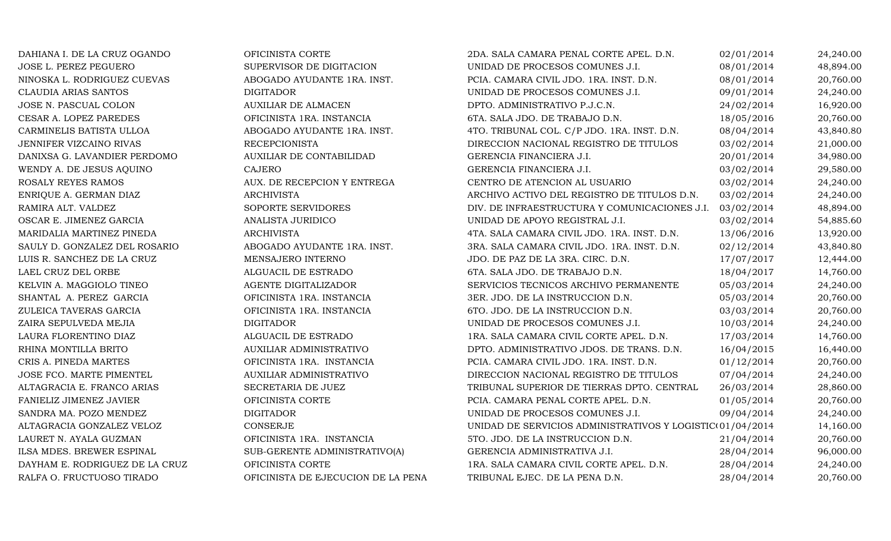| DAHIANA I. DE LA CRUZ OGANDO   | OFICINISTA CORTE                   | 2DA. SALA CAMARA PENAL CORTE APEL. D.N.                   | 02/01/2014 | 24,240.00 |
|--------------------------------|------------------------------------|-----------------------------------------------------------|------------|-----------|
| <b>JOSE L. PEREZ PEGUERO</b>   | SUPERVISOR DE DIGITACION           | UNIDAD DE PROCESOS COMUNES J.I.                           | 08/01/2014 | 48,894.00 |
| NINOSKA L. RODRIGUEZ CUEVAS    | ABOGADO AYUDANTE 1RA. INST.        | PCIA. CAMARA CIVIL JDO. 1RA. INST. D.N.                   | 08/01/2014 | 20,760.00 |
| CLAUDIA ARIAS SANTOS           | <b>DIGITADOR</b>                   | UNIDAD DE PROCESOS COMUNES J.I.                           | 09/01/2014 | 24,240.00 |
| JOSE N. PASCUAL COLON          | <b>AUXILIAR DE ALMACEN</b>         | DPTO. ADMINISTRATIVO P.J.C.N.                             | 24/02/2014 | 16,920.00 |
| CESAR A. LOPEZ PAREDES         | OFICINISTA 1RA. INSTANCIA          | 6TA. SALA JDO. DE TRABAJO D.N.                            | 18/05/2016 | 20,760.00 |
| CARMINELIS BATISTA ULLOA       | ABOGADO AYUDANTE 1RA. INST.        | 4TO. TRIBUNAL COL. C/P JDO. 1RA. INST. D.N.               | 08/04/2014 | 43,840.80 |
| JENNIFER VIZCAINO RIVAS        | <b>RECEPCIONISTA</b>               | DIRECCION NACIONAL REGISTRO DE TITULOS                    | 03/02/2014 | 21,000.00 |
| DANIXSA G. LAVANDIER PERDOMO   | AUXILIAR DE CONTABILIDAD           | GERENCIA FINANCIERA J.I.                                  | 20/01/2014 | 34,980.00 |
| WENDY A. DE JESUS AQUINO       | CAJERO                             | GERENCIA FINANCIERA J.I.                                  | 03/02/2014 | 29,580.00 |
| ROSALY REYES RAMOS             | AUX. DE RECEPCION Y ENTREGA        | CENTRO DE ATENCION AL USUARIO                             | 03/02/2014 | 24,240.00 |
| ENRIQUE A. GERMAN DIAZ         | <b>ARCHIVISTA</b>                  | ARCHIVO ACTIVO DEL REGISTRO DE TITULOS D.N.               | 03/02/2014 | 24,240.00 |
| RAMIRA ALT. VALDEZ             | SOPORTE SERVIDORES                 | DIV. DE INFRAESTRUCTURA Y COMUNICACIONES J.I.             | 03/02/2014 | 48,894.00 |
| OSCAR E. JIMENEZ GARCIA        | ANALISTA JURIDICO                  | UNIDAD DE APOYO REGISTRAL J.I.                            | 03/02/2014 | 54,885.60 |
| MARIDALIA MARTINEZ PINEDA      | <b>ARCHIVISTA</b>                  | 4TA. SALA CAMARA CIVIL JDO. 1RA. INST. D.N.               | 13/06/2016 | 13,920.00 |
| SAULY D. GONZALEZ DEL ROSARIO  | ABOGADO AYUDANTE 1RA. INST.        | 3RA. SALA CAMARA CIVIL JDO. 1RA. INST. D.N.               | 02/12/2014 | 43,840.80 |
| LUIS R. SANCHEZ DE LA CRUZ     | MENSAJERO INTERNO                  | JDO. DE PAZ DE LA 3RA. CIRC. D.N.                         | 17/07/2017 | 12,444.00 |
| LAEL CRUZ DEL ORBE             | ALGUACIL DE ESTRADO                | 6TA. SALA JDO. DE TRABAJO D.N.                            | 18/04/2017 | 14,760.00 |
| KELVIN A. MAGGIOLO TINEO       | AGENTE DIGITALIZADOR               | SERVICIOS TECNICOS ARCHIVO PERMANENTE                     | 05/03/2014 | 24,240.00 |
| SHANTAL A. PEREZ GARCIA        | OFICINISTA 1RA. INSTANCIA          | 3ER. JDO. DE LA INSTRUCCION D.N.                          | 05/03/2014 | 20,760.00 |
| ZULEICA TAVERAS GARCIA         | OFICINISTA 1RA. INSTANCIA          | 6TO. JDO. DE LA INSTRUCCION D.N.                          | 03/03/2014 | 20,760.00 |
| ZAIRA SEPULVEDA MEJIA          | <b>DIGITADOR</b>                   | UNIDAD DE PROCESOS COMUNES J.I.                           | 10/03/2014 | 24,240.00 |
| LAURA FLORENTINO DIAZ          | ALGUACIL DE ESTRADO                | 1RA. SALA CAMARA CIVIL CORTE APEL. D.N.                   | 17/03/2014 | 14,760.00 |
| RHINA MONTILLA BRITO           | AUXILIAR ADMINISTRATIVO            | DPTO. ADMINISTRATIVO JDOS. DE TRANS. D.N.                 | 16/04/2015 | 16,440.00 |
| CRIS A. PINEDA MARTES          | OFICINISTA 1RA. INSTANCIA          | PCIA. CAMARA CIVIL JDO. 1RA. INST. D.N.                   | 01/12/2014 | 20,760.00 |
| JOSE FCO. MARTE PIMENTEL       | AUXILIAR ADMINISTRATIVO            | DIRECCION NACIONAL REGISTRO DE TITULOS                    | 07/04/2014 | 24,240.00 |
| ALTAGRACIA E. FRANCO ARIAS     | SECRETARIA DE JUEZ                 | TRIBUNAL SUPERIOR DE TIERRAS DPTO. CENTRAL                | 26/03/2014 | 28,860.00 |
| FANIELIZ JIMENEZ JAVIER        | OFICINISTA CORTE                   | PCIA. CAMARA PENAL CORTE APEL. D.N.                       | 01/05/2014 | 20,760.00 |
| SANDRA MA. POZO MENDEZ         | <b>DIGITADOR</b>                   | UNIDAD DE PROCESOS COMUNES J.I.                           | 09/04/2014 | 24,240.00 |
| ALTAGRACIA GONZALEZ VELOZ      | CONSERJE                           | UNIDAD DE SERVICIOS ADMINISTRATIVOS Y LOGISTIC(01/04/2014 |            | 14,160.00 |
| LAURET N. AYALA GUZMAN         | OFICINISTA 1RA. INSTANCIA          | 5TO. JDO. DE LA INSTRUCCION D.N.                          | 21/04/2014 | 20,760.00 |
| ILSA MDES. BREWER ESPINAL      | SUB-GERENTE ADMINISTRATIVO(A)      | GERENCIA ADMINISTRATIVA J.I.                              | 28/04/2014 | 96,000.00 |
| DAYHAM E. RODRIGUEZ DE LA CRUZ | OFICINISTA CORTE                   | 1RA. SALA CAMARA CIVIL CORTE APEL. D.N.                   | 28/04/2014 | 24,240.00 |
| RALFA O. FRUCTUOSO TIRADO      | OFICINISTA DE EJECUCION DE LA PENA | TRIBUNAL EJEC. DE LA PENA D.N.                            | 28/04/2014 | 20,760.00 |
|                                |                                    |                                                           |            |           |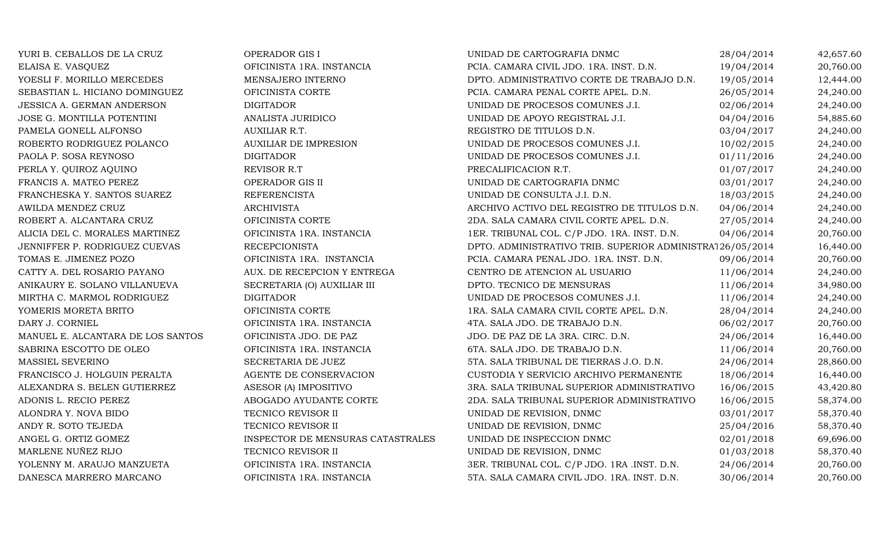YURI B. CEBALLOS DE LA CRUZ COPERADOR GIS I UNIDAD DE CARTOGRAFIA DNMC 28/04/2014 42,657.60 ELAISA E. VASQUEZ OFICINISTA 1RA. INSTANCIA PCIA. CAMARA CIVIL JDO. 1RA. INST. D.N. 19/04/2014 20,760.00 YOESLI F. MORILLO MERCEDES MENSAJERO INTERNO DERICO DE DETO. ADMINISTRATIVO CORTE DE TRABAJO D.N. 19/05/2014 12,444.00<br>24,240.00 DEBASTIAN L. HICIANO DOMINGUEZ OFICINISTA CORTE DE SANARA PENAL CORTE APEL. D.N. 26/05/2014 2 SEBASTIAN L. HICIANO DOMINGUEZ OFICINISTA CORTE PCIA. CAMARA PENAL CORTE APEL. D.N. 26/05/2014 24,240.00 JESSICA A. GERMAN ANDERSON DIGITADOR UNIDAD DE PROCESOS COMUNES J.I. 02/06/2014 24,240.00 JOSE G. MONTILLA POTENTINI ANALISTA JURIDICO UNIDAD DE APOYO REGISTRAL J.I. 04/04/2016 54,885.60 PAMELA GONELL ALFONSO AUXILIAR R.T. REGISTRO DE TITULOS D.N. 03/04/2017 24,240.00 ROBERTO RODRIGUEZ POLANCO AUXILIAR DE IMPRESION UNIDAD DE PROCESOS COMUNES J.I. 10/02/2015 24,240.00<br>24,240.00 DIGITADOR UNIDAD DE PROCESOS COMUNES J.I. 01/11/2016 24,240.00 PAOLA P. SOSA REYNOSO DIGITADOR UNIDAD DE PROCESOS COMUNES J.I. 01/11/2016 24,240.00 PERLA Y. QUIROZ AQUINO REVISOR R.T REVISOR R.T PRECALIFICACION R.T. 001/07/2017 24,240.00 FRANCIS A. MATEO PEREZ CHERADOR GIS II CHERADOR GIS EN COPERADOR GIS EN CORTOGRAFIA DNMC OS/01/2017 24,240.00 FRANCHESKA Y. SANTOS SUAREZ REFERENCISTA UNIDAD DE CONSULTA J.I. D.N. 18/03/2015 24,240.00 AWILDA MENDEZ CRUZ ARCHIVISTA ARCHIVO ACTIVO DEL REGISTRO DE TITULOS D.N. 04/06/2014 24,240.00 ROBERT A. ALCANTARA CRUZ OFICINISTA CORTE 2DA. SALA CAMARA CIVIL CORTE APEL. D.N. 27/05/2014 24,240.00 ALICIA DEL C. MORALES MARTINEZ OFICINISTA 1RA. INSTANCIA 1ER. TRIBUNAL COL. C/P JDO. 1RA. INST. D.N. 04/06/2014 20,760.00 JENNIFFER P. RODRIGUEZ CUEVAS RECEPCIONISTA DPTO. ADMINISTRATIVO TRIB. SUPERIOR ADMINISTRATIVO 26/05/2014 16,440.00 TOMAS E. JIMENEZ POZO OFICINISTA 1RA. INSTANCIA PCIA. CAMARA PENAL JDO. 1RA. INST. D.N. 09/06/2014 20,760.00 CATTY A. DEL ROSARIO PAYANO AUX. DE RECEPCION Y ENTREGA CENTRO DE ATENCION AL USUARIO 11/06/2014 24,240.00 ANIKAURY E. SOLANO VILLANUEVA SECRETARIA (O) AUXILIAR III DPTO. TECNICO DE MENSURAS 11/06/2014 34,980.00 MIRTHA C. MARMOL RODRIGUEZ DIGITADOR UNIDAD DE PROCESOS COMUNES J.I. 11/06/2014 24,240.00 YOMERIS MORETA BRITO OFICINISTA CORTE 1RA. SALA CAMARA CIVIL CORTE APEL. D.N. 28/04/2014 24,240.00 DARY J. CORNIEL OFICINISTA 1RA. INSTANCIA 4TA. SALA JDO. DE TRABAJO D.N. 06/02/2017 20,760.00 MANUEL E. ALCANTARA DE LOS SANTOS OFICINISTA JDO. DE PAZ UN SALA JDO. DE PAZ DE LA 3RA. CIRC. D.N. 24/06/2014 16,440.00<br>SABRINA ESCOTTO DE OLEO OFICINISTA 1RA. INSTANCIA 6TA. SALA JDO. DE TRABAJO D.N. 11/06/2014 20.760.00 SABRINA ESCOTTO DE OLEO CONTENTA OFICINISTA 1RA. INSTANCIA GOSTA. SALA JDO. DE TRABAJO D.N. 11/06/2014 20,760.00 MASSIEL SEVERINO SECRETARIA DE JUEZ 5TA. SALA TRIBUNAL DE TIERRAS J.O. D.N. 24/06/2014 28,860.00 FRANCISCO J. HOLGUIN PERALTA AGENTE DE CONSERVACION CUSTODIA Y SERVICIO ARCHIVO PERMANENTE 18/06/2014 16,440.00 ALEXANDRA S. BELEN GUTIERREZ ASESOR (A) IMPOSITIVO 3RA. SALA TRIBUNAL SUPERIOR ADMINISTRATIVO 16/06/2015 43,420.80 ADONIS L. RECIO PEREZ ABOGADO AYUDANTE CORTE 2DA. SALA TRIBUNAL SUPERIOR ADMINISTRATIVO 16/06/2015 58,374.00<br>ALONDRA Y. NOVA BIDO TECNICO REVISOR II UNIDAD DE REVISION, DNMC 03/01/2017 58,370.40 ALONDRA Y. NOVA BIDO CHECNICO REVISOR II UNIDAD DE REVISION, DNMC 63/01/2017 58,370.40 ANDY R. SOTO TEJEDA TECNICO REVISOR II UNIDAD DE REVISION, DNMC 25/04/2016 58,370.40 ANGEL G. ORTIZ GOMEZ INSPECTOR DE MENSURAS CATASTRALES UNIDAD DE INSPECCION DNMC 02/01/2018 69,696.00 MARLENE NUÑEZ RIJO SARAN DE TECNICO REVISOR II CONDAD DE REVISION, DNMC DE REVISION, ON SARANG DE SARANG DE SA VOLENNY M. ARAUJO MANZUETA OFICINISTA 1RA. INSTANCIA 3ER. TRIBUNAL COL. C/P JDO. 1RA .INST. D.N. 24/06/2014 20,760.00<br>DANESCA MARRERO MARCANO OFICINISTA 1RA. INSTANCIA 5TA. SALA CAMARA CIVIL JDO. 1RA. INST. D.N. 30/06/2014 5TA. SALA CAMARA CIVIL JDO. 1RA. INST. D.N.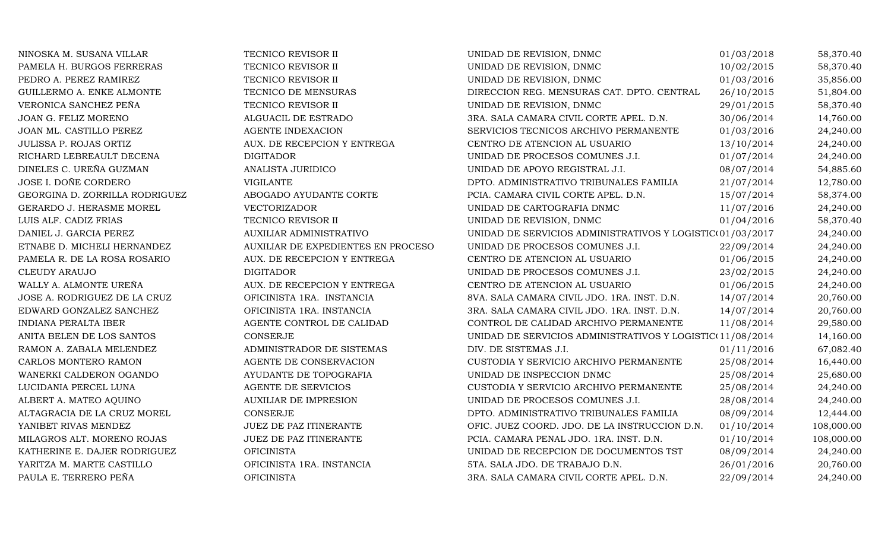| NINOSKA M. SUSANA VILLAR       | TECNICO REVISOR II                 | UNIDAD DE REVISION, DNMC                                  | 01/03/2018 | 58,370.40  |
|--------------------------------|------------------------------------|-----------------------------------------------------------|------------|------------|
| PAMELA H. BURGOS FERRERAS      | TECNICO REVISOR II                 | UNIDAD DE REVISION, DNMC                                  | 10/02/2015 | 58,370.40  |
| PEDRO A. PEREZ RAMIREZ         | TECNICO REVISOR II                 | UNIDAD DE REVISION, DNMC                                  | 01/03/2016 | 35,856.00  |
| GUILLERMO A. ENKE ALMONTE      | TECNICO DE MENSURAS                | DIRECCION REG. MENSURAS CAT. DPTO. CENTRAL                | 26/10/2015 | 51,804.00  |
| VERONICA SANCHEZ PEÑA          | TECNICO REVISOR II                 | UNIDAD DE REVISION, DNMC                                  | 29/01/2015 | 58,370.40  |
| JOAN G. FELIZ MORENO           | ALGUACIL DE ESTRADO                | 3RA. SALA CAMARA CIVIL CORTE APEL. D.N.                   | 30/06/2014 | 14,760.00  |
| JOAN ML. CASTILLO PEREZ        | AGENTE INDEXACION                  | SERVICIOS TECNICOS ARCHIVO PERMANENTE                     | 01/03/2016 | 24,240.00  |
| JULISSA P. ROJAS ORTIZ         | AUX. DE RECEPCION Y ENTREGA        | CENTRO DE ATENCION AL USUARIO                             | 13/10/2014 | 24,240.00  |
| RICHARD LEBREAULT DECENA       | <b>DIGITADOR</b>                   | UNIDAD DE PROCESOS COMUNES J.I.                           | 01/07/2014 | 24,240.00  |
| DINELES C. UREÑA GUZMAN        | ANALISTA JURIDICO                  | UNIDAD DE APOYO REGISTRAL J.I.                            | 08/07/2014 | 54,885.60  |
| JOSE I. DOÑE CORDERO           | <b>VIGILANTE</b>                   | DPTO. ADMINISTRATIVO TRIBUNALES FAMILIA                   | 21/07/2014 | 12,780.00  |
| GEORGINA D. ZORRILLA RODRIGUEZ | ABOGADO AYUDANTE CORTE             | PCIA. CAMARA CIVIL CORTE APEL. D.N.                       | 15/07/2014 | 58,374.00  |
| GERARDO J. HERASME MOREL       | VECTORIZADOR                       | UNIDAD DE CARTOGRAFIA DNMC                                | 11/07/2016 | 24,240.00  |
| LUIS ALF. CADIZ FRIAS          | TECNICO REVISOR II                 | UNIDAD DE REVISION, DNMC                                  | 01/04/2016 | 58,370.40  |
| DANIEL J. GARCIA PEREZ         | AUXILIAR ADMINISTRATIVO            | UNIDAD DE SERVICIOS ADMINISTRATIVOS Y LOGISTIC(01/03/2017 |            | 24,240.00  |
| ETNABE D. MICHELI HERNANDEZ    | AUXILIAR DE EXPEDIENTES EN PROCESO | UNIDAD DE PROCESOS COMUNES J.I.                           | 22/09/2014 | 24,240.00  |
| PAMELA R. DE LA ROSA ROSARIO   | AUX. DE RECEPCION Y ENTREGA        | CENTRO DE ATENCION AL USUARIO                             | 01/06/2015 | 24,240.00  |
| CLEUDY ARAUJO                  | <b>DIGITADOR</b>                   | UNIDAD DE PROCESOS COMUNES J.I.                           | 23/02/2015 | 24,240.00  |
| WALLY A. ALMONTE UREÑA         | AUX. DE RECEPCION Y ENTREGA        | CENTRO DE ATENCION AL USUARIO                             | 01/06/2015 | 24,240.00  |
| JOSE A. RODRIGUEZ DE LA CRUZ   | OFICINISTA 1RA. INSTANCIA          | 8VA. SALA CAMARA CIVIL JDO. 1RA. INST. D.N.               | 14/07/2014 | 20,760.00  |
| EDWARD GONZALEZ SANCHEZ        | OFICINISTA 1RA. INSTANCIA          | 3RA. SALA CAMARA CIVIL JDO. 1RA. INST. D.N.               | 14/07/2014 | 20,760.00  |
| INDIANA PERALTA IBER           | AGENTE CONTROL DE CALIDAD          | CONTROL DE CALIDAD ARCHIVO PERMANENTE                     | 11/08/2014 | 29,580.00  |
| ANITA BELEN DE LOS SANTOS      | <b>CONSERJE</b>                    | UNIDAD DE SERVICIOS ADMINISTRATIVOS Y LOGISTIC(11/08/2014 |            | 14,160.00  |
| RAMON A. ZABALA MELENDEZ       | ADMINISTRADOR DE SISTEMAS          | DIV. DE SISTEMAS J.I.                                     | 01/11/2016 | 67,082.40  |
| CARLOS MONTERO RAMON           | AGENTE DE CONSERVACION             | CUSTODIA Y SERVICIO ARCHIVO PERMANENTE                    | 25/08/2014 | 16,440.00  |
| WANERKI CALDERON OGANDO        | AYUDANTE DE TOPOGRAFIA             | UNIDAD DE INSPECCION DNMC                                 | 25/08/2014 | 25,680.00  |
| LUCIDANIA PERCEL LUNA          | AGENTE DE SERVICIOS                | CUSTODIA Y SERVICIO ARCHIVO PERMANENTE                    | 25/08/2014 | 24,240.00  |
| ALBERT A. MATEO AQUINO         | <b>AUXILIAR DE IMPRESION</b>       | UNIDAD DE PROCESOS COMUNES J.I.                           | 28/08/2014 | 24,240.00  |
| ALTAGRACIA DE LA CRUZ MOREL    | CONSERJE                           | DPTO. ADMINISTRATIVO TRIBUNALES FAMILIA                   | 08/09/2014 | 12,444.00  |
| YANIBET RIVAS MENDEZ           | <b>JUEZ DE PAZ ITINERANTE</b>      | OFIC. JUEZ COORD. JDO. DE LA INSTRUCCION D.N.             | 01/10/2014 | 108,000.00 |
| MILAGROS ALT. MORENO ROJAS     | JUEZ DE PAZ ITINERANTE             | PCIA. CAMARA PENAL JDO. 1RA. INST. D.N.                   | 01/10/2014 | 108,000.00 |
| KATHERINE E. DAJER RODRIGUEZ   | <b>OFICINISTA</b>                  | UNIDAD DE RECEPCION DE DOCUMENTOS TST                     | 08/09/2014 | 24,240.00  |
| YARITZA M. MARTE CASTILLO      | OFICINISTA 1RA. INSTANCIA          | 5TA. SALA JDO. DE TRABAJO D.N.                            | 26/01/2016 | 20,760.00  |
| PAULA E. TERRERO PEÑA          | <b>OFICINISTA</b>                  | 3RA. SALA CAMARA CIVIL CORTE APEL. D.N.                   | 22/09/2014 | 24,240.00  |
|                                |                                    |                                                           |            |            |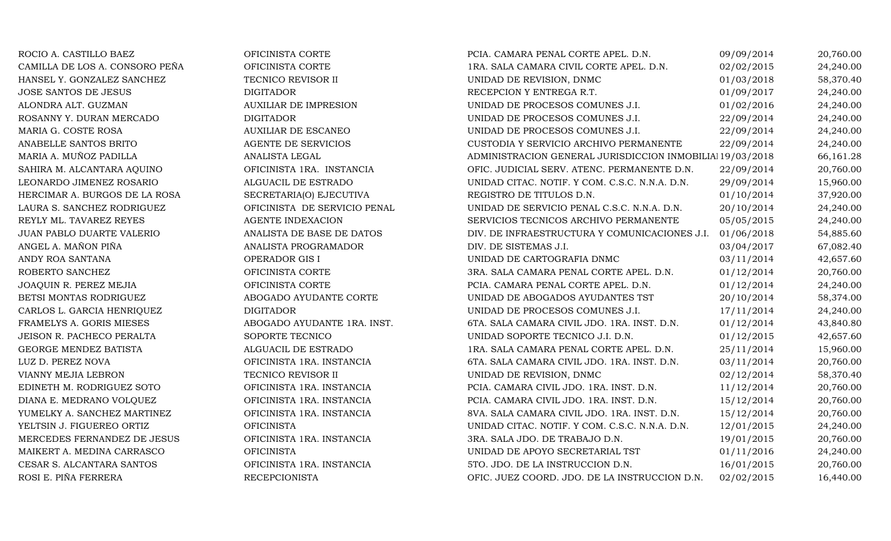| ROCIO A. CASTILLO BAEZ         | OFICINISTA CORTE             | PCIA. CAMARA PENAL CORTE APEL. D.N.                       | 09/09/2014 | 20,760.00 |
|--------------------------------|------------------------------|-----------------------------------------------------------|------------|-----------|
| CAMILLA DE LOS A. CONSORO PEÑA | OFICINISTA CORTE             | 1RA. SALA CAMARA CIVIL CORTE APEL. D.N.                   | 02/02/2015 | 24,240.00 |
| HANSEL Y. GONZALEZ SANCHEZ     | TECNICO REVISOR II           | UNIDAD DE REVISION, DNMC                                  | 01/03/2018 | 58,370.40 |
| JOSE SANTOS DE JESUS           | <b>DIGITADOR</b>             | RECEPCION Y ENTREGA R.T.                                  | 01/09/2017 | 24,240.00 |
| ALONDRA ALT. GUZMAN            | <b>AUXILIAR DE IMPRESION</b> | UNIDAD DE PROCESOS COMUNES J.I.                           | 01/02/2016 | 24,240.00 |
| ROSANNY Y. DURAN MERCADO       | <b>DIGITADOR</b>             | UNIDAD DE PROCESOS COMUNES J.I.                           | 22/09/2014 | 24,240.00 |
| MARIA G. COSTE ROSA            | <b>AUXILIAR DE ESCANEO</b>   | UNIDAD DE PROCESOS COMUNES J.I.                           | 22/09/2014 | 24,240.00 |
| ANABELLE SANTOS BRITO          | AGENTE DE SERVICIOS          | CUSTODIA Y SERVICIO ARCHIVO PERMANENTE                    | 22/09/2014 | 24,240.00 |
| MARIA A. MUÑOZ PADILLA         | ANALISTA LEGAL               | ADMINISTRACION GENERAL JURISDICCION INMOBILIAl 19/03/2018 |            | 66,161.28 |
| SAHIRA M. ALCANTARA AQUINO     | OFICINISTA 1RA. INSTANCIA    | OFIC. JUDICIAL SERV. ATENC. PERMANENTE D.N.               | 22/09/2014 | 20,760.00 |
| LEONARDO JIMENEZ ROSARIO       | ALGUACIL DE ESTRADO          | UNIDAD CITAC. NOTIF. Y COM. C.S.C. N.N.A. D.N.            | 29/09/2014 | 15,960.00 |
| HERCIMAR A. BURGOS DE LA ROSA  | SECRETARIA(O) EJECUTIVA      | REGISTRO DE TITULOS D.N.                                  | 01/10/2014 | 37,920.00 |
| LAURA S. SANCHEZ RODRIGUEZ     | OFICINISTA DE SERVICIO PENAL | UNIDAD DE SERVICIO PENAL C.S.C. N.N.A. D.N.               | 20/10/2014 | 24,240.00 |
| REYLY ML. TAVAREZ REYES        | <b>AGENTE INDEXACION</b>     | SERVICIOS TECNICOS ARCHIVO PERMANENTE                     | 05/05/2015 | 24,240.00 |
| JUAN PABLO DUARTE VALERIO      | ANALISTA DE BASE DE DATOS    | DIV. DE INFRAESTRUCTURA Y COMUNICACIONES J.I.             | 01/06/2018 | 54,885.60 |
| ANGEL A. MAÑON PIÑA            | ANALISTA PROGRAMADOR         | DIV. DE SISTEMAS J.I.                                     | 03/04/2017 | 67,082.40 |
| ANDY ROA SANTANA               | OPERADOR GIS I               | UNIDAD DE CARTOGRAFIA DNMC                                | 03/11/2014 | 42,657.60 |
| ROBERTO SANCHEZ                | OFICINISTA CORTE             | 3RA. SALA CAMARA PENAL CORTE APEL. D.N.                   | 01/12/2014 | 20,760.00 |
| JOAQUIN R. PEREZ MEJIA         | OFICINISTA CORTE             | PCIA. CAMARA PENAL CORTE APEL. D.N.                       | 01/12/2014 | 24,240.00 |
| BETSI MONTAS RODRIGUEZ         | ABOGADO AYUDANTE CORTE       | UNIDAD DE ABOGADOS AYUDANTES TST                          | 20/10/2014 | 58,374.00 |
| CARLOS L. GARCIA HENRIQUEZ     | <b>DIGITADOR</b>             | UNIDAD DE PROCESOS COMUNES J.I.                           | 17/11/2014 | 24,240.00 |
| FRAMELYS A. GORIS MIESES       | ABOGADO AYUDANTE 1RA. INST.  | 6TA. SALA CAMARA CIVIL JDO. 1RA. INST. D.N.               | 01/12/2014 | 43,840.80 |
| JEISON R. PACHECO PERALTA      | SOPORTE TECNICO              | UNIDAD SOPORTE TECNICO J.I. D.N.                          | 01/12/2015 | 42,657.60 |
| GEORGE MENDEZ BATISTA          | ALGUACIL DE ESTRADO          | 1RA. SALA CAMARA PENAL CORTE APEL. D.N.                   | 25/11/2014 | 15,960.00 |
| LUZ D. PEREZ NOVA              | OFICINISTA 1RA. INSTANCIA    | 6TA. SALA CAMARA CIVIL JDO. 1RA. INST. D.N.               | 03/11/2014 | 20,760.00 |
| VIANNY MEJIA LEBRON            | TECNICO REVISOR II           | UNIDAD DE REVISION, DNMC                                  | 02/12/2014 | 58,370.40 |
| EDINETH M. RODRIGUEZ SOTO      | OFICINISTA 1RA. INSTANCIA    | PCIA. CAMARA CIVIL JDO. 1RA. INST. D.N.                   | 11/12/2014 | 20,760.00 |
| DIANA E. MEDRANO VOLQUEZ       | OFICINISTA 1RA. INSTANCIA    | PCIA. CAMARA CIVIL JDO. 1RA. INST. D.N.                   | 15/12/2014 | 20,760.00 |
| YUMELKY A. SANCHEZ MARTINEZ    | OFICINISTA 1RA. INSTANCIA    | 8VA. SALA CAMARA CIVIL JDO. 1RA. INST. D.N.               | 15/12/2014 | 20,760.00 |
| YELTSIN J. FIGUEREO ORTIZ      | <b>OFICINISTA</b>            | UNIDAD CITAC. NOTIF. Y COM. C.S.C. N.N.A. D.N.            | 12/01/2015 | 24,240.00 |
| MERCEDES FERNANDEZ DE JESUS    | OFICINISTA 1RA. INSTANCIA    | 3RA. SALA JDO. DE TRABAJO D.N.                            | 19/01/2015 | 20,760.00 |
| MAIKERT A. MEDINA CARRASCO     | <b>OFICINISTA</b>            | UNIDAD DE APOYO SECRETARIAL TST                           | 01/11/2016 | 24,240.00 |
| CESAR S. ALCANTARA SANTOS      | OFICINISTA 1RA. INSTANCIA    | 5TO. JDO. DE LA INSTRUCCION D.N.                          | 16/01/2015 | 20,760.00 |
| ROSI E. PIÑA FERRERA           | <b>RECEPCIONISTA</b>         | OFIC. JUEZ COORD. JDO. DE LA INSTRUCCION D.N.             | 02/02/2015 | 16,440.00 |
|                                |                              |                                                           |            |           |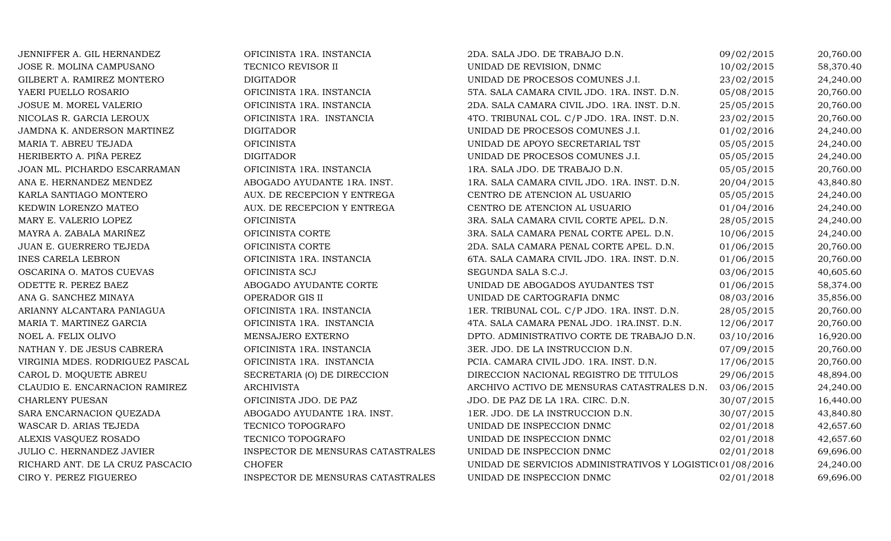| JENNIFFER A. GIL HERNANDEZ       | OFICINISTA 1RA. INSTANCIA         | 2DA. SALA JDO. DE TRABAJO D.N.                            | 09/02/2015 | 20,760.00 |
|----------------------------------|-----------------------------------|-----------------------------------------------------------|------------|-----------|
| JOSE R. MOLINA CAMPUSANO         | TECNICO REVISOR II                | UNIDAD DE REVISION, DNMC                                  | 10/02/2015 | 58,370.40 |
| GILBERT A. RAMIREZ MONTERO       | <b>DIGITADOR</b>                  | UNIDAD DE PROCESOS COMUNES J.I.                           | 23/02/2015 | 24,240.00 |
| YAERI PUELLO ROSARIO             | OFICINISTA 1RA. INSTANCIA         | 5TA. SALA CAMARA CIVIL JDO. 1RA. INST. D.N.               | 05/08/2015 | 20,760.00 |
| JOSUE M. MOREL VALERIO           | OFICINISTA 1RA. INSTANCIA         | 2DA. SALA CAMARA CIVIL JDO. 1RA. INST. D.N.               | 25/05/2015 | 20,760.00 |
| NICOLAS R. GARCIA LEROUX         | OFICINISTA 1RA. INSTANCIA         | 4TO. TRIBUNAL COL. C/P JDO. 1RA. INST. D.N.               | 23/02/2015 | 20,760.00 |
| JAMDNA K. ANDERSON MARTINEZ      | <b>DIGITADOR</b>                  | UNIDAD DE PROCESOS COMUNES J.I.                           | 01/02/2016 | 24,240.00 |
| MARIA T. ABREU TEJADA            | <b>OFICINISTA</b>                 | UNIDAD DE APOYO SECRETARIAL TST                           | 05/05/2015 | 24,240.00 |
| HERIBERTO A. PIÑA PEREZ          | <b>DIGITADOR</b>                  | UNIDAD DE PROCESOS COMUNES J.I.                           | 05/05/2015 | 24,240.00 |
| JOAN ML. PICHARDO ESCARRAMAN     | OFICINISTA 1RA. INSTANCIA         | 1RA. SALA JDO. DE TRABAJO D.N.                            | 05/05/2015 | 20,760.00 |
| ANA E. HERNANDEZ MENDEZ          | ABOGADO AYUDANTE 1RA. INST.       | 1RA. SALA CAMARA CIVIL JDO. 1RA. INST. D.N.               | 20/04/2015 | 43,840.80 |
| KARLA SANTIAGO MONTERO           | AUX. DE RECEPCION Y ENTREGA       | CENTRO DE ATENCION AL USUARIO                             | 05/05/2015 | 24,240.00 |
| KEDWIN LORENZO MATEO             | AUX. DE RECEPCION Y ENTREGA       | CENTRO DE ATENCION AL USUARIO                             | 01/04/2016 | 24,240.00 |
| MARY E. VALERIO LOPEZ            | <b>OFICINISTA</b>                 | 3RA. SALA CAMARA CIVIL CORTE APEL. D.N.                   | 28/05/2015 | 24,240.00 |
| MAYRA A. ZABALA MARIÑEZ          | OFICINISTA CORTE                  | 3RA. SALA CAMARA PENAL CORTE APEL. D.N.                   | 10/06/2015 | 24,240.00 |
| JUAN E. GUERRERO TEJEDA          | OFICINISTA CORTE                  | 2DA. SALA CAMARA PENAL CORTE APEL. D.N.                   | 01/06/2015 | 20,760.00 |
| <b>INES CARELA LEBRON</b>        | OFICINISTA 1RA. INSTANCIA         | 6TA. SALA CAMARA CIVIL JDO. 1RA. INST. D.N.               | 01/06/2015 | 20,760.00 |
| OSCARINA O. MATOS CUEVAS         | OFICINISTA SCJ                    | SEGUNDA SALA S.C.J.                                       | 03/06/2015 | 40,605.60 |
| ODETTE R. PEREZ BAEZ             | ABOGADO AYUDANTE CORTE            | UNIDAD DE ABOGADOS AYUDANTES TST                          | 01/06/2015 | 58,374.00 |
| ANA G. SANCHEZ MINAYA            | OPERADOR GIS II                   | UNIDAD DE CARTOGRAFIA DNMC                                | 08/03/2016 | 35,856.00 |
| ARIANNY ALCANTARA PANIAGUA       | OFICINISTA 1RA. INSTANCIA         | 1ER. TRIBUNAL COL. C/P JDO. 1RA. INST. D.N.               | 28/05/2015 | 20,760.00 |
| MARIA T. MARTINEZ GARCIA         | OFICINISTA 1RA. INSTANCIA         | 4TA. SALA CAMARA PENAL JDO. 1RA.INST. D.N.                | 12/06/2017 | 20,760.00 |
| NOEL A. FELIX OLIVO              | MENSAJERO EXTERNO                 | DPTO. ADMINISTRATIVO CORTE DE TRABAJO D.N.                | 03/10/2016 | 16,920.00 |
| NATHAN Y. DE JESUS CABRERA       | OFICINISTA 1RA. INSTANCIA         | 3ER. JDO. DE LA INSTRUCCION D.N.                          | 07/09/2015 | 20,760.00 |
| VIRGINIA MDES. RODRIGUEZ PASCAL  | OFICINISTA 1RA. INSTANCIA         | PCIA. CAMARA CIVIL JDO. 1RA. INST. D.N.                   | 17/06/2015 | 20,760.00 |
| CAROL D. MOQUETE ABREU           | SECRETARIA (O) DE DIRECCION       | DIRECCION NACIONAL REGISTRO DE TITULOS                    | 29/06/2015 | 48,894.00 |
| CLAUDIO E. ENCARNACION RAMIREZ   | <b>ARCHIVISTA</b>                 | ARCHIVO ACTIVO DE MENSURAS CATASTRALES D.N.               | 03/06/2015 | 24,240.00 |
| <b>CHARLENY PUESAN</b>           | OFICINISTA JDO. DE PAZ            | JDO. DE PAZ DE LA 1RA. CIRC. D.N.                         | 30/07/2015 | 16,440.00 |
| SARA ENCARNACION QUEZADA         | ABOGADO AYUDANTE 1RA. INST.       | 1ER. JDO. DE LA INSTRUCCION D.N.                          | 30/07/2015 | 43,840.80 |
| WASCAR D. ARIAS TEJEDA           | TECNICO TOPOGRAFO                 | UNIDAD DE INSPECCION DNMC                                 | 02/01/2018 | 42,657.60 |
| ALEXIS VASQUEZ ROSADO            | TECNICO TOPOGRAFO                 | UNIDAD DE INSPECCION DNMC                                 | 02/01/2018 | 42,657.60 |
| JULIO C. HERNANDEZ JAVIER        | INSPECTOR DE MENSURAS CATASTRALES | UNIDAD DE INSPECCION DNMC                                 | 02/01/2018 | 69,696.00 |
| RICHARD ANT. DE LA CRUZ PASCACIO | <b>CHOFER</b>                     | UNIDAD DE SERVICIOS ADMINISTRATIVOS Y LOGISTIC(01/08/2016 |            | 24,240.00 |
| CIRO Y. PEREZ FIGUEREO           | INSPECTOR DE MENSURAS CATASTRALES | UNIDAD DE INSPECCION DNMC                                 | 02/01/2018 | 69,696.00 |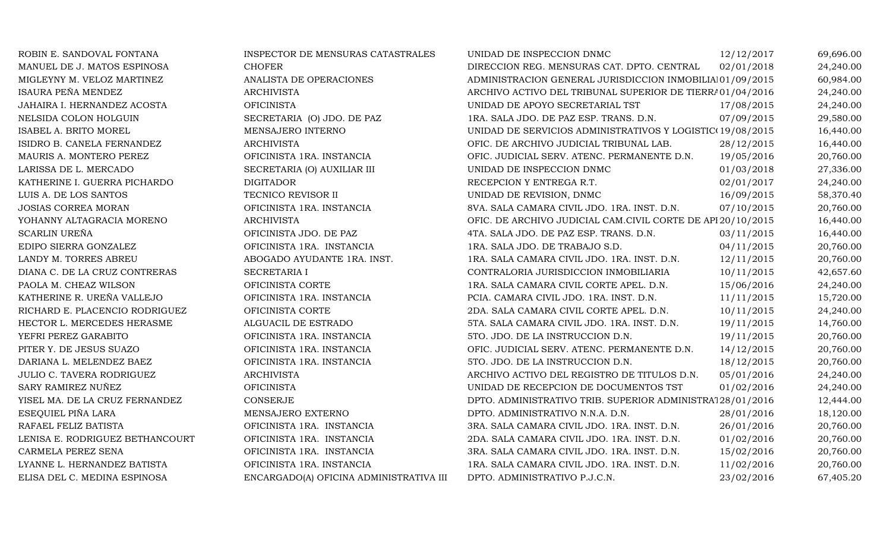| ROBIN E. SANDOVAL FONTANA       | INSPECTOR DE MENSURAS CATASTRALES       | UNIDAD DE INSPECCION DNMC                                   | 12/12/2017 | 69,696.00 |
|---------------------------------|-----------------------------------------|-------------------------------------------------------------|------------|-----------|
| MANUEL DE J. MATOS ESPINOSA     | <b>CHOFER</b>                           | DIRECCION REG. MENSURAS CAT. DPTO. CENTRAL                  | 02/01/2018 | 24,240.00 |
| MIGLEYNY M. VELOZ MARTINEZ      | ANALISTA DE OPERACIONES                 | ADMINISTRACION GENERAL JURISDICCION INMOBILIAI01/09/2015    |            | 60,984.00 |
| ISAURA PEÑA MENDEZ              | <b>ARCHIVISTA</b>                       | ARCHIVO ACTIVO DEL TRIBUNAL SUPERIOR DE TIERRA01/04/2016    |            | 24,240.00 |
| JAHAIRA I. HERNANDEZ ACOSTA     | <b>OFICINISTA</b>                       | UNIDAD DE APOYO SECRETARIAL TST                             | 17/08/2015 | 24,240.00 |
| NELSIDA COLON HOLGUIN           | SECRETARIA (O) JDO. DE PAZ              | 1RA. SALA JDO. DE PAZ ESP. TRANS. D.N.                      | 07/09/2015 | 29,580.00 |
| ISABEL A. BRITO MOREL           | MENSAJERO INTERNO                       | UNIDAD DE SERVICIOS ADMINISTRATIVOS Y LOGISTIC(19/08/2015   |            | 16,440.00 |
| ISIDRO B. CANELA FERNANDEZ      | <b>ARCHIVISTA</b>                       | OFIC. DE ARCHIVO JUDICIAL TRIBUNAL LAB.                     | 28/12/2015 | 16,440.00 |
| MAURIS A. MONTERO PEREZ         | OFICINISTA 1RA. INSTANCIA               | OFIC. JUDICIAL SERV. ATENC. PERMANENTE D.N.                 | 19/05/2016 | 20,760.00 |
| LARISSA DE L. MERCADO           | SECRETARIA (O) AUXILIAR III             | UNIDAD DE INSPECCION DNMC                                   | 01/03/2018 | 27,336.00 |
| KATHERINE I. GUERRA PICHARDO    | <b>DIGITADOR</b>                        | RECEPCION Y ENTREGA R.T.                                    | 02/01/2017 | 24,240.00 |
| LUIS A. DE LOS SANTOS           | TECNICO REVISOR II                      | UNIDAD DE REVISION, DNMC                                    | 16/09/2015 | 58,370.40 |
| <b>JOSIAS CORREA MORAN</b>      | OFICINISTA 1RA. INSTANCIA               | 8VA. SALA CAMARA CIVIL JDO. 1RA. INST. D.N.                 | 07/10/2015 | 20,760.00 |
| YOHANNY ALTAGRACIA MORENO       | <b>ARCHIVISTA</b>                       | OFIC. DE ARCHIVO JUDICIAL CAM.CIVIL CORTE DE API 20/10/2015 |            | 16,440.00 |
| <b>SCARLIN UREÑA</b>            | OFICINISTA JDO. DE PAZ                  | 4TA. SALA JDO. DE PAZ ESP. TRANS. D.N.                      | 03/11/2015 | 16,440.00 |
| EDIPO SIERRA GONZALEZ           | OFICINISTA 1RA. INSTANCIA               | 1RA. SALA JDO. DE TRABAJO S.D.                              | 04/11/2015 | 20,760.00 |
| LANDY M. TORRES ABREU           | ABOGADO AYUDANTE 1RA. INST.             | 1RA. SALA CAMARA CIVIL JDO. 1RA. INST. D.N.                 | 12/11/2015 | 20,760.00 |
| DIANA C. DE LA CRUZ CONTRERAS   | SECRETARIA I                            | CONTRALORIA JURISDICCION INMOBILIARIA                       | 10/11/2015 | 42,657.60 |
| PAOLA M. CHEAZ WILSON           | OFICINISTA CORTE                        | 1RA. SALA CAMARA CIVIL CORTE APEL. D.N.                     | 15/06/2016 | 24,240.00 |
| KATHERINE R. UREÑA VALLEJO      | OFICINISTA 1RA. INSTANCIA               | PCIA. CAMARA CIVIL JDO. 1RA. INST. D.N.                     | 11/11/2015 | 15,720.00 |
| RICHARD E. PLACENCIO RODRIGUEZ  | OFICINISTA CORTE                        | 2DA. SALA CAMARA CIVIL CORTE APEL. D.N.                     | 10/11/2015 | 24,240.00 |
| HECTOR L. MERCEDES HERASME      | ALGUACIL DE ESTRADO                     | 5TA. SALA CAMARA CIVIL JDO. 1RA. INST. D.N.                 | 19/11/2015 | 14,760.00 |
| YEFRI PEREZ GARABITO            | OFICINISTA 1RA. INSTANCIA               | 5TO. JDO. DE LA INSTRUCCION D.N.                            | 19/11/2015 | 20,760.00 |
| PITER Y. DE JESUS SUAZO         | OFICINISTA 1RA. INSTANCIA               | OFIC. JUDICIAL SERV. ATENC. PERMANENTE D.N.                 | 14/12/2015 | 20,760.00 |
| DARIANA L. MELENDEZ BAEZ        | OFICINISTA 1RA. INSTANCIA               | 5TO. JDO. DE LA INSTRUCCION D.N.                            | 18/12/2015 | 20,760.00 |
| JULIO C. TAVERA RODRIGUEZ       | <b>ARCHIVISTA</b>                       | ARCHIVO ACTIVO DEL REGISTRO DE TITULOS D.N.                 | 05/01/2016 | 24,240.00 |
| SARY RAMIREZ NUÑEZ              | <b>OFICINISTA</b>                       | UNIDAD DE RECEPCION DE DOCUMENTOS TST                       | 01/02/2016 | 24,240.00 |
| YISEL MA. DE LA CRUZ FERNANDEZ  | CONSERJE                                | DPTO. ADMINISTRATIVO TRIB. SUPERIOR ADMINISTRA128/01/2016   |            | 12,444.00 |
| ESEQUIEL PIÑA LARA              | MENSAJERO EXTERNO                       | DPTO. ADMINISTRATIVO N.N.A. D.N.                            | 28/01/2016 | 18,120.00 |
| RAFAEL FELIZ BATISTA            | OFICINISTA 1RA. INSTANCIA               | 3RA. SALA CAMARA CIVIL JDO. 1RA. INST. D.N.                 | 26/01/2016 | 20,760.00 |
| LENISA E. RODRIGUEZ BETHANCOURT | OFICINISTA 1RA. INSTANCIA               | 2DA. SALA CAMARA CIVIL JDO. 1RA. INST. D.N.                 | 01/02/2016 | 20,760.00 |
| CARMELA PEREZ SENA              | OFICINISTA 1RA. INSTANCIA               | 3RA. SALA CAMARA CIVIL JDO. 1RA. INST. D.N.                 | 15/02/2016 | 20,760.00 |
| LYANNE L. HERNANDEZ BATISTA     | OFICINISTA 1RA. INSTANCIA               | 1RA. SALA CAMARA CIVIL JDO. 1RA. INST. D.N.                 | 11/02/2016 | 20,760.00 |
| ELISA DEL C. MEDINA ESPINOSA    | ENCARGADO(A) OFICINA ADMINISTRATIVA III | DPTO. ADMINISTRATIVO P.J.C.N.                               | 23/02/2016 | 67,405.20 |
|                                 |                                         |                                                             |            |           |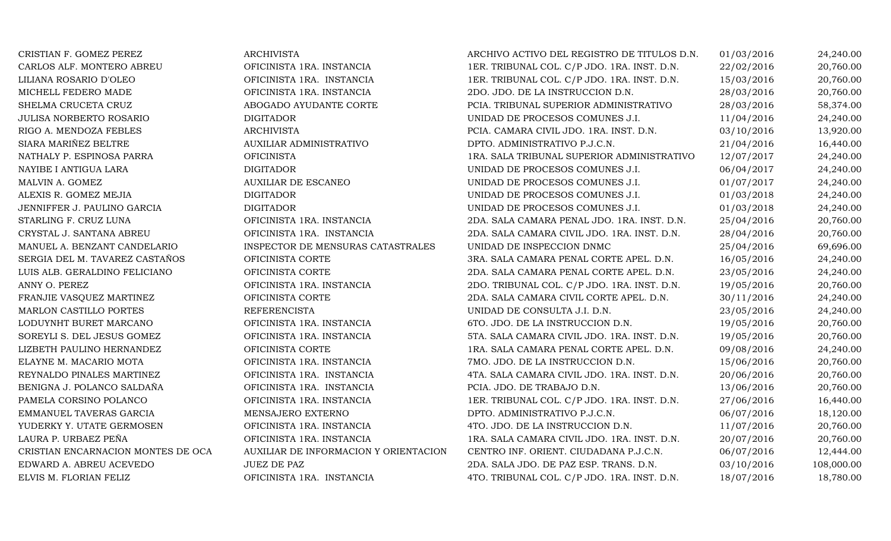| CRISTIAN F. GOMEZ PEREZ            | <b>ARCHIVISTA</b>                     | ARCHIVO ACTIVO DEL REGISTRO DE TITULOS D.N. | 01/03/2016 | 24,240.00  |
|------------------------------------|---------------------------------------|---------------------------------------------|------------|------------|
| CARLOS ALF. MONTERO ABREU          | OFICINISTA 1RA. INSTANCIA             | 1ER. TRIBUNAL COL. C/P JDO. 1RA. INST. D.N. | 22/02/2016 | 20,760.00  |
| LILIANA ROSARIO D'OLEO             | OFICINISTA 1RA. INSTANCIA             | 1ER. TRIBUNAL COL. C/P JDO. 1RA. INST. D.N. | 15/03/2016 | 20,760.00  |
| MICHELL FEDERO MADE                | OFICINISTA 1RA. INSTANCIA             | 2DO. JDO. DE LA INSTRUCCION D.N.            | 28/03/2016 | 20,760.00  |
| SHELMA CRUCETA CRUZ                | ABOGADO AYUDANTE CORTE                | PCIA. TRIBUNAL SUPERIOR ADMINISTRATIVO      | 28/03/2016 | 58,374.00  |
| JULISA NORBERTO ROSARIO            | <b>DIGITADOR</b>                      | UNIDAD DE PROCESOS COMUNES J.I.             | 11/04/2016 | 24,240.00  |
| RIGO A. MENDOZA FEBLES             | <b>ARCHIVISTA</b>                     | PCIA. CAMARA CIVIL JDO. 1RA. INST. D.N.     | 03/10/2016 | 13,920.00  |
| SIARA MARIÑEZ BELTRE               | AUXILIAR ADMINISTRATIVO               | DPTO. ADMINISTRATIVO P.J.C.N.               | 21/04/2016 | 16,440.00  |
| NATHALY P. ESPINOSA PARRA          | <b>OFICINISTA</b>                     | 1RA. SALA TRIBUNAL SUPERIOR ADMINISTRATIVO  | 12/07/2017 | 24,240.00  |
| NAYIBE I ANTIGUA LARA              | <b>DIGITADOR</b>                      | UNIDAD DE PROCESOS COMUNES J.I.             | 06/04/2017 | 24,240.00  |
| MALVIN A. GOMEZ                    | <b>AUXILIAR DE ESCANEO</b>            | UNIDAD DE PROCESOS COMUNES J.I.             | 01/07/2017 | 24,240.00  |
| ALEXIS R. GOMEZ MEJIA              | <b>DIGITADOR</b>                      | UNIDAD DE PROCESOS COMUNES J.I.             | 01/03/2018 | 24,240.00  |
| JENNIFFER J. PAULINO GARCIA        | <b>DIGITADOR</b>                      | UNIDAD DE PROCESOS COMUNES J.I.             | 01/03/2018 | 24,240.00  |
| STARLING F. CRUZ LUNA              | OFICINISTA 1RA. INSTANCIA             | 2DA. SALA CAMARA PENAL JDO. 1RA. INST. D.N. | 25/04/2016 | 20,760.00  |
| CRYSTAL J. SANTANA ABREU           | OFICINISTA 1RA. INSTANCIA             | 2DA. SALA CAMARA CIVIL JDO. 1RA. INST. D.N. | 28/04/2016 | 20,760.00  |
| MANUEL A. BENZANT CANDELARIO       | INSPECTOR DE MENSURAS CATASTRALES     | UNIDAD DE INSPECCION DNMC                   | 25/04/2016 | 69,696.00  |
| SERGIA DEL M. TAVAREZ CASTAÑOS     | OFICINISTA CORTE                      | 3RA. SALA CAMARA PENAL CORTE APEL. D.N.     | 16/05/2016 | 24,240.00  |
| LUIS ALB. GERALDINO FELICIANO      | OFICINISTA CORTE                      | 2DA. SALA CAMARA PENAL CORTE APEL. D.N.     | 23/05/2016 | 24,240.00  |
| ANNY O. PEREZ                      | OFICINISTA 1RA. INSTANCIA             | 2DO. TRIBUNAL COL. C/P JDO. 1RA. INST. D.N. | 19/05/2016 | 20,760.00  |
| FRANJIE VASQUEZ MARTINEZ           | OFICINISTA CORTE                      | 2DA. SALA CAMARA CIVIL CORTE APEL. D.N.     | 30/11/2016 | 24,240.00  |
| MARLON CASTILLO PORTES             | <b>REFERENCISTA</b>                   | UNIDAD DE CONSULTA J.I. D.N.                | 23/05/2016 | 24,240.00  |
| LODUYNHT BURET MARCANO             | OFICINISTA 1RA. INSTANCIA             | 6TO. JDO. DE LA INSTRUCCION D.N.            | 19/05/2016 | 20,760.00  |
| SOREYLI S. DEL JESUS GOMEZ         | OFICINISTA 1RA. INSTANCIA             | 5TA. SALA CAMARA CIVIL JDO. 1RA. INST. D.N. | 19/05/2016 | 20,760.00  |
| LIZBETH PAULINO HERNANDEZ          | OFICINISTA CORTE                      | 1RA. SALA CAMARA PENAL CORTE APEL. D.N.     | 09/08/2016 | 24,240.00  |
| ELAYNE M. MACARIO MOTA             | OFICINISTA 1RA. INSTANCIA             | 7MO. JDO. DE LA INSTRUCCION D.N.            | 15/06/2016 | 20,760.00  |
| REYNALDO PINALES MARTINEZ          | OFICINISTA 1RA. INSTANCIA             | 4TA. SALA CAMARA CIVIL JDO. 1RA. INST. D.N. | 20/06/2016 | 20,760.00  |
| BENIGNA J. POLANCO SALDAÑA         | OFICINISTA 1RA. INSTANCIA             | PCIA. JDO. DE TRABAJO D.N.                  | 13/06/2016 | 20,760.00  |
| PAMELA CORSINO POLANCO             | OFICINISTA 1RA. INSTANCIA             | 1ER. TRIBUNAL COL. C/P JDO. 1RA. INST. D.N. | 27/06/2016 | 16,440.00  |
| EMMANUEL TAVERAS GARCIA            | MENSAJERO EXTERNO                     | DPTO. ADMINISTRATIVO P.J.C.N.               | 06/07/2016 | 18,120.00  |
| YUDERKY Y. UTATE GERMOSEN          | OFICINISTA 1RA. INSTANCIA             | 4TO. JDO. DE LA INSTRUCCION D.N.            | 11/07/2016 | 20,760.00  |
| LAURA P. URBAEZ PEÑA               | OFICINISTA 1RA. INSTANCIA             | 1RA. SALA CAMARA CIVIL JDO. 1RA. INST. D.N. | 20/07/2016 | 20,760.00  |
| CRISTIAN ENCARNACION MONTES DE OCA | AUXILIAR DE INFORMACION Y ORIENTACION | CENTRO INF. ORIENT. CIUDADANA P.J.C.N.      | 06/07/2016 | 12,444.00  |
| EDWARD A. ABREU ACEVEDO            | <b>JUEZ DE PAZ</b>                    | 2DA. SALA JDO. DE PAZ ESP. TRANS. D.N.      | 03/10/2016 | 108,000.00 |
| ELVIS M. FLORIAN FELIZ             | OFICINISTA 1RA. INSTANCIA             | 4TO. TRIBUNAL COL. C/P JDO. 1RA. INST. D.N. | 18/07/2016 | 18,780.00  |
|                                    |                                       |                                             |            |            |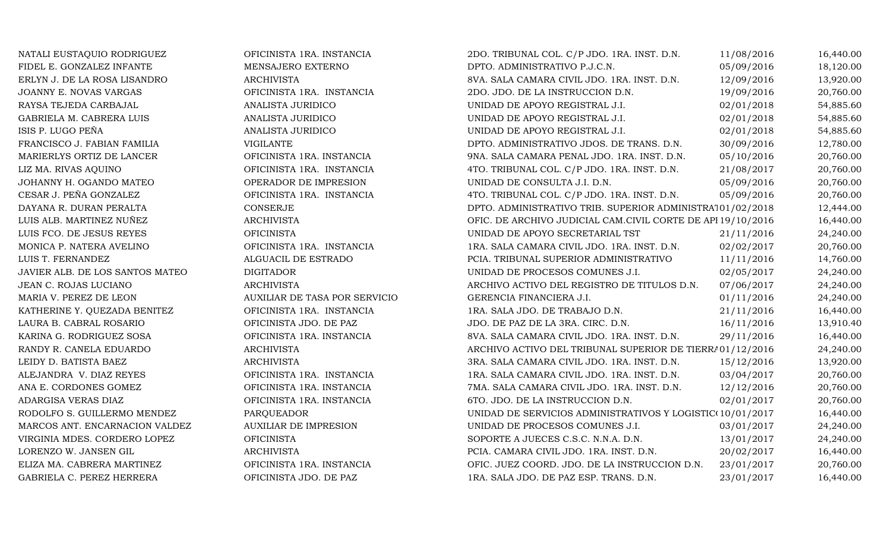| NATALI EUSTAQUIO RODRIGUEZ      | OFICINISTA 1RA. INSTANCIA     | 2DO. TRIBUNAL COL. C/P JDO. 1RA. INST. D.N.                 | 11/08/2016 | 16,440.00 |
|---------------------------------|-------------------------------|-------------------------------------------------------------|------------|-----------|
| FIDEL E. GONZALEZ INFANTE       | MENSAJERO EXTERNO             | DPTO. ADMINISTRATIVO P.J.C.N.                               | 05/09/2016 | 18,120.00 |
| ERLYN J. DE LA ROSA LISANDRO    | <b>ARCHIVISTA</b>             | 8VA. SALA CAMARA CIVIL JDO. 1RA. INST. D.N.                 | 12/09/2016 | 13,920.00 |
| JOANNY E. NOVAS VARGAS          | OFICINISTA 1RA. INSTANCIA     | 2DO. JDO. DE LA INSTRUCCION D.N.                            | 19/09/2016 | 20,760.00 |
| RAYSA TEJEDA CARBAJAL           | ANALISTA JURIDICO             | UNIDAD DE APOYO REGISTRAL J.I.                              | 02/01/2018 | 54,885.60 |
| GABRIELA M. CABRERA LUIS        | ANALISTA JURIDICO             | UNIDAD DE APOYO REGISTRAL J.I.                              | 02/01/2018 | 54,885.60 |
| ISIS P. LUGO PEÑA               | ANALISTA JURIDICO             | UNIDAD DE APOYO REGISTRAL J.I.                              | 02/01/2018 | 54,885.60 |
| FRANCISCO J. FABIAN FAMILIA     | <b>VIGILANTE</b>              | DPTO. ADMINISTRATIVO JDOS. DE TRANS. D.N.                   | 30/09/2016 | 12,780.00 |
| MARIERLYS ORTIZ DE LANCER       | OFICINISTA 1RA. INSTANCIA     | 9NA. SALA CAMARA PENAL JDO. 1RA. INST. D.N.                 | 05/10/2016 | 20,760.00 |
| LIZ MA. RIVAS AQUINO            | OFICINISTA 1RA. INSTANCIA     | 4TO. TRIBUNAL COL. C/P JDO. 1RA. INST. D.N.                 | 21/08/2017 | 20,760.00 |
| JOHANNY H. OGANDO MATEO         | OPERADOR DE IMPRESION         | UNIDAD DE CONSULTA J.I. D.N.                                | 05/09/2016 | 20,760.00 |
| CESAR J. PEÑA GONZALEZ          | OFICINISTA 1RA. INSTANCIA     | 4TO. TRIBUNAL COL. C/P JDO. 1RA. INST. D.N.                 | 05/09/2016 | 20,760.00 |
| DAYANA R. DURAN PERALTA         | CONSERJE                      | DPTO. ADMINISTRATIVO TRIB. SUPERIOR ADMINISTRA101/02/2018   |            | 12,444.00 |
| LUIS ALB. MARTINEZ NUÑEZ        | <b>ARCHIVISTA</b>             | OFIC. DE ARCHIVO JUDICIAL CAM.CIVIL CORTE DE API 19/10/2016 |            | 16,440.00 |
| LUIS FCO. DE JESUS REYES        | <b>OFICINISTA</b>             | UNIDAD DE APOYO SECRETARIAL TST                             | 21/11/2016 | 24,240.00 |
| MONICA P. NATERA AVELINO        | OFICINISTA 1RA. INSTANCIA     | 1RA. SALA CAMARA CIVIL JDO. 1RA. INST. D.N.                 | 02/02/2017 | 20,760.00 |
| LUIS T. FERNANDEZ               | ALGUACIL DE ESTRADO           | PCIA. TRIBUNAL SUPERIOR ADMINISTRATIVO                      | 11/11/2016 | 14,760.00 |
| JAVIER ALB. DE LOS SANTOS MATEO | <b>DIGITADOR</b>              | UNIDAD DE PROCESOS COMUNES J.I.                             | 02/05/2017 | 24,240.00 |
| JEAN C. ROJAS LUCIANO           | <b>ARCHIVISTA</b>             | ARCHIVO ACTIVO DEL REGISTRO DE TITULOS D.N.                 | 07/06/2017 | 24,240.00 |
| MARIA V. PEREZ DE LEON          | AUXILIAR DE TASA POR SERVICIO | GERENCIA FINANCIERA J.I.                                    | 01/11/2016 | 24,240.00 |
| KATHERINE Y. QUEZADA BENITEZ    | OFICINISTA 1RA. INSTANCIA     | 1RA. SALA JDO. DE TRABAJO D.N.                              | 21/11/2016 | 16,440.00 |
| LAURA B. CABRAL ROSARIO         | OFICINISTA JDO. DE PAZ        | JDO. DE PAZ DE LA 3RA. CIRC. D.N.                           | 16/11/2016 | 13,910.40 |
| KARINA G. RODRIGUEZ SOSA        | OFICINISTA 1RA. INSTANCIA     | 8VA. SALA CAMARA CIVIL JDO. 1RA. INST. D.N.                 | 29/11/2016 | 16,440.00 |
| RANDY R. CANELA EDUARDO         | <b>ARCHIVISTA</b>             | ARCHIVO ACTIVO DEL TRIBUNAL SUPERIOR DE TIERRA 01/12/2016   |            | 24,240.00 |
| LEIDY D. BATISTA BAEZ           | <b>ARCHIVISTA</b>             | 3RA. SALA CAMARA CIVIL JDO. 1RA. INST. D.N.                 | 15/12/2016 | 13,920.00 |
| ALEJANDRA V. DIAZ REYES         | OFICINISTA 1RA. INSTANCIA     | 1RA. SALA CAMARA CIVIL JDO. 1RA. INST. D.N.                 | 03/04/2017 | 20,760.00 |
| ANA E. CORDONES GOMEZ           | OFICINISTA 1RA. INSTANCIA     | 7MA. SALA CAMARA CIVIL JDO. 1RA. INST. D.N.                 | 12/12/2016 | 20,760.00 |
| ADARGISA VERAS DIAZ             | OFICINISTA 1RA. INSTANCIA     | 6TO. JDO. DE LA INSTRUCCION D.N.                            | 02/01/2017 | 20,760.00 |
| RODOLFO S. GUILLERMO MENDEZ     | PARQUEADOR                    | UNIDAD DE SERVICIOS ADMINISTRATIVOS Y LOGISTIC(10/01/2017   |            | 16,440.00 |
| MARCOS ANT. ENCARNACION VALDEZ  | <b>AUXILIAR DE IMPRESION</b>  | UNIDAD DE PROCESOS COMUNES J.I.                             | 03/01/2017 | 24,240.00 |
| VIRGINIA MDES. CORDERO LOPEZ    | <b>OFICINISTA</b>             | SOPORTE A JUECES C.S.C. N.N.A. D.N.                         | 13/01/2017 | 24,240.00 |
| LORENZO W. JANSEN GIL           | <b>ARCHIVISTA</b>             | PCIA. CAMARA CIVIL JDO. 1RA. INST. D.N.                     | 20/02/2017 | 16,440.00 |
| ELIZA MA. CABRERA MARTINEZ      | OFICINISTA 1RA. INSTANCIA     | OFIC. JUEZ COORD. JDO. DE LA INSTRUCCION D.N.               | 23/01/2017 | 20,760.00 |
| GABRIELA C. PEREZ HERRERA       | OFICINISTA JDO. DE PAZ        | 1RA. SALA JDO. DE PAZ ESP. TRANS. D.N.                      | 23/01/2017 | 16,440.00 |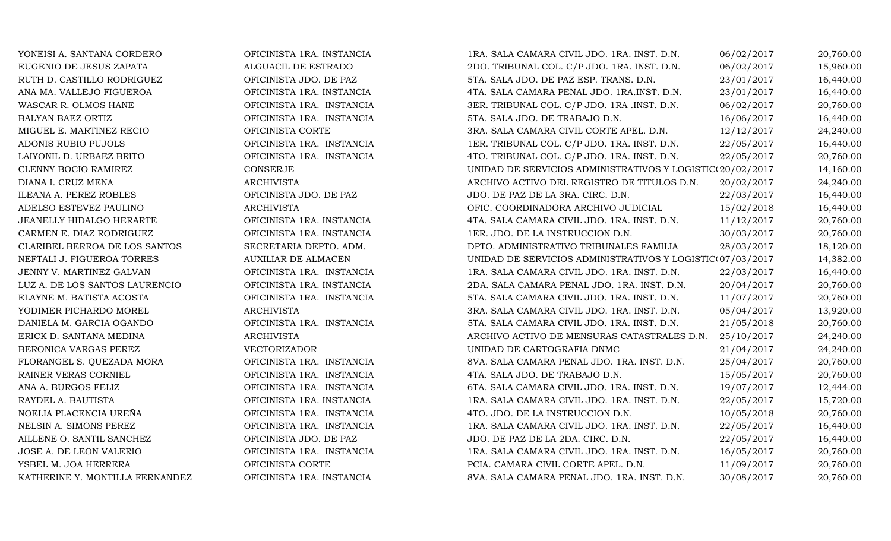| YONEISI A. SANTANA CORDERO      | OFICINISTA 1RA. INSTANCIA  | 1RA. SALA CAMARA CIVIL JDO. 1RA. INST. D.N.               | 06/02/2017 | 20,760.00 |
|---------------------------------|----------------------------|-----------------------------------------------------------|------------|-----------|
| EUGENIO DE JESUS ZAPATA         | ALGUACIL DE ESTRADO        | 2DO. TRIBUNAL COL. C/P JDO. 1RA. INST. D.N.               | 06/02/2017 | 15,960.00 |
| RUTH D. CASTILLO RODRIGUEZ      | OFICINISTA JDO. DE PAZ     | 5TA. SALA JDO. DE PAZ ESP. TRANS. D.N.                    | 23/01/2017 | 16,440.00 |
| ANA MA. VALLEJO FIGUEROA        | OFICINISTA 1RA. INSTANCIA  | 4TA. SALA CAMARA PENAL JDO. 1RA.INST. D.N.                | 23/01/2017 | 16,440.00 |
| WASCAR R. OLMOS HANE            | OFICINISTA 1RA. INSTANCIA  | 3ER. TRIBUNAL COL. C/P JDO. 1RA .INST. D.N.               | 06/02/2017 | 20,760.00 |
| BALYAN BAEZ ORTIZ               | OFICINISTA 1RA. INSTANCIA  | 5TA. SALA JDO. DE TRABAJO D.N.                            | 16/06/2017 | 16,440.00 |
| MIGUEL E. MARTINEZ RECIO        | OFICINISTA CORTE           | 3RA. SALA CAMARA CIVIL CORTE APEL. D.N.                   | 12/12/2017 | 24,240.00 |
| ADONIS RUBIO PUJOLS             | OFICINISTA 1RA. INSTANCIA  | 1ER. TRIBUNAL COL. C/P JDO. 1RA. INST. D.N.               | 22/05/2017 | 16,440.00 |
| LAIYONIL D. URBAEZ BRITO        | OFICINISTA 1RA. INSTANCIA  | 4TO. TRIBUNAL COL. C/P JDO. 1RA. INST. D.N.               | 22/05/2017 | 20,760.00 |
| CLENNY BOCIO RAMIREZ            | CONSERJE                   | UNIDAD DE SERVICIOS ADMINISTRATIVOS Y LOGISTIC(20/02/2017 |            | 14,160.00 |
| DIANA I. CRUZ MENA              | <b>ARCHIVISTA</b>          | ARCHIVO ACTIVO DEL REGISTRO DE TITULOS D.N.               | 20/02/2017 | 24,240.00 |
| ILEANA A. PEREZ ROBLES          | OFICINISTA JDO. DE PAZ     | JDO. DE PAZ DE LA 3RA. CIRC. D.N.                         | 22/03/2017 | 16,440.00 |
| ADELSO ESTEVEZ PAULINO          | <b>ARCHIVISTA</b>          | OFIC. COORDINADORA ARCHIVO JUDICIAL                       | 15/02/2018 | 16,440.00 |
| JEANELLY HIDALGO HERARTE        | OFICINISTA 1RA. INSTANCIA  | 4TA. SALA CAMARA CIVIL JDO. 1RA. INST. D.N.               | 11/12/2017 | 20,760.00 |
| CARMEN E. DIAZ RODRIGUEZ        | OFICINISTA 1RA. INSTANCIA  | 1ER. JDO. DE LA INSTRUCCION D.N.                          | 30/03/2017 | 20,760.00 |
| CLARIBEL BERROA DE LOS SANTOS   | SECRETARIA DEPTO. ADM.     | DPTO. ADMINISTRATIVO TRIBUNALES FAMILIA                   | 28/03/2017 | 18,120.00 |
| NEFTALI J. FIGUEROA TORRES      | <b>AUXILIAR DE ALMACEN</b> | UNIDAD DE SERVICIOS ADMINISTRATIVOS Y LOGISTIC(07/03/2017 |            | 14,382.00 |
| JENNY V. MARTINEZ GALVAN        | OFICINISTA 1RA. INSTANCIA  | 1RA. SALA CAMARA CIVIL JDO. 1RA. INST. D.N.               | 22/03/2017 | 16,440.00 |
| LUZ A. DE LOS SANTOS LAURENCIO  | OFICINISTA 1RA. INSTANCIA  | 2DA. SALA CAMARA PENAL JDO. 1RA. INST. D.N.               | 20/04/2017 | 20,760.00 |
| ELAYNE M. BATISTA ACOSTA        | OFICINISTA 1RA. INSTANCIA  | 5TA. SALA CAMARA CIVIL JDO. 1RA. INST. D.N.               | 11/07/2017 | 20,760.00 |
| YODIMER PICHARDO MOREL          | <b>ARCHIVISTA</b>          | 3RA. SALA CAMARA CIVIL JDO. 1RA. INST. D.N.               | 05/04/2017 | 13,920.00 |
| DANIELA M. GARCIA OGANDO        | OFICINISTA 1RA. INSTANCIA  | 5TA. SALA CAMARA CIVIL JDO. 1RA. INST. D.N.               | 21/05/2018 | 20,760.00 |
| ERICK D. SANTANA MEDINA         | <b>ARCHIVISTA</b>          | ARCHIVO ACTIVO DE MENSURAS CATASTRALES D.N.               | 25/10/2017 | 24,240.00 |
| BERONICA VARGAS PEREZ           | <b>VECTORIZADOR</b>        | UNIDAD DE CARTOGRAFIA DNMC                                | 21/04/2017 | 24,240.00 |
| FLORANGEL S. QUEZADA MORA       | OFICINISTA 1RA. INSTANCIA  | 8VA. SALA CAMARA PENAL JDO. 1RA. INST. D.N.               | 25/04/2017 | 20,760.00 |
| RAINER VERAS CORNIEL            | OFICINISTA 1RA. INSTANCIA  | 4TA. SALA JDO. DE TRABAJO D.N.                            | 15/05/2017 | 20,760.00 |
| ANA A. BURGOS FELIZ             | OFICINISTA 1RA. INSTANCIA  | 6TA. SALA CAMARA CIVIL JDO. 1RA. INST. D.N.               | 19/07/2017 | 12,444.00 |
| RAYDEL A. BAUTISTA              | OFICINISTA 1RA. INSTANCIA  | 1RA. SALA CAMARA CIVIL JDO. 1RA. INST. D.N.               | 22/05/2017 | 15,720.00 |
| NOELIA PLACENCIA UREÑA          | OFICINISTA 1RA. INSTANCIA  | 4TO. JDO. DE LA INSTRUCCION D.N.                          | 10/05/2018 | 20,760.00 |
| NELSIN A. SIMONS PEREZ          | OFICINISTA 1RA. INSTANCIA  | 1RA. SALA CAMARA CIVIL JDO. 1RA. INST. D.N.               | 22/05/2017 | 16,440.00 |
| AILLENE O. SANTIL SANCHEZ       | OFICINISTA JDO. DE PAZ     | JDO. DE PAZ DE LA 2DA. CIRC. D.N.                         | 22/05/2017 | 16,440.00 |
| JOSE A. DE LEON VALERIO         | OFICINISTA 1RA. INSTANCIA  | 1RA. SALA CAMARA CIVIL JDO. 1RA. INST. D.N.               | 16/05/2017 | 20,760.00 |
| YSBEL M. JOA HERRERA            | OFICINISTA CORTE           | PCIA. CAMARA CIVIL CORTE APEL. D.N.                       | 11/09/2017 | 20,760.00 |
| KATHERINE Y. MONTILLA FERNANDEZ | OFICINISTA 1RA. INSTANCIA  | 8VA. SALA CAMARA PENAL JDO. 1RA. INST. D.N.               | 30/08/2017 | 20,760.00 |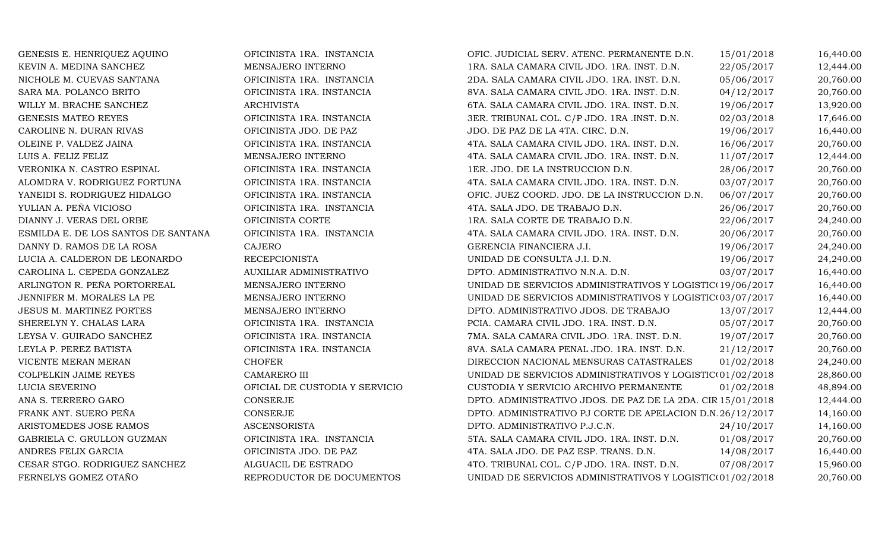| GENESIS E. HENRIQUEZ AQUINO         | OFICINISTA 1RA. INSTANCIA      | OFIC. JUDICIAL SERV. ATENC. PERMANENTE D.N.                 | 15/01/2018 | 16,440.00 |
|-------------------------------------|--------------------------------|-------------------------------------------------------------|------------|-----------|
| KEVIN A. MEDINA SANCHEZ             | MENSAJERO INTERNO              | 1RA. SALA CAMARA CIVIL JDO. 1RA. INST. D.N.                 | 22/05/2017 | 12,444.00 |
| NICHOLE M. CUEVAS SANTANA           | OFICINISTA 1RA. INSTANCIA      | 2DA. SALA CAMARA CIVIL JDO. 1RA. INST. D.N.                 | 05/06/2017 | 20,760.00 |
| SARA MA. POLANCO BRITO              | OFICINISTA 1RA. INSTANCIA      | 8VA. SALA CAMARA CIVIL JDO. 1RA. INST. D.N.                 | 04/12/2017 | 20,760.00 |
| WILLY M. BRACHE SANCHEZ             | <b>ARCHIVISTA</b>              | 6TA. SALA CAMARA CIVIL JDO. 1RA. INST. D.N.                 | 19/06/2017 | 13,920.00 |
| GENESIS MATEO REYES                 | OFICINISTA 1RA. INSTANCIA      | 3ER. TRIBUNAL COL. C/P JDO. 1RA .INST. D.N.                 | 02/03/2018 | 17,646.00 |
| CAROLINE N. DURAN RIVAS             | OFICINISTA JDO. DE PAZ         | JDO. DE PAZ DE LA 4TA. CIRC. D.N.                           | 19/06/2017 | 16,440.00 |
| OLEINE P. VALDEZ JAINA              | OFICINISTA 1RA. INSTANCIA      | 4TA. SALA CAMARA CIVIL JDO. 1RA. INST. D.N.                 | 16/06/2017 | 20,760.00 |
| LUIS A. FELIZ FELIZ                 | MENSAJERO INTERNO              | 4TA. SALA CAMARA CIVIL JDO. 1RA. INST. D.N.                 | 11/07/2017 | 12,444.00 |
| VERONIKA N. CASTRO ESPINAL          | OFICINISTA 1RA. INSTANCIA      | 1ER. JDO. DE LA INSTRUCCION D.N.                            | 28/06/2017 | 20,760.00 |
| ALOMDRA V. RODRIGUEZ FORTUNA        | OFICINISTA 1RA. INSTANCIA      | 4TA. SALA CAMARA CIVIL JDO. 1RA. INST. D.N.                 | 03/07/2017 | 20,760.00 |
| YANEIDI S. RODRIGUEZ HIDALGO        | OFICINISTA 1RA. INSTANCIA      | OFIC. JUEZ COORD. JDO. DE LA INSTRUCCION D.N.               | 06/07/2017 | 20,760.00 |
| YULIAN A. PEÑA VICIOSO              | OFICINISTA 1RA. INSTANCIA      | 4TA. SALA JDO. DE TRABAJO D.N.                              | 26/06/2017 | 20,760.00 |
| DIANNY J. VERAS DEL ORBE            | OFICINISTA CORTE               | 1RA. SALA CORTE DE TRABAJO D.N.                             | 22/06/2017 | 24,240.00 |
| ESMILDA E. DE LOS SANTOS DE SANTANA | OFICINISTA 1RA. INSTANCIA      | 4TA. SALA CAMARA CIVIL JDO. 1RA. INST. D.N.                 | 20/06/2017 | 20,760.00 |
| DANNY D. RAMOS DE LA ROSA           | <b>CAJERO</b>                  | GERENCIA FINANCIERA J.I.                                    | 19/06/2017 | 24,240.00 |
| LUCIA A. CALDERON DE LEONARDO       | <b>RECEPCIONISTA</b>           | UNIDAD DE CONSULTA J.I. D.N.                                | 19/06/2017 | 24,240.00 |
| CAROLINA L. CEPEDA GONZALEZ         | AUXILIAR ADMINISTRATIVO        | DPTO. ADMINISTRATIVO N.N.A. D.N.                            | 03/07/2017 | 16,440.00 |
| ARLINGTON R. PEÑA PORTORREAL        | MENSAJERO INTERNO              | UNIDAD DE SERVICIOS ADMINISTRATIVOS Y LOGISTIC(19/06/2017   |            | 16,440.00 |
| JENNIFER M. MORALES LA PE           | MENSAJERO INTERNO              | UNIDAD DE SERVICIOS ADMINISTRATIVOS Y LOGISTIC(03/07/2017   |            | 16,440.00 |
| <b>JESUS M. MARTINEZ PORTES</b>     | MENSAJERO INTERNO              | DPTO. ADMINISTRATIVO JDOS. DE TRABAJO                       | 13/07/2017 | 12,444.00 |
| SHERELYN Y. CHALAS LARA             | OFICINISTA 1RA. INSTANCIA      | PCIA. CAMARA CIVIL JDO. 1RA. INST. D.N.                     | 05/07/2017 | 20,760.00 |
| LEYSA V. GUIRADO SANCHEZ            | OFICINISTA 1RA. INSTANCIA      | 7MA. SALA CAMARA CIVIL JDO. 1RA. INST. D.N.                 | 19/07/2017 | 20,760.00 |
| LEYLA P. PEREZ BATISTA              | OFICINISTA 1RA. INSTANCIA      | 8VA. SALA CAMARA PENAL JDO. 1RA. INST. D.N.                 | 21/12/2017 | 20,760.00 |
| VICENTE MERAN MERAN                 | <b>CHOFER</b>                  | DIRECCION NACIONAL MENSURAS CATASTRALES                     | 01/02/2018 | 24,240.00 |
| COLPELKIN JAIME REYES               | CAMARERO III                   | UNIDAD DE SERVICIOS ADMINISTRATIVOS Y LOGISTIC(01/02/2018   |            | 28,860.00 |
| LUCIA SEVERINO                      | OFICIAL DE CUSTODIA Y SERVICIO | CUSTODIA Y SERVICIO ARCHIVO PERMANENTE                      | 01/02/2018 | 48,894.00 |
| ANA S. TERRERO GARO                 | CONSERJE                       | DPTO. ADMINISTRATIVO JDOS. DE PAZ DE LA 2DA. CIR 15/01/2018 |            | 12,444.00 |
| FRANK ANT. SUERO PEÑA               | <b>CONSERJE</b>                | DPTO. ADMINISTRATIVO PJ CORTE DE APELACION D.N.26/12/2017   |            | 14,160.00 |
| ARISTOMEDES JOSE RAMOS              | <b>ASCENSORISTA</b>            | DPTO. ADMINISTRATIVO P.J.C.N.                               | 24/10/2017 | 14,160.00 |
| GABRIELA C. GRULLON GUZMAN          | OFICINISTA 1RA. INSTANCIA      | 5TA. SALA CAMARA CIVIL JDO. 1RA. INST. D.N.                 | 01/08/2017 | 20,760.00 |
| ANDRES FELIX GARCIA                 | OFICINISTA JDO. DE PAZ         | 4TA. SALA JDO. DE PAZ ESP. TRANS. D.N.                      | 14/08/2017 | 16,440.00 |
| CESAR STGO. RODRIGUEZ SANCHEZ       | ALGUACIL DE ESTRADO            | 4TO. TRIBUNAL COL. C/P JDO. 1RA. INST. D.N.                 | 07/08/2017 | 15,960.00 |
| FERNELYS GOMEZ OTAÑO                | REPRODUCTOR DE DOCUMENTOS      | UNIDAD DE SERVICIOS ADMINISTRATIVOS Y LOGISTIC(01/02/2018   |            | 20,760.00 |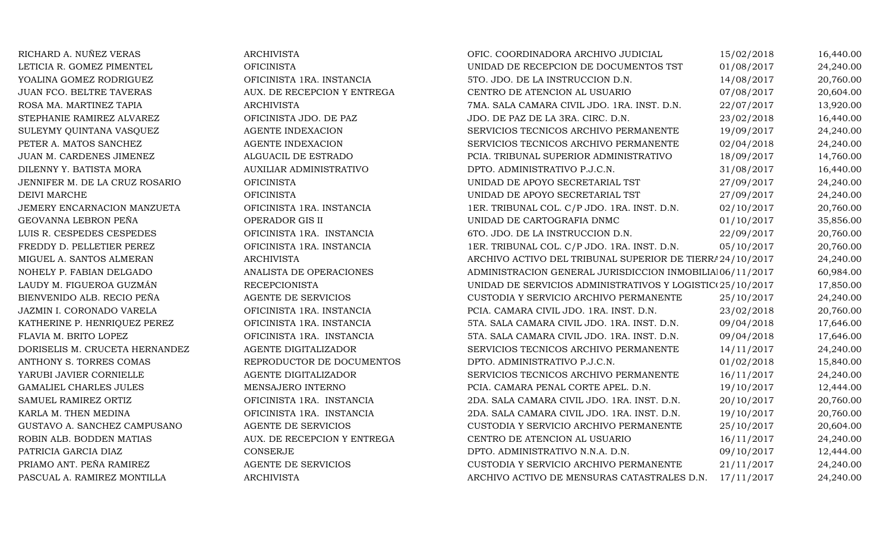| RICHARD A. NUÑEZ VERAS         | <b>ARCHIVISTA</b>           | OFIC. COORDINADORA ARCHIVO JUDICIAL                       | 15/02/2018 | 16,440.00 |
|--------------------------------|-----------------------------|-----------------------------------------------------------|------------|-----------|
| LETICIA R. GOMEZ PIMENTEL      | <b>OFICINISTA</b>           | UNIDAD DE RECEPCION DE DOCUMENTOS TST                     | 01/08/2017 | 24,240.00 |
| YOALINA GOMEZ RODRIGUEZ        | OFICINISTA 1RA. INSTANCIA   | 5TO. JDO. DE LA INSTRUCCION D.N.                          | 14/08/2017 | 20,760.00 |
| JUAN FCO. BELTRE TAVERAS       | AUX. DE RECEPCION Y ENTREGA | CENTRO DE ATENCION AL USUARIO                             | 07/08/2017 | 20,604.00 |
| ROSA MA. MARTINEZ TAPIA        | <b>ARCHIVISTA</b>           | 7MA. SALA CAMARA CIVIL JDO. 1RA. INST. D.N.               | 22/07/2017 | 13,920.00 |
| STEPHANIE RAMIREZ ALVAREZ      | OFICINISTA JDO. DE PAZ      | JDO. DE PAZ DE LA 3RA. CIRC. D.N.                         | 23/02/2018 | 16,440.00 |
| SULEYMY QUINTANA VASQUEZ       | <b>AGENTE INDEXACION</b>    | SERVICIOS TECNICOS ARCHIVO PERMANENTE                     | 19/09/2017 | 24,240.00 |
| PETER A. MATOS SANCHEZ         | AGENTE INDEXACION           | SERVICIOS TECNICOS ARCHIVO PERMANENTE                     | 02/04/2018 | 24,240.00 |
| JUAN M. CARDENES JIMENEZ       | ALGUACIL DE ESTRADO         | PCIA. TRIBUNAL SUPERIOR ADMINISTRATIVO                    | 18/09/2017 | 14,760.00 |
| DILENNY Y. BATISTA MORA        | AUXILIAR ADMINISTRATIVO     | DPTO. ADMINISTRATIVO P.J.C.N.                             | 31/08/2017 | 16,440.00 |
| JENNIFER M. DE LA CRUZ ROSARIO | <b>OFICINISTA</b>           | UNIDAD DE APOYO SECRETARIAL TST                           | 27/09/2017 | 24,240.00 |
| <b>DEIVI MARCHE</b>            | <b>OFICINISTA</b>           | UNIDAD DE APOYO SECRETARIAL TST                           | 27/09/2017 | 24,240.00 |
| JEMERY ENCARNACION MANZUETA    | OFICINISTA 1RA. INSTANCIA   | 1ER. TRIBUNAL COL. C/P JDO. 1RA. INST. D.N.               | 02/10/2017 | 20,760.00 |
| GEOVANNA LEBRON PEÑA           | OPERADOR GIS II             | UNIDAD DE CARTOGRAFIA DNMC                                | 01/10/2017 | 35,856.00 |
| LUIS R. CESPEDES CESPEDES      | OFICINISTA 1RA. INSTANCIA   | 6TO. JDO. DE LA INSTRUCCION D.N.                          | 22/09/2017 | 20,760.00 |
| FREDDY D. PELLETIER PEREZ      | OFICINISTA 1RA. INSTANCIA   | 1ER. TRIBUNAL COL. C/P JDO. 1RA. INST. D.N.               | 05/10/2017 | 20,760.00 |
| MIGUEL A. SANTOS ALMERAN       | <b>ARCHIVISTA</b>           | ARCHIVO ACTIVO DEL TRIBUNAL SUPERIOR DE TIERRA 24/10/2017 |            | 24,240.00 |
| NOHELY P. FABIAN DELGADO       | ANALISTA DE OPERACIONES     | ADMINISTRACION GENERAL JURISDICCION INMOBILIA106/11/2017  |            | 60,984.00 |
| LAUDY M. FIGUEROA GUZMÁN       | <b>RECEPCIONISTA</b>        | UNIDAD DE SERVICIOS ADMINISTRATIVOS Y LOGISTIC(25/10/2017 |            | 17,850.00 |
| BIENVENIDO ALB. RECIO PEÑA     | AGENTE DE SERVICIOS         | CUSTODIA Y SERVICIO ARCHIVO PERMANENTE                    | 25/10/2017 | 24,240.00 |
| JAZMIN I. CORONADO VARELA      | OFICINISTA 1RA. INSTANCIA   | PCIA. CAMARA CIVIL JDO. 1RA. INST. D.N.                   | 23/02/2018 | 20,760.00 |
| KATHERINE P. HENRIQUEZ PEREZ   | OFICINISTA 1RA. INSTANCIA   | 5TA. SALA CAMARA CIVIL JDO. 1RA. INST. D.N.               | 09/04/2018 | 17,646.00 |
| FLAVIA M. BRITO LOPEZ          | OFICINISTA 1RA. INSTANCIA   | 5TA. SALA CAMARA CIVIL JDO. 1RA. INST. D.N.               | 09/04/2018 | 17,646.00 |
| DORISELIS M. CRUCETA HERNANDEZ | AGENTE DIGITALIZADOR        | SERVICIOS TECNICOS ARCHIVO PERMANENTE                     | 14/11/2017 | 24,240.00 |
| ANTHONY S. TORRES COMAS        | REPRODUCTOR DE DOCUMENTOS   | DPTO. ADMINISTRATIVO P.J.C.N.                             | 01/02/2018 | 15,840.00 |
| YARUBI JAVIER CORNIELLE        | AGENTE DIGITALIZADOR        | SERVICIOS TECNICOS ARCHIVO PERMANENTE                     | 16/11/2017 | 24,240.00 |
| GAMALIEL CHARLES JULES         | MENSAJERO INTERNO           | PCIA. CAMARA PENAL CORTE APEL. D.N.                       | 19/10/2017 | 12,444.00 |
| SAMUEL RAMIREZ ORTIZ           | OFICINISTA 1RA. INSTANCIA   | 2DA. SALA CAMARA CIVIL JDO. 1RA. INST. D.N.               | 20/10/2017 | 20,760.00 |
| KARLA M. THEN MEDINA           | OFICINISTA 1RA. INSTANCIA   | 2DA. SALA CAMARA CIVIL JDO. 1RA. INST. D.N.               | 19/10/2017 | 20,760.00 |
| GUSTAVO A. SANCHEZ CAMPUSANO   | AGENTE DE SERVICIOS         | CUSTODIA Y SERVICIO ARCHIVO PERMANENTE                    | 25/10/2017 | 20,604.00 |
| ROBIN ALB. BODDEN MATIAS       | AUX. DE RECEPCION Y ENTREGA | CENTRO DE ATENCION AL USUARIO                             | 16/11/2017 | 24,240.00 |
| PATRICIA GARCIA DIAZ           | <b>CONSERJE</b>             | DPTO. ADMINISTRATIVO N.N.A. D.N.                          | 09/10/2017 | 12,444.00 |
| PRIAMO ANT. PEÑA RAMIREZ       | AGENTE DE SERVICIOS         | CUSTODIA Y SERVICIO ARCHIVO PERMANENTE                    | 21/11/2017 | 24,240.00 |
| PASCUAL A. RAMIREZ MONTILLA    | <b>ARCHIVISTA</b>           | ARCHIVO ACTIVO DE MENSURAS CATASTRALES D.N.               | 17/11/2017 | 24,240.00 |
|                                |                             |                                                           |            |           |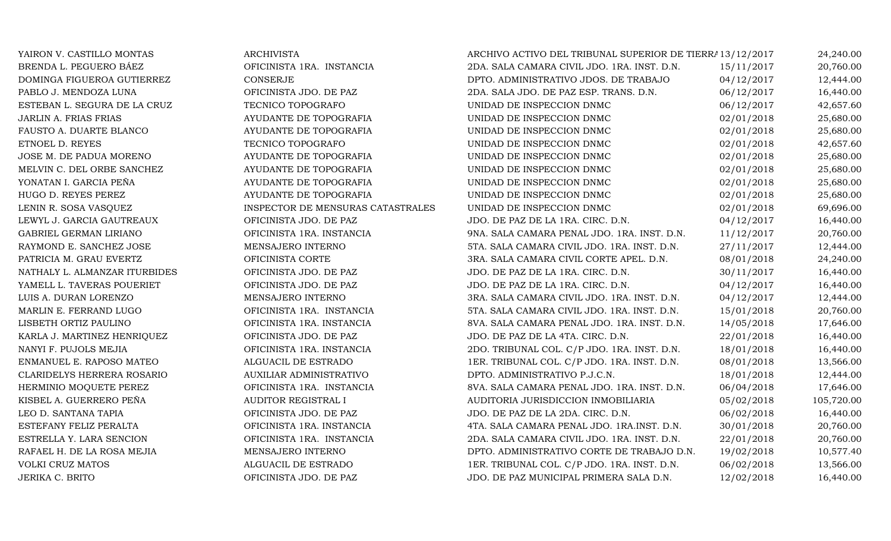| YAIRON V. CASTILLO MONTAS     | <b>ARCHIVISTA</b>                 | ARCHIVO ACTIVO DEL TRIBUNAL SUPERIOR DE TIERRA 13/12/2017 |            | 24,240.00  |
|-------------------------------|-----------------------------------|-----------------------------------------------------------|------------|------------|
| BRENDA L. PEGUERO BÁEZ        | OFICINISTA 1RA. INSTANCIA         | 2DA. SALA CAMARA CIVIL JDO. 1RA. INST. D.N.               | 15/11/2017 | 20,760.00  |
| DOMINGA FIGUEROA GUTIERREZ    | <b>CONSERJE</b>                   | DPTO. ADMINISTRATIVO JDOS. DE TRABAJO                     | 04/12/2017 | 12,444.00  |
| PABLO J. MENDOZA LUNA         | OFICINISTA JDO. DE PAZ            | 2DA. SALA JDO. DE PAZ ESP. TRANS. D.N.                    | 06/12/2017 | 16,440.00  |
| ESTEBAN L. SEGURA DE LA CRUZ  | TECNICO TOPOGRAFO                 | UNIDAD DE INSPECCION DNMC                                 | 06/12/2017 | 42,657.60  |
| JARLIN A. FRIAS FRIAS         | AYUDANTE DE TOPOGRAFIA            | UNIDAD DE INSPECCION DNMC                                 | 02/01/2018 | 25,680.00  |
| FAUSTO A. DUARTE BLANCO       | AYUDANTE DE TOPOGRAFIA            | UNIDAD DE INSPECCION DNMC                                 | 02/01/2018 | 25,680.00  |
| ETNOEL D. REYES               | TECNICO TOPOGRAFO                 | UNIDAD DE INSPECCION DNMC                                 | 02/01/2018 | 42,657.60  |
| JOSE M. DE PADUA MORENO       | AYUDANTE DE TOPOGRAFIA            | UNIDAD DE INSPECCION DNMC                                 | 02/01/2018 | 25,680.00  |
| MELVIN C. DEL ORBE SANCHEZ    | AYUDANTE DE TOPOGRAFIA            | UNIDAD DE INSPECCION DNMC                                 | 02/01/2018 | 25,680.00  |
| YONATAN I. GARCIA PEÑA        | AYUDANTE DE TOPOGRAFIA            | UNIDAD DE INSPECCION DNMC                                 | 02/01/2018 | 25,680.00  |
| HUGO D. REYES PEREZ           | AYUDANTE DE TOPOGRAFIA            | UNIDAD DE INSPECCION DNMC                                 | 02/01/2018 | 25,680.00  |
| LENIN R. SOSA VASQUEZ         | INSPECTOR DE MENSURAS CATASTRALES | UNIDAD DE INSPECCION DNMC                                 | 02/01/2018 | 69,696.00  |
| LEWYL J. GARCIA GAUTREAUX     | OFICINISTA JDO. DE PAZ            | JDO. DE PAZ DE LA 1RA. CIRC. D.N.                         | 04/12/2017 | 16,440.00  |
| GABRIEL GERMAN LIRIANO        | OFICINISTA 1RA. INSTANCIA         | 9NA. SALA CAMARA PENAL JDO. 1RA. INST. D.N.               | 11/12/2017 | 20,760.00  |
| RAYMOND E. SANCHEZ JOSE       | MENSAJERO INTERNO                 | 5TA. SALA CAMARA CIVIL JDO. 1RA. INST. D.N.               | 27/11/2017 | 12,444.00  |
| PATRICIA M. GRAU EVERTZ       | OFICINISTA CORTE                  | 3RA. SALA CAMARA CIVIL CORTE APEL. D.N.                   | 08/01/2018 | 24,240.00  |
| NATHALY L. ALMANZAR ITURBIDES | OFICINISTA JDO. DE PAZ            | JDO. DE PAZ DE LA 1RA. CIRC. D.N.                         | 30/11/2017 | 16,440.00  |
| YAMELL L. TAVERAS POUERIET    | OFICINISTA JDO. DE PAZ            | JDO. DE PAZ DE LA 1RA. CIRC. D.N.                         | 04/12/2017 | 16,440.00  |
| LUIS A. DURAN LORENZO         | MENSAJERO INTERNO                 | 3RA. SALA CAMARA CIVIL JDO. 1RA. INST. D.N.               | 04/12/2017 | 12,444.00  |
| MARLIN E. FERRAND LUGO        | OFICINISTA 1RA. INSTANCIA         | 5TA. SALA CAMARA CIVIL JDO. 1RA. INST. D.N.               | 15/01/2018 | 20,760.00  |
| LISBETH ORTIZ PAULINO         | OFICINISTA 1RA. INSTANCIA         | 8VA. SALA CAMARA PENAL JDO. 1RA. INST. D.N.               | 14/05/2018 | 17,646.00  |
| KARLA J. MARTINEZ HENRIQUEZ   | OFICINISTA JDO. DE PAZ            | JDO. DE PAZ DE LA 4TA. CIRC. D.N.                         | 22/01/2018 | 16,440.00  |
| NANYI F. PUJOLS MEJIA         | OFICINISTA 1RA. INSTANCIA         | 2DO. TRIBUNAL COL. C/P JDO. 1RA. INST. D.N.               | 18/01/2018 | 16,440.00  |
| ENMANUEL E. RAPOSO MATEO      | ALGUACIL DE ESTRADO               | 1ER. TRIBUNAL COL. C/P JDO. 1RA. INST. D.N.               | 08/01/2018 | 13,566.00  |
| CLARIDELYS HERRERA ROSARIO    | <b>AUXILIAR ADMINISTRATIVO</b>    | DPTO. ADMINISTRATIVO P.J.C.N.                             | 18/01/2018 | 12,444.00  |
| HERMINIO MOQUETE PEREZ        | OFICINISTA 1RA. INSTANCIA         | 8VA. SALA CAMARA PENAL JDO. 1RA. INST. D.N.               | 06/04/2018 | 17,646.00  |
| KISBEL A. GUERRERO PEÑA       | AUDITOR REGISTRAL I               | AUDITORIA JURISDICCION INMOBILIARIA                       | 05/02/2018 | 105,720.00 |
| LEO D. SANTANA TAPIA          | OFICINISTA JDO. DE PAZ            | JDO. DE PAZ DE LA 2DA. CIRC. D.N.                         | 06/02/2018 | 16,440.00  |
| ESTEFANY FELIZ PERALTA        | OFICINISTA 1RA. INSTANCIA         | 4TA. SALA CAMARA PENAL JDO. 1RA.INST. D.N.                | 30/01/2018 | 20,760.00  |
| ESTRELLA Y. LARA SENCION      | OFICINISTA 1RA. INSTANCIA         | 2DA. SALA CAMARA CIVIL JDO. 1RA. INST. D.N.               | 22/01/2018 | 20,760.00  |
| RAFAEL H. DE LA ROSA MEJIA    | MENSAJERO INTERNO                 | DPTO. ADMINISTRATIVO CORTE DE TRABAJO D.N.                | 19/02/2018 | 10,577.40  |
| <b>VOLKI CRUZ MATOS</b>       | ALGUACIL DE ESTRADO               | 1ER. TRIBUNAL COL. C/P JDO. 1RA. INST. D.N.               | 06/02/2018 | 13,566.00  |
| JERIKA C. BRITO               | OFICINISTA JDO. DE PAZ            | JDO. DE PAZ MUNICIPAL PRIMERA SALA D.N.                   | 12/02/2018 | 16,440.00  |
|                               |                                   |                                                           |            |            |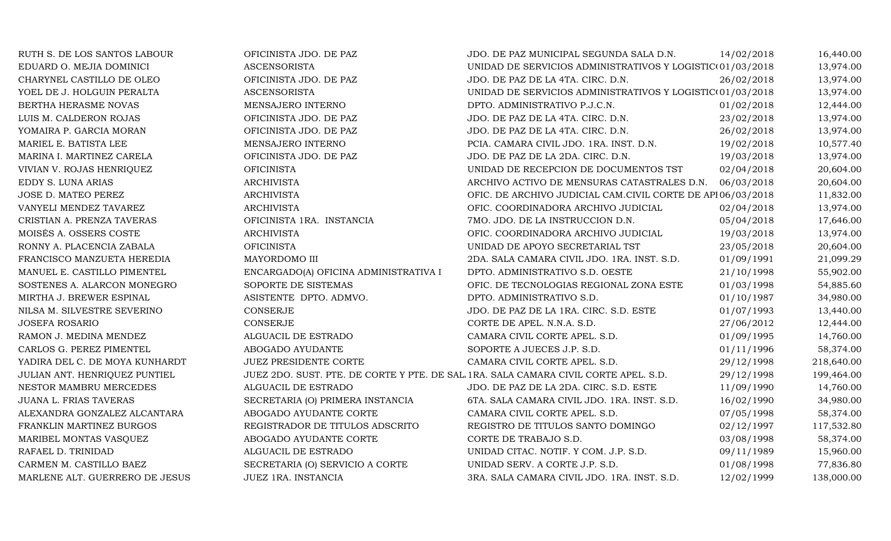| RUTH S. DE LOS SANTOS LABOUR   | OFICINISTA JDO. DE PAZ                | JDO. DE PAZ MUNICIPAL SEGUNDA SALA D.N.                                             | 14/02/2018 | 16,440.00  |
|--------------------------------|---------------------------------------|-------------------------------------------------------------------------------------|------------|------------|
| EDUARD O. MEJIA DOMINICI       | <b>ASCENSORISTA</b>                   | UNIDAD DE SERVICIOS ADMINISTRATIVOS Y LOGISTIC(01/03/2018)                          |            | 13,974.00  |
| CHARYNEL CASTILLO DE OLEO      | OFICINISTA JDO. DE PAZ                | JDO. DE PAZ DE LA 4TA. CIRC. D.N.                                                   | 26/02/2018 | 13,974.00  |
| YOEL DE J. HOLGUIN PERALTA     | <b>ASCENSORISTA</b>                   | UNIDAD DE SERVICIOS ADMINISTRATIVOS Y LOGISTIC(01/03/2018                           |            | 13,974.00  |
| BERTHA HERASME NOVAS           | MENSAJERO INTERNO                     | DPTO. ADMINISTRATIVO P.J.C.N.                                                       | 01/02/2018 | 12,444.00  |
| LUIS M. CALDERON ROJAS         | OFICINISTA JDO. DE PAZ                | JDO. DE PAZ DE LA 4TA. CIRC. D.N.                                                   | 23/02/2018 | 13,974.00  |
| YOMAIRA P. GARCIA MORAN        | OFICINISTA JDO. DE PAZ                | JDO. DE PAZ DE LA 4TA. CIRC. D.N.                                                   | 26/02/2018 | 13,974.00  |
| MARIEL E. BATISTA LEE          | MENSAJERO INTERNO                     | PCIA. CAMARA CIVIL JDO. 1RA. INST. D.N.                                             | 19/02/2018 | 10,577.40  |
| MARINA I. MARTINEZ CARELA      | OFICINISTA JDO. DE PAZ                | JDO. DE PAZ DE LA 2DA. CIRC. D.N.                                                   | 19/03/2018 | 13,974.00  |
| VIVIAN V. ROJAS HENRIQUEZ      | <b>OFICINISTA</b>                     | UNIDAD DE RECEPCION DE DOCUMENTOS TST                                               | 02/04/2018 | 20,604.00  |
| EDDY S. LUNA ARIAS             | <b>ARCHIVISTA</b>                     | ARCHIVO ACTIVO DE MENSURAS CATASTRALES D.N.                                         | 06/03/2018 | 20,604.00  |
| JOSE D. MATEO PEREZ            | <b>ARCHIVISTA</b>                     | OFIC. DE ARCHIVO JUDICIAL CAM.CIVIL CORTE DE API06/03/2018                          |            | 11,832.00  |
| VANYELI MENDEZ TAVAREZ         | <b>ARCHIVISTA</b>                     | OFIC. COORDINADORA ARCHIVO JUDICIAL                                                 | 02/04/2018 | 13,974.00  |
| CRISTIAN A. PRENZA TAVERAS     | OFICINISTA 1RA. INSTANCIA             | 7MO. JDO. DE LA INSTRUCCION D.N.                                                    | 05/04/2018 | 17,646.00  |
| MOISÉS A. OSSERS COSTE         | <b>ARCHIVISTA</b>                     | OFIC. COORDINADORA ARCHIVO JUDICIAL                                                 | 19/03/2018 | 13,974.00  |
| RONNY A. PLACENCIA ZABALA      | <b>OFICINISTA</b>                     | UNIDAD DE APOYO SECRETARIAL TST                                                     | 23/05/2018 | 20,604.00  |
| FRANCISCO MANZUETA HEREDIA     | MAYORDOMO III                         | 2DA. SALA CAMARA CIVIL JDO. 1RA. INST. S.D.                                         | 01/09/1991 | 21,099.29  |
| MANUEL E. CASTILLO PIMENTEL    | ENCARGADO(A) OFICINA ADMINISTRATIVA I | DPTO. ADMINISTRATIVO S.D. OESTE                                                     | 21/10/1998 | 55,902.00  |
| SOSTENES A. ALARCON MONEGRO    | SOPORTE DE SISTEMAS                   | OFIC. DE TECNOLOGIAS REGIONAL ZONA ESTE                                             | 01/03/1998 | 54,885.60  |
| MIRTHA J. BREWER ESPINAL       | ASISTENTE DPTO. ADMVO.                | DPTO. ADMINISTRATIVO S.D.                                                           | 01/10/1987 | 34,980.00  |
| NILSA M. SILVESTRE SEVERINO    | <b>CONSERJE</b>                       | JDO. DE PAZ DE LA 1RA. CIRC. S.D. ESTE                                              | 01/07/1993 | 13,440.00  |
| <b>JOSEFA ROSARIO</b>          | <b>CONSERJE</b>                       | CORTE DE APEL. N.N.A. S.D.                                                          | 27/06/2012 | 12,444.00  |
| RAMON J. MEDINA MENDEZ         | ALGUACIL DE ESTRADO                   | CAMARA CIVIL CORTE APEL. S.D.                                                       | 01/09/1995 | 14,760.00  |
| CARLOS G. PEREZ PIMENTEL       | ABOGADO AYUDANTE                      | SOPORTE A JUECES J.P. S.D.                                                          | 01/11/1996 | 58,374.00  |
| YADIRA DEL C. DE MOYA KUNHARDT | <b>JUEZ PRESIDENTE CORTE</b>          | CAMARA CIVIL CORTE APEL. S.D.                                                       | 29/12/1998 | 218,640.00 |
| JULIAN ANT. HENRIQUEZ PUNTIEL  |                                       | JUEZ 2DO. SUST. PTE. DE CORTE Y PTE. DE SAL 1RA. SALA CAMARA CIVIL CORTE APEL. S.D. | 29/12/1998 | 199,464.00 |
| NESTOR MAMBRU MERCEDES         | ALGUACIL DE ESTRADO                   | JDO. DE PAZ DE LA 2DA. CIRC. S.D. ESTE                                              | 11/09/1990 | 14,760.00  |
| JUANA L. FRIAS TAVERAS         | SECRETARIA (O) PRIMERA INSTANCIA      | 6TA. SALA CAMARA CIVIL JDO. 1RA. INST. S.D.                                         | 16/02/1990 | 34,980.00  |
| ALEXANDRA GONZALEZ ALCANTARA   | ABOGADO AYUDANTE CORTE                | CAMARA CIVIL CORTE APEL. S.D.                                                       | 07/05/1998 | 58,374.00  |
| FRANKLIN MARTINEZ BURGOS       | REGISTRADOR DE TITULOS ADSCRITO       | REGISTRO DE TITULOS SANTO DOMINGO                                                   | 02/12/1997 | 117,532.80 |
| MARIBEL MONTAS VASQUEZ         | ABOGADO AYUDANTE CORTE                | CORTE DE TRABAJO S.D.                                                               | 03/08/1998 | 58,374.00  |
| RAFAEL D. TRINIDAD             | ALGUACIL DE ESTRADO                   | UNIDAD CITAC. NOTIF. Y COM. J.P. S.D.                                               | 09/11/1989 | 15,960.00  |
| CARMEN M. CASTILLO BAEZ        | SECRETARIA (O) SERVICIO A CORTE       | UNIDAD SERV. A CORTE J.P. S.D.                                                      | 01/08/1998 | 77,836.80  |
| MARLENE ALT. GUERRERO DE JESUS | JUEZ 1RA. INSTANCIA                   | 3RA. SALA CAMARA CIVIL JDO. 1RA. INST. S.D.                                         | 12/02/1999 | 138,000.00 |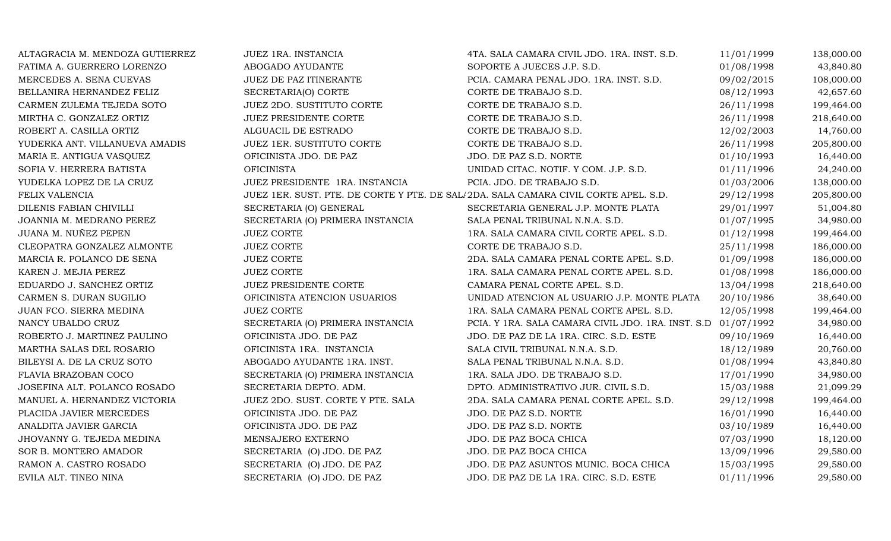| ALTAGRACIA M. MENDOZA GUTIERREZ | JUEZ 1RA. INSTANCIA                                                                 | 4TA. SALA CAMARA CIVIL JDO. 1RA. INST. S.D.                   | 11/01/1999 | 138,000.00 |
|---------------------------------|-------------------------------------------------------------------------------------|---------------------------------------------------------------|------------|------------|
| FATIMA A. GUERRERO LORENZO      | ABOGADO AYUDANTE                                                                    | SOPORTE A JUECES J.P. S.D.                                    | 01/08/1998 | 43,840.80  |
| MERCEDES A. SENA CUEVAS         | JUEZ DE PAZ ITINERANTE                                                              | PCIA. CAMARA PENAL JDO. 1RA. INST. S.D.                       | 09/02/2015 | 108,000.00 |
| BELLANIRA HERNANDEZ FELIZ       | SECRETARIA(O) CORTE                                                                 | CORTE DE TRABAJO S.D.                                         | 08/12/1993 | 42,657.60  |
| CARMEN ZULEMA TEJEDA SOTO       | JUEZ 2DO. SUSTITUTO CORTE                                                           | CORTE DE TRABAJO S.D.                                         | 26/11/1998 | 199,464.00 |
| MIRTHA C. GONZALEZ ORTIZ        | JUEZ PRESIDENTE CORTE                                                               | CORTE DE TRABAJO S.D.                                         | 26/11/1998 | 218,640.00 |
| ROBERT A. CASILLA ORTIZ         | ALGUACIL DE ESTRADO                                                                 | CORTE DE TRABAJO S.D.                                         | 12/02/2003 | 14,760.00  |
| YUDERKA ANT. VILLANUEVA AMADIS  | JUEZ 1ER. SUSTITUTO CORTE                                                           | CORTE DE TRABAJO S.D.                                         | 26/11/1998 | 205,800.00 |
| MARIA E. ANTIGUA VASQUEZ        | OFICINISTA JDO. DE PAZ                                                              | JDO. DE PAZ S.D. NORTE                                        | 01/10/1993 | 16,440.00  |
| SOFIA V. HERRERA BATISTA        | <b>OFICINISTA</b>                                                                   | UNIDAD CITAC. NOTIF. Y COM. J.P. S.D.                         | 01/11/1996 | 24,240.00  |
| YUDELKA LOPEZ DE LA CRUZ        | JUEZ PRESIDENTE 1RA. INSTANCIA                                                      | PCIA. JDO. DE TRABAJO S.D.                                    | 01/03/2006 | 138,000.00 |
| FELIX VALENCIA                  | JUEZ 1ER. SUST. PTE. DE CORTE Y PTE. DE SAL/2DA. SALA CAMARA CIVIL CORTE APEL. S.D. |                                                               | 29/12/1998 | 205,800.00 |
| DILENIS FABIAN CHIVILLI         | SECRETARIA (O) GENERAL                                                              | SECRETARIA GENERAL J.P. MONTE PLATA                           | 29/01/1997 | 51,004.80  |
| JOANNIA M. MEDRANO PEREZ        | SECRETARIA (O) PRIMERA INSTANCIA                                                    | SALA PENAL TRIBUNAL N.N.A. S.D.                               | 01/07/1995 | 34,980.00  |
| JUANA M. NUÑEZ PEPEN            | <b>JUEZ CORTE</b>                                                                   | 1RA. SALA CAMARA CIVIL CORTE APEL. S.D.                       | 01/12/1998 | 199,464.00 |
| CLEOPATRA GONZALEZ ALMONTE      | <b>JUEZ CORTE</b>                                                                   | CORTE DE TRABAJO S.D.                                         | 25/11/1998 | 186,000.00 |
| MARCIA R. POLANCO DE SENA       | <b>JUEZ CORTE</b>                                                                   | 2DA. SALA CAMARA PENAL CORTE APEL. S.D.                       | 01/09/1998 | 186,000.00 |
| KAREN J. MEJIA PEREZ            | <b>JUEZ CORTE</b>                                                                   | 1RA. SALA CAMARA PENAL CORTE APEL. S.D.                       | 01/08/1998 | 186,000.00 |
| EDUARDO J. SANCHEZ ORTIZ        | JUEZ PRESIDENTE CORTE                                                               | CAMARA PENAL CORTE APEL. S.D.                                 | 13/04/1998 | 218,640.00 |
| CARMEN S. DURAN SUGILIO         | OFICINISTA ATENCION USUARIOS                                                        | UNIDAD ATENCION AL USUARIO J.P. MONTE PLATA                   | 20/10/1986 | 38,640.00  |
| JUAN FCO. SIERRA MEDINA         | <b>JUEZ CORTE</b>                                                                   | 1RA. SALA CAMARA PENAL CORTE APEL. S.D.                       | 12/05/1998 | 199,464.00 |
| NANCY UBALDO CRUZ               | SECRETARIA (O) PRIMERA INSTANCIA                                                    | PCIA. Y 1RA. SALA CAMARA CIVIL JDO. 1RA. INST. S.D 01/07/1992 |            | 34,980.00  |
| ROBERTO J. MARTINEZ PAULINO     | OFICINISTA JDO. DE PAZ                                                              | JDO. DE PAZ DE LA 1RA. CIRC. S.D. ESTE                        | 09/10/1969 | 16,440.00  |
| MARTHA SALAS DEL ROSARIO        | OFICINISTA 1RA. INSTANCIA                                                           | SALA CIVIL TRIBUNAL N.N.A. S.D.                               | 18/12/1989 | 20,760.00  |
| BILEYSI A. DE LA CRUZ SOTO      | ABOGADO AYUDANTE 1RA. INST.                                                         | SALA PENAL TRIBUNAL N.N.A. S.D.                               | 01/08/1994 | 43,840.80  |
| FLAVIA BRAZOBAN COCO            | SECRETARIA (O) PRIMERA INSTANCIA                                                    | 1RA. SALA JDO. DE TRABAJO S.D.                                | 17/01/1990 | 34,980.00  |
| JOSEFINA ALT. POLANCO ROSADO    | SECRETARIA DEPTO. ADM.                                                              | DPTO. ADMINISTRATIVO JUR. CIVIL S.D.                          | 15/03/1988 | 21,099.29  |
| MANUEL A. HERNANDEZ VICTORIA    | JUEZ 2DO. SUST. CORTE Y PTE. SALA                                                   | 2DA. SALA CAMARA PENAL CORTE APEL. S.D.                       | 29/12/1998 | 199,464.00 |
| PLACIDA JAVIER MERCEDES         | OFICINISTA JDO. DE PAZ                                                              | JDO. DE PAZ S.D. NORTE                                        | 16/01/1990 | 16,440.00  |
| ANALDITA JAVIER GARCIA          | OFICINISTA JDO. DE PAZ                                                              | JDO. DE PAZ S.D. NORTE                                        | 03/10/1989 | 16,440.00  |
| JHOVANNY G. TEJEDA MEDINA       | MENSAJERO EXTERNO                                                                   | JDO. DE PAZ BOCA CHICA                                        | 07/03/1990 | 18,120.00  |
| SOR B. MONTERO AMADOR           | SECRETARIA (O) JDO. DE PAZ                                                          | JDO. DE PAZ BOCA CHICA                                        | 13/09/1996 | 29,580.00  |
| RAMON A. CASTRO ROSADO          | SECRETARIA (O) JDO. DE PAZ                                                          | JDO. DE PAZ ASUNTOS MUNIC. BOCA CHICA                         | 15/03/1995 | 29,580.00  |
| EVILA ALT. TINEO NINA           | SECRETARIA (O) JDO. DE PAZ                                                          | JDO. DE PAZ DE LA 1RA. CIRC. S.D. ESTE                        | 01/11/1996 | 29,580.00  |
|                                 |                                                                                     |                                                               |            |            |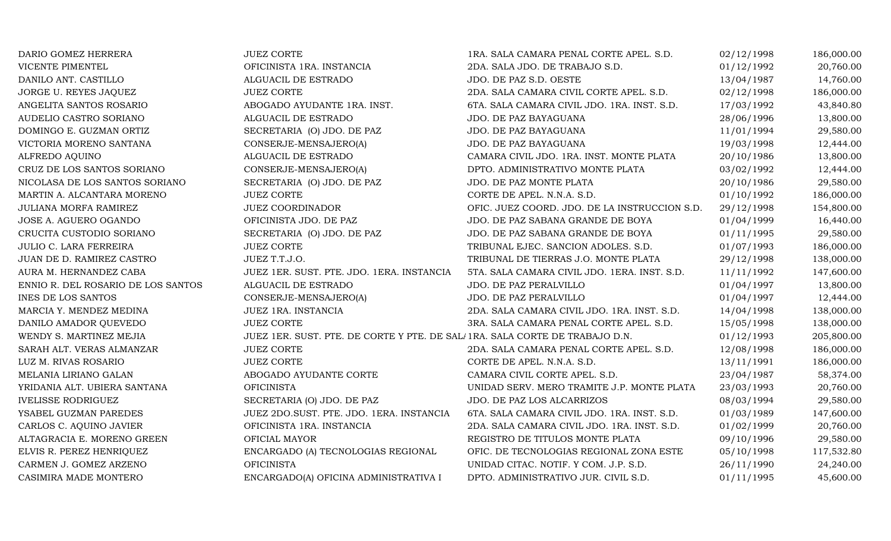| VICENTE PIMENTEL<br>OFICINISTA 1RA. INSTANCIA<br>ALGUACIL DE ESTRADO<br>DANILO ANT. CASTILLO           | 2DA. SALA JDO. DE TRABAJO S.D.<br>JDO. DE PAZ S.D. OESTE | 01/12/1992 | 20,760.00  |
|--------------------------------------------------------------------------------------------------------|----------------------------------------------------------|------------|------------|
|                                                                                                        |                                                          |            |            |
|                                                                                                        |                                                          | 13/04/1987 | 14,760.00  |
| JORGE U. REYES JAQUEZ<br><b>JUEZ CORTE</b>                                                             | 2DA. SALA CAMARA CIVIL CORTE APEL. S.D.                  | 02/12/1998 | 186,000.00 |
| ABOGADO AYUDANTE 1RA. INST.<br>ANGELITA SANTOS ROSARIO                                                 | 6TA. SALA CAMARA CIVIL JDO. 1RA. INST. S.D.              | 17/03/1992 | 43,840.80  |
| AUDELIO CASTRO SORIANO<br>ALGUACIL DE ESTRADO                                                          | JDO. DE PAZ BAYAGUANA                                    | 28/06/1996 | 13,800.00  |
| DOMINGO E. GUZMAN ORTIZ<br>SECRETARIA (O) JDO. DE PAZ                                                  | JDO. DE PAZ BAYAGUANA                                    | 11/01/1994 | 29,580.00  |
| VICTORIA MORENO SANTANA<br>CONSERJE-MENSAJERO(A)                                                       | JDO. DE PAZ BAYAGUANA                                    | 19/03/1998 | 12,444.00  |
| ALFREDO AQUINO<br>ALGUACIL DE ESTRADO                                                                  | CAMARA CIVIL JDO. 1RA. INST. MONTE PLATA                 | 20/10/1986 | 13,800.00  |
| CRUZ DE LOS SANTOS SORIANO<br>CONSERJE-MENSAJERO(A)                                                    | DPTO. ADMINISTRATIVO MONTE PLATA                         | 03/02/1992 | 12,444.00  |
| NICOLASA DE LOS SANTOS SORIANO<br>SECRETARIA (O) JDO. DE PAZ                                           | JDO. DE PAZ MONTE PLATA                                  | 20/10/1986 | 29,580.00  |
| MARTIN A. ALCANTARA MORENO<br><b>JUEZ CORTE</b>                                                        | CORTE DE APEL. N.N.A. S.D.                               | 01/10/1992 | 186,000.00 |
| <b>JUEZ COORDINADOR</b><br>JULIANA MORFA RAMIREZ                                                       | OFIC. JUEZ COORD. JDO. DE LA INSTRUCCION S.D.            | 29/12/1998 | 154,800.00 |
| OFICINISTA JDO. DE PAZ<br>JOSE A. AGUERO OGANDO                                                        | JDO. DE PAZ SABANA GRANDE DE BOYA                        | 01/04/1999 | 16,440.00  |
| CRUCITA CUSTODIO SORIANO<br>SECRETARIA (O) JDO. DE PAZ                                                 | JDO. DE PAZ SABANA GRANDE DE BOYA                        | 01/11/1995 | 29,580.00  |
| JULIO C. LARA FERREIRA<br><b>JUEZ CORTE</b>                                                            | TRIBUNAL EJEC. SANCION ADOLES. S.D.                      | 01/07/1993 | 186,000.00 |
| JUEZ T.T.J.O.<br>JUAN DE D. RAMIREZ CASTRO                                                             | TRIBUNAL DE TIERRAS J.O. MONTE PLATA                     | 29/12/1998 | 138,000.00 |
| AURA M. HERNANDEZ CABA<br>JUEZ 1ER. SUST. PTE. JDO. 1ERA. INSTANCIA                                    | 5TA. SALA CAMARA CIVIL JDO. 1ERA. INST. S.D.             | 11/11/1992 | 147,600.00 |
| ALGUACIL DE ESTRADO<br>ENNIO R. DEL ROSARIO DE LOS SANTOS                                              | JDO. DE PAZ PERALVILLO                                   | 01/04/1997 | 13,800.00  |
| <b>INES DE LOS SANTOS</b><br>CONSERJE-MENSAJERO(A)                                                     | JDO. DE PAZ PERALVILLO                                   | 01/04/1997 | 12,444.00  |
| MARCIA Y. MENDEZ MEDINA<br>JUEZ 1RA. INSTANCIA                                                         | 2DA. SALA CAMARA CIVIL JDO. 1RA. INST. S.D.              | 14/04/1998 | 138,000.00 |
| DANILO AMADOR QUEVEDO<br><b>JUEZ CORTE</b>                                                             | 3RA. SALA CAMARA PENAL CORTE APEL. S.D.                  | 15/05/1998 | 138,000.00 |
| WENDY S. MARTINEZ MEJIA<br>JUEZ 1ER. SUST. PTE. DE CORTE Y PTE. DE SAL/1RA. SALA CORTE DE TRABAJO D.N. |                                                          | 01/12/1993 | 205,800.00 |
| SARAH ALT. VERAS ALMANZAR<br><b>JUEZ CORTE</b>                                                         | 2DA. SALA CAMARA PENAL CORTE APEL. S.D.                  | 12/08/1998 | 186,000.00 |
| LUZ M. RIVAS ROSARIO<br><b>JUEZ CORTE</b>                                                              | CORTE DE APEL. N.N.A. S.D.                               | 13/11/1991 | 186,000.00 |
| ABOGADO AYUDANTE CORTE<br>MELANIA LIRIANO GALAN                                                        | CAMARA CIVIL CORTE APEL. S.D.                            | 23/04/1987 | 58,374.00  |
| YRIDANIA ALT. UBIERA SANTANA<br><b>OFICINISTA</b>                                                      | UNIDAD SERV. MERO TRAMITE J.P. MONTE PLATA               | 23/03/1993 | 20,760.00  |
| <b>IVELISSE RODRIGUEZ</b><br>SECRETARIA (O) JDO. DE PAZ                                                | JDO. DE PAZ LOS ALCARRIZOS                               | 08/03/1994 | 29,580.00  |
| JUEZ 2DO.SUST. PTE. JDO. 1ERA. INSTANCIA<br>YSABEL GUZMAN PAREDES                                      | 6TA. SALA CAMARA CIVIL JDO. 1RA. INST. S.D.              | 01/03/1989 | 147,600.00 |
| OFICINISTA 1RA. INSTANCIA<br>CARLOS C. AQUINO JAVIER                                                   | 2DA. SALA CAMARA CIVIL JDO. 1RA. INST. S.D.              | 01/02/1999 | 20,760.00  |
| ALTAGRACIA E. MORENO GREEN<br>OFICIAL MAYOR                                                            | REGISTRO DE TITULOS MONTE PLATA                          | 09/10/1996 | 29,580.00  |
| ELVIS R. PEREZ HENRIQUEZ<br>ENCARGADO (A) TECNOLOGIAS REGIONAL                                         | OFIC. DE TECNOLOGIAS REGIONAL ZONA ESTE                  | 05/10/1998 | 117,532.80 |
| <b>OFICINISTA</b><br>CARMEN J. GOMEZ ARZENO                                                            | UNIDAD CITAC. NOTIF. Y COM. J.P. S.D.                    | 26/11/1990 | 24,240.00  |
| CASIMIRA MADE MONTERO<br>ENCARGADO(A) OFICINA ADMINISTRATIVA I                                         | DPTO. ADMINISTRATIVO JUR. CIVIL S.D.                     | 01/11/1995 | 45,600.00  |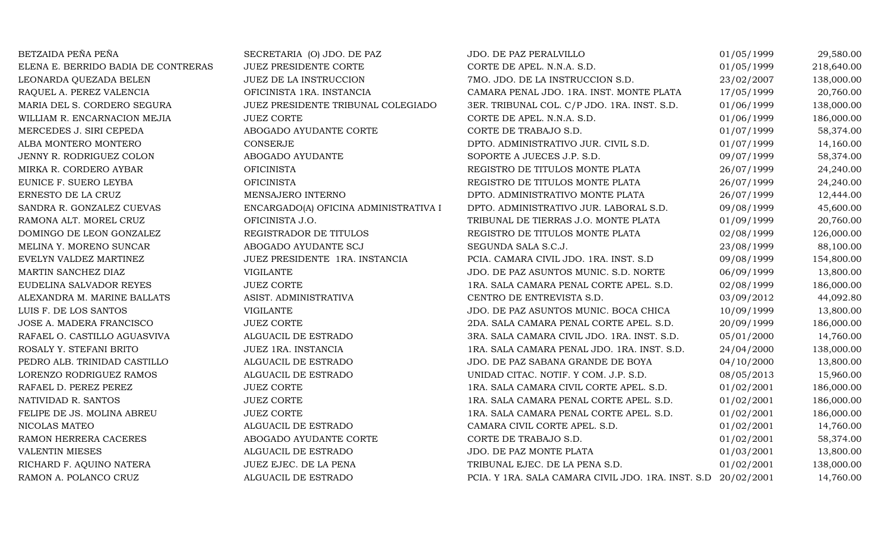| BETZAIDA PEÑA PEÑA                  | SECRETARIA (O) JDO. DE PAZ            | JDO. DE PAZ PERALVILLO                                        | 01/05/1999 | 29,580.00  |
|-------------------------------------|---------------------------------------|---------------------------------------------------------------|------------|------------|
| ELENA E. BERRIDO BADIA DE CONTRERAS | JUEZ PRESIDENTE CORTE                 | CORTE DE APEL. N.N.A. S.D.                                    | 01/05/1999 | 218,640.00 |
| LEONARDA QUEZADA BELEN              | JUEZ DE LA INSTRUCCION                | 7MO. JDO. DE LA INSTRUCCION S.D.                              | 23/02/2007 | 138,000.00 |
| RAQUEL A. PEREZ VALENCIA            | OFICINISTA 1RA. INSTANCIA             | CAMARA PENAL JDO. 1RA. INST. MONTE PLATA                      | 17/05/1999 | 20,760.00  |
| MARIA DEL S. CORDERO SEGURA         | JUEZ PRESIDENTE TRIBUNAL COLEGIADO    | 3ER. TRIBUNAL COL. C/P JDO. 1RA. INST. S.D.                   | 01/06/1999 | 138,000.00 |
| WILLIAM R. ENCARNACION MEJIA        | <b>JUEZ CORTE</b>                     | CORTE DE APEL. N.N.A. S.D.                                    | 01/06/1999 | 186,000.00 |
| MERCEDES J. SIRI CEPEDA             | ABOGADO AYUDANTE CORTE                | CORTE DE TRABAJO S.D.                                         | 01/07/1999 | 58,374.00  |
| ALBA MONTERO MONTERO                | CONSERJE                              | DPTO. ADMINISTRATIVO JUR. CIVIL S.D.                          | 01/07/1999 | 14,160.00  |
| JENNY R. RODRIGUEZ COLON            | ABOGADO AYUDANTE                      | SOPORTE A JUECES J.P. S.D.                                    | 09/07/1999 | 58,374.00  |
| MIRKA R. CORDERO AYBAR              | <b>OFICINISTA</b>                     | REGISTRO DE TITULOS MONTE PLATA                               | 26/07/1999 | 24,240.00  |
| EUNICE F. SUERO LEYBA               | <b>OFICINISTA</b>                     | REGISTRO DE TITULOS MONTE PLATA                               | 26/07/1999 | 24,240.00  |
| ERNESTO DE LA CRUZ                  | MENSAJERO INTERNO                     | DPTO. ADMINISTRATIVO MONTE PLATA                              | 26/07/1999 | 12,444.00  |
| SANDRA R. GONZALEZ CUEVAS           | ENCARGADO(A) OFICINA ADMINISTRATIVA I | DPTO. ADMINISTRATIVO JUR. LABORAL S.D.                        | 09/08/1999 | 45,600.00  |
| RAMONA ALT. MOREL CRUZ              | OFICINISTA J.O.                       | TRIBUNAL DE TIERRAS J.O. MONTE PLATA                          | 01/09/1999 | 20,760.00  |
| DOMINGO DE LEON GONZALEZ            | REGISTRADOR DE TITULOS                | REGISTRO DE TITULOS MONTE PLATA                               | 02/08/1999 | 126,000.00 |
| MELINA Y. MORENO SUNCAR             | ABOGADO AYUDANTE SCJ                  | SEGUNDA SALA S.C.J.                                           | 23/08/1999 | 88,100.00  |
| EVELYN VALDEZ MARTINEZ              | JUEZ PRESIDENTE 1RA. INSTANCIA        | PCIA. CAMARA CIVIL JDO. 1RA. INST. S.D                        | 09/08/1999 | 154,800.00 |
| MARTIN SANCHEZ DIAZ                 | <b>VIGILANTE</b>                      | JDO. DE PAZ ASUNTOS MUNIC. S.D. NORTE                         | 06/09/1999 | 13,800.00  |
| EUDELINA SALVADOR REYES             | <b>JUEZ CORTE</b>                     | 1RA. SALA CAMARA PENAL CORTE APEL. S.D.                       | 02/08/1999 | 186,000.00 |
| ALEXANDRA M. MARINE BALLATS         | ASIST. ADMINISTRATIVA                 | CENTRO DE ENTREVISTA S.D.                                     | 03/09/2012 | 44,092.80  |
| LUIS F. DE LOS SANTOS               | VIGILANTE                             | JDO. DE PAZ ASUNTOS MUNIC. BOCA CHICA                         | 10/09/1999 | 13,800.00  |
| JOSE A. MADERA FRANCISCO            | <b>JUEZ CORTE</b>                     | 2DA. SALA CAMARA PENAL CORTE APEL. S.D.                       | 20/09/1999 | 186,000.00 |
| RAFAEL O. CASTILLO AGUASVIVA        | ALGUACIL DE ESTRADO                   | 3RA. SALA CAMARA CIVIL JDO. 1RA. INST. S.D.                   | 05/01/2000 | 14,760.00  |
| ROSALY Y. STEFANI BRITO             | JUEZ 1RA. INSTANCIA                   | 1RA. SALA CAMARA PENAL JDO. 1RA. INST. S.D.                   | 24/04/2000 | 138,000.00 |
| PEDRO ALB. TRINIDAD CASTILLO        | ALGUACIL DE ESTRADO                   | JDO. DE PAZ SABANA GRANDE DE BOYA                             | 04/10/2000 | 13,800.00  |
| LORENZO RODRIGUEZ RAMOS             | ALGUACIL DE ESTRADO                   | UNIDAD CITAC. NOTIF. Y COM. J.P. S.D.                         | 08/05/2013 | 15,960.00  |
| RAFAEL D. PEREZ PEREZ               | <b>JUEZ CORTE</b>                     | 1RA. SALA CAMARA CIVIL CORTE APEL. S.D.                       | 01/02/2001 | 186,000.00 |
| NATIVIDAD R. SANTOS                 | <b>JUEZ CORTE</b>                     | 1RA. SALA CAMARA PENAL CORTE APEL. S.D.                       | 01/02/2001 | 186,000.00 |
| FELIPE DE JS. MOLINA ABREU          | <b>JUEZ CORTE</b>                     | 1RA. SALA CAMARA PENAL CORTE APEL. S.D.                       | 01/02/2001 | 186,000.00 |
| NICOLAS MATEO                       | ALGUACIL DE ESTRADO                   | CAMARA CIVIL CORTE APEL. S.D.                                 | 01/02/2001 | 14,760.00  |
| RAMON HERRERA CACERES               | ABOGADO AYUDANTE CORTE                | CORTE DE TRABAJO S.D.                                         | 01/02/2001 | 58,374.00  |
| <b>VALENTIN MIESES</b>              | ALGUACIL DE ESTRADO                   | JDO. DE PAZ MONTE PLATA                                       | 01/03/2001 | 13,800.00  |
| RICHARD F. AQUINO NATERA            | JUEZ EJEC. DE LA PENA                 | TRIBUNAL EJEC. DE LA PENA S.D.                                | 01/02/2001 | 138,000.00 |
| RAMON A. POLANCO CRUZ               | ALGUACIL DE ESTRADO                   | PCIA. Y 1RA. SALA CAMARA CIVIL JDO. 1RA. INST. S.D 20/02/2001 |            | 14,760.00  |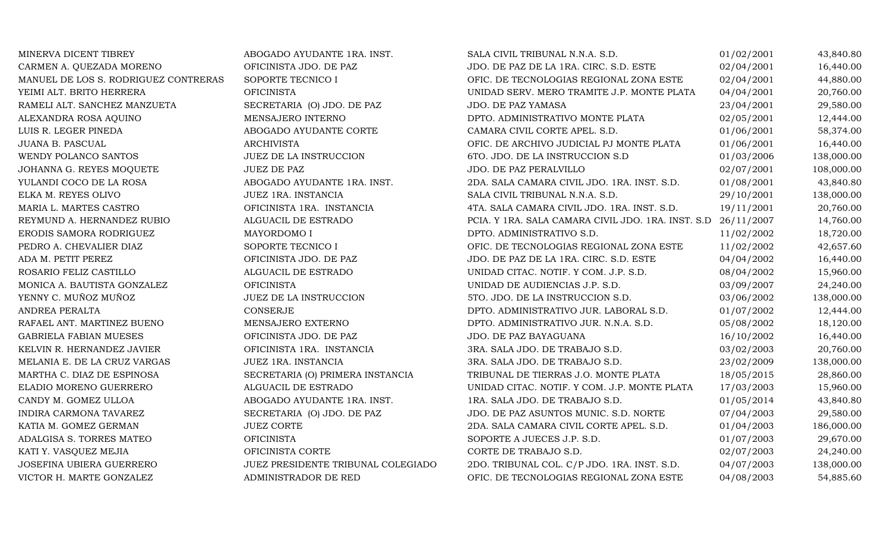| MINERVA DICENT TIBREY                | ABOGADO AYUDANTE 1RA. INST.        | SALA CIVIL TRIBUNAL N.N.A. S.D.                    | 01/02/2001 | 43,840.80  |
|--------------------------------------|------------------------------------|----------------------------------------------------|------------|------------|
| CARMEN A. QUEZADA MORENO             | OFICINISTA JDO. DE PAZ             | JDO. DE PAZ DE LA 1RA. CIRC. S.D. ESTE             | 02/04/2001 | 16,440.00  |
| MANUEL DE LOS S. RODRIGUEZ CONTRERAS | SOPORTE TECNICO I                  | OFIC. DE TECNOLOGIAS REGIONAL ZONA ESTE            | 02/04/2001 | 44,880.00  |
| YEIMI ALT. BRITO HERRERA             | <b>OFICINISTA</b>                  | UNIDAD SERV. MERO TRAMITE J.P. MONTE PLATA         | 04/04/2001 | 20,760.00  |
| RAMELI ALT. SANCHEZ MANZUETA         | SECRETARIA (O) JDO. DE PAZ         | JDO. DE PAZ YAMASA                                 | 23/04/2001 | 29,580.00  |
| ALEXANDRA ROSA AQUINO                | MENSAJERO INTERNO                  | DPTO. ADMINISTRATIVO MONTE PLATA                   | 02/05/2001 | 12,444.00  |
| LUIS R. LEGER PINEDA                 | ABOGADO AYUDANTE CORTE             | CAMARA CIVIL CORTE APEL. S.D.                      | 01/06/2001 | 58,374.00  |
| JUANA B. PASCUAL                     | <b>ARCHIVISTA</b>                  | OFIC. DE ARCHIVO JUDICIAL PJ MONTE PLATA           | 01/06/2001 | 16,440.00  |
| WENDY POLANCO SANTOS                 | JUEZ DE LA INSTRUCCION             | 6TO. JDO. DE LA INSTRUCCION S.D                    | 01/03/2006 | 138,000.00 |
| JOHANNA G. REYES MOQUETE             | <b>JUEZ DE PAZ</b>                 | JDO. DE PAZ PERALVILLO                             | 02/07/2001 | 108,000.00 |
| YULANDI COCO DE LA ROSA              | ABOGADO AYUDANTE 1RA. INST.        | 2DA. SALA CAMARA CIVIL JDO. 1RA. INST. S.D.        | 01/08/2001 | 43,840.80  |
| ELKA M. REYES OLIVO                  | JUEZ 1RA. INSTANCIA                | SALA CIVIL TRIBUNAL N.N.A. S.D.                    | 29/10/2001 | 138,000.00 |
| MARIA L. MARTES CASTRO               | OFICINISTA 1RA. INSTANCIA          | 4TA. SALA CAMARA CIVIL JDO. 1RA. INST. S.D.        | 19/11/2001 | 20,760.00  |
| REYMUND A. HERNANDEZ RUBIO           | ALGUACIL DE ESTRADO                | PCIA. Y 1RA. SALA CAMARA CIVIL JDO. 1RA. INST. S.D | 26/11/2007 | 14,760.00  |
| ERODIS SAMORA RODRIGUEZ              | MAYORDOMO I                        | DPTO. ADMINISTRATIVO S.D.                          | 11/02/2002 | 18,720.00  |
| PEDRO A. CHEVALIER DIAZ              | SOPORTE TECNICO I                  | OFIC. DE TECNOLOGIAS REGIONAL ZONA ESTE            | 11/02/2002 | 42,657.60  |
| ADA M. PETIT PEREZ                   | OFICINISTA JDO. DE PAZ             | JDO. DE PAZ DE LA 1RA. CIRC. S.D. ESTE             | 04/04/2002 | 16,440.00  |
| ROSARIO FELIZ CASTILLO               | ALGUACIL DE ESTRADO                | UNIDAD CITAC. NOTIF. Y COM. J.P. S.D.              | 08/04/2002 | 15,960.00  |
| MONICA A. BAUTISTA GONZALEZ          | <b>OFICINISTA</b>                  | UNIDAD DE AUDIENCIAS J.P. S.D.                     | 03/09/2007 | 24,240.00  |
| YENNY C. MUÑOZ MUÑOZ                 | JUEZ DE LA INSTRUCCION             | 5TO. JDO. DE LA INSTRUCCION S.D.                   | 03/06/2002 | 138,000.00 |
| ANDREA PERALTA                       | <b>CONSERJE</b>                    | DPTO. ADMINISTRATIVO JUR. LABORAL S.D.             | 01/07/2002 | 12,444.00  |
| RAFAEL ANT. MARTINEZ BUENO           | MENSAJERO EXTERNO                  | DPTO. ADMINISTRATIVO JUR. N.N.A. S.D.              | 05/08/2002 | 18,120.00  |
| <b>GABRIELA FABIAN MUESES</b>        | OFICINISTA JDO. DE PAZ             | JDO. DE PAZ BAYAGUANA                              | 16/10/2002 | 16,440.00  |
| KELVIN R. HERNANDEZ JAVIER           | OFICINISTA 1RA. INSTANCIA          | 3RA. SALA JDO. DE TRABAJO S.D.                     | 03/02/2003 | 20,760.00  |
| MELANIA E. DE LA CRUZ VARGAS         | JUEZ 1RA. INSTANCIA                | 3RA. SALA JDO. DE TRABAJO S.D.                     | 23/02/2009 | 138,000.00 |
| MARTHA C. DIAZ DE ESPINOSA           | SECRETARIA (O) PRIMERA INSTANCIA   | TRIBUNAL DE TIERRAS J.O. MONTE PLATA               | 18/05/2015 | 28,860.00  |
| ELADIO MORENO GUERRERO               | ALGUACIL DE ESTRADO                | UNIDAD CITAC. NOTIF. Y COM. J.P. MONTE PLATA       | 17/03/2003 | 15,960.00  |
| CANDY M. GOMEZ ULLOA                 | ABOGADO AYUDANTE 1RA. INST.        | 1RA. SALA JDO. DE TRABAJO S.D.                     | 01/05/2014 | 43,840.80  |
| INDIRA CARMONA TAVAREZ               | SECRETARIA (O) JDO. DE PAZ         | JDO. DE PAZ ASUNTOS MUNIC. S.D. NORTE              | 07/04/2003 | 29,580.00  |
| KATIA M. GOMEZ GERMAN                | <b>JUEZ CORTE</b>                  | 2DA. SALA CAMARA CIVIL CORTE APEL. S.D.            | 01/04/2003 | 186,000.00 |
| ADALGISA S. TORRES MATEO             | <b>OFICINISTA</b>                  | SOPORTE A JUECES J.P. S.D.                         | 01/07/2003 | 29,670.00  |
| KATI Y. VASQUEZ MEJIA                | OFICINISTA CORTE                   | CORTE DE TRABAJO S.D.                              | 02/07/2003 | 24,240.00  |
| JOSEFINA UBIERA GUERRERO             | JUEZ PRESIDENTE TRIBUNAL COLEGIADO | 2DO. TRIBUNAL COL. C/P JDO. 1RA. INST. S.D.        | 04/07/2003 | 138,000.00 |
| VICTOR H. MARTE GONZALEZ             | ADMINISTRADOR DE RED               | OFIC. DE TECNOLOGIAS REGIONAL ZONA ESTE            | 04/08/2003 | 54,885.60  |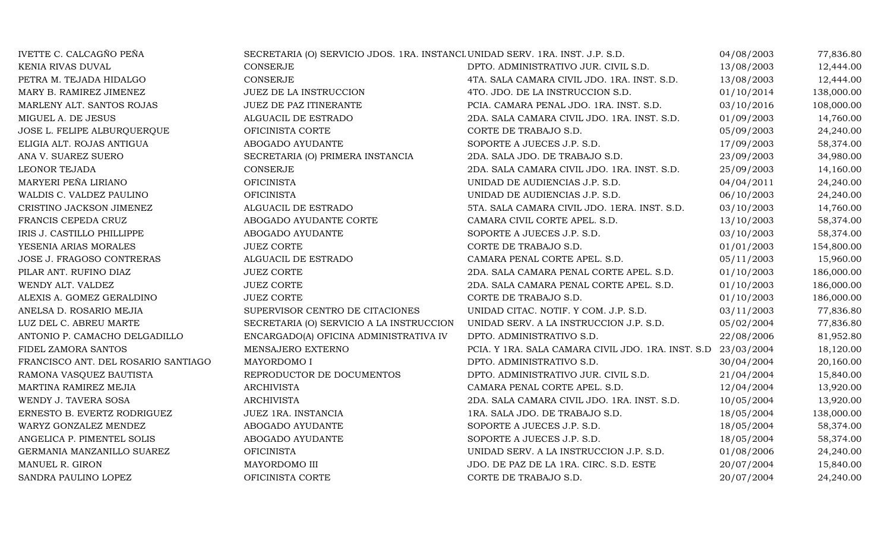| IVETTE C. CALCAGÑO PEÑA             | SECRETARIA (O) SERVICIO JDOS. 1RA. INSTANCL UNIDAD SERV. 1RA. INST. J.P. S.D. |                                                    | 04/08/2003 | 77,836.80  |
|-------------------------------------|-------------------------------------------------------------------------------|----------------------------------------------------|------------|------------|
| KENIA RIVAS DUVAL                   | <b>CONSERJE</b>                                                               | DPTO. ADMINISTRATIVO JUR. CIVIL S.D.               | 13/08/2003 | 12,444.00  |
| PETRA M. TEJADA HIDALGO             | <b>CONSERJE</b>                                                               | 4TA. SALA CAMARA CIVIL JDO. 1RA. INST. S.D.        | 13/08/2003 | 12,444.00  |
| MARY B. RAMIREZ JIMENEZ             | JUEZ DE LA INSTRUCCION                                                        | 4TO. JDO. DE LA INSTRUCCION S.D.                   | 01/10/2014 | 138,000.00 |
| MARLENY ALT. SANTOS ROJAS           | JUEZ DE PAZ ITINERANTE                                                        | PCIA. CAMARA PENAL JDO. 1RA. INST. S.D.            | 03/10/2016 | 108,000.00 |
| MIGUEL A. DE JESUS                  | ALGUACIL DE ESTRADO                                                           | 2DA. SALA CAMARA CIVIL JDO. 1RA. INST. S.D.        | 01/09/2003 | 14,760.00  |
| JOSE L. FELIPE ALBURQUERQUE         | OFICINISTA CORTE                                                              | CORTE DE TRABAJO S.D.                              | 05/09/2003 | 24,240.00  |
| ELIGIA ALT. ROJAS ANTIGUA           | ABOGADO AYUDANTE                                                              | SOPORTE A JUECES J.P. S.D.                         | 17/09/2003 | 58,374.00  |
| ANA V. SUAREZ SUERO                 | SECRETARIA (O) PRIMERA INSTANCIA                                              | 2DA. SALA JDO. DE TRABAJO S.D.                     | 23/09/2003 | 34,980.00  |
| LEONOR TEJADA                       | <b>CONSERJE</b>                                                               | 2DA. SALA CAMARA CIVIL JDO. 1RA. INST. S.D.        | 25/09/2003 | 14,160.00  |
| MARYERI PEÑA LIRIANO                | <b>OFICINISTA</b>                                                             | UNIDAD DE AUDIENCIAS J.P. S.D.                     | 04/04/2011 | 24,240.00  |
| WALDIS C. VALDEZ PAULINO            | <b>OFICINISTA</b>                                                             | UNIDAD DE AUDIENCIAS J.P. S.D.                     | 06/10/2003 | 24,240.00  |
| CRISTINO JACKSON JIMENEZ            | ALGUACIL DE ESTRADO                                                           | 5TA. SALA CAMARA CIVIL JDO. 1ERA. INST. S.D.       | 03/10/2003 | 14,760.00  |
| FRANCIS CEPEDA CRUZ                 | ABOGADO AYUDANTE CORTE                                                        | CAMARA CIVIL CORTE APEL. S.D.                      | 13/10/2003 | 58,374.00  |
| IRIS J. CASTILLO PHILLIPPE          | ABOGADO AYUDANTE                                                              | SOPORTE A JUECES J.P. S.D.                         | 03/10/2003 | 58,374.00  |
| YESENIA ARIAS MORALES               | <b>JUEZ CORTE</b>                                                             | CORTE DE TRABAJO S.D.                              | 01/01/2003 | 154,800.00 |
| JOSE J. FRAGOSO CONTRERAS           | ALGUACIL DE ESTRADO                                                           | CAMARA PENAL CORTE APEL. S.D.                      | 05/11/2003 | 15,960.00  |
| PILAR ANT. RUFINO DIAZ              | <b>JUEZ CORTE</b>                                                             | 2DA. SALA CAMARA PENAL CORTE APEL. S.D.            | 01/10/2003 | 186,000.00 |
| WENDY ALT. VALDEZ                   | <b>JUEZ CORTE</b>                                                             | 2DA. SALA CAMARA PENAL CORTE APEL. S.D.            | 01/10/2003 | 186,000.00 |
| ALEXIS A. GOMEZ GERALDINO           | <b>JUEZ CORTE</b>                                                             | CORTE DE TRABAJO S.D.                              | 01/10/2003 | 186,000.00 |
| ANELSA D. ROSARIO MEJIA             | SUPERVISOR CENTRO DE CITACIONES                                               | UNIDAD CITAC. NOTIF. Y COM. J.P. S.D.              | 03/11/2003 | 77,836.80  |
| LUZ DEL C. ABREU MARTE              | SECRETARIA (O) SERVICIO A LA INSTRUCCION                                      | UNIDAD SERV. A LA INSTRUCCION J.P. S.D.            | 05/02/2004 | 77,836.80  |
| ANTONIO P. CAMACHO DELGADILLO       | ENCARGADO(A) OFICINA ADMINISTRATIVA IV                                        | DPTO. ADMINISTRATIVO S.D.                          | 22/08/2006 | 81,952.80  |
| FIDEL ZAMORA SANTOS                 | MENSAJERO EXTERNO                                                             | PCIA. Y 1RA. SALA CAMARA CIVIL JDO. 1RA. INST. S.D | 23/03/2004 | 18,120.00  |
| FRANCISCO ANT. DEL ROSARIO SANTIAGO | MAYORDOMO I                                                                   | DPTO. ADMINISTRATIVO S.D.                          | 30/04/2004 | 20,160.00  |
| RAMONA VASQUEZ BAUTISTA             | REPRODUCTOR DE DOCUMENTOS                                                     | DPTO. ADMINISTRATIVO JUR. CIVIL S.D.               | 21/04/2004 | 15,840.00  |
| MARTINA RAMIREZ MEJIA               | <b>ARCHIVISTA</b>                                                             | CAMARA PENAL CORTE APEL. S.D.                      | 12/04/2004 | 13,920.00  |
| WENDY J. TAVERA SOSA                | <b>ARCHIVISTA</b>                                                             | 2DA. SALA CAMARA CIVIL JDO. 1RA. INST. S.D.        | 10/05/2004 | 13,920.00  |
| ERNESTO B. EVERTZ RODRIGUEZ         | JUEZ 1RA. INSTANCIA                                                           | 1RA. SALA JDO. DE TRABAJO S.D.                     | 18/05/2004 | 138,000.00 |
| WARYZ GONZALEZ MENDEZ               | ABOGADO AYUDANTE                                                              | SOPORTE A JUECES J.P. S.D.                         | 18/05/2004 | 58,374.00  |
| ANGELICA P. PIMENTEL SOLIS          | ABOGADO AYUDANTE                                                              | SOPORTE A JUECES J.P. S.D.                         | 18/05/2004 | 58,374.00  |
| GERMANIA MANZANILLO SUAREZ          | <b>OFICINISTA</b>                                                             | UNIDAD SERV. A LA INSTRUCCION J.P. S.D.            | 01/08/2006 | 24,240.00  |
| MANUEL R. GIRON                     | MAYORDOMO III                                                                 | JDO. DE PAZ DE LA 1RA. CIRC. S.D. ESTE             | 20/07/2004 | 15,840.00  |
| SANDRA PAULINO LOPEZ                | OFICINISTA CORTE                                                              | CORTE DE TRABAJO S.D.                              | 20/07/2004 | 24,240.00  |
|                                     |                                                                               |                                                    |            |            |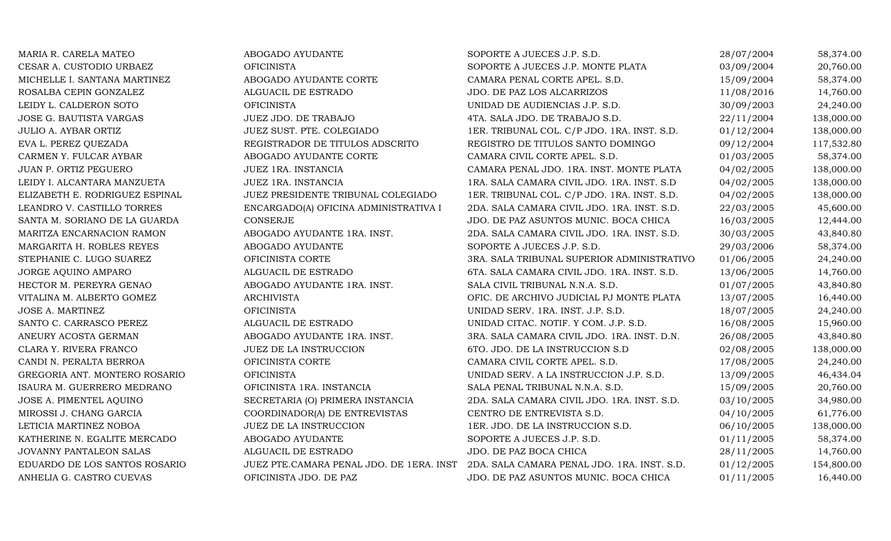| MARIA R. CARELA MATEO          | ABOGADO AYUDANTE                         | SOPORTE A JUECES J.P. S.D.                  | 28/07/2004 | 58,374.00  |
|--------------------------------|------------------------------------------|---------------------------------------------|------------|------------|
| CESAR A. CUSTODIO URBAEZ       | <b>OFICINISTA</b>                        | SOPORTE A JUECES J.P. MONTE PLATA           | 03/09/2004 | 20,760.00  |
| MICHELLE I. SANTANA MARTINEZ   | ABOGADO AYUDANTE CORTE                   | CAMARA PENAL CORTE APEL. S.D.               | 15/09/2004 | 58,374.00  |
| ROSALBA CEPIN GONZALEZ         | ALGUACIL DE ESTRADO                      | JDO. DE PAZ LOS ALCARRIZOS                  | 11/08/2016 | 14,760.00  |
| LEIDY L. CALDERON SOTO         | <b>OFICINISTA</b>                        | UNIDAD DE AUDIENCIAS J.P. S.D.              | 30/09/2003 | 24,240.00  |
| JOSE G. BAUTISTA VARGAS        | JUEZ JDO. DE TRABAJO                     | 4TA. SALA JDO. DE TRABAJO S.D.              | 22/11/2004 | 138,000.00 |
| <b>JULIO A. AYBAR ORTIZ</b>    | JUEZ SUST. PTE. COLEGIADO                | 1ER. TRIBUNAL COL. C/P JDO. 1RA. INST. S.D. | 01/12/2004 | 138,000.00 |
| EVA L. PEREZ QUEZADA           | REGISTRADOR DE TITULOS ADSCRITO          | REGISTRO DE TITULOS SANTO DOMINGO           | 09/12/2004 | 117,532.80 |
| CARMEN Y. FULCAR AYBAR         | ABOGADO AYUDANTE CORTE                   | CAMARA CIVIL CORTE APEL. S.D.               | 01/03/2005 | 58,374.00  |
| <b>JUAN P. ORTIZ PEGUERO</b>   | JUEZ 1RA. INSTANCIA                      | CAMARA PENAL JDO. 1RA. INST. MONTE PLATA    | 04/02/2005 | 138,000.00 |
| LEIDY I. ALCANTARA MANZUETA    | JUEZ 1RA. INSTANCIA                      | 1RA. SALA CAMARA CIVIL JDO. 1RA. INST. S.D  | 04/02/2005 | 138,000.00 |
| ELIZABETH E. RODRIGUEZ ESPINAL | JUEZ PRESIDENTE TRIBUNAL COLEGIADO       | 1ER. TRIBUNAL COL. C/P JDO. 1RA. INST. S.D. | 04/02/2005 | 138,000.00 |
| LEANDRO V. CASTILLO TORRES     | ENCARGADO(A) OFICINA ADMINISTRATIVA I    | 2DA. SALA CAMARA CIVIL JDO. 1RA. INST. S.D. | 22/03/2005 | 45,600.00  |
| SANTA M. SORIANO DE LA GUARDA  | CONSERJE                                 | JDO. DE PAZ ASUNTOS MUNIC. BOCA CHICA       | 16/03/2005 | 12,444.00  |
| MARITZA ENCARNACION RAMON      | ABOGADO AYUDANTE 1RA. INST.              | 2DA. SALA CAMARA CIVIL JDO. 1RA. INST. S.D. | 30/03/2005 | 43,840.80  |
| MARGARITA H. ROBLES REYES      | ABOGADO AYUDANTE                         | SOPORTE A JUECES J.P. S.D.                  | 29/03/2006 | 58,374.00  |
| STEPHANIE C. LUGO SUAREZ       | OFICINISTA CORTE                         | 3RA. SALA TRIBUNAL SUPERIOR ADMINISTRATIVO  | 01/06/2005 | 24,240.00  |
| JORGE AQUINO AMPARO            | ALGUACIL DE ESTRADO                      | 6TA. SALA CAMARA CIVIL JDO. 1RA. INST. S.D. | 13/06/2005 | 14,760.00  |
| HECTOR M. PEREYRA GENAO        | ABOGADO AYUDANTE 1RA. INST.              | SALA CIVIL TRIBUNAL N.N.A. S.D.             | 01/07/2005 | 43,840.80  |
| VITALINA M. ALBERTO GOMEZ      | <b>ARCHIVISTA</b>                        | OFIC. DE ARCHIVO JUDICIAL PJ MONTE PLATA    | 13/07/2005 | 16,440.00  |
| <b>JOSE A. MARTINEZ</b>        | <b>OFICINISTA</b>                        | UNIDAD SERV. 1RA. INST. J.P. S.D.           | 18/07/2005 | 24,240.00  |
| SANTO C. CARRASCO PEREZ        | ALGUACIL DE ESTRADO                      | UNIDAD CITAC. NOTIF. Y COM. J.P. S.D.       | 16/08/2005 | 15,960.00  |
| ANEURY ACOSTA GERMAN           | ABOGADO AYUDANTE 1RA. INST.              | 3RA. SALA CAMARA CIVIL JDO. 1RA. INST. D.N. | 26/08/2005 | 43,840.80  |
| CLARA Y. RIVERA FRANCO         | JUEZ DE LA INSTRUCCION                   | 6TO. JDO. DE LA INSTRUCCION S.D             | 02/08/2005 | 138,000.00 |
| CANDI N. PERALTA BERROA        | OFICINISTA CORTE                         | CAMARA CIVIL CORTE APEL. S.D.               | 17/08/2005 | 24,240.00  |
| GREGORIA ANT. MONTERO ROSARIO  | <b>OFICINISTA</b>                        | UNIDAD SERV. A LA INSTRUCCION J.P. S.D.     | 13/09/2005 | 46,434.04  |
| ISAURA M. GUERRERO MEDRANO     | OFICINISTA 1RA. INSTANCIA                | SALA PENAL TRIBUNAL N.N.A. S.D.             | 15/09/2005 | 20,760.00  |
| JOSE A. PIMENTEL AQUINO        | SECRETARIA (O) PRIMERA INSTANCIA         | 2DA. SALA CAMARA CIVIL JDO. 1RA. INST. S.D. | 03/10/2005 | 34,980.00  |
| MIROSSI J. CHANG GARCIA        | COORDINADOR(A) DE ENTREVISTAS            | CENTRO DE ENTREVISTA S.D.                   | 04/10/2005 | 61,776.00  |
| LETICIA MARTINEZ NOBOA         | JUEZ DE LA INSTRUCCION                   | 1ER. JDO. DE LA INSTRUCCION S.D.            | 06/10/2005 | 138,000.00 |
| KATHERINE N. EGALITE MERCADO   | ABOGADO AYUDANTE                         | SOPORTE A JUECES J.P. S.D.                  | 01/11/2005 | 58,374.00  |
| JOVANNY PANTALEON SALAS        | ALGUACIL DE ESTRADO                      | JDO. DE PAZ BOCA CHICA                      | 28/11/2005 | 14,760.00  |
| EDUARDO DE LOS SANTOS ROSARIO  | JUEZ PTE.CAMARA PENAL JDO. DE 1ERA. INST | 2DA. SALA CAMARA PENAL JDO. 1RA. INST. S.D. | 01/12/2005 | 154,800.00 |
| ANHELIA G. CASTRO CUEVAS       | OFICINISTA JDO. DE PAZ                   | JDO. DE PAZ ASUNTOS MUNIC. BOCA CHICA       | 01/11/2005 | 16,440.00  |
|                                |                                          |                                             |            |            |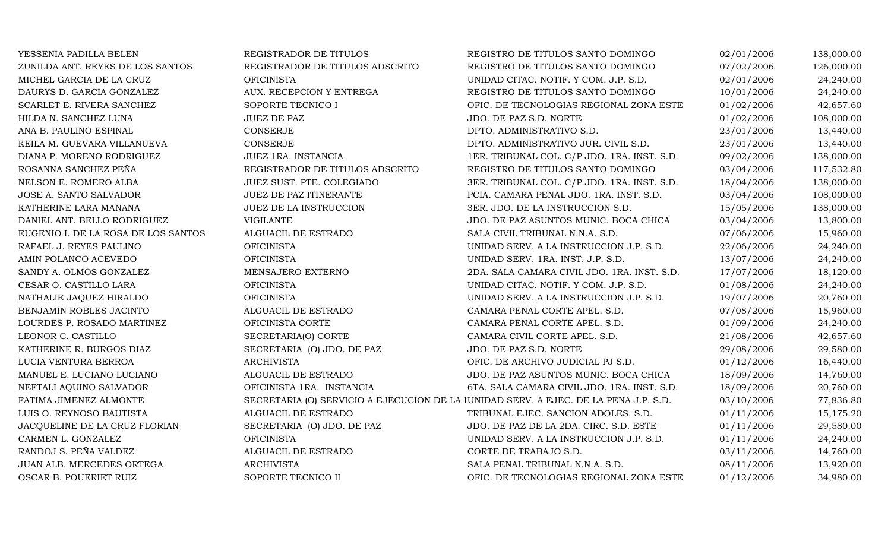| YESSENIA PADILLA BELEN              | REGISTRADOR DE TITULOS          | REGISTRO DE TITULOS SANTO DOMINGO                                                    | 02/01/2006 | 138,000.00 |
|-------------------------------------|---------------------------------|--------------------------------------------------------------------------------------|------------|------------|
| ZUNILDA ANT. REYES DE LOS SANTOS    | REGISTRADOR DE TITULOS ADSCRITO | REGISTRO DE TITULOS SANTO DOMINGO                                                    | 07/02/2006 | 126,000.00 |
| MICHEL GARCIA DE LA CRUZ            | <b>OFICINISTA</b>               | UNIDAD CITAC. NOTIF. Y COM. J.P. S.D.                                                | 02/01/2006 | 24,240.00  |
| DAURYS D. GARCIA GONZALEZ           | AUX. RECEPCION Y ENTREGA        | REGISTRO DE TITULOS SANTO DOMINGO                                                    | 10/01/2006 | 24,240.00  |
| SCARLET E. RIVERA SANCHEZ           | SOPORTE TECNICO I               | OFIC. DE TECNOLOGIAS REGIONAL ZONA ESTE                                              | 01/02/2006 | 42,657.60  |
| HILDA N. SANCHEZ LUNA               | <b>JUEZ DE PAZ</b>              | JDO. DE PAZ S.D. NORTE                                                               | 01/02/2006 | 108,000.00 |
| ANA B. PAULINO ESPINAL              | CONSERJE                        | DPTO. ADMINISTRATIVO S.D.                                                            | 23/01/2006 | 13,440.00  |
| KEILA M. GUEVARA VILLANUEVA         | <b>CONSERJE</b>                 | DPTO. ADMINISTRATIVO JUR. CIVIL S.D.                                                 | 23/01/2006 | 13,440.00  |
| DIANA P. MORENO RODRIGUEZ           | JUEZ 1RA. INSTANCIA             | 1ER. TRIBUNAL COL. C/P JDO. 1RA. INST. S.D.                                          | 09/02/2006 | 138,000.00 |
| ROSANNA SANCHEZ PEÑA                | REGISTRADOR DE TITULOS ADSCRITO | REGISTRO DE TITULOS SANTO DOMINGO                                                    | 03/04/2006 | 117,532.80 |
| NELSON E. ROMERO ALBA               | JUEZ SUST. PTE. COLEGIADO       | 3ER. TRIBUNAL COL. C/P JDO. 1RA. INST. S.D.                                          | 18/04/2006 | 138,000.00 |
| JOSE A. SANTO SALVADOR              | JUEZ DE PAZ ITINERANTE          | PCIA. CAMARA PENAL JDO. 1RA. INST. S.D.                                              | 03/04/2006 | 108,000.00 |
| KATHERINE LARA MAÑANA               | JUEZ DE LA INSTRUCCION          | 3ER. JDO. DE LA INSTRUCCION S.D.                                                     | 15/05/2006 | 138,000.00 |
| DANIEL ANT. BELLO RODRIGUEZ         | <b>VIGILANTE</b>                | JDO. DE PAZ ASUNTOS MUNIC. BOCA CHICA                                                | 03/04/2006 | 13,800.00  |
| EUGENIO I. DE LA ROSA DE LOS SANTOS | ALGUACIL DE ESTRADO             | SALA CIVIL TRIBUNAL N.N.A. S.D.                                                      | 07/06/2006 | 15,960.00  |
| RAFAEL J. REYES PAULINO             | <b>OFICINISTA</b>               | UNIDAD SERV. A LA INSTRUCCION J.P. S.D.                                              | 22/06/2006 | 24,240.00  |
| AMIN POLANCO ACEVEDO                | <b>OFICINISTA</b>               | UNIDAD SERV. 1RA. INST. J.P. S.D.                                                    | 13/07/2006 | 24,240.00  |
| SANDY A. OLMOS GONZALEZ             | MENSAJERO EXTERNO               | 2DA. SALA CAMARA CIVIL JDO. 1RA. INST. S.D.                                          | 17/07/2006 | 18,120.00  |
| CESAR O. CASTILLO LARA              | <b>OFICINISTA</b>               | UNIDAD CITAC. NOTIF. Y COM. J.P. S.D.                                                | 01/08/2006 | 24,240.00  |
| NATHALIE JAQUEZ HIRALDO             | <b>OFICINISTA</b>               | UNIDAD SERV. A LA INSTRUCCION J.P. S.D.                                              | 19/07/2006 | 20,760.00  |
| BENJAMIN ROBLES JACINTO             | ALGUACIL DE ESTRADO             | CAMARA PENAL CORTE APEL. S.D.                                                        | 07/08/2006 | 15,960.00  |
| LOURDES P. ROSADO MARTINEZ          | OFICINISTA CORTE                | CAMARA PENAL CORTE APEL. S.D.                                                        | 01/09/2006 | 24,240.00  |
| LEONOR C. CASTILLO                  | SECRETARIA(O) CORTE             | CAMARA CIVIL CORTE APEL. S.D.                                                        | 21/08/2006 | 42,657.60  |
| KATHERINE R. BURGOS DIAZ            | SECRETARIA (O) JDO. DE PAZ      | JDO. DE PAZ S.D. NORTE                                                               | 29/08/2006 | 29,580.00  |
| LUCIA VENTURA BERROA                | <b>ARCHIVISTA</b>               | OFIC. DE ARCHIVO JUDICIAL PJ S.D.                                                    | 01/12/2006 | 16,440.00  |
| MANUEL E. LUCIANO LUCIANO           | ALGUACIL DE ESTRADO             | JDO. DE PAZ ASUNTOS MUNIC. BOCA CHICA                                                | 18/09/2006 | 14,760.00  |
| NEFTALI AQUINO SALVADOR             | OFICINISTA 1RA. INSTANCIA       | 6TA. SALA CAMARA CIVIL JDO. 1RA. INST. S.D.                                          | 18/09/2006 | 20,760.00  |
| FATIMA JIMENEZ ALMONTE              |                                 | SECRETARIA (O) SERVICIO A EJECUCION DE LA JUNIDAD SERV. A EJEC. DE LA PENA J.P. S.D. | 03/10/2006 | 77,836.80  |
| LUIS O. REYNOSO BAUTISTA            | ALGUACIL DE ESTRADO             | TRIBUNAL EJEC. SANCION ADOLES. S.D.                                                  | 01/11/2006 | 15,175.20  |
| JACQUELINE DE LA CRUZ FLORIAN       | SECRETARIA (O) JDO. DE PAZ      | JDO. DE PAZ DE LA 2DA. CIRC. S.D. ESTE                                               | 01/11/2006 | 29,580.00  |
| CARMEN L. GONZALEZ                  | <b>OFICINISTA</b>               | UNIDAD SERV. A LA INSTRUCCION J.P. S.D.                                              | 01/11/2006 | 24,240.00  |
| RANDOJ S. PEÑA VALDEZ               | ALGUACIL DE ESTRADO             | CORTE DE TRABAJO S.D.                                                                | 03/11/2006 | 14,760.00  |
| JUAN ALB. MERCEDES ORTEGA           | <b>ARCHIVISTA</b>               | SALA PENAL TRIBUNAL N.N.A. S.D.                                                      | 08/11/2006 | 13,920.00  |
| OSCAR B. POUERIET RUIZ              | SOPORTE TECNICO II              | OFIC. DE TECNOLOGIAS REGIONAL ZONA ESTE                                              | 01/12/2006 | 34,980.00  |
|                                     |                                 |                                                                                      |            |            |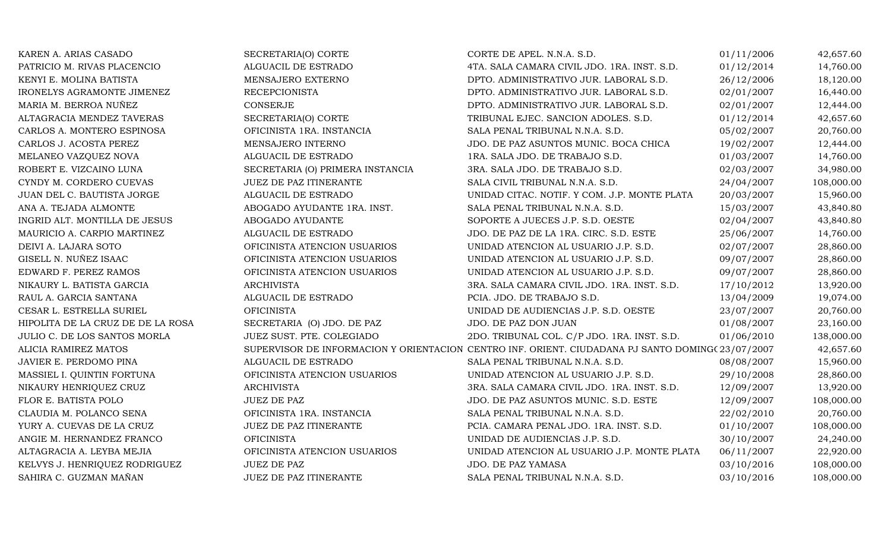| KAREN A. ARIAS CASADO             | SECRETARIA(O) CORTE              | CORTE DE APEL. N.N.A. S.D.                                                                       | 01/11/2006 | 42,657.60  |
|-----------------------------------|----------------------------------|--------------------------------------------------------------------------------------------------|------------|------------|
| PATRICIO M. RIVAS PLACENCIO       | ALGUACIL DE ESTRADO              | 4TA. SALA CAMARA CIVIL JDO. 1RA. INST. S.D.                                                      | 01/12/2014 | 14,760.00  |
| KENYI E. MOLINA BATISTA           | MENSAJERO EXTERNO                | DPTO. ADMINISTRATIVO JUR. LABORAL S.D.                                                           | 26/12/2006 | 18,120.00  |
| IRONELYS AGRAMONTE JIMENEZ        | <b>RECEPCIONISTA</b>             | DPTO. ADMINISTRATIVO JUR. LABORAL S.D.                                                           | 02/01/2007 | 16,440.00  |
| MARIA M. BERROA NUÑEZ             | CONSERJE                         | DPTO. ADMINISTRATIVO JUR. LABORAL S.D.                                                           | 02/01/2007 | 12,444.00  |
| ALTAGRACIA MENDEZ TAVERAS         | SECRETARIA(O) CORTE              | TRIBUNAL EJEC. SANCION ADOLES. S.D.                                                              | 01/12/2014 | 42,657.60  |
| CARLOS A. MONTERO ESPINOSA        | OFICINISTA 1RA. INSTANCIA        | SALA PENAL TRIBUNAL N.N.A. S.D.                                                                  | 05/02/2007 | 20,760.00  |
| CARLOS J. ACOSTA PEREZ            | MENSAJERO INTERNO                | JDO. DE PAZ ASUNTOS MUNIC. BOCA CHICA                                                            | 19/02/2007 | 12,444.00  |
| MELANEO VAZQUEZ NOVA              | ALGUACIL DE ESTRADO              | 1RA. SALA JDO. DE TRABAJO S.D.                                                                   | 01/03/2007 | 14,760.00  |
| ROBERT E. VIZCAINO LUNA           | SECRETARIA (O) PRIMERA INSTANCIA | 3RA. SALA JDO. DE TRABAJO S.D.                                                                   | 02/03/2007 | 34,980.00  |
| CYNDY M. CORDERO CUEVAS           | JUEZ DE PAZ ITINERANTE           | SALA CIVIL TRIBUNAL N.N.A. S.D.                                                                  | 24/04/2007 | 108,000.00 |
| JUAN DEL C. BAUTISTA JORGE        | ALGUACIL DE ESTRADO              | UNIDAD CITAC. NOTIF. Y COM. J.P. MONTE PLATA                                                     | 20/03/2007 | 15,960.00  |
| ANA A. TEJADA ALMONTE             | ABOGADO AYUDANTE 1RA. INST.      | SALA PENAL TRIBUNAL N.N.A. S.D.                                                                  | 15/03/2007 | 43,840.80  |
| INGRID ALT. MONTILLA DE JESUS     | ABOGADO AYUDANTE                 | SOPORTE A JUECES J.P. S.D. OESTE                                                                 | 02/04/2007 | 43,840.80  |
| MAURICIO A. CARPIO MARTINEZ       | ALGUACIL DE ESTRADO              | JDO. DE PAZ DE LA 1RA. CIRC. S.D. ESTE                                                           | 25/06/2007 | 14,760.00  |
| DEIVI A. LAJARA SOTO              | OFICINISTA ATENCION USUARIOS     | UNIDAD ATENCION AL USUARIO J.P. S.D.                                                             | 02/07/2007 | 28,860.00  |
| GISELL N. NUÑEZ ISAAC             | OFICINISTA ATENCION USUARIOS     | UNIDAD ATENCION AL USUARIO J.P. S.D.                                                             | 09/07/2007 | 28,860.00  |
| EDWARD F. PEREZ RAMOS             | OFICINISTA ATENCION USUARIOS     | UNIDAD ATENCION AL USUARIO J.P. S.D.                                                             | 09/07/2007 | 28,860.00  |
| NIKAURY L. BATISTA GARCIA         | <b>ARCHIVISTA</b>                | 3RA. SALA CAMARA CIVIL JDO. 1RA. INST. S.D.                                                      | 17/10/2012 | 13,920.00  |
| RAUL A. GARCIA SANTANA            | ALGUACIL DE ESTRADO              | PCIA. JDO. DE TRABAJO S.D.                                                                       | 13/04/2009 | 19,074.00  |
| CESAR L. ESTRELLA SURIEL          | <b>OFICINISTA</b>                | UNIDAD DE AUDIENCIAS J.P. S.D. OESTE                                                             | 23/07/2007 | 20,760.00  |
| HIPOLITA DE LA CRUZ DE DE LA ROSA | SECRETARIA (O) JDO. DE PAZ       | JDO. DE PAZ DON JUAN                                                                             | 01/08/2007 | 23,160.00  |
| JULIO C. DE LOS SANTOS MORLA      | JUEZ SUST. PTE. COLEGIADO        | 2DO. TRIBUNAL COL. C/P JDO. 1RA. INST. S.D.                                                      | 01/06/2010 | 138,000.00 |
| ALICIA RAMIREZ MATOS              |                                  | SUPERVISOR DE INFORMACION Y ORIENTACION CENTRO INF. ORIENT. CIUDADANA PJ SANTO DOMING(23/07/2007 |            | 42,657.60  |
| JAVIER E. PERDOMO PINA            | ALGUACIL DE ESTRADO              | SALA PENAL TRIBUNAL N.N.A. S.D.                                                                  | 08/08/2007 | 15,960.00  |
| MASSIEL I. QUINTIN FORTUNA        | OFICINISTA ATENCION USUARIOS     | UNIDAD ATENCION AL USUARIO J.P. S.D.                                                             | 29/10/2008 | 28,860.00  |
| NIKAURY HENRIQUEZ CRUZ            | <b>ARCHIVISTA</b>                | 3RA. SALA CAMARA CIVIL JDO. 1RA. INST. S.D.                                                      | 12/09/2007 | 13,920.00  |
| FLOR E. BATISTA POLO              | <b>JUEZ DE PAZ</b>               | JDO. DE PAZ ASUNTOS MUNIC. S.D. ESTE                                                             | 12/09/2007 | 108,000.00 |
| CLAUDIA M. POLANCO SENA           | OFICINISTA 1RA. INSTANCIA        | SALA PENAL TRIBUNAL N.N.A. S.D.                                                                  | 22/02/2010 | 20,760.00  |
| YURY A. CUEVAS DE LA CRUZ         | JUEZ DE PAZ ITINERANTE           | PCIA. CAMARA PENAL JDO. 1RA. INST. S.D.                                                          | 01/10/2007 | 108,000.00 |
| ANGIE M. HERNANDEZ FRANCO         | <b>OFICINISTA</b>                | UNIDAD DE AUDIENCIAS J.P. S.D.                                                                   | 30/10/2007 | 24,240.00  |
| ALTAGRACIA A. LEYBA MEJIA         | OFICINISTA ATENCION USUARIOS     | UNIDAD ATENCION AL USUARIO J.P. MONTE PLATA                                                      | 06/11/2007 | 22,920.00  |
| KELVYS J. HENRIQUEZ RODRIGUEZ     | <b>JUEZ DE PAZ</b>               | JDO. DE PAZ YAMASA                                                                               | 03/10/2016 | 108,000.00 |
| SAHIRA C. GUZMAN MAÑAN            | JUEZ DE PAZ ITINERANTE           | SALA PENAL TRIBUNAL N.N.A. S.D.                                                                  | 03/10/2016 | 108,000.00 |
|                                   |                                  |                                                                                                  |            |            |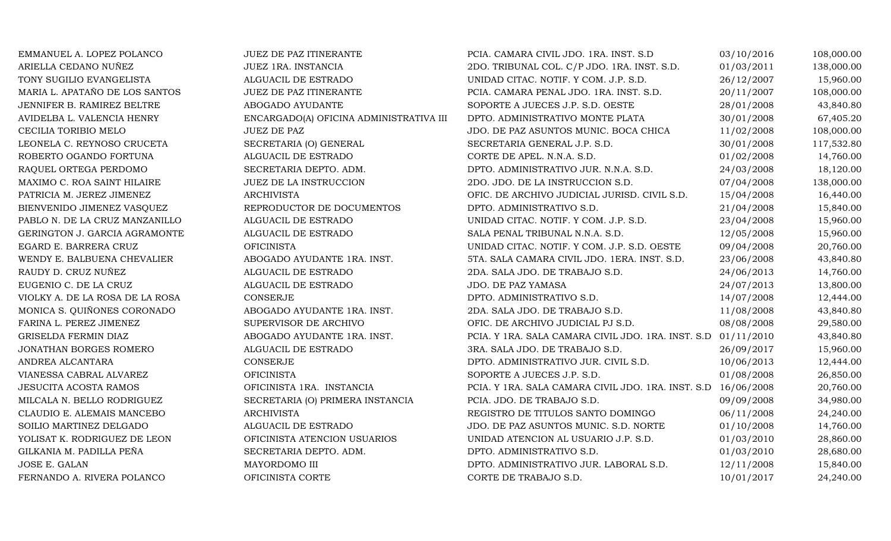| EMMANUEL A. LOPEZ POLANCO       | JUEZ DE PAZ ITINERANTE                  | PCIA. CAMARA CIVIL JDO. 1RA. INST. S.D                        | 03/10/2016 | 108,000.00 |
|---------------------------------|-----------------------------------------|---------------------------------------------------------------|------------|------------|
| ARIELLA CEDANO NUÑEZ            | JUEZ 1RA. INSTANCIA                     | 2DO. TRIBUNAL COL. C/P JDO. 1RA. INST. S.D.                   | 01/03/2011 | 138,000.00 |
| TONY SUGILIO EVANGELISTA        | ALGUACIL DE ESTRADO                     | UNIDAD CITAC. NOTIF. Y COM. J.P. S.D.                         | 26/12/2007 | 15,960.00  |
| MARIA L. APATAÑO DE LOS SANTOS  | JUEZ DE PAZ ITINERANTE                  | PCIA. CAMARA PENAL JDO. 1RA. INST. S.D.                       | 20/11/2007 | 108,000.00 |
| JENNIFER B. RAMIREZ BELTRE      | ABOGADO AYUDANTE                        | SOPORTE A JUECES J.P. S.D. OESTE                              | 28/01/2008 | 43,840.80  |
| AVIDELBA L. VALENCIA HENRY      | ENCARGADO(A) OFICINA ADMINISTRATIVA III | DPTO. ADMINISTRATIVO MONTE PLATA                              | 30/01/2008 | 67,405.20  |
| CECILIA TORIBIO MELO            | <b>JUEZ DE PAZ</b>                      | JDO. DE PAZ ASUNTOS MUNIC. BOCA CHICA                         | 11/02/2008 | 108,000.00 |
| LEONELA C. REYNOSO CRUCETA      | SECRETARIA (O) GENERAL                  | SECRETARIA GENERAL J.P. S.D.                                  | 30/01/2008 | 117,532.80 |
| ROBERTO OGANDO FORTUNA          | ALGUACIL DE ESTRADO                     | CORTE DE APEL. N.N.A. S.D.                                    | 01/02/2008 | 14,760.00  |
| RAQUEL ORTEGA PERDOMO           | SECRETARIA DEPTO. ADM.                  | DPTO. ADMINISTRATIVO JUR. N.N.A. S.D.                         | 24/03/2008 | 18,120.00  |
| MAXIMO C. ROA SAINT HILAIRE     | JUEZ DE LA INSTRUCCION                  | 2DO. JDO. DE LA INSTRUCCION S.D.                              | 07/04/2008 | 138,000.00 |
| PATRICIA M. JEREZ JIMENEZ       | <b>ARCHIVISTA</b>                       | OFIC. DE ARCHIVO JUDICIAL JURISD. CIVIL S.D.                  | 15/04/2008 | 16,440.00  |
| BIENVENIDO JIMENEZ VASQUEZ      | REPRODUCTOR DE DOCUMENTOS               | DPTO. ADMINISTRATIVO S.D.                                     | 21/04/2008 | 15,840.00  |
| PABLO N. DE LA CRUZ MANZANILLO  | ALGUACIL DE ESTRADO                     | UNIDAD CITAC. NOTIF. Y COM. J.P. S.D.                         | 23/04/2008 | 15,960.00  |
| GERINGTON J. GARCIA AGRAMONTE   | ALGUACIL DE ESTRADO                     | SALA PENAL TRIBUNAL N.N.A. S.D.                               | 12/05/2008 | 15,960.00  |
| EGARD E. BARRERA CRUZ           | <b>OFICINISTA</b>                       | UNIDAD CITAC. NOTIF. Y COM. J.P. S.D. OESTE                   | 09/04/2008 | 20,760.00  |
| WENDY E. BALBUENA CHEVALIER     | ABOGADO AYUDANTE 1RA. INST.             | 5TA. SALA CAMARA CIVIL JDO. 1ERA. INST. S.D.                  | 23/06/2008 | 43,840.80  |
| RAUDY D. CRUZ NUÑEZ             | ALGUACIL DE ESTRADO                     | 2DA. SALA JDO. DE TRABAJO S.D.                                | 24/06/2013 | 14,760.00  |
| EUGENIO C. DE LA CRUZ           | ALGUACIL DE ESTRADO                     | JDO. DE PAZ YAMASA                                            | 24/07/2013 | 13,800.00  |
| VIOLKY A. DE LA ROSA DE LA ROSA | CONSERJE                                | DPTO. ADMINISTRATIVO S.D.                                     | 14/07/2008 | 12,444.00  |
| MONICA S. QUIÑONES CORONADO     | ABOGADO AYUDANTE 1RA. INST.             | 2DA. SALA JDO. DE TRABAJO S.D.                                | 11/08/2008 | 43,840.80  |
| FARINA L. PEREZ JIMENEZ         | SUPERVISOR DE ARCHIVO                   | OFIC. DE ARCHIVO JUDICIAL PJ S.D.                             | 08/08/2008 | 29,580.00  |
| <b>GRISELDA FERMIN DIAZ</b>     | ABOGADO AYUDANTE 1RA. INST.             | PCIA. Y 1RA. SALA CAMARA CIVIL JDO. 1RA. INST. S.D 01/11/2010 |            | 43,840.80  |
| JONATHAN BORGES ROMERO          | ALGUACIL DE ESTRADO                     | 3RA. SALA JDO. DE TRABAJO S.D.                                | 26/09/2017 | 15,960.00  |
| ANDREA ALCANTARA                | CONSERJE                                | DPTO. ADMINISTRATIVO JUR. CIVIL S.D.                          | 10/06/2013 | 12,444.00  |
| VIANESSA CABRAL ALVAREZ         | <b>OFICINISTA</b>                       | SOPORTE A JUECES J.P. S.D.                                    | 01/08/2008 | 26,850.00  |
| <b>JESUCITA ACOSTA RAMOS</b>    | OFICINISTA 1RA. INSTANCIA               | PCIA. Y 1RA. SALA CAMARA CIVIL JDO. 1RA. INST. S.D 16/06/2008 |            | 20,760.00  |
| MILCALA N. BELLO RODRIGUEZ      | SECRETARIA (O) PRIMERA INSTANCIA        | PCIA. JDO. DE TRABAJO S.D.                                    | 09/09/2008 | 34,980.00  |
| CLAUDIO E. ALEMAIS MANCEBO      | <b>ARCHIVISTA</b>                       | REGISTRO DE TITULOS SANTO DOMINGO                             | 06/11/2008 | 24,240.00  |
| SOILIO MARTINEZ DELGADO         | ALGUACIL DE ESTRADO                     | JDO. DE PAZ ASUNTOS MUNIC. S.D. NORTE                         | 01/10/2008 | 14,760.00  |
| YOLISAT K. RODRIGUEZ DE LEON    | OFICINISTA ATENCION USUARIOS            | UNIDAD ATENCION AL USUARIO J.P. S.D.                          | 01/03/2010 | 28,860.00  |
| GILKANIA M. PADILLA PEÑA        | SECRETARIA DEPTO. ADM.                  | DPTO. ADMINISTRATIVO S.D.                                     | 01/03/2010 | 28,680.00  |
| JOSE E. GALAN                   | MAYORDOMO III                           | DPTO. ADMINISTRATIVO JUR. LABORAL S.D.                        | 12/11/2008 | 15,840.00  |
| FERNANDO A. RIVERA POLANCO      | OFICINISTA CORTE                        | CORTE DE TRABAJO S.D.                                         | 10/01/2017 | 24,240.00  |
|                                 |                                         |                                                               |            |            |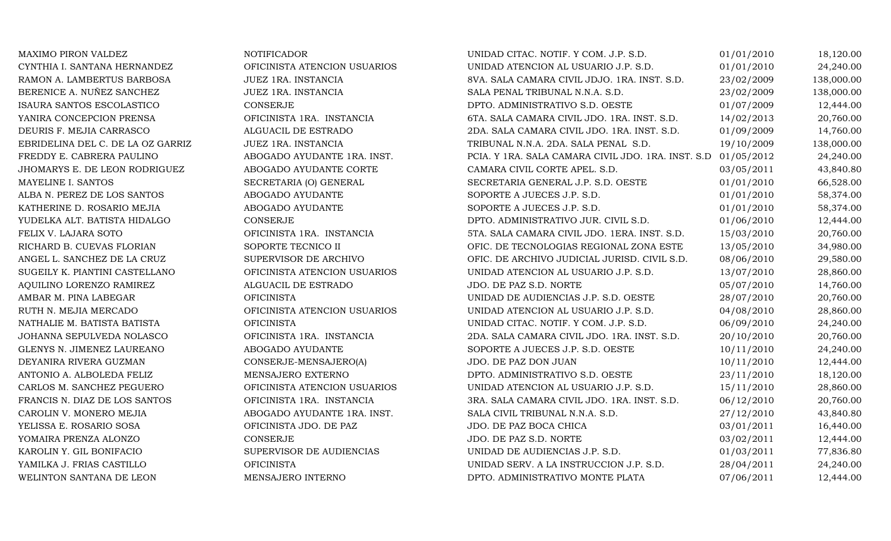| MAXIMO PIRON VALDEZ               | <b>NOTIFICADOR</b>           | UNIDAD CITAC. NOTIF. Y COM. J.P. S.D.              | 01/01/2010 | 18,120.00  |
|-----------------------------------|------------------------------|----------------------------------------------------|------------|------------|
| CYNTHIA I. SANTANA HERNANDEZ      | OFICINISTA ATENCION USUARIOS | UNIDAD ATENCION AL USUARIO J.P. S.D.               | 01/01/2010 | 24,240.00  |
| RAMON A. LAMBERTUS BARBOSA        | JUEZ 1RA. INSTANCIA          | 8VA. SALA CAMARA CIVIL JDJO. 1RA. INST. S.D.       | 23/02/2009 | 138,000.00 |
| BERENICE A. NUÑEZ SANCHEZ         | JUEZ 1RA. INSTANCIA          | SALA PENAL TRIBUNAL N.N.A. S.D.                    | 23/02/2009 | 138,000.00 |
| ISAURA SANTOS ESCOLASTICO         | <b>CONSERJE</b>              | DPTO. ADMINISTRATIVO S.D. OESTE                    | 01/07/2009 | 12,444.00  |
| YANIRA CONCEPCION PRENSA          | OFICINISTA 1RA. INSTANCIA    | 6TA. SALA CAMARA CIVIL JDO. 1RA. INST. S.D.        | 14/02/2013 | 20,760.00  |
| DEURIS F. MEJIA CARRASCO          | ALGUACIL DE ESTRADO          | 2DA. SALA CAMARA CIVIL JDO. 1RA. INST. S.D.        | 01/09/2009 | 14,760.00  |
| EBRIDELINA DEL C. DE LA OZ GARRIZ | JUEZ 1RA. INSTANCIA          | TRIBUNAL N.N.A. 2DA. SALA PENAL S.D.               | 19/10/2009 | 138,000.00 |
| FREDDY E. CABRERA PAULINO         | ABOGADO AYUDANTE 1RA. INST.  | PCIA. Y 1RA. SALA CAMARA CIVIL JDO. 1RA. INST. S.D | 01/05/2012 | 24,240.00  |
| JHOMARYS E. DE LEON RODRIGUEZ     | ABOGADO AYUDANTE CORTE       | CAMARA CIVIL CORTE APEL. S.D.                      | 03/05/2011 | 43,840.80  |
| MAYELINE I. SANTOS                | SECRETARIA (O) GENERAL       | SECRETARIA GENERAL J.P. S.D. OESTE                 | 01/01/2010 | 66,528.00  |
| ALBA N. PEREZ DE LOS SANTOS       | ABOGADO AYUDANTE             | SOPORTE A JUECES J.P. S.D.                         | 01/01/2010 | 58,374.00  |
| KATHERINE D. ROSARIO MEJIA        | ABOGADO AYUDANTE             | SOPORTE A JUECES J.P. S.D.                         | 01/01/2010 | 58,374.00  |
| YUDELKA ALT. BATISTA HIDALGO      | <b>CONSERJE</b>              | DPTO. ADMINISTRATIVO JUR. CIVIL S.D.               | 01/06/2010 | 12,444.00  |
| FELIX V. LAJARA SOTO              | OFICINISTA 1RA. INSTANCIA    | 5TA. SALA CAMARA CIVIL JDO. 1ERA. INST. S.D.       | 15/03/2010 | 20,760.00  |
| RICHARD B. CUEVAS FLORIAN         | SOPORTE TECNICO II           | OFIC. DE TECNOLOGIAS REGIONAL ZONA ESTE            | 13/05/2010 | 34,980.00  |
| ANGEL L. SANCHEZ DE LA CRUZ       | SUPERVISOR DE ARCHIVO        | OFIC. DE ARCHIVO JUDICIAL JURISD. CIVIL S.D.       | 08/06/2010 | 29,580.00  |
| SUGEILY K. PIANTINI CASTELLANO    | OFICINISTA ATENCION USUARIOS | UNIDAD ATENCION AL USUARIO J.P. S.D.               | 13/07/2010 | 28,860.00  |
| AQUILINO LORENZO RAMIREZ          | ALGUACIL DE ESTRADO          | JDO. DE PAZ S.D. NORTE                             | 05/07/2010 | 14,760.00  |
| AMBAR M. PINA LABEGAR             | <b>OFICINISTA</b>            | UNIDAD DE AUDIENCIAS J.P. S.D. OESTE               | 28/07/2010 | 20,760.00  |
| RUTH N. MEJIA MERCADO             | OFICINISTA ATENCION USUARIOS | UNIDAD ATENCION AL USUARIO J.P. S.D.               | 04/08/2010 | 28,860.00  |
| NATHALIE M. BATISTA BATISTA       | <b>OFICINISTA</b>            | UNIDAD CITAC. NOTIF. Y COM. J.P. S.D.              | 06/09/2010 | 24,240.00  |
| JOHANNA SEPULVEDA NOLASCO         | OFICINISTA 1RA. INSTANCIA    | 2DA. SALA CAMARA CIVIL JDO. 1RA. INST. S.D.        | 20/10/2010 | 20,760.00  |
| GLENYS N. JIMENEZ LAUREANO        | ABOGADO AYUDANTE             | SOPORTE A JUECES J.P. S.D. OESTE                   | 10/11/2010 | 24,240.00  |
| DEYANIRA RIVERA GUZMAN            | CONSERJE-MENSAJERO(A)        | JDO. DE PAZ DON JUAN                               | 10/11/2010 | 12,444.00  |
| ANTONIO A. ALBOLEDA FELIZ         | MENSAJERO EXTERNO            | DPTO. ADMINISTRATIVO S.D. OESTE                    | 23/11/2010 | 18,120.00  |
| CARLOS M. SANCHEZ PEGUERO         | OFICINISTA ATENCION USUARIOS | UNIDAD ATENCION AL USUARIO J.P. S.D.               | 15/11/2010 | 28,860.00  |
| FRANCIS N. DIAZ DE LOS SANTOS     | OFICINISTA 1RA. INSTANCIA    | 3RA. SALA CAMARA CIVIL JDO. 1RA. INST. S.D.        | 06/12/2010 | 20,760.00  |
| CAROLIN V. MONERO MEJIA           | ABOGADO AYUDANTE 1RA. INST.  | SALA CIVIL TRIBUNAL N.N.A. S.D.                    | 27/12/2010 | 43,840.80  |
| YELISSA E. ROSARIO SOSA           | OFICINISTA JDO. DE PAZ       | JDO. DE PAZ BOCA CHICA                             | 03/01/2011 | 16,440.00  |
| YOMAIRA PRENZA ALONZO             | CONSERJE                     | JDO. DE PAZ S.D. NORTE                             | 03/02/2011 | 12,444.00  |
| KAROLIN Y. GIL BONIFACIO          | SUPERVISOR DE AUDIENCIAS     | UNIDAD DE AUDIENCIAS J.P. S.D.                     | 01/03/2011 | 77,836.80  |
| YAMILKA J. FRIAS CASTILLO         | <b>OFICINISTA</b>            | UNIDAD SERV. A LA INSTRUCCION J.P. S.D.            | 28/04/2011 | 24,240.00  |
| WELINTON SANTANA DE LEON          | MENSAJERO INTERNO            | DPTO. ADMINISTRATIVO MONTE PLATA                   | 07/06/2011 | 12,444.00  |
|                                   |                              |                                                    |            |            |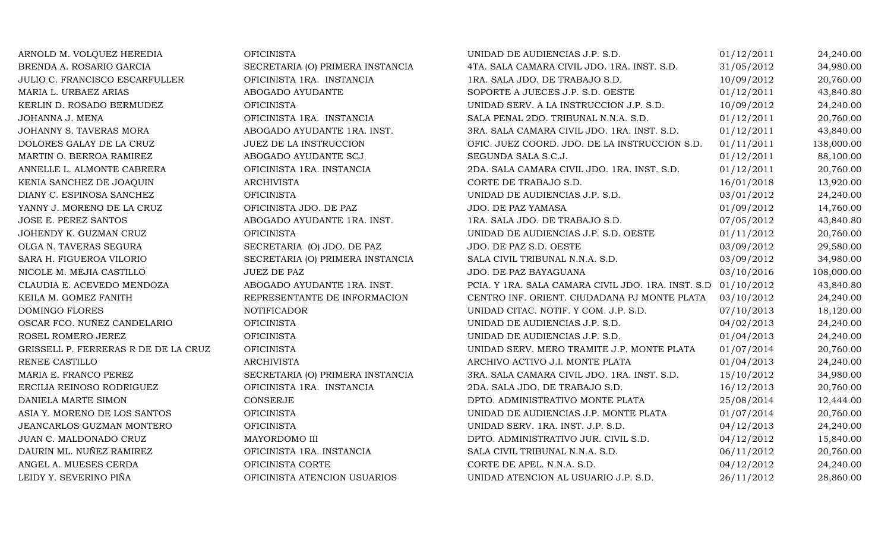| ARNOLD M. VOLQUEZ HEREDIA            | <b>OFICINISTA</b>                | UNIDAD DE AUDIENCIAS J.P. S.D.                                | 01/12/2011 | 24,240.00  |
|--------------------------------------|----------------------------------|---------------------------------------------------------------|------------|------------|
| BRENDA A. ROSARIO GARCIA             | SECRETARIA (O) PRIMERA INSTANCIA | 4TA. SALA CAMARA CIVIL JDO. 1RA. INST. S.D.                   | 31/05/2012 | 34,980.00  |
| JULIO C. FRANCISCO ESCARFULLER       | OFICINISTA 1RA. INSTANCIA        | 1RA. SALA JDO. DE TRABAJO S.D.                                | 10/09/2012 | 20,760.00  |
| MARIA L. URBAEZ ARIAS                | ABOGADO AYUDANTE                 | SOPORTE A JUECES J.P. S.D. OESTE                              | 01/12/2011 | 43,840.80  |
| KERLIN D. ROSADO BERMUDEZ            | <b>OFICINISTA</b>                | UNIDAD SERV. A LA INSTRUCCION J.P. S.D.                       | 10/09/2012 | 24,240.00  |
| JOHANNA J. MENA                      | OFICINISTA 1RA. INSTANCIA        | SALA PENAL 2DO. TRIBUNAL N.N.A. S.D.                          | 01/12/2011 | 20,760.00  |
| JOHANNY S. TAVERAS MORA              | ABOGADO AYUDANTE 1RA. INST.      | 3RA. SALA CAMARA CIVIL JDO. 1RA. INST. S.D.                   | 01/12/2011 | 43,840.00  |
| DOLORES GALAY DE LA CRUZ             | JUEZ DE LA INSTRUCCION           | OFIC. JUEZ COORD. JDO. DE LA INSTRUCCION S.D.                 | 01/11/2011 | 138,000.00 |
| MARTIN O. BERROA RAMIREZ             | ABOGADO AYUDANTE SCJ             | SEGUNDA SALA S.C.J.                                           | 01/12/2011 | 88,100.00  |
| ANNELLE L. ALMONTE CABRERA           | OFICINISTA 1RA. INSTANCIA        | 2DA. SALA CAMARA CIVIL JDO. 1RA. INST. S.D.                   | 01/12/2011 | 20,760.00  |
| KENIA SANCHEZ DE JOAQUIN             | <b>ARCHIVISTA</b>                | CORTE DE TRABAJO S.D.                                         | 16/01/2018 | 13,920.00  |
| DIANY C. ESPINOSA SANCHEZ            | <b>OFICINISTA</b>                | UNIDAD DE AUDIENCIAS J.P. S.D.                                | 03/01/2012 | 24,240.00  |
| YANNY J. MORENO DE LA CRUZ           | OFICINISTA JDO. DE PAZ           | JDO. DE PAZ YAMASA                                            | 01/09/2012 | 14,760.00  |
| JOSE E. PEREZ SANTOS                 | ABOGADO AYUDANTE 1RA. INST.      | 1RA. SALA JDO. DE TRABAJO S.D.                                | 07/05/2012 | 43,840.80  |
| JOHENDY K. GUZMAN CRUZ               | <b>OFICINISTA</b>                | UNIDAD DE AUDIENCIAS J.P. S.D. OESTE                          | 01/11/2012 | 20,760.00  |
| OLGA N. TAVERAS SEGURA               | SECRETARIA (O) JDO. DE PAZ       | JDO. DE PAZ S.D. OESTE                                        | 03/09/2012 | 29,580.00  |
| SARA H. FIGUEROA VILORIO             | SECRETARIA (O) PRIMERA INSTANCIA | SALA CIVIL TRIBUNAL N.N.A. S.D.                               | 03/09/2012 | 34,980.00  |
| NICOLE M. MEJIA CASTILLO             | <b>JUEZ DE PAZ</b>               | JDO. DE PAZ BAYAGUANA                                         | 03/10/2016 | 108,000.00 |
| CLAUDIA E. ACEVEDO MENDOZA           | ABOGADO AYUDANTE 1RA. INST.      | PCIA. Y 1RA. SALA CAMARA CIVIL JDO. 1RA. INST. S.D 01/10/2012 |            | 43,840.80  |
| KEILA M. GOMEZ FANITH                | REPRESENTANTE DE INFORMACION     | CENTRO INF. ORIENT. CIUDADANA PJ MONTE PLATA                  | 03/10/2012 | 24,240.00  |
| DOMINGO FLORES                       | <b>NOTIFICADOR</b>               | UNIDAD CITAC. NOTIF. Y COM. J.P. S.D.                         | 07/10/2013 | 18,120.00  |
| OSCAR FCO. NUÑEZ CANDELARIO          | <b>OFICINISTA</b>                | UNIDAD DE AUDIENCIAS J.P. S.D.                                | 04/02/2013 | 24,240.00  |
| ROSEL ROMERO JEREZ                   | <b>OFICINISTA</b>                | UNIDAD DE AUDIENCIAS J.P. S.D.                                | 01/04/2013 | 24,240.00  |
| GRISSELL P. FERRERAS R DE DE LA CRUZ | <b>OFICINISTA</b>                | UNIDAD SERV. MERO TRAMITE J.P. MONTE PLATA                    | 01/07/2014 | 20,760.00  |
| RENEE CASTILLO                       | <b>ARCHIVISTA</b>                | ARCHIVO ACTIVO J.I. MONTE PLATA                               | 01/04/2013 | 24,240.00  |
| MARIA E. FRANCO PEREZ                | SECRETARIA (O) PRIMERA INSTANCIA | 3RA. SALA CAMARA CIVIL JDO. 1RA. INST. S.D.                   | 15/10/2012 | 34,980.00  |
| ERCILIA REINOSO RODRIGUEZ            | OFICINISTA 1RA. INSTANCIA        | 2DA. SALA JDO. DE TRABAJO S.D.                                | 16/12/2013 | 20,760.00  |
| DANIELA MARTE SIMON                  | CONSERJE                         | DPTO. ADMINISTRATIVO MONTE PLATA                              | 25/08/2014 | 12,444.00  |
| ASIA Y. MORENO DE LOS SANTOS         | <b>OFICINISTA</b>                | UNIDAD DE AUDIENCIAS J.P. MONTE PLATA                         | 01/07/2014 | 20,760.00  |
| <b>JEANCARLOS GUZMAN MONTERO</b>     | <b>OFICINISTA</b>                | UNIDAD SERV. 1RA. INST. J.P. S.D.                             | 04/12/2013 | 24,240.00  |
| JUAN C. MALDONADO CRUZ               | MAYORDOMO III                    | DPTO. ADMINISTRATIVO JUR. CIVIL S.D.                          | 04/12/2012 | 15,840.00  |
| DAURIN ML. NUÑEZ RAMIREZ             | OFICINISTA 1RA. INSTANCIA        | SALA CIVIL TRIBUNAL N.N.A. S.D.                               | 06/11/2012 | 20,760.00  |
| ANGEL A. MUESES CERDA                | OFICINISTA CORTE                 | CORTE DE APEL. N.N.A. S.D.                                    | 04/12/2012 | 24,240.00  |
| LEIDY Y. SEVERINO PIÑA               | OFICINISTA ATENCION USUARIOS     | UNIDAD ATENCION AL USUARIO J.P. S.D.                          | 26/11/2012 | 28,860.00  |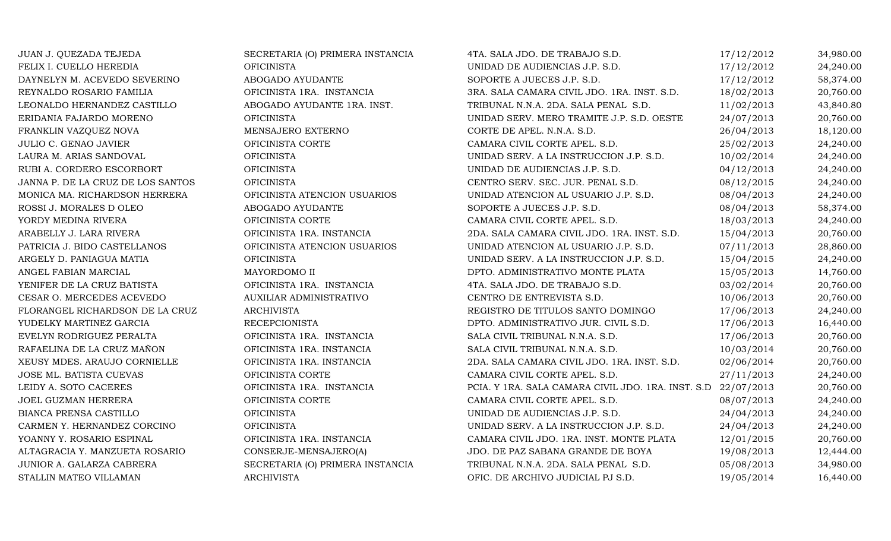| JUAN J. QUEZADA TEJEDA            | SECRETARIA (O) PRIMERA INSTANCIA | 4TA. SALA JDO. DE TRABAJO S.D.                                | 17/12/2012 | 34,980.00 |
|-----------------------------------|----------------------------------|---------------------------------------------------------------|------------|-----------|
| FELIX I. CUELLO HEREDIA           | <b>OFICINISTA</b>                | UNIDAD DE AUDIENCIAS J.P. S.D.                                | 17/12/2012 | 24,240.00 |
| DAYNELYN M. ACEVEDO SEVERINO      | ABOGADO AYUDANTE                 | SOPORTE A JUECES J.P. S.D.                                    | 17/12/2012 | 58,374.00 |
| REYNALDO ROSARIO FAMILIA          | OFICINISTA 1RA. INSTANCIA        | 3RA. SALA CAMARA CIVIL JDO. 1RA. INST. S.D.                   | 18/02/2013 | 20,760.00 |
| LEONALDO HERNANDEZ CASTILLO       | ABOGADO AYUDANTE 1RA. INST.      | TRIBUNAL N.N.A. 2DA. SALA PENAL S.D.                          | 11/02/2013 | 43,840.80 |
| ERIDANIA FAJARDO MORENO           | <b>OFICINISTA</b>                | UNIDAD SERV. MERO TRAMITE J.P. S.D. OESTE                     | 24/07/2013 | 20,760.00 |
| FRANKLIN VAZQUEZ NOVA             | MENSAJERO EXTERNO                | CORTE DE APEL. N.N.A. S.D.                                    | 26/04/2013 | 18,120.00 |
| JULIO C. GENAO JAVIER             | OFICINISTA CORTE                 | CAMARA CIVIL CORTE APEL. S.D.                                 | 25/02/2013 | 24,240.00 |
| LAURA M. ARIAS SANDOVAL           | <b>OFICINISTA</b>                | UNIDAD SERV. A LA INSTRUCCION J.P. S.D.                       | 10/02/2014 | 24,240.00 |
| RUBI A. CORDERO ESCORBORT         | <b>OFICINISTA</b>                | UNIDAD DE AUDIENCIAS J.P. S.D.                                | 04/12/2013 | 24,240.00 |
| JANNA P. DE LA CRUZ DE LOS SANTOS | <b>OFICINISTA</b>                | CENTRO SERV. SEC. JUR. PENAL S.D.                             | 08/12/2015 | 24,240.00 |
| MONICA MA. RICHARDSON HERRERA     | OFICINISTA ATENCION USUARIOS     | UNIDAD ATENCION AL USUARIO J.P. S.D.                          | 08/04/2013 | 24,240.00 |
| ROSSI J. MORALES D OLEO           | ABOGADO AYUDANTE                 | SOPORTE A JUECES J.P. S.D.                                    | 08/04/2013 | 58,374.00 |
| YORDY MEDINA RIVERA               | OFICINISTA CORTE                 | CAMARA CIVIL CORTE APEL. S.D.                                 | 18/03/2013 | 24,240.00 |
| ARABELLY J. LARA RIVERA           | OFICINISTA 1RA. INSTANCIA        | 2DA. SALA CAMARA CIVIL JDO. 1RA. INST. S.D.                   | 15/04/2013 | 20,760.00 |
| PATRICIA J. BIDO CASTELLANOS      | OFICINISTA ATENCION USUARIOS     | UNIDAD ATENCION AL USUARIO J.P. S.D.                          | 07/11/2013 | 28,860.00 |
| ARGELY D. PANIAGUA MATIA          | <b>OFICINISTA</b>                | UNIDAD SERV. A LA INSTRUCCION J.P. S.D.                       | 15/04/2015 | 24,240.00 |
| ANGEL FABIAN MARCIAL              | MAYORDOMO II                     | DPTO. ADMINISTRATIVO MONTE PLATA                              | 15/05/2013 | 14,760.00 |
| YENIFER DE LA CRUZ BATISTA        | OFICINISTA 1RA. INSTANCIA        | 4TA. SALA JDO. DE TRABAJO S.D.                                | 03/02/2014 | 20,760.00 |
| CESAR O. MERCEDES ACEVEDO         | <b>AUXILIAR ADMINISTRATIVO</b>   | CENTRO DE ENTREVISTA S.D.                                     | 10/06/2013 | 20,760.00 |
| FLORANGEL RICHARDSON DE LA CRUZ   | <b>ARCHIVISTA</b>                | REGISTRO DE TITULOS SANTO DOMINGO                             | 17/06/2013 | 24,240.00 |
| YUDELKY MARTINEZ GARCIA           | <b>RECEPCIONISTA</b>             | DPTO. ADMINISTRATIVO JUR. CIVIL S.D.                          | 17/06/2013 | 16,440.00 |
| EVELYN RODRIGUEZ PERALTA          | OFICINISTA 1RA. INSTANCIA        | SALA CIVIL TRIBUNAL N.N.A. S.D.                               | 17/06/2013 | 20,760.00 |
| RAFAELINA DE LA CRUZ MAÑON        | OFICINISTA 1RA. INSTANCIA        | SALA CIVIL TRIBUNAL N.N.A. S.D.                               | 10/03/2014 | 20,760.00 |
| XEUSY MDES. ARAUJO CORNIELLE      | OFICINISTA 1RA. INSTANCIA        | 2DA. SALA CAMARA CIVIL JDO. 1RA. INST. S.D.                   | 02/06/2014 | 20,760.00 |
| JOSE ML. BATISTA CUEVAS           | OFICINISTA CORTE                 | CAMARA CIVIL CORTE APEL. S.D.                                 | 27/11/2013 | 24,240.00 |
| LEIDY A. SOTO CACERES             | OFICINISTA 1RA. INSTANCIA        | PCIA. Y 1RA. SALA CAMARA CIVIL JDO. 1RA. INST. S.D 22/07/2013 |            | 20,760.00 |
| JOEL GUZMAN HERRERA               | OFICINISTA CORTE                 | CAMARA CIVIL CORTE APEL. S.D.                                 | 08/07/2013 | 24,240.00 |
| BIANCA PRENSA CASTILLO            | <b>OFICINISTA</b>                | UNIDAD DE AUDIENCIAS J.P. S.D.                                | 24/04/2013 | 24,240.00 |
| CARMEN Y. HERNANDEZ CORCINO       | <b>OFICINISTA</b>                | UNIDAD SERV. A LA INSTRUCCION J.P. S.D.                       | 24/04/2013 | 24,240.00 |
| YOANNY Y. ROSARIO ESPINAL         | OFICINISTA 1RA. INSTANCIA        | CAMARA CIVIL JDO. 1RA. INST. MONTE PLATA                      | 12/01/2015 | 20,760.00 |
| ALTAGRACIA Y. MANZUETA ROSARIO    | CONSERJE-MENSAJERO(A)            | JDO. DE PAZ SABANA GRANDE DE BOYA                             | 19/08/2013 | 12,444.00 |
| JUNIOR A. GALARZA CABRERA         | SECRETARIA (O) PRIMERA INSTANCIA | TRIBUNAL N.N.A. 2DA. SALA PENAL S.D.                          | 05/08/2013 | 34,980.00 |
| STALLIN MATEO VILLAMAN            | <b>ARCHIVISTA</b>                | OFIC. DE ARCHIVO JUDICIAL PJ S.D.                             | 19/05/2014 | 16,440.00 |
|                                   |                                  |                                                               |            |           |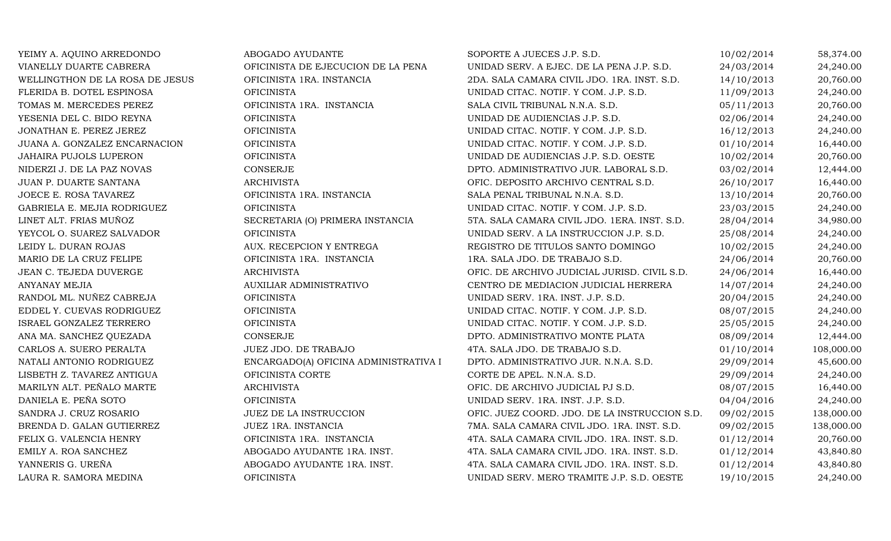| YEIMY A. AQUINO ARREDONDO       | ABOGADO AYUDANTE                      | SOPORTE A JUECES J.P. S.D.                    | 10/02/2014 | 58,374.00  |
|---------------------------------|---------------------------------------|-----------------------------------------------|------------|------------|
| VIANELLY DUARTE CABRERA         | OFICINISTA DE EJECUCION DE LA PENA    | UNIDAD SERV. A EJEC. DE LA PENA J.P. S.D.     | 24/03/2014 | 24,240.00  |
| WELLINGTHON DE LA ROSA DE JESUS | OFICINISTA 1RA. INSTANCIA             | 2DA. SALA CAMARA CIVIL JDO. 1RA. INST. S.D.   | 14/10/2013 | 20,760.00  |
| FLERIDA B. DOTEL ESPINOSA       | <b>OFICINISTA</b>                     | UNIDAD CITAC. NOTIF. Y COM. J.P. S.D.         | 11/09/2013 | 24,240.00  |
| TOMAS M. MERCEDES PEREZ         | OFICINISTA 1RA. INSTANCIA             | SALA CIVIL TRIBUNAL N.N.A. S.D.               | 05/11/2013 | 20,760.00  |
| YESENIA DEL C. BIDO REYNA       | <b>OFICINISTA</b>                     | UNIDAD DE AUDIENCIAS J.P. S.D.                | 02/06/2014 | 24,240.00  |
| JONATHAN E. PEREZ JEREZ         | <b>OFICINISTA</b>                     | UNIDAD CITAC. NOTIF. Y COM. J.P. S.D.         | 16/12/2013 | 24,240.00  |
| JUANA A. GONZALEZ ENCARNACION   | OFICINISTA                            | UNIDAD CITAC. NOTIF. Y COM. J.P. S.D.         | 01/10/2014 | 16,440.00  |
| JAHAIRA PUJOLS LUPERON          | <b>OFICINISTA</b>                     | UNIDAD DE AUDIENCIAS J.P. S.D. OESTE          | 10/02/2014 | 20,760.00  |
| NIDERZI J. DE LA PAZ NOVAS      | CONSERJE                              | DPTO. ADMINISTRATIVO JUR. LABORAL S.D.        | 03/02/2014 | 12,444.00  |
| JUAN P. DUARTE SANTANA          | <b>ARCHIVISTA</b>                     | OFIC. DEPOSITO ARCHIVO CENTRAL S.D.           | 26/10/2017 | 16,440.00  |
| JOECE E. ROSA TAVAREZ           | OFICINISTA 1RA. INSTANCIA             | SALA PENAL TRIBUNAL N.N.A. S.D.               | 13/10/2014 | 20,760.00  |
| GABRIELA E. MEJIA RODRIGUEZ     | <b>OFICINISTA</b>                     | UNIDAD CITAC. NOTIF. Y COM. J.P. S.D.         | 23/03/2015 | 24,240.00  |
| LINET ALT. FRIAS MUÑOZ          | SECRETARIA (O) PRIMERA INSTANCIA      | 5TA. SALA CAMARA CIVIL JDO. 1ERA. INST. S.D.  | 28/04/2014 | 34,980.00  |
| YEYCOL O. SUAREZ SALVADOR       | <b>OFICINISTA</b>                     | UNIDAD SERV. A LA INSTRUCCION J.P. S.D.       | 25/08/2014 | 24,240.00  |
| LEIDY L. DURAN ROJAS            | AUX. RECEPCION Y ENTREGA              | REGISTRO DE TITULOS SANTO DOMINGO             | 10/02/2015 | 24,240.00  |
| MARIO DE LA CRUZ FELIPE         | OFICINISTA 1RA. INSTANCIA             | 1RA. SALA JDO. DE TRABAJO S.D.                | 24/06/2014 | 20,760.00  |
| JEAN C. TEJEDA DUVERGE          | <b>ARCHIVISTA</b>                     | OFIC. DE ARCHIVO JUDICIAL JURISD. CIVIL S.D.  | 24/06/2014 | 16,440.00  |
| <b>ANYANAY MEJIA</b>            | AUXILIAR ADMINISTRATIVO               | CENTRO DE MEDIACION JUDICIAL HERRERA          | 14/07/2014 | 24,240.00  |
| RANDOL ML. NUÑEZ CABREJA        | <b>OFICINISTA</b>                     | UNIDAD SERV. 1RA. INST. J.P. S.D.             | 20/04/2015 | 24,240.00  |
| EDDEL Y. CUEVAS RODRIGUEZ       | <b>OFICINISTA</b>                     | UNIDAD CITAC. NOTIF. Y COM. J.P. S.D.         | 08/07/2015 | 24,240.00  |
| ISRAEL GONZALEZ TERRERO         | <b>OFICINISTA</b>                     | UNIDAD CITAC. NOTIF. Y COM. J.P. S.D.         | 25/05/2015 | 24,240.00  |
| ANA MA. SANCHEZ QUEZADA         | <b>CONSERJE</b>                       | DPTO. ADMINISTRATIVO MONTE PLATA              | 08/09/2014 | 12,444.00  |
| CARLOS A. SUERO PERALTA         | JUEZ JDO. DE TRABAJO                  | 4TA. SALA JDO. DE TRABAJO S.D.                | 01/10/2014 | 108,000.00 |
| NATALI ANTONIO RODRIGUEZ        | ENCARGADO(A) OFICINA ADMINISTRATIVA I | DPTO. ADMINISTRATIVO JUR. N.N.A. S.D.         | 29/09/2014 | 45,600.00  |
| LISBETH Z. TAVAREZ ANTIGUA      | OFICINISTA CORTE                      | CORTE DE APEL. N.N.A. S.D.                    | 29/09/2014 | 24,240.00  |
| MARILYN ALT. PEÑALO MARTE       | <b>ARCHIVISTA</b>                     | OFIC. DE ARCHIVO JUDICIAL PJ S.D.             | 08/07/2015 | 16,440.00  |
| DANIELA E. PEÑA SOTO            | <b>OFICINISTA</b>                     | UNIDAD SERV. 1RA. INST. J.P. S.D.             | 04/04/2016 | 24,240.00  |
| SANDRA J. CRUZ ROSARIO          | JUEZ DE LA INSTRUCCION                | OFIC. JUEZ COORD. JDO. DE LA INSTRUCCION S.D. | 09/02/2015 | 138,000.00 |
| BRENDA D. GALAN GUTIERREZ       | JUEZ 1RA. INSTANCIA                   | 7MA. SALA CAMARA CIVIL JDO. 1RA. INST. S.D.   | 09/02/2015 | 138,000.00 |
| FELIX G. VALENCIA HENRY         | OFICINISTA 1RA. INSTANCIA             | 4TA. SALA CAMARA CIVIL JDO. 1RA. INST. S.D.   | 01/12/2014 | 20,760.00  |
| EMILY A. ROA SANCHEZ            | ABOGADO AYUDANTE 1RA. INST.           | 4TA. SALA CAMARA CIVIL JDO. 1RA. INST. S.D.   | 01/12/2014 | 43,840.80  |
| YANNERIS G. UREÑA               | ABOGADO AYUDANTE 1RA. INST.           | 4TA. SALA CAMARA CIVIL JDO. 1RA. INST. S.D.   | 01/12/2014 | 43,840.80  |
| LAURA R. SAMORA MEDINA          | <b>OFICINISTA</b>                     | UNIDAD SERV. MERO TRAMITE J.P. S.D. OESTE     | 19/10/2015 | 24,240.00  |
|                                 |                                       |                                               |            |            |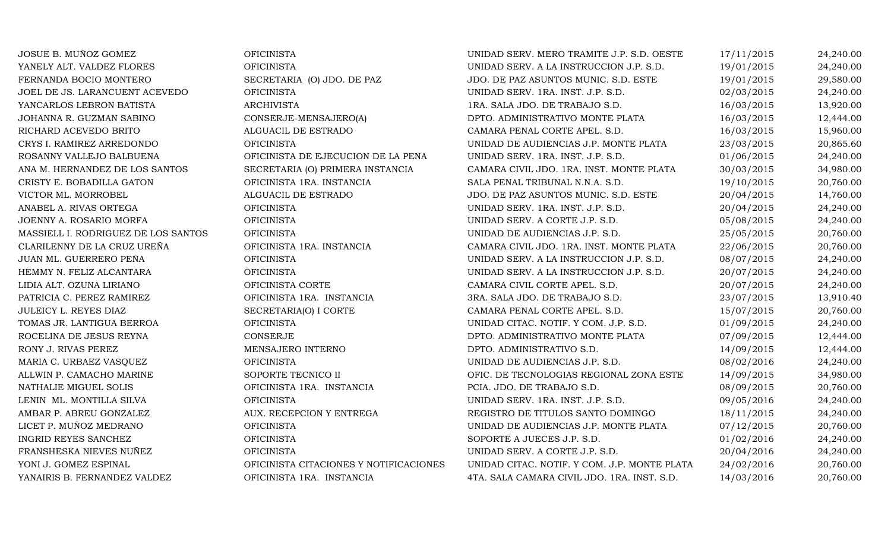| JOSUE B. MUÑOZ GOMEZ                | <b>OFICINISTA</b>                      | UNIDAD SERV. MERO TRAMITE J.P. S.D. OESTE    | 17/11/2015 | 24,240.00 |
|-------------------------------------|----------------------------------------|----------------------------------------------|------------|-----------|
| YANELY ALT. VALDEZ FLORES           | <b>OFICINISTA</b>                      | UNIDAD SERV. A LA INSTRUCCION J.P. S.D.      | 19/01/2015 | 24,240.00 |
| FERNANDA BOCIO MONTERO              | SECRETARIA (O) JDO. DE PAZ             | JDO. DE PAZ ASUNTOS MUNIC. S.D. ESTE         | 19/01/2015 | 29,580.00 |
| JOEL DE JS. LARANCUENT ACEVEDO      | <b>OFICINISTA</b>                      | UNIDAD SERV. 1RA. INST. J.P. S.D.            | 02/03/2015 | 24,240.00 |
| YANCARLOS LEBRON BATISTA            | <b>ARCHIVISTA</b>                      | 1RA. SALA JDO. DE TRABAJO S.D.               | 16/03/2015 | 13,920.00 |
| JOHANNA R. GUZMAN SABINO            | CONSERJE-MENSAJERO(A)                  | DPTO. ADMINISTRATIVO MONTE PLATA             | 16/03/2015 | 12,444.00 |
| RICHARD ACEVEDO BRITO               | ALGUACIL DE ESTRADO                    | CAMARA PENAL CORTE APEL. S.D.                | 16/03/2015 | 15,960.00 |
| CRYS I. RAMIREZ ARREDONDO           | <b>OFICINISTA</b>                      | UNIDAD DE AUDIENCIAS J.P. MONTE PLATA        | 23/03/2015 | 20,865.60 |
| ROSANNY VALLEJO BALBUENA            | OFICINISTA DE EJECUCION DE LA PENA     | UNIDAD SERV. 1RA. INST. J.P. S.D.            | 01/06/2015 | 24,240.00 |
| ANA M. HERNANDEZ DE LOS SANTOS      | SECRETARIA (O) PRIMERA INSTANCIA       | CAMARA CIVIL JDO. 1RA. INST. MONTE PLATA     | 30/03/2015 | 34,980.00 |
| CRISTY E. BOBADILLA GATON           | OFICINISTA 1RA. INSTANCIA              | SALA PENAL TRIBUNAL N.N.A. S.D.              | 19/10/2015 | 20,760.00 |
| VICTOR ML. MORROBEL                 | ALGUACIL DE ESTRADO                    | JDO. DE PAZ ASUNTOS MUNIC. S.D. ESTE         | 20/04/2015 | 14,760.00 |
| ANABEL A. RIVAS ORTEGA              | <b>OFICINISTA</b>                      | UNIDAD SERV. 1RA. INST. J.P. S.D.            | 20/04/2015 | 24,240.00 |
| JOENNY A. ROSARIO MORFA             | <b>OFICINISTA</b>                      | UNIDAD SERV. A CORTE J.P. S.D.               | 05/08/2015 | 24,240.00 |
| MASSIELL I. RODRIGUEZ DE LOS SANTOS | <b>OFICINISTA</b>                      | UNIDAD DE AUDIENCIAS J.P. S.D.               | 25/05/2015 | 20,760.00 |
| CLARILENNY DE LA CRUZ UREÑA         | OFICINISTA 1RA. INSTANCIA              | CAMARA CIVIL JDO. 1RA. INST. MONTE PLATA     | 22/06/2015 | 20,760.00 |
| JUAN ML. GUERRERO PEÑA              | <b>OFICINISTA</b>                      | UNIDAD SERV. A LA INSTRUCCION J.P. S.D.      | 08/07/2015 | 24,240.00 |
| HEMMY N. FELIZ ALCANTARA            | <b>OFICINISTA</b>                      | UNIDAD SERV. A LA INSTRUCCION J.P. S.D.      | 20/07/2015 | 24,240.00 |
| LIDIA ALT. OZUNA LIRIANO            | OFICINISTA CORTE                       | CAMARA CIVIL CORTE APEL. S.D.                | 20/07/2015 | 24,240.00 |
| PATRICIA C. PEREZ RAMIREZ           | OFICINISTA 1RA. INSTANCIA              | 3RA. SALA JDO. DE TRABAJO S.D.               | 23/07/2015 | 13,910.40 |
| JULEICY L. REYES DIAZ               | SECRETARIA(O) I CORTE                  | CAMARA PENAL CORTE APEL. S.D.                | 15/07/2015 | 20,760.00 |
| TOMAS JR. LANTIGUA BERROA           | <b>OFICINISTA</b>                      | UNIDAD CITAC. NOTIF. Y COM. J.P. S.D.        | 01/09/2015 | 24,240.00 |
| ROCELINA DE JESUS REYNA             | CONSERJE                               | DPTO. ADMINISTRATIVO MONTE PLATA             | 07/09/2015 | 12,444.00 |
| RONY J. RIVAS PEREZ                 | MENSAJERO INTERNO                      | DPTO. ADMINISTRATIVO S.D.                    | 14/09/2015 | 12,444.00 |
| MARIA C. URBAEZ VASQUEZ             | <b>OFICINISTA</b>                      | UNIDAD DE AUDIENCIAS J.P. S.D.               | 08/02/2016 | 24,240.00 |
| ALLWIN P. CAMACHO MARINE            | SOPORTE TECNICO II                     | OFIC. DE TECNOLOGIAS REGIONAL ZONA ESTE      | 14/09/2015 | 34,980.00 |
| NATHALIE MIGUEL SOLIS               | OFICINISTA 1RA. INSTANCIA              | PCIA. JDO. DE TRABAJO S.D.                   | 08/09/2015 | 20,760.00 |
| LENIN ML. MONTILLA SILVA            | <b>OFICINISTA</b>                      | UNIDAD SERV. 1RA. INST. J.P. S.D.            | 09/05/2016 | 24,240.00 |
| AMBAR P. ABREU GONZALEZ             | AUX. RECEPCION Y ENTREGA               | REGISTRO DE TITULOS SANTO DOMINGO            | 18/11/2015 | 24,240.00 |
| LICET P. MUÑOZ MEDRANO              | <b>OFICINISTA</b>                      | UNIDAD DE AUDIENCIAS J.P. MONTE PLATA        | 07/12/2015 | 20,760.00 |
| <b>INGRID REYES SANCHEZ</b>         | <b>OFICINISTA</b>                      | SOPORTE A JUECES J.P. S.D.                   | 01/02/2016 | 24,240.00 |
| FRANSHESKA NIEVES NUÑEZ             | <b>OFICINISTA</b>                      | UNIDAD SERV. A CORTE J.P. S.D.               | 20/04/2016 | 24,240.00 |
| YONI J. GOMEZ ESPINAL               | OFICINISTA CITACIONES Y NOTIFICACIONES | UNIDAD CITAC. NOTIF. Y COM. J.P. MONTE PLATA | 24/02/2016 | 20,760.00 |
| YANAIRIS B. FERNANDEZ VALDEZ        | OFICINISTA 1RA. INSTANCIA              | 4TA. SALA CAMARA CIVIL JDO. 1RA. INST. S.D.  | 14/03/2016 | 20,760.00 |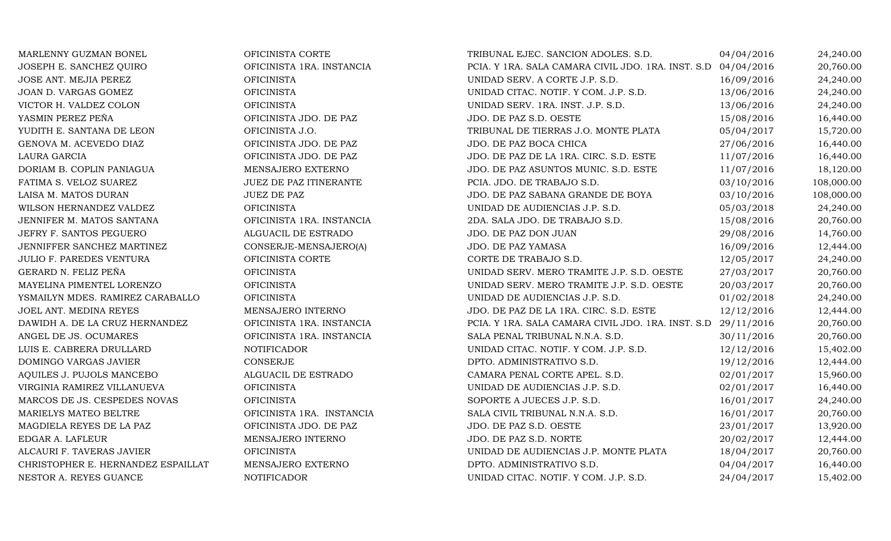| MARLENNY GUZMAN BONEL              | OFICINISTA CORTE          | TRIBUNAL EJEC. SANCION ADOLES. S.D.                           | 04/04/2016 | 24,240.00  |
|------------------------------------|---------------------------|---------------------------------------------------------------|------------|------------|
| JOSEPH E. SANCHEZ QUIRO            | OFICINISTA 1RA. INSTANCIA | PCIA. Y 1RA. SALA CAMARA CIVIL JDO. 1RA. INST. S.D 04/04/2016 |            | 20,760.00  |
| JOSE ANT. MEJIA PEREZ              | <b>OFICINISTA</b>         | UNIDAD SERV. A CORTE J.P. S.D.                                | 16/09/2016 | 24,240.00  |
| JOAN D. VARGAS GOMEZ               | <b>OFICINISTA</b>         | UNIDAD CITAC. NOTIF. Y COM. J.P. S.D.                         | 13/06/2016 | 24,240.00  |
| VICTOR H. VALDEZ COLON             | <b>OFICINISTA</b>         | UNIDAD SERV. 1RA. INST. J.P. S.D.                             | 13/06/2016 | 24,240.00  |
| YASMIN PEREZ PEÑA                  | OFICINISTA JDO. DE PAZ    | JDO. DE PAZ S.D. OESTE                                        | 15/08/2016 | 16,440.00  |
| YUDITH E. SANTANA DE LEON          | OFICINISTA J.O.           | TRIBUNAL DE TIERRAS J.O. MONTE PLATA                          | 05/04/2017 | 15,720.00  |
| GENOVA M. ACEVEDO DIAZ             | OFICINISTA JDO. DE PAZ    | JDO. DE PAZ BOCA CHICA                                        | 27/06/2016 | 16,440.00  |
| LAURA GARCIA                       | OFICINISTA JDO. DE PAZ    | JDO. DE PAZ DE LA 1RA. CIRC. S.D. ESTE                        | 11/07/2016 | 16,440.00  |
| DORIAM B. COPLIN PANIAGUA          | MENSAJERO EXTERNO         | JDO. DE PAZ ASUNTOS MUNIC. S.D. ESTE                          | 11/07/2016 | 18,120.00  |
| FATIMA S. VELOZ SUAREZ             | JUEZ DE PAZ ITINERANTE    | PCIA. JDO. DE TRABAJO S.D.                                    | 03/10/2016 | 108,000.00 |
| LAISA M. MATOS DURAN               | <b>JUEZ DE PAZ</b>        | JDO. DE PAZ SABANA GRANDE DE BOYA                             | 03/10/2016 | 108,000.00 |
| WILSON HERNANDEZ VALDEZ            | <b>OFICINISTA</b>         | UNIDAD DE AUDIENCIAS J.P. S.D.                                | 05/03/2018 | 24,240.00  |
| JENNIFER M. MATOS SANTANA          | OFICINISTA 1RA. INSTANCIA | 2DA. SALA JDO. DE TRABAJO S.D.                                | 15/08/2016 | 20,760.00  |
| JEFRY F. SANTOS PEGUERO            | ALGUACIL DE ESTRADO       | JDO. DE PAZ DON JUAN                                          | 29/08/2016 | 14,760.00  |
| JENNIFFER SANCHEZ MARTINEZ         | CONSERJE-MENSAJERO(A)     | JDO. DE PAZ YAMASA                                            | 16/09/2016 | 12,444.00  |
| <b>JULIO F. PAREDES VENTURA</b>    | OFICINISTA CORTE          | CORTE DE TRABAJO S.D.                                         | 12/05/2017 | 24,240.00  |
| GERARD N. FELIZ PEÑA               | <b>OFICINISTA</b>         | UNIDAD SERV. MERO TRAMITE J.P. S.D. OESTE                     | 27/03/2017 | 20,760.00  |
| MAYELINA PIMENTEL LORENZO          | <b>OFICINISTA</b>         | UNIDAD SERV. MERO TRAMITE J.P. S.D. OESTE                     | 20/03/2017 | 20,760.00  |
| YSMAILYN MDES. RAMIREZ CARABALLO   | <b>OFICINISTA</b>         | UNIDAD DE AUDIENCIAS J.P. S.D.                                | 01/02/2018 | 24,240.00  |
| JOEL ANT. MEDINA REYES             | MENSAJERO INTERNO         | JDO. DE PAZ DE LA 1RA. CIRC. S.D. ESTE                        | 12/12/2016 | 12,444.00  |
| DAWIDH A. DE LA CRUZ HERNANDEZ     | OFICINISTA 1RA. INSTANCIA | PCIA. Y 1RA. SALA CAMARA CIVIL JDO. 1RA. INST. S.D 29/11/2016 |            | 20,760.00  |
| ANGEL DE JS. OCUMARES              | OFICINISTA 1RA. INSTANCIA | SALA PENAL TRIBUNAL N.N.A. S.D.                               | 30/11/2016 | 20,760.00  |
| LUIS E. CABRERA DRULLARD           | NOTIFICADOR               | UNIDAD CITAC. NOTIF. Y COM. J.P. S.D.                         | 12/12/2016 | 15,402.00  |
| DOMINGO VARGAS JAVIER              | CONSERJE                  | DPTO. ADMINISTRATIVO S.D.                                     | 19/12/2016 | 12,444.00  |
| AQUILES J. PUJOLS MANCEBO          | ALGUACIL DE ESTRADO       | CAMARA PENAL CORTE APEL. S.D.                                 | 02/01/2017 | 15,960.00  |
| VIRGINIA RAMIREZ VILLANUEVA        | <b>OFICINISTA</b>         | UNIDAD DE AUDIENCIAS J.P. S.D.                                | 02/01/2017 | 16,440.00  |
| MARCOS DE JS. CESPEDES NOVAS       | <b>OFICINISTA</b>         | SOPORTE A JUECES J.P. S.D.                                    | 16/01/2017 | 24,240.00  |
| MARIELYS MATEO BELTRE              | OFICINISTA 1RA. INSTANCIA | SALA CIVIL TRIBUNAL N.N.A. S.D.                               | 16/01/2017 | 20,760.00  |
| MAGDIELA REYES DE LA PAZ           | OFICINISTA JDO. DE PAZ    | JDO. DE PAZ S.D. OESTE                                        | 23/01/2017 | 13,920.00  |
| EDGAR A. LAFLEUR                   | MENSAJERO INTERNO         | JDO. DE PAZ S.D. NORTE                                        | 20/02/2017 | 12,444.00  |
| ALCAURI F. TAVERAS JAVIER          | <b>OFICINISTA</b>         | UNIDAD DE AUDIENCIAS J.P. MONTE PLATA                         | 18/04/2017 | 20,760.00  |
| CHRISTOPHER E. HERNANDEZ ESPAILLAT | MENSAJERO EXTERNO         | DPTO. ADMINISTRATIVO S.D.                                     | 04/04/2017 | 16,440.00  |
| NESTOR A. REYES GUANCE             | <b>NOTIFICADOR</b>        | UNIDAD CITAC. NOTIF. Y COM. J.P. S.D.                         | 24/04/2017 | 15,402.00  |
|                                    |                           |                                                               |            |            |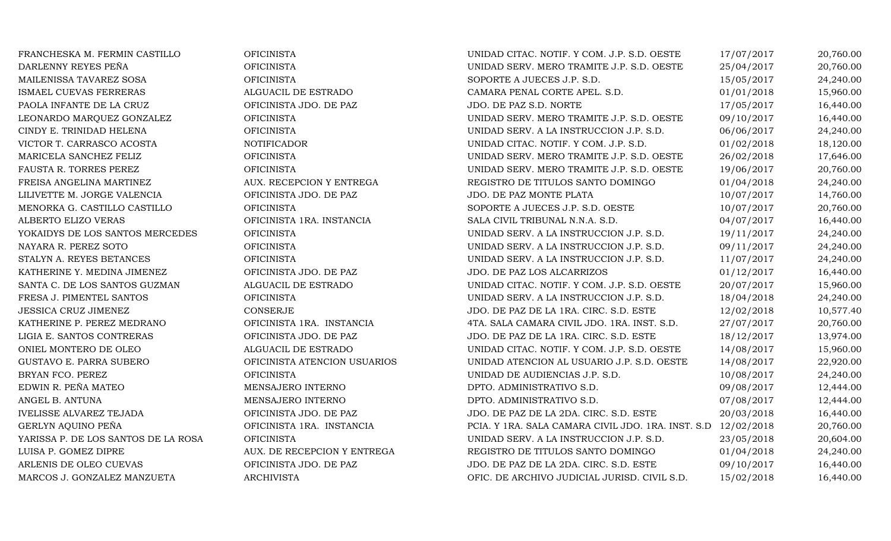| FRANCHESKA M. FERMIN CASTILLO       | <b>OFICINISTA</b>            | UNIDAD CITAC. NOTIF. Y COM. J.P. S.D. OESTE                   | 17/07/2017 | 20,760.00 |
|-------------------------------------|------------------------------|---------------------------------------------------------------|------------|-----------|
| DARLENNY REYES PEÑA                 | <b>OFICINISTA</b>            | UNIDAD SERV. MERO TRAMITE J.P. S.D. OESTE                     | 25/04/2017 | 20,760.00 |
| MAILENISSA TAVAREZ SOSA             | <b>OFICINISTA</b>            | SOPORTE A JUECES J.P. S.D.                                    | 15/05/2017 | 24,240.00 |
| ISMAEL CUEVAS FERRERAS              | ALGUACIL DE ESTRADO          | CAMARA PENAL CORTE APEL. S.D.                                 | 01/01/2018 | 15,960.00 |
| PAOLA INFANTE DE LA CRUZ            | OFICINISTA JDO. DE PAZ       | JDO. DE PAZ S.D. NORTE                                        | 17/05/2017 | 16,440.00 |
| LEONARDO MARQUEZ GONZALEZ           | <b>OFICINISTA</b>            | UNIDAD SERV. MERO TRAMITE J.P. S.D. OESTE                     | 09/10/2017 | 16,440.00 |
| CINDY E. TRINIDAD HELENA            | <b>OFICINISTA</b>            | UNIDAD SERV. A LA INSTRUCCION J.P. S.D.                       | 06/06/2017 | 24,240.00 |
| VICTOR T. CARRASCO ACOSTA           | <b>NOTIFICADOR</b>           | UNIDAD CITAC. NOTIF. Y COM. J.P. S.D.                         | 01/02/2018 | 18,120.00 |
| MARICELA SANCHEZ FELIZ              | <b>OFICINISTA</b>            | UNIDAD SERV. MERO TRAMITE J.P. S.D. OESTE                     | 26/02/2018 | 17,646.00 |
| FAUSTA R. TORRES PEREZ              | <b>OFICINISTA</b>            | UNIDAD SERV. MERO TRAMITE J.P. S.D. OESTE                     | 19/06/2017 | 20,760.00 |
| FREISA ANGELINA MARTINEZ            | AUX. RECEPCION Y ENTREGA     | REGISTRO DE TITULOS SANTO DOMINGO                             | 01/04/2018 | 24,240.00 |
| LILIVETTE M. JORGE VALENCIA         | OFICINISTA JDO. DE PAZ       | JDO. DE PAZ MONTE PLATA                                       | 10/07/2017 | 14,760.00 |
| MENORKA G. CASTILLO CASTILLO        | <b>OFICINISTA</b>            | SOPORTE A JUECES J.P. S.D. OESTE                              | 10/07/2017 | 20,760.00 |
| ALBERTO ELIZO VERAS                 | OFICINISTA 1RA. INSTANCIA    | SALA CIVIL TRIBUNAL N.N.A. S.D.                               | 04/07/2017 | 16,440.00 |
| YOKAIDYS DE LOS SANTOS MERCEDES     | <b>OFICINISTA</b>            | UNIDAD SERV. A LA INSTRUCCION J.P. S.D.                       | 19/11/2017 | 24,240.00 |
| NAYARA R. PEREZ SOTO                | <b>OFICINISTA</b>            | UNIDAD SERV. A LA INSTRUCCION J.P. S.D.                       | 09/11/2017 | 24,240.00 |
| STALYN A. REYES BETANCES            | <b>OFICINISTA</b>            | UNIDAD SERV. A LA INSTRUCCION J.P. S.D.                       | 11/07/2017 | 24,240.00 |
| KATHERINE Y. MEDINA JIMENEZ         | OFICINISTA JDO. DE PAZ       | JDO. DE PAZ LOS ALCARRIZOS                                    | 01/12/2017 | 16,440.00 |
| SANTA C. DE LOS SANTOS GUZMAN       | ALGUACIL DE ESTRADO          | UNIDAD CITAC. NOTIF. Y COM. J.P. S.D. OESTE                   | 20/07/2017 | 15,960.00 |
| FRESA J. PIMENTEL SANTOS            | <b>OFICINISTA</b>            | UNIDAD SERV. A LA INSTRUCCION J.P. S.D.                       | 18/04/2018 | 24,240.00 |
| JESSICA CRUZ JIMENEZ                | <b>CONSERJE</b>              | JDO. DE PAZ DE LA 1RA. CIRC. S.D. ESTE                        | 12/02/2018 | 10,577.40 |
| KATHERINE P. PEREZ MEDRANO          | OFICINISTA 1RA. INSTANCIA    | 4TA. SALA CAMARA CIVIL JDO. 1RA. INST. S.D.                   | 27/07/2017 | 20,760.00 |
| LIGIA E. SANTOS CONTRERAS           | OFICINISTA JDO. DE PAZ       | JDO. DE PAZ DE LA 1RA. CIRC. S.D. ESTE                        | 18/12/2017 | 13,974.00 |
| ONIEL MONTERO DE OLEO               | ALGUACIL DE ESTRADO          | UNIDAD CITAC. NOTIF. Y COM. J.P. S.D. OESTE                   | 14/08/2017 | 15,960.00 |
| GUSTAVO E. PARRA SUBERO             | OFICINISTA ATENCION USUARIOS | UNIDAD ATENCION AL USUARIO J.P. S.D. OESTE                    | 14/08/2017 | 22,920.00 |
| BRYAN FCO. PEREZ                    | <b>OFICINISTA</b>            | UNIDAD DE AUDIENCIAS J.P. S.D.                                | 10/08/2017 | 24,240.00 |
| EDWIN R. PEÑA MATEO                 | MENSAJERO INTERNO            | DPTO. ADMINISTRATIVO S.D.                                     | 09/08/2017 | 12,444.00 |
| ANGEL B. ANTUNA                     | MENSAJERO INTERNO            | DPTO. ADMINISTRATIVO S.D.                                     | 07/08/2017 | 12,444.00 |
| <b>IVELISSE ALVAREZ TEJADA</b>      | OFICINISTA JDO. DE PAZ       | JDO. DE PAZ DE LA 2DA. CIRC. S.D. ESTE                        | 20/03/2018 | 16,440.00 |
| GERLYN AQUINO PEÑA                  | OFICINISTA 1RA. INSTANCIA    | PCIA. Y 1RA. SALA CAMARA CIVIL JDO. 1RA. INST. S.D 12/02/2018 |            | 20,760.00 |
| YARISSA P. DE LOS SANTOS DE LA ROSA | <b>OFICINISTA</b>            | UNIDAD SERV. A LA INSTRUCCION J.P. S.D.                       | 23/05/2018 | 20,604.00 |
| LUISA P. GOMEZ DIPRE                | AUX. DE RECEPCION Y ENTREGA  | REGISTRO DE TITULOS SANTO DOMINGO                             | 01/04/2018 | 24,240.00 |
| ARLENIS DE OLEO CUEVAS              | OFICINISTA JDO. DE PAZ       | JDO. DE PAZ DE LA 2DA. CIRC. S.D. ESTE                        | 09/10/2017 | 16,440.00 |
| MARCOS J. GONZALEZ MANZUETA         | <b>ARCHIVISTA</b>            | OFIC. DE ARCHIVO JUDICIAL JURISD. CIVIL S.D.                  | 15/02/2018 | 16,440.00 |
|                                     |                              |                                                               |            |           |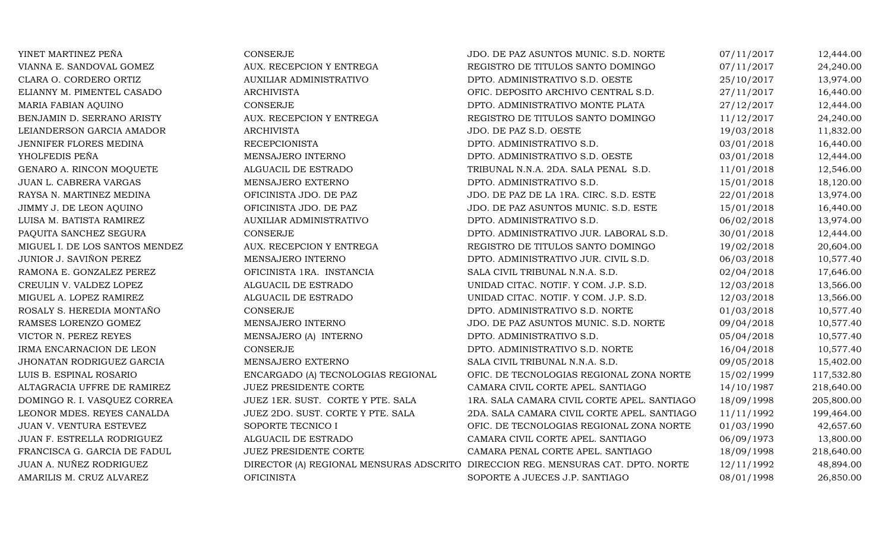| YINET MARTINEZ PEÑA            | <b>CONSERJE</b>                    | JDO. DE PAZ ASUNTOS MUNIC. S.D. NORTE                                            | 07/11/2017 | 12,444.00  |
|--------------------------------|------------------------------------|----------------------------------------------------------------------------------|------------|------------|
| VIANNA E. SANDOVAL GOMEZ       | AUX. RECEPCION Y ENTREGA           | REGISTRO DE TITULOS SANTO DOMINGO                                                | 07/11/2017 | 24,240.00  |
| CLARA O. CORDERO ORTIZ         | AUXILIAR ADMINISTRATIVO            | DPTO. ADMINISTRATIVO S.D. OESTE                                                  | 25/10/2017 | 13,974.00  |
| ELIANNY M. PIMENTEL CASADO     | <b>ARCHIVISTA</b>                  | OFIC. DEPOSITO ARCHIVO CENTRAL S.D.                                              | 27/11/2017 | 16,440.00  |
| MARIA FABIAN AQUINO            | <b>CONSERJE</b>                    | DPTO. ADMINISTRATIVO MONTE PLATA                                                 | 27/12/2017 | 12,444.00  |
| BENJAMIN D. SERRANO ARISTY     | AUX. RECEPCION Y ENTREGA           | REGISTRO DE TITULOS SANTO DOMINGO                                                | 11/12/2017 | 24,240.00  |
| LEIANDERSON GARCIA AMADOR      | <b>ARCHIVISTA</b>                  | JDO. DE PAZ S.D. OESTE                                                           | 19/03/2018 | 11,832.00  |
| JENNIFER FLORES MEDINA         | <b>RECEPCIONISTA</b>               | DPTO. ADMINISTRATIVO S.D.                                                        | 03/01/2018 | 16,440.00  |
| YHOLFEDIS PEÑA                 | MENSAJERO INTERNO                  | DPTO. ADMINISTRATIVO S.D. OESTE                                                  | 03/01/2018 | 12,444.00  |
| GENARO A. RINCON MOQUETE       | ALGUACIL DE ESTRADO                | TRIBUNAL N.N.A. 2DA. SALA PENAL S.D.                                             | 11/01/2018 | 12,546.00  |
| JUAN L. CABRERA VARGAS         | MENSAJERO EXTERNO                  | DPTO. ADMINISTRATIVO S.D.                                                        | 15/01/2018 | 18,120.00  |
| RAYSA N. MARTINEZ MEDINA       | OFICINISTA JDO. DE PAZ             | JDO. DE PAZ DE LA 1RA. CIRC. S.D. ESTE                                           | 22/01/2018 | 13,974.00  |
| JIMMY J. DE LEON AQUINO        | OFICINISTA JDO. DE PAZ             | JDO. DE PAZ ASUNTOS MUNIC. S.D. ESTE                                             | 15/01/2018 | 16,440.00  |
| LUISA M. BATISTA RAMIREZ       | AUXILIAR ADMINISTRATIVO            | DPTO. ADMINISTRATIVO S.D.                                                        | 06/02/2018 | 13,974.00  |
| PAQUITA SANCHEZ SEGURA         | <b>CONSERJE</b>                    | DPTO. ADMINISTRATIVO JUR. LABORAL S.D.                                           | 30/01/2018 | 12,444.00  |
| MIGUEL I. DE LOS SANTOS MENDEZ | AUX. RECEPCION Y ENTREGA           | REGISTRO DE TITULOS SANTO DOMINGO                                                | 19/02/2018 | 20,604.00  |
| JUNIOR J. SAVIÑON PEREZ        | MENSAJERO INTERNO                  | DPTO. ADMINISTRATIVO JUR. CIVIL S.D.                                             | 06/03/2018 | 10,577.40  |
| RAMONA E. GONZALEZ PEREZ       | OFICINISTA 1RA. INSTANCIA          | SALA CIVIL TRIBUNAL N.N.A. S.D.                                                  | 02/04/2018 | 17,646.00  |
| CREULIN V. VALDEZ LOPEZ        | ALGUACIL DE ESTRADO                | UNIDAD CITAC. NOTIF. Y COM. J.P. S.D.                                            | 12/03/2018 | 13,566.00  |
| MIGUEL A. LOPEZ RAMIREZ        | ALGUACIL DE ESTRADO                | UNIDAD CITAC. NOTIF. Y COM. J.P. S.D.                                            | 12/03/2018 | 13,566.00  |
| ROSALY S. HEREDIA MONTAÑO      | <b>CONSERJE</b>                    | DPTO. ADMINISTRATIVO S.D. NORTE                                                  | 01/03/2018 | 10,577.40  |
| RAMSES LORENZO GOMEZ           | MENSAJERO INTERNO                  | JDO. DE PAZ ASUNTOS MUNIC. S.D. NORTE                                            | 09/04/2018 | 10,577.40  |
| VICTOR N. PEREZ REYES          | MENSAJERO (A) INTERNO              | DPTO. ADMINISTRATIVO S.D.                                                        | 05/04/2018 | 10,577.40  |
| IRMA ENCARNACION DE LEON       | <b>CONSERJE</b>                    | DPTO. ADMINISTRATIVO S.D. NORTE                                                  | 16/04/2018 | 10,577.40  |
| JHONATAN RODRIGUEZ GARCIA      | MENSAJERO EXTERNO                  | SALA CIVIL TRIBUNAL N.N.A. S.D.                                                  | 09/05/2018 | 15,402.00  |
| LUIS B. ESPINAL ROSARIO        | ENCARGADO (A) TECNOLOGIAS REGIONAL | OFIC. DE TECNOLOGIAS REGIONAL ZONA NORTE                                         | 15/02/1999 | 117,532.80 |
| ALTAGRACIA UFFRE DE RAMIREZ    | JUEZ PRESIDENTE CORTE              | CAMARA CIVIL CORTE APEL. SANTIAGO                                                | 14/10/1987 | 218,640.00 |
| DOMINGO R. I. VASQUEZ CORREA   | JUEZ 1ER. SUST. CORTE Y PTE. SALA  | 1RA. SALA CAMARA CIVIL CORTE APEL. SANTIAGO                                      | 18/09/1998 | 205,800.00 |
| LEONOR MDES. REYES CANALDA     | JUEZ 2DO. SUST. CORTE Y PTE. SALA  | 2DA. SALA CAMARA CIVIL CORTE APEL. SANTIAGO                                      | 11/11/1992 | 199,464.00 |
| JUAN V. VENTURA ESTEVEZ        | SOPORTE TECNICO I                  | OFIC. DE TECNOLOGIAS REGIONAL ZONA NORTE                                         | 01/03/1990 | 42,657.60  |
| JUAN F. ESTRELLA RODRIGUEZ     | ALGUACIL DE ESTRADO                | CAMARA CIVIL CORTE APEL. SANTIAGO                                                | 06/09/1973 | 13,800.00  |
| FRANCISCA G. GARCIA DE FADUL   | <b>JUEZ PRESIDENTE CORTE</b>       | CAMARA PENAL CORTE APEL. SANTIAGO                                                | 18/09/1998 | 218,640.00 |
| JUAN A. NUÑEZ RODRIGUEZ        |                                    | DIRECTOR (A) REGIONAL MENSURAS ADSCRITO DIRECCION REG. MENSURAS CAT. DPTO. NORTE | 12/11/1992 | 48,894.00  |
| AMARILIS M. CRUZ ALVAREZ       | <b>OFICINISTA</b>                  | SOPORTE A JUECES J.P. SANTIAGO                                                   | 08/01/1998 | 26,850.00  |
|                                |                                    |                                                                                  |            |            |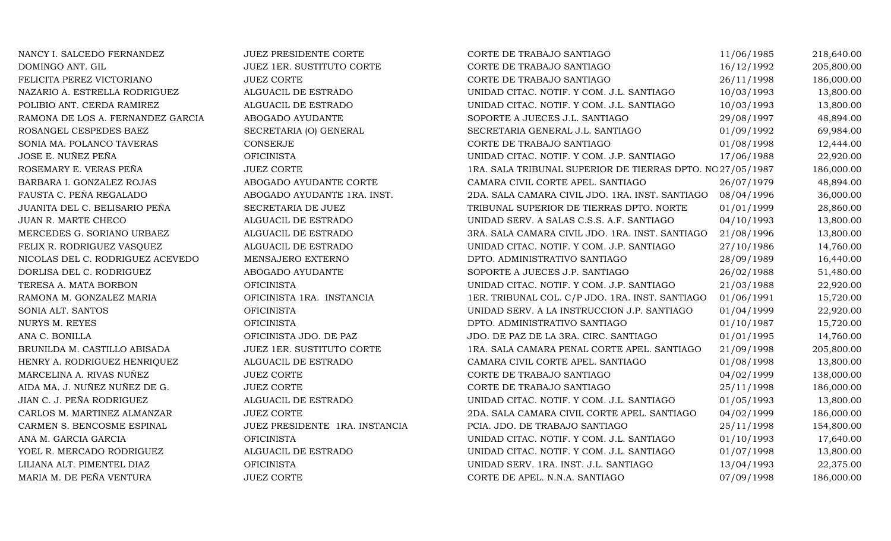| NANCY I. SALCEDO FERNANDEZ        | JUEZ PRESIDENTE CORTE          | CORTE DE TRABAJO SANTIAGO                                  | 11/06/1985 | 218,640.00 |
|-----------------------------------|--------------------------------|------------------------------------------------------------|------------|------------|
| DOMINGO ANT. GIL                  | JUEZ 1ER. SUSTITUTO CORTE      | CORTE DE TRABAJO SANTIAGO                                  | 16/12/1992 | 205,800.00 |
| FELICITA PEREZ VICTORIANO         | <b>JUEZ CORTE</b>              | CORTE DE TRABAJO SANTIAGO                                  | 26/11/1998 | 186,000.00 |
| NAZARIO A. ESTRELLA RODRIGUEZ     | ALGUACIL DE ESTRADO            | UNIDAD CITAC. NOTIF. Y COM. J.L. SANTIAGO                  | 10/03/1993 | 13,800.00  |
| POLIBIO ANT. CERDA RAMIREZ        | ALGUACIL DE ESTRADO            | UNIDAD CITAC. NOTIF. Y COM. J.L. SANTIAGO                  | 10/03/1993 | 13,800.00  |
| RAMONA DE LOS A. FERNANDEZ GARCIA | ABOGADO AYUDANTE               | SOPORTE A JUECES J.L. SANTIAGO                             | 29/08/1997 | 48,894.00  |
| ROSANGEL CESPEDES BAEZ            | SECRETARIA (O) GENERAL         | SECRETARIA GENERAL J.L. SANTIAGO                           | 01/09/1992 | 69,984.00  |
| SONIA MA. POLANCO TAVERAS         | CONSERJE                       | CORTE DE TRABAJO SANTIAGO                                  | 01/08/1998 | 12,444.00  |
| JOSE E. NUÑEZ PEÑA                | <b>OFICINISTA</b>              | UNIDAD CITAC. NOTIF. Y COM. J.P. SANTIAGO                  | 17/06/1988 | 22,920.00  |
| ROSEMARY E. VERAS PEÑA            | <b>JUEZ CORTE</b>              | 1RA. SALA TRIBUNAL SUPERIOR DE TIERRAS DPTO. NO 27/05/1987 |            | 186,000.00 |
| BARBARA I. GONZALEZ ROJAS         | ABOGADO AYUDANTE CORTE         | CAMARA CIVIL CORTE APEL. SANTIAGO                          | 26/07/1979 | 48,894.00  |
| FAUSTA C. PEÑA REGALADO           | ABOGADO AYUDANTE 1RA. INST.    | 2DA. SALA CAMARA CIVIL JDO. 1RA. INST. SANTIAGO            | 08/04/1996 | 36,000.00  |
| JUANITA DEL C. BELISARIO PEÑA     | SECRETARIA DE JUEZ             | TRIBUNAL SUPERIOR DE TIERRAS DPTO. NORTE                   | 01/01/1999 | 28,860.00  |
| JUAN R. MARTE CHECO               | ALGUACIL DE ESTRADO            | UNIDAD SERV. A SALAS C.S.S. A.F. SANTIAGO                  | 04/10/1993 | 13,800.00  |
| MERCEDES G. SORIANO URBAEZ        | ALGUACIL DE ESTRADO            | 3RA. SALA CAMARA CIVIL JDO. 1RA. INST. SANTIAGO            | 21/08/1996 | 13,800.00  |
| FELIX R. RODRIGUEZ VASQUEZ        | ALGUACIL DE ESTRADO            | UNIDAD CITAC. NOTIF. Y COM. J.P. SANTIAGO                  | 27/10/1986 | 14,760.00  |
| NICOLAS DEL C. RODRIGUEZ ACEVEDO  | MENSAJERO EXTERNO              | DPTO. ADMINISTRATIVO SANTIAGO                              | 28/09/1989 | 16,440.00  |
| DORLISA DEL C. RODRIGUEZ          | ABOGADO AYUDANTE               | SOPORTE A JUECES J.P. SANTIAGO                             | 26/02/1988 | 51,480.00  |
| TERESA A. MATA BORBON             | <b>OFICINISTA</b>              | UNIDAD CITAC. NOTIF. Y COM. J.P. SANTIAGO                  | 21/03/1988 | 22,920.00  |
| RAMONA M. GONZALEZ MARIA          | OFICINISTA 1RA. INSTANCIA      | 1ER. TRIBUNAL COL. C/P JDO. 1RA. INST. SANTIAGO            | 01/06/1991 | 15,720.00  |
| SONIA ALT. SANTOS                 | <b>OFICINISTA</b>              | UNIDAD SERV. A LA INSTRUCCION J.P. SANTIAGO                | 01/04/1999 | 22,920.00  |
| <b>NURYS M. REYES</b>             | <b>OFICINISTA</b>              | DPTO. ADMINISTRATIVO SANTIAGO                              | 01/10/1987 | 15,720.00  |
| ANA C. BONILLA                    | OFICINISTA JDO. DE PAZ         | JDO. DE PAZ DE LA 3RA. CIRC. SANTIAGO                      | 01/01/1995 | 14,760.00  |
| BRUNILDA M. CASTILLO ABISADA      | JUEZ 1ER. SUSTITUTO CORTE      | 1RA. SALA CAMARA PENAL CORTE APEL. SANTIAGO                | 21/09/1998 | 205,800.00 |
| HENRY A. RODRIGUEZ HENRIQUEZ      | ALGUACIL DE ESTRADO            | CAMARA CIVIL CORTE APEL. SANTIAGO                          | 01/08/1998 | 13,800.00  |
| MARCELINA A. RIVAS NUÑEZ          | <b>JUEZ CORTE</b>              | CORTE DE TRABAJO SANTIAGO                                  | 04/02/1999 | 138,000.00 |
| AIDA MA. J. NUÑEZ NUÑEZ DE G.     | <b>JUEZ CORTE</b>              | CORTE DE TRABAJO SANTIAGO                                  | 25/11/1998 | 186,000.00 |
| JIAN C. J. PEÑA RODRIGUEZ         | ALGUACIL DE ESTRADO            | UNIDAD CITAC. NOTIF. Y COM. J.L. SANTIAGO                  | 01/05/1993 | 13,800.00  |
| CARLOS M. MARTINEZ ALMANZAR       | <b>JUEZ CORTE</b>              | 2DA. SALA CAMARA CIVIL CORTE APEL. SANTIAGO                | 04/02/1999 | 186,000.00 |
| CARMEN S. BENCOSME ESPINAL        | JUEZ PRESIDENTE 1RA. INSTANCIA | PCIA. JDO. DE TRABAJO SANTIAGO                             | 25/11/1998 | 154,800.00 |
| ANA M. GARCIA GARCIA              | <b>OFICINISTA</b>              | UNIDAD CITAC. NOTIF. Y COM. J.L. SANTIAGO                  | 01/10/1993 | 17,640.00  |
| YOEL R. MERCADO RODRIGUEZ         | ALGUACIL DE ESTRADO            | UNIDAD CITAC. NOTIF. Y COM. J.L. SANTIAGO                  | 01/07/1998 | 13,800.00  |
| LILIANA ALT. PIMENTEL DIAZ        | <b>OFICINISTA</b>              | UNIDAD SERV. 1RA. INST. J.L. SANTIAGO                      | 13/04/1993 | 22,375.00  |
| MARIA M. DE PEÑA VENTURA          | <b>JUEZ CORTE</b>              | CORTE DE APEL. N.N.A. SANTIAGO                             | 07/09/1998 | 186,000.00 |
|                                   |                                |                                                            |            |            |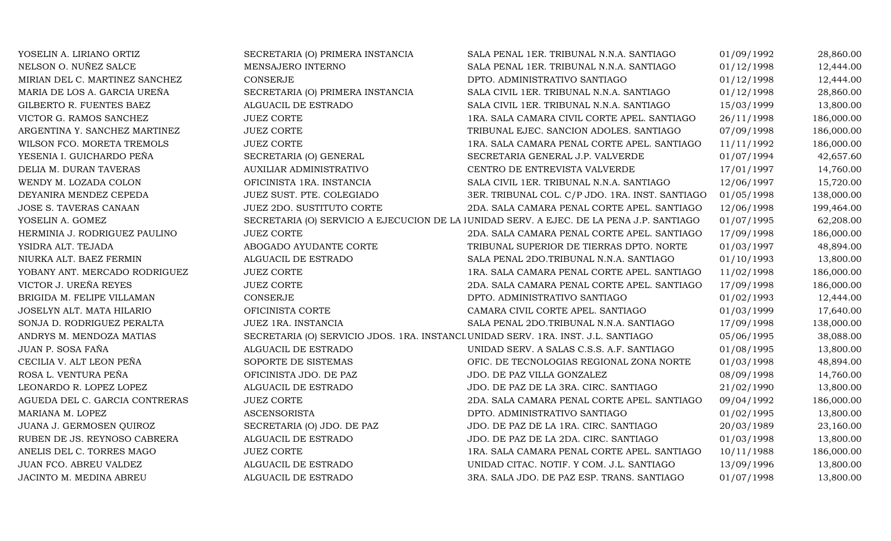| YOSELIN A. LIRIANO ORTIZ       | SECRETARIA (O) PRIMERA INSTANCIA                                                  | SALA PENAL 1ER. TRIBUNAL N.N.A. SANTIAGO                                                 | 01/09/1992 | 28,860.00  |
|--------------------------------|-----------------------------------------------------------------------------------|------------------------------------------------------------------------------------------|------------|------------|
| NELSON O. NUÑEZ SALCE          | MENSAJERO INTERNO                                                                 | SALA PENAL 1ER. TRIBUNAL N.N.A. SANTIAGO                                                 | 01/12/1998 | 12,444.00  |
| MIRIAN DEL C. MARTINEZ SANCHEZ | <b>CONSERJE</b>                                                                   | DPTO. ADMINISTRATIVO SANTIAGO                                                            | 01/12/1998 | 12,444.00  |
| MARIA DE LOS A. GARCIA UREÑA   | SECRETARIA (O) PRIMERA INSTANCIA                                                  | SALA CIVIL 1ER. TRIBUNAL N.N.A. SANTIAGO                                                 | 01/12/1998 | 28,860.00  |
| GILBERTO R. FUENTES BAEZ       | ALGUACIL DE ESTRADO                                                               | SALA CIVIL 1ER. TRIBUNAL N.N.A. SANTIAGO                                                 | 15/03/1999 | 13,800.00  |
| VICTOR G. RAMOS SANCHEZ        | <b>JUEZ CORTE</b>                                                                 | 1RA. SALA CAMARA CIVIL CORTE APEL. SANTIAGO                                              | 26/11/1998 | 186,000.00 |
| ARGENTINA Y. SANCHEZ MARTINEZ  | <b>JUEZ CORTE</b>                                                                 | TRIBUNAL EJEC. SANCION ADOLES. SANTIAGO                                                  | 07/09/1998 | 186,000.00 |
| WILSON FCO. MORETA TREMOLS     | <b>JUEZ CORTE</b>                                                                 | 1RA. SALA CAMARA PENAL CORTE APEL. SANTIAGO                                              | 11/11/1992 | 186,000.00 |
| YESENIA I. GUICHARDO PEÑA      | SECRETARIA (O) GENERAL                                                            | SECRETARIA GENERAL J.P. VALVERDE                                                         | 01/07/1994 | 42,657.60  |
| DELIA M. DURAN TAVERAS         | AUXILIAR ADMINISTRATIVO                                                           | CENTRO DE ENTREVISTA VALVERDE                                                            | 17/01/1997 | 14,760.00  |
| WENDY M. LOZADA COLON          | OFICINISTA 1RA. INSTANCIA                                                         | SALA CIVIL 1ER. TRIBUNAL N.N.A. SANTIAGO                                                 | 12/06/1997 | 15,720.00  |
| DEYANIRA MENDEZ CEPEDA         | JUEZ SUST. PTE. COLEGIADO                                                         | 3ER. TRIBUNAL COL. C/P JDO. 1RA. INST. SANTIAGO                                          | 01/05/1998 | 138,000.00 |
| JOSE S. TAVERAS CANAAN         | JUEZ 2DO. SUSTITUTO CORTE                                                         | 2DA. SALA CAMARA PENAL CORTE APEL. SANTIAGO                                              | 12/06/1998 | 199,464.00 |
| YOSELIN A. GOMEZ               |                                                                                   | SECRETARIA (O) SERVICIO A EJECUCION DE LA JUNIDAD SERV. A EJEC. DE LA PENA J.P. SANTIAGO | 01/07/1995 | 62,208.00  |
| HERMINIA J. RODRIGUEZ PAULINO  | <b>JUEZ CORTE</b>                                                                 | 2DA. SALA CAMARA PENAL CORTE APEL. SANTIAGO                                              | 17/09/1998 | 186,000.00 |
| YSIDRA ALT. TEJADA             | ABOGADO AYUDANTE CORTE                                                            | TRIBUNAL SUPERIOR DE TIERRAS DPTO. NORTE                                                 | 01/03/1997 | 48,894.00  |
| NIURKA ALT. BAEZ FERMIN        | ALGUACIL DE ESTRADO                                                               | SALA PENAL 2DO.TRIBUNAL N.N.A. SANTIAGO                                                  | 01/10/1993 | 13,800.00  |
| YOBANY ANT. MERCADO RODRIGUEZ  | <b>JUEZ CORTE</b>                                                                 | 1RA. SALA CAMARA PENAL CORTE APEL. SANTIAGO                                              | 11/02/1998 | 186,000.00 |
| VICTOR J. UREÑA REYES          | <b>JUEZ CORTE</b>                                                                 | 2DA. SALA CAMARA PENAL CORTE APEL. SANTIAGO                                              | 17/09/1998 | 186,000.00 |
| BRIGIDA M. FELIPE VILLAMAN     | <b>CONSERJE</b>                                                                   | DPTO. ADMINISTRATIVO SANTIAGO                                                            | 01/02/1993 | 12,444.00  |
| JOSELYN ALT. MATA HILARIO      | OFICINISTA CORTE                                                                  | CAMARA CIVIL CORTE APEL. SANTIAGO                                                        | 01/03/1999 | 17,640.00  |
| SONJA D. RODRIGUEZ PERALTA     | JUEZ 1RA. INSTANCIA                                                               | SALA PENAL 2DO.TRIBUNAL N.N.A. SANTIAGO                                                  | 17/09/1998 | 138,000.00 |
| ANDRYS M. MENDOZA MATIAS       | SECRETARIA (O) SERVICIO JDOS. 1RA. INSTANCL UNIDAD SERV. 1RA. INST. J.L. SANTIAGO |                                                                                          | 05/06/1995 | 38,088.00  |
| JUAN P. SOSA FAÑA              | ALGUACIL DE ESTRADO                                                               | UNIDAD SERV. A SALAS C.S.S. A.F. SANTIAGO                                                | 01/08/1995 | 13,800.00  |
| CECILIA V. ALT LEON PEÑA       | SOPORTE DE SISTEMAS                                                               | OFIC. DE TECNOLOGIAS REGIONAL ZONA NORTE                                                 | 01/03/1998 | 48,894.00  |
| ROSA L. VENTURA PEÑA           | OFICINISTA JDO. DE PAZ                                                            | JDO. DE PAZ VILLA GONZALEZ                                                               | 08/09/1998 | 14,760.00  |
| LEONARDO R. LOPEZ LOPEZ        | ALGUACIL DE ESTRADO                                                               | JDO. DE PAZ DE LA 3RA. CIRC. SANTIAGO                                                    | 21/02/1990 | 13,800.00  |
| AGUEDA DEL C. GARCIA CONTRERAS | <b>JUEZ CORTE</b>                                                                 | 2DA. SALA CAMARA PENAL CORTE APEL. SANTIAGO                                              | 09/04/1992 | 186,000.00 |
| MARIANA M. LOPEZ               | <b>ASCENSORISTA</b>                                                               | DPTO. ADMINISTRATIVO SANTIAGO                                                            | 01/02/1995 | 13,800.00  |
| JUANA J. GERMOSEN QUIROZ       | SECRETARIA (O) JDO. DE PAZ                                                        | JDO. DE PAZ DE LA 1RA. CIRC. SANTIAGO                                                    | 20/03/1989 | 23,160.00  |
| RUBEN DE JS. REYNOSO CABRERA   | ALGUACIL DE ESTRADO                                                               | JDO. DE PAZ DE LA 2DA. CIRC. SANTIAGO                                                    | 01/03/1998 | 13,800.00  |
| ANELIS DEL C. TORRES MAGO      | <b>JUEZ CORTE</b>                                                                 | 1RA. SALA CAMARA PENAL CORTE APEL. SANTIAGO                                              | 10/11/1988 | 186,000.00 |
| JUAN FCO. ABREU VALDEZ         | ALGUACIL DE ESTRADO                                                               | UNIDAD CITAC. NOTIF. Y COM. J.L. SANTIAGO                                                | 13/09/1996 | 13,800.00  |
| JACINTO M. MEDINA ABREU        | ALGUACIL DE ESTRADO                                                               | 3RA. SALA JDO. DE PAZ ESP. TRANS. SANTIAGO                                               | 01/07/1998 | 13,800.00  |
|                                |                                                                                   |                                                                                          |            |            |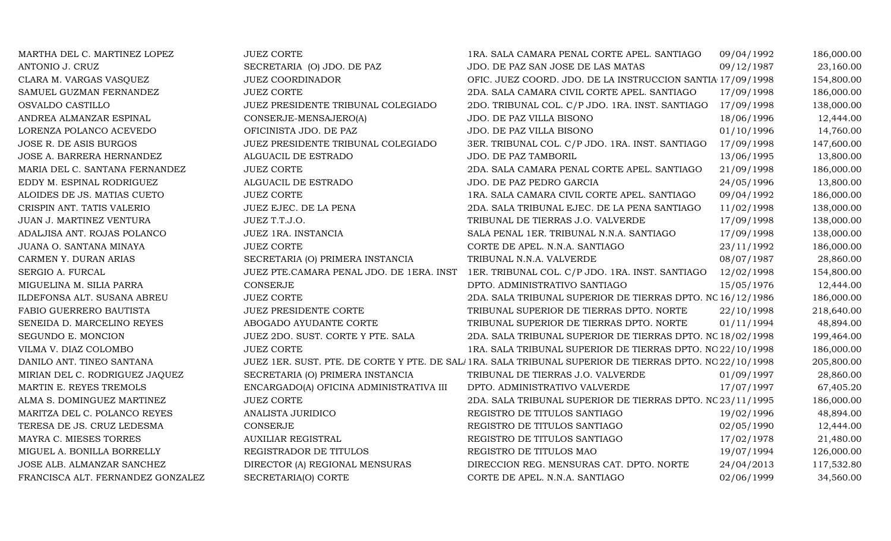| MARTHA DEL C. MARTINEZ LOPEZ      | <b>JUEZ CORTE</b>                        | 1RA. SALA CAMARA PENAL CORTE APEL. SANTIAGO                                                            | 09/04/1992 | 186,000.00 |
|-----------------------------------|------------------------------------------|--------------------------------------------------------------------------------------------------------|------------|------------|
| ANTONIO J. CRUZ                   | SECRETARIA (O) JDO. DE PAZ               | JDO. DE PAZ SAN JOSE DE LAS MATAS                                                                      | 09/12/1987 | 23,160.00  |
| CLARA M. VARGAS VASQUEZ           | <b>JUEZ COORDINADOR</b>                  | OFIC. JUEZ COORD. JDO. DE LA INSTRUCCION SANTIA 17/09/1998                                             |            | 154,800.00 |
| SAMUEL GUZMAN FERNANDEZ           | <b>JUEZ CORTE</b>                        | 2DA. SALA CAMARA CIVIL CORTE APEL. SANTIAGO                                                            | 17/09/1998 | 186,000.00 |
| OSVALDO CASTILLO                  | JUEZ PRESIDENTE TRIBUNAL COLEGIADO       | 2DO. TRIBUNAL COL. C/P JDO. 1RA. INST. SANTIAGO                                                        | 17/09/1998 | 138,000.00 |
| ANDREA ALMANZAR ESPINAL           | CONSERJE-MENSAJERO(A)                    | JDO. DE PAZ VILLA BISONO                                                                               | 18/06/1996 | 12,444.00  |
| LORENZA POLANCO ACEVEDO           | OFICINISTA JDO. DE PAZ                   | JDO. DE PAZ VILLA BISONO                                                                               | 01/10/1996 | 14,760.00  |
| JOSE R. DE ASIS BURGOS            | JUEZ PRESIDENTE TRIBUNAL COLEGIADO       | 3ER. TRIBUNAL COL. C/P JDO. 1RA. INST. SANTIAGO                                                        | 17/09/1998 | 147,600.00 |
| JOSE A. BARRERA HERNANDEZ         | ALGUACIL DE ESTRADO                      | JDO. DE PAZ TAMBORIL                                                                                   | 13/06/1995 | 13,800.00  |
| MARIA DEL C. SANTANA FERNANDEZ    | <b>JUEZ CORTE</b>                        | 2DA. SALA CAMARA PENAL CORTE APEL. SANTIAGO                                                            | 21/09/1998 | 186,000.00 |
| EDDY M. ESPINAL RODRIGUEZ         | ALGUACIL DE ESTRADO                      | JDO. DE PAZ PEDRO GARCIA                                                                               | 24/05/1996 | 13,800.00  |
| ALOIDES DE JS. MATIAS CUETO       | <b>JUEZ CORTE</b>                        | 1RA. SALA CAMARA CIVIL CORTE APEL. SANTIAGO                                                            | 09/04/1992 | 186,000.00 |
| CRISPIN ANT. TATIS VALERIO        | JUEZ EJEC. DE LA PENA                    | 2DA. SALA TRIBUNAL EJEC. DE LA PENA SANTIAGO                                                           | 11/02/1998 | 138,000.00 |
| JUAN J. MARTINEZ VENTURA          | JUEZ T.T.J.O.                            | TRIBUNAL DE TIERRAS J.O. VALVERDE                                                                      | 17/09/1998 | 138,000.00 |
| ADALJISA ANT. ROJAS POLANCO       | JUEZ 1RA. INSTANCIA                      | SALA PENAL 1ER. TRIBUNAL N.N.A. SANTIAGO                                                               | 17/09/1998 | 138,000.00 |
| JUANA O. SANTANA MINAYA           | <b>JUEZ CORTE</b>                        | CORTE DE APEL. N.N.A. SANTIAGO                                                                         | 23/11/1992 | 186,000.00 |
| CARMEN Y. DURAN ARIAS             | SECRETARIA (O) PRIMERA INSTANCIA         | TRIBUNAL N.N.A. VALVERDE                                                                               | 08/07/1987 | 28,860.00  |
| SERGIO A. FURCAL                  | JUEZ PTE.CAMARA PENAL JDO. DE 1ERA. INST | 1ER. TRIBUNAL COL. C/P JDO. 1RA. INST. SANTIAGO                                                        | 12/02/1998 | 154,800.00 |
| MIGUELINA M. SILIA PARRA          | CONSERJE                                 | DPTO. ADMINISTRATIVO SANTIAGO                                                                          | 15/05/1976 | 12,444.00  |
| ILDEFONSA ALT. SUSANA ABREU       | <b>JUEZ CORTE</b>                        | 2DA. SALA TRIBUNAL SUPERIOR DE TIERRAS DPTO. NC 16/12/1986                                             |            | 186,000.00 |
| FABIO GUERRERO BAUTISTA           | JUEZ PRESIDENTE CORTE                    | TRIBUNAL SUPERIOR DE TIERRAS DPTO. NORTE                                                               | 22/10/1998 | 218,640.00 |
| SENEIDA D. MARCELINO REYES        | ABOGADO AYUDANTE CORTE                   | TRIBUNAL SUPERIOR DE TIERRAS DPTO. NORTE                                                               | 01/11/1994 | 48,894.00  |
| SEGUNDO E. MONCION                | JUEZ 2DO. SUST. CORTE Y PTE. SALA        | 2DA. SALA TRIBUNAL SUPERIOR DE TIERRAS DPTO. NC 18/02/1998                                             |            | 199,464.00 |
| VILMA V. DIAZ COLOMBO             | <b>JUEZ CORTE</b>                        | 1RA. SALA TRIBUNAL SUPERIOR DE TIERRAS DPTO. NO 22/10/1998                                             |            | 186,000.00 |
| DANILO ANT. TINEO SANTANA         |                                          | JUEZ 1ER. SUST. PTE. DE CORTE Y PTE. DE SAL/1RA. SALA TRIBUNAL SUPERIOR DE TIERRAS DPTO. NO 22/10/1998 |            | 205,800.00 |
| MIRIAN DEL C. RODRIGUEZ JAQUEZ    | SECRETARIA (O) PRIMERA INSTANCIA         | TRIBUNAL DE TIERRAS J.O. VALVERDE                                                                      | 01/09/1997 | 28,860.00  |
| MARTIN E. REYES TREMOLS           | ENCARGADO(A) OFICINA ADMINISTRATIVA III  | DPTO. ADMINISTRATIVO VALVERDE                                                                          | 17/07/1997 | 67,405.20  |
| ALMA S. DOMINGUEZ MARTINEZ        | <b>JUEZ CORTE</b>                        | 2DA. SALA TRIBUNAL SUPERIOR DE TIERRAS DPTO. NC 23/11/1995                                             |            | 186,000.00 |
| MARITZA DEL C. POLANCO REYES      | ANALISTA JURIDICO                        | REGISTRO DE TITULOS SANTIAGO                                                                           | 19/02/1996 | 48,894.00  |
| TERESA DE JS. CRUZ LEDESMA        | <b>CONSERJE</b>                          | REGISTRO DE TITULOS SANTIAGO                                                                           | 02/05/1990 | 12,444.00  |
| MAYRA C. MIESES TORRES            | <b>AUXILIAR REGISTRAL</b>                | REGISTRO DE TITULOS SANTIAGO                                                                           | 17/02/1978 | 21,480.00  |
| MIGUEL A. BONILLA BORRELLY        | REGISTRADOR DE TITULOS                   | REGISTRO DE TITULOS MAO                                                                                | 19/07/1994 | 126,000.00 |
| JOSE ALB. ALMANZAR SANCHEZ        | DIRECTOR (A) REGIONAL MENSURAS           | DIRECCION REG. MENSURAS CAT. DPTO. NORTE                                                               | 24/04/2013 | 117,532.80 |
| FRANCISCA ALT. FERNANDEZ GONZALEZ | SECRETARIA(O) CORTE                      | CORTE DE APEL. N.N.A. SANTIAGO                                                                         | 02/06/1999 | 34,560.00  |
|                                   |                                          |                                                                                                        |            |            |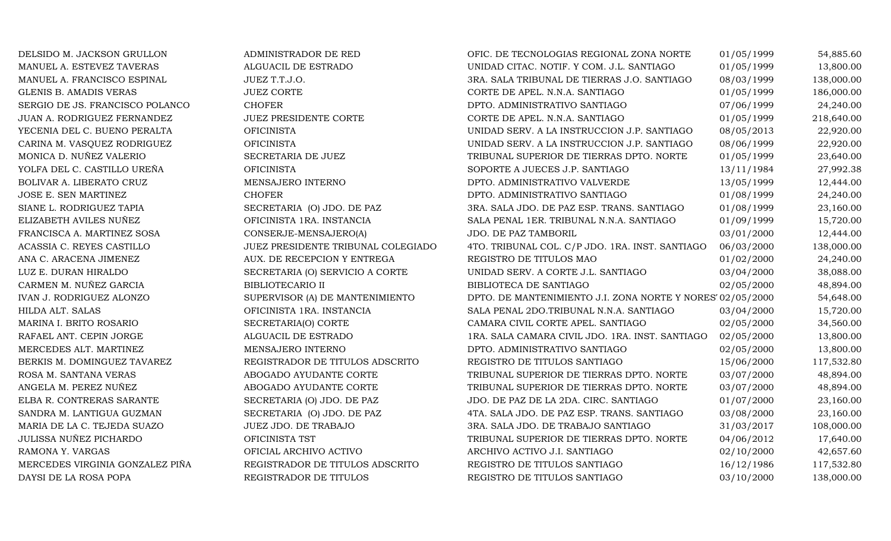| DELSIDO M. JACKSON GRULLON      | ADMINISTRADOR DE RED               | OFIC. DE TECNOLOGIAS REGIONAL ZONA NORTE                  | 01/05/1999 | 54,885.60  |
|---------------------------------|------------------------------------|-----------------------------------------------------------|------------|------------|
| MANUEL A. ESTEVEZ TAVERAS       | ALGUACIL DE ESTRADO                | UNIDAD CITAC. NOTIF. Y COM. J.L. SANTIAGO                 | 01/05/1999 | 13,800.00  |
| MANUEL A. FRANCISCO ESPINAL     | JUEZ T.T.J.O.                      | 3RA. SALA TRIBUNAL DE TIERRAS J.O. SANTIAGO               | 08/03/1999 | 138,000.00 |
| <b>GLENIS B. AMADIS VERAS</b>   | <b>JUEZ CORTE</b>                  | CORTE DE APEL. N.N.A. SANTIAGO                            | 01/05/1999 | 186,000.00 |
| SERGIO DE JS. FRANCISCO POLANCO | <b>CHOFER</b>                      | DPTO. ADMINISTRATIVO SANTIAGO                             | 07/06/1999 | 24,240.00  |
| JUAN A. RODRIGUEZ FERNANDEZ     | JUEZ PRESIDENTE CORTE              | CORTE DE APEL. N.N.A. SANTIAGO                            | 01/05/1999 | 218,640.00 |
| YECENIA DEL C. BUENO PERALTA    | <b>OFICINISTA</b>                  | UNIDAD SERV. A LA INSTRUCCION J.P. SANTIAGO               | 08/05/2013 | 22,920.00  |
| CARINA M. VASQUEZ RODRIGUEZ     | <b>OFICINISTA</b>                  | UNIDAD SERV. A LA INSTRUCCION J.P. SANTIAGO               | 08/06/1999 | 22,920.00  |
| MONICA D. NUÑEZ VALERIO         | SECRETARIA DE JUEZ                 | TRIBUNAL SUPERIOR DE TIERRAS DPTO. NORTE                  | 01/05/1999 | 23,640.00  |
| YOLFA DEL C. CASTILLO UREÑA     | <b>OFICINISTA</b>                  | SOPORTE A JUECES J.P. SANTIAGO                            | 13/11/1984 | 27,992.38  |
| <b>BOLIVAR A. LIBERATO CRUZ</b> | MENSAJERO INTERNO                  | DPTO. ADMINISTRATIVO VALVERDE                             | 13/05/1999 | 12,444.00  |
| JOSE E. SEN MARTINEZ            | <b>CHOFER</b>                      | DPTO. ADMINISTRATIVO SANTIAGO                             | 01/08/1999 | 24,240.00  |
| SIANE L. RODRIGUEZ TAPIA        | SECRETARIA (O) JDO. DE PAZ         | 3RA. SALA JDO. DE PAZ ESP. TRANS. SANTIAGO                | 01/08/1999 | 23,160.00  |
| ELIZABETH AVILES NUÑEZ          | OFICINISTA 1RA. INSTANCIA          | SALA PENAL 1ER. TRIBUNAL N.N.A. SANTIAGO                  | 01/09/1999 | 15,720.00  |
| FRANCISCA A. MARTINEZ SOSA      | CONSERJE-MENSAJERO(A)              | JDO. DE PAZ TAMBORIL                                      | 03/01/2000 | 12,444.00  |
| ACASSIA C. REYES CASTILLO       | JUEZ PRESIDENTE TRIBUNAL COLEGIADO | 4TO. TRIBUNAL COL. C/P JDO. 1RA. INST. SANTIAGO           | 06/03/2000 | 138,000.00 |
| ANA C. ARACENA JIMENEZ          | AUX. DE RECEPCION Y ENTREGA        | REGISTRO DE TITULOS MAO                                   | 01/02/2000 | 24,240.00  |
| LUZ E. DURAN HIRALDO            | SECRETARIA (O) SERVICIO A CORTE    | UNIDAD SERV. A CORTE J.L. SANTIAGO                        | 03/04/2000 | 38,088.00  |
| CARMEN M. NUÑEZ GARCIA          | <b>BIBLIOTECARIO II</b>            | BIBLIOTECA DE SANTIAGO                                    | 02/05/2000 | 48,894.00  |
| IVAN J. RODRIGUEZ ALONZO        | SUPERVISOR (A) DE MANTENIMIENTO    | DPTO. DE MANTENIMIENTO J.I. ZONA NORTE Y NORES 02/05/2000 |            | 54,648.00  |
| HILDA ALT. SALAS                | OFICINISTA 1RA. INSTANCIA          | SALA PENAL 2DO.TRIBUNAL N.N.A. SANTIAGO                   | 03/04/2000 | 15,720.00  |
| MARINA I. BRITO ROSARIO         | SECRETARIA(O) CORTE                | CAMARA CIVIL CORTE APEL. SANTIAGO                         | 02/05/2000 | 34,560.00  |
| RAFAEL ANT. CEPIN JORGE         | ALGUACIL DE ESTRADO                | 1RA. SALA CAMARA CIVIL JDO. 1RA. INST. SANTIAGO           | 02/05/2000 | 13,800.00  |
| MERCEDES ALT. MARTINEZ          | MENSAJERO INTERNO                  | DPTO. ADMINISTRATIVO SANTIAGO                             | 02/05/2000 | 13,800.00  |
| BERKIS M. DOMINGUEZ TAVAREZ     | REGISTRADOR DE TITULOS ADSCRITO    | REGISTRO DE TITULOS SANTIAGO                              | 15/06/2000 | 117,532.80 |
| ROSA M. SANTANA VERAS           | ABOGADO AYUDANTE CORTE             | TRIBUNAL SUPERIOR DE TIERRAS DPTO. NORTE                  | 03/07/2000 | 48,894.00  |
| ANGELA M. PEREZ NUÑEZ           | ABOGADO AYUDANTE CORTE             | TRIBUNAL SUPERIOR DE TIERRAS DPTO. NORTE                  | 03/07/2000 | 48,894.00  |
| ELBA R. CONTRERAS SARANTE       | SECRETARIA (O) JDO. DE PAZ         | JDO. DE PAZ DE LA 2DA. CIRC. SANTIAGO                     | 01/07/2000 | 23,160.00  |
| SANDRA M. LANTIGUA GUZMAN       | SECRETARIA (O) JDO. DE PAZ         | 4TA. SALA JDO. DE PAZ ESP. TRANS. SANTIAGO                | 03/08/2000 | 23,160.00  |
| MARIA DE LA C. TEJEDA SUAZO     | JUEZ JDO. DE TRABAJO               | 3RA. SALA JDO. DE TRABAJO SANTIAGO                        | 31/03/2017 | 108,000.00 |
| JULISSA NUÑEZ PICHARDO          | OFICINISTA TST                     | TRIBUNAL SUPERIOR DE TIERRAS DPTO. NORTE                  | 04/06/2012 | 17,640.00  |
| RAMONA Y. VARGAS                | OFICIAL ARCHIVO ACTIVO             | ARCHIVO ACTIVO J.I. SANTIAGO                              | 02/10/2000 | 42,657.60  |
| MERCEDES VIRGINIA GONZALEZ PIÑA | REGISTRADOR DE TITULOS ADSCRITO    | REGISTRO DE TITULOS SANTIAGO                              | 16/12/1986 | 117,532.80 |
| DAYSI DE LA ROSA POPA           | REGISTRADOR DE TITULOS             | REGISTRO DE TITULOS SANTIAGO                              | 03/10/2000 | 138,000.00 |
|                                 |                                    |                                                           |            |            |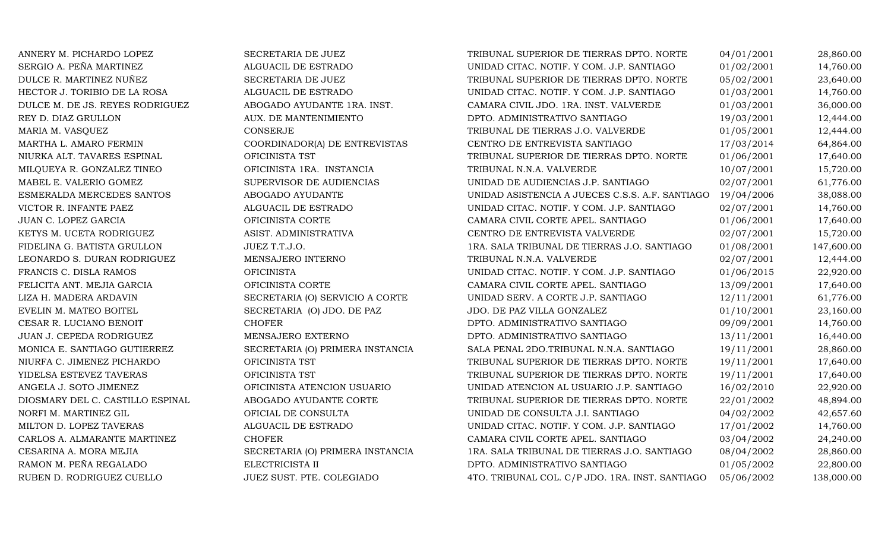| ANNERY M. PICHARDO LOPEZ         | SECRETARIA DE JUEZ               | TRIBUNAL SUPERIOR DE TIERRAS DPTO. NORTE        | 04/01/2001 | 28,860.00  |
|----------------------------------|----------------------------------|-------------------------------------------------|------------|------------|
| SERGIO A. PEÑA MARTINEZ          | ALGUACIL DE ESTRADO              | UNIDAD CITAC. NOTIF. Y COM. J.P. SANTIAGO       | 01/02/2001 | 14,760.00  |
| DULCE R. MARTINEZ NUÑEZ          | SECRETARIA DE JUEZ               | TRIBUNAL SUPERIOR DE TIERRAS DPTO. NORTE        | 05/02/2001 | 23,640.00  |
| HECTOR J. TORIBIO DE LA ROSA     | ALGUACIL DE ESTRADO              | UNIDAD CITAC. NOTIF. Y COM. J.P. SANTIAGO       | 01/03/2001 | 14,760.00  |
| DULCE M. DE JS. REYES RODRIGUEZ  | ABOGADO AYUDANTE 1RA. INST.      | CAMARA CIVIL JDO. 1RA. INST. VALVERDE           | 01/03/2001 | 36,000.00  |
| REY D. DIAZ GRULLON              | AUX. DE MANTENIMIENTO            | DPTO. ADMINISTRATIVO SANTIAGO                   | 19/03/2001 | 12,444.00  |
| MARIA M. VASQUEZ                 | <b>CONSERJE</b>                  | TRIBUNAL DE TIERRAS J.O. VALVERDE               | 01/05/2001 | 12,444.00  |
| MARTHA L. AMARO FERMIN           | COORDINADOR(A) DE ENTREVISTAS    | CENTRO DE ENTREVISTA SANTIAGO                   | 17/03/2014 | 64,864.00  |
| NIURKA ALT. TAVARES ESPINAL      | OFICINISTA TST                   | TRIBUNAL SUPERIOR DE TIERRAS DPTO. NORTE        | 01/06/2001 | 17,640.00  |
| MILQUEYA R. GONZALEZ TINEO       | OFICINISTA 1RA. INSTANCIA        | TRIBUNAL N.N.A. VALVERDE                        | 10/07/2001 | 15,720.00  |
| MABEL E. VALERIO GOMEZ           | SUPERVISOR DE AUDIENCIAS         | UNIDAD DE AUDIENCIAS J.P. SANTIAGO              | 02/07/2001 | 61,776.00  |
| ESMERALDA MERCEDES SANTOS        | ABOGADO AYUDANTE                 | UNIDAD ASISTENCIA A JUECES C.S.S. A.F. SANTIAGO | 19/04/2006 | 38,088.00  |
| VICTOR R. INFANTE PAEZ           | ALGUACIL DE ESTRADO              | UNIDAD CITAC. NOTIF. Y COM. J.P. SANTIAGO       | 02/07/2001 | 14,760.00  |
| JUAN C. LOPEZ GARCIA             | OFICINISTA CORTE                 | CAMARA CIVIL CORTE APEL. SANTIAGO               | 01/06/2001 | 17,640.00  |
| KETYS M. UCETA RODRIGUEZ         | ASIST. ADMINISTRATIVA            | CENTRO DE ENTREVISTA VALVERDE                   | 02/07/2001 | 15,720.00  |
| FIDELINA G. BATISTA GRULLON      | JUEZ T.T.J.O.                    | 1RA. SALA TRIBUNAL DE TIERRAS J.O. SANTIAGO     | 01/08/2001 | 147,600.00 |
| LEONARDO S. DURAN RODRIGUEZ      | MENSAJERO INTERNO                | TRIBUNAL N.N.A. VALVERDE                        | 02/07/2001 | 12,444.00  |
| FRANCIS C. DISLA RAMOS           | <b>OFICINISTA</b>                | UNIDAD CITAC. NOTIF. Y COM. J.P. SANTIAGO       | 01/06/2015 | 22,920.00  |
| FELICITA ANT. MEJIA GARCIA       | OFICINISTA CORTE                 | CAMARA CIVIL CORTE APEL. SANTIAGO               | 13/09/2001 | 17,640.00  |
| LIZA H. MADERA ARDAVIN           | SECRETARIA (O) SERVICIO A CORTE  | UNIDAD SERV. A CORTE J.P. SANTIAGO              | 12/11/2001 | 61,776.00  |
| EVELIN M. MATEO BOITEL           | SECRETARIA (O) JDO. DE PAZ       | JDO. DE PAZ VILLA GONZALEZ                      | 01/10/2001 | 23,160.00  |
| CESAR R. LUCIANO BENOIT          | <b>CHOFER</b>                    | DPTO. ADMINISTRATIVO SANTIAGO                   | 09/09/2001 | 14,760.00  |
| JUAN J. CEPEDA RODRIGUEZ         | MENSAJERO EXTERNO                | DPTO. ADMINISTRATIVO SANTIAGO                   | 13/11/2001 | 16,440.00  |
| MONICA E. SANTIAGO GUTIERREZ     | SECRETARIA (O) PRIMERA INSTANCIA | SALA PENAL 2DO.TRIBUNAL N.N.A. SANTIAGO         | 19/11/2001 | 28,860.00  |
| NIURFA C. JIMENEZ PICHARDO       | OFICINISTA TST                   | TRIBUNAL SUPERIOR DE TIERRAS DPTO. NORTE        | 19/11/2001 | 17,640.00  |
| YIDELSA ESTEVEZ TAVERAS          | OFICINISTA TST                   | TRIBUNAL SUPERIOR DE TIERRAS DPTO. NORTE        | 19/11/2001 | 17,640.00  |
| ANGELA J. SOTO JIMENEZ           | OFICINISTA ATENCION USUARIO      | UNIDAD ATENCION AL USUARIO J.P. SANTIAGO        | 16/02/2010 | 22,920.00  |
| DIOSMARY DEL C. CASTILLO ESPINAL | ABOGADO AYUDANTE CORTE           | TRIBUNAL SUPERIOR DE TIERRAS DPTO. NORTE        | 22/01/2002 | 48,894.00  |
| NORFI M. MARTINEZ GIL            | OFICIAL DE CONSULTA              | UNIDAD DE CONSULTA J.I. SANTIAGO                | 04/02/2002 | 42,657.60  |
| MILTON D. LOPEZ TAVERAS          | ALGUACIL DE ESTRADO              | UNIDAD CITAC. NOTIF. Y COM. J.P. SANTIAGO       | 17/01/2002 | 14,760.00  |
| CARLOS A. ALMARANTE MARTINEZ     | <b>CHOFER</b>                    | CAMARA CIVIL CORTE APEL. SANTIAGO               | 03/04/2002 | 24,240.00  |
| CESARINA A. MORA MEJIA           | SECRETARIA (O) PRIMERA INSTANCIA | 1RA. SALA TRIBUNAL DE TIERRAS J.O. SANTIAGO     | 08/04/2002 | 28,860.00  |
| RAMON M. PEÑA REGALADO           | ELECTRICISTA II                  | DPTO. ADMINISTRATIVO SANTIAGO                   | 01/05/2002 | 22,800.00  |
| RUBEN D. RODRIGUEZ CUELLO        | JUEZ SUST. PTE. COLEGIADO        | 4TO. TRIBUNAL COL. C/P JDO. 1RA. INST. SANTIAGO | 05/06/2002 | 138,000.00 |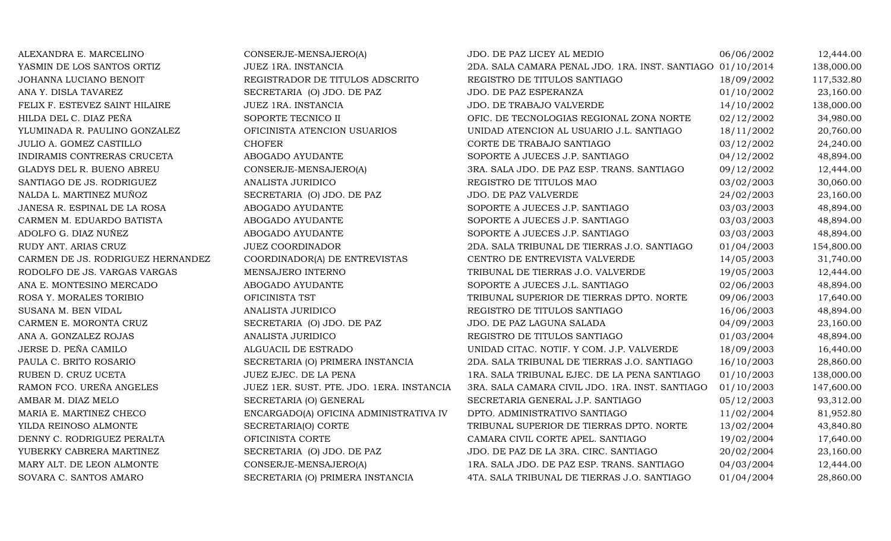| ALEXANDRA E. MARCELINO            | CONSERJE-MENSAJERO(A)                     | JDO. DE PAZ LICEY AL MEDIO                                 | 06/06/2002 | 12,444.00  |
|-----------------------------------|-------------------------------------------|------------------------------------------------------------|------------|------------|
| YASMIN DE LOS SANTOS ORTIZ        | JUEZ 1RA. INSTANCIA                       | 2DA. SALA CAMARA PENAL JDO. 1RA. INST. SANTIAGO 01/10/2014 |            | 138,000.00 |
| JOHANNA LUCIANO BENOIT            | REGISTRADOR DE TITULOS ADSCRITO           | REGISTRO DE TITULOS SANTIAGO                               | 18/09/2002 | 117,532.80 |
| ANA Y. DISLA TAVAREZ              | SECRETARIA (O) JDO. DE PAZ                | JDO. DE PAZ ESPERANZA                                      | 01/10/2002 | 23,160.00  |
| FELIX F. ESTEVEZ SAINT HILAIRE    | JUEZ 1RA. INSTANCIA                       | JDO. DE TRABAJO VALVERDE                                   | 14/10/2002 | 138,000.00 |
| HILDA DEL C. DIAZ PEÑA            | SOPORTE TECNICO II                        | OFIC. DE TECNOLOGIAS REGIONAL ZONA NORTE                   | 02/12/2002 | 34,980.00  |
| YLUMINADA R. PAULINO GONZALEZ     | OFICINISTA ATENCION USUARIOS              | UNIDAD ATENCION AL USUARIO J.L. SANTIAGO                   | 18/11/2002 | 20,760.00  |
| JULIO A. GOMEZ CASTILLO           | <b>CHOFER</b>                             | CORTE DE TRABAJO SANTIAGO                                  | 03/12/2002 | 24,240.00  |
| INDIRAMIS CONTRERAS CRUCETA       | ABOGADO AYUDANTE                          | SOPORTE A JUECES J.P. SANTIAGO                             | 04/12/2002 | 48,894.00  |
| GLADYS DEL R. BUENO ABREU         | CONSERJE-MENSAJERO(A)                     | 3RA. SALA JDO. DE PAZ ESP. TRANS. SANTIAGO                 | 09/12/2002 | 12,444.00  |
| SANTIAGO DE JS. RODRIGUEZ         | ANALISTA JURIDICO                         | REGISTRO DE TITULOS MAO                                    | 03/02/2003 | 30,060.00  |
| NALDA L. MARTINEZ MUÑOZ           | SECRETARIA (O) JDO. DE PAZ                | JDO. DE PAZ VALVERDE                                       | 24/02/2003 | 23,160.00  |
| JANESA R. ESPINAL DE LA ROSA      | ABOGADO AYUDANTE                          | SOPORTE A JUECES J.P. SANTIAGO                             | 03/03/2003 | 48,894.00  |
| CARMEN M. EDUARDO BATISTA         | ABOGADO AYUDANTE                          | SOPORTE A JUECES J.P. SANTIAGO                             | 03/03/2003 | 48,894.00  |
| ADOLFO G. DIAZ NUÑEZ              | ABOGADO AYUDANTE                          | SOPORTE A JUECES J.P. SANTIAGO                             | 03/03/2003 | 48,894.00  |
| RUDY ANT. ARIAS CRUZ              | <b>JUEZ COORDINADOR</b>                   | 2DA. SALA TRIBUNAL DE TIERRAS J.O. SANTIAGO                | 01/04/2003 | 154,800.00 |
| CARMEN DE JS. RODRIGUEZ HERNANDEZ | COORDINADOR(A) DE ENTREVISTAS             | CENTRO DE ENTREVISTA VALVERDE                              | 14/05/2003 | 31,740.00  |
| RODOLFO DE JS. VARGAS VARGAS      | MENSAJERO INTERNO                         | TRIBUNAL DE TIERRAS J.O. VALVERDE                          | 19/05/2003 | 12,444.00  |
| ANA E. MONTESINO MERCADO          | ABOGADO AYUDANTE                          | SOPORTE A JUECES J.L. SANTIAGO                             | 02/06/2003 | 48,894.00  |
| ROSA Y. MORALES TORIBIO           | OFICINISTA TST                            | TRIBUNAL SUPERIOR DE TIERRAS DPTO. NORTE                   | 09/06/2003 | 17,640.00  |
| SUSANA M. BEN VIDAL               | ANALISTA JURIDICO                         | REGISTRO DE TITULOS SANTIAGO                               | 16/06/2003 | 48,894.00  |
| CARMEN E. MORONTA CRUZ            | SECRETARIA (O) JDO. DE PAZ                | JDO. DE PAZ LAGUNA SALADA                                  | 04/09/2003 | 23,160.00  |
| ANA A. GONZALEZ ROJAS             | ANALISTA JURIDICO                         | REGISTRO DE TITULOS SANTIAGO                               | 01/03/2004 | 48,894.00  |
| JERSE D. PEÑA CAMILO              | ALGUACIL DE ESTRADO                       | UNIDAD CITAC. NOTIF. Y COM. J.P. VALVERDE                  | 18/09/2003 | 16,440.00  |
| PAULA C. BRITO ROSARIO            | SECRETARIA (O) PRIMERA INSTANCIA          | 2DA. SALA TRIBUNAL DE TIERRAS J.O. SANTIAGO                | 16/10/2003 | 28,860.00  |
| RUBEN D. CRUZ UCETA               | JUEZ EJEC. DE LA PENA                     | 1RA. SALA TRIBUNAL EJEC. DE LA PENA SANTIAGO               | 01/10/2003 | 138,000.00 |
| RAMON FCO. UREÑA ANGELES          | JUEZ 1ER. SUST. PTE. JDO. 1ERA. INSTANCIA | 3RA. SALA CAMARA CIVIL JDO. 1RA. INST. SANTIAGO            | 01/10/2003 | 147,600.00 |
| AMBAR M. DIAZ MELO                | SECRETARIA (O) GENERAL                    | SECRETARIA GENERAL J.P. SANTIAGO                           | 05/12/2003 | 93,312.00  |
| MARIA E. MARTINEZ CHECO           | ENCARGADO(A) OFICINA ADMINISTRATIVA IV    | DPTO. ADMINISTRATIVO SANTIAGO                              | 11/02/2004 | 81,952.80  |
| YILDA REINOSO ALMONTE             | SECRETARIA(O) CORTE                       | TRIBUNAL SUPERIOR DE TIERRAS DPTO. NORTE                   | 13/02/2004 | 43,840.80  |
| DENNY C. RODRIGUEZ PERALTA        | OFICINISTA CORTE                          | CAMARA CIVIL CORTE APEL. SANTIAGO                          | 19/02/2004 | 17,640.00  |
| YUBERKY CABRERA MARTINEZ          | SECRETARIA (O) JDO. DE PAZ                | JDO. DE PAZ DE LA 3RA. CIRC. SANTIAGO                      | 20/02/2004 | 23,160.00  |
| MARY ALT. DE LEON ALMONTE         | CONSERJE-MENSAJERO(A)                     | 1RA. SALA JDO. DE PAZ ESP. TRANS. SANTIAGO                 | 04/03/2004 | 12,444.00  |
| SOVARA C. SANTOS AMARO            | SECRETARIA (O) PRIMERA INSTANCIA          | 4TA. SALA TRIBUNAL DE TIERRAS J.O. SANTIAGO                | 01/04/2004 | 28,860.00  |
|                                   |                                           |                                                            |            |            |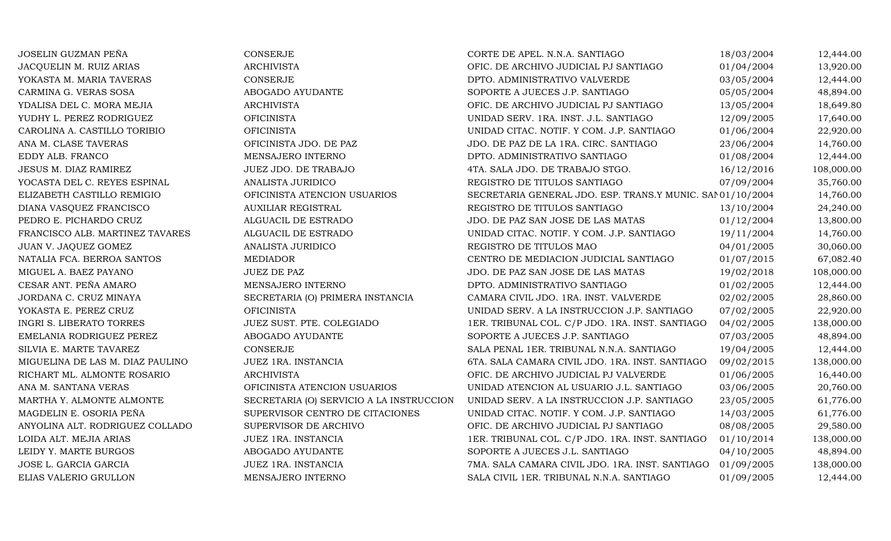| JOSELIN GUZMAN PEÑA              | CONSERJE                                 | CORTE DE APEL. N.N.A. SANTIAGO                             | 18/03/2004 | 12,444.00  |
|----------------------------------|------------------------------------------|------------------------------------------------------------|------------|------------|
| JACQUELIN M. RUIZ ARIAS          | <b>ARCHIVISTA</b>                        | OFIC. DE ARCHIVO JUDICIAL PJ SANTIAGO                      | 01/04/2004 | 13,920.00  |
| YOKASTA M. MARIA TAVERAS         | CONSERJE                                 | DPTO. ADMINISTRATIVO VALVERDE                              | 03/05/2004 | 12,444.00  |
| CARMINA G. VERAS SOSA            | ABOGADO AYUDANTE                         | SOPORTE A JUECES J.P. SANTIAGO                             | 05/05/2004 | 48,894.00  |
| YDALISA DEL C. MORA MEJIA        | <b>ARCHIVISTA</b>                        | OFIC. DE ARCHIVO JUDICIAL PJ SANTIAGO                      | 13/05/2004 | 18,649.80  |
| YUDHY L. PEREZ RODRIGUEZ         | <b>OFICINISTA</b>                        | UNIDAD SERV. 1RA. INST. J.L. SANTIAGO                      | 12/09/2005 | 17,640.00  |
| CAROLINA A. CASTILLO TORIBIO     | <b>OFICINISTA</b>                        | UNIDAD CITAC. NOTIF. Y COM. J.P. SANTIAGO                  | 01/06/2004 | 22,920.00  |
| ANA M. CLASE TAVERAS             | OFICINISTA JDO. DE PAZ                   | JDO. DE PAZ DE LA 1RA. CIRC. SANTIAGO                      | 23/06/2004 | 14,760.00  |
| EDDY ALB. FRANCO                 | MENSAJERO INTERNO                        | DPTO. ADMINISTRATIVO SANTIAGO                              | 01/08/2004 | 12,444.00  |
| JESUS M. DIAZ RAMIREZ            | JUEZ JDO. DE TRABAJO                     | 4TA. SALA JDO. DE TRABAJO STGO.                            | 16/12/2016 | 108,000.00 |
| YOCASTA DEL C. REYES ESPINAL     | ANALISTA JURIDICO                        | REGISTRO DE TITULOS SANTIAGO                               | 07/09/2004 | 35,760.00  |
| ELIZABETH CASTILLO REMIGIO       | OFICINISTA ATENCION USUARIOS             | SECRETARIA GENERAL JDO. ESP. TRANS.Y MUNIC. SAN 01/10/2004 |            | 14,760.00  |
| DIANA VASQUEZ FRANCISCO          | <b>AUXILIAR REGISTRAL</b>                | REGISTRO DE TITULOS SANTIAGO                               | 13/10/2004 | 24,240.00  |
| PEDRO E. PICHARDO CRUZ           | ALGUACIL DE ESTRADO                      | JDO. DE PAZ SAN JOSE DE LAS MATAS                          | 01/12/2004 | 13,800.00  |
| FRANCISCO ALB. MARTINEZ TAVARES  | ALGUACIL DE ESTRADO                      | UNIDAD CITAC. NOTIF. Y COM. J.P. SANTIAGO                  | 19/11/2004 | 14,760.00  |
| JUAN V. JAQUEZ GOMEZ             | ANALISTA JURIDICO                        | REGISTRO DE TITULOS MAO                                    | 04/01/2005 | 30,060.00  |
| NATALIA FCA. BERROA SANTOS       | MEDIADOR                                 | CENTRO DE MEDIACION JUDICIAL SANTIAGO                      | 01/07/2015 | 67,082.40  |
| MIGUEL A. BAEZ PAYANO            | <b>JUEZ DE PAZ</b>                       | JDO. DE PAZ SAN JOSE DE LAS MATAS                          | 19/02/2018 | 108,000.00 |
| CESAR ANT. PEÑA AMARO            | MENSAJERO INTERNO                        | DPTO. ADMINISTRATIVO SANTIAGO                              | 01/02/2005 | 12,444.00  |
| JORDANA C. CRUZ MINAYA           | SECRETARIA (O) PRIMERA INSTANCIA         | CAMARA CIVIL JDO. 1RA. INST. VALVERDE                      | 02/02/2005 | 28,860.00  |
| YOKASTA E. PEREZ CRUZ            | <b>OFICINISTA</b>                        | UNIDAD SERV. A LA INSTRUCCION J.P. SANTIAGO                | 07/02/2005 | 22,920.00  |
| INGRI S. LIBERATO TORRES         | JUEZ SUST. PTE. COLEGIADO                | 1ER. TRIBUNAL COL. C/P JDO. 1RA. INST. SANTIAGO            | 04/02/2005 | 138,000.00 |
| EMELANIA RODRIGUEZ PEREZ         | ABOGADO AYUDANTE                         | SOPORTE A JUECES J.P. SANTIAGO                             | 07/03/2005 | 48,894.00  |
| SILVIA E. MARTE TAVAREZ          | CONSERJE                                 | SALA PENAL 1ER. TRIBUNAL N.N.A. SANTIAGO                   | 19/04/2005 | 12,444.00  |
| MIGUELINA DE LAS M. DIAZ PAULINO | JUEZ 1RA. INSTANCIA                      | 6TA. SALA CAMARA CIVIL JDO. 1RA. INST. SANTIAGO            | 09/02/2015 | 138,000.00 |
| RICHART ML. ALMONTE ROSARIO      | <b>ARCHIVISTA</b>                        | OFIC. DE ARCHIVO JUDICIAL PJ VALVERDE                      | 01/06/2005 | 16,440.00  |
| ANA M. SANTANA VERAS             | OFICINISTA ATENCION USUARIOS             | UNIDAD ATENCION AL USUARIO J.L. SANTIAGO                   | 03/06/2005 | 20,760.00  |
| MARTHA Y. ALMONTE ALMONTE        | SECRETARIA (O) SERVICIO A LA INSTRUCCION | UNIDAD SERV. A LA INSTRUCCION J.P. SANTIAGO                | 23/05/2005 | 61,776.00  |
| MAGDELIN E. OSORIA PEÑA          | SUPERVISOR CENTRO DE CITACIONES          | UNIDAD CITAC. NOTIF. Y COM. J.P. SANTIAGO                  | 14/03/2005 | 61,776.00  |
| ANYOLINA ALT. RODRIGUEZ COLLADO  | SUPERVISOR DE ARCHIVO                    | OFIC. DE ARCHIVO JUDICIAL PJ SANTIAGO                      | 08/08/2005 | 29,580.00  |
| LOIDA ALT. MEJIA ARIAS           | JUEZ 1RA. INSTANCIA                      | 1ER. TRIBUNAL COL. C/P JDO. 1RA. INST. SANTIAGO            | 01/10/2014 | 138,000.00 |
| LEIDY Y. MARTE BURGOS            | ABOGADO AYUDANTE                         | SOPORTE A JUECES J.L. SANTIAGO                             | 04/10/2005 | 48,894.00  |
| JOSE L. GARCIA GARCIA            | JUEZ 1RA. INSTANCIA                      | 7MA. SALA CAMARA CIVIL JDO. 1RA. INST. SANTIAGO            | 01/09/2005 | 138,000.00 |
| ELIAS VALERIO GRULLON            | MENSAJERO INTERNO                        | SALA CIVIL 1ER. TRIBUNAL N.N.A. SANTIAGO                   | 01/09/2005 | 12,444.00  |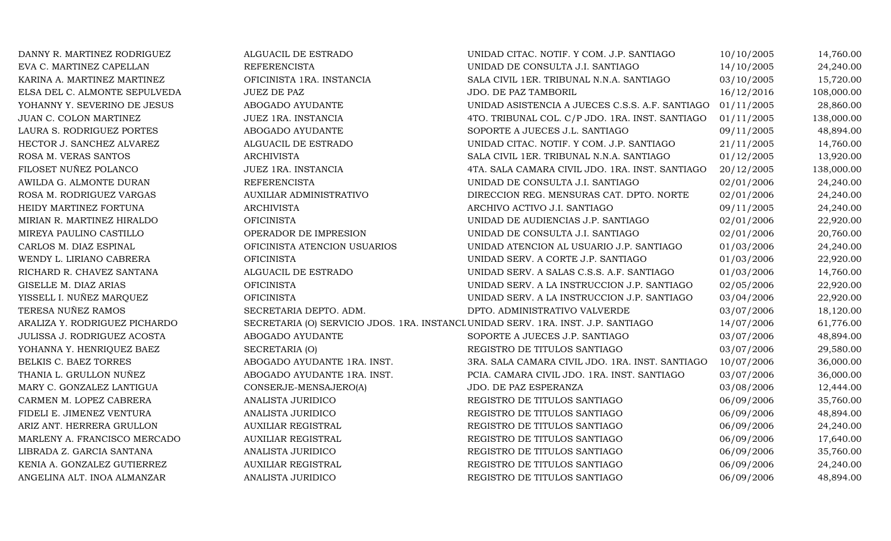| DANNY R. MARTINEZ RODRIGUEZ   | ALGUACIL DE ESTRADO                                                               | UNIDAD CITAC. NOTIF. Y COM. J.P. SANTIAGO       | 10/10/2005 | 14,760.00  |
|-------------------------------|-----------------------------------------------------------------------------------|-------------------------------------------------|------------|------------|
| EVA C. MARTINEZ CAPELLAN      | <b>REFERENCISTA</b>                                                               | UNIDAD DE CONSULTA J.I. SANTIAGO                | 14/10/2005 | 24,240.00  |
| KARINA A. MARTINEZ MARTINEZ   | OFICINISTA 1RA. INSTANCIA                                                         | SALA CIVIL 1ER. TRIBUNAL N.N.A. SANTIAGO        | 03/10/2005 | 15,720.00  |
| ELSA DEL C. ALMONTE SEPULVEDA | <b>JUEZ DE PAZ</b>                                                                | JDO. DE PAZ TAMBORIL                            | 16/12/2016 | 108,000.00 |
| YOHANNY Y. SEVERINO DE JESUS  | ABOGADO AYUDANTE                                                                  | UNIDAD ASISTENCIA A JUECES C.S.S. A.F. SANTIAGO | 01/11/2005 | 28,860.00  |
| JUAN C. COLON MARTINEZ        | JUEZ 1RA. INSTANCIA                                                               | 4TO. TRIBUNAL COL. C/P JDO. 1RA. INST. SANTIAGO | 01/11/2005 | 138,000.00 |
| LAURA S. RODRIGUEZ PORTES     | ABOGADO AYUDANTE                                                                  | SOPORTE A JUECES J.L. SANTIAGO                  | 09/11/2005 | 48,894.00  |
| HECTOR J. SANCHEZ ALVAREZ     | ALGUACIL DE ESTRADO                                                               | UNIDAD CITAC. NOTIF. Y COM. J.P. SANTIAGO       | 21/11/2005 | 14,760.00  |
| ROSA M. VERAS SANTOS          | <b>ARCHIVISTA</b>                                                                 | SALA CIVIL 1ER. TRIBUNAL N.N.A. SANTIAGO        | 01/12/2005 | 13,920.00  |
| FILOSET NUÑEZ POLANCO         | JUEZ 1RA. INSTANCIA                                                               | 4TA. SALA CAMARA CIVIL JDO. 1RA. INST. SANTIAGO | 20/12/2005 | 138,000.00 |
| AWILDA G. ALMONTE DURAN       | <b>REFERENCISTA</b>                                                               | UNIDAD DE CONSULTA J.I. SANTIAGO                | 02/01/2006 | 24,240.00  |
| ROSA M. RODRIGUEZ VARGAS      | AUXILIAR ADMINISTRATIVO                                                           | DIRECCION REG. MENSURAS CAT. DPTO. NORTE        | 02/01/2006 | 24,240.00  |
| HEIDY MARTINEZ FORTUNA        | <b>ARCHIVISTA</b>                                                                 | ARCHIVO ACTIVO J.I. SANTIAGO                    | 09/11/2005 | 24,240.00  |
| MIRIAN R. MARTINEZ HIRALDO    | <b>OFICINISTA</b>                                                                 | UNIDAD DE AUDIENCIAS J.P. SANTIAGO              | 02/01/2006 | 22,920.00  |
| MIREYA PAULINO CASTILLO       | OPERADOR DE IMPRESION                                                             | UNIDAD DE CONSULTA J.I. SANTIAGO                | 02/01/2006 | 20,760.00  |
| CARLOS M. DIAZ ESPINAL        | OFICINISTA ATENCION USUARIOS                                                      | UNIDAD ATENCION AL USUARIO J.P. SANTIAGO        | 01/03/2006 | 24,240.00  |
| WENDY L. LIRIANO CABRERA      | <b>OFICINISTA</b>                                                                 | UNIDAD SERV. A CORTE J.P. SANTIAGO              | 01/03/2006 | 22,920.00  |
| RICHARD R. CHAVEZ SANTANA     | ALGUACIL DE ESTRADO                                                               | UNIDAD SERV. A SALAS C.S.S. A.F. SANTIAGO       | 01/03/2006 | 14,760.00  |
| GISELLE M. DIAZ ARIAS         | <b>OFICINISTA</b>                                                                 | UNIDAD SERV. A LA INSTRUCCION J.P. SANTIAGO     | 02/05/2006 | 22,920.00  |
| YISSELL I. NUÑEZ MARQUEZ      | <b>OFICINISTA</b>                                                                 | UNIDAD SERV. A LA INSTRUCCION J.P. SANTIAGO     | 03/04/2006 | 22,920.00  |
| TERESA NUÑEZ RAMOS            | SECRETARIA DEPTO. ADM.                                                            | DPTO. ADMINISTRATIVO VALVERDE                   | 03/07/2006 | 18,120.00  |
| ARALIZA Y. RODRIGUEZ PICHARDO | SECRETARIA (O) SERVICIO JDOS. 1RA. INSTANCL UNIDAD SERV. 1RA. INST. J.P. SANTIAGO |                                                 | 14/07/2006 | 61,776.00  |
| JULISSA J. RODRIGUEZ ACOSTA   | ABOGADO AYUDANTE                                                                  | SOPORTE A JUECES J.P. SANTIAGO                  | 03/07/2006 | 48,894.00  |
| YOHANNA Y. HENRIQUEZ BAEZ     | SECRETARIA (O)                                                                    | REGISTRO DE TITULOS SANTIAGO                    | 03/07/2006 | 29,580.00  |
| BELKIS C. BAEZ TORRES         | ABOGADO AYUDANTE 1RA. INST.                                                       | 3RA. SALA CAMARA CIVIL JDO. 1RA. INST. SANTIAGO | 10/07/2006 | 36,000.00  |
| THANIA L. GRULLON NUÑEZ       | ABOGADO AYUDANTE 1RA. INST.                                                       | PCIA. CAMARA CIVIL JDO. 1RA. INST. SANTIAGO     | 03/07/2006 | 36,000.00  |
| MARY C. GONZALEZ LANTIGUA     | CONSERJE-MENSAJERO(A)                                                             | JDO. DE PAZ ESPERANZA                           | 03/08/2006 | 12,444.00  |
| CARMEN M. LOPEZ CABRERA       | ANALISTA JURIDICO                                                                 | REGISTRO DE TITULOS SANTIAGO                    | 06/09/2006 | 35,760.00  |
| FIDELI E. JIMENEZ VENTURA     | ANALISTA JURIDICO                                                                 | REGISTRO DE TITULOS SANTIAGO                    | 06/09/2006 | 48,894.00  |
| ARIZ ANT. HERRERA GRULLON     | <b>AUXILIAR REGISTRAL</b>                                                         | REGISTRO DE TITULOS SANTIAGO                    | 06/09/2006 | 24,240.00  |
| MARLENY A. FRANCISCO MERCADO  | <b>AUXILIAR REGISTRAL</b>                                                         | REGISTRO DE TITULOS SANTIAGO                    | 06/09/2006 | 17,640.00  |
| LIBRADA Z. GARCIA SANTANA     | ANALISTA JURIDICO                                                                 | REGISTRO DE TITULOS SANTIAGO                    | 06/09/2006 | 35,760.00  |
| KENIA A. GONZALEZ GUTIERREZ   | <b>AUXILIAR REGISTRAL</b>                                                         | REGISTRO DE TITULOS SANTIAGO                    | 06/09/2006 | 24,240.00  |
| ANGELINA ALT. INOA ALMANZAR   | ANALISTA JURIDICO                                                                 | REGISTRO DE TITULOS SANTIAGO                    | 06/09/2006 | 48,894.00  |
|                               |                                                                                   |                                                 |            |            |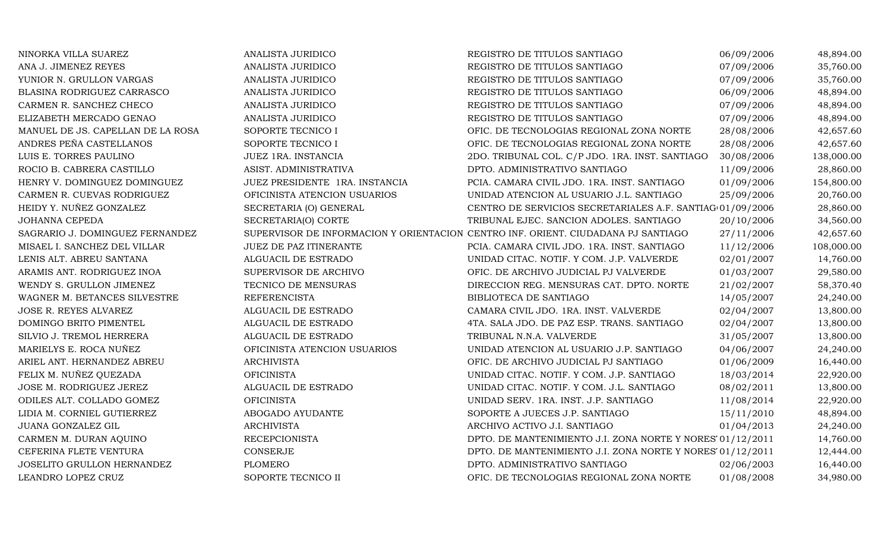| NINORKA VILLA SUAREZ              | ANALISTA JURIDICO              | REGISTRO DE TITULOS SANTIAGO                                                      | 06/09/2006 | 48,894.00  |
|-----------------------------------|--------------------------------|-----------------------------------------------------------------------------------|------------|------------|
| ANA J. JIMENEZ REYES              | ANALISTA JURIDICO              | REGISTRO DE TITULOS SANTIAGO                                                      | 07/09/2006 | 35,760.00  |
| YUNIOR N. GRULLON VARGAS          | ANALISTA JURIDICO              | REGISTRO DE TITULOS SANTIAGO                                                      | 07/09/2006 | 35,760.00  |
| BLASINA RODRIGUEZ CARRASCO        | ANALISTA JURIDICO              | REGISTRO DE TITULOS SANTIAGO                                                      | 06/09/2006 | 48,894.00  |
| CARMEN R. SANCHEZ CHECO           | ANALISTA JURIDICO              | REGISTRO DE TITULOS SANTIAGO                                                      | 07/09/2006 | 48,894.00  |
| ELIZABETH MERCADO GENAO           | ANALISTA JURIDICO              | REGISTRO DE TITULOS SANTIAGO                                                      | 07/09/2006 | 48,894.00  |
| MANUEL DE JS. CAPELLAN DE LA ROSA | SOPORTE TECNICO I              | OFIC. DE TECNOLOGIAS REGIONAL ZONA NORTE                                          | 28/08/2006 | 42,657.60  |
| ANDRES PEÑA CASTELLANOS           | SOPORTE TECNICO I              | OFIC. DE TECNOLOGIAS REGIONAL ZONA NORTE                                          | 28/08/2006 | 42,657.60  |
| LUIS E. TORRES PAULINO            | JUEZ 1RA. INSTANCIA            | 2DO. TRIBUNAL COL. C/P JDO. 1RA. INST. SANTIAGO                                   | 30/08/2006 | 138,000.00 |
| ROCIO B. CABRERA CASTILLO         | ASIST. ADMINISTRATIVA          | DPTO. ADMINISTRATIVO SANTIAGO                                                     | 11/09/2006 | 28,860.00  |
| HENRY V. DOMINGUEZ DOMINGUEZ      | JUEZ PRESIDENTE 1RA. INSTANCIA | PCIA. CAMARA CIVIL JDO. 1RA. INST. SANTIAGO                                       | 01/09/2006 | 154,800.00 |
| CARMEN R. CUEVAS RODRIGUEZ        | OFICINISTA ATENCION USUARIOS   | UNIDAD ATENCION AL USUARIO J.L. SANTIAGO                                          | 25/09/2006 | 20,760.00  |
| HEIDY Y. NUÑEZ GONZALEZ           | SECRETARIA (O) GENERAL         | CENTRO DE SERVICIOS SECRETARIALES A.F. SANTIAG(01/09/2006                         |            | 28,860.00  |
| <b>JOHANNA CEPEDA</b>             | SECRETARIA(O) CORTE            | TRIBUNAL EJEC. SANCION ADOLES. SANTIAGO                                           | 20/10/2006 | 34,560.00  |
| SAGRARIO J. DOMINGUEZ FERNANDEZ   |                                | SUPERVISOR DE INFORMACION Y ORIENTACION CENTRO INF. ORIENT. CIUDADANA PJ SANTIAGO | 27/11/2006 | 42,657.60  |
| MISAEL I. SANCHEZ DEL VILLAR      | JUEZ DE PAZ ITINERANTE         | PCIA. CAMARA CIVIL JDO. 1RA. INST. SANTIAGO                                       | 11/12/2006 | 108,000.00 |
| LENIS ALT. ABREU SANTANA          | ALGUACIL DE ESTRADO            | UNIDAD CITAC. NOTIF. Y COM. J.P. VALVERDE                                         | 02/01/2007 | 14,760.00  |
| ARAMIS ANT. RODRIGUEZ INOA        | SUPERVISOR DE ARCHIVO          | OFIC. DE ARCHIVO JUDICIAL PJ VALVERDE                                             | 01/03/2007 | 29,580.00  |
| WENDY S. GRULLON JIMENEZ          | TECNICO DE MENSURAS            | DIRECCION REG. MENSURAS CAT. DPTO. NORTE                                          | 21/02/2007 | 58,370.40  |
| WAGNER M. BETANCES SILVESTRE      | <b>REFERENCISTA</b>            | BIBLIOTECA DE SANTIAGO                                                            | 14/05/2007 | 24,240.00  |
| <b>JOSE R. REYES ALVAREZ</b>      | ALGUACIL DE ESTRADO            | CAMARA CIVIL JDO. 1RA. INST. VALVERDE                                             | 02/04/2007 | 13,800.00  |
| DOMINGO BRITO PIMENTEL            | ALGUACIL DE ESTRADO            | 4TA. SALA JDO. DE PAZ ESP. TRANS. SANTIAGO                                        | 02/04/2007 | 13,800.00  |
| SILVIO J. TREMOL HERRERA          | ALGUACIL DE ESTRADO            | TRIBUNAL N.N.A. VALVERDE                                                          | 31/05/2007 | 13,800.00  |
| MARIELYS E. ROCA NUÑEZ            | OFICINISTA ATENCION USUARIOS   | UNIDAD ATENCION AL USUARIO J.P. SANTIAGO                                          | 04/06/2007 | 24,240.00  |
| ARIEL ANT. HERNANDEZ ABREU        | <b>ARCHIVISTA</b>              | OFIC. DE ARCHIVO JUDICIAL PJ SANTIAGO                                             | 01/06/2009 | 16,440.00  |
| FELIX M. NUÑEZ QUEZADA            | <b>OFICINISTA</b>              | UNIDAD CITAC. NOTIF. Y COM. J.P. SANTIAGO                                         | 18/03/2014 | 22,920.00  |
| JOSE M. RODRIGUEZ JEREZ           | ALGUACIL DE ESTRADO            | UNIDAD CITAC. NOTIF. Y COM. J.L. SANTIAGO                                         | 08/02/2011 | 13,800.00  |
| ODILES ALT. COLLADO GOMEZ         | <b>OFICINISTA</b>              | UNIDAD SERV. 1RA. INST. J.P. SANTIAGO                                             | 11/08/2014 | 22,920.00  |
| LIDIA M. CORNIEL GUTIERREZ        | ABOGADO AYUDANTE               | SOPORTE A JUECES J.P. SANTIAGO                                                    | 15/11/2010 | 48,894.00  |
| JUANA GONZALEZ GIL                | <b>ARCHIVISTA</b>              | ARCHIVO ACTIVO J.I. SANTIAGO                                                      | 01/04/2013 | 24,240.00  |
| CARMEN M. DURAN AQUINO            | <b>RECEPCIONISTA</b>           | DPTO. DE MANTENIMIENTO J.I. ZONA NORTE Y NORES' 01/12/2011                        |            | 14,760.00  |
| CEFERINA FLETE VENTURA            | <b>CONSERJE</b>                | DPTO. DE MANTENIMIENTO J.I. ZONA NORTE Y NORES' 01/12/2011                        |            | 12,444.00  |
| JOSELITO GRULLON HERNANDEZ        | <b>PLOMERO</b>                 | DPTO. ADMINISTRATIVO SANTIAGO                                                     | 02/06/2003 | 16,440.00  |
| LEANDRO LOPEZ CRUZ                | SOPORTE TECNICO II             | OFIC. DE TECNOLOGIAS REGIONAL ZONA NORTE                                          | 01/08/2008 | 34,980.00  |
|                                   |                                |                                                                                   |            |            |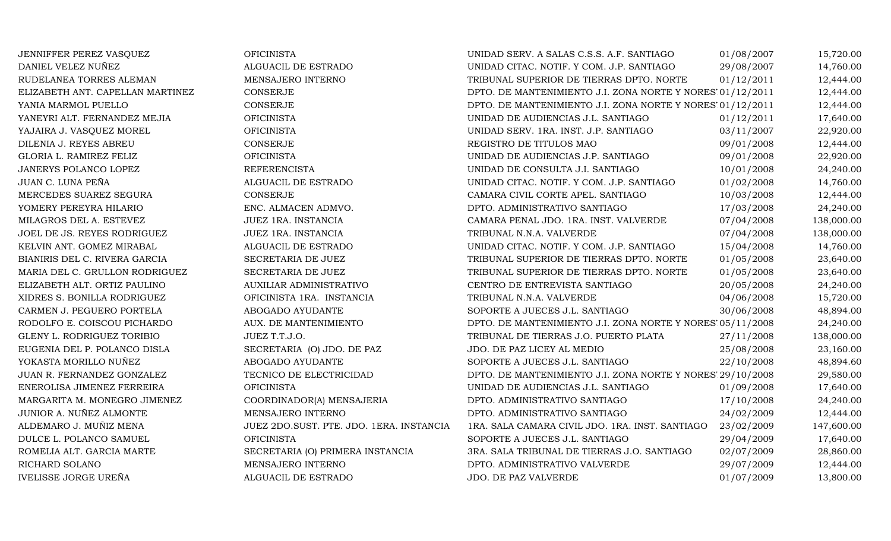JENNIFFER PEREZ VASQUEZ OFICINISTA UNIDAD SERV. A SALAS C.S.S. A.F. SANTIAGO 01/08/2007 15,720.00 DANIEL VELEZ NUÑEZ ALGUACIL DE ESTRADO UNIDAD CITAC. NOTIF. Y COM. J.P. SANTIAGO 29/08/2007 14,760.00 RUDELANEA TORRES ALEMAN MENSAJERO INTERNO TRIBUNAL SUPERIOR DE TIERRAS DPTO. NORTE 01/12/2011 12,444.00<br>ELIZABETH ANT. CAPELLAN MARTINEZ CONSERJE CONSERIE DPTO. DE MANTENIMIENTO J.I. ZONA NORTE Y NORES 01/12/2011 12,444.00 ELIZABETH ANT. CAPELLAN MARTINEZ CONSERJE CONSERJE DPTO. DE MANTENIMIENTO J.I. ZONA NORTE Y NORESTO1/12/2011 12,444.00<br>2,444.00 DPTO. DE MANTENIMIENTO J.I. ZONA NORTE Y NORESTO1/12/2011 YANIA MARMOL PUELLO CONSERJE DPTO. DE MANTENIMIENTO J.I. ZONA NORTE Y NORESTE01/12/2011 12,444.00 YANEYRI ALT. FERNANDEZ MEJIA OFICINISTA UNIDAD DE AUDIENCIAS J.L. SANTIAGO 01/12/2011 17,640.00 YAJAIRA J. VASQUEZ MOREL OFICINISTA UNIDAD SERV. 1RA. INST. J.P. SANTIAGO 03/11/2007 22,920.00 DILENIA J. REYES ABREU CONSERJE CONSERIE REGISTRO DE TITULOS MAO 09/01/2008 12,444.00 GLORIA L. RAMIREZ FELIZ OFICINISTA UNIDAD DE AUDIENCIAS J.P. SANTIAGO 09/01/2008 22,920.00 JANERYS POLANCO LOPEZ REFERENCISTA UNIDAD DE CONSULTA J.I. SANTIAGO 10/01/2008 24,240.00 JUAN C. LUNA PEÑA ALGUACIL DE ESTRADO UNIDAD CITAC. NOTIF. Y COM. J.P. SANTIAGO 01/02/2008 14,760.00 MERCEDES SUAREZ SEGURA CONSERJE CAMARA CIVIL CORTE APEL. SANTIAGO 10/03/2008 12,444.00 YOMERY PEREYRA HILARIO ENC. ALMACEN ADMVO. DPTO. ADMINISTRATIVO SANTIAGO 17/03/2008 24,240.00 MILAGROS DEL A. ESTEVEZ JUEZ 1RA. INSTANCIA CAMARA PENAL JDO. 1RA. INST. VALVERDE 07/04/2008 138,000.00 JOEL DE JS. REYES RODRIGUEZ JUEZ 1RA. INSTANCIA TRIBUNAL N.N.A. VALVERDE 07/04/2008 138,000.00 KELVIN ANT. GOMEZ MIRABAL ALGUACIL DE ESTRADO UNIDAD CITAC. NOTIF. Y COM. J.P. SANTIAGO 15/04/2008 14,760.00 BIANIRIS DEL C. RIVERA GARCIA SECRETARIA DE JUEZ TRIBUNAL SUPERIOR DE TIERRAS DPTO. NORTE 01/05/2008 23,640.00 MARIA DEL C. GRULLON RODRIGUEZ SECRETARIA DE JUEZ TRIBUNAL SUPERIOR DE TIERRAS DPTO. NORTE 01/05/2008 23,640.00 ELIZABETH ALT. ORTIZ PAULINO AUXILIAR ADMINISTRATIVO CENTRO DE ENTREVISTA SANTIAGO 20/05/2008 24,240.00 XIDRES S. BONILLA RODRIGUEZ OFICINISTA 1RA. INSTANCIA TRIBUNAL N.N.A. VALVERDE 04/06/2008 15,720.00 CARMEN J. PEGUERO PORTELA ABOGADO AYUDANTE SOPORTE A JUECES J.L. SANTIAGO 30/06/2008 48,894.00 RODOLFO E. COISCOU PICHARDO AUX. DE MANTENIMIENTODPTO. DE MANTENIMIENTO J.I. ZONA NORTE Y NORES' 05/11/2008  $24,240.00$ <br>TRIBUNAL DE TIERRAS J.O. PUERTO PLATA  $27/11/2008$  138,000.00 GLENY L. RODRIGUEZ TORIBIO JUEZ T.T.J.O. TRIBUNAL DE TIERRAS J.O. PUERTO PLATA 27/11/2008 138,000.00 EUGENIA DEL P. POLANCO DISLA SECRETARIA (O) JDO. DE PAZ JDO. DE PAZ LICEY AL MEDIO 25/08/2008 23,160.00 YOKASTA MORILLO NUÑEZ ABOGADO AYUDANTE SOPORTE A JUECES J.L. SANTIAGO 22/10/2008 48,894.60<br>JUAN R. FERNANDEZ GONZALEZ TECNICO DE ELECTRICIDAD DPTO. DE MANTENIMIENTO J.I. ZONA NORTE Y NORES 29/10/2008 29,580.00 JUAN R. FERNANDEZ GONZALEZ TECNICO DE ELECTRICIDADDPTO. DE MANTENIMIENTO J.I. ZONA NORTE Y NORES' 29/10/2008 29,580.00<br>UNIDAD DE AUDIENCIAS J.L. SANTIAGO 01/09/2008 17.640.00 ENEROLISA JIMENEZ FERREIRA OFICINISTA UNIDAD DE AUDIENCIAS J.L. SANTIAGO 01/09/2008 17,640.00 MARGARITA M. MONEGRO JIMENEZ COORDINADOR(A) MENSAJERIA DPTO. ADMINISTRATIVO SANTIAGO 17/10/2008 24,240.00 JUNIOR A. NUÑEZ ALMONTE MENSAJERO INTERNO DPTO. ADMINISTRATIVO SANTIAGO 24/02/2009 12,444.00 ALDEMARO J. MUÑIZ MENA JUEZ 2DO.SUST. PTE. JDO. 1ERA. INSTANCIA 1RA. SALA CAMARA CIVIL JDO. 1RA. INST. SANTIAGO 23/02/2009 147,600.00<br>17,640.00 17,640.00 17,640.00 17,640.00 DULCE L. POLANCO SAMUEL CHICINISTA OFICINISTA SOPORTE A JUECES J.L. SANTIAGO 29/04/2009 17,640.00 ROMELIA ALT. GARCIA MARTE SECRETARIA (O) PRIMERA INSTANCIA 3RA. SALA TRIBUNAL DE TIERRAS J.O. SANTIAGO 02/07/2009 28,860.00<br>RICHARD SOLANO 12,444.00 12,444.00 RICHARD SOLANO MENSAJERO INTERNO DPTO. ADMINISTRATIVO VALVERDE 29/07/2009 12,444.00 IVELISSE JORGE UREÑA ALGUACIL DE ESTRADO JDO. DE PAZ VALVERDE 01/07/2009 13,800.00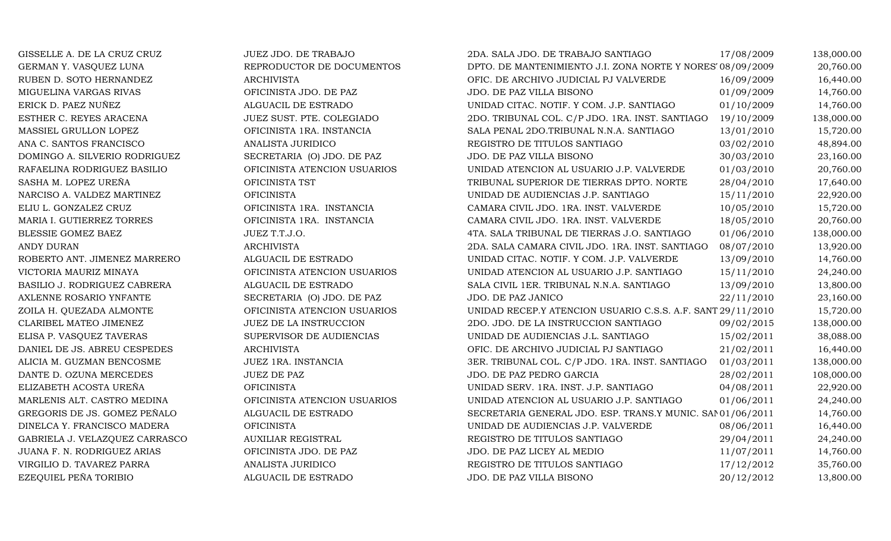| GISSELLE A. DE LA CRUZ CRUZ         | JUEZ JDO. DE TRABAJO         | 2DA. SALA JDO. DE TRABAJO SANTIAGO                          | 17/08/2009 | 138,000.00 |
|-------------------------------------|------------------------------|-------------------------------------------------------------|------------|------------|
| GERMAN Y. VASQUEZ LUNA              | REPRODUCTOR DE DOCUMENTOS    | DPTO. DE MANTENIMIENTO J.I. ZONA NORTE Y NORES 08/09/2009   |            | 20,760.00  |
| RUBEN D. SOTO HERNANDEZ             | <b>ARCHIVISTA</b>            | OFIC. DE ARCHIVO JUDICIAL PJ VALVERDE                       | 16/09/2009 | 16,440.00  |
| MIGUELINA VARGAS RIVAS              | OFICINISTA JDO. DE PAZ       | JDO. DE PAZ VILLA BISONO                                    | 01/09/2009 | 14,760.00  |
| ERICK D. PAEZ NUÑEZ                 | ALGUACIL DE ESTRADO          | UNIDAD CITAC. NOTIF. Y COM. J.P. SANTIAGO                   | 01/10/2009 | 14,760.00  |
| ESTHER C. REYES ARACENA             | JUEZ SUST. PTE. COLEGIADO    | 2DO. TRIBUNAL COL. C/P JDO. 1RA. INST. SANTIAGO             | 19/10/2009 | 138,000.00 |
| MASSIEL GRULLON LOPEZ               | OFICINISTA 1RA. INSTANCIA    | SALA PENAL 2DO.TRIBUNAL N.N.A. SANTIAGO                     | 13/01/2010 | 15,720.00  |
| ANA C. SANTOS FRANCISCO             | ANALISTA JURIDICO            | REGISTRO DE TITULOS SANTIAGO                                | 03/02/2010 | 48,894.00  |
| DOMINGO A. SILVERIO RODRIGUEZ       | SECRETARIA (O) JDO. DE PAZ   | JDO. DE PAZ VILLA BISONO                                    | 30/03/2010 | 23,160.00  |
| RAFAELINA RODRIGUEZ BASILIO         | OFICINISTA ATENCION USUARIOS | UNIDAD ATENCION AL USUARIO J.P. VALVERDE                    | 01/03/2010 | 20,760.00  |
| SASHA M. LOPEZ UREÑA                | OFICINISTA TST               | TRIBUNAL SUPERIOR DE TIERRAS DPTO. NORTE                    | 28/04/2010 | 17,640.00  |
| NARCISO A. VALDEZ MARTINEZ          | <b>OFICINISTA</b>            | UNIDAD DE AUDIENCIAS J.P. SANTIAGO                          | 15/11/2010 | 22,920.00  |
| ELIU L. GONZALEZ CRUZ               | OFICINISTA 1RA. INSTANCIA    | CAMARA CIVIL JDO. 1RA. INST. VALVERDE                       | 10/05/2010 | 15,720.00  |
| MARIA I. GUTIERREZ TORRES           | OFICINISTA 1RA. INSTANCIA    | CAMARA CIVIL JDO. 1RA. INST. VALVERDE                       | 18/05/2010 | 20,760.00  |
| <b>BLESSIE GOMEZ BAEZ</b>           | JUEZ T.T.J.O.                | 4TA. SALA TRIBUNAL DE TIERRAS J.O. SANTIAGO                 | 01/06/2010 | 138,000.00 |
| ANDY DURAN                          | <b>ARCHIVISTA</b>            | 2DA. SALA CAMARA CIVIL JDO. 1RA. INST. SANTIAGO             | 08/07/2010 | 13,920.00  |
| ROBERTO ANT. JIMENEZ MARRERO        | ALGUACIL DE ESTRADO          | UNIDAD CITAC. NOTIF. Y COM. J.P. VALVERDE                   | 13/09/2010 | 14,760.00  |
| VICTORIA MAURIZ MINAYA              | OFICINISTA ATENCION USUARIOS | UNIDAD ATENCION AL USUARIO J.P. SANTIAGO                    | 15/11/2010 | 24,240.00  |
| <b>BASILIO J. RODRIGUEZ CABRERA</b> | ALGUACIL DE ESTRADO          | SALA CIVIL 1ER. TRIBUNAL N.N.A. SANTIAGO                    | 13/09/2010 | 13,800.00  |
| AXLENNE ROSARIO YNFANTE             | SECRETARIA (O) JDO. DE PAZ   | JDO. DE PAZ JANICO                                          | 22/11/2010 | 23,160.00  |
| ZOILA H. QUEZADA ALMONTE            | OFICINISTA ATENCION USUARIOS | UNIDAD RECEP.Y ATENCION USUARIO C.S.S. A.F. SANT 29/11/2010 |            | 15,720.00  |
| CLARIBEL MATEO JIMENEZ              | JUEZ DE LA INSTRUCCION       | 2DO. JDO. DE LA INSTRUCCION SANTIAGO                        | 09/02/2015 | 138,000.00 |
| ELISA P. VASQUEZ TAVERAS            | SUPERVISOR DE AUDIENCIAS     | UNIDAD DE AUDIENCIAS J.L. SANTIAGO                          | 15/02/2011 | 38,088.00  |
| DANIEL DE JS. ABREU CESPEDES        | <b>ARCHIVISTA</b>            | OFIC. DE ARCHIVO JUDICIAL PJ SANTIAGO                       | 21/02/2011 | 16,440.00  |
| ALICIA M. GUZMAN BENCOSME           | JUEZ 1RA. INSTANCIA          | 3ER. TRIBUNAL COL. C/P JDO. 1RA. INST. SANTIAGO             | 01/03/2011 | 138,000.00 |
| DANTE D. OZUNA MERCEDES             | <b>JUEZ DE PAZ</b>           | JDO. DE PAZ PEDRO GARCIA                                    | 28/02/2011 | 108,000.00 |
| ELIZABETH ACOSTA UREÑA              | <b>OFICINISTA</b>            | UNIDAD SERV. 1RA. INST. J.P. SANTIAGO                       | 04/08/2011 | 22,920.00  |
| MARLENIS ALT. CASTRO MEDINA         | OFICINISTA ATENCION USUARIOS | UNIDAD ATENCION AL USUARIO J.P. SANTIAGO                    | 01/06/2011 | 24,240.00  |
| GREGORIS DE JS. GOMEZ PEÑALO        | ALGUACIL DE ESTRADO          | SECRETARIA GENERAL JDO. ESP. TRANS.Y MUNIC. SANO1/06/2011   |            | 14,760.00  |
| DINELCA Y. FRANCISCO MADERA         | <b>OFICINISTA</b>            | UNIDAD DE AUDIENCIAS J.P. VALVERDE                          | 08/06/2011 | 16,440.00  |
| GABRIELA J. VELAZQUEZ CARRASCO      | <b>AUXILIAR REGISTRAL</b>    | REGISTRO DE TITULOS SANTIAGO                                | 29/04/2011 | 24,240.00  |
| JUANA F. N. RODRIGUEZ ARIAS         | OFICINISTA JDO. DE PAZ       | JDO. DE PAZ LICEY AL MEDIO                                  | 11/07/2011 | 14,760.00  |
| VIRGILIO D. TAVAREZ PARRA           | ANALISTA JURIDICO            | REGISTRO DE TITULOS SANTIAGO                                | 17/12/2012 | 35,760.00  |
| EZEQUIEL PEÑA TORIBIO               | ALGUACIL DE ESTRADO          | JDO. DE PAZ VILLA BISONO                                    | 20/12/2012 | 13,800.00  |
|                                     |                              |                                                             |            |            |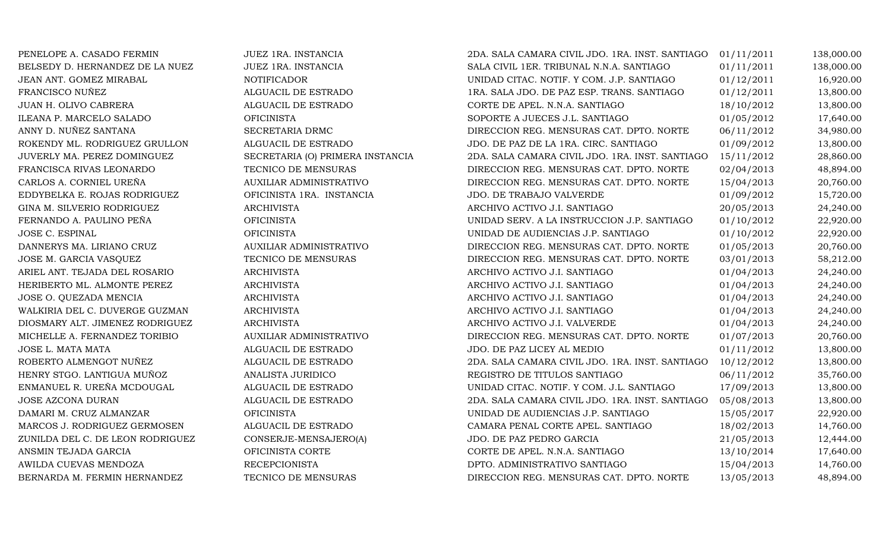| PENELOPE A. CASADO FERMIN        | JUEZ 1RA. INSTANCIA              | 2DA. SALA CAMARA CIVIL JDO. 1RA. INST. SANTIAGO | 01/11/2011 | 138,000.00 |
|----------------------------------|----------------------------------|-------------------------------------------------|------------|------------|
| BELSEDY D. HERNANDEZ DE LA NUEZ  | JUEZ 1RA. INSTANCIA              | SALA CIVIL 1ER. TRIBUNAL N.N.A. SANTIAGO        | 01/11/2011 | 138,000.00 |
| JEAN ANT. GOMEZ MIRABAL          | <b>NOTIFICADOR</b>               | UNIDAD CITAC. NOTIF. Y COM. J.P. SANTIAGO       | 01/12/2011 | 16,920.00  |
| FRANCISCO NUÑEZ                  | ALGUACIL DE ESTRADO              | 1RA. SALA JDO. DE PAZ ESP. TRANS. SANTIAGO      | 01/12/2011 | 13,800.00  |
| JUAN H. OLIVO CABRERA            | ALGUACIL DE ESTRADO              | CORTE DE APEL. N.N.A. SANTIAGO                  | 18/10/2012 | 13,800.00  |
| ILEANA P. MARCELO SALADO         | <b>OFICINISTA</b>                | SOPORTE A JUECES J.L. SANTIAGO                  | 01/05/2012 | 17,640.00  |
| ANNY D. NUÑEZ SANTANA            | SECRETARIA DRMC                  | DIRECCION REG. MENSURAS CAT. DPTO. NORTE        | 06/11/2012 | 34,980.00  |
| ROKENDY ML. RODRIGUEZ GRULLON    | ALGUACIL DE ESTRADO              | JDO. DE PAZ DE LA 1RA. CIRC. SANTIAGO           | 01/09/2012 | 13,800.00  |
| JUVERLY MA. PEREZ DOMINGUEZ      | SECRETARIA (O) PRIMERA INSTANCIA | 2DA. SALA CAMARA CIVIL JDO. 1RA. INST. SANTIAGO | 15/11/2012 | 28,860.00  |
| FRANCISCA RIVAS LEONARDO         | TECNICO DE MENSURAS              | DIRECCION REG. MENSURAS CAT. DPTO. NORTE        | 02/04/2013 | 48,894.00  |
| CARLOS A. CORNIEL UREÑA          | AUXILIAR ADMINISTRATIVO          | DIRECCION REG. MENSURAS CAT. DPTO. NORTE        | 15/04/2013 | 20,760.00  |
| EDDYBELKA E. ROJAS RODRIGUEZ     | OFICINISTA 1RA. INSTANCIA        | JDO. DE TRABAJO VALVERDE                        | 01/09/2012 | 15,720.00  |
| GINA M. SILVERIO RODRIGUEZ       | <b>ARCHIVISTA</b>                | ARCHIVO ACTIVO J.I. SANTIAGO                    | 20/05/2013 | 24,240.00  |
| FERNANDO A. PAULINO PEÑA         | <b>OFICINISTA</b>                | UNIDAD SERV. A LA INSTRUCCION J.P. SANTIAGO     | 01/10/2012 | 22,920.00  |
| JOSE C. ESPINAL                  | <b>OFICINISTA</b>                | UNIDAD DE AUDIENCIAS J.P. SANTIAGO              | 01/10/2012 | 22,920.00  |
| DANNERYS MA. LIRIANO CRUZ        | AUXILIAR ADMINISTRATIVO          | DIRECCION REG. MENSURAS CAT. DPTO. NORTE        | 01/05/2013 | 20,760.00  |
| JOSE M. GARCIA VASQUEZ           | TECNICO DE MENSURAS              | DIRECCION REG. MENSURAS CAT. DPTO. NORTE        | 03/01/2013 | 58,212.00  |
| ARIEL ANT. TEJADA DEL ROSARIO    | <b>ARCHIVISTA</b>                | ARCHIVO ACTIVO J.I. SANTIAGO                    | 01/04/2013 | 24,240.00  |
| HERIBERTO ML. ALMONTE PEREZ      | <b>ARCHIVISTA</b>                | ARCHIVO ACTIVO J.I. SANTIAGO                    | 01/04/2013 | 24,240.00  |
| JOSE O. QUEZADA MENCIA           | <b>ARCHIVISTA</b>                | ARCHIVO ACTIVO J.I. SANTIAGO                    | 01/04/2013 | 24,240.00  |
| WALKIRIA DEL C. DUVERGE GUZMAN   | <b>ARCHIVISTA</b>                | ARCHIVO ACTIVO J.I. SANTIAGO                    | 01/04/2013 | 24,240.00  |
| DIOSMARY ALT. JIMENEZ RODRIGUEZ  | <b>ARCHIVISTA</b>                | ARCHIVO ACTIVO J.I. VALVERDE                    | 01/04/2013 | 24,240.00  |
| MICHELLE A. FERNANDEZ TORIBIO    | AUXILIAR ADMINISTRATIVO          | DIRECCION REG. MENSURAS CAT. DPTO. NORTE        | 01/07/2013 | 20,760.00  |
| JOSE L. MATA MATA                | ALGUACIL DE ESTRADO              | JDO. DE PAZ LICEY AL MEDIO                      | 01/11/2012 | 13,800.00  |
| ROBERTO ALMENGOT NUÑEZ           | ALGUACIL DE ESTRADO              | 2DA. SALA CAMARA CIVIL JDO. 1RA. INST. SANTIAGO | 10/12/2012 | 13,800.00  |
| HENRY STGO. LANTIGUA MUÑOZ       | ANALISTA JURIDICO                | REGISTRO DE TITULOS SANTIAGO                    | 06/11/2012 | 35,760.00  |
| ENMANUEL R. UREÑA MCDOUGAL       | ALGUACIL DE ESTRADO              | UNIDAD CITAC. NOTIF. Y COM. J.L. SANTIAGO       | 17/09/2013 | 13,800.00  |
| JOSE AZCONA DURAN                | ALGUACIL DE ESTRADO              | 2DA. SALA CAMARA CIVIL JDO. 1RA. INST. SANTIAGO | 05/08/2013 | 13,800.00  |
| DAMARI M. CRUZ ALMANZAR          | <b>OFICINISTA</b>                | UNIDAD DE AUDIENCIAS J.P. SANTIAGO              | 15/05/2017 | 22,920.00  |
| MARCOS J. RODRIGUEZ GERMOSEN     | ALGUACIL DE ESTRADO              | CAMARA PENAL CORTE APEL. SANTIAGO               | 18/02/2013 | 14,760.00  |
| ZUNILDA DEL C. DE LEON RODRIGUEZ | CONSERJE-MENSAJERO(A)            | JDO. DE PAZ PEDRO GARCIA                        | 21/05/2013 | 12,444.00  |
| ANSMIN TEJADA GARCIA             | OFICINISTA CORTE                 | CORTE DE APEL. N.N.A. SANTIAGO                  | 13/10/2014 | 17,640.00  |
| AWILDA CUEVAS MENDOZA            | <b>RECEPCIONISTA</b>             | DPTO. ADMINISTRATIVO SANTIAGO                   | 15/04/2013 | 14,760.00  |
| BERNARDA M. FERMIN HERNANDEZ     | TECNICO DE MENSURAS              | DIRECCION REG. MENSURAS CAT. DPTO. NORTE        | 13/05/2013 | 48,894.00  |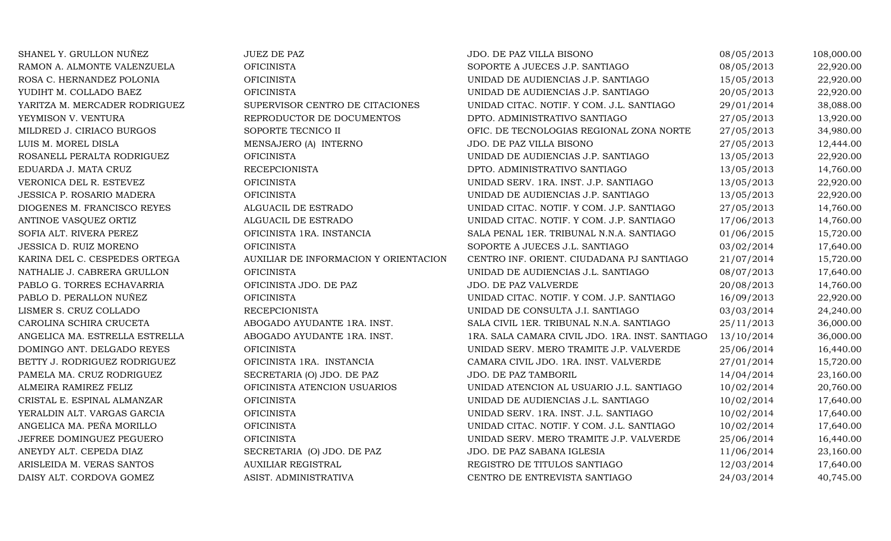SHANEL Y. GRULLON NUÑEZ JUEZ DE PAZ JUEZ DE PAZ JDO. DE PAZ VILLA BISONO 08/05/2013 108,000.00 RAMON A. ALMONTE VALENZUELA CHICINISTA OFICINISTA SOPORTE A JUECES J.P. SANTIAGO 08/05/2013 22,920.00 ROSA C. HERNANDEZ POLONIA OFICINISTA UNIDAD DE AUDIENCIAS J.P. SANTIAGO 15/05/2013 22,920.00 YUDIHT M. COLLADO BAEZ OFICINISTA UNIDAD DE AUDIENCIAS J.P. SANTIAGO 20/05/2013 22,920.00 YARITZA M. MERCADER RODRIGUEZ SUPERVISOR CENTRO DE CITACIONES UNIDAD CITAC. NOTIF. Y COM. J.L. SANTIAGO 29/01/2014 38,088.00 YEYMISON V. VENTURA REPRODUCTOR DE DOCUMENTOS DPTO. ADMINISTRATIVO SANTIAGO 27/05/2013 13,920.00 MILDRED J. CIRIACO BURGOS SOPORTE TECNICO II OFIC. DE TECNOLOGIAS REGIONAL ZONA NORTE 27/05/2013 34,980.00<br>MENSAJERO (A) INTERNO JDO. DE PAZ VILLA BISONO 27/05/2013 12,444.00 LUIS M. MOREL DISLA MENSAJERO (A) INTERNO JDO. DE PAZ VILLA BISONO 27/05/2013 12,444.00 ROSANELL PERALTA RODRIGUEZ OFICINISTA UNIDAD DE AUDIENCIAS J.P. SANTIAGO 13/05/2013 22,920.00 EDUARDA J. MATA CRUZ RECEPCIONISTA DPTO. ADMINISTRATIVO SANTIAGO 13/05/2013 14,760.00 VERONICA DEL R. ESTEVEZ OFICINISTA UNIDAD SERV. 1RA. INST. J.P. SANTIAGO 13/05/2013 22,920.00 JESSICA P. ROSARIO MADERA OFICINISTA UNIDAD DE AUDIENCIAS J.P. SANTIAGO 13/05/2013 22,920.00 DIOGENES M. FRANCISCO REYES ALGUACIL DE ESTRADO UNIDAD CITAC. NOTIF. Y COM. J.P. SANTIAGO 27/05/2013 14,760.00 ANTINOE VASQUEZ ORTIZ ALGUACIL DE ESTRADO UNIDAD CITAC. NOTIF. Y COM. J.P. SANTIAGO 17/06/2013 14,760.00 SOFIA ALT. RIVERA PEREZ OFICINISTA 1RA. INSTANCIA SALA PENAL 1ER. TRIBUNAL N.N.A. SANTIAGO 01/06/2015 15,720.00 JESSICA D. RUIZ MORENO OFICINISTA SOPORTE A JUECES J.L. SANTIAGO 03/02/2014 17,640.00 KARINA DEL C. CESPEDES ORTEGA AUXILIAR DE INFORMACION Y ORIENTACION CENTRO INF. ORIENT. CIUDADANA PJ SANTIAGO 21/07/2014 15,720.00<br>17,640.00 08/07/2013 17,640.00 NATHALIE J. CABRERA GRULLON OFICINISTA OFICINISTA UNIDAD DE AUDIENCIAS J.L. SANTIAGO 08/07/2013 17,640.00<br>20/08/2013 14,760.00 PABLO G. TORRES ECHAVARRIA OR SEICINISTA JDO. DE PAZ UNIDAD DE PAZ VALVERDE PABLO G. TORRES ECHAVARRIA OFICINISTA JDO. DE PAZ JDO. DE PAZ VALVERDE 20/08/2013 14,760.00 PABLO D. PERALLON NUÑEZ OFICINISTA UNIDAD CITAC. NOTIF. Y COM. J.P. SANTIAGO 16/09/2013 22,920.00 LISMER S. CRUZ COLLADO RECEPCIONISTA UNIDAD DE CONSULTA J.I. SANTIAGO 03/03/2014 24,240.00 CAROLINA SCHIRA CRUCETA ABOGADO AYUDANTE 1RA. INST. SALA CIVIL 1ER. TRIBUNAL N.N.A. SANTIAGO 25/11/2013 36,000.00 ANGELICA MA. ESTRELLA ESTRELLA ABOGADO AYUDANTE 1RA. INST. 1RA. SALA CAMARA CIVIL JDO. 1RA. INST. SANTIAGO 13/10/2014 36,000.00<br>25/06/2014 16.440.00 DOMINGO ANT. DELGADO REYES OFICINISTA DOMINGO ANT. DELGADO REYES OFICINISTA OFICINISTA UNIDAD SERV. MERO TRAMITE J.P. VALVERDE 25/06/2014 16,440.00<br>BETTY J. RODRIGUEZ RODRIGUEZ OFICINISTA 1RA. INSTANCIA CAMARA CIVIL JDO. 1RA. INST. VALVERDE 27/01/2014 15,720.0 BETTY J. RODRIGUEZ RODRIGUEZ OFICINISTA 1RA. INSTANCIA CAMARA CIVIL JDO. 1RA. INST. VALVERDE 27/01/2014 15,720.00 PAMELA MA. CRUZ RODRIGUEZ SECRETARIA (O) JDO. DE PAZ JDO. DE PAZ TAMBORIL 14/04/2014 23,160.00 ALMEIRA RAMIREZ FELIZ OFICINISTA ATENCION USUARIOS UNIDAD ATENCION AL USUARIO J.L. SANTIAGO 10/02/2014 20,760.00 CRISTAL E. ESPINAL ALMANZAR OFICINISTA UNIDAD DE AUDIENCIAS J.L. SANTIAGO 10/02/2014 17,640.00 YERALDIN ALT. VARGAS GARCIA OFICINISTA UNIDAD SERV. 1RA. INST. J.L. SANTIAGO 10/02/2014 17,640.00 ANGELICA MA. PEÑA MORILLO OFICINISTA UNIDAD CITAC. NOTIF. Y COM. J.L. SANTIAGO 10/02/2014 17,640.00 JEFREE DOMINGUEZ PEGUERO OFICINISTA UNIDAD SERV. MERO TRAMITE J.P. VALVERDE 25/06/2014 16,440.00 ANEYDY ALT. CEPEDA DIAZ SECRETARIA (O) JDO. DE PAZ JDO. DE PAZ SABANA IGLESIA 11/06/2014 23,160.00 ARISLEIDA M. VERAS SANTOS AUXILIAR REGISTRAL REGISTRO DE TITULOS SANTIAGO 12/03/2014 17,640.00 DAISY ALT. CORDOVA GOMEZ ASIST. ADMINISTRATIVA CENTRO DE ENTREVISTA SANTIAGO 24/03/2014 40,745.00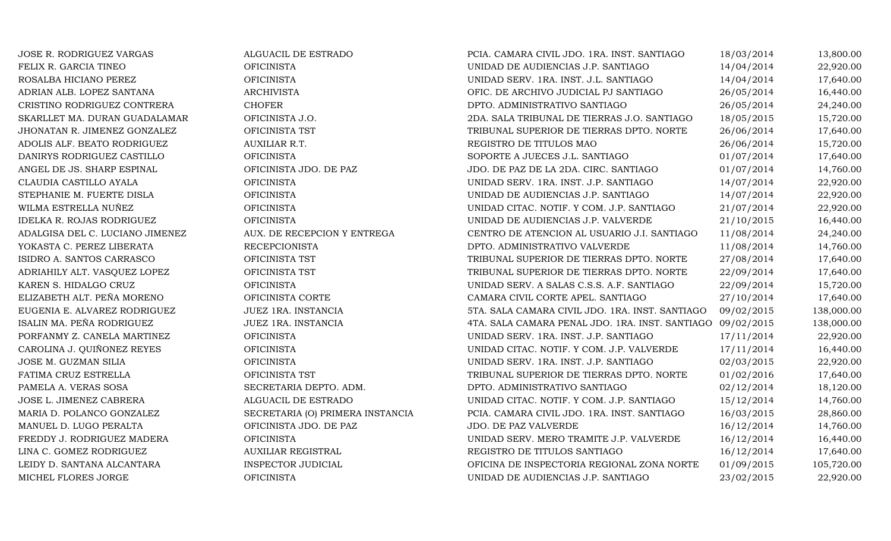| JOSE R. RODRIGUEZ VARGAS        | ALGUACIL DE ESTRADO              | PCIA. CAMARA CIVIL JDO. 1RA. INST. SANTIAGO                | 18/03/2014 | 13,800.00  |
|---------------------------------|----------------------------------|------------------------------------------------------------|------------|------------|
| FELIX R. GARCIA TINEO           | <b>OFICINISTA</b>                | UNIDAD DE AUDIENCIAS J.P. SANTIAGO                         | 14/04/2014 | 22,920.00  |
| ROSALBA HICIANO PEREZ           | <b>OFICINISTA</b>                | UNIDAD SERV. 1RA. INST. J.L. SANTIAGO                      | 14/04/2014 | 17,640.00  |
| ADRIAN ALB. LOPEZ SANTANA       | <b>ARCHIVISTA</b>                | OFIC. DE ARCHIVO JUDICIAL PJ SANTIAGO                      | 26/05/2014 | 16,440.00  |
| CRISTINO RODRIGUEZ CONTRERA     | <b>CHOFER</b>                    | DPTO. ADMINISTRATIVO SANTIAGO                              | 26/05/2014 | 24,240.00  |
| SKARLLET MA. DURAN GUADALAMAR   | OFICINISTA J.O.                  | 2DA. SALA TRIBUNAL DE TIERRAS J.O. SANTIAGO                | 18/05/2015 | 15,720.00  |
| JHONATAN R. JIMENEZ GONZALEZ    | OFICINISTA TST                   | TRIBUNAL SUPERIOR DE TIERRAS DPTO. NORTE                   | 26/06/2014 | 17,640.00  |
| ADOLIS ALF. BEATO RODRIGUEZ     | <b>AUXILIAR R.T.</b>             | REGISTRO DE TITULOS MAO                                    | 26/06/2014 | 15,720.00  |
| DANIRYS RODRIGUEZ CASTILLO      | <b>OFICINISTA</b>                | SOPORTE A JUECES J.L. SANTIAGO                             | 01/07/2014 | 17,640.00  |
| ANGEL DE JS. SHARP ESPINAL      | OFICINISTA JDO. DE PAZ           | JDO. DE PAZ DE LA 2DA. CIRC. SANTIAGO                      | 01/07/2014 | 14,760.00  |
| CLAUDIA CASTILLO AYALA          | <b>OFICINISTA</b>                | UNIDAD SERV. 1RA. INST. J.P. SANTIAGO                      | 14/07/2014 | 22,920.00  |
| STEPHANIE M. FUERTE DISLA       | <b>OFICINISTA</b>                | UNIDAD DE AUDIENCIAS J.P. SANTIAGO                         | 14/07/2014 | 22,920.00  |
| WILMA ESTRELLA NUÑEZ            | <b>OFICINISTA</b>                | UNIDAD CITAC. NOTIF. Y COM. J.P. SANTIAGO                  | 21/07/2014 | 22,920.00  |
| IDELKA R. ROJAS RODRIGUEZ       | <b>OFICINISTA</b>                | UNIDAD DE AUDIENCIAS J.P. VALVERDE                         | 21/10/2015 | 16,440.00  |
| ADALGISA DEL C. LUCIANO JIMENEZ | AUX. DE RECEPCION Y ENTREGA      | CENTRO DE ATENCION AL USUARIO J.I. SANTIAGO                | 11/08/2014 | 24,240.00  |
| YOKASTA C. PEREZ LIBERATA       | <b>RECEPCIONISTA</b>             | DPTO. ADMINISTRATIVO VALVERDE                              | 11/08/2014 | 14,760.00  |
| ISIDRO A. SANTOS CARRASCO       | OFICINISTA TST                   | TRIBUNAL SUPERIOR DE TIERRAS DPTO. NORTE                   | 27/08/2014 | 17,640.00  |
| ADRIAHILY ALT. VASQUEZ LOPEZ    | OFICINISTA TST                   | TRIBUNAL SUPERIOR DE TIERRAS DPTO. NORTE                   | 22/09/2014 | 17,640.00  |
| KAREN S. HIDALGO CRUZ           | <b>OFICINISTA</b>                | UNIDAD SERV. A SALAS C.S.S. A.F. SANTIAGO                  | 22/09/2014 | 15,720.00  |
| ELIZABETH ALT. PEÑA MORENO      | OFICINISTA CORTE                 | CAMARA CIVIL CORTE APEL. SANTIAGO                          | 27/10/2014 | 17,640.00  |
| EUGENIA E. ALVAREZ RODRIGUEZ    | JUEZ 1RA. INSTANCIA              | 5TA. SALA CAMARA CIVIL JDO. 1RA. INST. SANTIAGO            | 09/02/2015 | 138,000.00 |
| ISALIN MA. PEÑA RODRIGUEZ       | JUEZ 1RA. INSTANCIA              | 4TA. SALA CAMARA PENAL JDO. 1RA. INST. SANTIAGO 09/02/2015 |            | 138,000.00 |
| PORFANMY Z. CANELA MARTINEZ     | <b>OFICINISTA</b>                | UNIDAD SERV. 1RA. INST. J.P. SANTIAGO                      | 17/11/2014 | 22,920.00  |
| CAROLINA J. QUIÑONEZ REYES      | <b>OFICINISTA</b>                | UNIDAD CITAC. NOTIF. Y COM. J.P. VALVERDE                  | 17/11/2014 | 16,440.00  |
| JOSE M. GUZMAN SILIA            | <b>OFICINISTA</b>                | UNIDAD SERV. 1RA. INST. J.P. SANTIAGO                      | 02/03/2015 | 22,920.00  |
| FATIMA CRUZ ESTRELLA            | OFICINISTA TST                   | TRIBUNAL SUPERIOR DE TIERRAS DPTO. NORTE                   | 01/02/2016 | 17,640.00  |
| PAMELA A. VERAS SOSA            | SECRETARIA DEPTO. ADM.           | DPTO. ADMINISTRATIVO SANTIAGO                              | 02/12/2014 | 18,120.00  |
| JOSE L. JIMENEZ CABRERA         | ALGUACIL DE ESTRADO              | UNIDAD CITAC. NOTIF. Y COM. J.P. SANTIAGO                  | 15/12/2014 | 14,760.00  |
| MARIA D. POLANCO GONZALEZ       | SECRETARIA (O) PRIMERA INSTANCIA | PCIA. CAMARA CIVIL JDO. 1RA. INST. SANTIAGO                | 16/03/2015 | 28,860.00  |
| MANUEL D. LUGO PERALTA          | OFICINISTA JDO. DE PAZ           | JDO. DE PAZ VALVERDE                                       | 16/12/2014 | 14,760.00  |
| FREDDY J. RODRIGUEZ MADERA      | <b>OFICINISTA</b>                | UNIDAD SERV. MERO TRAMITE J.P. VALVERDE                    | 16/12/2014 | 16,440.00  |
| LINA C. GOMEZ RODRIGUEZ         | <b>AUXILIAR REGISTRAL</b>        | REGISTRO DE TITULOS SANTIAGO                               | 16/12/2014 | 17,640.00  |
| LEIDY D. SANTANA ALCANTARA      | <b>INSPECTOR JUDICIAL</b>        | OFICINA DE INSPECTORIA REGIONAL ZONA NORTE                 | 01/09/2015 | 105,720.00 |
| MICHEL FLORES JORGE             | <b>OFICINISTA</b>                | UNIDAD DE AUDIENCIAS J.P. SANTIAGO                         | 23/02/2015 | 22,920.00  |
|                                 |                                  |                                                            |            |            |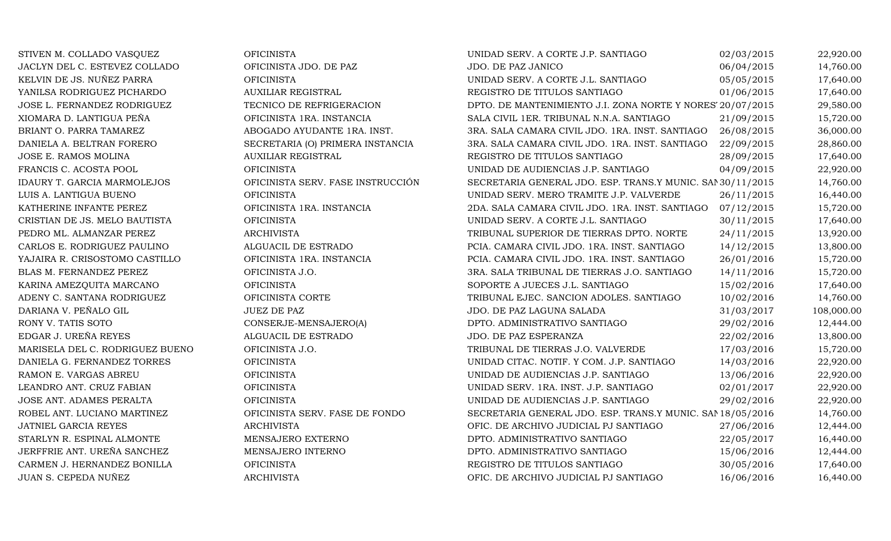| STIVEN M. COLLADO VASQUEZ          | <b>OFICINISTA</b>                 | UNIDAD SERV. A CORTE J.P. SANTIAGO                         | 02/03/2015 | 22,920.00  |
|------------------------------------|-----------------------------------|------------------------------------------------------------|------------|------------|
| JACLYN DEL C. ESTEVEZ COLLADO      | OFICINISTA JDO. DE PAZ            | JDO. DE PAZ JANICO                                         | 06/04/2015 | 14,760.00  |
| KELVIN DE JS. NUÑEZ PARRA          | <b>OFICINISTA</b>                 | UNIDAD SERV. A CORTE J.L. SANTIAGO                         | 05/05/2015 | 17,640.00  |
| YANILSA RODRIGUEZ PICHARDO         | <b>AUXILIAR REGISTRAL</b>         | REGISTRO DE TITULOS SANTIAGO                               | 01/06/2015 | 17,640.00  |
| JOSE L. FERNANDEZ RODRIGUEZ        | TECNICO DE REFRIGERACION          | DPTO. DE MANTENIMIENTO J.I. ZONA NORTE Y NORES 20/07/2015  |            | 29,580.00  |
| XIOMARA D. LANTIGUA PEÑA           | OFICINISTA 1RA. INSTANCIA         | SALA CIVIL 1ER. TRIBUNAL N.N.A. SANTIAGO                   | 21/09/2015 | 15,720.00  |
| BRIANT O. PARRA TAMAREZ            | ABOGADO AYUDANTE 1RA. INST.       | 3RA. SALA CAMARA CIVIL JDO. 1RA. INST. SANTIAGO            | 26/08/2015 | 36,000.00  |
| DANIELA A. BELTRAN FORERO          | SECRETARIA (O) PRIMERA INSTANCIA  | 3RA. SALA CAMARA CIVIL JDO. 1RA. INST. SANTIAGO            | 22/09/2015 | 28,860.00  |
| JOSE E. RAMOS MOLINA               | <b>AUXILIAR REGISTRAL</b>         | REGISTRO DE TITULOS SANTIAGO                               | 28/09/2015 | 17,640.00  |
| FRANCIS C. ACOSTA POOL             | <b>OFICINISTA</b>                 | UNIDAD DE AUDIENCIAS J.P. SANTIAGO                         | 04/09/2015 | 22,920.00  |
| <b>IDAURY T. GARCIA MARMOLEJOS</b> | OFICINISTA SERV. FASE INSTRUCCIÓN | SECRETARIA GENERAL JDO. ESP. TRANS.Y MUNIC. SAN 30/11/2015 |            | 14,760.00  |
| LUIS A. LANTIGUA BUENO             | <b>OFICINISTA</b>                 | UNIDAD SERV. MERO TRAMITE J.P. VALVERDE                    | 26/11/2015 | 16,440.00  |
| KATHERINE INFANTE PEREZ            | OFICINISTA 1RA. INSTANCIA         | 2DA. SALA CAMARA CIVIL JDO. 1RA. INST. SANTIAGO 07/12/2015 |            | 15,720.00  |
| CRISTIAN DE JS. MELO BAUTISTA      | <b>OFICINISTA</b>                 | UNIDAD SERV. A CORTE J.L. SANTIAGO                         | 30/11/2015 | 17,640.00  |
| PEDRO ML. ALMANZAR PEREZ           | <b>ARCHIVISTA</b>                 | TRIBUNAL SUPERIOR DE TIERRAS DPTO. NORTE                   | 24/11/2015 | 13,920.00  |
| CARLOS E. RODRIGUEZ PAULINO        | ALGUACIL DE ESTRADO               | PCIA. CAMARA CIVIL JDO. 1RA. INST. SANTIAGO                | 14/12/2015 | 13,800.00  |
| YAJAIRA R. CRISOSTOMO CASTILLO     | OFICINISTA 1RA. INSTANCIA         | PCIA. CAMARA CIVIL JDO. 1RA. INST. SANTIAGO                | 26/01/2016 | 15,720.00  |
| BLAS M. FERNANDEZ PEREZ            | OFICINISTA J.O.                   | 3RA. SALA TRIBUNAL DE TIERRAS J.O. SANTIAGO                | 14/11/2016 | 15,720.00  |
| KARINA AMEZQUITA MARCANO           | <b>OFICINISTA</b>                 | SOPORTE A JUECES J.L. SANTIAGO                             | 15/02/2016 | 17,640.00  |
| ADENY C. SANTANA RODRIGUEZ         | OFICINISTA CORTE                  | TRIBUNAL EJEC. SANCION ADOLES. SANTIAGO                    | 10/02/2016 | 14,760.00  |
| DARIANA V. PEÑALO GIL              | <b>JUEZ DE PAZ</b>                | JDO. DE PAZ LAGUNA SALADA                                  | 31/03/2017 | 108,000.00 |
| RONY V. TATIS SOTO                 | CONSERJE-MENSAJERO(A)             | DPTO. ADMINISTRATIVO SANTIAGO                              | 29/02/2016 | 12,444.00  |
| EDGAR J. UREÑA REYES               | ALGUACIL DE ESTRADO               | JDO. DE PAZ ESPERANZA                                      | 22/02/2016 | 13,800.00  |
| MARISELA DEL C. RODRIGUEZ BUENO    | OFICINISTA J.O.                   | TRIBUNAL DE TIERRAS J.O. VALVERDE                          | 17/03/2016 | 15,720.00  |
| DANIELA G. FERNANDEZ TORRES        | <b>OFICINISTA</b>                 | UNIDAD CITAC. NOTIF. Y COM. J.P. SANTIAGO                  | 14/03/2016 | 22,920.00  |
| RAMON E. VARGAS ABREU              | <b>OFICINISTA</b>                 | UNIDAD DE AUDIENCIAS J.P. SANTIAGO                         | 13/06/2016 | 22,920.00  |
| LEANDRO ANT. CRUZ FABIAN           | <b>OFICINISTA</b>                 | UNIDAD SERV. 1RA. INST. J.P. SANTIAGO                      | 02/01/2017 | 22,920.00  |
| JOSE ANT. ADAMES PERALTA           | <b>OFICINISTA</b>                 | UNIDAD DE AUDIENCIAS J.P. SANTIAGO                         | 29/02/2016 | 22,920.00  |
| ROBEL ANT. LUCIANO MARTINEZ        | OFICINISTA SERV. FASE DE FONDO    | SECRETARIA GENERAL JDO. ESP. TRANS.Y MUNIC. SAM 18/05/2016 |            | 14,760.00  |
| JATNIEL GARCIA REYES               | <b>ARCHIVISTA</b>                 | OFIC. DE ARCHIVO JUDICIAL PJ SANTIAGO                      | 27/06/2016 | 12,444.00  |
| STARLYN R. ESPINAL ALMONTE         | MENSAJERO EXTERNO                 | DPTO. ADMINISTRATIVO SANTIAGO                              | 22/05/2017 | 16,440.00  |
| JERFFRIE ANT. UREÑA SANCHEZ        | MENSAJERO INTERNO                 | DPTO. ADMINISTRATIVO SANTIAGO                              | 15/06/2016 | 12,444.00  |
| CARMEN J. HERNANDEZ BONILLA        | <b>OFICINISTA</b>                 | REGISTRO DE TITULOS SANTIAGO                               | 30/05/2016 | 17,640.00  |
| JUAN S. CEPEDA NUÑEZ               | <b>ARCHIVISTA</b>                 | OFIC. DE ARCHIVO JUDICIAL PJ SANTIAGO                      | 16/06/2016 | 16,440.00  |
|                                    |                                   |                                                            |            |            |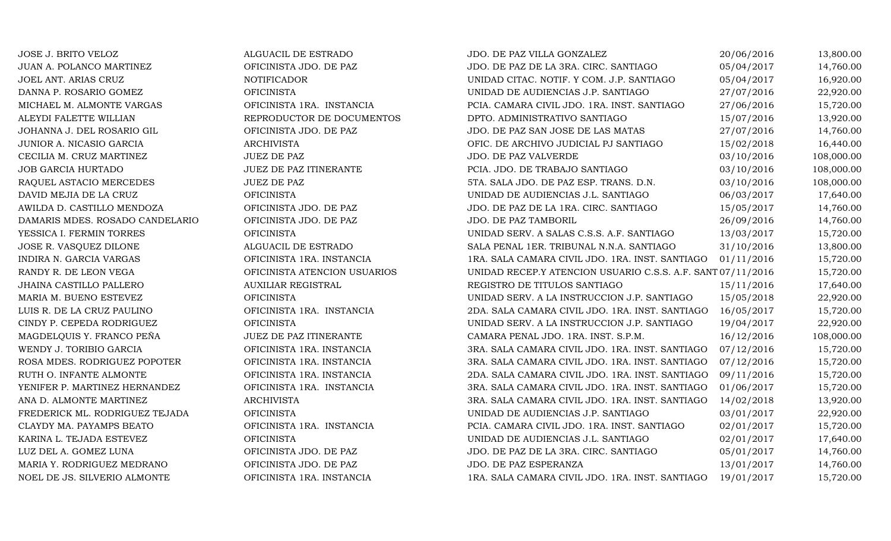JOSE J. BRITO VELOZ ALGUACIL DE ESTRADO JDO. DE PAZ VILLA GONZALEZ 20/06/2016 13,800.00 JUAN A. POLANCO MARTINEZ OFICINISTA JDO. DE PAZ JDO. DE PAZ DE LA 3RA. CIRC. SANTIAGO 05/04/2017 14,760.00 JOEL ANT. ARIAS CRUZ NOTIFICADOR UNIDAD CITAC. NOTIF. Y COM. J.P. SANTIAGO 05/04/2017 16,920.00 DANNA P. ROSARIO GOMEZ OFICINISTA UNIDAD DE AUDIENCIAS J.P. SANTIAGO 27/07/2016 22,920.00 MICHAEL M. ALMONTE VARGAS OFICINISTA 1RA. INSTANCIA PCIA. CAMARA CIVIL JDO. 1RA. INST. SANTIAGO 27/06/2016 15,720.00 ALEYDI FALETTE WILLIAN REPRODUCTOR DE DOCUMENTOS DPTO. ADMINISTRATIVO SANTIAGO 15/07/2016 13,920.00 JOHANNA J. DEL ROSARIO GIL OFICINISTA JDO. DE PAZ JDO. DE PAZ SAN JOSE DE LAS MATAS 27/07/2016 14,760.00 JUNIOR A. NICASIO GARCIA ARCHIVISTA OFIC. DE ARCHIVO JUDICIAL PJ SANTIAGO 15/02/2018 16,440.00 CECILIA M. CRUZ MARTINEZ JUEZ DE PAZ JUEZ DE PAZ VALVERDE JOO. DE PAZ VALVERDE 63/10/2016 108,000.00 JOB GARCIA HURTADO JUEZ DE PAZ ITINERANTE PCIA. JDO. DE TRABAJO SANTIAGO 03/10/2016 108,000.00 RAQUEL ASTACIO MERCEDES JUEZ DE PAZ 5TA. SALA JDO. DE PAZ ESP. TRANS. D.N. 03/10/2016 108,000.00 DAVID MEJIA DE LA CRUZ OFICINISTA UNIDAD DE AUDIENCIAS J.L. SANTIAGO 06/03/2017 17,640.00 AWILDA D. CASTILLO MENDOZA OFICINISTA JDO. DE PAZ JOO. DE PAZ DE LA 1RA. CIRC. SANTIAGO 15/05/2017 14,760.00<br>DAMARIS MDES. ROSADO CANDELARIO OFICINISTA JDO. DE PAZ JOO. DE PAZ TAMBORIL 26/09/2016 14,760.00 DAMARIS MDES. ROSADO CANDELARIO COFICINISTA JDO. DE PAZ JOO. DO DE PAZ TAMBORIL 26/09/2016 14,760.00 YESSICA I. FERMIN TORRES OFICINISTA OFICINISTA UNIDAD SERV. A SALAS C.S.S. A.F. SANTIAGO 13/03/2017 15,720.00<br>JOSE R. VASQUEZ DILONE ALGUACIL DE ESTRADO SALA PENAL 1ER. TRIBUNAL N.N.A. SANTIAGO 31/10/2016 13,800.00 JOSE R. VASQUEZ DILONE ALGUACIL DE ESTRADO SALA PENAL 1ER. TRIBUNAL N.N.A. SANTIAGO 31/10/2016 13,800.00 INDIRA N. GARCIA VARGAS OFICINISTA 1RA. INSTANCIA 1RA. SALA CAMARA CIVIL JDO. 1RA. INST. SANTIAGO 01/11/2016 15,720.00 RANDY R. DE LEON VEGA OFICINISTA ATENCION USUARIOS UNIDAD RECEP.Y ATENCION USUARIO C.S.S. A.F. SANTIA07/11/2016 15,720.00 JHAINA CASTILLO PALLERO AUXILIAR REGISTRAL REGISTRO DE TITULOS SANTIAGO 15/11/2016 17,640.00 MARIA M. BUENO ESTEVEZ OFICINISTA UNIDAD SERV. A LA INSTRUCCION J.P. SANTIAGO 15/05/2018 22,920.00 LUIS R. DE LA CRUZ PAULINO OFICINISTA 1RA. INSTANCIA 2DA. SALA CAMARA CIVIL JDO. 1RA. INST. SANTIAGO 16/05/2017 15,720.00 CINDY P. CEPEDA RODRIGUEZ OFICINISTA UNIDAD SERV. A LA INSTRUCCION J.P. SANTIAGO 19/04/2017 22,920.00 MAGDELQUIS Y. FRANCO PEÑA JUEZ DE PAZ ITINERANTE CAMARA PENAL JDO. 1RA. INST. S.P.M. 16/12/2016 108,000.00<br>15,720.00 07 VENDY J. TORIBIO GARCIA ORCIA OFICINISTA 1RA. INSTANCIA 3RA. SALA CAMARA CIVIL JDO. 1RA. INST. SANTIAG WENDY J. TORIBIO GARCIA OFICINISTA 1RA. INSTANCIA 3RA. SALA CAMARA CIVIL JDO. 1RA. INST. SANTIAGO 07/12/2016 15,720.00 ROSA MDES. RODRIGUEZ POPOTER OFICINISTA 1RA. INSTANCIA 3RA. SALA CAMARA CIVIL JDO. 1RA. INST. SANTIAGO 07/12/2016 15,720.00 RUTH O. INFANTE ALMONTE OFICINISTA 1RA. INSTANCIA 2DA. SALA CAMARA CIVIL JDO. 1RA. INST. SANTIAGO 09/11/2016 15,720.00 YENIFER P. MARTINEZ HERNANDEZ OFICINISTA 1RA. INSTANCIA 3RA. SALA CAMARA CIVIL JDO. 1RA. INST. SANTIAGO 01/06/2017 15,720.00 ANA D. ALMONTE MARTINEZ ARCHIVISTA 3RA. SALA CAMARA CIVIL JDO. 1RA. INST. SANTIAGO 14/02/2018 13,920.00 FREDERICK ML. RODRIGUEZ TEJADA OFICINISTA (OFICINISTA UNIDAD DE AUDIENCIAS J.P. SANTIAGO 03/01/2017 22,920.00<br>CLAYDY MA. PAYAMPS BEATO OFICINISTA 1RA. INSTANCIA (PCIA. CAMARA CIVIL JDO. 1RA. INST. SANTIAGO 02/01/2017 15,72 CLAYDY MA. PAYAMPS BEATO OFICINISTA 1RA. INSTANCIA PCIA. CAMARA CIVIL JDO. 1RA. INST. SANTIAGO 02/01/2017 15,720.00 KARINA L. TEJADA ESTEVEZ OFICINISTA UNIDAD DE AUDIENCIAS J.L. SANTIAGO 02/01/2017 17,640.00 LUZ DEL A. GOMEZ LUNA OFICINISTA JDO. DE PAZ JDO. DE PAZ DE LA 3RA. CIRC. SANTIAGO 05/01/2017 14,760.00 MARIA Y. RODRIGUEZ MEDRANO OFICINISTA JDO. DE PAZ JDO. DE PAZ ESPERANZA 13/01/2017 14,760.00 NOEL DE JS. SILVERIO ALMONTE OFICINISTA 1RA. INSTANCIA 1RA. SALA CAMARA CIVIL JDO. 1RA. INST. SANTIAGO 19/01/2017 15,720.00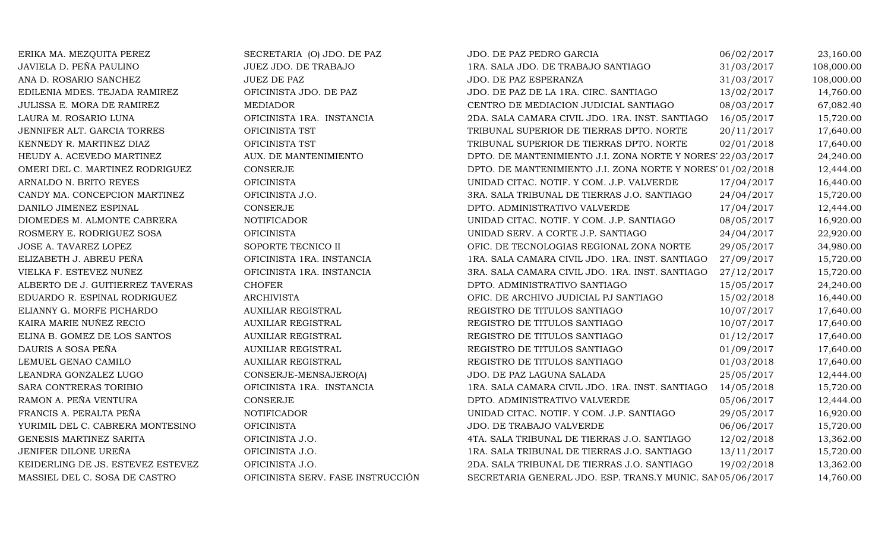| ERIKA MA. MEZQUITA PEREZ          | SECRETARIA (O) JDO. DE PAZ        | JDO. DE PAZ PEDRO GARCIA                                   | 06/02/2017 | 23,160.00  |
|-----------------------------------|-----------------------------------|------------------------------------------------------------|------------|------------|
| JAVIELA D. PEÑA PAULINO           | JUEZ JDO. DE TRABAJO              | 1RA. SALA JDO. DE TRABAJO SANTIAGO                         | 31/03/2017 | 108,000.00 |
| ANA D. ROSARIO SANCHEZ            | <b>JUEZ DE PAZ</b>                | JDO. DE PAZ ESPERANZA                                      | 31/03/2017 | 108,000.00 |
| EDILENIA MDES. TEJADA RAMIREZ     | OFICINISTA JDO. DE PAZ            | JDO. DE PAZ DE LA 1RA. CIRC. SANTIAGO                      | 13/02/2017 | 14,760.00  |
| JULISSA E. MORA DE RAMIREZ        | <b>MEDIADOR</b>                   | CENTRO DE MEDIACION JUDICIAL SANTIAGO                      | 08/03/2017 | 67,082.40  |
| LAURA M. ROSARIO LUNA             | OFICINISTA 1RA. INSTANCIA         | 2DA. SALA CAMARA CIVIL JDO. 1RA. INST. SANTIAGO            | 16/05/2017 | 15,720.00  |
| JENNIFER ALT. GARCIA TORRES       | OFICINISTA TST                    | TRIBUNAL SUPERIOR DE TIERRAS DPTO. NORTE                   | 20/11/2017 | 17,640.00  |
| KENNEDY R. MARTINEZ DIAZ          | OFICINISTA TST                    | TRIBUNAL SUPERIOR DE TIERRAS DPTO. NORTE                   | 02/01/2018 | 17,640.00  |
| HEUDY A. ACEVEDO MARTINEZ         | AUX. DE MANTENIMIENTO             | DPTO. DE MANTENIMIENTO J.I. ZONA NORTE Y NORES 22/03/2017  |            | 24,240.00  |
| OMERI DEL C. MARTINEZ RODRIGUEZ   | <b>CONSERJE</b>                   | DPTO. DE MANTENIMIENTO J.I. ZONA NORTE Y NORES' 01/02/2018 |            | 12,444.00  |
| ARNALDO N. BRITO REYES            | <b>OFICINISTA</b>                 | UNIDAD CITAC. NOTIF. Y COM. J.P. VALVERDE                  | 17/04/2017 | 16,440.00  |
| CANDY MA. CONCEPCION MARTINEZ     | OFICINISTA J.O.                   | 3RA. SALA TRIBUNAL DE TIERRAS J.O. SANTIAGO                | 24/04/2017 | 15,720.00  |
| DANILO JIMENEZ ESPINAL            | <b>CONSERJE</b>                   | DPTO. ADMINISTRATIVO VALVERDE                              | 17/04/2017 | 12,444.00  |
| DIOMEDES M. ALMONTE CABRERA       | <b>NOTIFICADOR</b>                | UNIDAD CITAC. NOTIF. Y COM. J.P. SANTIAGO                  | 08/05/2017 | 16,920.00  |
| ROSMERY E. RODRIGUEZ SOSA         | <b>OFICINISTA</b>                 | UNIDAD SERV. A CORTE J.P. SANTIAGO                         | 24/04/2017 | 22,920.00  |
| JOSE A. TAVAREZ LOPEZ             | SOPORTE TECNICO II                | OFIC. DE TECNOLOGIAS REGIONAL ZONA NORTE                   | 29/05/2017 | 34,980.00  |
| ELIZABETH J. ABREU PEÑA           | OFICINISTA 1RA. INSTANCIA         | 1RA. SALA CAMARA CIVIL JDO. 1RA. INST. SANTIAGO            | 27/09/2017 | 15,720.00  |
| VIELKA F. ESTEVEZ NUÑEZ           | OFICINISTA 1RA. INSTANCIA         | 3RA. SALA CAMARA CIVIL JDO. 1RA. INST. SANTIAGO            | 27/12/2017 | 15,720.00  |
| ALBERTO DE J. GUITIERREZ TAVERAS  | <b>CHOFER</b>                     | DPTO. ADMINISTRATIVO SANTIAGO                              | 15/05/2017 | 24,240.00  |
| EDUARDO R. ESPINAL RODRIGUEZ      | <b>ARCHIVISTA</b>                 | OFIC. DE ARCHIVO JUDICIAL PJ SANTIAGO                      | 15/02/2018 | 16,440.00  |
| ELIANNY G. MORFE PICHARDO         | <b>AUXILIAR REGISTRAL</b>         | REGISTRO DE TITULOS SANTIAGO                               | 10/07/2017 | 17,640.00  |
| KAIRA MARIE NUÑEZ RECIO           | <b>AUXILIAR REGISTRAL</b>         | REGISTRO DE TITULOS SANTIAGO                               | 10/07/2017 | 17,640.00  |
| ELINA B. GOMEZ DE LOS SANTOS      | <b>AUXILIAR REGISTRAL</b>         | REGISTRO DE TITULOS SANTIAGO                               | 01/12/2017 | 17,640.00  |
| DAURIS A SOSA PEÑA                | AUXILIAR REGISTRAL                | REGISTRO DE TITULOS SANTIAGO                               | 01/09/2017 | 17,640.00  |
| LEMUEL GENAO CAMILO               | <b>AUXILIAR REGISTRAL</b>         | REGISTRO DE TITULOS SANTIAGO                               | 01/03/2018 | 17,640.00  |
| LEANDRA GONZALEZ LUGO             | CONSERJE-MENSAJERO(A)             | JDO. DE PAZ LAGUNA SALADA                                  | 25/05/2017 | 12,444.00  |
| SARA CONTRERAS TORIBIO            | OFICINISTA 1RA. INSTANCIA         | 1RA. SALA CAMARA CIVIL JDO. 1RA. INST. SANTIAGO            | 14/05/2018 | 15,720.00  |
| RAMON A. PEÑA VENTURA             | <b>CONSERJE</b>                   | DPTO. ADMINISTRATIVO VALVERDE                              | 05/06/2017 | 12,444.00  |
| FRANCIS A. PERALTA PEÑA           | <b>NOTIFICADOR</b>                | UNIDAD CITAC. NOTIF. Y COM. J.P. SANTIAGO                  | 29/05/2017 | 16,920.00  |
| YURIMIL DEL C. CABRERA MONTESINO  | <b>OFICINISTA</b>                 | JDO. DE TRABAJO VALVERDE                                   | 06/06/2017 | 15,720.00  |
| GENESIS MARTINEZ SARITA           | OFICINISTA J.O.                   | 4TA. SALA TRIBUNAL DE TIERRAS J.O. SANTIAGO                | 12/02/2018 | 13,362.00  |
| JENIFER DILONE UREÑA              | OFICINISTA J.O.                   | 1RA. SALA TRIBUNAL DE TIERRAS J.O. SANTIAGO                | 13/11/2017 | 15,720.00  |
| KEIDERLING DE JS. ESTEVEZ ESTEVEZ | OFICINISTA J.O.                   | 2DA. SALA TRIBUNAL DE TIERRAS J.O. SANTIAGO                | 19/02/2018 | 13,362.00  |
| MASSIEL DEL C. SOSA DE CASTRO     | OFICINISTA SERV. FASE INSTRUCCIÓN | SECRETARIA GENERAL JDO. ESP. TRANS.Y MUNIC. SAN 05/06/2017 |            | 14,760.00  |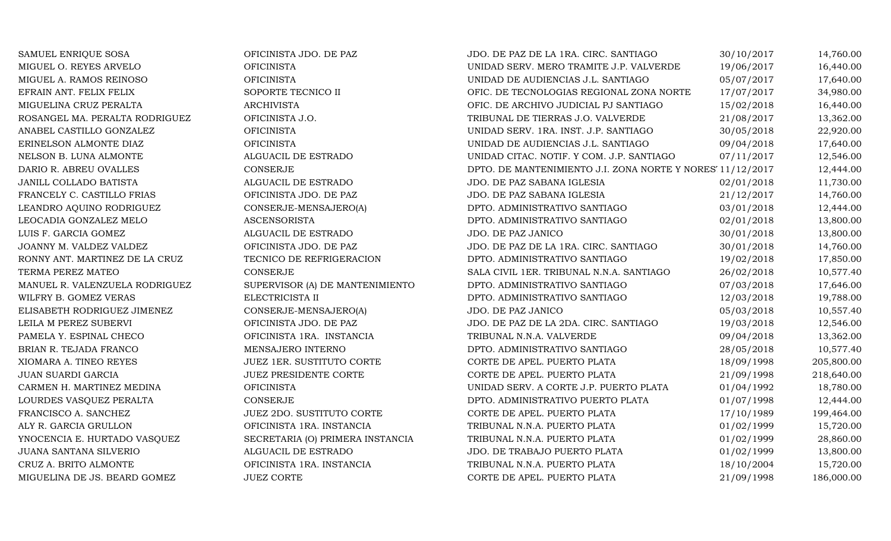| SAMUEL ENRIQUE SOSA            | OFICINISTA JDO. DE PAZ           | JDO. DE PAZ DE LA 1RA. CIRC. SANTIAGO                      | 30/10/2017 | 14,760.00  |
|--------------------------------|----------------------------------|------------------------------------------------------------|------------|------------|
| MIGUEL O. REYES ARVELO         | <b>OFICINISTA</b>                | UNIDAD SERV. MERO TRAMITE J.P. VALVERDE                    | 19/06/2017 | 16,440.00  |
| MIGUEL A. RAMOS REINOSO        | <b>OFICINISTA</b>                | UNIDAD DE AUDIENCIAS J.L. SANTIAGO                         | 05/07/2017 | 17,640.00  |
| EFRAIN ANT. FELIX FELIX        | SOPORTE TECNICO II               | OFIC. DE TECNOLOGIAS REGIONAL ZONA NORTE                   | 17/07/2017 | 34,980.00  |
| MIGUELINA CRUZ PERALTA         | <b>ARCHIVISTA</b>                | OFIC. DE ARCHIVO JUDICIAL PJ SANTIAGO                      | 15/02/2018 | 16,440.00  |
| ROSANGEL MA. PERALTA RODRIGUEZ | OFICINISTA J.O.                  | TRIBUNAL DE TIERRAS J.O. VALVERDE                          | 21/08/2017 | 13,362.00  |
| ANABEL CASTILLO GONZALEZ       | <b>OFICINISTA</b>                | UNIDAD SERV. 1RA. INST. J.P. SANTIAGO                      | 30/05/2018 | 22,920.00  |
| ERINELSON ALMONTE DIAZ         | <b>OFICINISTA</b>                | UNIDAD DE AUDIENCIAS J.L. SANTIAGO                         | 09/04/2018 | 17,640.00  |
| NELSON B. LUNA ALMONTE         | ALGUACIL DE ESTRADO              | UNIDAD CITAC. NOTIF. Y COM. J.P. SANTIAGO                  | 07/11/2017 | 12,546.00  |
| DARIO R. ABREU OVALLES         | <b>CONSERJE</b>                  | DPTO. DE MANTENIMIENTO J.I. ZONA NORTE Y NORES' 11/12/2017 |            | 12,444.00  |
| JANILL COLLADO BATISTA         | ALGUACIL DE ESTRADO              | JDO. DE PAZ SABANA IGLESIA                                 | 02/01/2018 | 11,730.00  |
| FRANCELY C. CASTILLO FRIAS     | OFICINISTA JDO. DE PAZ           | JDO. DE PAZ SABANA IGLESIA                                 | 21/12/2017 | 14,760.00  |
| LEANDRO AQUINO RODRIGUEZ       | CONSERJE-MENSAJERO(A)            | DPTO. ADMINISTRATIVO SANTIAGO                              | 03/01/2018 | 12,444.00  |
| LEOCADIA GONZALEZ MELO         | <b>ASCENSORISTA</b>              | DPTO. ADMINISTRATIVO SANTIAGO                              | 02/01/2018 | 13,800.00  |
| LUIS F. GARCIA GOMEZ           | ALGUACIL DE ESTRADO              | JDO. DE PAZ JANICO                                         | 30/01/2018 | 13,800.00  |
| JOANNY M. VALDEZ VALDEZ        | OFICINISTA JDO. DE PAZ           | JDO. DE PAZ DE LA 1RA. CIRC. SANTIAGO                      | 30/01/2018 | 14,760.00  |
| RONNY ANT. MARTINEZ DE LA CRUZ | TECNICO DE REFRIGERACION         | DPTO. ADMINISTRATIVO SANTIAGO                              | 19/02/2018 | 17,850.00  |
| TERMA PEREZ MATEO              | <b>CONSERJE</b>                  | SALA CIVIL 1ER. TRIBUNAL N.N.A. SANTIAGO                   | 26/02/2018 | 10,577.40  |
| MANUEL R. VALENZUELA RODRIGUEZ | SUPERVISOR (A) DE MANTENIMIENTO  | DPTO. ADMINISTRATIVO SANTIAGO                              | 07/03/2018 | 17,646.00  |
| WILFRY B. GOMEZ VERAS          | ELECTRICISTA II                  | DPTO. ADMINISTRATIVO SANTIAGO                              | 12/03/2018 | 19,788.00  |
| ELISABETH RODRIGUEZ JIMENEZ    | CONSERJE-MENSAJERO(A)            | JDO. DE PAZ JANICO                                         | 05/03/2018 | 10,557.40  |
| LEILA M PEREZ SUBERVI          | OFICINISTA JDO. DE PAZ           | JDO. DE PAZ DE LA 2DA. CIRC. SANTIAGO                      | 19/03/2018 | 12,546.00  |
| PAMELA Y. ESPINAL CHECO        | OFICINISTA 1RA. INSTANCIA        | TRIBUNAL N.N.A. VALVERDE                                   | 09/04/2018 | 13,362.00  |
| BRIAN R. TEJADA FRANCO         | MENSAJERO INTERNO                | DPTO. ADMINISTRATIVO SANTIAGO                              | 28/05/2018 | 10,577.40  |
| XIOMARA A. TINEO REYES         | JUEZ 1ER. SUSTITUTO CORTE        | CORTE DE APEL. PUERTO PLATA                                | 18/09/1998 | 205,800.00 |
| JUAN SUARDI GARCIA             | JUEZ PRESIDENTE CORTE            | CORTE DE APEL. PUERTO PLATA                                | 21/09/1998 | 218,640.00 |
| CARMEN H. MARTINEZ MEDINA      | <b>OFICINISTA</b>                | UNIDAD SERV. A CORTE J.P. PUERTO PLATA                     | 01/04/1992 | 18,780.00  |
| LOURDES VASQUEZ PERALTA        | <b>CONSERJE</b>                  | DPTO. ADMINISTRATIVO PUERTO PLATA                          | 01/07/1998 | 12,444.00  |
| FRANCISCO A. SANCHEZ           | JUEZ 2DO. SUSTITUTO CORTE        | CORTE DE APEL. PUERTO PLATA                                | 17/10/1989 | 199,464.00 |
| ALY R. GARCIA GRULLON          | OFICINISTA 1RA. INSTANCIA        | TRIBUNAL N.N.A. PUERTO PLATA                               | 01/02/1999 | 15,720.00  |
| YNOCENCIA E. HURTADO VASQUEZ   | SECRETARIA (O) PRIMERA INSTANCIA | TRIBUNAL N.N.A. PUERTO PLATA                               | 01/02/1999 | 28,860.00  |
| JUANA SANTANA SILVERIO         | ALGUACIL DE ESTRADO              | JDO. DE TRABAJO PUERTO PLATA                               | 01/02/1999 | 13,800.00  |
| CRUZ A. BRITO ALMONTE          | OFICINISTA 1RA. INSTANCIA        | TRIBUNAL N.N.A. PUERTO PLATA                               | 18/10/2004 | 15,720.00  |
| MIGUELINA DE JS. BEARD GOMEZ   | <b>JUEZ CORTE</b>                | CORTE DE APEL. PUERTO PLATA                                | 21/09/1998 | 186,000.00 |
|                                |                                  |                                                            |            |            |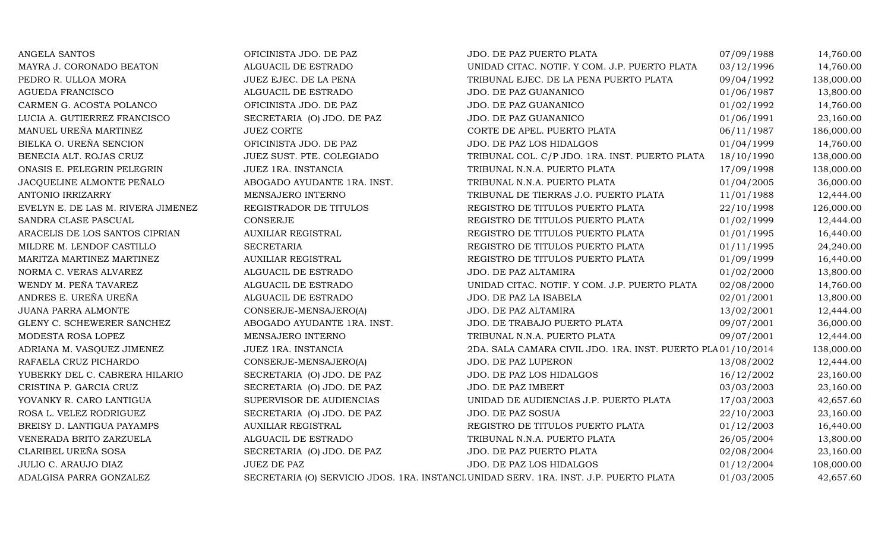| ANGELA SANTOS                      | OFICINISTA JDO. DE PAZ      | JDO. DE PAZ PUERTO PLATA                                                              | 07/09/1988 | 14,760.00  |
|------------------------------------|-----------------------------|---------------------------------------------------------------------------------------|------------|------------|
| MAYRA J. CORONADO BEATON           | ALGUACIL DE ESTRADO         | UNIDAD CITAC. NOTIF. Y COM. J.P. PUERTO PLATA                                         | 03/12/1996 | 14,760.00  |
| PEDRO R. ULLOA MORA                | JUEZ EJEC. DE LA PENA       | TRIBUNAL EJEC. DE LA PENA PUERTO PLATA                                                | 09/04/1992 | 138,000.00 |
| <b>AGUEDA FRANCISCO</b>            | ALGUACIL DE ESTRADO         | JDO. DE PAZ GUANANICO                                                                 | 01/06/1987 | 13,800.00  |
| CARMEN G. ACOSTA POLANCO           | OFICINISTA JDO. DE PAZ      | JDO. DE PAZ GUANANICO                                                                 | 01/02/1992 | 14,760.00  |
| LUCIA A. GUTIERREZ FRANCISCO       | SECRETARIA (O) JDO. DE PAZ  | JDO. DE PAZ GUANANICO                                                                 | 01/06/1991 | 23,160.00  |
| MANUEL UREÑA MARTINEZ              | <b>JUEZ CORTE</b>           | CORTE DE APEL. PUERTO PLATA                                                           | 06/11/1987 | 186,000.00 |
| BIELKA O. UREÑA SENCION            | OFICINISTA JDO. DE PAZ      | JDO. DE PAZ LOS HIDALGOS                                                              | 01/04/1999 | 14,760.00  |
| BENECIA ALT. ROJAS CRUZ            | JUEZ SUST. PTE. COLEGIADO   | TRIBUNAL COL. C/P JDO. 1RA. INST. PUERTO PLATA                                        | 18/10/1990 | 138,000.00 |
| ONASIS E. PELEGRIN PELEGRIN        | JUEZ 1RA. INSTANCIA         | TRIBUNAL N.N.A. PUERTO PLATA                                                          | 17/09/1998 | 138,000.00 |
| JACQUELINE ALMONTE PEÑALO          | ABOGADO AYUDANTE 1RA. INST. | TRIBUNAL N.N.A. PUERTO PLATA                                                          | 01/04/2005 | 36,000.00  |
| ANTONIO IRRIZARRY                  | MENSAJERO INTERNO           | TRIBUNAL DE TIERRAS J.O. PUERTO PLATA                                                 | 11/01/1988 | 12,444.00  |
| EVELYN E. DE LAS M. RIVERA JIMENEZ | REGISTRADOR DE TITULOS      | REGISTRO DE TITULOS PUERTO PLATA                                                      | 22/10/1998 | 126,000.00 |
| SANDRA CLASE PASCUAL               | CONSERJE                    | REGISTRO DE TITULOS PUERTO PLATA                                                      | 01/02/1999 | 12,444.00  |
| ARACELIS DE LOS SANTOS CIPRIAN     | <b>AUXILIAR REGISTRAL</b>   | REGISTRO DE TITULOS PUERTO PLATA                                                      | 01/01/1995 | 16,440.00  |
| MILDRE M. LENDOF CASTILLO          | <b>SECRETARIA</b>           | REGISTRO DE TITULOS PUERTO PLATA                                                      | 01/11/1995 | 24,240.00  |
| MARITZA MARTINEZ MARTINEZ          | <b>AUXILIAR REGISTRAL</b>   | REGISTRO DE TITULOS PUERTO PLATA                                                      | 01/09/1999 | 16,440.00  |
| NORMA C. VERAS ALVAREZ             | ALGUACIL DE ESTRADO         | JDO. DE PAZ ALTAMIRA                                                                  | 01/02/2000 | 13,800.00  |
| WENDY M. PEÑA TAVAREZ              | ALGUACIL DE ESTRADO         | UNIDAD CITAC. NOTIF. Y COM. J.P. PUERTO PLATA                                         | 02/08/2000 | 14,760.00  |
| ANDRES E. UREÑA UREÑA              | ALGUACIL DE ESTRADO         | JDO. DE PAZ LA ISABELA                                                                | 02/01/2001 | 13,800.00  |
| JUANA PARRA ALMONTE                | CONSERJE-MENSAJERO(A)       | JDO. DE PAZ ALTAMIRA                                                                  | 13/02/2001 | 12,444.00  |
| GLENY C. SCHEWERER SANCHEZ         | ABOGADO AYUDANTE 1RA. INST. | JDO. DE TRABAJO PUERTO PLATA                                                          | 09/07/2001 | 36,000.00  |
| MODESTA ROSA LOPEZ                 | MENSAJERO INTERNO           | TRIBUNAL N.N.A. PUERTO PLATA                                                          | 09/07/2001 | 12,444.00  |
| ADRIANA M. VASQUEZ JIMENEZ         | JUEZ 1RA. INSTANCIA         | 2DA. SALA CAMARA CIVIL JDO. 1RA. INST. PUERTO PLA01/10/2014                           |            | 138,000.00 |
| RAFAELA CRUZ PICHARDO              | CONSERJE-MENSAJERO(A)       | JDO. DE PAZ LUPERON                                                                   | 13/08/2002 | 12,444.00  |
| YUBERKY DEL C. CABRERA HILARIO     | SECRETARIA (O) JDO. DE PAZ  | JDO. DE PAZ LOS HIDALGOS                                                              | 16/12/2002 | 23,160.00  |
| CRISTINA P. GARCIA CRUZ            | SECRETARIA (O) JDO. DE PAZ  | JDO. DE PAZ IMBERT                                                                    | 03/03/2003 | 23,160.00  |
| YOVANKY R. CARO LANTIGUA           | SUPERVISOR DE AUDIENCIAS    | UNIDAD DE AUDIENCIAS J.P. PUERTO PLATA                                                | 17/03/2003 | 42,657.60  |
| ROSA L. VELEZ RODRIGUEZ            | SECRETARIA (O) JDO. DE PAZ  | JDO. DE PAZ SOSUA                                                                     | 22/10/2003 | 23,160.00  |
| BREISY D. LANTIGUA PAYAMPS         | <b>AUXILIAR REGISTRAL</b>   | REGISTRO DE TITULOS PUERTO PLATA                                                      | 01/12/2003 | 16,440.00  |
| VENERADA BRITO ZARZUELA            | ALGUACIL DE ESTRADO         | TRIBUNAL N.N.A. PUERTO PLATA                                                          | 26/05/2004 | 13,800.00  |
| CLARIBEL UREÑA SOSA                | SECRETARIA (O) JDO. DE PAZ  | JDO. DE PAZ PUERTO PLATA                                                              | 02/08/2004 | 23,160.00  |
| JULIO C. ARAUJO DIAZ               | JUEZ DE PAZ                 | JDO. DE PAZ LOS HIDALGOS                                                              | 01/12/2004 | 108,000.00 |
| ADALGISA PARRA GONZALEZ            |                             | SECRETARIA (O) SERVICIO JDOS. 1RA. INSTANCI UNIDAD SERV. 1RA. INST. J.P. PUERTO PLATA | 01/03/2005 | 42,657.60  |
|                                    |                             |                                                                                       |            |            |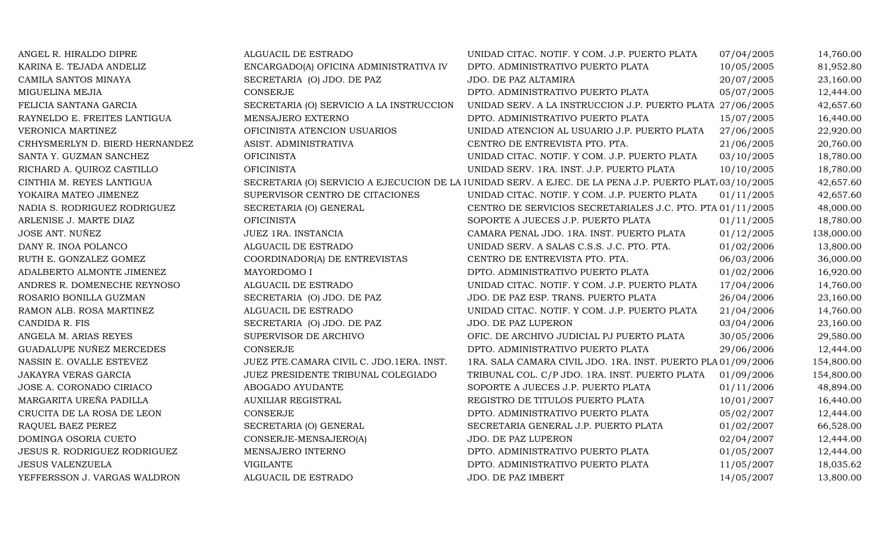| ANGEL R. HIRALDO DIPRE         | ALGUACIL DE ESTRADO                      | UNIDAD CITAC. NOTIF. Y COM. J.P. PUERTO PLATA                                                                       | 07/04/2005 | 14,760.00  |
|--------------------------------|------------------------------------------|---------------------------------------------------------------------------------------------------------------------|------------|------------|
| KARINA E. TEJADA ANDELIZ       | ENCARGADO(A) OFICINA ADMINISTRATIVA IV   | DPTO. ADMINISTRATIVO PUERTO PLATA                                                                                   | 10/05/2005 | 81,952.80  |
| CAMILA SANTOS MINAYA           | SECRETARIA (O) JDO. DE PAZ               | JDO. DE PAZ ALTAMIRA                                                                                                | 20/07/2005 | 23,160.00  |
| MIGUELINA MEJIA                | CONSERJE                                 | DPTO. ADMINISTRATIVO PUERTO PLATA                                                                                   | 05/07/2005 | 12,444.00  |
| FELICIA SANTANA GARCIA         | SECRETARIA (O) SERVICIO A LA INSTRUCCION | UNIDAD SERV. A LA INSTRUCCION J.P. PUERTO PLATA 27/06/2005                                                          |            | 42,657.60  |
| RAYNELDO E. FREITES LANTIGUA   | MENSAJERO EXTERNO                        | DPTO. ADMINISTRATIVO PUERTO PLATA                                                                                   | 15/07/2005 | 16,440.00  |
| VERONICA MARTINEZ              | OFICINISTA ATENCION USUARIOS             | UNIDAD ATENCION AL USUARIO J.P. PUERTO PLATA                                                                        | 27/06/2005 | 22,920.00  |
| CRHYSMERLYN D. BIERD HERNANDEZ | ASIST. ADMINISTRATIVA                    | CENTRO DE ENTREVISTA PTO. PTA.                                                                                      | 21/06/2005 | 20,760.00  |
| SANTA Y. GUZMAN SANCHEZ        | <b>OFICINISTA</b>                        | UNIDAD CITAC. NOTIF. Y COM. J.P. PUERTO PLATA                                                                       | 03/10/2005 | 18,780.00  |
| RICHARD A. QUIROZ CASTILLO     | <b>OFICINISTA</b>                        | UNIDAD SERV. 1RA. INST. J.P. PUERTO PLATA                                                                           | 10/10/2005 | 18,780.00  |
| CINTHIA M. REYES LANTIGUA      |                                          | SECRETARIA (O) SERVICIO A EJECUCION DE LA JUNIDAD SERV. A EJEC. DE LA PENA J.P. PUERTO PLAT <sub>1</sub> 03/10/2005 |            | 42,657.60  |
| YOKAIRA MATEO JIMENEZ          | SUPERVISOR CENTRO DE CITACIONES          | UNIDAD CITAC. NOTIF. Y COM. J.P. PUERTO PLATA                                                                       | 01/11/2005 | 42,657.60  |
| NADIA S. RODRIGUEZ RODRIGUEZ   | SECRETARIA (O) GENERAL                   | CENTRO DE SERVICIOS SECRETARIALES J.C. PTO. PTA 01/11/2005                                                          |            | 48,000.00  |
| ARLENISE J. MARTE DIAZ         | <b>OFICINISTA</b>                        | SOPORTE A JUECES J.P. PUERTO PLATA                                                                                  | 01/11/2005 | 18,780.00  |
| JOSE ANT. NUÑEZ                | JUEZ 1RA. INSTANCIA                      | CAMARA PENAL JDO. 1RA. INST. PUERTO PLATA                                                                           | 01/12/2005 | 138,000.00 |
| DANY R. INOA POLANCO           | ALGUACIL DE ESTRADO                      | UNIDAD SERV. A SALAS C.S.S. J.C. PTO. PTA.                                                                          | 01/02/2006 | 13,800.00  |
| RUTH E. GONZALEZ GOMEZ         | COORDINADOR(A) DE ENTREVISTAS            | CENTRO DE ENTREVISTA PTO. PTA.                                                                                      | 06/03/2006 | 36,000.00  |
| ADALBERTO ALMONTE JIMENEZ      | MAYORDOMO I                              | DPTO. ADMINISTRATIVO PUERTO PLATA                                                                                   | 01/02/2006 | 16,920.00  |
| ANDRES R. DOMENECHE REYNOSO    | ALGUACIL DE ESTRADO                      | UNIDAD CITAC. NOTIF. Y COM. J.P. PUERTO PLATA                                                                       | 17/04/2006 | 14,760.00  |
| ROSARIO BONILLA GUZMAN         | SECRETARIA (O) JDO. DE PAZ               | JDO. DE PAZ ESP. TRANS. PUERTO PLATA                                                                                | 26/04/2006 | 23,160.00  |
| RAMON ALB. ROSA MARTINEZ       | ALGUACIL DE ESTRADO                      | UNIDAD CITAC. NOTIF. Y COM. J.P. PUERTO PLATA                                                                       | 21/04/2006 | 14,760.00  |
| CANDIDA R. FIS                 | SECRETARIA (O) JDO. DE PAZ               | JDO. DE PAZ LUPERON                                                                                                 | 03/04/2006 | 23,160.00  |
| ANGELA M. ARIAS REYES          | SUPERVISOR DE ARCHIVO                    | OFIC. DE ARCHIVO JUDICIAL PJ PUERTO PLATA                                                                           | 30/05/2006 | 29,580.00  |
| GUADALUPE NUÑEZ MERCEDES       | CONSERJE                                 | DPTO. ADMINISTRATIVO PUERTO PLATA                                                                                   | 29/06/2006 | 12,444.00  |
| NASSIN E. OVALLE ESTEVEZ       | JUEZ PTE.CAMARA CIVIL C. JDO.1ERA. INST. | 1RA. SALA CAMARA CIVIL JDO. 1RA. INST. PUERTO PLA 01/09/2006                                                        |            | 154,800.00 |
| JAKAYRA VERAS GARCIA           | JUEZ PRESIDENTE TRIBUNAL COLEGIADO       | TRIBUNAL COL. C/P JDO. 1RA. INST. PUERTO PLATA                                                                      | 01/09/2006 | 154,800.00 |
| JOSE A. CORONADO CIRIACO       | ABOGADO AYUDANTE                         | SOPORTE A JUECES J.P. PUERTO PLATA                                                                                  | 01/11/2006 | 48,894.00  |
| MARGARITA UREÑA PADILLA        | <b>AUXILIAR REGISTRAL</b>                | REGISTRO DE TITULOS PUERTO PLATA                                                                                    | 10/01/2007 | 16,440.00  |
| CRUCITA DE LA ROSA DE LEON     | <b>CONSERJE</b>                          | DPTO. ADMINISTRATIVO PUERTO PLATA                                                                                   | 05/02/2007 | 12,444.00  |
| RAQUEL BAEZ PEREZ              | SECRETARIA (O) GENERAL                   | SECRETARIA GENERAL J.P. PUERTO PLATA                                                                                | 01/02/2007 | 66,528.00  |
| DOMINGA OSORIA CUETO           | CONSERJE-MENSAJERO(A)                    | JDO. DE PAZ LUPERON                                                                                                 | 02/04/2007 | 12,444.00  |
| JESUS R. RODRIGUEZ RODRIGUEZ   | MENSAJERO INTERNO                        | DPTO. ADMINISTRATIVO PUERTO PLATA                                                                                   | 01/05/2007 | 12,444.00  |
| <b>JESUS VALENZUELA</b>        | <b>VIGILANTE</b>                         | DPTO. ADMINISTRATIVO PUERTO PLATA                                                                                   | 11/05/2007 | 18,035.62  |
| YEFFERSSON J. VARGAS WALDRON   | ALGUACIL DE ESTRADO                      | JDO. DE PAZ IMBERT                                                                                                  | 14/05/2007 | 13,800.00  |
|                                |                                          |                                                                                                                     |            |            |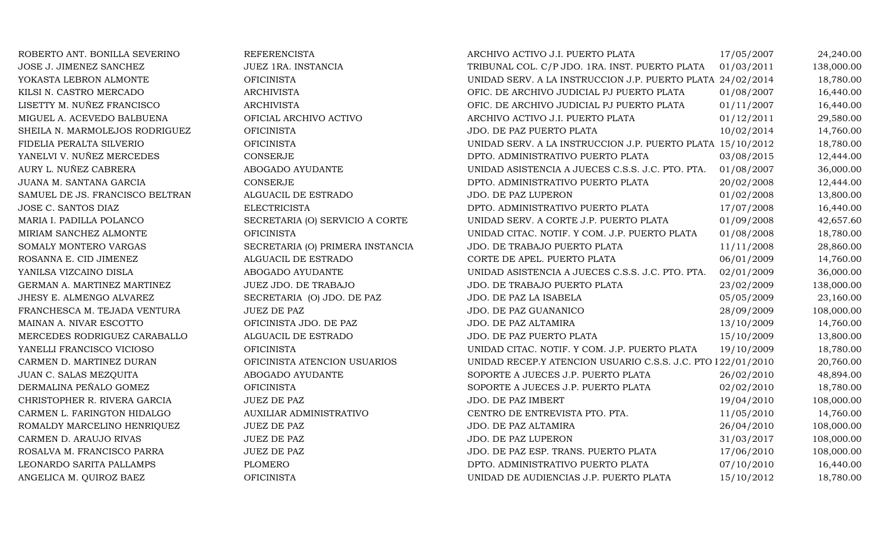| ROBERTO ANT. BONILLA SEVERINO   | <b>REFERENCISTA</b>              | ARCHIVO ACTIVO J.I. PUERTO PLATA                            | 17/05/2007 | 24,240.00  |
|---------------------------------|----------------------------------|-------------------------------------------------------------|------------|------------|
| JOSE J. JIMENEZ SANCHEZ         | JUEZ 1RA. INSTANCIA              | TRIBUNAL COL. C/P JDO. 1RA. INST. PUERTO PLATA              | 01/03/2011 | 138,000.00 |
| YOKASTA LEBRON ALMONTE          | <b>OFICINISTA</b>                | UNIDAD SERV. A LA INSTRUCCION J.P. PUERTO PLATA 24/02/2014  |            | 18,780.00  |
| KILSI N. CASTRO MERCADO         | <b>ARCHIVISTA</b>                | OFIC. DE ARCHIVO JUDICIAL PJ PUERTO PLATA                   | 01/08/2007 | 16,440.00  |
| LISETTY M. NUÑEZ FRANCISCO      | <b>ARCHIVISTA</b>                | OFIC. DE ARCHIVO JUDICIAL PJ PUERTO PLATA                   | 01/11/2007 | 16,440.00  |
| MIGUEL A. ACEVEDO BALBUENA      | OFICIAL ARCHIVO ACTIVO           | ARCHIVO ACTIVO J.I. PUERTO PLATA                            | 01/12/2011 | 29,580.00  |
| SHEILA N. MARMOLEJOS RODRIGUEZ  | <b>OFICINISTA</b>                | JDO. DE PAZ PUERTO PLATA                                    | 10/02/2014 | 14,760.00  |
| FIDELIA PERALTA SILVERIO        | <b>OFICINISTA</b>                | UNIDAD SERV. A LA INSTRUCCION J.P. PUERTO PLATA 15/10/2012  |            | 18,780.00  |
| YANELVI V. NUÑEZ MERCEDES       | <b>CONSERJE</b>                  | DPTO. ADMINISTRATIVO PUERTO PLATA                           | 03/08/2015 | 12,444.00  |
| AURY L. NUÑEZ CABRERA           | ABOGADO AYUDANTE                 | UNIDAD ASISTENCIA A JUECES C.S.S. J.C. PTO. PTA.            | 01/08/2007 | 36,000.00  |
| JUANA M. SANTANA GARCIA         | <b>CONSERJE</b>                  | DPTO. ADMINISTRATIVO PUERTO PLATA                           | 20/02/2008 | 12,444.00  |
| SAMUEL DE JS. FRANCISCO BELTRAN | ALGUACIL DE ESTRADO              | JDO. DE PAZ LUPERON                                         | 01/02/2008 | 13,800.00  |
| JOSE C. SANTOS DIAZ             | <b>ELECTRICISTA</b>              | DPTO. ADMINISTRATIVO PUERTO PLATA                           | 17/07/2008 | 16,440.00  |
| MARIA I. PADILLA POLANCO        | SECRETARIA (O) SERVICIO A CORTE  | UNIDAD SERV. A CORTE J.P. PUERTO PLATA                      | 01/09/2008 | 42,657.60  |
| MIRIAM SANCHEZ ALMONTE          | <b>OFICINISTA</b>                | UNIDAD CITAC. NOTIF. Y COM. J.P. PUERTO PLATA               | 01/08/2008 | 18,780.00  |
| SOMALY MONTERO VARGAS           | SECRETARIA (O) PRIMERA INSTANCIA | JDO. DE TRABAJO PUERTO PLATA                                | 11/11/2008 | 28,860.00  |
| ROSANNA E. CID JIMENEZ          | ALGUACIL DE ESTRADO              | CORTE DE APEL. PUERTO PLATA                                 | 06/01/2009 | 14,760.00  |
| YANILSA VIZCAINO DISLA          | ABOGADO AYUDANTE                 | UNIDAD ASISTENCIA A JUECES C.S.S. J.C. PTO. PTA.            | 02/01/2009 | 36,000.00  |
| GERMAN A. MARTINEZ MARTINEZ     | JUEZ JDO. DE TRABAJO             | JDO. DE TRABAJO PUERTO PLATA                                | 23/02/2009 | 138,000.00 |
| JHESY E. ALMENGO ALVAREZ        | SECRETARIA (O) JDO. DE PAZ       | JDO. DE PAZ LA ISABELA                                      | 05/05/2009 | 23,160.00  |
| FRANCHESCA M. TEJADA VENTURA    | <b>JUEZ DE PAZ</b>               | JDO. DE PAZ GUANANICO                                       | 28/09/2009 | 108,000.00 |
| MAINAN A. NIVAR ESCOTTO         | OFICINISTA JDO. DE PAZ           | JDO. DE PAZ ALTAMIRA                                        | 13/10/2009 | 14,760.00  |
| MERCEDES RODRIGUEZ CARABALLO    | ALGUACIL DE ESTRADO              | JDO. DE PAZ PUERTO PLATA                                    | 15/10/2009 | 13,800.00  |
| YANELLI FRANCISCO VICIOSO       | <b>OFICINISTA</b>                | UNIDAD CITAC. NOTIF. Y COM. J.P. PUERTO PLATA               | 19/10/2009 | 18,780.00  |
| CARMEN D. MARTINEZ DURAN        | OFICINISTA ATENCION USUARIOS     | UNIDAD RECEP.Y ATENCION USUARIO C.S.S. J.C. PTO I22/01/2010 |            | 20,760.00  |
| JUAN C. SALAS MEZQUITA          | ABOGADO AYUDANTE                 | SOPORTE A JUECES J.P. PUERTO PLATA                          | 26/02/2010 | 48,894.00  |
| DERMALINA PEÑALO GOMEZ          | <b>OFICINISTA</b>                | SOPORTE A JUECES J.P. PUERTO PLATA                          | 02/02/2010 | 18,780.00  |
| CHRISTOPHER R. RIVERA GARCIA    | <b>JUEZ DE PAZ</b>               | JDO. DE PAZ IMBERT                                          | 19/04/2010 | 108,000.00 |
| CARMEN L. FARINGTON HIDALGO     | AUXILIAR ADMINISTRATIVO          | CENTRO DE ENTREVISTA PTO. PTA.                              | 11/05/2010 | 14,760.00  |
| ROMALDY MARCELINO HENRIQUEZ     | <b>JUEZ DE PAZ</b>               | JDO. DE PAZ ALTAMIRA                                        | 26/04/2010 | 108,000.00 |
| CARMEN D. ARAUJO RIVAS          | <b>JUEZ DE PAZ</b>               | JDO. DE PAZ LUPERON                                         | 31/03/2017 | 108,000.00 |
| ROSALVA M. FRANCISCO PARRA      | JUEZ DE PAZ                      | JDO. DE PAZ ESP. TRANS. PUERTO PLATA                        | 17/06/2010 | 108,000.00 |
| LEONARDO SARITA PALLAMPS        | PLOMERO                          | DPTO. ADMINISTRATIVO PUERTO PLATA                           | 07/10/2010 | 16,440.00  |
| ANGELICA M. QUIROZ BAEZ         | <b>OFICINISTA</b>                | UNIDAD DE AUDIENCIAS J.P. PUERTO PLATA                      | 15/10/2012 | 18,780.00  |
|                                 |                                  |                                                             |            |            |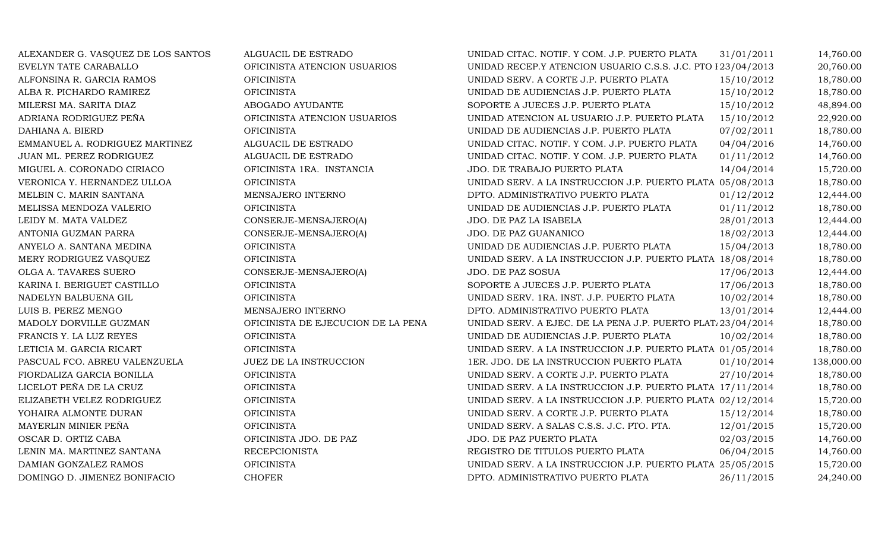| ALEXANDER G. VASQUEZ DE LOS SANTOS | ALGUACIL DE ESTRADO                | UNIDAD CITAC. NOTIF. Y COM. J.P. PUERTO PLATA               | 31/01/2011 | 14,760.00  |
|------------------------------------|------------------------------------|-------------------------------------------------------------|------------|------------|
| EVELYN TATE CARABALLO              | OFICINISTA ATENCION USUARIOS       | UNIDAD RECEP.Y ATENCION USUARIO C.S.S. J.C. PTO I23/04/2013 |            | 20,760.00  |
| ALFONSINA R. GARCIA RAMOS          | <b>OFICINISTA</b>                  | UNIDAD SERV. A CORTE J.P. PUERTO PLATA                      | 15/10/2012 | 18,780.00  |
| ALBA R. PICHARDO RAMIREZ           | <b>OFICINISTA</b>                  | UNIDAD DE AUDIENCIAS J.P. PUERTO PLATA                      | 15/10/2012 | 18,780.00  |
| MILERSI MA. SARITA DIAZ            | ABOGADO AYUDANTE                   | SOPORTE A JUECES J.P. PUERTO PLATA                          | 15/10/2012 | 48,894.00  |
| ADRIANA RODRIGUEZ PEÑA             | OFICINISTA ATENCION USUARIOS       | UNIDAD ATENCION AL USUARIO J.P. PUERTO PLATA                | 15/10/2012 | 22,920.00  |
| DAHIANA A. BIERD                   | <b>OFICINISTA</b>                  | UNIDAD DE AUDIENCIAS J.P. PUERTO PLATA                      | 07/02/2011 | 18,780.00  |
| EMMANUEL A. RODRIGUEZ MARTINEZ     | ALGUACIL DE ESTRADO                | UNIDAD CITAC. NOTIF. Y COM. J.P. PUERTO PLATA               | 04/04/2016 | 14,760.00  |
| JUAN ML. PEREZ RODRIGUEZ           | ALGUACIL DE ESTRADO                | UNIDAD CITAC. NOTIF. Y COM. J.P. PUERTO PLATA               | 01/11/2012 | 14,760.00  |
| MIGUEL A. CORONADO CIRIACO         | OFICINISTA 1RA. INSTANCIA          | JDO. DE TRABAJO PUERTO PLATA                                | 14/04/2014 | 15,720.00  |
| VERONICA Y. HERNANDEZ ULLOA        | <b>OFICINISTA</b>                  | UNIDAD SERV. A LA INSTRUCCION J.P. PUERTO PLATA 05/08/2013  |            | 18,780.00  |
| MELBIN C. MARIN SANTANA            | MENSAJERO INTERNO                  | DPTO. ADMINISTRATIVO PUERTO PLATA                           | 01/12/2012 | 12,444.00  |
| MELISSA MENDOZA VALERIO            | <b>OFICINISTA</b>                  | UNIDAD DE AUDIENCIAS J.P. PUERTO PLATA                      | 01/11/2012 | 18,780.00  |
| LEIDY M. MATA VALDEZ               | CONSERJE-MENSAJERO(A)              | JDO. DE PAZ LA ISABELA                                      | 28/01/2013 | 12,444.00  |
| ANTONIA GUZMAN PARRA               | CONSERJE-MENSAJERO(A)              | JDO. DE PAZ GUANANICO                                       | 18/02/2013 | 12,444.00  |
| ANYELO A. SANTANA MEDINA           | <b>OFICINISTA</b>                  | UNIDAD DE AUDIENCIAS J.P. PUERTO PLATA                      | 15/04/2013 | 18,780.00  |
| MERY RODRIGUEZ VASQUEZ             | <b>OFICINISTA</b>                  | UNIDAD SERV. A LA INSTRUCCION J.P. PUERTO PLATA 18/08/2014  |            | 18,780.00  |
| OLGA A. TAVARES SUERO              | CONSERJE-MENSAJERO(A)              | JDO. DE PAZ SOSUA                                           | 17/06/2013 | 12,444.00  |
| KARINA I. BERIGUET CASTILLO        | <b>OFICINISTA</b>                  | SOPORTE A JUECES J.P. PUERTO PLATA                          | 17/06/2013 | 18,780.00  |
| NADELYN BALBUENA GIL               | <b>OFICINISTA</b>                  | UNIDAD SERV. 1RA. INST. J.P. PUERTO PLATA                   | 10/02/2014 | 18,780.00  |
| LUIS B. PEREZ MENGO                | MENSAJERO INTERNO                  | DPTO. ADMINISTRATIVO PUERTO PLATA                           | 13/01/2014 | 12,444.00  |
| MADOLY DORVILLE GUZMAN             | OFICINISTA DE EJECUCION DE LA PENA | UNIDAD SERV. A EJEC. DE LA PENA J.P. PUERTO PLAT/23/04/2014 |            | 18,780.00  |
| FRANCIS Y. LA LUZ REYES            | <b>OFICINISTA</b>                  | UNIDAD DE AUDIENCIAS J.P. PUERTO PLATA                      | 10/02/2014 | 18,780.00  |
| LETICIA M. GARCIA RICART           | <b>OFICINISTA</b>                  | UNIDAD SERV. A LA INSTRUCCION J.P. PUERTO PLATA 01/05/2014  |            | 18,780.00  |
| PASCUAL FCO. ABREU VALENZUELA      | JUEZ DE LA INSTRUCCION             | 1ER. JDO. DE LA INSTRUCCION PUERTO PLATA                    | 01/10/2014 | 138,000.00 |
| FIORDALIZA GARCIA BONILLA          | <b>OFICINISTA</b>                  | UNIDAD SERV. A CORTE J.P. PUERTO PLATA                      | 27/10/2014 | 18,780.00  |
| LICELOT PEÑA DE LA CRUZ            | <b>OFICINISTA</b>                  | UNIDAD SERV. A LA INSTRUCCION J.P. PUERTO PLATA 17/11/2014  |            | 18,780.00  |
| ELIZABETH VELEZ RODRIGUEZ          | <b>OFICINISTA</b>                  | UNIDAD SERV. A LA INSTRUCCION J.P. PUERTO PLATA 02/12/2014  |            | 15,720.00  |
| YOHAIRA ALMONTE DURAN              | <b>OFICINISTA</b>                  | UNIDAD SERV. A CORTE J.P. PUERTO PLATA                      | 15/12/2014 | 18,780.00  |
| MAYERLIN MINIER PEÑA               | <b>OFICINISTA</b>                  | UNIDAD SERV. A SALAS C.S.S. J.C. PTO. PTA.                  | 12/01/2015 | 15,720.00  |
| OSCAR D. ORTIZ CABA                | OFICINISTA JDO. DE PAZ             | JDO. DE PAZ PUERTO PLATA                                    | 02/03/2015 | 14,760.00  |
| LENIN MA. MARTINEZ SANTANA         | <b>RECEPCIONISTA</b>               | REGISTRO DE TITULOS PUERTO PLATA                            | 06/04/2015 | 14,760.00  |
| DAMIAN GONZALEZ RAMOS              | <b>OFICINISTA</b>                  | UNIDAD SERV. A LA INSTRUCCION J.P. PUERTO PLATA 25/05/2015  |            | 15,720.00  |
| DOMINGO D. JIMENEZ BONIFACIO       | <b>CHOFER</b>                      | DPTO. ADMINISTRATIVO PUERTO PLATA                           | 26/11/2015 | 24,240.00  |
|                                    |                                    |                                                             |            |            |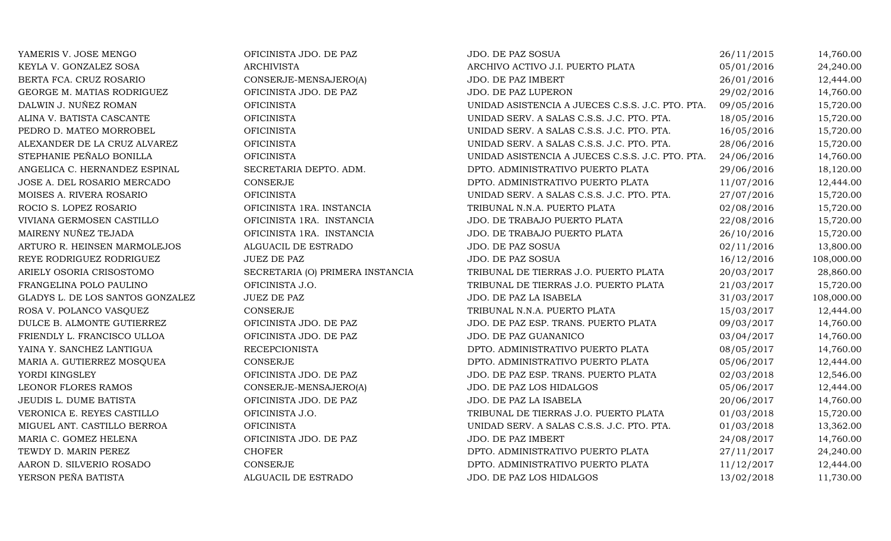| YAMERIS V. JOSE MENGO            | OFICINISTA JDO. DE PAZ           | JDO. DE PAZ SOSUA                                | 26/11/2015 | 14,760.00  |
|----------------------------------|----------------------------------|--------------------------------------------------|------------|------------|
| KEYLA V. GONZALEZ SOSA           | <b>ARCHIVISTA</b>                | ARCHIVO ACTIVO J.I. PUERTO PLATA                 | 05/01/2016 | 24,240.00  |
| BERTA FCA. CRUZ ROSARIO          | CONSERJE-MENSAJERO(A)            | JDO. DE PAZ IMBERT                               | 26/01/2016 | 12,444.00  |
| GEORGE M. MATIAS RODRIGUEZ       | OFICINISTA JDO. DE PAZ           | JDO. DE PAZ LUPERON                              | 29/02/2016 | 14,760.00  |
| DALWIN J. NUÑEZ ROMAN            | <b>OFICINISTA</b>                | UNIDAD ASISTENCIA A JUECES C.S.S. J.C. PTO. PTA. | 09/05/2016 | 15,720.00  |
| ALINA V. BATISTA CASCANTE        | <b>OFICINISTA</b>                | UNIDAD SERV. A SALAS C.S.S. J.C. PTO. PTA.       | 18/05/2016 | 15,720.00  |
| PEDRO D. MATEO MORROBEL          | <b>OFICINISTA</b>                | UNIDAD SERV. A SALAS C.S.S. J.C. PTO. PTA.       | 16/05/2016 | 15,720.00  |
| ALEXANDER DE LA CRUZ ALVAREZ     | <b>OFICINISTA</b>                | UNIDAD SERV. A SALAS C.S.S. J.C. PTO. PTA.       | 28/06/2016 | 15,720.00  |
| STEPHANIE PEÑALO BONILLA         | <b>OFICINISTA</b>                | UNIDAD ASISTENCIA A JUECES C.S.S. J.C. PTO. PTA. | 24/06/2016 | 14,760.00  |
| ANGELICA C. HERNANDEZ ESPINAL    | SECRETARIA DEPTO. ADM.           | DPTO. ADMINISTRATIVO PUERTO PLATA                | 29/06/2016 | 18,120.00  |
| JOSE A. DEL ROSARIO MERCADO      | CONSERJE                         | DPTO. ADMINISTRATIVO PUERTO PLATA                | 11/07/2016 | 12,444.00  |
| MOISES A. RIVERA ROSARIO         | <b>OFICINISTA</b>                | UNIDAD SERV. A SALAS C.S.S. J.C. PTO. PTA.       | 27/07/2016 | 15,720.00  |
| ROCIO S. LOPEZ ROSARIO           | OFICINISTA 1RA. INSTANCIA        | TRIBUNAL N.N.A. PUERTO PLATA                     | 02/08/2016 | 15,720.00  |
| VIVIANA GERMOSEN CASTILLO        | OFICINISTA 1RA. INSTANCIA        | JDO. DE TRABAJO PUERTO PLATA                     | 22/08/2016 | 15,720.00  |
| MAIRENY NUÑEZ TEJADA             | OFICINISTA 1RA. INSTANCIA        | JDO. DE TRABAJO PUERTO PLATA                     | 26/10/2016 | 15,720.00  |
| ARTURO R. HEINSEN MARMOLEJOS     | ALGUACIL DE ESTRADO              | JDO. DE PAZ SOSUA                                | 02/11/2016 | 13,800.00  |
| REYE RODRIGUEZ RODRIGUEZ         | <b>JUEZ DE PAZ</b>               | JDO. DE PAZ SOSUA                                | 16/12/2016 | 108,000.00 |
| ARIELY OSORIA CRISOSTOMO         | SECRETARIA (O) PRIMERA INSTANCIA | TRIBUNAL DE TIERRAS J.O. PUERTO PLATA            | 20/03/2017 | 28,860.00  |
| FRANGELINA POLO PAULINO          | OFICINISTA J.O.                  | TRIBUNAL DE TIERRAS J.O. PUERTO PLATA            | 21/03/2017 | 15,720.00  |
| GLADYS L. DE LOS SANTOS GONZALEZ | <b>JUEZ DE PAZ</b>               | JDO. DE PAZ LA ISABELA                           | 31/03/2017 | 108,000.00 |
| ROSA V. POLANCO VASQUEZ          | <b>CONSERJE</b>                  | TRIBUNAL N.N.A. PUERTO PLATA                     | 15/03/2017 | 12,444.00  |
| DULCE B. ALMONTE GUTIERREZ       | OFICINISTA JDO. DE PAZ           | JDO. DE PAZ ESP. TRANS. PUERTO PLATA             | 09/03/2017 | 14,760.00  |
| FRIENDLY L. FRANCISCO ULLOA      | OFICINISTA JDO. DE PAZ           | JDO. DE PAZ GUANANICO                            | 03/04/2017 | 14,760.00  |
| YAINA Y. SANCHEZ LANTIGUA        | <b>RECEPCIONISTA</b>             | DPTO. ADMINISTRATIVO PUERTO PLATA                | 08/05/2017 | 14,760.00  |
| MARIA A. GUTIERREZ MOSQUEA       | <b>CONSERJE</b>                  | DPTO. ADMINISTRATIVO PUERTO PLATA                | 05/06/2017 | 12,444.00  |
| YORDI KINGSLEY                   | OFICINISTA JDO. DE PAZ           | JDO. DE PAZ ESP. TRANS. PUERTO PLATA             | 02/03/2018 | 12,546.00  |
| LEONOR FLORES RAMOS              | CONSERJE-MENSAJERO(A)            | JDO. DE PAZ LOS HIDALGOS                         | 05/06/2017 | 12,444.00  |
| JEUDIS L. DUME BATISTA           | OFICINISTA JDO. DE PAZ           | JDO. DE PAZ LA ISABELA                           | 20/06/2017 | 14,760.00  |
| VERONICA E. REYES CASTILLO       | OFICINISTA J.O.                  | TRIBUNAL DE TIERRAS J.O. PUERTO PLATA            | 01/03/2018 | 15,720.00  |
| MIGUEL ANT. CASTILLO BERROA      | <b>OFICINISTA</b>                | UNIDAD SERV. A SALAS C.S.S. J.C. PTO. PTA.       | 01/03/2018 | 13,362.00  |
| MARIA C. GOMEZ HELENA            | OFICINISTA JDO. DE PAZ           | JDO. DE PAZ IMBERT                               | 24/08/2017 | 14,760.00  |
| TEWDY D. MARIN PEREZ             | <b>CHOFER</b>                    | DPTO. ADMINISTRATIVO PUERTO PLATA                | 27/11/2017 | 24,240.00  |
| AARON D. SILVERIO ROSADO         | <b>CONSERJE</b>                  | DPTO. ADMINISTRATIVO PUERTO PLATA                | 11/12/2017 | 12,444.00  |
| YERSON PEÑA BATISTA              | ALGUACIL DE ESTRADO              | JDO. DE PAZ LOS HIDALGOS                         | 13/02/2018 | 11,730.00  |
|                                  |                                  |                                                  |            |            |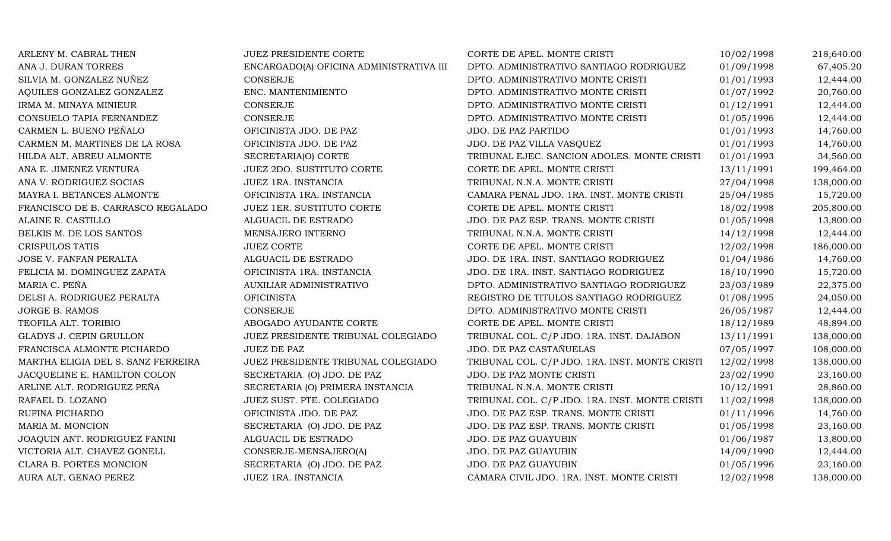| ARLENY M. CABRAL THEN              | JUEZ PRESIDENTE CORTE                   | CORTE DE APEL. MONTE CRISTI                    | 10/02/1998 | 218,640.00 |
|------------------------------------|-----------------------------------------|------------------------------------------------|------------|------------|
| ANA J. DURAN TORRES                | ENCARGADO(A) OFICINA ADMINISTRATIVA III | DPTO. ADMINISTRATIVO SANTIAGO RODRIGUEZ        | 01/09/1998 | 67,405.20  |
| SILVIA M. GONZALEZ NUÑEZ           | <b>CONSERJE</b>                         | DPTO. ADMINISTRATIVO MONTE CRISTI              | 01/01/1993 | 12,444.00  |
| AQUILES GONZALEZ GONZALEZ          | ENC. MANTENIMIENTO                      | DPTO. ADMINISTRATIVO MONTE CRISTI              | 01/07/1992 | 20,760.00  |
| IRMA M. MINAYA MINIEUR             | CONSERJE                                | DPTO. ADMINISTRATIVO MONTE CRISTI              | 01/12/1991 | 12,444.00  |
| CONSUELO TAPIA FERNANDEZ           | <b>CONSERJE</b>                         | DPTO. ADMINISTRATIVO MONTE CRISTI              | 01/05/1996 | 12,444.00  |
| CARMEN L. BUENO PEÑALO             | OFICINISTA JDO. DE PAZ                  | JDO. DE PAZ PARTIDO                            | 01/01/1993 | 14,760.00  |
| CARMEN M. MARTINES DE LA ROSA      | OFICINISTA JDO. DE PAZ                  | JDO. DE PAZ VILLA VASQUEZ                      | 01/01/1993 | 14,760.00  |
| HILDA ALT. ABREU ALMONTE           | SECRETARIA(O) CORTE                     | TRIBUNAL EJEC. SANCION ADOLES. MONTE CRISTI    | 01/01/1993 | 34,560.00  |
| ANA E. JIMENEZ VENTURA             | JUEZ 2DO. SUSTITUTO CORTE               | CORTE DE APEL. MONTE CRISTI                    | 13/11/1991 | 199,464.00 |
| ANA V. RODRIGUEZ SOCIAS            | JUEZ 1RA. INSTANCIA                     | TRIBUNAL N.N.A. MONTE CRISTI                   | 27/04/1998 | 138,000.00 |
| MAYRA I. BETANCES ALMONTE          | OFICINISTA 1RA. INSTANCIA               | CAMARA PENAL JDO. 1RA. INST. MONTE CRISTI      | 25/04/1985 | 15,720.00  |
| FRANCISCO DE B. CARRASCO REGALADO  | JUEZ 1ER. SUSTITUTO CORTE               | CORTE DE APEL. MONTE CRISTI                    | 18/02/1998 | 205,800.00 |
| ALAINE R. CASTILLO                 | ALGUACIL DE ESTRADO                     | JDO. DE PAZ ESP. TRANS. MONTE CRISTI           | 01/05/1998 | 13,800.00  |
| BELKIS M. DE LOS SANTOS            | MENSAJERO INTERNO                       | TRIBUNAL N.N.A. MONTE CRISTI                   | 14/12/1998 | 12,444.00  |
| <b>CRISPULOS TATIS</b>             | <b>JUEZ CORTE</b>                       | CORTE DE APEL. MONTE CRISTI                    | 12/02/1998 | 186,000.00 |
| JOSE V. FANFAN PERALTA             | ALGUACIL DE ESTRADO                     | JDO. DE 1RA. INST. SANTIAGO RODRIGUEZ          | 01/04/1986 | 14,760.00  |
| FELICIA M. DOMINGUEZ ZAPATA        | OFICINISTA 1RA. INSTANCIA               | JDO. DE 1RA. INST. SANTIAGO RODRIGUEZ          | 18/10/1990 | 15,720.00  |
| MARIA C. PEÑA                      | AUXILIAR ADMINISTRATIVO                 | DPTO. ADMINISTRATIVO SANTIAGO RODRIGUEZ        | 23/03/1989 | 22,375.00  |
| DELSI A. RODRIGUEZ PERALTA         | <b>OFICINISTA</b>                       | REGISTRO DE TITULOS SANTIAGO RODRIGUEZ         | 01/08/1995 | 24,050.00  |
| JORGE B. RAMOS                     | CONSERJE                                | DPTO. ADMINISTRATIVO MONTE CRISTI              | 26/05/1987 | 12,444.00  |
| TEOFILA ALT. TORIBIO               | ABOGADO AYUDANTE CORTE                  | CORTE DE APEL. MONTE CRISTI                    | 18/12/1989 | 48,894.00  |
| GLADYS J. CEPIN GRULLON            | JUEZ PRESIDENTE TRIBUNAL COLEGIADO      | TRIBUNAL COL. C/P JDO. 1RA. INST. DAJABON      | 13/11/1991 | 138,000.00 |
| FRANCISCA ALMONTE PICHARDO         | <b>JUEZ DE PAZ</b>                      | JDO. DE PAZ CASTAÑUELAS                        | 07/05/1997 | 108,000.00 |
| MARTHA ELIGIA DEL S. SANZ FERREIRA | JUEZ PRESIDENTE TRIBUNAL COLEGIADO      | TRIBUNAL COL. C/P JDO. 1RA. INST. MONTE CRISTI | 12/02/1998 | 138,000.00 |
| JACQUELINE E. HAMILTON COLON       | SECRETARIA (O) JDO. DE PAZ              | JDO. DE PAZ MONTE CRISTI                       | 23/02/1990 | 23,160.00  |
| ARLINE ALT. RODRIGUEZ PEÑA         | SECRETARIA (O) PRIMERA INSTANCIA        | TRIBUNAL N.N.A. MONTE CRISTI                   | 10/12/1991 | 28,860.00  |
| RAFAEL D. LOZANO                   | JUEZ SUST. PTE. COLEGIADO               | TRIBUNAL COL. C/P JDO. 1RA. INST. MONTE CRISTI | 11/02/1998 | 138,000.00 |
| RUFINA PICHARDO                    | OFICINISTA JDO. DE PAZ                  | JDO. DE PAZ ESP. TRANS. MONTE CRISTI           | 01/11/1996 | 14,760.00  |
| MARIA M. MONCION                   | SECRETARIA (O) JDO. DE PAZ              | JDO. DE PAZ ESP. TRANS. MONTE CRISTI           | 01/05/1998 | 23,160.00  |
| JOAQUIN ANT. RODRIGUEZ FANINI      | ALGUACIL DE ESTRADO                     | JDO. DE PAZ GUAYUBIN                           | 01/06/1987 | 13,800.00  |
| VICTORIA ALT. CHAVEZ GONELL        | CONSERJE-MENSAJERO(A)                   | JDO. DE PAZ GUAYUBIN                           | 14/09/1990 | 12,444.00  |
| CLARA B. PORTES MONCION            | SECRETARIA (O) JDO. DE PAZ              | JDO. DE PAZ GUAYUBIN                           | 01/05/1996 | 23,160.00  |
| AURA ALT. GENAO PEREZ              | JUEZ 1RA. INSTANCIA                     | CAMARA CIVIL JDO. 1RA. INST. MONTE CRISTI      | 12/02/1998 | 138,000.00 |
|                                    |                                         |                                                |            |            |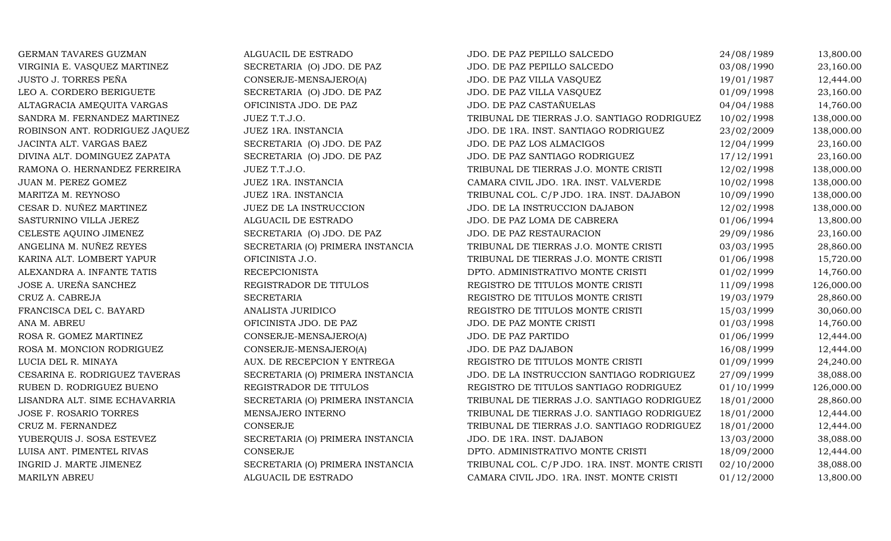| GERMAN TAVARES GUZMAN          | ALGUACIL DE ESTRADO              | JDO. DE PAZ PEPILLO SALCEDO                    | 24/08/1989 | 13,800.00  |
|--------------------------------|----------------------------------|------------------------------------------------|------------|------------|
| VIRGINIA E. VASQUEZ MARTINEZ   | SECRETARIA (O) JDO. DE PAZ       | JDO. DE PAZ PEPILLO SALCEDO                    | 03/08/1990 | 23,160.00  |
| JUSTO J. TORRES PEÑA           | CONSERJE-MENSAJERO(A)            | JDO. DE PAZ VILLA VASQUEZ                      | 19/01/1987 | 12,444.00  |
| LEO A. CORDERO BERIGUETE       | SECRETARIA (O) JDO. DE PAZ       | JDO. DE PAZ VILLA VASQUEZ                      | 01/09/1998 | 23,160.00  |
| ALTAGRACIA AMEQUITA VARGAS     | OFICINISTA JDO. DE PAZ           | JDO. DE PAZ CASTAÑUELAS                        | 04/04/1988 | 14,760.00  |
| SANDRA M. FERNANDEZ MARTINEZ   | JUEZ T.T.J.O.                    | TRIBUNAL DE TIERRAS J.O. SANTIAGO RODRIGUEZ    | 10/02/1998 | 138,000.00 |
| ROBINSON ANT. RODRIGUEZ JAQUEZ | JUEZ 1RA. INSTANCIA              | JDO. DE 1RA. INST. SANTIAGO RODRIGUEZ          | 23/02/2009 | 138,000.00 |
| JACINTA ALT. VARGAS BAEZ       | SECRETARIA (O) JDO. DE PAZ       | JDO. DE PAZ LOS ALMACIGOS                      | 12/04/1999 | 23,160.00  |
| DIVINA ALT. DOMINGUEZ ZAPATA   | SECRETARIA (O) JDO. DE PAZ       | JDO. DE PAZ SANTIAGO RODRIGUEZ                 | 17/12/1991 | 23,160.00  |
| RAMONA O. HERNANDEZ FERREIRA   | JUEZ T.T.J.O.                    | TRIBUNAL DE TIERRAS J.O. MONTE CRISTI          | 12/02/1998 | 138,000.00 |
| JUAN M. PEREZ GOMEZ            | JUEZ 1RA. INSTANCIA              | CAMARA CIVIL JDO. 1RA. INST. VALVERDE          | 10/02/1998 | 138,000.00 |
| MARITZA M. REYNOSO             | JUEZ 1RA. INSTANCIA              | TRIBUNAL COL. C/P JDO. 1RA. INST. DAJABON      | 10/09/1990 | 138,000.00 |
| CESAR D. NUÑEZ MARTINEZ        | JUEZ DE LA INSTRUCCION           | JDO. DE LA INSTRUCCION DAJABON                 | 12/02/1998 | 138,000.00 |
| SASTURNINO VILLA JEREZ         | ALGUACIL DE ESTRADO              | JDO. DE PAZ LOMA DE CABRERA                    | 01/06/1994 | 13,800.00  |
| CELESTE AQUINO JIMENEZ         | SECRETARIA (O) JDO. DE PAZ       | JDO. DE PAZ RESTAURACION                       | 29/09/1986 | 23,160.00  |
| ANGELINA M. NUÑEZ REYES        | SECRETARIA (O) PRIMERA INSTANCIA | TRIBUNAL DE TIERRAS J.O. MONTE CRISTI          | 03/03/1995 | 28,860.00  |
| KARINA ALT. LOMBERT YAPUR      | OFICINISTA J.O.                  | TRIBUNAL DE TIERRAS J.O. MONTE CRISTI          | 01/06/1998 | 15,720.00  |
| ALEXANDRA A. INFANTE TATIS     | <b>RECEPCIONISTA</b>             | DPTO. ADMINISTRATIVO MONTE CRISTI              | 01/02/1999 | 14,760.00  |
| JOSE A. UREÑA SANCHEZ          | REGISTRADOR DE TITULOS           | REGISTRO DE TITULOS MONTE CRISTI               | 11/09/1998 | 126,000.00 |
| CRUZ A. CABREJA                | <b>SECRETARIA</b>                | REGISTRO DE TITULOS MONTE CRISTI               | 19/03/1979 | 28,860.00  |
| FRANCISCA DEL C. BAYARD        | ANALISTA JURIDICO                | REGISTRO DE TITULOS MONTE CRISTI               | 15/03/1999 | 30,060.00  |
| ANA M. ABREU                   | OFICINISTA JDO. DE PAZ           | JDO. DE PAZ MONTE CRISTI                       | 01/03/1998 | 14,760.00  |
| ROSA R. GOMEZ MARTINEZ         | CONSERJE-MENSAJERO(A)            | JDO. DE PAZ PARTIDO                            | 01/06/1999 | 12,444.00  |
| ROSA M. MONCION RODRIGUEZ      | CONSERJE-MENSAJERO(A)            | JDO. DE PAZ DAJABON                            | 16/08/1999 | 12,444.00  |
| LUCIA DEL R. MINAYA            | AUX. DE RECEPCION Y ENTREGA      | REGISTRO DE TITULOS MONTE CRISTI               | 01/09/1999 | 24,240.00  |
| CESARINA E. RODRIGUEZ TAVERAS  | SECRETARIA (O) PRIMERA INSTANCIA | JDO. DE LA INSTRUCCION SANTIAGO RODRIGUEZ      | 27/09/1999 | 38,088.00  |
| RUBEN D. RODRIGUEZ BUENO       | REGISTRADOR DE TITULOS           | REGISTRO DE TITULOS SANTIAGO RODRIGUEZ         | 01/10/1999 | 126,000.00 |
| LISANDRA ALT. SIME ECHAVARRIA  | SECRETARIA (O) PRIMERA INSTANCIA | TRIBUNAL DE TIERRAS J.O. SANTIAGO RODRIGUEZ    | 18/01/2000 | 28,860.00  |
| JOSE F. ROSARIO TORRES         | MENSAJERO INTERNO                | TRIBUNAL DE TIERRAS J.O. SANTIAGO RODRIGUEZ    | 18/01/2000 | 12,444.00  |
| CRUZ M. FERNANDEZ              | <b>CONSERJE</b>                  | TRIBUNAL DE TIERRAS J.O. SANTIAGO RODRIGUEZ    | 18/01/2000 | 12,444.00  |
| YUBERQUIS J. SOSA ESTEVEZ      | SECRETARIA (O) PRIMERA INSTANCIA | JDO. DE 1RA. INST. DAJABON                     | 13/03/2000 | 38,088.00  |
| LUISA ANT. PIMENTEL RIVAS      | CONSERJE                         | DPTO. ADMINISTRATIVO MONTE CRISTI              | 18/09/2000 | 12,444.00  |
| INGRID J. MARTE JIMENEZ        | SECRETARIA (O) PRIMERA INSTANCIA | TRIBUNAL COL. C/P JDO. 1RA. INST. MONTE CRISTI | 02/10/2000 | 38,088.00  |
| <b>MARILYN ABREU</b>           | ALGUACIL DE ESTRADO              | CAMARA CIVIL JDO. 1RA. INST. MONTE CRISTI      | 01/12/2000 | 13,800.00  |
|                                |                                  |                                                |            |            |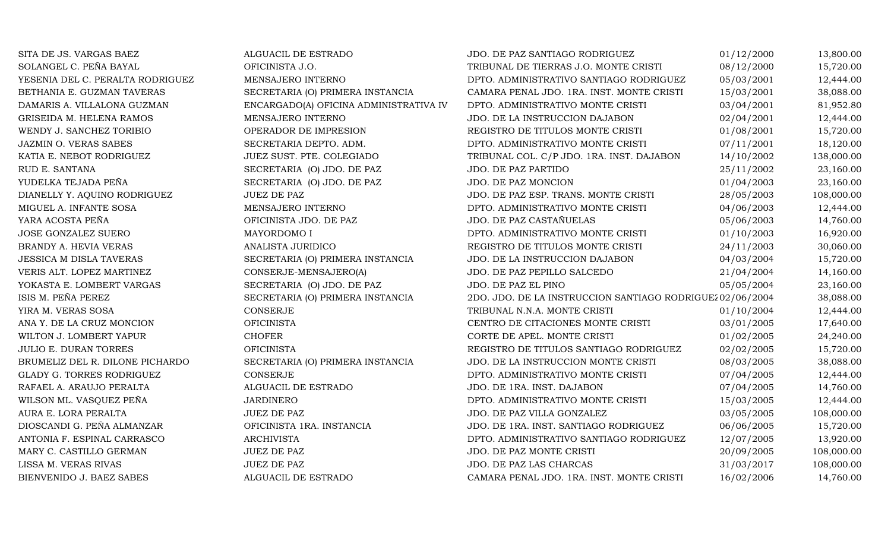| SITA DE JS. VARGAS BAEZ          | ALGUACIL DE ESTRADO                    | JDO. DE PAZ SANTIAGO RODRIGUEZ                            | 01/12/2000 | 13,800.00  |
|----------------------------------|----------------------------------------|-----------------------------------------------------------|------------|------------|
| SOLANGEL C. PEÑA BAYAL           | OFICINISTA J.O.                        | TRIBUNAL DE TIERRAS J.O. MONTE CRISTI                     | 08/12/2000 | 15,720.00  |
| YESENIA DEL C. PERALTA RODRIGUEZ | MENSAJERO INTERNO                      | DPTO. ADMINISTRATIVO SANTIAGO RODRIGUEZ                   | 05/03/2001 | 12,444.00  |
| BETHANIA E. GUZMAN TAVERAS       | SECRETARIA (O) PRIMERA INSTANCIA       | CAMARA PENAL JDO. 1RA. INST. MONTE CRISTI                 | 15/03/2001 | 38,088.00  |
| DAMARIS A. VILLALONA GUZMAN      | ENCARGADO(A) OFICINA ADMINISTRATIVA IV | DPTO. ADMINISTRATIVO MONTE CRISTI                         | 03/04/2001 | 81,952.80  |
| GRISEIDA M. HELENA RAMOS         | MENSAJERO INTERNO                      | JDO. DE LA INSTRUCCION DAJABON                            | 02/04/2001 | 12,444.00  |
| WENDY J. SANCHEZ TORIBIO         | OPERADOR DE IMPRESION                  | REGISTRO DE TITULOS MONTE CRISTI                          | 01/08/2001 | 15,720.00  |
| JAZMIN O. VERAS SABES            | SECRETARIA DEPTO. ADM.                 | DPTO. ADMINISTRATIVO MONTE CRISTI                         | 07/11/2001 | 18,120.00  |
| KATIA E. NEBOT RODRIGUEZ         | JUEZ SUST. PTE. COLEGIADO              | TRIBUNAL COL. C/P JDO. 1RA. INST. DAJABON                 | 14/10/2002 | 138,000.00 |
| RUD E. SANTANA                   | SECRETARIA (O) JDO. DE PAZ             | JDO. DE PAZ PARTIDO                                       | 25/11/2002 | 23,160.00  |
| YUDELKA TEJADA PEÑA              | SECRETARIA (O) JDO. DE PAZ             | JDO. DE PAZ MONCION                                       | 01/04/2003 | 23,160.00  |
| DIANELLY Y. AQUINO RODRIGUEZ     | <b>JUEZ DE PAZ</b>                     | JDO. DE PAZ ESP. TRANS. MONTE CRISTI                      | 28/05/2003 | 108,000.00 |
| MIGUEL A. INFANTE SOSA           | MENSAJERO INTERNO                      | DPTO. ADMINISTRATIVO MONTE CRISTI                         | 04/06/2003 | 12,444.00  |
| YARA ACOSTA PEÑA                 | OFICINISTA JDO. DE PAZ                 | JDO. DE PAZ CASTAÑUELAS                                   | 05/06/2003 | 14,760.00  |
| JOSE GONZALEZ SUERO              | MAYORDOMO I                            | DPTO. ADMINISTRATIVO MONTE CRISTI                         | 01/10/2003 | 16,920.00  |
| BRANDY A. HEVIA VERAS            | ANALISTA JURIDICO                      | REGISTRO DE TITULOS MONTE CRISTI                          | 24/11/2003 | 30,060.00  |
| <b>JESSICA M DISLA TAVERAS</b>   | SECRETARIA (O) PRIMERA INSTANCIA       | JDO. DE LA INSTRUCCION DAJABON                            | 04/03/2004 | 15,720.00  |
| VERIS ALT. LOPEZ MARTINEZ        | CONSERJE-MENSAJERO(A)                  | JDO. DE PAZ PEPILLO SALCEDO                               | 21/04/2004 | 14,160.00  |
| YOKASTA E. LOMBERT VARGAS        | SECRETARIA (O) JDO. DE PAZ             | JDO. DE PAZ EL PINO                                       | 05/05/2004 | 23,160.00  |
| ISIS M. PEÑA PEREZ               | SECRETARIA (O) PRIMERA INSTANCIA       | 2DO. JDO. DE LA INSTRUCCION SANTIAGO RODRIGUEZ 02/06/2004 |            | 38,088.00  |
| YIRA M. VERAS SOSA               | CONSERJE                               | TRIBUNAL N.N.A. MONTE CRISTI                              | 01/10/2004 | 12,444.00  |
| ANA Y. DE LA CRUZ MONCION        | <b>OFICINISTA</b>                      | CENTRO DE CITACIONES MONTE CRISTI                         | 03/01/2005 | 17,640.00  |
| WILTON J. LOMBERT YAPUR          | <b>CHOFER</b>                          | CORTE DE APEL. MONTE CRISTI                               | 01/02/2005 | 24,240.00  |
| <b>JULIO E. DURAN TORRES</b>     | <b>OFICINISTA</b>                      | REGISTRO DE TITULOS SANTIAGO RODRIGUEZ                    | 02/02/2005 | 15,720.00  |
| BRUMELIZ DEL R. DILONE PICHARDO  | SECRETARIA (O) PRIMERA INSTANCIA       | JDO. DE LA INSTRUCCION MONTE CRISTI                       | 08/03/2005 | 38,088.00  |
| GLADY G. TORRES RODRIGUEZ        | <b>CONSERJE</b>                        | DPTO. ADMINISTRATIVO MONTE CRISTI                         | 07/04/2005 | 12,444.00  |
| RAFAEL A. ARAUJO PERALTA         | ALGUACIL DE ESTRADO                    | JDO. DE 1RA. INST. DAJABON                                | 07/04/2005 | 14,760.00  |
| WILSON ML. VASQUEZ PEÑA          | <b>JARDINERO</b>                       | DPTO. ADMINISTRATIVO MONTE CRISTI                         | 15/03/2005 | 12,444.00  |
| AURA E. LORA PERALTA             | <b>JUEZ DE PAZ</b>                     | JDO. DE PAZ VILLA GONZALEZ                                | 03/05/2005 | 108,000.00 |
| DIOSCANDI G. PEÑA ALMANZAR       | OFICINISTA 1RA. INSTANCIA              | JDO. DE 1RA. INST. SANTIAGO RODRIGUEZ                     | 06/06/2005 | 15,720.00  |
| ANTONIA F. ESPINAL CARRASCO      | <b>ARCHIVISTA</b>                      | DPTO. ADMINISTRATIVO SANTIAGO RODRIGUEZ                   | 12/07/2005 | 13,920.00  |
| MARY C. CASTILLO GERMAN          | <b>JUEZ DE PAZ</b>                     | JDO. DE PAZ MONTE CRISTI                                  | 20/09/2005 | 108,000.00 |
| LISSA M. VERAS RIVAS             | <b>JUEZ DE PAZ</b>                     | JDO. DE PAZ LAS CHARCAS                                   | 31/03/2017 | 108,000.00 |
| BIENVENIDO J. BAEZ SABES         | ALGUACIL DE ESTRADO                    | CAMARA PENAL JDO. 1RA. INST. MONTE CRISTI                 | 16/02/2006 | 14,760.00  |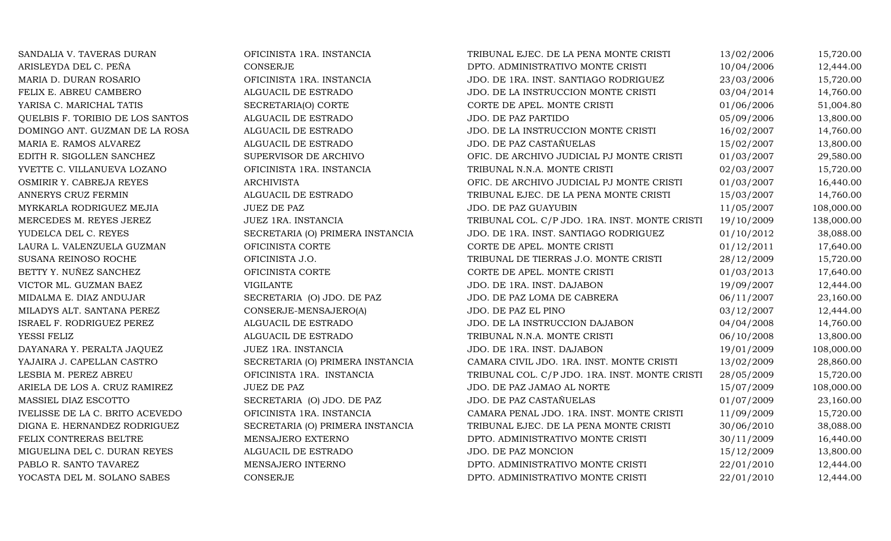| SANDALIA V. TAVERAS DURAN        | OFICINISTA 1RA. INSTANCIA        | TRIBUNAL EJEC. DE LA PENA MONTE CRISTI         | 13/02/2006 | 15,720.00  |
|----------------------------------|----------------------------------|------------------------------------------------|------------|------------|
| ARISLEYDA DEL C. PEÑA            | CONSERJE                         | DPTO. ADMINISTRATIVO MONTE CRISTI              | 10/04/2006 | 12,444.00  |
| MARIA D. DURAN ROSARIO           | OFICINISTA 1RA. INSTANCIA        | JDO. DE 1RA. INST. SANTIAGO RODRIGUEZ          | 23/03/2006 | 15,720.00  |
| FELIX E. ABREU CAMBERO           | ALGUACIL DE ESTRADO              | JDO. DE LA INSTRUCCION MONTE CRISTI            | 03/04/2014 | 14,760.00  |
| YARISA C. MARICHAL TATIS         | SECRETARIA(O) CORTE              | CORTE DE APEL. MONTE CRISTI                    | 01/06/2006 | 51,004.80  |
| QUELBIS F. TORIBIO DE LOS SANTOS | ALGUACIL DE ESTRADO              | JDO. DE PAZ PARTIDO                            | 05/09/2006 | 13,800.00  |
| DOMINGO ANT. GUZMAN DE LA ROSA   | ALGUACIL DE ESTRADO              | JDO. DE LA INSTRUCCION MONTE CRISTI            | 16/02/2007 | 14,760.00  |
| MARIA E. RAMOS ALVAREZ           | ALGUACIL DE ESTRADO              | JDO. DE PAZ CASTAÑUELAS                        | 15/02/2007 | 13,800.00  |
| EDITH R. SIGOLLEN SANCHEZ        | SUPERVISOR DE ARCHIVO            | OFIC. DE ARCHIVO JUDICIAL PJ MONTE CRISTI      | 01/03/2007 | 29,580.00  |
| YVETTE C. VILLANUEVA LOZANO      | OFICINISTA 1RA. INSTANCIA        | TRIBUNAL N.N.A. MONTE CRISTI                   | 02/03/2007 | 15,720.00  |
| OSMIRIR Y. CABREJA REYES         | <b>ARCHIVISTA</b>                | OFIC. DE ARCHIVO JUDICIAL PJ MONTE CRISTI      | 01/03/2007 | 16,440.00  |
| ANNERYS CRUZ FERMIN              | ALGUACIL DE ESTRADO              | TRIBUNAL EJEC. DE LA PENA MONTE CRISTI         | 15/03/2007 | 14,760.00  |
| MYRKARLA RODRIGUEZ MEJIA         | <b>JUEZ DE PAZ</b>               | JDO. DE PAZ GUAYUBIN                           | 11/05/2007 | 108,000.00 |
| MERCEDES M. REYES JEREZ          | JUEZ 1RA. INSTANCIA              | TRIBUNAL COL. C/P JDO. 1RA. INST. MONTE CRISTI | 19/10/2009 | 138,000.00 |
| YUDELCA DEL C. REYES             | SECRETARIA (O) PRIMERA INSTANCIA | JDO. DE 1RA. INST. SANTIAGO RODRIGUEZ          | 01/10/2012 | 38,088.00  |
| LAURA L. VALENZUELA GUZMAN       | OFICINISTA CORTE                 | CORTE DE APEL. MONTE CRISTI                    | 01/12/2011 | 17,640.00  |
| SUSANA REINOSO ROCHE             | OFICINISTA J.O.                  | TRIBUNAL DE TIERRAS J.O. MONTE CRISTI          | 28/12/2009 | 15,720.00  |
| BETTY Y. NUÑEZ SANCHEZ           | OFICINISTA CORTE                 | CORTE DE APEL. MONTE CRISTI                    | 01/03/2013 | 17,640.00  |
| VICTOR ML. GUZMAN BAEZ           | <b>VIGILANTE</b>                 | JDO. DE 1RA. INST. DAJABON                     | 19/09/2007 | 12,444.00  |
| MIDALMA E. DIAZ ANDUJAR          | SECRETARIA (O) JDO. DE PAZ       | JDO. DE PAZ LOMA DE CABRERA                    | 06/11/2007 | 23,160.00  |
| MILADYS ALT. SANTANA PEREZ       | CONSERJE-MENSAJERO(A)            | JDO. DE PAZ EL PINO                            | 03/12/2007 | 12,444.00  |
| ISRAEL F. RODRIGUEZ PEREZ        | ALGUACIL DE ESTRADO              | JDO. DE LA INSTRUCCION DAJABON                 | 04/04/2008 | 14,760.00  |
| YESSI FELIZ                      | ALGUACIL DE ESTRADO              | TRIBUNAL N.N.A. MONTE CRISTI                   | 06/10/2008 | 13,800.00  |
| DAYANARA Y. PERALTA JAQUEZ       | JUEZ 1RA. INSTANCIA              | JDO. DE 1RA. INST. DAJABON                     | 19/01/2009 | 108,000.00 |
| YAJAIRA J. CAPELLAN CASTRO       | SECRETARIA (O) PRIMERA INSTANCIA | CAMARA CIVIL JDO. 1RA. INST. MONTE CRISTI      | 13/02/2009 | 28,860.00  |
| LESBIA M. PEREZ ABREU            | OFICINISTA 1RA. INSTANCIA        | TRIBUNAL COL. C/P JDO. 1RA. INST. MONTE CRISTI | 28/05/2009 | 15,720.00  |
| ARIELA DE LOS A. CRUZ RAMIREZ    | <b>JUEZ DE PAZ</b>               | JDO. DE PAZ JAMAO AL NORTE                     | 15/07/2009 | 108,000.00 |
| MASSIEL DIAZ ESCOTTO             | SECRETARIA (O) JDO. DE PAZ       | JDO. DE PAZ CASTAÑUELAS                        | 01/07/2009 | 23,160.00  |
| IVELISSE DE LA C. BRITO ACEVEDO  | OFICINISTA 1RA. INSTANCIA        | CAMARA PENAL JDO. 1RA. INST. MONTE CRISTI      | 11/09/2009 | 15,720.00  |
| DIGNA E. HERNANDEZ RODRIGUEZ     | SECRETARIA (O) PRIMERA INSTANCIA | TRIBUNAL EJEC. DE LA PENA MONTE CRISTI         | 30/06/2010 | 38,088.00  |
| FELIX CONTRERAS BELTRE           | MENSAJERO EXTERNO                | DPTO. ADMINISTRATIVO MONTE CRISTI              | 30/11/2009 | 16,440.00  |
| MIGUELINA DEL C. DURAN REYES     | ALGUACIL DE ESTRADO              | JDO. DE PAZ MONCION                            | 15/12/2009 | 13,800.00  |
| PABLO R. SANTO TAVAREZ           | MENSAJERO INTERNO                | DPTO. ADMINISTRATIVO MONTE CRISTI              | 22/01/2010 | 12,444.00  |
| YOCASTA DEL M. SOLANO SABES      | <b>CONSERJE</b>                  | DPTO. ADMINISTRATIVO MONTE CRISTI              | 22/01/2010 | 12,444.00  |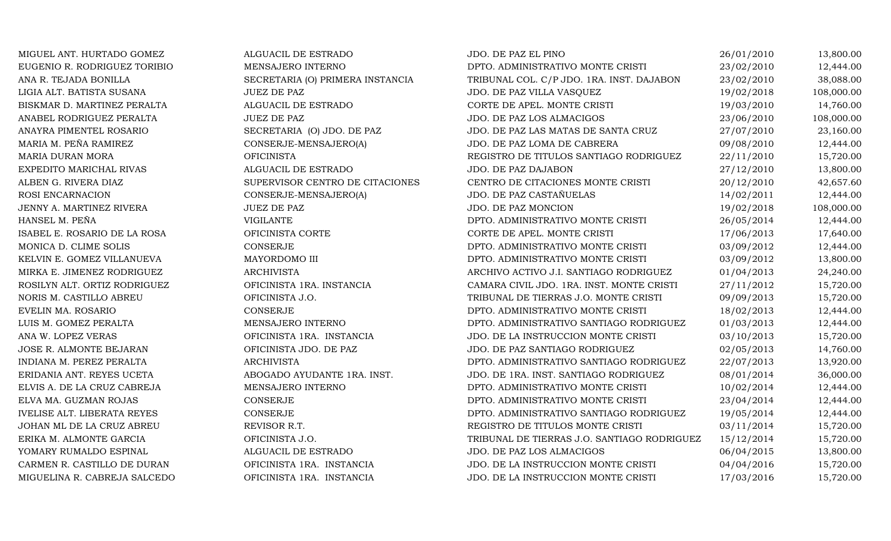MIGUEL ANT. HURTADO GOMEZ ALGUACIL DE ESTRADO JDO. DE PAZ EL PINO $26/01/2010$  13,800.00 EUGENIO R. RODRIGUEZ TORIBIO MENSAJERO INTERNO DPTO. ADMINISTRATIVO MONTE CRISTI 23/02/2010 12,444.00 ANA R. TEJADA BONILLA SECRETARIA (O) PRIMERA INSTANCIA TRIBUNAL COL. C/P JDO. 1RA. INST. DAJABON 23/02/2010 38,088.00 LIGIA ALT. BATISTA SUSANA JUEZ DE PAZ JDO. DE PAZ VILLA VASQUEZ 19/02/2018 108,000.00 BISKMAR D. MARTINEZ PERALTA ALGUACIL DE ESTRADO CORTE DE APEL. MONTE CRISTI 19/03/2010 14,760.00 ANABEL RODRIGUEZ PERALTA JUEZ DE PAZ (UEZ DE PAZ VIDO. DE PAZ LOS ALMACIGOS 23/06/2010 108,000.00 ANAYRA PIMENTEL ROSARIO SECRETARIA (O) JDO. DE PAZ JDO. DE PAZ LAS MATAS DE SANTA CRUZ 27/07/2010 23,160.00 MARIA M. PEÑA RAMIREZ CONSERJE-MENSAJERO(A) JDO. DE PAZ LOMA DE CABRERA 09/08/2010 12,444.00 MARIA DURAN MORA OFICINISTA REGISTRO DE TITULOS SANTIAGO RODRIGUEZ 22/11/2010 15,720.00 EXPEDITO MARICHAL RIVAS ALGUACIL DE ESTRADO JDO. DE PAZ DAJABON 27/12/2010 13,800.00 ALBEN G. RIVERA DIAZ SUPERVISOR CENTRO DE CITACIONES CENTRO DE CITACIONES MONTE CRISTI 20/12/2010 42,657.60 ROSI ENCARNACION CONSERJE-MENSAJERO(A) JDO. DE PAZ CASTAÑUELAS 14/02/2011 12,444.00 JENNY A. MARTINEZ RIVERA JUEZ DE PAZ JUEZ DE PAZ JDO. DE PAZ MONCION 19/02/2018 108,000.00 HANSEL M. PEÑA VIGILANTEDPTO. ADMINISTRATIVO MONTE CRISTI  $26/05/2014$  12,444.00<br>CORTE DE APEL. MONTE CRISTI 17/06/2013 17,640.00 ISABEL E. ROSARIO DE LA ROSA CORTE OFICINISTA CORTE CORTE DE APEL O CORTE DE APEL. MONTE CRISTI LA CORTE DE APEL O PORTE DE APEL ANONTE CRISTI CORTE DE APEL ANONTE CRISTI LA CORTE DE APEL ANONTE CRISTI LA CORTE DE APEL ANO MONICA D. CLIME SOLIS CONSERJE DPTO. ADMINISTRATIVO MONTE CRISTI 03/09/2012 12,444.00 KELVIN E. GOMEZ VILLANUEVA MAYORDOMO III DPTO. ADMINISTRATIVO MONTE CRISTI 03/09/2012 13,800.00 MIRKA E. JIMENEZ RODRIGUEZ ARCHIVISTA ARCHIVO ACTIVO J.I. SANTIAGO RODRIGUEZ 01/04/2013 24,240.00 ROSILYN ALT. ORTIZ RODRIGUEZ OFICINISTA 1RA. INSTANCIA CAMARA CIVIL JDO. 1RA. INST. MONTE CRISTI 27/11/2012 15,720.00 NORIS M. CASTILLO ABREU OFICINISTA J.O. TRIBUNAL DE TIERRAS J.O. MONTE CRISTI 09/09/2013 15,720.00 EVELIN MA. ROSARIO CONSERJE DPTO. ADMINISTRATIVO MONTE CRISTI 18/02/2013 12,444.00 LUIS M. GOMEZ PERALTA MENSAJERO INTERNO DPTO. ADMINISTRATIVO SANTIAGO RODRIGUEZ 01/03/2013 12,444.00 ANA W. LOPEZ VERAS OFICINISTA 1RA. INSTANCIA JDO. DE LA INSTRUCCION MONTE CRISTI 03/10/2013 15,720.00 JOSE R. ALMONTE BEJARAN OFICINISTA JDO. DE PAZ JDO. DE PAZ SANTIAGO RODRIGUEZ 02/05/2013 14,760.00 INDIANA M. PEREZ PERALTA ARCHIVISTA DPTO. ADMINISTRATIVO SANTIAGO RODRIGUEZ 22/07/2013 13,920.00 ERIDANIA ANT. REYES UCETA ABOGADO AYUDANTE 1RA. INST. JDO. DE 1RA. INST. SANTIAGO RODRIGUEZ 08/01/2014 36,000.00 ELVIS A. DE LA CRUZ CABREJA MENSAJERO INTERNO DPTO. ADMINISTRATIVO MONTE CRISTI 10/02/2014 12,444.00 ELVA MA. GUZMAN ROJAS CONSERJE DPTO. ADMINISTRATIVO MONTE CRISTI 23/04/2014 12,444.00 IVELISE ALT. LIBERATA REYES CONSERJE DPTO. ADMINISTRATIVO SANTIAGO RODRIGUEZ 19/05/2014 12,444.00 JOHAN ML DE LA CRUZ ABREU REVISOR R.T. REGISTRO DE TITULOS MONTE CRISTI 03/11/2014 15,720.00 ERIKA M. ALMONTE GARCIA OFICINISTA J.O. TRIBUNAL DE TIERRAS J.O. SANTIAGO RODRIGUEZ 15/12/2014 15,720.00 YOMARY RUMALDO ESPINAL ALGUACIL DE ESTRADO JDO. DE PAZ LOS ALMACIGOS 06/04/2015 13,800.00 CARMEN R. CASTILLO DE DURAN OFICINISTA 1RA. INSTANCIA JDO. DE LA INSTRUCCION MONTE CRISTI 04/04/2016 15,720.00 JDO. DE LA INSTRUCCION MONTE CRISTI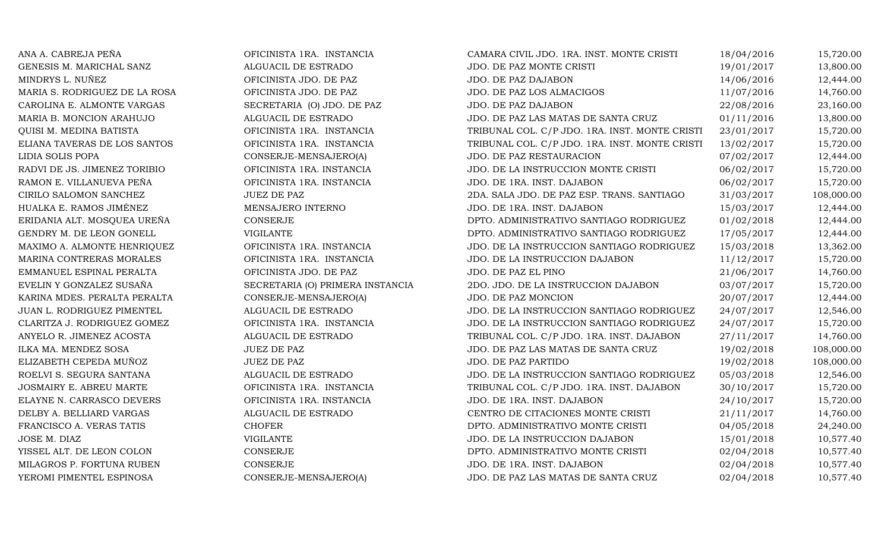ANA A. CABREJA PEÑA OFICINISTA 1RA. INSTANCIA CAMARA CIVIL JDO. 1RA. INST. MONTE CRISTI 18/04/2016 15,720.00 GENESIS M. MARICHAL SANZ ALGUACIL DE ESTRADO JDO. DE PAZ MONTE CRISTI 19/01/2017 13,800.00 MINDRYS L. NUÑEZ CHICINISTA JDO. DE PAZ JDO. DE PAZ DAJABON 14/06/2016 12,444.00 MARIA S. RODRIGUEZ DE LA ROSA CHICINISTA JDO. DE PAZ SANALO DE PAZ LOS ALMACIGOS MEDICIONALE EN 11/07/2016 14,760.00 CAROLINA E. ALMONTE VARGAS SECRETARIA (O) JDO. DE PAZ JDO. DE PAZ DAJABON 22/08/2016 23,160.00 MARIA B. MONCION ARAHUJO ALGUACIL DE ESTRADO JDO. DE PAZ LAS MATAS DE SANTA CRUZ 01/11/2016 13,800.00 QUISI M. MEDINA BATISTA OFICINISTA 1RA. INSTANCIA TRIBUNAL COL. C/P JDO. 1RA. INST. MONTE CRISTI 23/01/2017 15,720.00 ELIANA TAVERAS DE LOS SANTOS OFICINISTA 1RA. INSTANCIA TRIBUNAL COL. C/P JDO. 1RA. INST. MONTE CRISTI 13/02/2017 15,720.00 LIDIA SOLIS POPAA CONSERJE-MENSAJERO(A) JDO. DE PAZ RESTAURACION 07/02/2017 12,444.00 RADVI DE JS. JIMENEZ TORIBIO OFICINISTA 1RA. INSTANCIA JDO. DE LA INSTRUCCION MONTE CRISTI 06/02/2017 15,720.00 RAMON E. VILLANUEVA PEÑA CHEINISTA IRA. INSTANCIA DE O DE 1RA. INST. DAJABON 15,720.00 CIRILO SALOMON SANCHEZ JUEZ DE PAZ JUEZ DE PAZ 2DA. SALA JDO. DE PAZ ESP. TRANS. SANTIAGO 31/03/2017 108,000.00<br>HUALKA E. RAMOS JIMÉNEZ MENSAJERO INTERNO JUO. DE 1RA. INST. DAJABON 15/03/2017 12.444.00 HUALKA E. RAMOS JIMÉNEZ MENSAJERO INTERNO JDO. DE 1RA. INST. DAJABON 15/03/2017 12,444.00 ERIDANIA ALT. MOSQUEA UREÑA CONSERJE DPTO. ADMINISTRATIVO SANTIAGO RODRIGUEZ 01/02/2018 12,444.00 GENDRY M. DE LEON GONELL VIGILANTE DPTO. ADMINISTRATIVO SANTIAGO RODRIGUEZ 17/05/2017 12,444.00 MAXIMO A. ALMONTE HENRIQUEZ OFICINISTA 1RA. INSTANCIA JDO. DE LA INSTRUCCION SANTIAGO RODRIGUEZ 15/03/2018 13,362.00 MARINA CONTRERAS MORALES OFICINISTA 1RA. INSTANCIA JDO. DE LA INSTRUCCION DAJABON 11/12/2017 15,720.00 EMMANUEL ESPINAL PERALTA OFICINISTA JDO. DE PAZ JDO. DE PAZ EL PINO0  $21/06/2017$   $14,760.00$ EVELIN Y GONZALEZ SUSAÑA SECRETARIA (O) PRIMERA INSTANCIA 2DO. JDO. DE LA INSTRUCCION DAJABON 03/07/2017 15,720.00 KARINA MDES. PERALTA PERALTA CONSERJE-MENSAJERO(A) JDO. DE PAZ MONCION 20/07/2017 12,444.00 JUAN L. RODRIGUEZ PIMENTEL ALGUACIL DE ESTRADO JDO. DE LA INSTRUCCION SANTIAGO RODRIGUEZ 24/07/2017 12,546.00 CLARITZA J. RODRIGUEZ GOMEZ OFICINISTA 1RA. INSTANCIA JDO. DE LA INSTRUCCION SANTIAGO RODRIGUEZ 24/07/2017 15,720.00 ANYELO R. JIMENEZ ACOSTA ALGUACIL DE ESTRADO TRIBUNAL COL. C/P JDO. 1RA. INST. DAJABON 27/11/2017 14,760.00 ILKA MA. MENDEZ SOSA JUEZ DE PAZ JDO. DE PAZ LAS MATAS DE SANTA CRUZ 19/02/2018 108,000.00 ELIZABETH CEPEDA MUÑOZ JUEZ DE PAZ JDO. DE PAZ PARTIDO19/02/2018 108,000.00<br>05/03/2018 12,546.00 ROELVI S. SEGURA SANTANA ALGUACIL DE ESTRADO JDO. DE LA INSTRUCCION SANTIAGO RODRIGUEZ 05/03/2018 12,546.00 JOSMAIRY E. ABREU MARTE OFICINISTA 1RA. INSTANCIA TRIBUNAL COL. C/P JDO. 1RA. INST. DAJABON 30/10/2017 15,720.00 ELAYNE N. CARRASCO DEVERS OFICINISTA 1RA. INSTANCIA JDO. DE 1RA. INST. DAJABON 24/10/2017 15,720.00 DELBY A. BELLIARD VARGAS ALGUACIL DE ESTRADO CENTRO DE CITACIONES MONTE CRISTI 21/11/2017 14,760.00<br>FRANCISCO A. VERAS TATIS CHOFER CHOFER DPTO. ADMINISTRATIVO MONTE CRISTI 04/05/2018 24,240.00 DPTO. ADMINISTRATIVO MONTE CRISTI  $04/05/2018$  24,240.00<br>JDO. DE LA INSTRUCCION DAJABON 15/01/2018 10,577.40 JOSE M. DIAZ VIGILANTEJDO. DE LA INSTRUCCION DAJABON 15/01/2018 10,577.40<br>DPTO. ADMINISTRATIVO MONTE CRISTI 02/04/2018 10,577.40 VISSEL ALT. DE LEON COLON CONSERJE CONSERUE DPTO. ADMINISTRATIVO MONTE CRISTI 02/04/2018 10,577.40<br>MILAGROS P. FORTUNA RUBEN CONSERJE CONSERJE JDO. DE 1RA. INST. DAJABON 02/04/2018 10,577.40 MILAGROS P. FORTUNA RUBEN CONSERJE CONSERJE JDO. DE 1RA. INST. DAJABON 02/04/2018 10,577.40 YEROMI PIMENTEL ESPINOSA CONSERJE-MENSAJERO(A) JDO. DE PAZ LAS MATAS DE SANTA CRUZ 02/04/2018 10,577.40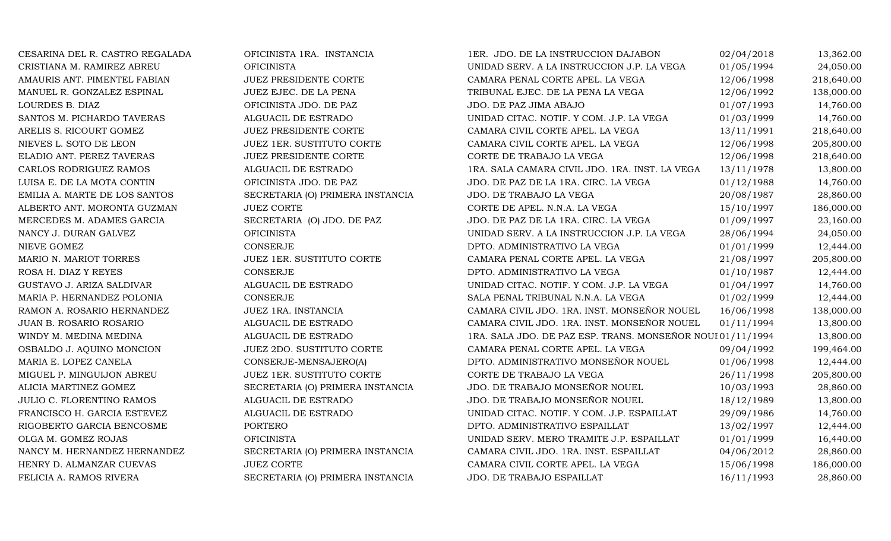CESARINA DEL R. CASTRO REGALADA OFICINISTA 1RA. INSTANCIA 1ER. JDO. DE LA INSTRUCCION DAJABON 02/04/2018 13,362.00<br>CRISTIANA M. RAMIREZ ABREU OFICINISTA OFICINISTA UNIDAD SERV. A LA INSTRUCCION J.P. LA VEGA 01/05/1994 24.0 CRISTIANA M. RAMIREZ ABREU OFICINISTA UNIDAD SERV. A LA INSTRUCCION J.P. LA VEGA 01/05/1994 24,050.00 AMAURIS ANT. PIMENTEL FABIAN JUEZ PRESIDENTE CORTE CORTE CAMARA PENAL CORTE APEL. LA VEGA 12/06/1998 218,640.00<br>MANUEL R. GONZALEZ ESPINAL JUEZ EJEC. DE LA PENA TRIBUNAL EJEC. DE LA PENA LA VEGA 12/06/1992 138,000.00 MANUEL R. GONZALEZ ESPINAL JUEZ EJEC. DE LA PENA TRIBUNAL EJEC. DE LA PENA LA VEGA 12/06/1992 138,000.00 LOURDES B. DIAZ OFICINISTA JDO. DE PAZ JDO. DE PAZ JIMA ABAJO 01/07/1993 14,760.00 SANTOS M. PICHARDO TAVERAS ALGUACIL DE ESTRADO UNIDAD CITAC. NOTIF. Y COM. J.P. LA VEGA 01/03/1999 14,760.00 ARELIS S. RICOURT GOMEZ JUEZ PRESIDENTE CORTE CAMARA CIVIL CORTE APEL. LA VEGA 13/11/1991 218,640.00 NIEVES L. SOTO DE LEON JUEZ 1ER. SUSTITUTO CORTE CAMARA CIVIL CORTE APEL. LA VEGA 12/06/1998 205,800.00<br>ELADIO ANT. PEREZ TAVERAS JUEZ PRESIDENTE CORTE CORTE CORTE DE TRABAJO LA VEGA 12/06/1998 218,640.00 ELADIO ANT. PEREZ TAVERAS JUEZ PRESIDENTE CORTE CORTE DE TRABAJO LA VEGA 12/06/1998 218,640.00 CARLOS RODRIGUEZ RAMOS ALGUACIL DE ESTRADO 1RA. SALA CAMARA CIVIL JDO. 1RA. INST. LA VEGA 13/11/1978 13,800.00<br>21/12/1988 14,760.00 1.17/1988 14,760.00 DE PAZ JDO. DE PAZ DE LA 1RA. CIRC. LA VEGA 11/12/1988 14,760.00 LUISA E. DE LA MOTA CONTIN OFICINISTA JDO. DE PAZ JDO. DE PAZ DE LA 1RA. CIRC. LA VEGA 01/12/1988 14,760.00 EMILIA A. MARTE DE LOS SANTOS SECRETARIA (O) PRIMERA INSTANCIA JDO. DE TRABAJO LA VEGA 20/08/1987 28,860.00<br>ALBERTO ANT. MORONTA GUZMAN JUEZ CORTE SE CORTE DE APEL. N.N.A. LA VEGA 15/10/1997 186.000.00 ALBERTO ANT. MORONTA GUZMAN JUEZ CORTE CORTE CORTE DE APEL. N.N.A. LA VEGA 15/10/1997 186,000.00 MERCEDES M. ADAMES GARCIA SECRETARIA (O) JDO. DE PAZ JDO. DE PAZ DE LA 1RA. CIRC. LA VEGA 01/09/1997 23,160.00 NANCY J. DURAN GALVEZ OFICINISTA UNIDAD SERV. A LA INSTRUCCION J.P. LA VEGA 28/06/1994 24,050.00 NIEVE GOMEZ CONSERJEDPTO. ADMINISTRATIVO LA VEGA  $01/01/1999$  12,444.00<br>CAMARA PENAL CORTE APEL. LA VEGA 21/08/1997 205,800.00 MARIO N. MARIOT TORRES JUEZ 1ER. SUSTITUTO CORTE CAMARA PENAL CORTE APEL. LA VEGA 21/08/1997 205,800.00<br>ROSA H. DIAZ Y REYES CONSERJE CONSERJE DPTO. ADMINISTRATIVO LA VEGA 01/10/1987 12,444.00 ROSA H. DIAZ Y REYES CONSERJE CONSERUE DPTO. ADMINISTRATIVO LA VEGA 01/10/1987 12,444.00 GUSTAVO J. ARIZA SALDIVAR ALGUACIL DE ESTRADO UNIDAD CITAC. NOTIF. Y COM. J.P. LA VEGA 01/04/1997 14,760.00 MARIA P. HERNANDEZ POLONIA CONSERJE SALA PENAL TRIBUNAL N.N.A. LA VEGA 01/02/1999 12,444.00 RAMON A. ROSARIO HERNANDEZ JUEZ 1RA. INSTANCIA CAMARA CIVIL JDO. 1RA. INST. MONSEÑOR NOUEL 16/06/1998 138,000.00 JUAN B. ROSARIO ROSARIO ALGUACIL DE ESTRADO CAMARA CIVIL JDO. 1RA. INST. MONSEÑOR NOUEL 01/11/1994 13,800.00 WINDY M. MEDINA MEDINA ALGUACIL DE ESTRADO1RA. SALA JDO. DE PAZ ESP. TRANS. MONSEÑOR NOUI 01/11/1994 13,800.00<br>CAMARA PENAL CORTE APEL. LA VEGA 09/04/1992 199.464.00 OSBALDO J. AQUINO MONCION JUEZ 2DO. SUSTITUTO CORTE CAMARA PENAL CORTE APEL. LA VEGA 09/04/1992 199,464.00<br>MARIA E. LOPEZ CANELA CONSERJE-MENSAJERO(A) DPTO. ADMINISTRATIVO MONSEÑOR NOUEL 01/06/1998 12,444.00 MARIA E. LOPEZ CANELA CONSERJE-MENSAJERO(A) DPTO. ADMINISTRATIVO MONSEÑOR NOUEL 01/06/1998 12,444.00 MIGUEL P. MINGUIJON ABREU JUEZ 1ER. SUSTITUTO CORTE CORTE DE TRABAJO LA VEGA 26/11/1998 205,800.00 ALICIA MARTINEZ GOMEZ SECRETARIA (O) PRIMERA INSTANCIA JDO. DE TRABAJO MONSEÑOR NOUEL 10/03/1993 28,860.00 JULIO C. FLORENTINO RAMOS ALGUACIL DE ESTRADO JDO. DE TRABAJO MONSEÑOR NOUEL 18/12/1989 13,800.00<br>FRANCISCO H. GARCIA ESTEVEZ ALGUACIL DE ESTRADO UNIDAD CITAC. NOTIF. Y COM. J.P. ESPAILLAT 29/09/1986 14,760.00 FRANCISCO H. GARCIA ESTEVEZ ALGUACIL DE ESTRADO UNIDAD CITAC. NOTIF. Y COM. J.P. ESPAILLAT 29/09/1986 14,760.00 RIGOBERTO GARCIA BENCOSME PORTERODPTO. ADMINISTRATIVO ESPAILLAT 13/02/1997 12,444.00<br>UNIDAD SERV. MERO TRAMITE J.P. ESPAILLAT 01/01/1999 16,440.00 OLGA M. GOMEZ ROJAS OFICINISTA UNIDAD SERV. MERO TRAMITE J.P. ESPAILLAT 01/01/1999 16,440.00 NANCY M. HERNANDEZ HERNANDEZ SECRETARIA (O) PRIMERA INSTANCIA CAMARA CIVIL JDO. 1RA. INST. ESPAILLAT 04/06/2012 28,860.00<br>CAMARA CIVIL CORTE APEL. LA VEGA 15/06/1998 186,000.00 HENRY D. ALMANZAR CUEVAS JUEZ CORTE CAMARA CIVIL CORTE APEL. LA VEGA 15/06/1998 186,000.00 FELICIA A. RAMOS RIVERA SECRETARIA (O) PRIMERA INSTANCIA JDO. DE TRABAJO ESPAILLAT 16/11/1993 28,860.00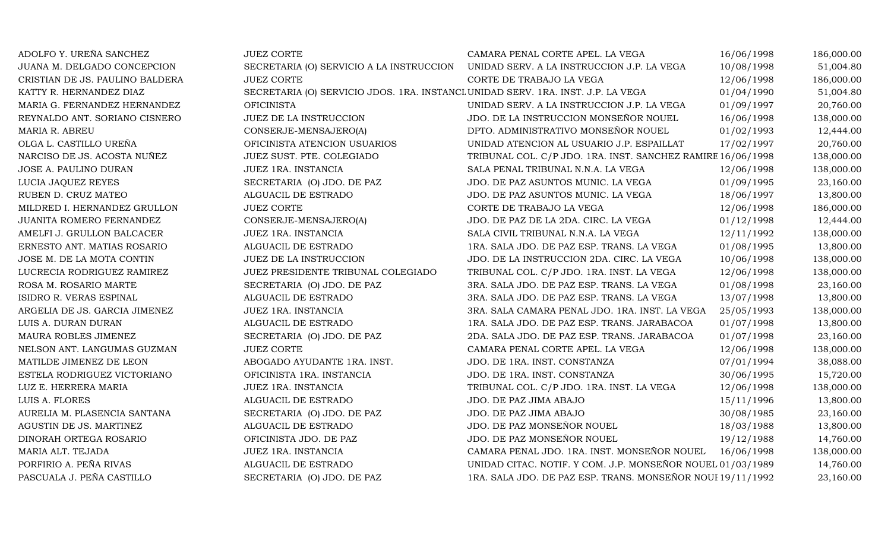| ADOLFO Y. UREÑA SANCHEZ         | <b>JUEZ CORTE</b>                                                                | CAMARA PENAL CORTE APEL. LA VEGA                            | 16/06/1998 | 186,000.00 |
|---------------------------------|----------------------------------------------------------------------------------|-------------------------------------------------------------|------------|------------|
| JUANA M. DELGADO CONCEPCION     | SECRETARIA (O) SERVICIO A LA INSTRUCCION                                         | UNIDAD SERV. A LA INSTRUCCION J.P. LA VEGA                  | 10/08/1998 | 51,004.80  |
| CRISTIAN DE JS. PAULINO BALDERA | <b>JUEZ CORTE</b>                                                                | CORTE DE TRABAJO LA VEGA                                    | 12/06/1998 | 186,000.00 |
| KATTY R. HERNANDEZ DIAZ         | SECRETARIA (O) SERVICIO JDOS. 1RA. INSTANCI UNIDAD SERV. 1RA. INST. J.P. LA VEGA |                                                             | 01/04/1990 | 51,004.80  |
| MARIA G. FERNANDEZ HERNANDEZ    | <b>OFICINISTA</b>                                                                | UNIDAD SERV. A LA INSTRUCCION J.P. LA VEGA                  | 01/09/1997 | 20,760.00  |
| REYNALDO ANT. SORIANO CISNERO   | JUEZ DE LA INSTRUCCION                                                           | JDO. DE LA INSTRUCCION MONSEÑOR NOUEL                       | 16/06/1998 | 138,000.00 |
| MARIA R. ABREU                  | CONSERJE-MENSAJERO(A)                                                            | DPTO. ADMINISTRATIVO MONSEÑOR NOUEL                         | 01/02/1993 | 12,444.00  |
| OLGA L. CASTILLO UREÑA          | OFICINISTA ATENCION USUARIOS                                                     | UNIDAD ATENCION AL USUARIO J.P. ESPAILLAT                   | 17/02/1997 | 20,760.00  |
| NARCISO DE JS. ACOSTA NUÑEZ     | JUEZ SUST. PTE. COLEGIADO                                                        | TRIBUNAL COL. C/P JDO. 1RA. INST. SANCHEZ RAMIRE 16/06/1998 |            | 138,000.00 |
| JOSE A. PAULINO DURAN           | JUEZ 1RA. INSTANCIA                                                              | SALA PENAL TRIBUNAL N.N.A. LA VEGA                          | 12/06/1998 | 138,000.00 |
| LUCIA JAQUEZ REYES              | SECRETARIA (O) JDO. DE PAZ                                                       | JDO. DE PAZ ASUNTOS MUNIC. LA VEGA                          | 01/09/1995 | 23,160.00  |
| RUBEN D. CRUZ MATEO             | ALGUACIL DE ESTRADO                                                              | JDO. DE PAZ ASUNTOS MUNIC. LA VEGA                          | 18/06/1997 | 13,800.00  |
| MILDRED I. HERNANDEZ GRULLON    | <b>JUEZ CORTE</b>                                                                | CORTE DE TRABAJO LA VEGA                                    | 12/06/1998 | 186,000.00 |
| JUANITA ROMERO FERNANDEZ        | CONSERJE-MENSAJERO(A)                                                            | JDO. DE PAZ DE LA 2DA. CIRC. LA VEGA                        | 01/12/1998 | 12,444.00  |
| AMELFI J. GRULLON BALCACER      | JUEZ 1RA. INSTANCIA                                                              | SALA CIVIL TRIBUNAL N.N.A. LA VEGA                          | 12/11/1992 | 138,000.00 |
| ERNESTO ANT. MATIAS ROSARIO     | ALGUACIL DE ESTRADO                                                              | 1RA. SALA JDO. DE PAZ ESP. TRANS. LA VEGA                   | 01/08/1995 | 13,800.00  |
| JOSE M. DE LA MOTA CONTIN       | JUEZ DE LA INSTRUCCION                                                           | JDO. DE LA INSTRUCCION 2DA. CIRC. LA VEGA                   | 10/06/1998 | 138,000.00 |
| LUCRECIA RODRIGUEZ RAMIREZ      | JUEZ PRESIDENTE TRIBUNAL COLEGIADO                                               | TRIBUNAL COL. C/P JDO. 1RA. INST. LA VEGA                   | 12/06/1998 | 138,000.00 |
| ROSA M. ROSARIO MARTE           | SECRETARIA (O) JDO. DE PAZ                                                       | 3RA. SALA JDO. DE PAZ ESP. TRANS. LA VEGA                   | 01/08/1998 | 23,160.00  |
| ISIDRO R. VERAS ESPINAL         | ALGUACIL DE ESTRADO                                                              | 3RA. SALA JDO. DE PAZ ESP. TRANS. LA VEGA                   | 13/07/1998 | 13,800.00  |
| ARGELIA DE JS. GARCIA JIMENEZ   | JUEZ 1RA. INSTANCIA                                                              | 3RA. SALA CAMARA PENAL JDO. 1RA. INST. LA VEGA              | 25/05/1993 | 138,000.00 |
| LUIS A. DURAN DURAN             | ALGUACIL DE ESTRADO                                                              | 1RA. SALA JDO. DE PAZ ESP. TRANS. JARABACOA                 | 01/07/1998 | 13,800.00  |
| MAURA ROBLES JIMENEZ            | SECRETARIA (O) JDO. DE PAZ                                                       | 2DA. SALA JDO. DE PAZ ESP. TRANS. JARABACOA                 | 01/07/1998 | 23,160.00  |
| NELSON ANT. LANGUMAS GUZMAN     | <b>JUEZ CORTE</b>                                                                | CAMARA PENAL CORTE APEL. LA VEGA                            | 12/06/1998 | 138,000.00 |
| MATILDE JIMENEZ DE LEON         | ABOGADO AYUDANTE 1RA. INST.                                                      | JDO. DE 1RA. INST. CONSTANZA                                | 07/01/1994 | 38,088.00  |
| ESTELA RODRIGUEZ VICTORIANO     | OFICINISTA 1RA. INSTANCIA                                                        | JDO. DE 1RA. INST. CONSTANZA                                | 30/06/1995 | 15,720.00  |
| LUZ E. HERRERA MARIA            | JUEZ 1RA. INSTANCIA                                                              | TRIBUNAL COL. C/P JDO. 1RA. INST. LA VEGA                   | 12/06/1998 | 138,000.00 |
| LUIS A. FLORES                  | ALGUACIL DE ESTRADO                                                              | JDO. DE PAZ JIMA ABAJO                                      | 15/11/1996 | 13,800.00  |
| AURELIA M. PLASENCIA SANTANA    | SECRETARIA (O) JDO. DE PAZ                                                       | JDO. DE PAZ JIMA ABAJO                                      | 30/08/1985 | 23,160.00  |
| AGUSTIN DE JS. MARTINEZ         | ALGUACIL DE ESTRADO                                                              | JDO. DE PAZ MONSEÑOR NOUEL                                  | 18/03/1988 | 13,800.00  |
| DINORAH ORTEGA ROSARIO          | OFICINISTA JDO. DE PAZ                                                           | JDO. DE PAZ MONSEÑOR NOUEL                                  | 19/12/1988 | 14,760.00  |
| MARIA ALT. TEJADA               | JUEZ 1RA. INSTANCIA                                                              | CAMARA PENAL JDO. 1RA. INST. MONSEÑOR NOUEL                 | 16/06/1998 | 138,000.00 |
| PORFIRIO A. PEÑA RIVAS          | ALGUACIL DE ESTRADO                                                              | UNIDAD CITAC. NOTIF. Y COM. J.P. MONSEÑOR NOUEL 01/03/1989  |            | 14,760.00  |
| PASCUALA J. PEÑA CASTILLO       | SECRETARIA (O) JDO. DE PAZ                                                       | 1RA. SALA JDO. DE PAZ ESP. TRANS. MONSEÑOR NOUI 19/11/1992  |            | 23,160.00  |
|                                 |                                                                                  |                                                             |            |            |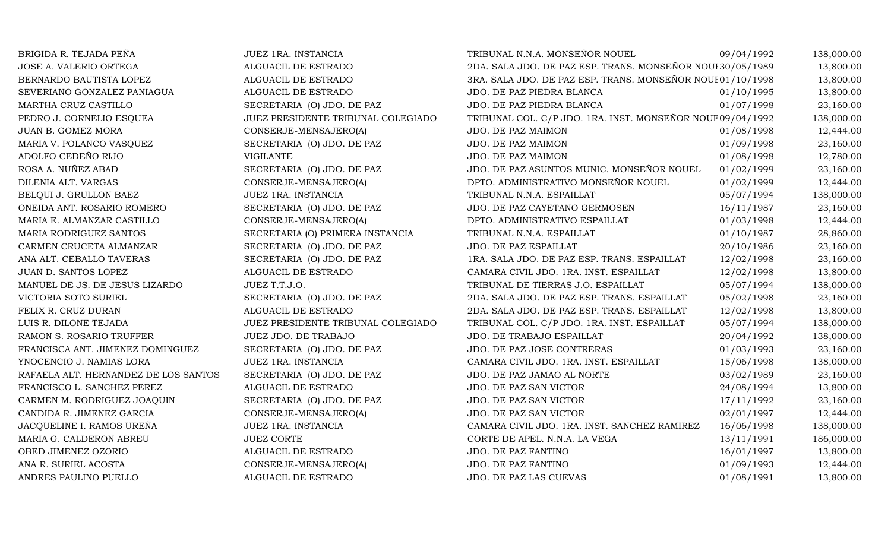| JUEZ 1RA. INSTANCIA                | TRIBUNAL N.N.A. MONSEÑOR NOUEL               | 09/04/1992 | 138,000.00                                                                                                                                                                             |
|------------------------------------|----------------------------------------------|------------|----------------------------------------------------------------------------------------------------------------------------------------------------------------------------------------|
| ALGUACIL DE ESTRADO                |                                              |            | 13,800.00                                                                                                                                                                              |
| ALGUACIL DE ESTRADO                |                                              |            | 13,800.00                                                                                                                                                                              |
| ALGUACIL DE ESTRADO                | JDO. DE PAZ PIEDRA BLANCA                    | 01/10/1995 | 13,800.00                                                                                                                                                                              |
| SECRETARIA (O) JDO. DE PAZ         | JDO. DE PAZ PIEDRA BLANCA                    | 01/07/1998 | 23,160.00                                                                                                                                                                              |
| JUEZ PRESIDENTE TRIBUNAL COLEGIADO |                                              |            | 138,000.00                                                                                                                                                                             |
| CONSERJE-MENSAJERO(A)              | JDO. DE PAZ MAIMON                           | 01/08/1998 | 12,444.00                                                                                                                                                                              |
| SECRETARIA (O) JDO. DE PAZ         | JDO. DE PAZ MAIMON                           | 01/09/1998 | 23,160.00                                                                                                                                                                              |
| <b>VIGILANTE</b>                   | JDO. DE PAZ MAIMON                           | 01/08/1998 | 12,780.00                                                                                                                                                                              |
| SECRETARIA (O) JDO. DE PAZ         | JDO. DE PAZ ASUNTOS MUNIC. MONSEÑOR NOUEL    | 01/02/1999 | 23,160.00                                                                                                                                                                              |
| CONSERJE-MENSAJERO(A)              | DPTO. ADMINISTRATIVO MONSEÑOR NOUEL          | 01/02/1999 | 12,444.00                                                                                                                                                                              |
| JUEZ 1RA. INSTANCIA                | TRIBUNAL N.N.A. ESPAILLAT                    | 05/07/1994 | 138,000.00                                                                                                                                                                             |
| SECRETARIA (O) JDO. DE PAZ         | JDO. DE PAZ CAYETANO GERMOSEN                | 16/11/1987 | 23,160.00                                                                                                                                                                              |
| CONSERJE-MENSAJERO(A)              | DPTO. ADMINISTRATIVO ESPAILLAT               | 01/03/1998 | 12,444.00                                                                                                                                                                              |
| SECRETARIA (O) PRIMERA INSTANCIA   | TRIBUNAL N.N.A. ESPAILLAT                    | 01/10/1987 | 28,860.00                                                                                                                                                                              |
| SECRETARIA (O) JDO. DE PAZ         | JDO. DE PAZ ESPAILLAT                        | 20/10/1986 | 23,160.00                                                                                                                                                                              |
| SECRETARIA (O) JDO. DE PAZ         | 1RA. SALA JDO. DE PAZ ESP. TRANS. ESPAILLAT  | 12/02/1998 | 23,160.00                                                                                                                                                                              |
| ALGUACIL DE ESTRADO                | CAMARA CIVIL JDO. 1RA. INST. ESPAILLAT       | 12/02/1998 | 13,800.00                                                                                                                                                                              |
| JUEZ T.T.J.O.                      | TRIBUNAL DE TIERRAS J.O. ESPAILLAT           | 05/07/1994 | 138,000.00                                                                                                                                                                             |
| SECRETARIA (O) JDO. DE PAZ         | 2DA. SALA JDO. DE PAZ ESP. TRANS. ESPAILLAT  | 05/02/1998 | 23,160.00                                                                                                                                                                              |
| ALGUACIL DE ESTRADO                | 2DA. SALA JDO. DE PAZ ESP. TRANS. ESPAILLAT  | 12/02/1998 | 13,800.00                                                                                                                                                                              |
| JUEZ PRESIDENTE TRIBUNAL COLEGIADO | TRIBUNAL COL. C/P JDO. 1RA. INST. ESPAILLAT  | 05/07/1994 | 138,000.00                                                                                                                                                                             |
| JUEZ JDO. DE TRABAJO               | JDO. DE TRABAJO ESPAILLAT                    | 20/04/1992 | 138,000.00                                                                                                                                                                             |
| SECRETARIA (O) JDO. DE PAZ         | JDO. DE PAZ JOSE CONTRERAS                   | 01/03/1993 | 23,160.00                                                                                                                                                                              |
| JUEZ 1RA. INSTANCIA                | CAMARA CIVIL JDO. 1RA. INST. ESPAILLAT       | 15/06/1998 | 138,000.00                                                                                                                                                                             |
| SECRETARIA (O) JDO. DE PAZ         | JDO. DE PAZ JAMAO AL NORTE                   | 03/02/1989 | 23,160.00                                                                                                                                                                              |
| ALGUACIL DE ESTRADO                | JDO. DE PAZ SAN VICTOR                       | 24/08/1994 | 13,800.00                                                                                                                                                                              |
| SECRETARIA (O) JDO. DE PAZ         | JDO. DE PAZ SAN VICTOR                       | 17/11/1992 | 23,160.00                                                                                                                                                                              |
| CONSERJE-MENSAJERO(A)              | JDO. DE PAZ SAN VICTOR                       | 02/01/1997 | 12,444.00                                                                                                                                                                              |
| JUEZ 1RA. INSTANCIA                | CAMARA CIVIL JDO. 1RA. INST. SANCHEZ RAMIREZ | 16/06/1998 | 138,000.00                                                                                                                                                                             |
| <b>JUEZ CORTE</b>                  | CORTE DE APEL. N.N.A. LA VEGA                | 13/11/1991 | 186,000.00                                                                                                                                                                             |
| ALGUACIL DE ESTRADO                | JDO. DE PAZ FANTINO                          | 16/01/1997 | 13,800.00                                                                                                                                                                              |
| CONSERJE-MENSAJERO(A)              | JDO. DE PAZ FANTINO                          | 01/09/1993 | 12,444.00                                                                                                                                                                              |
| ALGUACIL DE ESTRADO                | JDO. DE PAZ LAS CUEVAS                       | 01/08/1991 | 13,800.00                                                                                                                                                                              |
|                                    |                                              |            | 2DA. SALA JDO. DE PAZ ESP. TRANS. MONSEÑOR NOUI 30/05/1989<br>3RA. SALA JDO. DE PAZ ESP. TRANS. MONSEÑOR NOUI 01/10/1998<br>TRIBUNAL COL. C/P JDO. 1RA. INST. MONSEÑOR NOUE 09/04/1992 |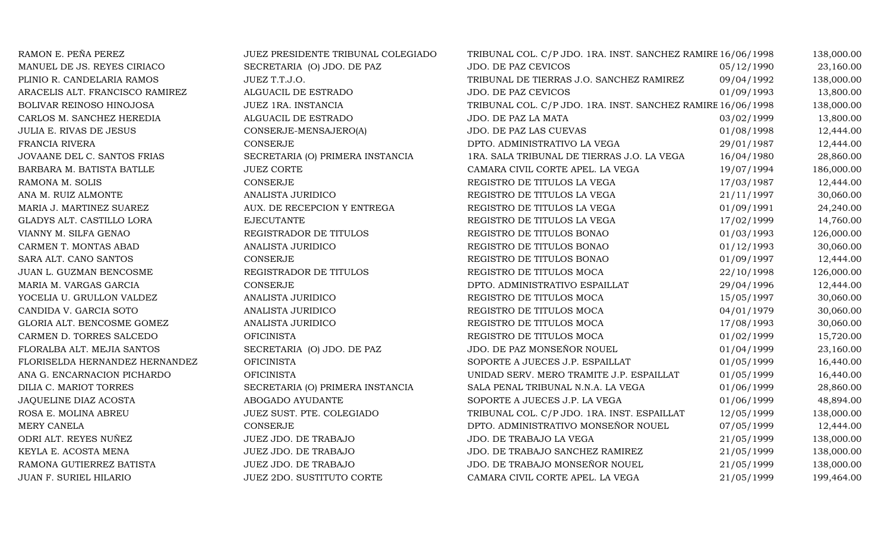| RAMON E. PEÑA PEREZ             | JUEZ PRESIDENTE TRIBUNAL COLEGIADO | TRIBUNAL COL. C/P JDO. 1RA. INST. SANCHEZ RAMIRE 16/06/1998 |            | 138,000.00 |
|---------------------------------|------------------------------------|-------------------------------------------------------------|------------|------------|
| MANUEL DE JS. REYES CIRIACO     | SECRETARIA (O) JDO. DE PAZ         | JDO. DE PAZ CEVICOS                                         | 05/12/1990 | 23,160.00  |
| PLINIO R. CANDELARIA RAMOS      | JUEZ T.T.J.O.                      | TRIBUNAL DE TIERRAS J.O. SANCHEZ RAMIREZ                    | 09/04/1992 | 138,000.00 |
| ARACELIS ALT. FRANCISCO RAMIREZ | ALGUACIL DE ESTRADO                | JDO. DE PAZ CEVICOS                                         | 01/09/1993 | 13,800.00  |
| BOLIVAR REINOSO HINOJOSA        | JUEZ 1RA. INSTANCIA                | TRIBUNAL COL. C/P JDO. 1RA. INST. SANCHEZ RAMIRE 16/06/1998 |            | 138,000.00 |
| CARLOS M. SANCHEZ HEREDIA       | ALGUACIL DE ESTRADO                | JDO. DE PAZ LA MATA                                         | 03/02/1999 | 13,800.00  |
| JULIA E. RIVAS DE JESUS         | CONSERJE-MENSAJERO(A)              | JDO. DE PAZ LAS CUEVAS                                      | 01/08/1998 | 12,444.00  |
| FRANCIA RIVERA                  | <b>CONSERJE</b>                    | DPTO. ADMINISTRATIVO LA VEGA                                | 29/01/1987 | 12,444.00  |
| JOVAANE DEL C. SANTOS FRIAS     | SECRETARIA (O) PRIMERA INSTANCIA   | 1RA. SALA TRIBUNAL DE TIERRAS J.O. LA VEGA                  | 16/04/1980 | 28,860.00  |
| BARBARA M. BATISTA BATLLE       | <b>JUEZ CORTE</b>                  | CAMARA CIVIL CORTE APEL. LA VEGA                            | 19/07/1994 | 186,000.00 |
| RAMONA M. SOLIS                 | CONSERJE                           | REGISTRO DE TITULOS LA VEGA                                 | 17/03/1987 | 12,444.00  |
| ANA M. RUIZ ALMONTE             | ANALISTA JURIDICO                  | REGISTRO DE TITULOS LA VEGA                                 | 21/11/1997 | 30,060.00  |
| MARIA J. MARTINEZ SUAREZ        | AUX. DE RECEPCION Y ENTREGA        | REGISTRO DE TITULOS LA VEGA                                 | 01/09/1991 | 24,240.00  |
| GLADYS ALT. CASTILLO LORA       | <b>EJECUTANTE</b>                  | REGISTRO DE TITULOS LA VEGA                                 | 17/02/1999 | 14,760.00  |
| VIANNY M. SILFA GENAO           | REGISTRADOR DE TITULOS             | REGISTRO DE TITULOS BONAO                                   | 01/03/1993 | 126,000.00 |
| CARMEN T. MONTAS ABAD           | ANALISTA JURIDICO                  | REGISTRO DE TITULOS BONAO                                   | 01/12/1993 | 30,060.00  |
| SARA ALT. CANO SANTOS           | CONSERJE                           | REGISTRO DE TITULOS BONAO                                   | 01/09/1997 | 12,444.00  |
| JUAN L. GUZMAN BENCOSME         | REGISTRADOR DE TITULOS             | REGISTRO DE TITULOS MOCA                                    | 22/10/1998 | 126,000.00 |
| MARIA M. VARGAS GARCIA          | CONSERJE                           | DPTO. ADMINISTRATIVO ESPAILLAT                              | 29/04/1996 | 12,444.00  |
| YOCELIA U. GRULLON VALDEZ       | ANALISTA JURIDICO                  | REGISTRO DE TITULOS MOCA                                    | 15/05/1997 | 30,060.00  |
| CANDIDA V. GARCIA SOTO          | ANALISTA JURIDICO                  | REGISTRO DE TITULOS MOCA                                    | 04/01/1979 | 30,060.00  |
| GLORIA ALT. BENCOSME GOMEZ      | ANALISTA JURIDICO                  | REGISTRO DE TITULOS MOCA                                    | 17/08/1993 | 30,060.00  |
| CARMEN D. TORRES SALCEDO        | <b>OFICINISTA</b>                  | REGISTRO DE TITULOS MOCA                                    | 01/02/1999 | 15,720.00  |
| FLORALBA ALT. MEJIA SANTOS      | SECRETARIA (O) JDO. DE PAZ         | JDO. DE PAZ MONSEÑOR NOUEL                                  | 01/04/1999 | 23,160.00  |
| FLORISELDA HERNANDEZ HERNANDEZ  | <b>OFICINISTA</b>                  | SOPORTE A JUECES J.P. ESPAILLAT                             | 01/05/1999 | 16,440.00  |
| ANA G. ENCARNACION PICHARDO     | <b>OFICINISTA</b>                  | UNIDAD SERV. MERO TRAMITE J.P. ESPAILLAT                    | 01/05/1999 | 16,440.00  |
| DILIA C. MARIOT TORRES          | SECRETARIA (O) PRIMERA INSTANCIA   | SALA PENAL TRIBUNAL N.N.A. LA VEGA                          | 01/06/1999 | 28,860.00  |
| JAQUELINE DIAZ ACOSTA           | ABOGADO AYUDANTE                   | SOPORTE A JUECES J.P. LA VEGA                               | 01/06/1999 | 48,894.00  |
| ROSA E. MOLINA ABREU            | JUEZ SUST. PTE. COLEGIADO          | TRIBUNAL COL. C/P JDO. 1RA. INST. ESPAILLAT                 | 12/05/1999 | 138,000.00 |
| MERY CANELA                     | CONSERJE                           | DPTO. ADMINISTRATIVO MONSEÑOR NOUEL                         | 07/05/1999 | 12,444.00  |
| ODRI ALT. REYES NUÑEZ           | JUEZ JDO. DE TRABAJO               | JDO. DE TRABAJO LA VEGA                                     | 21/05/1999 | 138,000.00 |
| KEYLA E. ACOSTA MENA            | JUEZ JDO. DE TRABAJO               | JDO. DE TRABAJO SANCHEZ RAMIREZ                             | 21/05/1999 | 138,000.00 |
| RAMONA GUTIERREZ BATISTA        | JUEZ JDO. DE TRABAJO               | JDO. DE TRABAJO MONSEÑOR NOUEL                              | 21/05/1999 | 138,000.00 |
| JUAN F. SURIEL HILARIO          | JUEZ 2DO. SUSTITUTO CORTE          | CAMARA CIVIL CORTE APEL. LA VEGA                            | 21/05/1999 | 199,464.00 |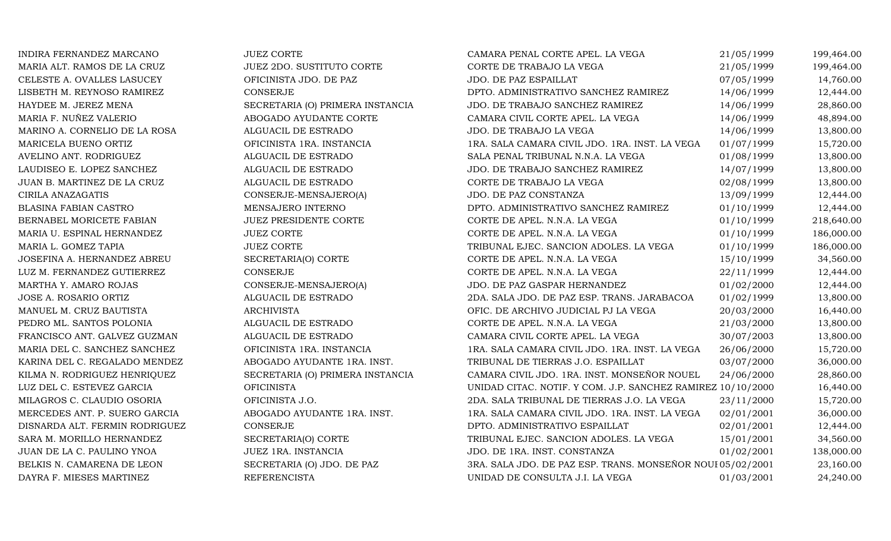| INDIRA FERNANDEZ MARCANO       | <b>JUEZ CORTE</b>                | CAMARA PENAL CORTE APEL. LA VEGA                            | 21/05/1999 | 199,464.00 |
|--------------------------------|----------------------------------|-------------------------------------------------------------|------------|------------|
| MARIA ALT. RAMOS DE LA CRUZ    | <b>JUEZ 2DO. SUSTITUTO CORTE</b> | CORTE DE TRABAJO LA VEGA                                    | 21/05/1999 | 199,464.00 |
| CELESTE A. OVALLES LASUCEY     | OFICINISTA JDO. DE PAZ           | JDO. DE PAZ ESPAILLAT                                       | 07/05/1999 | 14,760.00  |
| LISBETH M. REYNOSO RAMIREZ     | <b>CONSERJE</b>                  | DPTO. ADMINISTRATIVO SANCHEZ RAMIREZ                        | 14/06/1999 | 12,444.00  |
| HAYDEE M. JEREZ MENA           | SECRETARIA (O) PRIMERA INSTANCIA | JDO. DE TRABAJO SANCHEZ RAMIREZ                             | 14/06/1999 | 28,860.00  |
| MARIA F. NUÑEZ VALERIO         | ABOGADO AYUDANTE CORTE           | CAMARA CIVIL CORTE APEL. LA VEGA                            | 14/06/1999 | 48,894.00  |
| MARINO A. CORNELIO DE LA ROSA  | ALGUACIL DE ESTRADO              | JDO. DE TRABAJO LA VEGA                                     | 14/06/1999 | 13,800.00  |
| MARICELA BUENO ORTIZ           | OFICINISTA 1RA. INSTANCIA        | 1RA. SALA CAMARA CIVIL JDO. 1RA. INST. LA VEGA              | 01/07/1999 | 15,720.00  |
| AVELINO ANT. RODRIGUEZ         | ALGUACIL DE ESTRADO              | SALA PENAL TRIBUNAL N.N.A. LA VEGA                          | 01/08/1999 | 13,800.00  |
| LAUDISEO E. LOPEZ SANCHEZ      | ALGUACIL DE ESTRADO              | JDO. DE TRABAJO SANCHEZ RAMIREZ                             | 14/07/1999 | 13,800.00  |
| JUAN B. MARTINEZ DE LA CRUZ    | ALGUACIL DE ESTRADO              | CORTE DE TRABAJO LA VEGA                                    | 02/08/1999 | 13,800.00  |
| CIRILA ANAZAGATIS              | CONSERJE-MENSAJERO(A)            | JDO. DE PAZ CONSTANZA                                       | 13/09/1999 | 12,444.00  |
| BLASINA FABIAN CASTRO          | MENSAJERO INTERNO                | DPTO. ADMINISTRATIVO SANCHEZ RAMIREZ                        | 01/10/1999 | 12,444.00  |
| BERNABEL MORICETE FABIAN       | <b>JUEZ PRESIDENTE CORTE</b>     | CORTE DE APEL. N.N.A. LA VEGA                               | 01/10/1999 | 218,640.00 |
| MARIA U. ESPINAL HERNANDEZ     | <b>JUEZ CORTE</b>                | CORTE DE APEL. N.N.A. LA VEGA                               | 01/10/1999 | 186,000.00 |
| MARIA L. GOMEZ TAPIA           | <b>JUEZ CORTE</b>                | TRIBUNAL EJEC. SANCION ADOLES. LA VEGA                      | 01/10/1999 | 186,000.00 |
| JOSEFINA A. HERNANDEZ ABREU    | SECRETARIA(O) CORTE              | CORTE DE APEL. N.N.A. LA VEGA                               | 15/10/1999 | 34,560.00  |
| LUZ M. FERNANDEZ GUTIERREZ     | <b>CONSERJE</b>                  | CORTE DE APEL. N.N.A. LA VEGA                               | 22/11/1999 | 12,444.00  |
| MARTHA Y. AMARO ROJAS          | CONSERJE-MENSAJERO(A)            | JDO. DE PAZ GASPAR HERNANDEZ                                | 01/02/2000 | 12,444.00  |
| JOSE A. ROSARIO ORTIZ          | ALGUACIL DE ESTRADO              | 2DA. SALA JDO. DE PAZ ESP. TRANS. JARABACOA                 | 01/02/1999 | 13,800.00  |
| MANUEL M. CRUZ BAUTISTA        | <b>ARCHIVISTA</b>                | OFIC. DE ARCHIVO JUDICIAL PJ LA VEGA                        | 20/03/2000 | 16,440.00  |
| PEDRO ML. SANTOS POLONIA       | ALGUACIL DE ESTRADO              | CORTE DE APEL. N.N.A. LA VEGA                               | 21/03/2000 | 13,800.00  |
| FRANCISCO ANT. GALVEZ GUZMAN   | ALGUACIL DE ESTRADO              | CAMARA CIVIL CORTE APEL. LA VEGA                            | 30/07/2003 | 13,800.00  |
| MARIA DEL C. SANCHEZ SANCHEZ   | OFICINISTA 1RA. INSTANCIA        | 1RA. SALA CAMARA CIVIL JDO. 1RA. INST. LA VEGA              | 26/06/2000 | 15,720.00  |
| KARINA DEL C. REGALADO MENDEZ  | ABOGADO AYUDANTE 1RA. INST.      | TRIBUNAL DE TIERRAS J.O. ESPAILLAT                          | 03/07/2000 | 36,000.00  |
| KILMA N. RODRIGUEZ HENRIQUEZ   | SECRETARIA (O) PRIMERA INSTANCIA | CAMARA CIVIL JDO. 1RA. INST. MONSEÑOR NOUEL                 | 24/06/2000 | 28,860.00  |
| LUZ DEL C. ESTEVEZ GARCIA      | <b>OFICINISTA</b>                | UNIDAD CITAC. NOTIF. Y COM. J.P. SANCHEZ RAMIREZ 10/10/2000 |            | 16,440.00  |
| MILAGROS C. CLAUDIO OSORIA     | OFICINISTA J.O.                  | 2DA. SALA TRIBUNAL DE TIERRAS J.O. LA VEGA                  | 23/11/2000 | 15,720.00  |
| MERCEDES ANT. P. SUERO GARCIA  | ABOGADO AYUDANTE 1RA. INST.      | 1RA. SALA CAMARA CIVIL JDO. 1RA. INST. LA VEGA              | 02/01/2001 | 36,000.00  |
| DISNARDA ALT. FERMIN RODRIGUEZ | <b>CONSERJE</b>                  | DPTO. ADMINISTRATIVO ESPAILLAT                              | 02/01/2001 | 12,444.00  |
| SARA M. MORILLO HERNANDEZ      | SECRETARIA(O) CORTE              | TRIBUNAL EJEC. SANCION ADOLES. LA VEGA                      | 15/01/2001 | 34,560.00  |
| JUAN DE LA C. PAULINO YNOA     | JUEZ 1RA. INSTANCIA              | JDO. DE 1RA. INST. CONSTANZA                                | 01/02/2001 | 138,000.00 |
| BELKIS N. CAMARENA DE LEON     | SECRETARIA (O) JDO. DE PAZ       | 3RA. SALA JDO. DE PAZ ESP. TRANS. MONSEÑOR NOUI 05/02/2001  |            | 23,160.00  |
| DAYRA F. MIESES MARTINEZ       | <b>REFERENCISTA</b>              | UNIDAD DE CONSULTA J.I. LA VEGA                             | 01/03/2001 | 24,240.00  |
|                                |                                  |                                                             |            |            |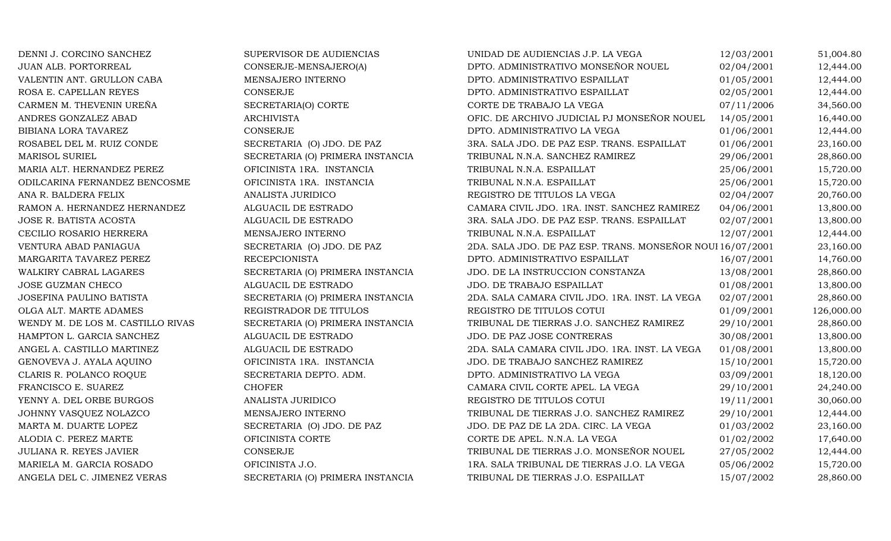| DENNI J. CORCINO SANCHEZ          | SUPERVISOR DE AUDIENCIAS         | UNIDAD DE AUDIENCIAS J.P. LA VEGA                          | 12/03/2001 | 51,004.80  |
|-----------------------------------|----------------------------------|------------------------------------------------------------|------------|------------|
| JUAN ALB. PORTORREAL              | CONSERJE-MENSAJERO(A)            | DPTO. ADMINISTRATIVO MONSEÑOR NOUEL                        | 02/04/2001 | 12,444.00  |
| VALENTIN ANT. GRULLON CABA        | MENSAJERO INTERNO                | DPTO. ADMINISTRATIVO ESPAILLAT                             | 01/05/2001 | 12,444.00  |
| ROSA E. CAPELLAN REYES            | CONSERJE                         | DPTO. ADMINISTRATIVO ESPAILLAT                             | 02/05/2001 | 12,444.00  |
| CARMEN M. THEVENIN UREÑA          | SECRETARIA(O) CORTE              | CORTE DE TRABAJO LA VEGA                                   | 07/11/2006 | 34,560.00  |
| ANDRES GONZALEZ ABAD              | <b>ARCHIVISTA</b>                | OFIC. DE ARCHIVO JUDICIAL PJ MONSEÑOR NOUEL                | 14/05/2001 | 16,440.00  |
| BIBIANA LORA TAVAREZ              | CONSERJE                         | DPTO. ADMINISTRATIVO LA VEGA                               | 01/06/2001 | 12,444.00  |
| ROSABEL DEL M. RUIZ CONDE         | SECRETARIA (O) JDO. DE PAZ       | 3RA. SALA JDO. DE PAZ ESP. TRANS. ESPAILLAT                | 01/06/2001 | 23,160.00  |
| MARISOL SURIEL                    | SECRETARIA (O) PRIMERA INSTANCIA | TRIBUNAL N.N.A. SANCHEZ RAMIREZ                            | 29/06/2001 | 28,860.00  |
| MARIA ALT. HERNANDEZ PEREZ        | OFICINISTA 1RA. INSTANCIA        | TRIBUNAL N.N.A. ESPAILLAT                                  | 25/06/2001 | 15,720.00  |
| ODILCARINA FERNANDEZ BENCOSME     | OFICINISTA 1RA. INSTANCIA        | TRIBUNAL N.N.A. ESPAILLAT                                  | 25/06/2001 | 15,720.00  |
| ANA R. BALDERA FELIX              | ANALISTA JURIDICO                | REGISTRO DE TITULOS LA VEGA                                | 02/04/2007 | 20,760.00  |
| RAMON A. HERNANDEZ HERNANDEZ      | ALGUACIL DE ESTRADO              | CAMARA CIVIL JDO. 1RA. INST. SANCHEZ RAMIREZ               | 04/06/2001 | 13,800.00  |
| JOSE R. BATISTA ACOSTA            | ALGUACIL DE ESTRADO              | 3RA. SALA JDO. DE PAZ ESP. TRANS. ESPAILLAT                | 02/07/2001 | 13,800.00  |
| CECILIO ROSARIO HERRERA           | MENSAJERO INTERNO                | TRIBUNAL N.N.A. ESPAILLAT                                  | 12/07/2001 | 12,444.00  |
| VENTURA ABAD PANIAGUA             | SECRETARIA (O) JDO. DE PAZ       | 2DA. SALA JDO. DE PAZ ESP. TRANS. MONSEÑOR NOUI 16/07/2001 |            | 23,160.00  |
| MARGARITA TAVAREZ PEREZ           | <b>RECEPCIONISTA</b>             | DPTO. ADMINISTRATIVO ESPAILLAT                             | 16/07/2001 | 14,760.00  |
| WALKIRY CABRAL LAGARES            | SECRETARIA (O) PRIMERA INSTANCIA | JDO. DE LA INSTRUCCION CONSTANZA                           | 13/08/2001 | 28,860.00  |
| JOSE GUZMAN CHECO                 | ALGUACIL DE ESTRADO              | JDO. DE TRABAJO ESPAILLAT                                  | 01/08/2001 | 13,800.00  |
| JOSEFINA PAULINO BATISTA          | SECRETARIA (O) PRIMERA INSTANCIA | 2DA. SALA CAMARA CIVIL JDO. 1RA. INST. LA VEGA             | 02/07/2001 | 28,860.00  |
| OLGA ALT. MARTE ADAMES            | REGISTRADOR DE TITULOS           | REGISTRO DE TITULOS COTUI                                  | 01/09/2001 | 126,000.00 |
| WENDY M. DE LOS M. CASTILLO RIVAS | SECRETARIA (O) PRIMERA INSTANCIA | TRIBUNAL DE TIERRAS J.O. SANCHEZ RAMIREZ                   | 29/10/2001 | 28,860.00  |
| HAMPTON L. GARCIA SANCHEZ         | ALGUACIL DE ESTRADO              | JDO. DE PAZ JOSE CONTRERAS                                 | 30/08/2001 | 13,800.00  |
| ANGEL A. CASTILLO MARTINEZ        | ALGUACIL DE ESTRADO              | 2DA. SALA CAMARA CIVIL JDO. 1RA. INST. LA VEGA             | 01/08/2001 | 13,800.00  |
| GENOVEVA J. AYALA AQUINO          | OFICINISTA 1RA. INSTANCIA        | JDO. DE TRABAJO SANCHEZ RAMIREZ                            | 15/10/2001 | 15,720.00  |
| CLARIS R. POLANCO ROQUE           | SECRETARIA DEPTO. ADM.           | DPTO. ADMINISTRATIVO LA VEGA                               | 03/09/2001 | 18,120.00  |
| FRANCISCO E. SUAREZ               | <b>CHOFER</b>                    | CAMARA CIVIL CORTE APEL. LA VEGA                           | 29/10/2001 | 24,240.00  |
| YENNY A. DEL ORBE BURGOS          | ANALISTA JURIDICO                | REGISTRO DE TITULOS COTUI                                  | 19/11/2001 | 30,060.00  |
| JOHNNY VASQUEZ NOLAZCO            | MENSAJERO INTERNO                | TRIBUNAL DE TIERRAS J.O. SANCHEZ RAMIREZ                   | 29/10/2001 | 12,444.00  |
| MARTA M. DUARTE LOPEZ             | SECRETARIA (O) JDO. DE PAZ       | JDO. DE PAZ DE LA 2DA. CIRC. LA VEGA                       | 01/03/2002 | 23,160.00  |
| ALODIA C. PEREZ MARTE             | OFICINISTA CORTE                 | CORTE DE APEL. N.N.A. LA VEGA                              | 01/02/2002 | 17,640.00  |
| JULIANA R. REYES JAVIER           | CONSERJE                         | TRIBUNAL DE TIERRAS J.O. MONSEÑOR NOUEL                    | 27/05/2002 | 12,444.00  |
| MARIELA M. GARCIA ROSADO          | OFICINISTA J.O.                  | 1RA. SALA TRIBUNAL DE TIERRAS J.O. LA VEGA                 | 05/06/2002 | 15,720.00  |
| ANGELA DEL C. JIMENEZ VERAS       | SECRETARIA (O) PRIMERA INSTANCIA | TRIBUNAL DE TIERRAS J.O. ESPAILLAT                         | 15/07/2002 | 28,860.00  |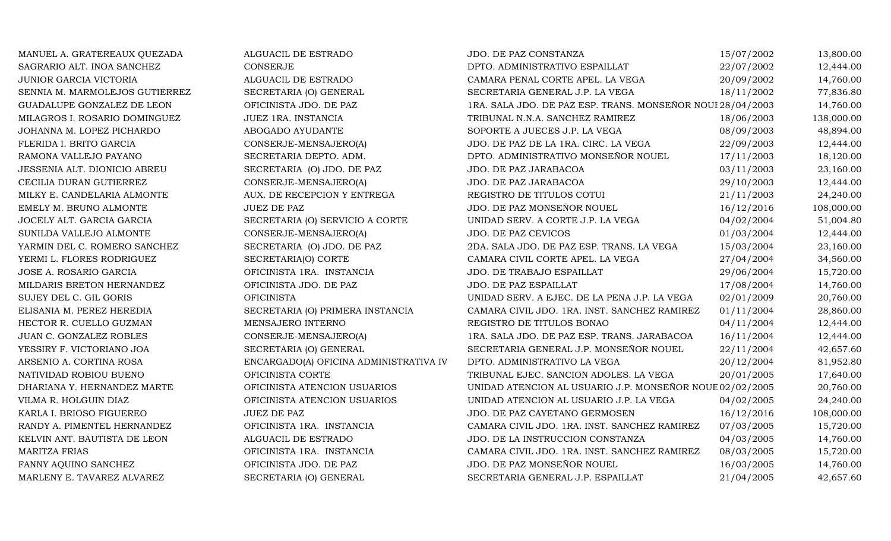MANUEL A. GRATEREAUX QUEZADA ALGUACIL DE ESTRADO JDO. DE PAZ CONSTANZA 15/07/2002 13,800.00 SAGRARIO ALT. INOA SANCHEZ CONSERJE CONSERUE DPTO. ADMINISTRATIVO ESPAILLAT 22/07/2002 12,444.00 JUNIOR GARCIA VICTORIA ALGUACIL DE ESTRADO CAMARA PENAL CORTE APEL. LA VEGA 20/09/2002 14,760.00 SENNIA M. MARMOLEJOS GUTIERREZ SECRETARIA (O) GENERAL SECRETARIA GENERAL J.P. LA VEGA 18/11/2002 77,836.80<br>GPICINISTA JDO. DE PAZ 1RA. SALA JDO. DE PAZ ESP. TRANS. MONSEÑOR NOUI 28/04/2003 14,760.00 GUADALUPE GONZALEZ DE LEON OFICINISTA JDO. DE PAZ 1RA. SALA JDO. DE PAZ ESP. TRANS. MONSEÑOR NOUE28/04/2003 14,760.00<br>MILAGROS I. ROSARIO DOMINGUEZ JUEZ 1RA. INSTANCIA TRIBUNAL N.N.A. SANCHEZ RAMIREZ 18/06/2003 138,000.00 MILAGROS I. ROSARIO DOMINGUEZ JUEZ 1RA. INSTANCIA TRIBUNAL N.N.A. SANCHEZ RAMIREZ 18/06/2003 138,000.00 JOHANNA M. LOPEZ PICHARDO AN ABOGADO AYUDANTE SOPORTE A JUECES J.P. LA VEGA 08/09/2003 48,894.00 FLERIDA I. BRITO GARCIA CONSERJE-MENSAJERO(A) JDO. DE PAZ DE LA 1RA. CIRC. LA VEGA 22/09/2003 12,444.00 RAMONA VALLEJO PAYANO SECRETARIA DEPTO. ADM. DPTO. ADMINISTRATIVO MONSEÑOR NOUEL 17/11/2003 18,120.00 JESSENIA ALT. DIONICIO ABREU SECRETARIA (O) JDO. DE PAZ JOO. DE PAZ JARABACOA 03/11/2003 23,160.00 CECILIA DURAN GUTIERREZ CONSERJE-MENSAJERO(A) JDO. DE PAZ JARABACOA 29/10/2003 12,444.00 MILKY E. CANDELARIA ALMONTE AUX. DE RECEPCION Y ENTREGA REGISTRO DE TITULOS COTUI 21/11/2003 24,240.00 EMELY M. BRUNO ALMONTE JUEZ DE PAZ JDO. DE PAZ MONSEÑOR NOUEL 16/12/2016 108,000.00 JOCELY ALT. GARCIA GARCIA SECRETARIA (O) SERVICIO A CORTE UNIDAD SERV. A CORTE J.P. LA VEGA 04/02/2004 51,004.80<br>SUNILDA VALLEJO ALMONTE CONSERJE-MENSAJERO(A) JDO. DE PAZ CEVICOS 01/03/2004 12,444.00 SUNILDA VALLEJO ALMONTE CONSERJE-MENSAJERO(A) JDO. DE PAZ CEVICOS 01/03/2004 12,444.00 VARMIN DEL C. ROMERO SANCHEZ SECRETARIA (O) JDO. DE PAZ 2DA. SALA JDO. DE PAZ ESP. TRANS. LA VEGA 15/03/2004 23,160.00<br>YERMI L. FLORES RODRIGUEZ SECRETARIA(O) CORTE CAMARA CIVIL CORTE APEL. LA VEGA 27/04/2004 34,560.00 YERMI L. FLORES RODRIGUEZ SECRETARIA(O) CORTE CAMARA CIVIL CORTE APEL. LA VEGA 27/04/2004 34,560.00 JOSE A. ROSARIO GARCIA OFICINISTA 1RA. INSTANCIA JDO. DE TRABAJO ESPAILLAT 29/06/2004 15,720.00 MILDARIS BRETON HERNANDEZ OFICINISTA JDO. DE PAZ JDO. DE PAZ ESPAILLAT 17/08/2004 14,760.00 SUJEY DEL C. GIL GORIS OFICINISTA UNIDAD SERV. A EJEC. DE LA PENA J.P. LA VEGA 02/01/2009 20,760.00 ELISANIA M. PEREZ HEREDIA SECRETARIA (O) PRIMERA INSTANCIA CAMARA CIVIL JDO. 1RA. INST. SANCHEZ RAMIREZ 01/11/2004 28,860.00<br>HECTOR R. CUELLO GUZMAN MENSAJERO INTERNO REGISTRO DE TITULOS BONAO 04/11/2004 12,444.00 HECTOR R. CUELLO GUZMAN MENSAJERO INTERNO REGISTRO DE TITULOS BONAO 64/11/2004 12,444.00 JUAN C. GONZALEZ ROBLES CONSERJE-MENSAJERO(A) 1RA. SALA JDO. DE PAZ ESP. TRANS. JARABACOA 16/11/2004 12,444.00 YESSIRY F. VICTORIANO JOA SECRETARIA (O) GENERAL SECRETARIA GENERAL J.P. MONSEÑOR NOUEL 22/11/2004 42,657.60 ARSENIO A. CORTINA ROSA ENCARGADO(A) OFICINA ADMINISTRATIVA IV DPTO. ADMINISTRATIVO LA VEGA 20/12/2004 81,952.80 NATIVIDAD ROBIOU BUENO OFICINISTA CORTE TRIBUNAL EJEC. SANCION ADOLES. LA VEGA 20/01/2005 17,640.00 DHARIANA Y. HERNANDEZ MARTE OFICINISTA ATENCION USUARIOS UNIDAD ATENCION AL USUARIO J.P. MONSEÑOR NOUEL02/02/2005 20,760.00 VILMA R. HOLGUIN DIAZ OFICINISTA ATENCION USUARIOS UNIDAD ATENCION AL USUARIO J.P. LA VEGA 04/02/2005 24,240.00 KARLA I. BRIOSO FIGUEREO JUEZ DE PAZ JUEZ DE PAZ SANTANO. DE PAZ CAYETANO GERMOSEN 16/12/2016 108,000.00 RANDY A. PIMENTEL HERNANDEZ OFICINISTA 1RA. INSTANCIA CAMARA CIVIL JDO. 1RA. INST. SANCHEZ RAMIREZ 07/03/2005 15,720.00 KELVIN ANT. BAUTISTA DE LEON ALGUACIL DE ESTRADO JDO. DE LA INSTRUCCION CONSTANZA 04/03/2005 14,760.00 MARITZA FRIAS OFICINISTA 1RA. INSTANCIA CAMARA CIVIL JDO. 1RA. INST. SANCHEZ RAMIREZ 08/03/2005 15,720.00 FANNY AQUINO SANCHEZ CHRISTA JDO. DE PAZ JDO. DE PAZ JDO. DE PAZ MONSEÑOR NOUEL 16/03/2005 14,760.00 MARLENY E. TAVAREZ ALVAREZ SECRETARIA (O) GENERAL SECRETARIA GENERAL J.P. ESPAILLAT 21/04/2005 42,657.60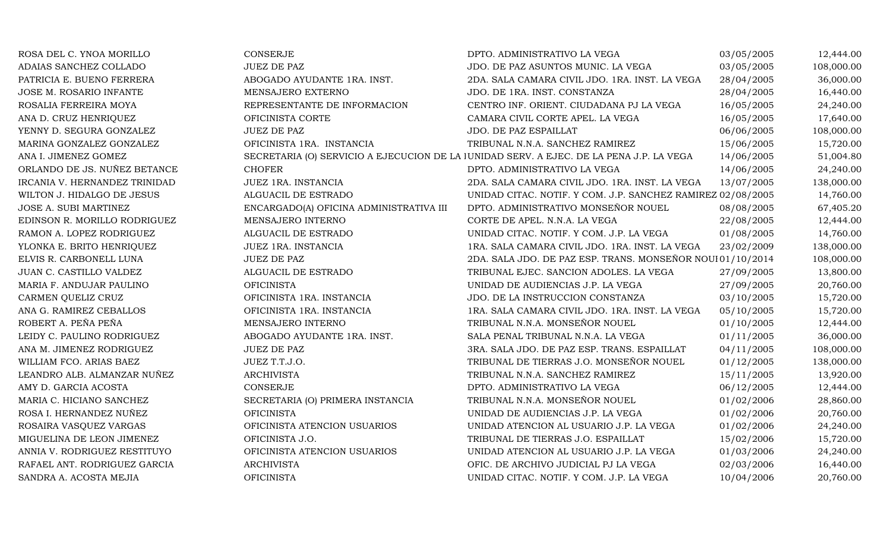| ROSA DEL C. YNOA MORILLO      | <b>CONSERJE</b>                         | DPTO. ADMINISTRATIVO LA VEGA                                                            | 03/05/2005 | 12,444.00  |
|-------------------------------|-----------------------------------------|-----------------------------------------------------------------------------------------|------------|------------|
| ADAIAS SANCHEZ COLLADO        | <b>JUEZ DE PAZ</b>                      | JDO. DE PAZ ASUNTOS MUNIC. LA VEGA                                                      | 03/05/2005 | 108,000.00 |
| PATRICIA E. BUENO FERRERA     | ABOGADO AYUDANTE 1RA. INST.             | 2DA. SALA CAMARA CIVIL JDO. 1RA. INST. LA VEGA                                          | 28/04/2005 | 36,000.00  |
| JOSE M. ROSARIO INFANTE       | MENSAJERO EXTERNO                       | JDO. DE 1RA. INST. CONSTANZA                                                            | 28/04/2005 | 16,440.00  |
| ROSALIA FERREIRA MOYA         | REPRESENTANTE DE INFORMACION            | CENTRO INF. ORIENT. CIUDADANA PJ LA VEGA                                                | 16/05/2005 | 24,240.00  |
| ANA D. CRUZ HENRIQUEZ         | OFICINISTA CORTE                        | CAMARA CIVIL CORTE APEL. LA VEGA                                                        | 16/05/2005 | 17,640.00  |
| YENNY D. SEGURA GONZALEZ      | <b>JUEZ DE PAZ</b>                      | JDO. DE PAZ ESPAILLAT                                                                   | 06/06/2005 | 108,000.00 |
| MARINA GONZALEZ GONZALEZ      | OFICINISTA 1RA. INSTANCIA               | TRIBUNAL N.N.A. SANCHEZ RAMIREZ                                                         | 15/06/2005 | 15,720.00  |
| ANA I. JIMENEZ GOMEZ          |                                         | SECRETARIA (O) SERVICIO A EJECUCION DE LA JUNIDAD SERV. A EJEC. DE LA PENA J.P. LA VEGA | 14/06/2005 | 51,004.80  |
| ORLANDO DE JS. NUÑEZ BETANCE  | <b>CHOFER</b>                           | DPTO. ADMINISTRATIVO LA VEGA                                                            | 14/06/2005 | 24,240.00  |
| IRCANIA V. HERNANDEZ TRINIDAD | JUEZ 1RA. INSTANCIA                     | 2DA. SALA CAMARA CIVIL JDO. 1RA. INST. LA VEGA                                          | 13/07/2005 | 138,000.00 |
| WILTON J. HIDALGO DE JESUS    | ALGUACIL DE ESTRADO                     | UNIDAD CITAC. NOTIF. Y COM. J.P. SANCHEZ RAMIREZ 02/08/2005                             |            | 14,760.00  |
| JOSE A. SUBI MARTINEZ         | ENCARGADO(A) OFICINA ADMINISTRATIVA III | DPTO. ADMINISTRATIVO MONSEÑOR NOUEL                                                     | 08/08/2005 | 67,405.20  |
| EDINSON R. MORILLO RODRIGUEZ  | MENSAJERO INTERNO                       | CORTE DE APEL. N.N.A. LA VEGA                                                           | 22/08/2005 | 12,444.00  |
| RAMON A. LOPEZ RODRIGUEZ      | ALGUACIL DE ESTRADO                     | UNIDAD CITAC. NOTIF. Y COM. J.P. LA VEGA                                                | 01/08/2005 | 14,760.00  |
| YLONKA E. BRITO HENRIQUEZ     | JUEZ 1RA. INSTANCIA                     | 1RA. SALA CAMARA CIVIL JDO. 1RA. INST. LA VEGA                                          | 23/02/2009 | 138,000.00 |
| ELVIS R. CARBONELL LUNA       | <b>JUEZ DE PAZ</b>                      | 2DA. SALA JDO. DE PAZ ESP. TRANS. MONSEÑOR NOUI01/10/2014                               |            | 108,000.00 |
| JUAN C. CASTILLO VALDEZ       | ALGUACIL DE ESTRADO                     | TRIBUNAL EJEC. SANCION ADOLES. LA VEGA                                                  | 27/09/2005 | 13,800.00  |
| MARIA F. ANDUJAR PAULINO      | <b>OFICINISTA</b>                       | UNIDAD DE AUDIENCIAS J.P. LA VEGA                                                       | 27/09/2005 | 20,760.00  |
| CARMEN QUELIZ CRUZ            | OFICINISTA 1RA. INSTANCIA               | JDO. DE LA INSTRUCCION CONSTANZA                                                        | 03/10/2005 | 15,720.00  |
| ANA G. RAMIREZ CEBALLOS       | OFICINISTA 1RA. INSTANCIA               | 1RA. SALA CAMARA CIVIL JDO. 1RA. INST. LA VEGA                                          | 05/10/2005 | 15,720.00  |
| ROBERT A. PEÑA PEÑA           | MENSAJERO INTERNO                       | TRIBUNAL N.N.A. MONSEÑOR NOUEL                                                          | 01/10/2005 | 12,444.00  |
| LEIDY C. PAULINO RODRIGUEZ    | ABOGADO AYUDANTE 1RA. INST.             | SALA PENAL TRIBUNAL N.N.A. LA VEGA                                                      | 01/11/2005 | 36,000.00  |
| ANA M. JIMENEZ RODRIGUEZ      | <b>JUEZ DE PAZ</b>                      | 3RA. SALA JDO. DE PAZ ESP. TRANS. ESPAILLAT                                             | 04/11/2005 | 108,000.00 |
| WILLIAM FCO. ARIAS BAEZ       | JUEZ T.T.J.O.                           | TRIBUNAL DE TIERRAS J.O. MONSEÑOR NOUEL                                                 | 01/12/2005 | 138,000.00 |
| LEANDRO ALB. ALMANZAR NUÑEZ   | <b>ARCHIVISTA</b>                       | TRIBUNAL N.N.A. SANCHEZ RAMIREZ                                                         | 15/11/2005 | 13,920.00  |
| AMY D. GARCIA ACOSTA          | CONSERJE                                | DPTO. ADMINISTRATIVO LA VEGA                                                            | 06/12/2005 | 12,444.00  |
| MARIA C. HICIANO SANCHEZ      | SECRETARIA (O) PRIMERA INSTANCIA        | TRIBUNAL N.N.A. MONSEÑOR NOUEL                                                          | 01/02/2006 | 28,860.00  |
| ROSA I. HERNANDEZ NUÑEZ       | <b>OFICINISTA</b>                       | UNIDAD DE AUDIENCIAS J.P. LA VEGA                                                       | 01/02/2006 | 20,760.00  |
| ROSAIRA VASQUEZ VARGAS        | OFICINISTA ATENCION USUARIOS            | UNIDAD ATENCION AL USUARIO J.P. LA VEGA                                                 | 01/02/2006 | 24,240.00  |
| MIGUELINA DE LEON JIMENEZ     | OFICINISTA J.O.                         | TRIBUNAL DE TIERRAS J.O. ESPAILLAT                                                      | 15/02/2006 | 15,720.00  |
| ANNIA V. RODRIGUEZ RESTITUYO  | OFICINISTA ATENCION USUARIOS            | UNIDAD ATENCION AL USUARIO J.P. LA VEGA                                                 | 01/03/2006 | 24,240.00  |
| RAFAEL ANT. RODRIGUEZ GARCIA  | <b>ARCHIVISTA</b>                       | OFIC. DE ARCHIVO JUDICIAL PJ LA VEGA                                                    | 02/03/2006 | 16,440.00  |
| SANDRA A. ACOSTA MEJIA        | <b>OFICINISTA</b>                       | UNIDAD CITAC. NOTIF. Y COM. J.P. LA VEGA                                                | 10/04/2006 | 20,760.00  |
|                               |                                         |                                                                                         |            |            |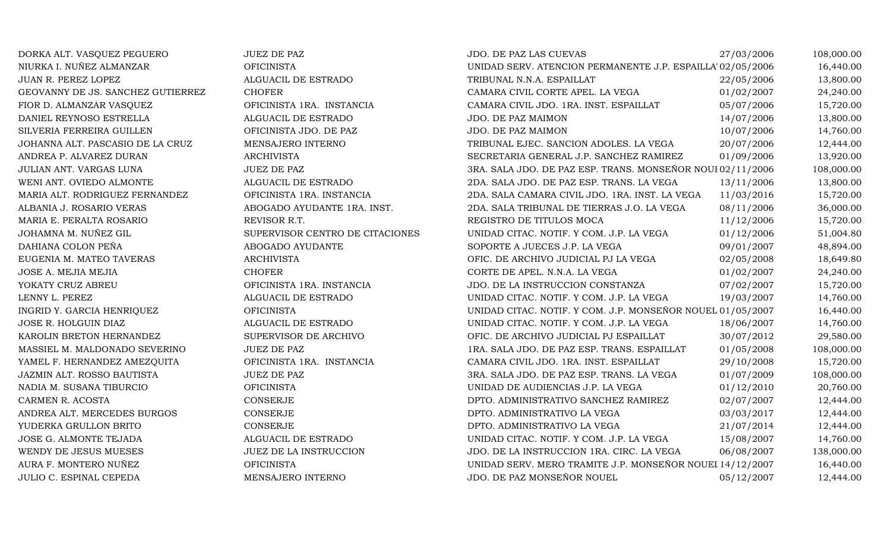| DORKA ALT. VASQUEZ PEGUERO        | <b>JUEZ DE PAZ</b>              | JDO. DE PAZ LAS CUEVAS                                     | 27/03/2006 | 108,000.00 |
|-----------------------------------|---------------------------------|------------------------------------------------------------|------------|------------|
| NIURKA I. NUÑEZ ALMANZAR          | <b>OFICINISTA</b>               | UNIDAD SERV. ATENCION PERMANENTE J.P. ESPAILLA' 02/05/2006 |            | 16,440.00  |
| JUAN R. PEREZ LOPEZ               | ALGUACIL DE ESTRADO             | TRIBUNAL N.N.A. ESPAILLAT                                  | 22/05/2006 | 13,800.00  |
| GEOVANNY DE JS. SANCHEZ GUTIERREZ | <b>CHOFER</b>                   | CAMARA CIVIL CORTE APEL. LA VEGA                           | 01/02/2007 | 24,240.00  |
| FIOR D. ALMANZAR VASQUEZ          | OFICINISTA 1RA. INSTANCIA       | CAMARA CIVIL JDO. 1RA. INST. ESPAILLAT                     | 05/07/2006 | 15,720.00  |
| DANIEL REYNOSO ESTRELLA           | ALGUACIL DE ESTRADO             | JDO. DE PAZ MAIMON                                         | 14/07/2006 | 13,800.00  |
| SILVERIA FERREIRA GUILLEN         | OFICINISTA JDO. DE PAZ          | JDO. DE PAZ MAIMON                                         | 10/07/2006 | 14,760.00  |
| JOHANNA ALT. PASCASIO DE LA CRUZ  | MENSAJERO INTERNO               | TRIBUNAL EJEC. SANCION ADOLES. LA VEGA                     | 20/07/2006 | 12,444.00  |
| ANDREA P. ALVAREZ DURAN           | <b>ARCHIVISTA</b>               | SECRETARIA GENERAL J.P. SANCHEZ RAMIREZ                    | 01/09/2006 | 13,920.00  |
| JULIAN ANT. VARGAS LUNA           | <b>JUEZ DE PAZ</b>              | 3RA. SALA JDO. DE PAZ ESP. TRANS. MONSEÑOR NOUI 02/11/2006 |            | 108,000.00 |
| WENI ANT. OVIEDO ALMONTE          | ALGUACIL DE ESTRADO             | 2DA. SALA JDO. DE PAZ ESP. TRANS. LA VEGA                  | 13/11/2006 | 13,800.00  |
| MARIA ALT. RODRIGUEZ FERNANDEZ    | OFICINISTA 1RA. INSTANCIA       | 2DA. SALA CAMARA CIVIL JDO. 1RA. INST. LA VEGA             | 11/03/2016 | 15,720.00  |
| ALBANIA J. ROSARIO VERAS          | ABOGADO AYUDANTE 1RA. INST.     | 2DA. SALA TRIBUNAL DE TIERRAS J.O. LA VEGA                 | 08/11/2006 | 36,000.00  |
| MARIA E. PERALTA ROSARIO          | REVISOR R.T.                    | REGISTRO DE TITULOS MOCA                                   | 11/12/2006 | 15,720.00  |
| JOHAMNA M. NUÑEZ GIL              | SUPERVISOR CENTRO DE CITACIONES | UNIDAD CITAC. NOTIF. Y COM. J.P. LA VEGA                   | 01/12/2006 | 51,004.80  |
| DAHIANA COLON PEÑA                | ABOGADO AYUDANTE                | SOPORTE A JUECES J.P. LA VEGA                              | 09/01/2007 | 48,894.00  |
| EUGENIA M. MATEO TAVERAS          | <b>ARCHIVISTA</b>               | OFIC. DE ARCHIVO JUDICIAL PJ LA VEGA                       | 02/05/2008 | 18,649.80  |
| JOSE A. MEJIA MEJIA               | <b>CHOFER</b>                   | CORTE DE APEL. N.N.A. LA VEGA                              | 01/02/2007 | 24,240.00  |
| YOKATY CRUZ ABREU                 | OFICINISTA 1RA. INSTANCIA       | JDO. DE LA INSTRUCCION CONSTANZA                           | 07/02/2007 | 15,720.00  |
| LENNY L. PEREZ                    | ALGUACIL DE ESTRADO             | UNIDAD CITAC. NOTIF. Y COM. J.P. LA VEGA                   | 19/03/2007 | 14,760.00  |
| INGRID Y. GARCIA HENRIQUEZ        | <b>OFICINISTA</b>               | UNIDAD CITAC. NOTIF. Y COM. J.P. MONSEÑOR NOUEL 01/05/2007 |            | 16,440.00  |
| JOSE R. HOLGUIN DIAZ              | ALGUACIL DE ESTRADO             | UNIDAD CITAC. NOTIF. Y COM. J.P. LA VEGA                   | 18/06/2007 | 14,760.00  |
| KAROLIN BRETON HERNANDEZ          | SUPERVISOR DE ARCHIVO           | OFIC. DE ARCHIVO JUDICIAL PJ ESPAILLAT                     | 30/07/2012 | 29,580.00  |
| MASSIEL M. MALDONADO SEVERINO     | <b>JUEZ DE PAZ</b>              | 1RA. SALA JDO. DE PAZ ESP. TRANS. ESPAILLAT                | 01/05/2008 | 108,000.00 |
| YAMEL F. HERNANDEZ AMEZQUITA      | OFICINISTA 1RA. INSTANCIA       | CAMARA CIVIL JDO. 1RA. INST. ESPAILLAT                     | 29/10/2008 | 15,720.00  |
| JAZMIN ALT. ROSSO BAUTISTA        | <b>JUEZ DE PAZ</b>              | 3RA. SALA JDO. DE PAZ ESP. TRANS. LA VEGA                  | 01/07/2009 | 108,000.00 |
| NADIA M. SUSANA TIBURCIO          | <b>OFICINISTA</b>               | UNIDAD DE AUDIENCIAS J.P. LA VEGA                          | 01/12/2010 | 20,760.00  |
| CARMEN R. ACOSTA                  | <b>CONSERJE</b>                 | DPTO. ADMINISTRATIVO SANCHEZ RAMIREZ                       | 02/07/2007 | 12,444.00  |
| ANDREA ALT. MERCEDES BURGOS       | CONSERJE                        | DPTO. ADMINISTRATIVO LA VEGA                               | 03/03/2017 | 12,444.00  |
| YUDERKA GRULLON BRITO             | CONSERJE                        | DPTO. ADMINISTRATIVO LA VEGA                               | 21/07/2014 | 12,444.00  |
| JOSE G. ALMONTE TEJADA            | ALGUACIL DE ESTRADO             | UNIDAD CITAC. NOTIF. Y COM. J.P. LA VEGA                   | 15/08/2007 | 14,760.00  |
| WENDY DE JESUS MUESES             | JUEZ DE LA INSTRUCCION          | JDO. DE LA INSTRUCCION 1RA. CIRC. LA VEGA                  | 06/08/2007 | 138,000.00 |
| AURA F. MONTERO NUÑEZ             | <b>OFICINISTA</b>               | UNIDAD SERV. MERO TRAMITE J.P. MONSEÑOR NOUEI 14/12/2007   |            | 16,440.00  |
| JULIO C. ESPINAL CEPEDA           | MENSAJERO INTERNO               | JDO. DE PAZ MONSEÑOR NOUEL                                 | 05/12/2007 | 12,444.00  |
|                                   |                                 |                                                            |            |            |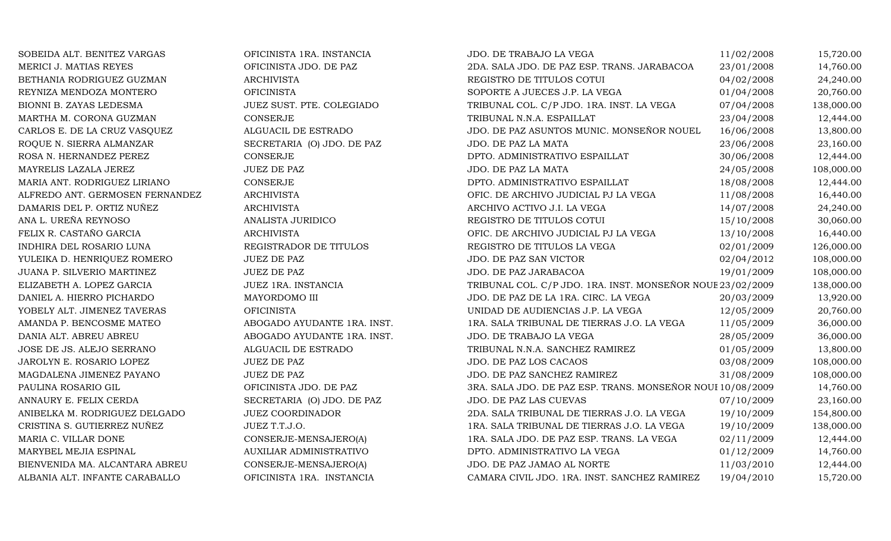| SOBEIDA ALT. BENITEZ VARGAS     | OFICINISTA 1RA. INSTANCIA      | JDO. DE TRABAJO LA VEGA                                    | 11/02/2008 | 15,720.00  |
|---------------------------------|--------------------------------|------------------------------------------------------------|------------|------------|
| MERICI J. MATIAS REYES          | OFICINISTA JDO. DE PAZ         | 2DA. SALA JDO. DE PAZ ESP. TRANS. JARABACOA                | 23/01/2008 | 14,760.00  |
| BETHANIA RODRIGUEZ GUZMAN       | <b>ARCHIVISTA</b>              | REGISTRO DE TITULOS COTUI                                  | 04/02/2008 | 24,240.00  |
| REYNIZA MENDOZA MONTERO         | <b>OFICINISTA</b>              | SOPORTE A JUECES J.P. LA VEGA                              | 01/04/2008 | 20,760.00  |
| BIONNI B. ZAYAS LEDESMA         | JUEZ SUST. PTE. COLEGIADO      | TRIBUNAL COL. C/P JDO. 1RA. INST. LA VEGA                  | 07/04/2008 | 138,000.00 |
| MARTHA M. CORONA GUZMAN         | <b>CONSERJE</b>                | TRIBUNAL N.N.A. ESPAILLAT                                  | 23/04/2008 | 12,444.00  |
| CARLOS E. DE LA CRUZ VASQUEZ    | ALGUACIL DE ESTRADO            | JDO. DE PAZ ASUNTOS MUNIC. MONSEÑOR NOUEL                  | 16/06/2008 | 13,800.00  |
| ROQUE N. SIERRA ALMANZAR        | SECRETARIA (O) JDO. DE PAZ     | JDO. DE PAZ LA MATA                                        | 23/06/2008 | 23,160.00  |
| ROSA N. HERNANDEZ PEREZ         | <b>CONSERJE</b>                | DPTO. ADMINISTRATIVO ESPAILLAT                             | 30/06/2008 | 12,444.00  |
| MAYRELIS LAZALA JEREZ           | <b>JUEZ DE PAZ</b>             | JDO. DE PAZ LA MATA                                        | 24/05/2008 | 108,000.00 |
| MARIA ANT. RODRIGUEZ LIRIANO    | CONSERJE                       | DPTO. ADMINISTRATIVO ESPAILLAT                             | 18/08/2008 | 12,444.00  |
| ALFREDO ANT. GERMOSEN FERNANDEZ | <b>ARCHIVISTA</b>              | OFIC. DE ARCHIVO JUDICIAL PJ LA VEGA                       | 11/08/2008 | 16,440.00  |
| DAMARIS DEL P. ORTIZ NUÑEZ      | <b>ARCHIVISTA</b>              | ARCHIVO ACTIVO J.I. LA VEGA                                | 14/07/2008 | 24,240.00  |
| ANA L. UREÑA REYNOSO            | ANALISTA JURIDICO              | REGISTRO DE TITULOS COTUI                                  | 15/10/2008 | 30,060.00  |
| FELIX R. CASTAÑO GARCIA         | <b>ARCHIVISTA</b>              | OFIC. DE ARCHIVO JUDICIAL PJ LA VEGA                       | 13/10/2008 | 16,440.00  |
| INDHIRA DEL ROSARIO LUNA        | REGISTRADOR DE TITULOS         | REGISTRO DE TITULOS LA VEGA                                | 02/01/2009 | 126,000.00 |
| YULEIKA D. HENRIQUEZ ROMERO     | <b>JUEZ DE PAZ</b>             | JDO. DE PAZ SAN VICTOR                                     | 02/04/2012 | 108,000.00 |
| JUANA P. SILVERIO MARTINEZ      | <b>JUEZ DE PAZ</b>             | JDO. DE PAZ JARABACOA                                      | 19/01/2009 | 108,000.00 |
| ELIZABETH A. LOPEZ GARCIA       | JUEZ 1RA. INSTANCIA            | TRIBUNAL COL. C/P JDO. 1RA. INST. MONSEÑOR NOUE 23/02/2009 |            | 138,000.00 |
| DANIEL A. HIERRO PICHARDO       | MAYORDOMO III                  | JDO. DE PAZ DE LA 1RA. CIRC. LA VEGA                       | 20/03/2009 | 13,920.00  |
| YOBELY ALT. JIMENEZ TAVERAS     | <b>OFICINISTA</b>              | UNIDAD DE AUDIENCIAS J.P. LA VEGA                          | 12/05/2009 | 20,760.00  |
| AMANDA P. BENCOSME MATEO        | ABOGADO AYUDANTE 1RA. INST.    | 1RA. SALA TRIBUNAL DE TIERRAS J.O. LA VEGA                 | 11/05/2009 | 36,000.00  |
| DANIA ALT. ABREU ABREU          | ABOGADO AYUDANTE 1RA. INST.    | JDO. DE TRABAJO LA VEGA                                    | 28/05/2009 | 36,000.00  |
| JOSE DE JS. ALEJO SERRANO       | ALGUACIL DE ESTRADO            | TRIBUNAL N.N.A. SANCHEZ RAMIREZ                            | 01/05/2009 | 13,800.00  |
| JAROLYN E. ROSARIO LOPEZ        | JUEZ DE PAZ                    | JDO. DE PAZ LOS CACAOS                                     | 03/08/2009 | 108,000.00 |
| MAGDALENA JIMENEZ PAYANO        | JUEZ DE PAZ                    | JDO. DE PAZ SANCHEZ RAMIREZ                                | 31/08/2009 | 108,000.00 |
| PAULINA ROSARIO GIL             | OFICINISTA JDO. DE PAZ         | 3RA. SALA JDO. DE PAZ ESP. TRANS. MONSEÑOR NOUI 10/08/2009 |            | 14,760.00  |
| ANNAURY E. FELIX CERDA          | SECRETARIA (O) JDO. DE PAZ     | JDO. DE PAZ LAS CUEVAS                                     | 07/10/2009 | 23,160.00  |
| ANIBELKA M. RODRIGUEZ DELGADO   | <b>JUEZ COORDINADOR</b>        | 2DA. SALA TRIBUNAL DE TIERRAS J.O. LA VEGA                 | 19/10/2009 | 154,800.00 |
| CRISTINA S. GUTIERREZ NUÑEZ     | JUEZ T.T.J.O.                  | 1RA. SALA TRIBUNAL DE TIERRAS J.O. LA VEGA                 | 19/10/2009 | 138,000.00 |
| MARIA C. VILLAR DONE            | CONSERJE-MENSAJERO(A)          | 1RA. SALA JDO. DE PAZ ESP. TRANS. LA VEGA                  | 02/11/2009 | 12,444.00  |
| MARYBEL MEJIA ESPINAL           | <b>AUXILIAR ADMINISTRATIVO</b> | DPTO. ADMINISTRATIVO LA VEGA                               | 01/12/2009 | 14,760.00  |
| BIENVENIDA MA. ALCANTARA ABREU  | CONSERJE-MENSAJERO(A)          | JDO. DE PAZ JAMAO AL NORTE                                 | 11/03/2010 | 12,444.00  |
| ALBANIA ALT. INFANTE CARABALLO  | OFICINISTA 1RA. INSTANCIA      | CAMARA CIVIL JDO. 1RA. INST. SANCHEZ RAMIREZ               | 19/04/2010 | 15,720.00  |
|                                 |                                |                                                            |            |            |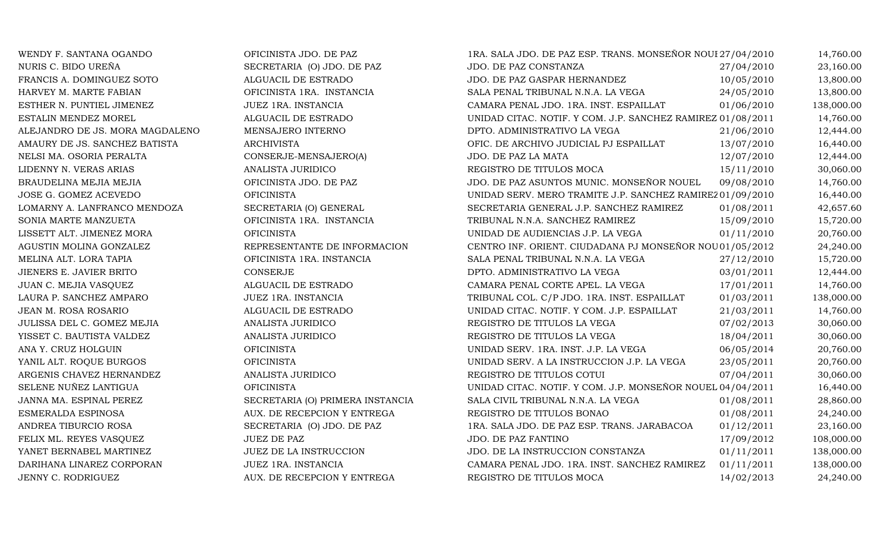| WENDY F. SANTANA OGANDO         | OFICINISTA JDO. DE PAZ           | 1RA. SALA JDO. DE PAZ ESP. TRANS. MONSEÑOR NOUI 27/04/2010  |            | 14,760.00  |
|---------------------------------|----------------------------------|-------------------------------------------------------------|------------|------------|
| NURIS C. BIDO UREÑA             | SECRETARIA (O) JDO. DE PAZ       | <b>JDO. DE PAZ CONSTANZA</b>                                | 27/04/2010 | 23,160.00  |
| FRANCIS A. DOMINGUEZ SOTO       | ALGUACIL DE ESTRADO              | JDO. DE PAZ GASPAR HERNANDEZ                                | 10/05/2010 | 13,800.00  |
| HARVEY M. MARTE FABIAN          | OFICINISTA 1RA. INSTANCIA        | SALA PENAL TRIBUNAL N.N.A. LA VEGA                          | 24/05/2010 | 13,800.00  |
| ESTHER N. PUNTIEL JIMENEZ       | JUEZ 1RA. INSTANCIA              | CAMARA PENAL JDO. 1RA. INST. ESPAILLAT                      | 01/06/2010 | 138,000.00 |
| ESTALIN MENDEZ MOREL            | ALGUACIL DE ESTRADO              | UNIDAD CITAC. NOTIF. Y COM. J.P. SANCHEZ RAMIREZ 01/08/2011 |            | 14,760.00  |
| ALEJANDRO DE JS. MORA MAGDALENO | MENSAJERO INTERNO                | DPTO. ADMINISTRATIVO LA VEGA                                | 21/06/2010 | 12,444.00  |
| AMAURY DE JS. SANCHEZ BATISTA   | <b>ARCHIVISTA</b>                | OFIC. DE ARCHIVO JUDICIAL PJ ESPAILLAT                      | 13/07/2010 | 16,440.00  |
| NELSI MA. OSORIA PERALTA        | CONSERJE-MENSAJERO(A)            | JDO. DE PAZ LA MATA                                         | 12/07/2010 | 12,444.00  |
| LIDENNY N. VERAS ARIAS          | ANALISTA JURIDICO                | REGISTRO DE TITULOS MOCA                                    | 15/11/2010 | 30,060.00  |
| BRAUDELINA MEJIA MEJIA          | OFICINISTA JDO. DE PAZ           | JDO. DE PAZ ASUNTOS MUNIC. MONSEÑOR NOUEL                   | 09/08/2010 | 14,760.00  |
| JOSE G. GOMEZ ACEVEDO           | <b>OFICINISTA</b>                | UNIDAD SERV. MERO TRAMITE J.P. SANCHEZ RAMIREZ 01/09/2010   |            | 16,440.00  |
| LOMARNY A. LANFRANCO MENDOZA    | SECRETARIA (O) GENERAL           | SECRETARIA GENERAL J.P. SANCHEZ RAMIREZ                     | 01/08/2011 | 42,657.60  |
| SONIA MARTE MANZUETA            | OFICINISTA 1RA. INSTANCIA        | TRIBUNAL N.N.A. SANCHEZ RAMIREZ                             | 15/09/2010 | 15,720.00  |
| LISSETT ALT. JIMENEZ MORA       | <b>OFICINISTA</b>                | UNIDAD DE AUDIENCIAS J.P. LA VEGA                           | 01/11/2010 | 20,760.00  |
| AGUSTIN MOLINA GONZALEZ         | REPRESENTANTE DE INFORMACION     | CENTRO INF. ORIENT. CIUDADANA PJ MONSEÑOR NOU 01/05/2012    |            | 24,240.00  |
| MELINA ALT. LORA TAPIA          | OFICINISTA 1RA. INSTANCIA        | SALA PENAL TRIBUNAL N.N.A. LA VEGA                          | 27/12/2010 | 15,720.00  |
| JIENERS E. JAVIER BRITO         | CONSERJE                         | DPTO. ADMINISTRATIVO LA VEGA                                | 03/01/2011 | 12,444.00  |
| JUAN C. MEJIA VASQUEZ           | ALGUACIL DE ESTRADO              | CAMARA PENAL CORTE APEL. LA VEGA                            | 17/01/2011 | 14,760.00  |
| LAURA P. SANCHEZ AMPARO         | JUEZ 1RA. INSTANCIA              | TRIBUNAL COL. C/P JDO. 1RA. INST. ESPAILLAT                 | 01/03/2011 | 138,000.00 |
| JEAN M. ROSA ROSARIO            | ALGUACIL DE ESTRADO              | UNIDAD CITAC. NOTIF. Y COM. J.P. ESPAILLAT                  | 21/03/2011 | 14,760.00  |
| JULISSA DEL C. GOMEZ MEJIA      | ANALISTA JURIDICO                | REGISTRO DE TITULOS LA VEGA                                 | 07/02/2013 | 30,060.00  |
| YISSET C. BAUTISTA VALDEZ       | ANALISTA JURIDICO                | REGISTRO DE TITULOS LA VEGA                                 | 18/04/2011 | 30,060.00  |
| ANA Y. CRUZ HOLGUIN             | <b>OFICINISTA</b>                | UNIDAD SERV. 1RA. INST. J.P. LA VEGA                        | 06/05/2014 | 20,760.00  |
| YANIL ALT. ROQUE BURGOS         | <b>OFICINISTA</b>                | UNIDAD SERV. A LA INSTRUCCION J.P. LA VEGA                  | 23/05/2011 | 20,760.00  |
| ARGENIS CHAVEZ HERNANDEZ        | ANALISTA JURIDICO                | REGISTRO DE TITULOS COTUI                                   | 07/04/2011 | 30,060.00  |
| SELENE NUÑEZ LANTIGUA           | <b>OFICINISTA</b>                | UNIDAD CITAC. NOTIF. Y COM. J.P. MONSEÑOR NOUEL 04/04/2011  |            | 16,440.00  |
| JANNA MA. ESPINAL PEREZ         | SECRETARIA (O) PRIMERA INSTANCIA | SALA CIVIL TRIBUNAL N.N.A. LA VEGA                          | 01/08/2011 | 28,860.00  |
| ESMERALDA ESPINOSA              | AUX. DE RECEPCION Y ENTREGA      | REGISTRO DE TITULOS BONAO                                   | 01/08/2011 | 24,240.00  |
| ANDREA TIBURCIO ROSA            | SECRETARIA (O) JDO. DE PAZ       | 1RA. SALA JDO. DE PAZ ESP. TRANS. JARABACOA                 | 01/12/2011 | 23,160.00  |
| FELIX ML. REYES VASQUEZ         | JUEZ DE PAZ                      | JDO. DE PAZ FANTINO                                         | 17/09/2012 | 108,000.00 |
| YANET BERNABEL MARTINEZ         | JUEZ DE LA INSTRUCCION           | JDO. DE LA INSTRUCCION CONSTANZA                            | 01/11/2011 | 138,000.00 |
| DARIHANA LINAREZ CORPORAN       | JUEZ 1RA. INSTANCIA              | CAMARA PENAL JDO. 1RA. INST. SANCHEZ RAMIREZ                | 01/11/2011 | 138,000.00 |
| JENNY C. RODRIGUEZ              | AUX. DE RECEPCION Y ENTREGA      | REGISTRO DE TITULOS MOCA                                    | 14/02/2013 | 24,240.00  |
|                                 |                                  |                                                             |            |            |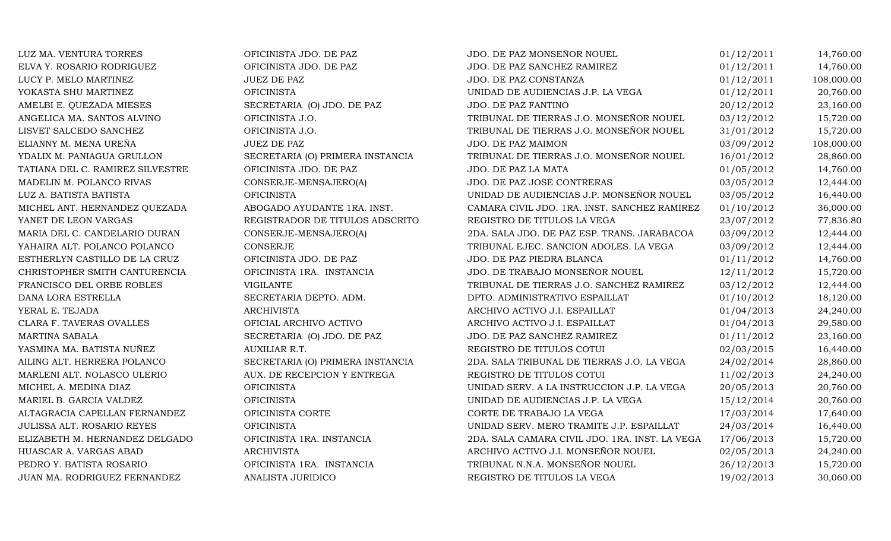| LUZ MA. VENTURA TORRES           | OFICINISTA JDO. DE PAZ           | JDO. DE PAZ MONSEÑOR NOUEL                     | 01/12/2011 | 14,760.00  |
|----------------------------------|----------------------------------|------------------------------------------------|------------|------------|
| ELVA Y. ROSARIO RODRIGUEZ        | OFICINISTA JDO. DE PAZ           | JDO. DE PAZ SANCHEZ RAMIREZ                    | 01/12/2011 | 14,760.00  |
| LUCY P. MELO MARTINEZ            | <b>JUEZ DE PAZ</b>               | JDO. DE PAZ CONSTANZA                          | 01/12/2011 | 108,000.00 |
| YOKASTA SHU MARTINEZ             | <b>OFICINISTA</b>                | UNIDAD DE AUDIENCIAS J.P. LA VEGA              | 01/12/2011 | 20,760.00  |
| AMELBI E. QUEZADA MIESES         | SECRETARIA (O) JDO. DE PAZ       | JDO. DE PAZ FANTINO                            | 20/12/2012 | 23,160.00  |
| ANGELICA MA. SANTOS ALVINO       | OFICINISTA J.O.                  | TRIBUNAL DE TIERRAS J.O. MONSEÑOR NOUEL        | 03/12/2012 | 15,720.00  |
| LISVET SALCEDO SANCHEZ           | OFICINISTA J.O.                  | TRIBUNAL DE TIERRAS J.O. MONSEÑOR NOUEL        | 31/01/2012 | 15,720.00  |
| ELIANNY M. MENA UREÑA            | <b>JUEZ DE PAZ</b>               | JDO. DE PAZ MAIMON                             | 03/09/2012 | 108,000.00 |
| YDALIX M. PANIAGUA GRULLON       | SECRETARIA (O) PRIMERA INSTANCIA | TRIBUNAL DE TIERRAS J.O. MONSEÑOR NOUEL        | 16/01/2012 | 28,860.00  |
| TATIANA DEL C. RAMIREZ SILVESTRE | OFICINISTA JDO. DE PAZ           | JDO. DE PAZ LA MATA                            | 01/05/2012 | 14,760.00  |
| MADELIN M. POLANCO RIVAS         | CONSERJE-MENSAJERO(A)            | JDO. DE PAZ JOSE CONTRERAS                     | 03/05/2012 | 12,444.00  |
| LUZ A. BATISTA BATISTA           | <b>OFICINISTA</b>                | UNIDAD DE AUDIENCIAS J.P. MONSEÑOR NOUEL       | 03/05/2012 | 16,440.00  |
| MICHEL ANT. HERNANDEZ QUEZADA    | ABOGADO AYUDANTE 1RA. INST.      | CAMARA CIVIL JDO. 1RA. INST. SANCHEZ RAMIREZ   | 01/10/2012 | 36,000.00  |
| YANET DE LEON VARGAS             | REGISTRADOR DE TITULOS ADSCRITO  | REGISTRO DE TITULOS LA VEGA                    | 23/07/2012 | 77,836.80  |
| MARIA DEL C. CANDELARIO DURAN    | CONSERJE-MENSAJERO(A)            | 2DA. SALA JDO. DE PAZ ESP. TRANS. JARABACOA    | 03/09/2012 | 12,444.00  |
| YAHAIRA ALT. POLANCO POLANCO     | CONSERJE                         | TRIBUNAL EJEC. SANCION ADOLES. LA VEGA         | 03/09/2012 | 12,444.00  |
| ESTHERLYN CASTILLO DE LA CRUZ    | OFICINISTA JDO. DE PAZ           | JDO. DE PAZ PIEDRA BLANCA                      | 01/11/2012 | 14,760.00  |
| CHRISTOPHER SMITH CANTURENCIA    | OFICINISTA 1RA. INSTANCIA        | JDO. DE TRABAJO MONSEÑOR NOUEL                 | 12/11/2012 | 15,720.00  |
| FRANCISCO DEL ORBE ROBLES        | <b>VIGILANTE</b>                 | TRIBUNAL DE TIERRAS J.O. SANCHEZ RAMIREZ       | 03/12/2012 | 12,444.00  |
| DANA LORA ESTRELLA               | SECRETARIA DEPTO. ADM.           | DPTO. ADMINISTRATIVO ESPAILLAT                 | 01/10/2012 | 18,120.00  |
| YERAL E. TEJADA                  | <b>ARCHIVISTA</b>                | ARCHIVO ACTIVO J.I. ESPAILLAT                  | 01/04/2013 | 24,240.00  |
| CLARA F. TAVERAS OVALLES         | OFICIAL ARCHIVO ACTIVO           | ARCHIVO ACTIVO J.I. ESPAILLAT                  | 01/04/2013 | 29,580.00  |
| MARTINA SABALA                   | SECRETARIA (O) JDO. DE PAZ       | JDO. DE PAZ SANCHEZ RAMIREZ                    | 01/11/2012 | 23,160.00  |
| YASMINA MA. BATISTA NUÑEZ        | AUXILIAR R.T.                    | REGISTRO DE TITULOS COTUI                      | 02/03/2015 | 16,440.00  |
| AILING ALT. HERRERA POLANCO      | SECRETARIA (O) PRIMERA INSTANCIA | 2DA. SALA TRIBUNAL DE TIERRAS J.O. LA VEGA     | 24/02/2014 | 28,860.00  |
| MARLENI ALT. NOLASCO ULERIO      | AUX. DE RECEPCION Y ENTREGA      | REGISTRO DE TITULOS COTUI                      | 11/02/2013 | 24,240.00  |
| MICHEL A. MEDINA DIAZ            | <b>OFICINISTA</b>                | UNIDAD SERV. A LA INSTRUCCION J.P. LA VEGA     | 20/05/2013 | 20,760.00  |
| MARIEL B. GARCIA VALDEZ          | <b>OFICINISTA</b>                | UNIDAD DE AUDIENCIAS J.P. LA VEGA              | 15/12/2014 | 20,760.00  |
| ALTAGRACIA CAPELLAN FERNANDEZ    | OFICINISTA CORTE                 | CORTE DE TRABAJO LA VEGA                       | 17/03/2014 | 17,640.00  |
| JULISSA ALT. ROSARIO REYES       | <b>OFICINISTA</b>                | UNIDAD SERV. MERO TRAMITE J.P. ESPAILLAT       | 24/03/2014 | 16,440.00  |
| ELIZABETH M. HERNANDEZ DELGADO   | OFICINISTA 1RA. INSTANCIA        | 2DA. SALA CAMARA CIVIL JDO. 1RA. INST. LA VEGA | 17/06/2013 | 15,720.00  |
| HUASCAR A. VARGAS ABAD           | <b>ARCHIVISTA</b>                | ARCHIVO ACTIVO J.I. MONSEÑOR NOUEL             | 02/05/2013 | 24,240.00  |
| PEDRO Y. BATISTA ROSARIO         | OFICINISTA 1RA. INSTANCIA        | TRIBUNAL N.N.A. MONSEÑOR NOUEL                 | 26/12/2013 | 15,720.00  |
| JUAN MA. RODRIGUEZ FERNANDEZ     | ANALISTA JURIDICO                | REGISTRO DE TITULOS LA VEGA                    | 19/02/2013 | 30,060.00  |
|                                  |                                  |                                                |            |            |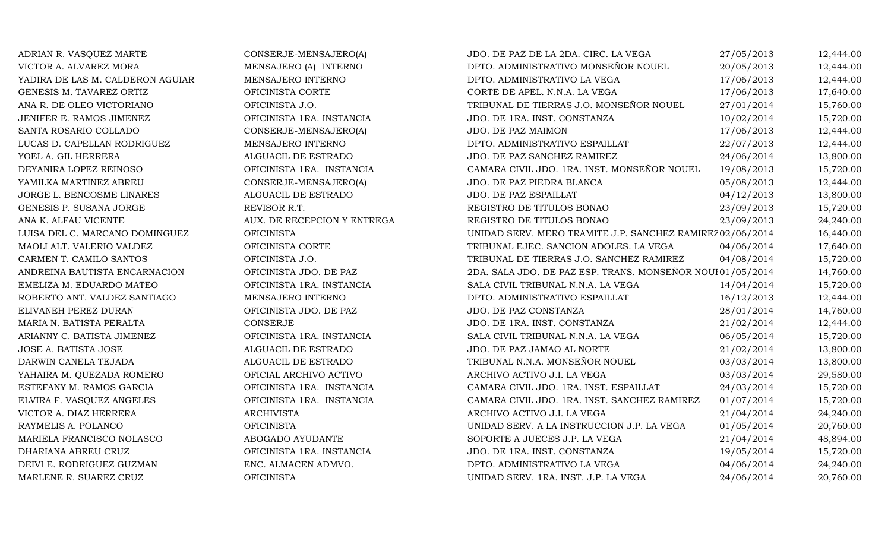| ADRIAN R. VASQUEZ MARTE          | CONSERJE-MENSAJERO(A)       | JDO. DE PAZ DE LA 2DA. CIRC. LA VEGA                      | 27/05/2013 | 12,444.00 |
|----------------------------------|-----------------------------|-----------------------------------------------------------|------------|-----------|
| VICTOR A. ALVAREZ MORA           | MENSAJERO (A) INTERNO       | DPTO. ADMINISTRATIVO MONSEÑOR NOUEL                       | 20/05/2013 | 12,444.00 |
| YADIRA DE LAS M. CALDERON AGUIAR | MENSAJERO INTERNO           | DPTO. ADMINISTRATIVO LA VEGA                              | 17/06/2013 | 12,444.00 |
| GENESIS M. TAVAREZ ORTIZ         | OFICINISTA CORTE            | CORTE DE APEL. N.N.A. LA VEGA                             | 17/06/2013 | 17,640.00 |
| ANA R. DE OLEO VICTORIANO        | OFICINISTA J.O.             | TRIBUNAL DE TIERRAS J.O. MONSEÑOR NOUEL                   | 27/01/2014 | 15,760.00 |
| JENIFER E. RAMOS JIMENEZ         | OFICINISTA 1RA. INSTANCIA   | JDO. DE 1RA. INST. CONSTANZA                              | 10/02/2014 | 15,720.00 |
| SANTA ROSARIO COLLADO            | CONSERJE-MENSAJERO(A)       | JDO. DE PAZ MAIMON                                        | 17/06/2013 | 12,444.00 |
| LUCAS D. CAPELLAN RODRIGUEZ      | MENSAJERO INTERNO           | DPTO. ADMINISTRATIVO ESPAILLAT                            | 22/07/2013 | 12,444.00 |
| YOEL A. GIL HERRERA              | ALGUACIL DE ESTRADO         | JDO. DE PAZ SANCHEZ RAMIREZ                               | 24/06/2014 | 13,800.00 |
| DEYANIRA LOPEZ REINOSO           | OFICINISTA 1RA. INSTANCIA   | CAMARA CIVIL JDO. 1RA. INST. MONSEÑOR NOUEL               | 19/08/2013 | 15,720.00 |
| YAMILKA MARTINEZ ABREU           | CONSERJE-MENSAJERO(A)       | JDO. DE PAZ PIEDRA BLANCA                                 | 05/08/2013 | 12,444.00 |
| JORGE L. BENCOSME LINARES        | ALGUACIL DE ESTRADO         | JDO. DE PAZ ESPAILLAT                                     | 04/12/2013 | 13,800.00 |
| GENESIS P. SUSANA JORGE          | REVISOR R.T.                | REGISTRO DE TITULOS BONAO                                 | 23/09/2013 | 15,720.00 |
| ANA K. ALFAU VICENTE             | AUX. DE RECEPCION Y ENTREGA | REGISTRO DE TITULOS BONAO                                 | 23/09/2013 | 24,240.00 |
| LUISA DEL C. MARCANO DOMINGUEZ   | <b>OFICINISTA</b>           | UNIDAD SERV. MERO TRAMITE J.P. SANCHEZ RAMIREZ 02/06/2014 |            | 16,440.00 |
| MAOLI ALT. VALERIO VALDEZ        | OFICINISTA CORTE            | TRIBUNAL EJEC. SANCION ADOLES. LA VEGA                    | 04/06/2014 | 17,640.00 |
| CARMEN T. CAMILO SANTOS          | OFICINISTA J.O.             | TRIBUNAL DE TIERRAS J.O. SANCHEZ RAMIREZ                  | 04/08/2014 | 15,720.00 |
| ANDREINA BAUTISTA ENCARNACION    | OFICINISTA JDO. DE PAZ      | 2DA. SALA JDO. DE PAZ ESP. TRANS. MONSEÑOR NOUI01/05/2014 |            | 14,760.00 |
| EMELIZA M. EDUARDO MATEO         | OFICINISTA 1RA. INSTANCIA   | SALA CIVIL TRIBUNAL N.N.A. LA VEGA                        | 14/04/2014 | 15,720.00 |
| ROBERTO ANT. VALDEZ SANTIAGO     | MENSAJERO INTERNO           | DPTO. ADMINISTRATIVO ESPAILLAT                            | 16/12/2013 | 12,444.00 |
| ELIVANEH PEREZ DURAN             | OFICINISTA JDO. DE PAZ      | JDO. DE PAZ CONSTANZA                                     | 28/01/2014 | 14,760.00 |
| MARIA N. BATISTA PERALTA         | <b>CONSERJE</b>             | JDO. DE 1RA. INST. CONSTANZA                              | 21/02/2014 | 12,444.00 |
| ARIANNY C. BATISTA JIMENEZ       | OFICINISTA 1RA. INSTANCIA   | SALA CIVIL TRIBUNAL N.N.A. LA VEGA                        | 06/05/2014 | 15,720.00 |
| JOSE A. BATISTA JOSE             | ALGUACIL DE ESTRADO         | JDO. DE PAZ JAMAO AL NORTE                                | 21/02/2014 | 13,800.00 |
| DARWIN CANELA TEJADA             | ALGUACIL DE ESTRADO         | TRIBUNAL N.N.A. MONSEÑOR NOUEL                            | 03/03/2014 | 13,800.00 |
| YAHAIRA M. QUEZADA ROMERO        | OFICIAL ARCHIVO ACTIVO      | ARCHIVO ACTIVO J.I. LA VEGA                               | 03/03/2014 | 29,580.00 |
| ESTEFANY M. RAMOS GARCIA         | OFICINISTA 1RA. INSTANCIA   | CAMARA CIVIL JDO. 1RA. INST. ESPAILLAT                    | 24/03/2014 | 15,720.00 |
| ELVIRA F. VASQUEZ ANGELES        | OFICINISTA 1RA. INSTANCIA   | CAMARA CIVIL JDO. 1RA. INST. SANCHEZ RAMIREZ              | 01/07/2014 | 15,720.00 |
| VICTOR A. DIAZ HERRERA           | <b>ARCHIVISTA</b>           | ARCHIVO ACTIVO J.I. LA VEGA                               | 21/04/2014 | 24,240.00 |
| RAYMELIS A. POLANCO              | <b>OFICINISTA</b>           | UNIDAD SERV. A LA INSTRUCCION J.P. LA VEGA                | 01/05/2014 | 20,760.00 |
| MARIELA FRANCISCO NOLASCO        | ABOGADO AYUDANTE            | SOPORTE A JUECES J.P. LA VEGA                             | 21/04/2014 | 48,894.00 |
| DHARIANA ABREU CRUZ              | OFICINISTA 1RA. INSTANCIA   | JDO. DE 1RA. INST. CONSTANZA                              | 19/05/2014 | 15,720.00 |
| DEIVI E. RODRIGUEZ GUZMAN        | ENC. ALMACEN ADMVO.         | DPTO. ADMINISTRATIVO LA VEGA                              | 04/06/2014 | 24,240.00 |
| MARLENE R. SUAREZ CRUZ           | <b>OFICINISTA</b>           | UNIDAD SERV. 1RA. INST. J.P. LA VEGA                      | 24/06/2014 | 20,760.00 |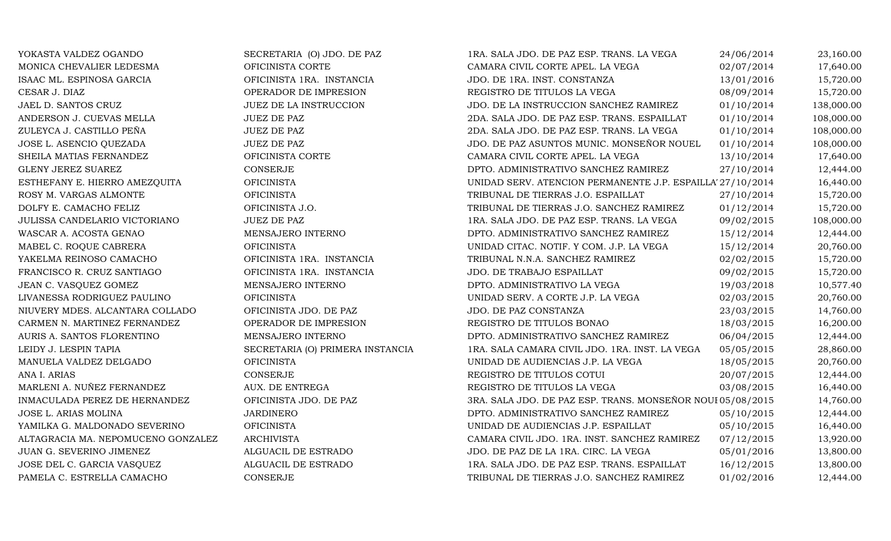| YOKASTA VALDEZ OGANDO              | SECRETARIA (O) JDO. DE PAZ       | 1RA. SALA JDO. DE PAZ ESP. TRANS. LA VEGA                  | 24/06/2014 | 23,160.00  |
|------------------------------------|----------------------------------|------------------------------------------------------------|------------|------------|
| MONICA CHEVALIER LEDESMA           | OFICINISTA CORTE                 | CAMARA CIVIL CORTE APEL. LA VEGA                           | 02/07/2014 | 17,640.00  |
| ISAAC ML. ESPINOSA GARCIA          | OFICINISTA 1RA. INSTANCIA        | JDO. DE 1RA. INST. CONSTANZA                               | 13/01/2016 | 15,720.00  |
| CESAR J. DIAZ                      | OPERADOR DE IMPRESION            | REGISTRO DE TITULOS LA VEGA                                | 08/09/2014 | 15,720.00  |
| JAEL D. SANTOS CRUZ                | JUEZ DE LA INSTRUCCION           | JDO. DE LA INSTRUCCION SANCHEZ RAMIREZ                     | 01/10/2014 | 138,000.00 |
| ANDERSON J. CUEVAS MELLA           | <b>JUEZ DE PAZ</b>               | 2DA. SALA JDO. DE PAZ ESP. TRANS. ESPAILLAT                | 01/10/2014 | 108,000.00 |
| ZULEYCA J. CASTILLO PEÑA           | <b>JUEZ DE PAZ</b>               | 2DA. SALA JDO. DE PAZ ESP. TRANS. LA VEGA                  | 01/10/2014 | 108,000.00 |
| JOSE L. ASENCIO QUEZADA            | <b>JUEZ DE PAZ</b>               | JDO. DE PAZ ASUNTOS MUNIC. MONSEÑOR NOUEL                  | 01/10/2014 | 108,000.00 |
| SHEILA MATIAS FERNANDEZ            | OFICINISTA CORTE                 | CAMARA CIVIL CORTE APEL. LA VEGA                           | 13/10/2014 | 17,640.00  |
| <b>GLENY JEREZ SUAREZ</b>          | CONSERJE                         | DPTO. ADMINISTRATIVO SANCHEZ RAMIREZ                       | 27/10/2014 | 12,444.00  |
| ESTHEFANY E. HIERRO AMEZQUITA      | <b>OFICINISTA</b>                | UNIDAD SERV. ATENCION PERMANENTE J.P. ESPAILLA' 27/10/2014 |            | 16,440.00  |
| ROSY M. VARGAS ALMONTE             | <b>OFICINISTA</b>                | TRIBUNAL DE TIERRAS J.O. ESPAILLAT                         | 27/10/2014 | 15,720.00  |
| DOLFY E. CAMACHO FELIZ             | OFICINISTA J.O.                  | TRIBUNAL DE TIERRAS J.O. SANCHEZ RAMIREZ                   | 01/12/2014 | 15,720.00  |
| JULISSA CANDELARIO VICTORIANO      | JUEZ DE PAZ                      | 1RA. SALA JDO. DE PAZ ESP. TRANS. LA VEGA                  | 09/02/2015 | 108,000.00 |
| WASCAR A. ACOSTA GENAO             | MENSAJERO INTERNO                | DPTO. ADMINISTRATIVO SANCHEZ RAMIREZ                       | 15/12/2014 | 12,444.00  |
| MABEL C. ROQUE CABRERA             | <b>OFICINISTA</b>                | UNIDAD CITAC. NOTIF. Y COM. J.P. LA VEGA                   | 15/12/2014 | 20,760.00  |
| YAKELMA REINOSO CAMACHO            | OFICINISTA 1RA. INSTANCIA        | TRIBUNAL N.N.A. SANCHEZ RAMIREZ                            | 02/02/2015 | 15,720.00  |
| FRANCISCO R. CRUZ SANTIAGO         | OFICINISTA 1RA. INSTANCIA        | JDO. DE TRABAJO ESPAILLAT                                  | 09/02/2015 | 15,720.00  |
| JEAN C. VASQUEZ GOMEZ              | MENSAJERO INTERNO                | DPTO. ADMINISTRATIVO LA VEGA                               | 19/03/2018 | 10,577.40  |
| LIVANESSA RODRIGUEZ PAULINO        | <b>OFICINISTA</b>                | UNIDAD SERV. A CORTE J.P. LA VEGA                          | 02/03/2015 | 20,760.00  |
| NIUVERY MDES. ALCANTARA COLLADO    | OFICINISTA JDO. DE PAZ           | JDO. DE PAZ CONSTANZA                                      | 23/03/2015 | 14,760.00  |
| CARMEN N. MARTINEZ FERNANDEZ       | OPERADOR DE IMPRESION            | REGISTRO DE TITULOS BONAO                                  | 18/03/2015 | 16,200.00  |
| AURIS A. SANTOS FLORENTINO         | MENSAJERO INTERNO                | DPTO. ADMINISTRATIVO SANCHEZ RAMIREZ                       | 06/04/2015 | 12,444.00  |
| LEIDY J. LESPIN TAPIA              | SECRETARIA (O) PRIMERA INSTANCIA | 1RA. SALA CAMARA CIVIL JDO. 1RA. INST. LA VEGA             | 05/05/2015 | 28,860.00  |
| MANUELA VALDEZ DELGADO             | <b>OFICINISTA</b>                | UNIDAD DE AUDIENCIAS J.P. LA VEGA                          | 18/05/2015 | 20,760.00  |
| ANA I. ARIAS                       | <b>CONSERJE</b>                  | REGISTRO DE TITULOS COTUI                                  | 20/07/2015 | 12,444.00  |
| MARLENI A. NUÑEZ FERNANDEZ         | AUX. DE ENTREGA                  | REGISTRO DE TITULOS LA VEGA                                | 03/08/2015 | 16,440.00  |
| INMACULADA PEREZ DE HERNANDEZ      | OFICINISTA JDO. DE PAZ           | 3RA. SALA JDO. DE PAZ ESP. TRANS. MONSEÑOR NOUI 05/08/2015 |            | 14,760.00  |
| JOSE L. ARIAS MOLINA               | <b>JARDINERO</b>                 | DPTO. ADMINISTRATIVO SANCHEZ RAMIREZ                       | 05/10/2015 | 12,444.00  |
| YAMILKA G. MALDONADO SEVERINO      | <b>OFICINISTA</b>                | UNIDAD DE AUDIENCIAS J.P. ESPAILLAT                        | 05/10/2015 | 16,440.00  |
| ALTAGRACIA MA. NEPOMUCENO GONZALEZ | <b>ARCHIVISTA</b>                | CAMARA CIVIL JDO. 1RA. INST. SANCHEZ RAMIREZ               | 07/12/2015 | 13,920.00  |
| JUAN G. SEVERINO JIMENEZ           | ALGUACIL DE ESTRADO              | JDO. DE PAZ DE LA 1RA. CIRC. LA VEGA                       | 05/01/2016 | 13,800.00  |
| JOSE DEL C. GARCIA VASQUEZ         | ALGUACIL DE ESTRADO              | 1RA. SALA JDO. DE PAZ ESP. TRANS. ESPAILLAT                | 16/12/2015 | 13,800.00  |
| PAMELA C. ESTRELLA CAMACHO         | CONSERJE                         | TRIBUNAL DE TIERRAS J.O. SANCHEZ RAMIREZ                   | 01/02/2016 | 12,444.00  |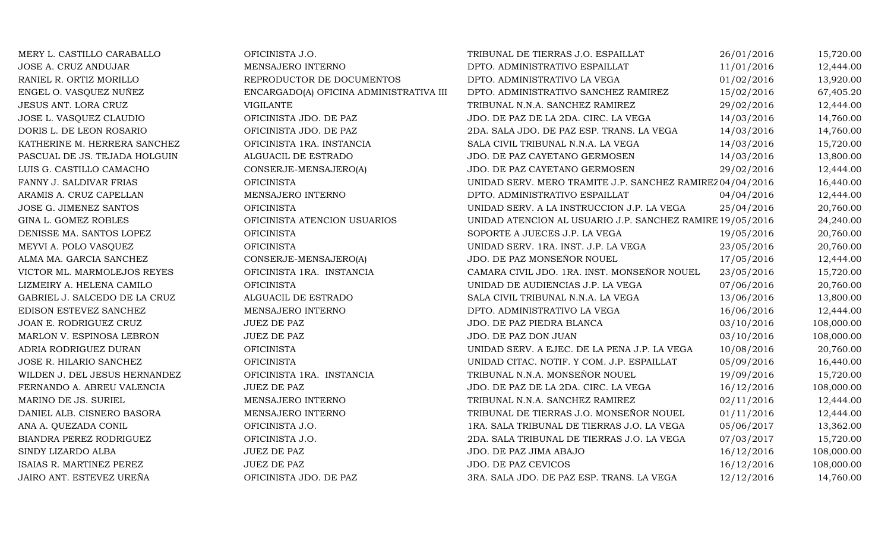| MERY L. CASTILLO CARABALLO    | OFICINISTA J.O.                         | TRIBUNAL DE TIERRAS J.O. ESPAILLAT                        | 26/01/2016 | 15,720.00  |
|-------------------------------|-----------------------------------------|-----------------------------------------------------------|------------|------------|
| JOSE A. CRUZ ANDUJAR          | MENSAJERO INTERNO                       | DPTO. ADMINISTRATIVO ESPAILLAT                            | 11/01/2016 | 12,444.00  |
| RANIEL R. ORTIZ MORILLO       | REPRODUCTOR DE DOCUMENTOS               | DPTO. ADMINISTRATIVO LA VEGA                              | 01/02/2016 | 13,920.00  |
| ENGEL O. VASQUEZ NUÑEZ        | ENCARGADO(A) OFICINA ADMINISTRATIVA III | DPTO. ADMINISTRATIVO SANCHEZ RAMIREZ                      | 15/02/2016 | 67,405.20  |
| JESUS ANT. LORA CRUZ          | <b>VIGILANTE</b>                        | TRIBUNAL N.N.A. SANCHEZ RAMIREZ                           | 29/02/2016 | 12,444.00  |
| JOSE L. VASQUEZ CLAUDIO       | OFICINISTA JDO. DE PAZ                  | JDO. DE PAZ DE LA 2DA. CIRC. LA VEGA                      | 14/03/2016 | 14,760.00  |
| DORIS L. DE LEON ROSARIO      | OFICINISTA JDO. DE PAZ                  | 2DA. SALA JDO. DE PAZ ESP. TRANS. LA VEGA                 | 14/03/2016 | 14,760.00  |
| KATHERINE M. HERRERA SANCHEZ  | OFICINISTA 1RA. INSTANCIA               | SALA CIVIL TRIBUNAL N.N.A. LA VEGA                        | 14/03/2016 | 15,720.00  |
| PASCUAL DE JS. TEJADA HOLGUIN | ALGUACIL DE ESTRADO                     | JDO. DE PAZ CAYETANO GERMOSEN                             | 14/03/2016 | 13,800.00  |
| LUIS G. CASTILLO CAMACHO      | CONSERJE-MENSAJERO(A)                   | JDO. DE PAZ CAYETANO GERMOSEN                             | 29/02/2016 | 12,444.00  |
| FANNY J. SALDIVAR FRIAS       | <b>OFICINISTA</b>                       | UNIDAD SERV. MERO TRAMITE J.P. SANCHEZ RAMIREZ 04/04/2016 |            | 16,440.00  |
| ARAMIS A. CRUZ CAPELLAN       | MENSAJERO INTERNO                       | DPTO. ADMINISTRATIVO ESPAILLAT                            | 04/04/2016 | 12,444.00  |
| JOSE G. JIMENEZ SANTOS        | <b>OFICINISTA</b>                       | UNIDAD SERV. A LA INSTRUCCION J.P. LA VEGA                | 25/04/2016 | 20,760.00  |
| GINA L. GOMEZ ROBLES          | OFICINISTA ATENCION USUARIOS            | UNIDAD ATENCION AL USUARIO J.P. SANCHEZ RAMIRE 19/05/2016 |            | 24,240.00  |
| DENISSE MA. SANTOS LOPEZ      | <b>OFICINISTA</b>                       | SOPORTE A JUECES J.P. LA VEGA                             | 19/05/2016 | 20,760.00  |
| MEYVI A. POLO VASQUEZ         | <b>OFICINISTA</b>                       | UNIDAD SERV. 1RA. INST. J.P. LA VEGA                      | 23/05/2016 | 20,760.00  |
| ALMA MA. GARCIA SANCHEZ       | CONSERJE-MENSAJERO(A)                   | JDO. DE PAZ MONSEÑOR NOUEL                                | 17/05/2016 | 12,444.00  |
| VICTOR ML. MARMOLEJOS REYES   | OFICINISTA 1RA. INSTANCIA               | CAMARA CIVIL JDO. 1RA. INST. MONSEÑOR NOUEL               | 23/05/2016 | 15,720.00  |
| LIZMEIRY A. HELENA CAMILO     | <b>OFICINISTA</b>                       | UNIDAD DE AUDIENCIAS J.P. LA VEGA                         | 07/06/2016 | 20,760.00  |
| GABRIEL J. SALCEDO DE LA CRUZ | ALGUACIL DE ESTRADO                     | SALA CIVIL TRIBUNAL N.N.A. LA VEGA                        | 13/06/2016 | 13,800.00  |
| EDISON ESTEVEZ SANCHEZ        | MENSAJERO INTERNO                       | DPTO. ADMINISTRATIVO LA VEGA                              | 16/06/2016 | 12,444.00  |
| JOAN E. RODRIGUEZ CRUZ        | <b>JUEZ DE PAZ</b>                      | JDO. DE PAZ PIEDRA BLANCA                                 | 03/10/2016 | 108,000.00 |
| MARLON V. ESPINOSA LEBRON     | <b>JUEZ DE PAZ</b>                      | JDO. DE PAZ DON JUAN                                      | 03/10/2016 | 108,000.00 |
| ADRIA RODRIGUEZ DURAN         | <b>OFICINISTA</b>                       | UNIDAD SERV. A EJEC. DE LA PENA J.P. LA VEGA              | 10/08/2016 | 20,760.00  |
| JOSE R. HILARIO SANCHEZ       | <b>OFICINISTA</b>                       | UNIDAD CITAC. NOTIF. Y COM. J.P. ESPAILLAT                | 05/09/2016 | 16,440.00  |
| WILDEN J. DEL JESUS HERNANDEZ | OFICINISTA 1RA. INSTANCIA               | TRIBUNAL N.N.A. MONSEÑOR NOUEL                            | 19/09/2016 | 15,720.00  |
| FERNANDO A. ABREU VALENCIA    | <b>JUEZ DE PAZ</b>                      | JDO. DE PAZ DE LA 2DA. CIRC. LA VEGA                      | 16/12/2016 | 108,000.00 |
| MARINO DE JS. SURIEL          | MENSAJERO INTERNO                       | TRIBUNAL N.N.A. SANCHEZ RAMIREZ                           | 02/11/2016 | 12,444.00  |
| DANIEL ALB. CISNERO BASORA    | MENSAJERO INTERNO                       | TRIBUNAL DE TIERRAS J.O. MONSEÑOR NOUEL                   | 01/11/2016 | 12,444.00  |
| ANA A. QUEZADA CONIL          | OFICINISTA J.O.                         | 1RA. SALA TRIBUNAL DE TIERRAS J.O. LA VEGA                | 05/06/2017 | 13,362.00  |
| BIANDRA PEREZ RODRIGUEZ       | OFICINISTA J.O.                         | 2DA. SALA TRIBUNAL DE TIERRAS J.O. LA VEGA                | 07/03/2017 | 15,720.00  |
| SINDY LIZARDO ALBA            | <b>JUEZ DE PAZ</b>                      | JDO. DE PAZ JIMA ABAJO                                    | 16/12/2016 | 108,000.00 |
| ISAIAS R. MARTINEZ PEREZ      | <b>JUEZ DE PAZ</b>                      | JDO. DE PAZ CEVICOS                                       | 16/12/2016 | 108,000.00 |
| JAIRO ANT. ESTEVEZ UREÑA      | OFICINISTA JDO. DE PAZ                  | 3RA. SALA JDO. DE PAZ ESP. TRANS. LA VEGA                 | 12/12/2016 | 14,760.00  |
|                               |                                         |                                                           |            |            |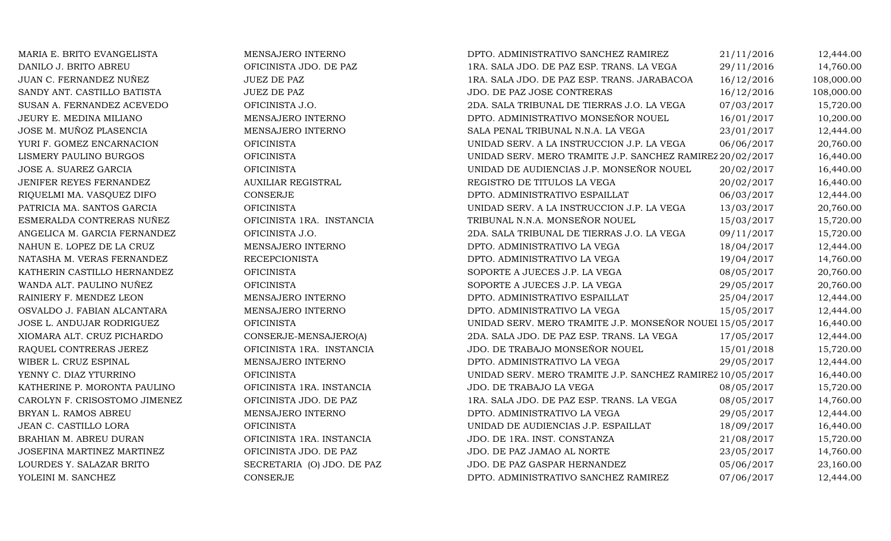| MARIA E. BRITO EVANGELISTA    | MENSAJERO INTERNO          | DPTO. ADMINISTRATIVO SANCHEZ RAMIREZ                      | 21/11/2016 | 12,444.00  |
|-------------------------------|----------------------------|-----------------------------------------------------------|------------|------------|
| DANILO J. BRITO ABREU         | OFICINISTA JDO. DE PAZ     | 1RA. SALA JDO. DE PAZ ESP. TRANS. LA VEGA                 | 29/11/2016 | 14,760.00  |
| JUAN C. FERNANDEZ NUÑEZ       | <b>JUEZ DE PAZ</b>         | 1RA. SALA JDO. DE PAZ ESP. TRANS. JARABACOA               | 16/12/2016 | 108,000.00 |
| SANDY ANT. CASTILLO BATISTA   | <b>JUEZ DE PAZ</b>         | JDO. DE PAZ JOSE CONTRERAS                                | 16/12/2016 | 108,000.00 |
| SUSAN A. FERNANDEZ ACEVEDO    | OFICINISTA J.O.            | 2DA. SALA TRIBUNAL DE TIERRAS J.O. LA VEGA                | 07/03/2017 | 15,720.00  |
| JEURY E. MEDINA MILIANO       | MENSAJERO INTERNO          | DPTO. ADMINISTRATIVO MONSEÑOR NOUEL                       | 16/01/2017 | 10,200.00  |
| JOSE M. MUÑOZ PLASENCIA       | MENSAJERO INTERNO          | SALA PENAL TRIBUNAL N.N.A. LA VEGA                        | 23/01/2017 | 12,444.00  |
| YURI F. GOMEZ ENCARNACION     | <b>OFICINISTA</b>          | UNIDAD SERV. A LA INSTRUCCION J.P. LA VEGA                | 06/06/2017 | 20,760.00  |
| LISMERY PAULINO BURGOS        | <b>OFICINISTA</b>          | UNIDAD SERV. MERO TRAMITE J.P. SANCHEZ RAMIREZ 20/02/2017 |            | 16,440.00  |
| JOSE A. SUAREZ GARCIA         | <b>OFICINISTA</b>          | UNIDAD DE AUDIENCIAS J.P. MONSEÑOR NOUEL                  | 20/02/2017 | 16,440.00  |
| JENIFER REYES FERNANDEZ       | <b>AUXILIAR REGISTRAL</b>  | REGISTRO DE TITULOS LA VEGA                               | 20/02/2017 | 16,440.00  |
| RIQUELMI MA. VASQUEZ DIFO     | CONSERJE                   | DPTO. ADMINISTRATIVO ESPAILLAT                            | 06/03/2017 | 12,444.00  |
| PATRICIA MA. SANTOS GARCIA    | <b>OFICINISTA</b>          | UNIDAD SERV. A LA INSTRUCCION J.P. LA VEGA                | 13/03/2017 | 20,760.00  |
| ESMERALDA CONTRERAS NUÑEZ     | OFICINISTA 1RA. INSTANCIA  | TRIBUNAL N.N.A. MONSEÑOR NOUEL                            | 15/03/2017 | 15,720.00  |
| ANGELICA M. GARCIA FERNANDEZ  | OFICINISTA J.O.            | 2DA. SALA TRIBUNAL DE TIERRAS J.O. LA VEGA                | 09/11/2017 | 15,720.00  |
| NAHUN E. LOPEZ DE LA CRUZ     | MENSAJERO INTERNO          | DPTO. ADMINISTRATIVO LA VEGA                              | 18/04/2017 | 12,444.00  |
| NATASHA M. VERAS FERNANDEZ    | <b>RECEPCIONISTA</b>       | DPTO. ADMINISTRATIVO LA VEGA                              | 19/04/2017 | 14,760.00  |
| KATHERIN CASTILLO HERNANDEZ   | <b>OFICINISTA</b>          | SOPORTE A JUECES J.P. LA VEGA                             | 08/05/2017 | 20,760.00  |
| WANDA ALT. PAULINO NUÑEZ      | <b>OFICINISTA</b>          | SOPORTE A JUECES J.P. LA VEGA                             | 29/05/2017 | 20,760.00  |
| RAINIERY F. MENDEZ LEON       | MENSAJERO INTERNO          | DPTO. ADMINISTRATIVO ESPAILLAT                            | 25/04/2017 | 12,444.00  |
| OSVALDO J. FABIAN ALCANTARA   | MENSAJERO INTERNO          | DPTO. ADMINISTRATIVO LA VEGA                              | 15/05/2017 | 12,444.00  |
| JOSE L. ANDUJAR RODRIGUEZ     | <b>OFICINISTA</b>          | UNIDAD SERV. MERO TRAMITE J.P. MONSEÑOR NOUEI 15/05/2017  |            | 16,440.00  |
| XIOMARA ALT. CRUZ PICHARDO    | CONSERJE-MENSAJERO(A)      | 2DA. SALA JDO. DE PAZ ESP. TRANS. LA VEGA                 | 17/05/2017 | 12,444.00  |
| RAQUEL CONTRERAS JEREZ        | OFICINISTA 1RA. INSTANCIA  | JDO. DE TRABAJO MONSEÑOR NOUEL                            | 15/01/2018 | 15,720.00  |
| WIBER L. CRUZ ESPINAL         | MENSAJERO INTERNO          | DPTO. ADMINISTRATIVO LA VEGA                              | 29/05/2017 | 12,444.00  |
| YENNY C. DIAZ YTURRINO        | <b>OFICINISTA</b>          | UNIDAD SERV. MERO TRAMITE J.P. SANCHEZ RAMIREZ 10/05/2017 |            | 16,440.00  |
| KATHERINE P. MORONTA PAULINO  | OFICINISTA 1RA. INSTANCIA  | JDO. DE TRABAJO LA VEGA                                   | 08/05/2017 | 15,720.00  |
| CAROLYN F. CRISOSTOMO JIMENEZ | OFICINISTA JDO. DE PAZ     | 1RA. SALA JDO. DE PAZ ESP. TRANS. LA VEGA                 | 08/05/2017 | 14,760.00  |
| BRYAN L. RAMOS ABREU          | MENSAJERO INTERNO          | DPTO. ADMINISTRATIVO LA VEGA                              | 29/05/2017 | 12,444.00  |
| JEAN C. CASTILLO LORA         | <b>OFICINISTA</b>          | UNIDAD DE AUDIENCIAS J.P. ESPAILLAT                       | 18/09/2017 | 16,440.00  |
| BRAHIAN M. ABREU DURAN        | OFICINISTA 1RA. INSTANCIA  | JDO. DE 1RA. INST. CONSTANZA                              | 21/08/2017 | 15,720.00  |
| JOSEFINA MARTINEZ MARTINEZ    | OFICINISTA JDO. DE PAZ     | JDO. DE PAZ JAMAO AL NORTE                                | 23/05/2017 | 14,760.00  |
| LOURDES Y. SALAZAR BRITO      | SECRETARIA (O) JDO. DE PAZ | JDO. DE PAZ GASPAR HERNANDEZ                              | 05/06/2017 | 23,160.00  |
| YOLEINI M. SANCHEZ            | CONSERJE                   | DPTO. ADMINISTRATIVO SANCHEZ RAMIREZ                      | 07/06/2017 | 12,444.00  |
|                               |                            |                                                           |            |            |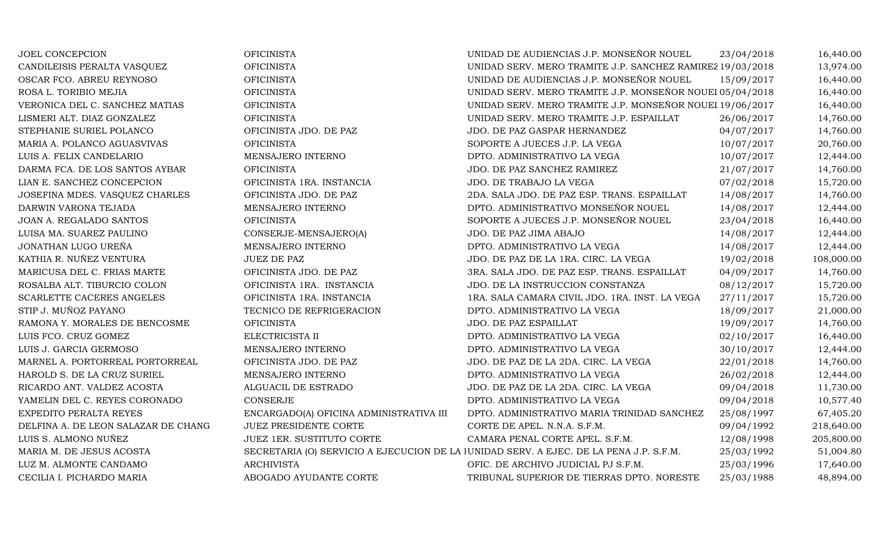| JOEL CONCEPCION                     | <b>OFICINISTA</b>                       | UNIDAD DE AUDIENCIAS J.P. MONSEÑOR NOUEL                                               | 23/04/2018 | 16,440.00  |
|-------------------------------------|-----------------------------------------|----------------------------------------------------------------------------------------|------------|------------|
| CANDILEISIS PERALTA VASQUEZ         | <b>OFICINISTA</b>                       | UNIDAD SERV. MERO TRAMITE J.P. SANCHEZ RAMIREZ 19/03/2018                              |            | 13,974.00  |
| OSCAR FCO. ABREU REYNOSO            | <b>OFICINISTA</b>                       | UNIDAD DE AUDIENCIAS J.P. MONSEÑOR NOUEL                                               | 15/09/2017 | 16,440.00  |
| ROSA L. TORIBIO MEJIA               | <b>OFICINISTA</b>                       | UNIDAD SERV. MERO TRAMITE J.P. MONSEÑOR NOUEI 05/04/2018                               |            | 16,440.00  |
| VERONICA DEL C. SANCHEZ MATIAS      | <b>OFICINISTA</b>                       | UNIDAD SERV. MERO TRAMITE J.P. MONSEÑOR NOUEI 19/06/2017                               |            | 16,440.00  |
| LISMERI ALT. DIAZ GONZALEZ          | <b>OFICINISTA</b>                       | UNIDAD SERV. MERO TRAMITE J.P. ESPAILLAT                                               | 26/06/2017 | 14,760.00  |
| STEPHANIE SURIEL POLANCO            | OFICINISTA JDO. DE PAZ                  | JDO. DE PAZ GASPAR HERNANDEZ                                                           | 04/07/2017 | 14,760.00  |
| MARIA A. POLANCO AGUASVIVAS         | <b>OFICINISTA</b>                       | SOPORTE A JUECES J.P. LA VEGA                                                          | 10/07/2017 | 20,760.00  |
| LUIS A. FELIX CANDELARIO            | MENSAJERO INTERNO                       | DPTO. ADMINISTRATIVO LA VEGA                                                           | 10/07/2017 | 12,444.00  |
| DARMA FCA. DE LOS SANTOS AYBAR      | <b>OFICINISTA</b>                       | JDO. DE PAZ SANCHEZ RAMIREZ                                                            | 21/07/2017 | 14,760.00  |
| LIAN E. SANCHEZ CONCEPCION          | OFICINISTA 1RA. INSTANCIA               | JDO. DE TRABAJO LA VEGA                                                                | 07/02/2018 | 15,720.00  |
| JOSEFINA MDES. VASQUEZ CHARLES      | OFICINISTA JDO. DE PAZ                  | 2DA. SALA JDO. DE PAZ ESP. TRANS. ESPAILLAT                                            | 14/08/2017 | 14,760.00  |
| DARWIN VARONA TEJADA                | MENSAJERO INTERNO                       | DPTO. ADMINISTRATIVO MONSEÑOR NOUEL                                                    | 14/08/2017 | 12,444.00  |
| JOAN A. REGALADO SANTOS             | <b>OFICINISTA</b>                       | SOPORTE A JUECES J.P. MONSEÑOR NOUEL                                                   | 23/04/2018 | 16,440.00  |
| LUISA MA. SUAREZ PAULINO            | CONSERJE-MENSAJERO(A)                   | JDO. DE PAZ JIMA ABAJO                                                                 | 14/08/2017 | 12,444.00  |
| JONATHAN LUGO UREÑA                 | MENSAJERO INTERNO                       | DPTO. ADMINISTRATIVO LA VEGA                                                           | 14/08/2017 | 12,444.00  |
| KATHIA R. NUÑEZ VENTURA             | <b>JUEZ DE PAZ</b>                      | JDO. DE PAZ DE LA 1RA. CIRC. LA VEGA                                                   | 19/02/2018 | 108,000.00 |
| MARICUSA DEL C. FRIAS MARTE         | OFICINISTA JDO. DE PAZ                  | 3RA. SALA JDO. DE PAZ ESP. TRANS. ESPAILLAT                                            | 04/09/2017 | 14,760.00  |
| ROSALBA ALT. TIBURCIO COLON         | OFICINISTA 1RA. INSTANCIA               | JDO. DE LA INSTRUCCION CONSTANZA                                                       | 08/12/2017 | 15,720.00  |
| SCARLETTE CACERES ANGELES           | OFICINISTA 1RA. INSTANCIA               | 1RA. SALA CAMARA CIVIL JDO. 1RA. INST. LA VEGA                                         | 27/11/2017 | 15,720.00  |
| STIP J. MUÑOZ PAYANO                | TECNICO DE REFRIGERACION                | DPTO. ADMINISTRATIVO LA VEGA                                                           | 18/09/2017 | 21,000.00  |
| RAMONA Y. MORALES DE BENCOSME       | <b>OFICINISTA</b>                       | JDO. DE PAZ ESPAILLAT                                                                  | 19/09/2017 | 14,760.00  |
| LUIS FCO. CRUZ GOMEZ                | ELECTRICISTA II                         | DPTO. ADMINISTRATIVO LA VEGA                                                           | 02/10/2017 | 16,440.00  |
| LUIS J. GARCIA GERMOSO              | MENSAJERO INTERNO                       | DPTO. ADMINISTRATIVO LA VEGA                                                           | 30/10/2017 | 12,444.00  |
| MARNEL A. PORTORREAL PORTORREAL     | OFICINISTA JDO. DE PAZ                  | JDO. DE PAZ DE LA 2DA. CIRC. LA VEGA                                                   | 22/01/2018 | 14,760.00  |
| HAROLD S. DE LA CRUZ SURIEL         | MENSAJERO INTERNO                       | DPTO. ADMINISTRATIVO LA VEGA                                                           | 26/02/2018 | 12,444.00  |
| RICARDO ANT. VALDEZ ACOSTA          | ALGUACIL DE ESTRADO                     | JDO. DE PAZ DE LA 2DA. CIRC. LA VEGA                                                   | 09/04/2018 | 11,730.00  |
| YAMELIN DEL C. REYES CORONADO       | CONSERJE                                | DPTO. ADMINISTRATIVO LA VEGA                                                           | 09/04/2018 | 10,577.40  |
| EXPEDITO PERALTA REYES              | ENCARGADO(A) OFICINA ADMINISTRATIVA III | DPTO. ADMINISTRATIVO MARIA TRINIDAD SANCHEZ                                            | 25/08/1997 | 67,405.20  |
| DELFINA A. DE LEON SALAZAR DE CHANG | JUEZ PRESIDENTE CORTE                   | CORTE DE APEL. N.N.A. S.F.M.                                                           | 09/04/1992 | 218,640.00 |
| LUIS S. ALMONO NUÑEZ                | JUEZ 1ER. SUSTITUTO CORTE               | CAMARA PENAL CORTE APEL. S.F.M.                                                        | 12/08/1998 | 205,800.00 |
| MARIA M. DE JESUS ACOSTA            |                                         | SECRETARIA (O) SERVICIO A EJECUCION DE LA JUNIDAD SERV. A EJEC. DE LA PENA J.P. S.F.M. | 25/03/1992 | 51,004.80  |
| LUZ M. ALMONTE CANDAMO              | <b>ARCHIVISTA</b>                       | OFIC. DE ARCHIVO JUDICIAL PJ S.F.M.                                                    | 25/03/1996 | 17,640.00  |
| CECILIA I. PICHARDO MARIA           | ABOGADO AYUDANTE CORTE                  | TRIBUNAL SUPERIOR DE TIERRAS DPTO. NORESTE                                             | 25/03/1988 | 48,894.00  |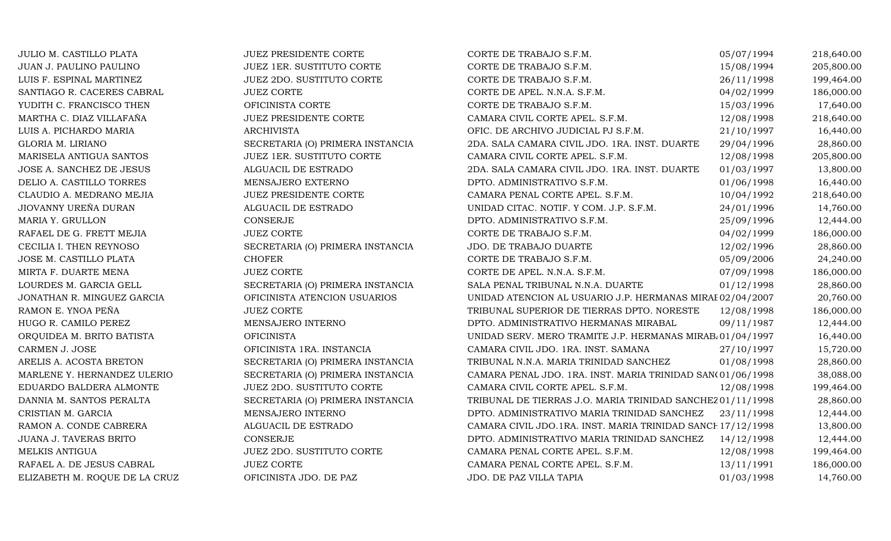| JULIO M. CASTILLO PLATA       | JUEZ PRESIDENTE CORTE            | CORTE DE TRABAJO S.F.M.                                     | 05/07/1994 | 218,640.00 |
|-------------------------------|----------------------------------|-------------------------------------------------------------|------------|------------|
| JUAN J. PAULINO PAULINO       | JUEZ 1ER. SUSTITUTO CORTE        | CORTE DE TRABAJO S.F.M.                                     | 15/08/1994 | 205,800.00 |
| LUIS F. ESPINAL MARTINEZ      | JUEZ 2DO. SUSTITUTO CORTE        | CORTE DE TRABAJO S.F.M.                                     | 26/11/1998 | 199,464.00 |
| SANTIAGO R. CACERES CABRAL    | <b>JUEZ CORTE</b>                | CORTE DE APEL. N.N.A. S.F.M.                                | 04/02/1999 | 186,000.00 |
| YUDITH C. FRANCISCO THEN      | OFICINISTA CORTE                 | CORTE DE TRABAJO S.F.M.                                     | 15/03/1996 | 17,640.00  |
| MARTHA C. DIAZ VILLAFAÑA      | JUEZ PRESIDENTE CORTE            | CAMARA CIVIL CORTE APEL. S.F.M.                             | 12/08/1998 | 218,640.00 |
| LUIS A. PICHARDO MARIA        | <b>ARCHIVISTA</b>                | OFIC. DE ARCHIVO JUDICIAL PJ S.F.M.                         | 21/10/1997 | 16,440.00  |
| GLORIA M. LIRIANO             | SECRETARIA (O) PRIMERA INSTANCIA | 2DA. SALA CAMARA CIVIL JDO. 1RA. INST. DUARTE               | 29/04/1996 | 28,860.00  |
| MARISELA ANTIGUA SANTOS       | JUEZ 1ER. SUSTITUTO CORTE        | CAMARA CIVIL CORTE APEL. S.F.M.                             | 12/08/1998 | 205,800.00 |
| JOSE A. SANCHEZ DE JESUS      | ALGUACIL DE ESTRADO              | 2DA. SALA CAMARA CIVIL JDO. 1RA. INST. DUARTE               | 01/03/1997 | 13,800.00  |
| DELIO A. CASTILLO TORRES      | MENSAJERO EXTERNO                | DPTO. ADMINISTRATIVO S.F.M.                                 | 01/06/1998 | 16,440.00  |
| CLAUDIO A. MEDRANO MEJIA      | <b>JUEZ PRESIDENTE CORTE</b>     | CAMARA PENAL CORTE APEL. S.F.M.                             | 10/04/1992 | 218,640.00 |
| JIOVANNY UREÑA DURAN          | ALGUACIL DE ESTRADO              | UNIDAD CITAC. NOTIF. Y COM. J.P. S.F.M.                     | 24/01/1996 | 14,760.00  |
| MARIA Y. GRULLON              | CONSERJE                         | DPTO. ADMINISTRATIVO S.F.M.                                 | 25/09/1996 | 12,444.00  |
| RAFAEL DE G. FRETT MEJIA      | <b>JUEZ CORTE</b>                | CORTE DE TRABAJO S.F.M.                                     | 04/02/1999 | 186,000.00 |
| CECILIA I. THEN REYNOSO       | SECRETARIA (O) PRIMERA INSTANCIA | JDO. DE TRABAJO DUARTE                                      | 12/02/1996 | 28,860.00  |
| JOSE M. CASTILLO PLATA        | <b>CHOFER</b>                    | CORTE DE TRABAJO S.F.M.                                     | 05/09/2006 | 24,240.00  |
| MIRTA F. DUARTE MENA          | <b>JUEZ CORTE</b>                | CORTE DE APEL. N.N.A. S.F.M.                                | 07/09/1998 | 186,000.00 |
| LOURDES M. GARCIA GELL        | SECRETARIA (O) PRIMERA INSTANCIA | SALA PENAL TRIBUNAL N.N.A. DUARTE                           | 01/12/1998 | 28,860.00  |
| JONATHAN R. MINGUEZ GARCIA    | OFICINISTA ATENCION USUARIOS     | UNIDAD ATENCION AL USUARIO J.P. HERMANAS MIRAE 02/04/2007   |            | 20,760.00  |
| RAMON E. YNOA PEÑA            | <b>JUEZ CORTE</b>                | TRIBUNAL SUPERIOR DE TIERRAS DPTO. NORESTE                  | 12/08/1998 | 186,000.00 |
| HUGO R. CAMILO PEREZ          | MENSAJERO INTERNO                | DPTO. ADMINISTRATIVO HERMANAS MIRABAL                       | 09/11/1987 | 12,444.00  |
| ORQUIDEA M. BRITO BATISTA     | <b>OFICINISTA</b>                | UNIDAD SERV. MERO TRAMITE J.P. HERMANAS MIRAB 01/04/1997    |            | 16,440.00  |
| CARMEN J. JOSE                | OFICINISTA 1RA. INSTANCIA        | CAMARA CIVIL JDO. 1RA. INST. SAMANA                         | 27/10/1997 | 15,720.00  |
| ARELIS A. ACOSTA BRETON       | SECRETARIA (O) PRIMERA INSTANCIA | TRIBUNAL N.N.A. MARIA TRINIDAD SANCHEZ                      | 01/08/1998 | 28,860.00  |
| MARLENE Y. HERNANDEZ ULERIO   | SECRETARIA (O) PRIMERA INSTANCIA | CAMARA PENAL JDO. 1RA. INST. MARIA TRINIDAD SAN(01/06/1998  |            | 38,088.00  |
| EDUARDO BALDERA ALMONTE       | JUEZ 2DO. SUSTITUTO CORTE        | CAMARA CIVIL CORTE APEL. S.F.M.                             | 12/08/1998 | 199,464.00 |
| DANNIA M. SANTOS PERALTA      | SECRETARIA (O) PRIMERA INSTANCIA | TRIBUNAL DE TIERRAS J.O. MARIA TRINIDAD SANCHEZ 01/11/1998  |            | 28,860.00  |
| CRISTIAN M. GARCIA            | MENSAJERO INTERNO                | DPTO. ADMINISTRATIVO MARIA TRINIDAD SANCHEZ                 | 23/11/1998 | 12,444.00  |
| RAMON A. CONDE CABRERA        | ALGUACIL DE ESTRADO              | CAMARA CIVIL JDO.1RA. INST. MARIA TRINIDAD SANCE 17/12/1998 |            | 13,800.00  |
| JUANA J. TAVERAS BRITO        | CONSERJE                         | DPTO. ADMINISTRATIVO MARIA TRINIDAD SANCHEZ                 | 14/12/1998 | 12,444.00  |
| MELKIS ANTIGUA                | JUEZ 2DO. SUSTITUTO CORTE        | CAMARA PENAL CORTE APEL. S.F.M.                             | 12/08/1998 | 199,464.00 |
| RAFAEL A. DE JESUS CABRAL     | <b>JUEZ CORTE</b>                | CAMARA PENAL CORTE APEL. S.F.M.                             | 13/11/1991 | 186,000.00 |
| ELIZABETH M. ROQUE DE LA CRUZ | OFICINISTA JDO. DE PAZ           | JDO. DE PAZ VILLA TAPIA                                     | 01/03/1998 | 14,760.00  |
|                               |                                  |                                                             |            |            |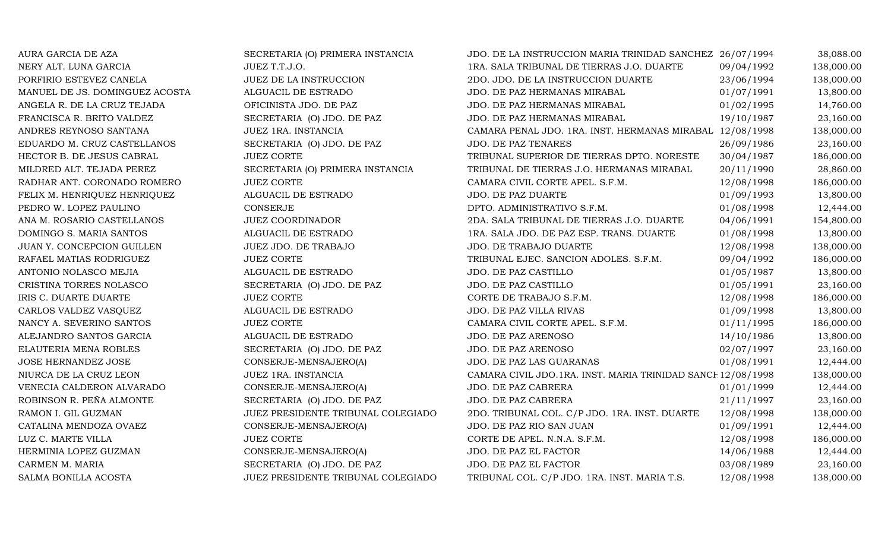| AURA GARCIA DE AZA             | SECRETARIA (O) PRIMERA INSTANCIA   | JDO. DE LA INSTRUCCION MARIA TRINIDAD SANCHEZ 26/07/1994    |            | 38,088.00  |
|--------------------------------|------------------------------------|-------------------------------------------------------------|------------|------------|
| NERY ALT. LUNA GARCIA          | JUEZ T.T.J.O.                      | 1RA. SALA TRIBUNAL DE TIERRAS J.O. DUARTE                   | 09/04/1992 | 138,000.00 |
| PORFIRIO ESTEVEZ CANELA        | JUEZ DE LA INSTRUCCION             | 2DO. JDO. DE LA INSTRUCCION DUARTE                          | 23/06/1994 | 138,000.00 |
| MANUEL DE JS. DOMINGUEZ ACOSTA | ALGUACIL DE ESTRADO                | JDO. DE PAZ HERMANAS MIRABAL                                | 01/07/1991 | 13,800.00  |
| ANGELA R. DE LA CRUZ TEJADA    | OFICINISTA JDO. DE PAZ             | JDO. DE PAZ HERMANAS MIRABAL                                | 01/02/1995 | 14,760.00  |
| FRANCISCA R. BRITO VALDEZ      | SECRETARIA (O) JDO. DE PAZ         | JDO. DE PAZ HERMANAS MIRABAL                                | 19/10/1987 | 23,160.00  |
| ANDRES REYNOSO SANTANA         | JUEZ 1RA. INSTANCIA                | CAMARA PENAL JDO. 1RA. INST. HERMANAS MIRABAL 12/08/1998    |            | 138,000.00 |
| EDUARDO M. CRUZ CASTELLANOS    | SECRETARIA (O) JDO. DE PAZ         | JDO. DE PAZ TENARES                                         | 26/09/1986 | 23,160.00  |
| HECTOR B. DE JESUS CABRAL      | <b>JUEZ CORTE</b>                  | TRIBUNAL SUPERIOR DE TIERRAS DPTO. NORESTE                  | 30/04/1987 | 186,000.00 |
| MILDRED ALT. TEJADA PEREZ      | SECRETARIA (O) PRIMERA INSTANCIA   | TRIBUNAL DE TIERRAS J.O. HERMANAS MIRABAL                   | 20/11/1990 | 28,860.00  |
| RADHAR ANT. CORONADO ROMERO    | <b>JUEZ CORTE</b>                  | CAMARA CIVIL CORTE APEL. S.F.M.                             | 12/08/1998 | 186,000.00 |
| FELIX M. HENRIQUEZ HENRIQUEZ   | ALGUACIL DE ESTRADO                | JDO. DE PAZ DUARTE                                          | 01/09/1993 | 13,800.00  |
| PEDRO W. LOPEZ PAULINO         | CONSERJE                           | DPTO. ADMINISTRATIVO S.F.M.                                 | 01/08/1998 | 12,444.00  |
| ANA M. ROSARIO CASTELLANOS     | <b>JUEZ COORDINADOR</b>            | 2DA. SALA TRIBUNAL DE TIERRAS J.O. DUARTE                   | 04/06/1991 | 154,800.00 |
| DOMINGO S. MARIA SANTOS        | ALGUACIL DE ESTRADO                | 1RA. SALA JDO. DE PAZ ESP. TRANS. DUARTE                    | 01/08/1998 | 13,800.00  |
| JUAN Y. CONCEPCION GUILLEN     | JUEZ JDO. DE TRABAJO               | JDO. DE TRABAJO DUARTE                                      | 12/08/1998 | 138,000.00 |
| RAFAEL MATIAS RODRIGUEZ        | <b>JUEZ CORTE</b>                  | TRIBUNAL EJEC. SANCION ADOLES. S.F.M.                       | 09/04/1992 | 186,000.00 |
| ANTONIO NOLASCO MEJIA          | ALGUACIL DE ESTRADO                | JDO. DE PAZ CASTILLO                                        | 01/05/1987 | 13,800.00  |
| CRISTINA TORRES NOLASCO        | SECRETARIA (O) JDO. DE PAZ         | JDO. DE PAZ CASTILLO                                        | 01/05/1991 | 23,160.00  |
| IRIS C. DUARTE DUARTE          | <b>JUEZ CORTE</b>                  | CORTE DE TRABAJO S.F.M.                                     | 12/08/1998 | 186,000.00 |
| CARLOS VALDEZ VASQUEZ          | ALGUACIL DE ESTRADO                | <b>JDO. DE PAZ VILLA RIVAS</b>                              | 01/09/1998 | 13,800.00  |
| NANCY A. SEVERINO SANTOS       | <b>JUEZ CORTE</b>                  | CAMARA CIVIL CORTE APEL. S.F.M.                             | 01/11/1995 | 186,000.00 |
| ALEJANDRO SANTOS GARCIA        | ALGUACIL DE ESTRADO                | JDO. DE PAZ ARENOSO                                         | 14/10/1986 | 13,800.00  |
| ELAUTERIA MENA ROBLES          | SECRETARIA (O) JDO. DE PAZ         | JDO. DE PAZ ARENOSO                                         | 02/07/1997 | 23,160.00  |
| JOSE HERNANDEZ JOSE            | CONSERJE-MENSAJERO(A)              | JDO. DE PAZ LAS GUARANAS                                    | 01/08/1991 | 12,444.00  |
| NIURCA DE LA CRUZ LEON         | JUEZ 1RA. INSTANCIA                | CAMARA CIVIL JDO.1RA. INST. MARIA TRINIDAD SANCE 12/08/1998 |            | 138,000.00 |
| VENECIA CALDERON ALVARADO      | CONSERJE-MENSAJERO(A)              | JDO. DE PAZ CABRERA                                         | 01/01/1999 | 12,444.00  |
| ROBINSON R. PEÑA ALMONTE       | SECRETARIA (O) JDO. DE PAZ         | JDO. DE PAZ CABRERA                                         | 21/11/1997 | 23,160.00  |
| RAMON I. GIL GUZMAN            | JUEZ PRESIDENTE TRIBUNAL COLEGIADO | 2DO. TRIBUNAL COL. C/P JDO. 1RA. INST. DUARTE               | 12/08/1998 | 138,000.00 |
| CATALINA MENDOZA OVAEZ         | CONSERJE-MENSAJERO(A)              | JDO. DE PAZ RIO SAN JUAN                                    | 01/09/1991 | 12,444.00  |
| LUZ C. MARTE VILLA             | <b>JUEZ CORTE</b>                  | CORTE DE APEL. N.N.A. S.F.M.                                | 12/08/1998 | 186,000.00 |
| HERMINIA LOPEZ GUZMAN          | CONSERJE-MENSAJERO(A)              | JDO. DE PAZ EL FACTOR                                       | 14/06/1988 | 12,444.00  |
| CARMEN M. MARIA                | SECRETARIA (O) JDO. DE PAZ         | JDO. DE PAZ EL FACTOR                                       | 03/08/1989 | 23,160.00  |
| SALMA BONILLA ACOSTA           | JUEZ PRESIDENTE TRIBUNAL COLEGIADO | TRIBUNAL COL. C/P JDO. 1RA. INST. MARIA T.S.                | 12/08/1998 | 138,000.00 |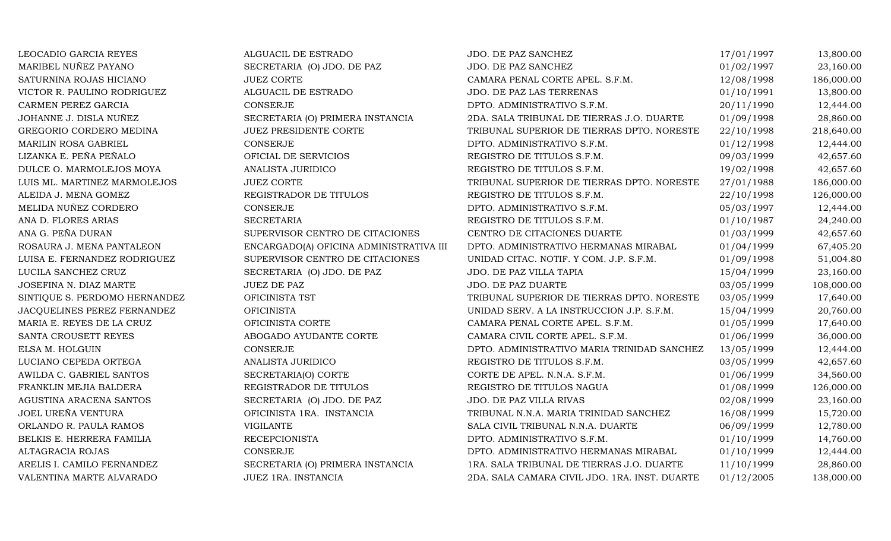| LEOCADIO GARCIA REYES         | ALGUACIL DE ESTRADO                     | JDO. DE PAZ SANCHEZ                           | 17/01/1997 | 13,800.00  |
|-------------------------------|-----------------------------------------|-----------------------------------------------|------------|------------|
| MARIBEL NUÑEZ PAYANO          | SECRETARIA (O) JDO. DE PAZ              | JDO. DE PAZ SANCHEZ                           | 01/02/1997 | 23,160.00  |
| SATURNINA ROJAS HICIANO       | <b>JUEZ CORTE</b>                       | CAMARA PENAL CORTE APEL. S.F.M.               | 12/08/1998 | 186,000.00 |
| VICTOR R. PAULINO RODRIGUEZ   | ALGUACIL DE ESTRADO                     | JDO. DE PAZ LAS TERRENAS                      | 01/10/1991 | 13,800.00  |
| CARMEN PEREZ GARCIA           | CONSERJE                                | DPTO. ADMINISTRATIVO S.F.M.                   | 20/11/1990 | 12,444.00  |
| JOHANNE J. DISLA NUÑEZ        | SECRETARIA (O) PRIMERA INSTANCIA        | 2DA. SALA TRIBUNAL DE TIERRAS J.O. DUARTE     | 01/09/1998 | 28,860.00  |
| GREGORIO CORDERO MEDINA       | JUEZ PRESIDENTE CORTE                   | TRIBUNAL SUPERIOR DE TIERRAS DPTO. NORESTE    | 22/10/1998 | 218,640.00 |
| MARILIN ROSA GABRIEL          | CONSERJE                                | DPTO. ADMINISTRATIVO S.F.M.                   | 01/12/1998 | 12,444.00  |
| LIZANKA E. PEÑA PEÑALO        | OFICIAL DE SERVICIOS                    | REGISTRO DE TITULOS S.F.M.                    | 09/03/1999 | 42,657.60  |
| DULCE O. MARMOLEJOS MOYA      | ANALISTA JURIDICO                       | REGISTRO DE TITULOS S.F.M.                    | 19/02/1998 | 42,657.60  |
| LUIS ML. MARTINEZ MARMOLEJOS  | <b>JUEZ CORTE</b>                       | TRIBUNAL SUPERIOR DE TIERRAS DPTO. NORESTE    | 27/01/1988 | 186,000.00 |
| ALEIDA J. MENA GOMEZ          | REGISTRADOR DE TITULOS                  | REGISTRO DE TITULOS S.F.M.                    | 22/10/1998 | 126,000.00 |
| MELIDA NUÑEZ CORDERO          | <b>CONSERJE</b>                         | DPTO. ADMINISTRATIVO S.F.M.                   | 05/03/1997 | 12,444.00  |
| ANA D. FLORES ARIAS           | <b>SECRETARIA</b>                       | REGISTRO DE TITULOS S.F.M.                    | 01/10/1987 | 24,240.00  |
| ANA G. PEÑA DURAN             | SUPERVISOR CENTRO DE CITACIONES         | CENTRO DE CITACIONES DUARTE                   | 01/03/1999 | 42,657.60  |
| ROSAURA J. MENA PANTALEON     | ENCARGADO(A) OFICINA ADMINISTRATIVA III | DPTO. ADMINISTRATIVO HERMANAS MIRABAL         | 01/04/1999 | 67,405.20  |
| LUISA E. FERNANDEZ RODRIGUEZ  | SUPERVISOR CENTRO DE CITACIONES         | UNIDAD CITAC. NOTIF. Y COM. J.P. S.F.M.       | 01/09/1998 | 51,004.80  |
| LUCILA SANCHEZ CRUZ           | SECRETARIA (O) JDO. DE PAZ              | JDO. DE PAZ VILLA TAPIA                       | 15/04/1999 | 23,160.00  |
| JOSEFINA N. DIAZ MARTE        | JUEZ DE PAZ                             | JDO. DE PAZ DUARTE                            | 03/05/1999 | 108,000.00 |
| SINTIQUE S. PERDOMO HERNANDEZ | OFICINISTA TST                          | TRIBUNAL SUPERIOR DE TIERRAS DPTO. NORESTE    | 03/05/1999 | 17,640.00  |
| JACQUELINES PEREZ FERNANDEZ   | <b>OFICINISTA</b>                       | UNIDAD SERV. A LA INSTRUCCION J.P. S.F.M.     | 15/04/1999 | 20,760.00  |
| MARIA E. REYES DE LA CRUZ     | OFICINISTA CORTE                        | CAMARA PENAL CORTE APEL. S.F.M.               | 01/05/1999 | 17,640.00  |
| SANTA CROUSETT REYES          | ABOGADO AYUDANTE CORTE                  | CAMARA CIVIL CORTE APEL. S.F.M.               | 01/06/1999 | 36,000.00  |
| ELSA M. HOLGUIN               | CONSERJE                                | DPTO. ADMINISTRATIVO MARIA TRINIDAD SANCHEZ   | 13/05/1999 | 12,444.00  |
| LUCIANO CEPEDA ORTEGA         | ANALISTA JURIDICO                       | REGISTRO DE TITULOS S.F.M.                    | 03/05/1999 | 42,657.60  |
| AWILDA C. GABRIEL SANTOS      | SECRETARIA(O) CORTE                     | CORTE DE APEL. N.N.A. S.F.M.                  | 01/06/1999 | 34,560.00  |
| FRANKLIN MEJIA BALDERA        | REGISTRADOR DE TITULOS                  | REGISTRO DE TITULOS NAGUA                     | 01/08/1999 | 126,000.00 |
| AGUSTINA ARACENA SANTOS       | SECRETARIA (O) JDO. DE PAZ              | JDO. DE PAZ VILLA RIVAS                       | 02/08/1999 | 23,160.00  |
| JOEL UREÑA VENTURA            | OFICINISTA 1RA. INSTANCIA               | TRIBUNAL N.N.A. MARIA TRINIDAD SANCHEZ        | 16/08/1999 | 15,720.00  |
| ORLANDO R. PAULA RAMOS        | <b>VIGILANTE</b>                        | SALA CIVIL TRIBUNAL N.N.A. DUARTE             | 06/09/1999 | 12,780.00  |
| BELKIS E. HERRERA FAMILIA     | RECEPCIONISTA                           | DPTO. ADMINISTRATIVO S.F.M.                   | 01/10/1999 | 14,760.00  |
| ALTAGRACIA ROJAS              | <b>CONSERJE</b>                         | DPTO. ADMINISTRATIVO HERMANAS MIRABAL         | 01/10/1999 | 12,444.00  |
| ARELIS I. CAMILO FERNANDEZ    | SECRETARIA (O) PRIMERA INSTANCIA        | 1RA. SALA TRIBUNAL DE TIERRAS J.O. DUARTE     | 11/10/1999 | 28,860.00  |
| VALENTINA MARTE ALVARADO      | JUEZ 1RA. INSTANCIA                     | 2DA. SALA CAMARA CIVIL JDO. 1RA. INST. DUARTE | 01/12/2005 | 138,000.00 |
|                               |                                         |                                               |            |            |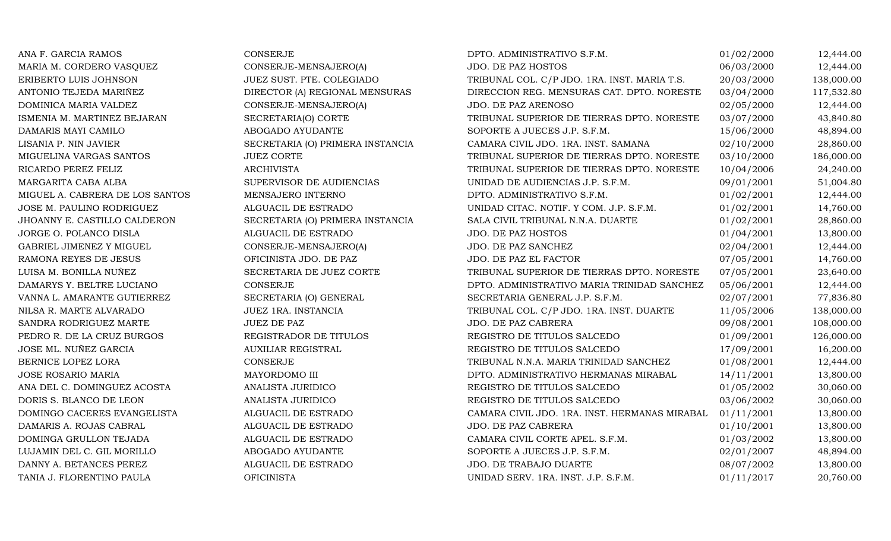ANA F. GARCIA RAMOS CONSERJE CONSERIE DPTO. ADMINISTRATIVO S.F.M. 01/02/2000 12,444.00 MARIA M. CORDERO VASQUEZ CONSERJE-MENSAJERO(A) JDO. DE PAZ HOSTOS 06/03/2000 12,444.00 ERIBERTO LUIS JOHNSON JUEZ SUST. PTE. COLEGIADO TRIBUNAL COL. C/P JDO. 1RA. INST. MARIA T.S. 20/03/2000 138,000.00<br>ANTONIO TEJEDA MARIÑEZ DIRECTOR (A) REGIONAL MENSURAS DIRECCION REG. MENSURAS CAT. DPTO. NORESTE 03/04/2000 ANTONIO TEJEDA MARIÑEZ DIRECTOR (A) REGIONAL MENSURAS DIRECCION REG. MENSURAS CAT. DPTO. NORESTE 03/04/2000 117,532.80 DOMINICA MARIA VALDEZ CONSERJE-MENSAJERO(A) ISMENIA M. MARTINEZ BEJARAN SECRETARIA(O) CORTE 02/05/2000 12,444.00<br>03/07/2000 43,840.80 ISMENIA M. MARTINEZ BEJARAN SECRETARIA(O) CORTE TRIBUNAL SUPERIOR DE TIERRAS DPTO. NORESTE 03/07/2000 43,840.80 DAMARIS MAYI CAMILO COME ABOGADO AYUDANTE SOPORTE A JUECES J.P. S.F.M. 15/06/2000 48,894.00 LISANIA P. NIN JAVIER SECRETARIA (O) PRIMERA INSTANCIA CAMARA CIVIL JDO. 1RA. INST. SAMANA 02/10/2000 28,860.00<br>MIGUELINA VARGAS SANTOS JUEZ CORTE TUEZ CORTE TRIBUNAL SUPERIOR DE TIERRAS DPTO. NORESTE 03/10/2000 186,000.00 MIGUELINA VARGAS SANTOS JUEZ CORTE TRIBUNAL SUPERIOR DE TIERRAS DPTO. NORESTE 03/10/2000 186,000.00 RICARDO PEREZ FELIZ ARCHIVISTA TRIBUNAL SUPERIOR DE TIERRAS DPTO. NORESTE 10/04/2006 24,240.00 MARGARITA CABA ALBA SUPERVISOR DE AUDIENCIAS UNIDAD DE AUDIENCIAS J.P. S.F.M. 09/01/2001 51,004.80 MIGUEL A. CABRERA DE LOS SANTOS MENSAJERO INTERNO DE DETO. ADMINISTRATIVO S.F.M. O 1/02/2001 12,444.00 JOSE M. PAULINO RODRIGUEZ ALGUACIL DE ESTRADO UNIDAD CITAC. NOTIF. Y COM. J.P. S.F.M. 01/02/2001 14,760.00 JHOANNY E. CASTILLO CALDERON SECRETARIA (O) PRIMERA INSTANCIA SALA CIVIL TRIBUNAL N.N.A. DUARTE 01/02/2001 28,860.00<br>JDO. DE PAZ HOSTOS 01/04/2001 13,800.00 JORGE O. POLANCO DISLA ALGUACIL DE ESTRADO JDO. DE PAZ HOSTOS 01/04/2001 13,800.00 GABRIEL JIMENEZ Y MIGUEL CONSERJE-MENSAJERO(A) JDO. DE PAZ SANCHEZ 02/04/2001 12,444.00 RAMONA REYES DE JESUS CHICINISTA JDO. DE PAZ JDO. DE PAZ EL FACTOR O7/05/2001 14,760.00 LUISA M. BONILLA NUÑEZ SECRETARIA DE JUEZ CORTE TRIBUNAL SUPERIOR DE TIERRAS DPTO. NORESTE 07/05/2001 23,640.00 DAMARYS Y. BELTRE LUCIANO CONSERJE DPTO. ADMINISTRATIVO MARIA TRINIDAD SANCHEZ 05/06/2001 12,444.00 VANNA L. AMARANTE GUTIERREZ SECRETARIA (O) GENERAL SECRETARIA GENERAL J.P. S.F.M. 02/07/2001 77,836.80 NILSA R. MARTE ALVARADO JUEZ 1RA. INSTANCIA TRIBUNAL COL. C/P JDO. 1RA. INST. DUARTE 11/05/2006 138,000.00 SANDRA RODRIGUEZ MARTE JUEZ DE PAZ JUEZ DE PAZ SANDRA EN LOS DE PAZ CABRERA DE PAZ CABRERA DE 108,000.00 PEDRO R. DE LA CRUZ BURGOS REGISTRADOR DE TITULOS REGISTRO DE TITULOS SALCEDO 01/09/2001 126,000.00 JOSE ML. NUÑEZ GARCIA AUXILIAR REGISTRAL REGISTRO DE TITULOS SALCEDO 17/09/2001 16,200.00 BERNICE LOPEZ LORA CONSERJE TRIBUNAL N.N.A. MARIA TRINIDAD SANCHEZ 01/08/2001 12,444.00 JOSE ROSARIO MARIA MAYORDOMO III DPTO. ADMINISTRATIVO HERMANAS MIRABAL 14/11/2001 13,800.00 ANA DEL C. DOMINGUEZ ACOSTA ANALISTA JURIDICO REGISTRO DE TITULOS SALCEDO 61/05/2002 30,060.00 DORIS S. BLANCO DE LEON ANALISTA JURIDICO REGISTRO DE TITULOS SALCEDO 63/06/2002 30,060.00 DOMINGO CACERES EVANGELISTA ALGUACIL DE ESTRADO CAMARA CIVIL JDO. 1RA. INST. HERMANAS MIRABAL 01/11/2001 13,800.00 DAMARIS A. ROJAS CABRAL ALGUACIL DE ESTRADO JDO. DE PAZ CABRERA 01/10/2001 13,800.00 DOMINGA GRULLON TEJADA ALGUACIL DE ESTRADO CAMARA CIVIL CORTE APEL. S.F.M. 01/03/2002 13,800.00 LUJAMIN DEL C. GIL MORILLO ANDOGADO AYUDANTE SOPORTE A JUECES J.P. S.F.M. 02/01/2007 48,894.00 DANNY A. BETANCES PEREZ ALGUACIL DE ESTRADO JDO. DE TRABAJO DUARTE 08/07/2002 13,800.00 TANIA J. FLORENTINO PAULA CHEINISTA OFICINISTA DE EN ENGLACIÓN UNIDAD SERV. 1RA. INST. J.P. S.F.M. 01/11/2017 20,760.00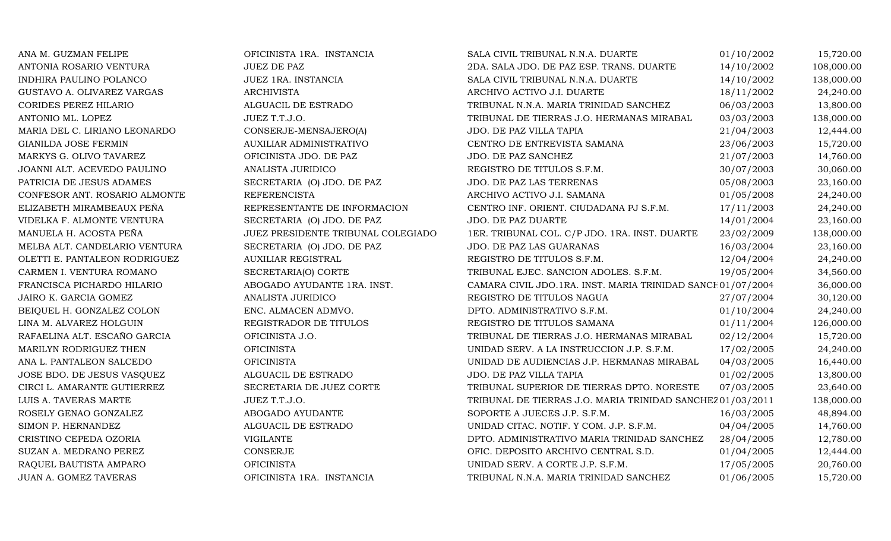| ANA M. GUZMAN FELIPE          | OFICINISTA 1RA. INSTANCIA          | SALA CIVIL TRIBUNAL N.N.A. DUARTE                           | 01/10/2002 | 15,720.00  |
|-------------------------------|------------------------------------|-------------------------------------------------------------|------------|------------|
| ANTONIA ROSARIO VENTURA       | <b>JUEZ DE PAZ</b>                 | 2DA. SALA JDO. DE PAZ ESP. TRANS. DUARTE                    | 14/10/2002 | 108,000.00 |
| INDHIRA PAULINO POLANCO       | JUEZ 1RA. INSTANCIA                | SALA CIVIL TRIBUNAL N.N.A. DUARTE                           | 14/10/2002 | 138,000.00 |
| GUSTAVO A. OLIVAREZ VARGAS    | <b>ARCHIVISTA</b>                  | ARCHIVO ACTIVO J.I. DUARTE                                  | 18/11/2002 | 24,240.00  |
| <b>CORIDES PEREZ HILARIO</b>  | ALGUACIL DE ESTRADO                | TRIBUNAL N.N.A. MARIA TRINIDAD SANCHEZ                      | 06/03/2003 | 13,800.00  |
| ANTONIO ML. LOPEZ             | JUEZ T.T.J.O.                      | TRIBUNAL DE TIERRAS J.O. HERMANAS MIRABAL                   | 03/03/2003 | 138,000.00 |
| MARIA DEL C. LIRIANO LEONARDO | CONSERJE-MENSAJERO(A)              | JDO. DE PAZ VILLA TAPIA                                     | 21/04/2003 | 12,444.00  |
| GIANILDA JOSE FERMIN          | AUXILIAR ADMINISTRATIVO            | CENTRO DE ENTREVISTA SAMANA                                 | 23/06/2003 | 15,720.00  |
| MARKYS G. OLIVO TAVAREZ       | OFICINISTA JDO. DE PAZ             | JDO. DE PAZ SANCHEZ                                         | 21/07/2003 | 14,760.00  |
| JOANNI ALT. ACEVEDO PAULINO   | ANALISTA JURIDICO                  | REGISTRO DE TITULOS S.F.M.                                  | 30/07/2003 | 30,060.00  |
| PATRICIA DE JESUS ADAMES      | SECRETARIA (O) JDO. DE PAZ         | JDO. DE PAZ LAS TERRENAS                                    | 05/08/2003 | 23,160.00  |
| CONFESOR ANT. ROSARIO ALMONTE | <b>REFERENCISTA</b>                | ARCHIVO ACTIVO J.I. SAMANA                                  | 01/05/2008 | 24,240.00  |
| ELIZABETH MIRAMBEAUX PEÑA     | REPRESENTANTE DE INFORMACION       | CENTRO INF. ORIENT. CIUDADANA PJ S.F.M.                     | 17/11/2003 | 24,240.00  |
| VIDELKA F. ALMONTE VENTURA    | SECRETARIA (O) JDO. DE PAZ         | JDO. DE PAZ DUARTE                                          | 14/01/2004 | 23,160.00  |
| MANUELA H. ACOSTA PEÑA        | JUEZ PRESIDENTE TRIBUNAL COLEGIADO | 1ER. TRIBUNAL COL. C/P JDO. 1RA. INST. DUARTE               | 23/02/2009 | 138,000.00 |
| MELBA ALT. CANDELARIO VENTURA | SECRETARIA (O) JDO. DE PAZ         | JDO. DE PAZ LAS GUARANAS                                    | 16/03/2004 | 23,160.00  |
| OLETTI E. PANTALEON RODRIGUEZ | <b>AUXILIAR REGISTRAL</b>          | REGISTRO DE TITULOS S.F.M.                                  | 12/04/2004 | 24,240.00  |
| CARMEN I. VENTURA ROMANO      | SECRETARIA(O) CORTE                | TRIBUNAL EJEC. SANCION ADOLES. S.F.M.                       | 19/05/2004 | 34,560.00  |
| FRANCISCA PICHARDO HILARIO    | ABOGADO AYUDANTE 1RA. INST.        | CAMARA CIVIL JDO.1RA. INST. MARIA TRINIDAD SANCE 01/07/2004 |            | 36,000.00  |
| JAIRO K. GARCIA GOMEZ         | ANALISTA JURIDICO                  | REGISTRO DE TITULOS NAGUA                                   | 27/07/2004 | 30,120.00  |
| BEIQUEL H. GONZALEZ COLON     | ENC. ALMACEN ADMVO.                | DPTO. ADMINISTRATIVO S.F.M.                                 | 01/10/2004 | 24,240.00  |
| LINA M. ALVAREZ HOLGUIN       | REGISTRADOR DE TITULOS             | REGISTRO DE TITULOS SAMANA                                  | 01/11/2004 | 126,000.00 |
| RAFAELINA ALT. ESCAÑO GARCIA  | OFICINISTA J.O.                    | TRIBUNAL DE TIERRAS J.O. HERMANAS MIRABAL                   | 02/12/2004 | 15,720.00  |
| MARILYN RODRIGUEZ THEN        | <b>OFICINISTA</b>                  | UNIDAD SERV. A LA INSTRUCCION J.P. S.F.M.                   | 17/02/2005 | 24,240.00  |
| ANA L. PANTALEON SALCEDO      | <b>OFICINISTA</b>                  | UNIDAD DE AUDIENCIAS J.P. HERMANAS MIRABAL                  | 04/03/2005 | 16,440.00  |
| JOSE BDO. DE JESUS VASQUEZ    | ALGUACIL DE ESTRADO                | JDO. DE PAZ VILLA TAPIA                                     | 01/02/2005 | 13,800.00  |
| CIRCI L. AMARANTE GUTIERREZ   | SECRETARIA DE JUEZ CORTE           | TRIBUNAL SUPERIOR DE TIERRAS DPTO. NORESTE                  | 07/03/2005 | 23,640.00  |
| LUIS A. TAVERAS MARTE         | JUEZ T.T.J.O.                      | TRIBUNAL DE TIERRAS J.O. MARIA TRINIDAD SANCHEZ 01/03/2011  |            | 138,000.00 |
| ROSELY GENAO GONZALEZ         | ABOGADO AYUDANTE                   | SOPORTE A JUECES J.P. S.F.M.                                | 16/03/2005 | 48,894.00  |
| SIMON P. HERNANDEZ            | ALGUACIL DE ESTRADO                | UNIDAD CITAC. NOTIF. Y COM. J.P. S.F.M.                     | 04/04/2005 | 14,760.00  |
| CRISTINO CEPEDA OZORIA        | <b>VIGILANTE</b>                   | DPTO. ADMINISTRATIVO MARIA TRINIDAD SANCHEZ                 | 28/04/2005 | 12,780.00  |
| SUZAN A. MEDRANO PEREZ        | CONSERJE                           | OFIC. DEPOSITO ARCHIVO CENTRAL S.D.                         | 01/04/2005 | 12,444.00  |
| RAQUEL BAUTISTA AMPARO        | <b>OFICINISTA</b>                  | UNIDAD SERV. A CORTE J.P. S.F.M.                            | 17/05/2005 | 20,760.00  |
| <b>JUAN A. GOMEZ TAVERAS</b>  | OFICINISTA 1RA. INSTANCIA          | TRIBUNAL N.N.A. MARIA TRINIDAD SANCHEZ                      | 01/06/2005 | 15,720.00  |
|                               |                                    |                                                             |            |            |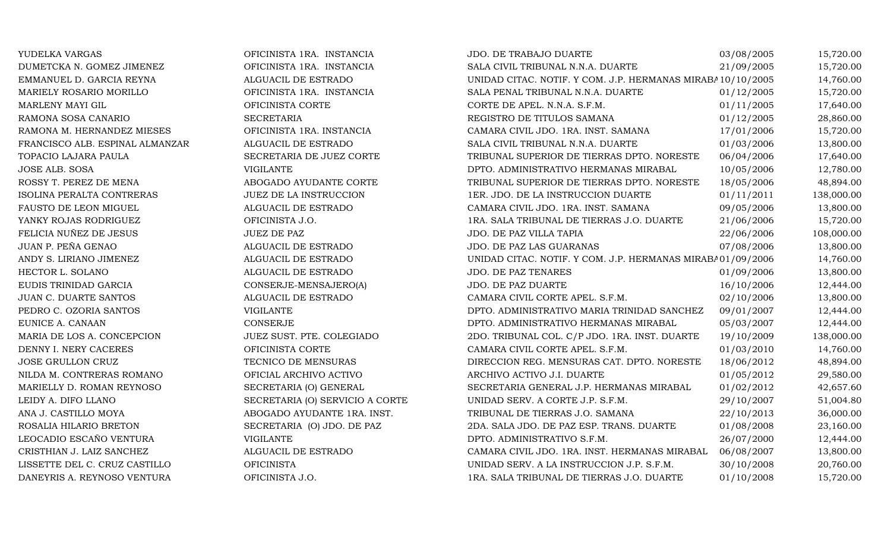| YUDELKA VARGAS                   | OFICINISTA 1RA. INSTANCIA       | JDO. DE TRABAJO DUARTE                                      | 03/08/2005 | 15,720.00  |
|----------------------------------|---------------------------------|-------------------------------------------------------------|------------|------------|
| DUMETCKA N. GOMEZ JIMENEZ        | OFICINISTA 1RA. INSTANCIA       | SALA CIVIL TRIBUNAL N.N.A. DUARTE                           | 21/09/2005 | 15,720.00  |
| EMMANUEL D. GARCIA REYNA         | ALGUACIL DE ESTRADO             | UNIDAD CITAC. NOTIF. Y COM. J.P. HERMANAS MIRABA 10/10/2005 |            | 14,760.00  |
| MARIELY ROSARIO MORILLO          | OFICINISTA 1RA. INSTANCIA       | SALA PENAL TRIBUNAL N.N.A. DUARTE                           | 01/12/2005 | 15,720.00  |
| MARLENY MAYI GIL                 | OFICINISTA CORTE                | CORTE DE APEL. N.N.A. S.F.M.                                | 01/11/2005 | 17,640.00  |
| RAMONA SOSA CANARIO              | <b>SECRETARIA</b>               | REGISTRO DE TITULOS SAMANA                                  | 01/12/2005 | 28,860.00  |
| RAMONA M. HERNANDEZ MIESES       | OFICINISTA 1RA. INSTANCIA       | CAMARA CIVIL JDO. 1RA. INST. SAMANA                         | 17/01/2006 | 15,720.00  |
| FRANCISCO ALB. ESPINAL ALMANZAR  | ALGUACIL DE ESTRADO             | SALA CIVIL TRIBUNAL N.N.A. DUARTE                           | 01/03/2006 | 13,800.00  |
| TOPACIO LAJARA PAULA             | SECRETARIA DE JUEZ CORTE        | TRIBUNAL SUPERIOR DE TIERRAS DPTO. NORESTE                  | 06/04/2006 | 17,640.00  |
| <b>JOSE ALB. SOSA</b>            | <b>VIGILANTE</b>                | DPTO. ADMINISTRATIVO HERMANAS MIRABAL                       | 10/05/2006 | 12,780.00  |
| ROSSY T. PEREZ DE MENA           | ABOGADO AYUDANTE CORTE          | TRIBUNAL SUPERIOR DE TIERRAS DPTO. NORESTE                  | 18/05/2006 | 48,894.00  |
| <b>ISOLINA PERALTA CONTRERAS</b> | JUEZ DE LA INSTRUCCION          | 1ER. JDO. DE LA INSTRUCCION DUARTE                          | 01/11/2011 | 138,000.00 |
| FAUSTO DE LEON MIGUEL            | ALGUACIL DE ESTRADO             | CAMARA CIVIL JDO. 1RA. INST. SAMANA                         | 09/05/2006 | 13,800.00  |
| YANKY ROJAS RODRIGUEZ            | OFICINISTA J.O.                 | 1RA. SALA TRIBUNAL DE TIERRAS J.O. DUARTE                   | 21/06/2006 | 15,720.00  |
| FELICIA NUÑEZ DE JESUS           | JUEZ DE PAZ                     | JDO. DE PAZ VILLA TAPIA                                     | 22/06/2006 | 108,000.00 |
| JUAN P. PEÑA GENAO               | ALGUACIL DE ESTRADO             | JDO. DE PAZ LAS GUARANAS                                    | 07/08/2006 | 13,800.00  |
| ANDY S. LIRIANO JIMENEZ          | ALGUACIL DE ESTRADO             | UNIDAD CITAC. NOTIF. Y COM. J.P. HERMANAS MIRABA01/09/2006  |            | 14,760.00  |
| HECTOR L. SOLANO                 | ALGUACIL DE ESTRADO             | <b>JDO. DE PAZ TENARES</b>                                  | 01/09/2006 | 13,800.00  |
| EUDIS TRINIDAD GARCIA            | CONSERJE-MENSAJERO(A)           | JDO. DE PAZ DUARTE                                          | 16/10/2006 | 12,444.00  |
| <b>JUAN C. DUARTE SANTOS</b>     | ALGUACIL DE ESTRADO             | CAMARA CIVIL CORTE APEL. S.F.M.                             | 02/10/2006 | 13,800.00  |
| PEDRO C. OZORIA SANTOS           | <b>VIGILANTE</b>                | DPTO. ADMINISTRATIVO MARIA TRINIDAD SANCHEZ                 | 09/01/2007 | 12,444.00  |
| EUNICE A. CANAAN                 | CONSERJE                        | DPTO. ADMINISTRATIVO HERMANAS MIRABAL                       | 05/03/2007 | 12,444.00  |
| MARIA DE LOS A. CONCEPCION       | JUEZ SUST. PTE. COLEGIADO       | 2DO. TRIBUNAL COL. C/P JDO. 1RA. INST. DUARTE               | 19/10/2009 | 138,000.00 |
| DENNY I. NERY CACERES            | OFICINISTA CORTE                | CAMARA CIVIL CORTE APEL. S.F.M.                             | 01/03/2010 | 14,760.00  |
| JOSE GRULLON CRUZ                | TECNICO DE MENSURAS             | DIRECCION REG. MENSURAS CAT. DPTO. NORESTE                  | 18/06/2012 | 48,894.00  |
| NILDA M. CONTRERAS ROMANO        | OFICIAL ARCHIVO ACTIVO          | ARCHIVO ACTIVO J.I. DUARTE                                  | 01/05/2012 | 29,580.00  |
| MARIELLY D. ROMAN REYNOSO        | SECRETARIA (O) GENERAL          | SECRETARIA GENERAL J.P. HERMANAS MIRABAL                    | 01/02/2012 | 42,657.60  |
| LEIDY A. DIFO LLANO              | SECRETARIA (O) SERVICIO A CORTE | UNIDAD SERV. A CORTE J.P. S.F.M.                            | 29/10/2007 | 51,004.80  |
| ANA J. CASTILLO MOYA             | ABOGADO AYUDANTE 1RA. INST.     | TRIBUNAL DE TIERRAS J.O. SAMANA                             | 22/10/2013 | 36,000.00  |
| ROSALIA HILARIO BRETON           | SECRETARIA (O) JDO. DE PAZ      | 2DA. SALA JDO. DE PAZ ESP. TRANS. DUARTE                    | 01/08/2008 | 23,160.00  |
| LEOCADIO ESCAÑO VENTURA          | <b>VIGILANTE</b>                | DPTO. ADMINISTRATIVO S.F.M.                                 | 26/07/2000 | 12,444.00  |
| CRISTHIAN J. LAIZ SANCHEZ        | ALGUACIL DE ESTRADO             | CAMARA CIVIL JDO. 1RA. INST. HERMANAS MIRABAL               | 06/08/2007 | 13,800.00  |
| LISSETTE DEL C. CRUZ CASTILLO    | <b>OFICINISTA</b>               | UNIDAD SERV. A LA INSTRUCCION J.P. S.F.M.                   | 30/10/2008 | 20,760.00  |
| DANEYRIS A. REYNOSO VENTURA      | OFICINISTA J.O.                 | 1RA. SALA TRIBUNAL DE TIERRAS J.O. DUARTE                   | 01/10/2008 | 15,720.00  |
|                                  |                                 |                                                             |            |            |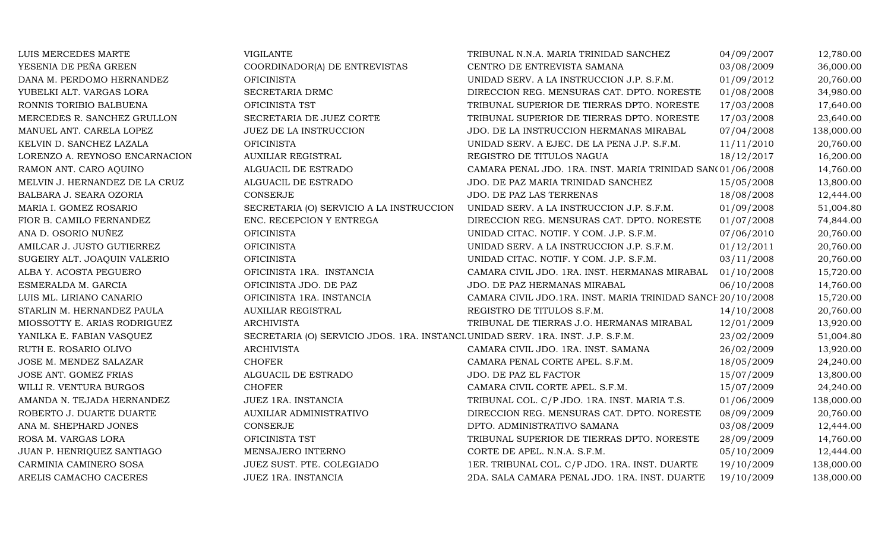| LUIS MERCEDES MARTE            | <b>VIGILANTE</b>                                                                | TRIBUNAL N.N.A. MARIA TRINIDAD SANCHEZ                      | 04/09/2007 | 12,780.00  |
|--------------------------------|---------------------------------------------------------------------------------|-------------------------------------------------------------|------------|------------|
| YESENIA DE PEÑA GREEN          | COORDINADOR(A) DE ENTREVISTAS                                                   | CENTRO DE ENTREVISTA SAMANA                                 | 03/08/2009 | 36,000.00  |
| DANA M. PERDOMO HERNANDEZ      | <b>OFICINISTA</b>                                                               | UNIDAD SERV. A LA INSTRUCCION J.P. S.F.M.                   | 01/09/2012 | 20,760.00  |
| YUBELKI ALT. VARGAS LORA       | SECRETARIA DRMC                                                                 | DIRECCION REG. MENSURAS CAT. DPTO. NORESTE                  | 01/08/2008 | 34,980.00  |
| RONNIS TORIBIO BALBUENA        | OFICINISTA TST                                                                  | TRIBUNAL SUPERIOR DE TIERRAS DPTO. NORESTE                  | 17/03/2008 | 17,640.00  |
| MERCEDES R. SANCHEZ GRULLON    | SECRETARIA DE JUEZ CORTE                                                        | TRIBUNAL SUPERIOR DE TIERRAS DPTO. NORESTE                  | 17/03/2008 | 23,640.00  |
| MANUEL ANT. CARELA LOPEZ       | JUEZ DE LA INSTRUCCION                                                          | JDO. DE LA INSTRUCCION HERMANAS MIRABAL                     | 07/04/2008 | 138,000.00 |
| KELVIN D. SANCHEZ LAZALA       | <b>OFICINISTA</b>                                                               | UNIDAD SERV. A EJEC. DE LA PENA J.P. S.F.M.                 | 11/11/2010 | 20,760.00  |
| LORENZO A. REYNOSO ENCARNACION | <b>AUXILIAR REGISTRAL</b>                                                       | REGISTRO DE TITULOS NAGUA                                   | 18/12/2017 | 16,200.00  |
| RAMON ANT. CARO AQUINO         | ALGUACIL DE ESTRADO                                                             | CAMARA PENAL JDO. 1RA. INST. MARIA TRINIDAD SAN(01/06/2008  |            | 14,760.00  |
| MELVIN J. HERNANDEZ DE LA CRUZ | ALGUACIL DE ESTRADO                                                             | JDO. DE PAZ MARIA TRINIDAD SANCHEZ                          | 15/05/2008 | 13,800.00  |
| BALBARA J. SEARA OZORIA        | <b>CONSERJE</b>                                                                 | JDO. DE PAZ LAS TERRENAS                                    | 18/08/2008 | 12,444.00  |
| MARIA I. GOMEZ ROSARIO         | SECRETARIA (O) SERVICIO A LA INSTRUCCION                                        | UNIDAD SERV. A LA INSTRUCCION J.P. S.F.M.                   | 01/09/2008 | 51,004.80  |
| FIOR B. CAMILO FERNANDEZ       | ENC. RECEPCION Y ENTREGA                                                        | DIRECCION REG. MENSURAS CAT. DPTO. NORESTE                  | 01/07/2008 | 74,844.00  |
| ANA D. OSORIO NUÑEZ            | <b>OFICINISTA</b>                                                               | UNIDAD CITAC. NOTIF. Y COM. J.P. S.F.M.                     | 07/06/2010 | 20,760.00  |
| AMILCAR J. JUSTO GUTIERREZ     | <b>OFICINISTA</b>                                                               | UNIDAD SERV. A LA INSTRUCCION J.P. S.F.M.                   | 01/12/2011 | 20,760.00  |
| SUGEIRY ALT. JOAQUIN VALERIO   | <b>OFICINISTA</b>                                                               | UNIDAD CITAC. NOTIF. Y COM. J.P. S.F.M.                     | 03/11/2008 | 20,760.00  |
| ALBA Y. ACOSTA PEGUERO         | OFICINISTA 1RA. INSTANCIA                                                       | CAMARA CIVIL JDO. 1RA. INST. HERMANAS MIRABAL               | 01/10/2008 | 15,720.00  |
| ESMERALDA M. GARCIA            | OFICINISTA JDO. DE PAZ                                                          | JDO. DE PAZ HERMANAS MIRABAL                                | 06/10/2008 | 14,760.00  |
| LUIS ML. LIRIANO CANARIO       | OFICINISTA 1RA. INSTANCIA                                                       | CAMARA CIVIL JDO.1RA. INST. MARIA TRINIDAD SANCE 20/10/2008 |            | 15,720.00  |
| STARLIN M. HERNANDEZ PAULA     | <b>AUXILIAR REGISTRAL</b>                                                       | REGISTRO DE TITULOS S.F.M.                                  | 14/10/2008 | 20,760.00  |
| MIOSSOTTY E. ARIAS RODRIGUEZ   | <b>ARCHIVISTA</b>                                                               | TRIBUNAL DE TIERRAS J.O. HERMANAS MIRABAL                   | 12/01/2009 | 13,920.00  |
| YANILKA E. FABIAN VASQUEZ      | SECRETARIA (O) SERVICIO JDOS. 1RA. INSTANCL UNIDAD SERV. 1RA. INST. J.P. S.F.M. |                                                             | 23/02/2009 | 51,004.80  |
| RUTH E. ROSARIO OLIVO          | <b>ARCHIVISTA</b>                                                               | CAMARA CIVIL JDO. 1RA. INST. SAMANA                         | 26/02/2009 | 13,920.00  |
| JOSE M. MENDEZ SALAZAR         | <b>CHOFER</b>                                                                   | CAMARA PENAL CORTE APEL. S.F.M.                             | 18/05/2009 | 24,240.00  |
| JOSE ANT. GOMEZ FRIAS          | ALGUACIL DE ESTRADO                                                             | JDO. DE PAZ EL FACTOR                                       | 15/07/2009 | 13,800.00  |
| WILLI R. VENTURA BURGOS        | <b>CHOFER</b>                                                                   | CAMARA CIVIL CORTE APEL. S.F.M.                             | 15/07/2009 | 24,240.00  |
| AMANDA N. TEJADA HERNANDEZ     | JUEZ 1RA. INSTANCIA                                                             | TRIBUNAL COL. C/P JDO. 1RA. INST. MARIA T.S.                | 01/06/2009 | 138,000.00 |
| ROBERTO J. DUARTE DUARTE       | AUXILIAR ADMINISTRATIVO                                                         | DIRECCION REG. MENSURAS CAT. DPTO. NORESTE                  | 08/09/2009 | 20,760.00  |
| ANA M. SHEPHARD JONES          | <b>CONSERJE</b>                                                                 | DPTO. ADMINISTRATIVO SAMANA                                 | 03/08/2009 | 12,444.00  |
| ROSA M. VARGAS LORA            | OFICINISTA TST                                                                  | TRIBUNAL SUPERIOR DE TIERRAS DPTO. NORESTE                  | 28/09/2009 | 14,760.00  |
| JUAN P. HENRIQUEZ SANTIAGO     | MENSAJERO INTERNO                                                               | CORTE DE APEL. N.N.A. S.F.M.                                | 05/10/2009 | 12,444.00  |
| CARMINIA CAMINERO SOSA         | JUEZ SUST. PTE. COLEGIADO                                                       | 1ER. TRIBUNAL COL. C/P JDO. 1RA. INST. DUARTE               | 19/10/2009 | 138,000.00 |
| ARELIS CAMACHO CACERES         | JUEZ 1RA. INSTANCIA                                                             | 2DA. SALA CAMARA PENAL JDO. 1RA. INST. DUARTE               | 19/10/2009 | 138,000.00 |
|                                |                                                                                 |                                                             |            |            |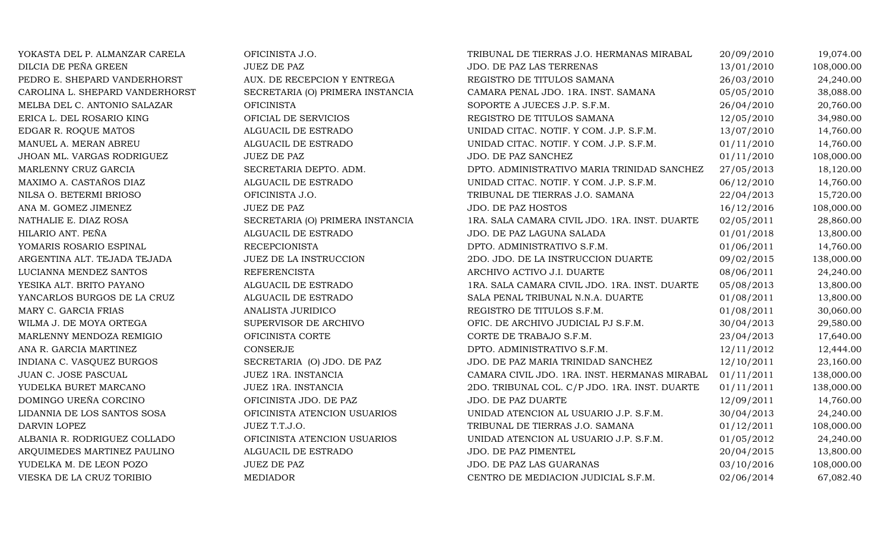| YOKASTA DEL P. ALMANZAR CARELA  | OFICINISTA J.O.                  | TRIBUNAL DE TIERRAS J.O. HERMANAS MIRABAL     | 20/09/2010 | 19,074.00  |
|---------------------------------|----------------------------------|-----------------------------------------------|------------|------------|
| DILCIA DE PEÑA GREEN            | <b>JUEZ DE PAZ</b>               | JDO. DE PAZ LAS TERRENAS                      | 13/01/2010 | 108,000.00 |
| PEDRO E. SHEPARD VANDERHORST    | AUX. DE RECEPCION Y ENTREGA      | REGISTRO DE TITULOS SAMANA                    | 26/03/2010 | 24,240.00  |
| CAROLINA L. SHEPARD VANDERHORST | SECRETARIA (O) PRIMERA INSTANCIA | CAMARA PENAL JDO. 1RA. INST. SAMANA           | 05/05/2010 | 38,088.00  |
| MELBA DEL C. ANTONIO SALAZAR    | <b>OFICINISTA</b>                | SOPORTE A JUECES J.P. S.F.M.                  | 26/04/2010 | 20,760.00  |
| ERICA L. DEL ROSARIO KING       | OFICIAL DE SERVICIOS             | REGISTRO DE TITULOS SAMANA                    | 12/05/2010 | 34,980.00  |
| EDGAR R. ROQUE MATOS            | ALGUACIL DE ESTRADO              | UNIDAD CITAC. NOTIF. Y COM. J.P. S.F.M.       | 13/07/2010 | 14,760.00  |
| MANUEL A. MERAN ABREU           | ALGUACIL DE ESTRADO              | UNIDAD CITAC. NOTIF. Y COM. J.P. S.F.M.       | 01/11/2010 | 14,760.00  |
| JHOAN ML. VARGAS RODRIGUEZ      | JUEZ DE PAZ                      | JDO. DE PAZ SANCHEZ                           | 01/11/2010 | 108,000.00 |
| MARLENNY CRUZ GARCIA            | SECRETARIA DEPTO. ADM.           | DPTO. ADMINISTRATIVO MARIA TRINIDAD SANCHEZ   | 27/05/2013 | 18,120.00  |
| MAXIMO A. CASTAÑOS DIAZ         | ALGUACIL DE ESTRADO              | UNIDAD CITAC. NOTIF. Y COM. J.P. S.F.M.       | 06/12/2010 | 14,760.00  |
| NILSA O. BETERMI BRIOSO         | OFICINISTA J.O.                  | TRIBUNAL DE TIERRAS J.O. SAMANA               | 22/04/2013 | 15,720.00  |
| ANA M. GOMEZ JIMENEZ            | JUEZ DE PAZ                      | JDO. DE PAZ HOSTOS                            | 16/12/2016 | 108,000.00 |
| NATHALIE E. DIAZ ROSA           | SECRETARIA (O) PRIMERA INSTANCIA | 1RA. SALA CAMARA CIVIL JDO. 1RA. INST. DUARTE | 02/05/2011 | 28,860.00  |
| HILARIO ANT. PEÑA               | ALGUACIL DE ESTRADO              | JDO. DE PAZ LAGUNA SALADA                     | 01/01/2018 | 13,800.00  |
| YOMARIS ROSARIO ESPINAL         | <b>RECEPCIONISTA</b>             | DPTO. ADMINISTRATIVO S.F.M.                   | 01/06/2011 | 14,760.00  |
| ARGENTINA ALT. TEJADA TEJADA    | JUEZ DE LA INSTRUCCION           | 2DO. JDO. DE LA INSTRUCCION DUARTE            | 09/02/2015 | 138,000.00 |
| LUCIANNA MENDEZ SANTOS          | <b>REFERENCISTA</b>              | ARCHIVO ACTIVO J.I. DUARTE                    | 08/06/2011 | 24,240.00  |
| YESIKA ALT. BRITO PAYANO        | ALGUACIL DE ESTRADO              | 1RA. SALA CAMARA CIVIL JDO. 1RA. INST. DUARTE | 05/08/2013 | 13,800.00  |
| YANCARLOS BURGOS DE LA CRUZ     | ALGUACIL DE ESTRADO              | SALA PENAL TRIBUNAL N.N.A. DUARTE             | 01/08/2011 | 13,800.00  |
| MARY C. GARCIA FRIAS            | ANALISTA JURIDICO                | REGISTRO DE TITULOS S.F.M.                    | 01/08/2011 | 30,060.00  |
| WILMA J. DE MOYA ORTEGA         | SUPERVISOR DE ARCHIVO            | OFIC. DE ARCHIVO JUDICIAL PJ S.F.M.           | 30/04/2013 | 29,580.00  |
| MARLENNY MENDOZA REMIGIO        | OFICINISTA CORTE                 | CORTE DE TRABAJO S.F.M.                       | 23/04/2013 | 17,640.00  |
| ANA R. GARCIA MARTINEZ          | CONSERJE                         | DPTO. ADMINISTRATIVO S.F.M.                   | 12/11/2012 | 12,444.00  |
| INDIANA C. VASQUEZ BURGOS       | SECRETARIA (O) JDO. DE PAZ       | JDO. DE PAZ MARIA TRINIDAD SANCHEZ            | 12/10/2011 | 23,160.00  |
| JUAN C. JOSE PASCUAL            | JUEZ 1RA. INSTANCIA              | CAMARA CIVIL JDO. 1RA. INST. HERMANAS MIRABAL | 01/11/2011 | 138,000.00 |
| YUDELKA BURET MARCANO           | JUEZ 1RA. INSTANCIA              | 2DO. TRIBUNAL COL. C/P JDO. 1RA. INST. DUARTE | 01/11/2011 | 138,000.00 |
| DOMINGO UREÑA CORCINO           | OFICINISTA JDO. DE PAZ           | JDO. DE PAZ DUARTE                            | 12/09/2011 | 14,760.00  |
| LIDANNIA DE LOS SANTOS SOSA     | OFICINISTA ATENCION USUARIOS     | UNIDAD ATENCION AL USUARIO J.P. S.F.M.        | 30/04/2013 | 24,240.00  |
| DARVIN LOPEZ                    | JUEZ T.T.J.O.                    | TRIBUNAL DE TIERRAS J.O. SAMANA               | 01/12/2011 | 108,000.00 |
| ALBANIA R. RODRIGUEZ COLLADO    | OFICINISTA ATENCION USUARIOS     | UNIDAD ATENCION AL USUARIO J.P. S.F.M.        | 01/05/2012 | 24,240.00  |
| ARQUIMEDES MARTINEZ PAULINO     | ALGUACIL DE ESTRADO              | JDO. DE PAZ PIMENTEL                          | 20/04/2015 | 13,800.00  |
| YUDELKA M. DE LEON POZO         | JUEZ DE PAZ                      | JDO. DE PAZ LAS GUARANAS                      | 03/10/2016 | 108,000.00 |
| VIESKA DE LA CRUZ TORIBIO       | <b>MEDIADOR</b>                  | CENTRO DE MEDIACION JUDICIAL S.F.M.           | 02/06/2014 | 67,082.40  |
|                                 |                                  |                                               |            |            |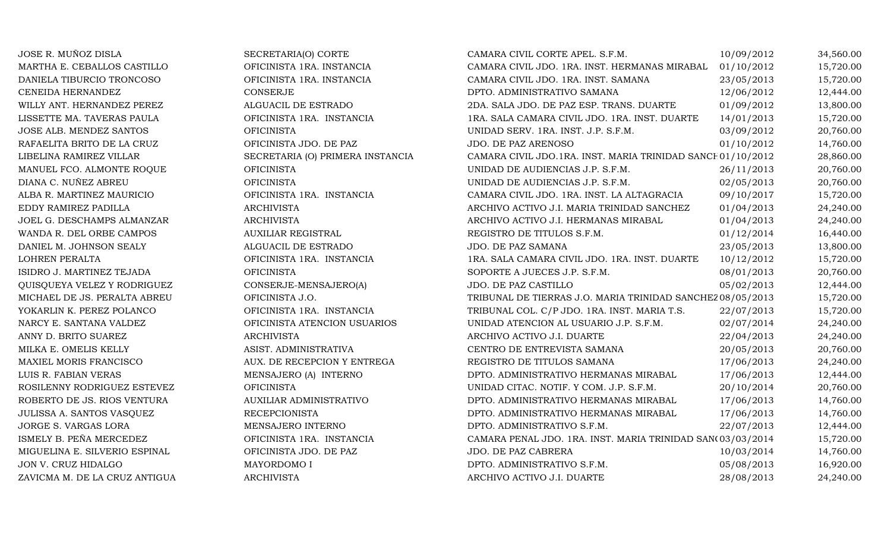| JOSE R. MUÑOZ DISLA           | SECRETARIA(O) CORTE              | CAMARA CIVIL CORTE APEL. S.F.M.                             | 10/09/2012 | 34,560.00 |
|-------------------------------|----------------------------------|-------------------------------------------------------------|------------|-----------|
| MARTHA E. CEBALLOS CASTILLO   | OFICINISTA 1RA. INSTANCIA        | CAMARA CIVIL JDO. 1RA. INST. HERMANAS MIRABAL               | 01/10/2012 | 15,720.00 |
| DANIELA TIBURCIO TRONCOSO     | OFICINISTA 1RA. INSTANCIA        | CAMARA CIVIL JDO. 1RA. INST. SAMANA                         | 23/05/2013 | 15,720.00 |
| CENEIDA HERNANDEZ             | <b>CONSERJE</b>                  | DPTO. ADMINISTRATIVO SAMANA                                 | 12/06/2012 | 12,444.00 |
| WILLY ANT. HERNANDEZ PEREZ    | ALGUACIL DE ESTRADO              | 2DA. SALA JDO. DE PAZ ESP. TRANS. DUARTE                    | 01/09/2012 | 13,800.00 |
| LISSETTE MA. TAVERAS PAULA    | OFICINISTA 1RA. INSTANCIA        | 1RA. SALA CAMARA CIVIL JDO. 1RA. INST. DUARTE               | 14/01/2013 | 15,720.00 |
| JOSE ALB. MENDEZ SANTOS       | <b>OFICINISTA</b>                | UNIDAD SERV. 1RA. INST. J.P. S.F.M.                         | 03/09/2012 | 20,760.00 |
| RAFAELITA BRITO DE LA CRUZ    | OFICINISTA JDO. DE PAZ           | JDO. DE PAZ ARENOSO                                         | 01/10/2012 | 14,760.00 |
| LIBELINA RAMIREZ VILLAR       | SECRETARIA (O) PRIMERA INSTANCIA | CAMARA CIVIL JDO.1RA. INST. MARIA TRINIDAD SANCE 01/10/2012 |            | 28,860.00 |
| MANUEL FCO. ALMONTE ROQUE     | <b>OFICINISTA</b>                | UNIDAD DE AUDIENCIAS J.P. S.F.M.                            | 26/11/2013 | 20,760.00 |
| DIANA C. NUÑEZ ABREU          | <b>OFICINISTA</b>                | UNIDAD DE AUDIENCIAS J.P. S.F.M.                            | 02/05/2013 | 20,760.00 |
| ALBA R. MARTINEZ MAURICIO     | OFICINISTA 1RA. INSTANCIA        | CAMARA CIVIL JDO. 1RA. INST. LA ALTAGRACIA                  | 09/10/2017 | 15,720.00 |
| EDDY RAMIREZ PADILLA          | <b>ARCHIVISTA</b>                | ARCHIVO ACTIVO J.I. MARIA TRINIDAD SANCHEZ                  | 01/04/2013 | 24,240.00 |
| JOEL G. DESCHAMPS ALMANZAR    | <b>ARCHIVISTA</b>                | ARCHIVO ACTIVO J.I. HERMANAS MIRABAL                        | 01/04/2013 | 24,240.00 |
| WANDA R. DEL ORBE CAMPOS      | <b>AUXILIAR REGISTRAL</b>        | REGISTRO DE TITULOS S.F.M.                                  | 01/12/2014 | 16,440.00 |
| DANIEL M. JOHNSON SEALY       | ALGUACIL DE ESTRADO              | JDO. DE PAZ SAMANA                                          | 23/05/2013 | 13,800.00 |
| LOHREN PERALTA                | OFICINISTA 1RA. INSTANCIA        | 1RA. SALA CAMARA CIVIL JDO. 1RA. INST. DUARTE               | 10/12/2012 | 15,720.00 |
| ISIDRO J. MARTINEZ TEJADA     | <b>OFICINISTA</b>                | SOPORTE A JUECES J.P. S.F.M.                                | 08/01/2013 | 20,760.00 |
| QUISQUEYA VELEZ Y RODRIGUEZ   | CONSERJE-MENSAJERO(A)            | JDO. DE PAZ CASTILLO                                        | 05/02/2013 | 12,444.00 |
| MICHAEL DE JS. PERALTA ABREU  | OFICINISTA J.O.                  | TRIBUNAL DE TIERRAS J.O. MARIA TRINIDAD SANCHEZ 08/05/2013  |            | 15,720.00 |
| YOKARLIN K. PEREZ POLANCO     | OFICINISTA 1RA. INSTANCIA        | TRIBUNAL COL. C/P JDO. 1RA. INST. MARIA T.S.                | 22/07/2013 | 15,720.00 |
| NARCY E. SANTANA VALDEZ       | OFICINISTA ATENCION USUARIOS     | UNIDAD ATENCION AL USUARIO J.P. S.F.M.                      | 02/07/2014 | 24,240.00 |
| ANNY D. BRITO SUAREZ          | <b>ARCHIVISTA</b>                | ARCHIVO ACTIVO J.I. DUARTE                                  | 22/04/2013 | 24,240.00 |
| MILKA E. OMELIS KELLY         | ASIST. ADMINISTRATIVA            | CENTRO DE ENTREVISTA SAMANA                                 | 20/05/2013 | 20,760.00 |
| MAXIEL MORIS FRANCISCO        | AUX. DE RECEPCION Y ENTREGA      | REGISTRO DE TITULOS SAMANA                                  | 17/06/2013 | 24,240.00 |
| LUIS R. FABIAN VERAS          | MENSAJERO (A) INTERNO            | DPTO. ADMINISTRATIVO HERMANAS MIRABAL                       | 17/06/2013 | 12,444.00 |
| ROSILENNY RODRIGUEZ ESTEVEZ   | <b>OFICINISTA</b>                | UNIDAD CITAC. NOTIF. Y COM. J.P. S.F.M.                     | 20/10/2014 | 20,760.00 |
| ROBERTO DE JS. RIOS VENTURA   | AUXILIAR ADMINISTRATIVO          | DPTO. ADMINISTRATIVO HERMANAS MIRABAL                       | 17/06/2013 | 14,760.00 |
| JULISSA A. SANTOS VASQUEZ     | <b>RECEPCIONISTA</b>             | DPTO. ADMINISTRATIVO HERMANAS MIRABAL                       | 17/06/2013 | 14,760.00 |
| JORGE S. VARGAS LORA          | MENSAJERO INTERNO                | DPTO. ADMINISTRATIVO S.F.M.                                 | 22/07/2013 | 12,444.00 |
| ISMELY B. PEÑA MERCEDEZ       | OFICINISTA 1RA. INSTANCIA        | CAMARA PENAL JDO. 1RA. INST. MARIA TRINIDAD SAN(03/03/2014  |            | 15,720.00 |
| MIGUELINA E. SILVERIO ESPINAL | OFICINISTA JDO. DE PAZ           | JDO. DE PAZ CABRERA                                         | 10/03/2014 | 14,760.00 |
| JON V. CRUZ HIDALGO           | MAYORDOMO I                      | DPTO. ADMINISTRATIVO S.F.M.                                 | 05/08/2013 | 16,920.00 |
| ZAVICMA M. DE LA CRUZ ANTIGUA | <b>ARCHIVISTA</b>                | ARCHIVO ACTIVO J.I. DUARTE                                  | 28/08/2013 | 24,240.00 |
|                               |                                  |                                                             |            |           |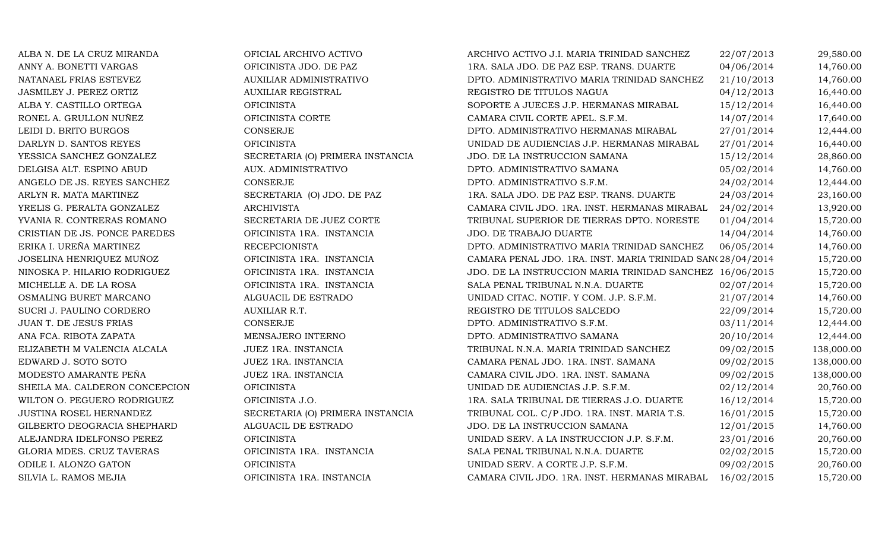ALBA N. DE LA CRUZ MIRANDA OFICIAL ARCHIVO ACTIVO ARCHIVO ACTIVO J.I. MARIA TRINIDAD SANCHEZ 22/07/2013 29,580.00 ANNY A. BONETTI VARGAS OFICINISTA JDO. DE PAZ 1RA. SALA JDO. DE PAZ ESP. TRANS. DUARTE 04/06/2014 14,760.00 NATANAEL FRIAS ESTEVEZ AUXILIAR ADMINISTRATIVO DPTO. ADMINISTRATIVO MARIA TRINIDAD SANCHEZ 21/10/2013 14,760.00 JASMILEY J. PEREZ ORTIZ AUXILIAR REGISTRAL REGISTRO DE TITULOS NAGUA 04/12/2013 16,440.00 ALBA Y. CASTILLO ORTEGA OFICINISTA SOPORTE A JUECES J.P. HERMANAS MIRABAL 15/12/2014 16,440.00 RONEL A. GRULLON NUÑEZ OFICINISTA CORTE CAMARA CIVIL CORTE APEL. S.F.M. 14/07/2014 17,640.00 LEIDI D. BRITO BURGOS CONSERJE CONSERJE CONSERJE DPTO. ADMINISTRATIVO HERMANAS MIRABAL 27/01/2014 12,444.00<br>DARLYN D. SANTOS REYES OFICINISTA OFICINISTA DE AUDIENCIAS J.P. HERMANAS MIRABAL 27/01/2014 16,440.00 DARLYN D. SANTOS REYES OFICINISTA UNIDAD DE AUDIENCIAS J.P. HERMANAS MIRABAL 27/01/2014 16,440.00 YESSICA SANCHEZ GONZALEZ SECRETARIA (O) PRIMERA INSTANCIA JDO. DE LA INSTRUCCION SAMANA 15/12/2014 28,860.00 DELGISA ALT. ESPINO ABUD AUX. ADMINISTRATIVO DPTO. ADMINISTRATIVO SAMANA 05/02/2014 14,760.00 ANGELO DE JS. REYES SANCHEZ CONSERJE CONSERUE DPTO. ADMINISTRATIVO S.F.M. 24/02/2014 12,444.00 ARLYN R. MATA MARTINEZ SECRETARIA (O) JDO. DE PAZ 1RA. SALA JDO. DE PAZ ESP. TRANS. DUARTE 24/03/2014 23,160.00 YRELIS G. PERALTA GONZALEZ ARCHIVISTA CAMARA CIVIL JDO. 1RA. INST. HERMANAS MIRABAL 24/02/2014 13,920.00 YVANIA R. CONTRERAS ROMANO SECRETARIA DE JUEZ CORTE TRIBUNAL SUPERIOR DE TIERRAS DPTO. NORESTE 01/04/2014 15,720.00<br>CRISTIAN DE JS. PONCE PAREDES OFICINISTA 1RA. INSTANCIA JDO. DE TRABAJO DUARTE 14/04/2014 14,760.00 CRISTIAN DE JS. PONCE PAREDES OFICINISTA 1RA. INSTANCIA JDO. DE TRABAJO DUARTE 14/04/2014 14,760.00 ERIKA I. UREÑA MARTINEZ RECEPCIONISTA DPTO. ADMINISTRATIVO MARIA TRINIDAD SANCHEZ 06/05/2014 14,760.00 JOSELINA HENRIQUEZ MUÑOZ OFICINISTA 1RA. INSTANCIA CAMARA PENAL JDO. 1RA. INST. MARIA TRINIDAD SANCHE 28/04/2014 15,720.00 NINOSKA P. HILARIO RODRIGUEZ OFICINISTA 1RA. INSTANCIA JDO. DE LA INSTRUCCION MARIA TRINIDAD SANCHEZ 16/06/2015 15,720.00 MICHELLE A. DE LA ROSA OFICINISTA 1RA. INSTANCIA SALA PENAL TRIBUNAL N.N.A. DUARTE 02/07/2014 15,720.00 OSMALING BURET MARCANO ALGUACIL DE ESTRADO UNIDAD CITAC. NOTIF. Y COM. J.P. S.F.M. 21/07/2014 14,760.00 SUCRI J. PAULINO CORDERO AUXILIAR R.T. REGISTRO DE TITULOS SALCEDO 22/09/2014 15,720.00 JUAN T. DE JESUS FRIAS CONSERJE CONSERIE DPTO. ADMINISTRATIVO S.F.M. 03/11/2014 12,444.00 ANA FCA. RIBOTA ZAPATA MENSAJERO INTERNO DPTO. ADMINISTRATIVO SAMANA 20/10/2014 12,444.00 ELIZABETH M VALENCIA ALCALA JUEZ 1RA. INSTANCIA TRIBUNAL N.N.A. MARIA TRINIDAD SANCHEZ 09/02/2015 138,000.00 EDWARD J. SOTO SOTO JUEZ 1RA. INSTANCIA CAMARA PENAL JDO. 1RA. INST. SAMANA 09/02/2015 138,000.00 MODESTO AMARANTE PEÑA JUEZ 1RA. INSTANCIA CAMARA CIVIL JDO. 1RA. INST. SAMANA 09/02/2015 138,000.00 SHEILA MA. CALDERON CONCEPCION OFICINISTA CHE CONSERVANTE ORDEROIDE AUDIENCIAS J.P. S.F.M. 02/12/2014 20,760.00 WILTON O. PEGUERO RODRIGUEZ OFICINISTA J.O. 1RA. SALA TRIBUNAL DE TIERRAS J.O. DUARTE 16/12/2014 15,720.00 JUSTINA ROSEL HERNANDEZ SECRETARIA (O) PRIMERA INSTANCIA TRIBUNAL COL. C/P JDO. 1RA. INST. MARIA T.S. 16/01/2015 15,720.00 GILBERTO DEOGRACIA SHEPHARD ALGUACIL DE ESTRADO JDO. DE LA INSTRUCCION SAMANA 12/01/2015 14,760.00 ALEJANDRA IDELFONSO PEREZ OFICINISTA UNIDAD SERV. A LA INSTRUCCION J.P. S.F.M. 23/01/2016 20,760.00 GLORIA MDES. CRUZ TAVERAS OFICINISTA 1RA. INSTANCIA SALA PENAL TRIBUNAL N.N.A. DUARTE 02/02/2015 15,720.00 ODILE I. ALONZO GATON OFICINISTA UNIDAD SERV. A CORTE J.P. S.F.M. 09/02/2015 20,760.00 SILVIA L. RAMOS MEJIA **OFICINISTA 1RA. INSTANCIA** CAMARA CIVIL JDO. 1RA. INST. HERMANAS MIRABAL 16/02/2015 15,720.00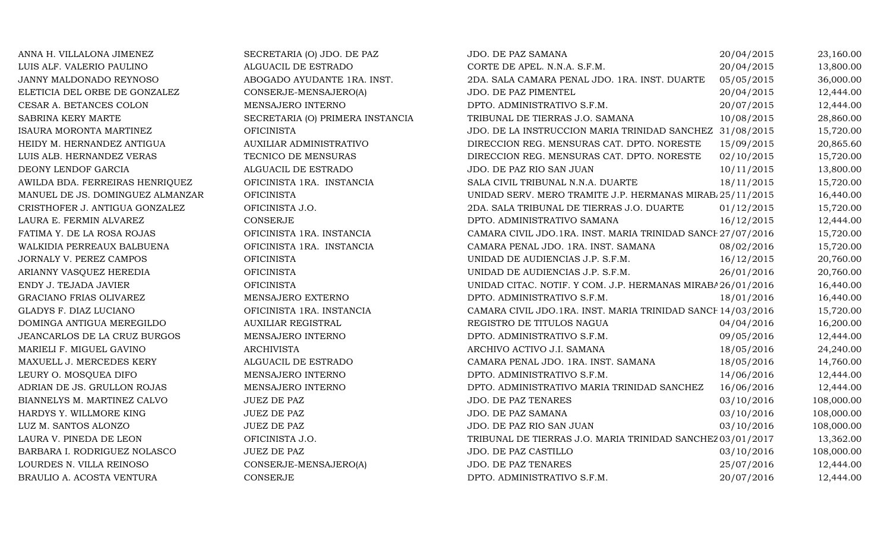| ANNA H. VILLALONA JIMENEZ        | SECRETARIA (O) JDO. DE PAZ       | JDO. DE PAZ SAMANA                                          | 20/04/2015 | 23,160.00  |
|----------------------------------|----------------------------------|-------------------------------------------------------------|------------|------------|
| LUIS ALF. VALERIO PAULINO        | ALGUACIL DE ESTRADO              | CORTE DE APEL. N.N.A. S.F.M.                                | 20/04/2015 | 13,800.00  |
| JANNY MALDONADO REYNOSO          | ABOGADO AYUDANTE 1RA. INST.      | 2DA. SALA CAMARA PENAL JDO. 1RA. INST. DUARTE               | 05/05/2015 | 36,000.00  |
| ELETICIA DEL ORBE DE GONZALEZ    | CONSERJE-MENSAJERO(A)            | JDO. DE PAZ PIMENTEL                                        | 20/04/2015 | 12,444.00  |
| CESAR A. BETANCES COLON          | MENSAJERO INTERNO                | DPTO. ADMINISTRATIVO S.F.M.                                 | 20/07/2015 | 12,444.00  |
| SABRINA KERY MARTE               | SECRETARIA (O) PRIMERA INSTANCIA | TRIBUNAL DE TIERRAS J.O. SAMANA                             | 10/08/2015 | 28,860.00  |
| <b>ISAURA MORONTA MARTINEZ</b>   | <b>OFICINISTA</b>                | JDO. DE LA INSTRUCCION MARIA TRINIDAD SANCHEZ 31/08/2015    |            | 15,720.00  |
| HEIDY M. HERNANDEZ ANTIGUA       | AUXILIAR ADMINISTRATIVO          | DIRECCION REG. MENSURAS CAT. DPTO. NORESTE                  | 15/09/2015 | 20,865.60  |
| LUIS ALB. HERNANDEZ VERAS        | TECNICO DE MENSURAS              | DIRECCION REG. MENSURAS CAT. DPTO. NORESTE                  | 02/10/2015 | 15,720.00  |
| DEONY LENDOF GARCIA              | ALGUACIL DE ESTRADO              | JDO. DE PAZ RIO SAN JUAN                                    | 10/11/2015 | 13,800.00  |
| AWILDA BDA. FERREIRAS HENRIQUEZ  | OFICINISTA 1RA. INSTANCIA        | SALA CIVIL TRIBUNAL N.N.A. DUARTE                           | 18/11/2015 | 15,720.00  |
| MANUEL DE JS. DOMINGUEZ ALMANZAR | <b>OFICINISTA</b>                | UNIDAD SERV. MERO TRAMITE J.P. HERMANAS MIRAB 25/11/2015    |            | 16,440.00  |
| CRISTHOFER J. ANTIGUA GONZALEZ   | OFICINISTA J.O.                  | 2DA. SALA TRIBUNAL DE TIERRAS J.O. DUARTE                   | 01/12/2015 | 15,720.00  |
| LAURA E. FERMIN ALVAREZ          | <b>CONSERJE</b>                  | DPTO. ADMINISTRATIVO SAMANA                                 | 16/12/2015 | 12,444.00  |
| FATIMA Y. DE LA ROSA ROJAS       | OFICINISTA 1RA. INSTANCIA        | CAMARA CIVIL JDO.1RA. INST. MARIA TRINIDAD SANCE 27/07/2016 |            | 15,720.00  |
| WALKIDIA PERREAUX BALBUENA       | OFICINISTA 1RA. INSTANCIA        | CAMARA PENAL JDO. 1RA. INST. SAMANA                         | 08/02/2016 | 15,720.00  |
| JORNALY V. PEREZ CAMPOS          | <b>OFICINISTA</b>                | UNIDAD DE AUDIENCIAS J.P. S.F.M.                            | 16/12/2015 | 20,760.00  |
| ARIANNY VASQUEZ HEREDIA          | <b>OFICINISTA</b>                | UNIDAD DE AUDIENCIAS J.P. S.F.M.                            | 26/01/2016 | 20,760.00  |
| ENDY J. TEJADA JAVIER            | <b>OFICINISTA</b>                | UNIDAD CITAC. NOTIF. Y COM. J.P. HERMANAS MIRABA 26/01/2016 |            | 16,440.00  |
| GRACIANO FRIAS OLIVAREZ          | MENSAJERO EXTERNO                | DPTO. ADMINISTRATIVO S.F.M.                                 | 18/01/2016 | 16,440.00  |
| GLADYS F. DIAZ LUCIANO           | OFICINISTA 1RA. INSTANCIA        | CAMARA CIVIL JDO.1RA. INST. MARIA TRINIDAD SANCE 14/03/2016 |            | 15,720.00  |
| DOMINGA ANTIGUA MEREGILDO        | <b>AUXILIAR REGISTRAL</b>        | REGISTRO DE TITULOS NAGUA                                   | 04/04/2016 | 16,200.00  |
| JEANCARLOS DE LA CRUZ BURGOS     | MENSAJERO INTERNO                | DPTO. ADMINISTRATIVO S.F.M.                                 | 09/05/2016 | 12,444.00  |
| MARIELI F. MIGUEL GAVINO         | <b>ARCHIVISTA</b>                | ARCHIVO ACTIVO J.I. SAMANA                                  | 18/05/2016 | 24,240.00  |
| MAXUELL J. MERCEDES KERY         | ALGUACIL DE ESTRADO              | CAMARA PENAL JDO. 1RA. INST. SAMANA                         | 18/05/2016 | 14,760.00  |
| LEURY O. MOSQUEA DIFO            | MENSAJERO INTERNO                | DPTO. ADMINISTRATIVO S.F.M.                                 | 14/06/2016 | 12,444.00  |
| ADRIAN DE JS. GRULLON ROJAS      | MENSAJERO INTERNO                | DPTO. ADMINISTRATIVO MARIA TRINIDAD SANCHEZ                 | 16/06/2016 | 12,444.00  |
| BIANNELYS M. MARTINEZ CALVO      | JUEZ DE PAZ                      | JDO. DE PAZ TENARES                                         | 03/10/2016 | 108,000.00 |
| HARDYS Y. WILLMORE KING          | JUEZ DE PAZ                      | JDO. DE PAZ SAMANA                                          | 03/10/2016 | 108,000.00 |
| LUZ M. SANTOS ALONZO             | <b>JUEZ DE PAZ</b>               | JDO. DE PAZ RIO SAN JUAN                                    | 03/10/2016 | 108,000.00 |
| LAURA V. PINEDA DE LEON          | OFICINISTA J.O.                  | TRIBUNAL DE TIERRAS J.O. MARIA TRINIDAD SANCHEZ 03/01/2017  |            | 13,362.00  |
| BARBARA I. RODRIGUEZ NOLASCO     | <b>JUEZ DE PAZ</b>               | JDO. DE PAZ CASTILLO                                        | 03/10/2016 | 108,000.00 |
| LOURDES N. VILLA REINOSO         | CONSERJE-MENSAJERO(A)            | JDO. DE PAZ TENARES                                         | 25/07/2016 | 12,444.00  |
| BRAULIO A. ACOSTA VENTURA        | CONSERJE                         | DPTO. ADMINISTRATIVO S.F.M.                                 | 20/07/2016 | 12,444.00  |
|                                  |                                  |                                                             |            |            |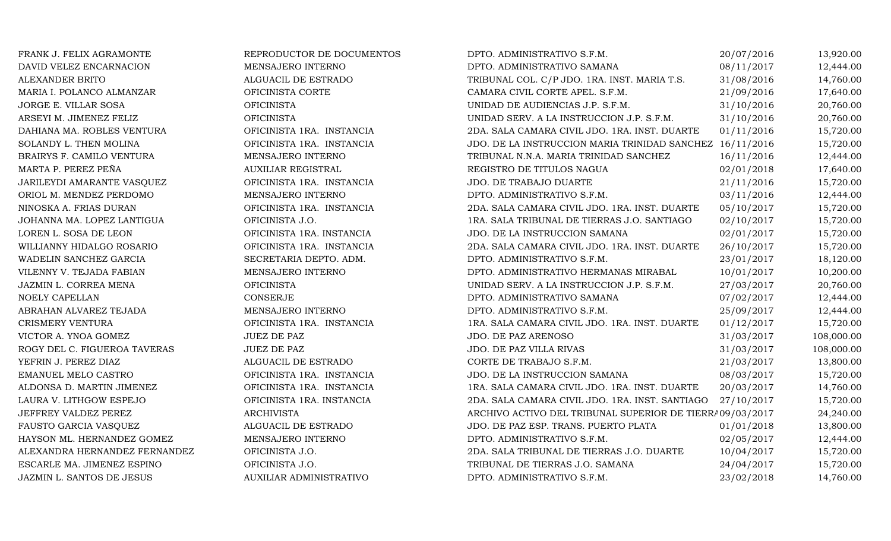| FRANK J. FELIX AGRAMONTE      | REPRODUCTOR DE DOCUMENTOS | DPTO. ADMINISTRATIVO S.F.M.                               | 20/07/2016 | 13,920.00  |
|-------------------------------|---------------------------|-----------------------------------------------------------|------------|------------|
| DAVID VELEZ ENCARNACION       | MENSAJERO INTERNO         | DPTO. ADMINISTRATIVO SAMANA                               | 08/11/2017 | 12,444.00  |
| ALEXANDER BRITO               | ALGUACIL DE ESTRADO       | TRIBUNAL COL. C/P JDO. 1RA. INST. MARIA T.S.              | 31/08/2016 | 14,760.00  |
| MARIA I. POLANCO ALMANZAR     | OFICINISTA CORTE          | CAMARA CIVIL CORTE APEL. S.F.M.                           | 21/09/2016 | 17,640.00  |
| JORGE E. VILLAR SOSA          | <b>OFICINISTA</b>         | UNIDAD DE AUDIENCIAS J.P. S.F.M.                          | 31/10/2016 | 20,760.00  |
| ARSEYI M. JIMENEZ FELIZ       | <b>OFICINISTA</b>         | UNIDAD SERV. A LA INSTRUCCION J.P. S.F.M.                 | 31/10/2016 | 20,760.00  |
| DAHIANA MA. ROBLES VENTURA    | OFICINISTA 1RA. INSTANCIA | 2DA. SALA CAMARA CIVIL JDO. 1RA. INST. DUARTE             | 01/11/2016 | 15,720.00  |
| SOLANDY L. THEN MOLINA        | OFICINISTA 1RA. INSTANCIA | JDO. DE LA INSTRUCCION MARIA TRINIDAD SANCHEZ             | 16/11/2016 | 15,720.00  |
| BRAIRYS F. CAMILO VENTURA     | MENSAJERO INTERNO         | TRIBUNAL N.N.A. MARIA TRINIDAD SANCHEZ                    | 16/11/2016 | 12,444.00  |
| MARTA P. PEREZ PEÑA           | <b>AUXILIAR REGISTRAL</b> | REGISTRO DE TITULOS NAGUA                                 | 02/01/2018 | 17,640.00  |
| JARILEYDI AMARANTE VASQUEZ    | OFICINISTA 1RA. INSTANCIA | JDO. DE TRABAJO DUARTE                                    | 21/11/2016 | 15,720.00  |
| ORIOL M. MENDEZ PERDOMO       | MENSAJERO INTERNO         | DPTO. ADMINISTRATIVO S.F.M.                               | 03/11/2016 | 12,444.00  |
| NINOSKA A. FRIAS DURAN        | OFICINISTA 1RA. INSTANCIA | 2DA. SALA CAMARA CIVIL JDO. 1RA. INST. DUARTE             | 05/10/2017 | 15,720.00  |
| JOHANNA MA. LOPEZ LANTIGUA    | OFICINISTA J.O.           | 1RA. SALA TRIBUNAL DE TIERRAS J.O. SANTIAGO               | 02/10/2017 | 15,720.00  |
| LOREN L. SOSA DE LEON         | OFICINISTA 1RA. INSTANCIA | JDO. DE LA INSTRUCCION SAMANA                             | 02/01/2017 | 15,720.00  |
| WILLIANNY HIDALGO ROSARIO     | OFICINISTA 1RA. INSTANCIA | 2DA. SALA CAMARA CIVIL JDO. 1RA. INST. DUARTE             | 26/10/2017 | 15,720.00  |
| WADELIN SANCHEZ GARCIA        | SECRETARIA DEPTO. ADM.    | DPTO. ADMINISTRATIVO S.F.M.                               | 23/01/2017 | 18,120.00  |
| VILENNY V. TEJADA FABIAN      | MENSAJERO INTERNO         | DPTO. ADMINISTRATIVO HERMANAS MIRABAL                     | 10/01/2017 | 10,200.00  |
| JAZMIN L. CORREA MENA         | <b>OFICINISTA</b>         | UNIDAD SERV. A LA INSTRUCCION J.P. S.F.M.                 | 27/03/2017 | 20,760.00  |
| NOELY CAPELLAN                | CONSERJE                  | DPTO. ADMINISTRATIVO SAMANA                               | 07/02/2017 | 12,444.00  |
| ABRAHAN ALVAREZ TEJADA        | MENSAJERO INTERNO         | DPTO. ADMINISTRATIVO S.F.M.                               | 25/09/2017 | 12,444.00  |
| CRISMERY VENTURA              | OFICINISTA 1RA. INSTANCIA | 1RA. SALA CAMARA CIVIL JDO. 1RA. INST. DUARTE             | 01/12/2017 | 15,720.00  |
| VICTOR A. YNOA GOMEZ          | <b>JUEZ DE PAZ</b>        | JDO. DE PAZ ARENOSO                                       | 31/03/2017 | 108,000.00 |
| ROGY DEL C. FIGUEROA TAVERAS  | JUEZ DE PAZ               | JDO. DE PAZ VILLA RIVAS                                   | 31/03/2017 | 108,000.00 |
| YEFRIN J. PEREZ DIAZ          | ALGUACIL DE ESTRADO       | CORTE DE TRABAJO S.F.M.                                   | 21/03/2017 | 13,800.00  |
| EMANUEL MELO CASTRO           | OFICINISTA 1RA. INSTANCIA | JDO. DE LA INSTRUCCION SAMANA                             | 08/03/2017 | 15,720.00  |
| ALDONSA D. MARTIN JIMENEZ     | OFICINISTA 1RA. INSTANCIA | 1RA. SALA CAMARA CIVIL JDO. 1RA. INST. DUARTE             | 20/03/2017 | 14,760.00  |
| LAURA V. LITHGOW ESPEJO       | OFICINISTA 1RA. INSTANCIA | 2DA. SALA CAMARA CIVIL JDO. 1RA. INST. SANTIAGO           | 27/10/2017 | 15,720.00  |
| JEFFREY VALDEZ PEREZ          | <b>ARCHIVISTA</b>         | ARCHIVO ACTIVO DEL TRIBUNAL SUPERIOR DE TIERRA 09/03/2017 |            | 24,240.00  |
| FAUSTO GARCIA VASQUEZ         | ALGUACIL DE ESTRADO       | JDO. DE PAZ ESP. TRANS. PUERTO PLATA                      | 01/01/2018 | 13,800.00  |
| HAYSON ML. HERNANDEZ GOMEZ    | MENSAJERO INTERNO         | DPTO. ADMINISTRATIVO S.F.M.                               | 02/05/2017 | 12,444.00  |
| ALEXANDRA HERNANDEZ FERNANDEZ | OFICINISTA J.O.           | 2DA. SALA TRIBUNAL DE TIERRAS J.O. DUARTE                 | 10/04/2017 | 15,720.00  |
| ESCARLE MA. JIMENEZ ESPINO    | OFICINISTA J.O.           | TRIBUNAL DE TIERRAS J.O. SAMANA                           | 24/04/2017 | 15,720.00  |
| JAZMIN L. SANTOS DE JESUS     | AUXILIAR ADMINISTRATIVO   | DPTO. ADMINISTRATIVO S.F.M.                               | 23/02/2018 | 14,760.00  |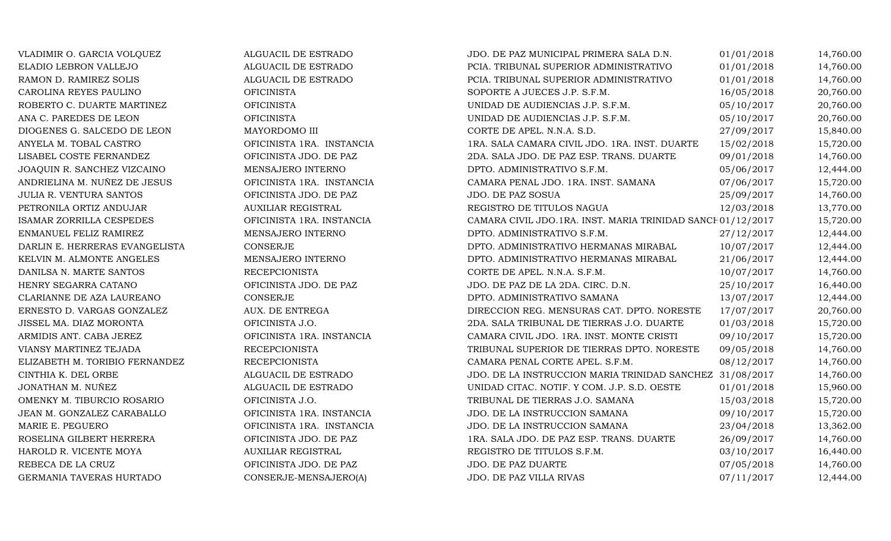VLADIMIR O. GARCIA VOLQUEZ ALGUACIL DE ESTRADO JDO. DE PAZ MUNICIPAL PRIMERA SALA D.N. 01/01/2018 14,760.00 ELADIO LEBRON VALLEJO ALGUACIL DE ESTRADO PCIA. TRIBUNAL SUPERIOR ADMINISTRATIVO 01/01/2018 14,760.00 RAMON D. RAMIREZ SOLIS ALGUACIL DE ESTRADO PCIA. TRIBUNAL SUPERIOR ADMINISTRATIVO 01/01/2018 14,760.00 CAROLINA REYES PAULINO CHICINISTA OFICINISTA SOPORTE A JUECES J.P. S.F.M. 16/05/2018 20,760.00 ROBERTO C. DUARTE MARTINEZ OFICINISTA UNIDAD DE AUDIENCIAS J.P. S.F.M. 05/10/2017 20,760.00 ANA C. PAREDES DE LEON CHICINISTA OFICINISTA DE AUDIENCIAS J.P. S.F.M. 05/10/2017 20,760.00 DIOGENES G. SALCEDO DE LEON MAYORDOMO III CORTE DE APEL. N.N.A. S.D. 27/09/2017 15,840.00 ANYELA M. TOBAL CASTRO OFICINISTA 1RA. INSTANCIA 1RA. SALA CAMARA CIVIL JDO. 1RA. INST. DUARTE 15/02/2018 15,720.00 LISABEL COSTE FERNANDEZ OFICINISTA JDO. DE PAZ 2DA. SALA JDO. DE PAZ ESP. TRANS. DUARTE 09/01/2018 14,760.00 JOAQUIN R. SANCHEZ VIZCAINO MENSAJERO INTERNO DPTO. ADMINISTRATIVO S.F.M. 05/06/2017 12,444.00 ANDRIELINA M. NUÑEZ DE JESUS OFICINISTA 1RA. INSTANCIA CAMARA PENAL JDO. 1RA. INST. SAMANA 07/06/2017 15,720.00<br>14,760.00 JULIA R. VENTURA SANTOS OF ALTERIA DE CONSTA JORE PAZ DO DE PAZ SOSUA 195709/2017 14,760.00 JULIA R. VENTURA SANTOS CHICINISTA JDO. DE PAZ JDO. DE PAZ SOSUA 25/09/2017 14,760.00 PETRONILA ORTIZ ANDUJAR AUXILIAR REGISTRAL REGISTRO DE TITULOS NAGUA 12/03/2018 13,770.00 ISAMAR ZORRILLA CESPEDES OFICINISTA 1RA. INSTANCIA CAMARA CIVIL JDO.1RA. INST. MARIA TRINIDAD SANCI-01/12/2017<br>ENMANUEL FELIZ RAMIREZ MENSAJERO INTERNO DPTO. ADMINISTRATIVO S.F.M. 27/12/2017 12,444.00 ENMANUEL FELIZ RAMIREZ MENSAJERO INTERNO DPTO. ADMINISTRATIVO S.F.M. 27/12/2017 12,444.00 DARLIN E. HERRERAS EVANGELISTA CONSERJE DPTO. ADMINISTRATIVO HERMANAS MIRABAL 10/07/2017 12,444.00 KELVIN M. ALMONTE ANGELES MENSAJERO INTERNO DE DPTO. ADMINISTRATIVO HERMANAS MIRABAL 21/06/2017 12,444.00<br>DANILSA N. MARTE SANTOS RECEPCIONISTA CORTE DE APEL. N.N.A. S.F.M. 10/07/2017 14,760.00 DANILSA N. MARTE SANTOS SANTOS RECEPCIONISTA CORTE DE APEL. N.N.A. S.F.M. 10/07/2017 14,760.00 HENRY SEGARRA CATANO OFICINISTA JDO. DE PAZ JDO. DE PAZ DE LA 2DA. CIRC. D.N. 25/10/2017 16,440.00 CLARIANNE DE AZA LAUREANO CONSERJE CONSERIE DPTO. ADMINISTRATIVO SAMANA 13/07/2017 12,444.00 ERNESTO D. VARGAS GONZALEZ AUX. DE ENTREGA DIRECCION REG. MENSURAS CAT. DPTO. NORESTE 17/07/2017 20,760.00 JISSEL MA. DIAZ MORONTA OFICINISTA J.O. 2DA. SALA TRIBUNAL DE TIERRAS J.O. DUARTE 01/03/2018 15,720.00 ARMIDIS ANT. CABA JEREZ OFICINISTA 1RA. INSTANCIA CAMARA CIVIL JDO. 1RA. INST. MONTE CRISTI 09/10/2017 15,720.00 VIANSY MARTINEZ TEJADA RECEPCIONISTA TRIBUNAL SUPERIOR DE TIERRAS DPTO. NORESTE 09/05/2018 14,760.00 ELIZABETH M. TORIBIO FERNANDEZ RECEPCIONISTA CAMARA PENAL CORTE APEL. S.F.M. 08/12/2017 14,760.00<br>CINTHIA K. DEL ORBE CINTHIA K. DEL ORBE 14,760.00 CINTHIA K. DEL ORBE CORBE ALGUACIL DE ESTRADO ALGUACIL DE ESTRADO ALGUACIDE ESTRADO CON DE LA INSTRUCCION MARIA TRINIDAD SANCHEZ 31/08/2017 14,760.00<br>JONATHAN M. NUÑEZ ALGUACIL DE ESTRADO CONDAD CITAC. NOTIF. Y COM. J.P. S JONATHAN M. NUÑEZ ALGUACIL DE ESTRADO UNIDAD CITAC. NOTIF. Y COM. J.P. S.D. OESTE 01/01/2018 15,960.00 OMENKY M. TIBURCIO ROSARIO OFICINISTA J.O. TRIBUNAL DE TIERRAS J.O. SAMANA 15/03/2018 15,720.00 JEAN M. GONZALEZ CARABALLO OFICINISTA 1RA. INSTANCIA JDO. DE LA INSTRUCCION SAMANA 09/10/2017 15,720.00 MARIE E. PEGUERO OFICINISTA 1RA. INSTANCIA JDO. DE LA INSTRUCCION SAMANA 23/04/2018 13,362.00 ROSELINA GILBERT HERRERA OFICINISTA JDO. DE PAZ 1RA. SALA JDO. DE PAZ ESP. TRANS. DUARTE 26/09/2017 14,760.00 HAROLD R. VICENTE MOYA AUXILIAR REGISTRAL REGISTRO DE TITULOS S.F.M. 03/10/2017 16,440.00 REBECA DE LA CRUZ CHURCHI DE OFICINISTA JDO. DE PAZ JOO. DO DE PAZ DUARTE OSTROVIDO DE PAZ DO DE PAZ DUARTE O POSTADO DE PAZ DUARTE O POSTADO DE PAZ DUARTE O POSTADO DE PAZ DUARTE O POSTADO DE PAZ DUARTE O POSTADO DE PAZ D GERMANIA TAVERAS HURTADO CONSERJE-MENSAJERO(A) JDO. DE PAZ VILLA RIVAS 07/11/2017 12,444.00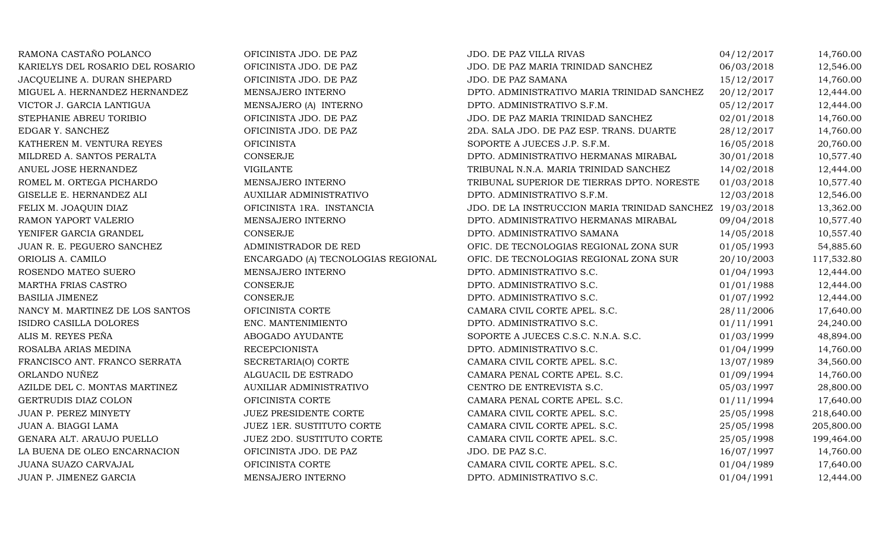| RAMONA CASTAÑO POLANCO           | OFICINISTA JDO. DE PAZ             | JDO. DE PAZ VILLA RIVAS                                  | 04/12/2017 | 14,760.00  |
|----------------------------------|------------------------------------|----------------------------------------------------------|------------|------------|
| KARIELYS DEL ROSARIO DEL ROSARIO | OFICINISTA JDO. DE PAZ             | JDO. DE PAZ MARIA TRINIDAD SANCHEZ                       | 06/03/2018 | 12,546.00  |
| JACQUELINE A. DURAN SHEPARD      | OFICINISTA JDO. DE PAZ             | JDO. DE PAZ SAMANA                                       | 15/12/2017 | 14,760.00  |
| MIGUEL A. HERNANDEZ HERNANDEZ    | MENSAJERO INTERNO                  | DPTO. ADMINISTRATIVO MARIA TRINIDAD SANCHEZ              | 20/12/2017 | 12,444.00  |
| VICTOR J. GARCIA LANTIGUA        | MENSAJERO (A) INTERNO              | DPTO. ADMINISTRATIVO S.F.M.                              | 05/12/2017 | 12,444.00  |
| STEPHANIE ABREU TORIBIO          | OFICINISTA JDO. DE PAZ             | JDO. DE PAZ MARIA TRINIDAD SANCHEZ                       | 02/01/2018 | 14,760.00  |
| EDGAR Y. SANCHEZ                 | OFICINISTA JDO. DE PAZ             | 2DA. SALA JDO. DE PAZ ESP. TRANS. DUARTE                 | 28/12/2017 | 14,760.00  |
| KATHEREN M. VENTURA REYES        | <b>OFICINISTA</b>                  | SOPORTE A JUECES J.P. S.F.M.                             | 16/05/2018 | 20,760.00  |
| MILDRED A. SANTOS PERALTA        | <b>CONSERJE</b>                    | DPTO. ADMINISTRATIVO HERMANAS MIRABAL                    | 30/01/2018 | 10,577.40  |
| ANUEL JOSE HERNANDEZ             | <b>VIGILANTE</b>                   | TRIBUNAL N.N.A. MARIA TRINIDAD SANCHEZ                   | 14/02/2018 | 12,444.00  |
| ROMEL M. ORTEGA PICHARDO         | MENSAJERO INTERNO                  | TRIBUNAL SUPERIOR DE TIERRAS DPTO. NORESTE               | 01/03/2018 | 10,577.40  |
| GISELLE E. HERNANDEZ ALI         | AUXILIAR ADMINISTRATIVO            | DPTO. ADMINISTRATIVO S.F.M.                              | 12/03/2018 | 12,546.00  |
| FELIX M. JOAQUIN DIAZ            | OFICINISTA 1RA. INSTANCIA          | JDO. DE LA INSTRUCCION MARIA TRINIDAD SANCHEZ 19/03/2018 |            | 13,362.00  |
| RAMON YAPORT VALERIO             | MENSAJERO INTERNO                  | DPTO. ADMINISTRATIVO HERMANAS MIRABAL                    | 09/04/2018 | 10,577.40  |
| YENIFER GARCIA GRANDEL           | CONSERJE                           | DPTO. ADMINISTRATIVO SAMANA                              | 14/05/2018 | 10,557.40  |
| JUAN R. E. PEGUERO SANCHEZ       | ADMINISTRADOR DE RED               | OFIC. DE TECNOLOGIAS REGIONAL ZONA SUR                   | 01/05/1993 | 54,885.60  |
| ORIOLIS A. CAMILO                | ENCARGADO (A) TECNOLOGIAS REGIONAL | OFIC. DE TECNOLOGIAS REGIONAL ZONA SUR                   | 20/10/2003 | 117,532.80 |
| ROSENDO MATEO SUERO              | MENSAJERO INTERNO                  | DPTO. ADMINISTRATIVO S.C.                                | 01/04/1993 | 12,444.00  |
| MARTHA FRIAS CASTRO              | <b>CONSERJE</b>                    | DPTO. ADMINISTRATIVO S.C.                                | 01/01/1988 | 12,444.00  |
| <b>BASILIA JIMENEZ</b>           | CONSERJE                           | DPTO. ADMINISTRATIVO S.C.                                | 01/07/1992 | 12,444.00  |
| NANCY M. MARTINEZ DE LOS SANTOS  | OFICINISTA CORTE                   | CAMARA CIVIL CORTE APEL. S.C.                            | 28/11/2006 | 17,640.00  |
| ISIDRO CASILLA DOLORES           | ENC. MANTENIMIENTO                 | DPTO. ADMINISTRATIVO S.C.                                | 01/11/1991 | 24,240.00  |
| ALIS M. REYES PEÑA               | ABOGADO AYUDANTE                   | SOPORTE A JUECES C.S.C. N.N.A. S.C.                      | 01/03/1999 | 48,894.00  |
| ROSALBA ARIAS MEDINA             | <b>RECEPCIONISTA</b>               | DPTO. ADMINISTRATIVO S.C.                                | 01/04/1999 | 14,760.00  |
| FRANCISCO ANT. FRANCO SERRATA    | SECRETARIA(O) CORTE                | CAMARA CIVIL CORTE APEL. S.C.                            | 13/07/1989 | 34,560.00  |
| ORLANDO NUÑEZ                    | ALGUACIL DE ESTRADO                | CAMARA PENAL CORTE APEL. S.C.                            | 01/09/1994 | 14,760.00  |
| AZILDE DEL C. MONTAS MARTINEZ    | AUXILIAR ADMINISTRATIVO            | CENTRO DE ENTREVISTA S.C.                                | 05/03/1997 | 28,800.00  |
| GERTRUDIS DIAZ COLON             | OFICINISTA CORTE                   | CAMARA PENAL CORTE APEL. S.C.                            | 01/11/1994 | 17,640.00  |
| JUAN P. PEREZ MINYETY            | JUEZ PRESIDENTE CORTE              | CAMARA CIVIL CORTE APEL. S.C.                            | 25/05/1998 | 218,640.00 |
| JUAN A. BIAGGI LAMA              | JUEZ 1ER. SUSTITUTO CORTE          | CAMARA CIVIL CORTE APEL. S.C.                            | 25/05/1998 | 205,800.00 |
| GENARA ALT. ARAUJO PUELLO        | JUEZ 2DO. SUSTITUTO CORTE          | CAMARA CIVIL CORTE APEL. S.C.                            | 25/05/1998 | 199,464.00 |
| LA BUENA DE OLEO ENCARNACION     | OFICINISTA JDO. DE PAZ             | JDO. DE PAZ S.C.                                         | 16/07/1997 | 14,760.00  |
| JUANA SUAZO CARVAJAL             | OFICINISTA CORTE                   | CAMARA CIVIL CORTE APEL. S.C.                            | 01/04/1989 | 17,640.00  |
| JUAN P. JIMENEZ GARCIA           | MENSAJERO INTERNO                  | DPTO. ADMINISTRATIVO S.C.                                | 01/04/1991 | 12,444.00  |
|                                  |                                    |                                                          |            |            |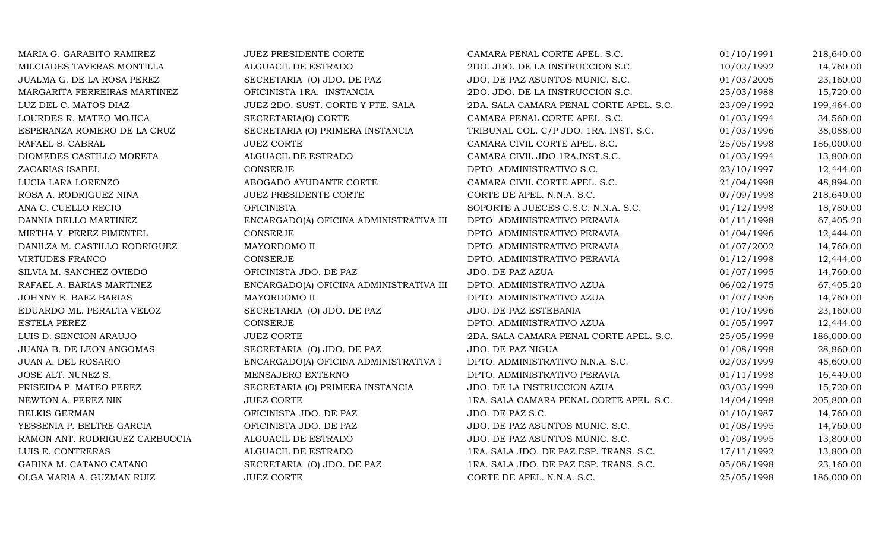| MARIA G. GARABITO RAMIREZ      | JUEZ PRESIDENTE CORTE                   | CAMARA PENAL CORTE APEL. S.C.           | 01/10/1991 | 218,640.00 |
|--------------------------------|-----------------------------------------|-----------------------------------------|------------|------------|
| MILCIADES TAVERAS MONTILLA     | ALGUACIL DE ESTRADO                     | 2DO. JDO. DE LA INSTRUCCION S.C.        | 10/02/1992 | 14,760.00  |
| JUALMA G. DE LA ROSA PEREZ     | SECRETARIA (O) JDO. DE PAZ              | JDO. DE PAZ ASUNTOS MUNIC. S.C.         | 01/03/2005 | 23,160.00  |
| MARGARITA FERREIRAS MARTINEZ   | OFICINISTA 1RA. INSTANCIA               | 2DO. JDO. DE LA INSTRUCCION S.C.        | 25/03/1988 | 15,720.00  |
| LUZ DEL C. MATOS DIAZ          | JUEZ 2DO. SUST. CORTE Y PTE. SALA       | 2DA. SALA CAMARA PENAL CORTE APEL. S.C. | 23/09/1992 | 199,464.00 |
| LOURDES R. MATEO MOJICA        | SECRETARIA(O) CORTE                     | CAMARA PENAL CORTE APEL. S.C.           | 01/03/1994 | 34,560.00  |
| ESPERANZA ROMERO DE LA CRUZ    | SECRETARIA (O) PRIMERA INSTANCIA        | TRIBUNAL COL. C/P JDO. 1RA. INST. S.C.  | 01/03/1996 | 38,088.00  |
| RAFAEL S. CABRAL               | <b>JUEZ CORTE</b>                       | CAMARA CIVIL CORTE APEL. S.C.           | 25/05/1998 | 186,000.00 |
| DIOMEDES CASTILLO MORETA       | ALGUACIL DE ESTRADO                     | CAMARA CIVIL JDO.1RA.INST.S.C.          | 01/03/1994 | 13,800.00  |
| ZACARIAS ISABEL                | CONSERJE                                | DPTO. ADMINISTRATIVO S.C.               | 23/10/1997 | 12,444.00  |
| LUCIA LARA LORENZO             | ABOGADO AYUDANTE CORTE                  | CAMARA CIVIL CORTE APEL. S.C.           | 21/04/1998 | 48,894.00  |
| ROSA A. RODRIGUEZ NINA         | JUEZ PRESIDENTE CORTE                   | CORTE DE APEL. N.N.A. S.C.              | 07/09/1998 | 218,640.00 |
| ANA C. CUELLO RECIO            | <b>OFICINISTA</b>                       | SOPORTE A JUECES C.S.C. N.N.A. S.C.     | 01/12/1998 | 18,780.00  |
| DANNIA BELLO MARTINEZ          | ENCARGADO(A) OFICINA ADMINISTRATIVA III | DPTO. ADMINISTRATIVO PERAVIA            | 01/11/1998 | 67,405.20  |
| MIRTHA Y. PEREZ PIMENTEL       | <b>CONSERJE</b>                         | DPTO. ADMINISTRATIVO PERAVIA            | 01/04/1996 | 12,444.00  |
| DANILZA M. CASTILLO RODRIGUEZ  | MAYORDOMO II                            | DPTO. ADMINISTRATIVO PERAVIA            | 01/07/2002 | 14,760.00  |
| <b>VIRTUDES FRANCO</b>         | <b>CONSERJE</b>                         | DPTO. ADMINISTRATIVO PERAVIA            | 01/12/1998 | 12,444.00  |
| SILVIA M. SANCHEZ OVIEDO       | OFICINISTA JDO. DE PAZ                  | JDO. DE PAZ AZUA                        | 01/07/1995 | 14,760.00  |
| RAFAEL A. BARIAS MARTINEZ      | ENCARGADO(A) OFICINA ADMINISTRATIVA III | DPTO. ADMINISTRATIVO AZUA               | 06/02/1975 | 67,405.20  |
| JOHNNY E. BAEZ BARIAS          | MAYORDOMO II                            | DPTO. ADMINISTRATIVO AZUA               | 01/07/1996 | 14,760.00  |
| EDUARDO ML. PERALTA VELOZ      | SECRETARIA (O) JDO. DE PAZ              | JDO. DE PAZ ESTEBANIA                   | 01/10/1996 | 23,160.00  |
| <b>ESTELA PEREZ</b>            | <b>CONSERJE</b>                         | DPTO. ADMINISTRATIVO AZUA               | 01/05/1997 | 12,444.00  |
| LUIS D. SENCION ARAUJO         | <b>JUEZ CORTE</b>                       | 2DA. SALA CAMARA PENAL CORTE APEL. S.C. | 25/05/1998 | 186,000.00 |
| JUANA B. DE LEON ANGOMAS       | SECRETARIA (O) JDO. DE PAZ              | JDO. DE PAZ NIGUA                       | 01/08/1998 | 28,860.00  |
| JUAN A. DEL ROSARIO            | ENCARGADO(A) OFICINA ADMINISTRATIVA I   | DPTO. ADMINISTRATIVO N.N.A. S.C.        | 02/03/1999 | 45,600.00  |
| JOSE ALT. NUÑEZ S.             | MENSAJERO EXTERNO                       | DPTO. ADMINISTRATIVO PERAVIA            | 01/11/1998 | 16,440.00  |
| PRISEIDA P. MATEO PEREZ        | SECRETARIA (O) PRIMERA INSTANCIA        | JDO. DE LA INSTRUCCION AZUA             | 03/03/1999 | 15,720.00  |
| NEWTON A. PEREZ NIN            | <b>JUEZ CORTE</b>                       | 1RA. SALA CAMARA PENAL CORTE APEL. S.C. | 14/04/1998 | 205,800.00 |
| <b>BELKIS GERMAN</b>           | OFICINISTA JDO. DE PAZ                  | JDO. DE PAZ S.C.                        | 01/10/1987 | 14,760.00  |
| YESSENIA P. BELTRE GARCIA      | OFICINISTA JDO. DE PAZ                  | JDO. DE PAZ ASUNTOS MUNIC. S.C.         | 01/08/1995 | 14,760.00  |
| RAMON ANT. RODRIGUEZ CARBUCCIA | ALGUACIL DE ESTRADO                     | JDO. DE PAZ ASUNTOS MUNIC. S.C.         | 01/08/1995 | 13,800.00  |
| LUIS E. CONTRERAS              | ALGUACIL DE ESTRADO                     | 1RA. SALA JDO. DE PAZ ESP. TRANS. S.C.  | 17/11/1992 | 13,800.00  |
| GABINA M. CATANO CATANO        | SECRETARIA (O) JDO. DE PAZ              | 1RA. SALA JDO. DE PAZ ESP. TRANS. S.C.  | 05/08/1998 | 23,160.00  |
| OLGA MARIA A. GUZMAN RUIZ      | <b>JUEZ CORTE</b>                       | CORTE DE APEL. N.N.A. S.C.              | 25/05/1998 | 186,000.00 |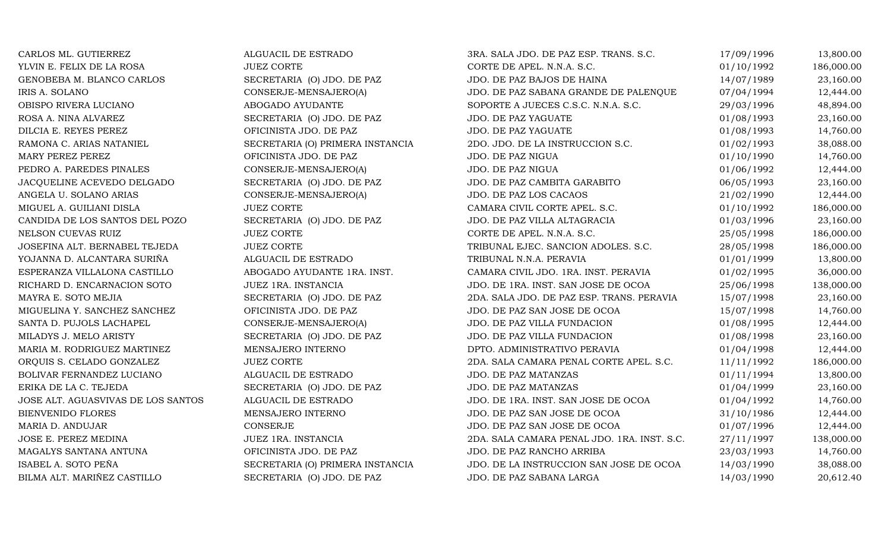| CARLOS ML. GUTIERREZ               | ALGUACIL DE ESTRADO              | 3RA. SALA JDO. DE PAZ ESP. TRANS. S.C.      | 17/09/1996 | 13,800.00  |
|------------------------------------|----------------------------------|---------------------------------------------|------------|------------|
| YLVIN E. FELIX DE LA ROSA          | <b>JUEZ CORTE</b>                | CORTE DE APEL. N.N.A. S.C.                  | 01/10/1992 | 186,000.00 |
| GENOBEBA M. BLANCO CARLOS          | SECRETARIA (O) JDO. DE PAZ       | JDO. DE PAZ BAJOS DE HAINA                  | 14/07/1989 | 23,160.00  |
| IRIS A. SOLANO                     | CONSERJE-MENSAJERO(A)            | JDO. DE PAZ SABANA GRANDE DE PALENQUE       | 07/04/1994 | 12,444.00  |
| OBISPO RIVERA LUCIANO              | ABOGADO AYUDANTE                 | SOPORTE A JUECES C.S.C. N.N.A. S.C.         | 29/03/1996 | 48,894.00  |
| ROSA A. NINA ALVAREZ               | SECRETARIA (O) JDO. DE PAZ       | JDO. DE PAZ YAGUATE                         | 01/08/1993 | 23,160.00  |
| DILCIA E. REYES PEREZ              | OFICINISTA JDO. DE PAZ           | JDO. DE PAZ YAGUATE                         | 01/08/1993 | 14,760.00  |
| RAMONA C. ARIAS NATANIEL           | SECRETARIA (O) PRIMERA INSTANCIA | 2DO. JDO. DE LA INSTRUCCION S.C.            | 01/02/1993 | 38,088.00  |
| MARY PEREZ PEREZ                   | OFICINISTA JDO. DE PAZ           | JDO. DE PAZ NIGUA                           | 01/10/1990 | 14,760.00  |
| PEDRO A. PAREDES PINALES           | CONSERJE-MENSAJERO(A)            | JDO. DE PAZ NIGUA                           | 01/06/1992 | 12,444.00  |
| JACQUELINE ACEVEDO DELGADO         | SECRETARIA (O) JDO. DE PAZ       | JDO. DE PAZ CAMBITA GARABITO                | 06/05/1993 | 23,160.00  |
| ANGELA U. SOLANO ARIAS             | CONSERJE-MENSAJERO(A)            | JDO. DE PAZ LOS CACAOS                      | 21/02/1990 | 12,444.00  |
| MIGUEL A. GUILIANI DISLA           | <b>JUEZ CORTE</b>                | CAMARA CIVIL CORTE APEL. S.C.               | 01/10/1992 | 186,000.00 |
| CANDIDA DE LOS SANTOS DEL POZO     | SECRETARIA (O) JDO. DE PAZ       | JDO. DE PAZ VILLA ALTAGRACIA                | 01/03/1996 | 23,160.00  |
| NELSON CUEVAS RUIZ                 | <b>JUEZ CORTE</b>                | CORTE DE APEL. N.N.A. S.C.                  | 25/05/1998 | 186,000.00 |
| JOSEFINA ALT. BERNABEL TEJEDA      | <b>JUEZ CORTE</b>                | TRIBUNAL EJEC. SANCION ADOLES. S.C.         | 28/05/1998 | 186,000.00 |
| YOJANNA D. ALCANTARA SURIÑA        | ALGUACIL DE ESTRADO              | TRIBUNAL N.N.A. PERAVIA                     | 01/01/1999 | 13,800.00  |
| ESPERANZA VILLALONA CASTILLO       | ABOGADO AYUDANTE 1RA. INST.      | CAMARA CIVIL JDO. 1RA. INST. PERAVIA        | 01/02/1995 | 36,000.00  |
| RICHARD D. ENCARNACION SOTO        | JUEZ 1RA. INSTANCIA              | JDO. DE 1RA. INST. SAN JOSE DE OCOA         | 25/06/1998 | 138,000.00 |
| MAYRA E. SOTO MEJIA                | SECRETARIA (O) JDO. DE PAZ       | 2DA. SALA JDO. DE PAZ ESP. TRANS. PERAVIA   | 15/07/1998 | 23,160.00  |
| MIGUELINA Y. SANCHEZ SANCHEZ       | OFICINISTA JDO. DE PAZ           | JDO. DE PAZ SAN JOSE DE OCOA                | 15/07/1998 | 14,760.00  |
| SANTA D. PUJOLS LACHAPEL           | CONSERJE-MENSAJERO(A)            | JDO. DE PAZ VILLA FUNDACION                 | 01/08/1995 | 12,444.00  |
| MILADYS J. MELO ARISTY             | SECRETARIA (O) JDO. DE PAZ       | JDO. DE PAZ VILLA FUNDACION                 | 01/08/1998 | 23,160.00  |
| MARIA M. RODRIGUEZ MARTINEZ        | MENSAJERO INTERNO                | DPTO. ADMINISTRATIVO PERAVIA                | 01/04/1998 | 12,444.00  |
| ORQUIS S. CELADO GONZALEZ          | <b>JUEZ CORTE</b>                | 2DA. SALA CAMARA PENAL CORTE APEL. S.C.     | 11/11/1992 | 186,000.00 |
| BOLIVAR FERNANDEZ LUCIANO          | ALGUACIL DE ESTRADO              | JDO. DE PAZ MATANZAS                        | 01/11/1994 | 13,800.00  |
| ERIKA DE LA C. TEJEDA              | SECRETARIA (O) JDO. DE PAZ       | JDO. DE PAZ MATANZAS                        | 01/04/1999 | 23,160.00  |
| JOSE ALT. AGUASVIVAS DE LOS SANTOS | ALGUACIL DE ESTRADO              | JDO. DE 1RA. INST. SAN JOSE DE OCOA         | 01/04/1992 | 14,760.00  |
| BIENVENIDO FLORES                  | MENSAJERO INTERNO                | JDO. DE PAZ SAN JOSE DE OCOA                | 31/10/1986 | 12,444.00  |
| MARIA D. ANDUJAR                   | <b>CONSERJE</b>                  | JDO. DE PAZ SAN JOSE DE OCOA                | 01/07/1996 | 12,444.00  |
| JOSE E. PEREZ MEDINA               | JUEZ 1RA. INSTANCIA              | 2DA. SALA CAMARA PENAL JDO. 1RA. INST. S.C. | 27/11/1997 | 138,000.00 |
| MAGALYS SANTANA ANTUNA             | OFICINISTA JDO. DE PAZ           | JDO. DE PAZ RANCHO ARRIBA                   | 23/03/1993 | 14,760.00  |
| ISABEL A. SOTO PEÑA                | SECRETARIA (O) PRIMERA INSTANCIA | JDO. DE LA INSTRUCCION SAN JOSE DE OCOA     | 14/03/1990 | 38,088.00  |
| BILMA ALT. MARIÑEZ CASTILLO        | SECRETARIA (O) JDO. DE PAZ       | JDO. DE PAZ SABANA LARGA                    | 14/03/1990 | 20,612.40  |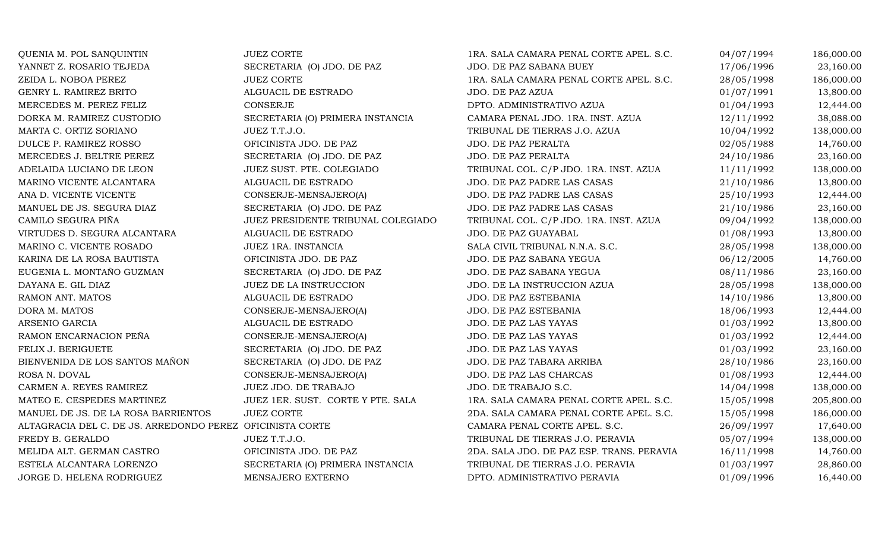DORA M. MATOSARSENIO GARCIAROSA N. DOVAL

QUENIA M. POL SANQUINTIN JUEZ CORTE JUEZ CORTE 1RA. SALA CAMARA PENAL CORTE APEL. S.C. 04/07/1994 186,000.00<br>23.160.00 YANNET Z. ROSARIO TEJEDA SECRETARIA (O) JDO. DE PAZ JDO. DE PAZ SABANA BUEY 17/06/1996 23.160.00 YANNET Z. ROSARIO TEJEDA SECRETARIA (O) JDO. DE PAZ JDO. DE PAZ SABANA BUEY 17/06/1996 23,160.00 ZEIDA L. NOBOA PEREZ JUEZ CORTE JUEZ CORTE 1RA. SALA CAMARA PENAL CORTE APEL. S.C. 28/05/1998 186,000.00<br>GENRY L. RAMIREZ BRITO ALGUACIL DE ESTRADO JDO. DE PAZ AZUA 13,800.00 GENRY L. RAMIREZ BRITO ALGUACIL DE ESTRADO JDO. DE PAZ AZUA 01/07/1991 13,800.00 MERCEDES M. PEREZ FELIZ CONSERJE CONSERUE DPTO. ADMINISTRATIVO AZUA 01/04/1993 12,444.00 DORKA M. RAMIREZ CUSTODIO SECRETARIA (O) PRIMERA INSTANCIA CAMARA PENAL JDO. 1RA. INST. AZUA 12/11/1992 38,088.00 MARTA C. ORTIZ SORIANO JUEZ T.T.J.O. TRIBUNAL DE TIERRAS J.O. AZUA 10/04/1992 138,000.00 DULCE P. RAMIREZ ROSSO CONSTRUISTA JDO. DE PAZ JDO. DE PAZ PERALTA OZ/05/1988 14,760.00 MERCEDES J. BELTRE PEREZ SECRETARIA (O) JDO. DE PAZ JDO. DE PAZ PERALTA 24/10/1986 23,160.00 ADELAIDA LUCIANO DE LEON JUEZ SUST. PTE. COLEGIADO TRIBUNAL COL. C/P JDO. 1RA. INST. AZUA 11/11/1992 138,000.00<br>MARINO VICENTE ALCANTARA ALGUACIL DE ESTRADO JDO. DE PAZ PADRE LAS CASAS 21/10/1986 13,800.00 MARINO VICENTE ALCANTARA ALGUACIL DE ESTRADO JDO. DE PAZ PADRE LAS CASAS 21/10/1986 13,800.00 ANA D. VICENTE VICENTE CONSERJE-MENSAJERO(A) JDO. DE PAZ PADRE LAS CASAS 25/10/1993 12,444.00 MANUEL DE JS. SEGURA DIAZ SECRETARIA (O) JDO. DE PAZ JDO. DE PAZ PADRE LAS CASAS 21/10/1986 23,160.00 CAMILO SEGURA PIÑA JUEZ PRESIDENTE TRIBUNAL COLEGIADO TRIBUNAL COL. C/P JDO. 1RA. INST. AZUA 09/04/1992 138,000.00 VIRTUDES D. SEGURA ALCANTARA ALGUACIL DE ESTRADO JDO. DE PAZ GUAYABAL 01/08/1993 13,800.00 MARINO C. VICENTE ROSADO UNEZIRA. INSTANCIA SALA CIVIL TRIBUNAL N.N.A. S.C. 28/05/1998 138,000.00 KARINA DE LA ROSA BAUTISTA OFICINISTA JDO. DE PAZ JDO. DE PAZ SABANA YEGUA 06/12/2005 14,760.00 EUGENIA L. MONTAÑO GUZMAN SECRETARIA (O) JDO. DE PAZ JDO. DE PAZ SABANA YEGUA (08/11/1986 23,160.00 DAYANA E. GIL DIAZ JUEZ DE LA INSTRUCCION JDO. DE LA INSTRUCCION AZUA 28/05/1998 138,000.00 RAMON ANT. MATOS SALGUACIL DE ESTRADO SE PAZ ESTEBANIA 14/10/1986 13,800.00 CONSERJE-MENSAJERO(A) JDO. DE PAZ ESTEBANIA 18/06/1993 12,444.00 ALGUACIL DE ESTRADO JDO. DE PAZ LAS YAYAS 01/03/1992 13,800.00 RAMON ENCARNACION PEÑA CONSERJE-MENSAJERO(A) JDO. DE PAZ LAS YAYAS 01/03/1992 12,444.00 FELIX J. BERIGUETE SECRETARIA (O) JDO. DE PAZ JDO. DE PAZ LAS YAYAS 01/03/1992 23,160.00 BIENVENIDA DE LOS SANTOS MAÑON SECRETARIA (O) JDO. DE PAZ 1900. DE PAZ TABARA ARRIBA 28/10/1986 23,160.00<br>CONSERJE-MENSAJERO(A) JDO. DE PAZ LAS CHARCAS 01/08/1993 12,444.00 L CONSERJE-MENSAJERO(A) JDO. DE PAZ LAS CHARCAS 01/08/1993 12,444.00 CARMEN A. REYES RAMIREZ JUEZ JDO. DE TRABAJO JDO. DE TRABAJO S.C. 14/04/1998 138,000.00 MATEO E. CESPEDES MARTINEZ JUEZ 1ER. SUST. CORTE Y PTE. SALA 1RA. SALA CAMARA PENAL CORTE APEL. S.C. 15/05/1998 205,800.00<br>MANUEL DE JS. DE LA ROSA BARRIENTOS JUEZ CORTE 2DA. SALA CAMARA PENAL CORTE APEL. S.C. 15/05/1998 1 2DA. SALA CAMARA PENAL CORTE APEL. S.C. 15/05/1998 186,000.00<br>CAMARA PENAL CORTE APEL. S.C. 26/09/1997 17,640.00 ALTAGRACIA DEL C. DE JS. ARREDONDO PEREZ OFICINISTA CORTE CAMARA PENAL CORTE APEL. S.C. 26/09/1997 17,640.00 FREDY B. GERALDO JUEZ T.T.J.O. JUEZ T.T.J.O. TRIBUNAL DE TIERRAS J.O. PERAVIA 05/07/1994 138,000.00<br>2DA. SALA JDO. DE PAZ 2DA. SALA JDO. DE PAZ 2DA. SALA JDO. DE PAZ ESP. TRANS. PERAVIA 16/11/1998 14,760.00 MELIDA ALT. GERMAN CASTRO OFICINISTA JDO. DE PAZ 2DA. SALA JDO. DE PAZ ESP. TRANS. PERAVIA 16/11/1998 14,760.00 ESTELA ALCANTARA LORENZO SECRETARIA (O) PRIMERA INSTANCIA TRIBUNAL DE TIERRAS J.O. PERAVIA 01/03/1997 28,860.00 JORGE D. HELENA RODRIGUEZ MENSAJERO EXTERNO DPTO. ADMINISTRATIVO PERAVIA 01/09/1996 16,440.00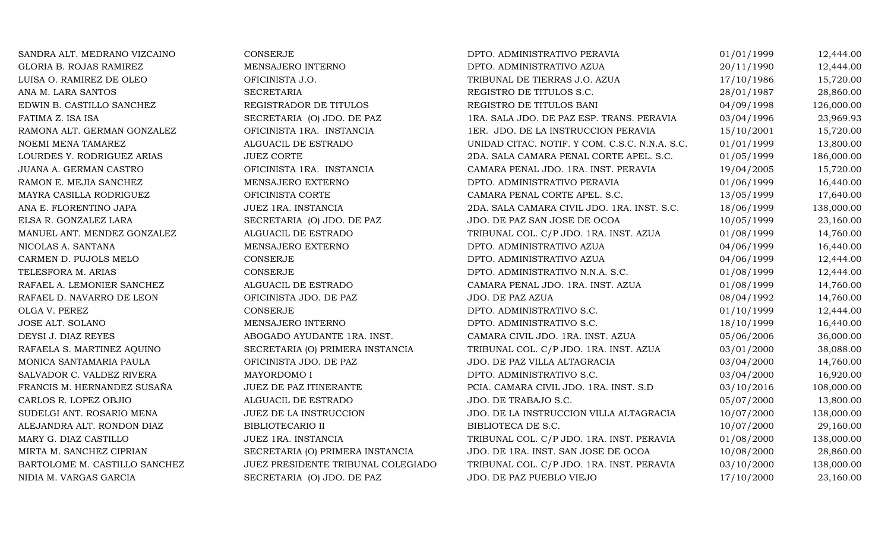SANDRA ALT. MEDRANO VIZCAINO CONSERJE DPTO. ADMINISTRATIVO PERAVIA 01/01/1999 12,444.00 GLORIA B. ROJAS RAMIREZ MENSAJERO INTERNO DPTO. ADMINISTRATIVO AZUA 20/11/1990 12,444.00 LUISA O. RAMIREZ DE OLEO CHENISTA J.O. CHENISTA J.O. CHENISTA ORANG TRIBUNAL DE TIERRAS J.O. AZUA 17/10/1986 15,720.00 ANA M. LARA SANTOS SECRETARIA SECRETARIA REGISTRO DE TITULOS S.C. 28/01/1987 28,860.00 EDWIN B. CASTILLO SANCHEZ REGISTRADOR DE TITULOS REGISTRO DE TITULOS BANI 04/09/1998 126,000.00 FATIMA Z. ISA ISA SECRETARIA (O) JDO. DE PAZ 1RA. SALA JDO. DE PAZ ESP. TRANS. PERAVIA 03/04/1996 23,969.93 RAMONA ALT. GERMAN GONZALEZ OFICINISTA 1RA. INSTANCIA 1ER. JDO. DE LA INSTRUCCION PERAVIA 15/10/2001 15,720.00 NOEMI MENA TAMAREZ ARIAS ALGUACIL DE ESTRADO MUNIDAD CITAC. NOTIF. Y COM. C.S.C. N.N.A. S.C. 01/01/1999 13,800.00<br>2DA. SALA CAMARA PENAL CORTE APEL. S.C. 01/05/1999 186,000.00 LOURDES Y. RODRIGUEZ ARIAS JUEZ CORTE 2DA. SALA CAMARA PENAL CORTE APEL. S.C. 01/05/1999 186,000.00 JUANA A. GERMAN CASTRO OFICINISTA 1RA. INSTANCIA CAMARA PENAL JDO. 1RA. INST. PERAVIA 19/04/2005 15,720.00 RAMON E. MEJIA SANCHEZ MENSAJERO EXTERNO DPTO. ADMINISTRATIVO PERAVIA 01/06/1999 16,440.00 MAYRA CASILLA RODRIGUEZ COFICINISTA CORTE CAMARA PENAL CORTE APEL. S.C. 13/05/1999 17,640.00 ANA E. FLORENTINO JAPA JUEZ 1RA. INSTANCIA 2DA. SALA CAMARA CIVIL JDO. 1RA. INST. S.C. 18/06/1999 138,000.00 ELSA R. GONZALEZ LARA SECRETARIA (O) JDO. DE PAZ JDO. DE PAZ SAN JOSE DE OCOA 10/05/1999 23,160.00 MANUEL ANT. MENDEZ GONZALEZ ALGUACIL DE ESTRADO TRIBUNAL COL. C/P JDO. 1RA. INST. AZUA 01/08/1999 14,760.00 NICOLAS A. SANTANA MENSAJERO EXTERNO DPTO. ADMINISTRATIVO AZUA 04/06/1999 16,440.00 CARMEN D. PUJOLS MELO CONSERJE CONSERIE DPTO. ADMINISTRATIVO AZUA 04/06/1999 12,444.00 TELESFORA M. ARIAS CONSERJE CONSERIE DPTO. ADMINISTRATIVO N.N.A. S.C. 01/08/1999 12,444.00 RAFAEL A. LEMONIER SANCHEZ ALGUACIL DE ESTRADO CAMARA PENAL JDO. 1RA. INST. AZUA 01/08/1999 14,760.00 RAFAEL D. NAVARRO DE LEON CHICINISTA JDO. DE PAZ JDO. DE PAZ AZUA 108/04/1992 14,760.00 OLGA V. PEREZ CONSERJEDPTO. ADMINISTRATIVO S.C.  $01/10/1999$  12,444.00<br>DPTO. ADMINISTRATIVO S.C.  $18/10/1999$  16,440.00 JOSE ALT. SOLANO MENSAJERO INTERNO DPTO. ADMINISTRATIVO S.C. 18/10/1999 16,440.00 DEYSI J. DIAZ REYES ABOGADO AYUDANTE 1RA. INST. CAMARA CIVIL JDO. 1RA. INST. AZUA 05/06/2006 36,000.00 RAFAELA S. MARTINEZ AQUINO SECRETARIA (O) PRIMERA INSTANCIA TRIBUNAL COL. C/P JDO. 1RA. INST. AZUA 03/01/2000 38,088.00<br>MONICA SANTAMARIA PAULA OFICINISTA JDO. DE PAZ JDO. DE PAZ VILLA ALTAGRACIA 03/04/2000 14,760.00 MONICA SANTAMARIA PAULA CHICINISTA JDO. DE PAZ JDO. DE PAZ VILLA ALTAGRACIA 193/04/2000 14,760.00 SALVADOR C. VALDEZ RIVERA MAYORDOMO I DPTO. ADMINISTRATIVO S.C. SALVADOR C. VALDEZ RIVERA 16,920.00 FRANCIS M. HERNANDEZ SUSAÑA JUEZ DE PAZ ITINERANTE PCIA. CAMARA CIVIL JDO. 1RA. INST. S.D 03/10/2016 108,000.00<br>CARLOS R. LOPEZ OBJIO 13,800.00 ALGUACIL DE ESTRADO JDO. DE TRABAJO S.C. 05/07/2000 13,800.00 CARLOS R. LOPEZ OBJIO ALGUACIL DE ESTRADO JDO. DE TRABAJO S.C. 05/07/2000 13,800.00 SUDELGI ANT. ROSARIO MENA JUEZ DE LA INSTRUCCION AUDO. DE LA INSTRUCCION VILLA ALTAGRACIA 10/07/2000 138,000.00<br>ALEJANDRA ALT. RONDON DIAZ BIBLIOTECARIO II BIBLIOTECA DE S.C. 10/07/2000 29,160.00 ALEJANDRA ALT. RONDON DIAZ BIBLIOTECARIO II BIBLIOTECA DE S.C. 10/07/2000 29,160.00 MARY G. DIAZ CASTILLO JUEZ 1RA. INSTANCIA TRIBUNAL COL. C/P JDO. 1RA. INST. PERAVIA 01/08/2000 138,000.00 MIRTA M. SANCHEZ CIPRIAN SECRETARIA (O) PRIMERA INSTANCIA JDO. DE 1RA. INST. SAN JOSE DE OCOA 10/08/2000 28,860.00<br>BARTOLOME M. CASTILLO SANCHEZ JUEZ PRESIDENTE TRIBUNAL COLEGIADO TRIBUNAL COL. C/P JDO. 1RA. INST. PERAVIA BARTOLOME M. CASTILLO SANCHEZ JUEZ PRESIDENTE TRIBUNAL COLEGIADO TRIBUNAL COL. C/P JDO. 1RA. INST. PERAVIA 03/10/2000 138,000.00 NIDIA M. VARGAS GARCIA SECRETARIA (O) JDO. DE PAZ JDO. DE PAZ PUEBLO VIEJO 17/10/2000 23,160.00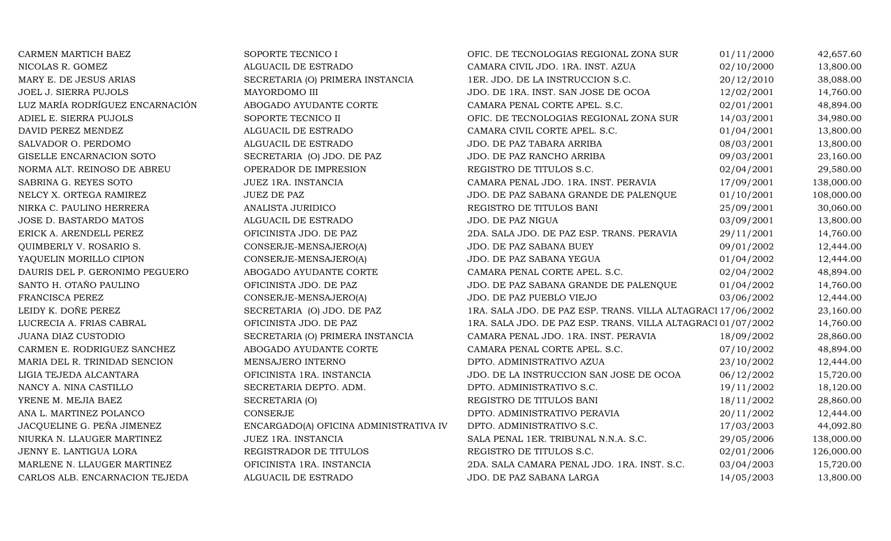| CARMEN MARTICH BAEZ             | SOPORTE TECNICO I                      | OFIC. DE TECNOLOGIAS REGIONAL ZONA SUR                       | 01/11/2000 | 42,657.60  |
|---------------------------------|----------------------------------------|--------------------------------------------------------------|------------|------------|
| NICOLAS R. GOMEZ                | ALGUACIL DE ESTRADO                    | CAMARA CIVIL JDO. 1RA. INST. AZUA                            | 02/10/2000 | 13,800.00  |
| MARY E. DE JESUS ARIAS          | SECRETARIA (O) PRIMERA INSTANCIA       | 1ER. JDO. DE LA INSTRUCCION S.C.                             | 20/12/2010 | 38,088.00  |
| <b>JOEL J. SIERRA PUJOLS</b>    | MAYORDOMO III                          | JDO. DE 1RA. INST. SAN JOSE DE OCOA                          | 12/02/2001 | 14,760.00  |
| LUZ MARÍA RODRÍGUEZ ENCARNACIÓN | ABOGADO AYUDANTE CORTE                 | CAMARA PENAL CORTE APEL. S.C.                                | 02/01/2001 | 48,894.00  |
| ADIEL E. SIERRA PUJOLS          | SOPORTE TECNICO II                     | OFIC. DE TECNOLOGIAS REGIONAL ZONA SUR                       | 14/03/2001 | 34,980.00  |
| DAVID PEREZ MENDEZ              | ALGUACIL DE ESTRADO                    | CAMARA CIVIL CORTE APEL. S.C.                                | 01/04/2001 | 13,800.00  |
| SALVADOR O. PERDOMO             | ALGUACIL DE ESTRADO                    | JDO. DE PAZ TABARA ARRIBA                                    | 08/03/2001 | 13,800.00  |
| GISELLE ENCARNACION SOTO        | SECRETARIA (O) JDO. DE PAZ             | JDO. DE PAZ RANCHO ARRIBA                                    | 09/03/2001 | 23,160.00  |
| NORMA ALT. REINOSO DE ABREU     | OPERADOR DE IMPRESION                  | REGISTRO DE TITULOS S.C.                                     | 02/04/2001 | 29,580.00  |
| SABRINA G. REYES SOTO           | JUEZ 1RA. INSTANCIA                    | CAMARA PENAL JDO. 1RA. INST. PERAVIA                         | 17/09/2001 | 138,000.00 |
| NELCY X. ORTEGA RAMIREZ         | <b>JUEZ DE PAZ</b>                     | JDO. DE PAZ SABANA GRANDE DE PALENQUE                        | 01/10/2001 | 108,000.00 |
| NIRKA C. PAULINO HERRERA        | ANALISTA JURIDICO                      | REGISTRO DE TITULOS BANI                                     | 25/09/2001 | 30,060.00  |
| JOSE D. BASTARDO MATOS          | ALGUACIL DE ESTRADO                    | JDO. DE PAZ NIGUA                                            | 03/09/2001 | 13,800.00  |
| ERICK A. ARENDELL PEREZ         | OFICINISTA JDO. DE PAZ                 | 2DA. SALA JDO. DE PAZ ESP. TRANS. PERAVIA                    | 29/11/2001 | 14,760.00  |
| QUIMBERLY V. ROSARIO S.         | CONSERJE-MENSAJERO(A)                  | JDO. DE PAZ SABANA BUEY                                      | 09/01/2002 | 12,444.00  |
| YAQUELIN MORILLO CIPION         | CONSERJE-MENSAJERO(A)                  | JDO. DE PAZ SABANA YEGUA                                     | 01/04/2002 | 12,444.00  |
| DAURIS DEL P. GERONIMO PEGUERO  | ABOGADO AYUDANTE CORTE                 | CAMARA PENAL CORTE APEL. S.C.                                | 02/04/2002 | 48,894.00  |
| SANTO H. OTAÑO PAULINO          | OFICINISTA JDO. DE PAZ                 | JDO. DE PAZ SABANA GRANDE DE PALENQUE                        | 01/04/2002 | 14,760.00  |
| FRANCISCA PEREZ                 | CONSERJE-MENSAJERO(A)                  | JDO. DE PAZ PUEBLO VIEJO                                     | 03/06/2002 | 12,444.00  |
| LEIDY K. DOÑE PEREZ             | SECRETARIA (O) JDO. DE PAZ             | 1RA. SALA JDO. DE PAZ ESP. TRANS. VILLA ALTAGRACI 17/06/2002 |            | 23,160.00  |
| LUCRECIA A. FRIAS CABRAL        | OFICINISTA JDO. DE PAZ                 | 1RA. SALA JDO. DE PAZ ESP. TRANS. VILLA ALTAGRACI 01/07/2002 |            | 14,760.00  |
| JUANA DIAZ CUSTODIO             | SECRETARIA (O) PRIMERA INSTANCIA       | CAMARA PENAL JDO. 1RA. INST. PERAVIA                         | 18/09/2002 | 28,860.00  |
| CARMEN E. RODRIGUEZ SANCHEZ     | ABOGADO AYUDANTE CORTE                 | CAMARA PENAL CORTE APEL. S.C.                                | 07/10/2002 | 48,894.00  |
| MARIA DEL R. TRINIDAD SENCION   | MENSAJERO INTERNO                      | DPTO. ADMINISTRATIVO AZUA                                    | 23/10/2002 | 12,444.00  |
| LIGIA TEJEDA ALCANTARA          | OFICINISTA 1RA. INSTANCIA              | JDO. DE LA INSTRUCCION SAN JOSE DE OCOA                      | 06/12/2002 | 15,720.00  |
| NANCY A. NINA CASTILLO          | SECRETARIA DEPTO. ADM.                 | DPTO. ADMINISTRATIVO S.C.                                    | 19/11/2002 | 18,120.00  |
| YRENE M. MEJIA BAEZ             | SECRETARIA (O)                         | REGISTRO DE TITULOS BANI                                     | 18/11/2002 | 28,860.00  |
| ANA L. MARTINEZ POLANCO         | <b>CONSERJE</b>                        | DPTO. ADMINISTRATIVO PERAVIA                                 | 20/11/2002 | 12,444.00  |
| JACQUELINE G. PEÑA JIMENEZ      | ENCARGADO(A) OFICINA ADMINISTRATIVA IV | DPTO. ADMINISTRATIVO S.C.                                    | 17/03/2003 | 44,092.80  |
| NIURKA N. LLAUGER MARTINEZ      | JUEZ 1RA. INSTANCIA                    | SALA PENAL 1ER. TRIBUNAL N.N.A. S.C.                         | 29/05/2006 | 138,000.00 |
| JENNY E. LANTIGUA LORA          | REGISTRADOR DE TITULOS                 | REGISTRO DE TITULOS S.C.                                     | 02/01/2006 | 126,000.00 |
| MARLENE N. LLAUGER MARTINEZ     | OFICINISTA 1RA. INSTANCIA              | 2DA. SALA CAMARA PENAL JDO. 1RA. INST. S.C.                  | 03/04/2003 | 15,720.00  |
| CARLOS ALB. ENCARNACION TEJEDA  | ALGUACIL DE ESTRADO                    | JDO. DE PAZ SABANA LARGA                                     | 14/05/2003 | 13,800.00  |
|                                 |                                        |                                                              |            |            |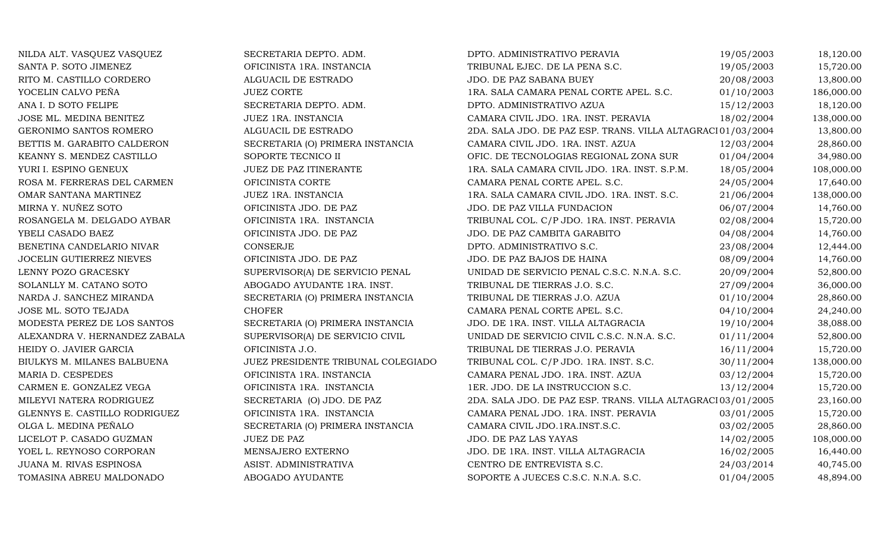| NILDA ALT. VASQUEZ VASQUEZ    | SECRETARIA DEPTO. ADM.             | DPTO. ADMINISTRATIVO PERAVIA                                | 19/05/2003 | 18,120.00  |
|-------------------------------|------------------------------------|-------------------------------------------------------------|------------|------------|
| SANTA P. SOTO JIMENEZ         | OFICINISTA 1RA. INSTANCIA          | TRIBUNAL EJEC. DE LA PENA S.C.                              | 19/05/2003 | 15,720.00  |
| RITO M. CASTILLO CORDERO      | ALGUACIL DE ESTRADO                | JDO. DE PAZ SABANA BUEY                                     | 20/08/2003 | 13,800.00  |
| YOCELIN CALVO PEÑA            | <b>JUEZ CORTE</b>                  | 1RA. SALA CAMARA PENAL CORTE APEL. S.C.                     | 01/10/2003 | 186,000.00 |
| ANA I. D SOTO FELIPE          | SECRETARIA DEPTO. ADM.             | DPTO. ADMINISTRATIVO AZUA                                   | 15/12/2003 | 18,120.00  |
| JOSE ML. MEDINA BENITEZ       | JUEZ 1RA. INSTANCIA                | CAMARA CIVIL JDO. 1RA. INST. PERAVIA                        | 18/02/2004 | 138,000.00 |
| GERONIMO SANTOS ROMERO        | ALGUACIL DE ESTRADO                | 2DA. SALA JDO. DE PAZ ESP. TRANS. VILLA ALTAGRACI01/03/2004 |            | 13,800.00  |
| BETTIS M. GARABITO CALDERON   | SECRETARIA (O) PRIMERA INSTANCIA   | CAMARA CIVIL JDO. 1RA. INST. AZUA                           | 12/03/2004 | 28,860.00  |
| KEANNY S. MENDEZ CASTILLO     | SOPORTE TECNICO II                 | OFIC. DE TECNOLOGIAS REGIONAL ZONA SUR                      | 01/04/2004 | 34,980.00  |
| YURI I. ESPINO GENEUX         | JUEZ DE PAZ ITINERANTE             | 1RA. SALA CAMARA CIVIL JDO. 1RA. INST. S.P.M.               | 18/05/2004 | 108,000.00 |
| ROSA M. FERRERAS DEL CARMEN   | OFICINISTA CORTE                   | CAMARA PENAL CORTE APEL. S.C.                               | 24/05/2004 | 17,640.00  |
| OMAR SANTANA MARTINEZ         | JUEZ 1RA. INSTANCIA                | 1RA. SALA CAMARA CIVIL JDO. 1RA. INST. S.C.                 | 21/06/2004 | 138,000.00 |
| MIRNA Y. NUÑEZ SOTO           | OFICINISTA JDO. DE PAZ             | JDO. DE PAZ VILLA FUNDACION                                 | 06/07/2004 | 14,760.00  |
| ROSANGELA M. DELGADO AYBAR    | OFICINISTA 1RA. INSTANCIA          | TRIBUNAL COL. C/P JDO. 1RA. INST. PERAVIA                   | 02/08/2004 | 15,720.00  |
| YBELI CASADO BAEZ             | OFICINISTA JDO. DE PAZ             | JDO. DE PAZ CAMBITA GARABITO                                | 04/08/2004 | 14,760.00  |
| BENETINA CANDELARIO NIVAR     | CONSERJE                           | DPTO. ADMINISTRATIVO S.C.                                   | 23/08/2004 | 12,444.00  |
| JOCELIN GUTIERREZ NIEVES      | OFICINISTA JDO. DE PAZ             | JDO. DE PAZ BAJOS DE HAINA                                  | 08/09/2004 | 14,760.00  |
| LENNY POZO GRACESKY           | SUPERVISOR(A) DE SERVICIO PENAL    | UNIDAD DE SERVICIO PENAL C.S.C. N.N.A. S.C.                 | 20/09/2004 | 52,800.00  |
| SOLANLLY M. CATANO SOTO       | ABOGADO AYUDANTE 1RA. INST.        | TRIBUNAL DE TIERRAS J.O. S.C.                               | 27/09/2004 | 36,000.00  |
| NARDA J. SANCHEZ MIRANDA      | SECRETARIA (O) PRIMERA INSTANCIA   | TRIBUNAL DE TIERRAS J.O. AZUA                               | 01/10/2004 | 28,860.00  |
| JOSE ML. SOTO TEJADA          | <b>CHOFER</b>                      | CAMARA PENAL CORTE APEL. S.C.                               | 04/10/2004 | 24,240.00  |
| MODESTA PEREZ DE LOS SANTOS   | SECRETARIA (O) PRIMERA INSTANCIA   | JDO. DE 1RA. INST. VILLA ALTAGRACIA                         | 19/10/2004 | 38,088.00  |
| ALEXANDRA V. HERNANDEZ ZABALA | SUPERVISOR(A) DE SERVICIO CIVIL    | UNIDAD DE SERVICIO CIVIL C.S.C. N.N.A. S.C.                 | 01/11/2004 | 52,800.00  |
| HEIDY O. JAVIER GARCIA        | OFICINISTA J.O.                    | TRIBUNAL DE TIERRAS J.O. PERAVIA                            | 16/11/2004 | 15,720.00  |
| BIULKYS M. MILANES BALBUENA   | JUEZ PRESIDENTE TRIBUNAL COLEGIADO | TRIBUNAL COL. C/P JDO. 1RA. INST. S.C.                      | 30/11/2004 | 138,000.00 |
| MARIA D. CESPEDES             | OFICINISTA 1RA. INSTANCIA          | CAMARA PENAL JDO. 1RA. INST. AZUA                           | 03/12/2004 | 15,720.00  |
| CARMEN E. GONZALEZ VEGA       | OFICINISTA 1RA. INSTANCIA          | 1ER. JDO. DE LA INSTRUCCION S.C.                            | 13/12/2004 | 15,720.00  |
| MILEYVI NATERA RODRIGUEZ      | SECRETARIA (O) JDO. DE PAZ         | 2DA. SALA JDO. DE PAZ ESP. TRANS. VILLA ALTAGRACI03/01/2005 |            | 23,160.00  |
| GLENNYS E. CASTILLO RODRIGUEZ | OFICINISTA 1RA. INSTANCIA          | CAMARA PENAL JDO. 1RA. INST. PERAVIA                        | 03/01/2005 | 15,720.00  |
| OLGA L. MEDINA PEÑALO         | SECRETARIA (O) PRIMERA INSTANCIA   | CAMARA CIVIL JDO.1RA.INST.S.C.                              | 03/02/2005 | 28,860.00  |
| LICELOT P. CASADO GUZMAN      | JUEZ DE PAZ                        | JDO. DE PAZ LAS YAYAS                                       | 14/02/2005 | 108,000.00 |
| YOEL L. REYNOSO CORPORAN      | MENSAJERO EXTERNO                  | JDO. DE 1RA. INST. VILLA ALTAGRACIA                         | 16/02/2005 | 16,440.00  |
| JUANA M. RIVAS ESPINOSA       | ASIST. ADMINISTRATIVA              | CENTRO DE ENTREVISTA S.C.                                   | 24/03/2014 | 40,745.00  |
| TOMASINA ABREU MALDONADO      | ABOGADO AYUDANTE                   | SOPORTE A JUECES C.S.C. N.N.A. S.C.                         | 01/04/2005 | 48,894.00  |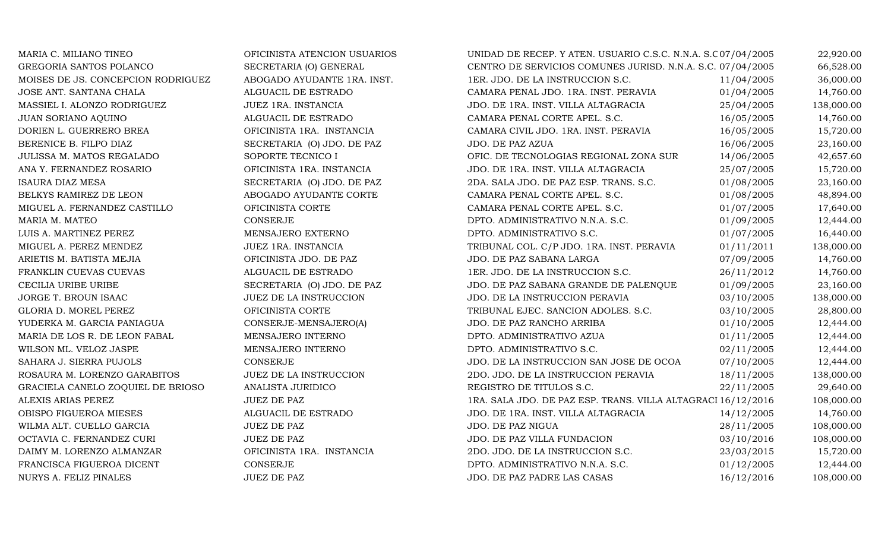| MARIA C. MILIANO TINEO             | OFICINISTA ATENCION USUARIOS | UNIDAD DE RECEP. Y ATEN. USUARIO C.S.C. N.N.A. S.C07/04/2005 |            | 22,920.00  |
|------------------------------------|------------------------------|--------------------------------------------------------------|------------|------------|
| GREGORIA SANTOS POLANCO            | SECRETARIA (O) GENERAL       | CENTRO DE SERVICIOS COMUNES JURISD. N.N.A. S.C. 07/04/2005   |            | 66,528.00  |
| MOISES DE JS. CONCEPCION RODRIGUEZ | ABOGADO AYUDANTE 1RA. INST.  | 1ER. JDO. DE LA INSTRUCCION S.C.                             | 11/04/2005 | 36,000.00  |
| JOSE ANT. SANTANA CHALA            | ALGUACIL DE ESTRADO          | CAMARA PENAL JDO. 1RA. INST. PERAVIA                         | 01/04/2005 | 14,760.00  |
| MASSIEL I. ALONZO RODRIGUEZ        | JUEZ 1RA. INSTANCIA          | JDO. DE 1RA. INST. VILLA ALTAGRACIA                          | 25/04/2005 | 138,000.00 |
| JUAN SORIANO AQUINO                | ALGUACIL DE ESTRADO          | CAMARA PENAL CORTE APEL. S.C.                                | 16/05/2005 | 14,760.00  |
| DORIEN L. GUERRERO BREA            | OFICINISTA 1RA. INSTANCIA    | CAMARA CIVIL JDO. 1RA. INST. PERAVIA                         | 16/05/2005 | 15,720.00  |
| BERENICE B. FILPO DIAZ             | SECRETARIA (O) JDO. DE PAZ   | JDO. DE PAZ AZUA                                             | 16/06/2005 | 23,160.00  |
| JULISSA M. MATOS REGALADO          | SOPORTE TECNICO I            | OFIC. DE TECNOLOGIAS REGIONAL ZONA SUR                       | 14/06/2005 | 42,657.60  |
| ANA Y. FERNANDEZ ROSARIO           | OFICINISTA 1RA. INSTANCIA    | JDO. DE 1RA. INST. VILLA ALTAGRACIA                          | 25/07/2005 | 15,720.00  |
| <b>ISAURA DIAZ MESA</b>            | SECRETARIA (O) JDO. DE PAZ   | 2DA. SALA JDO. DE PAZ ESP. TRANS. S.C.                       | 01/08/2005 | 23,160.00  |
| BELKYS RAMIREZ DE LEON             | ABOGADO AYUDANTE CORTE       | CAMARA PENAL CORTE APEL. S.C.                                | 01/08/2005 | 48,894.00  |
| MIGUEL A. FERNANDEZ CASTILLO       | OFICINISTA CORTE             | CAMARA PENAL CORTE APEL. S.C.                                | 01/07/2005 | 17,640.00  |
| MARIA M. MATEO                     | <b>CONSERJE</b>              | DPTO. ADMINISTRATIVO N.N.A. S.C.                             | 01/09/2005 | 12,444.00  |
| LUIS A. MARTINEZ PEREZ             | MENSAJERO EXTERNO            | DPTO. ADMINISTRATIVO S.C.                                    | 01/07/2005 | 16,440.00  |
| MIGUEL A. PEREZ MENDEZ             | JUEZ 1RA. INSTANCIA          | TRIBUNAL COL. C/P JDO. 1RA. INST. PERAVIA                    | 01/11/2011 | 138,000.00 |
| ARIETIS M. BATISTA MEJIA           | OFICINISTA JDO. DE PAZ       | JDO. DE PAZ SABANA LARGA                                     | 07/09/2005 | 14,760.00  |
| FRANKLIN CUEVAS CUEVAS             | ALGUACIL DE ESTRADO          | 1ER. JDO. DE LA INSTRUCCION S.C.                             | 26/11/2012 | 14,760.00  |
| CECILIA URIBE URIBE                | SECRETARIA (O) JDO. DE PAZ   | JDO. DE PAZ SABANA GRANDE DE PALENQUE                        | 01/09/2005 | 23,160.00  |
| JORGE T. BROUN ISAAC               | JUEZ DE LA INSTRUCCION       | JDO. DE LA INSTRUCCION PERAVIA                               | 03/10/2005 | 138,000.00 |
| GLORIA D. MOREL PEREZ              | OFICINISTA CORTE             | TRIBUNAL EJEC. SANCION ADOLES. S.C.                          | 03/10/2005 | 28,800.00  |
| YUDERKA M. GARCIA PANIAGUA         | CONSERJE-MENSAJERO(A)        | JDO. DE PAZ RANCHO ARRIBA                                    | 01/10/2005 | 12,444.00  |
| MARIA DE LOS R. DE LEON FABAL      | MENSAJERO INTERNO            | DPTO. ADMINISTRATIVO AZUA                                    | 01/11/2005 | 12,444.00  |
| WILSON ML. VELOZ JASPE             | MENSAJERO INTERNO            | DPTO. ADMINISTRATIVO S.C.                                    | 02/11/2005 | 12,444.00  |
| SAHARA J. SIERRA PUJOLS            | <b>CONSERJE</b>              | JDO. DE LA INSTRUCCION SAN JOSE DE OCOA                      | 07/10/2005 | 12,444.00  |
| ROSAURA M. LORENZO GARABITOS       | JUEZ DE LA INSTRUCCION       | 2DO. JDO. DE LA INSTRUCCION PERAVIA                          | 18/11/2005 | 138,000.00 |
| GRACIELA CANELO ZOQUIEL DE BRIOSO  | ANALISTA JURIDICO            | REGISTRO DE TITULOS S.C.                                     | 22/11/2005 | 29,640.00  |
| ALEXIS ARIAS PEREZ                 | <b>JUEZ DE PAZ</b>           | 1RA. SALA JDO. DE PAZ ESP. TRANS. VILLA ALTAGRACI 16/12/2016 |            | 108,000.00 |
| OBISPO FIGUEROA MIESES             | ALGUACIL DE ESTRADO          | JDO. DE 1RA. INST. VILLA ALTAGRACIA                          | 14/12/2005 | 14,760.00  |
| WILMA ALT. CUELLO GARCIA           | <b>JUEZ DE PAZ</b>           | JDO. DE PAZ NIGUA                                            | 28/11/2005 | 108,000.00 |
| OCTAVIA C. FERNANDEZ CURI          | <b>JUEZ DE PAZ</b>           | JDO. DE PAZ VILLA FUNDACION                                  | 03/10/2016 | 108,000.00 |
| DAIMY M. LORENZO ALMANZAR          | OFICINISTA 1RA. INSTANCIA    | 2DO. JDO. DE LA INSTRUCCION S.C.                             | 23/03/2015 | 15,720.00  |
| FRANCISCA FIGUEROA DICENT          | <b>CONSERJE</b>              | DPTO. ADMINISTRATIVO N.N.A. S.C.                             | 01/12/2005 | 12,444.00  |
| NURYS A. FELIZ PINALES             | <b>JUEZ DE PAZ</b>           | JDO. DE PAZ PADRE LAS CASAS                                  | 16/12/2016 | 108,000.00 |
|                                    |                              |                                                              |            |            |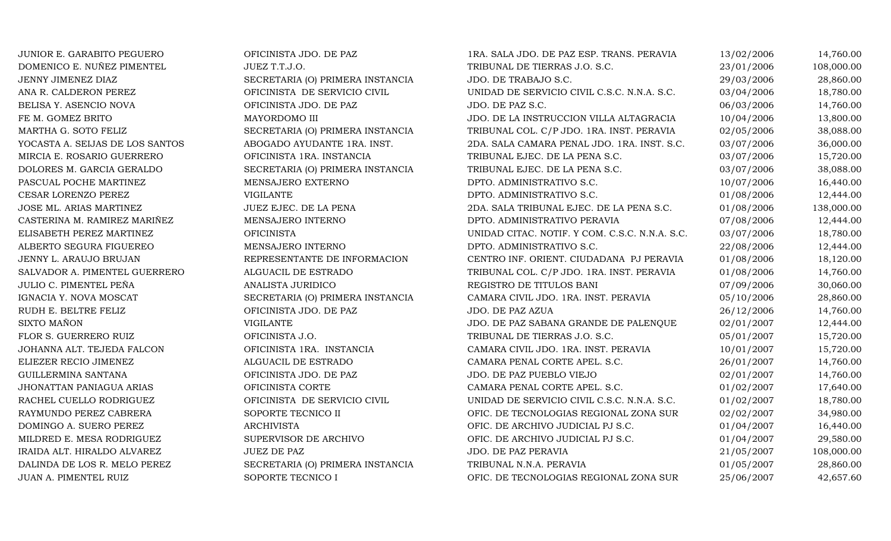JUNIOR E. GARABITO PEGUERO OFICINISTA JDO. DE PAZ 1RA. SALA JDO. DE PAZ ESP. TRANS. PERAVIA 13/02/2006 14,760.00 DOMENICO E. NUÑEZ PIMENTEL UNIVEZ T.T.J.O. TRIBUNAL DE TIERRAS J.O. S.C. 23/01/2006 108,000.00 JENNY JIMENEZ DIAZ SECRETARIA (O) PRIMERA INSTANCIA JDO. DE TRABAJO S.C. 29/03/2006 28,860.00 ANA R. CALDERON PEREZ OFICINISTA DE SERVICIO CIVIL UNIDAD DE SERVICIO CIVIL C.S.C. N.N.A. S.C. 03/04/2006 18,780.00 BELISA Y. ASENCIO NOVA OFICINISTA JDO. DE PAZ JDO. DE PAZ S.C. 06/03/2006 14,760.00 FE M. GOMEZ BRITO COMEZ BRITO MAYORDOMO III DO DE LA INSTRUCCION VILLA ALTAGRACIA 10/04/2006 13,800.00<br>MARTHA G. SOTO FELIZ SECRETARIA (O) PRIMERA INSTANCIA TRIBUNAL COL. C/P JDO. 1RA. INST. PERAVIA 02/05/2006 38.088.00 MARTHA G. SOTO FELIZ SECRETARIA (O) PRIMERA INSTANCIA TRIBUNAL COL. C/P JDO. 1RA. INST. PERAVIA 02/05/2006 38,088.00<br>2DA. SALA CAMARA PENAL JDO. 1RA. INST. S.C. 03/07/2006 36,000.00 YOCASTA A. SEIJAS DE LOS SANTOS ABOGADO AYUDANTE 1RA. INST. 2DA. SALA CAMARA PENAL JDO. 1RA. INST. S.C. 03/07/2006 36,000.00 MIRCIA E. ROSARIO GUERRERO COFICINISTA 1RA. INSTANCIA CORREGIA DE TRIBUNAL EJEC. DE LA PENA S.C. COMPOSTADO DE STRO DE 15,720.00 DOLORES M. GARCIA GERALDO SECRETARIA (O) PRIMERA INSTANCIA TRIBUNAL EJEC. DE LA PENA S.C.  $03/07/2006$  38,088.00<br>PASCUAL POCHE MARTINEZ MENSAJERO EXTERNO DPTO. ADMINISTRATIVO S.C. 10/07/2006 16,440.00 PASCUAL POCHE MARTINEZ CONSTRUINER MENSAJERO EXTERNO DE DE DETO. ADMINISTRATIVO S.C. LA CONSTRUINTER EN 10/07/2006 16,440.00 CESAR LORENZO PEREZ CHE VIGILANTE VIGILANTE DPTO. ADMINISTRATIVO S.C. 01/08/2006 12,444.00 JOSE ML. ARIAS MARTINEZ JUEZ EJEC. DE LA PENA 2DA. SALA TRIBUNAL EJEC. DE LA PENA S.C. 01/08/2006 138,000.00 CASTERINA M. RAMIREZ MARIÑEZ MENSAJERO INTERNO DE DPTO. ADMINISTRATIVO PERAVIA OT/08/2006 12,444.00 ELISABETH PEREZ MARTINEZ OFICINISTA UNIDAD CITAC. NOTIF. Y COM. C.S.C. N.N.A. S.C. 03/07/2006 18,780.00 ALBERTO SEGURA FIGUEREO MENSAJERO INTERNO DPTO. ADMINISTRATIVO S.C. 22/08/2006 12,444.00 JENNY L. ARAUJO BRUJAN REPRESENTANTE DE INFORMACION CENTRO INF. ORIENT. CIUDADANA PJ PERAVIA 01/08/2006 18,120.00 SALVADOR A. PIMENTEL GUERRERO ALGUACIL DE ESTRADO TRIBUNAL COL. C/P JDO. 1RA. INST. PERAVIA 01/08/2006 14,760.00 JULIO C. PIMENTEL PEÑA ANALISTA JURIDICO REGISTRO DE TITULOS BANI 07/09/2006 30,060.00 IGNACIA Y. NOVA MOSCAT SECRETARIA (O) PRIMERA INSTANCIA CAMARA CIVIL JDO. 1RA. INST. PERAVIA 05/10/2006 28,860.00<br>26/12/2006 14.760.00 0FICINISTA JDO. DE PAZ JDO. DE PAZ AZUA RUDH E. BELTRE FELIZ OFICINISTA JDO. DE PAZ JDO. DE PAZ AZUA 26/12/2006 14,760.00 SIXTO MAÑON VIGILANTE JDO. DE PAZ SABANA GRANDE DE PALENQUE 02/01/2007 12,444.00 FLOR S. GUERRERO RUIZ CHICINISTA J.O. TRIBUNAL DE TIERRAS J.O. S.C. 05/01/2007 15,720.00 JOHANNA ALT. TEJEDA FALCON OFICINISTA 1RA. INSTANCIA CAMARA CIVIL JDO. 1RA. INST. PERAVIA 10/01/2007 15,720.00 ELIEZER RECIO JIMENEZ ALGUACIL DE ESTRADO CAMARA PENAL CORTE APEL. S.C. 26/01/2007 14,760.00 GUILLERMINA SANTANA OFICINISTA JDO. DE PAZ JDO. DE PAZ PUEBLO VIEJO 02/01/2007 14,760.00 JHONATTAN PANIAGUA ARIAS CORTE OFICINISTA CORTE CAMARA PENAL CORTE APEL. S.C. 001/02/2007 17,640.00 RACHEL CUELLO RODRIGUEZ OFICINISTA DE SERVICIO CIVIL UNIDAD DE SERVICIO CIVIL C.S.C. N.N.A. S.C. 01/02/2007 18,780.00 RAYMUNDO PEREZ CABRERA SOPORTE TECNICO II OFIC. DE TECNOLOGIAS REGIONAL ZONA SUR 02/02/2007 34,980.00<br>DOMINGO A. SUERO PEREZ ARCHIVISTA ARCHIVISTA OFIC. DE ARCHIVO JUDICIAL PJ S.C. 01/04/2007 16,440.00 DOMINGO A. SUERO PEREZ ARCHIVISTA ARCHIVISTA OFIC. DE ARCHIVO JUDICIAL PJ S.C. 001/04/2007 16,440.00<br>MILDRED E. MESA RODRIGUEZ SUPERVISOR DE ARCHIVO OFIC. DE ARCHIVO JUDICIAL PJ S.C. 01/04/2007 29,580.00 MILDRED E. MESA RODRIGUEZ SUPERVISOR DE ARCHIVO OFIC. DE ARCHIVO JUDICIAL PJ S.C. 001/04/2007 29,580.00 IRAIDA ALT. HIRALDO ALVAREZ JUEZ DE PAZ SARANA JUO. DE PAZ PERAVIA 21/05/2007 108,000.00 DALINDA DE LOS R. MELO PEREZ SECRETARIA (O) PRIMERA INSTANCIA TRIBUNAL N.N.A. PERAVIA  $01/05/2007$  28,860.00<br>JUAN A. PIMENTEL RUIZ SOPORTE TECNICO I OFIC. DE TECNOLOGIAS REGIONAL ZONA SUR 25/06/2007 42,657.60 OFIC. DE TECNOLOGIAS REGIONAL ZONA SUR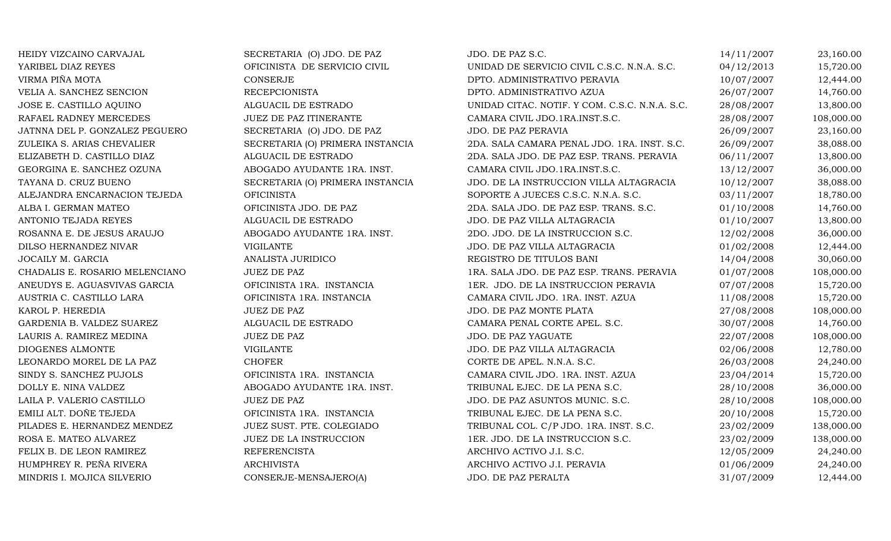| HEIDY VIZCAINO CARVAJAL        | SECRETARIA (O) JDO. DE PAZ       | JDO. DE PAZ S.C.                               | 14/11/2007 | 23,160.00  |
|--------------------------------|----------------------------------|------------------------------------------------|------------|------------|
| YARIBEL DIAZ REYES             | OFICINISTA DE SERVICIO CIVIL     | UNIDAD DE SERVICIO CIVIL C.S.C. N.N.A. S.C.    | 04/12/2013 | 15,720.00  |
| VIRMA PIÑA MOTA                | <b>CONSERJE</b>                  | DPTO. ADMINISTRATIVO PERAVIA                   | 10/07/2007 | 12,444.00  |
| VELIA A. SANCHEZ SENCION       | <b>RECEPCIONISTA</b>             | DPTO. ADMINISTRATIVO AZUA                      | 26/07/2007 | 14,760.00  |
| JOSE E. CASTILLO AQUINO        | ALGUACIL DE ESTRADO              | UNIDAD CITAC. NOTIF. Y COM. C.S.C. N.N.A. S.C. | 28/08/2007 | 13,800.00  |
| RAFAEL RADNEY MERCEDES         | JUEZ DE PAZ ITINERANTE           | CAMARA CIVIL JDO.1RA.INST.S.C.                 | 28/08/2007 | 108,000.00 |
| JATNNA DEL P. GONZALEZ PEGUERO | SECRETARIA (O) JDO. DE PAZ       | JDO. DE PAZ PERAVIA                            | 26/09/2007 | 23,160.00  |
| ZULEIKA S. ARIAS CHEVALIER     | SECRETARIA (O) PRIMERA INSTANCIA | 2DA. SALA CAMARA PENAL JDO. 1RA. INST. S.C.    | 26/09/2007 | 38,088.00  |
| ELIZABETH D. CASTILLO DIAZ     | ALGUACIL DE ESTRADO              | 2DA. SALA JDO. DE PAZ ESP. TRANS. PERAVIA      | 06/11/2007 | 13,800.00  |
| GEORGINA E. SANCHEZ OZUNA      | ABOGADO AYUDANTE 1RA. INST.      | CAMARA CIVIL JDO.1RA.INST.S.C.                 | 13/12/2007 | 36,000.00  |
| TAYANA D. CRUZ BUENO           | SECRETARIA (O) PRIMERA INSTANCIA | JDO. DE LA INSTRUCCION VILLA ALTAGRACIA        | 10/12/2007 | 38,088.00  |
| ALEJANDRA ENCARNACION TEJEDA   | <b>OFICINISTA</b>                | SOPORTE A JUECES C.S.C. N.N.A. S.C.            | 03/11/2007 | 18,780.00  |
| ALBA I. GERMAN MATEO           | OFICINISTA JDO. DE PAZ           | 2DA. SALA JDO. DE PAZ ESP. TRANS. S.C.         | 01/10/2008 | 14,760.00  |
| ANTONIO TEJADA REYES           | ALGUACIL DE ESTRADO              | JDO. DE PAZ VILLA ALTAGRACIA                   | 01/10/2007 | 13,800.00  |
| ROSANNA E. DE JESUS ARAUJO     | ABOGADO AYUDANTE 1RA. INST.      | 2DO. JDO. DE LA INSTRUCCION S.C.               | 12/02/2008 | 36,000.00  |
| DILSO HERNANDEZ NIVAR          | <b>VIGILANTE</b>                 | JDO. DE PAZ VILLA ALTAGRACIA                   | 01/02/2008 | 12,444.00  |
| JOCAILY M. GARCIA              | ANALISTA JURIDICO                | REGISTRO DE TITULOS BANI                       | 14/04/2008 | 30,060.00  |
| CHADALIS E. ROSARIO MELENCIANO | <b>JUEZ DE PAZ</b>               | 1RA. SALA JDO. DE PAZ ESP. TRANS. PERAVIA      | 01/07/2008 | 108,000.00 |
| ANEUDYS E. AGUASVIVAS GARCIA   | OFICINISTA 1RA. INSTANCIA        | 1ER. JDO. DE LA INSTRUCCION PERAVIA            | 07/07/2008 | 15,720.00  |
| AUSTRIA C. CASTILLO LARA       | OFICINISTA 1RA. INSTANCIA        | CAMARA CIVIL JDO. 1RA. INST. AZUA              | 11/08/2008 | 15,720.00  |
| KAROL P. HEREDIA               | <b>JUEZ DE PAZ</b>               | JDO. DE PAZ MONTE PLATA                        | 27/08/2008 | 108,000.00 |
| GARDENIA B. VALDEZ SUAREZ      | ALGUACIL DE ESTRADO              | CAMARA PENAL CORTE APEL. S.C.                  | 30/07/2008 | 14,760.00  |
| LAURIS A. RAMIREZ MEDINA       | JUEZ DE PAZ                      | JDO. DE PAZ YAGUATE                            | 22/07/2008 | 108,000.00 |
| DIOGENES ALMONTE               | <b>VIGILANTE</b>                 | JDO. DE PAZ VILLA ALTAGRACIA                   | 02/06/2008 | 12,780.00  |
| LEONARDO MOREL DE LA PAZ       | <b>CHOFER</b>                    | CORTE DE APEL. N.N.A. S.C.                     | 26/03/2008 | 24,240.00  |
| SINDY S. SANCHEZ PUJOLS        | OFICINISTA 1RA. INSTANCIA        | CAMARA CIVIL JDO. 1RA. INST. AZUA              | 23/04/2014 | 15,720.00  |
| DOLLY E. NINA VALDEZ           | ABOGADO AYUDANTE 1RA. INST.      | TRIBUNAL EJEC. DE LA PENA S.C.                 | 28/10/2008 | 36,000.00  |
| LAILA P. VALERIO CASTILLO      | <b>JUEZ DE PAZ</b>               | JDO. DE PAZ ASUNTOS MUNIC. S.C.                | 28/10/2008 | 108,000.00 |
| EMILI ALT. DOÑE TEJEDA         | OFICINISTA 1RA. INSTANCIA        | TRIBUNAL EJEC. DE LA PENA S.C.                 | 20/10/2008 | 15,720.00  |
| PILADES E. HERNANDEZ MENDEZ    | JUEZ SUST. PTE. COLEGIADO        | TRIBUNAL COL. C/P JDO. 1RA. INST. S.C.         | 23/02/2009 | 138,000.00 |
| ROSA E. MATEO ALVAREZ          | JUEZ DE LA INSTRUCCION           | 1ER. JDO. DE LA INSTRUCCION S.C.               | 23/02/2009 | 138,000.00 |
| FELIX B. DE LEON RAMIREZ       | <b>REFERENCISTA</b>              | ARCHIVO ACTIVO J.I. S.C.                       | 12/05/2009 | 24,240.00  |
| HUMPHREY R. PEÑA RIVERA        | <b>ARCHIVISTA</b>                | ARCHIVO ACTIVO J.I. PERAVIA                    | 01/06/2009 | 24,240.00  |
| MINDRIS I. MOJICA SILVERIO     | CONSERJE-MENSAJERO(A)            | JDO. DE PAZ PERALTA                            | 31/07/2009 | 12,444.00  |
|                                |                                  |                                                |            |            |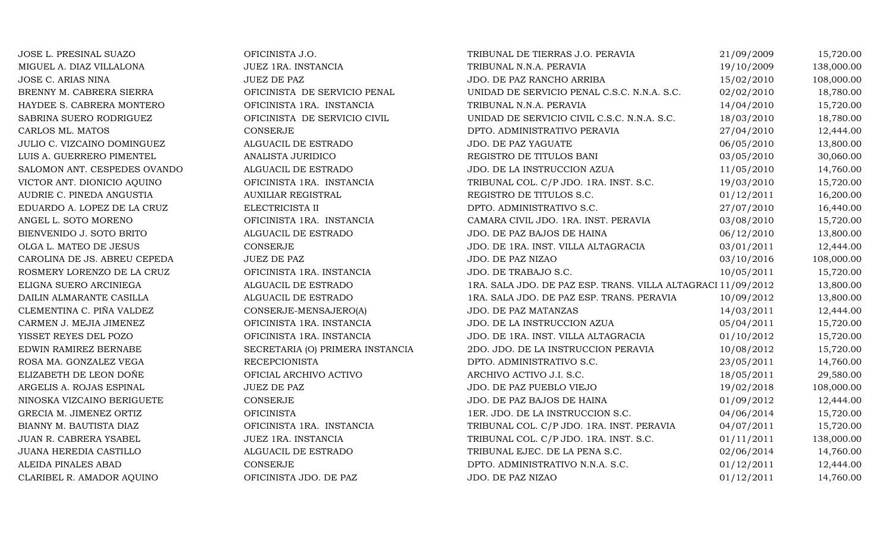JOSE L. PRESINAL SUAZO OFICINISTA J.O. TRIBUNAL DE TIERRAS J.O. PERAVIA 21/09/2009 15,720.00 MIGUEL A. DIAZ VILLALONA JUEZ 1RA. INSTANCIA TRIBUNAL N.N.A. PERAVIA 19/10/2009 138,000.00 JOSE C. ARIAS NINA JUEZ DE PAZ JUEZ DE PAZ SANCHO ARRIBA 15/02/2010 108,000.00 BRENNY M. CABRERA SIERRA OFICINISTA DE SERVICIO PENAL UNIDAD DE SERVICIO PENAL C.S.C. N.N.A. S.C. 02/02/2010 18,780.00<br>HAYDEE S. CABRERA MONTERO OFICINISTA 1RA. INSTANCIA TRIBUNAL N.N.A. PERAVIA 14/04/2010 15,720.00 HAYDEE S. CABRERA MONTERO OFICINISTA 1RA. INSTANCIA TRIBUNAL N.N.A. PERAVIA 14/04/2010 15,720.00 SABRINA SUERO RODRIGUEZ OFICINISTA DE SERVICIO CIVIL UNIDAD DE SERVICIO CIVIL C.S.C. N.N.A. S.C. 18/03/2010 18,780.00 CARLOS ML. MATOS CONSERJE CONSERIE DPTO. ADMINISTRATIVO PERAVIA 27/04/2010 12,444.00 JULIO C. VIZCAINO DOMINGUEZ ALGUACIL DE ESTRADO JDO. DE PAZ YAGUATE 166/05/2010 13,800.00 LUIS A. GUERRERO PIMENTEL ANALISTA JURIDICO REGISTRO DE TITULOS BANI 03/05/2010 30,060.00 SALOMON ANT. CESPEDES OVANDO ALGUACIL DE ESTRADO JDO. DE LA INSTRUCCION AZUA 11/05/2010 14,760.00 VICTOR ANT. DIONICIO AQUINO OFICINISTA 1RA. INSTANCIA TRIBUNAL COL. C/P JDO. 1RA. INST. S.C. 19/03/2010 15,720.00 AUDRIE C. PINEDA ANGUSTIA AUXILIAR REGISTRAL REGISTRO DE TITULOS S.C. 01/12/2011 16,200.00 EDUARDO A. LOPEZ DE LA CRUZ ELECTRICISTA II DPTO. ADMINISTRATIVO S.C. 27/07/2010 16,440.00 ANGEL L. SOTO MORENO OFICINISTA 1RA. INSTANCIA CAMARA CIVIL JDO. 1RA. INST. PERAVIA 03/08/2010 15,720.00 BIENVENIDO J. SOTO BRITO ALGUACIL DE ESTRADO JDO. DE PAZ BAJOS DE HAINA 06/12/2010 13,800.00 OLGA L. MATEO DE JESUS CONSERJE JDO. DE 1RA. INST. VILLA ALTAGRACIA 03/01/2011 12,444.00 CAROLINA DE JS. ABREU CEPEDA JUEZ DE PAZ JDO. DE PAZ NIZAO $03/10/2016$  108,000.00 ROSMERY LORENZO DE LA CRUZ CHE OFICINISTA 1RA. INSTANCIA JDO. DE TRABAJO S.C. 10/05/2011 15,720.00 ELIGNA SUERO ARCINIEGA ALGUACIL DE ESTRADO1RA. SALA JDO. DE PAZ ESP. TRANS. VILLA ALTAGRACI 11/09/2012 13,800.00<br>1RA. SALA JDO. DE PAZ ESP. TRANS. PERAVIA 10/09/2012 13,800.00 DAILIN ALMARANTE CASILLA ALGUACIL DE ESTRADO 1RA. SALA JDO. DE PAZ ESP. TRANS. PERAVIA 10/09/2012 13,800.00 CLEMENTINA C. PIÑA VALDEZ CONSERJE-MENSAJERO(A) JDO. DE PAZ MATANZAS 14/03/2011 12,444.00 CARMEN J. MEJIA JIMENEZ CHENISTA 1RA. INSTANCIA DE LA INSTRUCCION AZUA 15,720.00 YISSET REYES DEL POZO OFICINISTA 1RA. INSTANCIA JDO. DE 1RA. INST. VILLA ALTAGRACIA 01/10/2012 15,720.00 EDWIN RAMIREZ BERNABE SECRETARIA (O) PRIMERA INSTANCIA 2DO. JDO. DE LA INSTRUCCION PERAVIA 10/08/2012 15,720.00<br>ROSA MA. GONZALEZ VEGA RECEPCIONISTA DPTO. ADMINISTRATIVO S.C. 23/05/2011 14,760.00 ROSA MA. GONZALEZ VEGA RECEPCIONISTA DPTO. ADMINISTRATIVO S.C. 23/05/2011 14,760.00 ELIZABETH DE LEON DOÑE CHICIAL ARCHIVO ACTIVO ACTO ARCHIVO ACTIVO J.I. S.C. 18/05/2011 29,580.00 ARGELIS A. ROJAS ESPINAL JUEZ DE PAZ JDO. DE PAZ PUEBLO VIEJO 19/02/2018 108,000.00 NINOSKA VIZCAINO BERIGUETE CONSERJE CONSERJE JDO. DE PAZ BAJOS DE HAINA 01/09/2012 12,444.00 GRECIA M. JIMENEZ ORTIZ OFICINISTA 1ER. JDO. DE LA INSTRUCCION S.C. 04/06/2014 15,720.00 BIANNY M. BAUTISTA DIAZ OFICINISTA 1RA. INSTANCIA TRIBUNAL COL. C/P JDO. 1RA. INST. PERAVIA 04/07/2011 15,720.00 JUAN R. CABRERA YSABEL JUEZ 1RA. INSTANCIA TRIBUNAL COL. C/P JDO. 1RA. INST. S.C. 01/11/2011 138,000.00 JUANA HEREDIA CASTILLO ALGUACIL DE ESTRADO TRIBUNAL EJEC. DE LA PENA S.C. 02/06/2014 14,760.00 ALEIDA PINALES ABAD CONSERJE CONSERIE DPTO. ADMINISTRATIVO N.N.A. S.C. 001/12/2011 12,444.00 CLARIBEL R. AMADOR AQUINO OFICINISTA JDO. DE PAZ JDO. DE PAZ NIZAO $01/12/2011$  14,760.00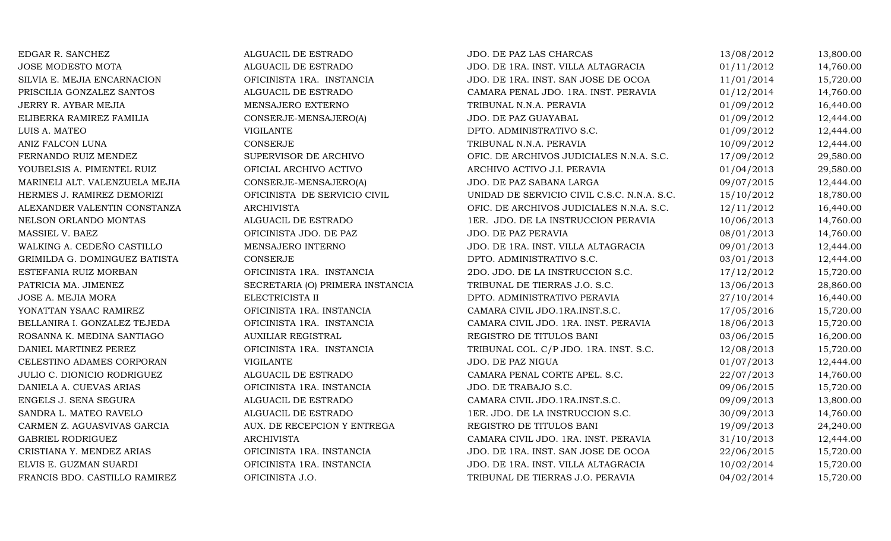| EDGAR R. SANCHEZ               | ALGUACIL DE ESTRADO              | JDO. DE PAZ LAS CHARCAS                     | 13/08/2012 | 13,800.00 |
|--------------------------------|----------------------------------|---------------------------------------------|------------|-----------|
| <b>JOSE MODESTO MOTA</b>       | ALGUACIL DE ESTRADO              | JDO. DE 1RA. INST. VILLA ALTAGRACIA         | 01/11/2012 | 14,760.00 |
| SILVIA E. MEJIA ENCARNACION    | OFICINISTA 1RA. INSTANCIA        | JDO. DE 1RA. INST. SAN JOSE DE OCOA         | 11/01/2014 | 15,720.00 |
| PRISCILIA GONZALEZ SANTOS      | ALGUACIL DE ESTRADO              | CAMARA PENAL JDO. 1RA. INST. PERAVIA        | 01/12/2014 | 14,760.00 |
| JERRY R. AYBAR MEJIA           | MENSAJERO EXTERNO                | TRIBUNAL N.N.A. PERAVIA                     | 01/09/2012 | 16,440.00 |
| ELIBERKA RAMIREZ FAMILIA       | CONSERJE-MENSAJERO(A)            | JDO. DE PAZ GUAYABAL                        | 01/09/2012 | 12,444.00 |
| LUIS A. MATEO                  | <b>VIGILANTE</b>                 | DPTO. ADMINISTRATIVO S.C.                   | 01/09/2012 | 12,444.00 |
| ANIZ FALCON LUNA               | CONSERJE                         | TRIBUNAL N.N.A. PERAVIA                     | 10/09/2012 | 12,444.00 |
| FERNANDO RUIZ MENDEZ           | SUPERVISOR DE ARCHIVO            | OFIC. DE ARCHIVOS JUDICIALES N.N.A. S.C.    | 17/09/2012 | 29,580.00 |
| YOUBELSIS A. PIMENTEL RUIZ     | OFICIAL ARCHIVO ACTIVO           | ARCHIVO ACTIVO J.I. PERAVIA                 | 01/04/2013 | 29,580.00 |
| MARINELI ALT. VALENZUELA MEJIA | CONSERJE-MENSAJERO(A)            | JDO. DE PAZ SABANA LARGA                    | 09/07/2015 | 12,444.00 |
| HERMES J. RAMIREZ DEMORIZI     | OFICINISTA DE SERVICIO CIVIL     | UNIDAD DE SERVICIO CIVIL C.S.C. N.N.A. S.C. | 15/10/2012 | 18,780.00 |
| ALEXANDER VALENTIN CONSTANZA   | <b>ARCHIVISTA</b>                | OFIC. DE ARCHIVOS JUDICIALES N.N.A. S.C.    | 12/11/2012 | 16,440.00 |
| NELSON ORLANDO MONTAS          | ALGUACIL DE ESTRADO              | 1ER. JDO. DE LA INSTRUCCION PERAVIA         | 10/06/2013 | 14,760.00 |
| MASSIEL V. BAEZ                | OFICINISTA JDO. DE PAZ           | JDO. DE PAZ PERAVIA                         | 08/01/2013 | 14,760.00 |
| WALKING A. CEDEÑO CASTILLO     | MENSAJERO INTERNO                | JDO. DE 1RA. INST. VILLA ALTAGRACIA         | 09/01/2013 | 12,444.00 |
| GRIMILDA G. DOMINGUEZ BATISTA  | CONSERJE                         | DPTO. ADMINISTRATIVO S.C.                   | 03/01/2013 | 12,444.00 |
| ESTEFANIA RUIZ MORBAN          | OFICINISTA 1RA. INSTANCIA        | 2DO. JDO. DE LA INSTRUCCION S.C.            | 17/12/2012 | 15,720.00 |
| PATRICIA MA. JIMENEZ           | SECRETARIA (O) PRIMERA INSTANCIA | TRIBUNAL DE TIERRAS J.O. S.C.               | 13/06/2013 | 28,860.00 |
| JOSE A. MEJIA MORA             | ELECTRICISTA II                  | DPTO. ADMINISTRATIVO PERAVIA                | 27/10/2014 | 16,440.00 |
| YONATTAN YSAAC RAMIREZ         | OFICINISTA 1RA. INSTANCIA        | CAMARA CIVIL JDO.1RA.INST.S.C.              | 17/05/2016 | 15,720.00 |
| BELLANIRA I. GONZALEZ TEJEDA   | OFICINISTA 1RA. INSTANCIA        | CAMARA CIVIL JDO. 1RA. INST. PERAVIA        | 18/06/2013 | 15,720.00 |
| ROSANNA K. MEDINA SANTIAGO     | <b>AUXILIAR REGISTRAL</b>        | REGISTRO DE TITULOS BANI                    | 03/06/2015 | 16,200.00 |
| DANIEL MARTINEZ PEREZ          | OFICINISTA 1RA. INSTANCIA        | TRIBUNAL COL. C/P JDO. 1RA. INST. S.C.      | 12/08/2013 | 15,720.00 |
| CELESTINO ADAMES CORPORAN      | <b>VIGILANTE</b>                 | JDO. DE PAZ NIGUA                           | 01/07/2013 | 12,444.00 |
| JULIO C. DIONICIO RODRIGUEZ    | ALGUACIL DE ESTRADO              | CAMARA PENAL CORTE APEL. S.C.               | 22/07/2013 | 14,760.00 |
| DANIELA A. CUEVAS ARIAS        | OFICINISTA 1RA. INSTANCIA        | JDO. DE TRABAJO S.C.                        | 09/06/2015 | 15,720.00 |
| ENGELS J. SENA SEGURA          | ALGUACIL DE ESTRADO              | CAMARA CIVIL JDO.1RA.INST.S.C.              | 09/09/2013 | 13,800.00 |
| SANDRA L. MATEO RAVELO         | ALGUACIL DE ESTRADO              | 1ER. JDO. DE LA INSTRUCCION S.C.            | 30/09/2013 | 14,760.00 |
| CARMEN Z. AGUASVIVAS GARCIA    | AUX. DE RECEPCION Y ENTREGA      | REGISTRO DE TITULOS BANI                    | 19/09/2013 | 24,240.00 |
| GABRIEL RODRIGUEZ              | <b>ARCHIVISTA</b>                | CAMARA CIVIL JDO. 1RA. INST. PERAVIA        | 31/10/2013 | 12,444.00 |
| CRISTIANA Y. MENDEZ ARIAS      | OFICINISTA 1RA. INSTANCIA        | JDO. DE 1RA. INST. SAN JOSE DE OCOA         | 22/06/2015 | 15,720.00 |
| ELVIS E. GUZMAN SUARDI         | OFICINISTA 1RA. INSTANCIA        | JDO. DE 1RA. INST. VILLA ALTAGRACIA         | 10/02/2014 | 15,720.00 |
| FRANCIS BDO. CASTILLO RAMIREZ  | OFICINISTA J.O.                  | TRIBUNAL DE TIERRAS J.O. PERAVIA            | 04/02/2014 | 15,720.00 |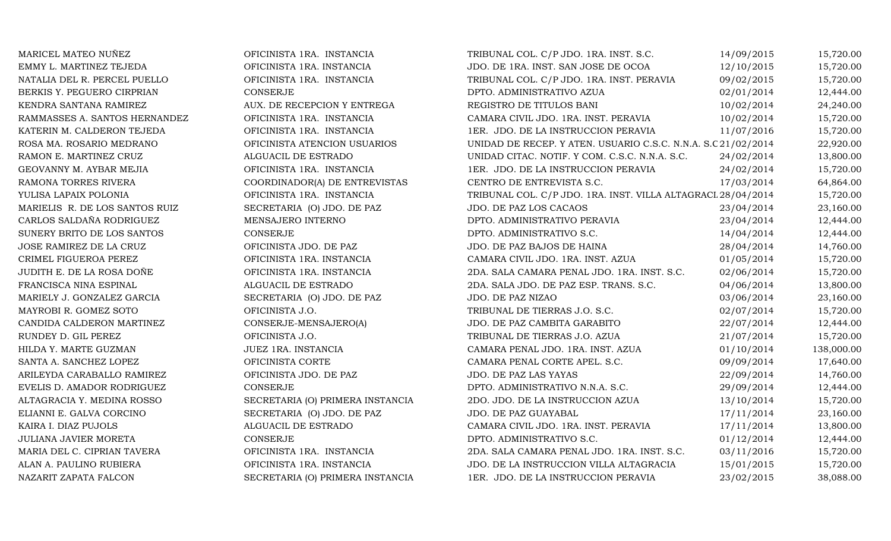| MARICEL MATEO NUÑEZ            | OFICINISTA 1RA. INSTANCIA        | TRIBUNAL COL. C/P JDO. 1RA. INST. S.C.                       | 14/09/2015 | 15,720.00  |
|--------------------------------|----------------------------------|--------------------------------------------------------------|------------|------------|
| EMMY L. MARTINEZ TEJEDA        | OFICINISTA 1RA. INSTANCIA        | JDO. DE 1RA. INST. SAN JOSE DE OCOA                          | 12/10/2015 | 15,720.00  |
| NATALIA DEL R. PERCEL PUELLO   | OFICINISTA 1RA. INSTANCIA        | TRIBUNAL COL. C/P JDO. 1RA. INST. PERAVIA                    | 09/02/2015 | 15,720.00  |
| BERKIS Y. PEGUERO CIRPRIAN     | CONSERJE                         | DPTO. ADMINISTRATIVO AZUA                                    | 02/01/2014 | 12,444.00  |
| KENDRA SANTANA RAMIREZ         | AUX. DE RECEPCION Y ENTREGA      | REGISTRO DE TITULOS BANI                                     | 10/02/2014 | 24,240.00  |
| RAMMASSES A. SANTOS HERNANDEZ  | OFICINISTA 1RA. INSTANCIA        | CAMARA CIVIL JDO. 1RA. INST. PERAVIA                         | 10/02/2014 | 15,720.00  |
| KATERIN M. CALDERON TEJEDA     | OFICINISTA 1RA. INSTANCIA        | 1ER. JDO. DE LA INSTRUCCION PERAVIA                          | 11/07/2016 | 15,720.00  |
| ROSA MA. ROSARIO MEDRANO       | OFICINISTA ATENCION USUARIOS     | UNIDAD DE RECEP. Y ATEN. USUARIO C.S.C. N.N.A. S.C21/02/2014 |            | 22,920.00  |
| RAMON E. MARTINEZ CRUZ         | ALGUACIL DE ESTRADO              | UNIDAD CITAC. NOTIF. Y COM. C.S.C. N.N.A. S.C.               | 24/02/2014 | 13,800.00  |
| GEOVANNY M. AYBAR MEJIA        | OFICINISTA 1RA. INSTANCIA        | 1ER. JDO. DE LA INSTRUCCION PERAVIA                          | 24/02/2014 | 15,720.00  |
| RAMONA TORRES RIVERA           | COORDINADOR(A) DE ENTREVISTAS    | CENTRO DE ENTREVISTA S.C.                                    | 17/03/2014 | 64,864.00  |
| YULISA LAPAIX POLONIA          | OFICINISTA 1RA. INSTANCIA        | TRIBUNAL COL. C/P JDO. 1RA. INST. VILLA ALTAGRACL 28/04/2014 |            | 15,720.00  |
| MARIELIS R. DE LOS SANTOS RUIZ | SECRETARIA (O) JDO. DE PAZ       | JDO. DE PAZ LOS CACAOS                                       | 23/04/2014 | 23,160.00  |
| CARLOS SALDAÑA RODRIGUEZ       | MENSAJERO INTERNO                | DPTO. ADMINISTRATIVO PERAVIA                                 | 23/04/2014 | 12,444.00  |
| SUNERY BRITO DE LOS SANTOS     | CONSERJE                         | DPTO. ADMINISTRATIVO S.C.                                    | 14/04/2014 | 12,444.00  |
| JOSE RAMIREZ DE LA CRUZ        | OFICINISTA JDO. DE PAZ           | JDO. DE PAZ BAJOS DE HAINA                                   | 28/04/2014 | 14,760.00  |
| CRIMEL FIGUEROA PEREZ          | OFICINISTA 1RA. INSTANCIA        | CAMARA CIVIL JDO. 1RA. INST. AZUA                            | 01/05/2014 | 15,720.00  |
| JUDITH E. DE LA ROSA DOÑE      | OFICINISTA 1RA. INSTANCIA        | 2DA. SALA CAMARA PENAL JDO. 1RA. INST. S.C.                  | 02/06/2014 | 15,720.00  |
| FRANCISCA NINA ESPINAL         | ALGUACIL DE ESTRADO              | 2DA. SALA JDO. DE PAZ ESP. TRANS. S.C.                       | 04/06/2014 | 13,800.00  |
| MARIELY J. GONZALEZ GARCIA     | SECRETARIA (O) JDO. DE PAZ       | JDO. DE PAZ NIZAO                                            | 03/06/2014 | 23,160.00  |
| MAYROBI R. GOMEZ SOTO          | OFICINISTA J.O.                  | TRIBUNAL DE TIERRAS J.O. S.C.                                | 02/07/2014 | 15,720.00  |
| CANDIDA CALDERON MARTINEZ      | CONSERJE-MENSAJERO(A)            | JDO. DE PAZ CAMBITA GARABITO                                 | 22/07/2014 | 12,444.00  |
| RUNDEY D. GIL PEREZ            | OFICINISTA J.O.                  | TRIBUNAL DE TIERRAS J.O. AZUA                                | 21/07/2014 | 15,720.00  |
| HILDA Y. MARTE GUZMAN          | JUEZ 1RA. INSTANCIA              | CAMARA PENAL JDO. 1RA. INST. AZUA                            | 01/10/2014 | 138,000.00 |
| SANTA A. SANCHEZ LOPEZ         | OFICINISTA CORTE                 | CAMARA PENAL CORTE APEL. S.C.                                | 09/09/2014 | 17,640.00  |
| ARILEYDA CARABALLO RAMIREZ     | OFICINISTA JDO. DE PAZ           | JDO. DE PAZ LAS YAYAS                                        | 22/09/2014 | 14,760.00  |
| EVELIS D. AMADOR RODRIGUEZ     | CONSERJE                         | DPTO. ADMINISTRATIVO N.N.A. S.C.                             | 29/09/2014 | 12,444.00  |
| ALTAGRACIA Y. MEDINA ROSSO     | SECRETARIA (O) PRIMERA INSTANCIA | 2DO. JDO. DE LA INSTRUCCION AZUA                             | 13/10/2014 | 15,720.00  |
| ELIANNI E. GALVA CORCINO       | SECRETARIA (O) JDO. DE PAZ       | JDO. DE PAZ GUAYABAL                                         | 17/11/2014 | 23,160.00  |
| KAIRA I. DIAZ PUJOLS           | ALGUACIL DE ESTRADO              | CAMARA CIVIL JDO. 1RA. INST. PERAVIA                         | 17/11/2014 | 13,800.00  |
| JULIANA JAVIER MORETA          | CONSERJE                         | DPTO. ADMINISTRATIVO S.C.                                    | 01/12/2014 | 12,444.00  |
| MARIA DEL C. CIPRIAN TAVERA    | OFICINISTA 1RA. INSTANCIA        | 2DA. SALA CAMARA PENAL JDO. 1RA. INST. S.C.                  | 03/11/2016 | 15,720.00  |
| ALAN A. PAULINO RUBIERA        | OFICINISTA 1RA. INSTANCIA        | JDO. DE LA INSTRUCCION VILLA ALTAGRACIA                      | 15/01/2015 | 15,720.00  |
| NAZARIT ZAPATA FALCON          | SECRETARIA (O) PRIMERA INSTANCIA | 1ER. JDO. DE LA INSTRUCCION PERAVIA                          | 23/02/2015 | 38,088.00  |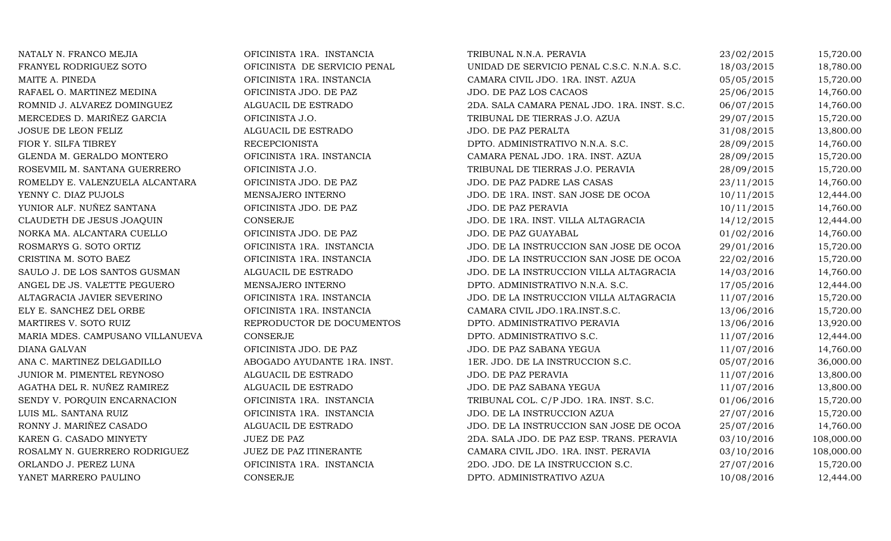| NATALY N. FRANCO MEJIA           | OFICINISTA 1RA. INSTANCIA    | TRIBUNAL N.N.A. PERAVIA                     | 23/02/2015 | 15,720.00  |
|----------------------------------|------------------------------|---------------------------------------------|------------|------------|
| FRANYEL RODRIGUEZ SOTO           | OFICINISTA DE SERVICIO PENAL | UNIDAD DE SERVICIO PENAL C.S.C. N.N.A. S.C. | 18/03/2015 | 18,780.00  |
| MAITE A. PINEDA                  | OFICINISTA 1RA. INSTANCIA    | CAMARA CIVIL JDO. 1RA. INST. AZUA           | 05/05/2015 | 15,720.00  |
| RAFAEL O. MARTINEZ MEDINA        | OFICINISTA JDO. DE PAZ       | JDO. DE PAZ LOS CACAOS                      | 25/06/2015 | 14,760.00  |
| ROMNID J. ALVAREZ DOMINGUEZ      | ALGUACIL DE ESTRADO          | 2DA. SALA CAMARA PENAL JDO. 1RA. INST. S.C. | 06/07/2015 | 14,760.00  |
| MERCEDES D. MARIÑEZ GARCIA       | OFICINISTA J.O.              | TRIBUNAL DE TIERRAS J.O. AZUA               | 29/07/2015 | 15,720.00  |
| JOSUE DE LEON FELIZ              | ALGUACIL DE ESTRADO          | JDO. DE PAZ PERALTA                         | 31/08/2015 | 13,800.00  |
| FIOR Y. SILFA TIBREY             | <b>RECEPCIONISTA</b>         | DPTO. ADMINISTRATIVO N.N.A. S.C.            | 28/09/2015 | 14,760.00  |
| GLENDA M. GERALDO MONTERO        | OFICINISTA 1RA. INSTANCIA    | CAMARA PENAL JDO. 1RA. INST. AZUA           | 28/09/2015 | 15,720.00  |
| ROSEVMIL M. SANTANA GUERRERO     | OFICINISTA J.O.              | TRIBUNAL DE TIERRAS J.O. PERAVIA            | 28/09/2015 | 15,720.00  |
| ROMELDY E. VALENZUELA ALCANTARA  | OFICINISTA JDO. DE PAZ       | JDO. DE PAZ PADRE LAS CASAS                 | 23/11/2015 | 14,760.00  |
| YENNY C. DIAZ PUJOLS             | MENSAJERO INTERNO            | JDO. DE 1RA. INST. SAN JOSE DE OCOA         | 10/11/2015 | 12,444.00  |
| YUNIOR ALF. NUÑEZ SANTANA        | OFICINISTA JDO. DE PAZ       | JDO. DE PAZ PERAVIA                         | 10/11/2015 | 14,760.00  |
| CLAUDETH DE JESUS JOAQUIN        | CONSERJE                     | JDO. DE 1RA. INST. VILLA ALTAGRACIA         | 14/12/2015 | 12,444.00  |
| NORKA MA. ALCANTARA CUELLO       | OFICINISTA JDO. DE PAZ       | JDO. DE PAZ GUAYABAL                        | 01/02/2016 | 14,760.00  |
| ROSMARYS G. SOTO ORTIZ           | OFICINISTA 1RA. INSTANCIA    | JDO. DE LA INSTRUCCION SAN JOSE DE OCOA     | 29/01/2016 | 15,720.00  |
| CRISTINA M. SOTO BAEZ            | OFICINISTA 1RA. INSTANCIA    | JDO. DE LA INSTRUCCION SAN JOSE DE OCOA     | 22/02/2016 | 15,720.00  |
| SAULO J. DE LOS SANTOS GUSMAN    | ALGUACIL DE ESTRADO          | JDO. DE LA INSTRUCCION VILLA ALTAGRACIA     | 14/03/2016 | 14,760.00  |
| ANGEL DE JS. VALETTE PEGUERO     | MENSAJERO INTERNO            | DPTO. ADMINISTRATIVO N.N.A. S.C.            | 17/05/2016 | 12,444.00  |
| ALTAGRACIA JAVIER SEVERINO       | OFICINISTA 1RA. INSTANCIA    | JDO. DE LA INSTRUCCION VILLA ALTAGRACIA     | 11/07/2016 | 15,720.00  |
| ELY E. SANCHEZ DEL ORBE          | OFICINISTA 1RA. INSTANCIA    | CAMARA CIVIL JDO.1RA.INST.S.C.              | 13/06/2016 | 15,720.00  |
| MARTIRES V. SOTO RUIZ            | REPRODUCTOR DE DOCUMENTOS    | DPTO. ADMINISTRATIVO PERAVIA                | 13/06/2016 | 13,920.00  |
| MARIA MDES. CAMPUSANO VILLANUEVA | CONSERJE                     | DPTO. ADMINISTRATIVO S.C.                   | 11/07/2016 | 12,444.00  |
| DIANA GALVAN                     | OFICINISTA JDO. DE PAZ       | JDO. DE PAZ SABANA YEGUA                    | 11/07/2016 | 14,760.00  |
| ANA C. MARTINEZ DELGADILLO       | ABOGADO AYUDANTE 1RA. INST.  | 1ER. JDO. DE LA INSTRUCCION S.C.            | 05/07/2016 | 36,000.00  |
| JUNIOR M. PIMENTEL REYNOSO       | ALGUACIL DE ESTRADO          | JDO. DE PAZ PERAVIA                         | 11/07/2016 | 13,800.00  |
| AGATHA DEL R. NUÑEZ RAMIREZ      | ALGUACIL DE ESTRADO          | JDO. DE PAZ SABANA YEGUA                    | 11/07/2016 | 13,800.00  |
| SENDY V. PORQUIN ENCARNACION     | OFICINISTA 1RA. INSTANCIA    | TRIBUNAL COL. C/P JDO. 1RA. INST. S.C.      | 01/06/2016 | 15,720.00  |
| LUIS ML. SANTANA RUIZ            | OFICINISTA 1RA. INSTANCIA    | JDO. DE LA INSTRUCCION AZUA                 | 27/07/2016 | 15,720.00  |
| RONNY J. MARIÑEZ CASADO          | ALGUACIL DE ESTRADO          | JDO. DE LA INSTRUCCION SAN JOSE DE OCOA     | 25/07/2016 | 14,760.00  |
| KAREN G. CASADO MINYETY          | JUEZ DE PAZ                  | 2DA. SALA JDO. DE PAZ ESP. TRANS. PERAVIA   | 03/10/2016 | 108,000.00 |
| ROSALMY N. GUERRERO RODRIGUEZ    | JUEZ DE PAZ ITINERANTE       | CAMARA CIVIL JDO. 1RA. INST. PERAVIA        | 03/10/2016 | 108,000.00 |
| ORLANDO J. PEREZ LUNA            | OFICINISTA 1RA. INSTANCIA    | 2DO. JDO. DE LA INSTRUCCION S.C.            | 27/07/2016 | 15,720.00  |
| YANET MARRERO PAULINO            | <b>CONSERJE</b>              | DPTO. ADMINISTRATIVO AZUA                   | 10/08/2016 | 12,444.00  |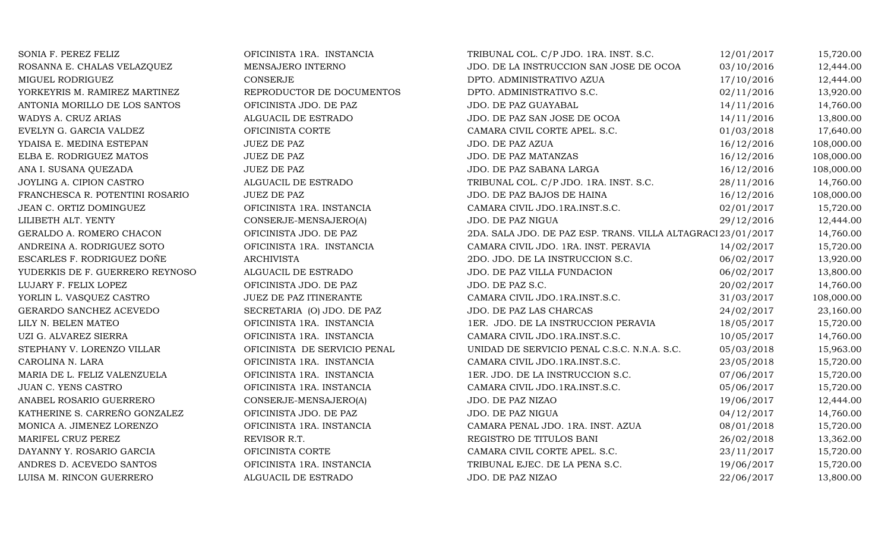| SONIA F. PEREZ FELIZ            | OFICINISTA 1RA. INSTANCIA    | TRIBUNAL COL. C/P JDO. 1RA. INST. S.C.                       | 12/01/2017 | 15,720.00  |
|---------------------------------|------------------------------|--------------------------------------------------------------|------------|------------|
| ROSANNA E. CHALAS VELAZQUEZ     | MENSAJERO INTERNO            | JDO. DE LA INSTRUCCION SAN JOSE DE OCOA                      | 03/10/2016 | 12,444.00  |
| MIGUEL RODRIGUEZ                | CONSERJE                     | DPTO. ADMINISTRATIVO AZUA                                    | 17/10/2016 | 12,444.00  |
| YORKEYRIS M. RAMIREZ MARTINEZ   | REPRODUCTOR DE DOCUMENTOS    | DPTO. ADMINISTRATIVO S.C.                                    | 02/11/2016 | 13,920.00  |
| ANTONIA MORILLO DE LOS SANTOS   | OFICINISTA JDO. DE PAZ       | JDO. DE PAZ GUAYABAL                                         | 14/11/2016 | 14,760.00  |
| WADYS A. CRUZ ARIAS             | ALGUACIL DE ESTRADO          | JDO. DE PAZ SAN JOSE DE OCOA                                 | 14/11/2016 | 13,800.00  |
| EVELYN G. GARCIA VALDEZ         | OFICINISTA CORTE             | CAMARA CIVIL CORTE APEL. S.C.                                | 01/03/2018 | 17,640.00  |
| YDAISA E. MEDINA ESTEPAN        | <b>JUEZ DE PAZ</b>           | JDO. DE PAZ AZUA                                             | 16/12/2016 | 108,000.00 |
| ELBA E. RODRIGUEZ MATOS         | JUEZ DE PAZ                  | JDO. DE PAZ MATANZAS                                         | 16/12/2016 | 108,000.00 |
| ANA I. SUSANA QUEZADA           | <b>JUEZ DE PAZ</b>           | JDO. DE PAZ SABANA LARGA                                     | 16/12/2016 | 108,000.00 |
| JOYLING A. CIPION CASTRO        | ALGUACIL DE ESTRADO          | TRIBUNAL COL. C/P JDO. 1RA. INST. S.C.                       | 28/11/2016 | 14,760.00  |
| FRANCHESCA R. POTENTINI ROSARIO | <b>JUEZ DE PAZ</b>           | JDO. DE PAZ BAJOS DE HAINA                                   | 16/12/2016 | 108,000.00 |
| JEAN C. ORTIZ DOMINGUEZ         | OFICINISTA 1RA. INSTANCIA    | CAMARA CIVIL JDO.1RA.INST.S.C.                               | 02/01/2017 | 15,720.00  |
| LILIBETH ALT. YENTY             | CONSERJE-MENSAJERO(A)        | JDO. DE PAZ NIGUA                                            | 29/12/2016 | 12,444.00  |
| GERALDO A. ROMERO CHACON        | OFICINISTA JDO. DE PAZ       | 2DA. SALA JDO. DE PAZ ESP. TRANS. VILLA ALTAGRACI 23/01/2017 |            | 14,760.00  |
| ANDREINA A. RODRIGUEZ SOTO      | OFICINISTA 1RA. INSTANCIA    | CAMARA CIVIL JDO. 1RA. INST. PERAVIA                         | 14/02/2017 | 15,720.00  |
| ESCARLES F. RODRIGUEZ DOÑE      | <b>ARCHIVISTA</b>            | 2DO. JDO. DE LA INSTRUCCION S.C.                             | 06/02/2017 | 13,920.00  |
| YUDERKIS DE F. GUERRERO REYNOSO | ALGUACIL DE ESTRADO          | JDO. DE PAZ VILLA FUNDACION                                  | 06/02/2017 | 13,800.00  |
| LUJARY F. FELIX LOPEZ           | OFICINISTA JDO. DE PAZ       | JDO. DE PAZ S.C.                                             | 20/02/2017 | 14,760.00  |
| YORLIN L. VASQUEZ CASTRO        | JUEZ DE PAZ ITINERANTE       | CAMARA CIVIL JDO.1RA.INST.S.C.                               | 31/03/2017 | 108,000.00 |
| GERARDO SANCHEZ ACEVEDO         | SECRETARIA (O) JDO. DE PAZ   | JDO. DE PAZ LAS CHARCAS                                      | 24/02/2017 | 23,160.00  |
| LILY N. BELEN MATEO             | OFICINISTA 1RA. INSTANCIA    | 1ER. JDO. DE LA INSTRUCCION PERAVIA                          | 18/05/2017 | 15,720.00  |
| UZI G. ALVAREZ SIERRA           | OFICINISTA 1RA. INSTANCIA    | CAMARA CIVIL JDO.1RA.INST.S.C.                               | 10/05/2017 | 14,760.00  |
| STEPHANY V. LORENZO VILLAR      | OFICINISTA DE SERVICIO PENAL | UNIDAD DE SERVICIO PENAL C.S.C. N.N.A. S.C.                  | 05/03/2018 | 15,963.00  |
| CAROLINA N. LARA                | OFICINISTA 1RA. INSTANCIA    | CAMARA CIVIL JDO.1RA.INST.S.C.                               | 23/05/2018 | 15,720.00  |
| MARIA DE L. FELIZ VALENZUELA    | OFICINISTA 1RA. INSTANCIA    | 1ER. JDO. DE LA INSTRUCCION S.C.                             | 07/06/2017 | 15,720.00  |
| JUAN C. YENS CASTRO             | OFICINISTA 1RA. INSTANCIA    | CAMARA CIVIL JDO.1RA.INST.S.C.                               | 05/06/2017 | 15,720.00  |
| ANABEL ROSARIO GUERRERO         | CONSERJE-MENSAJERO(A)        | JDO. DE PAZ NIZAO                                            | 19/06/2017 | 12,444.00  |
| KATHERINE S. CARREÑO GONZALEZ   | OFICINISTA JDO. DE PAZ       | JDO. DE PAZ NIGUA                                            | 04/12/2017 | 14,760.00  |
| MONICA A. JIMENEZ LORENZO       | OFICINISTA 1RA. INSTANCIA    | CAMARA PENAL JDO. 1RA. INST. AZUA                            | 08/01/2018 | 15,720.00  |
| MARIFEL CRUZ PEREZ              | REVISOR R.T.                 | REGISTRO DE TITULOS BANI                                     | 26/02/2018 | 13,362.00  |
| DAYANNY Y. ROSARIO GARCIA       | OFICINISTA CORTE             | CAMARA CIVIL CORTE APEL. S.C.                                | 23/11/2017 | 15,720.00  |
| ANDRES D. ACEVEDO SANTOS        | OFICINISTA 1RA. INSTANCIA    | TRIBUNAL EJEC. DE LA PENA S.C.                               | 19/06/2017 | 15,720.00  |
| LUISA M. RINCON GUERRERO        | ALGUACIL DE ESTRADO          | JDO. DE PAZ NIZAO                                            | 22/06/2017 | 13,800.00  |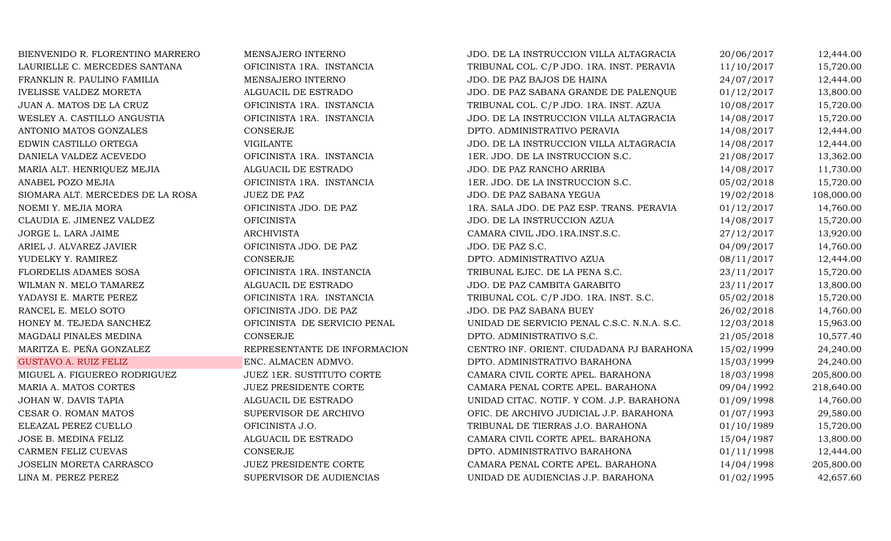BIENVENIDO R. FLORENTINO MARRERO MENSAJERO INTERNO JDO. DE LA INSTRUCCION VILLA ALTAGRACIA 20/06/2017 12,444.00<br>LAURIELLE C. MERCEDES SANTANA OFICINISTA 1RA. INSTANCIA TRIBUNAL COL. C/P JDO. 1RA. INST. PERAVIA 11/10/2017 1 LAURIELLE C. MERCEDES SANTANA OFICINISTA 1RA. INSTANCIA TRIBUNAL COL. C/P JDO. 1RA. INST. PERAVIA 11/10/2017 15,720.00<br>FRANKLIN R. PAULINO FAMILIA MENSAJERO INTERNO JDO. DE PAZ BAJOS DE HAINA 24/07/2017 12,444.00 FRANKLIN R. PAULINO FAMILIA MENSAJERO INTERNO JDO. DE PAZ BAJOS DE HAINA 24/07/2017 12,444.00 IVELISSE VALDEZ MORETA ALGUACIL DE ESTRADO JDO. DE PAZ SABANA GRANDE DE PALENQUE 01/12/2017 13,800.00 JUAN A. MATOS DE LA CRUZ OFICINISTA 1RA. INSTANCIA TRIBUNAL COL. C/P JDO. 1RA. INST. AZUA 10/08/2017 15,720.00 WESLEY A. CASTILLO ANGUSTIA OFICINISTA 1RA. INSTANCIA JDO. DE LA INSTRUCCION VILLA ALTAGRACIA 14/08/2017 15,720.00 ANTONIO MATOS GONZALES CONSERJE CONSERIE DPTO. ADMINISTRATIVO PERAVIA 14/08/2017 12,444.00 EDWIN CASTILLO ORTEGA VIGILANTE JDO. DE LA INSTRUCCION VILLA ALTAGRACIA 14/08/2017 12,444.00 DANIELA VALDEZ ACEVEDO CHICINISTA 1RA. INSTANCIA 1ER. JDO. DE LA INSTRUCCION S.C. 21/08/2017 13,362.00 MARIA ALT. HENRIQUEZ MEJIA ALGUACIL DE ESTRADO JDO. DE PAZ RANCHO ARRIBA 14/08/2017 11,730.00 ANABEL POZO MEJIA NEURA DE LA OFICINISTA 1RA. INSTANCIA 1ER. JDO. DE LA INSTRUCCION S.C. OS/02/2018 15,720.00 SIOMARA ALT. MERCEDES DE LA ROSA JUEZ DE PAZ DE PAZ SALA JDO. DE PAZ SABANA YEGUA 19/02/2018 108,000.00<br>14.760.00 OFICINISTA JDO. DE PAZ 1RA. SALA JDO. DE PAZ ESP. TRANS. PERAVIA 11/2/2017 14.760.00 NOEMI Y. MEJIA MORA OFICINISTA JDO. DE PAZ 1RA. SALA JDO. DE PAZ ESP. TRANS. PERAVIA 01/12/2017 14,760.00 CLAUDIA E. JIMENEZ VALDEZ CHICINISTA OFICINISTA DE LA INSTRUCCION AZUA 14/08/2017 15,720.00 JORGE L. LARA JAIME ARCHIVISTA CAMARA CIVIL JDO.1RA.INST.S.C. 27/12/2017 13,920.00 ARIEL J. ALVAREZ JAVIER CHICINISTA JDO. DE PAZ JDO. DE PAZ S.C. OPORTO 14,760.00 YUDELKY Y. RAMIREZ CONSERJE CONSERJE DPTO. ADMINISTRATIVO AZUA 08/11/2017 12,444.00 FLORDELIS ADAMES SOSA CHENISTA 1RA. INSTANCIA TRIBUNAL EJEC. DE LA PENA S.C. 23/11/2017 15,720.00 WILMAN N. MELO TAMAREZ ALGUACIL DE ESTRADO JDO. DE PAZ CAMBITA GARABITO 23/11/2017 13,800.00 YADAYSI E. MARTE PEREZ OFICINISTA 1RA. INSTANCIA TRIBUNAL COL. C/P JDO. 1RA. INST. S.C. 05/02/2018 15,720.00 RANCEL E. MELO SOTO CHICINISTA JDO. DE PAZ JDO. DE PAZ SABANA BUEY 26/02/2018 14,760.00 HONEY M. TEJEDA SANCHEZ OFICINISTA DE SERVICIO PENAL UNIDAD DE SERVICIO PENAL C.S.C. N.N.A. S.C. 12/03/2018 15,963.00 MAGDALI PINALES MEDINA CONSERJE DPTO. ADMINISTRATIVO S.C. 21/05/2018 10,577.40 MARITZA E. PEÑA GONZALEZ REPRESENTANTE DE INFORMACION CENTRO INF. ORIENT. CIUDADANA PJ BARAHONA 15/02/1999 24,240.00 GUSTAVO A. RUIZ FELIZ ENC. ALMACEN ADMVO. DPTO. ADMINISTRATIVO BARAHONA 15/03/1999 24,240.00 MIGUEL A. FIGUEREO RODRIGUEZ JUEZ 1ER. SUSTITUTO CORTE CAMARA CIVIL CORTE APEL. BARAHONA 18/03/1998 205,800.00 MARIA A. MATOS CORTES JUEZ PRESIDENTE CORTE CAMARA PENAL CORTE APEL. BARAHONA 09/04/1992 218,640.00 JOHAN W. DAVIS TAPIA ALGUACIL DE ESTRADO UNIDAD CITAC. NOTIF. Y COM. J.P. BARAHONA 01/09/1998 14,760.00 CESAR O. ROMAN MATOS CONSUMERVISOR DE ARCHIVO CORIC. DE ARCHIVO JUDICIAL J.P. BARAHONA COMAN A CONSULTO 1993 29,580.00<br>CONSULTATION CONSULTATION CONSULTION CONSULTANCE TERRAS J.O. BARAHONA COM 15,720.00 ELEAZAL PEREZ CUELLO OFICINISTA J.O. TRIBUNAL DE TIERRAS J.O. BARAHONA 01/10/1989 15,720.00 JOSE B. MEDINA FELIZ ALGUACIL DE ESTRADO CAMARA CIVIL CORTE APEL. BARAHONA 15/04/1987 13,800.00 CARMEN FELIZ CUEVAS CONSERJE CONSERIE DPTO. ADMINISTRATIVO BARAHONA 01/11/1998 12,444.00 JOSELIN MORETA CARRASCO JUEZ PRESIDENTE CORTE CORTE CAMARA PENAL CORTE APEL. BARAHONA 14/04/1998 205,800.00<br>LINA M. PEREZ PEREZ ST.60 SUPERVISOR DE AUDIENCIAS UNIDAD DE AUDIENCIAS J.P. BARAHONA 01/02/1995 42,657.60 UNIDAD DE AUDIENCIAS J.P. BARAHONA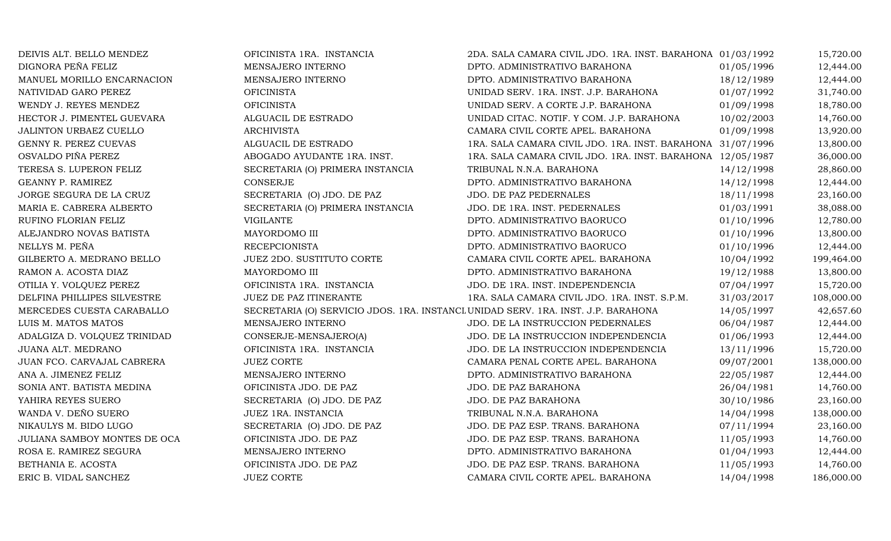| DEIVIS ALT. BELLO MENDEZ     | OFICINISTA 1RA. INSTANCIA                                                         | 2DA. SALA CAMARA CIVIL JDO. 1RA. INST. BARAHONA 01/03/1992 |            | 15,720.00  |
|------------------------------|-----------------------------------------------------------------------------------|------------------------------------------------------------|------------|------------|
| DIGNORA PEÑA FELIZ           | MENSAJERO INTERNO                                                                 | DPTO. ADMINISTRATIVO BARAHONA                              | 01/05/1996 | 12,444.00  |
| MANUEL MORILLO ENCARNACION   | MENSAJERO INTERNO                                                                 | DPTO. ADMINISTRATIVO BARAHONA                              | 18/12/1989 | 12,444.00  |
| NATIVIDAD GARO PEREZ         | <b>OFICINISTA</b>                                                                 | UNIDAD SERV. 1RA. INST. J.P. BARAHONA                      | 01/07/1992 | 31,740.00  |
| WENDY J. REYES MENDEZ        | <b>OFICINISTA</b>                                                                 | UNIDAD SERV. A CORTE J.P. BARAHONA                         | 01/09/1998 | 18,780.00  |
| HECTOR J. PIMENTEL GUEVARA   | ALGUACIL DE ESTRADO                                                               | UNIDAD CITAC. NOTIF. Y COM. J.P. BARAHONA                  | 10/02/2003 | 14,760.00  |
| JALINTON URBAEZ CUELLO       | <b>ARCHIVISTA</b>                                                                 | CAMARA CIVIL CORTE APEL. BARAHONA                          | 01/09/1998 | 13,920.00  |
| GENNY R. PEREZ CUEVAS        | ALGUACIL DE ESTRADO                                                               | 1RA. SALA CAMARA CIVIL JDO. 1RA. INST. BARAHONA 31/07/1996 |            | 13,800.00  |
| OSVALDO PIÑA PEREZ           | ABOGADO AYUDANTE 1RA. INST.                                                       | 1RA. SALA CAMARA CIVIL JDO. 1RA. INST. BARAHONA 12/05/1987 |            | 36,000.00  |
| TERESA S. LUPERON FELIZ      | SECRETARIA (O) PRIMERA INSTANCIA                                                  | TRIBUNAL N.N.A. BARAHONA                                   | 14/12/1998 | 28,860.00  |
| GEANNY P. RAMIREZ            | <b>CONSERJE</b>                                                                   | DPTO. ADMINISTRATIVO BARAHONA                              | 14/12/1998 | 12,444.00  |
| JORGE SEGURA DE LA CRUZ      | SECRETARIA (O) JDO. DE PAZ                                                        | JDO. DE PAZ PEDERNALES                                     | 18/11/1998 | 23,160.00  |
| MARIA E. CABRERA ALBERTO     | SECRETARIA (O) PRIMERA INSTANCIA                                                  | JDO. DE 1RA. INST. PEDERNALES                              | 01/03/1991 | 38,088.00  |
| RUFINO FLORIAN FELIZ         | <b>VIGILANTE</b>                                                                  | DPTO. ADMINISTRATIVO BAORUCO                               | 01/10/1996 | 12,780.00  |
| ALEJANDRO NOVAS BATISTA      | MAYORDOMO III                                                                     | DPTO. ADMINISTRATIVO BAORUCO                               | 01/10/1996 | 13,800.00  |
| NELLYS M. PEÑA               | <b>RECEPCIONISTA</b>                                                              | DPTO. ADMINISTRATIVO BAORUCO                               | 01/10/1996 | 12,444.00  |
| GILBERTO A. MEDRANO BELLO    | <b>JUEZ 2DO. SUSTITUTO CORTE</b>                                                  | CAMARA CIVIL CORTE APEL. BARAHONA                          | 10/04/1992 | 199,464.00 |
| RAMON A. ACOSTA DIAZ         | MAYORDOMO III                                                                     | DPTO. ADMINISTRATIVO BARAHONA                              | 19/12/1988 | 13,800.00  |
| OTILIA Y. VOLQUEZ PEREZ      | OFICINISTA 1RA. INSTANCIA                                                         | JDO. DE 1RA. INST. INDEPENDENCIA                           | 07/04/1997 | 15,720.00  |
| DELFINA PHILLIPES SILVESTRE  | JUEZ DE PAZ ITINERANTE                                                            | 1RA. SALA CAMARA CIVIL JDO. 1RA. INST. S.P.M.              | 31/03/2017 | 108,000.00 |
| MERCEDES CUESTA CARABALLO    | SECRETARIA (O) SERVICIO JDOS. 1RA. INSTANCI UNIDAD SERV. 1RA. INST. J.P. BARAHONA |                                                            | 14/05/1997 | 42,657.60  |
| LUIS M. MATOS MATOS          | MENSAJERO INTERNO                                                                 | JDO. DE LA INSTRUCCION PEDERNALES                          | 06/04/1987 | 12,444.00  |
| ADALGIZA D. VOLQUEZ TRINIDAD | CONSERJE-MENSAJERO(A)                                                             | JDO. DE LA INSTRUCCION INDEPENDENCIA                       | 01/06/1993 | 12,444.00  |
| JUANA ALT. MEDRANO           | OFICINISTA 1RA. INSTANCIA                                                         | JDO. DE LA INSTRUCCION INDEPENDENCIA                       | 13/11/1996 | 15,720.00  |
| JUAN FCO. CARVAJAL CABRERA   | <b>JUEZ CORTE</b>                                                                 | CAMARA PENAL CORTE APEL. BARAHONA                          | 09/07/2001 | 138,000.00 |
| ANA A. JIMENEZ FELIZ         | MENSAJERO INTERNO                                                                 | DPTO. ADMINISTRATIVO BARAHONA                              | 22/05/1987 | 12,444.00  |
| SONIA ANT. BATISTA MEDINA    | OFICINISTA JDO. DE PAZ                                                            | JDO. DE PAZ BARAHONA                                       | 26/04/1981 | 14,760.00  |
| YAHIRA REYES SUERO           | SECRETARIA (O) JDO. DE PAZ                                                        | JDO. DE PAZ BARAHONA                                       | 30/10/1986 | 23,160.00  |
| WANDA V. DEÑO SUERO          | JUEZ 1RA. INSTANCIA                                                               | TRIBUNAL N.N.A. BARAHONA                                   | 14/04/1998 | 138,000.00 |
| NIKAULYS M. BIDO LUGO        | SECRETARIA (O) JDO. DE PAZ                                                        | JDO. DE PAZ ESP. TRANS. BARAHONA                           | 07/11/1994 | 23,160.00  |
| JULIANA SAMBOY MONTES DE OCA | OFICINISTA JDO. DE PAZ                                                            | JDO. DE PAZ ESP. TRANS. BARAHONA                           | 11/05/1993 | 14,760.00  |
| ROSA E. RAMIREZ SEGURA       | MENSAJERO INTERNO                                                                 | DPTO. ADMINISTRATIVO BARAHONA                              | 01/04/1993 | 12,444.00  |
| BETHANIA E. ACOSTA           | OFICINISTA JDO. DE PAZ                                                            | JDO. DE PAZ ESP. TRANS. BARAHONA                           | 11/05/1993 | 14,760.00  |
| ERIC B. VIDAL SANCHEZ        | <b>JUEZ CORTE</b>                                                                 | CAMARA CIVIL CORTE APEL. BARAHONA                          | 14/04/1998 | 186,000.00 |
|                              |                                                                                   |                                                            |            |            |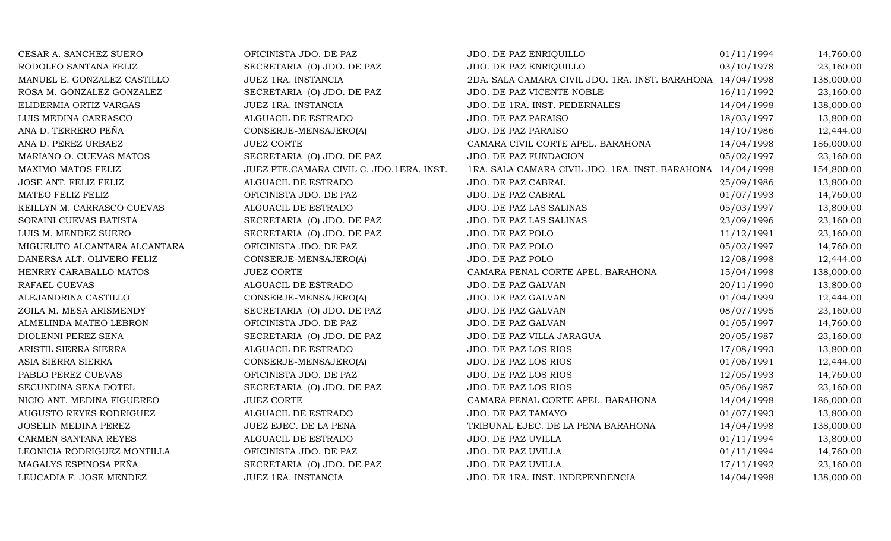| CESAR A. SANCHEZ SUERO        | OFICINISTA JDO. DE PAZ                   | JDO. DE PAZ ENRIQUILLO                                     | 01/11/1994 | 14,760.00  |
|-------------------------------|------------------------------------------|------------------------------------------------------------|------------|------------|
| RODOLFO SANTANA FELIZ         | SECRETARIA (O) JDO. DE PAZ               | JDO. DE PAZ ENRIQUILLO                                     | 03/10/1978 | 23,160.00  |
| MANUEL E. GONZALEZ CASTILLO   | JUEZ 1RA. INSTANCIA                      | 2DA. SALA CAMARA CIVIL JDO. 1RA. INST. BARAHONA 14/04/1998 |            | 138,000.00 |
| ROSA M. GONZALEZ GONZALEZ     | SECRETARIA (O) JDO. DE PAZ               | JDO. DE PAZ VICENTE NOBLE                                  | 16/11/1992 | 23,160.00  |
| ELIDERMIA ORTIZ VARGAS        | JUEZ 1RA. INSTANCIA                      | JDO. DE 1RA. INST. PEDERNALES                              | 14/04/1998 | 138,000.00 |
| LUIS MEDINA CARRASCO          | ALGUACIL DE ESTRADO                      | JDO. DE PAZ PARAISO                                        | 18/03/1997 | 13,800.00  |
| ANA D. TERRERO PEÑA           | CONSERJE-MENSAJERO(A)                    | JDO. DE PAZ PARAISO                                        | 14/10/1986 | 12,444.00  |
| ANA D. PEREZ URBAEZ           | <b>JUEZ CORTE</b>                        | CAMARA CIVIL CORTE APEL. BARAHONA                          | 14/04/1998 | 186,000.00 |
| MARIANO O. CUEVAS MATOS       | SECRETARIA (O) JDO. DE PAZ               | JDO. DE PAZ FUNDACION                                      | 05/02/1997 | 23,160.00  |
| MAXIMO MATOS FELIZ            | JUEZ PTE.CAMARA CIVIL C. JDO.1ERA. INST. | 1RA. SALA CAMARA CIVIL JDO. 1RA. INST. BARAHONA 14/04/1998 |            | 154,800.00 |
| JOSE ANT. FELIZ FELIZ         | ALGUACIL DE ESTRADO                      | JDO. DE PAZ CABRAL                                         | 25/09/1986 | 13,800.00  |
| MATEO FELIZ FELIZ             | OFICINISTA JDO. DE PAZ                   | JDO. DE PAZ CABRAL                                         | 01/07/1993 | 14,760.00  |
| KEILLYN M. CARRASCO CUEVAS    | ALGUACIL DE ESTRADO                      | JDO. DE PAZ LAS SALINAS                                    | 05/03/1997 | 13,800.00  |
| SORAINI CUEVAS BATISTA        | SECRETARIA (O) JDO. DE PAZ               | JDO. DE PAZ LAS SALINAS                                    | 23/09/1996 | 23,160.00  |
| LUIS M. MENDEZ SUERO          | SECRETARIA (O) JDO. DE PAZ               | JDO. DE PAZ POLO                                           | 11/12/1991 | 23,160.00  |
| MIGUELITO ALCANTARA ALCANTARA | OFICINISTA JDO. DE PAZ                   | JDO. DE PAZ POLO                                           | 05/02/1997 | 14,760.00  |
| DANERSA ALT. OLIVERO FELIZ    | CONSERJE-MENSAJERO(A)                    | JDO. DE PAZ POLO                                           | 12/08/1998 | 12,444.00  |
| HENRRY CARABALLO MATOS        | <b>JUEZ CORTE</b>                        | CAMARA PENAL CORTE APEL. BARAHONA                          | 15/04/1998 | 138,000.00 |
| RAFAEL CUEVAS                 | ALGUACIL DE ESTRADO                      | JDO. DE PAZ GALVAN                                         | 20/11/1990 | 13,800.00  |
| ALEJANDRINA CASTILLO          | CONSERJE-MENSAJERO(A)                    | JDO. DE PAZ GALVAN                                         | 01/04/1999 | 12,444.00  |
| ZOILA M. MESA ARISMENDY       | SECRETARIA (O) JDO. DE PAZ               | JDO. DE PAZ GALVAN                                         | 08/07/1995 | 23,160.00  |
| ALMELINDA MATEO LEBRON        | OFICINISTA JDO. DE PAZ                   | JDO. DE PAZ GALVAN                                         | 01/05/1997 | 14,760.00  |
| DIOLENNI PEREZ SENA           | SECRETARIA (O) JDO. DE PAZ               | JDO. DE PAZ VILLA JARAGUA                                  | 20/05/1987 | 23,160.00  |
| ARISTIL SIERRA SIERRA         | ALGUACIL DE ESTRADO                      | JDO. DE PAZ LOS RIOS                                       | 17/08/1993 | 13,800.00  |
| ASIA SIERRA SIERRA            | CONSERJE-MENSAJERO(A)                    | JDO. DE PAZ LOS RIOS                                       | 01/06/1991 | 12,444.00  |
| PABLO PEREZ CUEVAS            | OFICINISTA JDO. DE PAZ                   | JDO. DE PAZ LOS RIOS                                       | 12/05/1993 | 14,760.00  |
| SECUNDINA SENA DOTEL          | SECRETARIA (O) JDO. DE PAZ               | JDO. DE PAZ LOS RIOS                                       | 05/06/1987 | 23,160.00  |
| NICIO ANT. MEDINA FIGUEREO    | <b>JUEZ CORTE</b>                        | CAMARA PENAL CORTE APEL. BARAHONA                          | 14/04/1998 | 186,000.00 |
| AUGUSTO REYES RODRIGUEZ       | ALGUACIL DE ESTRADO                      | JDO. DE PAZ TAMAYO                                         | 01/07/1993 | 13,800.00  |
| <b>JOSELIN MEDINA PEREZ</b>   | JUEZ EJEC. DE LA PENA                    | TRIBUNAL EJEC. DE LA PENA BARAHONA                         | 14/04/1998 | 138,000.00 |
| CARMEN SANTANA REYES          | ALGUACIL DE ESTRADO                      | JDO. DE PAZ UVILLA                                         | 01/11/1994 | 13,800.00  |
| LEONICIA RODRIGUEZ MONTILLA   | OFICINISTA JDO. DE PAZ                   | JDO. DE PAZ UVILLA                                         | 01/11/1994 | 14,760.00  |
| MAGALYS ESPINOSA PEÑA         | SECRETARIA (O) JDO. DE PAZ               | JDO. DE PAZ UVILLA                                         | 17/11/1992 | 23,160.00  |
| LEUCADIA F. JOSE MENDEZ       | JUEZ 1RA. INSTANCIA                      | JDO. DE 1RA. INST. INDEPENDENCIA                           | 14/04/1998 | 138,000.00 |
|                               |                                          |                                                            |            |            |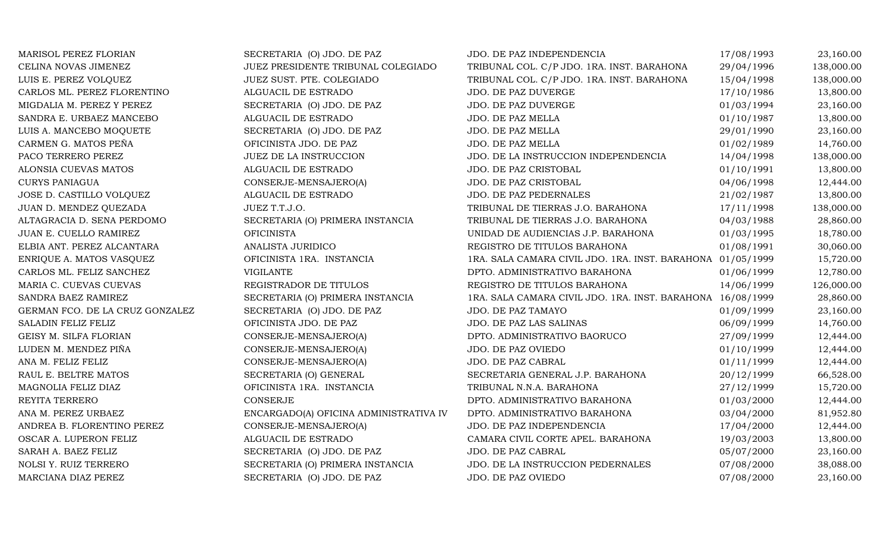| MARISOL PEREZ FLORIAN           | SECRETARIA (O) JDO. DE PAZ             | JDO. DE PAZ INDEPENDENCIA                                  | 17/08/1993 | 23,160.00  |
|---------------------------------|----------------------------------------|------------------------------------------------------------|------------|------------|
| CELINA NOVAS JIMENEZ            | JUEZ PRESIDENTE TRIBUNAL COLEGIADO     | TRIBUNAL COL. C/P JDO. 1RA. INST. BARAHONA                 | 29/04/1996 | 138,000.00 |
| LUIS E. PEREZ VOLQUEZ           | JUEZ SUST. PTE. COLEGIADO              | TRIBUNAL COL. C/P JDO. 1RA. INST. BARAHONA                 | 15/04/1998 | 138,000.00 |
| CARLOS ML. PEREZ FLORENTINO     | ALGUACIL DE ESTRADO                    | JDO. DE PAZ DUVERGE                                        | 17/10/1986 | 13,800.00  |
| MIGDALIA M. PEREZ Y PEREZ       | SECRETARIA (O) JDO. DE PAZ             | JDO. DE PAZ DUVERGE                                        | 01/03/1994 | 23,160.00  |
| SANDRA E. URBAEZ MANCEBO        | ALGUACIL DE ESTRADO                    | JDO. DE PAZ MELLA                                          | 01/10/1987 | 13,800.00  |
| LUIS A. MANCEBO MOQUETE         | SECRETARIA (O) JDO. DE PAZ             | JDO. DE PAZ MELLA                                          | 29/01/1990 | 23,160.00  |
| CARMEN G. MATOS PEÑA            | OFICINISTA JDO. DE PAZ                 | JDO. DE PAZ MELLA                                          | 01/02/1989 | 14,760.00  |
| PACO TERRERO PEREZ              | JUEZ DE LA INSTRUCCION                 | JDO. DE LA INSTRUCCION INDEPENDENCIA                       | 14/04/1998 | 138,000.00 |
| ALONSIA CUEVAS MATOS            | ALGUACIL DE ESTRADO                    | JDO. DE PAZ CRISTOBAL                                      | 01/10/1991 | 13,800.00  |
| <b>CURYS PANIAGUA</b>           | CONSERJE-MENSAJERO(A)                  | JDO. DE PAZ CRISTOBAL                                      | 04/06/1998 | 12,444.00  |
| JOSE D. CASTILLO VOLQUEZ        | ALGUACIL DE ESTRADO                    | JDO. DE PAZ PEDERNALES                                     | 21/02/1987 | 13,800.00  |
| JUAN D. MENDEZ QUEZADA          | JUEZ T.T.J.O.                          | TRIBUNAL DE TIERRAS J.O. BARAHONA                          | 17/11/1998 | 138,000.00 |
| ALTAGRACIA D. SENA PERDOMO      | SECRETARIA (O) PRIMERA INSTANCIA       | TRIBUNAL DE TIERRAS J.O. BARAHONA                          | 04/03/1988 | 28,860.00  |
| JUAN E. CUELLO RAMIREZ          | <b>OFICINISTA</b>                      | UNIDAD DE AUDIENCIAS J.P. BARAHONA                         | 01/03/1995 | 18,780.00  |
| ELBIA ANT. PEREZ ALCANTARA      | ANALISTA JURIDICO                      | REGISTRO DE TITULOS BARAHONA                               | 01/08/1991 | 30,060.00  |
| ENRIQUE A. MATOS VASQUEZ        | OFICINISTA 1RA. INSTANCIA              | 1RA. SALA CAMARA CIVIL JDO. 1RA. INST. BARAHONA 01/05/1999 |            | 15,720.00  |
| CARLOS ML. FELIZ SANCHEZ        | <b>VIGILANTE</b>                       | DPTO. ADMINISTRATIVO BARAHONA                              | 01/06/1999 | 12,780.00  |
| MARIA C. CUEVAS CUEVAS          | REGISTRADOR DE TITULOS                 | REGISTRO DE TITULOS BARAHONA                               | 14/06/1999 | 126,000.00 |
| SANDRA BAEZ RAMIREZ             | SECRETARIA (O) PRIMERA INSTANCIA       | 1RA. SALA CAMARA CIVIL JDO. 1RA. INST. BARAHONA 16/08/1999 |            | 28,860.00  |
| GERMAN FCO. DE LA CRUZ GONZALEZ | SECRETARIA (O) JDO. DE PAZ             | JDO. DE PAZ TAMAYO                                         | 01/09/1999 | 23,160.00  |
| SALADIN FELIZ FELIZ             | OFICINISTA JDO. DE PAZ                 | JDO. DE PAZ LAS SALINAS                                    | 06/09/1999 | 14,760.00  |
| GEISY M. SILFA FLORIAN          | CONSERJE-MENSAJERO(A)                  | DPTO. ADMINISTRATIVO BAORUCO                               | 27/09/1999 | 12,444.00  |
| LUDEN M. MENDEZ PIÑA            | CONSERJE-MENSAJERO(A)                  | JDO. DE PAZ OVIEDO                                         | 01/10/1999 | 12,444.00  |
| ANA M. FELIZ FELIZ              | CONSERJE-MENSAJERO(A)                  | JDO. DE PAZ CABRAL                                         | 01/11/1999 | 12,444.00  |
| RAUL E. BELTRE MATOS            | SECRETARIA (O) GENERAL                 | SECRETARIA GENERAL J.P. BARAHONA                           | 20/12/1999 | 66,528.00  |
| MAGNOLIA FELIZ DIAZ             | OFICINISTA 1RA. INSTANCIA              | TRIBUNAL N.N.A. BARAHONA                                   | 27/12/1999 | 15,720.00  |
| REYITA TERRERO                  | CONSERJE                               | DPTO. ADMINISTRATIVO BARAHONA                              | 01/03/2000 | 12,444.00  |
| ANA M. PEREZ URBAEZ             | ENCARGADO(A) OFICINA ADMINISTRATIVA IV | DPTO. ADMINISTRATIVO BARAHONA                              | 03/04/2000 | 81,952.80  |
| ANDREA B. FLORENTINO PEREZ      | CONSERJE-MENSAJERO(A)                  | JDO. DE PAZ INDEPENDENCIA                                  | 17/04/2000 | 12,444.00  |
| OSCAR A. LUPERON FELIZ          | ALGUACIL DE ESTRADO                    | CAMARA CIVIL CORTE APEL. BARAHONA                          | 19/03/2003 | 13,800.00  |
| SARAH A. BAEZ FELIZ             | SECRETARIA (O) JDO. DE PAZ             | JDO. DE PAZ CABRAL                                         | 05/07/2000 | 23,160.00  |
| NOLSI Y. RUIZ TERRERO           | SECRETARIA (O) PRIMERA INSTANCIA       | JDO. DE LA INSTRUCCION PEDERNALES                          | 07/08/2000 | 38,088.00  |
| MARCIANA DIAZ PEREZ             | SECRETARIA (O) JDO. DE PAZ             | JDO. DE PAZ OVIEDO                                         | 07/08/2000 | 23,160.00  |
|                                 |                                        |                                                            |            |            |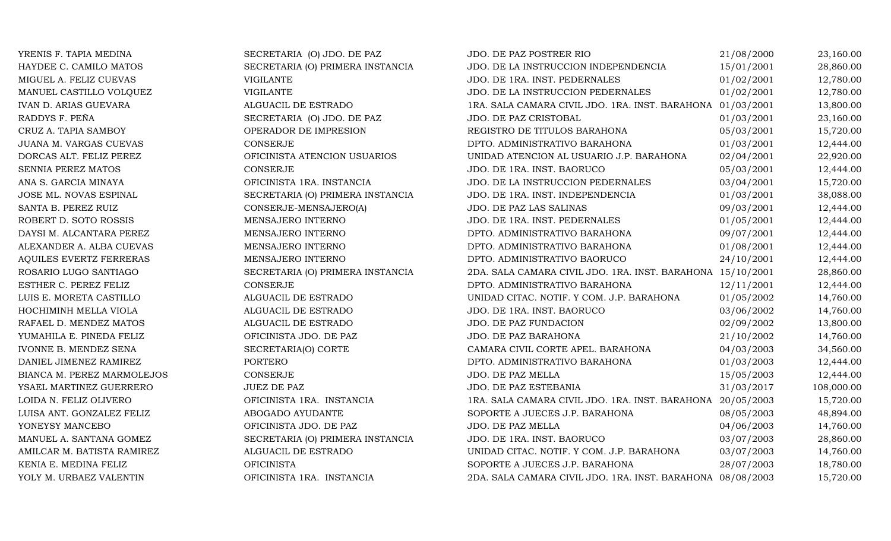| YRENIS F. TAPIA MEDINA         | SECRETARIA (O) JDO. DE PAZ       | JDO. DE PAZ POSTRER RIO                                    | 21/08/2000 | 23,160.00  |
|--------------------------------|----------------------------------|------------------------------------------------------------|------------|------------|
| HAYDEE C. CAMILO MATOS         | SECRETARIA (O) PRIMERA INSTANCIA | JDO. DE LA INSTRUCCION INDEPENDENCIA                       | 15/01/2001 | 28,860.00  |
| MIGUEL A. FELIZ CUEVAS         | <b>VIGILANTE</b>                 | JDO. DE 1RA. INST. PEDERNALES                              | 01/02/2001 | 12,780.00  |
| MANUEL CASTILLO VOLQUEZ        | <b>VIGILANTE</b>                 | JDO. DE LA INSTRUCCION PEDERNALES                          | 01/02/2001 | 12,780.00  |
| <b>IVAN D. ARIAS GUEVARA</b>   | ALGUACIL DE ESTRADO              | 1RA. SALA CAMARA CIVIL JDO. 1RA. INST. BARAHONA 01/03/2001 |            | 13,800.00  |
| RADDYS F. PEÑA                 | SECRETARIA (O) JDO. DE PAZ       | JDO. DE PAZ CRISTOBAL                                      | 01/03/2001 | 23,160.00  |
| CRUZ A. TAPIA SAMBOY           | OPERADOR DE IMPRESION            | REGISTRO DE TITULOS BARAHONA                               | 05/03/2001 | 15,720.00  |
| JUANA M. VARGAS CUEVAS         | <b>CONSERJE</b>                  | DPTO. ADMINISTRATIVO BARAHONA                              | 01/03/2001 | 12,444.00  |
| DORCAS ALT. FELIZ PEREZ        | OFICINISTA ATENCION USUARIOS     | UNIDAD ATENCION AL USUARIO J.P. BARAHONA                   | 02/04/2001 | 22,920.00  |
| <b>SENNIA PEREZ MATOS</b>      | <b>CONSERJE</b>                  | JDO. DE 1RA. INST. BAORUCO                                 | 05/03/2001 | 12,444.00  |
| ANA S. GARCIA MINAYA           | OFICINISTA 1RA. INSTANCIA        | JDO. DE LA INSTRUCCION PEDERNALES                          | 03/04/2001 | 15,720.00  |
| JOSE ML. NOVAS ESPINAL         | SECRETARIA (O) PRIMERA INSTANCIA | JDO. DE 1RA. INST. INDEPENDENCIA                           | 01/03/2001 | 38,088.00  |
| SANTA B. PEREZ RUIZ            | CONSERJE-MENSAJERO(A)            | JDO. DE PAZ LAS SALINAS                                    | 09/03/2001 | 12,444.00  |
| ROBERT D. SOTO ROSSIS          | MENSAJERO INTERNO                | JDO. DE 1RA. INST. PEDERNALES                              | 01/05/2001 | 12,444.00  |
| DAYSI M. ALCANTARA PEREZ       | MENSAJERO INTERNO                | DPTO. ADMINISTRATIVO BARAHONA                              | 09/07/2001 | 12,444.00  |
| ALEXANDER A. ALBA CUEVAS       | MENSAJERO INTERNO                | DPTO. ADMINISTRATIVO BARAHONA                              | 01/08/2001 | 12,444.00  |
| <b>AQUILES EVERTZ FERRERAS</b> | MENSAJERO INTERNO                | DPTO. ADMINISTRATIVO BAORUCO                               | 24/10/2001 | 12,444.00  |
| ROSARIO LUGO SANTIAGO          | SECRETARIA (O) PRIMERA INSTANCIA | 2DA. SALA CAMARA CIVIL JDO. 1RA. INST. BARAHONA 15/10/2001 |            | 28,860.00  |
| ESTHER C. PEREZ FELIZ          | <b>CONSERJE</b>                  | DPTO. ADMINISTRATIVO BARAHONA                              | 12/11/2001 | 12,444.00  |
| LUIS E. MORETA CASTILLO        | ALGUACIL DE ESTRADO              | UNIDAD CITAC. NOTIF. Y COM. J.P. BARAHONA                  | 01/05/2002 | 14,760.00  |
| HOCHIMINH MELLA VIOLA          | ALGUACIL DE ESTRADO              | JDO. DE 1RA. INST. BAORUCO                                 | 03/06/2002 | 14,760.00  |
| RAFAEL D. MENDEZ MATOS         | ALGUACIL DE ESTRADO              | JDO. DE PAZ FUNDACION                                      | 02/09/2002 | 13,800.00  |
| YUMAHILA E. PINEDA FELIZ       | OFICINISTA JDO. DE PAZ           | JDO. DE PAZ BARAHONA                                       | 21/10/2002 | 14,760.00  |
| IVONNE B. MENDEZ SENA          | SECRETARIA(O) CORTE              | CAMARA CIVIL CORTE APEL. BARAHONA                          | 04/03/2003 | 34,560.00  |
| DANIEL JIMENEZ RAMIREZ         | <b>PORTERO</b>                   | DPTO. ADMINISTRATIVO BARAHONA                              | 01/03/2003 | 12,444.00  |
| BIANCA M. PEREZ MARMOLEJOS     | <b>CONSERJE</b>                  | JDO. DE PAZ MELLA                                          | 15/05/2003 | 12,444.00  |
| YSAEL MARTINEZ GUERRERO        | <b>JUEZ DE PAZ</b>               | JDO. DE PAZ ESTEBANIA                                      | 31/03/2017 | 108,000.00 |
| LOIDA N. FELIZ OLIVERO         | OFICINISTA 1RA. INSTANCIA        | 1RA. SALA CAMARA CIVIL JDO. 1RA. INST. BARAHONA 20/05/2003 |            | 15,720.00  |
| LUISA ANT. GONZALEZ FELIZ      | ABOGADO AYUDANTE                 | SOPORTE A JUECES J.P. BARAHONA                             | 08/05/2003 | 48,894.00  |
| YONEYSY MANCEBO                | OFICINISTA JDO. DE PAZ           | JDO. DE PAZ MELLA                                          | 04/06/2003 | 14,760.00  |
| MANUEL A. SANTANA GOMEZ        | SECRETARIA (O) PRIMERA INSTANCIA | JDO. DE 1RA. INST. BAORUCO                                 | 03/07/2003 | 28,860.00  |
| AMILCAR M. BATISTA RAMIREZ     | ALGUACIL DE ESTRADO              | UNIDAD CITAC. NOTIF. Y COM. J.P. BARAHONA                  | 03/07/2003 | 14,760.00  |
| KENIA E. MEDINA FELIZ          | <b>OFICINISTA</b>                | SOPORTE A JUECES J.P. BARAHONA                             | 28/07/2003 | 18,780.00  |
| YOLY M. URBAEZ VALENTIN        | OFICINISTA 1RA. INSTANCIA        | 2DA. SALA CAMARA CIVIL JDO. 1RA. INST. BARAHONA 08/08/2003 |            | 15,720.00  |
|                                |                                  |                                                            |            |            |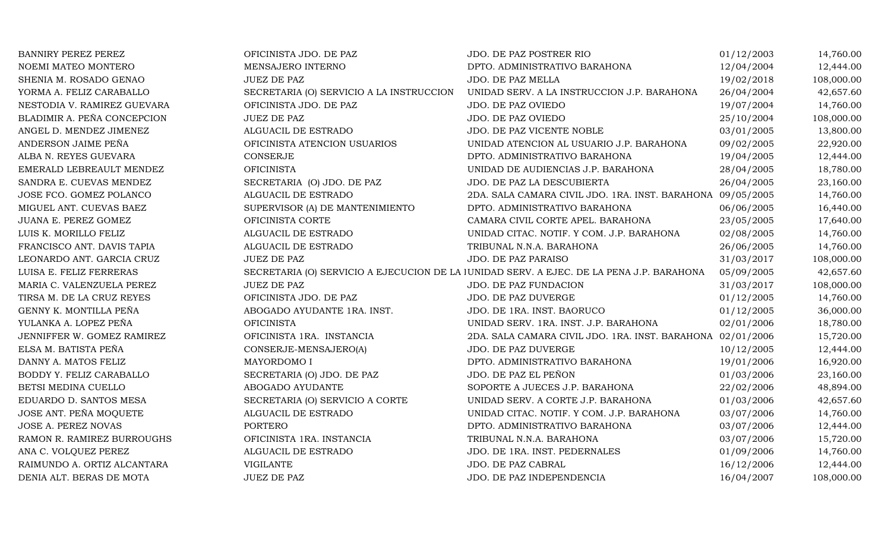| <b>BANNIRY PEREZ PEREZ</b>  | OFICINISTA JDO. DE PAZ                   | JDO. DE PAZ POSTRER RIO                                                                  | 01/12/2003 | 14,760.00  |
|-----------------------------|------------------------------------------|------------------------------------------------------------------------------------------|------------|------------|
| NOEMI MATEO MONTERO         | MENSAJERO INTERNO                        | DPTO. ADMINISTRATIVO BARAHONA                                                            | 12/04/2004 | 12,444.00  |
| SHENIA M. ROSADO GENAO      | <b>JUEZ DE PAZ</b>                       | JDO. DE PAZ MELLA                                                                        | 19/02/2018 | 108,000.00 |
| YORMA A. FELIZ CARABALLO    | SECRETARIA (O) SERVICIO A LA INSTRUCCION | UNIDAD SERV. A LA INSTRUCCION J.P. BARAHONA                                              | 26/04/2004 | 42,657.60  |
| NESTODIA V. RAMIREZ GUEVARA | OFICINISTA JDO. DE PAZ                   | JDO. DE PAZ OVIEDO                                                                       | 19/07/2004 | 14,760.00  |
| BLADIMIR A. PEÑA CONCEPCION | <b>JUEZ DE PAZ</b>                       | JDO. DE PAZ OVIEDO                                                                       | 25/10/2004 | 108,000.00 |
| ANGEL D. MENDEZ JIMENEZ     | ALGUACIL DE ESTRADO                      | JDO. DE PAZ VICENTE NOBLE                                                                | 03/01/2005 | 13,800.00  |
| ANDERSON JAIME PEÑA         | OFICINISTA ATENCION USUARIOS             | UNIDAD ATENCION AL USUARIO J.P. BARAHONA                                                 | 09/02/2005 | 22,920.00  |
| ALBA N. REYES GUEVARA       | CONSERJE                                 | DPTO. ADMINISTRATIVO BARAHONA                                                            | 19/04/2005 | 12,444.00  |
| EMERALD LEBREAULT MENDEZ    | <b>OFICINISTA</b>                        | UNIDAD DE AUDIENCIAS J.P. BARAHONA                                                       | 28/04/2005 | 18,780.00  |
| SANDRA E. CUEVAS MENDEZ     | SECRETARIA (O) JDO. DE PAZ               | JDO. DE PAZ LA DESCUBIERTA                                                               | 26/04/2005 | 23,160.00  |
| JOSE FCO. GOMEZ POLANCO     | ALGUACIL DE ESTRADO                      | 2DA. SALA CAMARA CIVIL JDO. 1RA. INST. BARAHONA 09/05/2005                               |            | 14,760.00  |
| MIGUEL ANT. CUEVAS BAEZ     | SUPERVISOR (A) DE MANTENIMIENTO          | DPTO. ADMINISTRATIVO BARAHONA                                                            | 06/06/2005 | 16,440.00  |
| JUANA E. PEREZ GOMEZ        | OFICINISTA CORTE                         | CAMARA CIVIL CORTE APEL. BARAHONA                                                        | 23/05/2005 | 17,640.00  |
| LUIS K. MORILLO FELIZ       | ALGUACIL DE ESTRADO                      | UNIDAD CITAC. NOTIF. Y COM. J.P. BARAHONA                                                | 02/08/2005 | 14,760.00  |
| FRANCISCO ANT. DAVIS TAPIA  | ALGUACIL DE ESTRADO                      | TRIBUNAL N.N.A. BARAHONA                                                                 | 26/06/2005 | 14,760.00  |
| LEONARDO ANT. GARCIA CRUZ   | JUEZ DE PAZ                              | JDO. DE PAZ PARAISO                                                                      | 31/03/2017 | 108,000.00 |
| LUISA E. FELIZ FERRERAS     |                                          | SECRETARIA (O) SERVICIO A EJECUCION DE LA JUNIDAD SERV. A EJEC. DE LA PENA J.P. BARAHONA | 05/09/2005 | 42,657.60  |
| MARIA C. VALENZUELA PEREZ   | <b>JUEZ DE PAZ</b>                       | JDO. DE PAZ FUNDACION                                                                    | 31/03/2017 | 108,000.00 |
| TIRSA M. DE LA CRUZ REYES   | OFICINISTA JDO. DE PAZ                   | JDO. DE PAZ DUVERGE                                                                      | 01/12/2005 | 14,760.00  |
| GENNY K. MONTILLA PEÑA      | ABOGADO AYUDANTE 1RA. INST.              | JDO. DE 1RA. INST. BAORUCO                                                               | 01/12/2005 | 36,000.00  |
| YULANKA A. LOPEZ PEÑA       | <b>OFICINISTA</b>                        | UNIDAD SERV. 1RA. INST. J.P. BARAHONA                                                    | 02/01/2006 | 18,780.00  |
| JENNIFFER W. GOMEZ RAMIREZ  | OFICINISTA 1RA. INSTANCIA                | 2DA. SALA CAMARA CIVIL JDO. 1RA. INST. BARAHONA 02/01/2006                               |            | 15,720.00  |
| ELSA M. BATISTA PEÑA        | CONSERJE-MENSAJERO(A)                    | JDO. DE PAZ DUVERGE                                                                      | 10/12/2005 | 12,444.00  |
| DANNY A. MATOS FELIZ        | MAYORDOMO I                              | DPTO. ADMINISTRATIVO BARAHONA                                                            | 19/01/2006 | 16,920.00  |
| BODDY Y. FELIZ CARABALLO    | SECRETARIA (O) JDO. DE PAZ               | JDO. DE PAZ EL PEÑON                                                                     | 01/03/2006 | 23,160.00  |
| BETSI MEDINA CUELLO         | ABOGADO AYUDANTE                         | SOPORTE A JUECES J.P. BARAHONA                                                           | 22/02/2006 | 48,894.00  |
| EDUARDO D. SANTOS MESA      | SECRETARIA (O) SERVICIO A CORTE          | UNIDAD SERV. A CORTE J.P. BARAHONA                                                       | 01/03/2006 | 42,657.60  |
| JOSE ANT. PEÑA MOQUETE      | ALGUACIL DE ESTRADO                      | UNIDAD CITAC. NOTIF. Y COM. J.P. BARAHONA                                                | 03/07/2006 | 14,760.00  |
| JOSE A. PEREZ NOVAS         | <b>PORTERO</b>                           | DPTO. ADMINISTRATIVO BARAHONA                                                            | 03/07/2006 | 12,444.00  |
| RAMON R. RAMIREZ BURROUGHS  | OFICINISTA 1RA. INSTANCIA                | TRIBUNAL N.N.A. BARAHONA                                                                 | 03/07/2006 | 15,720.00  |
| ANA C. VOLQUEZ PEREZ        | ALGUACIL DE ESTRADO                      | JDO. DE 1RA. INST. PEDERNALES                                                            | 01/09/2006 | 14,760.00  |
| RAIMUNDO A. ORTIZ ALCANTARA | <b>VIGILANTE</b>                         | JDO. DE PAZ CABRAL                                                                       | 16/12/2006 | 12,444.00  |
| DENIA ALT. BERAS DE MOTA    | <b>JUEZ DE PAZ</b>                       | JDO. DE PAZ INDEPENDENCIA                                                                | 16/04/2007 | 108,000.00 |
|                             |                                          |                                                                                          |            |            |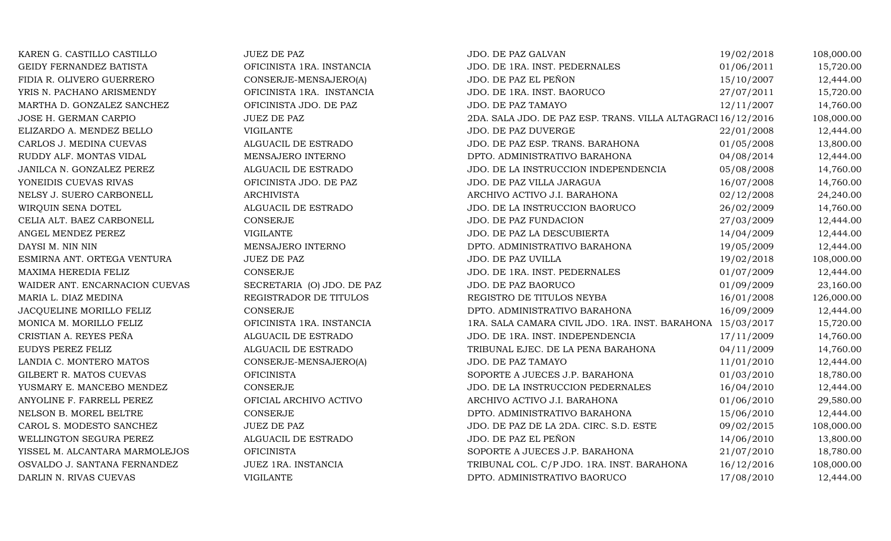| KAREN G. CASTILLO CASTILLO     | <b>JUEZ DE PAZ</b>         | JDO. DE PAZ GALVAN                                           | 19/02/2018 | 108,000.00 |
|--------------------------------|----------------------------|--------------------------------------------------------------|------------|------------|
| GEIDY FERNANDEZ BATISTA        | OFICINISTA 1RA. INSTANCIA  | JDO. DE 1RA. INST. PEDERNALES                                | 01/06/2011 | 15,720.00  |
| FIDIA R. OLIVERO GUERRERO      | CONSERJE-MENSAJERO(A)      | JDO. DE PAZ EL PEÑON                                         | 15/10/2007 | 12,444.00  |
| YRIS N. PACHANO ARISMENDY      | OFICINISTA 1RA. INSTANCIA  | JDO. DE 1RA. INST. BAORUCO                                   | 27/07/2011 | 15,720.00  |
| MARTHA D. GONZALEZ SANCHEZ     | OFICINISTA JDO. DE PAZ     | JDO. DE PAZ TAMAYO                                           | 12/11/2007 | 14,760.00  |
| JOSE H. GERMAN CARPIO          | <b>JUEZ DE PAZ</b>         | 2DA. SALA JDO. DE PAZ ESP. TRANS. VILLA ALTAGRACI 16/12/2016 |            | 108,000.00 |
| ELIZARDO A. MENDEZ BELLO       | <b>VIGILANTE</b>           | JDO. DE PAZ DUVERGE                                          | 22/01/2008 | 12,444.00  |
| CARLOS J. MEDINA CUEVAS        | ALGUACIL DE ESTRADO        | JDO. DE PAZ ESP. TRANS. BARAHONA                             | 01/05/2008 | 13,800.00  |
| RUDDY ALF. MONTAS VIDAL        | MENSAJERO INTERNO          | DPTO. ADMINISTRATIVO BARAHONA                                | 04/08/2014 | 12,444.00  |
| JANILCA N. GONZALEZ PEREZ      | ALGUACIL DE ESTRADO        | JDO. DE LA INSTRUCCION INDEPENDENCIA                         | 05/08/2008 | 14,760.00  |
| YONEIDIS CUEVAS RIVAS          | OFICINISTA JDO. DE PAZ     | JDO. DE PAZ VILLA JARAGUA                                    | 16/07/2008 | 14,760.00  |
| NELSY J. SUERO CARBONELL       | <b>ARCHIVISTA</b>          | ARCHIVO ACTIVO J.I. BARAHONA                                 | 02/12/2008 | 24,240.00  |
| WIRQUIN SENA DOTEL             | ALGUACIL DE ESTRADO        | JDO. DE LA INSTRUCCION BAORUCO                               | 26/02/2009 | 14,760.00  |
| CELIA ALT. BAEZ CARBONELL      | <b>CONSERJE</b>            | JDO. DE PAZ FUNDACION                                        | 27/03/2009 | 12,444.00  |
| ANGEL MENDEZ PEREZ             | <b>VIGILANTE</b>           | JDO. DE PAZ LA DESCUBIERTA                                   | 14/04/2009 | 12,444.00  |
| DAYSI M. NIN NIN               | MENSAJERO INTERNO          | DPTO. ADMINISTRATIVO BARAHONA                                | 19/05/2009 | 12,444.00  |
| ESMIRNA ANT. ORTEGA VENTURA    | <b>JUEZ DE PAZ</b>         | JDO. DE PAZ UVILLA                                           | 19/02/2018 | 108,000.00 |
| MAXIMA HEREDIA FELIZ           | <b>CONSERJE</b>            | JDO. DE 1RA. INST. PEDERNALES                                | 01/07/2009 | 12,444.00  |
| WAIDER ANT. ENCARNACION CUEVAS | SECRETARIA (O) JDO. DE PAZ | JDO. DE PAZ BAORUCO                                          | 01/09/2009 | 23,160.00  |
| MARIA L. DIAZ MEDINA           | REGISTRADOR DE TITULOS     | REGISTRO DE TITULOS NEYBA                                    | 16/01/2008 | 126,000.00 |
| JACQUELINE MORILLO FELIZ       | <b>CONSERJE</b>            | DPTO. ADMINISTRATIVO BARAHONA                                | 16/09/2009 | 12,444.00  |
| MONICA M. MORILLO FELIZ        | OFICINISTA 1RA. INSTANCIA  | 1RA. SALA CAMARA CIVIL JDO. 1RA. INST. BARAHONA 15/03/2017   |            | 15,720.00  |
| CRISTIAN A. REYES PEÑA         | ALGUACIL DE ESTRADO        | JDO. DE 1RA. INST. INDEPENDENCIA                             | 17/11/2009 | 14,760.00  |
| EUDYS PEREZ FELIZ              | ALGUACIL DE ESTRADO        | TRIBUNAL EJEC. DE LA PENA BARAHONA                           | 04/11/2009 | 14,760.00  |
| LANDIA C. MONTERO MATOS        | CONSERJE-MENSAJERO(A)      | JDO. DE PAZ TAMAYO                                           | 11/01/2010 | 12,444.00  |
| GILBERT R. MATOS CUEVAS        | <b>OFICINISTA</b>          | SOPORTE A JUECES J.P. BARAHONA                               | 01/03/2010 | 18,780.00  |
| YUSMARY E. MANCEBO MENDEZ      | CONSERJE                   | JDO. DE LA INSTRUCCION PEDERNALES                            | 16/04/2010 | 12,444.00  |
| ANYOLINE F. FARRELL PEREZ      | OFICIAL ARCHIVO ACTIVO     | ARCHIVO ACTIVO J.I. BARAHONA                                 | 01/06/2010 | 29,580.00  |
| NELSON B. MOREL BELTRE         | <b>CONSERJE</b>            | DPTO. ADMINISTRATIVO BARAHONA                                | 15/06/2010 | 12,444.00  |
| CAROL S. MODESTO SANCHEZ       | <b>JUEZ DE PAZ</b>         | JDO. DE PAZ DE LA 2DA. CIRC. S.D. ESTE                       | 09/02/2015 | 108,000.00 |
| WELLINGTON SEGURA PEREZ        | ALGUACIL DE ESTRADO        | JDO. DE PAZ EL PEÑON                                         | 14/06/2010 | 13,800.00  |
| YISSEL M. ALCANTARA MARMOLEJOS | <b>OFICINISTA</b>          | SOPORTE A JUECES J.P. BARAHONA                               | 21/07/2010 | 18,780.00  |
| OSVALDO J. SANTANA FERNANDEZ   | JUEZ 1RA. INSTANCIA        | TRIBUNAL COL. C/P JDO. 1RA. INST. BARAHONA                   | 16/12/2016 | 108,000.00 |
| DARLIN N. RIVAS CUEVAS         | <b>VIGILANTE</b>           | DPTO. ADMINISTRATIVO BAORUCO                                 | 17/08/2010 | 12,444.00  |
|                                |                            |                                                              |            |            |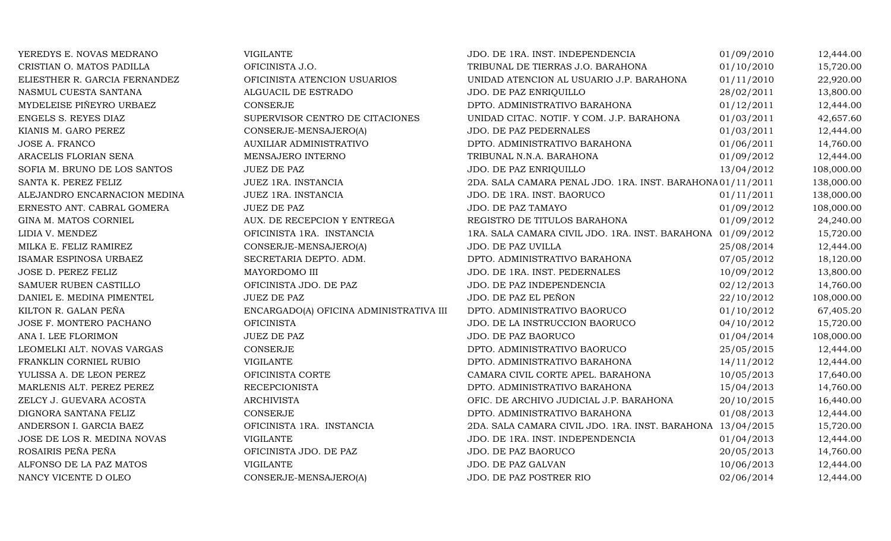| YEREDYS E. NOVAS MEDRANO      | VIGILANTE                               | JDO. DE 1RA. INST. INDEPENDENCIA                           | 01/09/2010 | 12,444.00  |
|-------------------------------|-----------------------------------------|------------------------------------------------------------|------------|------------|
| CRISTIAN O. MATOS PADILLA     | OFICINISTA J.O.                         | TRIBUNAL DE TIERRAS J.O. BARAHONA                          | 01/10/2010 | 15,720.00  |
| ELIESTHER R. GARCIA FERNANDEZ | OFICINISTA ATENCION USUARIOS            | UNIDAD ATENCION AL USUARIO J.P. BARAHONA                   | 01/11/2010 | 22,920.00  |
| NASMUL CUESTA SANTANA         | ALGUACIL DE ESTRADO                     | JDO. DE PAZ ENRIQUILLO                                     | 28/02/2011 | 13,800.00  |
| MYDELEISE PIÑEYRO URBAEZ      | <b>CONSERJE</b>                         | DPTO. ADMINISTRATIVO BARAHONA                              | 01/12/2011 | 12,444.00  |
| ENGELS S. REYES DIAZ          | SUPERVISOR CENTRO DE CITACIONES         | UNIDAD CITAC. NOTIF. Y COM. J.P. BARAHONA                  | 01/03/2011 | 42,657.60  |
| KIANIS M. GARO PEREZ          | CONSERJE-MENSAJERO(A)                   | JDO. DE PAZ PEDERNALES                                     | 01/03/2011 | 12,444.00  |
| JOSE A. FRANCO                | AUXILIAR ADMINISTRATIVO                 | DPTO. ADMINISTRATIVO BARAHONA                              | 01/06/2011 | 14,760.00  |
| ARACELIS FLORIAN SENA         | MENSAJERO INTERNO                       | TRIBUNAL N.N.A. BARAHONA                                   | 01/09/2012 | 12,444.00  |
| SOFIA M. BRUNO DE LOS SANTOS  | <b>JUEZ DE PAZ</b>                      | JDO. DE PAZ ENRIQUILLO                                     | 13/04/2012 | 108,000.00 |
| SANTA K. PEREZ FELIZ          | JUEZ 1RA. INSTANCIA                     | 2DA. SALA CAMARA PENAL JDO. 1RA. INST. BARAHONA01/11/2011  |            | 138,000.00 |
| ALEJANDRO ENCARNACION MEDINA  | JUEZ 1RA. INSTANCIA                     | JDO. DE 1RA. INST. BAORUCO                                 | 01/11/2011 | 138,000.00 |
| ERNESTO ANT. CABRAL GOMERA    | <b>JUEZ DE PAZ</b>                      | JDO. DE PAZ TAMAYO                                         | 01/09/2012 | 108,000.00 |
| GINA M. MATOS CORNIEL         | AUX. DE RECEPCION Y ENTREGA             | REGISTRO DE TITULOS BARAHONA                               | 01/09/2012 | 24,240.00  |
| LIDIA V. MENDEZ               | OFICINISTA 1RA. INSTANCIA               | 1RA. SALA CAMARA CIVIL JDO. 1RA. INST. BARAHONA 01/09/2012 |            | 15,720.00  |
| MILKA E. FELIZ RAMIREZ        | CONSERJE-MENSAJERO(A)                   | JDO. DE PAZ UVILLA                                         | 25/08/2014 | 12,444.00  |
| ISAMAR ESPINOSA URBAEZ        | SECRETARIA DEPTO. ADM.                  | DPTO. ADMINISTRATIVO BARAHONA                              | 07/05/2012 | 18,120.00  |
| JOSE D. PEREZ FELIZ           | MAYORDOMO III                           | JDO. DE 1RA. INST. PEDERNALES                              | 10/09/2012 | 13,800.00  |
| SAMUER RUBEN CASTILLO         | OFICINISTA JDO. DE PAZ                  | JDO. DE PAZ INDEPENDENCIA                                  | 02/12/2013 | 14,760.00  |
| DANIEL E. MEDINA PIMENTEL     | <b>JUEZ DE PAZ</b>                      | JDO. DE PAZ EL PEÑON                                       | 22/10/2012 | 108,000.00 |
| KILTON R. GALAN PEÑA          | ENCARGADO(A) OFICINA ADMINISTRATIVA III | DPTO. ADMINISTRATIVO BAORUCO                               | 01/10/2012 | 67,405.20  |
| JOSE F. MONTERO PACHANO       | <b>OFICINISTA</b>                       | JDO. DE LA INSTRUCCION BAORUCO                             | 04/10/2012 | 15,720.00  |
| ANA I. LEE FLORIMON           | <b>JUEZ DE PAZ</b>                      | JDO. DE PAZ BAORUCO                                        | 01/04/2014 | 108,000.00 |
| LEOMELKI ALT. NOVAS VARGAS    | <b>CONSERJE</b>                         | DPTO. ADMINISTRATIVO BAORUCO                               | 25/05/2015 | 12,444.00  |
| FRANKLIN CORNIEL RUBIO        | <b>VIGILANTE</b>                        | DPTO. ADMINISTRATIVO BARAHONA                              | 14/11/2012 | 12,444.00  |
| YULISSA A. DE LEON PEREZ      | OFICINISTA CORTE                        | CAMARA CIVIL CORTE APEL. BARAHONA                          | 10/05/2013 | 17,640.00  |
| MARLENIS ALT. PEREZ PEREZ     | <b>RECEPCIONISTA</b>                    | DPTO. ADMINISTRATIVO BARAHONA                              | 15/04/2013 | 14,760.00  |
| ZELCY J. GUEVARA ACOSTA       | <b>ARCHIVISTA</b>                       | OFIC. DE ARCHIVO JUDICIAL J.P. BARAHONA                    | 20/10/2015 | 16,440.00  |
| DIGNORA SANTANA FELIZ         | CONSERJE                                | DPTO. ADMINISTRATIVO BARAHONA                              | 01/08/2013 | 12,444.00  |
| ANDERSON I. GARCIA BAEZ       | OFICINISTA 1RA. INSTANCIA               | 2DA. SALA CAMARA CIVIL JDO. 1RA. INST. BARAHONA 13/04/2015 |            | 15,720.00  |
| JOSE DE LOS R. MEDINA NOVAS   | <b>VIGILANTE</b>                        | JDO. DE 1RA. INST. INDEPENDENCIA                           | 01/04/2013 | 12,444.00  |
| ROSAIRIS PEÑA PEÑA            | OFICINISTA JDO. DE PAZ                  | JDO. DE PAZ BAORUCO                                        | 20/05/2013 | 14,760.00  |
| ALFONSO DE LA PAZ MATOS       | <b>VIGILANTE</b>                        | JDO. DE PAZ GALVAN                                         | 10/06/2013 | 12,444.00  |
| NANCY VICENTE D OLEO          | CONSERJE-MENSAJERO(A)                   | JDO. DE PAZ POSTRER RIO                                    | 02/06/2014 | 12,444.00  |
|                               |                                         |                                                            |            |            |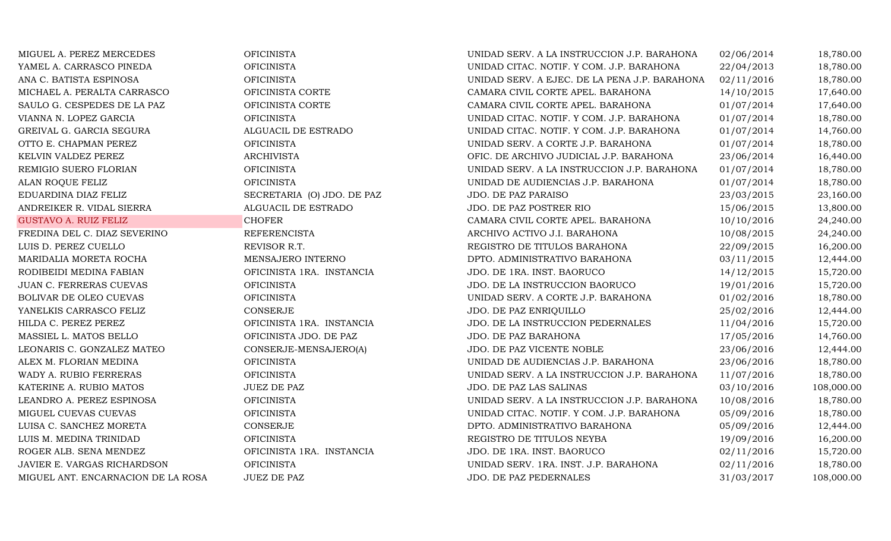| MIGUEL A. PEREZ MERCEDES           | <b>OFICINISTA</b>          | UNIDAD SERV. A LA INSTRUCCION J.P. BARAHONA   | 02/06/2014 | 18,780.00  |
|------------------------------------|----------------------------|-----------------------------------------------|------------|------------|
| YAMEL A. CARRASCO PINEDA           | <b>OFICINISTA</b>          | UNIDAD CITAC. NOTIF. Y COM. J.P. BARAHONA     | 22/04/2013 | 18,780.00  |
| ANA C. BATISTA ESPINOSA            | <b>OFICINISTA</b>          | UNIDAD SERV. A EJEC. DE LA PENA J.P. BARAHONA | 02/11/2016 | 18,780.00  |
| MICHAEL A. PERALTA CARRASCO        | OFICINISTA CORTE           | CAMARA CIVIL CORTE APEL. BARAHONA             | 14/10/2015 | 17,640.00  |
| SAULO G. CESPEDES DE LA PAZ        | OFICINISTA CORTE           | CAMARA CIVIL CORTE APEL. BARAHONA             | 01/07/2014 | 17,640.00  |
| VIANNA N. LOPEZ GARCIA             | <b>OFICINISTA</b>          | UNIDAD CITAC. NOTIF. Y COM. J.P. BARAHONA     | 01/07/2014 | 18,780.00  |
| GREIVAL G. GARCIA SEGURA           | ALGUACIL DE ESTRADO        | UNIDAD CITAC. NOTIF. Y COM. J.P. BARAHONA     | 01/07/2014 | 14,760.00  |
| OTTO E. CHAPMAN PEREZ              | <b>OFICINISTA</b>          | UNIDAD SERV. A CORTE J.P. BARAHONA            | 01/07/2014 | 18,780.00  |
| KELVIN VALDEZ PEREZ                | <b>ARCHIVISTA</b>          | OFIC. DE ARCHIVO JUDICIAL J.P. BARAHONA       | 23/06/2014 | 16,440.00  |
| REMIGIO SUERO FLORIAN              | <b>OFICINISTA</b>          | UNIDAD SERV. A LA INSTRUCCION J.P. BARAHONA   | 01/07/2014 | 18,780.00  |
| ALAN ROQUE FELIZ                   | <b>OFICINISTA</b>          | UNIDAD DE AUDIENCIAS J.P. BARAHONA            | 01/07/2014 | 18,780.00  |
| EDUARDINA DIAZ FELIZ               | SECRETARIA (O) JDO. DE PAZ | JDO. DE PAZ PARAISO                           | 23/03/2015 | 23,160.00  |
| ANDREIKER R. VIDAL SIERRA          | ALGUACIL DE ESTRADO        | JDO. DE PAZ POSTRER RIO                       | 15/06/2015 | 13,800.00  |
| <b>GUSTAVO A. RUIZ FELIZ</b>       | <b>CHOFER</b>              | CAMARA CIVIL CORTE APEL. BARAHONA             | 10/10/2016 | 24,240.00  |
| FREDINA DEL C. DIAZ SEVERINO       | <b>REFERENCISTA</b>        | ARCHIVO ACTIVO J.I. BARAHONA                  | 10/08/2015 | 24,240.00  |
| LUIS D. PEREZ CUELLO               | REVISOR R.T.               | REGISTRO DE TITULOS BARAHONA                  | 22/09/2015 | 16,200.00  |
| MARIDALIA MORETA ROCHA             | MENSAJERO INTERNO          | DPTO. ADMINISTRATIVO BARAHONA                 | 03/11/2015 | 12,444.00  |
| RODIBEIDI MEDINA FABIAN            | OFICINISTA 1RA. INSTANCIA  | JDO. DE 1RA. INST. BAORUCO                    | 14/12/2015 | 15,720.00  |
| JUAN C. FERRERAS CUEVAS            | <b>OFICINISTA</b>          | JDO. DE LA INSTRUCCION BAORUCO                | 19/01/2016 | 15,720.00  |
| BOLIVAR DE OLEO CUEVAS             | <b>OFICINISTA</b>          | UNIDAD SERV. A CORTE J.P. BARAHONA            | 01/02/2016 | 18,780.00  |
| YANELKIS CARRASCO FELIZ            | <b>CONSERJE</b>            | JDO. DE PAZ ENRIQUILLO                        | 25/02/2016 | 12,444.00  |
| HILDA C. PEREZ PEREZ               | OFICINISTA 1RA. INSTANCIA  | JDO. DE LA INSTRUCCION PEDERNALES             | 11/04/2016 | 15,720.00  |
| MASSIEL L. MATOS BELLO             | OFICINISTA JDO. DE PAZ     | JDO. DE PAZ BARAHONA                          | 17/05/2016 | 14,760.00  |
| LEONARIS C. GONZALEZ MATEO         | CONSERJE-MENSAJERO(A)      | JDO. DE PAZ VICENTE NOBLE                     | 23/06/2016 | 12,444.00  |
| ALEX M. FLORIAN MEDINA             | <b>OFICINISTA</b>          | UNIDAD DE AUDIENCIAS J.P. BARAHONA            | 23/06/2016 | 18,780.00  |
| WADY A. RUBIO FERRERAS             | <b>OFICINISTA</b>          | UNIDAD SERV. A LA INSTRUCCION J.P. BARAHONA   | 11/07/2016 | 18,780.00  |
| KATERINE A. RUBIO MATOS            | <b>JUEZ DE PAZ</b>         | JDO. DE PAZ LAS SALINAS                       | 03/10/2016 | 108,000.00 |
| LEANDRO A. PEREZ ESPINOSA          | <b>OFICINISTA</b>          | UNIDAD SERV. A LA INSTRUCCION J.P. BARAHONA   | 10/08/2016 | 18,780.00  |
| MIGUEL CUEVAS CUEVAS               | <b>OFICINISTA</b>          | UNIDAD CITAC. NOTIF. Y COM. J.P. BARAHONA     | 05/09/2016 | 18,780.00  |
| LUISA C. SANCHEZ MORETA            | CONSERJE                   | DPTO. ADMINISTRATIVO BARAHONA                 | 05/09/2016 | 12,444.00  |
| LUIS M. MEDINA TRINIDAD            | <b>OFICINISTA</b>          | REGISTRO DE TITULOS NEYBA                     | 19/09/2016 | 16,200.00  |
| ROGER ALB. SENA MENDEZ             | OFICINISTA 1RA. INSTANCIA  | JDO. DE 1RA. INST. BAORUCO                    | 02/11/2016 | 15,720.00  |
| JAVIER E. VARGAS RICHARDSON        | <b>OFICINISTA</b>          | UNIDAD SERV. 1RA. INST. J.P. BARAHONA         | 02/11/2016 | 18,780.00  |
| MIGUEL ANT. ENCARNACION DE LA ROSA | <b>JUEZ DE PAZ</b>         | JDO. DE PAZ PEDERNALES                        | 31/03/2017 | 108,000.00 |
|                                    |                            |                                               |            |            |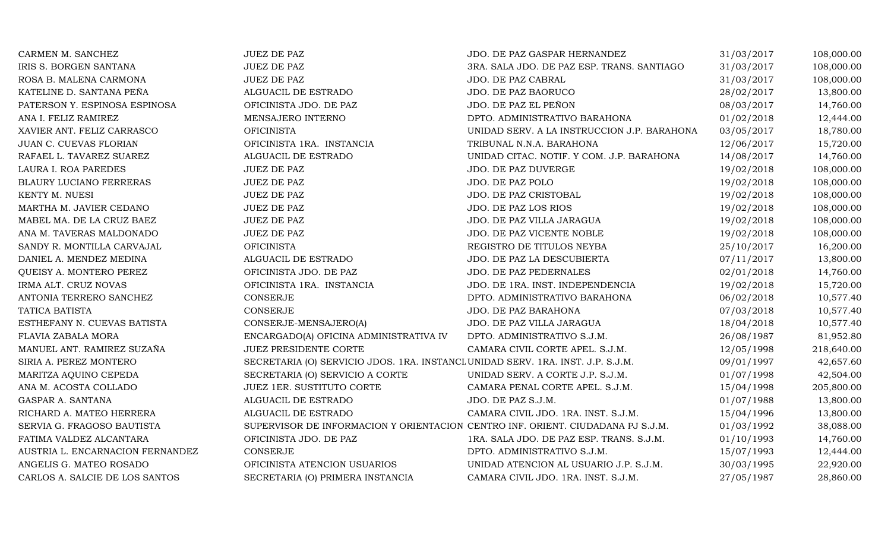| CARMEN M. SANCHEZ                | <b>JUEZ DE PAZ</b>                                                              | JDO. DE PAZ GASPAR HERNANDEZ                | 31/03/2017 | 108,000.00 |
|----------------------------------|---------------------------------------------------------------------------------|---------------------------------------------|------------|------------|
| IRIS S. BORGEN SANTANA           | <b>JUEZ DE PAZ</b>                                                              | 3RA. SALA JDO. DE PAZ ESP. TRANS. SANTIAGO  | 31/03/2017 | 108,000.00 |
| ROSA B. MALENA CARMONA           | <b>JUEZ DE PAZ</b>                                                              | JDO. DE PAZ CABRAL                          | 31/03/2017 | 108,000.00 |
| KATELINE D. SANTANA PEÑA         | ALGUACIL DE ESTRADO                                                             | JDO. DE PAZ BAORUCO                         | 28/02/2017 | 13,800.00  |
| PATERSON Y. ESPINOSA ESPINOSA    | OFICINISTA JDO. DE PAZ                                                          | JDO. DE PAZ EL PEÑON                        | 08/03/2017 | 14,760.00  |
| ANA I. FELIZ RAMIREZ             | MENSAJERO INTERNO                                                               | DPTO. ADMINISTRATIVO BARAHONA               | 01/02/2018 | 12,444.00  |
| XAVIER ANT. FELIZ CARRASCO       | <b>OFICINISTA</b>                                                               | UNIDAD SERV. A LA INSTRUCCION J.P. BARAHONA | 03/05/2017 | 18,780.00  |
| JUAN C. CUEVAS FLORIAN           | OFICINISTA 1RA. INSTANCIA                                                       | TRIBUNAL N.N.A. BARAHONA                    | 12/06/2017 | 15,720.00  |
| RAFAEL L. TAVAREZ SUAREZ         | ALGUACIL DE ESTRADO                                                             | UNIDAD CITAC. NOTIF. Y COM. J.P. BARAHONA   | 14/08/2017 | 14,760.00  |
| LAURA I. ROA PAREDES             | <b>JUEZ DE PAZ</b>                                                              | JDO. DE PAZ DUVERGE                         | 19/02/2018 | 108,000.00 |
| BLAURY LUCIANO FERRERAS          | JUEZ DE PAZ                                                                     | JDO. DE PAZ POLO                            | 19/02/2018 | 108,000.00 |
| KENTY M. NUESI                   | JUEZ DE PAZ                                                                     | JDO. DE PAZ CRISTOBAL                       | 19/02/2018 | 108,000.00 |
| MARTHA M. JAVIER CEDANO          | JUEZ DE PAZ                                                                     | JDO. DE PAZ LOS RIOS                        | 19/02/2018 | 108,000.00 |
| MABEL MA. DE LA CRUZ BAEZ        | <b>JUEZ DE PAZ</b>                                                              | JDO. DE PAZ VILLA JARAGUA                   | 19/02/2018 | 108,000.00 |
| ANA M. TAVERAS MALDONADO         | <b>JUEZ DE PAZ</b>                                                              | JDO. DE PAZ VICENTE NOBLE                   | 19/02/2018 | 108,000.00 |
| SANDY R. MONTILLA CARVAJAL       | <b>OFICINISTA</b>                                                               | REGISTRO DE TITULOS NEYBA                   | 25/10/2017 | 16,200.00  |
| DANIEL A. MENDEZ MEDINA          | ALGUACIL DE ESTRADO                                                             | JDO. DE PAZ LA DESCUBIERTA                  | 07/11/2017 | 13,800.00  |
| QUEISY A. MONTERO PEREZ          | OFICINISTA JDO. DE PAZ                                                          | JDO. DE PAZ PEDERNALES                      | 02/01/2018 | 14,760.00  |
| IRMA ALT. CRUZ NOVAS             | OFICINISTA 1RA. INSTANCIA                                                       | JDO. DE 1RA. INST. INDEPENDENCIA            | 19/02/2018 | 15,720.00  |
| ANTONIA TERRERO SANCHEZ          | <b>CONSERJE</b>                                                                 | DPTO. ADMINISTRATIVO BARAHONA               | 06/02/2018 | 10,577.40  |
| TATICA BATISTA                   | <b>CONSERJE</b>                                                                 | JDO. DE PAZ BARAHONA                        | 07/03/2018 | 10,577.40  |
| ESTHEFANY N. CUEVAS BATISTA      | CONSERJE-MENSAJERO(A)                                                           | JDO. DE PAZ VILLA JARAGUA                   | 18/04/2018 | 10,577.40  |
| FLAVIA ZABALA MORA               | ENCARGADO(A) OFICINA ADMINISTRATIVA IV                                          | DPTO. ADMINISTRATIVO S.J.M.                 | 26/08/1987 | 81,952.80  |
| MANUEL ANT. RAMIREZ SUZAÑA       | <b>JUEZ PRESIDENTE CORTE</b>                                                    | CAMARA CIVIL CORTE APEL. S.J.M.             | 12/05/1998 | 218,640.00 |
| SIRIA A. PEREZ MONTERO           | SECRETARIA (O) SERVICIO JDOS. 1RA. INSTANCI UNIDAD SERV. 1RA. INST. J.P. S.J.M. |                                             | 09/01/1997 | 42,657.60  |
| MARITZA AQUINO CEPEDA            | SECRETARIA (O) SERVICIO A CORTE                                                 | UNIDAD SERV. A CORTE J.P. S.J.M.            | 01/07/1998 | 42,504.00  |
| ANA M. ACOSTA COLLADO            | JUEZ 1ER. SUSTITUTO CORTE                                                       | CAMARA PENAL CORTE APEL. S.J.M.             | 15/04/1998 | 205,800.00 |
| GASPAR A. SANTANA                | ALGUACIL DE ESTRADO                                                             | JDO. DE PAZ S.J.M.                          | 01/07/1988 | 13,800.00  |
| RICHARD A. MATEO HERRERA         | ALGUACIL DE ESTRADO                                                             | CAMARA CIVIL JDO. 1RA. INST. S.J.M.         | 15/04/1996 | 13,800.00  |
| SERVIA G. FRAGOSO BAUTISTA       | SUPERVISOR DE INFORMACION Y ORIENTACION CENTRO INF. ORIENT. CIUDADANA PJ S.J.M. |                                             | 01/03/1992 | 38,088.00  |
| FATIMA VALDEZ ALCANTARA          | OFICINISTA JDO. DE PAZ                                                          | 1RA. SALA JDO. DE PAZ ESP. TRANS. S.J.M.    | 01/10/1993 | 14,760.00  |
| AUSTRIA L. ENCARNACION FERNANDEZ | <b>CONSERJE</b>                                                                 | DPTO. ADMINISTRATIVO S.J.M.                 | 15/07/1993 | 12,444.00  |
| ANGELIS G. MATEO ROSADO          | OFICINISTA ATENCION USUARIOS                                                    | UNIDAD ATENCION AL USUARIO J.P. S.J.M.      | 30/03/1995 | 22,920.00  |
| CARLOS A. SALCIE DE LOS SANTOS   | SECRETARIA (O) PRIMERA INSTANCIA                                                | CAMARA CIVIL JDO. 1RA. INST. S.J.M.         | 27/05/1987 | 28,860.00  |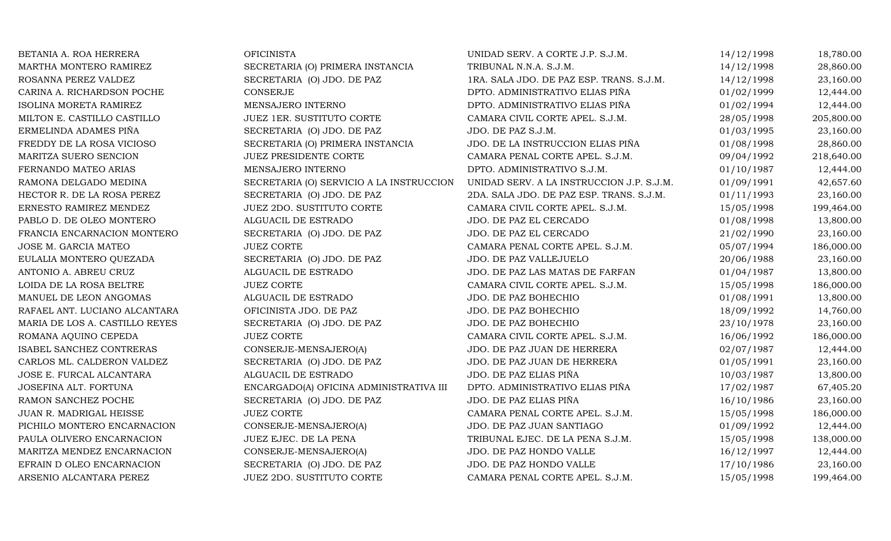| BETANIA A. ROA HERRERA         | <b>OFICINISTA</b>                        | UNIDAD SERV. A CORTE J.P. S.J.M.          | 14/12/1998 | 18,780.00  |
|--------------------------------|------------------------------------------|-------------------------------------------|------------|------------|
| MARTHA MONTERO RAMIREZ         | SECRETARIA (O) PRIMERA INSTANCIA         | TRIBUNAL N.N.A. S.J.M.                    | 14/12/1998 | 28,860.00  |
| ROSANNA PEREZ VALDEZ           | SECRETARIA (O) JDO. DE PAZ               | 1RA. SALA JDO. DE PAZ ESP. TRANS. S.J.M.  | 14/12/1998 | 23,160.00  |
| CARINA A. RICHARDSON POCHE     | CONSERJE                                 | DPTO. ADMINISTRATIVO ELIAS PIÑA           | 01/02/1999 | 12,444.00  |
| <b>ISOLINA MORETA RAMIREZ</b>  | MENSAJERO INTERNO                        | DPTO. ADMINISTRATIVO ELIAS PIÑA           | 01/02/1994 | 12,444.00  |
| MILTON E. CASTILLO CASTILLO    | JUEZ 1ER. SUSTITUTO CORTE                | CAMARA CIVIL CORTE APEL. S.J.M.           | 28/05/1998 | 205,800.00 |
| ERMELINDA ADAMES PIÑA          | SECRETARIA (O) JDO. DE PAZ               | JDO. DE PAZ S.J.M.                        | 01/03/1995 | 23,160.00  |
| FREDDY DE LA ROSA VICIOSO      | SECRETARIA (O) PRIMERA INSTANCIA         | JDO. DE LA INSTRUCCION ELIAS PIÑA         | 01/08/1998 | 28,860.00  |
| MARITZA SUERO SENCION          | JUEZ PRESIDENTE CORTE                    | CAMARA PENAL CORTE APEL. S.J.M.           | 09/04/1992 | 218,640.00 |
| FERNANDO MATEO ARIAS           | MENSAJERO INTERNO                        | DPTO. ADMINISTRATIVO S.J.M.               | 01/10/1987 | 12,444.00  |
| RAMONA DELGADO MEDINA          | SECRETARIA (O) SERVICIO A LA INSTRUCCION | UNIDAD SERV. A LA INSTRUCCION J.P. S.J.M. | 01/09/1991 | 42,657.60  |
| HECTOR R. DE LA ROSA PEREZ     | SECRETARIA (O) JDO. DE PAZ               | 2DA. SALA JDO. DE PAZ ESP. TRANS. S.J.M.  | 01/11/1993 | 23,160.00  |
| ERNESTO RAMIREZ MENDEZ         | JUEZ 2DO. SUSTITUTO CORTE                | CAMARA CIVIL CORTE APEL. S.J.M.           | 15/05/1998 | 199,464.00 |
| PABLO D. DE OLEO MONTERO       | ALGUACIL DE ESTRADO                      | JDO. DE PAZ EL CERCADO                    | 01/08/1998 | 13,800.00  |
| FRANCIA ENCARNACION MONTERO    | SECRETARIA (O) JDO. DE PAZ               | JDO. DE PAZ EL CERCADO                    | 21/02/1990 | 23,160.00  |
| JOSE M. GARCIA MATEO           | <b>JUEZ CORTE</b>                        | CAMARA PENAL CORTE APEL. S.J.M.           | 05/07/1994 | 186,000.00 |
| EULALIA MONTERO QUEZADA        | SECRETARIA (O) JDO. DE PAZ               | JDO. DE PAZ VALLEJUELO                    | 20/06/1988 | 23,160.00  |
| ANTONIO A. ABREU CRUZ          | ALGUACIL DE ESTRADO                      | JDO. DE PAZ LAS MATAS DE FARFAN           | 01/04/1987 | 13,800.00  |
| LOIDA DE LA ROSA BELTRE        | <b>JUEZ CORTE</b>                        | CAMARA CIVIL CORTE APEL. S.J.M.           | 15/05/1998 | 186,000.00 |
| MANUEL DE LEON ANGOMAS         | ALGUACIL DE ESTRADO                      | JDO. DE PAZ BOHECHIO                      | 01/08/1991 | 13,800.00  |
| RAFAEL ANT. LUCIANO ALCANTARA  | OFICINISTA JDO. DE PAZ                   | JDO. DE PAZ BOHECHIO                      | 18/09/1992 | 14,760.00  |
| MARIA DE LOS A. CASTILLO REYES | SECRETARIA (O) JDO. DE PAZ               | JDO. DE PAZ BOHECHIO                      | 23/10/1978 | 23,160.00  |
| ROMANA AQUINO CEPEDA           | <b>JUEZ CORTE</b>                        | CAMARA CIVIL CORTE APEL. S.J.M.           | 16/06/1992 | 186,000.00 |
| ISABEL SANCHEZ CONTRERAS       | CONSERJE-MENSAJERO(A)                    | JDO. DE PAZ JUAN DE HERRERA               | 02/07/1987 | 12,444.00  |
| CARLOS ML. CALDERON VALDEZ     | SECRETARIA (O) JDO. DE PAZ               | JDO. DE PAZ JUAN DE HERRERA               | 01/05/1991 | 23,160.00  |
| JOSE E. FURCAL ALCANTARA       | ALGUACIL DE ESTRADO                      | JDO. DE PAZ ELIAS PIÑA                    | 10/03/1987 | 13,800.00  |
| JOSEFINA ALT. FORTUNA          | ENCARGADO(A) OFICINA ADMINISTRATIVA III  | DPTO. ADMINISTRATIVO ELIAS PIÑA           | 17/02/1987 | 67,405.20  |
| RAMON SANCHEZ POCHE            | SECRETARIA (O) JDO. DE PAZ               | JDO. DE PAZ ELIAS PIÑA                    | 16/10/1986 | 23,160.00  |
| JUAN R. MADRIGAL HEISSE        | <b>JUEZ CORTE</b>                        | CAMARA PENAL CORTE APEL. S.J.M.           | 15/05/1998 | 186,000.00 |
| PICHILO MONTERO ENCARNACION    | CONSERJE-MENSAJERO(A)                    | JDO. DE PAZ JUAN SANTIAGO                 | 01/09/1992 | 12,444.00  |
| PAULA OLIVERO ENCARNACION      | JUEZ EJEC. DE LA PENA                    | TRIBUNAL EJEC. DE LA PENA S.J.M.          | 15/05/1998 | 138,000.00 |
| MARITZA MENDEZ ENCARNACION     | CONSERJE-MENSAJERO(A)                    | JDO. DE PAZ HONDO VALLE                   | 16/12/1997 | 12,444.00  |
| EFRAIN D OLEO ENCARNACION      | SECRETARIA (O) JDO. DE PAZ               | JDO. DE PAZ HONDO VALLE                   | 17/10/1986 | 23,160.00  |
| ARSENIO ALCANTARA PEREZ        | JUEZ 2DO. SUSTITUTO CORTE                | CAMARA PENAL CORTE APEL. S.J.M.           | 15/05/1998 | 199,464.00 |
|                                |                                          |                                           |            |            |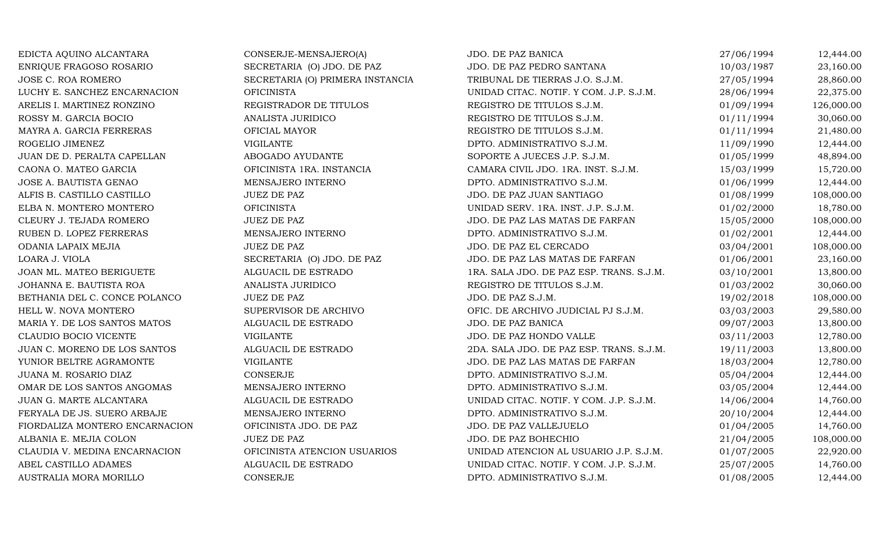| EDICTA AQUINO ALCANTARA        | CONSERJE-MENSAJERO(A)            | JDO. DE PAZ BANICA                       | 27/06/1994 | 12,444.00  |
|--------------------------------|----------------------------------|------------------------------------------|------------|------------|
| ENRIQUE FRAGOSO ROSARIO        | SECRETARIA (O) JDO. DE PAZ       | JDO. DE PAZ PEDRO SANTANA                | 10/03/1987 | 23,160.00  |
| JOSE C. ROA ROMERO             | SECRETARIA (O) PRIMERA INSTANCIA | TRIBUNAL DE TIERRAS J.O. S.J.M.          | 27/05/1994 | 28,860.00  |
| LUCHY E. SANCHEZ ENCARNACION   | <b>OFICINISTA</b>                | UNIDAD CITAC. NOTIF. Y COM. J.P. S.J.M.  | 28/06/1994 | 22,375.00  |
| ARELIS I. MARTINEZ RONZINO     | REGISTRADOR DE TITULOS           | REGISTRO DE TITULOS S.J.M.               | 01/09/1994 | 126,000.00 |
| ROSSY M. GARCIA BOCIO          | ANALISTA JURIDICO                | REGISTRO DE TITULOS S.J.M.               | 01/11/1994 | 30,060.00  |
| MAYRA A. GARCIA FERRERAS       | OFICIAL MAYOR                    | REGISTRO DE TITULOS S.J.M.               | 01/11/1994 | 21,480.00  |
| ROGELIO JIMENEZ                | <b>VIGILANTE</b>                 | DPTO. ADMINISTRATIVO S.J.M.              | 11/09/1990 | 12,444.00  |
| JUAN DE D. PERALTA CAPELLAN    | ABOGADO AYUDANTE                 | SOPORTE A JUECES J.P. S.J.M.             | 01/05/1999 | 48,894.00  |
| CAONA O. MATEO GARCIA          | OFICINISTA 1RA. INSTANCIA        | CAMARA CIVIL JDO. 1RA. INST. S.J.M.      | 15/03/1999 | 15,720.00  |
| JOSE A. BAUTISTA GENAO         | MENSAJERO INTERNO                | DPTO. ADMINISTRATIVO S.J.M.              | 01/06/1999 | 12,444.00  |
| ALFIS B. CASTILLO CASTILLO     | <b>JUEZ DE PAZ</b>               | JDO. DE PAZ JUAN SANTIAGO                | 01/08/1999 | 108,000.00 |
| ELBA N. MONTERO MONTERO        | <b>OFICINISTA</b>                | UNIDAD SERV. 1RA. INST. J.P. S.J.M.      | 01/02/2000 | 18,780.00  |
| CLEURY J. TEJADA ROMERO        | <b>JUEZ DE PAZ</b>               | JDO. DE PAZ LAS MATAS DE FARFAN          | 15/05/2000 | 108,000.00 |
| RUBEN D. LOPEZ FERRERAS        | MENSAJERO INTERNO                | DPTO. ADMINISTRATIVO S.J.M.              | 01/02/2001 | 12,444.00  |
| ODANIA LAPAIX MEJIA            | <b>JUEZ DE PAZ</b>               | JDO. DE PAZ EL CERCADO                   | 03/04/2001 | 108,000.00 |
| LOARA J. VIOLA                 | SECRETARIA (O) JDO. DE PAZ       | JDO. DE PAZ LAS MATAS DE FARFAN          | 01/06/2001 | 23,160.00  |
| JOAN ML. MATEO BERIGUETE       | ALGUACIL DE ESTRADO              | 1RA. SALA JDO. DE PAZ ESP. TRANS. S.J.M. | 03/10/2001 | 13,800.00  |
| JOHANNA E. BAUTISTA ROA        | ANALISTA JURIDICO                | REGISTRO DE TITULOS S.J.M.               | 01/03/2002 | 30,060.00  |
| BETHANIA DEL C. CONCE POLANCO  | <b>JUEZ DE PAZ</b>               | JDO. DE PAZ S.J.M.                       | 19/02/2018 | 108,000.00 |
| HELL W. NOVA MONTERO           | SUPERVISOR DE ARCHIVO            | OFIC. DE ARCHIVO JUDICIAL PJ S.J.M.      | 03/03/2003 | 29,580.00  |
| MARIA Y. DE LOS SANTOS MATOS   | ALGUACIL DE ESTRADO              | JDO. DE PAZ BANICA                       | 09/07/2003 | 13,800.00  |
| CLAUDIO BOCIO VICENTE          | <b>VIGILANTE</b>                 | JDO. DE PAZ HONDO VALLE                  | 03/11/2003 | 12,780.00  |
| JUAN C. MORENO DE LOS SANTOS   | ALGUACIL DE ESTRADO              | 2DA. SALA JDO. DE PAZ ESP. TRANS. S.J.M. | 19/11/2003 | 13,800.00  |
| YUNIOR BELTRE AGRAMONTE        | <b>VIGILANTE</b>                 | JDO. DE PAZ LAS MATAS DE FARFAN          | 18/03/2004 | 12,780.00  |
| JUANA M. ROSARIO DIAZ          | CONSERJE                         | DPTO. ADMINISTRATIVO S.J.M.              | 05/04/2004 | 12,444.00  |
| OMAR DE LOS SANTOS ANGOMAS     | MENSAJERO INTERNO                | DPTO. ADMINISTRATIVO S.J.M.              | 03/05/2004 | 12,444.00  |
| JUAN G. MARTE ALCANTARA        | ALGUACIL DE ESTRADO              | UNIDAD CITAC. NOTIF. Y COM. J.P. S.J.M.  | 14/06/2004 | 14,760.00  |
| FERYALA DE JS. SUERO ARBAJE    | MENSAJERO INTERNO                | DPTO. ADMINISTRATIVO S.J.M.              | 20/10/2004 | 12,444.00  |
| FIORDALIZA MONTERO ENCARNACION | OFICINISTA JDO. DE PAZ           | JDO. DE PAZ VALLEJUELO                   | 01/04/2005 | 14,760.00  |
| ALBANIA E. MEJIA COLON         | <b>JUEZ DE PAZ</b>               | JDO. DE PAZ BOHECHIO                     | 21/04/2005 | 108,000.00 |
| CLAUDIA V. MEDINA ENCARNACION  | OFICINISTA ATENCION USUARIOS     | UNIDAD ATENCION AL USUARIO J.P. S.J.M.   | 01/07/2005 | 22,920.00  |
| ABEL CASTILLO ADAMES           | ALGUACIL DE ESTRADO              | UNIDAD CITAC. NOTIF. Y COM. J.P. S.J.M.  | 25/07/2005 | 14,760.00  |
| AUSTRALIA MORA MORILLO         | CONSERJE                         | DPTO. ADMINISTRATIVO S.J.M.              | 01/08/2005 | 12,444.00  |
|                                |                                  |                                          |            |            |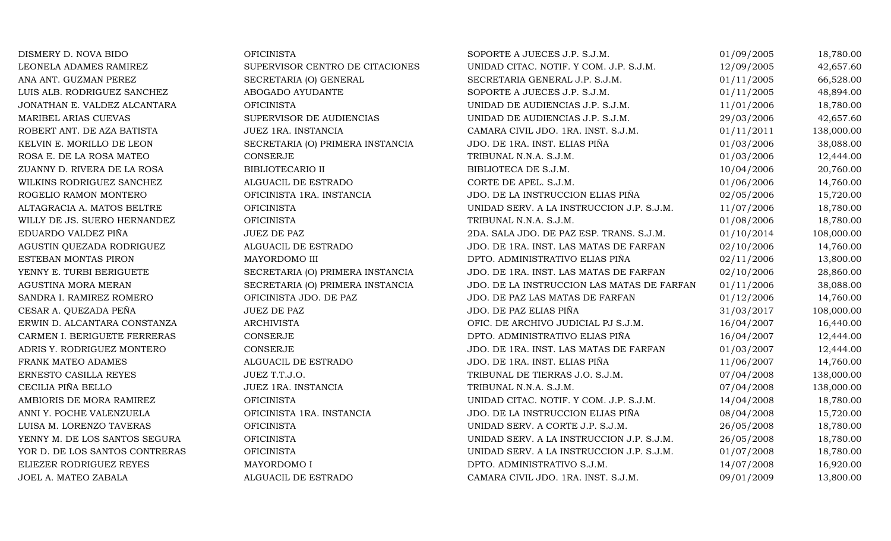| DISMERY D. NOVA BIDO           | <b>OFICINISTA</b>                | SOPORTE A JUECES J.P. S.J.M.               | 01/09/2005 | 18,780.00  |
|--------------------------------|----------------------------------|--------------------------------------------|------------|------------|
| LEONELA ADAMES RAMIREZ         | SUPERVISOR CENTRO DE CITACIONES  | UNIDAD CITAC. NOTIF. Y COM. J.P. S.J.M.    | 12/09/2005 | 42,657.60  |
| ANA ANT. GUZMAN PEREZ          | SECRETARIA (O) GENERAL           | SECRETARIA GENERAL J.P. S.J.M.             | 01/11/2005 | 66,528.00  |
| LUIS ALB. RODRIGUEZ SANCHEZ    | ABOGADO AYUDANTE                 | SOPORTE A JUECES J.P. S.J.M.               | 01/11/2005 | 48,894.00  |
| JONATHAN E. VALDEZ ALCANTARA   | <b>OFICINISTA</b>                | UNIDAD DE AUDIENCIAS J.P. S.J.M.           | 11/01/2006 | 18,780.00  |
| MARIBEL ARIAS CUEVAS           | SUPERVISOR DE AUDIENCIAS         | UNIDAD DE AUDIENCIAS J.P. S.J.M.           | 29/03/2006 | 42,657.60  |
| ROBERT ANT. DE AZA BATISTA     | JUEZ 1RA. INSTANCIA              | CAMARA CIVIL JDO. 1RA. INST. S.J.M.        | 01/11/2011 | 138,000.00 |
| KELVIN E. MORILLO DE LEON      | SECRETARIA (O) PRIMERA INSTANCIA | JDO. DE 1RA. INST. ELIAS PIÑA              | 01/03/2006 | 38,088.00  |
| ROSA E. DE LA ROSA MATEO       | <b>CONSERJE</b>                  | TRIBUNAL N.N.A. S.J.M.                     | 01/03/2006 | 12,444.00  |
| ZUANNY D. RIVERA DE LA ROSA    | <b>BIBLIOTECARIO II</b>          | BIBLIOTECA DE S.J.M.                       | 10/04/2006 | 20,760.00  |
| WILKINS RODRIGUEZ SANCHEZ      | ALGUACIL DE ESTRADO              | CORTE DE APEL. S.J.M.                      | 01/06/2006 | 14,760.00  |
| ROGELIO RAMON MONTERO          | OFICINISTA 1RA. INSTANCIA        | JDO. DE LA INSTRUCCION ELIAS PIÑA          | 02/05/2006 | 15,720.00  |
| ALTAGRACIA A. MATOS BELTRE     | <b>OFICINISTA</b>                | UNIDAD SERV. A LA INSTRUCCION J.P. S.J.M.  | 11/07/2006 | 18,780.00  |
| WILLY DE JS. SUERO HERNANDEZ   | <b>OFICINISTA</b>                | TRIBUNAL N.N.A. S.J.M.                     | 01/08/2006 | 18,780.00  |
| EDUARDO VALDEZ PIÑA            | JUEZ DE PAZ                      | 2DA. SALA JDO. DE PAZ ESP. TRANS. S.J.M.   | 01/10/2014 | 108,000.00 |
| AGUSTIN QUEZADA RODRIGUEZ      | ALGUACIL DE ESTRADO              | JDO. DE 1RA. INST. LAS MATAS DE FARFAN     | 02/10/2006 | 14,760.00  |
| ESTEBAN MONTAS PIRON           | MAYORDOMO III                    | DPTO. ADMINISTRATIVO ELIAS PIÑA            | 02/11/2006 | 13,800.00  |
| YENNY E. TURBI BERIGUETE       | SECRETARIA (O) PRIMERA INSTANCIA | JDO. DE 1RA. INST. LAS MATAS DE FARFAN     | 02/10/2006 | 28,860.00  |
| AGUSTINA MORA MERAN            | SECRETARIA (O) PRIMERA INSTANCIA | JDO. DE LA INSTRUCCION LAS MATAS DE FARFAN | 01/11/2006 | 38,088.00  |
| SANDRA I. RAMIREZ ROMERO       | OFICINISTA JDO. DE PAZ           | JDO. DE PAZ LAS MATAS DE FARFAN            | 01/12/2006 | 14,760.00  |
| CESAR A. QUEZADA PEÑA          | JUEZ DE PAZ                      | JDO. DE PAZ ELIAS PIÑA                     | 31/03/2017 | 108,000.00 |
| ERWIN D. ALCANTARA CONSTANZA   | <b>ARCHIVISTA</b>                | OFIC. DE ARCHIVO JUDICIAL PJ S.J.M.        | 16/04/2007 | 16,440.00  |
| CARMEN I. BERIGUETE FERRERAS   | CONSERJE                         | DPTO. ADMINISTRATIVO ELIAS PIÑA            | 16/04/2007 | 12,444.00  |
| ADRIS Y. RODRIGUEZ MONTERO     | <b>CONSERJE</b>                  | JDO. DE 1RA. INST. LAS MATAS DE FARFAN     | 01/03/2007 | 12,444.00  |
| FRANK MATEO ADAMES             | ALGUACIL DE ESTRADO              | JDO. DE 1RA. INST. ELIAS PIÑA              | 11/06/2007 | 14,760.00  |
| ERNESTO CASILLA REYES          | JUEZ T.T.J.O.                    | TRIBUNAL DE TIERRAS J.O. S.J.M.            | 07/04/2008 | 138,000.00 |
| CECILIA PIÑA BELLO             | JUEZ 1RA. INSTANCIA              | TRIBUNAL N.N.A. S.J.M.                     | 07/04/2008 | 138,000.00 |
| AMBIORIS DE MORA RAMIREZ       | <b>OFICINISTA</b>                | UNIDAD CITAC. NOTIF. Y COM. J.P. S.J.M.    | 14/04/2008 | 18,780.00  |
| ANNI Y. POCHE VALENZUELA       | OFICINISTA 1RA. INSTANCIA        | JDO. DE LA INSTRUCCION ELIAS PIÑA          | 08/04/2008 | 15,720.00  |
| LUISA M. LORENZO TAVERAS       | <b>OFICINISTA</b>                | UNIDAD SERV. A CORTE J.P. S.J.M.           | 26/05/2008 | 18,780.00  |
| YENNY M. DE LOS SANTOS SEGURA  | <b>OFICINISTA</b>                | UNIDAD SERV. A LA INSTRUCCION J.P. S.J.M.  | 26/05/2008 | 18,780.00  |
| YOR D. DE LOS SANTOS CONTRERAS | <b>OFICINISTA</b>                | UNIDAD SERV. A LA INSTRUCCION J.P. S.J.M.  | 01/07/2008 | 18,780.00  |
| ELIEZER RODRIGUEZ REYES        | MAYORDOMO I                      | DPTO. ADMINISTRATIVO S.J.M.                | 14/07/2008 | 16,920.00  |
| JOEL A. MATEO ZABALA           | ALGUACIL DE ESTRADO              | CAMARA CIVIL JDO. 1RA. INST. S.J.M.        | 09/01/2009 | 13,800.00  |
|                                |                                  |                                            |            |            |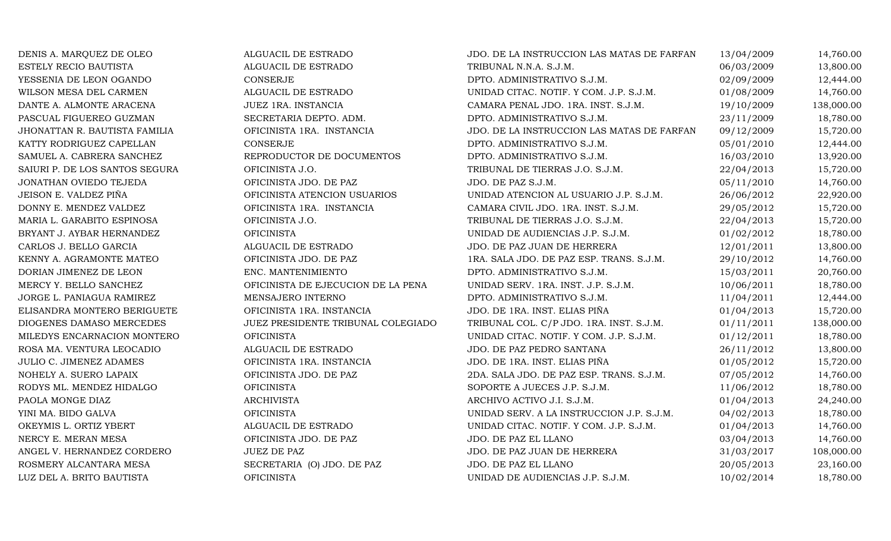| DENIS A. MARQUEZ DE OLEO       | ALGUACIL DE ESTRADO                | JDO. DE LA INSTRUCCION LAS MATAS DE FARFAN | 13/04/2009 | 14,760.00  |
|--------------------------------|------------------------------------|--------------------------------------------|------------|------------|
| ESTELY RECIO BAUTISTA          | ALGUACIL DE ESTRADO                | TRIBUNAL N.N.A. S.J.M.                     | 06/03/2009 | 13,800.00  |
| YESSENIA DE LEON OGANDO        | CONSERJE                           | DPTO. ADMINISTRATIVO S.J.M.                | 02/09/2009 | 12,444.00  |
| WILSON MESA DEL CARMEN         | ALGUACIL DE ESTRADO                | UNIDAD CITAC. NOTIF. Y COM. J.P. S.J.M.    | 01/08/2009 | 14,760.00  |
| DANTE A. ALMONTE ARACENA       | JUEZ 1RA. INSTANCIA                | CAMARA PENAL JDO. 1RA. INST. S.J.M.        | 19/10/2009 | 138,000.00 |
| PASCUAL FIGUEREO GUZMAN        | SECRETARIA DEPTO. ADM.             | DPTO. ADMINISTRATIVO S.J.M.                | 23/11/2009 | 18,780.00  |
| JHONATTAN R. BAUTISTA FAMILIA  | OFICINISTA 1RA. INSTANCIA          | JDO. DE LA INSTRUCCION LAS MATAS DE FARFAN | 09/12/2009 | 15,720.00  |
| KATTY RODRIGUEZ CAPELLAN       | CONSERJE                           | DPTO. ADMINISTRATIVO S.J.M.                | 05/01/2010 | 12,444.00  |
| SAMUEL A. CABRERA SANCHEZ      | REPRODUCTOR DE DOCUMENTOS          | DPTO. ADMINISTRATIVO S.J.M.                | 16/03/2010 | 13,920.00  |
| SAIURI P. DE LOS SANTOS SEGURA | OFICINISTA J.O.                    | TRIBUNAL DE TIERRAS J.O. S.J.M.            | 22/04/2013 | 15,720.00  |
| JONATHAN OVIEDO TEJEDA         | OFICINISTA JDO. DE PAZ             | JDO. DE PAZ S.J.M.                         | 05/11/2010 | 14,760.00  |
| JEISON E. VALDEZ PIÑA          | OFICINISTA ATENCION USUARIOS       | UNIDAD ATENCION AL USUARIO J.P. S.J.M.     | 26/06/2012 | 22,920.00  |
| DONNY E. MENDEZ VALDEZ         | OFICINISTA 1RA. INSTANCIA          | CAMARA CIVIL JDO. 1RA. INST. S.J.M.        | 29/05/2012 | 15,720.00  |
| MARIA L. GARABITO ESPINOSA     | OFICINISTA J.O.                    | TRIBUNAL DE TIERRAS J.O. S.J.M.            | 22/04/2013 | 15,720.00  |
| BRYANT J. AYBAR HERNANDEZ      | <b>OFICINISTA</b>                  | UNIDAD DE AUDIENCIAS J.P. S.J.M.           | 01/02/2012 | 18,780.00  |
| CARLOS J. BELLO GARCIA         | ALGUACIL DE ESTRADO                | JDO. DE PAZ JUAN DE HERRERA                | 12/01/2011 | 13,800.00  |
| KENNY A. AGRAMONTE MATEO       | OFICINISTA JDO. DE PAZ             | 1RA. SALA JDO. DE PAZ ESP. TRANS. S.J.M.   | 29/10/2012 | 14,760.00  |
| DORIAN JIMENEZ DE LEON         | ENC. MANTENIMIENTO                 | DPTO. ADMINISTRATIVO S.J.M.                | 15/03/2011 | 20,760.00  |
| MERCY Y. BELLO SANCHEZ         | OFICINISTA DE EJECUCION DE LA PENA | UNIDAD SERV. 1RA. INST. J.P. S.J.M.        | 10/06/2011 | 18,780.00  |
| JORGE L. PANIAGUA RAMIREZ      | MENSAJERO INTERNO                  | DPTO. ADMINISTRATIVO S.J.M.                | 11/04/2011 | 12,444.00  |
| ELISANDRA MONTERO BERIGUETE    | OFICINISTA 1RA. INSTANCIA          | JDO. DE 1RA. INST. ELIAS PIÑA              | 01/04/2013 | 15,720.00  |
| DIOGENES DAMASO MERCEDES       | JUEZ PRESIDENTE TRIBUNAL COLEGIADO | TRIBUNAL COL. C/P JDO. 1RA. INST. S.J.M.   | 01/11/2011 | 138,000.00 |
| MILEDYS ENCARNACION MONTERO    | <b>OFICINISTA</b>                  | UNIDAD CITAC. NOTIF. Y COM. J.P. S.J.M.    | 01/12/2011 | 18,780.00  |
| ROSA MA. VENTURA LEOCADIO      | ALGUACIL DE ESTRADO                | JDO. DE PAZ PEDRO SANTANA                  | 26/11/2012 | 13,800.00  |
| <b>JULIO C. JIMENEZ ADAMES</b> | OFICINISTA 1RA. INSTANCIA          | JDO. DE 1RA. INST. ELIAS PIÑA              | 01/05/2012 | 15,720.00  |
| NOHELY A. SUERO LAPAIX         | OFICINISTA JDO. DE PAZ             | 2DA. SALA JDO. DE PAZ ESP. TRANS. S.J.M.   | 07/05/2012 | 14,760.00  |
| RODYS ML. MENDEZ HIDALGO       | <b>OFICINISTA</b>                  | SOPORTE A JUECES J.P. S.J.M.               | 11/06/2012 | 18,780.00  |
| PAOLA MONGE DIAZ               | <b>ARCHIVISTA</b>                  | ARCHIVO ACTIVO J.I. S.J.M.                 | 01/04/2013 | 24,240.00  |
| YINI MA. BIDO GALVA            | <b>OFICINISTA</b>                  | UNIDAD SERV. A LA INSTRUCCION J.P. S.J.M.  | 04/02/2013 | 18,780.00  |
| OKEYMIS L. ORTIZ YBERT         | ALGUACIL DE ESTRADO                | UNIDAD CITAC. NOTIF. Y COM. J.P. S.J.M.    | 01/04/2013 | 14,760.00  |
| NERCY E. MERAN MESA            | OFICINISTA JDO. DE PAZ             | JDO. DE PAZ EL LLANO                       | 03/04/2013 | 14,760.00  |
| ANGEL V. HERNANDEZ CORDERO     | JUEZ DE PAZ                        | JDO. DE PAZ JUAN DE HERRERA                | 31/03/2017 | 108,000.00 |
| ROSMERY ALCANTARA MESA         | SECRETARIA (O) JDO. DE PAZ         | JDO. DE PAZ EL LLANO                       | 20/05/2013 | 23,160.00  |
| LUZ DEL A. BRITO BAUTISTA      | <b>OFICINISTA</b>                  | UNIDAD DE AUDIENCIAS J.P. S.J.M.           | 10/02/2014 | 18,780.00  |
|                                |                                    |                                            |            |            |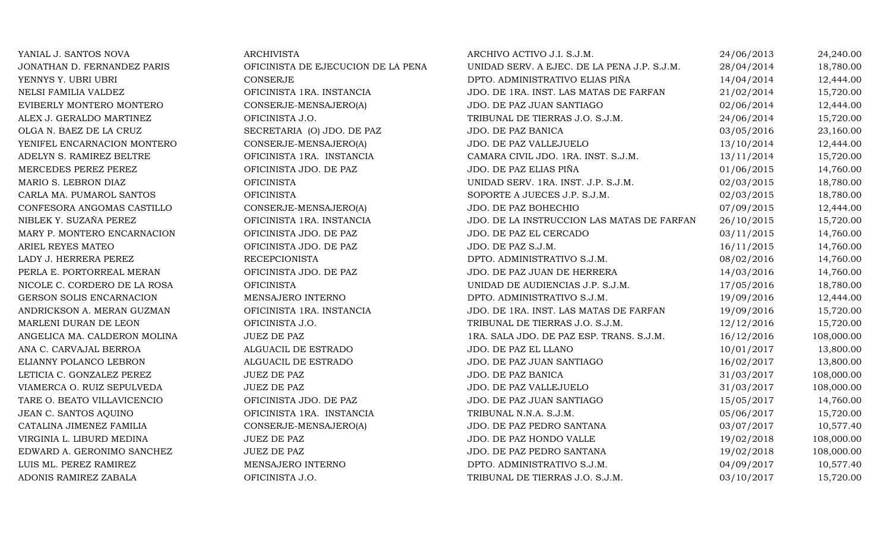| ARCHIVISTA                         |
|------------------------------------|
| OFICINISTA DE EJECUCION DE LA PENA |
| CONSERJE                           |
| OFICINISTA 1RA. INSTANCIA          |
| CONSERJE-MENSAJERO(A)              |
| OFICINISTA J.O.                    |
| SECRETARIA (O) JDO. DE PAZ         |
| CONSERJE-MENSAJERO(A)              |
| OFICINISTA 1RA. INSTANCIA          |
| OFICINISTA JDO. DE PAZ             |
| OFICINISTA                         |
| <b>OFICINISTA</b>                  |
| CONSERJE-MENSAJERO(A)              |
| OFICINISTA 1RA. INSTANCIA          |
| OFICINISTA JDO. DE PAZ             |
| OFICINISTA JDO. DE PAZ             |
| <b>RECEPCIONISTA</b>               |
| OFICINISTA JDO. DE PAZ             |
| <b>OFICINISTA</b>                  |
| <b>MENSAJERO INTERNO</b>           |
| OFICINISTA 1RA. INSTANCIA          |
| OFICINISTA J.O.                    |
| <b>JUEZ DE PAZ</b>                 |
| ALGUACIL DE ESTRADO                |
| ALGUACIL DE ESTRADO                |
| JUEZ DE PAZ                        |
| <b>JUEZ DE PAZ</b>                 |
| OFICINISTA JDO. DE PAZ             |
| OFICINISTA 1RA. INSTANCIA          |
| CONSERJE-MENSAJERO(A)              |
| JUEZ DE PAZ                        |
| JUEZ DE PAZ                        |
| MENSAJERO INTERNO                  |
| OFICINISTA J.O.                    |

| YANIAL J. SANTOS NOVA        | <b>ARCHIVISTA</b>                  | ARCHIVO ACTIVO J.I. S.J.M.                  | 24/06/2013 | 24,240.00  |
|------------------------------|------------------------------------|---------------------------------------------|------------|------------|
| JONATHAN D. FERNANDEZ PARIS  | OFICINISTA DE EJECUCION DE LA PENA | UNIDAD SERV. A EJEC. DE LA PENA J.P. S.J.M. | 28/04/2014 | 18,780.00  |
| YENNYS Y. UBRI UBRI          | <b>CONSERJE</b>                    | DPTO. ADMINISTRATIVO ELIAS PIÑA             | 14/04/2014 | 12,444.00  |
| NELSI FAMILIA VALDEZ         | OFICINISTA 1RA. INSTANCIA          | JDO. DE 1RA. INST. LAS MATAS DE FARFAN      | 21/02/2014 | 15,720.00  |
| EVIBERLY MONTERO MONTERO     | CONSERJE-MENSAJERO(A)              | JDO. DE PAZ JUAN SANTIAGO                   | 02/06/2014 | 12,444.00  |
| ALEX J. GERALDO MARTINEZ     | OFICINISTA J.O.                    | TRIBUNAL DE TIERRAS J.O. S.J.M.             | 24/06/2014 | 15,720.00  |
| OLGA N. BAEZ DE LA CRUZ      | SECRETARIA (O) JDO. DE PAZ         | JDO. DE PAZ BANICA                          | 03/05/2016 | 23,160.00  |
| YENIFEL ENCARNACION MONTERO  | CONSERJE-MENSAJERO(A)              | JDO. DE PAZ VALLEJUELO                      | 13/10/2014 | 12,444.00  |
| ADELYN S. RAMIREZ BELTRE     | OFICINISTA 1RA. INSTANCIA          | CAMARA CIVIL JDO. 1RA. INST. S.J.M.         | 13/11/2014 | 15,720.00  |
| MERCEDES PEREZ PEREZ         | OFICINISTA JDO. DE PAZ             | JDO. DE PAZ ELIAS PIÑA                      | 01/06/2015 | 14,760.00  |
| MARIO S. LEBRON DIAZ         | <b>OFICINISTA</b>                  | UNIDAD SERV. 1RA. INST. J.P. S.J.M.         | 02/03/2015 | 18,780.00  |
| CARLA MA. PUMAROL SANTOS     | <b>OFICINISTA</b>                  | SOPORTE A JUECES J.P. S.J.M.                | 02/03/2015 | 18,780.00  |
| CONFESORA ANGOMAS CASTILLO   | CONSERJE-MENSAJERO(A)              | JDO. DE PAZ BOHECHIO                        | 07/09/2015 | 12,444.00  |
| NIBLEK Y. SUZAÑA PEREZ       | OFICINISTA 1RA. INSTANCIA          | JDO. DE LA INSTRUCCION LAS MATAS DE FARFAN  | 26/10/2015 | 15,720.00  |
| MARY P. MONTERO ENCARNACION  | OFICINISTA JDO. DE PAZ             | JDO. DE PAZ EL CERCADO                      | 03/11/2015 | 14,760.00  |
| ARIEL REYES MATEO            | OFICINISTA JDO. DE PAZ             | JDO. DE PAZ S.J.M.                          | 16/11/2015 | 14,760.00  |
| LADY J. HERRERA PEREZ        | <b>RECEPCIONISTA</b>               | DPTO. ADMINISTRATIVO S.J.M.                 | 08/02/2016 | 14,760.00  |
| PERLA E. PORTORREAL MERAN    | OFICINISTA JDO. DE PAZ             | JDO. DE PAZ JUAN DE HERRERA                 | 14/03/2016 | 14,760.00  |
| NICOLE C. CORDERO DE LA ROSA | <b>OFICINISTA</b>                  | UNIDAD DE AUDIENCIAS J.P. S.J.M.            | 17/05/2016 | 18,780.00  |
| GERSON SOLIS ENCARNACION     | MENSAJERO INTERNO                  | DPTO. ADMINISTRATIVO S.J.M.                 | 19/09/2016 | 12,444.00  |
| ANDRICKSON A. MERAN GUZMAN   | OFICINISTA 1RA. INSTANCIA          | JDO. DE 1RA. INST. LAS MATAS DE FARFAN      | 19/09/2016 | 15,720.00  |
| MARLENI DURAN DE LEON        | OFICINISTA J.O.                    | TRIBUNAL DE TIERRAS J.O. S.J.M.             | 12/12/2016 | 15,720.00  |
| ANGELICA MA. CALDERON MOLINA | <b>JUEZ DE PAZ</b>                 | 1RA. SALA JDO. DE PAZ ESP. TRANS. S.J.M.    | 16/12/2016 | 108,000.00 |
| ANA C. CARVAJAL BERROA       | ALGUACIL DE ESTRADO                | JDO. DE PAZ EL LLANO                        | 10/01/2017 | 13,800.00  |
| ELIANNY POLANCO LEBRON       | ALGUACIL DE ESTRADO                | JDO. DE PAZ JUAN SANTIAGO                   | 16/02/2017 | 13,800.00  |
| LETICIA C. GONZALEZ PEREZ    | JUEZ DE PAZ                        | JDO. DE PAZ BANICA                          | 31/03/2017 | 108,000.00 |
| VIAMERCA O. RUIZ SEPULVEDA   | JUEZ DE PAZ                        | JDO. DE PAZ VALLEJUELO                      | 31/03/2017 | 108,000.00 |
| TARE O. BEATO VILLAVICENCIO  | OFICINISTA JDO. DE PAZ             | JDO. DE PAZ JUAN SANTIAGO                   | 15/05/2017 | 14,760.00  |
| JEAN C. SANTOS AQUINO        | OFICINISTA 1RA. INSTANCIA          | TRIBUNAL N.N.A. S.J.M.                      | 05/06/2017 | 15,720.00  |
| CATALINA JIMENEZ FAMILIA     | CONSERJE-MENSAJERO(A)              | JDO. DE PAZ PEDRO SANTANA                   | 03/07/2017 | 10,577.40  |
| VIRGINIA L. LIBURD MEDINA    | JUEZ DE PAZ                        | JDO. DE PAZ HONDO VALLE                     | 19/02/2018 | 108,000.00 |
| EDWARD A. GERONIMO SANCHEZ   | JUEZ DE PAZ                        | JDO. DE PAZ PEDRO SANTANA                   | 19/02/2018 | 108,000.00 |
| LUIS ML. PEREZ RAMIREZ       | MENSAJERO INTERNO                  | DPTO. ADMINISTRATIVO S.J.M.                 | 04/09/2017 | 10,577.40  |
| ADONIS RAMIREZ ZABALA        | OFICINISTA J.O.                    | TRIBUNAL DE TIERRAS J.O. S.J.M.             | 03/10/2017 | 15,720.00  |
|                              |                                    |                                             |            |            |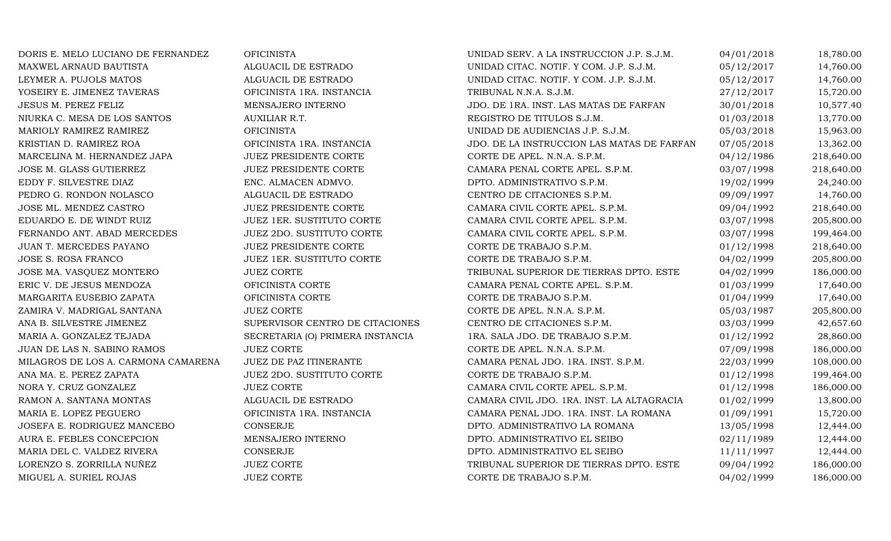| DORIS E. MELO LUCIANO DE FERNANDEZ  | <b>OFICINISTA</b>                | UNIDAD SERV. A LA INSTRUCCION J.P. S.J.M.  | 04/01/2018 | 18,780.00  |
|-------------------------------------|----------------------------------|--------------------------------------------|------------|------------|
| MAXWEL ARNAUD BAUTISTA              | ALGUACIL DE ESTRADO              | UNIDAD CITAC. NOTIF. Y COM. J.P. S.J.M.    | 05/12/2017 | 14,760.00  |
| LEYMER A. PUJOLS MATOS              | ALGUACIL DE ESTRADO              | UNIDAD CITAC. NOTIF. Y COM. J.P. S.J.M.    | 05/12/2017 | 14,760.00  |
| YOSEIRY E. JIMENEZ TAVERAS          | OFICINISTA 1RA. INSTANCIA        | TRIBUNAL N.N.A. S.J.M.                     | 27/12/2017 | 15,720.00  |
| JESUS M. PEREZ FELIZ                | MENSAJERO INTERNO                | JDO. DE 1RA. INST. LAS MATAS DE FARFAN     | 30/01/2018 | 10,577.40  |
| NIURKA C. MESA DE LOS SANTOS        | AUXILIAR R.T.                    | REGISTRO DE TITULOS S.J.M.                 | 01/03/2018 | 13,770.00  |
| MARIOLY RAMIREZ RAMIREZ             | <b>OFICINISTA</b>                | UNIDAD DE AUDIENCIAS J.P. S.J.M.           | 05/03/2018 | 15,963.00  |
| KRISTIAN D. RAMIREZ ROA             | OFICINISTA 1RA. INSTANCIA        | JDO. DE LA INSTRUCCION LAS MATAS DE FARFAN | 07/05/2018 | 13,362.00  |
| MARCELINA M. HERNANDEZ JAPA         | JUEZ PRESIDENTE CORTE            | CORTE DE APEL. N.N.A. S.P.M.               | 04/12/1986 | 218,640.00 |
| JOSE M. GLASS GUTIERREZ             | JUEZ PRESIDENTE CORTE            | CAMARA PENAL CORTE APEL. S.P.M.            | 03/07/1998 | 218,640.00 |
| EDDY F. SILVESTRE DIAZ              | ENC. ALMACEN ADMVO.              | DPTO. ADMINISTRATIVO S.P.M.                | 19/02/1999 | 24,240.00  |
| PEDRO G. RONDON NOLASCO             | ALGUACIL DE ESTRADO              | CENTRO DE CITACIONES S.P.M.                | 09/09/1997 | 14,760.00  |
| JOSE ML. MENDEZ CASTRO              | JUEZ PRESIDENTE CORTE            | CAMARA CIVIL CORTE APEL. S.P.M.            | 09/04/1992 | 218,640.00 |
| EDUARDO E. DE WINDT RUIZ            | JUEZ 1ER. SUSTITUTO CORTE        | CAMARA CIVIL CORTE APEL. S.P.M.            | 03/07/1998 | 205,800.00 |
| FERNANDO ANT. ABAD MERCEDES         | JUEZ 2DO. SUSTITUTO CORTE        | CAMARA CIVIL CORTE APEL. S.P.M.            | 03/07/1998 | 199,464.00 |
| JUAN T. MERCEDES PAYANO             | JUEZ PRESIDENTE CORTE            | CORTE DE TRABAJO S.P.M.                    | 01/12/1998 | 218,640.00 |
| JOSE S. ROSA FRANCO                 | JUEZ 1ER. SUSTITUTO CORTE        | CORTE DE TRABAJO S.P.M.                    | 04/02/1999 | 205,800.00 |
| JOSE MA. VASQUEZ MONTERO            | <b>JUEZ CORTE</b>                | TRIBUNAL SUPERIOR DE TIERRAS DPTO. ESTE    | 04/02/1999 | 186,000.00 |
| ERIC V. DE JESUS MENDOZA            | OFICINISTA CORTE                 | CAMARA PENAL CORTE APEL. S.P.M.            | 01/03/1999 | 17,640.00  |
| MARGARITA EUSEBIO ZAPATA            | OFICINISTA CORTE                 | CORTE DE TRABAJO S.P.M.                    | 01/04/1999 | 17,640.00  |
| ZAMIRA V. MADRIGAL SANTANA          | <b>JUEZ CORTE</b>                | CORTE DE APEL. N.N.A. S.P.M.               | 05/03/1987 | 205,800.00 |
| ANA B. SILVESTRE JIMENEZ            | SUPERVISOR CENTRO DE CITACIONES  | CENTRO DE CITACIONES S.P.M.                | 03/03/1999 | 42,657.60  |
| MARIA A. GONZALEZ TEJADA            | SECRETARIA (O) PRIMERA INSTANCIA | 1RA. SALA JDO. DE TRABAJO S.P.M.           | 01/12/1992 | 28,860.00  |
| JUAN DE LAS N. SABINO RAMOS         | <b>JUEZ CORTE</b>                | CORTE DE APEL. N.N.A. S.P.M.               | 07/09/1998 | 186,000.00 |
| MILAGROS DE LOS A. CARMONA CAMARENA | <b>JUEZ DE PAZ ITINERANTE</b>    | CAMARA PENAL JDO. 1RA. INST. S.P.M.        | 22/03/1999 | 108,000.00 |
| ANA MA. E. PEREZ ZAPATA             | JUEZ 2DO. SUSTITUTO CORTE        | CORTE DE TRABAJO S.P.M.                    | 01/12/1998 | 199,464.00 |
| NORA Y. CRUZ GONZALEZ               | <b>JUEZ CORTE</b>                | CAMARA CIVIL CORTE APEL. S.P.M.            | 01/12/1998 | 186,000.00 |
| RAMON A. SANTANA MONTAS             | ALGUACIL DE ESTRADO              | CAMARA CIVIL JDO. 1RA. INST. LA ALTAGRACIA | 01/02/1999 | 13,800.00  |
| MARIA E. LOPEZ PEGUERO              | OFICINISTA 1RA. INSTANCIA        | CAMARA PENAL JDO. 1RA. INST. LA ROMANA     | 01/09/1991 | 15,720.00  |
| JOSEFA E. RODRIGUEZ MANCEBO         | <b>CONSERJE</b>                  | DPTO. ADMINISTRATIVO LA ROMANA             | 13/05/1998 | 12,444.00  |
| AURA E. FEBLES CONCEPCION           | MENSAJERO INTERNO                | DPTO. ADMINISTRATIVO EL SEIBO              | 02/11/1989 | 12,444.00  |
| MARIA DEL C. VALDEZ RIVERA          | CONSERJE                         | DPTO. ADMINISTRATIVO EL SEIBO              | 11/11/1997 | 12,444.00  |
| LORENZO S. ZORRILLA NUÑEZ           | <b>JUEZ CORTE</b>                | TRIBUNAL SUPERIOR DE TIERRAS DPTO. ESTE    | 09/04/1992 | 186,000.00 |
| MIGUEL A. SURIEL ROJAS              | <b>JUEZ CORTE</b>                | CORTE DE TRABAJO S.P.M.                    | 04/02/1999 | 186,000.00 |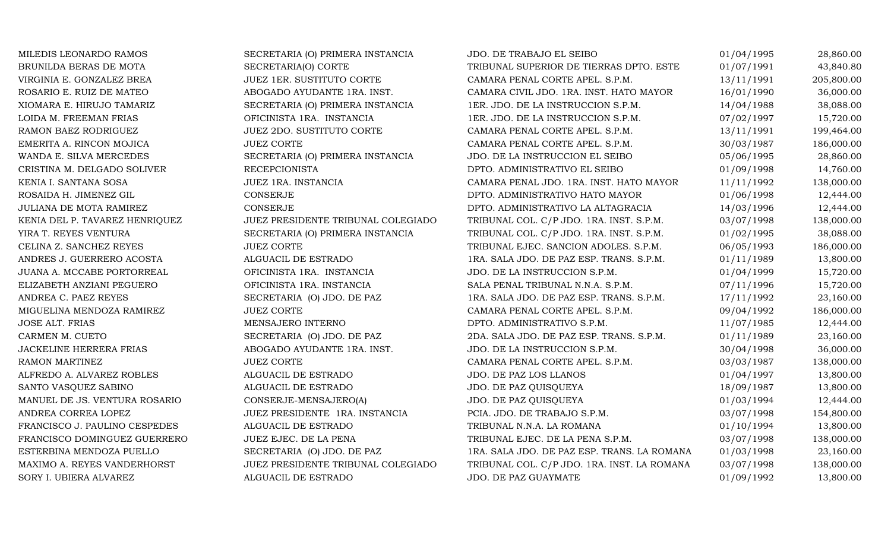| MILEDIS LEONARDO RAMOS         | SECRETARIA (O) PRIMERA INSTANCIA   | JDO. DE TRABAJO EL SEIBO                    | 01/04/1995 | 28,860.00  |
|--------------------------------|------------------------------------|---------------------------------------------|------------|------------|
| BRUNILDA BERAS DE MOTA         | SECRETARIA(O) CORTE                | TRIBUNAL SUPERIOR DE TIERRAS DPTO. ESTE     | 01/07/1991 | 43,840.80  |
| VIRGINIA E. GONZALEZ BREA      | JUEZ 1ER. SUSTITUTO CORTE          | CAMARA PENAL CORTE APEL. S.P.M.             | 13/11/1991 | 205,800.00 |
| ROSARIO E. RUIZ DE MATEO       | ABOGADO AYUDANTE 1RA. INST.        | CAMARA CIVIL JDO. 1RA. INST. HATO MAYOR     | 16/01/1990 | 36,000.00  |
| XIOMARA E. HIRUJO TAMARIZ      | SECRETARIA (O) PRIMERA INSTANCIA   | 1ER. JDO. DE LA INSTRUCCION S.P.M.          | 14/04/1988 | 38,088.00  |
| LOIDA M. FREEMAN FRIAS         | OFICINISTA 1RA. INSTANCIA          | 1ER. JDO. DE LA INSTRUCCION S.P.M.          | 07/02/1997 | 15,720.00  |
| RAMON BAEZ RODRIGUEZ           | JUEZ 2DO. SUSTITUTO CORTE          | CAMARA PENAL CORTE APEL. S.P.M.             | 13/11/1991 | 199,464.00 |
| EMERITA A. RINCON MOJICA       | <b>JUEZ CORTE</b>                  | CAMARA PENAL CORTE APEL. S.P.M.             | 30/03/1987 | 186,000.00 |
| WANDA E. SILVA MERCEDES        | SECRETARIA (O) PRIMERA INSTANCIA   | JDO. DE LA INSTRUCCION EL SEIBO             | 05/06/1995 | 28,860.00  |
| CRISTINA M. DELGADO SOLIVER    | <b>RECEPCIONISTA</b>               | DPTO. ADMINISTRATIVO EL SEIBO               | 01/09/1998 | 14,760.00  |
| KENIA I. SANTANA SOSA          | JUEZ 1RA. INSTANCIA                | CAMARA PENAL JDO. 1RA. INST. HATO MAYOR     | 11/11/1992 | 138,000.00 |
| ROSAIDA H. JIMENEZ GIL         | CONSERJE                           | DPTO. ADMINISTRATIVO HATO MAYOR             | 01/06/1998 | 12,444.00  |
| JULIANA DE MOTA RAMIREZ        | CONSERJE                           | DPTO. ADMINISTRATIVO LA ALTAGRACIA          | 14/03/1996 | 12,444.00  |
| KENIA DEL P. TAVAREZ HENRIQUEZ | JUEZ PRESIDENTE TRIBUNAL COLEGIADO | TRIBUNAL COL. C/P JDO. 1RA. INST. S.P.M.    | 03/07/1998 | 138,000.00 |
| YIRA T. REYES VENTURA          | SECRETARIA (O) PRIMERA INSTANCIA   | TRIBUNAL COL. C/P JDO. 1RA. INST. S.P.M.    | 01/02/1995 | 38,088.00  |
| CELINA Z. SANCHEZ REYES        | <b>JUEZ CORTE</b>                  | TRIBUNAL EJEC. SANCION ADOLES. S.P.M.       | 06/05/1993 | 186,000.00 |
| ANDRES J. GUERRERO ACOSTA      | ALGUACIL DE ESTRADO                | 1RA. SALA JDO. DE PAZ ESP. TRANS. S.P.M.    | 01/11/1989 | 13,800.00  |
| JUANA A. MCCABE PORTORREAL     | OFICINISTA 1RA. INSTANCIA          | JDO. DE LA INSTRUCCION S.P.M.               | 01/04/1999 | 15,720.00  |
| ELIZABETH ANZIANI PEGUERO      | OFICINISTA 1RA. INSTANCIA          | SALA PENAL TRIBUNAL N.N.A. S.P.M.           | 07/11/1996 | 15,720.00  |
| ANDREA C. PAEZ REYES           | SECRETARIA (O) JDO. DE PAZ         | 1RA. SALA JDO. DE PAZ ESP. TRANS. S.P.M.    | 17/11/1992 | 23,160.00  |
| MIGUELINA MENDOZA RAMIREZ      | <b>JUEZ CORTE</b>                  | CAMARA PENAL CORTE APEL. S.P.M.             | 09/04/1992 | 186,000.00 |
| <b>JOSE ALT. FRIAS</b>         | MENSAJERO INTERNO                  | DPTO. ADMINISTRATIVO S.P.M.                 | 11/07/1985 | 12,444.00  |
| CARMEN M. CUETO                | SECRETARIA (O) JDO. DE PAZ         | 2DA. SALA JDO. DE PAZ ESP. TRANS. S.P.M.    | 01/11/1989 | 23,160.00  |
| JACKELINE HERRERA FRIAS        | ABOGADO AYUDANTE 1RA. INST.        | JDO. DE LA INSTRUCCION S.P.M.               | 30/04/1998 | 36,000.00  |
| RAMON MARTINEZ                 | <b>JUEZ CORTE</b>                  | CAMARA PENAL CORTE APEL. S.P.M.             | 03/03/1987 | 138,000.00 |
| ALFREDO A. ALVAREZ ROBLES      | ALGUACIL DE ESTRADO                | JDO. DE PAZ LOS LLANOS                      | 01/04/1997 | 13,800.00  |
| SANTO VASQUEZ SABINO           | ALGUACIL DE ESTRADO                | JDO. DE PAZ QUISQUEYA                       | 18/09/1987 | 13,800.00  |
| MANUEL DE JS. VENTURA ROSARIO  | CONSERJE-MENSAJERO(A)              | JDO. DE PAZ QUISQUEYA                       | 01/03/1994 | 12,444.00  |
| ANDREA CORREA LOPEZ            | JUEZ PRESIDENTE 1RA. INSTANCIA     | PCIA. JDO. DE TRABAJO S.P.M.                | 03/07/1998 | 154,800.00 |
| FRANCISCO J. PAULINO CESPEDES  | ALGUACIL DE ESTRADO                | TRIBUNAL N.N.A. LA ROMANA                   | 01/10/1994 | 13,800.00  |
| FRANCISCO DOMINGUEZ GUERRERO   | JUEZ EJEC. DE LA PENA              | TRIBUNAL EJEC. DE LA PENA S.P.M.            | 03/07/1998 | 138,000.00 |
| ESTERBINA MENDOZA PUELLO       | SECRETARIA (O) JDO. DE PAZ         | 1RA. SALA JDO. DE PAZ ESP. TRANS. LA ROMANA | 01/03/1998 | 23,160.00  |
| MAXIMO A. REYES VANDERHORST    | JUEZ PRESIDENTE TRIBUNAL COLEGIADO | TRIBUNAL COL. C/P JDO. 1RA. INST. LA ROMANA | 03/07/1998 | 138,000.00 |
| SORY I. UBIERA ALVAREZ         | ALGUACIL DE ESTRADO                | JDO. DE PAZ GUAYMATE                        | 01/09/1992 | 13,800.00  |
|                                |                                    |                                             |            |            |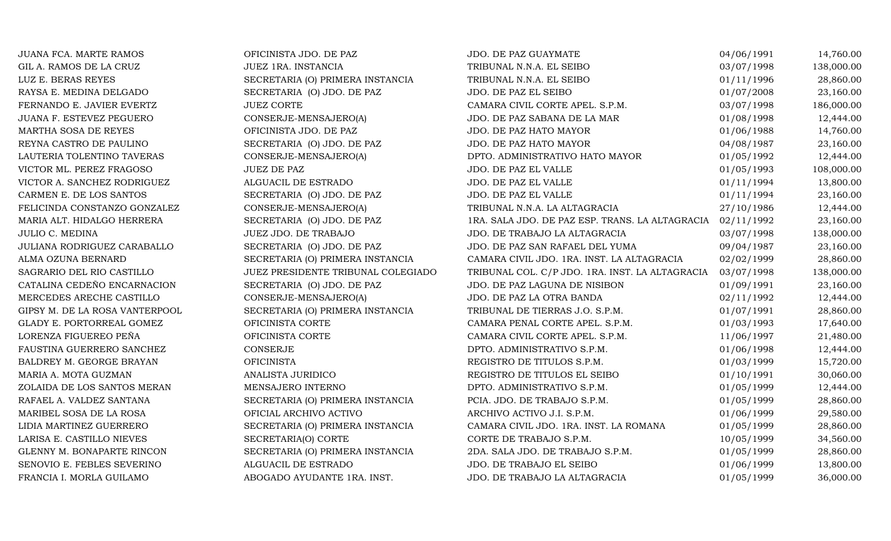| JUANA FCA. MARTE RAMOS         | OFICINISTA JDO. DE PAZ             | JDO. DE PAZ GUAYMATE                            | 04/06/1991 | 14,760.00  |
|--------------------------------|------------------------------------|-------------------------------------------------|------------|------------|
| GIL A. RAMOS DE LA CRUZ        | JUEZ 1RA. INSTANCIA                | TRIBUNAL N.N.A. EL SEIBO                        | 03/07/1998 | 138,000.00 |
| LUZ E. BERAS REYES             | SECRETARIA (O) PRIMERA INSTANCIA   | TRIBUNAL N.N.A. EL SEIBO                        | 01/11/1996 | 28,860.00  |
| RAYSA E. MEDINA DELGADO        | SECRETARIA (O) JDO. DE PAZ         | JDO. DE PAZ EL SEIBO                            | 01/07/2008 | 23,160.00  |
| FERNANDO E. JAVIER EVERTZ      | <b>JUEZ CORTE</b>                  | CAMARA CIVIL CORTE APEL. S.P.M.                 | 03/07/1998 | 186,000.00 |
| JUANA F. ESTEVEZ PEGUERO       | CONSERJE-MENSAJERO(A)              | JDO. DE PAZ SABANA DE LA MAR                    | 01/08/1998 | 12,444.00  |
| MARTHA SOSA DE REYES           | OFICINISTA JDO. DE PAZ             | JDO. DE PAZ HATO MAYOR                          | 01/06/1988 | 14,760.00  |
| REYNA CASTRO DE PAULINO        | SECRETARIA (O) JDO. DE PAZ         | JDO. DE PAZ HATO MAYOR                          | 04/08/1987 | 23,160.00  |
| LAUTERIA TOLENTINO TAVERAS     | CONSERJE-MENSAJERO(A)              | DPTO. ADMINISTRATIVO HATO MAYOR                 | 01/05/1992 | 12,444.00  |
| VICTOR ML. PEREZ FRAGOSO       | <b>JUEZ DE PAZ</b>                 | JDO. DE PAZ EL VALLE                            | 01/05/1993 | 108,000.00 |
| VICTOR A. SANCHEZ RODRIGUEZ    | ALGUACIL DE ESTRADO                | JDO. DE PAZ EL VALLE                            | 01/11/1994 | 13,800.00  |
| CARMEN E. DE LOS SANTOS        | SECRETARIA (O) JDO. DE PAZ         | JDO. DE PAZ EL VALLE                            | 01/11/1994 | 23,160.00  |
| FELICINDA CONSTANZO GONZALEZ   | CONSERJE-MENSAJERO(A)              | TRIBUNAL N.N.A. LA ALTAGRACIA                   | 27/10/1986 | 12,444.00  |
| MARIA ALT. HIDALGO HERRERA     | SECRETARIA (O) JDO. DE PAZ         | 1RA. SALA JDO. DE PAZ ESP. TRANS. LA ALTAGRACIA | 02/11/1992 | 23,160.00  |
| <b>JULIO C. MEDINA</b>         | JUEZ JDO. DE TRABAJO               | JDO. DE TRABAJO LA ALTAGRACIA                   | 03/07/1998 | 138,000.00 |
| JULIANA RODRIGUEZ CARABALLO    | SECRETARIA (O) JDO. DE PAZ         | JDO. DE PAZ SAN RAFAEL DEL YUMA                 | 09/04/1987 | 23,160.00  |
| ALMA OZUNA BERNARD             | SECRETARIA (O) PRIMERA INSTANCIA   | CAMARA CIVIL JDO. 1RA. INST. LA ALTAGRACIA      | 02/02/1999 | 28,860.00  |
| SAGRARIO DEL RIO CASTILLO      | JUEZ PRESIDENTE TRIBUNAL COLEGIADO | TRIBUNAL COL. C/P JDO. 1RA. INST. LA ALTAGRACIA | 03/07/1998 | 138,000.00 |
| CATALINA CEDEÑO ENCARNACION    | SECRETARIA (O) JDO. DE PAZ         | JDO. DE PAZ LAGUNA DE NISIBON                   | 01/09/1991 | 23,160.00  |
| MERCEDES ARECHE CASTILLO       | CONSERJE-MENSAJERO(A)              | JDO. DE PAZ LA OTRA BANDA                       | 02/11/1992 | 12,444.00  |
| GIPSY M. DE LA ROSA VANTERPOOL | SECRETARIA (O) PRIMERA INSTANCIA   | TRIBUNAL DE TIERRAS J.O. S.P.M.                 | 01/07/1991 | 28,860.00  |
| GLADY E. PORTORREAL GOMEZ      | OFICINISTA CORTE                   | CAMARA PENAL CORTE APEL. S.P.M.                 | 01/03/1993 | 17,640.00  |
| LORENZA FIGUEREO PEÑA          | OFICINISTA CORTE                   | CAMARA CIVIL CORTE APEL. S.P.M.                 | 11/06/1997 | 21,480.00  |
| FAUSTINA GUERRERO SANCHEZ      | CONSERJE                           | DPTO. ADMINISTRATIVO S.P.M.                     | 01/06/1998 | 12,444.00  |
| BALDREY M. GEORGE BRAYAN       | <b>OFICINISTA</b>                  | REGISTRO DE TITULOS S.P.M.                      | 01/03/1999 | 15,720.00  |
| MARIA A. MOTA GUZMAN           | ANALISTA JURIDICO                  | REGISTRO DE TITULOS EL SEIBO                    | 01/10/1991 | 30,060.00  |
| ZOLAIDA DE LOS SANTOS MERAN    | MENSAJERO INTERNO                  | DPTO. ADMINISTRATIVO S.P.M.                     | 01/05/1999 | 12,444.00  |
| RAFAEL A. VALDEZ SANTANA       | SECRETARIA (O) PRIMERA INSTANCIA   | PCIA. JDO. DE TRABAJO S.P.M.                    | 01/05/1999 | 28,860.00  |
| MARIBEL SOSA DE LA ROSA        | OFICIAL ARCHIVO ACTIVO             | ARCHIVO ACTIVO J.I. S.P.M.                      | 01/06/1999 | 29,580.00  |
| LIDIA MARTINEZ GUERRERO        | SECRETARIA (O) PRIMERA INSTANCIA   | CAMARA CIVIL JDO. 1RA. INST. LA ROMANA          | 01/05/1999 | 28,860.00  |
| LARISA E. CASTILLO NIEVES      | SECRETARIA(O) CORTE                | CORTE DE TRABAJO S.P.M.                         | 10/05/1999 | 34,560.00  |
| GLENNY M. BONAPARTE RINCON     | SECRETARIA (O) PRIMERA INSTANCIA   | 2DA. SALA JDO. DE TRABAJO S.P.M.                | 01/05/1999 | 28,860.00  |
| SENOVIO E. FEBLES SEVERINO     | ALGUACIL DE ESTRADO                | JDO. DE TRABAJO EL SEIBO                        | 01/06/1999 | 13,800.00  |
| FRANCIA I. MORLA GUILAMO       | ABOGADO AYUDANTE 1RA. INST.        | JDO. DE TRABAJO LA ALTAGRACIA                   | 01/05/1999 | 36,000.00  |
|                                |                                    |                                                 |            |            |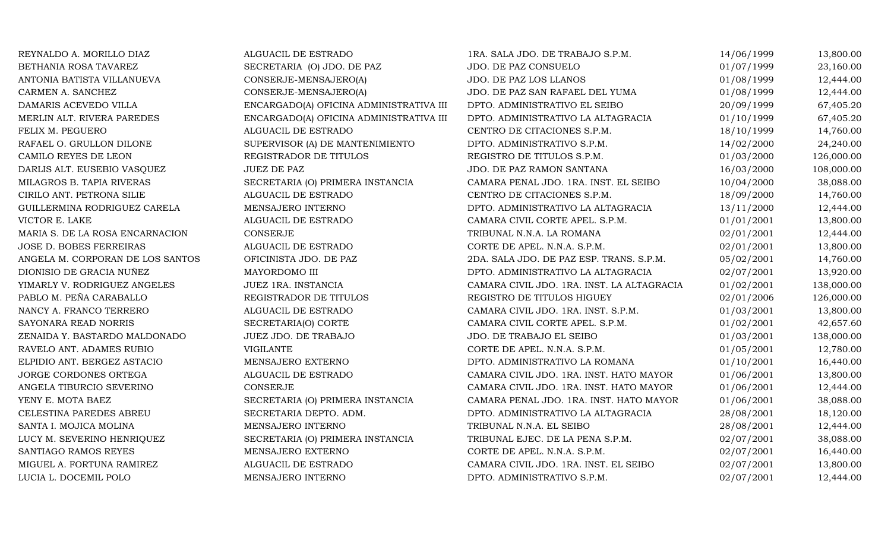| REYNALDO A. MORILLO DIAZ         | ALGUACIL DE ESTRADO                     | 1RA. SALA JDO. DE TRABAJO S.P.M.           | 14/06/1999 | 13,800.00  |
|----------------------------------|-----------------------------------------|--------------------------------------------|------------|------------|
| BETHANIA ROSA TAVAREZ            | SECRETARIA (O) JDO. DE PAZ              | JDO. DE PAZ CONSUELO                       | 01/07/1999 | 23,160.00  |
| ANTONIA BATISTA VILLANUEVA       | CONSERJE-MENSAJERO(A)                   | JDO. DE PAZ LOS LLANOS                     | 01/08/1999 | 12,444.00  |
| CARMEN A. SANCHEZ                | CONSERJE-MENSAJERO(A)                   | JDO. DE PAZ SAN RAFAEL DEL YUMA            | 01/08/1999 | 12,444.00  |
| DAMARIS ACEVEDO VILLA            | ENCARGADO(A) OFICINA ADMINISTRATIVA III | DPTO. ADMINISTRATIVO EL SEIBO              | 20/09/1999 | 67,405.20  |
| MERLIN ALT. RIVERA PAREDES       | ENCARGADO(A) OFICINA ADMINISTRATIVA III | DPTO. ADMINISTRATIVO LA ALTAGRACIA         | 01/10/1999 | 67,405.20  |
| FELIX M. PEGUERO                 | ALGUACIL DE ESTRADO                     | CENTRO DE CITACIONES S.P.M.                | 18/10/1999 | 14,760.00  |
| RAFAEL O. GRULLON DILONE         | SUPERVISOR (A) DE MANTENIMIENTO         | DPTO. ADMINISTRATIVO S.P.M.                | 14/02/2000 | 24,240.00  |
| CAMILO REYES DE LEON             | REGISTRADOR DE TITULOS                  | REGISTRO DE TITULOS S.P.M.                 | 01/03/2000 | 126,000.00 |
| DARLIS ALT. EUSEBIO VASQUEZ      | JUEZ DE PAZ                             | JDO. DE PAZ RAMON SANTANA                  | 16/03/2000 | 108,000.00 |
| MILAGROS B. TAPIA RIVERAS        | SECRETARIA (O) PRIMERA INSTANCIA        | CAMARA PENAL JDO. 1RA. INST. EL SEIBO      | 10/04/2000 | 38,088.00  |
| CIRILO ANT. PETRONA SILIE        | ALGUACIL DE ESTRADO                     | CENTRO DE CITACIONES S.P.M.                | 18/09/2000 | 14,760.00  |
| GUILLERMINA RODRIGUEZ CARELA     | MENSAJERO INTERNO                       | DPTO. ADMINISTRATIVO LA ALTAGRACIA         | 13/11/2000 | 12,444.00  |
| VICTOR E. LAKE                   | ALGUACIL DE ESTRADO                     | CAMARA CIVIL CORTE APEL. S.P.M.            | 01/01/2001 | 13,800.00  |
| MARIA S. DE LA ROSA ENCARNACION  | CONSERJE                                | TRIBUNAL N.N.A. LA ROMANA                  | 02/01/2001 | 12,444.00  |
| JOSE D. BOBES FERREIRAS          | ALGUACIL DE ESTRADO                     | CORTE DE APEL. N.N.A. S.P.M.               | 02/01/2001 | 13,800.00  |
| ANGELA M. CORPORAN DE LOS SANTOS | OFICINISTA JDO. DE PAZ                  | 2DA. SALA JDO. DE PAZ ESP. TRANS. S.P.M.   | 05/02/2001 | 14,760.00  |
| DIONISIO DE GRACIA NUÑEZ         | MAYORDOMO III                           | DPTO. ADMINISTRATIVO LA ALTAGRACIA         | 02/07/2001 | 13,920.00  |
| YIMARLY V. RODRIGUEZ ANGELES     | JUEZ 1RA. INSTANCIA                     | CAMARA CIVIL JDO. 1RA. INST. LA ALTAGRACIA | 01/02/2001 | 138,000.00 |
| PABLO M. PEÑA CARABALLO          | REGISTRADOR DE TITULOS                  | REGISTRO DE TITULOS HIGUEY                 | 02/01/2006 | 126,000.00 |
| NANCY A. FRANCO TERRERO          | ALGUACIL DE ESTRADO                     | CAMARA CIVIL JDO. 1RA. INST. S.P.M.        | 01/03/2001 | 13,800.00  |
| SAYONARA READ NORRIS             | SECRETARIA(O) CORTE                     | CAMARA CIVIL CORTE APEL. S.P.M.            | 01/02/2001 | 42,657.60  |
| ZENAIDA Y. BASTARDO MALDONADO    | JUEZ JDO. DE TRABAJO                    | JDO. DE TRABAJO EL SEIBO                   | 01/03/2001 | 138,000.00 |
| RAVELO ANT. ADAMES RUBIO         | VIGILANTE                               | CORTE DE APEL. N.N.A. S.P.M.               | 01/05/2001 | 12,780.00  |
| ELPIDIO ANT. BERGEZ ASTACIO      | MENSAJERO EXTERNO                       | DPTO. ADMINISTRATIVO LA ROMANA             | 01/10/2001 | 16,440.00  |
| JORGE CORDONES ORTEGA            | ALGUACIL DE ESTRADO                     | CAMARA CIVIL JDO. 1RA. INST. HATO MAYOR    | 01/06/2001 | 13,800.00  |
| ANGELA TIBURCIO SEVERINO         | <b>CONSERJE</b>                         | CAMARA CIVIL JDO. 1RA. INST. HATO MAYOR    | 01/06/2001 | 12,444.00  |
| YENY E. MOTA BAEZ                | SECRETARIA (O) PRIMERA INSTANCIA        | CAMARA PENAL JDO. 1RA. INST. HATO MAYOR    | 01/06/2001 | 38,088.00  |
| CELESTINA PAREDES ABREU          | SECRETARIA DEPTO. ADM.                  | DPTO. ADMINISTRATIVO LA ALTAGRACIA         | 28/08/2001 | 18,120.00  |
| SANTA I. MOJICA MOLINA           | MENSAJERO INTERNO                       | TRIBUNAL N.N.A. EL SEIBO                   | 28/08/2001 | 12,444.00  |
| LUCY M. SEVERINO HENRIQUEZ       | SECRETARIA (O) PRIMERA INSTANCIA        | TRIBUNAL EJEC. DE LA PENA S.P.M.           | 02/07/2001 | 38,088.00  |
| SANTIAGO RAMOS REYES             | MENSAJERO EXTERNO                       | CORTE DE APEL. N.N.A. S.P.M.               | 02/07/2001 | 16,440.00  |
| MIGUEL A. FORTUNA RAMIREZ        | ALGUACIL DE ESTRADO                     | CAMARA CIVIL JDO. 1RA. INST. EL SEIBO      | 02/07/2001 | 13,800.00  |
| LUCIA L. DOCEMIL POLO            | MENSAJERO INTERNO                       | DPTO. ADMINISTRATIVO S.P.M.                | 02/07/2001 | 12,444.00  |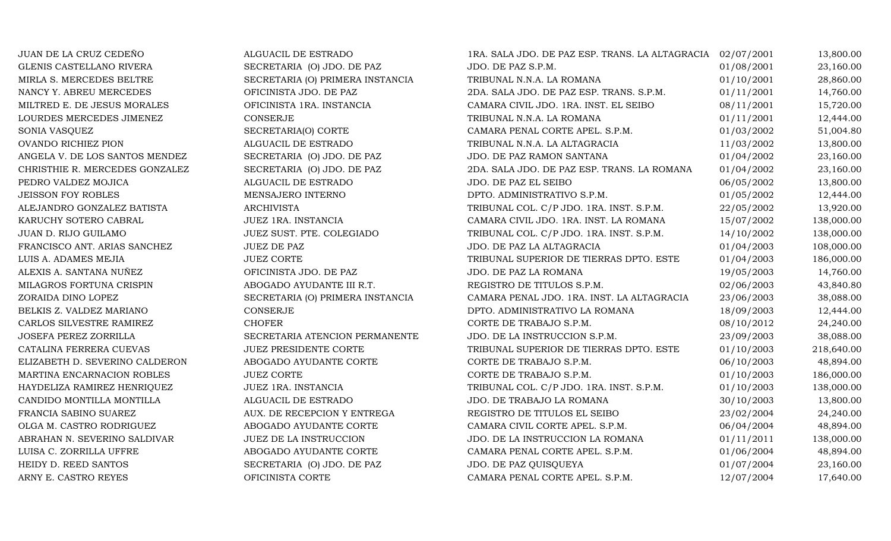| JUAN DE LA CRUZ CEDEÑO         | ALGUACIL DE ESTRADO              | 1RA. SALA JDO. DE PAZ ESP. TRANS. LA ALTAGRACIA 02/07/2001 |            | 13,800.00  |
|--------------------------------|----------------------------------|------------------------------------------------------------|------------|------------|
| GLENIS CASTELLANO RIVERA       | SECRETARIA (O) JDO. DE PAZ       | JDO. DE PAZ S.P.M.                                         | 01/08/2001 | 23,160.00  |
| MIRLA S. MERCEDES BELTRE       | SECRETARIA (O) PRIMERA INSTANCIA | TRIBUNAL N.N.A. LA ROMANA                                  | 01/10/2001 | 28,860.00  |
| NANCY Y. ABREU MERCEDES        | OFICINISTA JDO. DE PAZ           | 2DA. SALA JDO. DE PAZ ESP. TRANS. S.P.M.                   | 01/11/2001 | 14,760.00  |
| MILTRED E. DE JESUS MORALES    | OFICINISTA 1RA. INSTANCIA        | CAMARA CIVIL JDO. 1RA. INST. EL SEIBO                      | 08/11/2001 | 15,720.00  |
| LOURDES MERCEDES JIMENEZ       | <b>CONSERJE</b>                  | TRIBUNAL N.N.A. LA ROMANA                                  | 01/11/2001 | 12,444.00  |
| SONIA VASQUEZ                  | SECRETARIA(O) CORTE              | CAMARA PENAL CORTE APEL. S.P.M.                            | 01/03/2002 | 51,004.80  |
| OVANDO RICHIEZ PION            | ALGUACIL DE ESTRADO              | TRIBUNAL N.N.A. LA ALTAGRACIA                              | 11/03/2002 | 13,800.00  |
| ANGELA V. DE LOS SANTOS MENDEZ | SECRETARIA (O) JDO. DE PAZ       | JDO. DE PAZ RAMON SANTANA                                  | 01/04/2002 | 23,160.00  |
| CHRISTHIE R. MERCEDES GONZALEZ | SECRETARIA (O) JDO. DE PAZ       | 2DA. SALA JDO. DE PAZ ESP. TRANS. LA ROMANA                | 01/04/2002 | 23,160.00  |
| PEDRO VALDEZ MOJICA            | ALGUACIL DE ESTRADO              | JDO. DE PAZ EL SEIBO                                       | 06/05/2002 | 13,800.00  |
| <b>JEISSON FOY ROBLES</b>      | MENSAJERO INTERNO                | DPTO. ADMINISTRATIVO S.P.M.                                | 01/05/2002 | 12,444.00  |
| ALEJANDRO GONZALEZ BATISTA     | <b>ARCHIVISTA</b>                | TRIBUNAL COL. C/P JDO. 1RA. INST. S.P.M.                   | 22/05/2002 | 13,920.00  |
| KARUCHY SOTERO CABRAL          | JUEZ 1RA. INSTANCIA              | CAMARA CIVIL JDO. 1RA. INST. LA ROMANA                     | 15/07/2002 | 138,000.00 |
| JUAN D. RIJO GUILAMO           | JUEZ SUST. PTE. COLEGIADO        | TRIBUNAL COL. C/P JDO. 1RA. INST. S.P.M.                   | 14/10/2002 | 138,000.00 |
| FRANCISCO ANT. ARIAS SANCHEZ   | <b>JUEZ DE PAZ</b>               | JDO. DE PAZ LA ALTAGRACIA                                  | 01/04/2003 | 108,000.00 |
| LUIS A. ADAMES MEJIA           | <b>JUEZ CORTE</b>                | TRIBUNAL SUPERIOR DE TIERRAS DPTO. ESTE                    | 01/04/2003 | 186,000.00 |
| ALEXIS A. SANTANA NUÑEZ        | OFICINISTA JDO. DE PAZ           | JDO. DE PAZ LA ROMANA                                      | 19/05/2003 | 14,760.00  |
| MILAGROS FORTUNA CRISPIN       | ABOGADO AYUDANTE III R.T.        | REGISTRO DE TITULOS S.P.M.                                 | 02/06/2003 | 43,840.80  |
| ZORAIDA DINO LOPEZ             | SECRETARIA (O) PRIMERA INSTANCIA | CAMARA PENAL JDO. 1RA. INST. LA ALTAGRACIA                 | 23/06/2003 | 38,088.00  |
| BELKIS Z. VALDEZ MARIANO       | CONSERJE                         | DPTO. ADMINISTRATIVO LA ROMANA                             | 18/09/2003 | 12,444.00  |
| CARLOS SILVESTRE RAMIREZ       | <b>CHOFER</b>                    | CORTE DE TRABAJO S.P.M.                                    | 08/10/2012 | 24,240.00  |
| JOSEFA PEREZ ZORRILLA          | SECRETARIA ATENCION PERMANENTE   | JDO. DE LA INSTRUCCION S.P.M.                              | 23/09/2003 | 38,088.00  |
| CATALINA FERRERA CUEVAS        | JUEZ PRESIDENTE CORTE            | TRIBUNAL SUPERIOR DE TIERRAS DPTO. ESTE                    | 01/10/2003 | 218,640.00 |
| ELIZABETH D. SEVERINO CALDERON | ABOGADO AYUDANTE CORTE           | CORTE DE TRABAJO S.P.M.                                    | 06/10/2003 | 48,894.00  |
| MARTINA ENCARNACION ROBLES     | <b>JUEZ CORTE</b>                | CORTE DE TRABAJO S.P.M.                                    | 01/10/2003 | 186,000.00 |
| HAYDELIZA RAMIREZ HENRIQUEZ    | JUEZ 1RA. INSTANCIA              | TRIBUNAL COL. C/P JDO. 1RA. INST. S.P.M.                   | 01/10/2003 | 138,000.00 |
| CANDIDO MONTILLA MONTILLA      | ALGUACIL DE ESTRADO              | JDO. DE TRABAJO LA ROMANA                                  | 30/10/2003 | 13,800.00  |
| FRANCIA SABINO SUAREZ          | AUX. DE RECEPCION Y ENTREGA      | REGISTRO DE TITULOS EL SEIBO                               | 23/02/2004 | 24,240.00  |
| OLGA M. CASTRO RODRIGUEZ       | ABOGADO AYUDANTE CORTE           | CAMARA CIVIL CORTE APEL. S.P.M.                            | 06/04/2004 | 48,894.00  |
| ABRAHAN N. SEVERINO SALDIVAR   | JUEZ DE LA INSTRUCCION           | JDO. DE LA INSTRUCCION LA ROMANA                           | 01/11/2011 | 138,000.00 |
| LUISA C. ZORRILLA UFFRE        | ABOGADO AYUDANTE CORTE           | CAMARA PENAL CORTE APEL. S.P.M.                            | 01/06/2004 | 48,894.00  |
| HEIDY D. REED SANTOS           | SECRETARIA (O) JDO. DE PAZ       | JDO. DE PAZ QUISQUEYA                                      | 01/07/2004 | 23,160.00  |
| ARNY E. CASTRO REYES           | OFICINISTA CORTE                 | CAMARA PENAL CORTE APEL. S.P.M.                            | 12/07/2004 | 17,640.00  |
|                                |                                  |                                                            |            |            |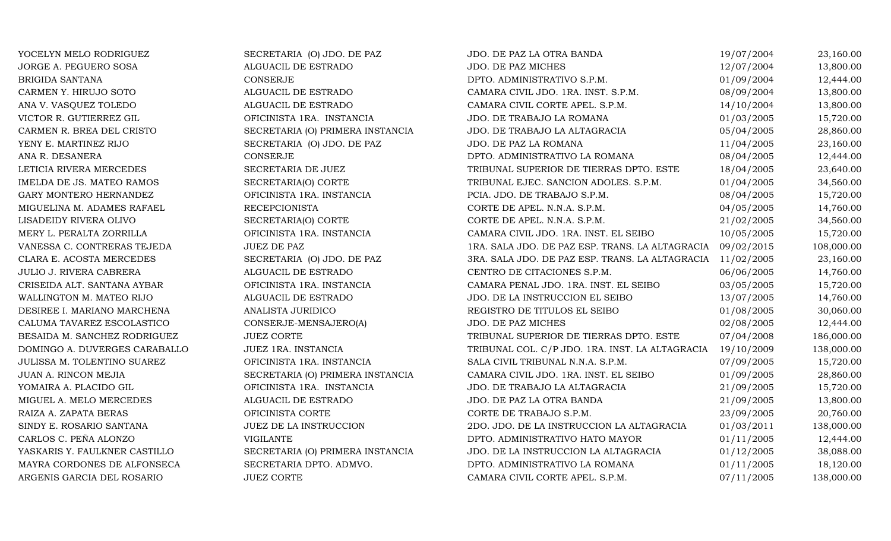| YOCELYN MELO RODRIGUEZ        | SECRETARIA (O) JDO. DE PAZ       | JDO. DE PAZ LA OTRA BANDA                       | 19/07/2004 | 23,160.00  |
|-------------------------------|----------------------------------|-------------------------------------------------|------------|------------|
| JORGE A. PEGUERO SOSA         | ALGUACIL DE ESTRADO              | JDO. DE PAZ MICHES                              | 12/07/2004 | 13,800.00  |
| <b>BRIGIDA SANTANA</b>        | CONSERJE                         | DPTO. ADMINISTRATIVO S.P.M.                     | 01/09/2004 | 12,444.00  |
| CARMEN Y. HIRUJO SOTO         | ALGUACIL DE ESTRADO              | CAMARA CIVIL JDO. 1RA. INST. S.P.M.             | 08/09/2004 | 13,800.00  |
| ANA V. VASQUEZ TOLEDO         | ALGUACIL DE ESTRADO              | CAMARA CIVIL CORTE APEL. S.P.M.                 | 14/10/2004 | 13,800.00  |
| VICTOR R. GUTIERREZ GIL       | OFICINISTA 1RA. INSTANCIA        | JDO. DE TRABAJO LA ROMANA                       | 01/03/2005 | 15,720.00  |
| CARMEN R. BREA DEL CRISTO     | SECRETARIA (O) PRIMERA INSTANCIA | JDO. DE TRABAJO LA ALTAGRACIA                   | 05/04/2005 | 28,860.00  |
| YENY E. MARTINEZ RIJO         | SECRETARIA (O) JDO. DE PAZ       | JDO. DE PAZ LA ROMANA                           | 11/04/2005 | 23,160.00  |
| ANA R. DESANERA               | CONSERJE                         | DPTO. ADMINISTRATIVO LA ROMANA                  | 08/04/2005 | 12,444.00  |
| LETICIA RIVERA MERCEDES       | SECRETARIA DE JUEZ               | TRIBUNAL SUPERIOR DE TIERRAS DPTO. ESTE         | 18/04/2005 | 23,640.00  |
| IMELDA DE JS. MATEO RAMOS     | SECRETARIA(O) CORTE              | TRIBUNAL EJEC. SANCION ADOLES. S.P.M.           | 01/04/2005 | 34,560.00  |
| GARY MONTERO HERNANDEZ        | OFICINISTA 1RA. INSTANCIA        | PCIA. JDO. DE TRABAJO S.P.M.                    | 08/04/2005 | 15,720.00  |
| MIGUELINA M. ADAMES RAFAEL    | <b>RECEPCIONISTA</b>             | CORTE DE APEL. N.N.A. S.P.M.                    | 04/05/2005 | 14,760.00  |
| LISADEIDY RIVERA OLIVO        | SECRETARIA(O) CORTE              | CORTE DE APEL. N.N.A. S.P.M.                    | 21/02/2005 | 34,560.00  |
| MERY L. PERALTA ZORRILLA      | OFICINISTA 1RA. INSTANCIA        | CAMARA CIVIL JDO. 1RA. INST. EL SEIBO           | 10/05/2005 | 15,720.00  |
| VANESSA C. CONTRERAS TEJEDA   | <b>JUEZ DE PAZ</b>               | 1RA. SALA JDO. DE PAZ ESP. TRANS. LA ALTAGRACIA | 09/02/2015 | 108,000.00 |
| CLARA E. ACOSTA MERCEDES      | SECRETARIA (O) JDO. DE PAZ       | 3RA. SALA JDO. DE PAZ ESP. TRANS. LA ALTAGRACIA | 11/02/2005 | 23,160.00  |
| JULIO J. RIVERA CABRERA       | ALGUACIL DE ESTRADO              | CENTRO DE CITACIONES S.P.M.                     | 06/06/2005 | 14,760.00  |
| CRISEIDA ALT. SANTANA AYBAR   | OFICINISTA 1RA. INSTANCIA        | CAMARA PENAL JDO. 1RA. INST. EL SEIBO           | 03/05/2005 | 15,720.00  |
| WALLINGTON M. MATEO RIJO      | ALGUACIL DE ESTRADO              | JDO. DE LA INSTRUCCION EL SEIBO                 | 13/07/2005 | 14,760.00  |
| DESIREE I. MARIANO MARCHENA   | ANALISTA JURIDICO                | REGISTRO DE TITULOS EL SEIBO                    | 01/08/2005 | 30,060.00  |
| CALUMA TAVAREZ ESCOLASTICO    | CONSERJE-MENSAJERO(A)            | JDO. DE PAZ MICHES                              | 02/08/2005 | 12,444.00  |
| BESAIDA M. SANCHEZ RODRIGUEZ  | <b>JUEZ CORTE</b>                | TRIBUNAL SUPERIOR DE TIERRAS DPTO. ESTE         | 07/04/2008 | 186,000.00 |
| DOMINGO A. DUVERGES CARABALLO | JUEZ 1RA. INSTANCIA              | TRIBUNAL COL. C/P JDO. 1RA. INST. LA ALTAGRACIA | 19/10/2009 | 138,000.00 |
| JULISSA M. TOLENTINO SUAREZ   | OFICINISTA 1RA. INSTANCIA        | SALA CIVIL TRIBUNAL N.N.A. S.P.M.               | 07/09/2005 | 15,720.00  |
| JUAN A. RINCON MEJIA          | SECRETARIA (O) PRIMERA INSTANCIA | CAMARA CIVIL JDO. 1RA. INST. EL SEIBO           | 01/09/2005 | 28,860.00  |
| YOMAIRA A. PLACIDO GIL        | OFICINISTA 1RA. INSTANCIA        | JDO. DE TRABAJO LA ALTAGRACIA                   | 21/09/2005 | 15,720.00  |
| MIGUEL A. MELO MERCEDES       | ALGUACIL DE ESTRADO              | JDO. DE PAZ LA OTRA BANDA                       | 21/09/2005 | 13,800.00  |
| RAIZA A. ZAPATA BERAS         | OFICINISTA CORTE                 | CORTE DE TRABAJO S.P.M.                         | 23/09/2005 | 20,760.00  |
| SINDY E. ROSARIO SANTANA      | JUEZ DE LA INSTRUCCION           | 2DO. JDO. DE LA INSTRUCCION LA ALTAGRACIA       | 01/03/2011 | 138,000.00 |
| CARLOS C. PEÑA ALONZO         | <b>VIGILANTE</b>                 | DPTO. ADMINISTRATIVO HATO MAYOR                 | 01/11/2005 | 12,444.00  |
| YASKARIS Y. FAULKNER CASTILLO | SECRETARIA (O) PRIMERA INSTANCIA | JDO. DE LA INSTRUCCION LA ALTAGRACIA            | 01/12/2005 | 38,088.00  |
| MAYRA CORDONES DE ALFONSECA   | SECRETARIA DPTO. ADMVO.          | DPTO. ADMINISTRATIVO LA ROMANA                  | 01/11/2005 | 18,120.00  |
| ARGENIS GARCIA DEL ROSARIO    | <b>JUEZ CORTE</b>                | CAMARA CIVIL CORTE APEL. S.P.M.                 | 07/11/2005 | 138,000.00 |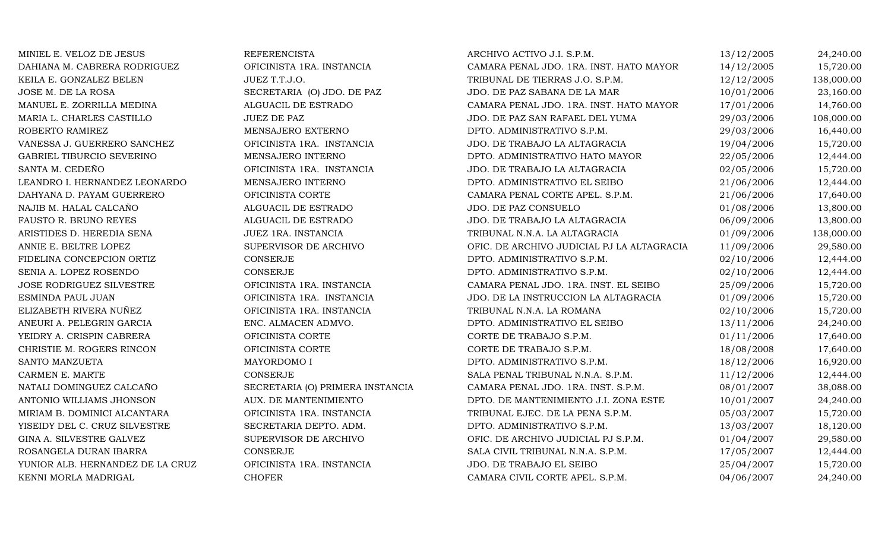| MINIEL E. VELOZ DE JESUS         | <b>REFERENCISTA</b>              | ARCHIVO ACTIVO J.I. S.P.M.                 | 13/12/2005 | 24,240.00  |
|----------------------------------|----------------------------------|--------------------------------------------|------------|------------|
| DAHIANA M. CABRERA RODRIGUEZ     | OFICINISTA 1RA. INSTANCIA        | CAMARA PENAL JDO. 1RA. INST. HATO MAYOR    | 14/12/2005 | 15,720.00  |
| KEILA E. GONZALEZ BELEN          | JUEZ T.T.J.O.                    | TRIBUNAL DE TIERRAS J.O. S.P.M.            | 12/12/2005 | 138,000.00 |
| JOSE M. DE LA ROSA               | SECRETARIA (O) JDO. DE PAZ       | JDO. DE PAZ SABANA DE LA MAR               | 10/01/2006 | 23,160.00  |
| MANUEL E. ZORRILLA MEDINA        | ALGUACIL DE ESTRADO              | CAMARA PENAL JDO. 1RA. INST. HATO MAYOR    | 17/01/2006 | 14,760.00  |
| MARIA L. CHARLES CASTILLO        | <b>JUEZ DE PAZ</b>               | JDO. DE PAZ SAN RAFAEL DEL YUMA            | 29/03/2006 | 108,000.00 |
| ROBERTO RAMIREZ                  | MENSAJERO EXTERNO                | DPTO. ADMINISTRATIVO S.P.M.                | 29/03/2006 | 16,440.00  |
| VANESSA J. GUERRERO SANCHEZ      | OFICINISTA 1RA. INSTANCIA        | JDO. DE TRABAJO LA ALTAGRACIA              | 19/04/2006 | 15,720.00  |
| GABRIEL TIBURCIO SEVERINO        | MENSAJERO INTERNO                | DPTO. ADMINISTRATIVO HATO MAYOR            | 22/05/2006 | 12,444.00  |
| SANTA M. CEDEÑO                  | OFICINISTA 1RA. INSTANCIA        | JDO. DE TRABAJO LA ALTAGRACIA              | 02/05/2006 | 15,720.00  |
| LEANDRO I. HERNANDEZ LEONARDO    | MENSAJERO INTERNO                | DPTO. ADMINISTRATIVO EL SEIBO              | 21/06/2006 | 12,444.00  |
| DAHYANA D. PAYAM GUERRERO        | OFICINISTA CORTE                 | CAMARA PENAL CORTE APEL. S.P.M.            | 21/06/2006 | 17,640.00  |
| NAJIB M. HALAL CALCAÑO           | ALGUACIL DE ESTRADO              | JDO. DE PAZ CONSUELO                       | 01/08/2006 | 13,800.00  |
| FAUSTO R. BRUNO REYES            | ALGUACIL DE ESTRADO              | JDO. DE TRABAJO LA ALTAGRACIA              | 06/09/2006 | 13,800.00  |
| ARISTIDES D. HEREDIA SENA        | JUEZ 1RA. INSTANCIA              | TRIBUNAL N.N.A. LA ALTAGRACIA              | 01/09/2006 | 138,000.00 |
| ANNIE E. BELTRE LOPEZ            | SUPERVISOR DE ARCHIVO            | OFIC. DE ARCHIVO JUDICIAL PJ LA ALTAGRACIA | 11/09/2006 | 29,580.00  |
| FIDELINA CONCEPCION ORTIZ        | <b>CONSERJE</b>                  | DPTO. ADMINISTRATIVO S.P.M.                | 02/10/2006 | 12,444.00  |
| SENIA A. LOPEZ ROSENDO           | <b>CONSERJE</b>                  | DPTO. ADMINISTRATIVO S.P.M.                | 02/10/2006 | 12,444.00  |
| <b>JOSE RODRIGUEZ SILVESTRE</b>  | OFICINISTA 1RA. INSTANCIA        | CAMARA PENAL JDO. 1RA. INST. EL SEIBO      | 25/09/2006 | 15,720.00  |
| ESMINDA PAUL JUAN                | OFICINISTA 1RA. INSTANCIA        | JDO. DE LA INSTRUCCION LA ALTAGRACIA       | 01/09/2006 | 15,720.00  |
| ELIZABETH RIVERA NUÑEZ           | OFICINISTA 1RA. INSTANCIA        | TRIBUNAL N.N.A. LA ROMANA                  | 02/10/2006 | 15,720.00  |
| ANEURI A. PELEGRIN GARCIA        | ENC. ALMACEN ADMVO.              | DPTO. ADMINISTRATIVO EL SEIBO              | 13/11/2006 | 24,240.00  |
| YEIDRY A. CRISPIN CABRERA        | OFICINISTA CORTE                 | CORTE DE TRABAJO S.P.M.                    | 01/11/2006 | 17,640.00  |
| CHRISTIE M. ROGERS RINCON        | OFICINISTA CORTE                 | CORTE DE TRABAJO S.P.M.                    | 18/08/2008 | 17,640.00  |
| SANTO MANZUETA                   | MAYORDOMO I                      | DPTO. ADMINISTRATIVO S.P.M.                | 18/12/2006 | 16,920.00  |
| CARMEN E. MARTE                  | CONSERJE                         | SALA PENAL TRIBUNAL N.N.A. S.P.M.          | 11/12/2006 | 12,444.00  |
| NATALI DOMINGUEZ CALCAÑO         | SECRETARIA (O) PRIMERA INSTANCIA | CAMARA PENAL JDO. 1RA. INST. S.P.M.        | 08/01/2007 | 38,088.00  |
| ANTONIO WILLIAMS JHONSON         | AUX. DE MANTENIMIENTO            | DPTO. DE MANTENIMIENTO J.I. ZONA ESTE      | 10/01/2007 | 24,240.00  |
| MIRIAM B. DOMINICI ALCANTARA     | OFICINISTA 1RA. INSTANCIA        | TRIBUNAL EJEC. DE LA PENA S.P.M.           | 05/03/2007 | 15,720.00  |
| YISEIDY DEL C. CRUZ SILVESTRE    | SECRETARIA DEPTO. ADM.           | DPTO. ADMINISTRATIVO S.P.M.                | 13/03/2007 | 18,120.00  |
| GINA A. SILVESTRE GALVEZ         | SUPERVISOR DE ARCHIVO            | OFIC. DE ARCHIVO JUDICIAL PJ S.P.M.        | 01/04/2007 | 29,580.00  |
| ROSANGELA DURAN IBARRA           | <b>CONSERJE</b>                  | SALA CIVIL TRIBUNAL N.N.A. S.P.M.          | 17/05/2007 | 12,444.00  |
| YUNIOR ALB. HERNANDEZ DE LA CRUZ | OFICINISTA 1RA. INSTANCIA        | JDO. DE TRABAJO EL SEIBO                   | 25/04/2007 | 15,720.00  |
| KENNI MORLA MADRIGAL             | <b>CHOFER</b>                    | CAMARA CIVIL CORTE APEL. S.P.M.            | 04/06/2007 | 24,240.00  |
|                                  |                                  |                                            |            |            |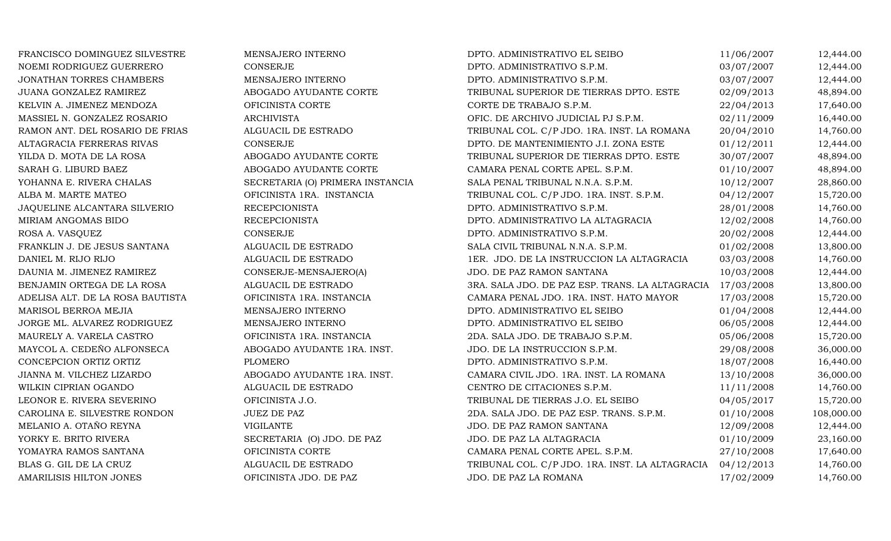| FRANCISCO DOMINGUEZ SILVESTRE    | MENSAJERO INTERNO                | DPTO. ADMINISTRATIVO EL SEIBO                   | 11/06/2007 | 12,444.00  |
|----------------------------------|----------------------------------|-------------------------------------------------|------------|------------|
| NOEMI RODRIGUEZ GUERRERO         | <b>CONSERJE</b>                  | DPTO. ADMINISTRATIVO S.P.M.                     | 03/07/2007 | 12,444.00  |
| JONATHAN TORRES CHAMBERS         | MENSAJERO INTERNO                | DPTO. ADMINISTRATIVO S.P.M.                     | 03/07/2007 | 12,444.00  |
| JUANA GONZALEZ RAMIREZ           | ABOGADO AYUDANTE CORTE           | TRIBUNAL SUPERIOR DE TIERRAS DPTO. ESTE         | 02/09/2013 | 48,894.00  |
| KELVIN A. JIMENEZ MENDOZA        | OFICINISTA CORTE                 | CORTE DE TRABAJO S.P.M.                         | 22/04/2013 | 17,640.00  |
| MASSIEL N. GONZALEZ ROSARIO      | <b>ARCHIVISTA</b>                | OFIC. DE ARCHIVO JUDICIAL PJ S.P.M.             | 02/11/2009 | 16,440.00  |
| RAMON ANT. DEL ROSARIO DE FRIAS  | ALGUACIL DE ESTRADO              | TRIBUNAL COL. C/P JDO. 1RA. INST. LA ROMANA     | 20/04/2010 | 14,760.00  |
| ALTAGRACIA FERRERAS RIVAS        | CONSERJE                         | DPTO. DE MANTENIMIENTO J.I. ZONA ESTE           | 01/12/2011 | 12,444.00  |
| YILDA D. MOTA DE LA ROSA         | ABOGADO AYUDANTE CORTE           | TRIBUNAL SUPERIOR DE TIERRAS DPTO. ESTE         | 30/07/2007 | 48,894.00  |
| SARAH G. LIBURD BAEZ             | ABOGADO AYUDANTE CORTE           | CAMARA PENAL CORTE APEL. S.P.M.                 | 01/10/2007 | 48,894.00  |
| YOHANNA E. RIVERA CHALAS         | SECRETARIA (O) PRIMERA INSTANCIA | SALA PENAL TRIBUNAL N.N.A. S.P.M.               | 10/12/2007 | 28,860.00  |
| ALBA M. MARTE MATEO              | OFICINISTA 1RA. INSTANCIA        | TRIBUNAL COL. C/P JDO. 1RA. INST. S.P.M.        | 04/12/2007 | 15,720.00  |
| JAQUELINE ALCANTARA SILVERIO     | <b>RECEPCIONISTA</b>             | DPTO. ADMINISTRATIVO S.P.M.                     | 28/01/2008 | 14,760.00  |
| MIRIAM ANGOMAS BIDO              | <b>RECEPCIONISTA</b>             | DPTO. ADMINISTRATIVO LA ALTAGRACIA              | 12/02/2008 | 14,760.00  |
| ROSA A. VASQUEZ                  | CONSERJE                         | DPTO. ADMINISTRATIVO S.P.M.                     | 20/02/2008 | 12,444.00  |
| FRANKLIN J. DE JESUS SANTANA     | ALGUACIL DE ESTRADO              | SALA CIVIL TRIBUNAL N.N.A. S.P.M.               | 01/02/2008 | 13,800.00  |
| DANIEL M. RIJO RIJO              | ALGUACIL DE ESTRADO              | 1ER. JDO. DE LA INSTRUCCION LA ALTAGRACIA       | 03/03/2008 | 14,760.00  |
| DAUNIA M. JIMENEZ RAMIREZ        | CONSERJE-MENSAJERO(A)            | JDO. DE PAZ RAMON SANTANA                       | 10/03/2008 | 12,444.00  |
| BENJAMIN ORTEGA DE LA ROSA       | ALGUACIL DE ESTRADO              | 3RA. SALA JDO. DE PAZ ESP. TRANS. LA ALTAGRACIA | 17/03/2008 | 13,800.00  |
| ADELISA ALT. DE LA ROSA BAUTISTA | OFICINISTA 1RA. INSTANCIA        | CAMARA PENAL JDO. 1RA. INST. HATO MAYOR         | 17/03/2008 | 15,720.00  |
| MARISOL BERROA MEJIA             | MENSAJERO INTERNO                | DPTO. ADMINISTRATIVO EL SEIBO                   | 01/04/2008 | 12,444.00  |
| JORGE ML. ALVAREZ RODRIGUEZ      | MENSAJERO INTERNO                | DPTO. ADMINISTRATIVO EL SEIBO                   | 06/05/2008 | 12,444.00  |
| MAURELY A. VARELA CASTRO         | OFICINISTA 1RA. INSTANCIA        | 2DA. SALA JDO. DE TRABAJO S.P.M.                | 05/06/2008 | 15,720.00  |
| MAYCOL A. CEDEÑO ALFONSECA       | ABOGADO AYUDANTE 1RA. INST.      | JDO. DE LA INSTRUCCION S.P.M.                   | 29/08/2008 | 36,000.00  |
| CONCEPCION ORTIZ ORTIZ           | PLOMERO                          | DPTO. ADMINISTRATIVO S.P.M.                     | 18/07/2008 | 16,440.00  |
| JIANNA M. VILCHEZ LIZARDO        | ABOGADO AYUDANTE 1RA. INST.      | CAMARA CIVIL JDO. 1RA. INST. LA ROMANA          | 13/10/2008 | 36,000.00  |
| WILKIN CIPRIAN OGANDO            | ALGUACIL DE ESTRADO              | CENTRO DE CITACIONES S.P.M.                     | 11/11/2008 | 14,760.00  |
| LEONOR E. RIVERA SEVERINO        | OFICINISTA J.O.                  | TRIBUNAL DE TIERRAS J.O. EL SEIBO               | 04/05/2017 | 15,720.00  |
| CAROLINA E. SILVESTRE RONDON     | JUEZ DE PAZ                      | 2DA. SALA JDO. DE PAZ ESP. TRANS. S.P.M.        | 01/10/2008 | 108,000.00 |
| MELANIO A. OTAÑO REYNA           | <b>VIGILANTE</b>                 | JDO. DE PAZ RAMON SANTANA                       | 12/09/2008 | 12,444.00  |
| YORKY E. BRITO RIVERA            | SECRETARIA (O) JDO. DE PAZ       | JDO. DE PAZ LA ALTAGRACIA                       | 01/10/2009 | 23,160.00  |
| YOMAYRA RAMOS SANTANA            | OFICINISTA CORTE                 | CAMARA PENAL CORTE APEL. S.P.M.                 | 27/10/2008 | 17,640.00  |
| BLAS G. GIL DE LA CRUZ           | ALGUACIL DE ESTRADO              | TRIBUNAL COL. C/P JDO. 1RA. INST. LA ALTAGRACIA | 04/12/2013 | 14,760.00  |
| AMARILISIS HILTON JONES          | OFICINISTA JDO. DE PAZ           | JDO. DE PAZ LA ROMANA                           | 17/02/2009 | 14,760.00  |
|                                  |                                  |                                                 |            |            |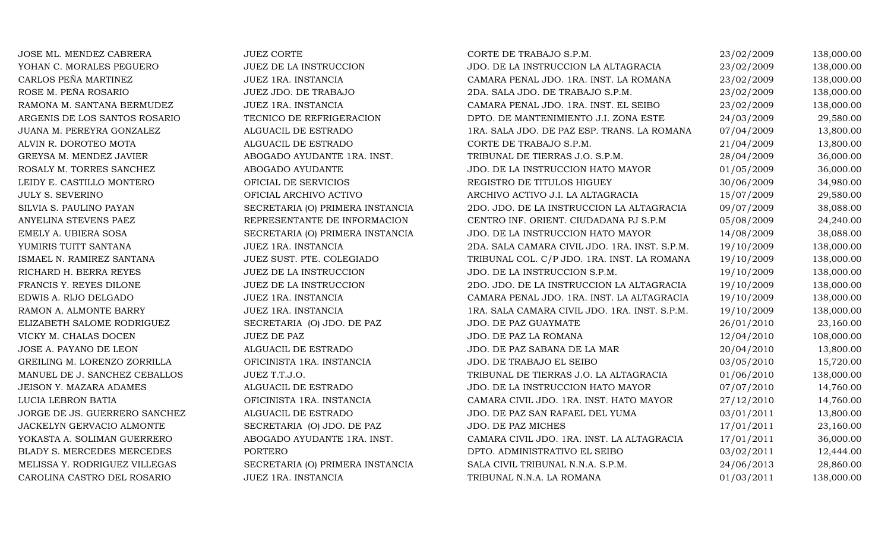| JOSE ML. MENDEZ CABRERA       | <b>JUEZ CORTE</b>                | CORTE DE TRABAJO S.P.M.                       | 23/02/2009 | 138,000.00 |
|-------------------------------|----------------------------------|-----------------------------------------------|------------|------------|
| YOHAN C. MORALES PEGUERO      | JUEZ DE LA INSTRUCCION           | JDO. DE LA INSTRUCCION LA ALTAGRACIA          | 23/02/2009 | 138,000.00 |
| CARLOS PEÑA MARTINEZ          | JUEZ 1RA. INSTANCIA              | CAMARA PENAL JDO. 1RA. INST. LA ROMANA        | 23/02/2009 | 138,000.00 |
| ROSE M. PEÑA ROSARIO          | JUEZ JDO. DE TRABAJO             | 2DA. SALA JDO. DE TRABAJO S.P.M.              | 23/02/2009 | 138,000.00 |
| RAMONA M. SANTANA BERMUDEZ    | JUEZ 1RA. INSTANCIA              | CAMARA PENAL JDO. 1RA. INST. EL SEIBO         | 23/02/2009 | 138,000.00 |
| ARGENIS DE LOS SANTOS ROSARIO | TECNICO DE REFRIGERACION         | DPTO. DE MANTENIMIENTO J.I. ZONA ESTE         | 24/03/2009 | 29,580.00  |
| JUANA M. PEREYRA GONZALEZ     | ALGUACIL DE ESTRADO              | 1RA. SALA JDO. DE PAZ ESP. TRANS. LA ROMANA   | 07/04/2009 | 13,800.00  |
| ALVIN R. DOROTEO MOTA         | ALGUACIL DE ESTRADO              | CORTE DE TRABAJO S.P.M.                       | 21/04/2009 | 13,800.00  |
| GREYSA M. MENDEZ JAVIER       | ABOGADO AYUDANTE 1RA. INST.      | TRIBUNAL DE TIERRAS J.O. S.P.M.               | 28/04/2009 | 36,000.00  |
| ROSALY M. TORRES SANCHEZ      | ABOGADO AYUDANTE                 | JDO. DE LA INSTRUCCION HATO MAYOR             | 01/05/2009 | 36,000.00  |
| LEIDY E. CASTILLO MONTERO     | OFICIAL DE SERVICIOS             | REGISTRO DE TITULOS HIGUEY                    | 30/06/2009 | 34,980.00  |
| <b>JULY S. SEVERINO</b>       | OFICIAL ARCHIVO ACTIVO           | ARCHIVO ACTIVO J.I. LA ALTAGRACIA             | 15/07/2009 | 29,580.00  |
| SILVIA S. PAULINO PAYAN       | SECRETARIA (O) PRIMERA INSTANCIA | 2DO. JDO. DE LA INSTRUCCION LA ALTAGRACIA     | 09/07/2009 | 38,088.00  |
| ANYELINA STEVENS PAEZ         | REPRESENTANTE DE INFORMACION     | CENTRO INF. ORIENT. CIUDADANA PJ S.P.M        | 05/08/2009 | 24,240.00  |
| EMELY A. UBIERA SOSA          | SECRETARIA (O) PRIMERA INSTANCIA | JDO. DE LA INSTRUCCION HATO MAYOR             | 14/08/2009 | 38,088.00  |
| YUMIRIS TUITT SANTANA         | JUEZ 1RA. INSTANCIA              | 2DA. SALA CAMARA CIVIL JDO. 1RA. INST. S.P.M. | 19/10/2009 | 138,000.00 |
| ISMAEL N. RAMIREZ SANTANA     | JUEZ SUST. PTE. COLEGIADO        | TRIBUNAL COL. C/P JDO. 1RA. INST. LA ROMANA   | 19/10/2009 | 138,000.00 |
| RICHARD H. BERRA REYES        | JUEZ DE LA INSTRUCCION           | JDO. DE LA INSTRUCCION S.P.M.                 | 19/10/2009 | 138,000.00 |
| FRANCIS Y. REYES DILONE       | JUEZ DE LA INSTRUCCION           | 2DO. JDO. DE LA INSTRUCCION LA ALTAGRACIA     | 19/10/2009 | 138,000.00 |
| EDWIS A. RIJO DELGADO         | JUEZ 1RA. INSTANCIA              | CAMARA PENAL JDO. 1RA. INST. LA ALTAGRACIA    | 19/10/2009 | 138,000.00 |
| RAMON A. ALMONTE BARRY        | JUEZ 1RA. INSTANCIA              | 1RA. SALA CAMARA CIVIL JDO. 1RA. INST. S.P.M. | 19/10/2009 | 138,000.00 |
| ELIZABETH SALOME RODRIGUEZ    | SECRETARIA (O) JDO. DE PAZ       | JDO. DE PAZ GUAYMATE                          | 26/01/2010 | 23,160.00  |
| VICKY M. CHALAS DOCEN         | <b>JUEZ DE PAZ</b>               | JDO. DE PAZ LA ROMANA                         | 12/04/2010 | 108,000.00 |
| JOSE A. PAYANO DE LEON        | ALGUACIL DE ESTRADO              | JDO. DE PAZ SABANA DE LA MAR                  | 20/04/2010 | 13,800.00  |
| GREILING M. LORENZO ZORRILLA  | OFICINISTA 1RA. INSTANCIA        | JDO. DE TRABAJO EL SEIBO                      | 03/05/2010 | 15,720.00  |
| MANUEL DE J. SANCHEZ CEBALLOS | JUEZ T.T.J.O.                    | TRIBUNAL DE TIERRAS J.O. LA ALTAGRACIA        | 01/06/2010 | 138,000.00 |
| JEISON Y. MAZARA ADAMES       | ALGUACIL DE ESTRADO              | JDO. DE LA INSTRUCCION HATO MAYOR             | 07/07/2010 | 14,760.00  |
| LUCIA LEBRON BATIA            | OFICINISTA 1RA. INSTANCIA        | CAMARA CIVIL JDO. 1RA. INST. HATO MAYOR       | 27/12/2010 | 14,760.00  |
| JORGE DE JS. GUERRERO SANCHEZ | ALGUACIL DE ESTRADO              | JDO. DE PAZ SAN RAFAEL DEL YUMA               | 03/01/2011 | 13,800.00  |
| JACKELYN GERVACIO ALMONTE     | SECRETARIA (O) JDO. DE PAZ       | JDO. DE PAZ MICHES                            | 17/01/2011 | 23,160.00  |
| YOKASTA A. SOLIMAN GUERRERO   | ABOGADO AYUDANTE 1RA. INST.      | CAMARA CIVIL JDO. 1RA. INST. LA ALTAGRACIA    | 17/01/2011 | 36,000.00  |
| BLADY S. MERCEDES MERCEDES    | PORTERO                          | DPTO. ADMINISTRATIVO EL SEIBO                 | 03/02/2011 | 12,444.00  |
| MELISSA Y. RODRIGUEZ VILLEGAS | SECRETARIA (O) PRIMERA INSTANCIA | SALA CIVIL TRIBUNAL N.N.A. S.P.M.             | 24/06/2013 | 28,860.00  |
| CAROLINA CASTRO DEL ROSARIO   | JUEZ 1RA. INSTANCIA              | TRIBUNAL N.N.A. LA ROMANA                     | 01/03/2011 | 138,000.00 |
|                               |                                  |                                               |            |            |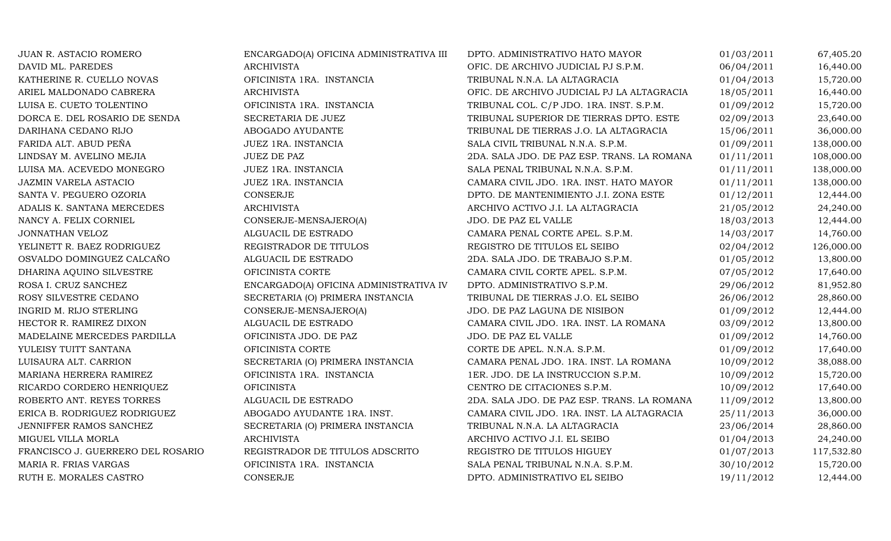| JUAN R. ASTACIO ROMERO            | ENCARGADO(A) OFICINA ADMINISTRATIVA III | DPTO. ADMINISTRATIVO HATO MAYOR             | 01/03/2011 | 67,405.20  |
|-----------------------------------|-----------------------------------------|---------------------------------------------|------------|------------|
| DAVID ML. PAREDES                 | <b>ARCHIVISTA</b>                       | OFIC. DE ARCHIVO JUDICIAL PJ S.P.M.         | 06/04/2011 | 16,440.00  |
| KATHERINE R. CUELLO NOVAS         | OFICINISTA 1RA. INSTANCIA               | TRIBUNAL N.N.A. LA ALTAGRACIA               | 01/04/2013 | 15,720.00  |
| ARIEL MALDONADO CABRERA           | <b>ARCHIVISTA</b>                       | OFIC. DE ARCHIVO JUDICIAL PJ LA ALTAGRACIA  | 18/05/2011 | 16,440.00  |
| LUISA E. CUETO TOLENTINO          | OFICINISTA 1RA. INSTANCIA               | TRIBUNAL COL. C/P JDO. 1RA. INST. S.P.M.    | 01/09/2012 | 15,720.00  |
| DORCA E. DEL ROSARIO DE SENDA     | SECRETARIA DE JUEZ                      | TRIBUNAL SUPERIOR DE TIERRAS DPTO. ESTE     | 02/09/2013 | 23,640.00  |
| DARIHANA CEDANO RIJO              | ABOGADO AYUDANTE                        | TRIBUNAL DE TIERRAS J.O. LA ALTAGRACIA      | 15/06/2011 | 36,000.00  |
| FARIDA ALT. ABUD PEÑA             | JUEZ 1RA. INSTANCIA                     | SALA CIVIL TRIBUNAL N.N.A. S.P.M.           | 01/09/2011 | 138,000.00 |
| LINDSAY M. AVELINO MEJIA          | <b>JUEZ DE PAZ</b>                      | 2DA. SALA JDO. DE PAZ ESP. TRANS. LA ROMANA | 01/11/2011 | 108,000.00 |
| LUISA MA. ACEVEDO MONEGRO         | JUEZ 1RA. INSTANCIA                     | SALA PENAL TRIBUNAL N.N.A. S.P.M.           | 01/11/2011 | 138,000.00 |
| <b>JAZMIN VARELA ASTACIO</b>      | JUEZ 1RA. INSTANCIA                     | CAMARA CIVIL JDO. 1RA. INST. HATO MAYOR     | 01/11/2011 | 138,000.00 |
| SANTA V. PEGUERO OZORIA           | CONSERJE                                | DPTO. DE MANTENIMIENTO J.I. ZONA ESTE       | 01/12/2011 | 12,444.00  |
| ADALIS K. SANTANA MERCEDES        | <b>ARCHIVISTA</b>                       | ARCHIVO ACTIVO J.I. LA ALTAGRACIA           | 21/05/2012 | 24,240.00  |
| NANCY A. FELIX CORNIEL            | CONSERJE-MENSAJERO(A)                   | JDO. DE PAZ EL VALLE                        | 18/03/2013 | 12,444.00  |
| JONNATHAN VELOZ                   | ALGUACIL DE ESTRADO                     | CAMARA PENAL CORTE APEL. S.P.M.             | 14/03/2017 | 14,760.00  |
| YELINETT R. BAEZ RODRIGUEZ        | REGISTRADOR DE TITULOS                  | REGISTRO DE TITULOS EL SEIBO                | 02/04/2012 | 126,000.00 |
| OSVALDO DOMINGUEZ CALCAÑO         | ALGUACIL DE ESTRADO                     | 2DA. SALA JDO. DE TRABAJO S.P.M.            | 01/05/2012 | 13,800.00  |
| DHARINA AQUINO SILVESTRE          | OFICINISTA CORTE                        | CAMARA CIVIL CORTE APEL. S.P.M.             | 07/05/2012 | 17,640.00  |
| ROSA I. CRUZ SANCHEZ              | ENCARGADO(A) OFICINA ADMINISTRATIVA IV  | DPTO. ADMINISTRATIVO S.P.M.                 | 29/06/2012 | 81,952.80  |
| ROSY SILVESTRE CEDANO             | SECRETARIA (O) PRIMERA INSTANCIA        | TRIBUNAL DE TIERRAS J.O. EL SEIBO           | 26/06/2012 | 28,860.00  |
| INGRID M. RIJO STERLING           | CONSERJE-MENSAJERO(A)                   | JDO. DE PAZ LAGUNA DE NISIBON               | 01/09/2012 | 12,444.00  |
| HECTOR R. RAMIREZ DIXON           | ALGUACIL DE ESTRADO                     | CAMARA CIVIL JDO. 1RA. INST. LA ROMANA      | 03/09/2012 | 13,800.00  |
| MADELAINE MERCEDES PARDILLA       | OFICINISTA JDO. DE PAZ                  | JDO. DE PAZ EL VALLE                        | 01/09/2012 | 14,760.00  |
| YULEISY TUITT SANTANA             | OFICINISTA CORTE                        | CORTE DE APEL. N.N.A. S.P.M.                | 01/09/2012 | 17,640.00  |
| LUISAURA ALT. CARRION             | SECRETARIA (O) PRIMERA INSTANCIA        | CAMARA PENAL JDO. 1RA. INST. LA ROMANA      | 10/09/2012 | 38,088.00  |
| MARIANA HERRERA RAMIREZ           | OFICINISTA 1RA. INSTANCIA               | 1ER. JDO. DE LA INSTRUCCION S.P.M.          | 10/09/2012 | 15,720.00  |
| RICARDO CORDERO HENRIQUEZ         | <b>OFICINISTA</b>                       | CENTRO DE CITACIONES S.P.M.                 | 10/09/2012 | 17,640.00  |
| ROBERTO ANT. REYES TORRES         | ALGUACIL DE ESTRADO                     | 2DA. SALA JDO. DE PAZ ESP. TRANS. LA ROMANA | 11/09/2012 | 13,800.00  |
| ERICA B. RODRIGUEZ RODRIGUEZ      | ABOGADO AYUDANTE 1RA. INST.             | CAMARA CIVIL JDO. 1RA. INST. LA ALTAGRACIA  | 25/11/2013 | 36,000.00  |
| JENNIFFER RAMOS SANCHEZ           | SECRETARIA (O) PRIMERA INSTANCIA        | TRIBUNAL N.N.A. LA ALTAGRACIA               | 23/06/2014 | 28,860.00  |
| MIGUEL VILLA MORLA                | <b>ARCHIVISTA</b>                       | ARCHIVO ACTIVO J.I. EL SEIBO                | 01/04/2013 | 24,240.00  |
| FRANCISCO J. GUERRERO DEL ROSARIO | REGISTRADOR DE TITULOS ADSCRITO         | REGISTRO DE TITULOS HIGUEY                  | 01/07/2013 | 117,532.80 |
| MARIA R. FRIAS VARGAS             | OFICINISTA 1RA. INSTANCIA               | SALA PENAL TRIBUNAL N.N.A. S.P.M.           | 30/10/2012 | 15,720.00  |
| RUTH E. MORALES CASTRO            | CONSERJE                                | DPTO. ADMINISTRATIVO EL SEIBO               | 19/11/2012 | 12,444.00  |
|                                   |                                         |                                             |            |            |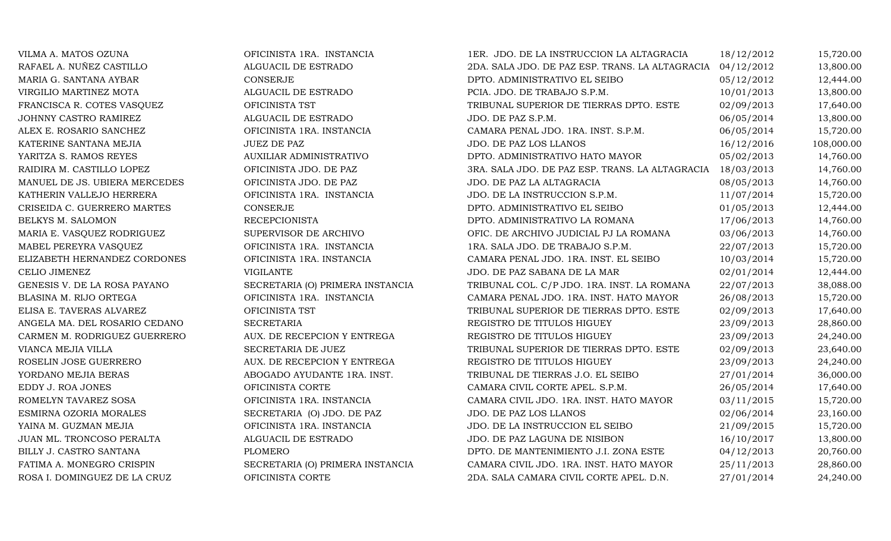| VILMA A. MATOS OZUNA          | OFICINISTA 1RA. INSTANCIA        | 1ER. JDO. DE LA INSTRUCCION LA ALTAGRACIA                  | 18/12/2012 | 15,720.00  |
|-------------------------------|----------------------------------|------------------------------------------------------------|------------|------------|
| RAFAEL A. NUÑEZ CASTILLO      | ALGUACIL DE ESTRADO              | 2DA. SALA JDO. DE PAZ ESP. TRANS. LA ALTAGRACIA            | 04/12/2012 | 13,800.00  |
| MARIA G. SANTANA AYBAR        | CONSERJE                         | DPTO. ADMINISTRATIVO EL SEIBO                              | 05/12/2012 | 12,444.00  |
| VIRGILIO MARTINEZ MOTA        | ALGUACIL DE ESTRADO              | PCIA. JDO. DE TRABAJO S.P.M.                               | 10/01/2013 | 13,800.00  |
| FRANCISCA R. COTES VASQUEZ    | OFICINISTA TST                   | TRIBUNAL SUPERIOR DE TIERRAS DPTO. ESTE                    | 02/09/2013 | 17,640.00  |
| JOHNNY CASTRO RAMIREZ         | ALGUACIL DE ESTRADO              | JDO. DE PAZ S.P.M.                                         | 06/05/2014 | 13,800.00  |
| ALEX E. ROSARIO SANCHEZ       | OFICINISTA 1RA. INSTANCIA        | CAMARA PENAL JDO. 1RA. INST. S.P.M.                        | 06/05/2014 | 15,720.00  |
| KATERINE SANTANA MEJIA        | <b>JUEZ DE PAZ</b>               | JDO. DE PAZ LOS LLANOS                                     | 16/12/2016 | 108,000.00 |
| YARITZA S. RAMOS REYES        | <b>AUXILIAR ADMINISTRATIVO</b>   | DPTO. ADMINISTRATIVO HATO MAYOR                            | 05/02/2013 | 14,760.00  |
| RAIDIRA M. CASTILLO LOPEZ     | OFICINISTA JDO. DE PAZ           | 3RA. SALA JDO. DE PAZ ESP. TRANS. LA ALTAGRACIA 18/03/2013 |            | 14,760.00  |
| MANUEL DE JS. UBIERA MERCEDES | OFICINISTA JDO. DE PAZ           | JDO. DE PAZ LA ALTAGRACIA                                  | 08/05/2013 | 14,760.00  |
| KATHERIN VALLEJO HERRERA      | OFICINISTA 1RA. INSTANCIA        | JDO. DE LA INSTRUCCION S.P.M.                              | 11/07/2014 | 15,720.00  |
| CRISEIDA C. GUERRERO MARTES   | CONSERJE                         | DPTO. ADMINISTRATIVO EL SEIBO                              | 01/05/2013 | 12,444.00  |
| BELKYS M. SALOMON             | <b>RECEPCIONISTA</b>             | DPTO. ADMINISTRATIVO LA ROMANA                             | 17/06/2013 | 14,760.00  |
| MARIA E. VASQUEZ RODRIGUEZ    | SUPERVISOR DE ARCHIVO            | OFIC. DE ARCHIVO JUDICIAL PJ LA ROMANA                     | 03/06/2013 | 14,760.00  |
| MABEL PEREYRA VASQUEZ         | OFICINISTA 1RA. INSTANCIA        | 1RA. SALA JDO. DE TRABAJO S.P.M.                           | 22/07/2013 | 15,720.00  |
| ELIZABETH HERNANDEZ CORDONES  | OFICINISTA 1RA. INSTANCIA        | CAMARA PENAL JDO. 1RA. INST. EL SEIBO                      | 10/03/2014 | 15,720.00  |
| CELIO JIMENEZ                 | <b>VIGILANTE</b>                 | JDO. DE PAZ SABANA DE LA MAR                               | 02/01/2014 | 12,444.00  |
| GENESIS V. DE LA ROSA PAYANO  | SECRETARIA (O) PRIMERA INSTANCIA | TRIBUNAL COL. C/P JDO. 1RA. INST. LA ROMANA                | 22/07/2013 | 38,088.00  |
| BLASINA M. RIJO ORTEGA        | OFICINISTA 1RA. INSTANCIA        | CAMARA PENAL JDO. 1RA. INST. HATO MAYOR                    | 26/08/2013 | 15,720.00  |
| ELISA E. TAVERAS ALVAREZ      | OFICINISTA TST                   | TRIBUNAL SUPERIOR DE TIERRAS DPTO. ESTE                    | 02/09/2013 | 17,640.00  |
| ANGELA MA. DEL ROSARIO CEDANO | <b>SECRETARIA</b>                | REGISTRO DE TITULOS HIGUEY                                 | 23/09/2013 | 28,860.00  |
| CARMEN M. RODRIGUEZ GUERRERO  | AUX. DE RECEPCION Y ENTREGA      | REGISTRO DE TITULOS HIGUEY                                 | 23/09/2013 | 24,240.00  |
| VIANCA MEJIA VILLA            | SECRETARIA DE JUEZ               | TRIBUNAL SUPERIOR DE TIERRAS DPTO. ESTE                    | 02/09/2013 | 23,640.00  |
| ROSELIN JOSE GUERRERO         | AUX. DE RECEPCION Y ENTREGA      | REGISTRO DE TITULOS HIGUEY                                 | 23/09/2013 | 24,240.00  |
| YORDANO MEJIA BERAS           | ABOGADO AYUDANTE 1RA. INST.      | TRIBUNAL DE TIERRAS J.O. EL SEIBO                          | 27/01/2014 | 36,000.00  |
| EDDY J. ROA JONES             | OFICINISTA CORTE                 | CAMARA CIVIL CORTE APEL. S.P.M.                            | 26/05/2014 | 17,640.00  |
| ROMELYN TAVAREZ SOSA          | OFICINISTA 1RA. INSTANCIA        | CAMARA CIVIL JDO. 1RA. INST. HATO MAYOR                    | 03/11/2015 | 15,720.00  |
| ESMIRNA OZORIA MORALES        | SECRETARIA (O) JDO. DE PAZ       | JDO. DE PAZ LOS LLANOS                                     | 02/06/2014 | 23,160.00  |
| YAINA M. GUZMAN MEJIA         | OFICINISTA 1RA. INSTANCIA        | JDO. DE LA INSTRUCCION EL SEIBO                            | 21/09/2015 | 15,720.00  |
| JUAN ML. TRONCOSO PERALTA     | ALGUACIL DE ESTRADO              | JDO. DE PAZ LAGUNA DE NISIBON                              | 16/10/2017 | 13,800.00  |
| BILLY J. CASTRO SANTANA       | <b>PLOMERO</b>                   | DPTO. DE MANTENIMIENTO J.I. ZONA ESTE                      | 04/12/2013 | 20,760.00  |
| FATIMA A. MONEGRO CRISPIN     | SECRETARIA (O) PRIMERA INSTANCIA | CAMARA CIVIL JDO. 1RA. INST. HATO MAYOR                    | 25/11/2013 | 28,860.00  |
| ROSA I. DOMINGUEZ DE LA CRUZ  | OFICINISTA CORTE                 | 2DA. SALA CAMARA CIVIL CORTE APEL. D.N.                    | 27/01/2014 | 24,240.00  |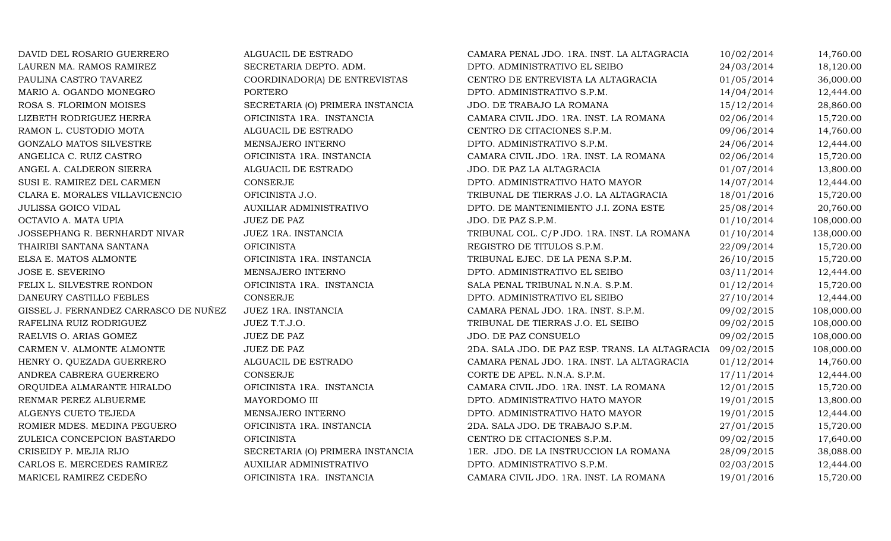| DAVID DEL ROSARIO GUERRERO            | ALGUACIL DE ESTRADO              | CAMARA PENAL JDO. 1RA. INST. LA ALTAGRACIA      | 10/02/2014 | 14,760.00  |
|---------------------------------------|----------------------------------|-------------------------------------------------|------------|------------|
| LAUREN MA. RAMOS RAMIREZ              | SECRETARIA DEPTO. ADM.           | DPTO. ADMINISTRATIVO EL SEIBO                   | 24/03/2014 | 18,120.00  |
| PAULINA CASTRO TAVAREZ                | COORDINADOR(A) DE ENTREVISTAS    | CENTRO DE ENTREVISTA LA ALTAGRACIA              | 01/05/2014 | 36,000.00  |
| MARIO A. OGANDO MONEGRO               | <b>PORTERO</b>                   | DPTO. ADMINISTRATIVO S.P.M.                     | 14/04/2014 | 12,444.00  |
| ROSA S. FLORIMON MOISES               | SECRETARIA (O) PRIMERA INSTANCIA | JDO. DE TRABAJO LA ROMANA                       | 15/12/2014 | 28,860.00  |
| LIZBETH RODRIGUEZ HERRA               | OFICINISTA 1RA. INSTANCIA        | CAMARA CIVIL JDO. 1RA. INST. LA ROMANA          | 02/06/2014 | 15,720.00  |
| RAMON L. CUSTODIO MOTA                | ALGUACIL DE ESTRADO              | CENTRO DE CITACIONES S.P.M.                     | 09/06/2014 | 14,760.00  |
| GONZALO MATOS SILVESTRE               | MENSAJERO INTERNO                | DPTO. ADMINISTRATIVO S.P.M.                     | 24/06/2014 | 12,444.00  |
| ANGELICA C. RUIZ CASTRO               | OFICINISTA 1RA. INSTANCIA        | CAMARA CIVIL JDO. 1RA. INST. LA ROMANA          | 02/06/2014 | 15,720.00  |
| ANGEL A. CALDERON SIERRA              | ALGUACIL DE ESTRADO              | JDO. DE PAZ LA ALTAGRACIA                       | 01/07/2014 | 13,800.00  |
| SUSI E. RAMIREZ DEL CARMEN            | <b>CONSERJE</b>                  | DPTO. ADMINISTRATIVO HATO MAYOR                 | 14/07/2014 | 12,444.00  |
| CLARA E. MORALES VILLAVICENCIO        | OFICINISTA J.O.                  | TRIBUNAL DE TIERRAS J.O. LA ALTAGRACIA          | 18/01/2016 | 15,720.00  |
| <b>JULISSA GOICO VIDAL</b>            | AUXILIAR ADMINISTRATIVO          | DPTO. DE MANTENIMIENTO J.I. ZONA ESTE           | 25/08/2014 | 20,760.00  |
| OCTAVIO A. MATA UPIA                  | <b>JUEZ DE PAZ</b>               | JDO. DE PAZ S.P.M.                              | 01/10/2014 | 108,000.00 |
| JOSSEPHANG R. BERNHARDT NIVAR         | JUEZ 1RA. INSTANCIA              | TRIBUNAL COL. C/P JDO. 1RA. INST. LA ROMANA     | 01/10/2014 | 138,000.00 |
| THAIRIBI SANTANA SANTANA              | <b>OFICINISTA</b>                | REGISTRO DE TITULOS S.P.M.                      | 22/09/2014 | 15,720.00  |
| ELSA E. MATOS ALMONTE                 | OFICINISTA 1RA. INSTANCIA        | TRIBUNAL EJEC. DE LA PENA S.P.M.                | 26/10/2015 | 15,720.00  |
| JOSE E. SEVERINO                      | MENSAJERO INTERNO                | DPTO. ADMINISTRATIVO EL SEIBO                   | 03/11/2014 | 12,444.00  |
| FELIX L. SILVESTRE RONDON             | OFICINISTA 1RA. INSTANCIA        | SALA PENAL TRIBUNAL N.N.A. S.P.M.               | 01/12/2014 | 15,720.00  |
| DANEURY CASTILLO FEBLES               | <b>CONSERJE</b>                  | DPTO. ADMINISTRATIVO EL SEIBO                   | 27/10/2014 | 12,444.00  |
| GISSEL J. FERNANDEZ CARRASCO DE NUÑEZ | JUEZ 1RA. INSTANCIA              | CAMARA PENAL JDO. 1RA. INST. S.P.M.             | 09/02/2015 | 108,000.00 |
| RAFELINA RUIZ RODRIGUEZ               | JUEZ T.T.J.O.                    | TRIBUNAL DE TIERRAS J.O. EL SEIBO               | 09/02/2015 | 108,000.00 |
| RAELVIS O. ARIAS GOMEZ                | <b>JUEZ DE PAZ</b>               | JDO. DE PAZ CONSUELO                            | 09/02/2015 | 108,000.00 |
| CARMEN V. ALMONTE ALMONTE             | <b>JUEZ DE PAZ</b>               | 2DA. SALA JDO. DE PAZ ESP. TRANS. LA ALTAGRACIA | 09/02/2015 | 108,000.00 |
| HENRY O. QUEZADA GUERRERO             | ALGUACIL DE ESTRADO              | CAMARA PENAL JDO. 1RA. INST. LA ALTAGRACIA      | 01/12/2014 | 14,760.00  |
| ANDREA CABRERA GUERRERO               | <b>CONSERJE</b>                  | CORTE DE APEL. N.N.A. S.P.M.                    | 17/11/2014 | 12,444.00  |
| ORQUIDEA ALMARANTE HIRALDO            | OFICINISTA 1RA. INSTANCIA        | CAMARA CIVIL JDO. 1RA. INST. LA ROMANA          | 12/01/2015 | 15,720.00  |
| RENMAR PEREZ ALBUERME                 | MAYORDOMO III                    | DPTO. ADMINISTRATIVO HATO MAYOR                 | 19/01/2015 | 13,800.00  |
| ALGENYS CUETO TEJEDA                  | MENSAJERO INTERNO                | DPTO. ADMINISTRATIVO HATO MAYOR                 | 19/01/2015 | 12,444.00  |
| ROMIER MDES. MEDINA PEGUERO           | OFICINISTA 1RA. INSTANCIA        | 2DA. SALA JDO. DE TRABAJO S.P.M.                | 27/01/2015 | 15,720.00  |
| ZULEICA CONCEPCION BASTARDO           | <b>OFICINISTA</b>                | CENTRO DE CITACIONES S.P.M.                     | 09/02/2015 | 17,640.00  |
| CRISEIDY P. MEJIA RIJO                | SECRETARIA (O) PRIMERA INSTANCIA | 1ER. JDO. DE LA INSTRUCCION LA ROMANA           | 28/09/2015 | 38,088.00  |
| CARLOS E. MERCEDES RAMIREZ            | AUXILIAR ADMINISTRATIVO          | DPTO. ADMINISTRATIVO S.P.M.                     | 02/03/2015 | 12,444.00  |
| MARICEL RAMIREZ CEDEÑO                | OFICINISTA 1RA. INSTANCIA        | CAMARA CIVIL JDO. 1RA. INST. LA ROMANA          | 19/01/2016 | 15,720.00  |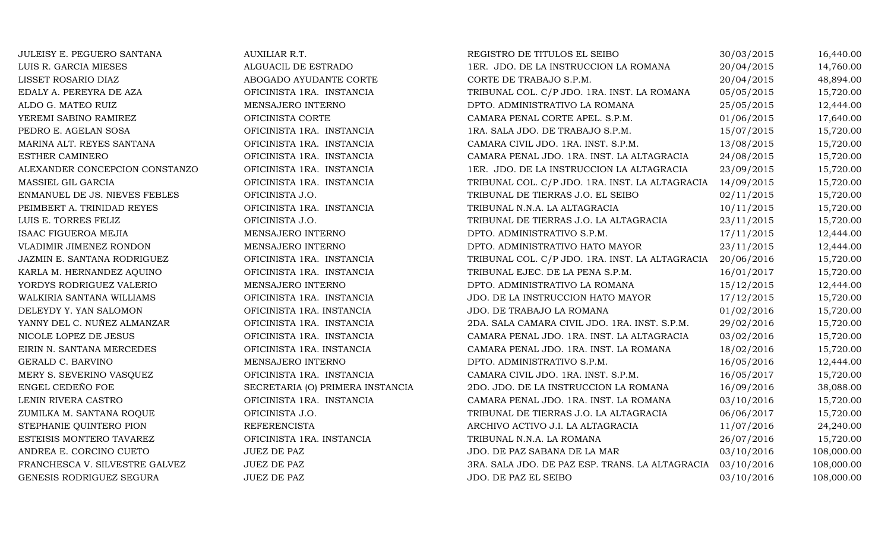| JULEISY E. PEGUERO SANTANA     | AUXILIAR R.T.                    | REGISTRO DE TITULOS EL SEIBO                               | 30/03/2015 | 16,440.00  |
|--------------------------------|----------------------------------|------------------------------------------------------------|------------|------------|
| LUIS R. GARCIA MIESES          | ALGUACIL DE ESTRADO              | 1ER. JDO. DE LA INSTRUCCION LA ROMANA                      | 20/04/2015 | 14,760.00  |
| LISSET ROSARIO DIAZ            | ABOGADO AYUDANTE CORTE           | CORTE DE TRABAJO S.P.M.                                    | 20/04/2015 | 48,894.00  |
| EDALY A. PEREYRA DE AZA        | OFICINISTA 1RA. INSTANCIA        | TRIBUNAL COL. C/P JDO. 1RA. INST. LA ROMANA                | 05/05/2015 | 15,720.00  |
| ALDO G. MATEO RUIZ             | MENSAJERO INTERNO                | DPTO. ADMINISTRATIVO LA ROMANA                             | 25/05/2015 | 12,444.00  |
| YEREMI SABINO RAMIREZ          | OFICINISTA CORTE                 | CAMARA PENAL CORTE APEL. S.P.M.                            | 01/06/2015 | 17,640.00  |
| PEDRO E. AGELAN SOSA           | OFICINISTA 1RA. INSTANCIA        | 1RA. SALA JDO. DE TRABAJO S.P.M.                           | 15/07/2015 | 15,720.00  |
| MARINA ALT. REYES SANTANA      | OFICINISTA 1RA. INSTANCIA        | CAMARA CIVIL JDO. 1RA. INST. S.P.M.                        | 13/08/2015 | 15,720.00  |
| ESTHER CAMINERO                | OFICINISTA 1RA. INSTANCIA        | CAMARA PENAL JDO. 1RA. INST. LA ALTAGRACIA                 | 24/08/2015 | 15,720.00  |
| ALEXANDER CONCEPCION CONSTANZO | OFICINISTA 1RA. INSTANCIA        | 1ER. JDO. DE LA INSTRUCCION LA ALTAGRACIA                  | 23/09/2015 | 15,720.00  |
| MASSIEL GIL GARCIA             | OFICINISTA 1RA. INSTANCIA        | TRIBUNAL COL. C/P JDO. 1RA. INST. LA ALTAGRACIA 14/09/2015 |            | 15,720.00  |
| ENMANUEL DE JS. NIEVES FEBLES  | OFICINISTA J.O.                  | TRIBUNAL DE TIERRAS J.O. EL SEIBO                          | 02/11/2015 | 15,720.00  |
| PEIMBERT A. TRINIDAD REYES     | OFICINISTA 1RA. INSTANCIA        | TRIBUNAL N.N.A. LA ALTAGRACIA                              | 10/11/2015 | 15,720.00  |
| LUIS E. TORRES FELIZ           | OFICINISTA J.O.                  | TRIBUNAL DE TIERRAS J.O. LA ALTAGRACIA                     | 23/11/2015 | 15,720.00  |
| <b>ISAAC FIGUEROA MEJIA</b>    | MENSAJERO INTERNO                | DPTO. ADMINISTRATIVO S.P.M.                                | 17/11/2015 | 12,444.00  |
| VLADIMIR JIMENEZ RONDON        | MENSAJERO INTERNO                | DPTO. ADMINISTRATIVO HATO MAYOR                            | 23/11/2015 | 12,444.00  |
| JAZMIN E. SANTANA RODRIGUEZ    | OFICINISTA 1RA. INSTANCIA        | TRIBUNAL COL. C/P JDO. 1RA. INST. LA ALTAGRACIA            | 20/06/2016 | 15,720.00  |
| KARLA M. HERNANDEZ AQUINO      | OFICINISTA 1RA. INSTANCIA        | TRIBUNAL EJEC. DE LA PENA S.P.M.                           | 16/01/2017 | 15,720.00  |
| YORDYS RODRIGUEZ VALERIO       | MENSAJERO INTERNO                | DPTO. ADMINISTRATIVO LA ROMANA                             | 15/12/2015 | 12,444.00  |
| WALKIRIA SANTANA WILLIAMS      | OFICINISTA 1RA. INSTANCIA        | JDO. DE LA INSTRUCCION HATO MAYOR                          | 17/12/2015 | 15,720.00  |
| DELEYDY Y. YAN SALOMON         | OFICINISTA 1RA. INSTANCIA        | JDO. DE TRABAJO LA ROMANA                                  | 01/02/2016 | 15,720.00  |
| YANNY DEL C. NUÑEZ ALMANZAR    | OFICINISTA 1RA. INSTANCIA        | 2DA. SALA CAMARA CIVIL JDO. 1RA. INST. S.P.M.              | 29/02/2016 | 15,720.00  |
| NICOLE LOPEZ DE JESUS          | OFICINISTA 1RA. INSTANCIA        | CAMARA PENAL JDO. 1RA. INST. LA ALTAGRACIA                 | 03/02/2016 | 15,720.00  |
| EIRIN N. SANTANA MERCEDES      | OFICINISTA 1RA. INSTANCIA        | CAMARA PENAL JDO. 1RA. INST. LA ROMANA                     | 18/02/2016 | 15,720.00  |
| GERALD C. BARVINO              | MENSAJERO INTERNO                | DPTO. ADMINISTRATIVO S.P.M.                                | 16/05/2016 | 12,444.00  |
| MERY S. SEVERINO VASQUEZ       | OFICINISTA 1RA. INSTANCIA        | CAMARA CIVIL JDO. 1RA. INST. S.P.M.                        | 16/05/2017 | 15,720.00  |
| ENGEL CEDEÑO FOE               | SECRETARIA (O) PRIMERA INSTANCIA | 2DO. JDO. DE LA INSTRUCCION LA ROMANA                      | 16/09/2016 | 38,088.00  |
| LENIN RIVERA CASTRO            | OFICINISTA 1RA. INSTANCIA        | CAMARA PENAL JDO. 1RA. INST. LA ROMANA                     | 03/10/2016 | 15,720.00  |
| ZUMILKA M. SANTANA ROQUE       | OFICINISTA J.O.                  | TRIBUNAL DE TIERRAS J.O. LA ALTAGRACIA                     | 06/06/2017 | 15,720.00  |
| STEPHANIE QUINTERO PION        | <b>REFERENCISTA</b>              | ARCHIVO ACTIVO J.I. LA ALTAGRACIA                          | 11/07/2016 | 24,240.00  |
| ESTEISIS MONTERO TAVAREZ       | OFICINISTA 1RA. INSTANCIA        | TRIBUNAL N.N.A. LA ROMANA                                  | 26/07/2016 | 15,720.00  |
| ANDREA E. CORCINO CUETO        | <b>JUEZ DE PAZ</b>               | JDO. DE PAZ SABANA DE LA MAR                               | 03/10/2016 | 108,000.00 |
| FRANCHESCA V. SILVESTRE GALVEZ | JUEZ DE PAZ                      | 3RA. SALA JDO. DE PAZ ESP. TRANS. LA ALTAGRACIA 03/10/2016 |            | 108,000.00 |
| GENESIS RODRIGUEZ SEGURA       | <b>JUEZ DE PAZ</b>               | JDO. DE PAZ EL SEIBO                                       | 03/10/2016 | 108,000.00 |
|                                |                                  |                                                            |            |            |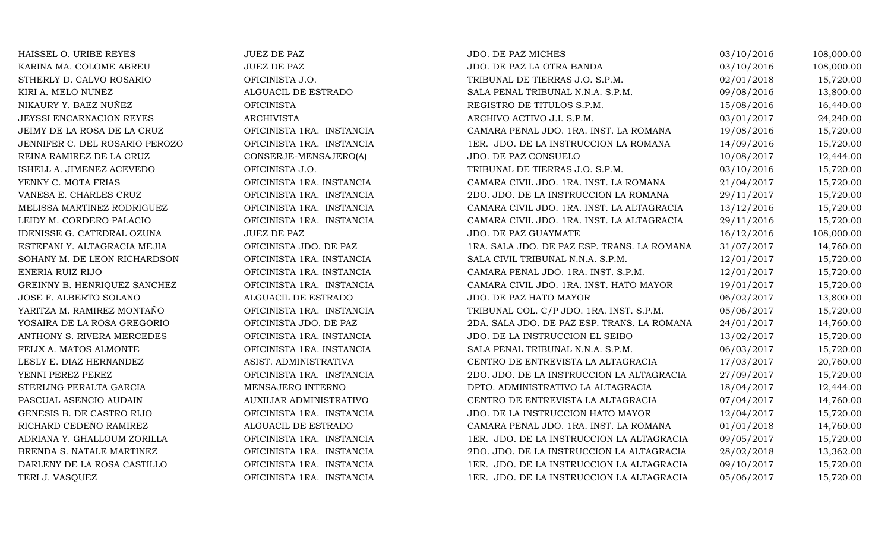| HAISSEL O. URIBE REYES         | <b>JUEZ DE PAZ</b>        | JDO. DE PAZ MICHES                          | 03/10/2016 | 108,000.00 |
|--------------------------------|---------------------------|---------------------------------------------|------------|------------|
| KARINA MA. COLOME ABREU        | <b>JUEZ DE PAZ</b>        | JDO. DE PAZ LA OTRA BANDA                   | 03/10/2016 | 108,000.00 |
| STHERLY D. CALVO ROSARIO       | OFICINISTA J.O.           | TRIBUNAL DE TIERRAS J.O. S.P.M.             | 02/01/2018 | 15,720.00  |
| KIRI A. MELO NUÑEZ             | ALGUACIL DE ESTRADO       | SALA PENAL TRIBUNAL N.N.A. S.P.M.           | 09/08/2016 | 13,800.00  |
| NIKAURY Y. BAEZ NUÑEZ          | <b>OFICINISTA</b>         | REGISTRO DE TITULOS S.P.M.                  | 15/08/2016 | 16,440.00  |
| JEYSSI ENCARNACION REYES       | <b>ARCHIVISTA</b>         | ARCHIVO ACTIVO J.I. S.P.M.                  | 03/01/2017 | 24,240.00  |
| JEIMY DE LA ROSA DE LA CRUZ    | OFICINISTA 1RA. INSTANCIA | CAMARA PENAL JDO. 1RA. INST. LA ROMANA      | 19/08/2016 | 15,720.00  |
| JENNIFER C. DEL ROSARIO PEROZO | OFICINISTA 1RA. INSTANCIA | 1ER. JDO. DE LA INSTRUCCION LA ROMANA       | 14/09/2016 | 15,720.00  |
| REINA RAMIREZ DE LA CRUZ       | CONSERJE-MENSAJERO(A)     | JDO. DE PAZ CONSUELO                        | 10/08/2017 | 12,444.00  |
| ISHELL A. JIMENEZ ACEVEDO      | OFICINISTA J.O.           | TRIBUNAL DE TIERRAS J.O. S.P.M.             | 03/10/2016 | 15,720.00  |
| YENNY C. MOTA FRIAS            | OFICINISTA 1RA. INSTANCIA | CAMARA CIVIL JDO. 1RA. INST. LA ROMANA      | 21/04/2017 | 15,720.00  |
| VANESA E. CHARLES CRUZ         | OFICINISTA 1RA. INSTANCIA | 2DO. JDO. DE LA INSTRUCCION LA ROMANA       | 29/11/2017 | 15,720.00  |
| MELISSA MARTINEZ RODRIGUEZ     | OFICINISTA 1RA. INSTANCIA | CAMARA CIVIL JDO. 1RA. INST. LA ALTAGRACIA  | 13/12/2016 | 15,720.00  |
| LEIDY M. CORDERO PALACIO       | OFICINISTA 1RA. INSTANCIA | CAMARA CIVIL JDO. 1RA. INST. LA ALTAGRACIA  | 29/11/2016 | 15,720.00  |
| IDENISSE G. CATEDRAL OZUNA     | <b>JUEZ DE PAZ</b>        | JDO. DE PAZ GUAYMATE                        | 16/12/2016 | 108,000.00 |
| ESTEFANI Y. ALTAGRACIA MEJIA   | OFICINISTA JDO. DE PAZ    | 1RA. SALA JDO. DE PAZ ESP. TRANS. LA ROMANA | 31/07/2017 | 14,760.00  |
| SOHANY M. DE LEON RICHARDSON   | OFICINISTA 1RA. INSTANCIA | SALA CIVIL TRIBUNAL N.N.A. S.P.M.           | 12/01/2017 | 15,720.00  |
| ENERIA RUIZ RIJO               | OFICINISTA 1RA. INSTANCIA | CAMARA PENAL JDO. 1RA. INST. S.P.M.         | 12/01/2017 | 15,720.00  |
| GREINNY B. HENRIQUEZ SANCHEZ   | OFICINISTA 1RA. INSTANCIA | CAMARA CIVIL JDO. 1RA. INST. HATO MAYOR     | 19/01/2017 | 15,720.00  |
| JOSE F. ALBERTO SOLANO         | ALGUACIL DE ESTRADO       | JDO. DE PAZ HATO MAYOR                      | 06/02/2017 | 13,800.00  |
| YARITZA M. RAMIREZ MONTAÑO     | OFICINISTA 1RA. INSTANCIA | TRIBUNAL COL. C/P JDO. 1RA. INST. S.P.M.    | 05/06/2017 | 15,720.00  |
| YOSAIRA DE LA ROSA GREGORIO    | OFICINISTA JDO. DE PAZ    | 2DA. SALA JDO. DE PAZ ESP. TRANS. LA ROMANA | 24/01/2017 | 14,760.00  |
| ANTHONY S. RIVERA MERCEDES     | OFICINISTA 1RA. INSTANCIA | JDO. DE LA INSTRUCCION EL SEIBO             | 13/02/2017 | 15,720.00  |
| FELIX A. MATOS ALMONTE         | OFICINISTA 1RA. INSTANCIA | SALA PENAL TRIBUNAL N.N.A. S.P.M.           | 06/03/2017 | 15,720.00  |
| LESLY E. DIAZ HERNANDEZ        | ASIST. ADMINISTRATIVA     | CENTRO DE ENTREVISTA LA ALTAGRACIA          | 17/03/2017 | 20,760.00  |
| YENNI PEREZ PEREZ              | OFICINISTA 1RA. INSTANCIA | 2DO. JDO. DE LA INSTRUCCION LA ALTAGRACIA   | 27/09/2017 | 15,720.00  |
| STERLING PERALTA GARCIA        | MENSAJERO INTERNO         | DPTO. ADMINISTRATIVO LA ALTAGRACIA          | 18/04/2017 | 12,444.00  |
| PASCUAL ASENCIO AUDAIN         | AUXILIAR ADMINISTRATIVO   | CENTRO DE ENTREVISTA LA ALTAGRACIA          | 07/04/2017 | 14,760.00  |
| GENESIS B. DE CASTRO RIJO      | OFICINISTA 1RA. INSTANCIA | JDO. DE LA INSTRUCCION HATO MAYOR           | 12/04/2017 | 15,720.00  |
| RICHARD CEDEÑO RAMIREZ         | ALGUACIL DE ESTRADO       | CAMARA PENAL JDO. 1RA. INST. LA ROMANA      | 01/01/2018 | 14,760.00  |
| ADRIANA Y. GHALLOUM ZORILLA    | OFICINISTA 1RA. INSTANCIA | 1ER. JDO. DE LA INSTRUCCION LA ALTAGRACIA   | 09/05/2017 | 15,720.00  |
| BRENDA S. NATALE MARTINEZ      | OFICINISTA 1RA. INSTANCIA | 2DO. JDO. DE LA INSTRUCCION LA ALTAGRACIA   | 28/02/2018 | 13,362.00  |
| DARLENY DE LA ROSA CASTILLO    | OFICINISTA 1RA. INSTANCIA | 1ER. JDO. DE LA INSTRUCCION LA ALTAGRACIA   | 09/10/2017 | 15,720.00  |
| TERI J. VASQUEZ                | OFICINISTA 1RA. INSTANCIA | 1ER. JDO. DE LA INSTRUCCION LA ALTAGRACIA   | 05/06/2017 | 15,720.00  |
|                                |                           |                                             |            |            |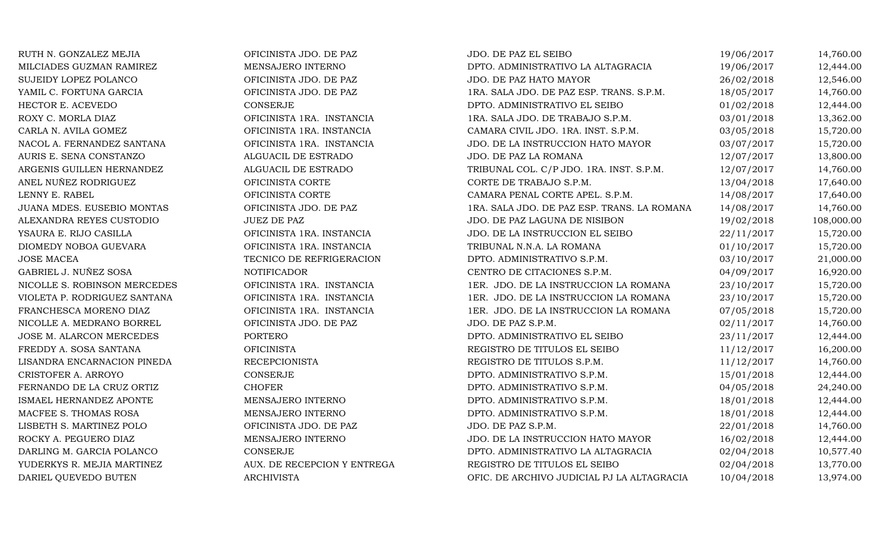| RUTH N. GONZALEZ MEJIA       | OFICINISTA JDO. DE PAZ      | JDO. DE PAZ EL SEIBO                        | 19/06/2017 | 14,760.00  |
|------------------------------|-----------------------------|---------------------------------------------|------------|------------|
| MILCIADES GUZMAN RAMIREZ     | MENSAJERO INTERNO           | DPTO. ADMINISTRATIVO LA ALTAGRACIA          | 19/06/2017 | 12,444.00  |
| SUJEIDY LOPEZ POLANCO        | OFICINISTA JDO. DE PAZ      | JDO. DE PAZ HATO MAYOR                      | 26/02/2018 | 12,546.00  |
| YAMIL C. FORTUNA GARCIA      | OFICINISTA JDO. DE PAZ      | 1RA. SALA JDO. DE PAZ ESP. TRANS. S.P.M.    | 18/05/2017 | 14,760.00  |
| HECTOR E. ACEVEDO            | CONSERJE                    | DPTO. ADMINISTRATIVO EL SEIBO               | 01/02/2018 | 12,444.00  |
| ROXY C. MORLA DIAZ           | OFICINISTA 1RA. INSTANCIA   | 1RA. SALA JDO. DE TRABAJO S.P.M.            | 03/01/2018 | 13,362.00  |
| CARLA N. AVILA GOMEZ         | OFICINISTA 1RA. INSTANCIA   | CAMARA CIVIL JDO. 1RA. INST. S.P.M.         | 03/05/2018 | 15,720.00  |
| NACOL A. FERNANDEZ SANTANA   | OFICINISTA 1RA. INSTANCIA   | JDO. DE LA INSTRUCCION HATO MAYOR           | 03/07/2017 | 15,720.00  |
| AURIS E. SENA CONSTANZO      | ALGUACIL DE ESTRADO         | JDO. DE PAZ LA ROMANA                       | 12/07/2017 | 13,800.00  |
| ARGENIS GUILLEN HERNANDEZ    | ALGUACIL DE ESTRADO         | TRIBUNAL COL. C/P JDO. 1RA. INST. S.P.M.    | 12/07/2017 | 14,760.00  |
| ANEL NUÑEZ RODRIGUEZ         | OFICINISTA CORTE            | CORTE DE TRABAJO S.P.M.                     | 13/04/2018 | 17,640.00  |
| LENNY E. RABEL               | OFICINISTA CORTE            | CAMARA PENAL CORTE APEL. S.P.M.             | 14/08/2017 | 17,640.00  |
| JUANA MDES. EUSEBIO MONTAS   | OFICINISTA JDO. DE PAZ      | 1RA. SALA JDO. DE PAZ ESP. TRANS. LA ROMANA | 14/08/2017 | 14,760.00  |
| ALEXANDRA REYES CUSTODIO     | <b>JUEZ DE PAZ</b>          | JDO. DE PAZ LAGUNA DE NISIBON               | 19/02/2018 | 108,000.00 |
| YSAURA E. RIJO CASILLA       | OFICINISTA 1RA. INSTANCIA   | JDO. DE LA INSTRUCCION EL SEIBO             | 22/11/2017 | 15,720.00  |
| DIOMEDY NOBOA GUEVARA        | OFICINISTA 1RA. INSTANCIA   | TRIBUNAL N.N.A. LA ROMANA                   | 01/10/2017 | 15,720.00  |
| <b>JOSE MACEA</b>            | TECNICO DE REFRIGERACION    | DPTO. ADMINISTRATIVO S.P.M.                 | 03/10/2017 | 21,000.00  |
| GABRIEL J. NUÑEZ SOSA        | <b>NOTIFICADOR</b>          | CENTRO DE CITACIONES S.P.M.                 | 04/09/2017 | 16,920.00  |
| NICOLLE S. ROBINSON MERCEDES | OFICINISTA 1RA. INSTANCIA   | 1ER. JDO. DE LA INSTRUCCION LA ROMANA       | 23/10/2017 | 15,720.00  |
| VIOLETA P. RODRIGUEZ SANTANA | OFICINISTA 1RA. INSTANCIA   | 1ER. JDO. DE LA INSTRUCCION LA ROMANA       | 23/10/2017 | 15,720.00  |
| FRANCHESCA MORENO DIAZ       | OFICINISTA 1RA. INSTANCIA   | 1ER. JDO. DE LA INSTRUCCION LA ROMANA       | 07/05/2018 | 15,720.00  |
| NICOLLE A. MEDRANO BORREL    | OFICINISTA JDO. DE PAZ      | JDO. DE PAZ S.P.M.                          | 02/11/2017 | 14,760.00  |
| JOSE M. ALARCON MERCEDES     | PORTERO                     | DPTO. ADMINISTRATIVO EL SEIBO               | 23/11/2017 | 12,444.00  |
| FREDDY A. SOSA SANTANA       | <b>OFICINISTA</b>           | REGISTRO DE TITULOS EL SEIBO                | 11/12/2017 | 16,200.00  |
| LISANDRA ENCARNACION PINEDA  | RECEPCIONISTA               | REGISTRO DE TITULOS S.P.M.                  | 11/12/2017 | 14,760.00  |
| CRISTOFER A. ARROYO          | <b>CONSERJE</b>             | DPTO. ADMINISTRATIVO S.P.M.                 | 15/01/2018 | 12,444.00  |
| FERNANDO DE LA CRUZ ORTIZ    | <b>CHOFER</b>               | DPTO. ADMINISTRATIVO S.P.M.                 | 04/05/2018 | 24,240.00  |
| ISMAEL HERNANDEZ APONTE      | MENSAJERO INTERNO           | DPTO. ADMINISTRATIVO S.P.M.                 | 18/01/2018 | 12,444.00  |
| MACFEE S. THOMAS ROSA        | MENSAJERO INTERNO           | DPTO. ADMINISTRATIVO S.P.M.                 | 18/01/2018 | 12,444.00  |
| LISBETH S. MARTINEZ POLO     | OFICINISTA JDO. DE PAZ      | JDO. DE PAZ S.P.M.                          | 22/01/2018 | 14,760.00  |
| ROCKY A. PEGUERO DIAZ        | MENSAJERO INTERNO           | JDO. DE LA INSTRUCCION HATO MAYOR           | 16/02/2018 | 12,444.00  |
| DARLING M. GARCIA POLANCO    | CONSERJE                    | DPTO. ADMINISTRATIVO LA ALTAGRACIA          | 02/04/2018 | 10,577.40  |
| YUDERKYS R. MEJIA MARTINEZ   | AUX. DE RECEPCION Y ENTREGA | REGISTRO DE TITULOS EL SEIBO                | 02/04/2018 | 13,770.00  |
| DARIEL QUEVEDO BUTEN         | <b>ARCHIVISTA</b>           | OFIC. DE ARCHIVO JUDICIAL PJ LA ALTAGRACIA  | 10/04/2018 | 13,974.00  |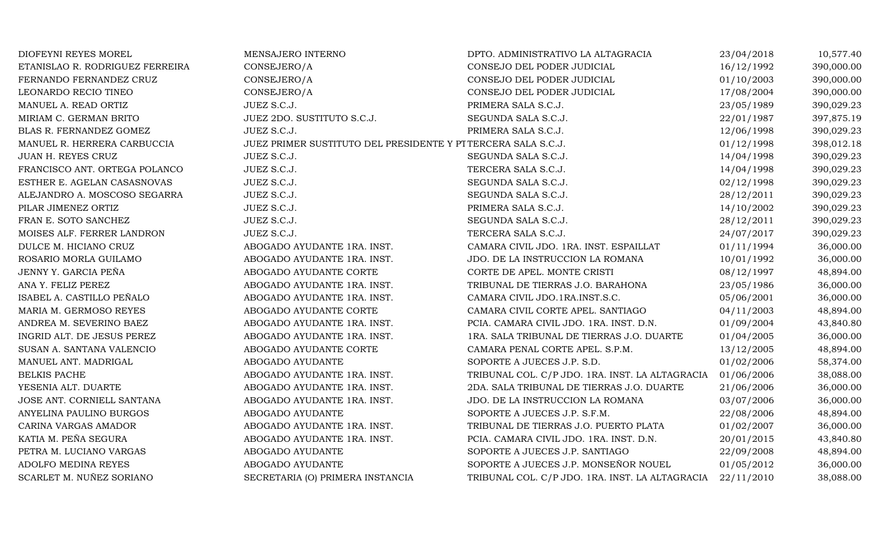| DIOFEYNI REYES MOREL            | MENSAJERO INTERNO                                            | DPTO. ADMINISTRATIVO LA ALTAGRACIA              | 23/04/2018 | 10,577.40  |
|---------------------------------|--------------------------------------------------------------|-------------------------------------------------|------------|------------|
| ETANISLAO R. RODRIGUEZ FERREIRA | CONSEJERO/A                                                  | CONSEJO DEL PODER JUDICIAL                      | 16/12/1992 | 390,000.00 |
| FERNANDO FERNANDEZ CRUZ         | CONSEJERO/A                                                  | CONSEJO DEL PODER JUDICIAL                      | 01/10/2003 | 390,000.00 |
| LEONARDO RECIO TINEO            | CONSEJERO/A                                                  | CONSEJO DEL PODER JUDICIAL                      | 17/08/2004 | 390,000.00 |
| MANUEL A. READ ORTIZ            | JUEZ S.C.J.                                                  | PRIMERA SALA S.C.J.                             | 23/05/1989 | 390,029.23 |
| MIRIAM C. GERMAN BRITO          | JUEZ 2DO. SUSTITUTO S.C.J.                                   | SEGUNDA SALA S.C.J.                             | 22/01/1987 | 397,875.19 |
| BLAS R. FERNANDEZ GOMEZ         | JUEZ S.C.J.                                                  | PRIMERA SALA S.C.J.                             | 12/06/1998 | 390,029.23 |
| MANUEL R. HERRERA CARBUCCIA     | JUEZ PRIMER SUSTITUTO DEL PRESIDENTE Y PITERCERA SALA S.C.J. |                                                 | 01/12/1998 | 398,012.18 |
| JUAN H. REYES CRUZ              | JUEZ S.C.J.                                                  | SEGUNDA SALA S.C.J.                             | 14/04/1998 | 390,029.23 |
| FRANCISCO ANT. ORTEGA POLANCO   | JUEZ S.C.J.                                                  | TERCERA SALA S.C.J.                             | 14/04/1998 | 390,029.23 |
| ESTHER E. AGELAN CASASNOVAS     | JUEZ S.C.J.                                                  | SEGUNDA SALA S.C.J.                             | 02/12/1998 | 390,029.23 |
| ALEJANDRO A. MOSCOSO SEGARRA    | JUEZ S.C.J.                                                  | SEGUNDA SALA S.C.J.                             | 28/12/2011 | 390,029.23 |
| PILAR JIMENEZ ORTIZ             | JUEZ S.C.J.                                                  | PRIMERA SALA S.C.J.                             | 14/10/2002 | 390,029.23 |
| FRAN E. SOTO SANCHEZ            | JUEZ S.C.J.                                                  | SEGUNDA SALA S.C.J.                             | 28/12/2011 | 390,029.23 |
| MOISES ALF. FERRER LANDRON      | JUEZ S.C.J.                                                  | TERCERA SALA S.C.J.                             | 24/07/2017 | 390,029.23 |
| DULCE M. HICIANO CRUZ           | ABOGADO AYUDANTE 1RA. INST.                                  | CAMARA CIVIL JDO. 1RA. INST. ESPAILLAT          | 01/11/1994 | 36,000.00  |
| ROSARIO MORLA GUILAMO           | ABOGADO AYUDANTE 1RA. INST.                                  | JDO. DE LA INSTRUCCION LA ROMANA                | 10/01/1992 | 36,000.00  |
| JENNY Y. GARCIA PEÑA            | ABOGADO AYUDANTE CORTE                                       | CORTE DE APEL. MONTE CRISTI                     | 08/12/1997 | 48,894.00  |
| ANA Y. FELIZ PEREZ              | ABOGADO AYUDANTE 1RA. INST.                                  | TRIBUNAL DE TIERRAS J.O. BARAHONA               | 23/05/1986 | 36,000.00  |
| ISABEL A. CASTILLO PEÑALO       | ABOGADO AYUDANTE 1RA. INST.                                  | CAMARA CIVIL JDO.1RA.INST.S.C.                  | 05/06/2001 | 36,000.00  |
| MARIA M. GERMOSO REYES          | ABOGADO AYUDANTE CORTE                                       | CAMARA CIVIL CORTE APEL. SANTIAGO               | 04/11/2003 | 48,894.00  |
| ANDREA M. SEVERINO BAEZ         | ABOGADO AYUDANTE 1RA. INST.                                  | PCIA. CAMARA CIVIL JDO. 1RA. INST. D.N.         | 01/09/2004 | 43,840.80  |
| INGRID ALT. DE JESUS PEREZ      | ABOGADO AYUDANTE 1RA. INST.                                  | 1RA. SALA TRIBUNAL DE TIERRAS J.O. DUARTE       | 01/04/2005 | 36,000.00  |
| SUSAN A. SANTANA VALENCIO       | ABOGADO AYUDANTE CORTE                                       | CAMARA PENAL CORTE APEL. S.P.M.                 | 13/12/2005 | 48,894.00  |
| MANUEL ANT. MADRIGAL            | ABOGADO AYUDANTE                                             | SOPORTE A JUECES J.P. S.D.                      | 01/02/2006 | 58,374.00  |
| BELKIS PACHE                    | ABOGADO AYUDANTE 1RA. INST.                                  | TRIBUNAL COL. C/P JDO. 1RA. INST. LA ALTAGRACIA | 01/06/2006 | 38,088.00  |
| YESENIA ALT. DUARTE             | ABOGADO AYUDANTE 1RA. INST.                                  | 2DA. SALA TRIBUNAL DE TIERRAS J.O. DUARTE       | 21/06/2006 | 36,000.00  |
| JOSE ANT. CORNIELL SANTANA      | ABOGADO AYUDANTE 1RA. INST.                                  | JDO. DE LA INSTRUCCION LA ROMANA                | 03/07/2006 | 36,000.00  |
| ANYELINA PAULINO BURGOS         | ABOGADO AYUDANTE                                             | SOPORTE A JUECES J.P. S.F.M.                    | 22/08/2006 | 48,894.00  |
| CARINA VARGAS AMADOR            | ABOGADO AYUDANTE 1RA. INST.                                  | TRIBUNAL DE TIERRAS J.O. PUERTO PLATA           | 01/02/2007 | 36,000.00  |
| KATIA M. PEÑA SEGURA            | ABOGADO AYUDANTE 1RA. INST.                                  | PCIA. CAMARA CIVIL JDO. 1RA. INST. D.N.         | 20/01/2015 | 43,840.80  |
| PETRA M. LUCIANO VARGAS         | ABOGADO AYUDANTE                                             | SOPORTE A JUECES J.P. SANTIAGO                  | 22/09/2008 | 48,894.00  |
| ADOLFO MEDINA REYES             | ABOGADO AYUDANTE                                             | SOPORTE A JUECES J.P. MONSEÑOR NOUEL            | 01/05/2012 | 36,000.00  |
| SCARLET M. NUÑEZ SORIANO        | SECRETARIA (O) PRIMERA INSTANCIA                             | TRIBUNAL COL. C/P JDO. 1RA. INST. LA ALTAGRACIA | 22/11/2010 | 38,088.00  |
|                                 |                                                              |                                                 |            |            |